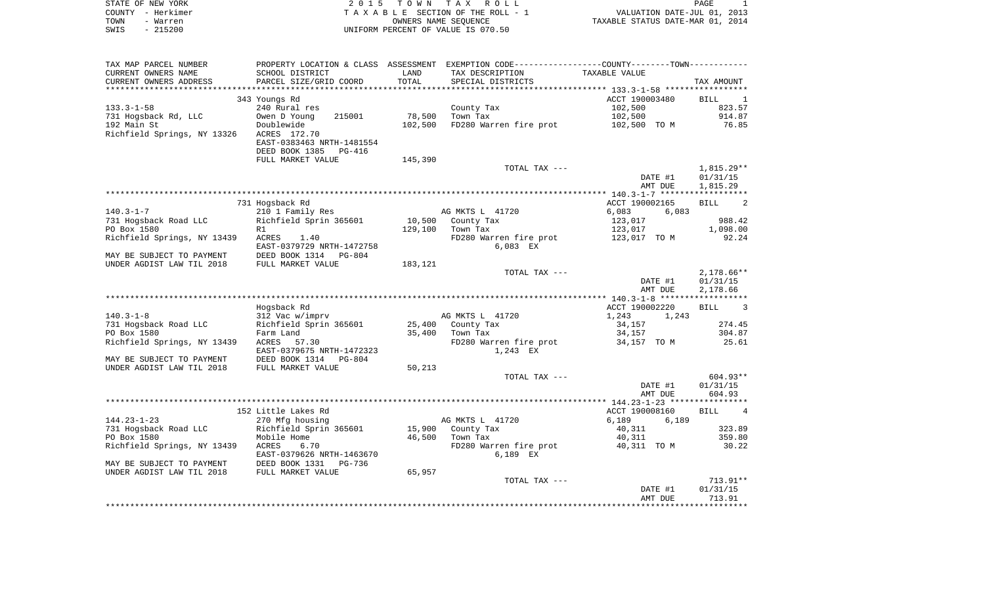| STATE OF NEW YORK | 2015 TOWN TAX ROLL                 | <b>PAGE</b>                      |
|-------------------|------------------------------------|----------------------------------|
| COUNTY - Herkimer | TAXABLE SECTION OF THE ROLL - 1    | VALUATION DATE-JUL 01, 2013      |
| TOWN<br>- Warren  | OWNERS NAME SEOUENCE               | TAXABLE STATUS DATE-MAR 01, 2014 |
| $-215200$<br>SWIS | UNIFORM PERCENT OF VALUE IS 070.50 |                                  |

| TOTAL<br>PARCEL SIZE/GRID COORD<br>CURRENT OWNERS ADDRESS<br>SPECIAL DISTRICTS<br>TAX AMOUNT<br>ACCT 190003480<br>343 Youngs Rd<br>BILL<br>$\overline{\phantom{0}}$<br>$133.3 - 1 - 58$<br>240 Rural res<br>County Tax<br>102,500<br>823.57<br>215001<br>78,500<br>Town Tax<br>102,500<br>914.87<br>731 Hogsback Rd, LLC<br>Owen D Young<br>FD280 Warren fire prot 102,500 TO M<br>192 Main St<br>Doublewide<br>102,500<br>76.85<br>Richfield Springs, NY 13326<br>ACRES 172.70<br>EAST-0383463 NRTH-1481554<br>DEED BOOK 1385<br><b>PG-416</b><br>FULL MARKET VALUE<br>145,390<br>$1,815.29**$<br>TOTAL TAX ---<br>DATE #1<br>01/31/15<br>AMT DUE<br>1,815.29<br>731 Hogsback Rd<br>ACCT 190002165<br><b>BILL</b><br>2<br>$140.3 - 1 - 7$<br>210 1 Family Res<br>AG MKTS L 41720<br>6,083<br>6,083<br>Richfield Sprin 365601<br>10,500<br>County Tax<br>988.42<br>731 Hogsback Road LLC<br>123,017<br>PO Box 1580<br>129,100<br>Town Tax<br>123,017<br>1,098.00<br>R1<br>Richfield Springs, NY 13439<br>ACRES 1.40<br>FD280 Warren fire prot<br>92.24<br>123,017 TO M<br>$6.083$ EX<br>EAST-0379729 NRTH-1472758<br>DEED BOOK 1314 PG-804<br>MAY BE SUBJECT TO PAYMENT<br>UNDER AGDIST LAW TIL 2018<br>FULL MARKET VALUE<br>183,121<br>$2,178.66**$<br>TOTAL TAX ---<br>DATE #1<br>01/31/15<br>AMT DUE<br>2,178.66<br>Hogsback Rd<br>ACCT 190002220<br><b>BILL</b><br>3<br>$140.3 - 1 - 8$<br>312 Vac w/imprv<br>AG MKTS L 41720<br>1,243<br>1,243<br>731 Hogsback Road LLC<br>Richfield Sprin 365601<br>25,400<br>34,157<br>274.45<br>County Tax<br>35,400<br>304.87<br>PO Box 1580<br>Farm Land<br>Town Tax<br>34,157<br>Richfield Springs, NY 13439<br>FD280 Warren fire prot<br>ACRES 57.30<br>34,157 TO M<br>25.61<br>EAST-0379675 NRTH-1472323<br>1,243 EX<br>MAY BE SUBJECT TO PAYMENT<br>DEED BOOK 1314<br>$PG-804$<br>UNDER AGDIST LAW TIL 2018<br>FULL MARKET VALUE<br>50,213<br>$604.93**$<br>TOTAL TAX ---<br>01/31/15<br>DATE #1<br>604.93<br>AMT DUE<br>152 Little Lakes Rd<br>$\overline{4}$<br>ACCT 190008160<br><b>BILL</b><br>$144.23 - 1 - 23$<br>AG MKTS L 41720<br>270 Mfg housing<br>6,189<br>6,189<br>Richfield Sprin 365601<br>323.89<br>731 Hogsback Road LLC<br>15,900 County Tax<br>40,311<br>PO Box 1580<br>46,500<br>Town Tax<br>359.80<br>Mobile Home<br>40,311<br>Richfield Springs, NY 13439<br>FD280 Warren fire prot<br>40,311 TO M<br>ACRES<br>6.70<br>30.22<br>6,189 EX<br>EAST-0379626 NRTH-1463670<br>MAY BE SUBJECT TO PAYMENT<br>DEED BOOK 1331<br>PG-736<br>UNDER AGDIST LAW TIL 2018<br>65,957<br>FULL MARKET VALUE<br>$713.91**$<br>TOTAL TAX ---<br>DATE #1<br>01/31/15<br>713.91<br>AMT DUE | TAX MAP PARCEL NUMBER |                 |      | PROPERTY LOCATION & CLASS ASSESSMENT EXEMPTION CODE----------------COUNTY--------TOWN-------- |               |  |
|-------------------------------------------------------------------------------------------------------------------------------------------------------------------------------------------------------------------------------------------------------------------------------------------------------------------------------------------------------------------------------------------------------------------------------------------------------------------------------------------------------------------------------------------------------------------------------------------------------------------------------------------------------------------------------------------------------------------------------------------------------------------------------------------------------------------------------------------------------------------------------------------------------------------------------------------------------------------------------------------------------------------------------------------------------------------------------------------------------------------------------------------------------------------------------------------------------------------------------------------------------------------------------------------------------------------------------------------------------------------------------------------------------------------------------------------------------------------------------------------------------------------------------------------------------------------------------------------------------------------------------------------------------------------------------------------------------------------------------------------------------------------------------------------------------------------------------------------------------------------------------------------------------------------------------------------------------------------------------------------------------------------------------------------------------------------------------------------------------------------------------------------------------------------------------------------------------------------------------------------------------------------------------------------------------------------------------------------------------------------------------------------------------------------------------------------------------------------------------------------------------------------------------------------------------------------------------------------------------------------------------------------|-----------------------|-----------------|------|-----------------------------------------------------------------------------------------------|---------------|--|
|                                                                                                                                                                                                                                                                                                                                                                                                                                                                                                                                                                                                                                                                                                                                                                                                                                                                                                                                                                                                                                                                                                                                                                                                                                                                                                                                                                                                                                                                                                                                                                                                                                                                                                                                                                                                                                                                                                                                                                                                                                                                                                                                                                                                                                                                                                                                                                                                                                                                                                                                                                                                                                           | CURRENT OWNERS NAME   | SCHOOL DISTRICT | LAND | TAX DESCRIPTION                                                                               | TAXABLE VALUE |  |
|                                                                                                                                                                                                                                                                                                                                                                                                                                                                                                                                                                                                                                                                                                                                                                                                                                                                                                                                                                                                                                                                                                                                                                                                                                                                                                                                                                                                                                                                                                                                                                                                                                                                                                                                                                                                                                                                                                                                                                                                                                                                                                                                                                                                                                                                                                                                                                                                                                                                                                                                                                                                                                           |                       |                 |      |                                                                                               |               |  |
|                                                                                                                                                                                                                                                                                                                                                                                                                                                                                                                                                                                                                                                                                                                                                                                                                                                                                                                                                                                                                                                                                                                                                                                                                                                                                                                                                                                                                                                                                                                                                                                                                                                                                                                                                                                                                                                                                                                                                                                                                                                                                                                                                                                                                                                                                                                                                                                                                                                                                                                                                                                                                                           |                       |                 |      |                                                                                               |               |  |
|                                                                                                                                                                                                                                                                                                                                                                                                                                                                                                                                                                                                                                                                                                                                                                                                                                                                                                                                                                                                                                                                                                                                                                                                                                                                                                                                                                                                                                                                                                                                                                                                                                                                                                                                                                                                                                                                                                                                                                                                                                                                                                                                                                                                                                                                                                                                                                                                                                                                                                                                                                                                                                           |                       |                 |      |                                                                                               |               |  |
|                                                                                                                                                                                                                                                                                                                                                                                                                                                                                                                                                                                                                                                                                                                                                                                                                                                                                                                                                                                                                                                                                                                                                                                                                                                                                                                                                                                                                                                                                                                                                                                                                                                                                                                                                                                                                                                                                                                                                                                                                                                                                                                                                                                                                                                                                                                                                                                                                                                                                                                                                                                                                                           |                       |                 |      |                                                                                               |               |  |
|                                                                                                                                                                                                                                                                                                                                                                                                                                                                                                                                                                                                                                                                                                                                                                                                                                                                                                                                                                                                                                                                                                                                                                                                                                                                                                                                                                                                                                                                                                                                                                                                                                                                                                                                                                                                                                                                                                                                                                                                                                                                                                                                                                                                                                                                                                                                                                                                                                                                                                                                                                                                                                           |                       |                 |      |                                                                                               |               |  |
|                                                                                                                                                                                                                                                                                                                                                                                                                                                                                                                                                                                                                                                                                                                                                                                                                                                                                                                                                                                                                                                                                                                                                                                                                                                                                                                                                                                                                                                                                                                                                                                                                                                                                                                                                                                                                                                                                                                                                                                                                                                                                                                                                                                                                                                                                                                                                                                                                                                                                                                                                                                                                                           |                       |                 |      |                                                                                               |               |  |
|                                                                                                                                                                                                                                                                                                                                                                                                                                                                                                                                                                                                                                                                                                                                                                                                                                                                                                                                                                                                                                                                                                                                                                                                                                                                                                                                                                                                                                                                                                                                                                                                                                                                                                                                                                                                                                                                                                                                                                                                                                                                                                                                                                                                                                                                                                                                                                                                                                                                                                                                                                                                                                           |                       |                 |      |                                                                                               |               |  |
|                                                                                                                                                                                                                                                                                                                                                                                                                                                                                                                                                                                                                                                                                                                                                                                                                                                                                                                                                                                                                                                                                                                                                                                                                                                                                                                                                                                                                                                                                                                                                                                                                                                                                                                                                                                                                                                                                                                                                                                                                                                                                                                                                                                                                                                                                                                                                                                                                                                                                                                                                                                                                                           |                       |                 |      |                                                                                               |               |  |
|                                                                                                                                                                                                                                                                                                                                                                                                                                                                                                                                                                                                                                                                                                                                                                                                                                                                                                                                                                                                                                                                                                                                                                                                                                                                                                                                                                                                                                                                                                                                                                                                                                                                                                                                                                                                                                                                                                                                                                                                                                                                                                                                                                                                                                                                                                                                                                                                                                                                                                                                                                                                                                           |                       |                 |      |                                                                                               |               |  |
|                                                                                                                                                                                                                                                                                                                                                                                                                                                                                                                                                                                                                                                                                                                                                                                                                                                                                                                                                                                                                                                                                                                                                                                                                                                                                                                                                                                                                                                                                                                                                                                                                                                                                                                                                                                                                                                                                                                                                                                                                                                                                                                                                                                                                                                                                                                                                                                                                                                                                                                                                                                                                                           |                       |                 |      |                                                                                               |               |  |
|                                                                                                                                                                                                                                                                                                                                                                                                                                                                                                                                                                                                                                                                                                                                                                                                                                                                                                                                                                                                                                                                                                                                                                                                                                                                                                                                                                                                                                                                                                                                                                                                                                                                                                                                                                                                                                                                                                                                                                                                                                                                                                                                                                                                                                                                                                                                                                                                                                                                                                                                                                                                                                           |                       |                 |      |                                                                                               |               |  |
|                                                                                                                                                                                                                                                                                                                                                                                                                                                                                                                                                                                                                                                                                                                                                                                                                                                                                                                                                                                                                                                                                                                                                                                                                                                                                                                                                                                                                                                                                                                                                                                                                                                                                                                                                                                                                                                                                                                                                                                                                                                                                                                                                                                                                                                                                                                                                                                                                                                                                                                                                                                                                                           |                       |                 |      |                                                                                               |               |  |
|                                                                                                                                                                                                                                                                                                                                                                                                                                                                                                                                                                                                                                                                                                                                                                                                                                                                                                                                                                                                                                                                                                                                                                                                                                                                                                                                                                                                                                                                                                                                                                                                                                                                                                                                                                                                                                                                                                                                                                                                                                                                                                                                                                                                                                                                                                                                                                                                                                                                                                                                                                                                                                           |                       |                 |      |                                                                                               |               |  |
|                                                                                                                                                                                                                                                                                                                                                                                                                                                                                                                                                                                                                                                                                                                                                                                                                                                                                                                                                                                                                                                                                                                                                                                                                                                                                                                                                                                                                                                                                                                                                                                                                                                                                                                                                                                                                                                                                                                                                                                                                                                                                                                                                                                                                                                                                                                                                                                                                                                                                                                                                                                                                                           |                       |                 |      |                                                                                               |               |  |
|                                                                                                                                                                                                                                                                                                                                                                                                                                                                                                                                                                                                                                                                                                                                                                                                                                                                                                                                                                                                                                                                                                                                                                                                                                                                                                                                                                                                                                                                                                                                                                                                                                                                                                                                                                                                                                                                                                                                                                                                                                                                                                                                                                                                                                                                                                                                                                                                                                                                                                                                                                                                                                           |                       |                 |      |                                                                                               |               |  |
|                                                                                                                                                                                                                                                                                                                                                                                                                                                                                                                                                                                                                                                                                                                                                                                                                                                                                                                                                                                                                                                                                                                                                                                                                                                                                                                                                                                                                                                                                                                                                                                                                                                                                                                                                                                                                                                                                                                                                                                                                                                                                                                                                                                                                                                                                                                                                                                                                                                                                                                                                                                                                                           |                       |                 |      |                                                                                               |               |  |
|                                                                                                                                                                                                                                                                                                                                                                                                                                                                                                                                                                                                                                                                                                                                                                                                                                                                                                                                                                                                                                                                                                                                                                                                                                                                                                                                                                                                                                                                                                                                                                                                                                                                                                                                                                                                                                                                                                                                                                                                                                                                                                                                                                                                                                                                                                                                                                                                                                                                                                                                                                                                                                           |                       |                 |      |                                                                                               |               |  |
|                                                                                                                                                                                                                                                                                                                                                                                                                                                                                                                                                                                                                                                                                                                                                                                                                                                                                                                                                                                                                                                                                                                                                                                                                                                                                                                                                                                                                                                                                                                                                                                                                                                                                                                                                                                                                                                                                                                                                                                                                                                                                                                                                                                                                                                                                                                                                                                                                                                                                                                                                                                                                                           |                       |                 |      |                                                                                               |               |  |
|                                                                                                                                                                                                                                                                                                                                                                                                                                                                                                                                                                                                                                                                                                                                                                                                                                                                                                                                                                                                                                                                                                                                                                                                                                                                                                                                                                                                                                                                                                                                                                                                                                                                                                                                                                                                                                                                                                                                                                                                                                                                                                                                                                                                                                                                                                                                                                                                                                                                                                                                                                                                                                           |                       |                 |      |                                                                                               |               |  |
|                                                                                                                                                                                                                                                                                                                                                                                                                                                                                                                                                                                                                                                                                                                                                                                                                                                                                                                                                                                                                                                                                                                                                                                                                                                                                                                                                                                                                                                                                                                                                                                                                                                                                                                                                                                                                                                                                                                                                                                                                                                                                                                                                                                                                                                                                                                                                                                                                                                                                                                                                                                                                                           |                       |                 |      |                                                                                               |               |  |
|                                                                                                                                                                                                                                                                                                                                                                                                                                                                                                                                                                                                                                                                                                                                                                                                                                                                                                                                                                                                                                                                                                                                                                                                                                                                                                                                                                                                                                                                                                                                                                                                                                                                                                                                                                                                                                                                                                                                                                                                                                                                                                                                                                                                                                                                                                                                                                                                                                                                                                                                                                                                                                           |                       |                 |      |                                                                                               |               |  |
|                                                                                                                                                                                                                                                                                                                                                                                                                                                                                                                                                                                                                                                                                                                                                                                                                                                                                                                                                                                                                                                                                                                                                                                                                                                                                                                                                                                                                                                                                                                                                                                                                                                                                                                                                                                                                                                                                                                                                                                                                                                                                                                                                                                                                                                                                                                                                                                                                                                                                                                                                                                                                                           |                       |                 |      |                                                                                               |               |  |
|                                                                                                                                                                                                                                                                                                                                                                                                                                                                                                                                                                                                                                                                                                                                                                                                                                                                                                                                                                                                                                                                                                                                                                                                                                                                                                                                                                                                                                                                                                                                                                                                                                                                                                                                                                                                                                                                                                                                                                                                                                                                                                                                                                                                                                                                                                                                                                                                                                                                                                                                                                                                                                           |                       |                 |      |                                                                                               |               |  |
|                                                                                                                                                                                                                                                                                                                                                                                                                                                                                                                                                                                                                                                                                                                                                                                                                                                                                                                                                                                                                                                                                                                                                                                                                                                                                                                                                                                                                                                                                                                                                                                                                                                                                                                                                                                                                                                                                                                                                                                                                                                                                                                                                                                                                                                                                                                                                                                                                                                                                                                                                                                                                                           |                       |                 |      |                                                                                               |               |  |
|                                                                                                                                                                                                                                                                                                                                                                                                                                                                                                                                                                                                                                                                                                                                                                                                                                                                                                                                                                                                                                                                                                                                                                                                                                                                                                                                                                                                                                                                                                                                                                                                                                                                                                                                                                                                                                                                                                                                                                                                                                                                                                                                                                                                                                                                                                                                                                                                                                                                                                                                                                                                                                           |                       |                 |      |                                                                                               |               |  |
|                                                                                                                                                                                                                                                                                                                                                                                                                                                                                                                                                                                                                                                                                                                                                                                                                                                                                                                                                                                                                                                                                                                                                                                                                                                                                                                                                                                                                                                                                                                                                                                                                                                                                                                                                                                                                                                                                                                                                                                                                                                                                                                                                                                                                                                                                                                                                                                                                                                                                                                                                                                                                                           |                       |                 |      |                                                                                               |               |  |
|                                                                                                                                                                                                                                                                                                                                                                                                                                                                                                                                                                                                                                                                                                                                                                                                                                                                                                                                                                                                                                                                                                                                                                                                                                                                                                                                                                                                                                                                                                                                                                                                                                                                                                                                                                                                                                                                                                                                                                                                                                                                                                                                                                                                                                                                                                                                                                                                                                                                                                                                                                                                                                           |                       |                 |      |                                                                                               |               |  |
|                                                                                                                                                                                                                                                                                                                                                                                                                                                                                                                                                                                                                                                                                                                                                                                                                                                                                                                                                                                                                                                                                                                                                                                                                                                                                                                                                                                                                                                                                                                                                                                                                                                                                                                                                                                                                                                                                                                                                                                                                                                                                                                                                                                                                                                                                                                                                                                                                                                                                                                                                                                                                                           |                       |                 |      |                                                                                               |               |  |
|                                                                                                                                                                                                                                                                                                                                                                                                                                                                                                                                                                                                                                                                                                                                                                                                                                                                                                                                                                                                                                                                                                                                                                                                                                                                                                                                                                                                                                                                                                                                                                                                                                                                                                                                                                                                                                                                                                                                                                                                                                                                                                                                                                                                                                                                                                                                                                                                                                                                                                                                                                                                                                           |                       |                 |      |                                                                                               |               |  |
|                                                                                                                                                                                                                                                                                                                                                                                                                                                                                                                                                                                                                                                                                                                                                                                                                                                                                                                                                                                                                                                                                                                                                                                                                                                                                                                                                                                                                                                                                                                                                                                                                                                                                                                                                                                                                                                                                                                                                                                                                                                                                                                                                                                                                                                                                                                                                                                                                                                                                                                                                                                                                                           |                       |                 |      |                                                                                               |               |  |
|                                                                                                                                                                                                                                                                                                                                                                                                                                                                                                                                                                                                                                                                                                                                                                                                                                                                                                                                                                                                                                                                                                                                                                                                                                                                                                                                                                                                                                                                                                                                                                                                                                                                                                                                                                                                                                                                                                                                                                                                                                                                                                                                                                                                                                                                                                                                                                                                                                                                                                                                                                                                                                           |                       |                 |      |                                                                                               |               |  |
|                                                                                                                                                                                                                                                                                                                                                                                                                                                                                                                                                                                                                                                                                                                                                                                                                                                                                                                                                                                                                                                                                                                                                                                                                                                                                                                                                                                                                                                                                                                                                                                                                                                                                                                                                                                                                                                                                                                                                                                                                                                                                                                                                                                                                                                                                                                                                                                                                                                                                                                                                                                                                                           |                       |                 |      |                                                                                               |               |  |
|                                                                                                                                                                                                                                                                                                                                                                                                                                                                                                                                                                                                                                                                                                                                                                                                                                                                                                                                                                                                                                                                                                                                                                                                                                                                                                                                                                                                                                                                                                                                                                                                                                                                                                                                                                                                                                                                                                                                                                                                                                                                                                                                                                                                                                                                                                                                                                                                                                                                                                                                                                                                                                           |                       |                 |      |                                                                                               |               |  |
|                                                                                                                                                                                                                                                                                                                                                                                                                                                                                                                                                                                                                                                                                                                                                                                                                                                                                                                                                                                                                                                                                                                                                                                                                                                                                                                                                                                                                                                                                                                                                                                                                                                                                                                                                                                                                                                                                                                                                                                                                                                                                                                                                                                                                                                                                                                                                                                                                                                                                                                                                                                                                                           |                       |                 |      |                                                                                               |               |  |
|                                                                                                                                                                                                                                                                                                                                                                                                                                                                                                                                                                                                                                                                                                                                                                                                                                                                                                                                                                                                                                                                                                                                                                                                                                                                                                                                                                                                                                                                                                                                                                                                                                                                                                                                                                                                                                                                                                                                                                                                                                                                                                                                                                                                                                                                                                                                                                                                                                                                                                                                                                                                                                           |                       |                 |      |                                                                                               |               |  |
|                                                                                                                                                                                                                                                                                                                                                                                                                                                                                                                                                                                                                                                                                                                                                                                                                                                                                                                                                                                                                                                                                                                                                                                                                                                                                                                                                                                                                                                                                                                                                                                                                                                                                                                                                                                                                                                                                                                                                                                                                                                                                                                                                                                                                                                                                                                                                                                                                                                                                                                                                                                                                                           |                       |                 |      |                                                                                               |               |  |
|                                                                                                                                                                                                                                                                                                                                                                                                                                                                                                                                                                                                                                                                                                                                                                                                                                                                                                                                                                                                                                                                                                                                                                                                                                                                                                                                                                                                                                                                                                                                                                                                                                                                                                                                                                                                                                                                                                                                                                                                                                                                                                                                                                                                                                                                                                                                                                                                                                                                                                                                                                                                                                           |                       |                 |      |                                                                                               |               |  |
|                                                                                                                                                                                                                                                                                                                                                                                                                                                                                                                                                                                                                                                                                                                                                                                                                                                                                                                                                                                                                                                                                                                                                                                                                                                                                                                                                                                                                                                                                                                                                                                                                                                                                                                                                                                                                                                                                                                                                                                                                                                                                                                                                                                                                                                                                                                                                                                                                                                                                                                                                                                                                                           |                       |                 |      |                                                                                               |               |  |
|                                                                                                                                                                                                                                                                                                                                                                                                                                                                                                                                                                                                                                                                                                                                                                                                                                                                                                                                                                                                                                                                                                                                                                                                                                                                                                                                                                                                                                                                                                                                                                                                                                                                                                                                                                                                                                                                                                                                                                                                                                                                                                                                                                                                                                                                                                                                                                                                                                                                                                                                                                                                                                           |                       |                 |      |                                                                                               |               |  |
|                                                                                                                                                                                                                                                                                                                                                                                                                                                                                                                                                                                                                                                                                                                                                                                                                                                                                                                                                                                                                                                                                                                                                                                                                                                                                                                                                                                                                                                                                                                                                                                                                                                                                                                                                                                                                                                                                                                                                                                                                                                                                                                                                                                                                                                                                                                                                                                                                                                                                                                                                                                                                                           |                       |                 |      |                                                                                               |               |  |
|                                                                                                                                                                                                                                                                                                                                                                                                                                                                                                                                                                                                                                                                                                                                                                                                                                                                                                                                                                                                                                                                                                                                                                                                                                                                                                                                                                                                                                                                                                                                                                                                                                                                                                                                                                                                                                                                                                                                                                                                                                                                                                                                                                                                                                                                                                                                                                                                                                                                                                                                                                                                                                           |                       |                 |      |                                                                                               |               |  |
|                                                                                                                                                                                                                                                                                                                                                                                                                                                                                                                                                                                                                                                                                                                                                                                                                                                                                                                                                                                                                                                                                                                                                                                                                                                                                                                                                                                                                                                                                                                                                                                                                                                                                                                                                                                                                                                                                                                                                                                                                                                                                                                                                                                                                                                                                                                                                                                                                                                                                                                                                                                                                                           |                       |                 |      |                                                                                               |               |  |
|                                                                                                                                                                                                                                                                                                                                                                                                                                                                                                                                                                                                                                                                                                                                                                                                                                                                                                                                                                                                                                                                                                                                                                                                                                                                                                                                                                                                                                                                                                                                                                                                                                                                                                                                                                                                                                                                                                                                                                                                                                                                                                                                                                                                                                                                                                                                                                                                                                                                                                                                                                                                                                           |                       |                 |      |                                                                                               |               |  |
|                                                                                                                                                                                                                                                                                                                                                                                                                                                                                                                                                                                                                                                                                                                                                                                                                                                                                                                                                                                                                                                                                                                                                                                                                                                                                                                                                                                                                                                                                                                                                                                                                                                                                                                                                                                                                                                                                                                                                                                                                                                                                                                                                                                                                                                                                                                                                                                                                                                                                                                                                                                                                                           |                       |                 |      |                                                                                               |               |  |
|                                                                                                                                                                                                                                                                                                                                                                                                                                                                                                                                                                                                                                                                                                                                                                                                                                                                                                                                                                                                                                                                                                                                                                                                                                                                                                                                                                                                                                                                                                                                                                                                                                                                                                                                                                                                                                                                                                                                                                                                                                                                                                                                                                                                                                                                                                                                                                                                                                                                                                                                                                                                                                           |                       |                 |      |                                                                                               |               |  |
|                                                                                                                                                                                                                                                                                                                                                                                                                                                                                                                                                                                                                                                                                                                                                                                                                                                                                                                                                                                                                                                                                                                                                                                                                                                                                                                                                                                                                                                                                                                                                                                                                                                                                                                                                                                                                                                                                                                                                                                                                                                                                                                                                                                                                                                                                                                                                                                                                                                                                                                                                                                                                                           |                       |                 |      |                                                                                               |               |  |
|                                                                                                                                                                                                                                                                                                                                                                                                                                                                                                                                                                                                                                                                                                                                                                                                                                                                                                                                                                                                                                                                                                                                                                                                                                                                                                                                                                                                                                                                                                                                                                                                                                                                                                                                                                                                                                                                                                                                                                                                                                                                                                                                                                                                                                                                                                                                                                                                                                                                                                                                                                                                                                           |                       |                 |      |                                                                                               |               |  |
|                                                                                                                                                                                                                                                                                                                                                                                                                                                                                                                                                                                                                                                                                                                                                                                                                                                                                                                                                                                                                                                                                                                                                                                                                                                                                                                                                                                                                                                                                                                                                                                                                                                                                                                                                                                                                                                                                                                                                                                                                                                                                                                                                                                                                                                                                                                                                                                                                                                                                                                                                                                                                                           |                       |                 |      |                                                                                               |               |  |
|                                                                                                                                                                                                                                                                                                                                                                                                                                                                                                                                                                                                                                                                                                                                                                                                                                                                                                                                                                                                                                                                                                                                                                                                                                                                                                                                                                                                                                                                                                                                                                                                                                                                                                                                                                                                                                                                                                                                                                                                                                                                                                                                                                                                                                                                                                                                                                                                                                                                                                                                                                                                                                           |                       |                 |      |                                                                                               |               |  |
|                                                                                                                                                                                                                                                                                                                                                                                                                                                                                                                                                                                                                                                                                                                                                                                                                                                                                                                                                                                                                                                                                                                                                                                                                                                                                                                                                                                                                                                                                                                                                                                                                                                                                                                                                                                                                                                                                                                                                                                                                                                                                                                                                                                                                                                                                                                                                                                                                                                                                                                                                                                                                                           |                       |                 |      |                                                                                               |               |  |
|                                                                                                                                                                                                                                                                                                                                                                                                                                                                                                                                                                                                                                                                                                                                                                                                                                                                                                                                                                                                                                                                                                                                                                                                                                                                                                                                                                                                                                                                                                                                                                                                                                                                                                                                                                                                                                                                                                                                                                                                                                                                                                                                                                                                                                                                                                                                                                                                                                                                                                                                                                                                                                           |                       |                 |      |                                                                                               |               |  |
|                                                                                                                                                                                                                                                                                                                                                                                                                                                                                                                                                                                                                                                                                                                                                                                                                                                                                                                                                                                                                                                                                                                                                                                                                                                                                                                                                                                                                                                                                                                                                                                                                                                                                                                                                                                                                                                                                                                                                                                                                                                                                                                                                                                                                                                                                                                                                                                                                                                                                                                                                                                                                                           |                       |                 |      |                                                                                               |               |  |
|                                                                                                                                                                                                                                                                                                                                                                                                                                                                                                                                                                                                                                                                                                                                                                                                                                                                                                                                                                                                                                                                                                                                                                                                                                                                                                                                                                                                                                                                                                                                                                                                                                                                                                                                                                                                                                                                                                                                                                                                                                                                                                                                                                                                                                                                                                                                                                                                                                                                                                                                                                                                                                           |                       |                 |      |                                                                                               |               |  |
|                                                                                                                                                                                                                                                                                                                                                                                                                                                                                                                                                                                                                                                                                                                                                                                                                                                                                                                                                                                                                                                                                                                                                                                                                                                                                                                                                                                                                                                                                                                                                                                                                                                                                                                                                                                                                                                                                                                                                                                                                                                                                                                                                                                                                                                                                                                                                                                                                                                                                                                                                                                                                                           |                       |                 |      |                                                                                               |               |  |
|                                                                                                                                                                                                                                                                                                                                                                                                                                                                                                                                                                                                                                                                                                                                                                                                                                                                                                                                                                                                                                                                                                                                                                                                                                                                                                                                                                                                                                                                                                                                                                                                                                                                                                                                                                                                                                                                                                                                                                                                                                                                                                                                                                                                                                                                                                                                                                                                                                                                                                                                                                                                                                           |                       |                 |      |                                                                                               |               |  |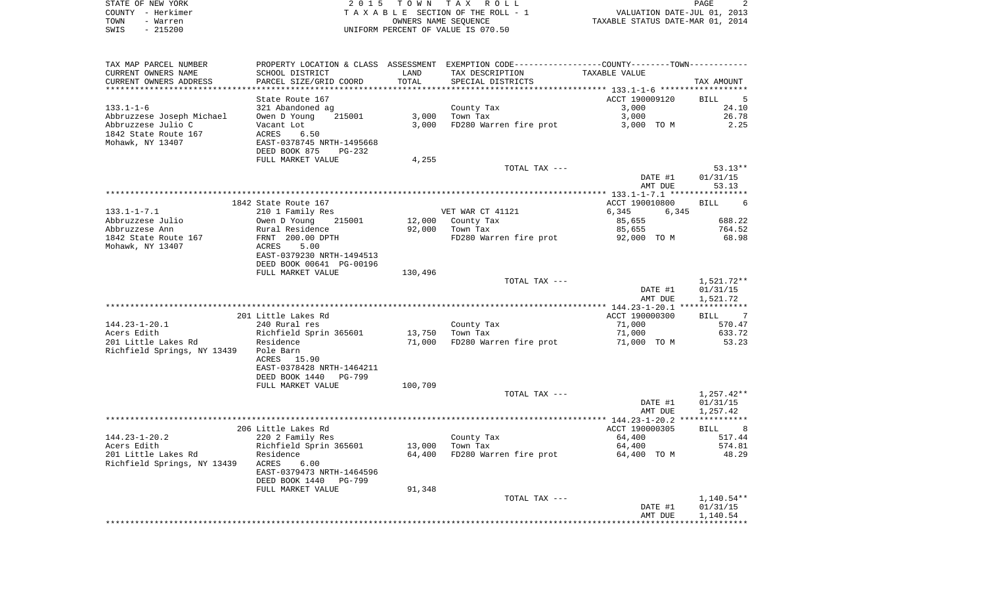| STATE OF NEW YORK | 2015 TOWN TAX ROLL                 | PAGE                             |
|-------------------|------------------------------------|----------------------------------|
| COUNTY - Herkimer | TAXABLE SECTION OF THE ROLL - 1    | VALUATION DATE-JUL 01, 2013      |
| TOWN<br>- Warren  | OWNERS NAME SEOUENCE               | TAXABLE STATUS DATE-MAR 01, 2014 |
| $-215200$<br>SWIS | UNIFORM PERCENT OF VALUE IS 070.50 |                                  |

| TAX MAP PARCEL NUMBER       |                                     |                 | PROPERTY LOCATION & CLASS ASSESSMENT EXEMPTION CODE----------------COUNTY--------TOWN----------- |                |                     |
|-----------------------------|-------------------------------------|-----------------|--------------------------------------------------------------------------------------------------|----------------|---------------------|
| CURRENT OWNERS NAME         | SCHOOL DISTRICT                     | LAND            | TAX DESCRIPTION                                                                                  | TAXABLE VALUE  |                     |
| CURRENT OWNERS ADDRESS      | PARCEL SIZE/GRID COORD              | TOTAL           | SPECIAL DISTRICTS                                                                                |                | TAX AMOUNT          |
| **********************      |                                     |                 |                                                                                                  |                |                     |
|                             | State Route 167                     |                 |                                                                                                  | ACCT 190009120 | BILL<br>$5^{\circ}$ |
| $133.1 - 1 - 6$             | 321 Abandoned ag                    |                 | County Tax                                                                                       | 3,000          | 24.10               |
| Abbruzzese Joseph Michael   | 215001<br>Owen D Young              | 3,000           | Town Tax                                                                                         | 3,000          | 26.78               |
| Abbruzzese Julio C          | Vacant Lot                          | 3,000           | FD280 Warren fire prot                                                                           | 3,000 TO M     | 2.25                |
| 1842 State Route 167        | ACRES<br>6.50                       |                 |                                                                                                  |                |                     |
| Mohawk, NY 13407            | EAST-0378745 NRTH-1495668           |                 |                                                                                                  |                |                     |
|                             | DEED BOOK 875<br><b>PG-232</b>      |                 |                                                                                                  |                |                     |
|                             | FULL MARKET VALUE                   | 4,255           |                                                                                                  |                |                     |
|                             |                                     |                 | TOTAL TAX ---                                                                                    |                | $53.13**$           |
|                             |                                     |                 |                                                                                                  | DATE #1        | 01/31/15            |
|                             |                                     |                 |                                                                                                  |                | 53.13               |
|                             |                                     |                 |                                                                                                  | AMT DUE        |                     |
|                             |                                     |                 |                                                                                                  |                |                     |
|                             | 1842 State Route 167                |                 |                                                                                                  | ACCT 190010800 | <b>BILL</b><br>6    |
| $133.1 - 1 - 7.1$           | 210 1 Family Res                    |                 | VET WAR CT 41121                                                                                 | 6,345<br>6,345 |                     |
| Abbruzzese Julio            | Owen D Young<br>215001              |                 | 12,000 County Tax                                                                                | 85,655         | 688.22              |
| Abbruzzese Ann              | Rural Residence                     | 92,000          | Town Tax                                                                                         | 85,655         | 764.52              |
| 1842 State Route 167        | FRNT 200.00 DPTH                    |                 | FD280 Warren fire prot 92,000 TO M                                                               |                | 68.98               |
| Mohawk, NY 13407            | ACRES<br>5.00                       |                 |                                                                                                  |                |                     |
|                             | EAST-0379230 NRTH-1494513           |                 |                                                                                                  |                |                     |
|                             | DEED BOOK 00641 PG-00196            |                 |                                                                                                  |                |                     |
|                             | FULL MARKET VALUE                   | 130,496         |                                                                                                  |                |                     |
|                             |                                     |                 | TOTAL TAX ---                                                                                    |                | 1,521.72**          |
|                             |                                     |                 |                                                                                                  | DATE #1        | 01/31/15            |
|                             |                                     |                 |                                                                                                  | AMT DUE        | 1,521.72            |
|                             |                                     |                 |                                                                                                  |                |                     |
|                             | 201 Little Lakes Rd                 |                 |                                                                                                  | ACCT 190000300 | BILL 7              |
| $144.23 - 1 - 20.1$         | 240 Rural res                       |                 | County Tax                                                                                       | 71,000         | 570.47              |
| Acers Edith                 | Richfield Sprin 365601<br>Residence | 13,750 Town Tax |                                                                                                  | 71,000         | 633.72              |
| 201 Little Lakes Rd         |                                     | 71,000          | FD280 Warren fire prot                                                                           | 71,000 TO M    | 53.23               |
| Richfield Springs, NY 13439 | Pole Barn                           |                 |                                                                                                  |                |                     |
|                             | 15.90<br>ACRES                      |                 |                                                                                                  |                |                     |
|                             | EAST-0378428 NRTH-1464211           |                 |                                                                                                  |                |                     |
|                             | DEED BOOK 1440<br><b>PG-799</b>     |                 |                                                                                                  |                |                     |
|                             | FULL MARKET VALUE                   | 100,709         |                                                                                                  |                |                     |
|                             |                                     |                 | TOTAL TAX ---                                                                                    |                | 1,257.42**          |
|                             |                                     |                 |                                                                                                  | DATE #1        | 01/31/15            |
|                             |                                     |                 |                                                                                                  | AMT DUE        | 1,257.42            |
|                             |                                     |                 |                                                                                                  |                | **************      |
|                             | 206 Little Lakes Rd                 |                 |                                                                                                  | ACCT 190000305 | <b>BILL</b>         |
| $144.23 - 1 - 20.2$         | 220 2 Family Res                    |                 | County Tax                                                                                       | 64,400         | 517.44              |
| Acers Edith                 | Richfield Sprin 365601              | 13,000          | Town Tax                                                                                         | 64,400         | 574.81              |
| 201 Little Lakes Rd         | Residence                           | 64,400          | FD280 Warren fire prot                                                                           | 64,400 TO M    | 48.29               |
| Richfield Springs, NY 13439 | ACRES<br>6.00                       |                 |                                                                                                  |                |                     |
|                             | EAST-0379473 NRTH-1464596           |                 |                                                                                                  |                |                     |
|                             | DEED BOOK 1440<br>PG-799            |                 |                                                                                                  |                |                     |
|                             |                                     |                 |                                                                                                  |                |                     |
|                             | FULL MARKET VALUE                   | 91,348          |                                                                                                  |                |                     |
|                             |                                     |                 | TOTAL TAX ---                                                                                    |                | 1,140.54**          |
|                             |                                     |                 |                                                                                                  | DATE #1        | 01/31/15            |
|                             |                                     |                 |                                                                                                  | AMT DUE        | 1,140.54            |
|                             |                                     |                 |                                                                                                  |                |                     |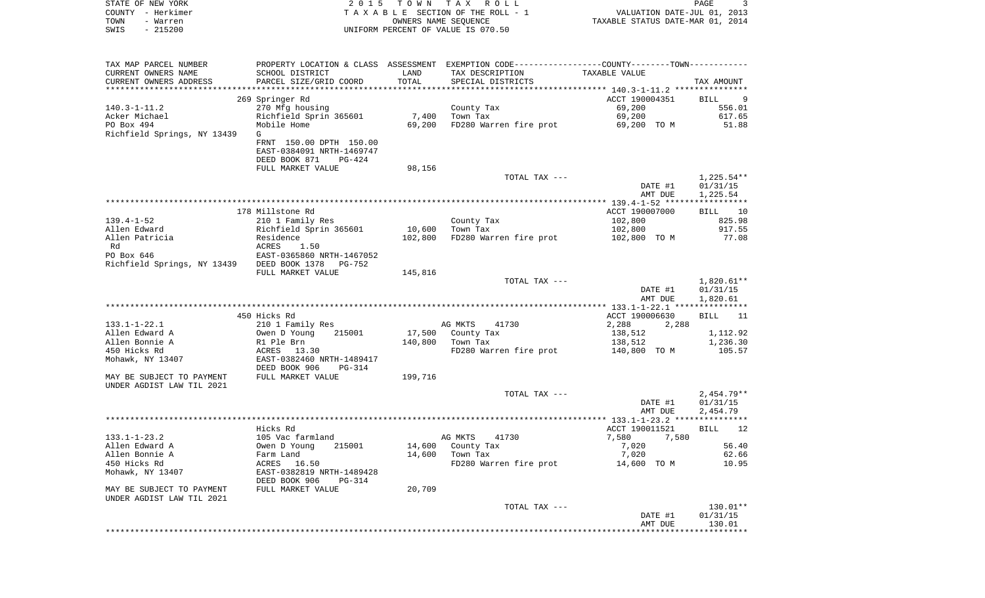| STATE OF NEW YORK<br>COUNTY - Herkimer<br>TOWN<br>- Warren<br>$-215200$<br>SWIS | 2 0 1 5                                      | T O W N | T A X<br>R O L L<br>TAXABLE SECTION OF THE ROLL - 1<br>OWNERS NAME SEQUENCE<br>UNIFORM PERCENT OF VALUE IS 070.50 | VALUATION DATE-JUL 01, 2013<br>TAXABLE STATUS DATE-MAR 01, 2014 | PAGE<br>3                |
|---------------------------------------------------------------------------------|----------------------------------------------|---------|-------------------------------------------------------------------------------------------------------------------|-----------------------------------------------------------------|--------------------------|
|                                                                                 |                                              |         |                                                                                                                   |                                                                 |                          |
| TAX MAP PARCEL NUMBER                                                           |                                              |         | PROPERTY LOCATION & CLASS ASSESSMENT EXEMPTION CODE----------------COUNTY--------TOWN----------                   |                                                                 |                          |
| CURRENT OWNERS NAME                                                             | SCHOOL DISTRICT                              | LAND    | TAX DESCRIPTION                                                                                                   | TAXABLE VALUE                                                   |                          |
| CURRENT OWNERS ADDRESS                                                          | PARCEL SIZE/GRID COORD                       | TOTAL   | SPECIAL DISTRICTS                                                                                                 |                                                                 | TAX AMOUNT               |
| ***********************                                                         |                                              |         |                                                                                                                   |                                                                 |                          |
| $140.3 - 1 - 11.2$                                                              | 269 Springer Rd<br>270 Mfg housing           |         | County Tax                                                                                                        | ACCT 190004351<br>69,200                                        | BILL<br>-9<br>556.01     |
| Acker Michael                                                                   | Richfield Sprin 365601                       | 7,400   | Town Tax                                                                                                          | 69,200                                                          | 617.65                   |
| PO Box 494                                                                      | Mobile Home                                  | 69,200  | FD280 Warren fire prot                                                                                            | 69,200 TO M                                                     | 51.88                    |
| Richfield Springs, NY 13439                                                     | G                                            |         |                                                                                                                   |                                                                 |                          |
|                                                                                 | FRNT 150.00 DPTH 150.00                      |         |                                                                                                                   |                                                                 |                          |
|                                                                                 | EAST-0384091 NRTH-1469747                    |         |                                                                                                                   |                                                                 |                          |
|                                                                                 | DEED BOOK 871<br>PG-424<br>FULL MARKET VALUE | 98,156  |                                                                                                                   |                                                                 |                          |
|                                                                                 |                                              |         | TOTAL TAX ---                                                                                                     |                                                                 | $1,225.54**$             |
|                                                                                 |                                              |         |                                                                                                                   | DATE #1                                                         | 01/31/15                 |
|                                                                                 |                                              |         |                                                                                                                   | AMT DUE                                                         | 1,225.54                 |
|                                                                                 |                                              |         |                                                                                                                   |                                                                 |                          |
|                                                                                 | 178 Millstone Rd                             |         |                                                                                                                   | ACCT 190007000                                                  | BILL<br>10               |
| $139.4 - 1 - 52$<br>Allen Edward                                                | 210 1 Family Res<br>Richfield Sprin 365601   | 10,600  | County Tax<br>Town Tax                                                                                            | 102,800<br>102,800                                              | 825.98<br>917.55         |
| Allen Patricia                                                                  | Residence                                    | 102,800 | FD280 Warren fire prot                                                                                            | 102,800 TO M                                                    | 77.08                    |
| Rd                                                                              | ACRES<br>1.50                                |         |                                                                                                                   |                                                                 |                          |
| PO Box 646                                                                      | EAST-0365860 NRTH-1467052                    |         |                                                                                                                   |                                                                 |                          |
| Richfield Springs, NY 13439                                                     | DEED BOOK 1378<br>PG-752                     |         |                                                                                                                   |                                                                 |                          |
|                                                                                 | FULL MARKET VALUE                            | 145,816 |                                                                                                                   |                                                                 |                          |
|                                                                                 |                                              |         | TOTAL TAX ---                                                                                                     | DATE #1                                                         | $1,820.61**$<br>01/31/15 |
|                                                                                 |                                              |         |                                                                                                                   | AMT DUE                                                         | 1,820.61                 |
|                                                                                 |                                              |         |                                                                                                                   | *************** 133.1-1-22.1 ***************                    |                          |
|                                                                                 | 450 Hicks Rd                                 |         |                                                                                                                   | ACCT 190006630                                                  | <b>BILL</b><br>11        |
| $133.1 - 1 - 22.1$                                                              | 210 1 Family Res                             |         | AG MKTS<br>41730                                                                                                  | 2,288<br>2,288                                                  |                          |
| Allen Edward A                                                                  | 215001<br>Owen D Young                       | 17,500  | County Tax                                                                                                        | 138,512                                                         | 1,112.92                 |
| Allen Bonnie A<br>450 Hicks Rd                                                  | R1 Ple Brn<br>ACRES<br>13.30                 | 140,800 | Town Tax<br>FD280 Warren fire prot                                                                                | 138,512<br>140,800 TO M                                         | 1,236.30<br>105.57       |
| Mohawk, NY 13407                                                                | EAST-0382460 NRTH-1489417                    |         |                                                                                                                   |                                                                 |                          |
|                                                                                 | DEED BOOK 906<br>PG-314                      |         |                                                                                                                   |                                                                 |                          |
| MAY BE SUBJECT TO PAYMENT                                                       | FULL MARKET VALUE                            | 199,716 |                                                                                                                   |                                                                 |                          |
| UNDER AGDIST LAW TIL 2021                                                       |                                              |         |                                                                                                                   |                                                                 |                          |
|                                                                                 |                                              |         | TOTAL TAX ---                                                                                                     |                                                                 | $2,454.79**$             |
|                                                                                 |                                              |         |                                                                                                                   | DATE #1                                                         | 01/31/15                 |
|                                                                                 |                                              |         |                                                                                                                   | AMT DUE                                                         | 2,454.79                 |
|                                                                                 | Hicks Rd                                     |         |                                                                                                                   | ACCT 190011521                                                  | 12<br>BILL               |
| $133.1 - 1 - 23.2$                                                              | 105 Vac farmland                             |         | AG MKTS<br>41730                                                                                                  | 7,580 7,580                                                     |                          |
| Allen Edward A                                                                  | Owen D Young<br>215001                       | 14,600  | County Tax                                                                                                        | 7,020                                                           | 56.40                    |
| Allen Bonnie A                                                                  | Farm Land                                    | 14,600  | Town Tax                                                                                                          | 7,020                                                           | 62.66                    |
| 450 Hicks Rd                                                                    | ACRES 16.50<br>EAST-0382819 NRTH-1489428     |         | FD280 Warren fire prot                                                                                            | 14,600 TO M                                                     | 10.95                    |
| Mohawk, NY 13407                                                                | DEED BOOK 906<br>PG-314                      |         |                                                                                                                   |                                                                 |                          |
| MAY BE SUBJECT TO PAYMENT                                                       | FULL MARKET VALUE                            | 20,709  |                                                                                                                   |                                                                 |                          |
| UNDER AGDIST LAW TIL 2021                                                       |                                              |         |                                                                                                                   |                                                                 |                          |
|                                                                                 |                                              |         | TOTAL TAX ---                                                                                                     |                                                                 | 130.01**                 |
|                                                                                 |                                              |         |                                                                                                                   | DATE #1                                                         | 01/31/15                 |
|                                                                                 |                                              |         |                                                                                                                   | AMT DUE                                                         | 130.01                   |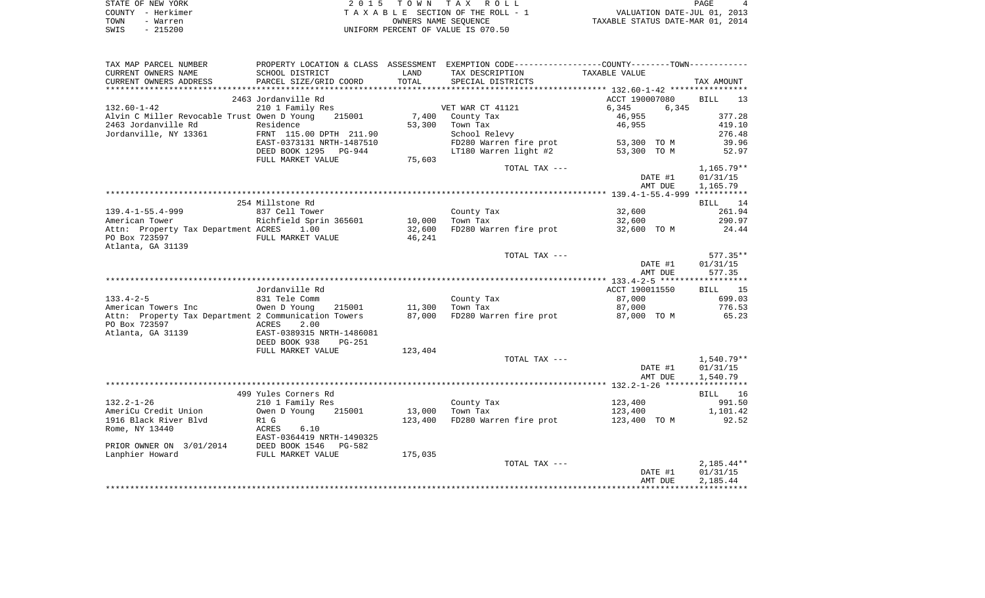| STATE OF NEW YORK | 2015 TOWN TAX ROLL                 | PAGE                             |
|-------------------|------------------------------------|----------------------------------|
| COUNTY - Herkimer | TAXABLE SECTION OF THE ROLL - 1    | VALUATION DATE-JUL 01, 2013      |
| TOWN<br>- Warren  | OWNERS NAME SEOUENCE               | TAXABLE STATUS DATE-MAR 01, 2014 |
| $-215200$<br>SWIS | UNIFORM PERCENT OF VALUE IS 070.50 |                                  |

| TAX MAP PARCEL NUMBER<br>CURRENT OWNERS NAME         | SCHOOL DISTRICT                | LAND    | PROPERTY LOCATION & CLASS ASSESSMENT EXEMPTION CODE---------------COUNTY--------TOWN----------<br>TAX DESCRIPTION | TAXABLE VALUE      |                      |
|------------------------------------------------------|--------------------------------|---------|-------------------------------------------------------------------------------------------------------------------|--------------------|----------------------|
| CURRENT OWNERS ADDRESS                               | PARCEL SIZE/GRID COORD         | TOTAL   | SPECIAL DISTRICTS                                                                                                 |                    | TAX AMOUNT           |
|                                                      | 2463 Jordanville Rd            |         |                                                                                                                   | ACCT 190007080     | BILL<br>13           |
| $132.60 - 1 - 42$                                    | 210 1 Family Res               |         | VET WAR CT 41121                                                                                                  | 6,345<br>6,345     |                      |
| Alvin C Miller Revocable Trust Owen D Young          | 215001                         |         | 7,400 County Tax                                                                                                  | 46,955             | 377.28               |
| 2463 Jordanville Rd                                  | Residence                      | 53,300  | Town Tax                                                                                                          | 46,955             | 419.10               |
| Jordanville, NY 13361 FRNT 115.00 DPTH 211.90        |                                |         | School Relevy                                                                                                     |                    | 276.48               |
|                                                      | EAST-0373131 NRTH-1487510      |         | FD280 Warren fire prot 53,300 TO M                                                                                |                    | 39.96                |
|                                                      | DEED BOOK 1295 PG-944          |         | LT180 Warren light #2                                                                                             | 53,300 TO M        | 52.97                |
|                                                      | FULL MARKET VALUE              | 75,603  |                                                                                                                   |                    |                      |
|                                                      |                                |         | TOTAL TAX ---                                                                                                     |                    | $1,165.79**$         |
|                                                      |                                |         |                                                                                                                   | DATE #1            | 01/31/15             |
|                                                      |                                |         |                                                                                                                   | AMT DUE            | 1,165.79             |
|                                                      | 254 Millstone Rd               |         |                                                                                                                   |                    |                      |
| $139.4 - 1 - 55.4 - 999$                             | 837 Cell Tower                 |         | County Tax                                                                                                        | 32,600             | BILL 14<br>261.94    |
| American Tower                                       | Richfield Sprin 365601         | 10,000  | Town Tax                                                                                                          | 32,600             | 290.97               |
| Attn: Property Tax Department ACRES 1.00             |                                | 32,600  | FD280 Warren fire prot 32,600 TO M                                                                                |                    | 24.44                |
| PO Box 723597                                        | FULL MARKET VALUE              | 46,241  |                                                                                                                   |                    |                      |
| Atlanta, GA 31139                                    |                                |         |                                                                                                                   |                    |                      |
|                                                      |                                |         | TOTAL TAX ---                                                                                                     |                    | $577.35**$           |
|                                                      |                                |         |                                                                                                                   | DATE #1            | 01/31/15             |
|                                                      |                                |         |                                                                                                                   | AMT DUE            | 577.35               |
|                                                      |                                |         |                                                                                                                   |                    |                      |
|                                                      | Jordanville Rd                 |         |                                                                                                                   | ACCT 190011550     | BILL 15              |
| $133.4 - 2 - 5$                                      | 831 Tele Comm                  |         | County Tax                                                                                                        | 87,000             | 699.03               |
| American Towers Inc                                  | 215001<br>Owen D Young         | 11,300  | Town Tax                                                                                                          | 87,000             | 776.53               |
| Attn: Property Tax Department 2 Communication Towers |                                | 87,000  | FD280 Warren fire prot 87,000 TO M                                                                                |                    | 65.23                |
| PO Box 723597<br><b>Example 21 ACRES</b>             | 2.00                           |         |                                                                                                                   |                    |                      |
| Atlanta, GA 31139                                    | EAST-0389315 NRTH-1486081      |         |                                                                                                                   |                    |                      |
|                                                      | DEED BOOK 938<br><b>PG-251</b> |         |                                                                                                                   |                    |                      |
|                                                      | FULL MARKET VALUE              | 123,404 |                                                                                                                   |                    |                      |
|                                                      |                                |         | TOTAL TAX ---                                                                                                     |                    | 1,540.79**           |
|                                                      |                                |         |                                                                                                                   | DATE #1<br>AMT DUE | 01/31/15<br>1,540.79 |
|                                                      |                                |         |                                                                                                                   |                    |                      |
|                                                      | 499 Yules Corners Rd           |         |                                                                                                                   |                    | BILL 16              |
| $132.2 - 1 - 26$                                     | 210 1 Family Res               |         | County Tax                                                                                                        | 123,400            | 991.50               |
| AmeriCu Credit Union                                 | Owen D Young<br>215001         | 13,000  | Town Tax                                                                                                          | 123,400            | 1,101.42             |
| 1916 Black River Blvd                                | R1 G                           | 123,400 | FD280 Warren fire prot 123,400 TO M                                                                               |                    | 92.52                |
| Rome, NY 13440                                       | ACRES<br>6.10                  |         |                                                                                                                   |                    |                      |
|                                                      | EAST-0364419 NRTH-1490325      |         |                                                                                                                   |                    |                      |
| PRIOR OWNER ON 3/01/2014 DEED BOOK 1546 PG-582       |                                |         |                                                                                                                   |                    |                      |
| Lanphier Howard                                      | FULL MARKET VALUE              | 175,035 |                                                                                                                   |                    |                      |
|                                                      |                                |         | TOTAL TAX ---                                                                                                     |                    | $2,185.44**$         |
|                                                      |                                |         |                                                                                                                   | DATE #1            | 01/31/15             |
|                                                      |                                |         |                                                                                                                   | AMT DUE            | 2,185.44             |
|                                                      |                                |         |                                                                                                                   |                    |                      |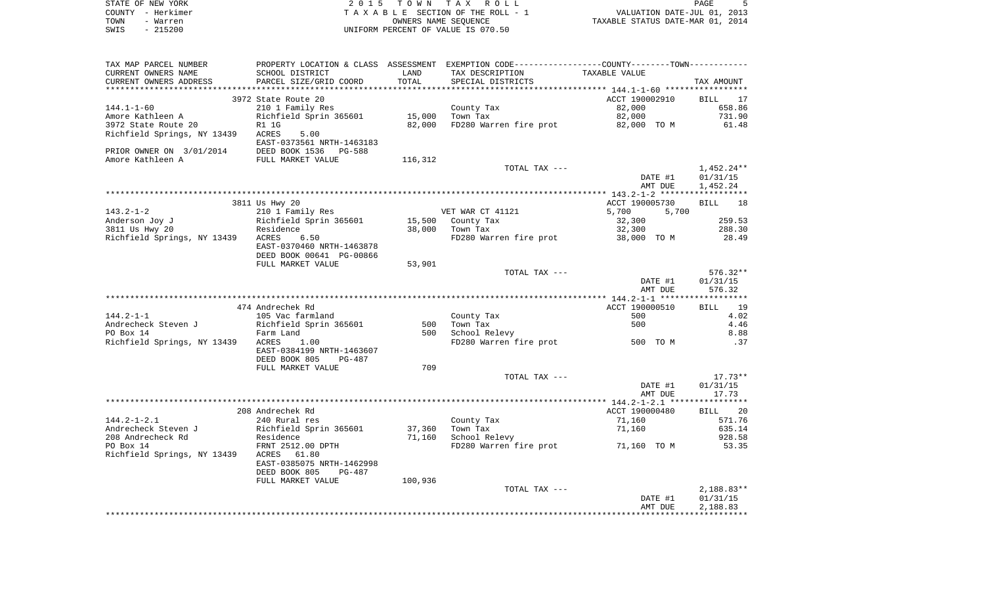|      | STATE OF NEW YORK | 2015 TOWN TAX ROLL                 |                                  | PAGE |  |
|------|-------------------|------------------------------------|----------------------------------|------|--|
|      | COUNTY - Herkimer | TAXABLE SECTION OF THE ROLL - 1    | VALUATION DATE-JUL 01, 2013      |      |  |
| TOWN | - Warren          | OWNERS NAME SEOUENCE               | TAXABLE STATUS DATE-MAR 01, 2014 |      |  |
| SWIS | $-215200$         | UNIFORM PERCENT OF VALUE IS 070.50 |                                  |      |  |

| TAX MAP PARCEL NUMBER                                                                |                                                                               |         | PROPERTY LOCATION & CLASS ASSESSMENT EXEMPTION CODE---------------COUNTY-------TOWN---------- |                |              |
|--------------------------------------------------------------------------------------|-------------------------------------------------------------------------------|---------|-----------------------------------------------------------------------------------------------|----------------|--------------|
| CURRENT OWNERS NAME                                                                  | SCHOOL DISTRICT                                                               | LAND    | TAX DESCRIPTION                                                                               | TAXABLE VALUE  |              |
| CURRENT OWNERS ADDRESS                                                               | PARCEL SIZE/GRID COORD                                                        | TOTAL   | SPECIAL DISTRICTS                                                                             |                | TAX AMOUNT   |
|                                                                                      |                                                                               |         |                                                                                               |                |              |
|                                                                                      | 3972 State Route 20                                                           |         |                                                                                               | ACCT 190002910 | BILL 17      |
| 144.1-1-60                                                                           | 210 1 Family Res                                                              |         | County Tax                                                                                    | 82,000         | 658.86       |
| Amore Kathleen A<br>3972 State Route 20 1 1G<br>21 N 1 1G                            |                                                                               | 15,000  | Town Tax                                                                                      | 82,000         | 731.90       |
|                                                                                      |                                                                               | 82,000  | FD280 Warren fire prot 82,000 TO M                                                            |                | 61.48        |
| Richfield Springs, NY 13439 ACRES                                                    | 5.00                                                                          |         |                                                                                               |                |              |
|                                                                                      | EAST-0373561 NRTH-1463183                                                     |         |                                                                                               |                |              |
| PRIOR OWNER ON 3/01/2014 DEED BOOK 1536 PG-588<br>Amore Kathleen A FULL MARKET VALUE |                                                                               |         |                                                                                               |                |              |
|                                                                                      |                                                                               | 116,312 |                                                                                               |                |              |
|                                                                                      |                                                                               |         | TOTAL TAX ---                                                                                 |                | 1,452.24**   |
|                                                                                      |                                                                               |         |                                                                                               | DATE #1        | 01/31/15     |
|                                                                                      |                                                                               |         |                                                                                               | AMT DUE        | 1,452.24     |
|                                                                                      |                                                                               |         |                                                                                               |                |              |
|                                                                                      |                                                                               |         |                                                                                               |                |              |
|                                                                                      | 3811 Us Hwy 20                                                                |         |                                                                                               | ACCT 190005730 | BILL 18      |
| $143.2 - 1 - 2$                                                                      | 210 1 Family Res<br>210 1 1 mm 1 2 111<br>Richfield Sprin 365601<br>Residence |         | VET WAR CT 41121                                                                              | 5,700<br>5,700 |              |
| Anderson Joy J                                                                       |                                                                               |         | 15,500 County Tax                                                                             | 32,300         | 259.53       |
| 3811 Us Hwy 20                                                                       | $\frac{1}{2}$ 6.50                                                            |         | 38,000 Town Tax                                                                               | 32,300         | 288.30       |
| Richfield Springs, NY 13439 ACRES                                                    |                                                                               |         | FD280 Warren fire prot 38,000 TO M                                                            |                | 28.49        |
|                                                                                      | EAST-0370460 NRTH-1463878                                                     |         |                                                                                               |                |              |
|                                                                                      | DEED BOOK 00641 PG-00866                                                      |         |                                                                                               |                |              |
|                                                                                      | FULL MARKET VALUE                                                             | 53,901  |                                                                                               |                |              |
|                                                                                      |                                                                               |         | TOTAL TAX ---                                                                                 |                | 576.32**     |
|                                                                                      |                                                                               |         |                                                                                               | DATE #1        | 01/31/15     |
|                                                                                      |                                                                               |         |                                                                                               | AMT DUE        | 576.32       |
|                                                                                      |                                                                               |         |                                                                                               |                |              |
|                                                                                      | 474 Andrechek Rd                                                              |         |                                                                                               | ACCT 190000510 | BILL 19      |
| $144.2 - 1 - 1$                                                                      | 105 Vac farmland                                                              |         | County Tax                                                                                    | 500            | 4.02         |
| Andrecheck Steven J<br>Andrecheck Steven J<br>PO Box 14 Farm Land                    |                                                                               | 500     | Town Tax                                                                                      | 500            | 4.46         |
|                                                                                      |                                                                               |         | 500 School Relevy                                                                             |                | 8.88         |
| Richfield Springs, NY 13439 ACRES                                                    | 1.00                                                                          |         | FD280 Warren fire prot 500 TO M                                                               |                | .37          |
|                                                                                      | EAST-0384199 NRTH-1463607                                                     |         |                                                                                               |                |              |
|                                                                                      | DEED BOOK 805<br>PG-487                                                       |         |                                                                                               |                |              |
|                                                                                      | FULL MARKET VALUE                                                             | 709     |                                                                                               |                |              |
|                                                                                      |                                                                               |         | TOTAL TAX ---                                                                                 |                | $17.73**$    |
|                                                                                      |                                                                               |         |                                                                                               | DATE #1        | 01/31/15     |
|                                                                                      |                                                                               |         |                                                                                               | AMT DUE        | 17.73        |
|                                                                                      |                                                                               |         |                                                                                               |                |              |
|                                                                                      | 208 Andrechek Rd                                                              |         |                                                                                               | ACCT 190000480 | BILL 20      |
| $144.2 - 1 - 2.1$                                                                    | 240 Rural res                                                                 |         | County Tax                                                                                    | 71,160         | 571.76       |
|                                                                                      |                                                                               | 37,360  | Town Tax                                                                                      | 71,160         | 635.14       |
|                                                                                      |                                                                               | 71,160  | School Relevy                                                                                 |                | 928.58       |
|                                                                                      |                                                                               |         | FD280 Warren fire prot 51,160 TO M                                                            |                | 53.35        |
| Richfield Springs, NY 13439 ACRES                                                    | 61.80                                                                         |         |                                                                                               |                |              |
|                                                                                      | EAST-0385075 NRTH-1462998                                                     |         |                                                                                               |                |              |
|                                                                                      | DEED BOOK 805<br>PG-487                                                       |         |                                                                                               |                |              |
|                                                                                      |                                                                               | 100,936 |                                                                                               |                |              |
|                                                                                      | FULL MARKET VALUE                                                             |         | TOTAL TAX ---                                                                                 |                | $2,188.83**$ |
|                                                                                      |                                                                               |         |                                                                                               |                |              |
|                                                                                      |                                                                               |         |                                                                                               | DATE #1        | 01/31/15     |
|                                                                                      |                                                                               |         |                                                                                               | AMT DUE        | 2,188.83     |
|                                                                                      |                                                                               |         |                                                                                               |                |              |
|                                                                                      |                                                                               |         |                                                                                               |                |              |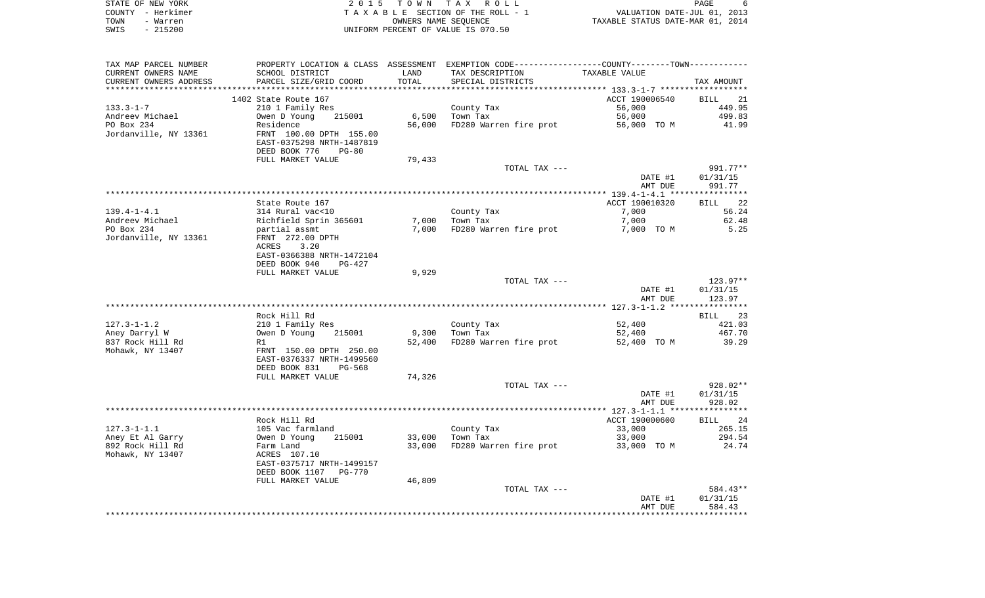| STATE OF NEW YORK | 2015 TOWN TAX ROLL                 |                                  | PAGE |  |
|-------------------|------------------------------------|----------------------------------|------|--|
| COUNTY - Herkimer | TAXABLE SECTION OF THE ROLL - 1    | VALUATION DATE-JUL 01, 2013      |      |  |
| TOWN<br>- Warren  | OWNERS NAME SEOUENCE               | TAXABLE STATUS DATE-MAR 01, 2014 |      |  |
| SWIS<br>- 215200  | UNIFORM PERCENT OF VALUE IS 070.50 |                                  |      |  |

| TAX MAP PARCEL NUMBER                |                                                                                             |        | PROPERTY LOCATION & CLASS ASSESSMENT EXEMPTION CODE---------------COUNTY-------TOWN---------- |                    |                                  |
|--------------------------------------|---------------------------------------------------------------------------------------------|--------|-----------------------------------------------------------------------------------------------|--------------------|----------------------------------|
| CURRENT OWNERS NAME                  | SCHOOL DISTRICT                                                                             | LAND   | TAX DESCRIPTION                                                                               | TAXABLE VALUE      |                                  |
| CURRENT OWNERS ADDRESS               | PARCEL SIZE/GRID COORD                                                                      | TOTAL  | SPECIAL DISTRICTS                                                                             |                    | TAX AMOUNT                       |
|                                      |                                                                                             |        |                                                                                               |                    |                                  |
|                                      | 1402 State Route 167                                                                        |        |                                                                                               | ACCT 190006540     | BILL<br>21                       |
| $133.3 - 1 - 7$                      | 210 1 Family Res                                                                            |        | County Tax                                                                                    | 56,000             | 449.95                           |
| Andreev Michael                      | 215001<br>Owen D Young                                                                      | 6,500  | Town Tax                                                                                      | 56,000             | 499.83                           |
| PO Box 234                           | Residence                                                                                   | 56,000 | FD280 Warren fire prot                                                                        | 56,000 TO M        | 41.99                            |
| Jordanville, NY 13361                | FRNT 100.00 DPTH 155.00<br>EAST-0375298 NRTH-1487819<br>DEED BOOK 776<br>$PG-80$            |        |                                                                                               |                    |                                  |
|                                      | FULL MARKET VALUE                                                                           | 79,433 |                                                                                               |                    |                                  |
|                                      |                                                                                             |        | TOTAL TAX ---                                                                                 | DATE #1<br>AMT DUE | 991.77**<br>01/31/15<br>991.77   |
|                                      |                                                                                             |        |                                                                                               |                    |                                  |
|                                      | State Route 167                                                                             |        |                                                                                               | ACCT 190010320     | 22<br>BILL                       |
| $139.4 - 1 - 4.1$                    | 314 Rural vac<10                                                                            |        | County Tax                                                                                    | 7,000              | 56.24                            |
| Andreev Michael                      | Richfield Sprin 365601                                                                      | 7,000  | Town Tax                                                                                      | 7,000              | 62.48                            |
| PO Box 234                           | partial assmt                                                                               | 7,000  | FD280 Warren fire prot                                                                        | 7,000 TO M         | 5.25                             |
| Jordanville, NY 13361                | FRNT 272.00 DPTH<br>3.20<br>ACRES<br>EAST-0366388 NRTH-1472104<br>DEED BOOK 940<br>$PG-427$ |        |                                                                                               |                    |                                  |
|                                      | FULL MARKET VALUE                                                                           | 9,929  |                                                                                               |                    |                                  |
|                                      |                                                                                             |        | TOTAL TAX ---                                                                                 |                    | $123.97**$                       |
|                                      |                                                                                             |        |                                                                                               | DATE #1<br>AMT DUE | 01/31/15<br>123.97               |
|                                      |                                                                                             |        |                                                                                               |                    |                                  |
|                                      | Rock Hill Rd                                                                                |        |                                                                                               |                    | 23<br>BILL                       |
| $127.3 - 1 - 1.2$                    | 210 1 Family Res                                                                            |        | County Tax                                                                                    | 52,400             | 421.03                           |
| Aney Darryl W                        | Owen D Young<br>215001                                                                      | 9,300  | Town Tax                                                                                      | 52,400             | 467.70                           |
| 837 Rock Hill Rd<br>Mohawk, NY 13407 | R1<br>FRNT 150.00 DPTH 250.00<br>EAST-0376337 NRTH-1499560<br>DEED BOOK 831<br>PG-568       | 52,400 | FD280 Warren fire prot                                                                        | 52,400 TO M        | 39.29                            |
|                                      | FULL MARKET VALUE                                                                           | 74,326 |                                                                                               |                    |                                  |
|                                      |                                                                                             |        | TOTAL TAX ---                                                                                 | DATE #1<br>AMT DUE | $928.02**$<br>01/31/15<br>928.02 |
|                                      |                                                                                             |        |                                                                                               |                    |                                  |
|                                      | Rock Hill Rd                                                                                |        |                                                                                               | ACCT 190000600     | BILL 24                          |
| $127.3 - 1 - 1.1$                    | 105 Vac farmland                                                                            |        | County Tax                                                                                    | 33,000             | 265.15                           |
| Aney Et Al Garry                     | Owen D Young<br>215001                                                                      | 33,000 | Town Tax                                                                                      | 33,000             | 294.54                           |
| 892 Rock Hill Rd                     | Farm Land                                                                                   | 33,000 | FD280 Warren fire prot                                                                        | 33,000 TO M        | 24.74                            |
| Mohawk, NY 13407                     | ACRES 107.10<br>EAST-0375717 NRTH-1499157<br>DEED BOOK 1107<br><b>PG-770</b>                |        |                                                                                               |                    |                                  |
|                                      | FULL MARKET VALUE                                                                           | 46,809 |                                                                                               |                    |                                  |
|                                      |                                                                                             |        | TOTAL TAX ---                                                                                 |                    | 584.43**                         |
|                                      |                                                                                             |        |                                                                                               | DATE #1<br>AMT DUE | 01/31/15<br>584.43               |
|                                      |                                                                                             |        |                                                                                               |                    |                                  |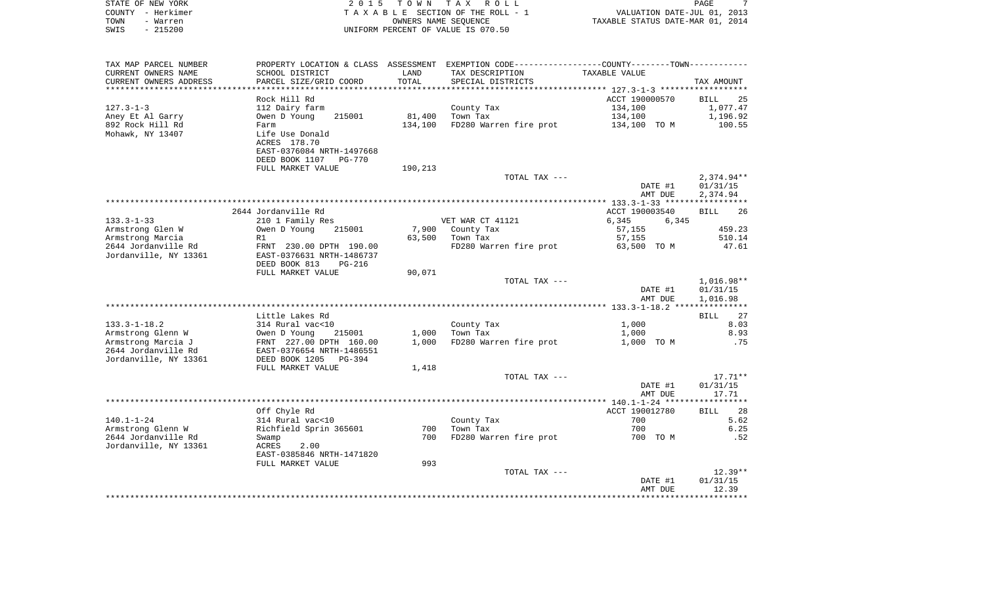| STATE OF NEW YORK                    |                                                                                               |                      | 2015 TOWN TAX ROLL                 |                                  | 7<br>PAGE    |
|--------------------------------------|-----------------------------------------------------------------------------------------------|----------------------|------------------------------------|----------------------------------|--------------|
| COUNTY - Herkimer                    |                                                                                               |                      | TAXABLE SECTION OF THE ROLL - 1    | VALUATION DATE-JUL 01, 2013      |              |
| TOWN<br>- Warren                     |                                                                                               | OWNERS NAME SEQUENCE |                                    | TAXABLE STATUS DATE-MAR 01, 2014 |              |
| SWIS<br>$-215200$                    |                                                                                               |                      | UNIFORM PERCENT OF VALUE IS 070.50 |                                  |              |
| TAX MAP PARCEL NUMBER                | PROPERTY LOCATION & CLASS ASSESSMENT EXEMPTION CODE---------------COUNTY-------TOWN---------- |                      |                                    |                                  |              |
| CURRENT OWNERS NAME                  | SCHOOL DISTRICT                                                                               | LAND                 | TAX DESCRIPTION                    | TAXABLE VALUE                    |              |
| CURRENT OWNERS ADDRESS               | PARCEL SIZE/GRID COORD                                                                        | TOTAL                | SPECIAL DISTRICTS                  |                                  | TAX AMOUNT   |
|                                      |                                                                                               |                      |                                    |                                  |              |
|                                      | Rock Hill Rd                                                                                  |                      |                                    | ACCT 190000570                   | 25<br>BILL   |
| $127.3 - 1 - 3$                      | 112 Dairy farm                                                                                |                      | County Tax                         | 134,100                          | 1,077.47     |
| Aney Et Al Garry                     | Owen D Young<br>215001                                                                        | 81,400               | Town Tax                           | 134,100                          | 1,196.92     |
| 892 Rock Hill Rd<br>Mohawk, NY 13407 | Farm<br>Life Use Donald                                                                       | 134,100              | FD280 Warren fire prot             | 134,100 TO M                     | 100.55       |
|                                      | ACRES 178.70<br>EAST-0376084 NRTH-1497668                                                     |                      |                                    |                                  |              |
|                                      | DEED BOOK 1107 PG-770                                                                         |                      |                                    |                                  |              |
|                                      | FULL MARKET VALUE                                                                             | 190,213              |                                    |                                  |              |
|                                      |                                                                                               |                      | TOTAL TAX ---                      |                                  | $2,374.94**$ |
|                                      |                                                                                               |                      |                                    | DATE #1                          | 01/31/15     |
|                                      |                                                                                               |                      |                                    | AMT DUE                          | 2,374.94     |
|                                      |                                                                                               |                      |                                    |                                  |              |
|                                      | 2644 Jordanville Rd                                                                           |                      |                                    | ACCT 190003540                   | 26<br>BILL   |
| $133.3 - 1 - 33$                     | 210 1 Family Res                                                                              |                      | VET WAR CT 41121                   | 6,345<br>6,345                   |              |
| Armstrong Glen W                     | Owen D Young<br>215001                                                                        |                      | 7,900 County Tax                   | 57,155                           | 459.23       |
| Armstrong Marcia                     | R1                                                                                            | 63,500               | Town Tax                           | 57,155                           | 510.14       |
| 2644 Jordanville Rd                  | FRNT 230.00 DPTH 190.00                                                                       |                      | FD280 Warren fire prot             | 63,500 TO M                      | 47.61        |
| Jordanville, NY 13361                | EAST-0376631 NRTH-1486737                                                                     |                      |                                    |                                  |              |
|                                      | DEED BOOK 813<br>PG-216<br>FULL MARKET VALUE                                                  | 90,071               |                                    |                                  |              |
|                                      |                                                                                               |                      | TOTAL TAX ---                      |                                  | 1,016.98**   |
|                                      |                                                                                               |                      |                                    | DATE #1                          | 01/31/15     |
|                                      |                                                                                               |                      |                                    | AMT DUE                          | 1,016.98     |
|                                      |                                                                                               |                      |                                    |                                  |              |

Armstrong Glenn W 0wen D Young 215001 1,000 Town Tax 1,000 1,000 1,000 1,000 1,000 8.93<br>Armstrong Marcia J 6RNT 227.00 DPTH 160.00 1,000 FD280 Warren fire prot 1,000 TO M Armstrong Marcia J FRNT 227.00 DPTH 160.00 1,000 FD280 Warren fire prot 1,000 TO M .75

\*\*\*\*\*\*\*\*\*\*\*\*\*\*\*\*\*\*\*\*\*\*\*\*\*\*\*\*\*\*\*\*\*\*\*\*\*\*\*\*\*\*\*\*\*\*\*\*\*\*\*\*\*\*\*\*\*\*\*\*\*\*\*\*\*\*\*\*\*\*\*\*\*\*\*\*\*\*\*\*\*\*\*\*\*\*\*\*\*\*\*\*\*\*\*\*\*\*\*\*\*\*\* 140.1-1-24 \*\*\*\*\*\*\*\*\*\*\*\*\*\*\*\*\*

Armstrong Glenn W Richfield Sprin 365601 700 Town Tax 700 700 700 76.25 2644 Jordanville Rd Swamp 700 FD280 Warren fire prot 700 TO M .52

\*\*\*\*\*\*\*\*\*\*\*\*\*\*\*\*\*\*\*\*\*\*\*\*\*\*\*\*\*\*\*\*\*\*\*\*\*\*\*\*\*\*\*\*\*\*\*\*\*\*\*\*\*\*\*\*\*\*\*\*\*\*\*\*\*\*\*\*\*\*\*\*\*\*\*\*\*\*\*\*\*\*\*\*\*\*\*\*\*\*\*\*\*\*\*\*\*\*\*\*\*\*\*\*\*\*\*\*\*\*\*\*\*\*\*\*\*\*\*\*\*\*\*\*\*\*\*\*\*\*\*\*

133.3-1-18.2 314 Rural vac<10 County Tax 1,000

EAST-0376654 NRTH-1486551

EAST-0385846 NRTH-1471820

140.1-1-24 314 Rural vac<10 County Tax

FULL MARKET VALUE 1,418

FULL MARKET VALUE 993

Jordanville, NY 13361 DEED BOOK 1205 PG-394

Jordanville, NY 13361 ACRES 2.00

Little Lakes Rd BILL 27

Off Chyle Rd ACCT 190012780 BILL 28

27

8.03

28

 DATE #1 01/31/15 AMT DUE 17.71

 DATE #1 01/31/15 AMT DUE 12.39

TOTAL TAX  $---$  17.71\*\*

TOTAL TAX  $---$  12.39  $*$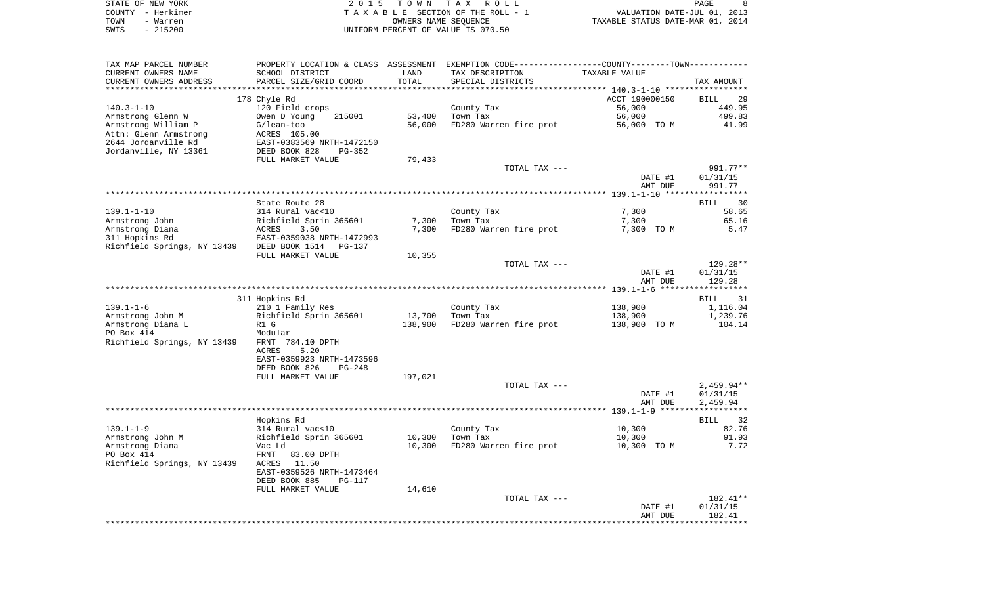| STATE OF NEW YORK | 2015 TOWN TAX ROLL                 | PAGE                             |
|-------------------|------------------------------------|----------------------------------|
| COUNTY - Herkimer | TAXABLE SECTION OF THE ROLL - 1    | VALUATION DATE-JUL 01, 2013      |
| TOWN<br>- Warren  | OWNERS NAME SEOUENCE               | TAXABLE STATUS DATE-MAR 01, 2014 |
| $-215200$<br>SWIS | UNIFORM PERCENT OF VALUE IS 070.50 |                                  |

| TAX MAP PARCEL NUMBER       | PROPERTY LOCATION & CLASS ASSESSMENT EXEMPTION CODE----------------COUNTY--------TOWN---------- |         |                        |                |                   |
|-----------------------------|-------------------------------------------------------------------------------------------------|---------|------------------------|----------------|-------------------|
| CURRENT OWNERS NAME         | SCHOOL DISTRICT                                                                                 | LAND    | TAX DESCRIPTION        | TAXABLE VALUE  |                   |
| CURRENT OWNERS ADDRESS      | PARCEL SIZE/GRID COORD                                                                          | TOTAL   | SPECIAL DISTRICTS      |                | TAX AMOUNT        |
|                             | ***********************                                                                         |         |                        |                |                   |
|                             | 178 Chyle Rd                                                                                    |         |                        | ACCT 190000150 | <b>BILL</b><br>29 |
| $140.3 - 1 - 10$            | 120 Field crops                                                                                 |         | County Tax             | 56,000         | 449.95            |
| Armstrong Glenn W           | Owen D Young<br>215001                                                                          | 53,400  | Town Tax               | 56,000         | 499.83            |
| Armstrong William P         | $G/lean-too$                                                                                    | 56,000  | FD280 Warren fire prot | 56,000 TO M    | 41.99             |
| Attn: Glenn Armstrong       | ACRES 105.00                                                                                    |         |                        |                |                   |
| 2644 Jordanville Rd         | EAST-0383569 NRTH-1472150                                                                       |         |                        |                |                   |
| Jordanville, NY 13361       | DEED BOOK 828<br>$PG-352$                                                                       |         |                        |                |                   |
|                             | FULL MARKET VALUE                                                                               | 79,433  |                        |                |                   |
|                             |                                                                                                 |         | TOTAL TAX ---          |                | 991.77**          |
|                             |                                                                                                 |         |                        | DATE #1        | 01/31/15          |
|                             |                                                                                                 |         |                        | AMT DUE        | 991.77            |
|                             |                                                                                                 |         |                        |                | **********        |
|                             |                                                                                                 |         |                        |                |                   |
|                             | State Route 28                                                                                  |         |                        |                | 30<br>BILL        |
| $139.1 - 1 - 10$            | 314 Rural vac<10                                                                                |         | County Tax             | 7,300          | 58.65             |
| Armstrong John              | Richfield Sprin 365601                                                                          | 7,300   | Town Tax               | 7,300          | 65.16             |
| Armstrong Diana             | ACRES<br>3.50                                                                                   | 7,300   | FD280 Warren fire prot | 7,300 TO M     | 5.47              |
| 311 Hopkins Rd              | EAST-0359038 NRTH-1472993                                                                       |         |                        |                |                   |
| Richfield Springs, NY 13439 | DEED BOOK 1514<br>$PG-137$                                                                      |         |                        |                |                   |
|                             | FULL MARKET VALUE                                                                               | 10,355  |                        |                |                   |
|                             |                                                                                                 |         | TOTAL TAX ---          |                | 129.28**          |
|                             |                                                                                                 |         |                        | DATE #1        | 01/31/15          |
|                             |                                                                                                 |         |                        | AMT DUE        | 129.28            |
|                             |                                                                                                 |         |                        |                |                   |
|                             | 311 Hopkins Rd                                                                                  |         |                        |                | BILL<br>31        |
| $139.1 - 1 - 6$             | 210 1 Family Res                                                                                |         | County Tax             | 138,900        | 1,116.04          |
| Armstrong John M            | Richfield Sprin 365601                                                                          | 13,700  | Town Tax               | 138,900        | 1,239.76          |
| Armstrong Diana L           | R1 G                                                                                            | 138,900 | FD280 Warren fire prot | 138,900 TO M   | 104.14            |
| PO Box 414                  | Modular                                                                                         |         |                        |                |                   |
| Richfield Springs, NY 13439 | FRNT 784.10 DPTH                                                                                |         |                        |                |                   |
|                             | 5.20<br>ACRES                                                                                   |         |                        |                |                   |
|                             | EAST-0359923 NRTH-1473596                                                                       |         |                        |                |                   |
|                             | DEED BOOK 826<br>$PG-248$                                                                       |         |                        |                |                   |
|                             | FULL MARKET VALUE                                                                               | 197,021 |                        |                |                   |
|                             |                                                                                                 |         | TOTAL TAX ---          |                | $2,459.94**$      |
|                             |                                                                                                 |         |                        | DATE #1        | 01/31/15          |
|                             |                                                                                                 |         |                        | AMT DUE        | 2,459.94          |
|                             |                                                                                                 |         |                        |                |                   |
|                             | Hopkins Rd                                                                                      |         |                        |                | 32<br>BILL        |
| $139.1 - 1 - 9$             | 314 Rural vac<10                                                                                |         | County Tax             | 10,300         | 82.76             |
| Armstrong John M            | Richfield Sprin 365601                                                                          | 10,300  | Town Tax               | 10,300         | 91.93             |
| Armstrong Diana             | Vac Ld                                                                                          | 10,300  | FD280 Warren fire prot | 10,300 TO M    | 7.72              |
| PO Box 414                  | FRNT<br>83.00 DPTH                                                                              |         |                        |                |                   |
| Richfield Springs, NY 13439 | ACRES<br>11.50                                                                                  |         |                        |                |                   |
|                             | EAST-0359526 NRTH-1473464                                                                       |         |                        |                |                   |
|                             | DEED BOOK 885<br><b>PG-117</b>                                                                  |         |                        |                |                   |
|                             | FULL MARKET VALUE                                                                               |         |                        |                |                   |
|                             |                                                                                                 | 14,610  | TOTAL TAX ---          |                | 182.41**          |
|                             |                                                                                                 |         |                        | DATE #1        | 01/31/15          |
|                             |                                                                                                 |         |                        |                |                   |
|                             |                                                                                                 |         |                        |                |                   |
|                             |                                                                                                 |         |                        | AMT DUE        | 182.41            |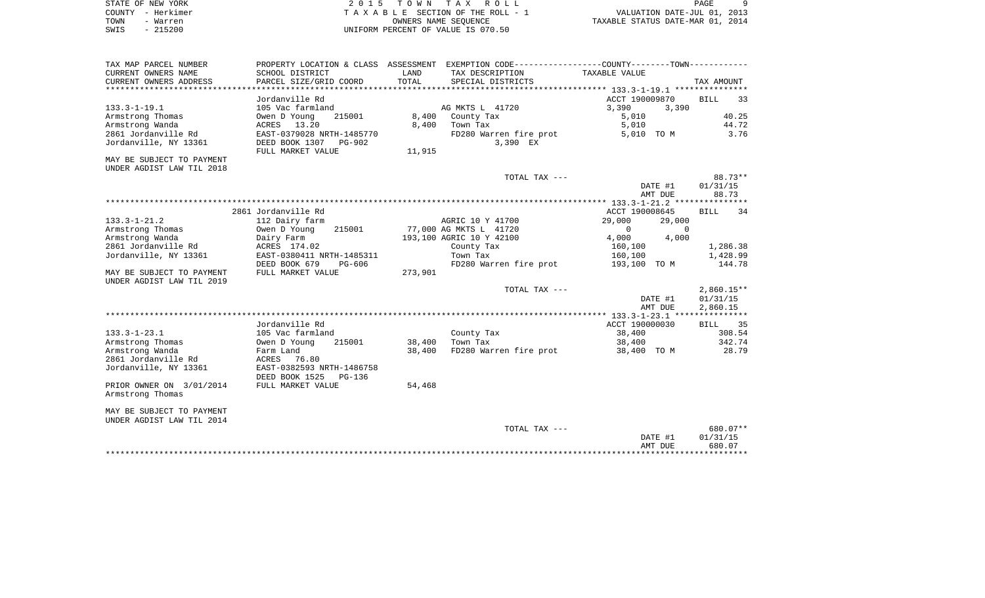| STATE OF NEW YORK | 2015 TOWN TAX ROLL                 | PAGE                             |
|-------------------|------------------------------------|----------------------------------|
| COUNTY - Herkimer | TAXABLE SECTION OF THE ROLL - 1    | VALUATION DATE-JUL 01, 2013      |
| TOWN<br>- Warren  | OWNERS NAME SEOUENCE               | TAXABLE STATUS DATE-MAR 01, 2014 |
| $-215200$<br>SWIS | UNIFORM PERCENT OF VALUE IS 070.50 |                                  |

| Jordanville Rd<br>ACCT 190009870<br>BILL<br>33<br>105 Vac farmland<br>AG MKTS L 41720<br>3,390<br>$133.3 - 1 - 19.1$<br>3,390<br>40.25<br>Armstrong Thomas<br>215001<br>8,400 County Tax<br>5,010<br>Owen D Young<br>44.72<br>Armstrong Wanda<br>ACRES 13.20<br>8,400<br>Town Tax<br>5,010<br>2861 Jordanville Rd<br>EAST-0379028 NRTH-1485770<br>FD280 Warren fire prot<br>5,010 TO M<br>3.76<br>3,390 EX<br>Jordanville, NY 13361<br>DEED BOOK 1307<br>PG-902<br>11,915<br>FULL MARKET VALUE<br>MAY BE SUBJECT TO PAYMENT<br>UNDER AGDIST LAW TIL 2018<br>88.73**<br>TOTAL TAX ---<br>01/31/15<br>DATE #1<br>88.73<br>AMT DUE<br>2861 Jordanville Rd<br>ACCT 190008645<br><b>BILL</b><br>34<br>112 Dairy farm<br>AGRIC 10 Y 41700<br>29,000<br>29,000<br>215001<br>Owen D Young<br>77,000 AG MKTS L 41720<br>$\mathbf 0$<br>$\Omega$<br>4,000<br>193,100 AGRIC 10 Y 42100<br>4,000<br>Dairy Farm<br>ACRES 174.02<br>County Tax<br>160,100<br>1,286.38<br>Town Tax<br>1,428.99<br>EAST-0380411 NRTH-1485311<br>160,100<br>144.78<br>DEED BOOK 679<br>PG-606<br>FD280 Warren fire prot<br>193,100 TO M<br>FULL MARKET VALUE<br>273,901<br>$2,860.15**$<br>TOTAL TAX ---<br>DATE #1<br>01/31/15<br>2,860.15<br>AMT DUE<br>Jordanville Rd<br>ACCT 190000030<br>BILL 35<br>$133.3 - 1 - 23.1$<br>County Tax<br>38,400<br>308.54<br>105 Vac farmland<br>Armstrong Thomas<br>38,400<br>Town Tax<br>342.74<br>Owen D Young<br>215001<br>38,400<br>38,400<br>FD280 Warren fire prot<br>28.79<br>Farm Land<br>38,400 TO M<br>76.80<br>ACRES<br>Jordanville, NY 13361<br>EAST-0382593 NRTH-1486758<br>DEED BOOK 1525<br>PG-136<br>PRIOR OWNER ON 3/01/2014<br>FULL MARKET VALUE<br>54,468<br>Armstrong Thomas<br>680.07**<br>TOTAL TAX ---<br>DATE #1<br>01/31/15<br>AMT DUE<br>680.07<br>*********** | TAX MAP PARCEL NUMBER<br>CURRENT OWNERS NAME<br>CURRENT OWNERS ADDRESS | PROPERTY LOCATION & CLASS ASSESSMENT EXEMPTION CODE----------------COUNTY--------TOWN----------<br>SCHOOL DISTRICT<br>PARCEL SIZE/GRID COORD | LAND<br>TOTAL | TAX DESCRIPTION<br>SPECIAL DISTRICTS | TAXABLE VALUE | TAX AMOUNT |
|----------------------------------------------------------------------------------------------------------------------------------------------------------------------------------------------------------------------------------------------------------------------------------------------------------------------------------------------------------------------------------------------------------------------------------------------------------------------------------------------------------------------------------------------------------------------------------------------------------------------------------------------------------------------------------------------------------------------------------------------------------------------------------------------------------------------------------------------------------------------------------------------------------------------------------------------------------------------------------------------------------------------------------------------------------------------------------------------------------------------------------------------------------------------------------------------------------------------------------------------------------------------------------------------------------------------------------------------------------------------------------------------------------------------------------------------------------------------------------------------------------------------------------------------------------------------------------------------------------------------------------------------------------------------------------------------------------------------------------------------------------------------------------------------|------------------------------------------------------------------------|----------------------------------------------------------------------------------------------------------------------------------------------|---------------|--------------------------------------|---------------|------------|
|                                                                                                                                                                                                                                                                                                                                                                                                                                                                                                                                                                                                                                                                                                                                                                                                                                                                                                                                                                                                                                                                                                                                                                                                                                                                                                                                                                                                                                                                                                                                                                                                                                                                                                                                                                                              |                                                                        |                                                                                                                                              |               |                                      |               |            |
|                                                                                                                                                                                                                                                                                                                                                                                                                                                                                                                                                                                                                                                                                                                                                                                                                                                                                                                                                                                                                                                                                                                                                                                                                                                                                                                                                                                                                                                                                                                                                                                                                                                                                                                                                                                              |                                                                        |                                                                                                                                              |               |                                      |               |            |
|                                                                                                                                                                                                                                                                                                                                                                                                                                                                                                                                                                                                                                                                                                                                                                                                                                                                                                                                                                                                                                                                                                                                                                                                                                                                                                                                                                                                                                                                                                                                                                                                                                                                                                                                                                                              |                                                                        |                                                                                                                                              |               |                                      |               |            |
|                                                                                                                                                                                                                                                                                                                                                                                                                                                                                                                                                                                                                                                                                                                                                                                                                                                                                                                                                                                                                                                                                                                                                                                                                                                                                                                                                                                                                                                                                                                                                                                                                                                                                                                                                                                              |                                                                        |                                                                                                                                              |               |                                      |               |            |
|                                                                                                                                                                                                                                                                                                                                                                                                                                                                                                                                                                                                                                                                                                                                                                                                                                                                                                                                                                                                                                                                                                                                                                                                                                                                                                                                                                                                                                                                                                                                                                                                                                                                                                                                                                                              |                                                                        |                                                                                                                                              |               |                                      |               |            |
|                                                                                                                                                                                                                                                                                                                                                                                                                                                                                                                                                                                                                                                                                                                                                                                                                                                                                                                                                                                                                                                                                                                                                                                                                                                                                                                                                                                                                                                                                                                                                                                                                                                                                                                                                                                              |                                                                        |                                                                                                                                              |               |                                      |               |            |
|                                                                                                                                                                                                                                                                                                                                                                                                                                                                                                                                                                                                                                                                                                                                                                                                                                                                                                                                                                                                                                                                                                                                                                                                                                                                                                                                                                                                                                                                                                                                                                                                                                                                                                                                                                                              |                                                                        |                                                                                                                                              |               |                                      |               |            |
|                                                                                                                                                                                                                                                                                                                                                                                                                                                                                                                                                                                                                                                                                                                                                                                                                                                                                                                                                                                                                                                                                                                                                                                                                                                                                                                                                                                                                                                                                                                                                                                                                                                                                                                                                                                              |                                                                        |                                                                                                                                              |               |                                      |               |            |
|                                                                                                                                                                                                                                                                                                                                                                                                                                                                                                                                                                                                                                                                                                                                                                                                                                                                                                                                                                                                                                                                                                                                                                                                                                                                                                                                                                                                                                                                                                                                                                                                                                                                                                                                                                                              |                                                                        |                                                                                                                                              |               |                                      |               |            |
|                                                                                                                                                                                                                                                                                                                                                                                                                                                                                                                                                                                                                                                                                                                                                                                                                                                                                                                                                                                                                                                                                                                                                                                                                                                                                                                                                                                                                                                                                                                                                                                                                                                                                                                                                                                              |                                                                        |                                                                                                                                              |               |                                      |               |            |
|                                                                                                                                                                                                                                                                                                                                                                                                                                                                                                                                                                                                                                                                                                                                                                                                                                                                                                                                                                                                                                                                                                                                                                                                                                                                                                                                                                                                                                                                                                                                                                                                                                                                                                                                                                                              |                                                                        |                                                                                                                                              |               |                                      |               |            |
|                                                                                                                                                                                                                                                                                                                                                                                                                                                                                                                                                                                                                                                                                                                                                                                                                                                                                                                                                                                                                                                                                                                                                                                                                                                                                                                                                                                                                                                                                                                                                                                                                                                                                                                                                                                              |                                                                        |                                                                                                                                              |               |                                      |               |            |
|                                                                                                                                                                                                                                                                                                                                                                                                                                                                                                                                                                                                                                                                                                                                                                                                                                                                                                                                                                                                                                                                                                                                                                                                                                                                                                                                                                                                                                                                                                                                                                                                                                                                                                                                                                                              |                                                                        |                                                                                                                                              |               |                                      |               |            |
|                                                                                                                                                                                                                                                                                                                                                                                                                                                                                                                                                                                                                                                                                                                                                                                                                                                                                                                                                                                                                                                                                                                                                                                                                                                                                                                                                                                                                                                                                                                                                                                                                                                                                                                                                                                              |                                                                        |                                                                                                                                              |               |                                      |               |            |
|                                                                                                                                                                                                                                                                                                                                                                                                                                                                                                                                                                                                                                                                                                                                                                                                                                                                                                                                                                                                                                                                                                                                                                                                                                                                                                                                                                                                                                                                                                                                                                                                                                                                                                                                                                                              | $133.3 - 1 - 21.2$                                                     |                                                                                                                                              |               |                                      |               |            |
|                                                                                                                                                                                                                                                                                                                                                                                                                                                                                                                                                                                                                                                                                                                                                                                                                                                                                                                                                                                                                                                                                                                                                                                                                                                                                                                                                                                                                                                                                                                                                                                                                                                                                                                                                                                              | Armstrong Thomas                                                       |                                                                                                                                              |               |                                      |               |            |
|                                                                                                                                                                                                                                                                                                                                                                                                                                                                                                                                                                                                                                                                                                                                                                                                                                                                                                                                                                                                                                                                                                                                                                                                                                                                                                                                                                                                                                                                                                                                                                                                                                                                                                                                                                                              | Armstrong Wanda                                                        |                                                                                                                                              |               |                                      |               |            |
|                                                                                                                                                                                                                                                                                                                                                                                                                                                                                                                                                                                                                                                                                                                                                                                                                                                                                                                                                                                                                                                                                                                                                                                                                                                                                                                                                                                                                                                                                                                                                                                                                                                                                                                                                                                              | 2861 Jordanville Rd                                                    |                                                                                                                                              |               |                                      |               |            |
|                                                                                                                                                                                                                                                                                                                                                                                                                                                                                                                                                                                                                                                                                                                                                                                                                                                                                                                                                                                                                                                                                                                                                                                                                                                                                                                                                                                                                                                                                                                                                                                                                                                                                                                                                                                              | Jordanville, NY 13361                                                  |                                                                                                                                              |               |                                      |               |            |
|                                                                                                                                                                                                                                                                                                                                                                                                                                                                                                                                                                                                                                                                                                                                                                                                                                                                                                                                                                                                                                                                                                                                                                                                                                                                                                                                                                                                                                                                                                                                                                                                                                                                                                                                                                                              |                                                                        |                                                                                                                                              |               |                                      |               |            |
|                                                                                                                                                                                                                                                                                                                                                                                                                                                                                                                                                                                                                                                                                                                                                                                                                                                                                                                                                                                                                                                                                                                                                                                                                                                                                                                                                                                                                                                                                                                                                                                                                                                                                                                                                                                              | MAY BE SUBJECT TO PAYMENT<br>UNDER AGDIST LAW TIL 2019                 |                                                                                                                                              |               |                                      |               |            |
|                                                                                                                                                                                                                                                                                                                                                                                                                                                                                                                                                                                                                                                                                                                                                                                                                                                                                                                                                                                                                                                                                                                                                                                                                                                                                                                                                                                                                                                                                                                                                                                                                                                                                                                                                                                              |                                                                        |                                                                                                                                              |               |                                      |               |            |
|                                                                                                                                                                                                                                                                                                                                                                                                                                                                                                                                                                                                                                                                                                                                                                                                                                                                                                                                                                                                                                                                                                                                                                                                                                                                                                                                                                                                                                                                                                                                                                                                                                                                                                                                                                                              |                                                                        |                                                                                                                                              |               |                                      |               |            |
|                                                                                                                                                                                                                                                                                                                                                                                                                                                                                                                                                                                                                                                                                                                                                                                                                                                                                                                                                                                                                                                                                                                                                                                                                                                                                                                                                                                                                                                                                                                                                                                                                                                                                                                                                                                              |                                                                        |                                                                                                                                              |               |                                      |               |            |
|                                                                                                                                                                                                                                                                                                                                                                                                                                                                                                                                                                                                                                                                                                                                                                                                                                                                                                                                                                                                                                                                                                                                                                                                                                                                                                                                                                                                                                                                                                                                                                                                                                                                                                                                                                                              |                                                                        |                                                                                                                                              |               |                                      |               |            |
|                                                                                                                                                                                                                                                                                                                                                                                                                                                                                                                                                                                                                                                                                                                                                                                                                                                                                                                                                                                                                                                                                                                                                                                                                                                                                                                                                                                                                                                                                                                                                                                                                                                                                                                                                                                              |                                                                        |                                                                                                                                              |               |                                      |               |            |
|                                                                                                                                                                                                                                                                                                                                                                                                                                                                                                                                                                                                                                                                                                                                                                                                                                                                                                                                                                                                                                                                                                                                                                                                                                                                                                                                                                                                                                                                                                                                                                                                                                                                                                                                                                                              |                                                                        |                                                                                                                                              |               |                                      |               |            |
|                                                                                                                                                                                                                                                                                                                                                                                                                                                                                                                                                                                                                                                                                                                                                                                                                                                                                                                                                                                                                                                                                                                                                                                                                                                                                                                                                                                                                                                                                                                                                                                                                                                                                                                                                                                              |                                                                        |                                                                                                                                              |               |                                      |               |            |
|                                                                                                                                                                                                                                                                                                                                                                                                                                                                                                                                                                                                                                                                                                                                                                                                                                                                                                                                                                                                                                                                                                                                                                                                                                                                                                                                                                                                                                                                                                                                                                                                                                                                                                                                                                                              | Armstrong Wanda                                                        |                                                                                                                                              |               |                                      |               |            |
|                                                                                                                                                                                                                                                                                                                                                                                                                                                                                                                                                                                                                                                                                                                                                                                                                                                                                                                                                                                                                                                                                                                                                                                                                                                                                                                                                                                                                                                                                                                                                                                                                                                                                                                                                                                              | 2861 Jordanville Rd                                                    |                                                                                                                                              |               |                                      |               |            |
|                                                                                                                                                                                                                                                                                                                                                                                                                                                                                                                                                                                                                                                                                                                                                                                                                                                                                                                                                                                                                                                                                                                                                                                                                                                                                                                                                                                                                                                                                                                                                                                                                                                                                                                                                                                              |                                                                        |                                                                                                                                              |               |                                      |               |            |
|                                                                                                                                                                                                                                                                                                                                                                                                                                                                                                                                                                                                                                                                                                                                                                                                                                                                                                                                                                                                                                                                                                                                                                                                                                                                                                                                                                                                                                                                                                                                                                                                                                                                                                                                                                                              |                                                                        |                                                                                                                                              |               |                                      |               |            |
|                                                                                                                                                                                                                                                                                                                                                                                                                                                                                                                                                                                                                                                                                                                                                                                                                                                                                                                                                                                                                                                                                                                                                                                                                                                                                                                                                                                                                                                                                                                                                                                                                                                                                                                                                                                              |                                                                        |                                                                                                                                              |               |                                      |               |            |
|                                                                                                                                                                                                                                                                                                                                                                                                                                                                                                                                                                                                                                                                                                                                                                                                                                                                                                                                                                                                                                                                                                                                                                                                                                                                                                                                                                                                                                                                                                                                                                                                                                                                                                                                                                                              |                                                                        |                                                                                                                                              |               |                                      |               |            |
|                                                                                                                                                                                                                                                                                                                                                                                                                                                                                                                                                                                                                                                                                                                                                                                                                                                                                                                                                                                                                                                                                                                                                                                                                                                                                                                                                                                                                                                                                                                                                                                                                                                                                                                                                                                              | MAY BE SUBJECT TO PAYMENT                                              |                                                                                                                                              |               |                                      |               |            |
|                                                                                                                                                                                                                                                                                                                                                                                                                                                                                                                                                                                                                                                                                                                                                                                                                                                                                                                                                                                                                                                                                                                                                                                                                                                                                                                                                                                                                                                                                                                                                                                                                                                                                                                                                                                              | UNDER AGDIST LAW TIL 2014                                              |                                                                                                                                              |               |                                      |               |            |
|                                                                                                                                                                                                                                                                                                                                                                                                                                                                                                                                                                                                                                                                                                                                                                                                                                                                                                                                                                                                                                                                                                                                                                                                                                                                                                                                                                                                                                                                                                                                                                                                                                                                                                                                                                                              |                                                                        |                                                                                                                                              |               |                                      |               |            |
|                                                                                                                                                                                                                                                                                                                                                                                                                                                                                                                                                                                                                                                                                                                                                                                                                                                                                                                                                                                                                                                                                                                                                                                                                                                                                                                                                                                                                                                                                                                                                                                                                                                                                                                                                                                              |                                                                        |                                                                                                                                              |               |                                      |               |            |
|                                                                                                                                                                                                                                                                                                                                                                                                                                                                                                                                                                                                                                                                                                                                                                                                                                                                                                                                                                                                                                                                                                                                                                                                                                                                                                                                                                                                                                                                                                                                                                                                                                                                                                                                                                                              |                                                                        |                                                                                                                                              |               |                                      |               |            |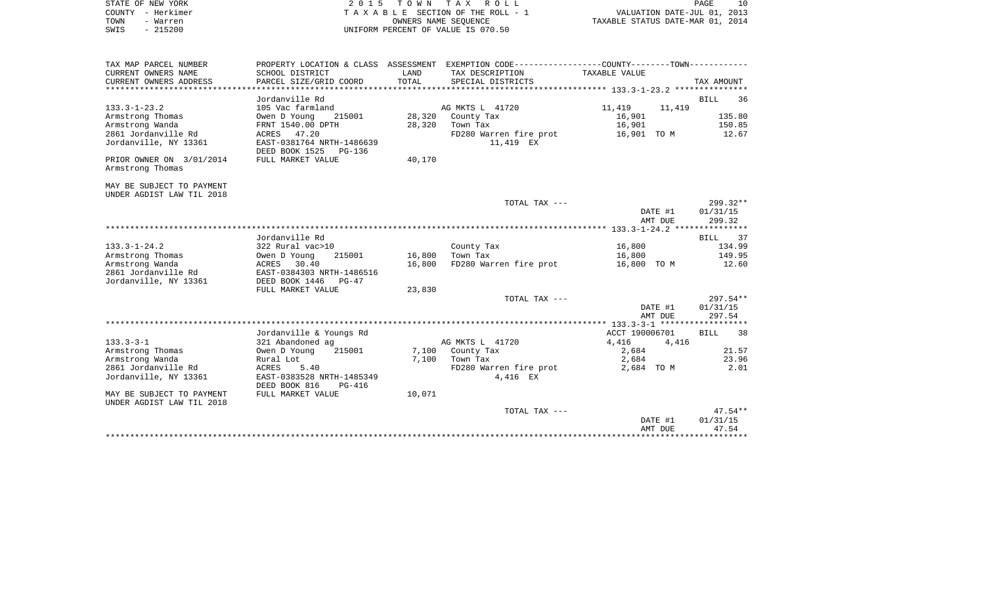| STATE OF NEW YORK<br>COUNTY - Herkimer<br>TOWN<br>- Warren<br>$-215200$<br>SWIS                           | 2 0 1 5                                                                                                        |                  | TOWN TAX ROLL<br>TAXABLE SECTION OF THE ROLL - 1<br>OWNERS NAME SEOUENCE<br>UNIFORM PERCENT OF VALUE IS 070.50                       | VALUATION DATE-JUL 01, 2013<br>TAXABLE STATUS DATE-MAR 01, 2014 | PAGE<br>10                            |
|-----------------------------------------------------------------------------------------------------------|----------------------------------------------------------------------------------------------------------------|------------------|--------------------------------------------------------------------------------------------------------------------------------------|-----------------------------------------------------------------|---------------------------------------|
| TAX MAP PARCEL NUMBER<br>CURRENT OWNERS NAME<br>CURRENT OWNERS ADDRESS<br>*************************       | SCHOOL DISTRICT<br>PARCEL SIZE/GRID COORD                                                                      | LAND<br>TOTAL    | PROPERTY LOCATION & CLASS ASSESSMENT EXEMPTION CODE---------------COUNTY-------TOWN---------<br>TAX DESCRIPTION<br>SPECIAL DISTRICTS | TAXABLE VALUE                                                   | TAX AMOUNT                            |
| $133.3 - 1 - 23.2$<br>Armstrong Thomas<br>Armstrong Wanda                                                 | Jordanville Rd<br>105 Vac farmland<br>215001<br>Owen D Young<br>FRNT 1540.00 DPTH                              | 28,320<br>28,320 | AG MKTS L 41720<br>County Tax<br>Town Tax                                                                                            | 11,419<br>11,419<br>16,901<br>16,901                            | <b>BILL</b><br>36<br>135.80<br>150.85 |
| 2861 Jordanville Rd<br>Jordanville, NY 13361                                                              | ACRES 47.20<br>EAST-0381764 NRTH-1486639<br>DEED BOOK 1525<br>PG-136                                           |                  | FD280 Warren fire prot<br>11,419 EX                                                                                                  | 16,901 TO M                                                     | 12.67                                 |
| PRIOR OWNER ON 3/01/2014<br>Armstrong Thomas<br>MAY BE SUBJECT TO PAYMENT                                 | FULL MARKET VALUE                                                                                              | 40,170           |                                                                                                                                      |                                                                 |                                       |
| UNDER AGDIST LAW TIL 2018                                                                                 |                                                                                                                |                  | TOTAL TAX ---                                                                                                                        | DATE #1                                                         | 299.32**<br>01/31/15                  |
|                                                                                                           |                                                                                                                |                  |                                                                                                                                      | AMT DUE                                                         | 299.32                                |
|                                                                                                           | Jordanville Rd                                                                                                 |                  |                                                                                                                                      |                                                                 | <b>BILL</b><br>37                     |
| $133.3 - 1 - 24.2$<br>Armstrong Thomas<br>Armstrong Wanda<br>2861 Jordanville Rd<br>Jordanville, NY 13361 | 322 Rural vac>10<br>Owen D Young<br>215001<br>ACRES 30.40<br>EAST-0384303 NRTH-1486516<br>DEED BOOK 1446 PG-47 | 16,800<br>16,800 | County Tax<br>Town Tax<br>FD280 Warren fire prot                                                                                     | 16,800<br>16,800<br>16,800 TO M                                 | 134.99<br>149.95<br>12.60             |
|                                                                                                           | FULL MARKET VALUE                                                                                              | 23,830           |                                                                                                                                      |                                                                 |                                       |
|                                                                                                           |                                                                                                                |                  | TOTAL TAX ---                                                                                                                        | DATE #1<br>AMT DUE                                              | $297.54**$<br>01/31/15<br>297.54      |
|                                                                                                           |                                                                                                                |                  |                                                                                                                                      |                                                                 |                                       |
| $133.3 - 3 - 1$<br>Armstrong Thomas                                                                       | Jordanville & Youngs Rd<br>321 Abandoned ag<br>215001<br>Owen D Young                                          |                  | AG MKTS L 41720<br>County Tax                                                                                                        | ACCT 190006701<br>4,416<br>4,416<br>2,684                       | <b>BILL</b><br>38<br>21.57            |
| Armstrong Wanda<br>2861 Jordanville Rd<br>Jordanville, NY 13361                                           | Rural Lot<br>ACRES<br>5.40<br>EAST-0383528 NRTH-1485349<br>DEED BOOK 816<br>PG-416                             | 7,100<br>7,100   | Town Tax<br>FD280 Warren fire prot<br>4,416 EX                                                                                       | 2,684<br>2,684 TO M                                             | 23.96<br>2.01                         |
| MAY BE SUBJECT TO PAYMENT<br>UNDER AGDIST LAW TIL 2018                                                    | FULL MARKET VALUE                                                                                              | 10,071           |                                                                                                                                      |                                                                 |                                       |
|                                                                                                           |                                                                                                                |                  | TOTAL TAX ---                                                                                                                        | DATE #1<br>AMT DUE                                              | $47.54**$<br>01/31/15<br>47.54        |
|                                                                                                           |                                                                                                                |                  |                                                                                                                                      |                                                                 |                                       |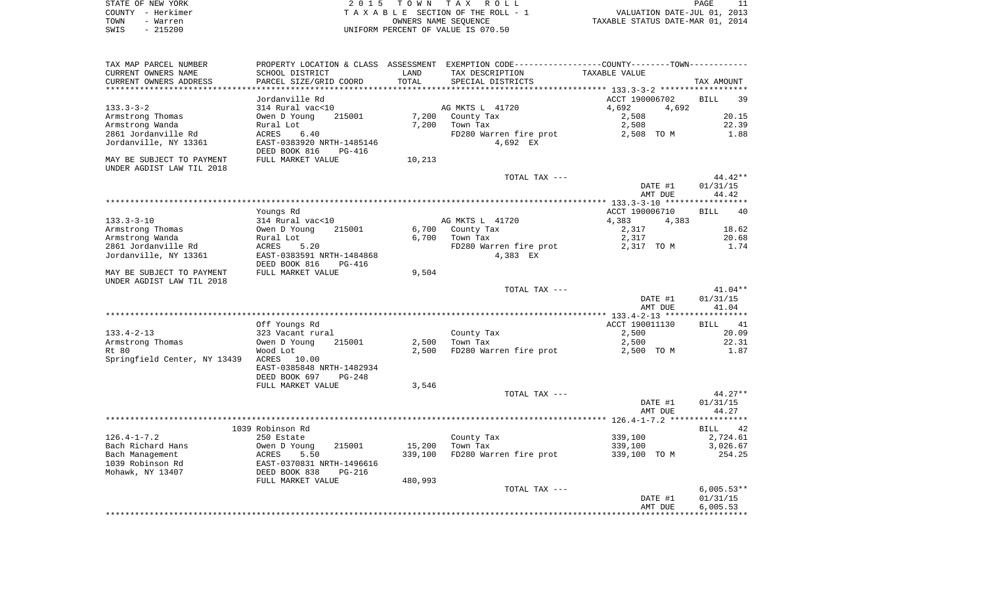|      | STATE OF NEW YORK | 2015 TOWN TAX ROLL                 | PAGE                             |  |
|------|-------------------|------------------------------------|----------------------------------|--|
|      | COUNTY - Herkimer | TAXABLE SECTION OF THE ROLL - 1    | VALUATION DATE-JUL 01, 2013      |  |
| TOWN | - Warren          | OWNERS NAME SEOUENCE               | TAXABLE STATUS DATE-MAR 01, 2014 |  |
| SWIS | $-215200$         | UNIFORM PERCENT OF VALUE IS 070.50 |                                  |  |

| TAX MAP PARCEL NUMBER              |                                |         | PROPERTY LOCATION & CLASS ASSESSMENT EXEMPTION CODE---------------COUNTY-------TOWN---------- |                |                   |
|------------------------------------|--------------------------------|---------|-----------------------------------------------------------------------------------------------|----------------|-------------------|
| CURRENT OWNERS NAME                | SCHOOL DISTRICT                | LAND    | TAX DESCRIPTION                                                                               | TAXABLE VALUE  |                   |
| CURRENT OWNERS ADDRESS             | PARCEL SIZE/GRID COORD         | TOTAL   | SPECIAL DISTRICTS                                                                             |                | TAX AMOUNT        |
|                                    |                                |         |                                                                                               |                |                   |
|                                    | Jordanville Rd                 |         |                                                                                               | ACCT 190006702 | BILL<br>39        |
| $133.3 - 3 - 2$                    | 314 Rural vac<10               |         | AG MKTS L 41720                                                                               | 4,692<br>4,692 |                   |
| Armstrong Thomas                   | 215001<br>Owen D Young         | 7,200   | County Tax                                                                                    | 2,508          | 20.15             |
| Armstrong Wanda                    | Rural Lot                      | 7,200   | Town Tax                                                                                      | 2,508          | 22.39             |
| 2861 Jordanville Rd                | 6.40<br>ACRES                  |         | FD280 Warren fire prot                                                                        | 2,508 TO M     | 1.88              |
| Jordanville, NY 13361              | EAST-0383920 NRTH-1485146      |         | 4,692 EX                                                                                      |                |                   |
|                                    | DEED BOOK 816<br>$PG-416$      |         |                                                                                               |                |                   |
| MAY BE SUBJECT TO PAYMENT          | FULL MARKET VALUE              | 10,213  |                                                                                               |                |                   |
| UNDER AGDIST LAW TIL 2018          |                                |         |                                                                                               |                |                   |
|                                    |                                |         | TOTAL TAX ---                                                                                 |                | $44.42**$         |
|                                    |                                |         |                                                                                               | DATE #1        | 01/31/15          |
|                                    |                                |         |                                                                                               | AMT DUE        | 44.42             |
|                                    |                                |         |                                                                                               |                |                   |
|                                    | Youngs Rd                      |         |                                                                                               | ACCT 190006710 | 40<br><b>BILL</b> |
| $133.3 - 3 - 10$                   | 314 Rural vac<10               |         | AG MKTS L 41720                                                                               | 4,383<br>4,383 |                   |
| Armstrong Thomas                   | Owen D Young<br>215001         |         | 6,700 County Tax                                                                              | 2,317          | 18.62             |
| Armstrong Wanda                    | Rural Lot                      | 6,700   | Town Tax                                                                                      | 2,317          | 20.68             |
| 2861 Jordanville Rd                | ACRES<br>5.20                  |         | FD280 Warren fire prot                                                                        | 2,317 TO M     | 1.74              |
| Jordanville, NY 13361              | EAST-0383591 NRTH-1484868      |         | 4,383 EX                                                                                      |                |                   |
|                                    | DEED BOOK 816<br><b>PG-416</b> |         |                                                                                               |                |                   |
| MAY BE SUBJECT TO PAYMENT          | FULL MARKET VALUE              | 9,504   |                                                                                               |                |                   |
| UNDER AGDIST LAW TIL 2018          |                                |         |                                                                                               |                |                   |
|                                    |                                |         | TOTAL TAX ---                                                                                 |                | $41.04**$         |
|                                    |                                |         |                                                                                               |                |                   |
|                                    |                                |         |                                                                                               | DATE #1        | 01/31/15          |
|                                    |                                |         |                                                                                               | AMT DUE        | 41.04             |
|                                    |                                |         |                                                                                               |                |                   |
|                                    | Off Youngs Rd                  |         |                                                                                               | ACCT 190011130 | BILL<br>41        |
| $133.4 - 2 - 13$                   | 323 Vacant rural               |         | County Tax                                                                                    | 2,500          | 20.09             |
| Armstrong Thomas                   | Owen D Young<br>215001         | 2,500   | Town Tax                                                                                      | 2,500          | 22.31             |
| Rt 80                              | Wood Lot                       | 2,500   | FD280 Warren fire prot                                                                        | 2,500 TO M     | 1.87              |
| Springfield Center, NY 13439 ACRES | 10.00                          |         |                                                                                               |                |                   |
|                                    | EAST-0385848 NRTH-1482934      |         |                                                                                               |                |                   |
|                                    | DEED BOOK 697<br>$PG-248$      |         |                                                                                               |                |                   |
|                                    | FULL MARKET VALUE              | 3,546   |                                                                                               |                |                   |
|                                    |                                |         | TOTAL TAX ---                                                                                 |                | $44.27**$         |
|                                    |                                |         |                                                                                               | DATE #1        | 01/31/15          |
|                                    |                                |         |                                                                                               | AMT DUE        | 44.27             |
|                                    |                                |         |                                                                                               |                |                   |
|                                    | 1039 Robinson Rd               |         |                                                                                               |                | 42<br><b>BILL</b> |
| $126.4 - 1 - 7.2$                  | 250 Estate                     |         | County Tax                                                                                    | 339,100        | 2,724.61          |
| Bach Richard Hans                  | 215001<br>Owen D Young         | 15,200  | Town Tax                                                                                      | 339,100        | 3,026.67          |
| Bach Management                    | ACRES<br>5.50                  | 339,100 | FD280 Warren fire prot                                                                        | 339,100 TO M   | 254.25            |
| 1039 Robinson Rd                   | EAST-0370831 NRTH-1496616      |         |                                                                                               |                |                   |
| Mohawk, NY 13407                   | DEED BOOK 838<br>PG-216        |         |                                                                                               |                |                   |
|                                    | FULL MARKET VALUE              | 480,993 |                                                                                               |                |                   |
|                                    |                                |         | TOTAL TAX ---                                                                                 |                | $6,005.53**$      |
|                                    |                                |         |                                                                                               | DATE #1        | 01/31/15          |
|                                    |                                |         |                                                                                               | AMT DUE        | 6,005.53          |
|                                    |                                |         |                                                                                               |                |                   |
|                                    |                                |         |                                                                                               |                |                   |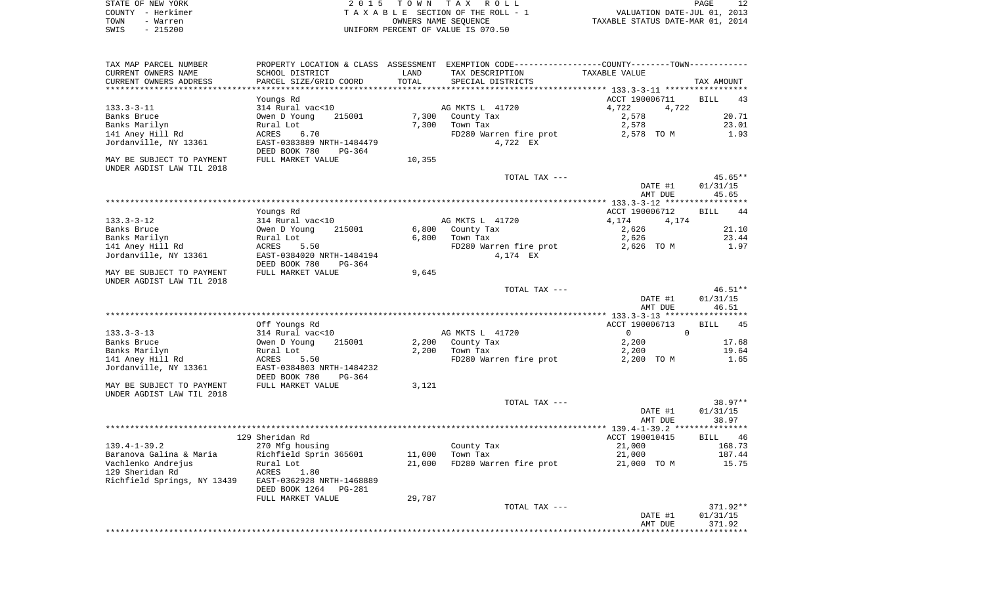|      | STATE OF NEW YORK | 2015 TOWN TAX ROLL                 | PAGE                             |
|------|-------------------|------------------------------------|----------------------------------|
|      | COUNTY - Herkimer | TAXABLE SECTION OF THE ROLL - 1    | VALUATION DATE-JUL 01, 2013      |
| TOWN | - Warren          | OWNERS NAME SEOUENCE               | TAXABLE STATUS DATE-MAR 01, 2014 |
| SWIS | $-215200$         | UNIFORM PERCENT OF VALUE IS 070.50 |                                  |

| TAX MAP PARCEL NUMBER<br>CURRENT OWNERS NAME                                                                          | SCHOOL DISTRICT                                                                                                                                                      | LAND                     | PROPERTY LOCATION & CLASS ASSESSMENT EXEMPTION CODE----------------COUNTY--------TOWN-----------<br>TAX DESCRIPTION | TAXABLE VALUE                                                    |                                                |
|-----------------------------------------------------------------------------------------------------------------------|----------------------------------------------------------------------------------------------------------------------------------------------------------------------|--------------------------|---------------------------------------------------------------------------------------------------------------------|------------------------------------------------------------------|------------------------------------------------|
| CURRENT OWNERS ADDRESS<br>********************                                                                        | PARCEL SIZE/GRID COORD                                                                                                                                               | TOTAL<br>********        | SPECIAL DISTRICTS<br>************************************** 133.3-3-11 ******************                           |                                                                  | TAX AMOUNT                                     |
| 133.3-3-11<br>Banks Bruce<br>Banks Marilyn<br>141 Aney Hill Rd<br>Jordanville, NY 13361<br>MAY BE SUBJECT TO PAYMENT  | Youngs Rd<br>314 Rural vac<10<br>Owen D Young<br>215001<br>Rural Lot<br>ACRES<br>6.70<br>EAST-0383889 NRTH-1484479<br>DEED BOOK 780<br>$PG-364$<br>FULL MARKET VALUE | 7,300<br>7,300<br>10,355 | AG MKTS L 41720<br>County Tax<br>Town Tax<br>FD280 Warren fire prot<br>4,722 EX                                     | ACCT 190006711<br>4,722<br>4,722<br>2,578<br>2,578<br>2,578 TO M | <b>BILL</b><br>43<br>20.71<br>23.01<br>1.93    |
| UNDER AGDIST LAW TIL 2018                                                                                             |                                                                                                                                                                      |                          | TOTAL TAX ---                                                                                                       | DATE #1<br>AMT DUE                                               | $45.65**$<br>01/31/15<br>45.65                 |
|                                                                                                                       |                                                                                                                                                                      |                          |                                                                                                                     |                                                                  |                                                |
| $133.3 - 3 - 12$<br>Banks Bruce<br>Banks Marilyn<br>141 Aney Hill Rd<br>Jordanville, NY 13361                         | Youngs Rd<br>314 Rural vac<10<br>215001<br>Owen D Young<br>Rural Lot<br>ACRES<br>5.50<br>EAST-0384020 NRTH-1484194<br>DEED BOOK 780<br>$PG-364$                      | 6,800<br>6,800           | AG MKTS L 41720<br>County Tax<br>Town Tax<br>FD280 Warren fire prot<br>4,174 EX                                     | ACCT 190006712<br>4,174<br>4,174<br>2,626<br>2,626<br>2,626 TO M | 44<br><b>BILL</b><br>21.10<br>23.44<br>1.97    |
| MAY BE SUBJECT TO PAYMENT<br>UNDER AGDIST LAW TIL 2018                                                                | FULL MARKET VALUE                                                                                                                                                    | 9,645                    |                                                                                                                     |                                                                  |                                                |
|                                                                                                                       |                                                                                                                                                                      |                          | TOTAL TAX ---                                                                                                       | DATE #1<br>AMT DUE                                               | $46.51**$<br>01/31/15<br>46.51                 |
|                                                                                                                       | Off Youngs Rd                                                                                                                                                        |                          |                                                                                                                     | ACCT 190006713                                                   | <b>BILL</b><br>45                              |
| $133.3 - 3 - 13$<br>Banks Bruce<br>Banks Marilyn<br>141 Aney Hill Rd<br>Jordanville, NY 13361                         | 314 Rural vac<10<br>Owen D Young<br>215001<br>Rural Lot<br>5.50<br>ACRES<br>EAST-0384803 NRTH-1484232<br>DEED BOOK 780<br>PG-364                                     | 2,200<br>2,200           | AG MKTS L 41720<br>County Tax<br>Town Tax<br>FD280 Warren fire prot                                                 | $\mathbf{0}$<br>$\Omega$<br>2,200<br>2,200<br>2,200 TO M         | 17.68<br>19.64<br>1.65                         |
| MAY BE SUBJECT TO PAYMENT<br>UNDER AGDIST LAW TIL 2018                                                                | FULL MARKET VALUE                                                                                                                                                    | 3,121                    |                                                                                                                     |                                                                  |                                                |
|                                                                                                                       |                                                                                                                                                                      |                          | TOTAL TAX ---                                                                                                       | DATE #1<br>AMT DUE                                               | $38.97**$<br>01/31/15<br>38.97                 |
|                                                                                                                       |                                                                                                                                                                      |                          |                                                                                                                     |                                                                  |                                                |
| $139.4 - 1 - 39.2$<br>Baranova Galina & Maria<br>Vachlenko Andrejus<br>129 Sheridan Rd<br>Richfield Springs, NY 13439 | 129 Sheridan Rd<br>270 Mfg housing<br>Richfield Sprin 365601<br>Rural Lot<br>ACRES<br>1.80<br>EAST-0362928 NRTH-1468889<br>DEED BOOK 1264<br>PG-281                  | 11,000<br>21,000         | County Tax<br>Town Tax<br>FD280 Warren fire prot                                                                    | ACCT 190010415<br>21,000<br>21,000<br>21,000 TO M                | <b>BILL</b><br>46<br>168.73<br>187.44<br>15.75 |
|                                                                                                                       | FULL MARKET VALUE                                                                                                                                                    | 29,787                   | TOTAL TAX ---                                                                                                       |                                                                  | 371.92**                                       |
|                                                                                                                       |                                                                                                                                                                      |                          |                                                                                                                     | DATE #1<br>AMT DUE                                               | 01/31/15<br>371.92                             |
|                                                                                                                       |                                                                                                                                                                      |                          |                                                                                                                     |                                                                  |                                                |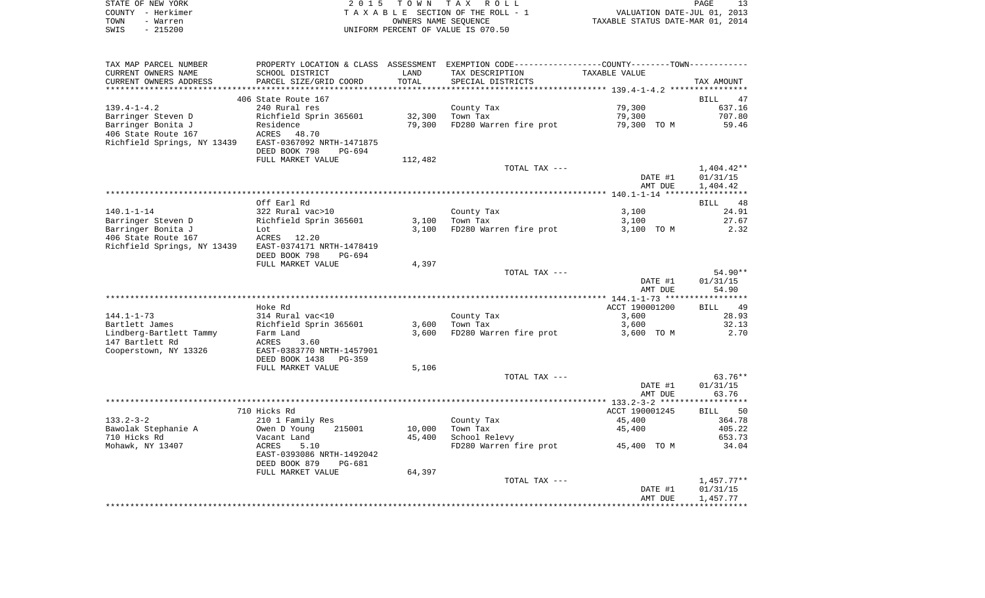| STATE OF NEW YORK |                   | 2015 TOWN TAX ROLL                 | PAGE                             |  |
|-------------------|-------------------|------------------------------------|----------------------------------|--|
|                   | COUNTY - Herkimer | TAXABLE SECTION OF THE ROLL - 1    | VALUATION DATE-JUL 01, 2013      |  |
| TOWN              | - Warren          | OWNERS NAME SEOUENCE               | TAXABLE STATUS DATE-MAR 01, 2014 |  |
| SWIS              | - 215200          | UNIFORM PERCENT OF VALUE IS 070.50 |                                  |  |

| TAX MAP PARCEL NUMBER       | PROPERTY LOCATION & CLASS ASSESSMENT EXEMPTION CODE---------------COUNTY-------TOWN---------- |         |                        |                |                   |
|-----------------------------|-----------------------------------------------------------------------------------------------|---------|------------------------|----------------|-------------------|
| CURRENT OWNERS NAME         | SCHOOL DISTRICT                                                                               | LAND    | TAX DESCRIPTION        | TAXABLE VALUE  |                   |
| CURRENT OWNERS ADDRESS      | PARCEL SIZE/GRID COORD                                                                        | TOTAL   | SPECIAL DISTRICTS      |                | TAX AMOUNT        |
|                             |                                                                                               |         |                        |                |                   |
|                             | 406 State Route 167                                                                           |         |                        |                | <b>BILL</b><br>47 |
| $139.4 - 1 - 4.2$           | 240 Rural res                                                                                 |         | County Tax             | 79,300         | 637.16            |
| Barringer Steven D          | Richfield Sprin 365601                                                                        | 32,300  | Town Tax               | 79,300         | 707.80            |
| Barringer Bonita J          | Residence                                                                                     | 79,300  | FD280 Warren fire prot | 79,300 TO M    | 59.46             |
| 406 State Route 167         | ACRES<br>48.70                                                                                |         |                        |                |                   |
|                             | EAST-0367092 NRTH-1471875                                                                     |         |                        |                |                   |
| Richfield Springs, NY 13439 |                                                                                               |         |                        |                |                   |
|                             | DEED BOOK 798<br>PG-694                                                                       |         |                        |                |                   |
|                             | FULL MARKET VALUE                                                                             | 112,482 |                        |                |                   |
|                             |                                                                                               |         | TOTAL TAX ---          |                | 1,404.42**        |
|                             |                                                                                               |         |                        | DATE #1        | 01/31/15          |
|                             |                                                                                               |         |                        | AMT DUE        | 1,404.42          |
|                             |                                                                                               |         |                        |                |                   |
|                             | Off Earl Rd                                                                                   |         |                        |                | BILL 48           |
| $140.1 - 1 - 14$            | 322 Rural vac>10                                                                              |         | County Tax             | 3,100          | 24.91             |
| Barringer Steven D          | Richfield Sprin 365601                                                                        | 3,100   | Town Tax               | 3,100          | 27.67             |
| Barringer Bonita J          | Lot                                                                                           | 3,100   | FD280 Warren fire prot | 3,100 TO M     | 2.32              |
| 406 State Route 167         | ACRES 12.20                                                                                   |         |                        |                |                   |
| Richfield Springs, NY 13439 | EAST-0374171 NRTH-1478419                                                                     |         |                        |                |                   |
|                             | DEED BOOK 798<br>PG-694                                                                       |         |                        |                |                   |
|                             | FULL MARKET VALUE                                                                             | 4,397   |                        |                |                   |
|                             |                                                                                               |         | TOTAL TAX ---          |                | 54.90**           |
|                             |                                                                                               |         |                        |                |                   |
|                             |                                                                                               |         |                        | DATE #1        | 01/31/15          |
|                             |                                                                                               |         |                        | AMT DUE        | 54.90             |
|                             |                                                                                               |         |                        |                |                   |
|                             | Hoke Rd                                                                                       |         |                        | ACCT 190001200 | <b>BILL</b><br>49 |
| $144.1 - 1 - 73$            | 314 Rural vac<10                                                                              |         | County Tax             | 3,600          | 28.93             |
| Bartlett James              | Richfield Sprin 365601                                                                        | 3,600   | Town Tax               | 3,600          | 32.13             |
| Lindberg-Bartlett Tammy     | Farm Land                                                                                     | 3,600   | FD280 Warren fire prot | 3,600 TO M     | 2.70              |
| 147 Bartlett Rd             | ACRES<br>3.60                                                                                 |         |                        |                |                   |
| Cooperstown, NY 13326       | EAST-0383770 NRTH-1457901                                                                     |         |                        |                |                   |
|                             | DEED BOOK 1438<br>PG-359                                                                      |         |                        |                |                   |
|                             | FULL MARKET VALUE                                                                             | 5,106   |                        |                |                   |
|                             |                                                                                               |         | TOTAL TAX ---          |                | $63.76**$         |
|                             |                                                                                               |         |                        | DATE #1        | 01/31/15          |
|                             |                                                                                               |         |                        | AMT DUE        | 63.76             |
|                             |                                                                                               |         |                        |                |                   |
|                             | 710 Hicks Rd                                                                                  |         |                        | ACCT 190001245 | BILL 50           |
| $133.2 - 3 - 2$             | 210 1 Family Res                                                                              |         | County Tax             | 45,400         | 364.78            |
| Bawolak Stephanie A         | 215001                                                                                        |         | Town Tax               |                | 405.22            |
|                             | Owen D Young                                                                                  | 10,000  |                        | 45,400         |                   |
| 710 Hicks Rd                | Vacant Land                                                                                   | 45,400  | School Relevy          |                | 653.73            |
| Mohawk, NY 13407            | ACRES<br>5.10                                                                                 |         | FD280 Warren fire prot | 45,400 TO M    | 34.04             |
|                             | EAST-0393086 NRTH-1492042                                                                     |         |                        |                |                   |
|                             | DEED BOOK 879<br>PG-681                                                                       |         |                        |                |                   |
|                             | FULL MARKET VALUE                                                                             | 64,397  |                        |                |                   |
|                             |                                                                                               |         | TOTAL TAX ---          |                | $1,457.77**$      |
|                             |                                                                                               |         |                        | DATE #1        | 01/31/15          |
|                             |                                                                                               |         |                        | AMT DUE        | 1,457.77          |
|                             |                                                                                               |         |                        |                |                   |
|                             |                                                                                               |         |                        |                |                   |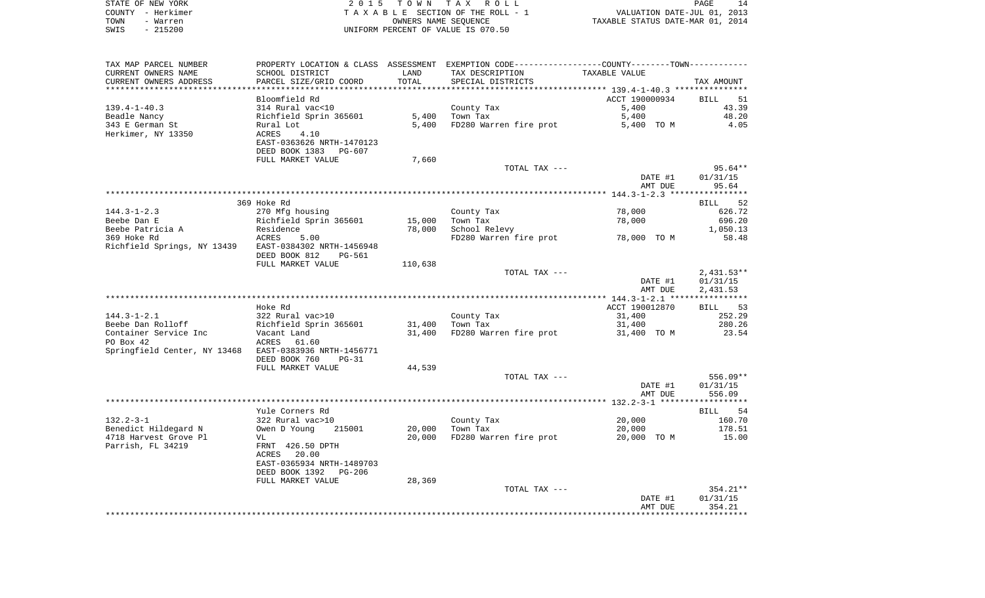| STATE OF NEW YORK | 2015 TOWN TAX ROLL                 | 14<br>PAGE                       |
|-------------------|------------------------------------|----------------------------------|
| COUNTY - Herkimer | TAXABLE SECTION OF THE ROLL - 1    | VALUATION DATE-JUL 01, 2013      |
| TOWN<br>- Warren  | OWNERS NAME SEOUENCE               | TAXABLE STATUS DATE-MAR 01, 2014 |
| SWIS<br>$-215200$ | UNIFORM PERCENT OF VALUE IS 070.50 |                                  |

| PARCEL SIZE/GRID COORD<br>TOTAL<br>CURRENT OWNERS ADDRESS<br>SPECIAL DISTRICTS<br>TAX AMOUNT<br>Bloomfield Rd<br>ACCT 190000934<br>BILL<br>314 Rural vac<10<br>County Tax<br>5,400<br>43.39<br>Richfield Sprin 365601<br>5,400<br>Town Tax<br>5,400<br>48.20<br>Rural Lot<br>5,400<br>FD280 Warren fire prot<br>4.05<br>5,400 TO M<br>ACRES<br>4.10<br>EAST-0363626 NRTH-1470123<br>DEED BOOK 1383 PG-607<br>FULL MARKET VALUE<br>7,660<br>TOTAL TAX ---<br>$95.64**$<br>DATE #1<br>01/31/15<br>95.64<br>AMT DUE<br>369 Hoke Rd<br>BILL<br>270 Mfg housing<br>78,000<br>626.72<br>County Tax<br>Richfield Sprin 365601<br>15,000<br>Town Tax<br>78,000<br>696.20<br>78,000<br>School Relevy<br>1,050.13<br>Residence<br>78,000 TO M<br>ACRES<br>58.48<br>5.00<br>FD280 Warren fire prot<br>DEED BOOK 812<br>PG-561<br>FULL MARKET VALUE<br>110,638<br>$2,431.53**$<br>TOTAL TAX ---<br>DATE #1<br>01/31/15<br>2,431.53<br>AMT DUE<br>ACCT 190012870<br>Hoke Rd<br>322 Rural vac>10<br>County Tax<br>31,400<br>Town Tax<br>31,400<br>Richfield Sprin 365601<br>31,400<br>FD280 Warren fire prot<br>Vacant Land<br>31,400<br>31,400 TO M<br>ACRES<br>61.60<br>DEED BOOK 760<br>$PG-31$<br>44,539<br>FULL MARKET VALUE<br>TOTAL TAX ---<br>DATE #1<br>01/31/15<br>AMT DUE<br>556.09<br>Yule Corners Rd<br>BILL<br>20,000<br>322 Rural vac>10<br>County Tax<br>20,000<br>Owen D Young<br>215001<br>Town Tax<br>20,000<br>FD280 Warren fire prot<br>20,000<br>20,000 TO M<br>VL<br>FRNT 426.50 DPTH | TAX MAP PARCEL NUMBER<br>CURRENT OWNERS NAME | PROPERTY LOCATION & CLASS ASSESSMENT EXEMPTION CODE---------------COUNTY-------TOWN----------<br>SCHOOL DISTRICT | LAND | TAX DESCRIPTION | TAXABLE VALUE |          |
|------------------------------------------------------------------------------------------------------------------------------------------------------------------------------------------------------------------------------------------------------------------------------------------------------------------------------------------------------------------------------------------------------------------------------------------------------------------------------------------------------------------------------------------------------------------------------------------------------------------------------------------------------------------------------------------------------------------------------------------------------------------------------------------------------------------------------------------------------------------------------------------------------------------------------------------------------------------------------------------------------------------------------------------------------------------------------------------------------------------------------------------------------------------------------------------------------------------------------------------------------------------------------------------------------------------------------------------------------------------------------------------------------------------------------------------------------------------------------------------------|----------------------------------------------|------------------------------------------------------------------------------------------------------------------|------|-----------------|---------------|----------|
|                                                                                                                                                                                                                                                                                                                                                                                                                                                                                                                                                                                                                                                                                                                                                                                                                                                                                                                                                                                                                                                                                                                                                                                                                                                                                                                                                                                                                                                                                                |                                              |                                                                                                                  |      |                 |               |          |
|                                                                                                                                                                                                                                                                                                                                                                                                                                                                                                                                                                                                                                                                                                                                                                                                                                                                                                                                                                                                                                                                                                                                                                                                                                                                                                                                                                                                                                                                                                |                                              |                                                                                                                  |      |                 |               |          |
| $139.4 - 1 - 40.3$<br>Beadle Nancy<br>343 E German St<br>Herkimer, NY 13350<br>$144.3 - 1 - 2.3$<br>Beebe Dan E<br>Beebe Patricia A<br>369 Hoke Rd<br>Richfield Springs, NY 13439 EAST-0384302 NRTH-1456948<br>$144.3 - 1 - 2.1$<br>Beebe Dan Rolloff<br>Container Service Inc<br>PO Box 42<br>Springfield Center, NY 13468 EAST-0383936 NRTH-1456771<br>$132.2 - 3 - 1$<br>Benedict Hildegard N<br>4718 Harvest Grove Pl<br>Parrish, FL 34219                                                                                                                                                                                                                                                                                                                                                                                                                                                                                                                                                                                                                                                                                                                                                                                                                                                                                                                                                                                                                                                 |                                              |                                                                                                                  |      |                 |               | 51       |
|                                                                                                                                                                                                                                                                                                                                                                                                                                                                                                                                                                                                                                                                                                                                                                                                                                                                                                                                                                                                                                                                                                                                                                                                                                                                                                                                                                                                                                                                                                |                                              |                                                                                                                  |      |                 |               |          |
|                                                                                                                                                                                                                                                                                                                                                                                                                                                                                                                                                                                                                                                                                                                                                                                                                                                                                                                                                                                                                                                                                                                                                                                                                                                                                                                                                                                                                                                                                                |                                              |                                                                                                                  |      |                 |               |          |
|                                                                                                                                                                                                                                                                                                                                                                                                                                                                                                                                                                                                                                                                                                                                                                                                                                                                                                                                                                                                                                                                                                                                                                                                                                                                                                                                                                                                                                                                                                |                                              |                                                                                                                  |      |                 |               |          |
|                                                                                                                                                                                                                                                                                                                                                                                                                                                                                                                                                                                                                                                                                                                                                                                                                                                                                                                                                                                                                                                                                                                                                                                                                                                                                                                                                                                                                                                                                                |                                              |                                                                                                                  |      |                 |               |          |
|                                                                                                                                                                                                                                                                                                                                                                                                                                                                                                                                                                                                                                                                                                                                                                                                                                                                                                                                                                                                                                                                                                                                                                                                                                                                                                                                                                                                                                                                                                |                                              |                                                                                                                  |      |                 |               |          |
|                                                                                                                                                                                                                                                                                                                                                                                                                                                                                                                                                                                                                                                                                                                                                                                                                                                                                                                                                                                                                                                                                                                                                                                                                                                                                                                                                                                                                                                                                                |                                              |                                                                                                                  |      |                 |               |          |
|                                                                                                                                                                                                                                                                                                                                                                                                                                                                                                                                                                                                                                                                                                                                                                                                                                                                                                                                                                                                                                                                                                                                                                                                                                                                                                                                                                                                                                                                                                |                                              |                                                                                                                  |      |                 |               |          |
|                                                                                                                                                                                                                                                                                                                                                                                                                                                                                                                                                                                                                                                                                                                                                                                                                                                                                                                                                                                                                                                                                                                                                                                                                                                                                                                                                                                                                                                                                                |                                              |                                                                                                                  |      |                 |               |          |
|                                                                                                                                                                                                                                                                                                                                                                                                                                                                                                                                                                                                                                                                                                                                                                                                                                                                                                                                                                                                                                                                                                                                                                                                                                                                                                                                                                                                                                                                                                |                                              |                                                                                                                  |      |                 |               |          |
|                                                                                                                                                                                                                                                                                                                                                                                                                                                                                                                                                                                                                                                                                                                                                                                                                                                                                                                                                                                                                                                                                                                                                                                                                                                                                                                                                                                                                                                                                                |                                              |                                                                                                                  |      |                 |               |          |
|                                                                                                                                                                                                                                                                                                                                                                                                                                                                                                                                                                                                                                                                                                                                                                                                                                                                                                                                                                                                                                                                                                                                                                                                                                                                                                                                                                                                                                                                                                |                                              |                                                                                                                  |      |                 |               |          |
|                                                                                                                                                                                                                                                                                                                                                                                                                                                                                                                                                                                                                                                                                                                                                                                                                                                                                                                                                                                                                                                                                                                                                                                                                                                                                                                                                                                                                                                                                                |                                              |                                                                                                                  |      |                 |               | 52       |
|                                                                                                                                                                                                                                                                                                                                                                                                                                                                                                                                                                                                                                                                                                                                                                                                                                                                                                                                                                                                                                                                                                                                                                                                                                                                                                                                                                                                                                                                                                |                                              |                                                                                                                  |      |                 |               |          |
|                                                                                                                                                                                                                                                                                                                                                                                                                                                                                                                                                                                                                                                                                                                                                                                                                                                                                                                                                                                                                                                                                                                                                                                                                                                                                                                                                                                                                                                                                                |                                              |                                                                                                                  |      |                 |               |          |
|                                                                                                                                                                                                                                                                                                                                                                                                                                                                                                                                                                                                                                                                                                                                                                                                                                                                                                                                                                                                                                                                                                                                                                                                                                                                                                                                                                                                                                                                                                |                                              |                                                                                                                  |      |                 |               |          |
|                                                                                                                                                                                                                                                                                                                                                                                                                                                                                                                                                                                                                                                                                                                                                                                                                                                                                                                                                                                                                                                                                                                                                                                                                                                                                                                                                                                                                                                                                                |                                              |                                                                                                                  |      |                 |               |          |
|                                                                                                                                                                                                                                                                                                                                                                                                                                                                                                                                                                                                                                                                                                                                                                                                                                                                                                                                                                                                                                                                                                                                                                                                                                                                                                                                                                                                                                                                                                |                                              |                                                                                                                  |      |                 |               |          |
|                                                                                                                                                                                                                                                                                                                                                                                                                                                                                                                                                                                                                                                                                                                                                                                                                                                                                                                                                                                                                                                                                                                                                                                                                                                                                                                                                                                                                                                                                                |                                              |                                                                                                                  |      |                 |               |          |
|                                                                                                                                                                                                                                                                                                                                                                                                                                                                                                                                                                                                                                                                                                                                                                                                                                                                                                                                                                                                                                                                                                                                                                                                                                                                                                                                                                                                                                                                                                |                                              |                                                                                                                  |      |                 |               |          |
|                                                                                                                                                                                                                                                                                                                                                                                                                                                                                                                                                                                                                                                                                                                                                                                                                                                                                                                                                                                                                                                                                                                                                                                                                                                                                                                                                                                                                                                                                                |                                              |                                                                                                                  |      |                 |               |          |
|                                                                                                                                                                                                                                                                                                                                                                                                                                                                                                                                                                                                                                                                                                                                                                                                                                                                                                                                                                                                                                                                                                                                                                                                                                                                                                                                                                                                                                                                                                |                                              |                                                                                                                  |      |                 |               |          |
|                                                                                                                                                                                                                                                                                                                                                                                                                                                                                                                                                                                                                                                                                                                                                                                                                                                                                                                                                                                                                                                                                                                                                                                                                                                                                                                                                                                                                                                                                                |                                              |                                                                                                                  |      |                 |               |          |
|                                                                                                                                                                                                                                                                                                                                                                                                                                                                                                                                                                                                                                                                                                                                                                                                                                                                                                                                                                                                                                                                                                                                                                                                                                                                                                                                                                                                                                                                                                |                                              |                                                                                                                  |      |                 |               |          |
|                                                                                                                                                                                                                                                                                                                                                                                                                                                                                                                                                                                                                                                                                                                                                                                                                                                                                                                                                                                                                                                                                                                                                                                                                                                                                                                                                                                                                                                                                                |                                              |                                                                                                                  |      |                 |               | BILL 53  |
|                                                                                                                                                                                                                                                                                                                                                                                                                                                                                                                                                                                                                                                                                                                                                                                                                                                                                                                                                                                                                                                                                                                                                                                                                                                                                                                                                                                                                                                                                                |                                              |                                                                                                                  |      |                 |               | 252.29   |
|                                                                                                                                                                                                                                                                                                                                                                                                                                                                                                                                                                                                                                                                                                                                                                                                                                                                                                                                                                                                                                                                                                                                                                                                                                                                                                                                                                                                                                                                                                |                                              |                                                                                                                  |      |                 |               | 280.26   |
|                                                                                                                                                                                                                                                                                                                                                                                                                                                                                                                                                                                                                                                                                                                                                                                                                                                                                                                                                                                                                                                                                                                                                                                                                                                                                                                                                                                                                                                                                                |                                              |                                                                                                                  |      |                 |               | 23.54    |
|                                                                                                                                                                                                                                                                                                                                                                                                                                                                                                                                                                                                                                                                                                                                                                                                                                                                                                                                                                                                                                                                                                                                                                                                                                                                                                                                                                                                                                                                                                |                                              |                                                                                                                  |      |                 |               |          |
|                                                                                                                                                                                                                                                                                                                                                                                                                                                                                                                                                                                                                                                                                                                                                                                                                                                                                                                                                                                                                                                                                                                                                                                                                                                                                                                                                                                                                                                                                                |                                              |                                                                                                                  |      |                 |               |          |
|                                                                                                                                                                                                                                                                                                                                                                                                                                                                                                                                                                                                                                                                                                                                                                                                                                                                                                                                                                                                                                                                                                                                                                                                                                                                                                                                                                                                                                                                                                |                                              |                                                                                                                  |      |                 |               |          |
|                                                                                                                                                                                                                                                                                                                                                                                                                                                                                                                                                                                                                                                                                                                                                                                                                                                                                                                                                                                                                                                                                                                                                                                                                                                                                                                                                                                                                                                                                                |                                              |                                                                                                                  |      |                 |               |          |
|                                                                                                                                                                                                                                                                                                                                                                                                                                                                                                                                                                                                                                                                                                                                                                                                                                                                                                                                                                                                                                                                                                                                                                                                                                                                                                                                                                                                                                                                                                |                                              |                                                                                                                  |      |                 |               | 556.09** |
|                                                                                                                                                                                                                                                                                                                                                                                                                                                                                                                                                                                                                                                                                                                                                                                                                                                                                                                                                                                                                                                                                                                                                                                                                                                                                                                                                                                                                                                                                                |                                              |                                                                                                                  |      |                 |               |          |
|                                                                                                                                                                                                                                                                                                                                                                                                                                                                                                                                                                                                                                                                                                                                                                                                                                                                                                                                                                                                                                                                                                                                                                                                                                                                                                                                                                                                                                                                                                |                                              |                                                                                                                  |      |                 |               |          |
|                                                                                                                                                                                                                                                                                                                                                                                                                                                                                                                                                                                                                                                                                                                                                                                                                                                                                                                                                                                                                                                                                                                                                                                                                                                                                                                                                                                                                                                                                                |                                              |                                                                                                                  |      |                 |               |          |
|                                                                                                                                                                                                                                                                                                                                                                                                                                                                                                                                                                                                                                                                                                                                                                                                                                                                                                                                                                                                                                                                                                                                                                                                                                                                                                                                                                                                                                                                                                |                                              |                                                                                                                  |      |                 |               | 54       |
|                                                                                                                                                                                                                                                                                                                                                                                                                                                                                                                                                                                                                                                                                                                                                                                                                                                                                                                                                                                                                                                                                                                                                                                                                                                                                                                                                                                                                                                                                                |                                              |                                                                                                                  |      |                 |               | 160.70   |
|                                                                                                                                                                                                                                                                                                                                                                                                                                                                                                                                                                                                                                                                                                                                                                                                                                                                                                                                                                                                                                                                                                                                                                                                                                                                                                                                                                                                                                                                                                |                                              |                                                                                                                  |      |                 |               | 178.51   |
|                                                                                                                                                                                                                                                                                                                                                                                                                                                                                                                                                                                                                                                                                                                                                                                                                                                                                                                                                                                                                                                                                                                                                                                                                                                                                                                                                                                                                                                                                                |                                              |                                                                                                                  |      |                 |               | 15.00    |
|                                                                                                                                                                                                                                                                                                                                                                                                                                                                                                                                                                                                                                                                                                                                                                                                                                                                                                                                                                                                                                                                                                                                                                                                                                                                                                                                                                                                                                                                                                |                                              |                                                                                                                  |      |                 |               |          |
|                                                                                                                                                                                                                                                                                                                                                                                                                                                                                                                                                                                                                                                                                                                                                                                                                                                                                                                                                                                                                                                                                                                                                                                                                                                                                                                                                                                                                                                                                                |                                              | ACRES 20.00                                                                                                      |      |                 |               |          |
| EAST-0365934 NRTH-1489703                                                                                                                                                                                                                                                                                                                                                                                                                                                                                                                                                                                                                                                                                                                                                                                                                                                                                                                                                                                                                                                                                                                                                                                                                                                                                                                                                                                                                                                                      |                                              |                                                                                                                  |      |                 |               |          |
| DEED BOOK 1392<br>PG-206                                                                                                                                                                                                                                                                                                                                                                                                                                                                                                                                                                                                                                                                                                                                                                                                                                                                                                                                                                                                                                                                                                                                                                                                                                                                                                                                                                                                                                                                       |                                              |                                                                                                                  |      |                 |               |          |
| 28,369<br>FULL MARKET VALUE                                                                                                                                                                                                                                                                                                                                                                                                                                                                                                                                                                                                                                                                                                                                                                                                                                                                                                                                                                                                                                                                                                                                                                                                                                                                                                                                                                                                                                                                    |                                              |                                                                                                                  |      |                 |               |          |
| TOTAL TAX ---                                                                                                                                                                                                                                                                                                                                                                                                                                                                                                                                                                                                                                                                                                                                                                                                                                                                                                                                                                                                                                                                                                                                                                                                                                                                                                                                                                                                                                                                                  |                                              |                                                                                                                  |      |                 |               | 354.21** |
| DATE #1<br>01/31/15                                                                                                                                                                                                                                                                                                                                                                                                                                                                                                                                                                                                                                                                                                                                                                                                                                                                                                                                                                                                                                                                                                                                                                                                                                                                                                                                                                                                                                                                            |                                              |                                                                                                                  |      |                 |               |          |
|                                                                                                                                                                                                                                                                                                                                                                                                                                                                                                                                                                                                                                                                                                                                                                                                                                                                                                                                                                                                                                                                                                                                                                                                                                                                                                                                                                                                                                                                                                |                                              |                                                                                                                  |      |                 |               |          |
|                                                                                                                                                                                                                                                                                                                                                                                                                                                                                                                                                                                                                                                                                                                                                                                                                                                                                                                                                                                                                                                                                                                                                                                                                                                                                                                                                                                                                                                                                                |                                              |                                                                                                                  |      |                 | AMT DUE       | 354.21   |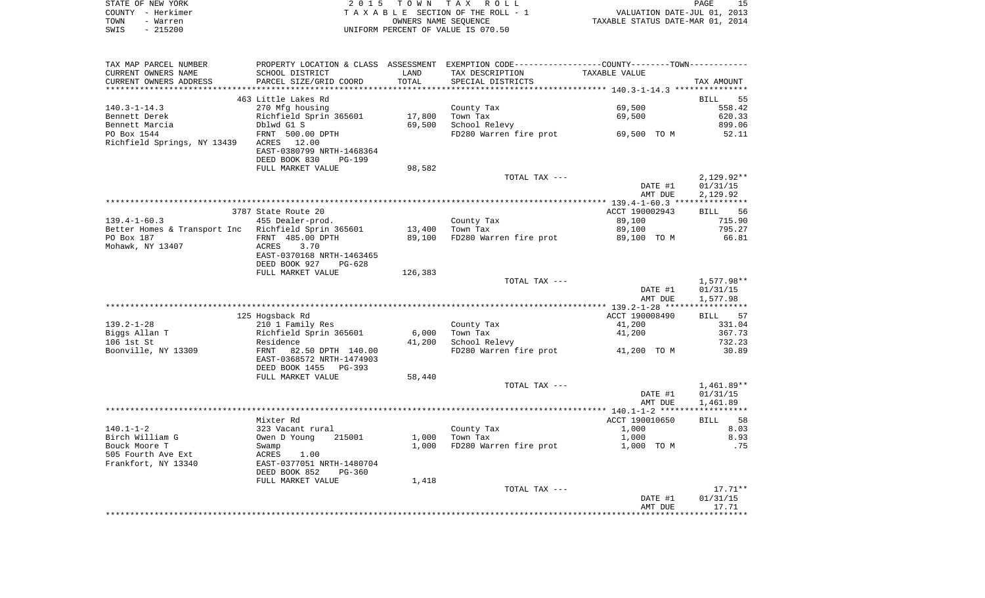|      | STATE OF NEW YORK | 2015 TOWN TAX ROLL                 | PAGE                             |
|------|-------------------|------------------------------------|----------------------------------|
|      | COUNTY - Herkimer | TAXABLE SECTION OF THE ROLL - 1    | VALUATION DATE-JUL 01, 2013      |
| TOWN | - Warren          | OWNERS NAME SEOUENCE               | TAXABLE STATUS DATE-MAR 01, 2014 |
| SWIS | $-215200$         | UNIFORM PERCENT OF VALUE IS 070.50 |                                  |

| TAX MAP PARCEL NUMBER                               | PROPERTY LOCATION & CLASS ASSESSMENT EXEMPTION CODE----------------COUNTY--------TOWN---------- |         |                        |                |                   |
|-----------------------------------------------------|-------------------------------------------------------------------------------------------------|---------|------------------------|----------------|-------------------|
| CURRENT OWNERS NAME                                 | SCHOOL DISTRICT                                                                                 | LAND    | TAX DESCRIPTION        | TAXABLE VALUE  |                   |
| CURRENT OWNERS ADDRESS                              | PARCEL SIZE/GRID COORD                                                                          | TOTAL   | SPECIAL DISTRICTS      |                | TAX AMOUNT        |
|                                                     |                                                                                                 |         |                        |                |                   |
|                                                     | 463 Little Lakes Rd                                                                             |         |                        |                | BILL<br>55        |
| $140.3 - 1 - 14.3$                                  | 270 Mfg housing                                                                                 |         | County Tax             | 69,500         | 558.42            |
| Bennett Derek                                       | Richfield Sprin 365601                                                                          | 17,800  | Town Tax               | 69,500         | 620.33            |
| Bennett Marcia                                      | Dblwd G1 S                                                                                      | 69,500  | School Relevy          |                | 899.06            |
| PO Box 1544                                         | FRNT 500.00 DPTH                                                                                |         | FD280 Warren fire prot | 69,500 TO M    | 52.11             |
| Richfield Springs, NY 13439                         | ACRES<br>12.00                                                                                  |         |                        |                |                   |
|                                                     | EAST-0380799 NRTH-1468364                                                                       |         |                        |                |                   |
|                                                     | DEED BOOK 830<br><b>PG-199</b>                                                                  |         |                        |                |                   |
|                                                     | FULL MARKET VALUE                                                                               | 98,582  |                        |                |                   |
|                                                     |                                                                                                 |         | TOTAL TAX ---          |                | $2,129.92**$      |
|                                                     |                                                                                                 |         |                        | DATE #1        | 01/31/15          |
|                                                     |                                                                                                 |         |                        | AMT DUE        | 2,129.92          |
|                                                     |                                                                                                 |         |                        |                |                   |
|                                                     | 3787 State Route 20                                                                             |         |                        | ACCT 190002943 | 56<br><b>BILL</b> |
| $139.4 - 1 - 60.3$                                  | 455 Dealer-prod.                                                                                |         | County Tax             | 89,100         | 715.90            |
| Better Homes & Transport Inc Richfield Sprin 365601 |                                                                                                 | 13,400  | Town Tax               | 89,100         | 795.27            |
| PO Box 187                                          | FRNT 485.00 DPTH                                                                                | 89,100  | FD280 Warren fire prot | 89,100 TO M    | 66.81             |
| Mohawk, NY 13407                                    | ACRES<br>3.70                                                                                   |         |                        |                |                   |
|                                                     | EAST-0370168 NRTH-1463465                                                                       |         |                        |                |                   |
|                                                     | DEED BOOK 927<br>PG-628                                                                         |         |                        |                |                   |
|                                                     | FULL MARKET VALUE                                                                               | 126,383 |                        |                |                   |
|                                                     |                                                                                                 |         | TOTAL TAX ---          |                | 1,577.98**        |
|                                                     |                                                                                                 |         |                        | DATE #1        | 01/31/15          |
|                                                     |                                                                                                 |         |                        | AMT DUE        | 1,577.98          |
|                                                     |                                                                                                 |         |                        |                |                   |
|                                                     | 125 Hogsback Rd                                                                                 |         |                        | ACCT 190008490 | 57<br>BILL        |
| $139.2 - 1 - 28$                                    | 210 1 Family Res                                                                                |         | County Tax             | 41,200         | 331.04            |
| Biggs Allan T                                       | Richfield Sprin 365601                                                                          | 6,000   | Town Tax               | 41,200         | 367.73            |
| 106 1st St                                          | Residence                                                                                       | 41,200  | School Relevy          |                | 732.23            |
| Boonville, NY 13309                                 | FRNT<br>82.50 DPTH 140.00                                                                       |         | FD280 Warren fire prot | 41,200 TO M    | 30.89             |
|                                                     | EAST-0368572 NRTH-1474903                                                                       |         |                        |                |                   |
|                                                     | DEED BOOK 1455<br>PG-393                                                                        |         |                        |                |                   |
|                                                     | FULL MARKET VALUE                                                                               | 58,440  |                        |                |                   |
|                                                     |                                                                                                 |         | TOTAL TAX ---          |                | $1,461.89**$      |
|                                                     |                                                                                                 |         |                        | DATE #1        | 01/31/15          |
|                                                     |                                                                                                 |         |                        | AMT DUE        | 1,461.89          |
|                                                     |                                                                                                 |         |                        |                |                   |
|                                                     | Mixter Rd                                                                                       |         |                        | ACCT 190010650 | BILL 58           |
| $140.1 - 1 - 2$                                     | 323 Vacant rural                                                                                |         | County Tax             | 1,000          | 8.03              |
| Birch William G                                     | Owen D Young<br>215001                                                                          | 1,000   | Town Tax               | 1,000          | 8.93              |
| Bouck Moore T                                       | Swamp                                                                                           | 1,000   | FD280 Warren fire prot | 1,000 TO M     | .75               |
| 505 Fourth Ave Ext                                  | 1.00<br>ACRES                                                                                   |         |                        |                |                   |
| Frankfort, NY 13340                                 | EAST-0377051 NRTH-1480704                                                                       |         |                        |                |                   |
|                                                     | DEED BOOK 852<br>$PG-360$                                                                       |         |                        |                |                   |
|                                                     | FULL MARKET VALUE                                                                               | 1,418   |                        |                |                   |
|                                                     |                                                                                                 |         | TOTAL TAX ---          |                | $17.71**$         |
|                                                     |                                                                                                 |         |                        | DATE #1        | 01/31/15          |
|                                                     |                                                                                                 |         |                        | AMT DUE        | 17.71             |
|                                                     |                                                                                                 |         |                        |                |                   |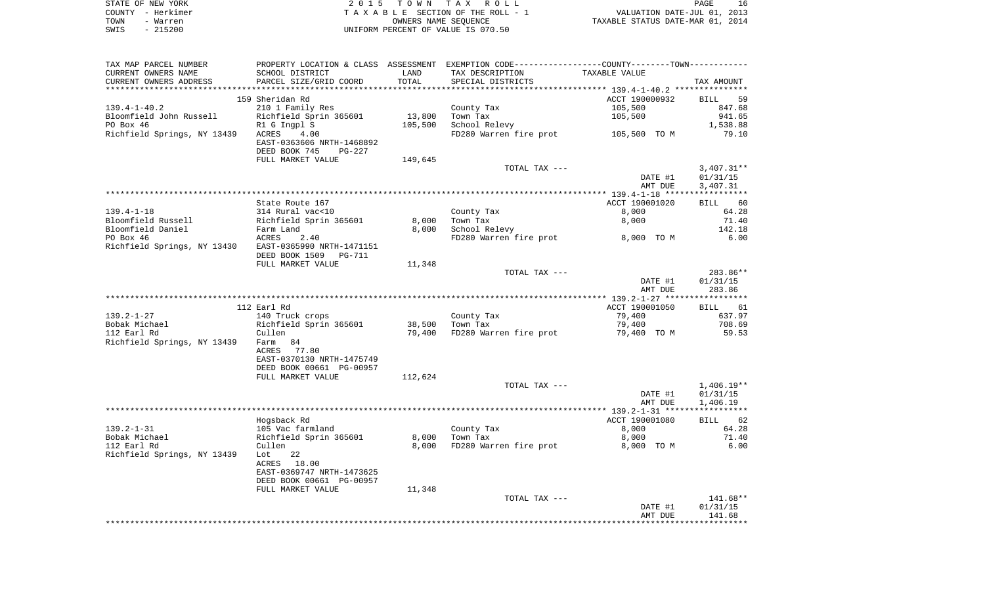| STATE OF NEW YORK | 2015 TOWN TAX ROLL                 | 16<br>PAGE                       |
|-------------------|------------------------------------|----------------------------------|
| COUNTY - Herkimer | TAXABLE SECTION OF THE ROLL - 1    | VALUATION DATE-JUL 01, 2013      |
| TOWN<br>- Warren  | OWNERS NAME SEOUENCE               | TAXABLE STATUS DATE-MAR 01, 2014 |
| - 215200<br>SWIS  | UNIFORM PERCENT OF VALUE IS 070.50 |                                  |

| TAX MAP PARCEL NUMBER                                                                                                                                                                                                                            | PROPERTY LOCATION & CLASS ASSESSMENT EXEMPTION CODE----------------COUNTY--------TOWN---------- |         |                                     |                                     |                      |
|--------------------------------------------------------------------------------------------------------------------------------------------------------------------------------------------------------------------------------------------------|-------------------------------------------------------------------------------------------------|---------|-------------------------------------|-------------------------------------|----------------------|
| CURRENT OWNERS NAME                                                                                                                                                                                                                              | SCHOOL DISTRICT                                                                                 | LAND    | TAX DESCRIPTION                     | TAXABLE VALUE                       |                      |
| CURRENT OWNERS ADDRESS                                                                                                                                                                                                                           | PARCEL SIZE/GRID COORD                                                                          | TOTAL   | SPECIAL DISTRICTS                   |                                     | TAX AMOUNT           |
|                                                                                                                                                                                                                                                  |                                                                                                 |         |                                     |                                     |                      |
|                                                                                                                                                                                                                                                  | 159 Sheridan Rd                                                                                 |         |                                     | ACCT 190000932                      | BILL 59              |
| 139.4-1-40.2                                                                                                                                                                                                                                     | 210 1 Family Res                                                                                |         | County Tax                          | 105,500                             | 847.68               |
|                                                                                                                                                                                                                                                  |                                                                                                 | 13,800  | Town Tax                            | 105,500                             | 941.65               |
| Bloomfield John Russell (Electrical Sprin 365601)<br>PO Box 46 (Electrical Springs, NY 13439 (ACRES 1.00)                                                                                                                                        |                                                                                                 | 105,500 | School Relevy                       | FD280 Warren fire prot 105,500 TO M | 1,538.88             |
|                                                                                                                                                                                                                                                  | EAST-0363606 NRTH-1468892<br>DEED BOOK 745<br>PG-227                                            |         |                                     |                                     | 79.10                |
|                                                                                                                                                                                                                                                  | FULL MARKET VALUE                                                                               | 149,645 |                                     |                                     |                      |
|                                                                                                                                                                                                                                                  |                                                                                                 |         | TOTAL TAX ---                       |                                     | $3,407.31**$         |
|                                                                                                                                                                                                                                                  |                                                                                                 |         |                                     | DATE #1<br>AMT DUE                  | 01/31/15<br>3,407.31 |
|                                                                                                                                                                                                                                                  |                                                                                                 |         |                                     |                                     |                      |
|                                                                                                                                                                                                                                                  | State Route 167                                                                                 |         |                                     | ACCT 190001020                      | BILL 60              |
|                                                                                                                                                                                                                                                  |                                                                                                 |         | County Tax                          | 8,000                               | 64.28                |
|                                                                                                                                                                                                                                                  |                                                                                                 | 8,000   | Town Tax                            | 8,000                               | 71.40                |
|                                                                                                                                                                                                                                                  |                                                                                                 | 8,000   | School Relevy                       |                                     | 142.18               |
|                                                                                                                                                                                                                                                  |                                                                                                 |         |                                     | FD280 Warren fire prot 8,000 TO M   | 6.00                 |
| 139.4-1-18<br>Bloomfield Russell<br>Bloomfield Daniel<br>PO Box 46<br>Richfield Springs, NY 13430<br>Richfield Springs, NY 13430<br>Richfield Springs, NY 13430<br>Richfield Springs, NY 13430<br>Richfield Springs, NY 13430<br>Richfield Sprin | DEED BOOK 1509 PG-711                                                                           |         |                                     |                                     |                      |
|                                                                                                                                                                                                                                                  | FULL MARKET VALUE                                                                               | 11,348  |                                     |                                     |                      |
|                                                                                                                                                                                                                                                  |                                                                                                 |         | TOTAL TAX ---                       |                                     | 283.86**             |
|                                                                                                                                                                                                                                                  |                                                                                                 |         |                                     | DATE #1                             | 01/31/15             |
|                                                                                                                                                                                                                                                  |                                                                                                 |         |                                     | AMT DUE                             | 283.86               |
|                                                                                                                                                                                                                                                  | 112 Earl Rd                                                                                     |         |                                     | ACCT 190001050                      | BILL 61              |
| $139.2 - 1 - 27$                                                                                                                                                                                                                                 | 140 Truck crops                                                                                 |         | County Tax                          | 79,400                              | 637.97               |
| Bobak Michael                                                                                                                                                                                                                                    |                                                                                                 |         | 38,500 Town Tax                     | 79,400                              | 708.69               |
| 112 Earl Rd                                                                                                                                                                                                                                      | Richfield Sprin 365601<br>Cullen                                                                |         | 79,400 FD280 Warren fire prot 59,53 |                                     |                      |
| Richfield Springs, NY 13439 Farm 84                                                                                                                                                                                                              | ACRES 77.80                                                                                     |         |                                     |                                     |                      |
|                                                                                                                                                                                                                                                  | EAST-0370130 NRTH-1475749                                                                       |         |                                     |                                     |                      |
|                                                                                                                                                                                                                                                  | DEED BOOK 00661 PG-00957                                                                        |         |                                     |                                     |                      |
|                                                                                                                                                                                                                                                  | FULL MARKET VALUE                                                                               | 112,624 |                                     |                                     |                      |
|                                                                                                                                                                                                                                                  |                                                                                                 |         | TOTAL TAX ---                       |                                     | $1,406.19**$         |
|                                                                                                                                                                                                                                                  |                                                                                                 |         |                                     | DATE #1                             | 01/31/15             |
|                                                                                                                                                                                                                                                  |                                                                                                 |         |                                     | AMT DUE                             | 1,406.19             |
|                                                                                                                                                                                                                                                  |                                                                                                 |         |                                     |                                     |                      |
|                                                                                                                                                                                                                                                  | Hogsback Rd                                                                                     |         |                                     | ACCT 190001080                      | BILL 62              |
| $139.2 - 1 - 31$                                                                                                                                                                                                                                 |                                                                                                 |         | County Tax<br>Town Tax              | 8,000                               | 64.28                |
| Bobak Michael                                                                                                                                                                                                                                    | 105 Vac farmland<br>Richfield Sprin 365601<br>Cullen                                            | 8,000   | Town Tax                            | 8,000                               | 71.40                |
| 112 Earl Rd<br>Richfield Springs, NY 13439 Lot                                                                                                                                                                                                   | 22                                                                                              | 8,000   | FD280 Warren fire prot              | 8,000 TO M                          | 6.00                 |
|                                                                                                                                                                                                                                                  | ACRES 18.00                                                                                     |         |                                     |                                     |                      |
|                                                                                                                                                                                                                                                  | EAST-0369747 NRTH-1473625                                                                       |         |                                     |                                     |                      |
|                                                                                                                                                                                                                                                  | DEED BOOK 00661 PG-00957                                                                        |         |                                     |                                     |                      |
|                                                                                                                                                                                                                                                  | FULL MARKET VALUE                                                                               | 11,348  |                                     |                                     |                      |
|                                                                                                                                                                                                                                                  |                                                                                                 |         | TOTAL TAX ---                       |                                     | 141.68**             |
|                                                                                                                                                                                                                                                  |                                                                                                 |         |                                     | DATE #1                             | 01/31/15             |
|                                                                                                                                                                                                                                                  |                                                                                                 |         |                                     | AMT DUE                             | 141.68               |
|                                                                                                                                                                                                                                                  |                                                                                                 |         |                                     |                                     |                      |
|                                                                                                                                                                                                                                                  |                                                                                                 |         |                                     |                                     |                      |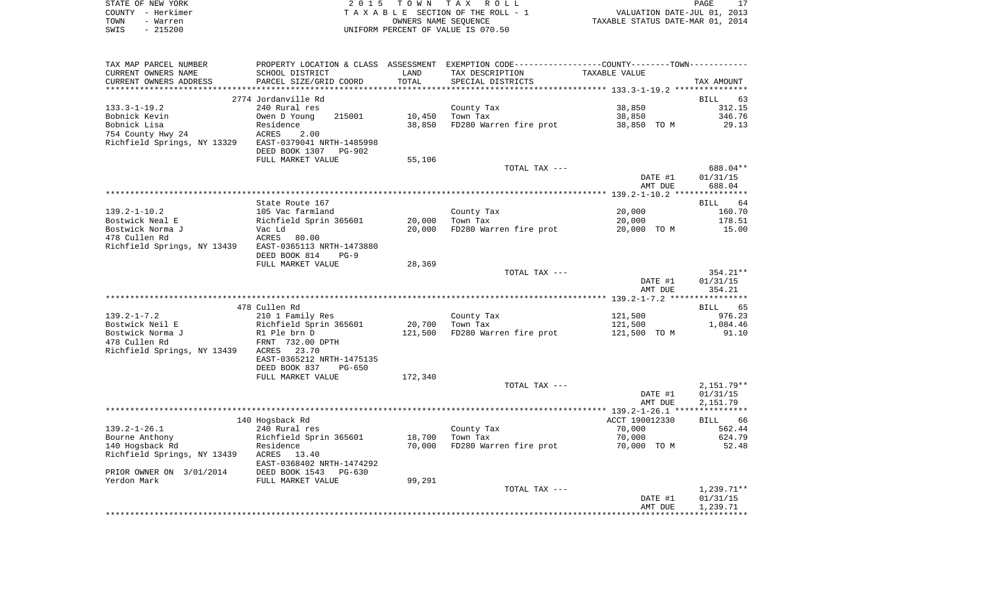| STATE OF NEW YORK | 2015 TOWN TAX ROLL                 | PAGE                             |
|-------------------|------------------------------------|----------------------------------|
| COUNTY - Herkimer | TAXABLE SECTION OF THE ROLL - 1    | VALUATION DATE-JUL 01, 2013      |
| TOWN<br>- Warren  | OWNERS NAME SEOUENCE               | TAXABLE STATUS DATE-MAR 01, 2014 |
| $-215200$<br>SWIS | UNIFORM PERCENT OF VALUE IS 070.50 |                                  |

| TAX MAP PARCEL NUMBER       |                                                              |         | PROPERTY LOCATION & CLASS ASSESSMENT EXEMPTION CODE----------------COUNTY--------TOWN---------- |                    |                    |
|-----------------------------|--------------------------------------------------------------|---------|-------------------------------------------------------------------------------------------------|--------------------|--------------------|
| CURRENT OWNERS NAME         | SCHOOL DISTRICT                                              | LAND    | TAX DESCRIPTION                                                                                 | TAXABLE VALUE      |                    |
| CURRENT OWNERS ADDRESS      | PARCEL SIZE/GRID COORD                                       | TOTAL   | SPECIAL DISTRICTS                                                                               |                    | TAX AMOUNT         |
|                             |                                                              |         |                                                                                                 |                    |                    |
|                             | 2774 Jordanville Rd                                          |         |                                                                                                 |                    | <b>BILL</b><br>63  |
| $133.3 - 1 - 19.2$          | 240 Rural res                                                |         | County Tax                                                                                      | 38,850             | 312.15             |
| Bobnick Kevin               | Owen D Young<br>215001                                       | 10,450  | Town Tax                                                                                        | 38,850             | 346.76             |
| Bobnick Lisa                | Residence                                                    | 38,850  | FD280 Warren fire prot                                                                          | 38,850 TO M        | 29.13              |
| 754 County Hwy 24           | ACRES<br>2.00                                                |         |                                                                                                 |                    |                    |
| Richfield Springs, NY 13329 | EAST-0379041 NRTH-1485998<br>DEED BOOK 1307<br><b>PG-902</b> |         |                                                                                                 |                    |                    |
|                             | FULL MARKET VALUE                                            | 55,106  |                                                                                                 |                    |                    |
|                             |                                                              |         | TOTAL TAX ---                                                                                   |                    | 688.04**           |
|                             |                                                              |         |                                                                                                 | DATE #1            | 01/31/15           |
|                             |                                                              |         |                                                                                                 | AMT DUE            | 688.04             |
|                             |                                                              |         |                                                                                                 |                    |                    |
|                             | State Route 167                                              |         |                                                                                                 |                    | 64<br>BILL         |
| $139.2 - 1 - 10.2$          | 105 Vac farmland                                             |         | County Tax                                                                                      | 20,000             | 160.70             |
| Bostwick Neal E             | Richfield Sprin 365601                                       | 20,000  | Town Tax                                                                                        | 20,000             | 178.51             |
| Bostwick Norma J            | Vac Ld                                                       | 20,000  | FD280 Warren fire prot                                                                          | 20,000 TO M        | 15.00              |
| 478 Cullen Rd               | ACRES<br>80.00                                               |         |                                                                                                 |                    |                    |
| Richfield Springs, NY 13439 | EAST-0365113 NRTH-1473880                                    |         |                                                                                                 |                    |                    |
|                             | DEED BOOK 814<br>$PG-9$                                      |         |                                                                                                 |                    |                    |
|                             | FULL MARKET VALUE                                            | 28,369  |                                                                                                 |                    |                    |
|                             |                                                              |         | TOTAL TAX ---                                                                                   |                    | 354.21**           |
|                             |                                                              |         |                                                                                                 | DATE #1<br>AMT DUE | 01/31/15<br>354.21 |
|                             |                                                              |         |                                                                                                 |                    |                    |
|                             | 478 Cullen Rd                                                |         |                                                                                                 |                    | <b>BILL</b><br>65  |
| $139.2 - 1 - 7.2$           | 210 1 Family Res                                             |         | County Tax                                                                                      | 121,500            | 976.23             |
| Bostwick Neil E             | Richfield Sprin 365601                                       | 20,700  | Town Tax                                                                                        | 121,500            | 1,084.46           |
| Bostwick Norma J            | R1 Ple brn D                                                 | 121,500 | FD280 Warren fire prot                                                                          | 121,500 TO M       | 91.10              |
| 478 Cullen Rd               | FRNT 732.00 DPTH                                             |         |                                                                                                 |                    |                    |
| Richfield Springs, NY 13439 | 23.70<br>ACRES                                               |         |                                                                                                 |                    |                    |
|                             | EAST-0365212 NRTH-1475135                                    |         |                                                                                                 |                    |                    |
|                             | DEED BOOK 837<br>$PG-650$                                    |         |                                                                                                 |                    |                    |
|                             | FULL MARKET VALUE                                            | 172,340 |                                                                                                 |                    |                    |
|                             |                                                              |         | TOTAL TAX ---                                                                                   |                    | $2,151.79**$       |
|                             |                                                              |         |                                                                                                 | DATE #1            | 01/31/15           |
|                             |                                                              |         |                                                                                                 | AMT DUE            | 2,151.79           |
|                             |                                                              |         |                                                                                                 |                    |                    |
|                             | 140 Hogsback Rd                                              |         |                                                                                                 | ACCT 190012330     | BILL 66            |
| $139.2 - 1 - 26.1$          | 240 Rural res                                                |         | County Tax                                                                                      | 70,000             | 562.44             |
| Bourne Anthony              | Richfield Sprin 365601                                       | 18,700  | Town Tax                                                                                        | 70,000             | 624.79             |
| 140 Hogsback Rd             | Residence                                                    | 70,000  | FD280 Warren fire prot                                                                          | 70,000 TO M        | 52.48              |
| Richfield Springs, NY 13439 | ACRES<br>13.40<br>EAST-0368402 NRTH-1474292                  |         |                                                                                                 |                    |                    |
| PRIOR OWNER ON 3/01/2014    | DEED BOOK 1543<br>$PG-630$                                   |         |                                                                                                 |                    |                    |
| Yerdon Mark                 | FULL MARKET VALUE                                            | 99,291  |                                                                                                 |                    |                    |
|                             |                                                              |         | TOTAL TAX ---                                                                                   |                    | $1,239.71**$       |
|                             |                                                              |         |                                                                                                 | DATE #1            | 01/31/15           |
|                             |                                                              |         |                                                                                                 | AMT DUE            | 1,239.71           |
|                             |                                                              |         |                                                                                                 |                    |                    |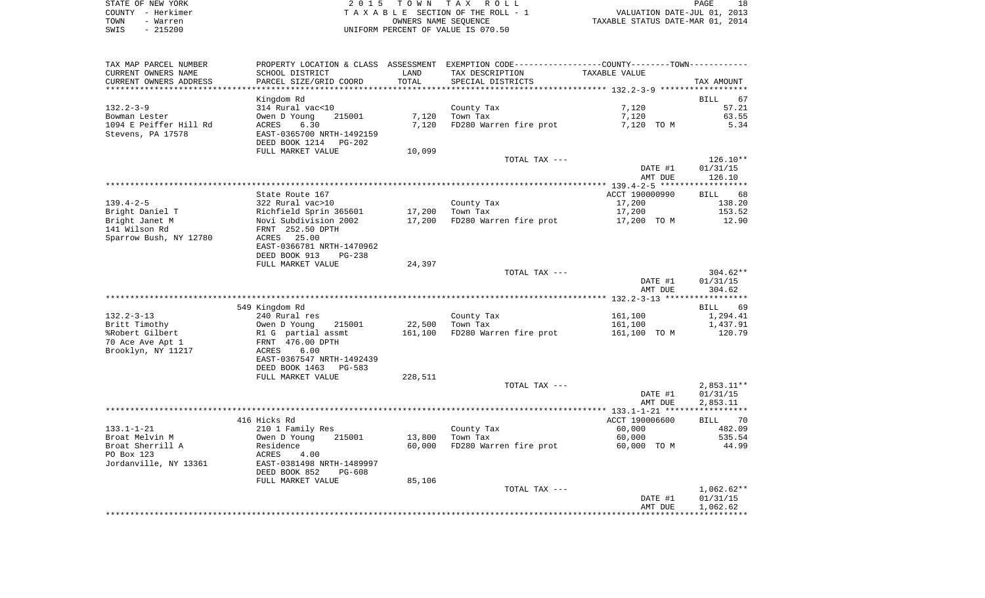|      | STATE OF NEW YORK | 2015 TOWN TAX ROLL                 | PAGE                             |
|------|-------------------|------------------------------------|----------------------------------|
|      | COUNTY - Herkimer | TAXABLE SECTION OF THE ROLL - 1    | VALUATION DATE-JUL 01, 2013      |
| TOWN | - Warren          | OWNERS NAME SEOUENCE               | TAXABLE STATUS DATE-MAR 01, 2014 |
| SWIS | $-215200$         | UNIFORM PERCENT OF VALUE IS 070.50 |                                  |

| TAX MAP PARCEL NUMBER                         |                                           |               | PROPERTY LOCATION & CLASS ASSESSMENT EXEMPTION CODE---------------COUNTY-------TOWN---------- |                |                   |
|-----------------------------------------------|-------------------------------------------|---------------|-----------------------------------------------------------------------------------------------|----------------|-------------------|
| CURRENT OWNERS NAME<br>CURRENT OWNERS ADDRESS | SCHOOL DISTRICT<br>PARCEL SIZE/GRID COORD | LAND<br>TOTAL | TAX DESCRIPTION<br>SPECIAL DISTRICTS                                                          | TAXABLE VALUE  | TAX AMOUNT        |
| ***********************                       |                                           |               |                                                                                               |                |                   |
|                                               | Kingdom Rd                                |               |                                                                                               |                | <b>BILL</b><br>67 |
| $132.2 - 3 - 9$                               | 314 Rural vac<10                          |               | County Tax                                                                                    | 7,120          | 57.21             |
| Bowman Lester                                 | 215001<br>Owen D Young                    | 7,120         | Town Tax                                                                                      | 7,120          | 63.55             |
| 1094 E Peiffer Hill Rd                        | ACRES<br>6.30                             | 7,120         | FD280 Warren fire prot                                                                        | 7,120 TO M     | 5.34              |
| Stevens, PA 17578                             | EAST-0365700 NRTH-1492159                 |               |                                                                                               |                |                   |
|                                               | DEED BOOK 1214<br>PG-202                  |               |                                                                                               |                |                   |
|                                               | FULL MARKET VALUE                         | 10,099        |                                                                                               |                |                   |
|                                               |                                           |               | TOTAL TAX ---                                                                                 |                | 126.10**          |
|                                               |                                           |               |                                                                                               | DATE #1        | 01/31/15          |
|                                               |                                           |               |                                                                                               | AMT DUE        | 126.10            |
|                                               |                                           |               |                                                                                               |                |                   |
|                                               | State Route 167                           |               |                                                                                               | ACCT 190000990 | BILL 68           |
| $139.4 - 2 - 5$                               | 322 Rural vac>10                          |               | County Tax                                                                                    | 17,200         | 138.20            |
| Bright Daniel T                               | Richfield Sprin 365601                    | 17,200        | Town Tax                                                                                      | 17,200         | 153.52            |
| Bright Janet M                                | Novi Subdivision 2002                     | 17,200        | FD280 Warren fire prot                                                                        | 17,200 TO M    | 12.90             |
| 141 Wilson Rd                                 | FRNT 252.50 DPTH                          |               |                                                                                               |                |                   |
| Sparrow Bush, NY 12780                        | ACRES 25.00                               |               |                                                                                               |                |                   |
|                                               | EAST-0366781 NRTH-1470962                 |               |                                                                                               |                |                   |
|                                               | DEED BOOK 913<br>$PG-238$                 |               |                                                                                               |                |                   |
|                                               | FULL MARKET VALUE                         | 24,397        |                                                                                               |                |                   |
|                                               |                                           |               | TOTAL TAX ---                                                                                 |                | $304.62**$        |
|                                               |                                           |               |                                                                                               | DATE #1        | 01/31/15          |
|                                               |                                           |               |                                                                                               | AMT DUE        | 304.62            |
|                                               |                                           |               |                                                                                               |                |                   |
|                                               | 549 Kingdom Rd                            |               |                                                                                               |                | BILL<br>69        |
| $132.2 - 3 - 13$                              | 240 Rural res                             |               | County Tax                                                                                    | 161,100        | 1,294.41          |
| Britt Timothy                                 | Owen D Young<br>215001                    | 22,500        | Town Tax                                                                                      | 161,100        | 1,437.91          |
| %Robert Gilbert                               | R1 G partial assmt                        | 161,100       | FD280 Warren fire prot                                                                        | 161,100 TO M   | 120.79            |
| 70 Ace Ave Apt 1                              | FRNT 476.00 DPTH                          |               |                                                                                               |                |                   |
| Brooklyn, NY 11217                            | ACRES<br>6.00                             |               |                                                                                               |                |                   |
|                                               | EAST-0367547 NRTH-1492439                 |               |                                                                                               |                |                   |
|                                               | DEED BOOK 1463<br>PG-583                  |               |                                                                                               |                |                   |
|                                               | FULL MARKET VALUE                         | 228,511       |                                                                                               |                |                   |
|                                               |                                           |               | TOTAL TAX ---                                                                                 |                | $2,853.11**$      |
|                                               |                                           |               |                                                                                               | DATE #1        | 01/31/15          |
|                                               |                                           |               |                                                                                               | AMT DUE        | 2,853.11          |
|                                               |                                           |               |                                                                                               |                |                   |
|                                               | 416 Hicks Rd                              |               |                                                                                               | ACCT 190006600 | BILL 70           |
| 133.1-1-21                                    | 210 1 Family Res                          |               | County Tax                                                                                    | 60,000         | 482.09            |
| Broat Melvin M                                | Owen D Young<br>215001                    | 13,800        | Town Tax                                                                                      | 60,000         | 535.54            |
| Broat Sherrill A                              | Residence                                 | 60,000        | FD280 Warren fire prot                                                                        | 60,000 TO M    | 44.99             |
| PO Box 123                                    | ACRES<br>4.00                             |               |                                                                                               |                |                   |
| Jordanville, NY 13361                         | EAST-0381498 NRTH-1489997                 |               |                                                                                               |                |                   |
|                                               | DEED BOOK 852<br>PG-608                   |               |                                                                                               |                |                   |
|                                               | FULL MARKET VALUE                         | 85,106        |                                                                                               |                |                   |
|                                               |                                           |               | TOTAL TAX ---                                                                                 |                | $1,062.62**$      |
|                                               |                                           |               |                                                                                               | DATE #1        | 01/31/15          |
|                                               |                                           |               |                                                                                               | AMT DUE        | 1,062.62          |
|                                               |                                           |               |                                                                                               |                |                   |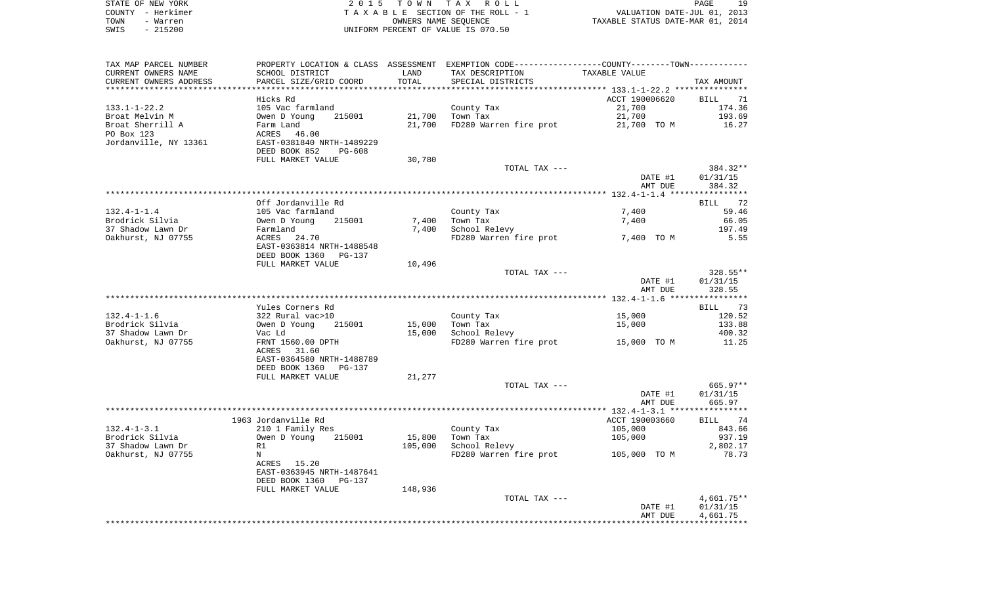| STATE OF NEW YORK | 2015 TOWN TAX ROLL                 | 19<br>PAGE                       |
|-------------------|------------------------------------|----------------------------------|
| COUNTY - Herkimer | TAXABLE SECTION OF THE ROLL - 1    | VALUATION DATE-JUL 01, 2013      |
| TOWN<br>- Warren  | OWNERS NAME SEOUENCE               | TAXABLE STATUS DATE-MAR 01, 2014 |
| - 215200<br>SWIS  | UNIFORM PERCENT OF VALUE IS 070.50 |                                  |

| TAX MAP PARCEL NUMBER  | PROPERTY LOCATION & CLASS ASSESSMENT EXEMPTION CODE---------------COUNTY-------TOWN---------- |         |                        |                |                   |
|------------------------|-----------------------------------------------------------------------------------------------|---------|------------------------|----------------|-------------------|
| CURRENT OWNERS NAME    | SCHOOL DISTRICT                                                                               | LAND    | TAX DESCRIPTION        | TAXABLE VALUE  |                   |
| CURRENT OWNERS ADDRESS | PARCEL SIZE/GRID COORD                                                                        | TOTAL   | SPECIAL DISTRICTS      |                | TAX AMOUNT        |
|                        |                                                                                               |         |                        |                |                   |
|                        | Hicks Rd                                                                                      |         |                        | ACCT 190006620 | <b>BILL</b><br>71 |
| $133.1 - 1 - 22.2$     | 105 Vac farmland                                                                              |         | County Tax             | 21,700         | 174.36            |
| Broat Melvin M         | 215001<br>Owen D Young                                                                        | 21,700  | Town Tax               | 21,700         | 193.69            |
| Broat Sherrill A       | Farm Land                                                                                     | 21,700  | FD280 Warren fire prot | 21,700 TO M    | 16.27             |
| PO Box 123             | ACRES<br>46.00                                                                                |         |                        |                |                   |
| Jordanville, NY 13361  | EAST-0381840 NRTH-1489229                                                                     |         |                        |                |                   |
|                        | DEED BOOK 852<br>PG-608                                                                       |         |                        |                |                   |
|                        | FULL MARKET VALUE                                                                             | 30,780  |                        |                |                   |
|                        |                                                                                               |         | TOTAL TAX ---          |                | $384.32**$        |
|                        |                                                                                               |         |                        | DATE #1        | 01/31/15          |
|                        |                                                                                               |         |                        | AMT DUE        | 384.32            |
|                        |                                                                                               |         |                        |                |                   |
|                        | Off Jordanville Rd                                                                            |         |                        |                | <b>BILL</b><br>72 |
| $132.4 - 1 - 1.4$      | 105 Vac farmland                                                                              |         | County Tax             | 7,400          | 59.46             |
| Brodrick Silvia        | Owen D Young<br>215001                                                                        | 7,400   | Town Tax               | 7,400          | 66.05             |
| 37 Shadow Lawn Dr      | Farmland                                                                                      | 7,400   | School Relevy          |                | 197.49            |
| Oakhurst, NJ 07755     | ACRES<br>24.70                                                                                |         | FD280 Warren fire prot | 7,400 TO M     | 5.55              |
|                        | EAST-0363814 NRTH-1488548                                                                     |         |                        |                |                   |
|                        | DEED BOOK 1360<br>PG-137                                                                      |         |                        |                |                   |
|                        | FULL MARKET VALUE                                                                             | 10,496  |                        |                |                   |
|                        |                                                                                               |         | TOTAL TAX ---          |                | 328.55**          |
|                        |                                                                                               |         |                        | DATE #1        | 01/31/15          |
|                        |                                                                                               |         |                        | AMT DUE        | 328.55            |
|                        |                                                                                               |         |                        |                |                   |
|                        | Yules Corners Rd                                                                              |         |                        |                | BILL 73           |
| $132.4 - 1 - 1.6$      | 322 Rural vac>10                                                                              |         | County Tax             | 15,000         | 120.52            |
| Brodrick Silvia        | Owen D Young<br>215001                                                                        | 15,000  | Town Tax               | 15,000         | 133.88            |
| 37 Shadow Lawn Dr      | Vac Ld                                                                                        | 15,000  | School Relevy          |                | 400.32            |
| Oakhurst, NJ 07755     | FRNT 1560.00 DPTH<br>ACRES<br>31.60                                                           |         | FD280 Warren fire prot | 15,000 TO M    | 11.25             |
|                        | EAST-0364580 NRTH-1488789                                                                     |         |                        |                |                   |
|                        | DEED BOOK 1360<br>PG-137                                                                      |         |                        |                |                   |
|                        | FULL MARKET VALUE                                                                             | 21,277  |                        |                |                   |
|                        |                                                                                               |         | TOTAL TAX ---          |                | 665.97**          |
|                        |                                                                                               |         |                        | DATE #1        | 01/31/15          |
|                        |                                                                                               |         |                        | AMT DUE        | 665.97            |
|                        |                                                                                               |         |                        |                |                   |
|                        | 1963 Jordanville Rd                                                                           |         |                        | ACCT 190003660 | 74<br>BILL        |
| $132.4 - 1 - 3.1$      | 210 1 Family Res                                                                              |         | County Tax             | 105,000        | 843.66            |
| Brodrick Silvia        | Owen D Young<br>215001                                                                        | 15,800  | Town Tax               | 105,000        | 937.19            |
| 37 Shadow Lawn Dr      | R1                                                                                            | 105,000 | School Relevy          |                | 2,802.17          |
| Oakhurst, NJ 07755     | N                                                                                             |         | FD280 Warren fire prot | 105,000 TO M   | 78.73             |
|                        | ACRES 15.20                                                                                   |         |                        |                |                   |
|                        | EAST-0363945 NRTH-1487641                                                                     |         |                        |                |                   |
|                        | DEED BOOK 1360<br>PG-137                                                                      |         |                        |                |                   |
|                        | FULL MARKET VALUE                                                                             | 148,936 |                        |                |                   |
|                        |                                                                                               |         | TOTAL TAX ---          |                | $4,661.75**$      |
|                        |                                                                                               |         |                        | DATE #1        | 01/31/15          |
|                        |                                                                                               |         |                        | AMT DUE        | 4,661.75          |
|                        |                                                                                               |         |                        |                |                   |
|                        |                                                                                               |         |                        |                |                   |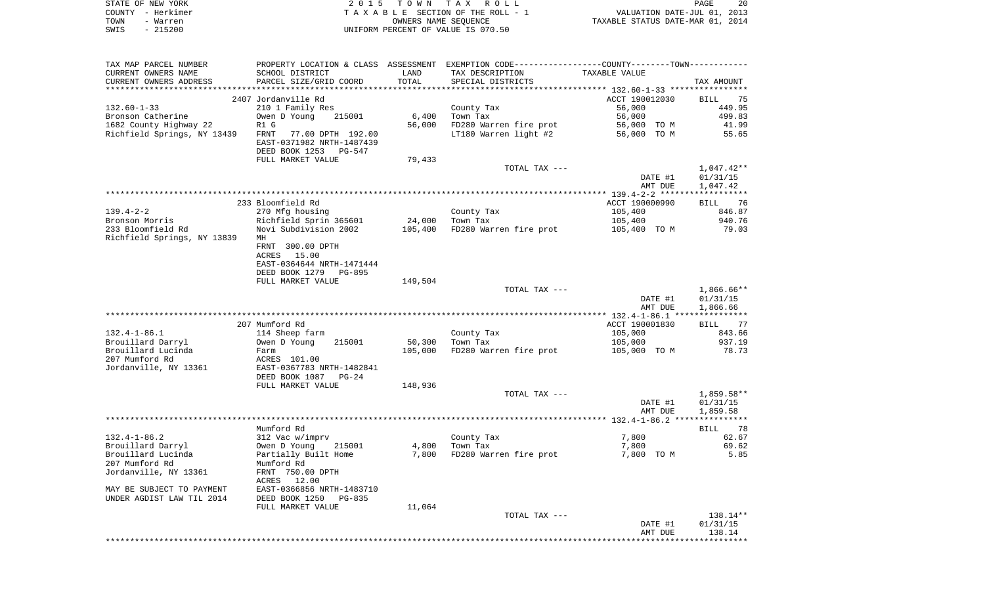|      | STATE OF NEW YORK | 2015 TOWN TAX ROLL                 | PAGE                             | -20 |
|------|-------------------|------------------------------------|----------------------------------|-----|
|      | COUNTY - Herkimer | TAXABLE SECTION OF THE ROLL - 1    | VALUATION DATE-JUL 01, 2013      |     |
| TOWN | - Warren          | OWNERS NAME SEOUENCE               | TAXABLE STATUS DATE-MAR 01, 2014 |     |
| SWIS | $-215200$         | UNIFORM PERCENT OF VALUE IS 070.50 |                                  |     |

| TAX MAP PARCEL NUMBER                                  |                                                        |         |                        | PROPERTY LOCATION & CLASS ASSESSMENT EXEMPTION CODE----------------COUNTY--------TOWN---------- |                   |
|--------------------------------------------------------|--------------------------------------------------------|---------|------------------------|-------------------------------------------------------------------------------------------------|-------------------|
| CURRENT OWNERS NAME                                    | SCHOOL DISTRICT                                        | LAND    | TAX DESCRIPTION        | TAXABLE VALUE                                                                                   |                   |
| CURRENT OWNERS ADDRESS                                 | PARCEL SIZE/GRID COORD                                 | TOTAL   | SPECIAL DISTRICTS      |                                                                                                 | TAX AMOUNT        |
|                                                        |                                                        |         |                        |                                                                                                 |                   |
|                                                        | 2407 Jordanville Rd                                    |         |                        | ACCT 190012030                                                                                  | BILL<br>-75       |
| $132.60 - 1 - 33$<br>Bronson Catherine                 | 210 1 Family Res<br>Owen D Young<br>215001             | 6,400   | County Tax<br>Town Tax | 56,000<br>56,000                                                                                | 449.95<br>499.83  |
| 1682 County Highway 22                                 | R1 G                                                   | 56,000  | FD280 Warren fire prot | 56,000 TO M                                                                                     | 41.99             |
| Richfield Springs, NY 13439                            | FRNT<br>77.00 DPTH 192.00                              |         | LT180 Warren light #2  | 56,000 TO M                                                                                     | 55.65             |
|                                                        | EAST-0371982 NRTH-1487439                              |         |                        |                                                                                                 |                   |
|                                                        | DEED BOOK 1253<br>PG-547                               |         |                        |                                                                                                 |                   |
|                                                        | FULL MARKET VALUE                                      | 79,433  |                        |                                                                                                 |                   |
|                                                        |                                                        |         | TOTAL TAX ---          |                                                                                                 | $1,047.42**$      |
|                                                        |                                                        |         |                        | DATE #1                                                                                         | 01/31/15          |
|                                                        |                                                        |         |                        | AMT DUE                                                                                         | 1,047.42          |
|                                                        |                                                        |         |                        |                                                                                                 |                   |
|                                                        | 233 Bloomfield Rd                                      |         |                        | ACCT 190000990                                                                                  | BILL 76           |
| $139.4 - 2 - 2$                                        | 270 Mfg housing                                        |         | County Tax             | 105,400                                                                                         | 846.87            |
| Bronson Morris                                         | Richfield Sprin 365601                                 | 24,000  | Town Tax               | 105,400                                                                                         | 940.76            |
| 233 Bloomfield Rd                                      | Novi Subdivision 2002                                  | 105,400 | FD280 Warren fire prot | 105,400 TO M                                                                                    | 79.03             |
| Richfield Springs, NY 13839                            | МH<br>FRNT 300.00 DPTH                                 |         |                        |                                                                                                 |                   |
|                                                        | ACRES<br>15.00                                         |         |                        |                                                                                                 |                   |
|                                                        | EAST-0364644 NRTH-1471444                              |         |                        |                                                                                                 |                   |
|                                                        | DEED BOOK 1279<br>PG-895                               |         |                        |                                                                                                 |                   |
|                                                        | FULL MARKET VALUE                                      | 149,504 |                        |                                                                                                 |                   |
|                                                        |                                                        |         | TOTAL TAX ---          |                                                                                                 | $1,866.66**$      |
|                                                        |                                                        |         |                        | DATE #1                                                                                         | 01/31/15          |
|                                                        |                                                        |         |                        | AMT DUE                                                                                         | 1,866.66          |
|                                                        |                                                        |         |                        |                                                                                                 |                   |
|                                                        | 207 Mumford Rd                                         |         |                        | ACCT 190001830                                                                                  | <b>BILL</b><br>77 |
| $132.4 - 1 - 86.1$                                     | 114 Sheep farm                                         |         | County Tax             | 105,000                                                                                         | 843.66            |
| Brouillard Darryl                                      | 215001<br>Owen D Young                                 | 50,300  | Town Tax               | 105,000                                                                                         | 937.19            |
| Brouillard Lucinda                                     | Farm                                                   | 105,000 | FD280 Warren fire prot | 105,000 TO M                                                                                    | 78.73             |
| 207 Mumford Rd                                         | ACRES 101.00                                           |         |                        |                                                                                                 |                   |
| Jordanville, NY 13361                                  | EAST-0367783 NRTH-1482841<br>DEED BOOK 1087<br>$PG-24$ |         |                        |                                                                                                 |                   |
|                                                        | FULL MARKET VALUE                                      | 148,936 |                        |                                                                                                 |                   |
|                                                        |                                                        |         | TOTAL TAX ---          |                                                                                                 | $1,859.58**$      |
|                                                        |                                                        |         |                        | DATE #1                                                                                         | 01/31/15          |
|                                                        |                                                        |         |                        | AMT DUE                                                                                         | 1,859.58          |
|                                                        |                                                        |         |                        |                                                                                                 |                   |
|                                                        | Mumford Rd                                             |         |                        |                                                                                                 | 78<br><b>BILL</b> |
| $132.4 - 1 - 86.2$                                     | 312 Vac w/imprv                                        |         | County Tax             | 7,800                                                                                           | 62.67             |
| Brouillard Darryl                                      | Owen D Young<br>215001                                 | 4,800   | Town Tax               | 7,800                                                                                           | 69.62             |
| Brouillard Lucinda                                     | Partially Built Home                                   | 7,800   | FD280 Warren fire prot | 7,800 TO M                                                                                      | 5.85              |
| 207 Mumford Rd                                         | Mumford Rd                                             |         |                        |                                                                                                 |                   |
| Jordanville, NY 13361                                  | FRNT 750.00 DPTH                                       |         |                        |                                                                                                 |                   |
|                                                        | ACRES 12.00                                            |         |                        |                                                                                                 |                   |
| MAY BE SUBJECT TO PAYMENT<br>UNDER AGDIST LAW TIL 2014 | EAST-0366856 NRTH-1483710<br>DEED BOOK 1250<br>PG-835  |         |                        |                                                                                                 |                   |
|                                                        | FULL MARKET VALUE                                      | 11,064  |                        |                                                                                                 |                   |
|                                                        |                                                        |         | TOTAL TAX ---          |                                                                                                 | 138.14**          |
|                                                        |                                                        |         |                        | DATE #1                                                                                         | 01/31/15          |
|                                                        |                                                        |         |                        | AMT DUE                                                                                         | 138.14            |
|                                                        |                                                        |         |                        |                                                                                                 | **********        |
|                                                        |                                                        |         |                        |                                                                                                 |                   |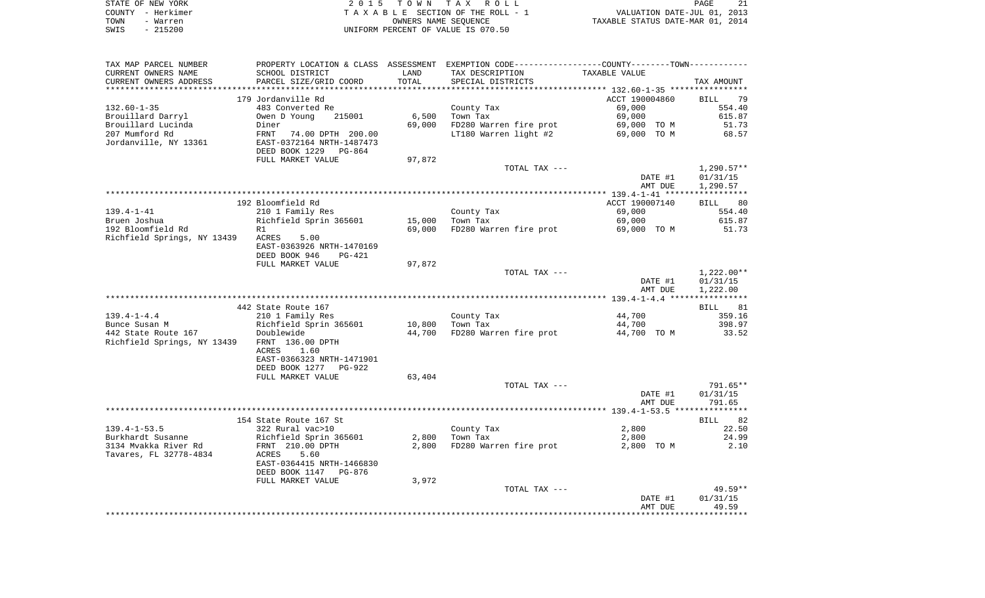| STATE OF NEW YORK | 2015 TOWN TAX ROLL                 | 21<br><b>PAGE</b>                |
|-------------------|------------------------------------|----------------------------------|
| COUNTY - Herkimer | TAXABLE SECTION OF THE ROLL - 1    | VALUATION DATE-JUL 01, 2013      |
| TOWN<br>- Warren  | OWNERS NAME SEOUENCE               | TAXABLE STATUS DATE-MAR 01, 2014 |
| $-215200$<br>SWIS | UNIFORM PERCENT OF VALUE IS 070.50 |                                  |

| TAX MAP PARCEL NUMBER                  |                              |                  | PROPERTY LOCATION & CLASS ASSESSMENT EXEMPTION CODE---------------COUNTY-------TOWN---------- |                       |                 |
|----------------------------------------|------------------------------|------------------|-----------------------------------------------------------------------------------------------|-----------------------|-----------------|
| CURRENT OWNERS NAME                    | SCHOOL DISTRICT              | LAND             | TAX DESCRIPTION                                                                               | TAXABLE VALUE         |                 |
| CURRENT OWNERS ADDRESS                 | PARCEL SIZE/GRID COORD       | TOTAL            | SPECIAL DISTRICTS                                                                             |                       | TAX AMOUNT      |
|                                        |                              |                  |                                                                                               |                       |                 |
|                                        | 179 Jordanville Rd           |                  |                                                                                               | ACCT 190004860        | BILL 79         |
| $132.60 - 1 - 35$                      | 483 Converted Re             |                  | County Tax                                                                                    | 69,000                | 554.40          |
| Brouillard Darryl                      | 215001<br>Owen D Young       | 6,500            | Town Tax                                                                                      | 69,000                | 615.87          |
| Brouillard Lucinda                     | Diner                        | 69,000           | FD280 Warren fire prot                                                                        | 69,000 TO M           | 51.73           |
| 207 Mumford Rd                         | FRNT 74.00 DPTH 200.00       |                  | LT180 Warren light #2                                                                         | 69,000 TO M           | 68.57           |
| Jordanville, NY 13361                  | EAST-0372164 NRTH-1487473    |                  |                                                                                               |                       |                 |
|                                        | DEED BOOK 1229 PG-864        |                  |                                                                                               |                       |                 |
|                                        | FULL MARKET VALUE            | 97,872           |                                                                                               |                       |                 |
|                                        |                              |                  | TOTAL TAX ---                                                                                 |                       | 1,290.57**      |
|                                        |                              |                  |                                                                                               | DATE #1               | 01/31/15        |
|                                        |                              |                  |                                                                                               | AMT DUE               | 1,290.57        |
|                                        | 192 Bloomfield Rd            |                  |                                                                                               | ACCT 190007140        | BILL 80         |
| 139.4-1-41                             | 210 1 Family Res             |                  | County Tax                                                                                    | 69,000                | 554.40          |
|                                        |                              |                  | Town Tax                                                                                      |                       |                 |
| Bruen Joshua<br>192 Bloomfield Rd      | Richfield Sprin 365601<br>R1 | 15,000<br>69,000 | FD280 Warren fire prot                                                                        | 69,000<br>69,000 TO M | 615.87<br>51.73 |
| Richfield Springs, NY 13439 ACRES 5.00 |                              |                  |                                                                                               |                       |                 |
|                                        | EAST-0363926 NRTH-1470169    |                  |                                                                                               |                       |                 |
|                                        | DEED BOOK 946<br>PG-421      |                  |                                                                                               |                       |                 |
|                                        | FULL MARKET VALUE            | 97,872           |                                                                                               |                       |                 |
|                                        |                              |                  | TOTAL TAX ---                                                                                 |                       | 1,222.00**      |
|                                        |                              |                  |                                                                                               | DATE #1               | 01/31/15        |
|                                        |                              |                  |                                                                                               | AMT DUE               | 1,222.00        |
|                                        |                              |                  |                                                                                               |                       |                 |
|                                        | 442 State Route 167          |                  |                                                                                               |                       | BILL 81         |
| 139.4-1-4.4                            | 210 1 Family Res             |                  | County Tax                                                                                    | 44,700                | 359.16          |
|                                        |                              | 10,800           | Town Tax                                                                                      | 44,700                | 398.97          |
|                                        |                              | 44,700           | FD280 Warren fire prot                                                                        | 44,700 TO M           | 33.52           |
| Richfield Springs, NY 13439            | FRNT 136.00 DPTH             |                  |                                                                                               |                       |                 |
|                                        | ACRES<br>1.60                |                  |                                                                                               |                       |                 |
|                                        | EAST-0366323 NRTH-1471901    |                  |                                                                                               |                       |                 |
|                                        | DEED BOOK 1277 PG-922        |                  |                                                                                               |                       |                 |
|                                        | FULL MARKET VALUE            | 63,404           |                                                                                               |                       |                 |
|                                        |                              |                  | TOTAL TAX ---                                                                                 |                       | 791.65**        |
|                                        |                              |                  |                                                                                               | DATE #1               | 01/31/15        |
|                                        |                              |                  |                                                                                               | AMT DUE               | 791.65          |
|                                        |                              |                  |                                                                                               |                       |                 |
|                                        | 154 State Route 167 St       |                  |                                                                                               |                       | BILL 82         |
| $139.4 - 1 - 53.5$                     | 322 Rural vac>10             |                  | County Tax                                                                                    | 2,800                 | 22.50           |
| Burkhardt Susanne                      | Richfield Sprin 365601       | 2,800            | Town Tax                                                                                      | 2,800                 | 24.99           |
| 3134 Mvakka River Rd                   | FRNT 210.00 DPTH             | 2,800            | FD280 Warren fire prot                                                                        | 2,800 TO M            | 2.10            |
| Tavares, FL 32778-4834                 | 5.60<br>ACRES                |                  |                                                                                               |                       |                 |
|                                        | EAST-0364415 NRTH-1466830    |                  |                                                                                               |                       |                 |
|                                        | DEED BOOK 1147 PG-876        |                  |                                                                                               |                       |                 |
|                                        | FULL MARKET VALUE            | 3,972            |                                                                                               |                       |                 |
|                                        |                              |                  | TOTAL TAX ---                                                                                 |                       | $49.59**$       |
|                                        |                              |                  |                                                                                               | DATE #1               | 01/31/15        |
|                                        |                              |                  |                                                                                               | AMT DUE               | 49.59           |
|                                        |                              |                  |                                                                                               |                       |                 |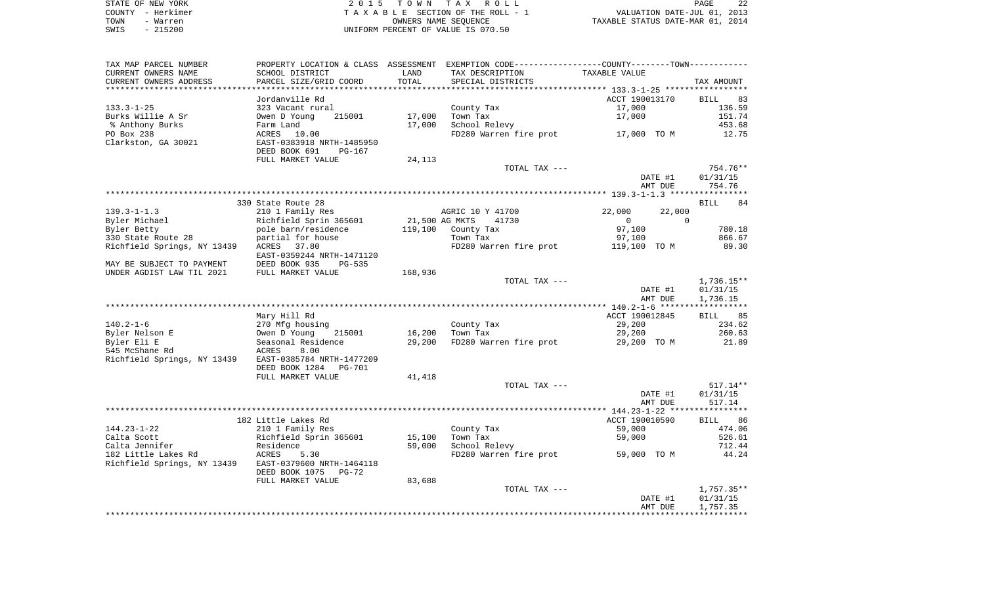| STATE OF NEW YORK | 2015 TOWN TAX ROLL                 | PAGE                             |
|-------------------|------------------------------------|----------------------------------|
| COUNTY - Herkimer | TAXABLE SECTION OF THE ROLL - 1    | VALUATION DATE-JUL 01, 2013      |
| TOWN<br>- Warren  | OWNERS NAME SEOUENCE               | TAXABLE STATUS DATE-MAR 01, 2014 |
| - 215200<br>SWIS  | UNIFORM PERCENT OF VALUE IS 070.50 |                                  |

| TAX MAP PARCEL NUMBER                                    |                                                                                              |                | PROPERTY LOCATION & CLASS ASSESSMENT EXEMPTION CODE----------------COUNTY--------TOWN----------- |                          |                   |
|----------------------------------------------------------|----------------------------------------------------------------------------------------------|----------------|--------------------------------------------------------------------------------------------------|--------------------------|-------------------|
| CURRENT OWNERS NAME                                      | SCHOOL DISTRICT                                                                              | LAND           | TAX DESCRIPTION                                                                                  | TAXABLE VALUE            |                   |
| CURRENT OWNERS ADDRESS                                   | PARCEL SIZE/GRID COORD                                                                       | TOTAL          | SPECIAL DISTRICTS                                                                                |                          | TAX AMOUNT        |
|                                                          |                                                                                              |                |                                                                                                  |                          |                   |
|                                                          | Jordanville Rd                                                                               |                |                                                                                                  | ACCT 190013170           | BILL<br>83        |
| 133.3-1-25                                               | 323 Vacant rural                                                                             |                | County Tax                                                                                       | 17,000                   | 136.59            |
| Burks Willie A Sr                                        | 215001<br>Owen D Young                                                                       | 17,000         | Town Tax                                                                                         | 17,000                   | 151.74            |
| % Anthony Burks                                          | Farm Land                                                                                    | 17,000         | School Relevy                                                                                    |                          | 453.68            |
| PO Box 238                                               | ACRES 10.00                                                                                  |                | FD280 Warren fire prot 17,000 TO M                                                               |                          | 12.75             |
| Clarkston, GA 30021                                      | EAST-0383918 NRTH-1485950                                                                    |                |                                                                                                  |                          |                   |
|                                                          | DEED BOOK 691<br>PG-167                                                                      |                |                                                                                                  |                          |                   |
|                                                          | FULL MARKET VALUE                                                                            | 24,113         |                                                                                                  |                          |                   |
|                                                          |                                                                                              |                | TOTAL TAX ---                                                                                    |                          | 754.76**          |
|                                                          |                                                                                              |                |                                                                                                  | DATE #1                  | 01/31/15          |
|                                                          |                                                                                              |                |                                                                                                  | AMT DUE                  | 754.76            |
|                                                          |                                                                                              |                |                                                                                                  |                          |                   |
|                                                          | 330 State Route 28                                                                           |                |                                                                                                  |                          | <b>BILL</b><br>84 |
| 139.3-1-1.3                                              | 210 1 Family Res                                                                             |                | AGRIC 10 Y 41700                                                                                 | 22,000<br>22,000         |                   |
| Byler Michael                                            | Richfield Sprin 365601<br>Richfield Sprin 365601<br>pole barn/residence<br>partial for bouse | 21,500 AG MKTS | 41730                                                                                            | $\Omega$<br>$\mathbf{0}$ |                   |
| Byler Betty                                              |                                                                                              |                | $119,100$ County Tax                                                                             | 97,100                   | 780.18            |
| 330 State Route 28                                       | partial for house                                                                            |                | Town Tax                                                                                         | 97,100                   | 866.67            |
| Richfield Springs, NY 13439                              | ACRES 37.80                                                                                  |                | FD280 Warren fire prot 119,100 TO M                                                              |                          | 89.30             |
|                                                          | EAST-0359244 NRTH-1471120                                                                    |                |                                                                                                  |                          |                   |
| MAY BE SUBJECT TO PAYMENT                                | DEED BOOK 935<br>PG-535                                                                      |                |                                                                                                  |                          |                   |
| UNDER AGDIST LAW TIL 2021                                | FULL MARKET VALUE                                                                            | 168,936        |                                                                                                  |                          |                   |
|                                                          |                                                                                              |                | TOTAL TAX ---                                                                                    |                          | 1,736.15**        |
|                                                          |                                                                                              |                |                                                                                                  | DATE #1                  | 01/31/15          |
|                                                          |                                                                                              |                |                                                                                                  | AMT DUE                  | 1,736.15          |
|                                                          |                                                                                              |                |                                                                                                  | ACCT 190012845           |                   |
| $140.2 - 1 - 6$                                          | Mary Hill Rd                                                                                 |                |                                                                                                  | 29,200                   | BILL 85<br>234.62 |
|                                                          | 270 Mfg housing<br>215001                                                                    | 16,200         | County Tax<br>Town Tax                                                                           | 29,200                   | 260.63            |
| Byler Nelson E<br>Byler Eli E                            | Owen D Young<br>Seasonal Residence                                                           | 29,200         | FD280 Warren fire prot                                                                           | 29,200 TO M              | 21.89             |
| 545 McShane Rd                                           | ACRES<br>8.00                                                                                |                |                                                                                                  |                          |                   |
| Richfield Springs, NY 13439                              | EAST-0385784 NRTH-1477209                                                                    |                |                                                                                                  |                          |                   |
|                                                          | DEED BOOK 1284 PG-701                                                                        |                |                                                                                                  |                          |                   |
|                                                          | FULL MARKET VALUE                                                                            | 41,418         |                                                                                                  |                          |                   |
|                                                          |                                                                                              |                | TOTAL TAX ---                                                                                    |                          | $517.14**$        |
|                                                          |                                                                                              |                |                                                                                                  | DATE #1                  | 01/31/15          |
|                                                          |                                                                                              |                |                                                                                                  | AMT DUE                  | 517.14            |
|                                                          |                                                                                              |                |                                                                                                  |                          |                   |
|                                                          | 182 Little Lakes Rd                                                                          |                |                                                                                                  | ACCT 190010590           | BILL 86           |
| $144.23 - 1 - 22$                                        | 210 1 Family Res                                                                             |                | County Tax                                                                                       | 59,000                   | 474.06            |
| Calta Scott                                              | Richfield Sprin 365601                                                                       | 15,100         | Town Tax                                                                                         | 59,000                   | 526.61            |
| Calta Jennifer                                           |                                                                                              | 59,000         | School Relevy                                                                                    |                          | 712.44            |
| 182 Little Lakes Rd                                      | Residence<br>ACRES !<br>5.30                                                                 |                | FD280 Warren fire prot                                                                           | 59,000 TO M              | 44.24             |
| Richfield Springs, NY 13439    EAST-0379600 NRTH-1464118 |                                                                                              |                |                                                                                                  |                          |                   |
|                                                          | DEED BOOK 1075<br>PG-72                                                                      |                |                                                                                                  |                          |                   |
|                                                          | FULL MARKET VALUE                                                                            | 83,688         |                                                                                                  |                          |                   |
|                                                          |                                                                                              |                | TOTAL TAX ---                                                                                    |                          | 1,757.35**        |
|                                                          |                                                                                              |                |                                                                                                  | DATE #1                  | 01/31/15          |
|                                                          |                                                                                              |                |                                                                                                  | AMT DUE                  | 1,757.35          |
|                                                          |                                                                                              |                |                                                                                                  |                          |                   |
|                                                          |                                                                                              |                |                                                                                                  |                          |                   |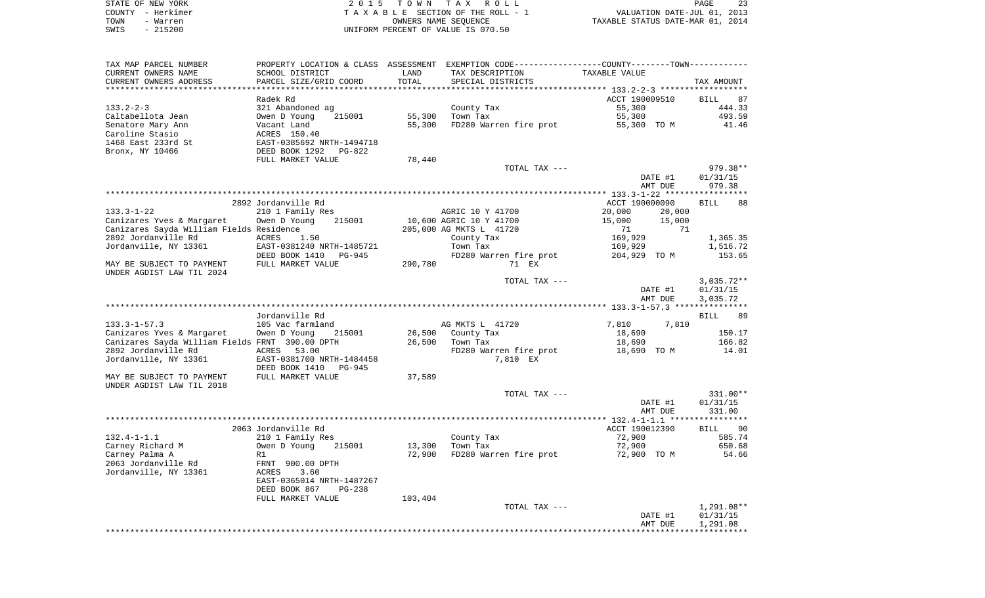| STATE OF NEW YORK | 2015 TOWN TAX ROLL                 | 23<br>PAGE                       |
|-------------------|------------------------------------|----------------------------------|
| COUNTY - Herkimer | TAXABLE SECTION OF THE ROLL - 1    | VALUATION DATE-JUL 01, 2013      |
| TOWN<br>- Warren  | OWNERS NAME SEOUENCE               | TAXABLE STATUS DATE-MAR 01, 2014 |
| $-215200$<br>SWIS | UNIFORM PERCENT OF VALUE IS 070.50 |                                  |

| TAX MAP PARCEL NUMBER<br>CURRENT OWNERS NAME           | SCHOOL DISTRICT                           | LAND    | PROPERTY LOCATION & CLASS ASSESSMENT EXEMPTION CODE----------------COUNTY--------TOWN----------<br>TAX DESCRIPTION | TAXABLE VALUE    |                   |
|--------------------------------------------------------|-------------------------------------------|---------|--------------------------------------------------------------------------------------------------------------------|------------------|-------------------|
| CURRENT OWNERS ADDRESS                                 | PARCEL SIZE/GRID COORD                    | TOTAL   | SPECIAL DISTRICTS                                                                                                  |                  | TAX AMOUNT        |
|                                                        |                                           |         |                                                                                                                    |                  |                   |
|                                                        | Radek Rd                                  |         |                                                                                                                    | ACCT 190009510   | <b>BILL</b><br>87 |
| $133.2 - 2 - 3$                                        | 321 Abandoned ag                          |         | County Tax                                                                                                         | 55,300           | 444.33            |
| Caltabellota Jean                                      | Owen D Young<br>215001                    | 55,300  | Town Tax                                                                                                           | 55,300           | 493.59            |
| Senatore Mary Ann                                      | Vacant Land                               | 55,300  | FD280 Warren fire prot                                                                                             | 55,300 TO M      | 41.46             |
| Caroline Stasio<br>1468 East 233rd St                  | ACRES 150.40<br>EAST-0385692 NRTH-1494718 |         |                                                                                                                    |                  |                   |
| Bronx, NY 10466                                        | DEED BOOK 1292 PG-822                     |         |                                                                                                                    |                  |                   |
|                                                        | FULL MARKET VALUE                         | 78,440  |                                                                                                                    |                  |                   |
|                                                        |                                           |         | TOTAL TAX ---                                                                                                      |                  | 979.38**          |
|                                                        |                                           |         |                                                                                                                    | DATE #1          | 01/31/15          |
|                                                        |                                           |         |                                                                                                                    | AMT DUE          | 979.38            |
|                                                        |                                           |         |                                                                                                                    |                  |                   |
|                                                        | 2892 Jordanville Rd                       |         |                                                                                                                    | ACCT 190000090   | <b>BILL</b><br>88 |
| 133.3-1-22                                             | 210 1 Family Res                          |         | AGRIC 10 Y 41700                                                                                                   | 20,000<br>20,000 |                   |
| Canizares Yves & Margaret                              | Owen D Young<br>215001                    |         | 10,600 AGRIC 10 Y 41700                                                                                            | 15,000<br>15,000 |                   |
| Canizares Sayda William Fields Residence               |                                           |         | 205,000 AG MKTS L 41720                                                                                            | 71<br>71         |                   |
| 2892 Jordanville Rd                                    | ACRES<br>1.50                             |         | County Tax                                                                                                         | 169,929          | 1,365.35          |
| Jordanville, NY 13361                                  | EAST-0381240 NRTH-1485721                 |         | Town Tax                                                                                                           | 169,929          | 1,516.72          |
|                                                        | DEED BOOK 1410 PG-945                     |         | FD280 Warren fire prot                                                                                             | 204,929 TO M     | 153.65            |
| MAY BE SUBJECT TO PAYMENT<br>UNDER AGDIST LAW TIL 2024 | FULL MARKET VALUE                         | 290,780 | 71 EX                                                                                                              |                  |                   |
|                                                        |                                           |         | TOTAL TAX ---                                                                                                      |                  | $3,035.72**$      |
|                                                        |                                           |         |                                                                                                                    | DATE #1          | 01/31/15          |
|                                                        |                                           |         |                                                                                                                    | AMT DUE          | 3,035.72          |
|                                                        | Jordanville Rd                            |         |                                                                                                                    |                  | BILL<br>89        |
| $133.3 - 1 - 57.3$                                     | 105 Vac farmland                          |         | AG MKTS L 41720                                                                                                    | 7,810<br>7,810   |                   |
| Canizares Yves & Margaret                              | Owen D Young<br>215001                    | 26,500  | County Tax                                                                                                         | 18,690           | 150.17            |
| Canizares Sayda William Fields FRNT 390.00 DPTH        |                                           | 26,500  | Town Tax                                                                                                           | 18,690           | 166.82            |
| 2892 Jordanville Rd                                    | ACRES 53.00                               |         | FD280 Warren fire prot                                                                                             | 18,690 TO M      | 14.01             |
| Jordanville, NY 13361                                  | EAST-0381700 NRTH-1484458                 |         | 7,810 EX                                                                                                           |                  |                   |
|                                                        | DEED BOOK 1410<br>PG-945                  |         |                                                                                                                    |                  |                   |
| MAY BE SUBJECT TO PAYMENT                              | FULL MARKET VALUE                         | 37,589  |                                                                                                                    |                  |                   |
| UNDER AGDIST LAW TIL 2018                              |                                           |         |                                                                                                                    |                  |                   |
|                                                        |                                           |         | TOTAL TAX ---                                                                                                      |                  | 331.00**          |
|                                                        |                                           |         |                                                                                                                    | DATE #1          | 01/31/15          |
|                                                        |                                           |         |                                                                                                                    | AMT DUE          | 331.00            |
|                                                        | 2063 Jordanville Rd                       |         |                                                                                                                    | ACCT 190012390   | BILL 90           |
| $132.4 - 1 - 1.1$                                      | 210 1 Family Res                          |         | County Tax                                                                                                         | 72,900           | 585.74            |
| Carney Richard M                                       | 215001<br>Owen D Young                    | 13,300  | Town Tax                                                                                                           | 72,900           | 650.68            |
| Carney Palma A                                         | R1                                        | 72,900  | FD280 Warren fire prot                                                                                             | 72,900 TO M      | 54.66             |
| 2063 Jordanville Rd                                    | FRNT 900.00 DPTH                          |         |                                                                                                                    |                  |                   |
| Jordanville, NY 13361                                  | 3.60<br>ACRES                             |         |                                                                                                                    |                  |                   |
|                                                        | EAST-0365014 NRTH-1487267                 |         |                                                                                                                    |                  |                   |
|                                                        | DEED BOOK 867<br>PG-238                   |         |                                                                                                                    |                  |                   |
|                                                        | FULL MARKET VALUE                         | 103,404 |                                                                                                                    |                  |                   |
|                                                        |                                           |         | TOTAL TAX ---                                                                                                      |                  | 1,291.08**        |
|                                                        |                                           |         |                                                                                                                    | DATE #1          | 01/31/15          |
|                                                        |                                           |         |                                                                                                                    | AMT DUE          | 1,291.08          |
|                                                        |                                           |         |                                                                                                                    |                  |                   |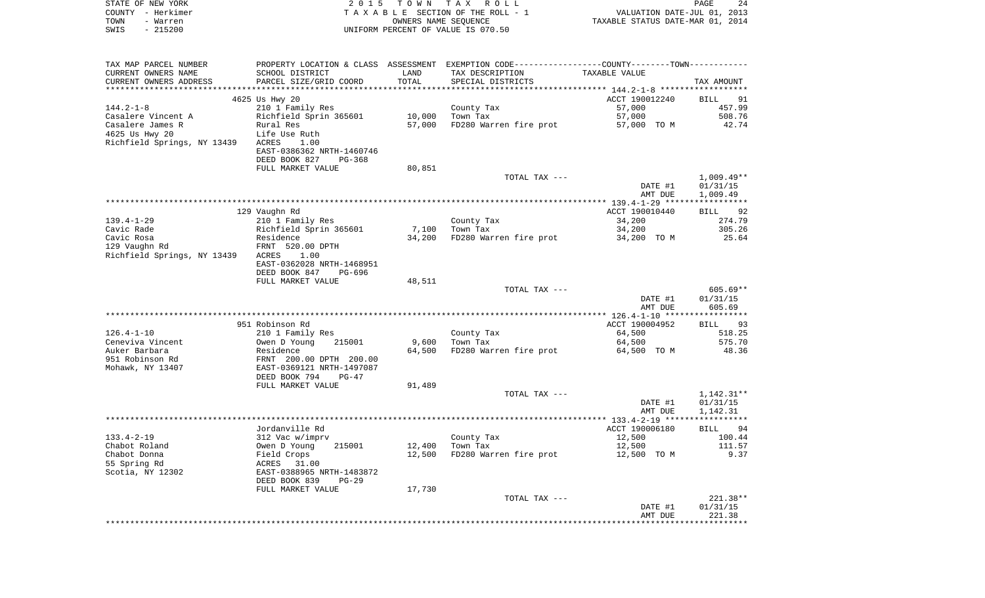| STATE OF NEW YORK<br>COUNTY - Herkimer | 2 0 1 5                                     | T O W N | TAX ROLL<br>TAXABLE SECTION OF THE ROLL - 1                                                   | VALUATION DATE-JUL 01, 2013      | PAGE<br>24           |
|----------------------------------------|---------------------------------------------|---------|-----------------------------------------------------------------------------------------------|----------------------------------|----------------------|
| TOWN<br>- Warren                       |                                             |         | OWNERS NAME SEQUENCE                                                                          | TAXABLE STATUS DATE-MAR 01, 2014 |                      |
| $-215200$<br>SWIS                      |                                             |         | UNIFORM PERCENT OF VALUE IS 070.50                                                            |                                  |                      |
|                                        |                                             |         |                                                                                               |                                  |                      |
| TAX MAP PARCEL NUMBER                  |                                             |         | PROPERTY LOCATION & CLASS ASSESSMENT EXEMPTION CODE---------------COUNTY-------TOWN---------- |                                  |                      |
| CURRENT OWNERS NAME                    | SCHOOL DISTRICT                             | LAND    | TAX DESCRIPTION                                                                               | TAXABLE VALUE                    |                      |
| CURRENT OWNERS ADDRESS                 | PARCEL SIZE/GRID COORD                      | TOTAL   | SPECIAL DISTRICTS                                                                             |                                  | TAX AMOUNT           |
| ************************               |                                             |         |                                                                                               |                                  |                      |
| $144.2 - 1 - 8$                        | 4625 Us Hwy 20                              |         | County Tax                                                                                    | ACCT 190012240<br>57,000         | 91<br>BILL<br>457.99 |
| Casalere Vincent A                     | 210 1 Family Res<br>Richfield Sprin 365601  | 10,000  | Town Tax                                                                                      | 57,000                           | 508.76               |
| Casalere James R                       | Rural Res                                   | 57,000  | FD280 Warren fire prot                                                                        | 57,000 TO M                      | 42.74                |
| 4625 Us Hwy 20                         | Life Use Ruth                               |         |                                                                                               |                                  |                      |
| Richfield Springs, NY 13439            | ACRES<br>1.00                               |         |                                                                                               |                                  |                      |
|                                        | EAST-0386362 NRTH-1460746                   |         |                                                                                               |                                  |                      |
|                                        | DEED BOOK 827<br>PG-368                     |         |                                                                                               |                                  |                      |
|                                        | FULL MARKET VALUE                           | 80,851  |                                                                                               |                                  |                      |
|                                        |                                             |         | TOTAL TAX ---                                                                                 |                                  | $1,009.49**$         |
|                                        |                                             |         |                                                                                               | DATE #1                          | 01/31/15             |
|                                        |                                             |         |                                                                                               | AMT DUE                          | 1,009.49             |
|                                        |                                             |         |                                                                                               |                                  |                      |
|                                        | 129 Vaughn Rd                               |         |                                                                                               | ACCT 190010440                   | 92<br>BILL           |
| $139.4 - 1 - 29$<br>Cavic Rade         | 210 1 Family Res<br>Richfield Sprin 365601  | 7,100   | County Tax<br>Town Tax                                                                        | 34,200<br>34,200                 | 274.79<br>305.26     |
| Cavic Rosa                             | Residence                                   | 34,200  | FD280 Warren fire prot                                                                        | 34,200 TO M                      | 25.64                |
| 129 Vaughn Rd                          | FRNT 520.00 DPTH                            |         |                                                                                               |                                  |                      |
| Richfield Springs, NY 13439            | ACRES<br>1.00                               |         |                                                                                               |                                  |                      |
|                                        | EAST-0362028 NRTH-1468951                   |         |                                                                                               |                                  |                      |
|                                        | DEED BOOK 847<br>PG-696                     |         |                                                                                               |                                  |                      |
|                                        | FULL MARKET VALUE                           | 48,511  |                                                                                               |                                  |                      |
|                                        |                                             |         | TOTAL TAX ---                                                                                 |                                  | 605.69**             |
|                                        |                                             |         |                                                                                               | DATE #1                          | 01/31/15             |
|                                        |                                             |         |                                                                                               | AMT DUE                          | 605.69               |
|                                        |                                             |         |                                                                                               |                                  |                      |
|                                        | 951 Robinson Rd                             |         |                                                                                               | ACCT 190004952                   | 93<br>BILL           |
| $126.4 - 1 - 10$                       | 210 1 Family Res                            |         | County Tax                                                                                    | 64,500                           | 518.25               |
| Ceneviva Vincent                       | Owen D Young<br>215001                      | 9,600   | Town Tax                                                                                      | 64,500                           | 575.70               |
| Auker Barbara<br>951 Robinson Rd       | Residence<br>FRNT 200.00 DPTH 200.00        | 64,500  | FD280 Warren fire prot                                                                        | 64,500 TO M                      | 48.36                |
| Mohawk, NY 13407                       | EAST-0369121 NRTH-1497087                   |         |                                                                                               |                                  |                      |
|                                        | DEED BOOK 794<br>PG-47                      |         |                                                                                               |                                  |                      |
|                                        | FULL MARKET VALUE                           | 91,489  |                                                                                               |                                  |                      |
|                                        |                                             |         | TOTAL TAX ---                                                                                 |                                  | $1,142.31**$         |
|                                        |                                             |         |                                                                                               | DATE #1                          | 01/31/15             |
|                                        |                                             |         |                                                                                               | AMT DUE                          | 1,142.31             |
|                                        |                                             |         |                                                                                               |                                  | * * * * * *          |
|                                        | Jordanville Rd                              |         |                                                                                               | ACCT 190006180                   | 94<br>BILL           |
| $133.4 - 2 - 19$                       | 312 Vac w/imprv                             |         | County Tax                                                                                    | 12,500                           | 100.44               |
| Chabot Roland                          | Owen D Young<br>215001                      | 12,400  | Town Tax                                                                                      | 12,500                           | 111.57               |
| Chabot Donna                           | Field Crops                                 | 12,500  | FD280 Warren fire prot                                                                        | 12,500 TO M                      | 9.37                 |
| 55 Spring Rd<br>Scotia, NY 12302       | ACRES<br>31.00<br>EAST-0388965 NRTH-1483872 |         |                                                                                               |                                  |                      |
|                                        | DEED BOOK 839<br>$PG-29$                    |         |                                                                                               |                                  |                      |
|                                        | FULL MARKET VALUE                           | 17,730  |                                                                                               |                                  |                      |
|                                        |                                             |         | TOTAL TAX ---                                                                                 |                                  | 221.38**             |
|                                        |                                             |         |                                                                                               | DATE #1                          | 01/31/15             |
|                                        |                                             |         |                                                                                               | AMT DUE                          | 221.38               |
|                                        |                                             |         |                                                                                               |                                  |                      |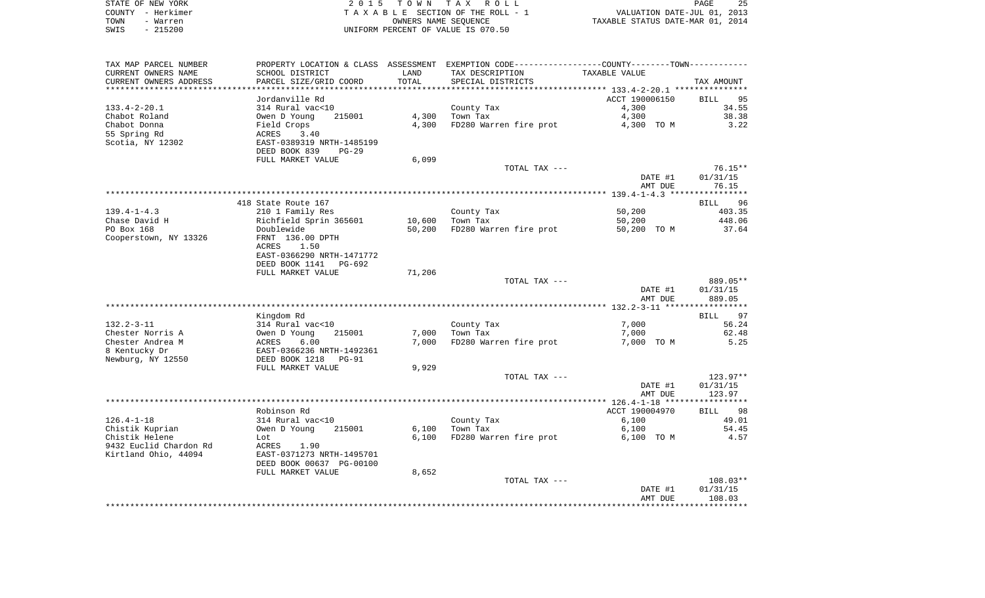|      | STATE OF NEW YORK | 2015 TOWN TAX ROLL                 | 25<br>PAGE                       |
|------|-------------------|------------------------------------|----------------------------------|
|      | COUNTY – Herkimer | TAXABLE SECTION OF THE ROLL - 1    | VALUATION DATE-JUL 01, 2013      |
| TOWN | - Warren          | OWNERS NAME SEOUENCE               | TAXABLE STATUS DATE-MAR 01, 2014 |
| SWIS | $-215200$         | UNIFORM PERCENT OF VALUE IS 070.50 |                                  |

| TAX MAP PARCEL NUMBER  |                           |               | PROPERTY LOCATION & CLASS ASSESSMENT EXEMPTION CODE----------------COUNTY-------TOWN---------- |                    |                    |
|------------------------|---------------------------|---------------|------------------------------------------------------------------------------------------------|--------------------|--------------------|
| CURRENT OWNERS NAME    | SCHOOL DISTRICT           | LAND          | TAX DESCRIPTION                                                                                | TAXABLE VALUE      |                    |
| CURRENT OWNERS ADDRESS | PARCEL SIZE/GRID COORD    | TOTAL         | SPECIAL DISTRICTS                                                                              |                    | TAX AMOUNT         |
|                        |                           | ************* | ********************************* 133.4-2-20.1 ***************                                 |                    |                    |
|                        | Jordanville Rd            |               |                                                                                                | ACCT 190006150     | 95<br><b>BILL</b>  |
| $133.4 - 2 - 20.1$     | 314 Rural vac<10          |               | County Tax                                                                                     | 4,300              | 34.55              |
| Chabot Roland          | Owen D Young<br>215001    | 4,300         | Town Tax                                                                                       | 4,300              | 38.38              |
| Chabot Donna           | Field Crops               | 4,300         | FD280 Warren fire prot                                                                         | 4,300 TO M         | 3.22               |
| 55 Spring Rd           | 3.40<br>ACRES             |               |                                                                                                |                    |                    |
| Scotia, NY 12302       | EAST-0389319 NRTH-1485199 |               |                                                                                                |                    |                    |
|                        | DEED BOOK 839<br>$PG-29$  |               |                                                                                                |                    |                    |
|                        | FULL MARKET VALUE         | 6,099         |                                                                                                |                    |                    |
|                        |                           |               | TOTAL TAX ---                                                                                  |                    | $76.15**$          |
|                        |                           |               |                                                                                                | DATE #1            | 01/31/15           |
|                        |                           |               |                                                                                                | AMT DUE            | 76.15              |
|                        | 418 State Route 167       |               |                                                                                                |                    | BILL 96            |
| $139.4 - 1 - 4.3$      | 210 1 Family Res          |               | County Tax                                                                                     | 50,200             | 403.35             |
| Chase David H          | Richfield Sprin 365601    | 10,600        | Town Tax                                                                                       | 50,200             | 448.06             |
| PO Box 168             | Doublewide                | 50,200        | FD280 Warren fire prot                                                                         | 50,200 TO M        | 37.64              |
| Cooperstown, NY 13326  | FRNT 136.00 DPTH          |               |                                                                                                |                    |                    |
|                        | ACRES<br>1.50             |               |                                                                                                |                    |                    |
|                        | EAST-0366290 NRTH-1471772 |               |                                                                                                |                    |                    |
|                        | DEED BOOK 1141<br>PG-692  |               |                                                                                                |                    |                    |
|                        | FULL MARKET VALUE         | 71,206        |                                                                                                |                    |                    |
|                        |                           |               | TOTAL TAX ---                                                                                  |                    | 889.05**           |
|                        |                           |               |                                                                                                | DATE #1            | 01/31/15           |
|                        |                           |               |                                                                                                | AMT DUE            | 889.05             |
|                        |                           |               |                                                                                                |                    |                    |
|                        | Kingdom Rd                |               |                                                                                                |                    | 97<br><b>BILL</b>  |
| $132.2 - 3 - 11$       | 314 Rural vac<10          |               | County Tax                                                                                     | 7,000              | 56.24              |
| Chester Norris A       | Owen D Young<br>215001    | 7,000         | Town Tax                                                                                       | 7,000              | 62.48              |
| Chester Andrea M       | ACRES<br>6.00             | 7,000         | FD280 Warren fire prot                                                                         | 7,000 TO M         | 5.25               |
| 8 Kentucky Dr          | EAST-0366236 NRTH-1492361 |               |                                                                                                |                    |                    |
| Newburg, NY 12550      | DEED BOOK 1218<br>$PG-91$ |               |                                                                                                |                    |                    |
|                        | FULL MARKET VALUE         | 9,929         |                                                                                                |                    |                    |
|                        |                           |               | TOTAL TAX ---                                                                                  |                    | $123.97**$         |
|                        |                           |               |                                                                                                | DATE #1<br>AMT DUE | 01/31/15<br>123.97 |
|                        |                           |               |                                                                                                |                    |                    |
|                        | Robinson Rd               |               |                                                                                                | ACCT 190004970     | 98<br><b>BILL</b>  |
| $126.4 - 1 - 18$       | 314 Rural vac<10          |               | County Tax                                                                                     | 6,100              | 49.01              |
| Chistik Kuprian        | Owen D Young<br>215001    | 6,100         | Town Tax                                                                                       | 6,100              | 54.45              |
| Chistik Helene         | Lot                       | 6,100         | FD280 Warren fire prot                                                                         | 6,100 TO M         | 4.57               |
| 9432 Euclid Chardon Rd | ACRES<br>1.90             |               |                                                                                                |                    |                    |
| Kirtland Ohio, 44094   | EAST-0371273 NRTH-1495701 |               |                                                                                                |                    |                    |
|                        | DEED BOOK 00637 PG-00100  |               |                                                                                                |                    |                    |
|                        | FULL MARKET VALUE         | 8,652         |                                                                                                |                    |                    |
|                        |                           |               | TOTAL TAX ---                                                                                  |                    | $108.03**$         |
|                        |                           |               |                                                                                                | DATE #1            | 01/31/15           |
|                        |                           |               |                                                                                                | AMT DUE            | 108.03             |
|                        |                           |               |                                                                                                |                    |                    |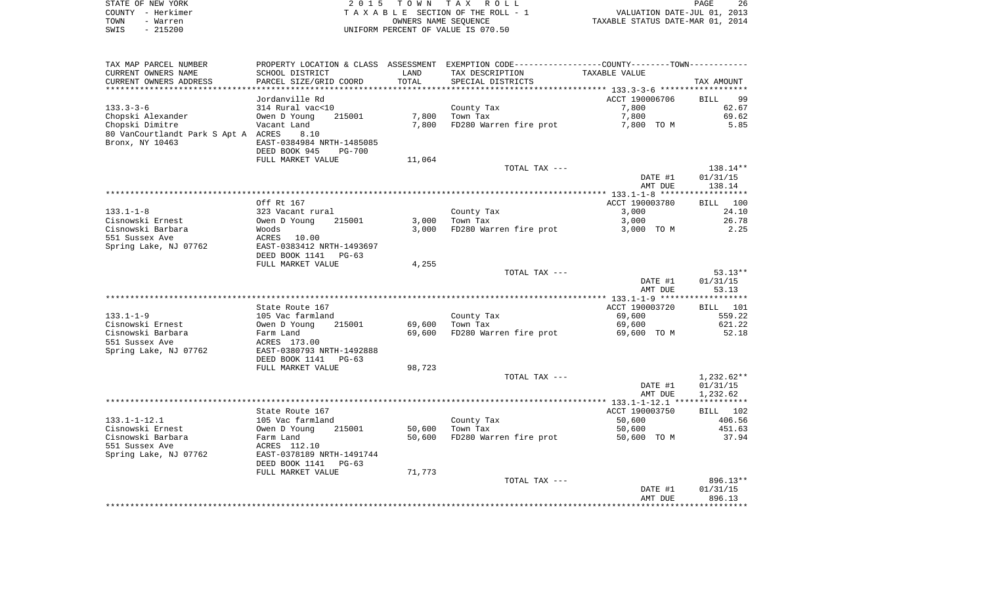| STATE OF NEW YORK | 2015 TOWN TAX ROLL                 | 26<br><b>PAGE</b>                |
|-------------------|------------------------------------|----------------------------------|
| COUNTY - Herkimer | TAXABLE SECTION OF THE ROLL - 1    | VALUATION DATE-JUL 01, 2013      |
| TOWN<br>- Warren  | OWNERS NAME SEOUENCE               | TAXABLE STATUS DATE-MAR 01, 2014 |
| $-215200$<br>SWIS | UNIFORM PERCENT OF VALUE IS 070.50 |                                  |

| TAX MAP PARCEL NUMBER<br>CURRENT OWNERS NAME | SCHOOL DISTRICT                               | LAND   | PROPERTY LOCATION & CLASS ASSESSMENT EXEMPTION CODE---------------COUNTY-------TOWN----------<br>TAX DESCRIPTION | TAXABLE VALUE  |                    |
|----------------------------------------------|-----------------------------------------------|--------|------------------------------------------------------------------------------------------------------------------|----------------|--------------------|
| CURRENT OWNERS ADDRESS                       | PARCEL SIZE/GRID COORD                        | TOTAL  | SPECIAL DISTRICTS                                                                                                |                | TAX AMOUNT         |
|                                              | Jordanville Rd                                |        | ************************************** 133.3-3-6 *************                                                   | ACCT 190006706 | <b>BILL</b><br>99  |
| $133.3 - 3 - 6$                              | 314 Rural vac<10                              |        | County Tax                                                                                                       | 7,800          | 62.67              |
| Chopski Alexander                            | 215001<br>Owen D Young                        | 7,800  | Town Tax                                                                                                         | 7,800          | 69.62              |
| Chopski Dimitre                              | Vacant Land                                   | 7,800  | FD280 Warren fire prot 7,800 TO M                                                                                |                | 5.85               |
| 80 VanCourtlandt Park S Apt A ACRES          | 8.10                                          |        |                                                                                                                  |                |                    |
| Bronx, NY 10463                              | EAST-0384984 NRTH-1485085                     |        |                                                                                                                  |                |                    |
|                                              | DEED BOOK 945<br>PG-700                       |        |                                                                                                                  |                |                    |
|                                              | FULL MARKET VALUE                             | 11,064 |                                                                                                                  |                |                    |
|                                              |                                               |        | TOTAL TAX ---                                                                                                    |                | 138.14**           |
|                                              |                                               |        |                                                                                                                  | DATE #1        | 01/31/15           |
|                                              |                                               |        |                                                                                                                  | AMT DUE        | 138.14             |
|                                              | Off Rt 167                                    |        |                                                                                                                  | ACCT 190003780 | BILL 100           |
| $133.1 - 1 - 8$                              | 323 Vacant rural                              |        | County Tax                                                                                                       | 3,000          | 24.10              |
| Cisnowski Ernest                             | Owen D Young<br>215001                        | 3,000  | Town Tax                                                                                                         | 3,000          | 26.78              |
| Cisnowski Barbara                            | Woods                                         | 3,000  | FD280 Warren fire prot                                                                                           | 3,000 TO M     | 2.25               |
| 551 Sussex Ave                               | ACRES 10.00                                   |        |                                                                                                                  |                |                    |
| Spring Lake, NJ 07762                        | EAST-0383412 NRTH-1493697                     |        |                                                                                                                  |                |                    |
|                                              | DEED BOOK 1141 PG-63                          |        |                                                                                                                  |                |                    |
|                                              | FULL MARKET VALUE                             | 4,255  |                                                                                                                  |                |                    |
|                                              |                                               |        | TOTAL TAX ---                                                                                                    |                | $53.13**$          |
|                                              |                                               |        |                                                                                                                  | DATE #1        | 01/31/15           |
|                                              |                                               |        |                                                                                                                  | AMT DUE        | 53.13              |
|                                              | State Route 167                               |        |                                                                                                                  | ACCT 190003720 | BILL 101           |
| $133.1 - 1 - 9$                              | 105 Vac farmland                              |        | County Tax                                                                                                       | 69,600         | 559.22             |
| Cisnowski Ernest                             |                                               | 69,600 | Town Tax                                                                                                         | 69,600         | 621.22             |
| Cisnowski Barbara                            | Owen D Young 215001<br>Farm Land              | 69,600 | FD280 Warren fire prot                                                                                           | 69,600 TO M    | 52.18              |
| 551 Sussex Ave                               | ACRES 173.00                                  |        |                                                                                                                  |                |                    |
| Spring Lake, NJ 07762                        | EAST-0380793 NRTH-1492888                     |        |                                                                                                                  |                |                    |
|                                              | DEED BOOK 1141<br>$PG-63$                     |        |                                                                                                                  |                |                    |
|                                              | FULL MARKET VALUE                             | 98,723 |                                                                                                                  |                |                    |
|                                              |                                               |        | TOTAL TAX ---                                                                                                    |                | 1,232.62**         |
|                                              |                                               |        |                                                                                                                  | DATE #1        | 01/31/15           |
|                                              |                                               |        |                                                                                                                  | AMT DUE        | 1,232.62           |
|                                              | State Route 167                               |        |                                                                                                                  | ACCT 190003750 | BILL 102           |
| 133.1-1-12.1                                 |                                               |        | County Tax                                                                                                       | 50,600         | 406.56             |
| Cisnowski Ernest                             | 215001                                        | 50,600 | Town Tax                                                                                                         | 50,600         | 451.63             |
| Cisnowski Barbara                            | 105 Vac farmland<br>Owen D Young<br>Farm Land | 50,600 | FD280 Warren fire prot                                                                                           | 50,600 TO M    | 37.94              |
| 551 Sussex Ave                               | ACRES 112.10                                  |        |                                                                                                                  |                |                    |
| Spring Lake, NJ 07762                        | EAST-0378189 NRTH-1491744                     |        |                                                                                                                  |                |                    |
|                                              | DEED BOOK 1141 PG-63                          |        |                                                                                                                  |                |                    |
|                                              | FULL MARKET VALUE                             | 71,773 |                                                                                                                  |                |                    |
|                                              |                                               |        | TOTAL TAX ---                                                                                                    |                | 896.13**           |
|                                              |                                               |        |                                                                                                                  | DATE #1        | 01/31/15<br>896.13 |
|                                              |                                               |        |                                                                                                                  | AMT DUE        |                    |
|                                              |                                               |        |                                                                                                                  |                |                    |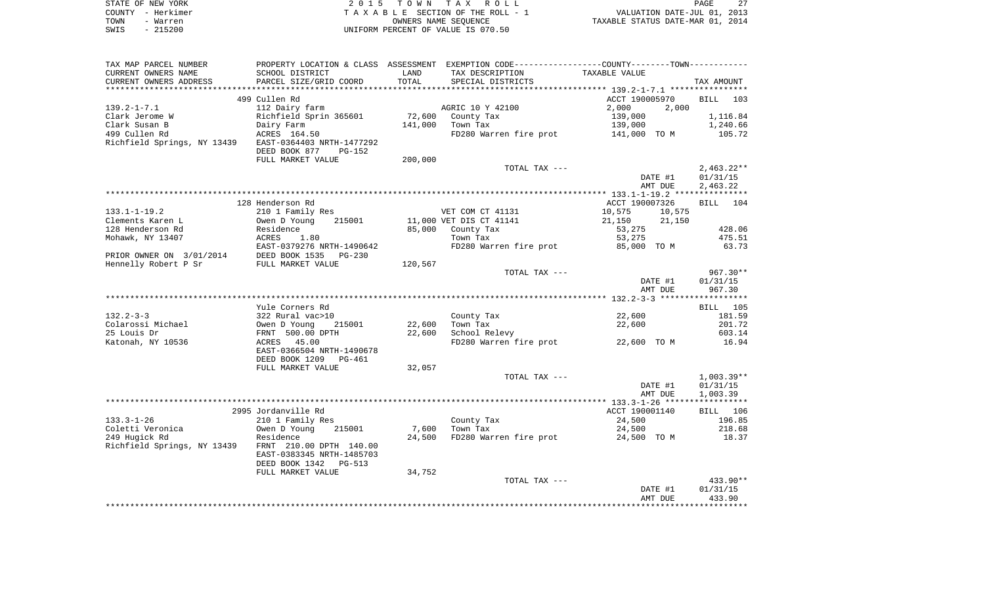| STATE OF NEW YORK | 2015 TOWN TAX ROLL                 | 27<br>PAGE                       |
|-------------------|------------------------------------|----------------------------------|
| COUNTY – Herkimer | TAXABLE SECTION OF THE ROLL - 1    | VALUATION DATE-JUL 01, 2013      |
| TOWN<br>- Warren  | OWNERS NAME SEOUENCE               | TAXABLE STATUS DATE-MAR 01, 2014 |
| - 215200<br>SWIS  | UNIFORM PERCENT OF VALUE IS 070.50 |                                  |

| PROPERTY LOCATION & CLASS ASSESSMENT EXEMPTION CODE----------------COUNTY-------TOWN---------- |                                                                                                                                                                                                                                                                                                                                            |                                                                                                                                                                                                 |                                                                                                                                                                                                                                                 |                                                                     |                                                                                                                                                                                                         |
|------------------------------------------------------------------------------------------------|--------------------------------------------------------------------------------------------------------------------------------------------------------------------------------------------------------------------------------------------------------------------------------------------------------------------------------------------|-------------------------------------------------------------------------------------------------------------------------------------------------------------------------------------------------|-------------------------------------------------------------------------------------------------------------------------------------------------------------------------------------------------------------------------------------------------|---------------------------------------------------------------------|---------------------------------------------------------------------------------------------------------------------------------------------------------------------------------------------------------|
| SCHOOL DISTRICT                                                                                | LAND                                                                                                                                                                                                                                                                                                                                       | TAX DESCRIPTION                                                                                                                                                                                 | TAXABLE VALUE                                                                                                                                                                                                                                   |                                                                     |                                                                                                                                                                                                         |
|                                                                                                | TOTAL                                                                                                                                                                                                                                                                                                                                      |                                                                                                                                                                                                 |                                                                                                                                                                                                                                                 |                                                                     | TAX AMOUNT                                                                                                                                                                                              |
|                                                                                                |                                                                                                                                                                                                                                                                                                                                            |                                                                                                                                                                                                 |                                                                                                                                                                                                                                                 |                                                                     |                                                                                                                                                                                                         |
|                                                                                                |                                                                                                                                                                                                                                                                                                                                            |                                                                                                                                                                                                 |                                                                                                                                                                                                                                                 |                                                                     | BILL 103                                                                                                                                                                                                |
|                                                                                                |                                                                                                                                                                                                                                                                                                                                            |                                                                                                                                                                                                 |                                                                                                                                                                                                                                                 |                                                                     |                                                                                                                                                                                                         |
|                                                                                                |                                                                                                                                                                                                                                                                                                                                            |                                                                                                                                                                                                 |                                                                                                                                                                                                                                                 |                                                                     |                                                                                                                                                                                                         |
|                                                                                                |                                                                                                                                                                                                                                                                                                                                            |                                                                                                                                                                                                 |                                                                                                                                                                                                                                                 |                                                                     | 1,116.84<br>1,240.66                                                                                                                                                                                    |
|                                                                                                |                                                                                                                                                                                                                                                                                                                                            |                                                                                                                                                                                                 |                                                                                                                                                                                                                                                 |                                                                     |                                                                                                                                                                                                         |
|                                                                                                |                                                                                                                                                                                                                                                                                                                                            |                                                                                                                                                                                                 |                                                                                                                                                                                                                                                 |                                                                     | 105.72                                                                                                                                                                                                  |
|                                                                                                |                                                                                                                                                                                                                                                                                                                                            |                                                                                                                                                                                                 |                                                                                                                                                                                                                                                 |                                                                     |                                                                                                                                                                                                         |
|                                                                                                |                                                                                                                                                                                                                                                                                                                                            |                                                                                                                                                                                                 |                                                                                                                                                                                                                                                 |                                                                     |                                                                                                                                                                                                         |
|                                                                                                |                                                                                                                                                                                                                                                                                                                                            |                                                                                                                                                                                                 |                                                                                                                                                                                                                                                 |                                                                     |                                                                                                                                                                                                         |
|                                                                                                |                                                                                                                                                                                                                                                                                                                                            |                                                                                                                                                                                                 |                                                                                                                                                                                                                                                 |                                                                     | $2,463.22**$                                                                                                                                                                                            |
|                                                                                                |                                                                                                                                                                                                                                                                                                                                            |                                                                                                                                                                                                 |                                                                                                                                                                                                                                                 |                                                                     | 01/31/15                                                                                                                                                                                                |
|                                                                                                |                                                                                                                                                                                                                                                                                                                                            |                                                                                                                                                                                                 |                                                                                                                                                                                                                                                 |                                                                     | 2,463.22                                                                                                                                                                                                |
|                                                                                                |                                                                                                                                                                                                                                                                                                                                            |                                                                                                                                                                                                 |                                                                                                                                                                                                                                                 |                                                                     |                                                                                                                                                                                                         |
| 128 Henderson Rd                                                                               |                                                                                                                                                                                                                                                                                                                                            |                                                                                                                                                                                                 |                                                                                                                                                                                                                                                 |                                                                     | BILL<br>104                                                                                                                                                                                             |
|                                                                                                |                                                                                                                                                                                                                                                                                                                                            |                                                                                                                                                                                                 | 10,575                                                                                                                                                                                                                                          | 10,575                                                              |                                                                                                                                                                                                         |
| 215001                                                                                         |                                                                                                                                                                                                                                                                                                                                            |                                                                                                                                                                                                 |                                                                                                                                                                                                                                                 |                                                                     |                                                                                                                                                                                                         |
|                                                                                                |                                                                                                                                                                                                                                                                                                                                            |                                                                                                                                                                                                 |                                                                                                                                                                                                                                                 |                                                                     | 428.06                                                                                                                                                                                                  |
|                                                                                                |                                                                                                                                                                                                                                                                                                                                            |                                                                                                                                                                                                 |                                                                                                                                                                                                                                                 |                                                                     | 475.51                                                                                                                                                                                                  |
|                                                                                                |                                                                                                                                                                                                                                                                                                                                            |                                                                                                                                                                                                 |                                                                                                                                                                                                                                                 |                                                                     | 63.73                                                                                                                                                                                                   |
|                                                                                                |                                                                                                                                                                                                                                                                                                                                            |                                                                                                                                                                                                 |                                                                                                                                                                                                                                                 |                                                                     |                                                                                                                                                                                                         |
|                                                                                                |                                                                                                                                                                                                                                                                                                                                            |                                                                                                                                                                                                 |                                                                                                                                                                                                                                                 |                                                                     |                                                                                                                                                                                                         |
|                                                                                                |                                                                                                                                                                                                                                                                                                                                            |                                                                                                                                                                                                 |                                                                                                                                                                                                                                                 |                                                                     | $967.30**$                                                                                                                                                                                              |
|                                                                                                |                                                                                                                                                                                                                                                                                                                                            |                                                                                                                                                                                                 |                                                                                                                                                                                                                                                 |                                                                     | 01/31/15                                                                                                                                                                                                |
|                                                                                                |                                                                                                                                                                                                                                                                                                                                            |                                                                                                                                                                                                 |                                                                                                                                                                                                                                                 |                                                                     |                                                                                                                                                                                                         |
|                                                                                                |                                                                                                                                                                                                                                                                                                                                            |                                                                                                                                                                                                 |                                                                                                                                                                                                                                                 |                                                                     | 967.30                                                                                                                                                                                                  |
|                                                                                                |                                                                                                                                                                                                                                                                                                                                            |                                                                                                                                                                                                 |                                                                                                                                                                                                                                                 |                                                                     |                                                                                                                                                                                                         |
|                                                                                                |                                                                                                                                                                                                                                                                                                                                            |                                                                                                                                                                                                 |                                                                                                                                                                                                                                                 |                                                                     | BILL 105                                                                                                                                                                                                |
|                                                                                                |                                                                                                                                                                                                                                                                                                                                            |                                                                                                                                                                                                 |                                                                                                                                                                                                                                                 |                                                                     | 181.59                                                                                                                                                                                                  |
|                                                                                                |                                                                                                                                                                                                                                                                                                                                            |                                                                                                                                                                                                 |                                                                                                                                                                                                                                                 |                                                                     | 201.72                                                                                                                                                                                                  |
|                                                                                                |                                                                                                                                                                                                                                                                                                                                            |                                                                                                                                                                                                 |                                                                                                                                                                                                                                                 |                                                                     | 603.14                                                                                                                                                                                                  |
|                                                                                                |                                                                                                                                                                                                                                                                                                                                            |                                                                                                                                                                                                 |                                                                                                                                                                                                                                                 |                                                                     |                                                                                                                                                                                                         |
| ACRES 45.00                                                                                    |                                                                                                                                                                                                                                                                                                                                            | FD280 Warren fire prot 22,600 TO M                                                                                                                                                              |                                                                                                                                                                                                                                                 |                                                                     | 16.94                                                                                                                                                                                                   |
| EAST-0366504 NRTH-1490678                                                                      |                                                                                                                                                                                                                                                                                                                                            |                                                                                                                                                                                                 |                                                                                                                                                                                                                                                 |                                                                     |                                                                                                                                                                                                         |
| DEED BOOK 1209<br>PG-461                                                                       |                                                                                                                                                                                                                                                                                                                                            |                                                                                                                                                                                                 |                                                                                                                                                                                                                                                 |                                                                     |                                                                                                                                                                                                         |
| FULL MARKET VALUE                                                                              | 32,057                                                                                                                                                                                                                                                                                                                                     |                                                                                                                                                                                                 |                                                                                                                                                                                                                                                 |                                                                     |                                                                                                                                                                                                         |
|                                                                                                |                                                                                                                                                                                                                                                                                                                                            | TOTAL TAX ---                                                                                                                                                                                   |                                                                                                                                                                                                                                                 |                                                                     |                                                                                                                                                                                                         |
|                                                                                                |                                                                                                                                                                                                                                                                                                                                            |                                                                                                                                                                                                 |                                                                                                                                                                                                                                                 |                                                                     |                                                                                                                                                                                                         |
|                                                                                                |                                                                                                                                                                                                                                                                                                                                            |                                                                                                                                                                                                 |                                                                                                                                                                                                                                                 | DATE #1                                                             | 01/31/15                                                                                                                                                                                                |
|                                                                                                |                                                                                                                                                                                                                                                                                                                                            |                                                                                                                                                                                                 |                                                                                                                                                                                                                                                 | AMT DUE                                                             | 1,003.39                                                                                                                                                                                                |
|                                                                                                |                                                                                                                                                                                                                                                                                                                                            |                                                                                                                                                                                                 |                                                                                                                                                                                                                                                 |                                                                     |                                                                                                                                                                                                         |
| 2995 Jordanville Rd                                                                            |                                                                                                                                                                                                                                                                                                                                            |                                                                                                                                                                                                 | ACCT 190001140                                                                                                                                                                                                                                  |                                                                     | BILL 106                                                                                                                                                                                                |
| 210 1 Family Res                                                                               |                                                                                                                                                                                                                                                                                                                                            |                                                                                                                                                                                                 | 24,500                                                                                                                                                                                                                                          |                                                                     | 196.85                                                                                                                                                                                                  |
| 215001<br>Owen D Young                                                                         |                                                                                                                                                                                                                                                                                                                                            | County Tax<br>Town Tax<br>7,600 Town Tax                                                                                                                                                        | 24,500                                                                                                                                                                                                                                          |                                                                     | 218.68                                                                                                                                                                                                  |
| Residence                                                                                      | 24,500                                                                                                                                                                                                                                                                                                                                     | FD280 Warren fire prot 24,500 TO M                                                                                                                                                              |                                                                                                                                                                                                                                                 |                                                                     | 18.37                                                                                                                                                                                                   |
| Richfield Springs, NY 13439 FRNT 210.00 DPTH 140.00                                            |                                                                                                                                                                                                                                                                                                                                            |                                                                                                                                                                                                 |                                                                                                                                                                                                                                                 |                                                                     |                                                                                                                                                                                                         |
| EAST-0383345 NRTH-1485703                                                                      |                                                                                                                                                                                                                                                                                                                                            |                                                                                                                                                                                                 |                                                                                                                                                                                                                                                 |                                                                     |                                                                                                                                                                                                         |
| DEED BOOK 1342<br>PG-513                                                                       |                                                                                                                                                                                                                                                                                                                                            |                                                                                                                                                                                                 |                                                                                                                                                                                                                                                 |                                                                     |                                                                                                                                                                                                         |
| FULL MARKET VALUE                                                                              | 34,752                                                                                                                                                                                                                                                                                                                                     |                                                                                                                                                                                                 |                                                                                                                                                                                                                                                 |                                                                     |                                                                                                                                                                                                         |
|                                                                                                |                                                                                                                                                                                                                                                                                                                                            | TOTAL TAX ---                                                                                                                                                                                   |                                                                                                                                                                                                                                                 |                                                                     | 433.90**                                                                                                                                                                                                |
|                                                                                                |                                                                                                                                                                                                                                                                                                                                            |                                                                                                                                                                                                 |                                                                                                                                                                                                                                                 | DATE #1                                                             | $1,003.39**$<br>01/31/15<br>433.90                                                                                                                                                                      |
|                                                                                                | PARCEL SIZE/GRID COORD<br>499 Cullen Rd<br>112 Dairy farm<br>Richfield Sprin 365601<br>Dairy Farm<br>ACRES 164.50<br>Richfield Springs, NY 13439 EAST-0364403 NRTH-1477292<br>DEED BOOK 877<br>PG-152<br>FULL MARKET VALUE<br>210 1 Family Res<br>Owen D Young<br>Residence<br>ACRES 1.80<br>Yule Corners Rd<br>322 Rural vac>10<br>215001 | 200,000<br>EAST-0379276 NRTH-1490642<br>PRIOR OWNER ON 3/01/2014 DEED BOOK 1535 PG-230<br>Hennelly Robert P Sr         FULL MARKET VALUE<br>--<br>Owen D Young 21<br>FRNT 500.00 DPTH<br>22,600 | SPECIAL DISTRICTS<br>AGRIC 10 Y 42100<br>72,600 County Tax<br>141,000 Town Tax<br>TOTAL TAX ---<br>VET COM CT 41131<br>11,000 VET DIS CT 41141<br>85,000 County Tax<br>Town Tax<br>120,567<br>TOTAL TAX ---<br>County Tax<br>Town Tax<br>22,600 | 2,000<br>139,000<br>139,000<br>53,275<br>53,275<br>22,600<br>22,600 | ACCT 190005970<br>2,000<br>FD280 Warren fire prot 141,000 TO M<br>DATE #1<br>AMT DUE<br>ACCT 190007326<br>21,150<br>21,150<br>FD280 Warren fire prot 65,000 TO M<br>DATE #1<br>AMT DUE<br>School Relevy |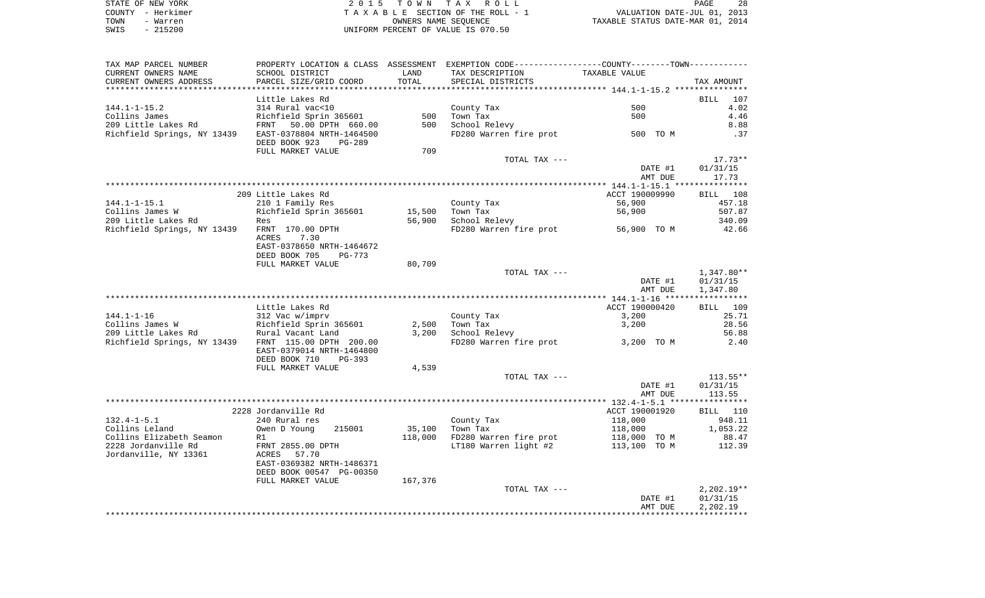| STATE OF NEW YORK | 2015 TOWN TAX ROLL                 | 28<br>PAGE                       |
|-------------------|------------------------------------|----------------------------------|
| COUNTY - Herkimer | TAXABLE SECTION OF THE ROLL - 1    | VALUATION DATE-JUL 01, 2013      |
| TOWN<br>- Warren  | OWNERS NAME SEOUENCE               | TAXABLE STATUS DATE-MAR 01, 2014 |
| $-215200$<br>SWIS | UNIFORM PERCENT OF VALUE IS 070.50 |                                  |

| TAX MAP PARCEL NUMBER                                         |                                          |         | PROPERTY LOCATION & CLASS ASSESSMENT EXEMPTION CODE---------------COUNTY-------TOWN---------- |                |              |
|---------------------------------------------------------------|------------------------------------------|---------|-----------------------------------------------------------------------------------------------|----------------|--------------|
| CURRENT OWNERS NAME                                           | SCHOOL DISTRICT                          | LAND    | TAX DESCRIPTION                                                                               | TAXABLE VALUE  |              |
| CURRENT OWNERS ADDRESS                                        | PARCEL SIZE/GRID COORD                   | TOTAL   | SPECIAL DISTRICTS                                                                             |                | TAX AMOUNT   |
|                                                               |                                          |         |                                                                                               |                |              |
|                                                               | Little Lakes Rd                          |         |                                                                                               |                | BILL<br>107  |
| 144.1-1-15.2                                                  | 314 Rural vac<10                         |         | County Tax                                                                                    | 500            | 4.02         |
|                                                               |                                          | 500     | Town Tax                                                                                      | 500            | 4.46         |
|                                                               |                                          | 500     | School Relevy                                                                                 |                | 8.88         |
| Richfield Springs, NY 13439 EAST-0378804 NRTH-1464500         | DEED BOOK 923<br>PG-289                  |         | FD280 Warren fire prot 500 TO M                                                               |                | .37          |
|                                                               | FULL MARKET VALUE                        | 709     |                                                                                               |                |              |
|                                                               |                                          |         | TOTAL TAX ---                                                                                 |                | 17.73**      |
|                                                               |                                          |         |                                                                                               | DATE #1        | 01/31/15     |
|                                                               |                                          |         |                                                                                               | AMT DUE        | 17.73        |
|                                                               |                                          |         |                                                                                               |                |              |
|                                                               | 209 Little Lakes Rd                      |         |                                                                                               | ACCT 190009990 | BILL 108     |
| 144.1-1-15.1                                                  | 210 1 Family Res                         |         | County Tax                                                                                    | 56,900         | 457.18       |
| collins James W                        Richfield Sprin 365601 |                                          | 15,500  | Town Tax                                                                                      | 56,900         | 507.87       |
| 209 Little Lakes Rd                                           | Res                                      | 56,900  | School Relevy                                                                                 |                | 340.09       |
| Richfield Springs, NY 13439 FRNT 170.00 DPTH                  |                                          |         | FD280 Warren fire prot 56,900 TO M                                                            |                | 42.66        |
|                                                               | 7.30<br>ACRES                            |         |                                                                                               |                |              |
|                                                               | EAST-0378650 NRTH-1464672                |         |                                                                                               |                |              |
|                                                               | DEED BOOK 705<br>PG-773                  |         |                                                                                               |                |              |
|                                                               | FULL MARKET VALUE                        | 80,709  |                                                                                               |                |              |
|                                                               |                                          |         | TOTAL TAX ---                                                                                 |                | 1,347.80**   |
|                                                               |                                          |         |                                                                                               | DATE #1        | 01/31/15     |
|                                                               |                                          |         |                                                                                               | AMT DUE        | 1,347.80     |
|                                                               |                                          |         |                                                                                               |                |              |
|                                                               | Little Lakes Rd                          |         |                                                                                               | ACCT 190000420 | BILL 109     |
|                                                               |                                          |         | County Tax                                                                                    | 3,200          | 25.71        |
|                                                               |                                          | 2,500   | Town Tax                                                                                      | 3,200          | 28.56        |
|                                                               |                                          | 3,200   | School Relevy                                                                                 |                | 56.88        |
| Richfield Springs, NY 13439 FRNT 115.00 DPTH 200.00           |                                          |         | FD280 Warren fire prot                                                                        | 3,200 TO M     | 2.40         |
|                                                               | EAST-0379014 NRTH-1464800                |         |                                                                                               |                |              |
|                                                               | DEED BOOK 710<br>PG-393                  |         |                                                                                               |                |              |
|                                                               | FULL MARKET VALUE                        | 4,539   |                                                                                               |                |              |
|                                                               |                                          |         | TOTAL TAX ---                                                                                 |                | $113.55**$   |
|                                                               |                                          |         |                                                                                               | DATE #1        | 01/31/15     |
|                                                               |                                          |         |                                                                                               | AMT DUE        | 113.55       |
|                                                               |                                          |         |                                                                                               |                |              |
|                                                               | 2228 Jordanville Rd                      |         |                                                                                               | ACCT 190001920 | BILL 110     |
| 132.4-1-5.1                                                   | 240 Rural res                            |         | County Tax                                                                                    | 118,000        | 948.11       |
| Collins Leland                                                | Owen D Young<br>215001                   | 35,100  | Town Tax                                                                                      | 118,000        | 1,053.22     |
| Collins Elizabeth Seamon                                      | R1                                       |         | 118,000 FD280 Warren fire prot                                                                | 118,000 TO M   | 88.47        |
| 2228 Jordanville Rd                                           | FRNT 2855.00 DPTH                        |         | LT180 Warren light #2                                                                         | 113,100 TO M   | 112.39       |
| Jordanville, NY 13361                                         | ACRES 57.70<br>EAST-0369382 NRTH-1486371 |         |                                                                                               |                |              |
|                                                               | DEED BOOK 00547 PG-00350                 |         |                                                                                               |                |              |
|                                                               |                                          |         |                                                                                               |                |              |
|                                                               | FULL MARKET VALUE                        | 167,376 | TOTAL TAX ---                                                                                 |                | $2,202.19**$ |
|                                                               |                                          |         |                                                                                               | DATE #1        | 01/31/15     |
|                                                               |                                          |         |                                                                                               | AMT DUE        | 2,202.19     |
|                                                               |                                          |         |                                                                                               |                |              |
|                                                               |                                          |         |                                                                                               |                |              |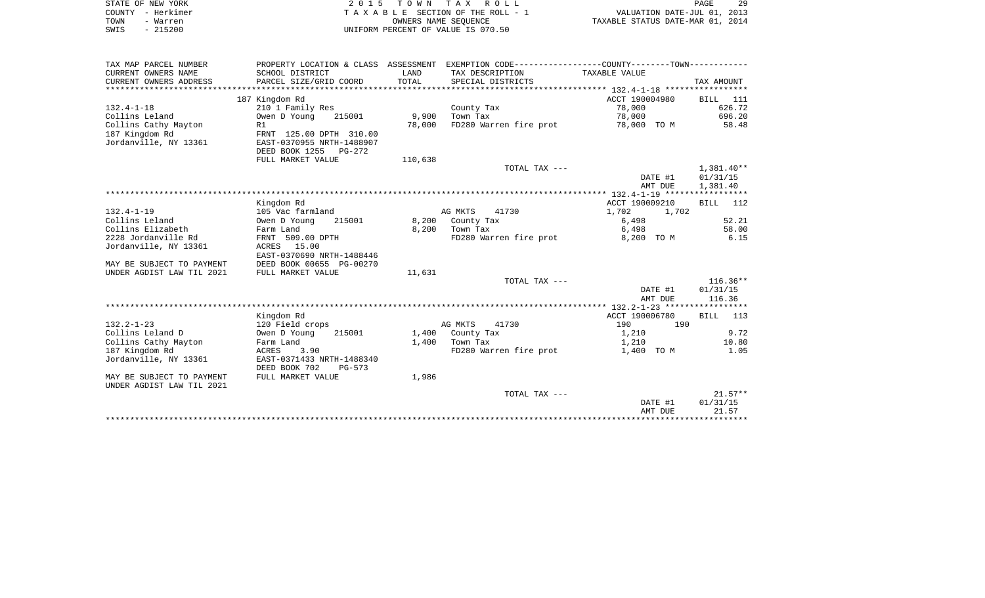|      | STATE OF NEW YORK | 2015 TOWN TAX ROLL                 | PAGE                             | -29 |
|------|-------------------|------------------------------------|----------------------------------|-----|
|      | COUNTY - Herkimer | TAXABLE SECTION OF THE ROLL - 1    | VALUATION DATE-JUL 01, 2013      |     |
| TOWN | - Warren          | OWNERS NAME SEOUENCE               | TAXABLE STATUS DATE-MAR 01, 2014 |     |
| SWIS | $-215200$         | UNIFORM PERCENT OF VALUE IS 070.50 |                                  |     |

| TAX MAP PARCEL NUMBER     | PROPERTY LOCATION & CLASS ASSESSMENT     |         |                        | EXEMPTION CODE-----------------COUNTY-------TOWN----------- |                    |
|---------------------------|------------------------------------------|---------|------------------------|-------------------------------------------------------------|--------------------|
| CURRENT OWNERS NAME       | SCHOOL DISTRICT                          | LAND    | TAX DESCRIPTION        | TAXABLE VALUE                                               |                    |
| CURRENT OWNERS ADDRESS    | PARCEL SIZE/GRID COORD                   | TOTAL   | SPECIAL DISTRICTS      |                                                             | TAX AMOUNT         |
|                           |                                          |         |                        |                                                             |                    |
|                           | 187 Kingdom Rd                           |         |                        | ACCT 190004980                                              | BILL 111           |
| $132.4 - 1 - 18$          | 210 1 Family Res                         |         | County Tax             | 78,000                                                      | 626.72             |
| Collins Leland            | Owen D Young<br>215001                   | 9,900   | Town Tax               | 78,000                                                      | 696.20             |
| Collins Cathy Mayton      | R1                                       | 78,000  | FD280 Warren fire prot | 78,000 TO M                                                 | 58.48              |
| 187 Kingdom Rd            | FRNT 125.00 DPTH 310.00                  |         |                        |                                                             |                    |
| Jordanville, NY 13361     | EAST-0370955 NRTH-1488907                |         |                        |                                                             |                    |
|                           | DEED BOOK 1255<br>PG-272                 |         |                        |                                                             |                    |
|                           | FULL MARKET VALUE                        | 110,638 |                        |                                                             |                    |
|                           |                                          |         | TOTAL TAX ---          |                                                             | $1,381.40**$       |
|                           |                                          |         |                        | DATE #1                                                     | 01/31/15           |
|                           |                                          |         |                        | AMT DUE                                                     | 1,381.40           |
|                           |                                          |         |                        |                                                             |                    |
|                           | Kingdom Rd                               |         |                        | ACCT 190009210                                              | BILL<br>112        |
| $132.4 - 1 - 19$          | 105 Vac farmland                         |         | AG MKTS<br>41730       | 1,702<br>1,702                                              |                    |
| Collins Leland            | Owen D Young<br>215001                   | 8,200   | County Tax             | 6,498                                                       | 52.21              |
| Collins Elizabeth         | Farm Land                                | 8,200   | Town Tax               | 6,498                                                       | 58.00              |
| 2228 Jordanville Rd       | FRNT 509.00 DPTH                         |         | FD280 Warren fire prot | 8,200 TO M                                                  | 6.15               |
| Jordanville, NY 13361     | ACRES 15.00<br>EAST-0370690 NRTH-1488446 |         |                        |                                                             |                    |
| MAY BE SUBJECT TO PAYMENT | DEED BOOK 00655 PG-00270                 |         |                        |                                                             |                    |
| UNDER AGDIST LAW TIL 2021 | FULL MARKET VALUE                        | 11,631  |                        |                                                             |                    |
|                           |                                          |         | TOTAL TAX ---          |                                                             | $116.36**$         |
|                           |                                          |         |                        | DATE #1                                                     | 01/31/15           |
|                           |                                          |         |                        | AMT DUE                                                     | 116.36             |
|                           |                                          |         |                        |                                                             |                    |
|                           | Kingdom Rd                               |         |                        | ACCT 190006780                                              | <b>BILL</b><br>113 |
| $132.2 - 1 - 23$          | 120 Field crops                          |         | AG MKTS<br>41730       | 190<br>190                                                  |                    |
| Collins Leland D          | Owen D Young<br>215001                   |         | 1,400 County Tax       | 1,210                                                       | 9.72               |
| Collins Cathy Mayton      | Farm Land                                | 1,400   | Town Tax               | 1,210                                                       | 10.80              |
| 187 Kingdom Rd            | ACRES<br>3.90                            |         | FD280 Warren fire prot | 1,400 TO M                                                  | 1.05               |
| Jordanville, NY 13361     | EAST-0371433 NRTH-1488340                |         |                        |                                                             |                    |
|                           | DEED BOOK 702<br>$PG-573$                |         |                        |                                                             |                    |
| MAY BE SUBJECT TO PAYMENT | FULL MARKET VALUE                        | 1,986   |                        |                                                             |                    |
| UNDER AGDIST LAW TIL 2021 |                                          |         |                        |                                                             |                    |
|                           |                                          |         | TOTAL TAX ---          |                                                             | $21.57**$          |
|                           |                                          |         |                        | DATE #1                                                     | 01/31/15           |
|                           |                                          |         |                        | AMT DUE                                                     | 21.57              |
|                           |                                          |         |                        |                                                             |                    |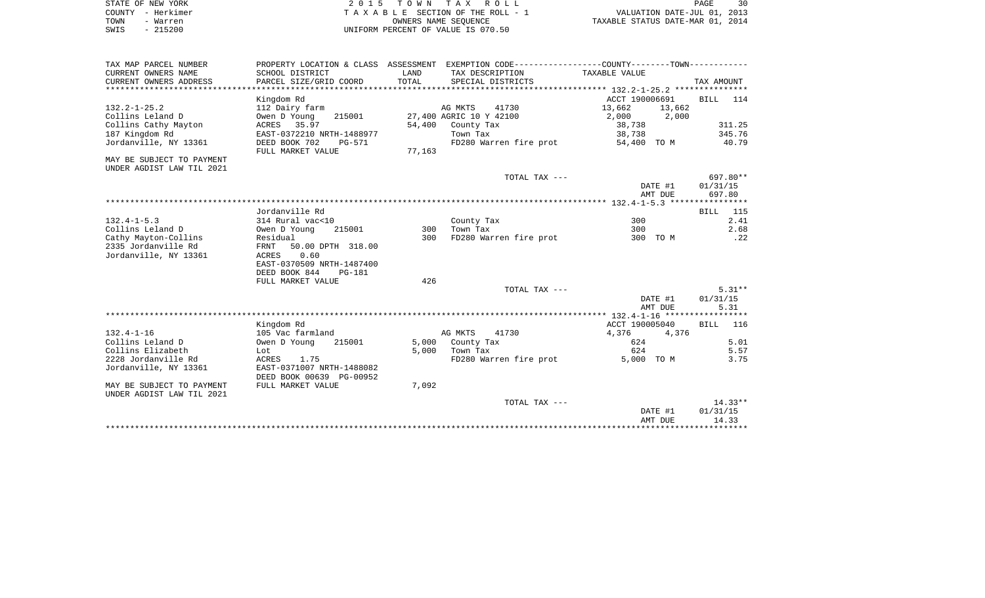|      | STATE OF NEW YORK | 2015 TOWN TAX ROLL                 | PAGE                             |
|------|-------------------|------------------------------------|----------------------------------|
|      | COUNTY - Herkimer | TAXABLE SECTION OF THE ROLL - 1    | VALUATION DATE-JUL 01, 2013      |
| TOWN | - Warren          | OWNERS NAME SEOUENCE               | TAXABLE STATUS DATE-MAR 01, 2014 |
| SWIS | $-215200$         | UNIFORM PERCENT OF VALUE IS 070.50 |                                  |

| TAX MAP PARCEL NUMBER<br>CURRENT OWNERS NAME | PROPERTY LOCATION & CLASS ASSESSMENT<br>SCHOOL DISTRICT | LAND   | EXEMPTION CODE-----------------COUNTY-------TOWN-----------<br>TAX DESCRIPTION | TAXABLE VALUE  |              |
|----------------------------------------------|---------------------------------------------------------|--------|--------------------------------------------------------------------------------|----------------|--------------|
| CURRENT OWNERS ADDRESS                       | PARCEL SIZE/GRID COORD                                  | TOTAL  | SPECIAL DISTRICTS                                                              |                | TAX AMOUNT   |
|                                              |                                                         |        |                                                                                |                |              |
|                                              | Kingdom Rd                                              |        |                                                                                | ACCT 190006691 | BILL<br>114  |
| $132.2 - 1 - 25.2$                           | 112 Dairy farm                                          |        | AG MKTS<br>41730                                                               | 13,662         | 13,662       |
| Collins Leland D                             | Owen D Young<br>215001                                  |        | 27,400 AGRIC 10 Y 42100                                                        | 2,000          | 2,000        |
| Collins Cathy Mayton                         | 35.97<br>ACRES                                          | 54,400 | County Tax                                                                     | 38,738         | 311.25       |
| 187 Kingdom Rd                               | EAST-0372210 NRTH-1488977                               |        | Town Tax                                                                       | 38,738         | 345.76       |
| Jordanville, NY 13361                        | DEED BOOK 702<br>$PG-571$                               |        | FD280 Warren fire prot                                                         | 54,400 TO M    | 40.79        |
|                                              | FULL MARKET VALUE                                       | 77,163 |                                                                                |                |              |
| MAY BE SUBJECT TO PAYMENT                    |                                                         |        |                                                                                |                |              |
| UNDER AGDIST LAW TIL 2021                    |                                                         |        |                                                                                |                |              |
|                                              |                                                         |        | TOTAL TAX ---                                                                  |                | $697.80**$   |
|                                              |                                                         |        |                                                                                | DATE #1        | 01/31/15     |
|                                              |                                                         |        |                                                                                | AMT DUE        | 697.80       |
|                                              |                                                         |        |                                                                                |                |              |
|                                              | Jordanville Rd                                          |        |                                                                                |                | 115<br>BILL  |
| $132.4 - 1 - 5.3$                            | 314 Rural vac<10                                        |        | County Tax                                                                     | 300            | 2.41         |
| Collins Leland D                             | Owen D Young<br>215001                                  | 300    | Town Tax                                                                       | 300            | 2.68         |
| Cathy Mayton-Collins                         | Residual                                                | 300    | FD280 Warren fire prot                                                         | 300 TO M       | .22          |
| 2335 Jordanville Rd                          | FRNT<br>50.00 DPTH 318.00                               |        |                                                                                |                |              |
| Jordanville, NY 13361                        | 0.60<br>ACRES                                           |        |                                                                                |                |              |
|                                              | EAST-0370509 NRTH-1487400                               |        |                                                                                |                |              |
|                                              | DEED BOOK 844<br><b>PG-181</b>                          |        |                                                                                |                |              |
|                                              | FULL MARKET VALUE                                       | 426    |                                                                                |                |              |
|                                              |                                                         |        | TOTAL TAX ---                                                                  |                | $5.31**$     |
|                                              |                                                         |        |                                                                                | DATE #1        | 01/31/15     |
|                                              |                                                         |        |                                                                                | AMT DUE        | 5.31         |
|                                              | Kingdom Rd                                              |        |                                                                                | ACCT 190005040 | <b>BILL</b>  |
| $132.4 - 1 - 16$                             | 105 Vac farmland                                        |        | AG MKTS<br>41730                                                               | 4,376          | 116<br>4,376 |
| Collins Leland D                             | Owen D Young<br>215001                                  | 5,000  | County Tax                                                                     | 624            | 5.01         |
| Collins Elizabeth                            |                                                         | 5,000  | Town Tax                                                                       | 624            | 5.57         |
| 2228 Jordanville Rd                          | Lot<br>ACRES<br>1.75                                    |        | FD280 Warren fire prot                                                         | 5,000 TO M     | 3.75         |
| Jordanville, NY 13361                        | EAST-0371007 NRTH-1488082                               |        |                                                                                |                |              |
|                                              | DEED BOOK 00639 PG-00952                                |        |                                                                                |                |              |
| MAY BE SUBJECT TO PAYMENT                    | FULL MARKET VALUE                                       | 7,092  |                                                                                |                |              |
| UNDER AGDIST LAW TIL 2021                    |                                                         |        |                                                                                |                |              |
|                                              |                                                         |        | TOTAL TAX ---                                                                  |                | $14.33**$    |
|                                              |                                                         |        |                                                                                | DATE #1        | 01/31/15     |
|                                              |                                                         |        |                                                                                | AMT DUE        | 14.33        |
|                                              |                                                         |        |                                                                                |                |              |
|                                              |                                                         |        |                                                                                |                |              |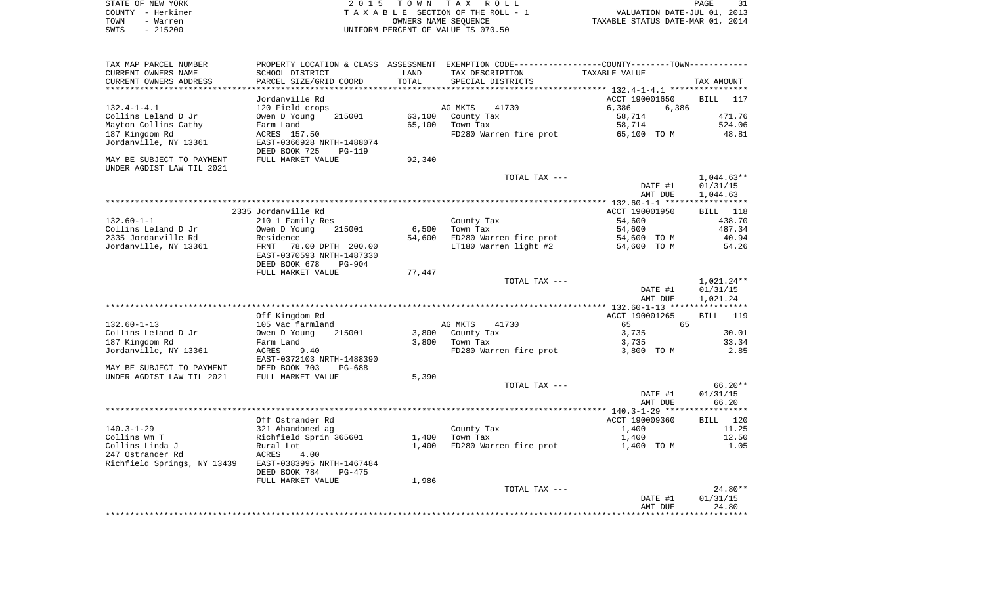|      | STATE OF NEW YORK | 2015 TOWN TAX ROLL                 | PAGE                             |  |
|------|-------------------|------------------------------------|----------------------------------|--|
|      | COUNTY - Herkimer | TAXABLE SECTION OF THE ROLL - 1    | VALUATION DATE-JUL 01, 2013      |  |
| TOWN | - Warren          | OWNERS NAME SEOUENCE               | TAXABLE STATUS DATE-MAR 01, 2014 |  |
| SWIS | $-215200$         | UNIFORM PERCENT OF VALUE IS 070.50 |                                  |  |

 $\frac{31}{2013}$ <br> $\frac{2013}{2014}$ 

| TAX MAP PARCEL NUMBER       |                                                             |        | PROPERTY LOCATION & CLASS ASSESSMENT EXEMPTION CODE----------------COUNTY-------TOWN---------- |                                                     |              |
|-----------------------------|-------------------------------------------------------------|--------|------------------------------------------------------------------------------------------------|-----------------------------------------------------|--------------|
| CURRENT OWNERS NAME         | SCHOOL DISTRICT                                             | LAND   | TAX DESCRIPTION                                                                                | TAXABLE VALUE                                       |              |
| CURRENT OWNERS ADDRESS      | PARCEL SIZE/GRID COORD                                      | TOTAL  | SPECIAL DISTRICTS                                                                              |                                                     | TAX AMOUNT   |
|                             |                                                             |        | ****************************                                                                   | ********************* 132.4-1-4.1 ***************** |              |
|                             | Jordanville Rd                                              |        |                                                                                                | ACCT 190001650                                      | BILL<br>117  |
| $132.4 - 1 - 4.1$           | 120 Field crops                                             |        | AG MKTS<br>41730                                                                               | 6,386                                               | 6,386        |
| Collins Leland D Jr         | Owen D Young<br>215001                                      | 63,100 | County Tax                                                                                     | 58,714                                              | 471.76       |
| Mayton Collins Cathy        | Farm Land                                                   | 65,100 | Town Tax                                                                                       | 58,714                                              | 524.06       |
|                             |                                                             |        |                                                                                                |                                                     | 48.81        |
| 187 Kingdom Rd              | ACRES 157.50                                                |        | FD280 Warren fire prot                                                                         | 65,100 TO M                                         |              |
| Jordanville, NY 13361       | EAST-0366928 NRTH-1488074<br>DEED BOOK 725<br><b>PG-119</b> |        |                                                                                                |                                                     |              |
| MAY BE SUBJECT TO PAYMENT   | FULL MARKET VALUE                                           | 92,340 |                                                                                                |                                                     |              |
| UNDER AGDIST LAW TIL 2021   |                                                             |        |                                                                                                |                                                     |              |
|                             |                                                             |        | TOTAL TAX ---                                                                                  |                                                     | $1,044.63**$ |
|                             |                                                             |        |                                                                                                | DATE #1                                             | 01/31/15     |
|                             |                                                             |        |                                                                                                | AMT DUE                                             | 1,044.63     |
|                             |                                                             |        |                                                                                                |                                                     |              |
|                             | 2335 Jordanville Rd                                         |        |                                                                                                | ACCT 190001950                                      | BILL<br>118  |
| $132.60 - 1 - 1$            | 210 1 Family Res                                            |        | County Tax                                                                                     | 54,600                                              | 438.70       |
| Collins Leland D Jr         | 215001<br>Owen D Young                                      | 6,500  | Town Tax                                                                                       | 54,600                                              | 487.34       |
| 2335 Jordanville Rd         | Residence                                                   | 54,600 | FD280 Warren fire prot                                                                         | 54,600 TO M                                         | 40.94        |
| Jordanville, NY 13361       |                                                             |        | LT180 Warren light #2                                                                          |                                                     | 54.26        |
|                             | FRNT<br>78.00 DPTH 200.00<br>EAST-0370593 NRTH-1487330      |        |                                                                                                | 54,600 TO M                                         |              |
|                             | DEED BOOK 678<br>$PG-904$                                   |        |                                                                                                |                                                     |              |
|                             | FULL MARKET VALUE                                           | 77,447 |                                                                                                |                                                     |              |
|                             |                                                             |        | TOTAL TAX ---                                                                                  |                                                     | 1,021.24**   |
|                             |                                                             |        |                                                                                                | DATE #1                                             | 01/31/15     |
|                             |                                                             |        |                                                                                                | AMT DUE                                             | 1,021.24     |
|                             |                                                             |        |                                                                                                |                                                     |              |
|                             | Off Kingdom Rd                                              |        |                                                                                                | ACCT 190001265                                      | 119<br>BILL  |
| $132.60 - 1 - 13$           | 105 Vac farmland                                            |        | AG MKTS<br>41730                                                                               | 65                                                  | 65           |
| Collins Leland D Jr         | Owen D Young<br>215001                                      | 3,800  | County Tax                                                                                     | 3,735                                               | 30.01        |
| 187 Kingdom Rd              | Farm Land                                                   | 3,800  | Town Tax                                                                                       | 3,735                                               | 33.34        |
| Jordanville, NY 13361       | <b>ACRES</b><br>9.40                                        |        | FD280 Warren fire prot                                                                         | 3,800 TO M                                          | 2.85         |
|                             | EAST-0372103 NRTH-1488390                                   |        |                                                                                                |                                                     |              |
| MAY BE SUBJECT TO PAYMENT   | DEED BOOK 703<br>$PG-688$                                   |        |                                                                                                |                                                     |              |
| UNDER AGDIST LAW TIL 2021   | FULL MARKET VALUE                                           | 5,390  |                                                                                                |                                                     |              |
|                             |                                                             |        | TOTAL TAX ---                                                                                  |                                                     | $66.20**$    |
|                             |                                                             |        |                                                                                                |                                                     | 01/31/15     |
|                             |                                                             |        |                                                                                                | DATE #1                                             |              |
|                             |                                                             |        |                                                                                                | AMT DUE                                             | 66.20        |
|                             |                                                             |        |                                                                                                |                                                     |              |
|                             | Off Ostrander Rd                                            |        |                                                                                                | ACCT 190009360                                      | BILL 120     |
| $140.3 - 1 - 29$            | 321 Abandoned ag                                            |        | County Tax                                                                                     | 1,400                                               | 11.25        |
| Collins Wm T                | Richfield Sprin 365601                                      | 1,400  | Town Tax                                                                                       | 1,400                                               | 12.50        |
| Collins Linda J             | Rural Lot                                                   | 1,400  | FD280 Warren fire prot                                                                         | 1,400 TO M                                          | 1.05         |
| 247 Ostrander Rd            | <b>ACRES</b><br>4.00                                        |        |                                                                                                |                                                     |              |
| Richfield Springs, NY 13439 | EAST-0383995 NRTH-1467484                                   |        |                                                                                                |                                                     |              |
|                             | DEED BOOK 784<br>$PG-475$                                   |        |                                                                                                |                                                     |              |
|                             | FULL MARKET VALUE                                           | 1,986  |                                                                                                |                                                     |              |
|                             |                                                             |        | TOTAL TAX ---                                                                                  |                                                     | 24.80**      |
|                             |                                                             |        |                                                                                                | DATE #1                                             | 01/31/15     |
|                             |                                                             |        |                                                                                                | AMT DUE                                             | 24.80        |
|                             |                                                             |        |                                                                                                |                                                     | ***********  |
|                             |                                                             |        |                                                                                                |                                                     |              |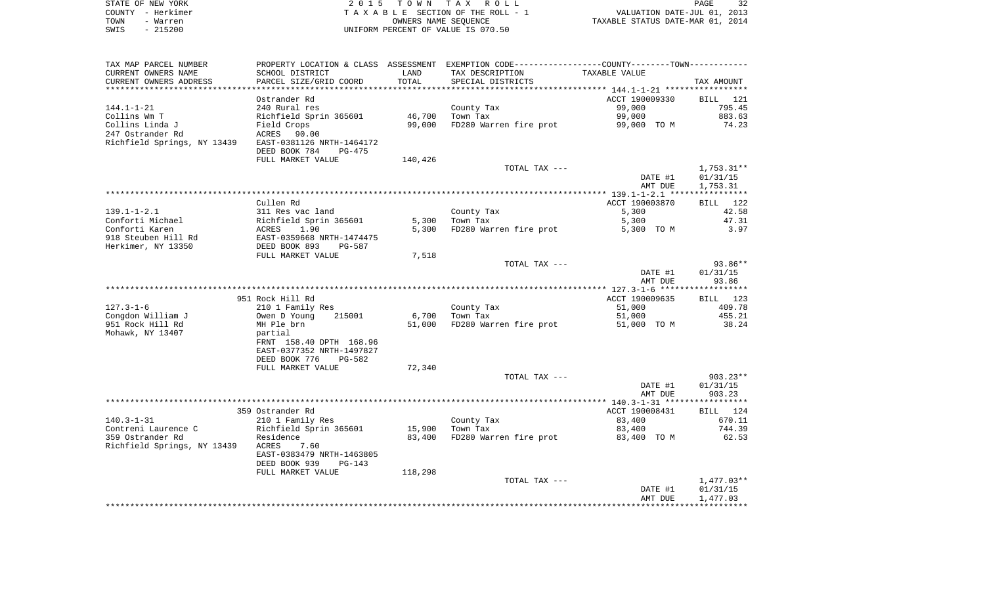|      | STATE OF NEW YORK | 2015 TOWN TAX ROLL                 | 32<br>PAGE                       |
|------|-------------------|------------------------------------|----------------------------------|
|      | COUNTY – Herkimer | TAXABLE SECTION OF THE ROLL - 1    | VALUATION DATE-JUL 01, 2013      |
| TOWN | - Warren          | OWNERS NAME SEOUENCE               | TAXABLE STATUS DATE-MAR 01, 2014 |
| SWIS | $-215200$         | UNIFORM PERCENT OF VALUE IS 070.50 |                                  |

| TAX MAP PARCEL NUMBER       | PROPERTY LOCATION & CLASS ASSESSMENT |         | EXEMPTION CODE-----------------COUNTY-------TOWN----------- |                |                 |
|-----------------------------|--------------------------------------|---------|-------------------------------------------------------------|----------------|-----------------|
| CURRENT OWNERS NAME         | SCHOOL DISTRICT                      | LAND    | TAX DESCRIPTION                                             | TAXABLE VALUE  |                 |
| CURRENT OWNERS ADDRESS      | PARCEL SIZE/GRID COORD               | TOTAL   | SPECIAL DISTRICTS                                           |                | TAX AMOUNT      |
|                             |                                      |         |                                                             |                |                 |
|                             | Ostrander Rd                         |         |                                                             | ACCT 190009330 | <b>BILL</b> 121 |
| $144.1 - 1 - 21$            | 240 Rural res                        |         | County Tax                                                  | 99,000         | 795.45          |
| Collins Wm T                | Richfield Sprin 365601               | 46,700  | Town Tax                                                    | 99,000         | 883.63          |
|                             |                                      |         |                                                             |                | 74.23           |
| Collins Linda J             | Field Crops                          | 99,000  | FD280 Warren fire prot                                      | 99,000 TO M    |                 |
| 247 Ostrander Rd            | ACRES<br>90.00                       |         |                                                             |                |                 |
| Richfield Springs, NY 13439 | EAST-0381126 NRTH-1464172            |         |                                                             |                |                 |
|                             | DEED BOOK 784<br>$PG-475$            |         |                                                             |                |                 |
|                             | FULL MARKET VALUE                    | 140,426 |                                                             |                |                 |
|                             |                                      |         | TOTAL TAX ---                                               |                | $1,753.31**$    |
|                             |                                      |         |                                                             | DATE #1        | 01/31/15        |
|                             |                                      |         |                                                             | AMT DUE        | 1,753.31        |
|                             |                                      |         |                                                             |                |                 |
|                             | Cullen Rd                            |         |                                                             | ACCT 190003870 | BILL 122        |
| $139.1 - 1 - 2.1$           | 311 Res vac land                     |         | County Tax                                                  | 5,300          | 42.58           |
| Conforti Michael            | Richfield Sprin 365601               | 5,300   | Town Tax                                                    | 5,300          | 47.31           |
| Conforti Karen              | ACRES<br>1.90                        | 5,300   | FD280 Warren fire prot                                      | 5,300 TO M     | 3.97            |
| 918 Steuben Hill Rd         | EAST-0359668 NRTH-1474475            |         |                                                             |                |                 |
|                             | DEED BOOK 893                        |         |                                                             |                |                 |
| Herkimer, NY 13350          | PG-587                               |         |                                                             |                |                 |
|                             | FULL MARKET VALUE                    | 7,518   |                                                             |                |                 |
|                             |                                      |         | TOTAL TAX ---                                               |                | $93.86**$       |
|                             |                                      |         |                                                             | DATE #1        | 01/31/15        |
|                             |                                      |         |                                                             | AMT DUE        | 93.86           |
|                             |                                      |         |                                                             |                |                 |
|                             | 951 Rock Hill Rd                     |         |                                                             | ACCT 190009635 | BILL 123        |
| $127.3 - 1 - 6$             | 210 1 Family Res                     |         | County Tax                                                  | 51,000         | 409.78          |
| Congdon William J           | Owen D Young<br>215001               | 6,700   | Town Tax                                                    | 51,000         | 455.21          |
| 951 Rock Hill Rd            | MH Ple brn                           | 51,000  | FD280 Warren fire prot                                      | 51,000 TO M    | 38.24           |
| Mohawk, NY 13407            | partial                              |         |                                                             |                |                 |
|                             | FRNT 158.40 DPTH 168.96              |         |                                                             |                |                 |
|                             | EAST-0377352 NRTH-1497827            |         |                                                             |                |                 |
|                             | DEED BOOK 776<br>$PG-582$            |         |                                                             |                |                 |
|                             | FULL MARKET VALUE                    | 72,340  |                                                             |                |                 |
|                             |                                      |         | TOTAL TAX ---                                               |                | $903.23**$      |
|                             |                                      |         |                                                             | DATE #1        | 01/31/15        |
|                             |                                      |         |                                                             | AMT DUE        | 903.23          |
|                             |                                      |         |                                                             |                |                 |
|                             |                                      |         |                                                             |                |                 |
|                             | 359 Ostrander Rd                     |         |                                                             | ACCT 190008431 | BILL 124        |
| $140.3 - 1 - 31$            | 210 1 Family Res                     |         | County Tax                                                  | 83,400         | 670.11          |
| Contreni Laurence C         | Richfield Sprin 365601               | 15,900  | Town Tax                                                    | 83,400         | 744.39          |
| 359 Ostrander Rd            | Residence                            | 83,400  | FD280 Warren fire prot                                      | 83,400 TO M    | 62.53           |
| Richfield Springs, NY 13439 | 7.60<br>ACRES                        |         |                                                             |                |                 |
|                             | EAST-0383479 NRTH-1463805            |         |                                                             |                |                 |
|                             | DEED BOOK 939<br>$PG-143$            |         |                                                             |                |                 |
|                             | FULL MARKET VALUE                    | 118,298 |                                                             |                |                 |
|                             |                                      |         | TOTAL TAX ---                                               |                | $1,477.03**$    |
|                             |                                      |         |                                                             | DATE #1        | 01/31/15        |
|                             |                                      |         |                                                             | AMT DUE        | 1,477.03        |
|                             |                                      |         |                                                             |                |                 |
|                             |                                      |         |                                                             |                |                 |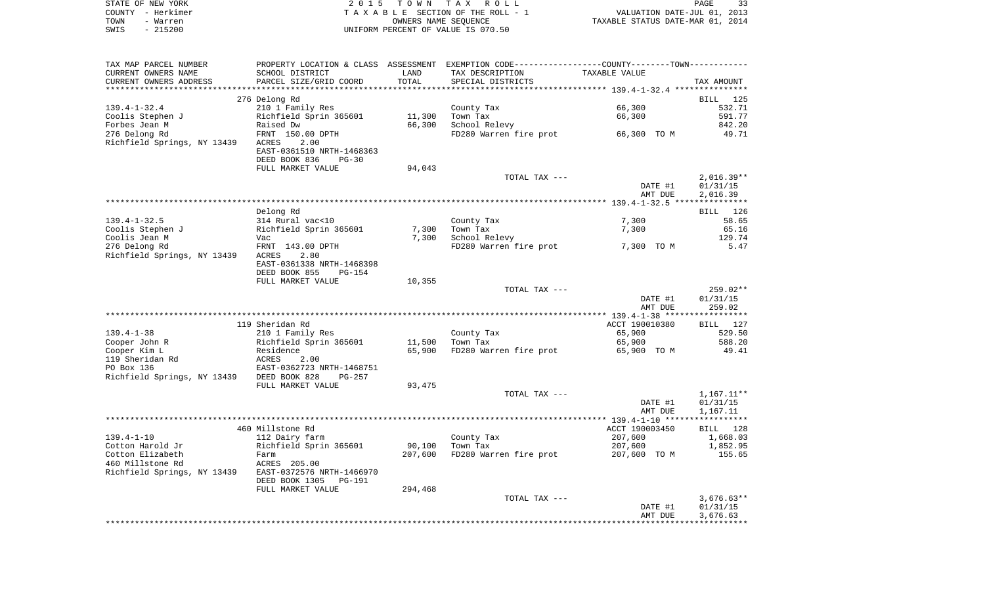|      | STATE OF NEW YORK | 2015 TOWN TAX ROLL                 |                                  | PAGE | 33 |
|------|-------------------|------------------------------------|----------------------------------|------|----|
|      | COUNTY - Herkimer | TAXABLE SECTION OF THE ROLL - 1    | VALUATION DATE-JUL 01, 2013      |      |    |
| TOWN | - Warren          | OWNERS NAME SEOUENCE               | TAXABLE STATUS DATE-MAR 01, 2014 |      |    |
| SWIS | $-215200$         | UNIFORM PERCENT OF VALUE IS 070.50 |                                  |      |    |

| TAX MAP PARCEL NUMBER                     | PROPERTY LOCATION & CLASS ASSESSMENT EXEMPTION CODE---------------COUNTY-------TOWN--------- |         |                        |                |              |
|-------------------------------------------|----------------------------------------------------------------------------------------------|---------|------------------------|----------------|--------------|
| CURRENT OWNERS NAME                       | SCHOOL DISTRICT                                                                              | LAND    | TAX DESCRIPTION        | TAXABLE VALUE  |              |
| CURRENT OWNERS ADDRESS                    | PARCEL SIZE/GRID COORD                                                                       | TOTAL   | SPECIAL DISTRICTS      |                | TAX AMOUNT   |
|                                           |                                                                                              |         |                        |                |              |
|                                           | 276 Delong Rd                                                                                |         |                        |                | BILL 125     |
| $139.4 - 1 - 32.4$                        | 210 1 Family Res                                                                             |         | County Tax             | 66,300         | 532.71       |
| Coolis Stephen J                          | Richfield Sprin 365601                                                                       | 11,300  | Town Tax               | 66,300         | 591.77       |
| Forbes Jean M                             | Raised Dw                                                                                    | 66,300  | School Relevy          |                | 842.20       |
| 276 Delong Rd                             | FRNT 150.00 DPTH                                                                             |         | FD280 Warren fire prot | 66,300 TO M    | 49.71        |
| Richfield Springs, NY 13439               | 2.00<br>ACRES                                                                                |         |                        |                |              |
|                                           | EAST-0361510 NRTH-1468363                                                                    |         |                        |                |              |
|                                           | DEED BOOK 836<br>$PG-30$                                                                     |         |                        |                |              |
|                                           | FULL MARKET VALUE                                                                            | 94,043  |                        |                |              |
|                                           |                                                                                              |         | TOTAL TAX ---          |                | $2,016.39**$ |
|                                           |                                                                                              |         |                        | DATE #1        | 01/31/15     |
|                                           |                                                                                              |         |                        | AMT DUE        | 2,016.39     |
|                                           |                                                                                              |         |                        |                |              |
|                                           | Delong Rd                                                                                    |         |                        |                | BILL 126     |
| $139.4 - 1 - 32.5$                        | 314 Rural vac<10                                                                             |         | County Tax             | 7,300          | 58.65        |
| Coolis Stephen J                          | Richfield Sprin 365601                                                                       | 7,300   | Town Tax               | 7,300          | 65.16        |
| Coolis Jean M                             | Vac                                                                                          | 7,300   | School Relevy          |                | 129.74       |
| 276 Delong Rd                             | FRNT 143.00 DPTH                                                                             |         | FD280 Warren fire prot | 7,300 TO M     | 5.47         |
| Richfield Springs, NY 13439               | ACRES<br>2.80                                                                                |         |                        |                |              |
|                                           | EAST-0361338 NRTH-1468398                                                                    |         |                        |                |              |
|                                           | DEED BOOK 855<br>$PG-154$                                                                    |         |                        |                |              |
|                                           | FULL MARKET VALUE                                                                            | 10,355  |                        |                |              |
|                                           |                                                                                              |         | TOTAL TAX ---          |                | $259.02**$   |
|                                           |                                                                                              |         |                        | DATE #1        | 01/31/15     |
|                                           |                                                                                              |         |                        | AMT DUE        | 259.02       |
|                                           |                                                                                              |         |                        |                |              |
|                                           | 119 Sheridan Rd                                                                              |         |                        | ACCT 190010380 | BILL 127     |
| $139.4 - 1 - 38$                          | 210 1 Family Res                                                                             |         | County Tax             | 65,900         | 529.50       |
| Cooper John R                             | Richfield Sprin 365601                                                                       | 11,500  | Town Tax               | 65,900         | 588.20       |
| Cooper Kim L                              | Residence                                                                                    | 65,900  | FD280 Warren fire prot | 65,900 TO M    | 49.41        |
| 119 Sheridan Rd                           | ACRES<br>2.00                                                                                |         |                        |                |              |
| PO Box 136                                | EAST-0362723 NRTH-1468751                                                                    |         |                        |                |              |
| Richfield Springs, NY 13439 DEED BOOK 828 | $PG-257$                                                                                     |         |                        |                |              |
|                                           | FULL MARKET VALUE                                                                            | 93,475  |                        |                |              |
|                                           |                                                                                              |         | TOTAL TAX ---          |                | $1,167.11**$ |
|                                           |                                                                                              |         |                        | DATE #1        | 01/31/15     |
|                                           |                                                                                              |         |                        | AMT DUE        | 1,167.11     |
|                                           |                                                                                              |         |                        |                |              |
|                                           | 460 Millstone Rd                                                                             |         |                        | ACCT 190003450 | BILL 128     |
| $139.4 - 1 - 10$                          | 112 Dairy farm                                                                               |         | County Tax             | 207,600        | 1,668.03     |
| Cotton Harold Jr                          | Richfield Sprin 365601                                                                       | 90,100  | Town Tax               | 207,600        | 1,852.95     |
| Cotton Elizabeth                          | Farm                                                                                         | 207,600 | FD280 Warren fire prot | 207,600 TO M   | 155.65       |
| 460 Millstone Rd                          | ACRES 205.00                                                                                 |         |                        |                |              |
| Richfield Springs, NY 13439               | EAST-0372576 NRTH-1466970                                                                    |         |                        |                |              |
|                                           | DEED BOOK 1305<br>PG-191                                                                     |         |                        |                |              |
|                                           | FULL MARKET VALUE                                                                            | 294,468 |                        |                |              |
|                                           |                                                                                              |         | TOTAL TAX ---          |                | $3,676.63**$ |
|                                           |                                                                                              |         |                        | DATE #1        | 01/31/15     |
|                                           |                                                                                              |         |                        | AMT DUE        | 3,676.63     |
|                                           |                                                                                              |         |                        |                |              |
|                                           |                                                                                              |         |                        |                |              |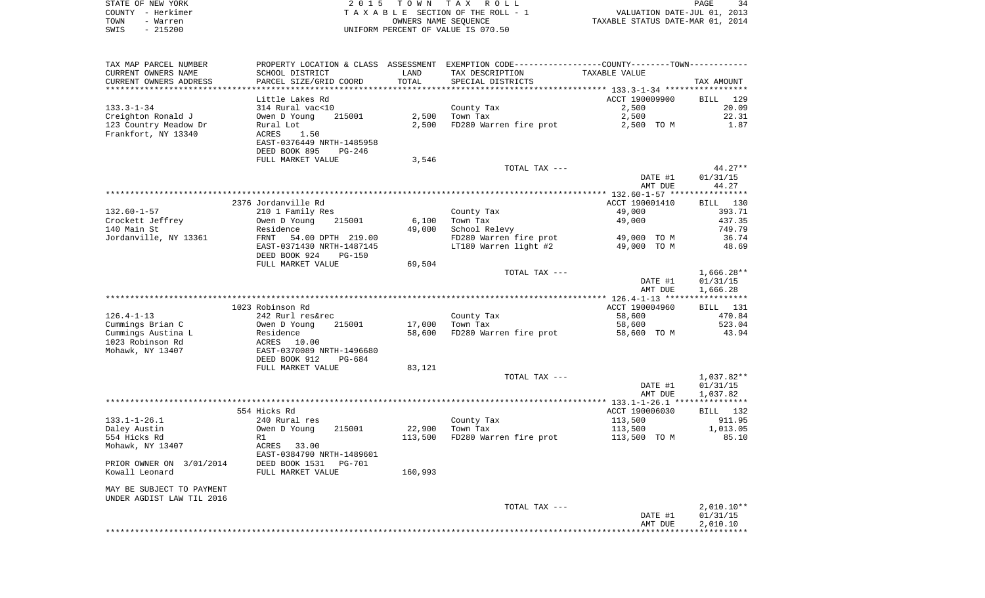|      | STATE OF NEW YORK | 2015 TOWN TAX ROLL                 | 34<br>PAGE                       |
|------|-------------------|------------------------------------|----------------------------------|
|      | COUNTY - Herkimer | TAXABLE SECTION OF THE ROLL - 1    | VALUATION DATE-JUL 01, 2013      |
| TOWN | - Warren          | OWNERS NAME SEOUENCE               | TAXABLE STATUS DATE-MAR 01, 2014 |
| SWIS | $-215200$         | UNIFORM PERCENT OF VALUE IS 070.50 |                                  |

| TAX MAP PARCEL NUMBER<br>CURRENT OWNERS NAME | SCHOOL DISTRICT                                                         | LAND    | PROPERTY LOCATION & CLASS ASSESSMENT EXEMPTION CODE---------------COUNTY-------TOWN----------<br>TAX DESCRIPTION | TAXABLE VALUE  |                 |
|----------------------------------------------|-------------------------------------------------------------------------|---------|------------------------------------------------------------------------------------------------------------------|----------------|-----------------|
| CURRENT OWNERS ADDRESS                       | PARCEL SIZE/GRID COORD                                                  | TOTAL   | SPECIAL DISTRICTS                                                                                                |                | TAX AMOUNT      |
|                                              |                                                                         |         |                                                                                                                  |                |                 |
|                                              | Little Lakes Rd                                                         |         |                                                                                                                  | ACCT 190009900 | BILL 129        |
| $133.3 - 1 - 34$                             | 314 Rural vac<10                                                        |         | County Tax                                                                                                       | 2,500          | 20.09           |
| Creighton Ronald J                           | 215001<br>Owen D Young                                                  | 2,500   | Town Tax                                                                                                         | 2,500          | 22.31           |
| 123 Country Meadow Dr                        | Rural Lot                                                               | 2,500   | FD280 Warren fire prot                                                                                           | 2,500 TO M     | 1.87            |
| Frankfort, NY 13340                          | ACRES<br>1.50<br>EAST-0376449 NRTH-1485958<br>DEED BOOK 895<br>$PG-246$ |         |                                                                                                                  |                |                 |
|                                              | FULL MARKET VALUE                                                       | 3,546   |                                                                                                                  |                |                 |
|                                              |                                                                         |         | TOTAL TAX ---                                                                                                    |                | $44.27**$       |
|                                              |                                                                         |         |                                                                                                                  | DATE #1        | 01/31/15        |
|                                              |                                                                         |         |                                                                                                                  | AMT DUE        | 44.27           |
|                                              |                                                                         |         |                                                                                                                  |                | ***********     |
|                                              | 2376 Jordanville Rd                                                     |         |                                                                                                                  | ACCT 190001410 | BILL 130        |
| 132.60-1-57                                  | 210 1 Family Res                                                        |         | County Tax                                                                                                       | 49,000         | 393.71          |
| Crockett Jeffrey                             | Owen D Young<br>215001                                                  | 6,100   | Town Tax                                                                                                         | 49,000         | 437.35          |
| 140 Main St                                  | Residence                                                               | 49,000  | School Relevy                                                                                                    |                | 749.79          |
| Jordanville, NY 13361                        | FRNT<br>54.00 DPTH 219.00                                               |         | FD280 Warren fire prot                                                                                           | 49,000 TO M    | 36.74           |
|                                              | EAST-0371430 NRTH-1487145                                               |         | LT180 Warren light #2                                                                                            | 49,000 TO M    | 48.69           |
|                                              | DEED BOOK 924<br><b>PG-150</b>                                          |         |                                                                                                                  |                |                 |
|                                              | FULL MARKET VALUE                                                       | 69,504  |                                                                                                                  |                |                 |
|                                              |                                                                         |         | TOTAL TAX ---                                                                                                    |                | $1,666.28**$    |
|                                              |                                                                         |         |                                                                                                                  | DATE #1        | 01/31/15        |
|                                              |                                                                         |         |                                                                                                                  | AMT DUE        | 1,666.28        |
|                                              |                                                                         |         |                                                                                                                  |                |                 |
|                                              | 1023 Robinson Rd                                                        |         |                                                                                                                  | ACCT 190004960 | <b>BILL</b> 131 |
| $126.4 - 1 - 13$                             | 242 Rurl res&rec                                                        |         | County Tax                                                                                                       | 58,600         | 470.84          |
| Cummings Brian C                             | 215001<br>Owen D Young                                                  | 17,000  | Town Tax                                                                                                         | 58,600         | 523.04          |
| Cummings Austina L                           | Residence                                                               | 58,600  | FD280 Warren fire prot                                                                                           | 58,600 TO M    | 43.94           |
| 1023 Robinson Rd                             | ACRES 10.00                                                             |         |                                                                                                                  |                |                 |
| Mohawk, NY 13407                             | EAST-0370089 NRTH-1496680                                               |         |                                                                                                                  |                |                 |
|                                              | DEED BOOK 912<br>PG-684                                                 |         |                                                                                                                  |                |                 |
|                                              | FULL MARKET VALUE                                                       | 83,121  |                                                                                                                  |                |                 |
|                                              |                                                                         |         | TOTAL TAX ---                                                                                                    |                | 1,037.82**      |
|                                              |                                                                         |         |                                                                                                                  | DATE #1        | 01/31/15        |
|                                              |                                                                         |         |                                                                                                                  | AMT DUE        | 1,037.82        |
|                                              |                                                                         |         |                                                                                                                  |                |                 |
|                                              | 554 Hicks Rd                                                            |         |                                                                                                                  | ACCT 190006030 | BILL 132        |
| $133.1 - 1 - 26.1$                           | 240 Rural res                                                           |         | County Tax                                                                                                       | 113,500        | 911.95          |
| Daley Austin                                 | Owen D Young<br>215001                                                  | 22,900  | Town Tax                                                                                                         | 113,500        | 1,013.05        |
| 554 Hicks Rd                                 | R1                                                                      | 113,500 | FD280 Warren fire prot                                                                                           | 113,500 TO M   | 85.10           |
| Mohawk, NY 13407                             | ACRES 33.00<br>EAST-0384790 NRTH-1489601                                |         |                                                                                                                  |                |                 |
| PRIOR OWNER ON 3/01/2014                     | DEED BOOK 1531<br>PG-701                                                |         |                                                                                                                  |                |                 |
| Kowall Leonard                               | FULL MARKET VALUE                                                       | 160,993 |                                                                                                                  |                |                 |
| MAY BE SUBJECT TO PAYMENT                    |                                                                         |         |                                                                                                                  |                |                 |
| UNDER AGDIST LAW TIL 2016                    |                                                                         |         |                                                                                                                  |                |                 |
|                                              |                                                                         |         | TOTAL TAX ---                                                                                                    |                | $2,010.10**$    |
|                                              |                                                                         |         |                                                                                                                  | DATE #1        | 01/31/15        |
|                                              |                                                                         |         |                                                                                                                  | AMT DUE        | 2,010.10        |
|                                              |                                                                         |         |                                                                                                                  |                |                 |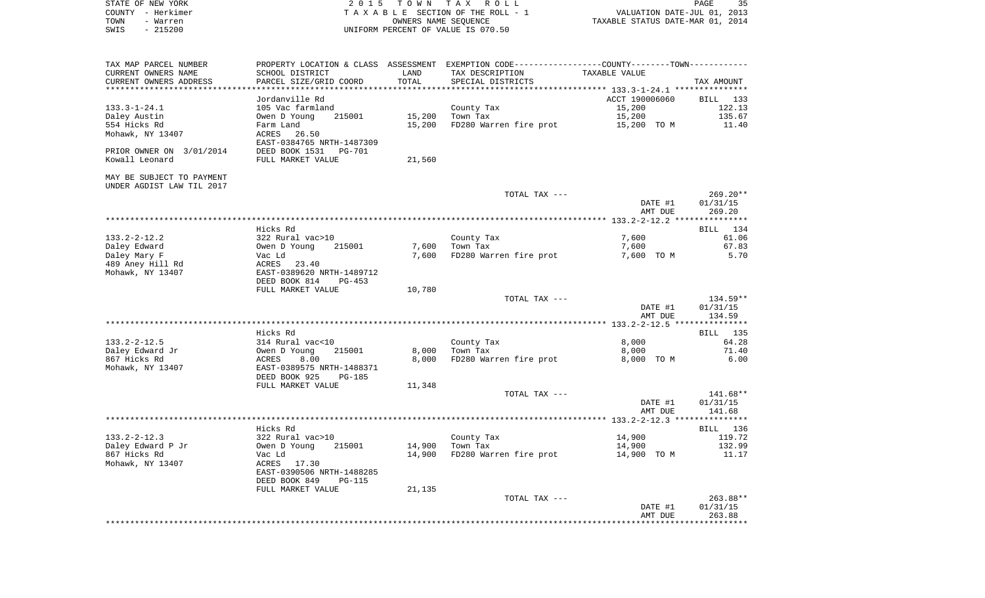| STATE OF NEW YORK                     | 2 0 1 5                                                    |        | TOWN TAX ROLL                                                                                |                  | 35<br>PAGE       |
|---------------------------------------|------------------------------------------------------------|--------|----------------------------------------------------------------------------------------------|------------------|------------------|
| COUNTY - Herkimer                     | TAXABLE SECTION OF THE ROLL - 1                            |        | VALUATION DATE-JUL 01, 2013<br>TAXABLE STATUS DATE-MAR 01, 2014                              |                  |                  |
| TOWN<br>- Warren<br>SWIS<br>$-215200$ | OWNERS NAME SEQUENCE<br>UNIFORM PERCENT OF VALUE IS 070.50 |        |                                                                                              |                  |                  |
|                                       |                                                            |        |                                                                                              |                  |                  |
| TAX MAP PARCEL NUMBER                 |                                                            |        | PROPERTY LOCATION & CLASS ASSESSMENT EXEMPTION CODE---------------COUNTY-------TOWN--------- |                  |                  |
| CURRENT OWNERS NAME                   | SCHOOL DISTRICT                                            | LAND   | TAX DESCRIPTION                                                                              | TAXABLE VALUE    |                  |
| CURRENT OWNERS ADDRESS                | PARCEL SIZE/GRID COORD                                     | TOTAL  | SPECIAL DISTRICTS                                                                            |                  | TAX AMOUNT       |
| **********************                | ***********************                                    |        |                                                                                              |                  |                  |
|                                       | Jordanville Rd                                             |        |                                                                                              | ACCT 190006060   | BILL 133         |
| $133.3 - 1 - 24.1$                    | 105 Vac farmland                                           |        | County Tax                                                                                   | 15,200           | 122.13           |
| Daley Austin                          | Owen D Young<br>215001                                     | 15,200 | Town Tax                                                                                     | 15,200           | 135.67           |
| 554 Hicks Rd                          | Farm Land                                                  | 15,200 | FD280 Warren fire prot                                                                       | 15,200 TO M      | 11.40            |
| Mohawk, NY 13407                      | ACRES<br>26.50                                             |        |                                                                                              |                  |                  |
|                                       | EAST-0384765 NRTH-1487309                                  |        |                                                                                              |                  |                  |
| PRIOR OWNER ON 3/01/2014              | DEED BOOK 1531 PG-701                                      |        |                                                                                              |                  |                  |
| Kowall Leonard                        | FULL MARKET VALUE                                          | 21,560 |                                                                                              |                  |                  |
| MAY BE SUBJECT TO PAYMENT             |                                                            |        |                                                                                              |                  |                  |
| UNDER AGDIST LAW TIL 2017             |                                                            |        |                                                                                              |                  |                  |
|                                       |                                                            |        | TOTAL TAX ---                                                                                |                  | $269.20**$       |
|                                       |                                                            |        |                                                                                              | DATE #1          | 01/31/15         |
|                                       |                                                            |        |                                                                                              | AMT DUE          | 269.20           |
|                                       |                                                            |        |                                                                                              |                  |                  |
|                                       | Hicks Rd                                                   |        |                                                                                              |                  | 134<br>BILL      |
| 133.2-2-12.2                          | 322 Rural vac>10                                           |        | County Tax                                                                                   | 7,600            | 61.06            |
| Daley Edward                          | Owen D Young<br>215001                                     | 7,600  | Town Tax                                                                                     | 7,600            | 67.83            |
| Daley Mary F                          | Vac Ld                                                     | 7,600  | FD280 Warren fire prot                                                                       | 7,600 TO M       | 5.70             |
| 489 Aney Hill Rd                      | ACRES 23.40                                                |        |                                                                                              |                  |                  |
| Mohawk, NY 13407                      | EAST-0389620 NRTH-1489712                                  |        |                                                                                              |                  |                  |
|                                       | DEED BOOK 814<br>PG-453<br>FULL MARKET VALUE               |        |                                                                                              |                  |                  |
|                                       |                                                            | 10,780 | TOTAL TAX ---                                                                                |                  | 134.59**         |
|                                       |                                                            |        |                                                                                              | DATE #1          | 01/31/15         |
|                                       |                                                            |        |                                                                                              | AMT DUE          | 134.59           |
|                                       |                                                            |        |                                                                                              |                  |                  |
|                                       | Hicks Rd                                                   |        |                                                                                              |                  | 135<br>BILL      |
| $133.2 - 2 - 12.5$                    | 314 Rural vac<10                                           |        | County Tax                                                                                   | 8,000            | 64.28            |
| Daley Edward Jr                       | Owen D Young<br>215001                                     | 8,000  | Town Tax                                                                                     | 8,000            | 71.40            |
| 867 Hicks Rd                          | ACRES<br>8.00                                              | 8,000  | FD280 Warren fire prot                                                                       | 8,000 TO M       | 6.00             |
| Mohawk, NY 13407                      | EAST-0389575 NRTH-1488371                                  |        |                                                                                              |                  |                  |
|                                       | DEED BOOK 925<br>PG-185                                    |        |                                                                                              |                  |                  |
|                                       | FULL MARKET VALUE                                          | 11,348 |                                                                                              |                  |                  |
|                                       |                                                            |        | TOTAL TAX ---                                                                                |                  | 141.68**         |
|                                       |                                                            |        |                                                                                              | DATE #1          | 01/31/15         |
|                                       |                                                            |        |                                                                                              | AMT DUE          | 141.68           |
|                                       |                                                            |        |                                                                                              |                  |                  |
|                                       | Hicks Rd<br>322 Rural vac>10                               |        |                                                                                              |                  | BILL 136         |
| $133.2 - 2 - 12.3$                    | Owen D Young<br>215001                                     | 14,900 | County Tax<br>Town Tax                                                                       | 14,900<br>14,900 | 119.72<br>132.99 |
| Daley Edward P Jr<br>867 Hicks Rd     | Vac Ld                                                     | 14,900 | FD280 Warren fire prot                                                                       | 14,900 TO M      | 11.17            |
| Mohawk, NY 13407                      | ACRES 17.30                                                |        |                                                                                              |                  |                  |
|                                       | EAST-0390506 NRTH-1488285                                  |        |                                                                                              |                  |                  |
|                                       | DEED BOOK 849<br>PG-115                                    |        |                                                                                              |                  |                  |
|                                       | FULL MARKET VALUE                                          | 21,135 |                                                                                              |                  |                  |
|                                       |                                                            |        | TOTAL TAX ---                                                                                |                  | 263.88**         |
|                                       |                                                            |        |                                                                                              | DATE #1          | 01/31/15         |
|                                       |                                                            |        |                                                                                              | AMT DUE          | 263.88           |
|                                       |                                                            |        |                                                                                              |                  |                  |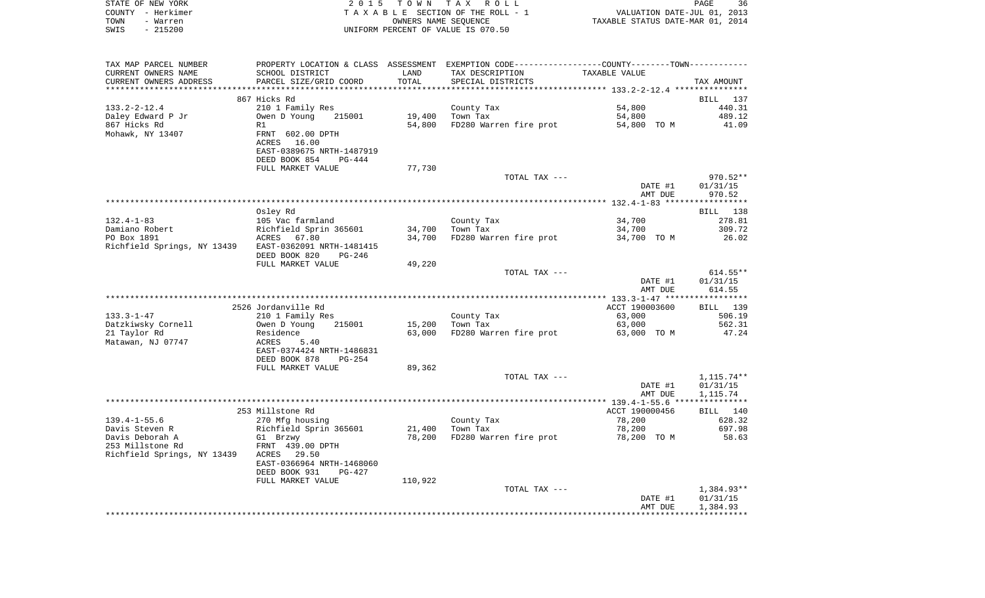|      | STATE OF NEW YORK | 2015 TOWN TAX ROLL                 | 36<br>PAGE                       |
|------|-------------------|------------------------------------|----------------------------------|
|      | COUNTY - Herkimer | TAXABLE SECTION OF THE ROLL - 1    | VALUATION DATE-JUL 01, 2013      |
| TOWN | - Warren          | OWNERS NAME SEOUENCE               | TAXABLE STATUS DATE-MAR 01, 2014 |
| SWIS | - 215200          | UNIFORM PERCENT OF VALUE IS 070.50 |                                  |

| TAX MAP PARCEL NUMBER       | PROPERTY LOCATION & CLASS ASSESSMENT EXEMPTION CODE----------------COUNTY-------TOWN-------- |         |                        |                |            |
|-----------------------------|----------------------------------------------------------------------------------------------|---------|------------------------|----------------|------------|
| CURRENT OWNERS NAME         | SCHOOL DISTRICT                                                                              | LAND    | TAX DESCRIPTION        | TAXABLE VALUE  |            |
| CURRENT OWNERS ADDRESS      | PARCEL SIZE/GRID COORD                                                                       | TOTAL   | SPECIAL DISTRICTS      |                | TAX AMOUNT |
|                             |                                                                                              |         |                        |                |            |
|                             | 867 Hicks Rd                                                                                 |         |                        |                | BILL 137   |
| $133.2 - 2 - 12.4$          | 210 1 Family Res                                                                             |         | County Tax             | 54,800         | 440.31     |
| Daley Edward P Jr           | Owen D Young<br>215001                                                                       | 19,400  | Town Tax               | 54,800         | 489.12     |
| 867 Hicks Rd                | R1                                                                                           | 54,800  | FD280 Warren fire prot | 54,800 TO M    | 41.09      |
| Mohawk, NY 13407            | FRNT 602.00 DPTH                                                                             |         |                        |                |            |
|                             | ACRES 16.00                                                                                  |         |                        |                |            |
|                             | EAST-0389675 NRTH-1487919                                                                    |         |                        |                |            |
|                             | DEED BOOK 854<br>PG-444                                                                      |         |                        |                |            |
|                             | FULL MARKET VALUE                                                                            | 77,730  |                        |                |            |
|                             |                                                                                              |         | TOTAL TAX ---          |                | 970.52**   |
|                             |                                                                                              |         |                        | DATE #1        | 01/31/15   |
|                             |                                                                                              |         |                        | AMT DUE        | 970.52     |
|                             |                                                                                              |         |                        |                |            |
|                             |                                                                                              |         |                        |                | BILL 138   |
|                             | Osley Rd                                                                                     |         |                        |                |            |
| $132.4 - 1 - 83$            | 105 Vac farmland                                                                             |         | County Tax             | 34,700         | 278.81     |
| Damiano Robert              | Richfield Sprin 365601                                                                       | 34,700  | Town Tax               | 34,700         | 309.72     |
| PO Box 1891                 | ACRES 67.80                                                                                  | 34,700  | FD280 Warren fire prot | 34,700 TO M    | 26.02      |
| Richfield Springs, NY 13439 | EAST-0362091 NRTH-1481415                                                                    |         |                        |                |            |
|                             | DEED BOOK 820<br>$PG-246$                                                                    |         |                        |                |            |
|                             | FULL MARKET VALUE                                                                            | 49,220  |                        |                |            |
|                             |                                                                                              |         | TOTAL TAX ---          |                | $614.55**$ |
|                             |                                                                                              |         |                        | DATE #1        | 01/31/15   |
|                             |                                                                                              |         |                        | AMT DUE        | 614.55     |
|                             |                                                                                              |         |                        |                |            |
|                             | 2526 Jordanville Rd                                                                          |         |                        | ACCT 190003600 | BILL 139   |
| $133.3 - 1 - 47$            | 210 1 Family Res                                                                             |         | County Tax             | 63,000         | 506.19     |
| Datzkiwsky Cornell          | 215001<br>Owen D Young                                                                       | 15,200  | Town Tax               | 63,000         | 562.31     |
| 21 Taylor Rd                | Residence                                                                                    | 63,000  | FD280 Warren fire prot | 63,000 TO M    | 47.24      |
| Matawan, NJ 07747           | ACRES<br>5.40                                                                                |         |                        |                |            |
|                             | EAST-0374424 NRTH-1486831                                                                    |         |                        |                |            |
|                             | DEED BOOK 878<br>$PG-254$                                                                    |         |                        |                |            |
|                             | FULL MARKET VALUE                                                                            | 89,362  |                        |                |            |
|                             |                                                                                              |         | TOTAL TAX ---          |                | 1,115.74** |
|                             |                                                                                              |         |                        | DATE #1        | 01/31/15   |
|                             |                                                                                              |         |                        | AMT DUE        | 1,115.74   |
|                             |                                                                                              |         |                        |                |            |
|                             | 253 Millstone Rd                                                                             |         |                        | ACCT 190000456 | BILL 140   |
| $139.4 - 1 - 55.6$          | 270 Mfg housing                                                                              |         | County Tax             | 78,200         | 628.32     |
| Davis Steven R              | Richfield Sprin 365601                                                                       | 21,400  | Town Tax               | 78,200         | 697.98     |
| Davis Deborah A             | G1 Brzwy                                                                                     | 78,200  | FD280 Warren fire prot | 78,200 TO M    | 58.63      |
| 253 Millstone Rd            | FRNT 439.00 DPTH                                                                             |         |                        |                |            |
| Richfield Springs, NY 13439 | ACRES 29.50                                                                                  |         |                        |                |            |
|                             | EAST-0366964 NRTH-1468060                                                                    |         |                        |                |            |
|                             | DEED BOOK 931<br>$PG-427$                                                                    |         |                        |                |            |
|                             | FULL MARKET VALUE                                                                            | 110,922 |                        |                |            |
|                             |                                                                                              |         | TOTAL TAX ---          |                | 1,384.93** |
|                             |                                                                                              |         |                        | DATE #1        | 01/31/15   |
|                             |                                                                                              |         |                        | AMT DUE        | 1,384.93   |
|                             |                                                                                              |         |                        |                |            |
|                             |                                                                                              |         |                        |                |            |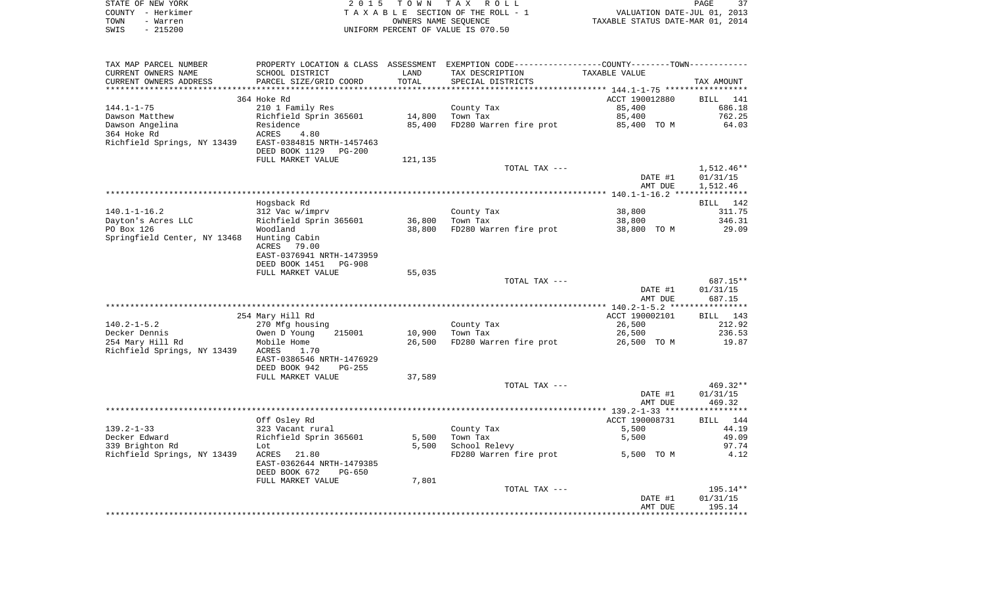| STATE OF NEW YORK<br>COUNTY - Herkimer | 2 0 1 5                              |                      | TOWN TAX ROLL<br>TAXABLE SECTION OF THE ROLL - 1           | VALUATION DATE-JUL 01, 2013                  | PAGE                   |
|----------------------------------------|--------------------------------------|----------------------|------------------------------------------------------------|----------------------------------------------|------------------------|
| TOWN<br>- Warren                       |                                      | OWNERS NAME SEQUENCE |                                                            | TAXABLE STATUS DATE-MAR 01, 2014             |                        |
| $-215200$<br>SWIS                      |                                      |                      | UNIFORM PERCENT OF VALUE IS 070.50                         |                                              |                        |
| TAX MAP PARCEL NUMBER                  | PROPERTY LOCATION & CLASS ASSESSMENT |                      | EXEMPTION CODE----------------COUNTY-------TOWN----------- |                                              |                        |
| CURRENT OWNERS NAME                    | SCHOOL DISTRICT                      | LAND                 | TAX DESCRIPTION                                            | TAXABLE VALUE                                |                        |
| CURRENT OWNERS ADDRESS                 | PARCEL SIZE/GRID COORD               | TOTAL                | SPECIAL DISTRICTS                                          |                                              | TAX AMOUNT             |
| ***********************                | ***************************          | **********           |                                                            |                                              |                        |
|                                        | 364 Hoke Rd                          |                      |                                                            | ACCT 190012880                               | BILL<br>141            |
| $144.1 - 1 - 75$                       | 210 1 Family Res                     |                      | County Tax                                                 | 85,400                                       | 686.18                 |
| Dawson Matthew                         | Richfield Sprin 365601               | 14,800               | Town Tax                                                   | 85,400                                       | 762.25                 |
| Dawson Angelina                        | Residence                            | 85,400               | FD280 Warren fire prot                                     | 85,400 TO M                                  | 64.03                  |
| 364 Hoke Rd                            | ACRES<br>4.80                        |                      |                                                            |                                              |                        |
| Richfield Springs, NY 13439            | EAST-0384815 NRTH-1457463            |                      |                                                            |                                              |                        |
|                                        | DEED BOOK 1129 PG-200                |                      |                                                            |                                              |                        |
|                                        | FULL MARKET VALUE                    | 121,135              | TOTAL TAX ---                                              |                                              |                        |
|                                        |                                      |                      |                                                            | DATE #1                                      | 1,512.46**<br>01/31/15 |
|                                        |                                      |                      |                                                            | AMT DUE                                      | 1,512.46               |
|                                        |                                      |                      |                                                            |                                              |                        |
|                                        | Hogsback Rd                          |                      |                                                            |                                              | 142<br>BILL            |
| $140.1 - 1 - 16.2$                     | 312 Vac w/imprv                      |                      | County Tax                                                 | 38,800                                       | 311.75                 |
| Dayton's Acres LLC                     | Richfield Sprin 365601               | 36,800               | Town Tax                                                   | 38,800                                       | 346.31                 |
| PO Box 126                             | Woodland                             | 38,800               | FD280 Warren fire prot                                     | 38,800 TO M                                  | 29.09                  |
| Springfield Center, NY 13468           | Hunting Cabin                        |                      |                                                            |                                              |                        |
|                                        | ACRES 79.00                          |                      |                                                            |                                              |                        |
|                                        | EAST-0376941 NRTH-1473959            |                      |                                                            |                                              |                        |
|                                        | DEED BOOK 1451 PG-908                |                      |                                                            |                                              |                        |
|                                        | FULL MARKET VALUE                    | 55,035               |                                                            |                                              |                        |
|                                        |                                      |                      | TOTAL TAX ---                                              |                                              | 687.15**               |
|                                        |                                      |                      |                                                            | DATE #1<br>AMT DUE                           | 01/31/15<br>687.15     |
|                                        |                                      |                      |                                                            | ************** 140.2-1-5.2 ***************** |                        |
|                                        | 254 Mary Hill Rd                     |                      |                                                            | ACCT 190002101                               | BILL 143               |
| $140.2 - 1 - 5.2$                      | 270 Mfg housing                      |                      | County Tax                                                 | 26,500                                       | 212.92                 |
| Decker Dennis                          | Owen D Young<br>215001               | 10,900               | Town Tax                                                   | 26,500                                       | 236.53                 |
| 254 Mary Hill Rd                       | Mobile Home                          | 26,500               | FD280 Warren fire prot                                     | 26,500 TO M                                  | 19.87                  |
| Richfield Springs, NY 13439            | ACRES<br>1.70                        |                      |                                                            |                                              |                        |
|                                        | EAST-0386546 NRTH-1476929            |                      |                                                            |                                              |                        |
|                                        | DEED BOOK 942<br>PG-255              |                      |                                                            |                                              |                        |
|                                        | FULL MARKET VALUE                    | 37,589               |                                                            |                                              |                        |
|                                        |                                      |                      | TOTAL TAX ---                                              |                                              | $469.32**$             |
|                                        |                                      |                      |                                                            | DATE #1                                      | 01/31/15               |
|                                        |                                      |                      |                                                            | AMT DUE                                      | 469.32                 |
|                                        |                                      |                      |                                                            |                                              |                        |
|                                        | Off Osley Rd                         |                      |                                                            | ACCT 190008731                               | 144<br>BILL            |
| $139.2 - 1 - 33$<br>Decker Edward      | 323 Vacant rural                     |                      | County Tax                                                 | 5,500                                        | 44.19<br>49.09         |
|                                        | Richfield Sprin 365601               | 5,500                | 5,500 Town Tax<br>School Relevy                            | 5,500                                        | 97.74                  |
|                                        | Lot                                  |                      | FD280 Warren fire prot                                     | 5,500 TO M                                   | 4.12                   |
| 339 Brighton Rd                        |                                      |                      |                                                            |                                              |                        |
| Richfield Springs, NY 13439            | ACRES<br>21.80                       |                      |                                                            |                                              |                        |
|                                        | EAST-0362644 NRTH-1479385            |                      |                                                            |                                              |                        |
|                                        | DEED BOOK 672<br>PG-650              |                      |                                                            |                                              |                        |
|                                        | FULL MARKET VALUE                    | 7,801                |                                                            |                                              |                        |
|                                        |                                      |                      | TOTAL TAX ---                                              | DATE #1                                      | 195.14**<br>01/31/15   |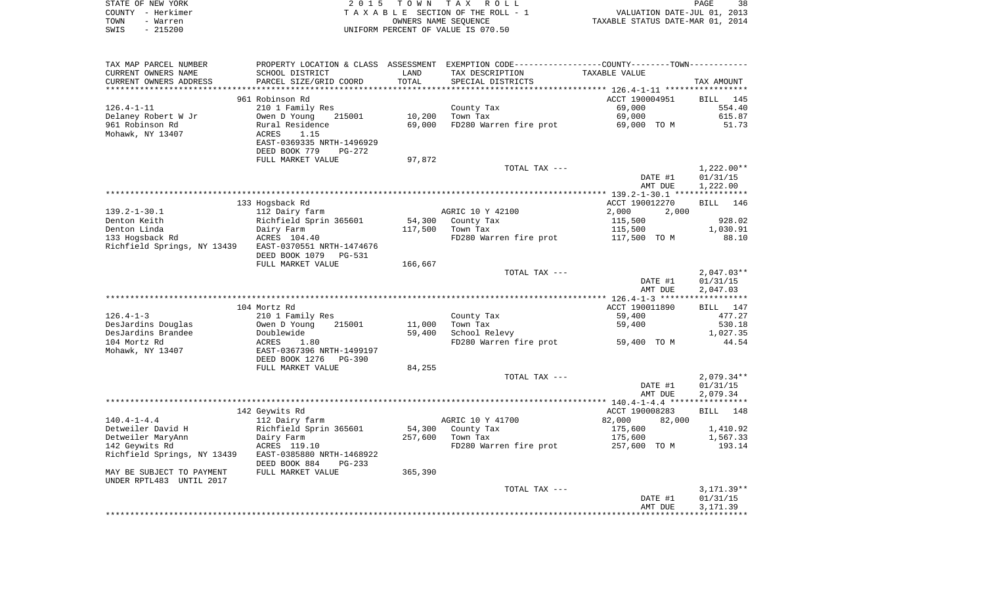|      | STATE OF NEW YORK | 2015 TOWN TAX ROLL                 | 38<br><b>PAGE</b>                |
|------|-------------------|------------------------------------|----------------------------------|
|      | COUNTY - Herkimer | TAXABLE SECTION OF THE ROLL - 1    | VALUATION DATE-JUL 01, 2013      |
| TOWN | - Warren          | OWNERS NAME SEOUENCE               | TAXABLE STATUS DATE-MAR 01, 2014 |
| SWIS | - 215200          | UNIFORM PERCENT OF VALUE IS 070.50 |                                  |

| TAX MAP PARCEL NUMBER       | PROPERTY LOCATION & CLASS ASSESSMENT |         | EXEMPTION CODE-----------------COUNTY-------TOWN----------- |                                                   |              |
|-----------------------------|--------------------------------------|---------|-------------------------------------------------------------|---------------------------------------------------|--------------|
| CURRENT OWNERS NAME         | SCHOOL DISTRICT                      | LAND    | TAX DESCRIPTION                                             | TAXABLE VALUE                                     |              |
| CURRENT OWNERS ADDRESS      | PARCEL SIZE/GRID COORD               | TOTAL   | SPECIAL DISTRICTS                                           |                                                   | TAX AMOUNT   |
|                             |                                      |         | ***************************                                 | ******************* 126.4-1-11 ****************** |              |
|                             | 961 Robinson Rd                      |         |                                                             | ACCT 190004951                                    | BILL 145     |
| $126.4 - 1 - 11$            | 210 1 Family Res                     |         | County Tax                                                  | 69,000                                            | 554.40       |
| Delaney Robert W Jr         | Owen D Young<br>215001               | 10,200  | Town Tax                                                    | 69,000                                            | 615.87       |
| 961 Robinson Rd             | Rural Residence                      | 69,000  | FD280 Warren fire prot                                      | 69,000 TO M                                       | 51.73        |
| Mohawk, NY 13407            | 1.15<br>ACRES                        |         |                                                             |                                                   |              |
|                             | EAST-0369335 NRTH-1496929            |         |                                                             |                                                   |              |
|                             | DEED BOOK 779<br>$PG-272$            |         |                                                             |                                                   |              |
|                             |                                      |         |                                                             |                                                   |              |
|                             | FULL MARKET VALUE                    | 97,872  |                                                             |                                                   |              |
|                             |                                      |         | TOTAL TAX ---                                               |                                                   | $1,222.00**$ |
|                             |                                      |         |                                                             | DATE #1                                           | 01/31/15     |
|                             |                                      |         |                                                             | AMT DUE                                           | 1,222.00     |
|                             |                                      |         |                                                             |                                                   |              |
|                             | 133 Hogsback Rd                      |         |                                                             | ACCT 190012270                                    | BILL 146     |
| $139.2 - 1 - 30.1$          | 112 Dairy farm                       |         | AGRIC 10 Y 42100                                            | 2,000<br>2,000                                    |              |
| Denton Keith                | Richfield Sprin 365601               | 54,300  | County Tax                                                  | 115,500                                           | 928.02       |
| Denton Linda                | Dairy Farm                           | 117,500 | Town Tax                                                    | 115,500                                           | 1,030.91     |
| 133 Hogsback Rd             | ACRES 104.40                         |         | FD280 Warren fire prot                                      | 117,500 TO M                                      | 88.10        |
| Richfield Springs, NY 13439 | EAST-0370551 NRTH-1474676            |         |                                                             |                                                   |              |
|                             | DEED BOOK 1079<br>PG-531             |         |                                                             |                                                   |              |
|                             | FULL MARKET VALUE                    | 166,667 |                                                             |                                                   |              |
|                             |                                      |         | TOTAL TAX ---                                               |                                                   | $2,047.03**$ |
|                             |                                      |         |                                                             | DATE #1                                           | 01/31/15     |
|                             |                                      |         |                                                             | AMT DUE                                           | 2,047.03     |
|                             |                                      |         |                                                             |                                                   |              |
|                             | 104 Mortz Rd                         |         |                                                             | ACCT 190011890                                    | BILL 147     |
| $126.4 - 1 - 3$             | 210 1 Family Res                     |         | County Tax                                                  | 59,400                                            | 477.27       |
| DesJardins Douglas          | Owen D Young<br>215001               | 11,000  | Town Tax                                                    | 59,400                                            | 530.18       |
| DesJardins Brandee          | Doublewide                           | 59,400  | School Relevy                                               |                                                   | 1,027.35     |
| 104 Mortz Rd                | ACRES<br>1.80                        |         | FD280 Warren fire prot                                      | 59,400 TO M                                       | 44.54        |
| Mohawk, NY 13407            | EAST-0367396 NRTH-1499197            |         |                                                             |                                                   |              |
|                             |                                      |         |                                                             |                                                   |              |
|                             | DEED BOOK 1276<br><b>PG-390</b>      |         |                                                             |                                                   |              |
|                             | FULL MARKET VALUE                    | 84,255  |                                                             |                                                   |              |
|                             |                                      |         | TOTAL TAX ---                                               |                                                   | $2,079.34**$ |
|                             |                                      |         |                                                             | DATE #1                                           | 01/31/15     |
|                             |                                      |         |                                                             | AMT DUE                                           | 2,079.34     |
|                             |                                      |         |                                                             |                                                   |              |
|                             | 142 Geywits Rd                       |         |                                                             | ACCT 190008283                                    | BILL 148     |
| $140.4 - 1 - 4.4$           | 112 Dairy farm                       |         | AGRIC 10 Y 41700                                            | 82,000<br>82,000                                  |              |
| Detweiler David H           | Richfield Sprin 365601               | 54,300  | County Tax                                                  | 175,600                                           | 1,410.92     |
| Detweiler MaryAnn           | Dairy Farm                           | 257,600 | Town Tax                                                    | 175,600                                           | 1,567.33     |
| 142 Geywits Rd              | ACRES 119.10                         |         | FD280 Warren fire prot                                      | 257,600 TO M                                      | 193.14       |
| Richfield Springs, NY 13439 | EAST-0385880 NRTH-1468922            |         |                                                             |                                                   |              |
|                             | DEED BOOK 884<br>$PG-233$            |         |                                                             |                                                   |              |
| MAY BE SUBJECT TO PAYMENT   | FULL MARKET VALUE                    | 365,390 |                                                             |                                                   |              |
| UNDER RPTL483 UNTIL 2017    |                                      |         |                                                             |                                                   |              |
|                             |                                      |         | TOTAL TAX ---                                               |                                                   | $3,171.39**$ |
|                             |                                      |         |                                                             | DATE #1                                           | 01/31/15     |
|                             |                                      |         |                                                             | AMT DUE                                           | 3,171.39     |
|                             |                                      |         |                                                             |                                                   |              |
|                             |                                      |         |                                                             |                                                   |              |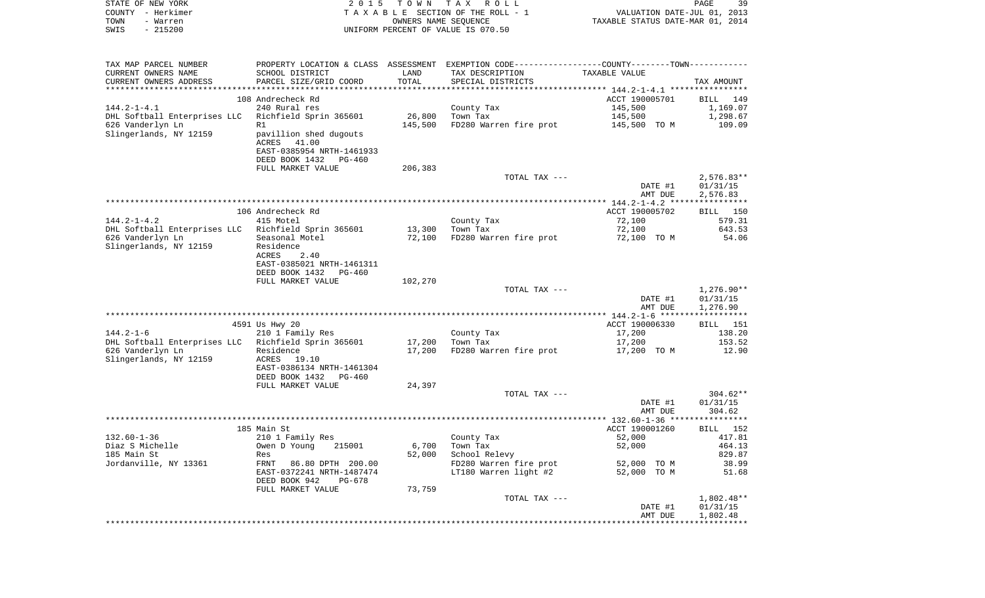| COUNTY<br>– Herkimer<br>TOWN<br>- Warren<br>SWIS<br>$-215200$             |                                                                                     |                  | T A X A B L E SECTION OF THE ROLL - 1<br>OWNERS NAME SEQUENCE<br>UNIFORM PERCENT OF VALUE IS 070.50 | VALUATION DATE-JUL 01, 2013<br>TAXABLE STATUS DATE-MAR 01, 2014 |                                      |
|---------------------------------------------------------------------------|-------------------------------------------------------------------------------------|------------------|-----------------------------------------------------------------------------------------------------|-----------------------------------------------------------------|--------------------------------------|
| TAX MAP PARCEL NUMBER                                                     |                                                                                     |                  | PROPERTY LOCATION & CLASS ASSESSMENT EXEMPTION CODE----------------COUNTY-------TOWN----------      |                                                                 |                                      |
| CURRENT OWNERS NAME                                                       | SCHOOL DISTRICT                                                                     | LAND             | TAX DESCRIPTION                                                                                     | TAXABLE VALUE                                                   |                                      |
| CURRENT OWNERS ADDRESS                                                    | PARCEL SIZE/GRID COORD                                                              | TOTAL            | SPECIAL DISTRICTS                                                                                   |                                                                 | TAX AMOUNT                           |
|                                                                           | 108 Andrecheck Rd                                                                   |                  |                                                                                                     | ACCT 190005701                                                  |                                      |
| 144.2-1-4.1                                                               | 240 Rural res                                                                       |                  | County Tax                                                                                          | 145,500                                                         | BILL 149<br>1,169.07                 |
| DHL Softball Enterprises LLC   Richfield Sprin 365601                     |                                                                                     | 26,800           | Town Tax                                                                                            | 145,500                                                         | 1,298.67                             |
| 626 Vanderlyn Ln                                                          | R1                                                                                  | 145,500          | FD280 Warren fire prot                                                                              | 145,500 TO M                                                    | 109.09                               |
| Slingerlands, NY 12159                                                    | pavillion shed dugouts<br>ACRES<br>41.00<br>EAST-0385954 NRTH-1461933               |                  |                                                                                                     |                                                                 |                                      |
|                                                                           | DEED BOOK 1432<br>PG-460                                                            |                  |                                                                                                     |                                                                 |                                      |
|                                                                           | FULL MARKET VALUE                                                                   | 206,383          | TOTAL TAX ---                                                                                       |                                                                 | $2,576.83**$                         |
|                                                                           |                                                                                     |                  |                                                                                                     | DATE #1                                                         | 01/31/15                             |
|                                                                           |                                                                                     |                  |                                                                                                     | AMT DUE                                                         | 2,576.83                             |
|                                                                           |                                                                                     |                  |                                                                                                     |                                                                 |                                      |
|                                                                           | 106 Andrecheck Rd                                                                   |                  |                                                                                                     | ACCT 190005702                                                  | BILL 150                             |
| 144.2-1-4.2                                                               | 415 Motel                                                                           |                  | County Tax                                                                                          | 72,100                                                          | 579.31                               |
| DHL Softball Enterprises LLC   Richfield Sprin 365601<br>626 Vanderlyn Ln | Seasonal Motel                                                                      | 13,300<br>72,100 | Town Tax<br>FD280 Warren fire prot                                                                  | 72,100<br>72,100 TO M                                           | 643.53<br>54.06                      |
| Slingerlands, NY 12159                                                    | Residence<br>ACRES<br>2.40<br>EAST-0385021 NRTH-1461311<br>DEED BOOK 1432<br>PG-460 |                  |                                                                                                     |                                                                 |                                      |
|                                                                           | FULL MARKET VALUE                                                                   | 102,270          |                                                                                                     |                                                                 |                                      |
|                                                                           |                                                                                     |                  | TOTAL TAX ---                                                                                       | DATE #1<br>AMT DUE                                              | $1,276.90**$<br>01/31/15<br>1,276.90 |
|                                                                           |                                                                                     |                  |                                                                                                     |                                                                 |                                      |
|                                                                           | 4591 Us Hwy 20                                                                      |                  |                                                                                                     | ACCT 190006330                                                  | BILL 151                             |
| 144.2-1-6<br>DHL Softball Enterprises LLC  Richfield Sprin 365601         | 210 1 Family Res                                                                    | 17,200           | County Tax<br>Town Tax                                                                              | 17,200<br>17,200                                                | 138.20<br>153.52                     |
| 626 Vanderlyn Ln                                                          | Residence                                                                           | 17,200           | FD280 Warren fire prot                                                                              | 17,200 TO M                                                     | 12.90                                |
| Slingerlands, NY 12159                                                    | ACRES<br>19.10<br>EAST-0386134 NRTH-1461304                                         |                  |                                                                                                     |                                                                 |                                      |
|                                                                           | DEED BOOK 1432<br>PG-460<br>FULL MARKET VALUE                                       | 24,397           |                                                                                                     |                                                                 |                                      |
|                                                                           |                                                                                     |                  | TOTAL TAX ---                                                                                       |                                                                 | $304.62**$                           |
|                                                                           |                                                                                     |                  |                                                                                                     | DATE #1                                                         | 01/31/15                             |
|                                                                           |                                                                                     |                  |                                                                                                     | AMT DUE                                                         | 304.62                               |
|                                                                           |                                                                                     |                  |                                                                                                     |                                                                 |                                      |
|                                                                           | 185 Main St                                                                         |                  |                                                                                                     | ACCT 190001260                                                  | BILL 152                             |
| 132.60-1-36<br>Diaz S Michelle                                            | 210 1 Family Res<br>215001<br>Owen D Young                                          | 6,700            | County Tax<br>Town Tax                                                                              | 52,000<br>52,000                                                | 417.81<br>464.13                     |
| 185 Main St                                                               | Res                                                                                 | 52,000           | School Relevy                                                                                       |                                                                 | 829.87                               |
| Jordanville, NY 13361                                                     | FRNT<br>86.80 DPTH 200.00                                                           |                  | FD280 Warren fire prot                                                                              | 52,000<br>TO M                                                  | 38.99                                |
|                                                                           | EAST-0372241 NRTH-1487474<br>DEED BOOK 942<br>PG-678                                |                  | LT180 Warren light #2                                                                               | 52,000 TO M                                                     | 51.68                                |
|                                                                           | FULL MARKET VALUE                                                                   | 73,759           |                                                                                                     |                                                                 |                                      |
|                                                                           |                                                                                     |                  | TOTAL TAX ---                                                                                       |                                                                 | $1,802.48**$                         |
|                                                                           |                                                                                     |                  |                                                                                                     | DATE #1                                                         | 01/31/15                             |
|                                                                           |                                                                                     |                  |                                                                                                     | AMT DUE                                                         | 1,802.48                             |

PAGE 39

STATE OF NEW YORK **EXECUTE:**  $2015$  TOWN TAX ROLL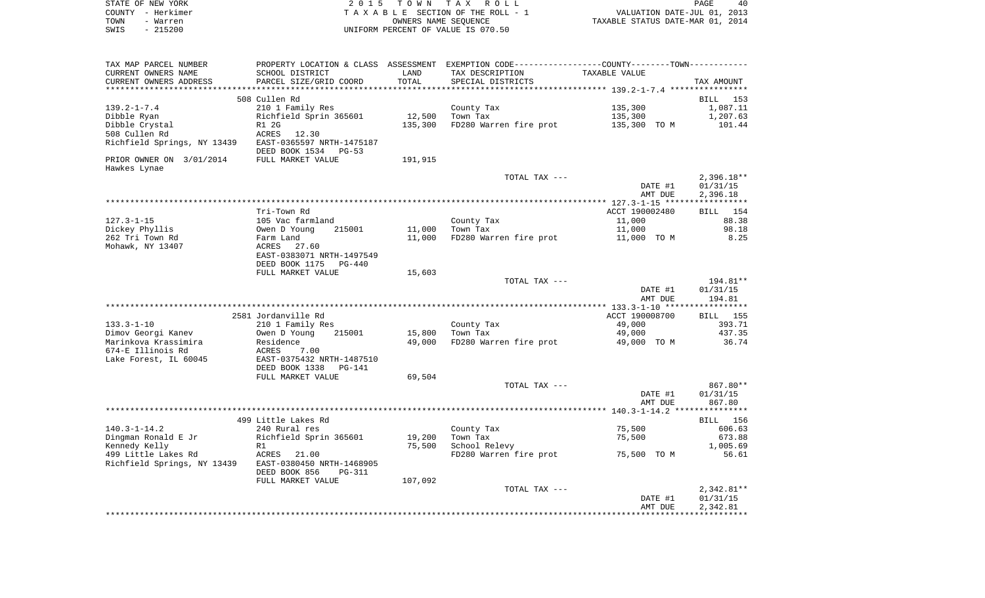|      | STATE OF NEW YORK | 2015 TOWN TAX ROLL                 | 40<br>PAGE                       |
|------|-------------------|------------------------------------|----------------------------------|
|      | COUNTY - Herkimer | TAXABLE SECTION OF THE ROLL - 1    | VALUATION DATE-JUL 01, 2013      |
| TOWN | - Warren          | OWNERS NAME SEOUENCE               | TAXABLE STATUS DATE-MAR 01, 2014 |
| SWIS | - 215200          | UNIFORM PERCENT OF VALUE IS 070.50 |                                  |

| TAX MAP PARCEL NUMBER       |                                |         | PROPERTY LOCATION & CLASS ASSESSMENT EXEMPTION CODE---------------COUNTY-------TOWN---------- |                |                 |
|-----------------------------|--------------------------------|---------|-----------------------------------------------------------------------------------------------|----------------|-----------------|
| CURRENT OWNERS NAME         | SCHOOL DISTRICT                | LAND    | TAX DESCRIPTION                                                                               | TAXABLE VALUE  |                 |
| CURRENT OWNERS ADDRESS      | PARCEL SIZE/GRID COORD         | TOTAL   | SPECIAL DISTRICTS                                                                             |                | TAX AMOUNT      |
|                             |                                |         |                                                                                               |                |                 |
|                             | 508 Cullen Rd                  |         |                                                                                               |                | BILL 153        |
| $139.2 - 1 - 7.4$           | 210 1 Family Res               |         | County Tax                                                                                    | 135,300        | 1,087.11        |
| Dibble Ryan                 | Richfield Sprin 365601         | 12,500  | Town Tax                                                                                      | 135,300        | 1,207.63        |
| Dibble Crystal              | R1 2G                          | 135,300 | FD280 Warren fire prot                                                                        | 135,300 TO M   | 101.44          |
| 508 Cullen Rd               | 12.30<br>ACRES                 |         |                                                                                               |                |                 |
| Richfield Springs, NY 13439 | EAST-0365597 NRTH-1475187      |         |                                                                                               |                |                 |
|                             | DEED BOOK 1534<br>$PG-53$      |         |                                                                                               |                |                 |
| PRIOR OWNER ON 3/01/2014    | FULL MARKET VALUE              | 191,915 |                                                                                               |                |                 |
| Hawkes Lynae                |                                |         |                                                                                               |                |                 |
|                             |                                |         | TOTAL TAX ---                                                                                 |                | $2,396.18**$    |
|                             |                                |         |                                                                                               | DATE #1        | 01/31/15        |
|                             |                                |         |                                                                                               | AMT DUE        | 2,396.18        |
|                             |                                |         |                                                                                               |                |                 |
|                             |                                |         |                                                                                               |                |                 |
|                             | Tri-Town Rd                    |         |                                                                                               | ACCT 190002480 | <b>BILL</b> 154 |
| $127.3 - 1 - 15$            | 105 Vac farmland               |         | County Tax                                                                                    | 11,000         | 88.38           |
| Dickey Phyllis              | Owen D Young<br>215001         | 11,000  | Town Tax                                                                                      | 11,000         | 98.18           |
| 262 Tri Town Rd             | Farm Land                      | 11,000  | FD280 Warren fire prot                                                                        | 11,000 TO M    | 8.25            |
| Mohawk, NY 13407            | ACRES<br>27.60                 |         |                                                                                               |                |                 |
|                             | EAST-0383071 NRTH-1497549      |         |                                                                                               |                |                 |
|                             | DEED BOOK 1175<br>$PG-440$     |         |                                                                                               |                |                 |
|                             | FULL MARKET VALUE              | 15,603  |                                                                                               |                |                 |
|                             |                                |         | TOTAL TAX ---                                                                                 |                | 194.81**        |
|                             |                                |         |                                                                                               | DATE #1        | 01/31/15        |
|                             |                                |         |                                                                                               | AMT DUE        | 194.81          |
|                             |                                |         |                                                                                               |                |                 |
|                             | 2581 Jordanville Rd            |         |                                                                                               | ACCT 190008700 | <b>BILL</b> 155 |
| $133.3 - 1 - 10$            | 210 1 Family Res               |         | County Tax                                                                                    | 49,000         | 393.71          |
| Dimov Georgi Kanev          | 215001<br>Owen D Young         | 15,800  | Town Tax                                                                                      | 49,000         | 437.35          |
| Marinkova Krassimira        | Residence                      | 49,000  | FD280 Warren fire prot                                                                        | 49,000 TO M    | 36.74           |
| 674-E Illinois Rd           | ACRES<br>7.00                  |         |                                                                                               |                |                 |
| Lake Forest, IL 60045       | EAST-0375432 NRTH-1487510      |         |                                                                                               |                |                 |
|                             | DEED BOOK 1338<br>PG-141       |         |                                                                                               |                |                 |
|                             | FULL MARKET VALUE              | 69,504  |                                                                                               |                |                 |
|                             |                                |         | TOTAL TAX ---                                                                                 |                | 867.80**        |
|                             |                                |         |                                                                                               | DATE #1        | 01/31/15        |
|                             |                                |         |                                                                                               | AMT DUE        | 867.80          |
|                             |                                |         |                                                                                               |                |                 |
|                             | 499 Little Lakes Rd            |         |                                                                                               |                | <b>BILL</b> 156 |
| $140.3 - 1 - 14.2$          | 240 Rural res                  |         | County Tax                                                                                    | 75,500         | 606.63          |
| Dingman Ronald E Jr         | Richfield Sprin 365601         | 19,200  | Town Tax                                                                                      | 75,500         | 673.88          |
| Kennedy Kelly               | R1                             | 75,500  | School Relevy                                                                                 |                | 1,005.69        |
| 499 Little Lakes Rd         | ACRES<br>21.00                 |         | FD280 Warren fire prot                                                                        | 75,500 TO M    | 56.61           |
| Richfield Springs, NY 13439 | EAST-0380450 NRTH-1468905      |         |                                                                                               |                |                 |
|                             | DEED BOOK 856<br><b>PG-311</b> |         |                                                                                               |                |                 |
|                             | FULL MARKET VALUE              | 107,092 |                                                                                               |                |                 |
|                             |                                |         | TOTAL TAX ---                                                                                 |                | $2,342.81**$    |
|                             |                                |         |                                                                                               | DATE #1        | 01/31/15        |
|                             |                                |         |                                                                                               | AMT DUE        | 2,342.81        |
|                             |                                |         |                                                                                               |                |                 |
|                             |                                |         |                                                                                               |                |                 |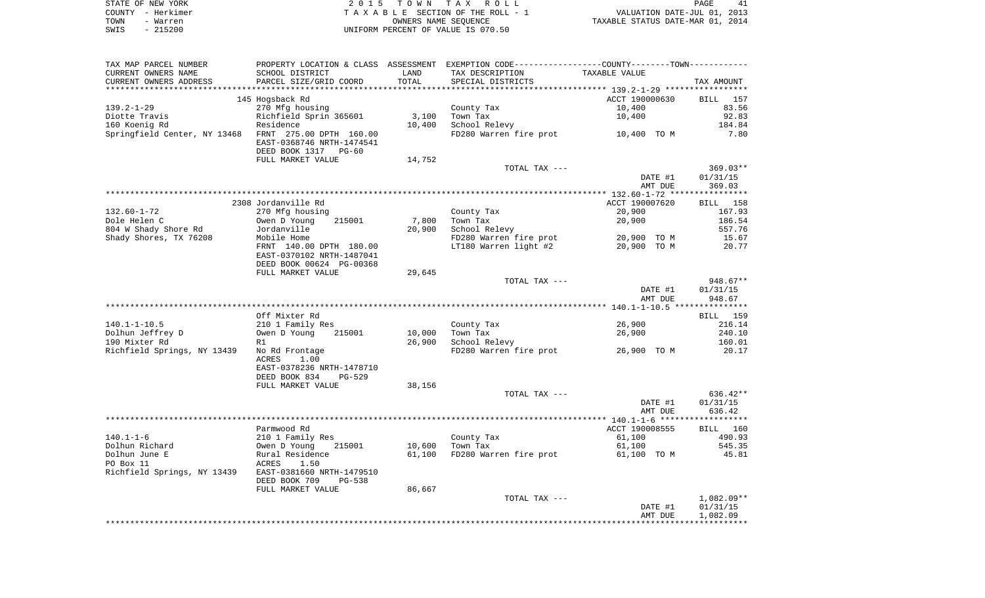|      | STATE OF NEW YORK | 2015 TOWN TAX ROLL                 | 41<br><b>PAGE</b>                |
|------|-------------------|------------------------------------|----------------------------------|
|      | COUNTY - Herkimer | TAXABLE SECTION OF THE ROLL - 1    | VALUATION DATE-JUL 01, 2013      |
| TOWN | - Warren          | OWNERS NAME SEOUENCE               | TAXABLE STATUS DATE-MAR 01, 2014 |
| SWIS | $-215200$         | UNIFORM PERCENT OF VALUE IS 070.50 |                                  |

| TAX MAP PARCEL NUMBER                                                                                                                                                   | PROPERTY LOCATION & CLASS ASSESSMENT EXEMPTION CODE----------------COUNTY--------TOWN---------- |        |                                    |                |            |
|-------------------------------------------------------------------------------------------------------------------------------------------------------------------------|-------------------------------------------------------------------------------------------------|--------|------------------------------------|----------------|------------|
| CURRENT OWNERS NAME                                                                                                                                                     | SCHOOL DISTRICT                                                                                 | LAND   | TAX DESCRIPTION                    | TAXABLE VALUE  |            |
| CURRENT OWNERS ADDRESS                                                                                                                                                  | SCHOOL DISTRICI<br>PARCEL SIZE/GRID COORD<br>ARCEL SIZE/GRID COORD                              | TOTAL  | SPECIAL DISTRICTS                  |                | TAX AMOUNT |
|                                                                                                                                                                         |                                                                                                 |        |                                    |                |            |
|                                                                                                                                                                         | 145 Hogsback Rd                                                                                 |        |                                    | ACCT 190000630 | BILL 157   |
| 139.2-1-29                                                                                                                                                              | 270 Mfg housing                                                                                 |        | County Tax                         | 10,400         | 83.56      |
|                                                                                                                                                                         | Richfield Sprin 365601                                                                          | 3,100  | Town Tax                           | 10,400         | 92.83      |
|                                                                                                                                                                         |                                                                                                 | 10,400 | School Relevy                      |                | 184.84     |
| Springfield Center, NY 13468 FRNT 275.00 DPTH 160.00                                                                                                                    |                                                                                                 |        | FD280 Warren fire prot 10,400 TO M |                | 7.80       |
|                                                                                                                                                                         | EAST-0368746 NRTH-1474541                                                                       |        |                                    |                |            |
|                                                                                                                                                                         | DEED BOOK 1317 PG-60                                                                            |        |                                    |                |            |
|                                                                                                                                                                         | FULL MARKET VALUE                                                                               | 14,752 |                                    |                |            |
|                                                                                                                                                                         |                                                                                                 |        | TOTAL TAX ---                      |                | 369.03**   |
|                                                                                                                                                                         |                                                                                                 |        |                                    | DATE #1        | 01/31/15   |
|                                                                                                                                                                         |                                                                                                 |        |                                    | AMT DUE        | 369.03     |
|                                                                                                                                                                         |                                                                                                 |        |                                    |                |            |
|                                                                                                                                                                         | 2308 Jordanville Rd                                                                             |        |                                    | ACCT 190007620 | BILL 158   |
| 132.60-1-72                                                                                                                                                             | 270 Mfg housing                                                                                 |        | County Tax                         | 20,900         | 167.93     |
| Dole Helen C                                                                                                                                                            |                                                                                                 | 7,800  | Town Tax                           | 20,900         | 186.54     |
| 804 W Shady Shore Rd                                                                                                                                                    | Owen D Young     215001<br>Jordanville<br>Jordanville                                           | 20,900 | School Relevy                      |                | 557.76     |
| Shady Shores, TX 76208                                                                                                                                                  | Mobile Home                                                                                     |        | FD280 Warren fire prot 20,900 TO M |                | 15.67      |
|                                                                                                                                                                         | FRNT 140.00 DPTH 180.00                                                                         |        | LT180 Warren light #2              | 20,900 TO M    | 20.77      |
|                                                                                                                                                                         | EAST-0370102 NRTH-1487041                                                                       |        |                                    |                |            |
|                                                                                                                                                                         | DEED BOOK 00624 PG-00368                                                                        |        |                                    |                |            |
|                                                                                                                                                                         | FULL MARKET VALUE                                                                               | 29,645 |                                    |                |            |
|                                                                                                                                                                         |                                                                                                 |        | TOTAL TAX ---                      |                | $948.67**$ |
|                                                                                                                                                                         |                                                                                                 |        |                                    | DATE #1        | 01/31/15   |
|                                                                                                                                                                         |                                                                                                 |        |                                    | AMT DUE        | 948.67     |
|                                                                                                                                                                         |                                                                                                 |        |                                    |                |            |
|                                                                                                                                                                         | Off Mixter Rd                                                                                   |        |                                    |                | BILL 159   |
| $140.1 - 1 - 10.5$                                                                                                                                                      |                                                                                                 |        | County Tax                         | 26,900         | 216.14     |
|                                                                                                                                                                         | 210 1 Family Res<br>Owen D Young 21500                                                          | 10,000 | Town Tax                           |                | 240.10     |
| Dolhun Jeffrey D<br>190 Mixter Pd                                                                                                                                       | 215001                                                                                          |        | School Relevy                      | 26,900         |            |
| 190 Mixter Rd                                                                                                                                                           | R1                                                                                              | 26,900 |                                    |                | 160.01     |
| Richfield Springs, NY 13439 No Rd Frontage                                                                                                                              |                                                                                                 |        | FD280 Warren fire prot 26,900 TO M |                | 20.17      |
|                                                                                                                                                                         | 1.00<br>ACRES                                                                                   |        |                                    |                |            |
|                                                                                                                                                                         | EAST-0378236 NRTH-1478710                                                                       |        |                                    |                |            |
|                                                                                                                                                                         | DEED BOOK 834<br>PG-529                                                                         |        |                                    |                |            |
|                                                                                                                                                                         | FULL MARKET VALUE                                                                               | 38,156 |                                    |                |            |
|                                                                                                                                                                         |                                                                                                 |        | TOTAL TAX ---                      |                | $636.42**$ |
|                                                                                                                                                                         |                                                                                                 |        |                                    | DATE #1        | 01/31/15   |
|                                                                                                                                                                         |                                                                                                 |        |                                    | AMT DUE        | 636.42     |
|                                                                                                                                                                         |                                                                                                 |        |                                    |                |            |
|                                                                                                                                                                         | Parmwood Rd                                                                                     |        |                                    | ACCT 190008555 | BILL 160   |
| $140.1 - 1 - 6$                                                                                                                                                         | 210 1 Family Res                                                                                |        | County Tax                         | 61,100         | 490.93     |
|                                                                                                                                                                         |                                                                                                 | 10,600 | Town Tax                           | 61,100         | 545.35     |
|                                                                                                                                                                         |                                                                                                 | 61,100 | FD280 Warren fire prot             | 61,100 TO M    | 45.81      |
| -1.0.1 Turnum Richard<br>Dolhun Richard (1994) 215001<br>Dolhun June E Rural Residence<br>PO Box 11 ACRES 1.50<br>Richfield Springs, NY 13439 EAST-0381660 NRTH-1479510 |                                                                                                 |        |                                    |                |            |
|                                                                                                                                                                         |                                                                                                 |        |                                    |                |            |
|                                                                                                                                                                         | DEED BOOK 709<br>PG-538                                                                         |        |                                    |                |            |
|                                                                                                                                                                         | FULL MARKET VALUE                                                                               | 86,667 |                                    |                |            |
|                                                                                                                                                                         |                                                                                                 |        | TOTAL TAX ---                      |                | 1,082.09** |
|                                                                                                                                                                         |                                                                                                 |        |                                    | DATE #1        | 01/31/15   |
|                                                                                                                                                                         |                                                                                                 |        |                                    | AMT DUE        | 1,082.09   |
|                                                                                                                                                                         |                                                                                                 |        |                                    |                |            |
|                                                                                                                                                                         |                                                                                                 |        |                                    |                |            |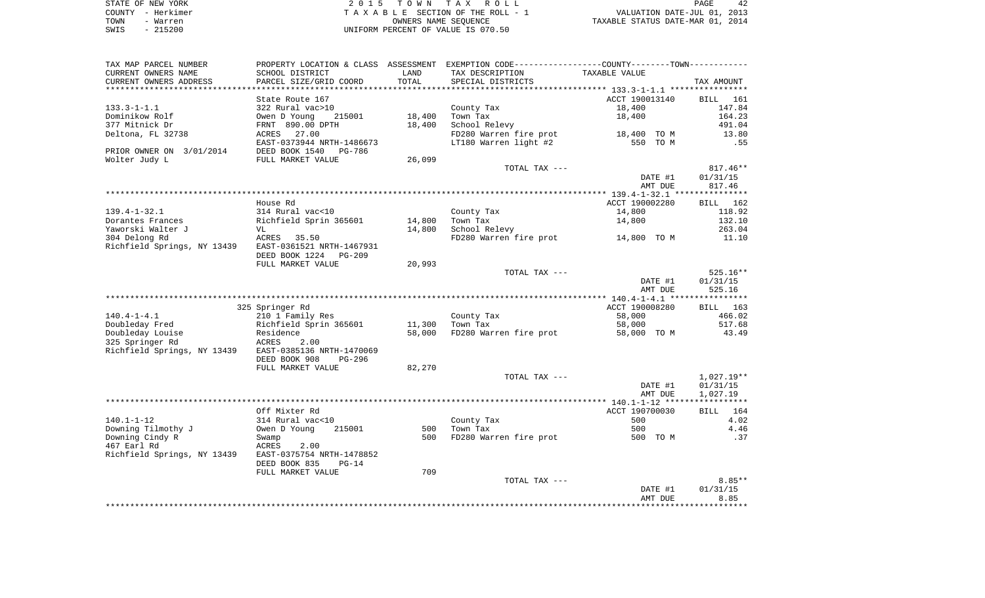| STATE OF NEW YORK | 2015 TOWN TAX ROLL                 | 42<br>PAGE                       |
|-------------------|------------------------------------|----------------------------------|
| COUNTY - Herkimer | TAXABLE SECTION OF THE ROLL - 1    | VALUATION DATE-JUL 01, 2013      |
| TOWN<br>- Warren  | OWNERS NAME SEOUENCE               | TAXABLE STATUS DATE-MAR 01, 2014 |
| $-215200$<br>SWIS | UNIFORM PERCENT OF VALUE IS 070.50 |                                  |

| TAX MAP PARCEL NUMBER                                 | PROPERTY LOCATION & CLASS ASSESSMENT EXEMPTION CODE----------------COUNTY--------TOWN----------- |        |                                    |                                    |                    |
|-------------------------------------------------------|--------------------------------------------------------------------------------------------------|--------|------------------------------------|------------------------------------|--------------------|
| CURRENT OWNERS NAME                                   | SCHOOL DISTRICT                                                                                  | LAND   | TAX DESCRIPTION                    | TAXABLE VALUE                      |                    |
| CURRENT OWNERS ADDRESS                                | PARCEL SIZE/GRID COORD                                                                           | TOTAL  | SPECIAL DISTRICTS                  |                                    | TAX AMOUNT         |
|                                                       |                                                                                                  |        |                                    |                                    |                    |
|                                                       | State Route 167                                                                                  |        |                                    | ACCT 190013140                     | BILL 161           |
| $133.3 - 1 - 1.1$                                     | 322 Rural vac>10                                                                                 |        | County Tax                         | 18,400                             | 147.84             |
| Dominikow Rolf                                        | 215001<br>Owen D Young                                                                           | 18,400 | Town Tax                           | 18,400                             | 164.23             |
| 377 Mitnick Dr                                        | FRNT 890.00 DPTH                                                                                 | 18,400 | School Relevy                      |                                    | 491.04             |
| Deltona, FL 32738                                     | ACRES 27.00                                                                                      |        | FD280 Warren fire prot 18,400 TO M |                                    | 13.80              |
|                                                       | EAST-0373944 NRTH-1486673                                                                        |        | LT180 Warren light #2              | 550 TO M                           | .55                |
| PRIOR OWNER ON 3/01/2014                              | DEED BOOK 1540 PG-786                                                                            |        |                                    |                                    |                    |
| Wolter Judy L                                         | FULL MARKET VALUE                                                                                | 26,099 |                                    |                                    |                    |
|                                                       |                                                                                                  |        | TOTAL TAX ---                      |                                    | $817.46**$         |
|                                                       |                                                                                                  |        |                                    | DATE #1<br>AMT DUE                 | 01/31/15<br>817.46 |
|                                                       |                                                                                                  |        |                                    |                                    |                    |
|                                                       | House Rd                                                                                         |        |                                    | ACCT 190002280                     | BILL 162           |
| 139.4-1-32.1                                          | 314 Rural vac<10                                                                                 |        | County Tax                         | 14,800                             | 118.92             |
| Dorantes Frances                                      | ---<br>Richfield Sprin 365601                                                                    | 14,800 | Town Tax                           | 14,800                             | 132.10             |
| Yaworski Walter J                                     | VL                                                                                               | 14,800 | School Relevy                      |                                    | 263.04             |
| 304 Delong Rd                                         | ACRES 35.50                                                                                      |        |                                    | FD280 Warren fire prot 14,800 TO M | 11.10              |
| Richfield Springs, NY 13439 EAST-0361521 NRTH-1467931 |                                                                                                  |        |                                    |                                    |                    |
|                                                       | DEED BOOK 1224 PG-209                                                                            |        |                                    |                                    |                    |
|                                                       | FULL MARKET VALUE                                                                                | 20,993 |                                    |                                    |                    |
|                                                       |                                                                                                  |        | TOTAL TAX ---                      |                                    | $525.16**$         |
|                                                       |                                                                                                  |        |                                    | DATE #1                            | 01/31/15           |
|                                                       |                                                                                                  |        |                                    | AMT DUE                            | 525.16             |
|                                                       |                                                                                                  |        |                                    |                                    |                    |
|                                                       | 325 Springer Rd                                                                                  |        |                                    | ACCT 190008280                     | BILL 163           |
| $140.4 - 1 - 4.1$                                     |                                                                                                  |        | County Tax                         | 58,000                             | 466.02             |
| Doubleday Fred                                        | 210 1 Family Kes<br>Richfield Sprin 365601                                                       | 11,300 | Town Tax                           | 58,000                             | 517.68             |
| Doubleday Louise                                      |                                                                                                  | 58,000 |                                    | FD280 Warren fire prot 58,000 TO M | 43.49              |
| 325 Springer Rd                                       | 2.00                                                                                             |        |                                    |                                    |                    |
| Richfield Springs, NY 13439 EAST-0385136 NRTH-1470069 |                                                                                                  |        |                                    |                                    |                    |
|                                                       | DEED BOOK 908<br>PG-296<br>FULL MARKET VALUE                                                     | 82,270 |                                    |                                    |                    |
|                                                       |                                                                                                  |        | TOTAL TAX ---                      |                                    | 1,027.19**         |
|                                                       |                                                                                                  |        |                                    | DATE #1                            | 01/31/15           |
|                                                       |                                                                                                  |        |                                    | AMT DUE                            | 1,027.19           |
|                                                       |                                                                                                  |        |                                    |                                    |                    |
|                                                       | Off Mixter Rd                                                                                    |        |                                    | ACCT 190700030                     | BILL 164           |
| 140.1-1-12                                            | 314 Rural vac<10                                                                                 |        | County Tax                         | 500                                | 4.02               |
| Downing Tilmothy J                                    | Owen D Young<br>215001                                                                           | 500    | Town Tax                           | 500                                | 4.46               |
| Downing Cindy R                                       |                                                                                                  | 500    | FD280 Warren fire prot 500 TO M    |                                    | .37                |
| 467 Earl Rd                                           | Swamp<br>ACRES<br>2.00                                                                           |        |                                    |                                    |                    |
| Richfield Springs, NY 13439 EAST-0375754 NRTH-1478852 |                                                                                                  |        |                                    |                                    |                    |
|                                                       | DEED BOOK 835<br>$PG-14$                                                                         |        |                                    |                                    |                    |
|                                                       | FULL MARKET VALUE                                                                                | 709    |                                    |                                    |                    |
|                                                       |                                                                                                  |        | TOTAL TAX ---                      |                                    | $8.85**$           |
|                                                       |                                                                                                  |        |                                    | DATE #1                            | 01/31/15           |
|                                                       |                                                                                                  |        |                                    | AMT DUE                            | 8.85               |
|                                                       |                                                                                                  |        |                                    |                                    |                    |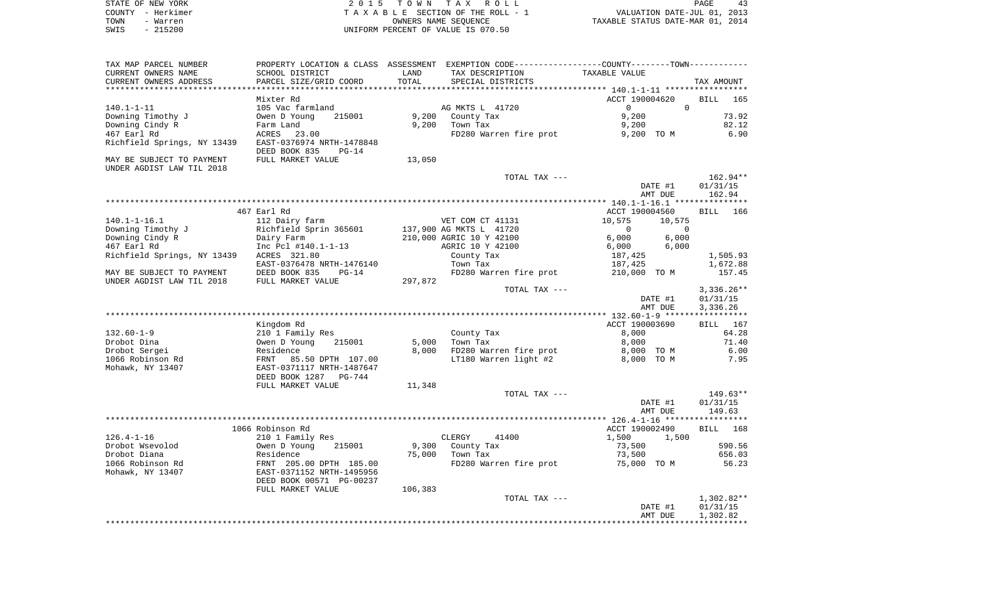| STATE OF NEW YORK | 2015 TOWN TAX ROLL                 | 43<br>PAGE                       |
|-------------------|------------------------------------|----------------------------------|
| COUNTY - Herkimer | TAXABLE SECTION OF THE ROLL - 1    | VALUATION DATE-JUL 01, 2013      |
| TOWN<br>- Warren  | OWNERS NAME SEOUENCE               | TAXABLE STATUS DATE-MAR 01, 2014 |
| $-215200$<br>SWIS | UNIFORM PERCENT OF VALUE IS 070.50 |                                  |

| TAX MAP PARCEL NUMBER<br>CURRENT OWNERS NAME<br>CURRENT OWNERS ADDRESS | SCHOOL DISTRICT<br>PARCEL SIZE/GRID COORD             | LAND<br>TOTAL | PROPERTY LOCATION & CLASS ASSESSMENT EXEMPTION CODE---------------COUNTY-------TOWN----------<br>TAX DESCRIPTION<br>SPECIAL DISTRICTS | TAXABLE VALUE            | TAX AMOUNT         |
|------------------------------------------------------------------------|-------------------------------------------------------|---------------|---------------------------------------------------------------------------------------------------------------------------------------|--------------------------|--------------------|
|                                                                        |                                                       |               |                                                                                                                                       |                          |                    |
|                                                                        | Mixter Rd                                             |               |                                                                                                                                       | ACCT 190004620           | <b>BILL</b><br>165 |
| $140.1 - 1 - 11$                                                       | 105 Vac farmland                                      |               | AG MKTS L 41720                                                                                                                       | $\Omega$<br>$\mathbf{0}$ |                    |
| Downing Timothy J                                                      | Owen D Young<br>215001                                | 9,200         | County Tax                                                                                                                            | 9,200                    | 73.92              |
| Downing Cindy R                                                        | Farm Land                                             | 9,200         | Town Tax                                                                                                                              | 9,200                    | 82.12              |
| 467 Earl Rd                                                            | ACRES<br>23.00                                        |               | FD280 Warren fire prot                                                                                                                | 9,200 TO M               | 6.90               |
| Richfield Springs, NY 13439                                            | EAST-0376974 NRTH-1478848<br>DEED BOOK 835<br>$PG-14$ |               |                                                                                                                                       |                          |                    |
| MAY BE SUBJECT TO PAYMENT                                              | FULL MARKET VALUE                                     | 13,050        |                                                                                                                                       |                          |                    |
| UNDER AGDIST LAW TIL 2018                                              |                                                       |               |                                                                                                                                       |                          |                    |
|                                                                        |                                                       |               | TOTAL TAX ---                                                                                                                         |                          | 162.94**           |
|                                                                        |                                                       |               |                                                                                                                                       | DATE #1                  | 01/31/15           |
|                                                                        |                                                       |               |                                                                                                                                       | AMT DUE                  |                    |
|                                                                        |                                                       |               |                                                                                                                                       |                          | 162.94             |
|                                                                        |                                                       |               |                                                                                                                                       |                          |                    |
|                                                                        | 467 Earl Rd                                           |               |                                                                                                                                       | ACCT 190004560           | <b>BILL</b><br>166 |
| $140.1 - 1 - 16.1$                                                     | 112 Dairy farm                                        |               | VET COM CT 41131                                                                                                                      | 10,575<br>10,575         |                    |
| Downing Timothy J                                                      | Richfield Sprin 365601                                |               | 137,900 AG MKTS L 41720                                                                                                               | $\Omega$<br>$\Omega$     |                    |
| Downing Cindy R                                                        | Dairy Farm                                            |               | 210,000 AGRIC 10 Y 42100                                                                                                              | 6,000<br>6,000           |                    |
| 467 Earl Rd                                                            | Inc Pcl #140.1-1-13                                   |               | AGRIC 10 Y 42100                                                                                                                      | 6,000<br>6,000           |                    |
| Richfield Springs, NY 13439                                            | ACRES 321.80                                          |               | County Tax                                                                                                                            | 187,425                  | 1,505.93           |
|                                                                        | EAST-0376478 NRTH-1476140                             |               | Town Tax                                                                                                                              | 187,425                  | 1,672.88           |
| MAY BE SUBJECT TO PAYMENT                                              | DEED BOOK 835<br>$PG-14$                              |               | FD280 Warren fire prot                                                                                                                | 210,000 TO M             | 157.45             |
| UNDER AGDIST LAW TIL 2018                                              | FULL MARKET VALUE                                     | 297,872       |                                                                                                                                       |                          |                    |
|                                                                        |                                                       |               | TOTAL TAX ---                                                                                                                         |                          | $3,336.26**$       |
|                                                                        |                                                       |               |                                                                                                                                       |                          |                    |
|                                                                        |                                                       |               |                                                                                                                                       | DATE #1                  | 01/31/15           |
|                                                                        |                                                       |               |                                                                                                                                       | AMT DUE                  | 3,336.26           |
|                                                                        |                                                       |               |                                                                                                                                       |                          |                    |
|                                                                        | Kingdom Rd                                            |               |                                                                                                                                       | ACCT 190003690           | <b>BILL</b><br>167 |
| $132.60 - 1 - 9$                                                       | 210 1 Family Res                                      |               | County Tax                                                                                                                            | 8,000                    | 64.28              |
| Drobot Dina                                                            | Owen D Young<br>215001                                | 5,000         | Town Tax                                                                                                                              | 8,000                    | 71.40              |
| Drobot Sergei                                                          | Residence                                             | 8,000         | FD280 Warren fire prot                                                                                                                | 8,000 TO M               | 6.00               |
| 1066 Robinson Rd                                                       | 85.50 DPTH 107.00<br>FRNT                             |               | LT180 Warren light #2                                                                                                                 | 8,000 TO M               | 7.95               |
| Mohawk, NY 13407                                                       | EAST-0371117 NRTH-1487647                             |               |                                                                                                                                       |                          |                    |
|                                                                        | DEED BOOK 1287<br><b>PG-744</b>                       |               |                                                                                                                                       |                          |                    |
|                                                                        | FULL MARKET VALUE                                     | 11,348        |                                                                                                                                       |                          |                    |
|                                                                        |                                                       |               | TOTAL TAX ---                                                                                                                         |                          | 149.63**           |
|                                                                        |                                                       |               |                                                                                                                                       |                          |                    |
|                                                                        |                                                       |               |                                                                                                                                       | DATE #1                  | 01/31/15           |
|                                                                        |                                                       |               |                                                                                                                                       | AMT DUE                  | 149.63             |
|                                                                        |                                                       |               |                                                                                                                                       |                          |                    |
|                                                                        | 1066 Robinson Rd                                      |               |                                                                                                                                       | ACCT 190002490           | <b>BILL</b><br>168 |
| $126.4 - 1 - 16$                                                       | 210 1 Family Res                                      |               | CLERGY<br>41400                                                                                                                       | 1,500<br>1,500           |                    |
| Drobot Wsevolod                                                        | Owen D Young<br>215001                                | 9,300         | County Tax                                                                                                                            | 73,500                   | 590.56             |
| Drobot Diana                                                           | Residence                                             | 75,000        | Town Tax                                                                                                                              | 73,500                   | 656.03             |
| 1066 Robinson Rd                                                       | FRNT 205.00 DPTH 185.00                               |               | FD280 Warren fire prot                                                                                                                | 75,000 TO M              | 56.23              |
| Mohawk, NY 13407                                                       | EAST-0371152 NRTH-1495956                             |               |                                                                                                                                       |                          |                    |
|                                                                        | DEED BOOK 00571 PG-00237                              |               |                                                                                                                                       |                          |                    |
|                                                                        | FULL MARKET VALUE                                     | 106,383       |                                                                                                                                       |                          |                    |
|                                                                        |                                                       |               | TOTAL TAX ---                                                                                                                         |                          | $1,302.82**$       |
|                                                                        |                                                       |               |                                                                                                                                       |                          |                    |
|                                                                        |                                                       |               |                                                                                                                                       | DATE #1                  | 01/31/15           |
|                                                                        |                                                       |               |                                                                                                                                       | AMT DUE                  | 1,302.82           |
|                                                                        |                                                       |               |                                                                                                                                       |                          |                    |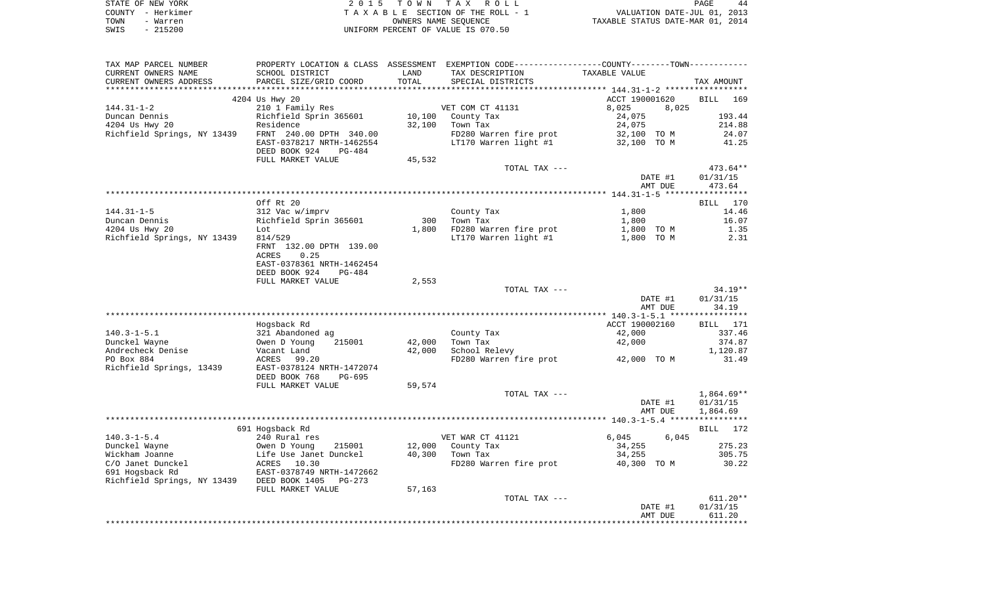| STATE OF NEW YORK | 2015 TOWN TAX ROLL                 | 44<br><b>PAGE</b>                |
|-------------------|------------------------------------|----------------------------------|
| COUNTY - Herkimer | TAXABLE SECTION OF THE ROLL - 1    | VALUATION DATE-JUL 01, 2013      |
| TOWN<br>- Warren  | OWNERS NAME SEOUENCE               | TAXABLE STATUS DATE-MAR 01, 2014 |
| $-215200$<br>SWIS | UNIFORM PERCENT OF VALUE IS 070.50 |                                  |

| TAX MAP PARCEL NUMBER                      |                                          |                  | PROPERTY LOCATION & CLASS ASSESSMENT EXEMPTION CODE---------------COUNTY-------TOWN---------- |                    |                      |
|--------------------------------------------|------------------------------------------|------------------|-----------------------------------------------------------------------------------------------|--------------------|----------------------|
| CURRENT OWNERS NAME                        | SCHOOL DISTRICT                          | LAND             | TAX DESCRIPTION                                                                               | TAXABLE VALUE      |                      |
| CURRENT OWNERS ADDRESS                     | PARCEL SIZE/GRID COORD                   | TOTAL            | SPECIAL DISTRICTS                                                                             |                    | TAX AMOUNT           |
|                                            |                                          |                  |                                                                                               |                    |                      |
|                                            | 4204 Us Hwy 20                           |                  |                                                                                               | ACCT 190001620     | BILL<br>169          |
| $144.31 - 1 - 2$                           | 210 1 Family Res                         |                  | VET COM CT 41131                                                                              | 8,025<br>8,025     |                      |
| Duncan Dennis                              | Richfield Sprin 365601                   | 10,100           | County Tax                                                                                    | 24,075             | 193.44               |
| 4204 Us Hwy 20                             | Residence<br>FRNT 240.00 DPTH 340.00     | 32,100           | Town Tax<br>FD280 Warren fire prot                                                            | 24,075             | 214.88<br>24.07      |
| Richfield Springs, NY 13439                | EAST-0378217 NRTH-1462554                |                  | LT170 Warren light #1 $\overline{32,100}$ TO M                                                | 32,100 TO M        | 41.25                |
|                                            | DEED BOOK 924<br>PG-484                  |                  |                                                                                               |                    |                      |
|                                            | FULL MARKET VALUE                        | 45,532           |                                                                                               |                    |                      |
|                                            |                                          |                  | TOTAL TAX ---                                                                                 | DATE #1            | 473.64**<br>01/31/15 |
|                                            |                                          |                  |                                                                                               | AMT DUE            | 473.64               |
|                                            |                                          |                  |                                                                                               |                    |                      |
|                                            | Off Rt 20                                |                  |                                                                                               |                    | 170<br>BILL          |
| $144.31 - 1 - 5$                           | 312 Vac w/imprv                          |                  | County Tax                                                                                    | 1,800              | 14.46                |
| Duncan Dennis                              | Richfield Sprin 365601                   | 300              | Town Tax                                                                                      | 1,800              | 16.07                |
| 4204 Us Hwy 20                             | Lot                                      | 1,800            | FD280 Warren fire prot                                                                        | 1,800 TO M         | 1.35                 |
| Richfield Springs, NY 13439                | 814/529                                  |                  | LT170 Warren light #1                                                                         | 1,800 TO M         | 2.31                 |
|                                            | FRNT 132.00 DPTH 139.00                  |                  |                                                                                               |                    |                      |
|                                            | ACRES<br>0.25                            |                  |                                                                                               |                    |                      |
|                                            | EAST-0378361 NRTH-1462454                |                  |                                                                                               |                    |                      |
|                                            | DEED BOOK 924<br>PG-484                  |                  |                                                                                               |                    |                      |
|                                            | FULL MARKET VALUE                        | 2,553            |                                                                                               |                    |                      |
|                                            |                                          |                  | TOTAL TAX ---                                                                                 |                    | $34.19**$            |
|                                            |                                          |                  |                                                                                               | DATE #1            | 01/31/15             |
|                                            |                                          |                  |                                                                                               | AMT DUE            | 34.19                |
|                                            |                                          |                  |                                                                                               |                    |                      |
|                                            | Hogsback Rd                              |                  |                                                                                               | ACCT 190002160     | BILL 171             |
| $140.3 - 1 - 5.1$                          | 321 Abandoned ag                         |                  | County Tax<br>Town Tax                                                                        | 42,000             | 337.46               |
| Dunckel Wayne<br>Andrecheck Denise         | Owen D Young<br>215001                   | 42,000<br>42,000 |                                                                                               | 42,000             | 374.87               |
| PO Box 884                                 | Vacant Land<br>ACRES 99.20               |                  | School Relevy<br>FD280 Warren fire prot                                                       | 42,000 TO M        | 1,120.87<br>31.49    |
| Richfield Springs, 13439                   | EAST-0378124 NRTH-1472074                |                  |                                                                                               |                    |                      |
|                                            | DEED BOOK 768<br>PG-695                  |                  |                                                                                               |                    |                      |
|                                            | FULL MARKET VALUE                        | 59,574           |                                                                                               |                    |                      |
|                                            |                                          |                  | TOTAL TAX ---                                                                                 |                    | $1,864.69**$         |
|                                            |                                          |                  |                                                                                               | DATE #1            | 01/31/15             |
|                                            |                                          |                  |                                                                                               | AMT DUE            | 1,864.69             |
|                                            |                                          |                  |                                                                                               |                    |                      |
|                                            | 691 Hogsback Rd                          |                  |                                                                                               |                    | BILL 172             |
| $140.3 - 1 - 5.4$                          | 240 Rural res                            |                  | VET WAR CT 41121                                                                              | 6,045<br>6,045     |                      |
| Dunckel Wayne                              | Owen D Young<br>215001                   | 12,000           | County Tax                                                                                    | 34,255             | 275.23               |
| Wickham Joanne                             | Life Use Janet Dunckel                   | 40,300           | Town Tax                                                                                      | 34,255             | 305.75               |
| C/O Janet Dunckel                          | ACRES 10.30<br>EAST-0378749 NRTH-1472662 |                  | FD280 Warren fire prot 40,300 TO M                                                            |                    | 30.22                |
| 691 Hogsback Rd                            |                                          |                  |                                                                                               |                    |                      |
| Richfield Springs, NY 13439 DEED BOOK 1405 | PG-273                                   |                  |                                                                                               |                    |                      |
|                                            | FULL MARKET VALUE                        | 57,163           |                                                                                               |                    |                      |
|                                            |                                          |                  | TOTAL TAX ---                                                                                 |                    | $611.20**$           |
|                                            |                                          |                  |                                                                                               | DATE #1<br>AMT DUE | 01/31/15<br>611.20   |
|                                            |                                          |                  |                                                                                               |                    |                      |
|                                            |                                          |                  |                                                                                               |                    |                      |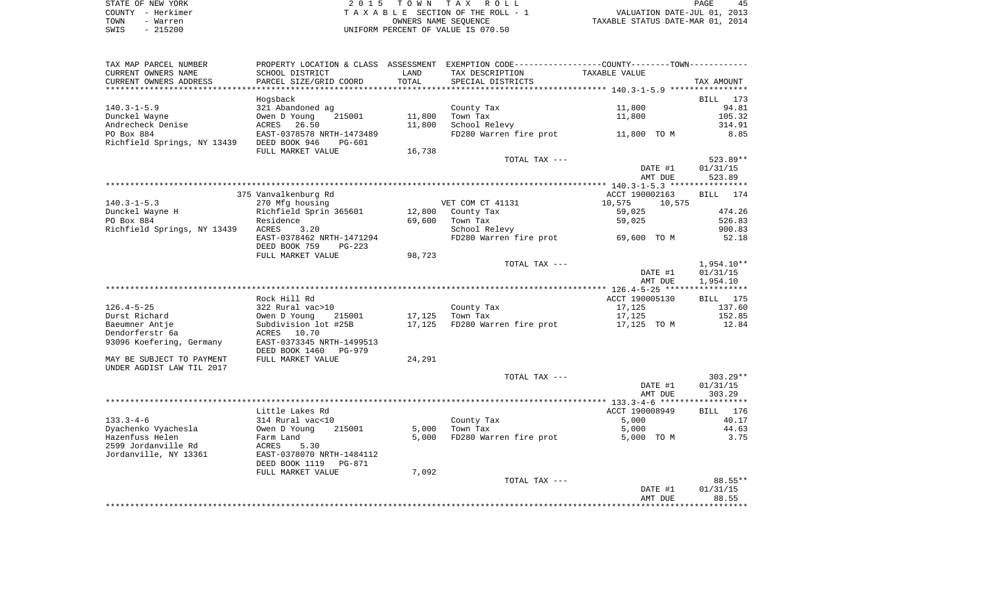| STATE OF NEW YORK | 2015 TOWN TAX ROLL                 | PAGE                             |
|-------------------|------------------------------------|----------------------------------|
| COUNTY - Herkimer | TAXABLE SECTION OF THE ROLL - 1    | VALUATION DATE-JUL 01, 2013      |
| TOWN<br>- Warren  | OWNERS NAME SEOUENCE               | TAXABLE STATUS DATE-MAR 01, 2014 |
| $-215200$<br>SWIS | UNIFORM PERCENT OF VALUE IS 070.50 |                                  |

|                             |                                                                                                |        |                        | AMT DUE          | 88.55        |
|-----------------------------|------------------------------------------------------------------------------------------------|--------|------------------------|------------------|--------------|
|                             |                                                                                                |        |                        | DATE #1          | 01/31/15     |
|                             |                                                                                                |        | TOTAL TAX ---          |                  | 88.55**      |
|                             | FULL MARKET VALUE                                                                              | 7,092  |                        |                  |              |
|                             | DEED BOOK 1119<br>PG-871                                                                       |        |                        |                  |              |
| Jordanville, NY 13361       | EAST-0378070 NRTH-1484112                                                                      |        |                        |                  |              |
| 2599 Jordanville Rd         | 5.30<br>ACRES                                                                                  |        |                        |                  |              |
| Hazenfuss Helen             | Farm Land                                                                                      | 5,000  | FD280 Warren fire prot | 5,000 TO M       | 3.75         |
| Dyachenko Vyachesla         | 215001<br>Owen D Young                                                                         | 5,000  | Town Tax               | 5,000            | 44.63        |
| $133.3 - 4 - 6$             | 314 Rural vac<10                                                                               |        | County Tax             | 5,000            | 40.17        |
|                             | Little Lakes Rd                                                                                |        |                        | ACCT 190008949   | BILL 176     |
|                             |                                                                                                |        |                        |                  |              |
|                             |                                                                                                |        |                        |                  |              |
|                             |                                                                                                |        |                        | AMT DUE          | 303.29       |
|                             |                                                                                                |        |                        | DATE #1          | 01/31/15     |
|                             |                                                                                                |        | TOTAL TAX ---          |                  | $303.29**$   |
| UNDER AGDIST LAW TIL 2017   |                                                                                                |        |                        |                  |              |
| MAY BE SUBJECT TO PAYMENT   | FULL MARKET VALUE                                                                              | 24,291 |                        |                  |              |
|                             | DEED BOOK 1460<br>PG-979                                                                       |        |                        |                  |              |
| 93096 Koefering, Germany    | EAST-0373345 NRTH-1499513                                                                      |        |                        |                  |              |
| Dendorferstr 6a             | 10.70<br>ACRES                                                                                 |        |                        |                  |              |
| Baeumner Antje              | Subdivision lot #25B                                                                           | 17,125 | FD280 Warren fire prot | 17,125 TO M      | 12.84        |
| Durst Richard               | Owen D Young<br>215001                                                                         | 17,125 | Town Tax               | 17,125           | 152.85       |
| $126.4 - 5 - 25$            | 322 Rural vac>10                                                                               |        | County Tax             | 17,125           | 137.60       |
|                             | Rock Hill Rd                                                                                   |        |                        | ACCT 190005130   | BILL 175     |
|                             |                                                                                                |        |                        |                  |              |
|                             |                                                                                                |        |                        | AMT DUE          | 1,954.10     |
|                             |                                                                                                |        |                        | DATE #1          | 01/31/15     |
|                             |                                                                                                |        |                        |                  |              |
|                             |                                                                                                |        | TOTAL TAX ---          |                  | $1,954.10**$ |
|                             | FULL MARKET VALUE                                                                              | 98,723 |                        |                  |              |
|                             | DEED BOOK 759<br>$PG-223$                                                                      |        |                        |                  |              |
|                             | EAST-0378462 NRTH-1471294                                                                      |        | FD280 Warren fire prot | 69,600 TO M      | 52.18        |
| Richfield Springs, NY 13439 | ACRES<br>3.20                                                                                  |        | School Relevy          |                  | 900.83       |
| PO Box 884                  | Residence                                                                                      | 69,600 | Town Tax               | 59,025           | 526.83       |
| Dunckel Wayne H             | Richfield Sprin 365601                                                                         | 12,800 | County Tax             | 59,025           | 474.26       |
| $140.3 - 1 - 5.3$           | 270 Mfg housing                                                                                |        | VET COM CT 41131       | 10,575<br>10,575 |              |
|                             | 375 Vanvalkenburg Rd                                                                           |        |                        | ACCT 190002163   | BILL 174     |
|                             |                                                                                                |        |                        |                  |              |
|                             |                                                                                                |        |                        | AMT DUE          | 523.89       |
|                             |                                                                                                |        |                        | DATE #1          | 01/31/15     |
|                             |                                                                                                |        | TOTAL TAX ---          |                  | 523.89**     |
|                             | FULL MARKET VALUE                                                                              | 16,738 |                        |                  |              |
| Richfield Springs, NY 13439 | DEED BOOK 946<br>PG-601                                                                        |        |                        |                  |              |
| PO Box 884                  | EAST-0378578 NRTH-1473489                                                                      |        | FD280 Warren fire prot | 11,800 TO M      | 8.85         |
| Andrecheck Denise           | ACRES<br>26.50                                                                                 | 11,800 | School Relevy          |                  | 314.91       |
| Dunckel Wayne               | 215001<br>Owen D Young                                                                         | 11,800 | Town Tax               | 11,800           | 105.32       |
| $140.3 - 1 - 5.9$           | 321 Abandoned ag                                                                               |        | County Tax             | 11,800           | 94.81        |
|                             | Hogsback                                                                                       |        |                        |                  | BILL 173     |
|                             |                                                                                                |        |                        |                  |              |
| CURRENT OWNERS ADDRESS      | PARCEL SIZE/GRID COORD                                                                         | TOTAL  | SPECIAL DISTRICTS      |                  | TAX AMOUNT   |
| CURRENT OWNERS NAME         | SCHOOL DISTRICT                                                                                | LAND   | TAX DESCRIPTION        | TAXABLE VALUE    |              |
| TAX MAP PARCEL NUMBER       | PROPERTY LOCATION & CLASS ASSESSMENT EXEMPTION CODE----------------COUNTY-------TOWN---------- |        |                        |                  |              |
|                             |                                                                                                |        |                        |                  |              |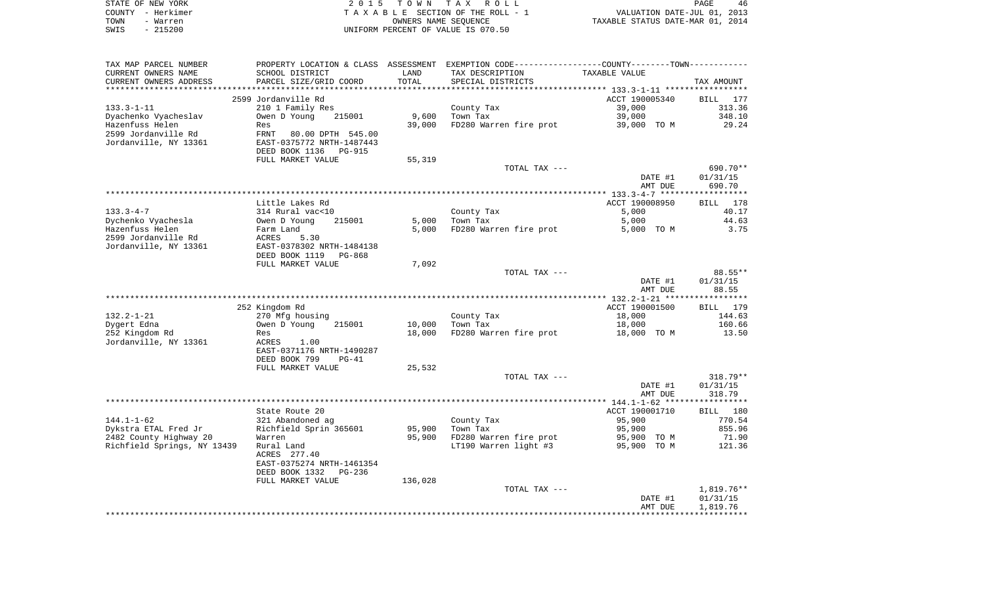|      | STATE OF NEW YORK | 2015 TOWN TAX ROLL                 | PAGE                             | 46 |
|------|-------------------|------------------------------------|----------------------------------|----|
|      | COUNTY - Herkimer | TAXABLE SECTION OF THE ROLL - 1    | VALUATION DATE-JUL 01, 2013      |    |
| TOWN | - Warren          | OWNERS NAME SEOUENCE               | TAXABLE STATUS DATE-MAR 01, 2014 |    |
| SWIS | - 215200          | UNIFORM PERCENT OF VALUE IS 070.50 |                                  |    |

| TAX MAP PARCEL NUMBER       | PROPERTY LOCATION & CLASS       | ASSESSMENT    | EXEMPTION CODE-----------------COUNTY-------TOWN----------- |                                            |              |
|-----------------------------|---------------------------------|---------------|-------------------------------------------------------------|--------------------------------------------|--------------|
| CURRENT OWNERS NAME         | SCHOOL DISTRICT                 | LAND          | TAX DESCRIPTION                                             | TAXABLE VALUE                              |              |
| CURRENT OWNERS ADDRESS      | PARCEL SIZE/GRID COORD          | TOTAL         | SPECIAL DISTRICTS                                           |                                            | TAX AMOUNT   |
|                             |                                 | ************* |                                                             | **************** 133.3-1-11 ************** |              |
|                             | 2599 Jordanville Rd             |               |                                                             | ACCT 190005340                             | BILL 177     |
| $133.3 - 1 - 11$            | 210 1 Family Res                |               | County Tax                                                  | 39,000                                     | 313.36       |
| Dyachenko Vyacheslav        | Owen D Young<br>215001          | 9,600         | Town Tax                                                    | 39,000                                     | 348.10       |
| Hazenfuss Helen             | Res                             | 39,000        | FD280 Warren fire prot                                      | 39,000 TO M                                | 29.24        |
| 2599 Jordanville Rd         | FRNT<br>80.00 DPTH 545.00       |               |                                                             |                                            |              |
| Jordanville, NY 13361       | EAST-0375772 NRTH-1487443       |               |                                                             |                                            |              |
|                             | DEED BOOK 1136<br><b>PG-915</b> |               |                                                             |                                            |              |
|                             |                                 |               |                                                             |                                            |              |
|                             | FULL MARKET VALUE               | 55,319        |                                                             |                                            | 690.70**     |
|                             |                                 |               | TOTAL TAX ---                                               |                                            |              |
|                             |                                 |               |                                                             | DATE #1                                    | 01/31/15     |
|                             |                                 |               |                                                             | AMT DUE                                    | 690.70       |
|                             |                                 |               |                                                             |                                            |              |
|                             | Little Lakes Rd                 |               |                                                             | ACCT 190008950                             | 178<br>BILL  |
| $133.3 - 4 - 7$             | 314 Rural vac<10                |               | County Tax                                                  | 5,000                                      | 40.17        |
| Dychenko Vyachesla          | Owen D Young<br>215001          | 5,000         | Town Tax                                                    | 5,000                                      | 44.63        |
| Hazenfuss Helen             | Farm Land                       | 5,000         | FD280 Warren fire prot                                      | 5,000 TO M                                 | 3.75         |
| 2599 Jordanville Rd         | ACRES<br>5.30                   |               |                                                             |                                            |              |
| Jordanville, NY 13361       | EAST-0378302 NRTH-1484138       |               |                                                             |                                            |              |
|                             | DEED BOOK 1119<br>PG-868        |               |                                                             |                                            |              |
|                             | FULL MARKET VALUE               | 7,092         |                                                             |                                            |              |
|                             |                                 |               | TOTAL TAX ---                                               |                                            | 88.55**      |
|                             |                                 |               |                                                             | DATE #1                                    | 01/31/15     |
|                             |                                 |               |                                                             | AMT DUE                                    | 88.55        |
|                             |                                 |               |                                                             |                                            |              |
|                             | 252 Kingdom Rd                  |               |                                                             | ACCT 190001500                             | BILL 179     |
| $132.2 - 1 - 21$            | 270 Mfg housing                 |               | County Tax                                                  | 18,000                                     | 144.63       |
| Dygert Edna                 | Owen D Young<br>215001          | 10,000        | Town Tax                                                    | 18,000                                     | 160.66       |
| 252 Kingdom Rd              | Res                             | 18,000        | FD280 Warren fire prot                                      | 18,000 TO M                                | 13.50        |
| Jordanville, NY 13361       | ACRES<br>1.00                   |               |                                                             |                                            |              |
|                             | EAST-0371176 NRTH-1490287       |               |                                                             |                                            |              |
|                             | DEED BOOK 799<br>$PG-41$        |               |                                                             |                                            |              |
|                             | FULL MARKET VALUE               | 25,532        |                                                             |                                            |              |
|                             |                                 |               | TOTAL TAX ---                                               |                                            | $318.79**$   |
|                             |                                 |               |                                                             | DATE #1                                    | 01/31/15     |
|                             |                                 |               |                                                             | AMT DUE                                    | 318.79       |
|                             |                                 |               |                                                             |                                            |              |
|                             |                                 |               |                                                             |                                            |              |
|                             | State Route 20                  |               |                                                             | ACCT 190001710                             | BILL 180     |
| $144.1 - 1 - 62$            | 321 Abandoned ag                |               | County Tax                                                  | 95,900                                     | 770.54       |
| Dykstra ETAL Fred Jr        | Richfield Sprin 365601          | 95,900        | Town Tax                                                    | 95,900                                     | 855.96       |
| 2482 County Highway 20      | Warren                          | 95,900        | FD280 Warren fire prot                                      | 95,900 TO M                                | 71.90        |
| Richfield Springs, NY 13439 | Rural Land                      |               | LT190 Warren light #3                                       | 95,900 TO M                                | 121.36       |
|                             | ACRES 277.40                    |               |                                                             |                                            |              |
|                             | EAST-0375274 NRTH-1461354       |               |                                                             |                                            |              |
|                             | DEED BOOK 1332<br>$PG-236$      |               |                                                             |                                            |              |
|                             | FULL MARKET VALUE               | 136,028       |                                                             |                                            |              |
|                             |                                 |               | TOTAL TAX ---                                               |                                            | $1,819.76**$ |
|                             |                                 |               |                                                             | DATE #1                                    | 01/31/15     |
|                             |                                 |               |                                                             | AMT DUE                                    | 1,819.76     |
|                             |                                 |               |                                                             |                                            |              |
|                             |                                 |               |                                                             |                                            |              |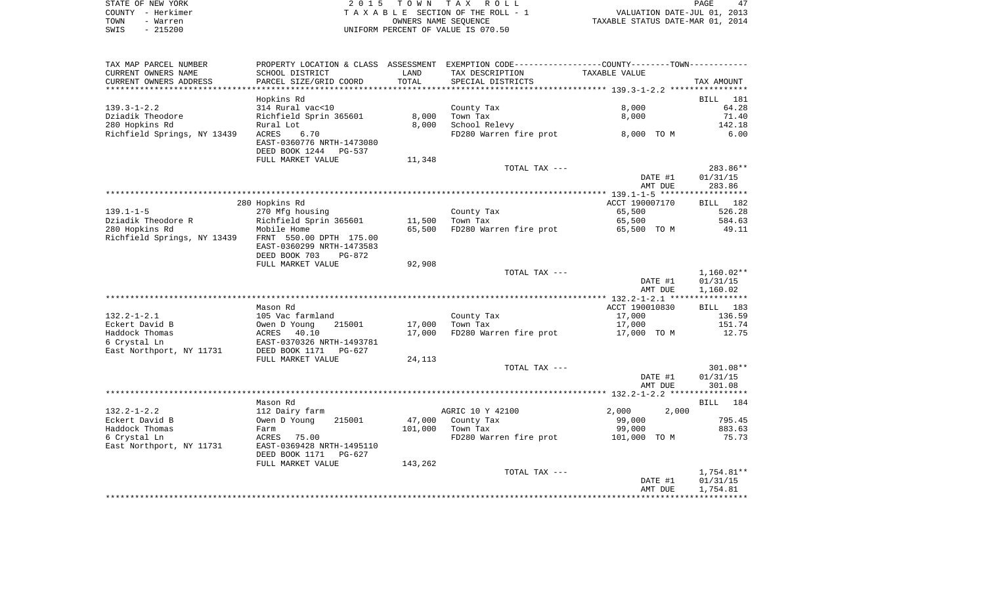| STATE OF NEW YORK | 2015 TOWN TAX ROLL                 | 47<br><b>PAGE</b>                |
|-------------------|------------------------------------|----------------------------------|
| COUNTY - Herkimer | TAXABLE SECTION OF THE ROLL - 1    | VALUATION DATE-JUL 01, 2013      |
| TOWN<br>- Warren  | OWNERS NAME SEOUENCE               | TAXABLE STATUS DATE-MAR 01, 2014 |
| SWIS<br>$-215200$ | UNIFORM PERCENT OF VALUE IS 070.50 |                                  |

| TAX MAP PARCEL NUMBER                                             | PROPERTY LOCATION & CLASS ASSESSMENT EXEMPTION CODE---------------COUNTY--------TOWN----------- |         |                                    |                |                          |
|-------------------------------------------------------------------|-------------------------------------------------------------------------------------------------|---------|------------------------------------|----------------|--------------------------|
| CURRENT OWNERS NAME                                               | SCHOOL DISTRICT                                                                                 | LAND    | TAX DESCRIPTION                    | TAXABLE VALUE  |                          |
| CURRENT OWNERS ADDRESS<br>**********************                  | PARCEL SIZE/GRID COORD<br>**********************                                                | TOTAL   | SPECIAL DISTRICTS                  |                | TAX AMOUNT               |
|                                                                   |                                                                                                 |         |                                    |                |                          |
|                                                                   | Hopkins Rd                                                                                      |         |                                    | 8,000          | BILL 181                 |
| $139.3 - 1 - 2.2$<br>Dziadik Theodore                             | 314 Rural vac<10<br>Richfield Sprin 365601                                                      | 8,000   | County Tax<br>Town Tax             | 8,000          | 64.28<br>71.40           |
| 280 Hopkins Rd                                                    | Rural Lot                                                                                       | 8,000   | School Relevy                      |                | 142.18                   |
| Richfield Springs, NY 13439                                       | 6.70<br>ACRES                                                                                   |         | FD280 Warren fire prot 8,000 TO M  |                | 6.00                     |
|                                                                   | EAST-0360776 NRTH-1473080                                                                       |         |                                    |                |                          |
|                                                                   | DEED BOOK 1244 PG-537                                                                           |         |                                    |                |                          |
|                                                                   | FULL MARKET VALUE                                                                               | 11,348  |                                    |                |                          |
|                                                                   |                                                                                                 |         | TOTAL TAX ---                      |                | 283.86**                 |
|                                                                   |                                                                                                 |         |                                    | DATE #1        | 01/31/15                 |
|                                                                   |                                                                                                 |         |                                    | AMT DUE        | 283.86                   |
|                                                                   |                                                                                                 |         |                                    |                |                          |
|                                                                   | 280 Hopkins Rd                                                                                  |         |                                    | ACCT 190007170 | BILL 182                 |
| $139.1 - 1 - 5$                                                   | 270 Mfg housing                                                                                 |         | County Tax                         | 65,500         | 526.28                   |
| Dziadik Theodore Randore Richfield Sprin 365601<br>280 Hopkins Rd |                                                                                                 | 11,500  | Town Tax                           | 65,500         | 584.63                   |
|                                                                   |                                                                                                 | 65,500  | FD280 Warren fire prot             | 65,500 TO M    | 49.11                    |
| Richfield Springs, NY 13439 FRNT 550.00 DPTH 175.00               |                                                                                                 |         |                                    |                |                          |
|                                                                   | EAST-0360299 NRTH-1473583                                                                       |         |                                    |                |                          |
|                                                                   | DEED BOOK 703<br>PG-872                                                                         |         |                                    |                |                          |
|                                                                   | FULL MARKET VALUE                                                                               | 92,908  | TOTAL TAX ---                      |                |                          |
|                                                                   |                                                                                                 |         |                                    | DATE #1        | $1,160.02**$<br>01/31/15 |
|                                                                   |                                                                                                 |         |                                    | AMT DUE        | 1,160.02                 |
|                                                                   |                                                                                                 |         |                                    |                |                          |
|                                                                   | Mason Rd                                                                                        |         |                                    | ACCT 190010830 | BILL 183                 |
| $132.2 - 1 - 2.1$                                                 | 105 Vac farmland                                                                                |         |                                    | 17,000         | 136.59                   |
| Eckert David B                                                    | Owen D Young<br>215001                                                                          | 17,000  | County Tax<br>Town Tax<br>Town Tax | 17,000         | 151.74                   |
| Haddock Thomas                                                    | ACRES 40.10                                                                                     | 17,000  | FD280 Warren fire prot 17,000 TO M |                | 12.75                    |
| 6 Crystal Ln                                                      | EAST-0370326 NRTH-1493781                                                                       |         |                                    |                |                          |
| East Northport, NY 11731                                          | DEED BOOK 1171<br>PG-627                                                                        |         |                                    |                |                          |
|                                                                   | FULL MARKET VALUE                                                                               | 24,113  |                                    |                |                          |
|                                                                   |                                                                                                 |         | TOTAL TAX ---                      |                | 301.08**                 |
|                                                                   |                                                                                                 |         |                                    | DATE #1        | 01/31/15                 |
|                                                                   |                                                                                                 |         |                                    | AMT DUE        | 301.08                   |
|                                                                   | Mason Rd                                                                                        |         |                                    |                | BILL 184                 |
| $132.2 - 1 - 2.2$                                                 | 112 Dairy farm                                                                                  |         | AGRIC 10 Y 42100                   | 2,000<br>2,000 |                          |
| Eckert David B                                                    | 215001<br>Owen D Young                                                                          | 47,000  | County Tax                         | 99,000         | 795.45                   |
| Haddock Thomas                                                    | Farm                                                                                            | 101,000 | Town Tax                           | 99,000         | 883.63                   |
| 6 Crystal Ln                                                      | ACRES 75.00                                                                                     |         | FD280 Warren fire prot             | 101,000 TO M   | 75.73                    |
| East Northport, NY 11731                                          | EAST-0369428 NRTH-1495110                                                                       |         |                                    |                |                          |
|                                                                   | DEED BOOK 1171<br>PG-627                                                                        |         |                                    |                |                          |
|                                                                   | FULL MARKET VALUE                                                                               | 143,262 |                                    |                |                          |
|                                                                   |                                                                                                 |         | TOTAL TAX ---                      |                | 1,754.81**               |
|                                                                   |                                                                                                 |         |                                    | DATE #1        | 01/31/15                 |
|                                                                   |                                                                                                 |         |                                    | AMT DUE        | 1,754.81                 |
|                                                                   |                                                                                                 |         |                                    |                |                          |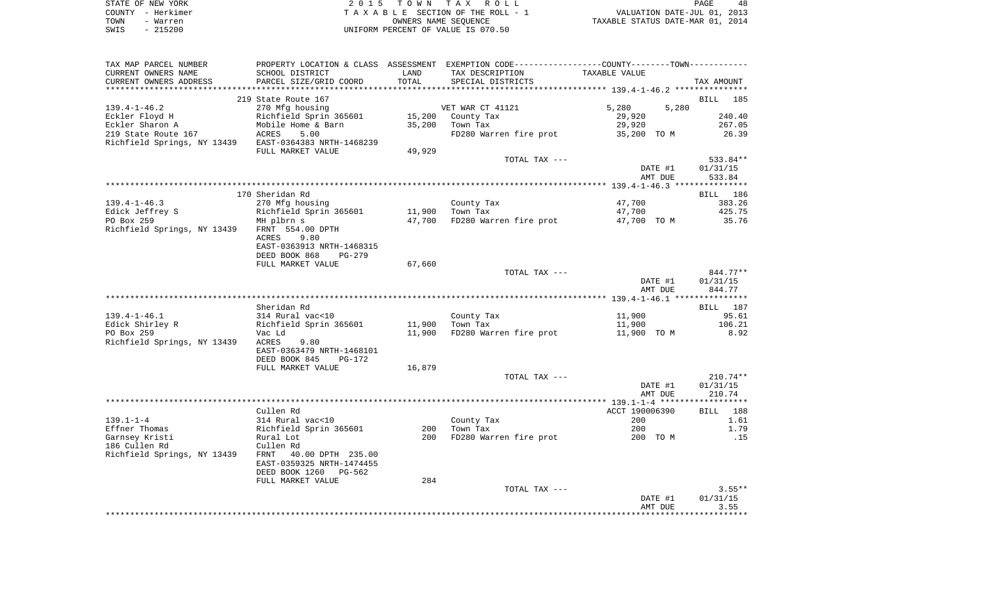|      | STATE OF NEW YORK | 2015 TOWN TAX ROLL                 | PAGE                             | 48 |
|------|-------------------|------------------------------------|----------------------------------|----|
|      | COUNTY - Herkimer | TAXABLE SECTION OF THE ROLL - 1    | VALUATION DATE-JUL 01, 2013      |    |
| TOWN | - Warren          | OWNERS NAME SEOUENCE               | TAXABLE STATUS DATE-MAR 01, 2014 |    |
| SWIS | - 215200          | UNIFORM PERCENT OF VALUE IS 070.50 |                                  |    |

| TAXABLE VALUE<br>****************** 139.4-1-46.2 ****************<br>5,280<br>5,280<br>29,920 | TAX AMOUNT<br>BILL 185                                                                                                                                                           |
|-----------------------------------------------------------------------------------------------|----------------------------------------------------------------------------------------------------------------------------------------------------------------------------------|
|                                                                                               |                                                                                                                                                                                  |
|                                                                                               |                                                                                                                                                                                  |
|                                                                                               |                                                                                                                                                                                  |
|                                                                                               |                                                                                                                                                                                  |
|                                                                                               |                                                                                                                                                                                  |
|                                                                                               | 240.40                                                                                                                                                                           |
| 29,920                                                                                        | 267.05                                                                                                                                                                           |
| FD280 Warren fire prot                                                                        | 26.39                                                                                                                                                                            |
|                                                                                               |                                                                                                                                                                                  |
|                                                                                               |                                                                                                                                                                                  |
|                                                                                               |                                                                                                                                                                                  |
|                                                                                               | 533.84**                                                                                                                                                                         |
|                                                                                               | 01/31/15                                                                                                                                                                         |
|                                                                                               | 533.84                                                                                                                                                                           |
|                                                                                               |                                                                                                                                                                                  |
|                                                                                               | BILL 186                                                                                                                                                                         |
|                                                                                               | 383.26                                                                                                                                                                           |
|                                                                                               | 425.75                                                                                                                                                                           |
| 47,700 FD280 Warren fire prot<br>47,700 TO M                                                  | 35.76                                                                                                                                                                            |
|                                                                                               |                                                                                                                                                                                  |
|                                                                                               |                                                                                                                                                                                  |
|                                                                                               |                                                                                                                                                                                  |
|                                                                                               |                                                                                                                                                                                  |
|                                                                                               |                                                                                                                                                                                  |
| TOTAL TAX ---                                                                                 | 844.77**                                                                                                                                                                         |
|                                                                                               | 01/31/15                                                                                                                                                                         |
|                                                                                               | 844.77                                                                                                                                                                           |
|                                                                                               |                                                                                                                                                                                  |
|                                                                                               | BILL 187                                                                                                                                                                         |
|                                                                                               | 95.61                                                                                                                                                                            |
|                                                                                               | 106.21                                                                                                                                                                           |
|                                                                                               | 8.92                                                                                                                                                                             |
|                                                                                               |                                                                                                                                                                                  |
|                                                                                               |                                                                                                                                                                                  |
|                                                                                               |                                                                                                                                                                                  |
|                                                                                               |                                                                                                                                                                                  |
|                                                                                               |                                                                                                                                                                                  |
|                                                                                               | $210.74**$                                                                                                                                                                       |
|                                                                                               | 01/31/15                                                                                                                                                                         |
|                                                                                               | 210.74                                                                                                                                                                           |
|                                                                                               |                                                                                                                                                                                  |
|                                                                                               | 188<br>BILL                                                                                                                                                                      |
| 200                                                                                           | 1.61                                                                                                                                                                             |
| 200                                                                                           | 1.79                                                                                                                                                                             |
| FD280 Warren fire prot<br>200 TO M                                                            | .15                                                                                                                                                                              |
|                                                                                               |                                                                                                                                                                                  |
|                                                                                               |                                                                                                                                                                                  |
|                                                                                               |                                                                                                                                                                                  |
|                                                                                               |                                                                                                                                                                                  |
|                                                                                               |                                                                                                                                                                                  |
| TOTAL TAX ---                                                                                 | $3.55**$                                                                                                                                                                         |
|                                                                                               |                                                                                                                                                                                  |
|                                                                                               |                                                                                                                                                                                  |
| DATE #1<br>AMT DUE                                                                            | 01/31/15<br>3.55                                                                                                                                                                 |
| TOTAL TAX ---<br>TOTAL TAX ---                                                                | 35,200 TO M<br>DATE #1<br>AMT DUE<br>47,700<br>47,700<br>DATE #1<br>AMT DUE<br>11,900<br>11,900<br>FD280 Warren fire prot<br>11,900 TO M<br>DATE #1<br>AMT DUE<br>ACCT 190006390 |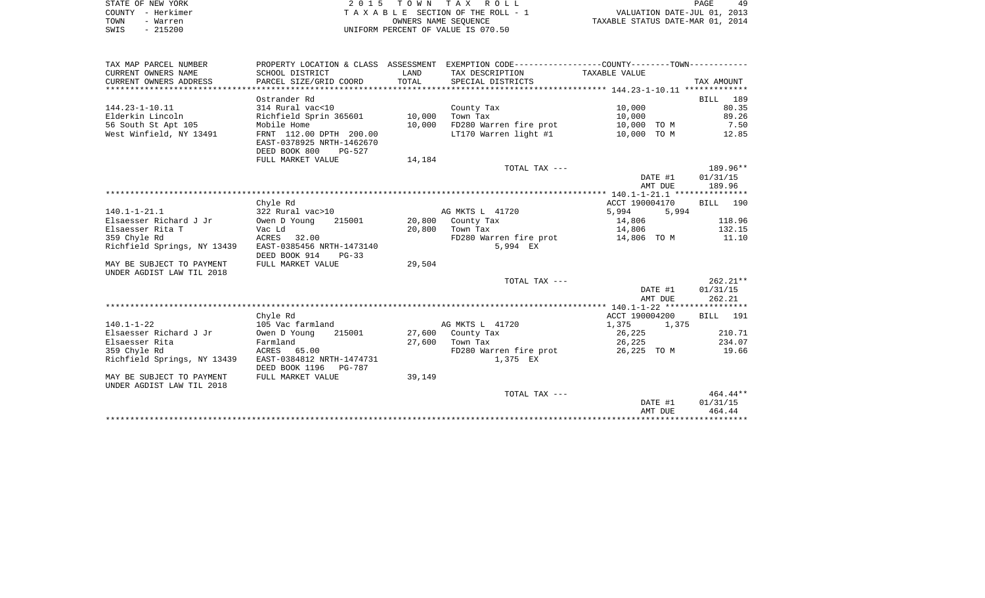| STATE OF NEW YORK |          | 2015 TOWN TAX ROLL                 |                      |  |                                  | PAGE | 49 |
|-------------------|----------|------------------------------------|----------------------|--|----------------------------------|------|----|
| COUNTY - Herkimer |          | TAXABLE SECTION OF THE ROLL - 1    |                      |  | VALUATION DATE-JUL 01, 2013      |      |    |
| TOWN              | - Warren |                                    | OWNERS NAME SEOUENCE |  | TAXABLE STATUS DATE-MAR 01, 2014 |      |    |
| $-215200$<br>SWIS |          | UNIFORM PERCENT OF VALUE IS 070.50 |                      |  |                                  |      |    |

 $\begin{array}{c} 49 \\ 2013 \\ 2014 \end{array}$ 

| TAX MAP PARCEL NUMBER       | PROPERTY LOCATION & CLASS ASSESSMENT EXEMPTION CODE---------------COUNTY-------TOWN---------- |        |                                    |                |            |
|-----------------------------|-----------------------------------------------------------------------------------------------|--------|------------------------------------|----------------|------------|
| CURRENT OWNERS NAME         | SCHOOL DISTRICT                                                                               | LAND   | TAX DESCRIPTION                    | TAXABLE VALUE  |            |
| CURRENT OWNERS ADDRESS      | PARCEL SIZE/GRID COORD                                                                        | TOTAL  | SPECIAL DISTRICTS                  |                | TAX AMOUNT |
|                             |                                                                                               |        |                                    |                |            |
|                             | Ostrander Rd                                                                                  |        |                                    |                | BILL 189   |
| $144.23 - 1 - 10.11$        | 314 Rural vac<10                                                                              |        | County Tax                         | 10,000         | 80.35      |
| Elderkin Lincoln            | Richfield Sprin 365601                                                                        | 10,000 | Town Tax                           | 10,000         | 89.26      |
| 56 South St Apt 105         | Mobile Home                                                                                   | 10,000 | FD280 Warren fire prot             | 10,000 TO M    | 7.50       |
| West Winfield, NY 13491     | FRNT 112.00 DPTH 200.00                                                                       |        | LT170 Warren light #1              | 10,000 TO M    | 12.85      |
|                             | EAST-0378925 NRTH-1462670                                                                     |        |                                    |                |            |
|                             | DEED BOOK 800<br>PG-527                                                                       |        |                                    |                |            |
|                             | FULL MARKET VALUE                                                                             | 14,184 |                                    |                |            |
|                             |                                                                                               |        | TOTAL TAX ---                      |                | 189.96**   |
|                             |                                                                                               |        |                                    | DATE #1        | 01/31/15   |
|                             |                                                                                               |        |                                    | AMT DUE        | 189.96     |
|                             |                                                                                               |        |                                    |                |            |
|                             | Chyle Rd                                                                                      |        |                                    | ACCT 190004170 | BILL 190   |
| $140.1 - 1 - 21.1$          | 322 Rural vac>10                                                                              |        | AG MKTS L 41720                    | 5,994          | 5,994      |
| Elsaesser Richard J Jr      | Owen D Young<br>215001                                                                        |        | 20,800 County Tax                  | 14,806         | 118.96     |
| Elsaesser Rita T            | Vac Ld                                                                                        |        | 20,800 Town Tax                    | 14,806         | 132.15     |
| 359 Chyle Rd                | ACRES 32.00                                                                                   |        | FD280 Warren fire prot 14,806 TO M |                | 11.10      |
| Richfield Springs, NY 13439 | EAST-0385456 NRTH-1473140                                                                     |        | 5,994 EX                           |                |            |
|                             | DEED BOOK 914<br>$PG-33$                                                                      |        |                                    |                |            |
| MAY BE SUBJECT TO PAYMENT   | FULL MARKET VALUE                                                                             | 29,504 |                                    |                |            |
| UNDER AGDIST LAW TIL 2018   |                                                                                               |        |                                    |                |            |
|                             |                                                                                               |        | TOTAL TAX ---                      |                | $262.21**$ |
|                             |                                                                                               |        |                                    | DATE #1        | 01/31/15   |
|                             |                                                                                               |        |                                    | AMT DUE        | 262.21     |
|                             |                                                                                               |        |                                    | ACCT 190004200 | BILL 191   |
| $140.1 - 1 - 22$            | Chyle Rd<br>105 Vac farmland                                                                  |        | AG MKTS L 41720                    | 1,375<br>1,375 |            |
| Elsaesser Richard J Jr      | Owen D Young<br>215001                                                                        |        | 27,600 County Tax                  | 26,225         | 210.71     |
| Elsaesser Rita              | Farmland                                                                                      |        | 27,600 Town Tax                    | 26,225         | 234.07     |
| 359 Chyle Rd                | ACRES 65.00                                                                                   |        | FD280 Warren fire prot             | 26,225 TO M    | 19.66      |
| Richfield Springs, NY 13439 | EAST-0384812 NRTH-1474731                                                                     |        | 1,375 EX                           |                |            |
|                             | DEED BOOK 1196<br>PG-787                                                                      |        |                                    |                |            |
| MAY BE SUBJECT TO PAYMENT   | FULL MARKET VALUE                                                                             | 39,149 |                                    |                |            |
| UNDER AGDIST LAW TIL 2018   |                                                                                               |        |                                    |                |            |
|                             |                                                                                               |        | TOTAL TAX ---                      |                | 464.44**   |
|                             |                                                                                               |        |                                    | DATE #1        | 01/31/15   |
|                             |                                                                                               |        |                                    | AMT DUE        | 464.44     |
|                             |                                                                                               |        |                                    |                |            |
|                             |                                                                                               |        |                                    |                |            |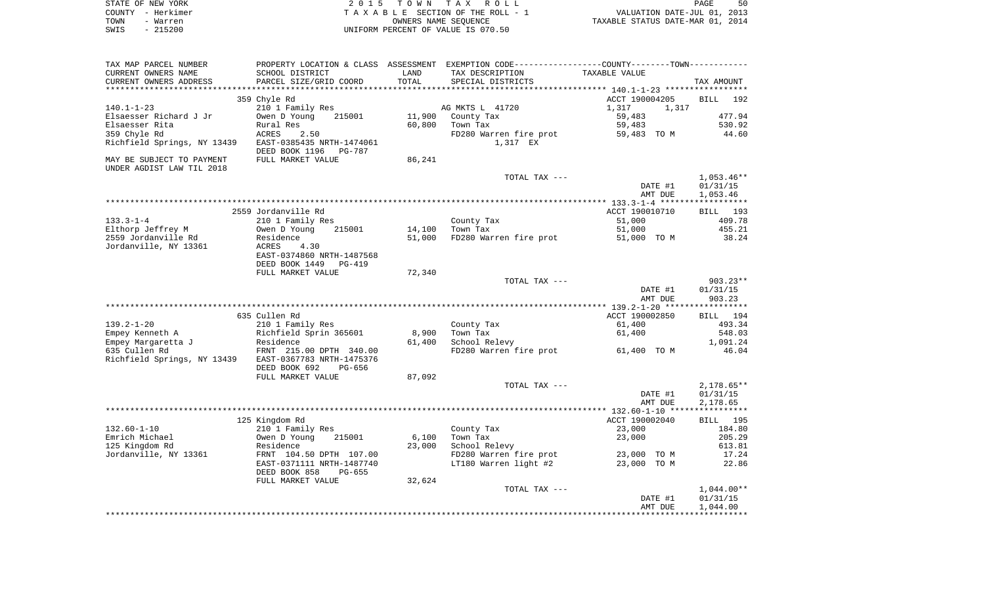|      | STATE OF NEW YORK | 2015 TOWN TAX ROLL                 | PAGE                             | 50 |
|------|-------------------|------------------------------------|----------------------------------|----|
|      | COUNTY - Herkimer | TAXABLE SECTION OF THE ROLL - 1    | VALUATION DATE-JUL 01, 2013      |    |
| TOWN | - Warren          | OWNERS NAME SEOUENCE               | TAXABLE STATUS DATE-MAR 01, 2014 |    |
| SWIS | - 215200          | UNIFORM PERCENT OF VALUE IS 070.50 |                                  |    |

| CURRENT OWNERS NAME<br>LAND<br>TAX DESCRIPTION<br>TAXABLE VALUE<br>PARCEL SIZE/GRID COORD<br>TOTAL<br>CURRENT OWNERS ADDRESS<br>SPECIAL DISTRICTS<br>TAX AMOUNT<br>ACCT 190004205<br>359 Chyle Rd<br><b>BILL</b><br>210 1 Family Res<br>AG MKTS L 41720<br>1,317<br>1,317<br>215001<br>11,900<br>County Tax<br>59,483<br>Owen D Young<br>60,800<br>Town Tax<br>59,483<br>Rural Res<br>359 Chyle Rd<br>ACRES<br>2.50<br>FD280 Warren fire prot<br>59,483 TO M<br>44.60<br>Richfield Springs, NY 13439<br>EAST-0385435 NRTH-1474061<br>1,317 EX<br>DEED BOOK 1196 PG-787<br>86,241<br>MAY BE SUBJECT TO PAYMENT<br>FULL MARKET VALUE<br>UNDER AGDIST LAW TIL 2018<br>TOTAL TAX ---<br>$1,053.46**$<br>DATE #1<br>01/31/15<br>1,053.46<br>AMT DUE<br>2559 Jordanville Rd<br>ACCT 190010710<br>BILL 193<br>$133.3 - 1 - 4$<br>210 1 Family Res<br>County Tax<br>51,000<br>409.78<br>Elthorp Jeffrey M<br>Town Tax<br>215001<br>51,000<br>455.21<br>Owen D Young<br>14,100<br>2559 Jordanville Rd<br>FD280 Warren fire prot<br>38.24<br>Residence<br>51,000<br>51,000 TO M<br>Jordanville, NY 13361<br>ACRES<br>4.30<br>EAST-0374860 NRTH-1487568<br>DEED BOOK 1449<br><b>PG-419</b><br>FULL MARKET VALUE<br>72,340<br>903.23**<br>TOTAL TAX ---<br>DATE #1<br>01/31/15<br>AMT DUE<br>903.23<br>635 Cullen Rd<br>ACCT 190002850<br>BILL 194<br>493.34<br>$139.2 - 1 - 20$<br>210 1 Family Res<br>County Tax<br>61,400<br>Richfield Sprin 365601<br>Empey Kenneth A<br>8,900<br>Town Tax<br>61,400<br>548.03<br>School Relevy<br>Empey Margaretta J<br>Residence<br>61,400<br>1,091.24<br>635 Cullen Rd<br>FRNT 215.00 DPTH 340.00<br>FD280 Warren fire prot<br>46.04<br>61,400 TO M<br>Richfield Springs, NY 13439<br>EAST-0367783 NRTH-1475376<br>DEED BOOK 692<br>PG-656<br>FULL MARKET VALUE<br>87,092<br>TOTAL TAX ---<br>$2,178.65**$<br>DATE #1<br>01/31/15<br>AMT DUE<br>2,178.65<br>125 Kingdom Rd<br>ACCT 190002040<br>BILL 195<br>$132.60 - 1 - 10$<br>210 1 Family Res<br>County Tax<br>23,000<br>184.80<br>Emrich Michael<br>Town Tax<br>Owen D Young<br>215001<br>6,100<br>23,000<br>205.29<br>School Relevy<br>613.81<br>125 Kingdom Rd<br>Residence<br>23,000<br>Jordanville, NY 13361<br>FRNT 104.50 DPTH 107.00<br>FD280 Warren fire prot<br>23,000 TO M<br>17.24<br>LT180 Warren light #2<br>EAST-0371111 NRTH-1487740<br>23,000 TO M<br>22.86<br>DEED BOOK 858<br>PG-655<br>FULL MARKET VALUE<br>32,624<br>$1,044.00**$<br>TOTAL TAX ---<br>01/31/15<br>DATE #1<br>1,044.00<br>AMT DUE | TAX MAP PARCEL NUMBER  |                 | PROPERTY LOCATION & CLASS ASSESSMENT EXEMPTION CODE----------------COUNTY-------TOWN--------- |        |
|------------------------------------------------------------------------------------------------------------------------------------------------------------------------------------------------------------------------------------------------------------------------------------------------------------------------------------------------------------------------------------------------------------------------------------------------------------------------------------------------------------------------------------------------------------------------------------------------------------------------------------------------------------------------------------------------------------------------------------------------------------------------------------------------------------------------------------------------------------------------------------------------------------------------------------------------------------------------------------------------------------------------------------------------------------------------------------------------------------------------------------------------------------------------------------------------------------------------------------------------------------------------------------------------------------------------------------------------------------------------------------------------------------------------------------------------------------------------------------------------------------------------------------------------------------------------------------------------------------------------------------------------------------------------------------------------------------------------------------------------------------------------------------------------------------------------------------------------------------------------------------------------------------------------------------------------------------------------------------------------------------------------------------------------------------------------------------------------------------------------------------------------------------------------------------------------------------------------------------------------------------------------------------------------------------------------------------------------------------------------------------------------------------------------------------------------------------------------------------------------------|------------------------|-----------------|-----------------------------------------------------------------------------------------------|--------|
|                                                                                                                                                                                                                                                                                                                                                                                                                                                                                                                                                                                                                                                                                                                                                                                                                                                                                                                                                                                                                                                                                                                                                                                                                                                                                                                                                                                                                                                                                                                                                                                                                                                                                                                                                                                                                                                                                                                                                                                                                                                                                                                                                                                                                                                                                                                                                                                                                                                                                                      |                        | SCHOOL DISTRICT |                                                                                               |        |
|                                                                                                                                                                                                                                                                                                                                                                                                                                                                                                                                                                                                                                                                                                                                                                                                                                                                                                                                                                                                                                                                                                                                                                                                                                                                                                                                                                                                                                                                                                                                                                                                                                                                                                                                                                                                                                                                                                                                                                                                                                                                                                                                                                                                                                                                                                                                                                                                                                                                                                      |                        |                 |                                                                                               |        |
|                                                                                                                                                                                                                                                                                                                                                                                                                                                                                                                                                                                                                                                                                                                                                                                                                                                                                                                                                                                                                                                                                                                                                                                                                                                                                                                                                                                                                                                                                                                                                                                                                                                                                                                                                                                                                                                                                                                                                                                                                                                                                                                                                                                                                                                                                                                                                                                                                                                                                                      |                        |                 |                                                                                               |        |
|                                                                                                                                                                                                                                                                                                                                                                                                                                                                                                                                                                                                                                                                                                                                                                                                                                                                                                                                                                                                                                                                                                                                                                                                                                                                                                                                                                                                                                                                                                                                                                                                                                                                                                                                                                                                                                                                                                                                                                                                                                                                                                                                                                                                                                                                                                                                                                                                                                                                                                      |                        |                 |                                                                                               | 192    |
|                                                                                                                                                                                                                                                                                                                                                                                                                                                                                                                                                                                                                                                                                                                                                                                                                                                                                                                                                                                                                                                                                                                                                                                                                                                                                                                                                                                                                                                                                                                                                                                                                                                                                                                                                                                                                                                                                                                                                                                                                                                                                                                                                                                                                                                                                                                                                                                                                                                                                                      | $140.1 - 1 - 23$       |                 |                                                                                               |        |
|                                                                                                                                                                                                                                                                                                                                                                                                                                                                                                                                                                                                                                                                                                                                                                                                                                                                                                                                                                                                                                                                                                                                                                                                                                                                                                                                                                                                                                                                                                                                                                                                                                                                                                                                                                                                                                                                                                                                                                                                                                                                                                                                                                                                                                                                                                                                                                                                                                                                                                      | Elsaesser Richard J Jr |                 |                                                                                               | 477.94 |
|                                                                                                                                                                                                                                                                                                                                                                                                                                                                                                                                                                                                                                                                                                                                                                                                                                                                                                                                                                                                                                                                                                                                                                                                                                                                                                                                                                                                                                                                                                                                                                                                                                                                                                                                                                                                                                                                                                                                                                                                                                                                                                                                                                                                                                                                                                                                                                                                                                                                                                      | Elsaesser Rita         |                 |                                                                                               | 530.92 |
|                                                                                                                                                                                                                                                                                                                                                                                                                                                                                                                                                                                                                                                                                                                                                                                                                                                                                                                                                                                                                                                                                                                                                                                                                                                                                                                                                                                                                                                                                                                                                                                                                                                                                                                                                                                                                                                                                                                                                                                                                                                                                                                                                                                                                                                                                                                                                                                                                                                                                                      |                        |                 |                                                                                               |        |
|                                                                                                                                                                                                                                                                                                                                                                                                                                                                                                                                                                                                                                                                                                                                                                                                                                                                                                                                                                                                                                                                                                                                                                                                                                                                                                                                                                                                                                                                                                                                                                                                                                                                                                                                                                                                                                                                                                                                                                                                                                                                                                                                                                                                                                                                                                                                                                                                                                                                                                      |                        |                 |                                                                                               |        |
|                                                                                                                                                                                                                                                                                                                                                                                                                                                                                                                                                                                                                                                                                                                                                                                                                                                                                                                                                                                                                                                                                                                                                                                                                                                                                                                                                                                                                                                                                                                                                                                                                                                                                                                                                                                                                                                                                                                                                                                                                                                                                                                                                                                                                                                                                                                                                                                                                                                                                                      |                        |                 |                                                                                               |        |
|                                                                                                                                                                                                                                                                                                                                                                                                                                                                                                                                                                                                                                                                                                                                                                                                                                                                                                                                                                                                                                                                                                                                                                                                                                                                                                                                                                                                                                                                                                                                                                                                                                                                                                                                                                                                                                                                                                                                                                                                                                                                                                                                                                                                                                                                                                                                                                                                                                                                                                      |                        |                 |                                                                                               |        |
|                                                                                                                                                                                                                                                                                                                                                                                                                                                                                                                                                                                                                                                                                                                                                                                                                                                                                                                                                                                                                                                                                                                                                                                                                                                                                                                                                                                                                                                                                                                                                                                                                                                                                                                                                                                                                                                                                                                                                                                                                                                                                                                                                                                                                                                                                                                                                                                                                                                                                                      |                        |                 |                                                                                               |        |
|                                                                                                                                                                                                                                                                                                                                                                                                                                                                                                                                                                                                                                                                                                                                                                                                                                                                                                                                                                                                                                                                                                                                                                                                                                                                                                                                                                                                                                                                                                                                                                                                                                                                                                                                                                                                                                                                                                                                                                                                                                                                                                                                                                                                                                                                                                                                                                                                                                                                                                      |                        |                 |                                                                                               |        |
|                                                                                                                                                                                                                                                                                                                                                                                                                                                                                                                                                                                                                                                                                                                                                                                                                                                                                                                                                                                                                                                                                                                                                                                                                                                                                                                                                                                                                                                                                                                                                                                                                                                                                                                                                                                                                                                                                                                                                                                                                                                                                                                                                                                                                                                                                                                                                                                                                                                                                                      |                        |                 |                                                                                               |        |
|                                                                                                                                                                                                                                                                                                                                                                                                                                                                                                                                                                                                                                                                                                                                                                                                                                                                                                                                                                                                                                                                                                                                                                                                                                                                                                                                                                                                                                                                                                                                                                                                                                                                                                                                                                                                                                                                                                                                                                                                                                                                                                                                                                                                                                                                                                                                                                                                                                                                                                      |                        |                 |                                                                                               |        |
|                                                                                                                                                                                                                                                                                                                                                                                                                                                                                                                                                                                                                                                                                                                                                                                                                                                                                                                                                                                                                                                                                                                                                                                                                                                                                                                                                                                                                                                                                                                                                                                                                                                                                                                                                                                                                                                                                                                                                                                                                                                                                                                                                                                                                                                                                                                                                                                                                                                                                                      |                        |                 |                                                                                               |        |
|                                                                                                                                                                                                                                                                                                                                                                                                                                                                                                                                                                                                                                                                                                                                                                                                                                                                                                                                                                                                                                                                                                                                                                                                                                                                                                                                                                                                                                                                                                                                                                                                                                                                                                                                                                                                                                                                                                                                                                                                                                                                                                                                                                                                                                                                                                                                                                                                                                                                                                      |                        |                 |                                                                                               |        |
|                                                                                                                                                                                                                                                                                                                                                                                                                                                                                                                                                                                                                                                                                                                                                                                                                                                                                                                                                                                                                                                                                                                                                                                                                                                                                                                                                                                                                                                                                                                                                                                                                                                                                                                                                                                                                                                                                                                                                                                                                                                                                                                                                                                                                                                                                                                                                                                                                                                                                                      |                        |                 |                                                                                               |        |
|                                                                                                                                                                                                                                                                                                                                                                                                                                                                                                                                                                                                                                                                                                                                                                                                                                                                                                                                                                                                                                                                                                                                                                                                                                                                                                                                                                                                                                                                                                                                                                                                                                                                                                                                                                                                                                                                                                                                                                                                                                                                                                                                                                                                                                                                                                                                                                                                                                                                                                      |                        |                 |                                                                                               |        |
|                                                                                                                                                                                                                                                                                                                                                                                                                                                                                                                                                                                                                                                                                                                                                                                                                                                                                                                                                                                                                                                                                                                                                                                                                                                                                                                                                                                                                                                                                                                                                                                                                                                                                                                                                                                                                                                                                                                                                                                                                                                                                                                                                                                                                                                                                                                                                                                                                                                                                                      |                        |                 |                                                                                               |        |
|                                                                                                                                                                                                                                                                                                                                                                                                                                                                                                                                                                                                                                                                                                                                                                                                                                                                                                                                                                                                                                                                                                                                                                                                                                                                                                                                                                                                                                                                                                                                                                                                                                                                                                                                                                                                                                                                                                                                                                                                                                                                                                                                                                                                                                                                                                                                                                                                                                                                                                      |                        |                 |                                                                                               |        |
|                                                                                                                                                                                                                                                                                                                                                                                                                                                                                                                                                                                                                                                                                                                                                                                                                                                                                                                                                                                                                                                                                                                                                                                                                                                                                                                                                                                                                                                                                                                                                                                                                                                                                                                                                                                                                                                                                                                                                                                                                                                                                                                                                                                                                                                                                                                                                                                                                                                                                                      |                        |                 |                                                                                               |        |
|                                                                                                                                                                                                                                                                                                                                                                                                                                                                                                                                                                                                                                                                                                                                                                                                                                                                                                                                                                                                                                                                                                                                                                                                                                                                                                                                                                                                                                                                                                                                                                                                                                                                                                                                                                                                                                                                                                                                                                                                                                                                                                                                                                                                                                                                                                                                                                                                                                                                                                      |                        |                 |                                                                                               |        |
|                                                                                                                                                                                                                                                                                                                                                                                                                                                                                                                                                                                                                                                                                                                                                                                                                                                                                                                                                                                                                                                                                                                                                                                                                                                                                                                                                                                                                                                                                                                                                                                                                                                                                                                                                                                                                                                                                                                                                                                                                                                                                                                                                                                                                                                                                                                                                                                                                                                                                                      |                        |                 |                                                                                               |        |
|                                                                                                                                                                                                                                                                                                                                                                                                                                                                                                                                                                                                                                                                                                                                                                                                                                                                                                                                                                                                                                                                                                                                                                                                                                                                                                                                                                                                                                                                                                                                                                                                                                                                                                                                                                                                                                                                                                                                                                                                                                                                                                                                                                                                                                                                                                                                                                                                                                                                                                      |                        |                 |                                                                                               |        |
|                                                                                                                                                                                                                                                                                                                                                                                                                                                                                                                                                                                                                                                                                                                                                                                                                                                                                                                                                                                                                                                                                                                                                                                                                                                                                                                                                                                                                                                                                                                                                                                                                                                                                                                                                                                                                                                                                                                                                                                                                                                                                                                                                                                                                                                                                                                                                                                                                                                                                                      |                        |                 |                                                                                               |        |
|                                                                                                                                                                                                                                                                                                                                                                                                                                                                                                                                                                                                                                                                                                                                                                                                                                                                                                                                                                                                                                                                                                                                                                                                                                                                                                                                                                                                                                                                                                                                                                                                                                                                                                                                                                                                                                                                                                                                                                                                                                                                                                                                                                                                                                                                                                                                                                                                                                                                                                      |                        |                 |                                                                                               |        |
|                                                                                                                                                                                                                                                                                                                                                                                                                                                                                                                                                                                                                                                                                                                                                                                                                                                                                                                                                                                                                                                                                                                                                                                                                                                                                                                                                                                                                                                                                                                                                                                                                                                                                                                                                                                                                                                                                                                                                                                                                                                                                                                                                                                                                                                                                                                                                                                                                                                                                                      |                        |                 |                                                                                               |        |
|                                                                                                                                                                                                                                                                                                                                                                                                                                                                                                                                                                                                                                                                                                                                                                                                                                                                                                                                                                                                                                                                                                                                                                                                                                                                                                                                                                                                                                                                                                                                                                                                                                                                                                                                                                                                                                                                                                                                                                                                                                                                                                                                                                                                                                                                                                                                                                                                                                                                                                      |                        |                 |                                                                                               |        |
|                                                                                                                                                                                                                                                                                                                                                                                                                                                                                                                                                                                                                                                                                                                                                                                                                                                                                                                                                                                                                                                                                                                                                                                                                                                                                                                                                                                                                                                                                                                                                                                                                                                                                                                                                                                                                                                                                                                                                                                                                                                                                                                                                                                                                                                                                                                                                                                                                                                                                                      |                        |                 |                                                                                               |        |
|                                                                                                                                                                                                                                                                                                                                                                                                                                                                                                                                                                                                                                                                                                                                                                                                                                                                                                                                                                                                                                                                                                                                                                                                                                                                                                                                                                                                                                                                                                                                                                                                                                                                                                                                                                                                                                                                                                                                                                                                                                                                                                                                                                                                                                                                                                                                                                                                                                                                                                      |                        |                 |                                                                                               |        |
|                                                                                                                                                                                                                                                                                                                                                                                                                                                                                                                                                                                                                                                                                                                                                                                                                                                                                                                                                                                                                                                                                                                                                                                                                                                                                                                                                                                                                                                                                                                                                                                                                                                                                                                                                                                                                                                                                                                                                                                                                                                                                                                                                                                                                                                                                                                                                                                                                                                                                                      |                        |                 |                                                                                               |        |
|                                                                                                                                                                                                                                                                                                                                                                                                                                                                                                                                                                                                                                                                                                                                                                                                                                                                                                                                                                                                                                                                                                                                                                                                                                                                                                                                                                                                                                                                                                                                                                                                                                                                                                                                                                                                                                                                                                                                                                                                                                                                                                                                                                                                                                                                                                                                                                                                                                                                                                      |                        |                 |                                                                                               |        |
|                                                                                                                                                                                                                                                                                                                                                                                                                                                                                                                                                                                                                                                                                                                                                                                                                                                                                                                                                                                                                                                                                                                                                                                                                                                                                                                                                                                                                                                                                                                                                                                                                                                                                                                                                                                                                                                                                                                                                                                                                                                                                                                                                                                                                                                                                                                                                                                                                                                                                                      |                        |                 |                                                                                               |        |
|                                                                                                                                                                                                                                                                                                                                                                                                                                                                                                                                                                                                                                                                                                                                                                                                                                                                                                                                                                                                                                                                                                                                                                                                                                                                                                                                                                                                                                                                                                                                                                                                                                                                                                                                                                                                                                                                                                                                                                                                                                                                                                                                                                                                                                                                                                                                                                                                                                                                                                      |                        |                 |                                                                                               |        |
|                                                                                                                                                                                                                                                                                                                                                                                                                                                                                                                                                                                                                                                                                                                                                                                                                                                                                                                                                                                                                                                                                                                                                                                                                                                                                                                                                                                                                                                                                                                                                                                                                                                                                                                                                                                                                                                                                                                                                                                                                                                                                                                                                                                                                                                                                                                                                                                                                                                                                                      |                        |                 |                                                                                               |        |
|                                                                                                                                                                                                                                                                                                                                                                                                                                                                                                                                                                                                                                                                                                                                                                                                                                                                                                                                                                                                                                                                                                                                                                                                                                                                                                                                                                                                                                                                                                                                                                                                                                                                                                                                                                                                                                                                                                                                                                                                                                                                                                                                                                                                                                                                                                                                                                                                                                                                                                      |                        |                 |                                                                                               |        |
|                                                                                                                                                                                                                                                                                                                                                                                                                                                                                                                                                                                                                                                                                                                                                                                                                                                                                                                                                                                                                                                                                                                                                                                                                                                                                                                                                                                                                                                                                                                                                                                                                                                                                                                                                                                                                                                                                                                                                                                                                                                                                                                                                                                                                                                                                                                                                                                                                                                                                                      |                        |                 |                                                                                               |        |
|                                                                                                                                                                                                                                                                                                                                                                                                                                                                                                                                                                                                                                                                                                                                                                                                                                                                                                                                                                                                                                                                                                                                                                                                                                                                                                                                                                                                                                                                                                                                                                                                                                                                                                                                                                                                                                                                                                                                                                                                                                                                                                                                                                                                                                                                                                                                                                                                                                                                                                      |                        |                 |                                                                                               |        |
|                                                                                                                                                                                                                                                                                                                                                                                                                                                                                                                                                                                                                                                                                                                                                                                                                                                                                                                                                                                                                                                                                                                                                                                                                                                                                                                                                                                                                                                                                                                                                                                                                                                                                                                                                                                                                                                                                                                                                                                                                                                                                                                                                                                                                                                                                                                                                                                                                                                                                                      |                        |                 |                                                                                               |        |
|                                                                                                                                                                                                                                                                                                                                                                                                                                                                                                                                                                                                                                                                                                                                                                                                                                                                                                                                                                                                                                                                                                                                                                                                                                                                                                                                                                                                                                                                                                                                                                                                                                                                                                                                                                                                                                                                                                                                                                                                                                                                                                                                                                                                                                                                                                                                                                                                                                                                                                      |                        |                 |                                                                                               |        |
|                                                                                                                                                                                                                                                                                                                                                                                                                                                                                                                                                                                                                                                                                                                                                                                                                                                                                                                                                                                                                                                                                                                                                                                                                                                                                                                                                                                                                                                                                                                                                                                                                                                                                                                                                                                                                                                                                                                                                                                                                                                                                                                                                                                                                                                                                                                                                                                                                                                                                                      |                        |                 |                                                                                               |        |
|                                                                                                                                                                                                                                                                                                                                                                                                                                                                                                                                                                                                                                                                                                                                                                                                                                                                                                                                                                                                                                                                                                                                                                                                                                                                                                                                                                                                                                                                                                                                                                                                                                                                                                                                                                                                                                                                                                                                                                                                                                                                                                                                                                                                                                                                                                                                                                                                                                                                                                      |                        |                 |                                                                                               |        |
|                                                                                                                                                                                                                                                                                                                                                                                                                                                                                                                                                                                                                                                                                                                                                                                                                                                                                                                                                                                                                                                                                                                                                                                                                                                                                                                                                                                                                                                                                                                                                                                                                                                                                                                                                                                                                                                                                                                                                                                                                                                                                                                                                                                                                                                                                                                                                                                                                                                                                                      |                        |                 |                                                                                               |        |
|                                                                                                                                                                                                                                                                                                                                                                                                                                                                                                                                                                                                                                                                                                                                                                                                                                                                                                                                                                                                                                                                                                                                                                                                                                                                                                                                                                                                                                                                                                                                                                                                                                                                                                                                                                                                                                                                                                                                                                                                                                                                                                                                                                                                                                                                                                                                                                                                                                                                                                      |                        |                 |                                                                                               |        |
|                                                                                                                                                                                                                                                                                                                                                                                                                                                                                                                                                                                                                                                                                                                                                                                                                                                                                                                                                                                                                                                                                                                                                                                                                                                                                                                                                                                                                                                                                                                                                                                                                                                                                                                                                                                                                                                                                                                                                                                                                                                                                                                                                                                                                                                                                                                                                                                                                                                                                                      |                        |                 |                                                                                               |        |
|                                                                                                                                                                                                                                                                                                                                                                                                                                                                                                                                                                                                                                                                                                                                                                                                                                                                                                                                                                                                                                                                                                                                                                                                                                                                                                                                                                                                                                                                                                                                                                                                                                                                                                                                                                                                                                                                                                                                                                                                                                                                                                                                                                                                                                                                                                                                                                                                                                                                                                      |                        |                 |                                                                                               |        |
|                                                                                                                                                                                                                                                                                                                                                                                                                                                                                                                                                                                                                                                                                                                                                                                                                                                                                                                                                                                                                                                                                                                                                                                                                                                                                                                                                                                                                                                                                                                                                                                                                                                                                                                                                                                                                                                                                                                                                                                                                                                                                                                                                                                                                                                                                                                                                                                                                                                                                                      |                        |                 |                                                                                               |        |
|                                                                                                                                                                                                                                                                                                                                                                                                                                                                                                                                                                                                                                                                                                                                                                                                                                                                                                                                                                                                                                                                                                                                                                                                                                                                                                                                                                                                                                                                                                                                                                                                                                                                                                                                                                                                                                                                                                                                                                                                                                                                                                                                                                                                                                                                                                                                                                                                                                                                                                      |                        |                 |                                                                                               |        |
|                                                                                                                                                                                                                                                                                                                                                                                                                                                                                                                                                                                                                                                                                                                                                                                                                                                                                                                                                                                                                                                                                                                                                                                                                                                                                                                                                                                                                                                                                                                                                                                                                                                                                                                                                                                                                                                                                                                                                                                                                                                                                                                                                                                                                                                                                                                                                                                                                                                                                                      |                        |                 |                                                                                               |        |
|                                                                                                                                                                                                                                                                                                                                                                                                                                                                                                                                                                                                                                                                                                                                                                                                                                                                                                                                                                                                                                                                                                                                                                                                                                                                                                                                                                                                                                                                                                                                                                                                                                                                                                                                                                                                                                                                                                                                                                                                                                                                                                                                                                                                                                                                                                                                                                                                                                                                                                      |                        |                 |                                                                                               |        |
|                                                                                                                                                                                                                                                                                                                                                                                                                                                                                                                                                                                                                                                                                                                                                                                                                                                                                                                                                                                                                                                                                                                                                                                                                                                                                                                                                                                                                                                                                                                                                                                                                                                                                                                                                                                                                                                                                                                                                                                                                                                                                                                                                                                                                                                                                                                                                                                                                                                                                                      |                        |                 |                                                                                               |        |
|                                                                                                                                                                                                                                                                                                                                                                                                                                                                                                                                                                                                                                                                                                                                                                                                                                                                                                                                                                                                                                                                                                                                                                                                                                                                                                                                                                                                                                                                                                                                                                                                                                                                                                                                                                                                                                                                                                                                                                                                                                                                                                                                                                                                                                                                                                                                                                                                                                                                                                      |                        |                 |                                                                                               |        |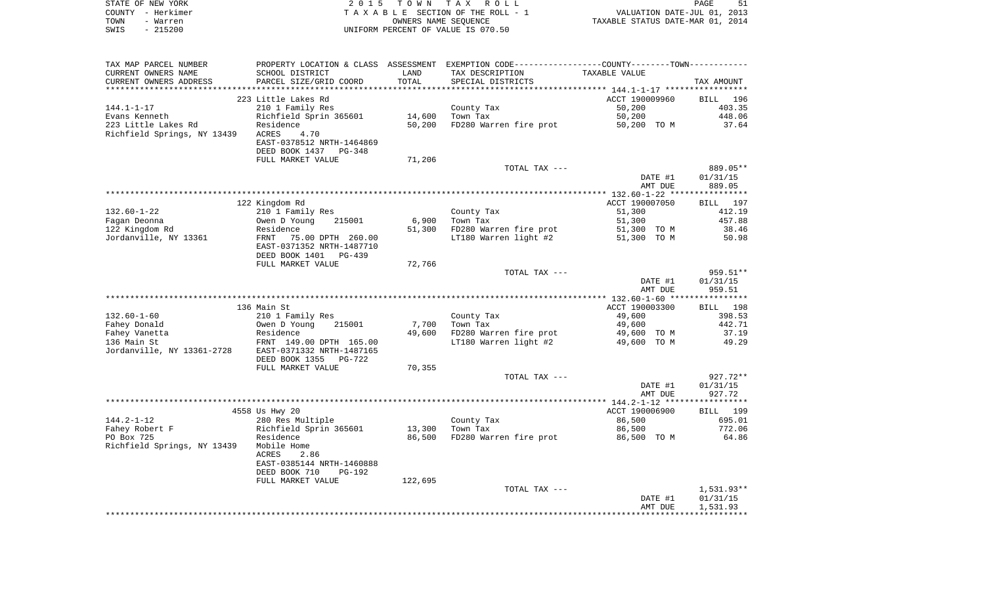|      | STATE OF NEW YORK | 2015 TOWN TAX ROLL                 | PAGE                             | 51 |
|------|-------------------|------------------------------------|----------------------------------|----|
|      | COUNTY - Herkimer | TAXABLE SECTION OF THE ROLL - 1    | VALUATION DATE-JUL 01, 2013      |    |
| TOWN | - Warren          | OWNERS NAME SEOUENCE               | TAXABLE STATUS DATE-MAR 01, 2014 |    |
| SWIS | $-215200$         | UNIFORM PERCENT OF VALUE IS 070.50 |                                  |    |
|      |                   |                                    |                                  |    |

| TAX MAP PARCEL NUMBER       |                                                      |         | PROPERTY LOCATION & CLASS ASSESSMENT EXEMPTION CODE---------------COUNTY-------TOWN---------- |                |                      |
|-----------------------------|------------------------------------------------------|---------|-----------------------------------------------------------------------------------------------|----------------|----------------------|
| CURRENT OWNERS NAME         | SCHOOL DISTRICT                                      | LAND    | TAX DESCRIPTION                                                                               | TAXABLE VALUE  |                      |
| CURRENT OWNERS ADDRESS      | PARCEL SIZE/GRID COORD                               | TOTAL   | SPECIAL DISTRICTS                                                                             |                | TAX AMOUNT           |
|                             |                                                      |         |                                                                                               |                |                      |
|                             | 223 Little Lakes Rd                                  |         |                                                                                               | ACCT 190009960 | 196<br><b>BILL</b>   |
| $144.1 - 1 - 17$            | 210 1 Family Res                                     |         | County Tax                                                                                    | 50,200         | 403.35               |
| Evans Kenneth               | Richfield Sprin 365601                               | 14,600  | Town Tax                                                                                      | 50,200         | 448.06               |
| 223 Little Lakes Rd         | Residence                                            | 50,200  | FD280 Warren fire prot                                                                        | 50,200 TO M    | 37.64                |
| Richfield Springs, NY 13439 | 4.70<br>ACRES                                        |         |                                                                                               |                |                      |
|                             | EAST-0378512 NRTH-1464869                            |         |                                                                                               |                |                      |
|                             | DEED BOOK 1437 PG-348                                |         |                                                                                               |                |                      |
|                             | FULL MARKET VALUE                                    | 71,206  | TOTAL TAX ---                                                                                 |                |                      |
|                             |                                                      |         |                                                                                               | DATE #1        | 889.05**<br>01/31/15 |
|                             |                                                      |         |                                                                                               | AMT DUE        | 889.05               |
|                             |                                                      |         |                                                                                               |                |                      |
|                             | 122 Kingdom Rd                                       |         |                                                                                               | ACCT 190007050 | BILL 197             |
| $132.60 - 1 - 22$           | 210 1 Family Res                                     |         | County Tax                                                                                    | 51,300         | 412.19               |
| Fagan Deonna                | Owen D Young<br>215001                               | 6,900   | Town Tax                                                                                      | 51,300         | 457.88               |
| 122 Kingdom Rd              | Residence                                            | 51,300  | FD280 Warren fire prot                                                                        | 51,300 TO M    | 38.46                |
| Jordanville, NY 13361       | FRNT<br>75.00 DPTH 260.00                            |         | LT180 Warren light #2                                                                         | 51,300 TO M    | 50.98                |
|                             | EAST-0371352 NRTH-1487710                            |         |                                                                                               |                |                      |
|                             | DEED BOOK 1401<br>PG-439                             |         |                                                                                               |                |                      |
|                             | FULL MARKET VALUE                                    | 72,766  |                                                                                               |                |                      |
|                             |                                                      |         | TOTAL TAX ---                                                                                 |                | 959.51**             |
|                             |                                                      |         |                                                                                               | DATE #1        | 01/31/15             |
|                             |                                                      |         |                                                                                               | AMT DUE        | 959.51               |
|                             |                                                      |         |                                                                                               |                |                      |
|                             | 136 Main St                                          |         |                                                                                               | ACCT 190003300 | 198<br>BILL          |
| $132.60 - 1 - 60$           | 210 1 Family Res                                     |         | County Tax                                                                                    | 49,600         | 398.53               |
| Fahey Donald                | Owen D Young<br>215001                               | 7,700   | Town Tax                                                                                      | 49,600         | 442.71               |
| Fahey Vanetta               | Residence                                            | 49,600  | FD280 Warren fire prot                                                                        | 49,600 TO M    | 37.19                |
| 136 Main St                 | FRNT 149.00 DPTH 165.00<br>EAST-0371332 NRTH-1487165 |         | LT180 Warren light #2                                                                         | 49,600 TO M    | 49.29                |
| Jordanville, NY 13361-2728  | DEED BOOK 1355<br>PG-722                             |         |                                                                                               |                |                      |
|                             | FULL MARKET VALUE                                    | 70,355  |                                                                                               |                |                      |
|                             |                                                      |         | TOTAL TAX ---                                                                                 |                | 927.72**             |
|                             |                                                      |         |                                                                                               | DATE #1        | 01/31/15             |
|                             |                                                      |         |                                                                                               | AMT DUE        | 927.72               |
|                             |                                                      |         |                                                                                               |                | ************         |
|                             | 4558 Us Hwy 20                                       |         |                                                                                               | ACCT 190006900 | 199<br>BILL          |
| $144.2 - 1 - 12$            | 280 Res Multiple                                     |         | County Tax                                                                                    | 86,500         | 695.01               |
| Fahey Robert F              | Richfield Sprin 365601                               | 13,300  | Town Tax                                                                                      | 86,500         | 772.06               |
| PO Box 725                  | Residence                                            | 86,500  | FD280 Warren fire prot                                                                        | 86,500 TO M    | 64.86                |
| Richfield Springs, NY 13439 | Mobile Home                                          |         |                                                                                               |                |                      |
|                             | 2.86<br>ACRES                                        |         |                                                                                               |                |                      |
|                             | EAST-0385144 NRTH-1460888                            |         |                                                                                               |                |                      |
|                             | DEED BOOK 710<br><b>PG-192</b>                       |         |                                                                                               |                |                      |
|                             | FULL MARKET VALUE                                    | 122,695 |                                                                                               |                |                      |
|                             |                                                      |         | TOTAL TAX ---                                                                                 |                | $1,531.93**$         |
|                             |                                                      |         |                                                                                               | DATE #1        | 01/31/15             |
|                             |                                                      |         |                                                                                               | AMT DUE        | 1,531.93             |
|                             |                                                      |         |                                                                                               |                |                      |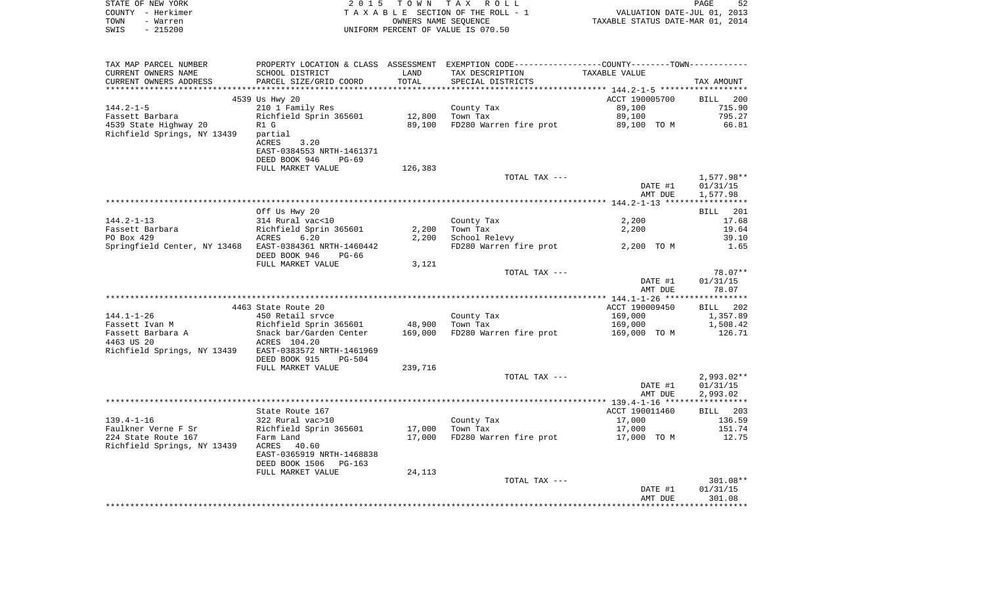| STATE OF NEW YORK<br>COUNTY - Herkimer<br>TOWN<br>- Warren<br>$-215200$<br>SWIS |                                                                      | OWNERS NAME SEQUENCE | 2015 TOWN TAX ROLL<br>TAXABLE SECTION OF THE ROLL - 1<br>UNIFORM PERCENT OF VALUE IS 070.50   | PAGE<br>52<br>VALUATION DATE-JUL 01, 2013<br>TAXABLE STATUS DATE-MAR 01, 2014 |                                    |  |
|---------------------------------------------------------------------------------|----------------------------------------------------------------------|----------------------|-----------------------------------------------------------------------------------------------|-------------------------------------------------------------------------------|------------------------------------|--|
| TAX MAP PARCEL NUMBER                                                           |                                                                      |                      | PROPERTY LOCATION & CLASS ASSESSMENT EXEMPTION CODE---------------COUNTY-------TOWN---------- |                                                                               |                                    |  |
| CURRENT OWNERS NAME<br>CURRENT OWNERS ADDRESS                                   | SCHOOL DISTRICT<br>PARCEL SIZE/GRID COORD                            | LAND<br>TOTAL        | TAX DESCRIPTION<br>SPECIAL DISTRICTS                                                          | TAXABLE VALUE                                                                 | TAX AMOUNT                         |  |
|                                                                                 | 4539 Us Hwy 20                                                       |                      |                                                                                               | ACCT 190005700                                                                | <b>BILL</b><br>200                 |  |
| $144.2 - 1 - 5$                                                                 | 210 1 Family Res                                                     |                      | County Tax                                                                                    | 89,100                                                                        | 715.90                             |  |
| Fassett Barbara                                                                 | Richfield Sprin 365601                                               | 12,800               | Town Tax                                                                                      | 89,100                                                                        | 795.27                             |  |
| 4539 State Highway 20<br>Richfield Springs, NY 13439                            | R1 G<br>partial<br>3.20<br>ACRES<br>EAST-0384553 NRTH-1461371        | 89,100               | FD280 Warren fire prot                                                                        | 89,100 TO M                                                                   | 66.81                              |  |
|                                                                                 | DEED BOOK 946<br>PG-69                                               |                      |                                                                                               |                                                                               |                                    |  |
|                                                                                 | FULL MARKET VALUE                                                    | 126,383              |                                                                                               |                                                                               |                                    |  |
|                                                                                 |                                                                      |                      | TOTAL TAX ---                                                                                 | DATE #1<br>AMT DUE                                                            | 1,577.98**<br>01/31/15<br>1,577.98 |  |
|                                                                                 |                                                                      |                      |                                                                                               |                                                                               |                                    |  |
|                                                                                 | Off Us Hwy 20                                                        |                      |                                                                                               |                                                                               | 201<br>BILL                        |  |
| $144.2 - 1 - 13$                                                                | 314 Rural vac<10                                                     |                      | County Tax                                                                                    | 2,200                                                                         | 17.68                              |  |
| Fassett Barbara<br>PO Box 429                                                   | Richfield Sprin 365601<br>6.20<br>ACRES                              | 2,200<br>2,200       | Town Tax                                                                                      | 2,200                                                                         | 19.64<br>39.10                     |  |
| Springfield Center, NY 13468                                                    | EAST-0384361 NRTH-1460442<br>DEED BOOK 946<br>PG-66                  |                      | School Relevy<br>FD280 Warren fire prot                                                       | 2,200 TO M                                                                    | 1.65                               |  |
|                                                                                 | FULL MARKET VALUE                                                    | 3,121                |                                                                                               |                                                                               |                                    |  |
|                                                                                 |                                                                      |                      | TOTAL TAX ---                                                                                 | DATE #1<br>AMT DUE                                                            | 78.07**<br>01/31/15<br>78.07       |  |
|                                                                                 |                                                                      |                      |                                                                                               |                                                                               |                                    |  |
|                                                                                 | 4463 State Route 20                                                  |                      |                                                                                               | ACCT 190009450                                                                | 202<br><b>BILL</b>                 |  |
| $144.1 - 1 - 26$                                                                | 450 Retail sryce                                                     |                      | County Tax                                                                                    | 169,000                                                                       | 1,357.89                           |  |
| Fassett Ivan M                                                                  | Richfield Sprin 365601                                               | 48,900               | Town Tax                                                                                      | 169,000                                                                       | 1,508.42                           |  |
| Fassett Barbara A<br>4463 US 20<br>Richfield Springs, NY 13439                  | Snack bar/Garden Center<br>ACRES 104.20<br>EAST-0383572 NRTH-1461969 | 169,000              | FD280 Warren fire prot                                                                        | 169,000 TO M                                                                  | 126.71                             |  |
|                                                                                 | DEED BOOK 915<br>$PG-504$                                            |                      |                                                                                               |                                                                               |                                    |  |
|                                                                                 | FULL MARKET VALUE                                                    | 239,716              |                                                                                               |                                                                               |                                    |  |
|                                                                                 |                                                                      |                      | TOTAL TAX ---                                                                                 |                                                                               | $2,993.02**$                       |  |

|                             |                           |        |                        | DATE #1        | 01/31/15    |
|-----------------------------|---------------------------|--------|------------------------|----------------|-------------|
|                             |                           |        |                        | AMT DUE        | 2,993.02    |
|                             |                           |        |                        |                |             |
|                             | State Route 167           |        |                        | ACCT 190011460 | 203<br>BILL |
| $139.4 - 1 - 16$            | 322 Rural vac>10          |        | County Tax             | 17,000         | 136.59      |
| Faulkner Verne F Sr         | Richfield Sprin 365601    | 17,000 | Town Tax               | 17,000         | 151.74      |
| 224 State Route 167         | Farm Land                 | 17,000 | FD280 Warren fire prot | 17,000<br>TO M | 12.75       |
| Richfield Springs, NY 13439 | 40.60<br>ACRES            |        |                        |                |             |
|                             | EAST-0365919 NRTH-1468838 |        |                        |                |             |
|                             | DEED BOOK 1506<br>PG-163  |        |                        |                |             |
|                             | FULL MARKET VALUE         | 24,113 |                        |                |             |
|                             |                           |        | TOTAL TAX ---          |                | 301.08**    |
|                             |                           |        |                        | DATE #1        | 01/31/15    |
|                             |                           |        |                        | AMT DUE        | 301.08      |
|                             |                           |        |                        |                |             |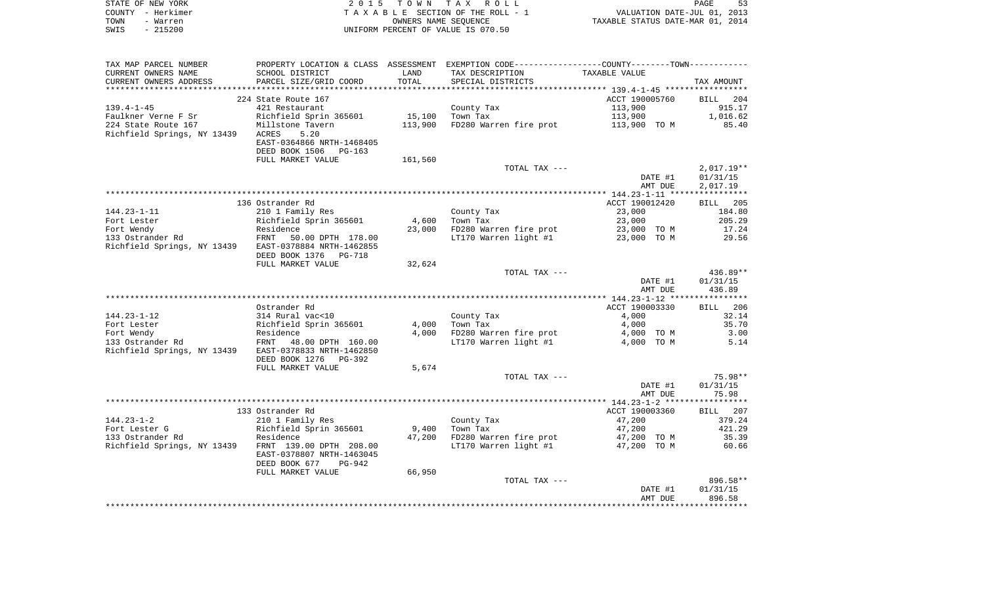| STATE OF NEW YORK | 2015 TOWN TAX ROLL                 | 53<br>PAGE                       |
|-------------------|------------------------------------|----------------------------------|
| COUNTY - Herkimer | TAXABLE SECTION OF THE ROLL - 1    | VALUATION DATE-JUL 01, 2013      |
| TOWN<br>- Warren  | OWNERS NAME SEOUENCE               | TAXABLE STATUS DATE-MAR 01, 2014 |
| - 215200<br>SWIS  | UNIFORM PERCENT OF VALUE IS 070.50 |                                  |

| TAX MAP PARCEL NUMBER       |                                                  |         | PROPERTY LOCATION & CLASS ASSESSMENT EXEMPTION CODE----------------COUNTY-------TOWN--------- |                |                 |
|-----------------------------|--------------------------------------------------|---------|-----------------------------------------------------------------------------------------------|----------------|-----------------|
| CURRENT OWNERS NAME         | SCHOOL DISTRICT                                  | LAND    | TAX DESCRIPTION                                                                               | TAXABLE VALUE  |                 |
| CURRENT OWNERS ADDRESS      | PARCEL SIZE/GRID COORD                           | TOTAL   | SPECIAL DISTRICTS                                                                             |                | TAX AMOUNT      |
|                             |                                                  |         |                                                                                               |                |                 |
|                             | 224 State Route 167                              |         |                                                                                               | ACCT 190005760 | BILL 204        |
| $139.4 - 1 - 45$            | 421 Restaurant                                   |         | County Tax                                                                                    | 113,900        | 915.17          |
|                             |                                                  |         |                                                                                               |                | 1,016.62        |
| Faulkner Verne F Sr         | Richfield Sprin 365601                           | 15,100  | Town Tax                                                                                      | 113,900        |                 |
| 224 State Route 167         | Millstone Tavern                                 | 113,900 | FD280 Warren fire prot 113,900 TO M                                                           |                | 85.40           |
| Richfield Springs, NY 13439 | ACRES<br>5.20                                    |         |                                                                                               |                |                 |
|                             | EAST-0364866 NRTH-1468405                        |         |                                                                                               |                |                 |
|                             | DEED BOOK 1506<br>$PG-163$                       |         |                                                                                               |                |                 |
|                             | FULL MARKET VALUE                                | 161,560 |                                                                                               |                |                 |
|                             |                                                  |         | TOTAL TAX ---                                                                                 |                | $2,017.19**$    |
|                             |                                                  |         |                                                                                               | DATE #1        | 01/31/15        |
|                             |                                                  |         |                                                                                               | AMT DUE        | 2,017.19        |
|                             |                                                  |         |                                                                                               |                |                 |
|                             | 136 Ostrander Rd                                 |         |                                                                                               | ACCT 190012420 | <b>BILL</b> 205 |
| $144.23 - 1 - 11$           |                                                  |         |                                                                                               | 23,000         |                 |
|                             | 210 1 Family Res                                 |         | County Tax                                                                                    |                | 184.80          |
| Fort Lester                 | Richfield Sprin 365601<br>Richfield<br>Residence | 4,600   | Town Tax                                                                                      | 23,000         | 205.29          |
| Fort Wendy                  |                                                  | 23,000  | FD280 Warren fire prot                                                                        | 23,000 TO M    | 17.24           |
| 133 Ostrander Rd            | FRNT 50.00 DPTH 178.00                           |         | LT170 Warren light #1                                                                         | 23,000 TO M    | 29.56           |
| Richfield Springs, NY 13439 | EAST-0378884 NRTH-1462855                        |         |                                                                                               |                |                 |
|                             | DEED BOOK 1376 PG-718                            |         |                                                                                               |                |                 |
|                             | FULL MARKET VALUE                                | 32,624  |                                                                                               |                |                 |
|                             |                                                  |         | TOTAL TAX ---                                                                                 |                | 436.89**        |
|                             |                                                  |         |                                                                                               | DATE #1        | 01/31/15        |
|                             |                                                  |         |                                                                                               | AMT DUE        | 436.89          |
|                             |                                                  |         |                                                                                               |                |                 |
|                             | Ostrander Rd                                     |         |                                                                                               | ACCT 190003330 | BILL 206        |
| $144.23 - 1 - 12$           | 314 Rural vac<10                                 |         | County Tax                                                                                    | 4,000          | 32.14           |
|                             |                                                  |         |                                                                                               |                |                 |
| Fort Lester                 | Richfield Sprin 365601                           | 4,000   | Town Tax                                                                                      | 4,000          | 35.70           |
| Fort Wendy                  | Residence                                        | 4,000   | FD280 Warren fire prot                                                                        | 4,000 TO M     | 3.00            |
| 133 Ostrander Rd            | FRNT 48.00 DPTH 160.00                           |         | LT170 Warren light #1                                                                         | 4,000 TO M     | 5.14            |
| Richfield Springs, NY 13439 | EAST-0378833 NRTH-1462850                        |         |                                                                                               |                |                 |
|                             | DEED BOOK 1276<br>PG-392                         |         |                                                                                               |                |                 |
|                             | FULL MARKET VALUE                                | 5,674   |                                                                                               |                |                 |
|                             |                                                  |         | TOTAL TAX ---                                                                                 |                | 75.98**         |
|                             |                                                  |         |                                                                                               | DATE #1        | 01/31/15        |
|                             |                                                  |         |                                                                                               | AMT DUE        | 75.98           |
|                             |                                                  |         |                                                                                               |                |                 |
|                             | 133 Ostrander Rd                                 |         |                                                                                               | ACCT 190003360 | BILL 207        |
| $144.23 - 1 - 2$            | 210 1 Family Res                                 |         | County Tax                                                                                    | 47,200         | 379.24          |
| Fort Lester G               | Richfield Sprin 365601                           | 9,400   | Town Tax                                                                                      | 47,200         | 421.29          |
|                             |                                                  |         |                                                                                               |                |                 |
| 133 Ostrander Rd            | Residence                                        | 47,200  | FD280 Warren fire prot<br>LT170 Warren light #1                                               | 47,200 TO M    | 35.39           |
| Richfield Springs, NY 13439 | FRNT 139.00 DPTH 208.00                          |         |                                                                                               | 47,200 TO M    | 60.66           |
|                             | EAST-0378807 NRTH-1463045                        |         |                                                                                               |                |                 |
|                             | DEED BOOK 677<br>PG-942                          |         |                                                                                               |                |                 |
|                             | FULL MARKET VALUE                                | 66,950  |                                                                                               |                |                 |
|                             |                                                  |         | TOTAL TAX ---                                                                                 |                | 896.58**        |
|                             |                                                  |         |                                                                                               | DATE #1        | 01/31/15        |
|                             |                                                  |         |                                                                                               | AMT DUE        | 896.58          |
|                             |                                                  |         |                                                                                               |                |                 |
|                             |                                                  |         |                                                                                               |                |                 |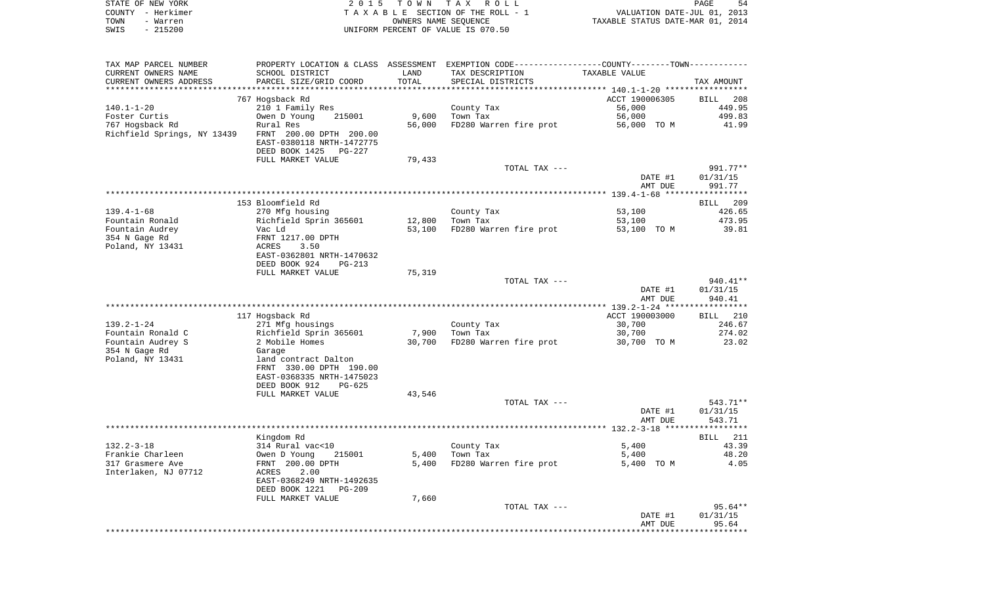| STATE OF NEW YORK | 2015 TOWN TAX ROLL                 | 54<br>PAGE                       |
|-------------------|------------------------------------|----------------------------------|
| COUNTY - Herkimer | TAXABLE SECTION OF THE ROLL - 1    | VALUATION DATE-JUL 01, 2013      |
| TOWN<br>- Warren  | OWNERS NAME SEOUENCE               | TAXABLE STATUS DATE-MAR 01, 2014 |
| - 215200<br>SWIS  | UNIFORM PERCENT OF VALUE IS 070.50 |                                  |

| TAX MAP PARCEL NUMBER                                  |                                                       |               | PROPERTY LOCATION & CLASS ASSESSMENT EXEMPTION CODE----------------COUNTY-------TOWN---------- |                |                      |
|--------------------------------------------------------|-------------------------------------------------------|---------------|------------------------------------------------------------------------------------------------|----------------|----------------------|
| CURRENT OWNERS NAME<br>CURRENT OWNERS ADDRESS          | SCHOOL DISTRICT<br>PARCEL SIZE/GRID COORD             | LAND<br>TOTAL | TAX DESCRIPTION<br>SPECIAL DISTRICTS                                                           | TAXABLE VALUE  | TAX AMOUNT           |
|                                                        |                                                       |               |                                                                                                |                |                      |
|                                                        | 767 Hogsback Rd                                       |               |                                                                                                | ACCT 190006305 | BILL 208             |
| 140.1-1-20                                             | 210 1 Family Res                                      |               | County Tax                                                                                     | 56,000         | 449.95               |
| Foster Curtis                                          | Owen D Young<br>215001                                | 9,600         | Town Tax                                                                                       | 56,000         | 499.83               |
| 767 Hogsback Rd                                        | Rural Res                                             | 56,000        | FD280 Warren fire prot                                                                         | 56,000 TO M    | 41.99                |
| Richfield Springs, NY 13439    FRNT 200.00 DPTH 200.00 | EAST-0380118 NRTH-1472775<br>DEED BOOK 1425<br>PG-227 |               |                                                                                                |                |                      |
|                                                        | FULL MARKET VALUE                                     | 79,433        |                                                                                                |                |                      |
|                                                        |                                                       |               | TOTAL TAX ---                                                                                  | DATE #1        | 991.77**<br>01/31/15 |
|                                                        |                                                       |               |                                                                                                | AMT DUE        | 991.77               |
|                                                        |                                                       |               |                                                                                                |                |                      |
|                                                        | 153 Bloomfield Rd                                     |               |                                                                                                |                | BILL<br>209          |
| 139.4–1–68                                             | 270 Mfg housing                                       |               | County Tax                                                                                     | 53,100         | 426.65               |
| Fountain Ronald                                        | Richfield Sprin 365601                                | 12,800        | Town Tax                                                                                       | 53,100         | 473.95               |
| Fountain Audrey                                        | Vac Ld                                                | 53,100        | FD280 Warren fire prot                                                                         | 53,100 TO M    | 39.81                |
| 354 N Gage Rd                                          | FRNT 1217.00 DPTH                                     |               |                                                                                                |                |                      |
| Poland, NY 13431                                       | ACRES<br>3.50                                         |               |                                                                                                |                |                      |
|                                                        | EAST-0362801 NRTH-1470632                             |               |                                                                                                |                |                      |
|                                                        | DEED BOOK 924<br>$PG-213$                             |               |                                                                                                |                |                      |
|                                                        | FULL MARKET VALUE                                     | 75,319        |                                                                                                |                |                      |
|                                                        |                                                       |               | TOTAL TAX ---                                                                                  |                | 940.41**             |
|                                                        |                                                       |               |                                                                                                | DATE #1        | 01/31/15             |
|                                                        |                                                       |               |                                                                                                | AMT DUE        | 940.41               |
|                                                        |                                                       |               |                                                                                                |                |                      |
|                                                        | 117 Hogsback Rd                                       |               |                                                                                                | ACCT 190003000 | BILL 210             |
| $139.2 - 1 - 24$                                       | 271 Mfg housings                                      |               | County Tax                                                                                     | 30,700         | 246.67               |
| Fountain Ronald C                                      | Richfield Sprin 365601                                | 7,900         | Town Tax                                                                                       | 30,700         | 274.02               |
| Fountain Audrey S                                      | 2 Mobile Homes                                        | 30,700        | FD280 Warren fire prot                                                                         | 30,700 TO M    | 23.02                |
| 354 N Gage Rd                                          | Garage                                                |               |                                                                                                |                |                      |
| Poland, NY 13431                                       | land contract Dalton                                  |               |                                                                                                |                |                      |
|                                                        | FRNT 330.00 DPTH 190.00                               |               |                                                                                                |                |                      |
|                                                        | EAST-0368335 NRTH-1475023                             |               |                                                                                                |                |                      |
|                                                        | DEED BOOK 912<br>$PG-625$                             |               |                                                                                                |                |                      |
|                                                        | FULL MARKET VALUE                                     | 43,546        |                                                                                                |                |                      |
|                                                        |                                                       |               | TOTAL TAX ---                                                                                  |                | 543.71**             |
|                                                        |                                                       |               |                                                                                                | DATE #1        | 01/31/15             |
|                                                        |                                                       |               |                                                                                                | AMT DUE        | 543.71               |
|                                                        |                                                       |               |                                                                                                |                |                      |
|                                                        | Kingdom Rd                                            |               |                                                                                                |                | 211<br>BILL          |
| $132.2 - 3 - 18$                                       | 314 Rural vac<10                                      |               | County Tax                                                                                     | 5,400          | 43.39                |
| Frankie Charleen                                       | Owen D Young<br>215001                                | 5,400         | Town Tax                                                                                       | 5,400          | 48.20                |
| 317 Grasmere Ave                                       | FRNT 200.00 DPTH                                      | 5,400         | FD280 Warren fire prot                                                                         | 5,400 TO M     | 4.05                 |
| Interlaken, NJ 07712                                   | 2.00<br>ACRES                                         |               |                                                                                                |                |                      |
|                                                        | EAST-0368249 NRTH-1492635                             |               |                                                                                                |                |                      |
|                                                        | DEED BOOK 1221<br>$PG-209$                            |               |                                                                                                |                |                      |
|                                                        | FULL MARKET VALUE                                     | 7,660         |                                                                                                |                |                      |
|                                                        |                                                       |               | TOTAL TAX ---                                                                                  |                | 95.64**              |
|                                                        |                                                       |               |                                                                                                | DATE #1        | 01/31/15             |
|                                                        |                                                       |               |                                                                                                | AMT DUE        | 95.64                |
|                                                        |                                                       |               |                                                                                                |                |                      |
|                                                        |                                                       |               |                                                                                                |                |                      |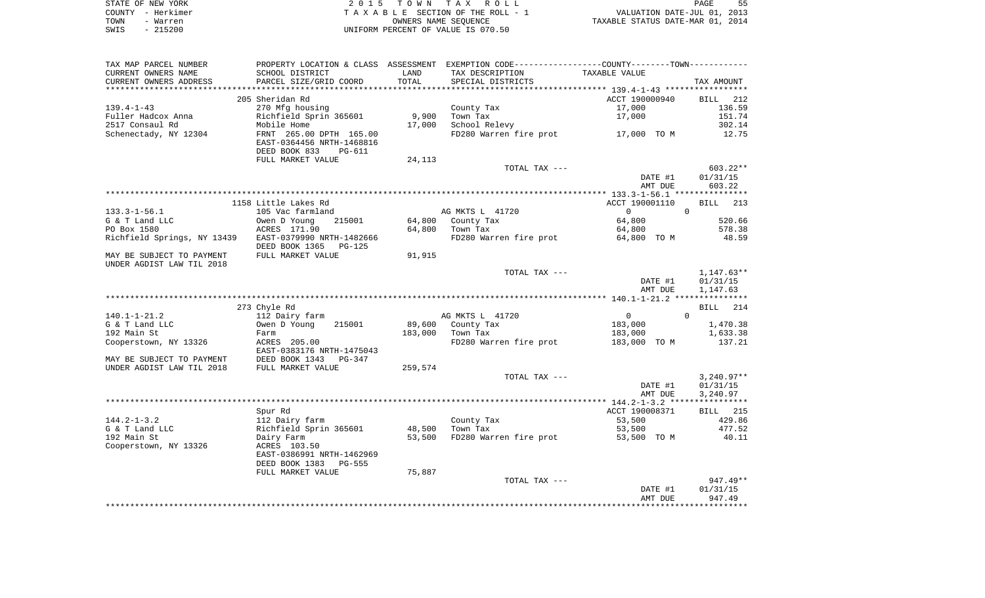| STATE OF NEW YORK | 2015 TOWN TAX ROLL                 | 55<br>PAGE                       |
|-------------------|------------------------------------|----------------------------------|
| COUNTY - Herkimer | TAXABLE SECTION OF THE ROLL - 1    | VALUATION DATE-JUL 01, 2013      |
| TOWN<br>- Warren  | OWNERS NAME SEOUENCE               | TAXABLE STATUS DATE-MAR 01, 2014 |
| SWIS<br>$-215200$ | UNIFORM PERCENT OF VALUE IS 070.50 |                                  |

| TAX MAP PARCEL NUMBER                                 |                           |         |                        | PROPERTY LOCATION & CLASS ASSESSMENT EXEMPTION CODE---------------COUNTY-------TOWN---------- |              |
|-------------------------------------------------------|---------------------------|---------|------------------------|-----------------------------------------------------------------------------------------------|--------------|
| CURRENT OWNERS NAME                                   | SCHOOL DISTRICT           | LAND    | TAX DESCRIPTION        | TAXABLE VALUE                                                                                 |              |
| CURRENT OWNERS ADDRESS                                | PARCEL SIZE/GRID COORD    | TOTAL   | SPECIAL DISTRICTS      |                                                                                               | TAX AMOUNT   |
|                                                       |                           |         |                        |                                                                                               |              |
|                                                       | 205 Sheridan Rd           |         |                        | ACCT 190000940                                                                                | BILL 212     |
| $139.4 - 1 - 43$                                      | 270 Mfg housing           |         | County Tax             | 17,000                                                                                        | 136.59       |
| Fuller Hadcox Anna                                    | Richfield Sprin 365601    | 9,900   | Town Tax               | 17,000                                                                                        | 151.74       |
| 2517 Consaul Rd                                       | Mobile Home               | 17,000  | School Relevy          |                                                                                               | 302.14       |
| Schenectady, NY 12304                                 | FRNT 265.00 DPTH 165.00   |         |                        | FD280 Warren fire prot 17,000 TO M                                                            | 12.75        |
|                                                       | EAST-0364456 NRTH-1468816 |         |                        |                                                                                               |              |
|                                                       | DEED BOOK 833<br>PG-611   |         |                        |                                                                                               |              |
|                                                       | FULL MARKET VALUE         | 24,113  |                        |                                                                                               |              |
|                                                       |                           |         | TOTAL TAX ---          |                                                                                               | $603.22**$   |
|                                                       |                           |         |                        | DATE #1                                                                                       | 01/31/15     |
|                                                       |                           |         |                        | AMT DUE                                                                                       | 603.22       |
|                                                       |                           |         |                        |                                                                                               |              |
|                                                       | 1158 Little Lakes Rd      |         |                        | ACCT 190001110                                                                                | BILL 213     |
| $133.3 - 1 - 56.1$                                    | 105 Vac farmland          |         | AG MKTS L 41720        | $\overline{0}$                                                                                | $\Omega$     |
| G & T Land LLC                                        | 215001<br>Owen D Young    |         | 64,800 County Tax      | 64,800                                                                                        | 520.66       |
| PO Box 1580                                           | ACRES 171.90              |         | 64,800 Town Tax        | 64,800                                                                                        | 578.38       |
| Richfield Springs, NY 13439 EAST-0379990 NRTH-1482666 |                           |         | FD280 Warren fire prot | 64,800 TO M                                                                                   | 48.59        |
|                                                       | DEED BOOK 1365 PG-125     |         |                        |                                                                                               |              |
| MAY BE SUBJECT TO PAYMENT                             | FULL MARKET VALUE         | 91,915  |                        |                                                                                               |              |
| UNDER AGDIST LAW TIL 2018                             |                           |         |                        |                                                                                               |              |
|                                                       |                           |         | TOTAL TAX ---          |                                                                                               | 1,147.63**   |
|                                                       |                           |         |                        | DATE #1                                                                                       | 01/31/15     |
|                                                       |                           |         |                        | AMT DUE                                                                                       | 1,147.63     |
|                                                       |                           |         |                        |                                                                                               |              |
|                                                       | 273 Chyle Rd              |         |                        |                                                                                               | BILL 214     |
| 140.1-1-21.2                                          | 112 Dairy farm            |         | AG MKTS L 41720        | $\overline{0}$                                                                                | $\Omega$     |
| G & T Land LLC                                        | Owen D Young<br>215001    | 89,600  | County Tax             | 183,000                                                                                       | 1,470.38     |
| 192 Main St                                           | Farm                      | 183,000 | Town Tax               | 183,000                                                                                       | 1,633.38     |
| Cooperstown, NY 13326                                 | ACRES 205.00              |         | FD280 Warren fire prot | 183,000 TO M                                                                                  | 137.21       |
|                                                       | EAST-0383176 NRTH-1475043 |         |                        |                                                                                               |              |
| MAY BE SUBJECT TO PAYMENT                             | DEED BOOK 1343<br>PG-347  |         |                        |                                                                                               |              |
| UNDER AGDIST LAW TIL 2018                             | FULL MARKET VALUE         | 259,574 |                        |                                                                                               |              |
|                                                       |                           |         | TOTAL TAX ---          |                                                                                               | $3,240.97**$ |
|                                                       |                           |         |                        | DATE #1                                                                                       | 01/31/15     |
|                                                       |                           |         |                        | AMT DUE                                                                                       | 3,240.97     |
|                                                       |                           |         |                        |                                                                                               |              |
|                                                       | Spur Rd                   |         |                        | ACCT 190008371                                                                                | BILL 215     |
| $144.2 - 1 - 3.2$                                     | 112 Dairy farm            |         | County Tax             | 53,500                                                                                        | 429.86       |
| G & T Land LLC                                        | Richfield Sprin 365601    | 48,500  | Town Tax               | 53,500                                                                                        | 477.52       |
| 192 Main St                                           | Dairy Farm                | 53,500  | FD280 Warren fire prot | 53,500 TO M                                                                                   | 40.11        |
| Cooperstown, NY 13326                                 | ACRES 103.50              |         |                        |                                                                                               |              |
|                                                       | EAST-0386991 NRTH-1462969 |         |                        |                                                                                               |              |
|                                                       | DEED BOOK 1383 PG-555     |         |                        |                                                                                               |              |
|                                                       | FULL MARKET VALUE         | 75,887  |                        |                                                                                               |              |
|                                                       |                           |         | TOTAL TAX ---          |                                                                                               | $947.49**$   |
|                                                       |                           |         |                        | DATE #1                                                                                       | 01/31/15     |
|                                                       |                           |         |                        | AMT DUE                                                                                       | 947.49       |
|                                                       |                           |         |                        |                                                                                               |              |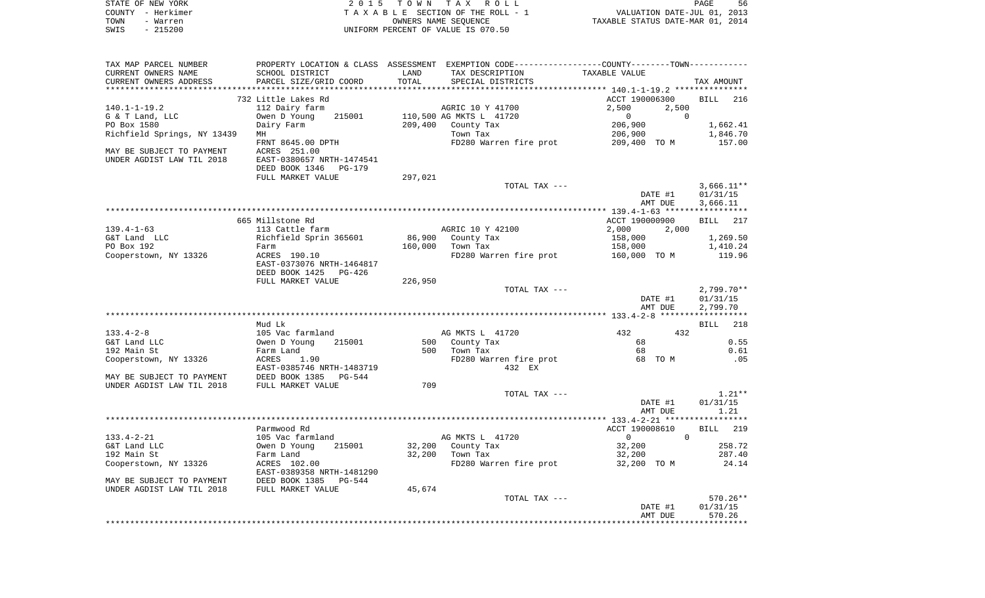| STATE OF NEW YORK<br>COUNTY - Herkimer<br>TOWN<br>- Warren<br>$-215200$<br>SWIS |                                           |         | 2015 TOWN TAX ROLL<br>TAXABLE SECTION OF THE ROLL - 1<br>OWNERS NAME SEQUENCE<br>UNIFORM PERCENT OF VALUE IS 070.50 | VALUATION DATE-JUL 01, 2013<br>TAXABLE STATUS DATE-MAR 01, 2014 | PAGE<br>56           |
|---------------------------------------------------------------------------------|-------------------------------------------|---------|---------------------------------------------------------------------------------------------------------------------|-----------------------------------------------------------------|----------------------|
|                                                                                 |                                           |         |                                                                                                                     |                                                                 |                      |
| TAX MAP PARCEL NUMBER<br>CURRENT OWNERS NAME                                    | SCHOOL DISTRICT                           | LAND    | PROPERTY LOCATION & CLASS ASSESSMENT EXEMPTION CODE---------------COUNTY-------TOWN----------<br>TAX DESCRIPTION    | TAXABLE VALUE                                                   |                      |
| CURRENT OWNERS ADDRESS                                                          | PARCEL SIZE/GRID COORD                    | TOTAL   | SPECIAL DISTRICTS                                                                                                   |                                                                 | TAX AMOUNT           |
| *************************                                                       |                                           |         |                                                                                                                     |                                                                 |                      |
|                                                                                 | 732 Little Lakes Rd                       |         |                                                                                                                     | ACCT 190006300                                                  | BILL<br>216          |
| $140.1 - 1 - 19.2$                                                              | 112 Dairy farm                            |         | AGRIC 10 Y 41700                                                                                                    | 2,500<br>2,500                                                  |                      |
| G & T Land, LLC                                                                 | Owen D Young<br>215001                    |         | 110,500 AG MKTS L 41720                                                                                             | 0                                                               | 0                    |
| PO Box 1580                                                                     | Dairy Farm                                | 209,400 | County Tax                                                                                                          | 206,900                                                         | 1,662.41             |
| Richfield Springs, NY 13439                                                     | MH                                        |         | Town Tax                                                                                                            | 206,900                                                         | 1,846.70             |
|                                                                                 | FRNT 8645.00 DPTH                         |         | FD280 Warren fire prot                                                                                              | 209,400 TO M                                                    | 157.00               |
| MAY BE SUBJECT TO PAYMENT<br>UNDER AGDIST LAW TIL 2018                          | ACRES 251.00<br>EAST-0380657 NRTH-1474541 |         |                                                                                                                     |                                                                 |                      |
|                                                                                 | DEED BOOK 1346 PG-179                     |         |                                                                                                                     |                                                                 |                      |
|                                                                                 | FULL MARKET VALUE                         | 297,021 |                                                                                                                     |                                                                 |                      |
|                                                                                 |                                           |         | TOTAL TAX ---                                                                                                       |                                                                 | $3,666.11**$         |
|                                                                                 |                                           |         |                                                                                                                     | DATE #1                                                         | 01/31/15             |
|                                                                                 |                                           |         |                                                                                                                     | AMT DUE                                                         | 3,666.11             |
|                                                                                 |                                           |         |                                                                                                                     |                                                                 |                      |
|                                                                                 | 665 Millstone Rd                          |         |                                                                                                                     | ACCT 190000900                                                  | 217<br>BILL          |
| $139.4 - 1 - 63$                                                                | 113 Cattle farm                           |         | AGRIC 10 Y 42100                                                                                                    | 2,000<br>2,000                                                  |                      |
| G&T Land LLC<br>PO Box 192                                                      | Richfield Sprin 365601<br>Farm            | 160,000 | 86,900 County Tax<br>Town Tax                                                                                       | 158,000<br>158,000                                              | 1,269.50<br>1,410.24 |
| Cooperstown, NY 13326                                                           | ACRES 190.10                              |         | FD280 Warren fire prot                                                                                              | 160,000 TO M                                                    | 119.96               |
|                                                                                 | EAST-0373076 NRTH-1464817                 |         |                                                                                                                     |                                                                 |                      |
|                                                                                 | DEED BOOK 1425<br>PG-426                  |         |                                                                                                                     |                                                                 |                      |
|                                                                                 | FULL MARKET VALUE                         | 226,950 |                                                                                                                     |                                                                 |                      |
|                                                                                 |                                           |         | TOTAL TAX ---                                                                                                       |                                                                 | $2,799.70**$         |
|                                                                                 |                                           |         |                                                                                                                     | DATE #1                                                         | 01/31/15             |
|                                                                                 |                                           |         |                                                                                                                     | AMT DUE                                                         | 2,799.70             |
|                                                                                 | Mud Lk                                    |         |                                                                                                                     |                                                                 | 218<br>BILL          |
| $133.4 - 2 - 8$                                                                 | 105 Vac farmland                          |         | AG MKTS L 41720                                                                                                     | 432<br>432                                                      |                      |
| G&T Land LLC                                                                    | 215001<br>Owen D Young                    |         | 500 County Tax                                                                                                      | 68                                                              | 0.55                 |
| 192 Main St                                                                     | Farm Land                                 | 500     | Town Tax                                                                                                            | 68                                                              | 0.61                 |
| Cooperstown, NY 13326                                                           | ACRES<br>1.90                             |         | FD280 Warren fire prot                                                                                              | 68 TO M                                                         | .05                  |
|                                                                                 | EAST-0385746 NRTH-1483719                 |         | 432 EX                                                                                                              |                                                                 |                      |
| MAY BE SUBJECT TO PAYMENT                                                       | DEED BOOK 1385 PG-544                     |         |                                                                                                                     |                                                                 |                      |
| UNDER AGDIST LAW TIL 2018                                                       | FULL MARKET VALUE                         | 709     |                                                                                                                     |                                                                 |                      |
|                                                                                 |                                           |         | TOTAL TAX ---                                                                                                       |                                                                 | $1.21**$             |
|                                                                                 |                                           |         |                                                                                                                     | DATE #1<br>AMT DUE                                              | 01/31/15<br>1.21     |
|                                                                                 |                                           |         |                                                                                                                     |                                                                 |                      |
|                                                                                 | Parmwood Rd                               |         |                                                                                                                     | ACCT 190008610                                                  | 219<br>BILL          |
| $133.4 - 2 - 21$                                                                | 105 Vac farmland                          |         | AG MKTS L 41720                                                                                                     | $\begin{matrix} 0 & 0 \end{matrix}$                             |                      |
| G&T Land LLC                                                                    | Owen D Young<br>215001                    |         | 32,200 County Tax                                                                                                   | 32,200                                                          | 258.72               |
| 192 Main St                                                                     | Farm Land                                 | 32,200  | Town Tax                                                                                                            | 32,200                                                          | 287.40               |
| Cooperstown, NY 13326                                                           | ACRES 102.00                              |         | FD280 Warren fire prot                                                                                              | 32,200 TO M                                                     | 24.14                |
|                                                                                 | EAST-0389358 NRTH-1481290                 |         |                                                                                                                     |                                                                 |                      |
| MAY BE SUBJECT TO PAYMENT                                                       | DEED BOOK 1385 PG-544                     |         |                                                                                                                     |                                                                 |                      |
| UNDER AGDIST LAW TIL 2018                                                       | FULL MARKET VALUE                         | 45,674  | TOTAL TAX ---                                                                                                       |                                                                 | $570.26**$           |
|                                                                                 |                                           |         |                                                                                                                     | DATE #1                                                         | 01/31/15             |
|                                                                                 |                                           |         |                                                                                                                     | AMT DUE                                                         | 570.26               |
|                                                                                 |                                           |         |                                                                                                                     |                                                                 |                      |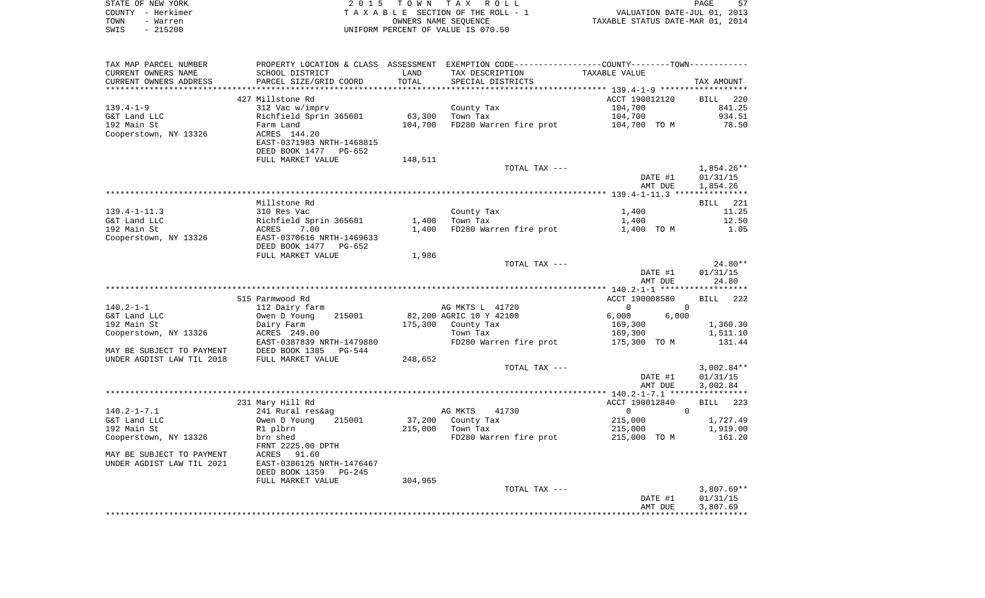| STATE OF NEW YORK | 2015 TOWN TAX ROLL                 | 57<br>PAGE                       |
|-------------------|------------------------------------|----------------------------------|
| COUNTY - Herkimer | TAXABLE SECTION OF THE ROLL - 1    | VALUATION DATE-JUL 01, 2013      |
| TOWN<br>- Warren  | OWNERS NAME SEOUENCE               | TAXABLE STATUS DATE-MAR 01, 2014 |
| $-215200$<br>SWIS | UNIFORM PERCENT OF VALUE IS 070.50 |                                  |

| TAX MAP PARCEL NUMBER     |                            |                | PROPERTY LOCATION & CLASS ASSESSMENT EXEMPTION CODE----------------COUNTY--------TOWN---------- |                                                   |                    |
|---------------------------|----------------------------|----------------|-------------------------------------------------------------------------------------------------|---------------------------------------------------|--------------------|
| CURRENT OWNERS NAME       | SCHOOL DISTRICT            | LAND           | TAX DESCRIPTION                                                                                 | TAXABLE VALUE                                     |                    |
| CURRENT OWNERS ADDRESS    | PARCEL SIZE/GRID COORD     | TOTAL          | SPECIAL DISTRICTS                                                                               |                                                   | TAX AMOUNT         |
|                           |                            | ************** |                                                                                                 | ******************** 139.4-1-9 ****************** |                    |
|                           | 427 Millstone Rd           |                |                                                                                                 | ACCT 190012120                                    | BILL 220           |
| $139.4 - 1 - 9$           | 312 Vac w/imprv            |                | County Tax                                                                                      | 104,700                                           | 841.25             |
| G&T Land LLC              | Richfield Sprin 365601     | 63,300         | Town Tax                                                                                        | 104,700                                           | 934.51             |
| 192 Main St               | Farm Land                  | 104,700        | FD280 Warren fire prot                                                                          | 104,700 TO M                                      | 78.50              |
| Cooperstown, NY 13326     | ACRES 144.20               |                |                                                                                                 |                                                   |                    |
|                           | EAST-0371983 NRTH-1468815  |                |                                                                                                 |                                                   |                    |
|                           | DEED BOOK 1477<br>$PG-652$ |                |                                                                                                 |                                                   |                    |
|                           | FULL MARKET VALUE          | 148,511        |                                                                                                 |                                                   |                    |
|                           |                            |                | TOTAL TAX ---                                                                                   |                                                   | $1,854.26**$       |
|                           |                            |                |                                                                                                 | DATE #1                                           | 01/31/15           |
|                           |                            |                |                                                                                                 |                                                   |                    |
|                           |                            |                |                                                                                                 | AMT DUE                                           | 1,854.26           |
|                           |                            |                |                                                                                                 |                                                   |                    |
|                           | Millstone Rd               |                |                                                                                                 |                                                   | BILL 221           |
| $139.4 - 1 - 11.3$        | 310 Res Vac                |                | County Tax                                                                                      | 1,400                                             | 11.25              |
| G&T Land LLC              | Richfield Sprin 365601     | 1,400          | Town Tax                                                                                        | 1,400                                             | 12.50              |
| 192 Main St               | 7.00<br>ACRES              | 1,400          | FD280 Warren fire prot                                                                          | 1,400 TO M                                        | 1.05               |
| Cooperstown, NY 13326     | EAST-0370616 NRTH-1469633  |                |                                                                                                 |                                                   |                    |
|                           | DEED BOOK 1477<br>PG-652   |                |                                                                                                 |                                                   |                    |
|                           | FULL MARKET VALUE          | 1,986          |                                                                                                 |                                                   |                    |
|                           |                            |                | TOTAL TAX ---                                                                                   |                                                   | $24.80**$          |
|                           |                            |                |                                                                                                 | DATE #1                                           | 01/31/15           |
|                           |                            |                |                                                                                                 | AMT DUE                                           | 24.80              |
|                           |                            |                |                                                                                                 |                                                   |                    |
|                           | 515 Parmwood Rd            |                |                                                                                                 | ACCT 190008580                                    | <b>BILL</b><br>222 |
| $140.2 - 1 - 1$           | 112 Dairy farm             |                | AG MKTS L 41720                                                                                 | $\mathbf{0}$                                      | $\Omega$           |
| G&T Land LLC              | Owen D Young<br>215001     |                | 82,200 AGRIC 10 Y 42100                                                                         | 6,000<br>6,000                                    |                    |
| 192 Main St               | Dairy Farm                 | 175,300        | County Tax                                                                                      | 169,300                                           | 1,360.30           |
| Cooperstown, NY 13326     | ACRES 249.00               |                | Town Tax                                                                                        | 169,300                                           | 1,511.10           |
|                           | EAST-0387839 NRTH-1479880  |                | FD280 Warren fire prot                                                                          | 175,300 TO M                                      | 131.44             |
| MAY BE SUBJECT TO PAYMENT | DEED BOOK 1385<br>PG-544   |                |                                                                                                 |                                                   |                    |
| UNDER AGDIST LAW TIL 2018 | FULL MARKET VALUE          | 248,652        |                                                                                                 |                                                   |                    |
|                           |                            |                | TOTAL TAX ---                                                                                   |                                                   | $3,002.84**$       |
|                           |                            |                |                                                                                                 | DATE #1                                           | 01/31/15           |
|                           |                            |                |                                                                                                 | AMT DUE                                           | 3,002.84           |
|                           |                            |                |                                                                                                 |                                                   |                    |
|                           | 231 Mary Hill Rd           |                |                                                                                                 | ACCT 190012840                                    | 223<br>BILL        |
| $140.2 - 1 - 7.1$         | 241 Rural res&ag           |                | 41730<br>AG MKTS                                                                                | 0                                                 | $\Omega$           |
| G&T Land LLC              | 215001<br>Owen D Young     | 37,200         | County Tax                                                                                      | 215,000                                           | 1,727.49           |
| 192 Main St               | R1 plbrn                   | 215,000        | Town Tax                                                                                        | 215,000                                           | 1,919.00           |
|                           | brn shed                   |                |                                                                                                 | 215,000 TO M                                      | 161.20             |
| Cooperstown, NY 13326     |                            |                | FD280 Warren fire prot                                                                          |                                                   |                    |
|                           | FRNT 2225.00 DPTH<br>91.60 |                |                                                                                                 |                                                   |                    |
| MAY BE SUBJECT TO PAYMENT | ACRES                      |                |                                                                                                 |                                                   |                    |
| UNDER AGDIST LAW TIL 2021 | EAST-0386125 NRTH-1476467  |                |                                                                                                 |                                                   |                    |
|                           | DEED BOOK 1359<br>PG-245   |                |                                                                                                 |                                                   |                    |
|                           | FULL MARKET VALUE          | 304,965        |                                                                                                 |                                                   |                    |
|                           |                            |                | TOTAL TAX ---                                                                                   |                                                   | $3,807.69**$       |
|                           |                            |                |                                                                                                 | DATE #1                                           | 01/31/15           |
|                           |                            |                |                                                                                                 | AMT DUE                                           | 3,807.69           |
|                           |                            |                |                                                                                                 |                                                   |                    |
|                           |                            |                |                                                                                                 |                                                   |                    |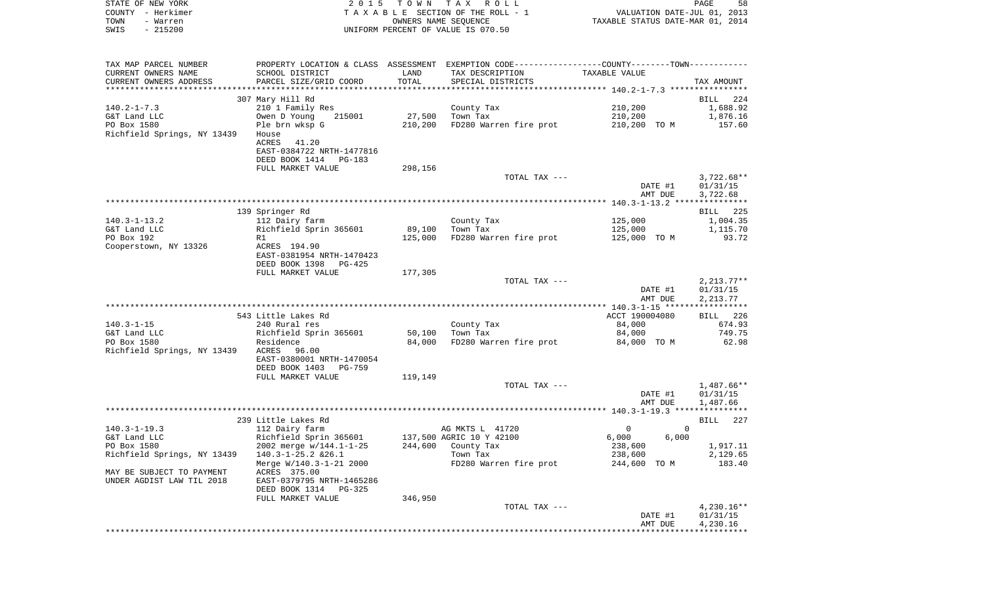| STATE OF NEW YORK<br>COUNTY - Herkimer           |                                                   |                      | 2015 TOWN TAX ROLL<br>TAXABLE SECTION OF THE ROLL - 1                                         | VALUATION DATE-JUL 01, 2013      | PAGE<br>58              |
|--------------------------------------------------|---------------------------------------------------|----------------------|-----------------------------------------------------------------------------------------------|----------------------------------|-------------------------|
| TOWN<br>- Warren                                 |                                                   | OWNERS NAME SEOUENCE |                                                                                               | TAXABLE STATUS DATE-MAR 01, 2014 |                         |
| SWIS<br>$-215200$                                |                                                   |                      | UNIFORM PERCENT OF VALUE IS 070.50                                                            |                                  |                         |
|                                                  |                                                   |                      |                                                                                               |                                  |                         |
| TAX MAP PARCEL NUMBER                            |                                                   |                      | PROPERTY LOCATION & CLASS ASSESSMENT EXEMPTION CODE---------------COUNTY-------TOWN---------- |                                  |                         |
| CURRENT OWNERS NAME                              | SCHOOL DISTRICT                                   | LAND                 | TAX DESCRIPTION                                                                               | TAXABLE VALUE                    |                         |
| CURRENT OWNERS ADDRESS<br>********************** | PARCEL SIZE/GRID COORD                            | TOTAL                | SPECIAL DISTRICTS                                                                             |                                  | TAX AMOUNT              |
|                                                  | 307 Mary Hill Rd                                  |                      |                                                                                               |                                  | BILL 224                |
| $140.2 - 1 - 7.3$                                | 210 1 Family Res                                  |                      | County Tax                                                                                    | 210,200                          | 1,688.92                |
| G&T Land LLC                                     | Owen D Young<br>215001                            | 27,500               | Town Tax                                                                                      | 210,200                          | 1,876.16                |
| PO Box 1580                                      | Ple brn wksp G                                    | 210,200              | FD280 Warren fire prot                                                                        | 210,200 TO M                     | 157.60                  |
| Richfield Springs, NY 13439                      | House                                             |                      |                                                                                               |                                  |                         |
|                                                  | ACRES 41.20                                       |                      |                                                                                               |                                  |                         |
|                                                  | EAST-0384722 NRTH-1477816                         |                      |                                                                                               |                                  |                         |
|                                                  | DEED BOOK 1414 PG-183                             |                      |                                                                                               |                                  |                         |
|                                                  | FULL MARKET VALUE                                 | 298,156              | TOTAL TAX ---                                                                                 |                                  | $3,722.68**$            |
|                                                  |                                                   |                      |                                                                                               | DATE #1                          | 01/31/15                |
|                                                  |                                                   |                      |                                                                                               | AMT DUE                          | 3,722.68                |
|                                                  |                                                   |                      |                                                                                               |                                  |                         |
|                                                  | 139 Springer Rd                                   |                      |                                                                                               |                                  | BILL 225                |
| $140.3 - 1 - 13.2$                               | 112 Dairy farm                                    |                      | County Tax                                                                                    | 125,000                          | 1,004.35                |
| G&T Land LLC                                     | Richfield Sprin 365601                            | 89,100               | Town Tax                                                                                      | 125,000                          | 1,115.70                |
| PO Box 192<br>Cooperstown, NY 13326              | R1<br>ACRES 194.90                                | 125,000              | FD280 Warren fire prot                                                                        | 125,000 TO M                     | 93.72                   |
|                                                  | EAST-0381954 NRTH-1470423                         |                      |                                                                                               |                                  |                         |
|                                                  | DEED BOOK 1398<br>PG-425                          |                      |                                                                                               |                                  |                         |
|                                                  | FULL MARKET VALUE                                 | 177,305              |                                                                                               |                                  |                         |
|                                                  |                                                   |                      | TOTAL TAX ---                                                                                 |                                  | $2,213.77**$            |
|                                                  |                                                   |                      |                                                                                               | DATE #1                          | 01/31/15                |
|                                                  |                                                   |                      |                                                                                               | AMT DUE                          | 2,213.77                |
|                                                  | 543 Little Lakes Rd                               |                      |                                                                                               | ACCT 190004080                   | BILL 226                |
| $140.3 - 1 - 15$                                 | 240 Rural res                                     |                      | County Tax                                                                                    | 84,000                           | 674.93                  |
| G&T Land LLC                                     | Richfield Sprin 365601                            | 50,100               | Town Tax                                                                                      | 84,000                           | 749.75                  |
| PO Box 1580                                      | Residence                                         | 84,000               | FD280 Warren fire prot                                                                        | 84,000 TO M                      | 62.98                   |
| Richfield Springs, NY 13439                      | ACRES 96.00                                       |                      |                                                                                               |                                  |                         |
|                                                  | EAST-0380001 NRTH-1470054                         |                      |                                                                                               |                                  |                         |
|                                                  | DEED BOOK 1403 PG-759<br>FULL MARKET VALUE        | 119,149              |                                                                                               |                                  |                         |
|                                                  |                                                   |                      | TOTAL TAX ---                                                                                 |                                  | $1,487.66**$            |
|                                                  |                                                   |                      |                                                                                               | DATE #1                          | 01/31/15                |
|                                                  |                                                   |                      |                                                                                               | AMT DUE                          | 1,487.66                |
|                                                  |                                                   |                      |                                                                                               |                                  |                         |
|                                                  | 239 Little Lakes Rd                               |                      |                                                                                               |                                  | 227<br>BILL             |
| $140.3 - 1 - 19.3$                               | 112 Dairy farm                                    |                      | AG MKTS L 41720                                                                               | $\overline{0}$                   | $\overline{\mathbf{0}}$ |
| G&T Land LLC<br>PO Box 1580                      | Richfield Sprin 365601<br>2002 merge w/144.1-1-25 |                      | 137,500 AGRIC 10 Y 42100                                                                      | 6,000<br>6,000                   | 1,917.11                |
| Richfield Springs, NY 13439                      | 140.3-1-25.2 & 26.1                               | 244,600              | County Tax<br>Town Tax                                                                        | 238,600<br>238,600               | 2,129.65                |
|                                                  | Merge W/140.3-1-21 2000                           |                      | FD280 Warren fire prot                                                                        | 244,600 TO M                     | 183.40                  |
| MAY BE SUBJECT TO PAYMENT                        | ACRES 375.00                                      |                      |                                                                                               |                                  |                         |
| UNDER AGDIST LAW TIL 2018                        | EAST-0379795 NRTH-1465286                         |                      |                                                                                               |                                  |                         |
|                                                  | DEED BOOK 1314<br>PG-325                          |                      |                                                                                               |                                  |                         |
|                                                  | FULL MARKET VALUE                                 | 346,950              |                                                                                               |                                  |                         |
|                                                  |                                                   |                      |                                                                                               |                                  |                         |

|  | ------- |               |         |            |
|--|---------|---------------|---------|------------|
|  |         | TOTAL TAX --- |         | 4,230.16** |
|  |         |               | DATE #1 | 01/31/15   |
|  |         |               | AMT DUE | 4,230.16   |
|  |         |               |         |            |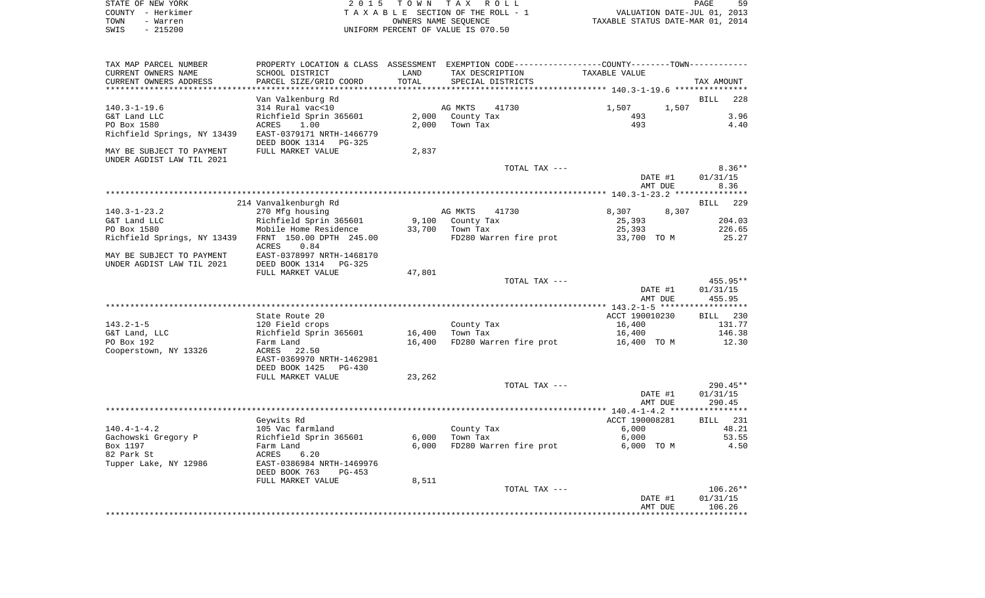|      | STATE OF NEW YORK | 2015 TOWN TAX ROLL                 | PAGE                             | 59 |
|------|-------------------|------------------------------------|----------------------------------|----|
|      | COUNTY - Herkimer | TAXABLE SECTION OF THE ROLL - 1    | VALUATION DATE-JUL 01, 2013      |    |
| TOWN | - Warren          | OWNERS NAME SEOUENCE               | TAXABLE STATUS DATE-MAR 01, 2014 |    |
| SWIS | $-215200$         | UNIFORM PERCENT OF VALUE IS 070.50 |                                  |    |

| TAX MAP PARCEL NUMBER       | PROPERTY LOCATION & CLASS | ASSESSMENT | EXEMPTION CODE-----------------COUNTY-------TOWN----------- |                                                 |                    |
|-----------------------------|---------------------------|------------|-------------------------------------------------------------|-------------------------------------------------|--------------------|
| CURRENT OWNERS NAME         | SCHOOL DISTRICT           | LAND       | TAX DESCRIPTION                                             | TAXABLE VALUE                                   |                    |
| CURRENT OWNERS ADDRESS      | PARCEL SIZE/GRID COORD    | TOTAL      | SPECIAL DISTRICTS                                           |                                                 | TAX AMOUNT         |
|                             |                           |            | **************************                                  | ***************** 140.3-1-19.6 **************** |                    |
|                             | Van Valkenburg Rd         |            |                                                             |                                                 | 228<br>BILL        |
| $140.3 - 1 - 19.6$          | 314 Rural vac<10          |            | AG MKTS<br>41730                                            | 1,507<br>1,507                                  |                    |
| G&T Land LLC                | Richfield Sprin 365601    | 2,000      | County Tax                                                  | 493                                             | 3.96               |
| PO Box 1580                 | 1.00<br>ACRES             | 2,000      | Town Tax                                                    | 493                                             | 4.40               |
| Richfield Springs, NY 13439 | EAST-0379171 NRTH-1466779 |            |                                                             |                                                 |                    |
|                             | DEED BOOK 1314 PG-325     |            |                                                             |                                                 |                    |
| MAY BE SUBJECT TO PAYMENT   | FULL MARKET VALUE         | 2,837      |                                                             |                                                 |                    |
| UNDER AGDIST LAW TIL 2021   |                           |            |                                                             |                                                 |                    |
|                             |                           |            | TOTAL TAX ---                                               |                                                 | $8.36**$           |
|                             |                           |            |                                                             | DATE #1                                         | 01/31/15           |
|                             |                           |            |                                                             | AMT DUE                                         | 8.36               |
|                             |                           |            |                                                             |                                                 |                    |
|                             | 214 Vanvalkenburgh Rd     |            |                                                             |                                                 | 229<br><b>BILL</b> |
| $140.3 - 1 - 23.2$          | 270 Mfg housing           |            | AG MKTS<br>41730                                            | 8,307<br>8,307                                  |                    |
| G&T Land LLC                | Richfield Sprin 365601    | 9,100      | County Tax                                                  | 25,393                                          | 204.03             |
| PO Box 1580                 | Mobile Home Residence     | 33,700     | Town Tax                                                    | 25,393                                          | 226.65             |
| Richfield Springs, NY 13439 | FRNT 150.00 DPTH 245.00   |            | FD280 Warren fire prot                                      | 33,700 TO M                                     | 25.27              |
|                             | <b>ACRES</b><br>0.84      |            |                                                             |                                                 |                    |
| MAY BE SUBJECT TO PAYMENT   | EAST-0378997 NRTH-1468170 |            |                                                             |                                                 |                    |
| UNDER AGDIST LAW TIL 2021   | DEED BOOK 1314<br>PG-325  |            |                                                             |                                                 |                    |
|                             | FULL MARKET VALUE         | 47,801     |                                                             |                                                 |                    |
|                             |                           |            | TOTAL TAX ---                                               |                                                 | 455.95**           |
|                             |                           |            |                                                             | DATE #1                                         | 01/31/15           |
|                             |                           |            |                                                             | AMT DUE                                         | 455.95             |
|                             |                           |            |                                                             |                                                 |                    |
|                             | State Route 20            |            |                                                             | ACCT 190010230                                  | 230<br>BILL        |
| $143.2 - 1 - 5$             | 120 Field crops           |            | County Tax                                                  | 16,400                                          | 131.77             |
| G&T Land, LLC               | Richfield Sprin 365601    | 16,400     | Town Tax                                                    | 16,400                                          | 146.38             |
| PO Box 192                  | Farm Land                 | 16,400     | FD280 Warren fire prot                                      | 16,400 TO M                                     | 12.30              |
|                             |                           |            |                                                             |                                                 |                    |
| Cooperstown, NY 13326       | ACRES 22.50               |            |                                                             |                                                 |                    |
|                             | EAST-0369970 NRTH-1462981 |            |                                                             |                                                 |                    |
|                             | DEED BOOK 1425<br>PG-430  |            |                                                             |                                                 |                    |
|                             | FULL MARKET VALUE         | 23,262     |                                                             |                                                 |                    |
|                             |                           |            | TOTAL TAX ---                                               |                                                 | 290.45**           |
|                             |                           |            |                                                             | DATE #1                                         | 01/31/15           |
|                             |                           |            |                                                             | AMT DUE                                         | 290.45             |
|                             |                           |            |                                                             |                                                 |                    |
|                             | Geywits Rd                |            |                                                             | ACCT 190008281                                  | BILL 231           |
| $140.4 - 1 - 4.2$           | 105 Vac farmland          |            | County Tax                                                  | 6,000                                           | 48.21              |
| Gachowski Gregory P         | Richfield Sprin 365601    | 6,000      | Town Tax                                                    | 6,000                                           | 53.55              |
| Box 1197                    | Farm Land                 | 6,000      | FD280 Warren fire prot                                      | 6,000 TO M                                      | 4.50               |
| 82 Park St                  | ACRES<br>6.20             |            |                                                             |                                                 |                    |
| Tupper Lake, NY 12986       | EAST-0386984 NRTH-1469976 |            |                                                             |                                                 |                    |
|                             | DEED BOOK 763<br>$PG-453$ |            |                                                             |                                                 |                    |
|                             | FULL MARKET VALUE         | 8,511      |                                                             |                                                 |                    |
|                             |                           |            | TOTAL TAX ---                                               |                                                 | $106.26**$         |
|                             |                           |            |                                                             | DATE #1                                         | 01/31/15           |
|                             |                           |            |                                                             | AMT DUE                                         | 106.26             |
|                             |                           |            |                                                             |                                                 |                    |
|                             |                           |            |                                                             |                                                 |                    |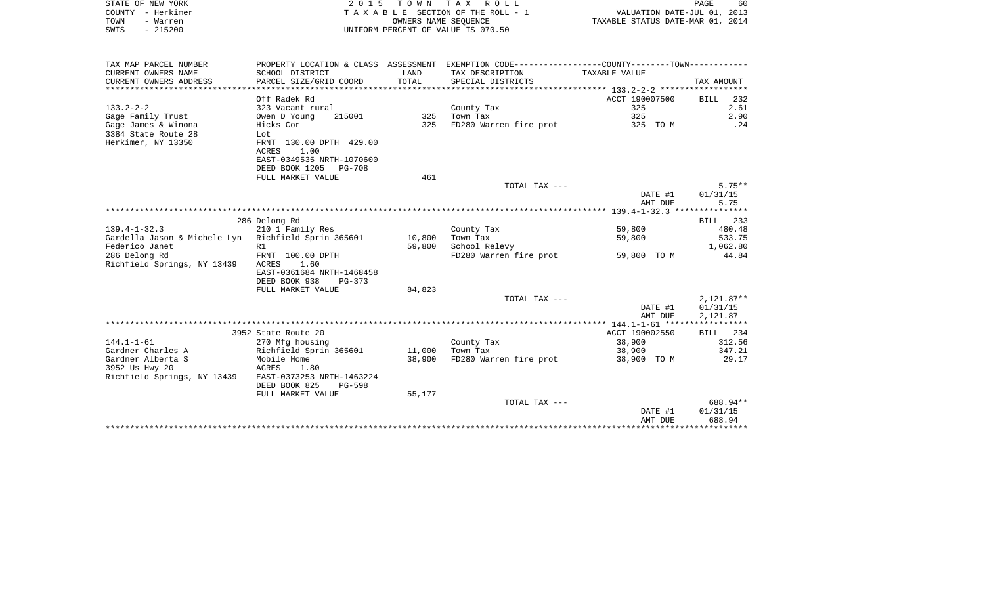| STATE OF NEW YORK     |                           |            | 2015 TOWN TAX ROLL                 | 60<br>PAGE                                                  |  |
|-----------------------|---------------------------|------------|------------------------------------|-------------------------------------------------------------|--|
| - Herkimer<br>COUNTY  |                           |            | TAXABLE SECTION OF THE ROLL - 1    | VALUATION DATE-JUL 01, 2013                                 |  |
| TOWN<br>- Warren      |                           |            | OWNERS NAME SEOUENCE               | TAXABLE STATUS DATE-MAR 01, 2014                            |  |
| $-215200$<br>SWIS     |                           |            | UNIFORM PERCENT OF VALUE IS 070.50 |                                                             |  |
|                       |                           |            |                                    |                                                             |  |
|                       |                           |            |                                    |                                                             |  |
|                       |                           |            |                                    |                                                             |  |
| TAX MAP PARCEL NUMBER | PROPERTY LOCATION & CLASS | ASSESSMENT |                                    | EXEMPTION CODE-----------------COUNTY-------TOWN----------- |  |
| CURRENT OWNERS NAME   | SCHOOL DISTRICT           | LAND       | TAX DESCRIPTION                    | TAXABLE VALUE                                               |  |

| CURRENT OWNERS ADDRESS                        | PARCEL SIZE/GRID COORD                            | TOTAL  | SPECIAL DISTRICTS      |                | TAX AMOUNT              |
|-----------------------------------------------|---------------------------------------------------|--------|------------------------|----------------|-------------------------|
|                                               | Off Radek Rd                                      |        |                        | ACCT 190007500 | <b>BILL</b><br>232      |
| $133.2 - 2 - 2$                               | 323 Vacant rural                                  |        | County Tax             | 325            | 2.61                    |
| Gage Family Trust                             | Owen D Young<br>215001                            | 325    | Town Tax               | 325            | 2.90                    |
| Gage James & Winona                           | Hicks Cor                                         | 325    | FD280 Warren fire prot | 325 TO M       | .24                     |
| 3384 State Route 28                           | Lot                                               |        |                        |                |                         |
| Herkimer, NY 13350                            | FRNT 130.00 DPTH 429.00                           |        |                        |                |                         |
|                                               | 1.00<br><b>ACRES</b>                              |        |                        |                |                         |
|                                               | EAST-0349535 NRTH-1070600                         |        |                        |                |                         |
|                                               | DEED BOOK 1205<br>PG-708                          |        |                        |                |                         |
|                                               | FULL MARKET VALUE                                 | 461    |                        |                |                         |
|                                               |                                                   |        | TOTAL TAX ---          |                | $5.75**$                |
|                                               |                                                   |        |                        | DATE #1        | 01/31/15                |
|                                               |                                                   |        |                        | AMT DUE        | 5.75                    |
|                                               |                                                   |        |                        |                |                         |
|                                               | 286 Delong Rd                                     |        |                        |                | 233<br>BILL             |
| $139.4 - 1 - 32.3$                            | 210 1 Family Res                                  |        | County Tax             | 59,800         | 480.48                  |
| Gardella Jason & Michele Lyn                  | Richfield Sprin 365601                            | 10,800 | Town Tax               | 59,800         | 533.75                  |
| Federico Janet                                | R1                                                | 59,800 | School Relevy          |                | 1,062.80                |
| 286 Delong Rd                                 | FRNT 100.00 DPTH                                  |        | FD280 Warren fire prot | 59,800 TO M    | 44.84                   |
| Richfield Springs, NY 13439                   | 1.60<br><b>ACRES</b>                              |        |                        |                |                         |
|                                               | EAST-0361684 NRTH-1468458                         |        |                        |                |                         |
|                                               | DEED BOOK 938<br>$PG-373$                         |        |                        |                |                         |
|                                               | FULL MARKET VALUE                                 | 84,823 |                        |                |                         |
|                                               |                                                   |        | TOTAL TAX ---          |                | $2,121.87**$            |
|                                               |                                                   |        |                        | DATE #1        | 01/31/15                |
|                                               |                                                   |        |                        | AMT DUE        | 2,121.87                |
|                                               | 3952 State Route 20                               |        |                        | ACCT 190002550 | <b>BILL</b><br>234      |
| $144.1 - 1 - 61$                              |                                                   |        |                        | 38,900         | 312.56                  |
| Gardner Charles A                             | 270 Mfg housing                                   |        | County Tax<br>Town Tax |                | 347.21                  |
|                                               | Richfield Sprin 365601                            | 11,000 |                        | 38,900         |                         |
| Gardner Alberta S                             | Mobile Home                                       | 38,900 | FD280 Warren fire prot | 38,900 TO M    | 29.17                   |
| 3952 Us Hwy 20<br>Richfield Springs, NY 13439 | <b>ACRES</b><br>1.80<br>EAST-0373253 NRTH-1463224 |        |                        |                |                         |
|                                               | DEED BOOK 825<br>$PG-598$                         |        |                        |                |                         |
|                                               | FULL MARKET VALUE                                 | 55,177 |                        |                |                         |
|                                               |                                                   |        | TOTAL TAX ---          |                | 688.94**                |
|                                               |                                                   |        |                        | DATE #1        | 01/31/15                |
|                                               |                                                   |        |                        | AMT DUE        | 688.94                  |
|                                               |                                                   |        |                        |                | * * * * * * * * * * * * |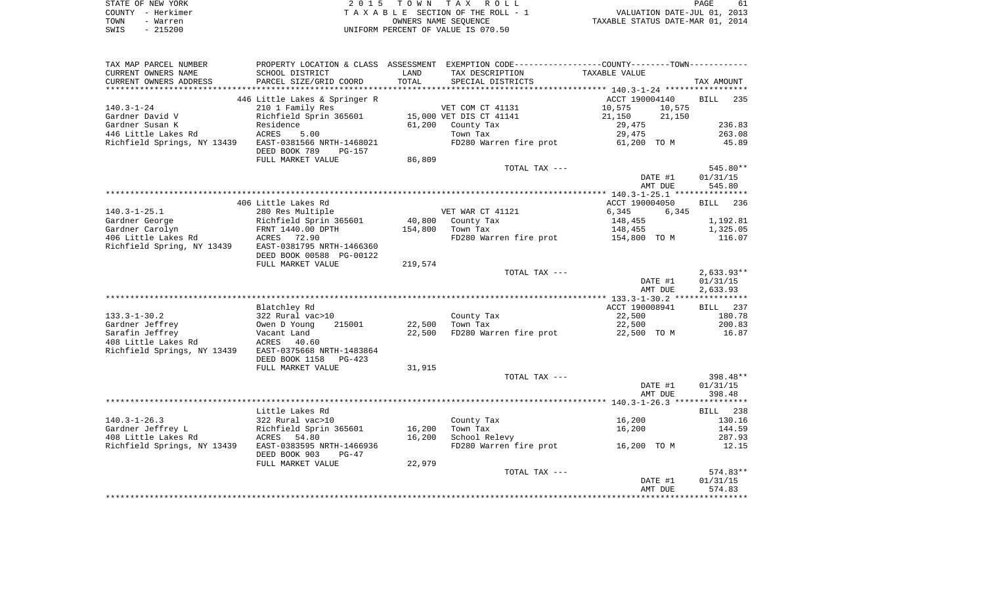|      | STATE OF NEW YORK | 2015 TOWN TAX ROLL                 | 61<br><b>PAGE</b>                |
|------|-------------------|------------------------------------|----------------------------------|
|      | COUNTY - Herkimer | TAXABLE SECTION OF THE ROLL - 1    | VALUATION DATE-JUL 01, 2013      |
| TOWN | - Warren          | OWNERS NAME SEOUENCE               | TAXABLE STATUS DATE-MAR 01, 2014 |
| SWIS | - 215200          | UNIFORM PERCENT OF VALUE IS 070.50 |                                  |

| TAX MAP PARCEL NUMBER       | PROPERTY LOCATION & CLASS ASSESSMENT EXEMPTION CODE---------------COUNTY-------TOWN---------- |         |                                    |                  |                    |
|-----------------------------|-----------------------------------------------------------------------------------------------|---------|------------------------------------|------------------|--------------------|
| CURRENT OWNERS NAME         | SCHOOL DISTRICT                                                                               | LAND    | TAX DESCRIPTION                    | TAXABLE VALUE    |                    |
| CURRENT OWNERS ADDRESS      | PARCEL SIZE/GRID COORD                                                                        | TOTAL   | SPECIAL DISTRICTS                  |                  | TAX AMOUNT         |
|                             |                                                                                               |         |                                    |                  |                    |
|                             | 446 Little Lakes & Springer R                                                                 |         |                                    | ACCT 190004140   | <b>BILL</b><br>235 |
| $140.3 - 1 - 24$            | 210 1 Family Res                                                                              |         | VET COM CT 41131                   | 10,575<br>10,575 |                    |
| Gardner David V             | Richfield Sprin 365601                                                                        |         | 15,000 VET DIS CT 41141            | 21,150<br>21,150 |                    |
| Gardner Susan K             | Residence                                                                                     | 61,200  | County Tax                         | 29,475           | 236.83             |
| 446 Little Lakes Rd         | ACRES<br>5.00                                                                                 |         | Town Tax                           | 29,475           | 263.08             |
| Richfield Springs, NY 13439 | EAST-0381566 NRTH-1468021<br>DEED BOOK 789<br>PG-157                                          |         | FD280 Warren fire prot             | 61,200 TO M      | 45.89              |
|                             | FULL MARKET VALUE                                                                             | 86,809  |                                    |                  |                    |
|                             |                                                                                               |         | TOTAL TAX ---                      |                  | 545.80**           |
|                             |                                                                                               |         |                                    | DATE #1          | 01/31/15           |
|                             |                                                                                               |         |                                    | AMT DUE          | 545.80             |
|                             |                                                                                               |         |                                    |                  |                    |
|                             | 406 Little Lakes Rd                                                                           |         |                                    | ACCT 190004050   | BILL 236           |
| $140.3 - 1 - 25.1$          | 280 Res Multiple                                                                              |         | VET WAR CT 41121                   | 6,345<br>6,345   |                    |
| Gardner George              | Richfield Sprin 365601                                                                        |         | 40,800 County Tax                  | 148,455          | 1,192.81           |
| Gardner Carolyn             | FRNT 1440.00 DPTH                                                                             | 154,800 | Town Tax                           | 148,455          | 1,325.05           |
| 406 Little Lakes Rd         | ACRES 72.90                                                                                   |         | FD280 Warren fire prot             | 154,800 TO M     | 116.07             |
| Richfield Spring, NY 13439  | EAST-0381795 NRTH-1466360                                                                     |         |                                    |                  |                    |
|                             | DEED BOOK 00588 PG-00122                                                                      |         |                                    |                  |                    |
|                             | FULL MARKET VALUE                                                                             | 219,574 |                                    |                  |                    |
|                             |                                                                                               |         | TOTAL TAX ---                      |                  | $2,633.93**$       |
|                             |                                                                                               |         |                                    | DATE #1          | 01/31/15           |
|                             |                                                                                               |         |                                    | AMT DUE          | 2,633.93           |
|                             |                                                                                               |         |                                    |                  |                    |
|                             | Blatchley Rd                                                                                  |         |                                    | ACCT 190008941   | BILL 237           |
| $133.3 - 1 - 30.2$          | 322 Rural vac>10                                                                              |         | County Tax                         | 22,500           | 180.78             |
| Gardner Jeffrey             | Owen D Young<br>215001                                                                        | 22,500  | Town Tax                           | 22,500           | 200.83             |
| Sarafin Jeffrey             | Vacant Land                                                                                   | 22,500  | FD280 Warren fire prot             | 22,500 TO M      | 16.87              |
| 408 Little Lakes Rd         | ACRES<br>40.60                                                                                |         |                                    |                  |                    |
| Richfield Springs, NY 13439 | EAST-0375668 NRTH-1483864                                                                     |         |                                    |                  |                    |
|                             | DEED BOOK 1158<br>$PG-423$                                                                    |         |                                    |                  |                    |
|                             | FULL MARKET VALUE                                                                             | 31,915  |                                    |                  |                    |
|                             |                                                                                               |         | TOTAL TAX ---                      |                  | 398.48**           |
|                             |                                                                                               |         |                                    | DATE #1          | 01/31/15           |
|                             |                                                                                               |         |                                    | AMT DUE          | 398.48             |
|                             |                                                                                               |         |                                    |                  |                    |
|                             | Little Lakes Rd                                                                               |         |                                    |                  | BILL 238           |
| $140.3 - 1 - 26.3$          | 322 Rural vac>10                                                                              |         | County Tax                         | 16,200           | 130.16             |
| Gardner Jeffrey L           | Richfield Sprin 365601                                                                        | 16,200  | Town Tax                           | 16,200           | 144.59             |
| 408 Little Lakes Rd         | 54.80<br>ACRES                                                                                | 16,200  | School Relevy                      |                  | 287.93             |
| Richfield Springs, NY 13439 | EAST-0383595 NRTH-1466936                                                                     |         | FD280 Warren fire prot 16,200 TO M |                  | 12.15              |
|                             | DEED BOOK 903<br>$PG-47$                                                                      |         |                                    |                  |                    |
|                             | FULL MARKET VALUE                                                                             | 22,979  |                                    |                  |                    |
|                             |                                                                                               |         | TOTAL TAX ---                      |                  | 574.83**           |
|                             |                                                                                               |         |                                    | DATE #1          | 01/31/15           |
|                             |                                                                                               |         |                                    | AMT DUE          | 574.83             |
|                             |                                                                                               |         |                                    |                  |                    |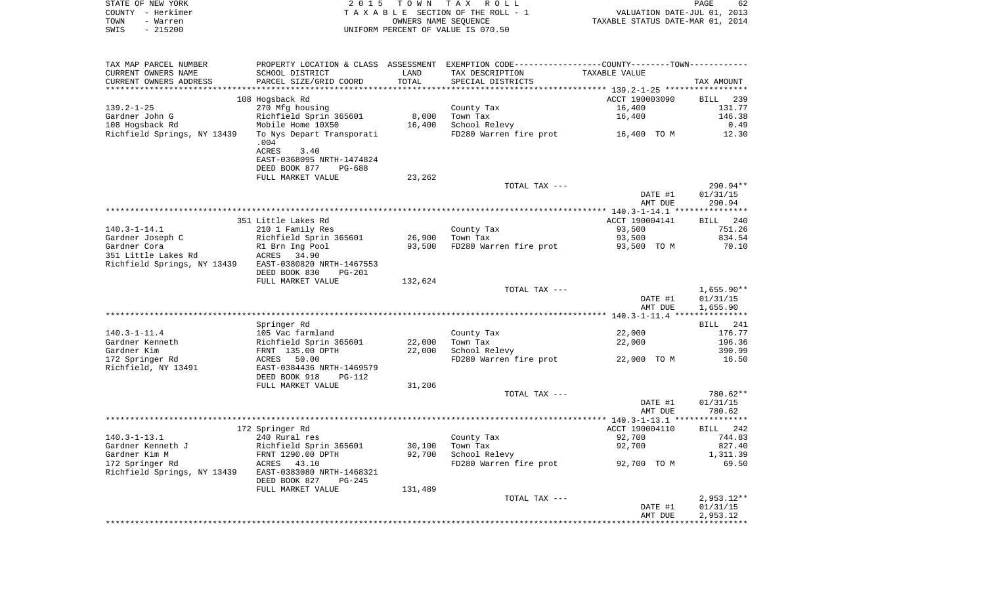|      | STATE OF NEW YORK | 2015 TOWN TAX ROLL                 | PAGE                             | 62 |
|------|-------------------|------------------------------------|----------------------------------|----|
|      | COUNTY - Herkimer | TAXABLE SECTION OF THE ROLL - 1    | VALUATION DATE-JUL 01, 2013      |    |
| TOWN | - Warren          | OWNERS NAME SEOUENCE               | TAXABLE STATUS DATE-MAR 01, 2014 |    |
| SWIS | $-215200$         | UNIFORM PERCENT OF VALUE IS 070.50 |                                  |    |

| TAX MAP PARCEL NUMBER            | PROPERTY LOCATION & CLASS ASSESSMENT EXEMPTION CODE---------------COUNTY-------TOWN---------- |                  |                                    |                |                    |
|----------------------------------|-----------------------------------------------------------------------------------------------|------------------|------------------------------------|----------------|--------------------|
| CURRENT OWNERS NAME              | SCHOOL DISTRICT                                                                               | LAND             | TAX DESCRIPTION                    | TAXABLE VALUE  |                    |
| CURRENT OWNERS ADDRESS           | PARCEL SIZE/GRID COORD                                                                        | TOTAL            | SPECIAL DISTRICTS                  |                | TAX AMOUNT         |
| **********************           | ****************************                                                                  | **************   |                                    |                |                    |
|                                  | 108 Hogsback Rd                                                                               |                  |                                    | ACCT 190003090 | 239<br>BILL        |
| $139.2 - 1 - 25$                 | 270 Mfg housing                                                                               |                  | County Tax                         | 16,400         | 131.77             |
| Gardner John G                   | Richfield Sprin 365601                                                                        | 8,000            | Town Tax                           | 16,400         | 146.38             |
| 108 Hogsback Rd                  | Mobile Home 10X50                                                                             | 16,400           | School Relevy                      |                | 0.49               |
| Richfield Springs, NY 13439      | To Nys Depart Transporati<br>.004                                                             |                  | FD280 Warren fire prot             | 16,400 TO M    | 12.30              |
|                                  | ACRES<br>3.40                                                                                 |                  |                                    |                |                    |
|                                  | EAST-0368095 NRTH-1474824                                                                     |                  |                                    |                |                    |
|                                  | DEED BOOK 877<br><b>PG-688</b>                                                                |                  |                                    |                |                    |
|                                  | FULL MARKET VALUE                                                                             | 23,262           |                                    |                |                    |
|                                  |                                                                                               |                  | TOTAL TAX ---                      |                | 290.94**           |
|                                  |                                                                                               |                  |                                    | DATE #1        | 01/31/15           |
|                                  |                                                                                               |                  |                                    | AMT DUE        | 290.94             |
|                                  |                                                                                               |                  |                                    |                |                    |
|                                  | 351 Little Lakes Rd                                                                           |                  |                                    | ACCT 190004141 | 240<br><b>BILL</b> |
| $140.3 - 1 - 14.1$               | 210 1 Family Res                                                                              |                  | County Tax                         | 93,500         | 751.26             |
| Gardner Joseph C<br>Gardner Cora | Richfield Sprin 365601                                                                        | 26,900<br>93,500 | Town Tax<br>FD280 Warren fire prot | 93,500         | 834.54<br>70.10    |
| 351 Little Lakes Rd              | R1 Brn Ing Pool<br>ACRES<br>34.90                                                             |                  |                                    | 93,500 TO M    |                    |
| Richfield Springs, NY 13439      | EAST-0380820 NRTH-1467553                                                                     |                  |                                    |                |                    |
|                                  | DEED BOOK 830<br>$PG-201$                                                                     |                  |                                    |                |                    |
|                                  | FULL MARKET VALUE                                                                             | 132,624          |                                    |                |                    |
|                                  |                                                                                               |                  | TOTAL TAX ---                      |                | $1,655.90**$       |
|                                  |                                                                                               |                  |                                    | DATE #1        | 01/31/15           |
|                                  |                                                                                               |                  |                                    | AMT DUE        | 1,655.90           |
|                                  |                                                                                               |                  |                                    |                |                    |
|                                  | Springer Rd                                                                                   |                  |                                    |                | 241<br>BILL        |
| $140.3 - 1 - 11.4$               | 105 Vac farmland                                                                              |                  | County Tax                         | 22,000         | 176.77             |
| Gardner Kenneth                  | Richfield Sprin 365601                                                                        | 22,000           | Town Tax                           | 22,000         | 196.36             |
| Gardner Kim                      | FRNT 135.00 DPTH                                                                              | 22,000           | School Relevy                      |                | 390.99             |
| 172 Springer Rd                  | 50.00<br>ACRES                                                                                |                  | FD280 Warren fire prot             | 22,000 TO M    | 16.50              |
| Richfield, NY 13491              | EAST-0384436 NRTH-1469579                                                                     |                  |                                    |                |                    |
|                                  | DEED BOOK 918<br><b>PG-112</b>                                                                |                  |                                    |                |                    |
|                                  | FULL MARKET VALUE                                                                             | 31,206           | TOTAL TAX ---                      |                | 780.62**           |
|                                  |                                                                                               |                  |                                    | DATE #1        | 01/31/15           |
|                                  |                                                                                               |                  |                                    | AMT DUE        | 780.62             |
|                                  |                                                                                               |                  |                                    |                |                    |
|                                  | 172 Springer Rd                                                                               |                  |                                    | ACCT 190004110 | BILL 242           |
| $140.3 - 1 - 13.1$               | 240 Rural res                                                                                 |                  | County Tax                         | 92,700         | 744.83             |
| Gardner Kenneth J                | Richfield Sprin 365601                                                                        | 30,100           | Town Tax                           | 92,700         | 827.40             |
| Gardner Kim M                    | FRNT 1290.00 DPTH                                                                             | 92,700           | School Relevy                      |                | 1,311.39           |
| 172 Springer Rd                  | ACRES<br>43.10                                                                                |                  | FD280 Warren fire prot             | 92,700 TO M    | 69.50              |
| Richfield Springs, NY 13439      | EAST-0383080 NRTH-1468321                                                                     |                  |                                    |                |                    |
|                                  | DEED BOOK 827<br>$PG-245$                                                                     |                  |                                    |                |                    |
|                                  | FULL MARKET VALUE                                                                             | 131,489          |                                    |                |                    |
|                                  |                                                                                               |                  | TOTAL TAX ---                      |                | $2,953.12**$       |
|                                  |                                                                                               |                  |                                    | DATE #1        | 01/31/15           |
|                                  |                                                                                               |                  |                                    | AMT DUE        | 2,953.12           |
|                                  |                                                                                               |                  |                                    |                |                    |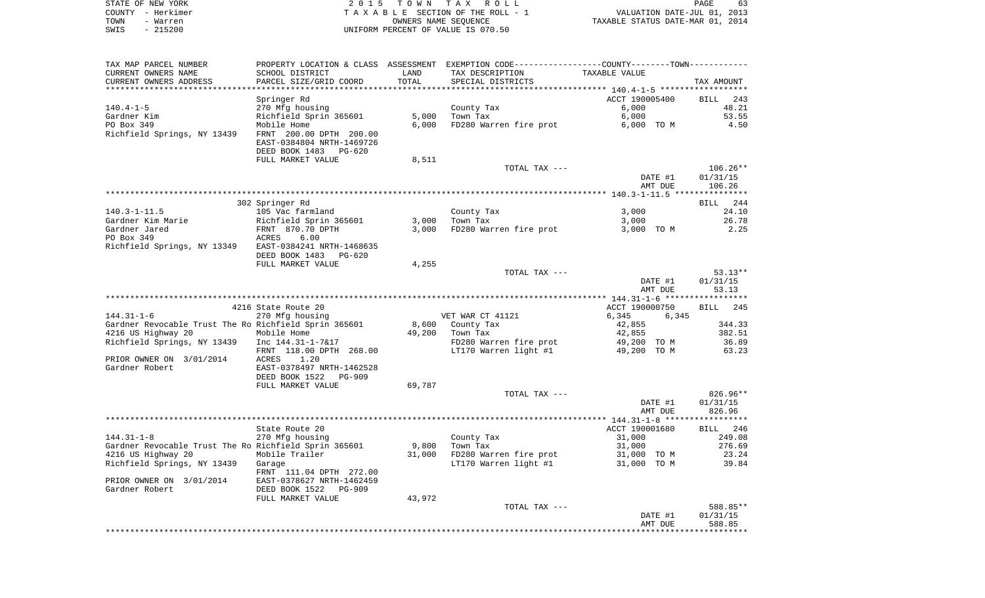| STATE OF NEW YORK | 2015 TOWN TAX ROLL                 | 63<br>PAGE                       |
|-------------------|------------------------------------|----------------------------------|
| COUNTY - Herkimer | TAXABLE SECTION OF THE ROLL - 1    | VALUATION DATE-JUL 01, 2013      |
| TOWN<br>- Warren  | OWNERS NAME SEOUENCE               | TAXABLE STATUS DATE-MAR 01, 2014 |
| $-215200$<br>SWIS | UNIFORM PERCENT OF VALUE IS 070.50 |                                  |

 $\begin{array}{c} 63 \\ 2013 \\ 2014 \end{array}$ 

| TAX MAP PARCEL NUMBER<br>CURRENT OWNERS NAME          | SCHOOL DISTRICT                                                               | LAND   | PROPERTY LOCATION & CLASS ASSESSMENT EXEMPTION CODE----------------COUNTY-------TOWN----------<br>TAX DESCRIPTION | TAXABLE VALUE  |                    |
|-------------------------------------------------------|-------------------------------------------------------------------------------|--------|-------------------------------------------------------------------------------------------------------------------|----------------|--------------------|
| CURRENT OWNERS ADDRESS                                | PARCEL SIZE/GRID COORD                                                        | TOTAL  | SPECIAL DISTRICTS                                                                                                 |                | TAX AMOUNT         |
|                                                       |                                                                               |        |                                                                                                                   |                |                    |
|                                                       | Springer Rd                                                                   |        |                                                                                                                   | ACCT 190005400 | <b>BILL</b><br>243 |
| $140.4 - 1 - 5$                                       | 270 Mfg housing                                                               |        | County Tax                                                                                                        | 6,000          | 48.21              |
| Gardner Kim                                           | Richfield Sprin 365601                                                        | 5,000  | Town Tax                                                                                                          | 6,000          | 53.55              |
| PO Box 349                                            | Mobile Home                                                                   | 6,000  | FD280 Warren fire prot                                                                                            | 6,000 TO M     | 4.50               |
| Richfield Springs, NY 13439                           | FRNT 200.00 DPTH 200.00<br>EAST-0384804 NRTH-1469726<br>DEED BOOK 1483 PG-620 |        |                                                                                                                   |                |                    |
|                                                       | FULL MARKET VALUE                                                             | 8,511  |                                                                                                                   |                |                    |
|                                                       |                                                                               |        | TOTAL TAX ---                                                                                                     |                | $106.26**$         |
|                                                       |                                                                               |        |                                                                                                                   | DATE #1        | 01/31/15           |
|                                                       |                                                                               |        |                                                                                                                   | AMT DUE        | 106.26             |
|                                                       |                                                                               |        |                                                                                                                   |                |                    |
|                                                       | 302 Springer Rd                                                               |        |                                                                                                                   |                | <b>BILL</b><br>244 |
| 140.3-1-11.5                                          | 105 Vac farmland                                                              |        | County Tax                                                                                                        | 3,000          | 24.10              |
| Gardner Kim Marie                                     | Richfield Sprin 365601                                                        | 3,000  | Town Tax                                                                                                          | 3,000          | 26.78              |
| Gardner Jared                                         | FRNT 870.70 DPTH                                                              | 3,000  | FD280 Warren fire prot                                                                                            | 3,000 TO M     | 2.25               |
| PO Box 349                                            | 6.00<br>ACRES                                                                 |        |                                                                                                                   |                |                    |
| Richfield Springs, NY 13349 EAST-0384241 NRTH-1468635 |                                                                               |        |                                                                                                                   |                |                    |
|                                                       | DEED BOOK 1483 PG-620                                                         |        |                                                                                                                   |                |                    |
|                                                       | FULL MARKET VALUE                                                             | 4,255  |                                                                                                                   |                |                    |
|                                                       |                                                                               |        | TOTAL TAX ---                                                                                                     |                | $53.13**$          |
|                                                       |                                                                               |        |                                                                                                                   | DATE #1        | 01/31/15           |
|                                                       |                                                                               |        |                                                                                                                   | AMT DUE        | 53.13              |
|                                                       |                                                                               |        |                                                                                                                   |                |                    |
|                                                       | 4216 State Route 20                                                           |        |                                                                                                                   | ACCT 190000750 | BILL 245           |
| 144.31-1-6                                            | 270 Mfg housing                                                               |        | VET WAR CT 41121                                                                                                  | 6,345<br>6,345 |                    |
| Gardner Revocable Trust The Ro Richfield Sprin 365601 |                                                                               | 8,600  | County Tax                                                                                                        | 42,855         | 344.33             |
| 4216 US Highway 20                                    | Mobile Home                                                                   | 49,200 | Town Tax                                                                                                          | 42,855         | 382.51             |
| Richfield Springs, NY 13439                           | Inc 144.31-1-7&17                                                             |        | FD280 Warren fire prot                                                                                            | 49,200 TO M    | 36.89              |
|                                                       | FRNT 118.00 DPTH 268.00                                                       |        | LT170 Warren light #1                                                                                             | 49,200 TO M    | 63.23              |
| PRIOR OWNER ON 3/01/2014                              | ACRES<br>1.20                                                                 |        |                                                                                                                   |                |                    |
| Gardner Robert                                        | EAST-0378497 NRTH-1462528                                                     |        |                                                                                                                   |                |                    |
|                                                       | DEED BOOK 1522<br>PG-909                                                      |        |                                                                                                                   |                |                    |
|                                                       | FULL MARKET VALUE                                                             | 69,787 |                                                                                                                   |                |                    |
|                                                       |                                                                               |        | TOTAL TAX ---                                                                                                     |                | $826.96**$         |
|                                                       |                                                                               |        |                                                                                                                   | DATE #1        | 01/31/15           |
|                                                       |                                                                               |        |                                                                                                                   | AMT DUE        | 826.96             |
|                                                       |                                                                               |        |                                                                                                                   |                |                    |
|                                                       | State Route 20                                                                |        |                                                                                                                   | ACCT 190001680 | BILL 246           |
| 144.31-1-8                                            | 270 Mfg housing                                                               |        | County Tax                                                                                                        | 31,000         | 249.08             |
| Gardner Revocable Trust The Ro Richfield Sprin 365601 |                                                                               | 9,800  | Town Tax                                                                                                          | 31,000         | 276.69             |
| 4216 US Highway 20                                    | Mobile Trailer                                                                | 31,000 | FD280 Warren fire prot                                                                                            | 31,000 TO M    | 23.24              |
| Richfield Springs, NY 13439                           | Garage                                                                        |        | LT170 Warren light #1                                                                                             | 31,000 TO M    | 39.84              |
|                                                       | FRNT 111.04 DPTH 272.00                                                       |        |                                                                                                                   |                |                    |
| PRIOR OWNER ON 3/01/2014                              | EAST-0378627 NRTH-1462459                                                     |        |                                                                                                                   |                |                    |
| Gardner Robert                                        | DEED BOOK 1522<br>PG-909                                                      |        |                                                                                                                   |                |                    |
|                                                       | FULL MARKET VALUE                                                             | 43,972 |                                                                                                                   |                |                    |
|                                                       |                                                                               |        | TOTAL TAX ---                                                                                                     |                | 588.85**           |
|                                                       |                                                                               |        |                                                                                                                   | DATE #1        | 01/31/15           |
|                                                       |                                                                               |        |                                                                                                                   | AMT DUE        | 588.85             |
|                                                       |                                                                               |        |                                                                                                                   |                |                    |
|                                                       |                                                                               |        |                                                                                                                   |                |                    |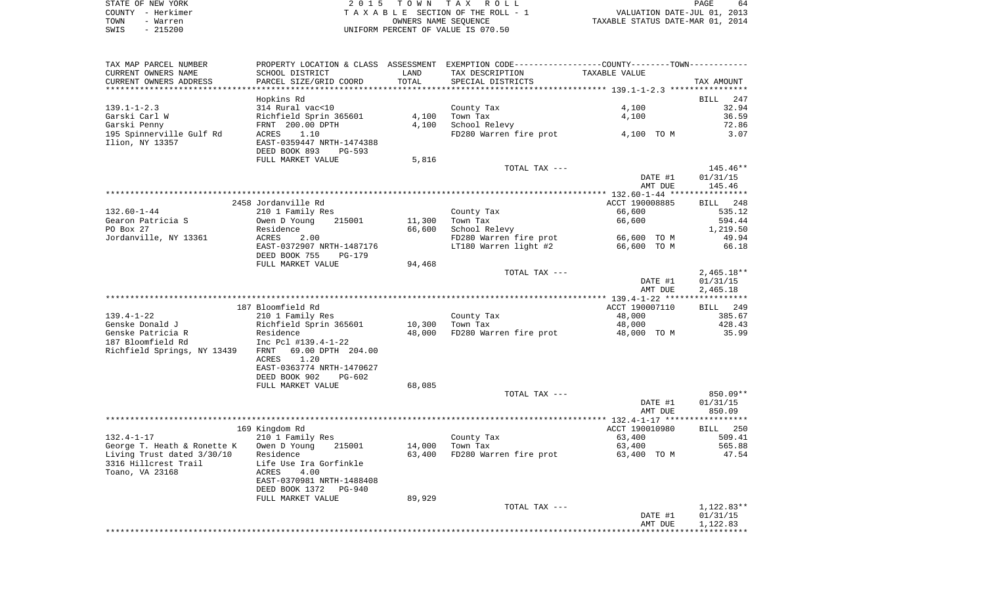|      | STATE OF NEW YORK | 2015 TOWN TAX ROLL                 | 64<br>PAGE                       |
|------|-------------------|------------------------------------|----------------------------------|
|      | COUNTY - Herkimer | TAXABLE SECTION OF THE ROLL - 1    | VALUATION DATE-JUL 01, 2013      |
| TOWN | - Warren          | OWNERS NAME SEOUENCE               | TAXABLE STATUS DATE-MAR 01, 2014 |
| SWIS | $-215200$         | UNIFORM PERCENT OF VALUE IS 070.50 |                                  |

| TAX MAP PARCEL NUMBER<br>CURRENT OWNERS NAME | SCHOOL DISTRICT                                      | LAND   | PROPERTY LOCATION & CLASS ASSESSMENT EXEMPTION CODE---------------COUNTY--------TOWN----------<br>TAX DESCRIPTION | TAXABLE VALUE  |              |
|----------------------------------------------|------------------------------------------------------|--------|-------------------------------------------------------------------------------------------------------------------|----------------|--------------|
| CURRENT OWNERS ADDRESS                       | PARCEL SIZE/GRID COORD                               | TOTAL  | SPECIAL DISTRICTS                                                                                                 |                | TAX AMOUNT   |
|                                              | Hopkins Rd                                           |        |                                                                                                                   |                | BILL 247     |
| $139.1 - 1 - 2.3$                            | 314 Rural vac<10                                     |        | County Tax                                                                                                        | 4,100          | 32.94        |
| Garski Carl W                                | Richfield Sprin 365601                               | 4,100  | Town Tax                                                                                                          | 4,100          | 36.59        |
| Garski Penny                                 | FRNT 200.00 DPTH                                     | 4,100  | School Relevy                                                                                                     |                | 72.86        |
| 195 Spinnerville Gulf Rd                     | 1.10<br>ACRES                                        |        | FD280 Warren fire prot                                                                                            | 4,100 TO M     | 3.07         |
| Ilion, NY 13357                              | EAST-0359447 NRTH-1474388<br>DEED BOOK 893<br>PG-593 |        |                                                                                                                   |                |              |
|                                              | FULL MARKET VALUE                                    | 5,816  |                                                                                                                   |                |              |
|                                              |                                                      |        | TOTAL TAX ---                                                                                                     |                | 145.46**     |
|                                              |                                                      |        |                                                                                                                   | DATE #1        | 01/31/15     |
|                                              |                                                      |        |                                                                                                                   | AMT DUE        | 145.46       |
|                                              |                                                      |        |                                                                                                                   |                |              |
|                                              | 2458 Jordanville Rd                                  |        |                                                                                                                   | ACCT 190008885 | BILL 248     |
| 132.60-1-44                                  | 210 1 Family Res                                     |        | County Tax                                                                                                        | 66,600         | 535.12       |
| Gearon Patricia S                            | Owen D Young<br>215001                               | 11,300 | Town Tax                                                                                                          | 66,600         | 594.44       |
| PO Box 27                                    | Residence                                            | 66,600 | School Relevy                                                                                                     |                | 1,219.50     |
| Jordanville, NY 13361                        | ACRES<br>2.00                                        |        | FD280 Warren fire prot                                                                                            | 66,600 TO M    | 49.94        |
|                                              | EAST-0372907 NRTH-1487176                            |        | LT180 Warren light #2                                                                                             | 66,600 TO M    | 66.18        |
|                                              | DEED BOOK 755<br>PG-179                              |        |                                                                                                                   |                |              |
|                                              | FULL MARKET VALUE                                    | 94,468 |                                                                                                                   |                |              |
|                                              |                                                      |        | TOTAL TAX ---                                                                                                     |                | $2,465.18**$ |
|                                              |                                                      |        |                                                                                                                   | DATE #1        | 01/31/15     |
|                                              |                                                      |        |                                                                                                                   | AMT DUE        | 2,465.18     |
|                                              |                                                      |        |                                                                                                                   |                |              |
|                                              | 187 Bloomfield Rd                                    |        |                                                                                                                   | ACCT 190007110 | BILL 249     |
| 139.4-1-22                                   | 210 1 Family Res                                     |        | County Tax                                                                                                        | 48,000         | 385.67       |
| Genske Donald J                              | Richfield Sprin 365601                               | 10,300 | Town Tax                                                                                                          | 48,000         | 428.43       |
| Genske Patricia R                            | Residence                                            | 48,000 | FD280 Warren fire prot                                                                                            | 48,000 TO M    | 35.99        |
| 187 Bloomfield Rd                            | Inc Pcl #139.4-1-22                                  |        |                                                                                                                   |                |              |
| Richfield Springs, NY 13439                  | FRNT<br>69.00 DPTH 204.00                            |        |                                                                                                                   |                |              |
|                                              | 1.20<br>ACRES                                        |        |                                                                                                                   |                |              |
|                                              | EAST-0363774 NRTH-1470627                            |        |                                                                                                                   |                |              |
|                                              | DEED BOOK 902<br>PG-602                              |        |                                                                                                                   |                |              |
|                                              | FULL MARKET VALUE                                    | 68,085 |                                                                                                                   |                |              |
|                                              |                                                      |        | TOTAL TAX ---                                                                                                     |                | 850.09**     |
|                                              |                                                      |        |                                                                                                                   | DATE #1        | 01/31/15     |
|                                              |                                                      |        |                                                                                                                   | AMT DUE        | 850.09       |
|                                              |                                                      |        |                                                                                                                   |                |              |
|                                              | 169 Kingdom Rd                                       |        |                                                                                                                   | ACCT 190010980 | BILL 250     |
| 132.4-1-17                                   | 210 1 Family Res                                     |        |                                                                                                                   | 63,400         | 509.41       |
| George T. Heath & Ronette K                  | Owen D Young<br>215001                               | 14,000 | County Tax<br>Town Tax                                                                                            | 63,400         | 565.88       |
| Living Trust dated 3/30/10                   | Residence                                            | 63,400 | FD280 Warren fire prot                                                                                            | 63,400 TO M    | 47.54        |
| 3316 Hillcrest Trail                         | Life Use Ira Gorfinkle                               |        |                                                                                                                   |                |              |
| Toano, VA 23168                              | ACRES<br>4.00                                        |        |                                                                                                                   |                |              |
|                                              | EAST-0370981 NRTH-1488408                            |        |                                                                                                                   |                |              |
|                                              | DEED BOOK 1372 PG-940                                |        |                                                                                                                   |                |              |
|                                              | FULL MARKET VALUE                                    | 89,929 |                                                                                                                   |                |              |
|                                              |                                                      |        | TOTAL TAX ---                                                                                                     |                | 1,122.83**   |
|                                              |                                                      |        |                                                                                                                   | DATE #1        | 01/31/15     |
|                                              |                                                      |        |                                                                                                                   | AMT DUE        | 1,122.83     |
|                                              |                                                      |        |                                                                                                                   |                |              |
|                                              |                                                      |        |                                                                                                                   |                |              |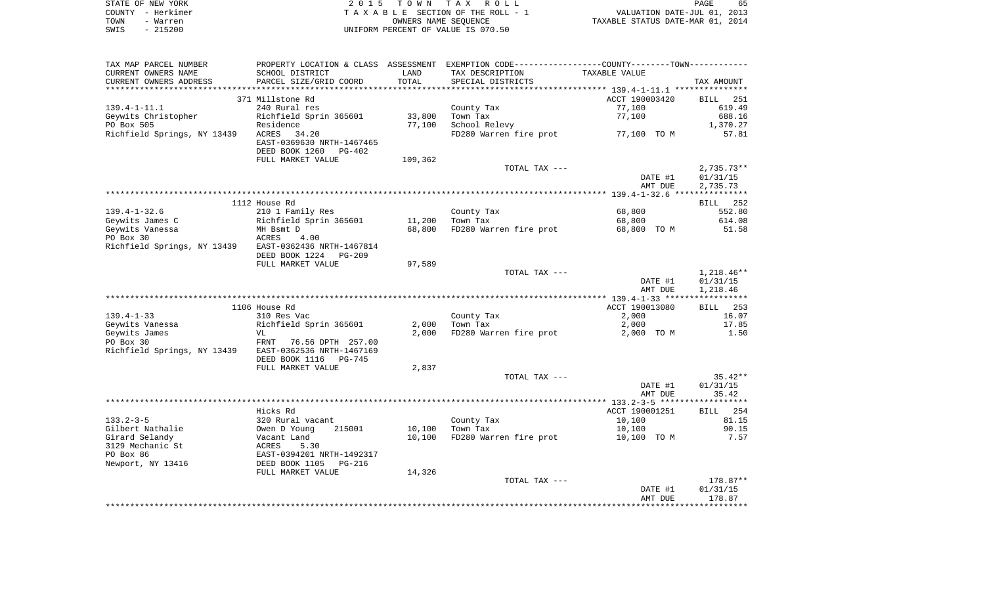|      | STATE OF NEW YORK | 2015 TOWN TAX ROLL                 | 65<br><b>PAGE</b>                |
|------|-------------------|------------------------------------|----------------------------------|
|      | COUNTY - Herkimer | TAXABLE SECTION OF THE ROLL - 1    | VALUATION DATE-JUL 01, 2013      |
| TOWN | - Warren          | OWNERS NAME SEOUENCE               | TAXABLE STATUS DATE-MAR 01, 2014 |
| SWIS | $-215200$         | UNIFORM PERCENT OF VALUE IS 070.50 |                                  |

 $\begin{array}{c} 65 \\ 2013 \\ 2014 \end{array}$ 

| TAX MAP PARCEL NUMBER                                 | PROPERTY LOCATION & CLASS ASSESSMENT EXEMPTION CODE----------------COUNTY--------TOWN----------- |         |                        |                    |                    |
|-------------------------------------------------------|--------------------------------------------------------------------------------------------------|---------|------------------------|--------------------|--------------------|
| CURRENT OWNERS NAME                                   | SCHOOL DISTRICT                                                                                  | LAND    | TAX DESCRIPTION        | TAXABLE VALUE      |                    |
| CURRENT OWNERS ADDRESS                                | PARCEL SIZE/GRID COORD                                                                           | TOTAL   | SPECIAL DISTRICTS      |                    | TAX AMOUNT         |
|                                                       |                                                                                                  |         |                        |                    |                    |
|                                                       | 371 Millstone Rd                                                                                 |         |                        | ACCT 190003420     | BILL 251           |
| $139.4 - 1 - 11.1$                                    | 240 Rural res                                                                                    |         | County Tax             | 77,100             | 619.49             |
| Geywits Christopher                                   | Richfield Sprin 365601                                                                           | 33,800  | Town Tax               | 77,100             | 688.16             |
|                                                       |                                                                                                  |         |                        |                    |                    |
| PO Box 505                                            | Residence                                                                                        | 77,100  | School Relevy          |                    | 1,370.27           |
| Richfield Springs, NY 13439                           | ACRES 34.20                                                                                      |         | FD280 Warren fire prot | 77,100 TO M        | 57.81              |
|                                                       | EAST-0369630 NRTH-1467465                                                                        |         |                        |                    |                    |
|                                                       | DEED BOOK 1260<br>$PG-402$                                                                       |         |                        |                    |                    |
|                                                       | FULL MARKET VALUE                                                                                | 109,362 |                        |                    |                    |
|                                                       |                                                                                                  |         | TOTAL TAX ---          |                    | $2,735.73**$       |
|                                                       |                                                                                                  |         |                        | DATE #1            | 01/31/15           |
|                                                       |                                                                                                  |         |                        | AMT DUE            | 2,735.73           |
|                                                       |                                                                                                  |         |                        |                    |                    |
|                                                       | 1112 House Rd                                                                                    |         |                        |                    | BILL 252           |
| $139.4 - 1 - 32.6$                                    | 210 1 Family Res                                                                                 |         | County Tax             | 68,800             | 552.80             |
| Geywits James C                                       | Richfield Sprin 365601                                                                           | 11,200  | Town Tax               | 68,800             | 614.08             |
| Geywits Vanessa                                       | MH Bsmt D                                                                                        | 68,800  | FD280 Warren fire prot | 68,800 TO M        | 51.58              |
| PO Box 30                                             | ACRES<br>4.00                                                                                    |         |                        |                    |                    |
|                                                       |                                                                                                  |         |                        |                    |                    |
| Richfield Springs, NY 13439 EAST-0362436 NRTH-1467814 |                                                                                                  |         |                        |                    |                    |
|                                                       | DEED BOOK 1224<br>PG-209                                                                         |         |                        |                    |                    |
|                                                       | FULL MARKET VALUE                                                                                | 97,589  |                        |                    |                    |
|                                                       |                                                                                                  |         | TOTAL TAX ---          |                    | $1,218.46**$       |
|                                                       |                                                                                                  |         |                        | DATE #1            | 01/31/15           |
|                                                       |                                                                                                  |         |                        | AMT DUE            | 1,218.46           |
|                                                       |                                                                                                  |         |                        |                    |                    |
|                                                       | 1106 House Rd                                                                                    |         |                        | ACCT 190013080     | BILL 253           |
| $139.4 - 1 - 33$                                      | 310 Res Vac                                                                                      |         | County Tax             | 2,000              | 16.07              |
| Geywits Vanessa                                       | Richfield Sprin 365601                                                                           | 2,000   | Town Tax               | 2,000              | 17.85              |
| Geywits James                                         | VL                                                                                               | 2,000   | FD280 Warren fire prot | 2,000 TO M         | 1.50               |
| PO Box 30                                             | FRNT 76.56 DPTH 257.00                                                                           |         |                        |                    |                    |
| Richfield Springs, NY 13439                           | EAST-0362536 NRTH-1467169                                                                        |         |                        |                    |                    |
|                                                       | DEED BOOK 1116<br>PG-745                                                                         |         |                        |                    |                    |
|                                                       | FULL MARKET VALUE                                                                                | 2,837   |                        |                    |                    |
|                                                       |                                                                                                  |         |                        |                    |                    |
|                                                       |                                                                                                  |         | TOTAL TAX ---          |                    | $35.42**$          |
|                                                       |                                                                                                  |         |                        | DATE #1            | 01/31/15           |
|                                                       |                                                                                                  |         |                        | AMT DUE            | 35.42              |
|                                                       |                                                                                                  |         |                        |                    |                    |
|                                                       | Hicks Rd                                                                                         |         |                        | ACCT 190001251     | BILL 254           |
| $133.2 - 3 - 5$                                       | 320 Rural vacant                                                                                 |         | County Tax             | 10,100             | 81.15              |
| Gilbert Nathalie                                      | Owen D Young<br>215001                                                                           | 10,100  | Town Tax               | 10,100             | 90.15              |
| Girard Selandy                                        | Vacant Land                                                                                      | 10,100  | FD280 Warren fire prot | 10,100 TO M        | 7.57               |
| 3129 Mechanic St                                      | ACRES<br>5.30                                                                                    |         |                        |                    |                    |
| PO Box 86                                             | EAST-0394201 NRTH-1492317                                                                        |         |                        |                    |                    |
| Newport, NY 13416                                     | DEED BOOK 1105<br>PG-216                                                                         |         |                        |                    |                    |
|                                                       | FULL MARKET VALUE                                                                                | 14,326  |                        |                    |                    |
|                                                       |                                                                                                  |         | TOTAL TAX ---          |                    | 178.87**           |
|                                                       |                                                                                                  |         |                        |                    |                    |
|                                                       |                                                                                                  |         |                        | DATE #1<br>AMT DUE | 01/31/15<br>178.87 |
|                                                       |                                                                                                  |         |                        |                    |                    |
|                                                       |                                                                                                  |         |                        |                    |                    |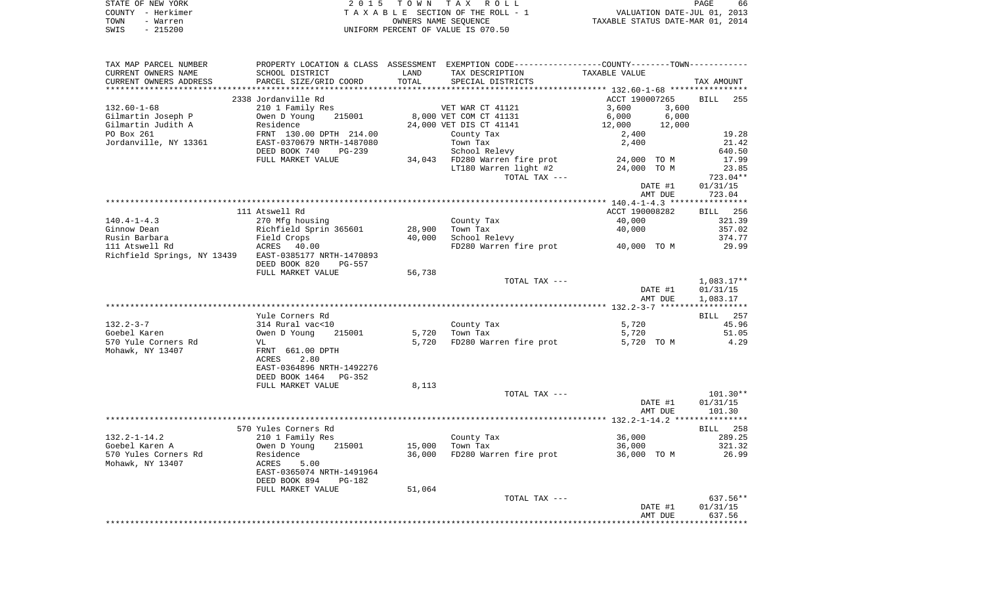|      | STATE OF NEW YORK | 2015 TOWN TAX ROLL                 | 66<br>PAGE                       |
|------|-------------------|------------------------------------|----------------------------------|
|      | COUNTY - Herkimer | TAXABLE SECTION OF THE ROLL - 1    | VALUATION DATE-JUL 01, 2013      |
| TOWN | - Warren          | OWNERS NAME SEOUENCE               | TAXABLE STATUS DATE-MAR 01, 2014 |
| SWIS | $-215200$         | UNIFORM PERCENT OF VALUE IS 070.50 |                                  |

| SCHOOL DISTRICT<br>LAND<br>TAX DESCRIPTION<br>TAXABLE VALUE<br>PARCEL SIZE/GRID COORD<br>TOTAL<br>SPECIAL DISTRICTS<br>TAX AMOUNT<br>ACCT 190007265<br>2338 Jordanville Rd<br><b>BILL</b><br>255<br>210 1 Family Res<br>VET WAR CT 41121<br>3,600<br>3,600<br>215001<br>8,000 VET COM CT 41131<br>6,000<br>6,000<br>Gilmartin Joseph P<br>Owen D Young<br>Gilmartin Judith A<br>Residence<br>24,000 VET DIS CT 41141<br>12,000<br>12,000<br>PO Box 261<br>FRNT 130.00 DPTH 214.00<br>19.28<br>County Tax<br>2,400<br>Jordanville, NY 13361<br>EAST-0370679 NRTH-1487080<br>Town Tax<br>2,400<br>21.42<br>DEED BOOK 740<br>School Relevy<br>640.50<br>$PG-239$<br>FULL MARKET VALUE<br>34,043 FD280 Warren fire prot<br>17.99<br>24,000 TO M<br>LT180 Warren light #2<br>23.85<br>24,000 TO M<br>TOTAL TAX ---<br>723.04**<br>01/31/15<br>DATE #1<br>723.04<br>AMT DUE<br>111 Atswell Rd<br>ACCT 190008282<br><b>BILL</b> 256<br>$140.4 - 1 - 4.3$<br>270 Mfg housing<br>County Tax<br>40,000<br>321.39<br>Ginnow Dean<br>Richfield Sprin 365601<br>28,900<br>Town Tax<br>40,000<br>357.02<br>Rusin Barbara<br>Field Crops<br>40,000<br>School Relevy<br>374.77<br>111 Atswell Rd<br>ACRES 40.00<br>FD280 Warren fire prot<br>29.99<br>40,000 TO M<br>Richfield Springs, NY 13439<br>EAST-0385177 NRTH-1470893<br>DEED BOOK 820<br>$PG-557$<br>FULL MARKET VALUE<br>56,738<br>TOTAL TAX ---<br>$1,083.17**$<br>DATE #1<br>01/31/15<br>AMT DUE<br>1,083.17<br>Yule Corners Rd<br>257<br>BILL<br>314 Rural vac<10<br>County Tax<br>5,720<br>45.96<br>5,720<br>Owen D Young<br>215001<br>Town Tax<br>5,720<br>51.05<br>4.29<br>5,720<br>FD280 Warren fire prot<br>5,720 TO M<br>VL<br>FRNT 661.00 DPTH<br>2.80<br><b>ACRES</b><br>EAST-0364896 NRTH-1492276<br>DEED BOOK 1464<br>PG-352<br>FULL MARKET VALUE<br>8,113<br>$101.30**$<br>TOTAL TAX ---<br>DATE #1<br>01/31/15<br>101.30<br>AMT DUE<br>570 Yules Corners Rd<br>258<br>BILL<br>$132.2 - 1 - 14.2$<br>36,000<br>289.25<br>210 1 Family Res<br>County Tax<br>Goebel Karen A<br>215001<br>15,000<br>Town Tax<br>321.32<br>Owen D Young<br>36,000<br>570 Yules Corners Rd<br>36,000<br>FD280 Warren fire prot<br>26.99<br>Residence<br>36,000 TO M<br>Mohawk, NY 13407<br>ACRES<br>5.00<br>EAST-0365074 NRTH-1491964<br>DEED BOOK 894<br>PG-182<br>FULL MARKET VALUE<br>51,064<br>$637.56**$<br>TOTAL TAX ---<br>01/31/15<br>DATE #1<br>AMT DUE<br>637.56<br>******** | TAX MAP PARCEL NUMBER  | PROPERTY LOCATION & CLASS ASSESSMENT EXEMPTION CODE---------------COUNTY-------TOWN---------- |  |  |
|---------------------------------------------------------------------------------------------------------------------------------------------------------------------------------------------------------------------------------------------------------------------------------------------------------------------------------------------------------------------------------------------------------------------------------------------------------------------------------------------------------------------------------------------------------------------------------------------------------------------------------------------------------------------------------------------------------------------------------------------------------------------------------------------------------------------------------------------------------------------------------------------------------------------------------------------------------------------------------------------------------------------------------------------------------------------------------------------------------------------------------------------------------------------------------------------------------------------------------------------------------------------------------------------------------------------------------------------------------------------------------------------------------------------------------------------------------------------------------------------------------------------------------------------------------------------------------------------------------------------------------------------------------------------------------------------------------------------------------------------------------------------------------------------------------------------------------------------------------------------------------------------------------------------------------------------------------------------------------------------------------------------------------------------------------------------------------------------------------------------------------------------------------------------------------------------------------------------------------------------------------------------------------------------------------------------------------------------------------------------------------------------------------------------------|------------------------|-----------------------------------------------------------------------------------------------|--|--|
|                                                                                                                                                                                                                                                                                                                                                                                                                                                                                                                                                                                                                                                                                                                                                                                                                                                                                                                                                                                                                                                                                                                                                                                                                                                                                                                                                                                                                                                                                                                                                                                                                                                                                                                                                                                                                                                                                                                                                                                                                                                                                                                                                                                                                                                                                                                                                                                                                           | CURRENT OWNERS NAME    |                                                                                               |  |  |
|                                                                                                                                                                                                                                                                                                                                                                                                                                                                                                                                                                                                                                                                                                                                                                                                                                                                                                                                                                                                                                                                                                                                                                                                                                                                                                                                                                                                                                                                                                                                                                                                                                                                                                                                                                                                                                                                                                                                                                                                                                                                                                                                                                                                                                                                                                                                                                                                                           | CURRENT OWNERS ADDRESS |                                                                                               |  |  |
|                                                                                                                                                                                                                                                                                                                                                                                                                                                                                                                                                                                                                                                                                                                                                                                                                                                                                                                                                                                                                                                                                                                                                                                                                                                                                                                                                                                                                                                                                                                                                                                                                                                                                                                                                                                                                                                                                                                                                                                                                                                                                                                                                                                                                                                                                                                                                                                                                           |                        |                                                                                               |  |  |
|                                                                                                                                                                                                                                                                                                                                                                                                                                                                                                                                                                                                                                                                                                                                                                                                                                                                                                                                                                                                                                                                                                                                                                                                                                                                                                                                                                                                                                                                                                                                                                                                                                                                                                                                                                                                                                                                                                                                                                                                                                                                                                                                                                                                                                                                                                                                                                                                                           |                        |                                                                                               |  |  |
|                                                                                                                                                                                                                                                                                                                                                                                                                                                                                                                                                                                                                                                                                                                                                                                                                                                                                                                                                                                                                                                                                                                                                                                                                                                                                                                                                                                                                                                                                                                                                                                                                                                                                                                                                                                                                                                                                                                                                                                                                                                                                                                                                                                                                                                                                                                                                                                                                           | $132.60 - 1 - 68$      |                                                                                               |  |  |
|                                                                                                                                                                                                                                                                                                                                                                                                                                                                                                                                                                                                                                                                                                                                                                                                                                                                                                                                                                                                                                                                                                                                                                                                                                                                                                                                                                                                                                                                                                                                                                                                                                                                                                                                                                                                                                                                                                                                                                                                                                                                                                                                                                                                                                                                                                                                                                                                                           |                        |                                                                                               |  |  |
|                                                                                                                                                                                                                                                                                                                                                                                                                                                                                                                                                                                                                                                                                                                                                                                                                                                                                                                                                                                                                                                                                                                                                                                                                                                                                                                                                                                                                                                                                                                                                                                                                                                                                                                                                                                                                                                                                                                                                                                                                                                                                                                                                                                                                                                                                                                                                                                                                           |                        |                                                                                               |  |  |
|                                                                                                                                                                                                                                                                                                                                                                                                                                                                                                                                                                                                                                                                                                                                                                                                                                                                                                                                                                                                                                                                                                                                                                                                                                                                                                                                                                                                                                                                                                                                                                                                                                                                                                                                                                                                                                                                                                                                                                                                                                                                                                                                                                                                                                                                                                                                                                                                                           |                        |                                                                                               |  |  |
|                                                                                                                                                                                                                                                                                                                                                                                                                                                                                                                                                                                                                                                                                                                                                                                                                                                                                                                                                                                                                                                                                                                                                                                                                                                                                                                                                                                                                                                                                                                                                                                                                                                                                                                                                                                                                                                                                                                                                                                                                                                                                                                                                                                                                                                                                                                                                                                                                           |                        |                                                                                               |  |  |
|                                                                                                                                                                                                                                                                                                                                                                                                                                                                                                                                                                                                                                                                                                                                                                                                                                                                                                                                                                                                                                                                                                                                                                                                                                                                                                                                                                                                                                                                                                                                                                                                                                                                                                                                                                                                                                                                                                                                                                                                                                                                                                                                                                                                                                                                                                                                                                                                                           |                        |                                                                                               |  |  |
|                                                                                                                                                                                                                                                                                                                                                                                                                                                                                                                                                                                                                                                                                                                                                                                                                                                                                                                                                                                                                                                                                                                                                                                                                                                                                                                                                                                                                                                                                                                                                                                                                                                                                                                                                                                                                                                                                                                                                                                                                                                                                                                                                                                                                                                                                                                                                                                                                           |                        |                                                                                               |  |  |
|                                                                                                                                                                                                                                                                                                                                                                                                                                                                                                                                                                                                                                                                                                                                                                                                                                                                                                                                                                                                                                                                                                                                                                                                                                                                                                                                                                                                                                                                                                                                                                                                                                                                                                                                                                                                                                                                                                                                                                                                                                                                                                                                                                                                                                                                                                                                                                                                                           |                        |                                                                                               |  |  |
|                                                                                                                                                                                                                                                                                                                                                                                                                                                                                                                                                                                                                                                                                                                                                                                                                                                                                                                                                                                                                                                                                                                                                                                                                                                                                                                                                                                                                                                                                                                                                                                                                                                                                                                                                                                                                                                                                                                                                                                                                                                                                                                                                                                                                                                                                                                                                                                                                           |                        |                                                                                               |  |  |
|                                                                                                                                                                                                                                                                                                                                                                                                                                                                                                                                                                                                                                                                                                                                                                                                                                                                                                                                                                                                                                                                                                                                                                                                                                                                                                                                                                                                                                                                                                                                                                                                                                                                                                                                                                                                                                                                                                                                                                                                                                                                                                                                                                                                                                                                                                                                                                                                                           |                        |                                                                                               |  |  |
|                                                                                                                                                                                                                                                                                                                                                                                                                                                                                                                                                                                                                                                                                                                                                                                                                                                                                                                                                                                                                                                                                                                                                                                                                                                                                                                                                                                                                                                                                                                                                                                                                                                                                                                                                                                                                                                                                                                                                                                                                                                                                                                                                                                                                                                                                                                                                                                                                           |                        |                                                                                               |  |  |
|                                                                                                                                                                                                                                                                                                                                                                                                                                                                                                                                                                                                                                                                                                                                                                                                                                                                                                                                                                                                                                                                                                                                                                                                                                                                                                                                                                                                                                                                                                                                                                                                                                                                                                                                                                                                                                                                                                                                                                                                                                                                                                                                                                                                                                                                                                                                                                                                                           |                        |                                                                                               |  |  |
|                                                                                                                                                                                                                                                                                                                                                                                                                                                                                                                                                                                                                                                                                                                                                                                                                                                                                                                                                                                                                                                                                                                                                                                                                                                                                                                                                                                                                                                                                                                                                                                                                                                                                                                                                                                                                                                                                                                                                                                                                                                                                                                                                                                                                                                                                                                                                                                                                           |                        |                                                                                               |  |  |
|                                                                                                                                                                                                                                                                                                                                                                                                                                                                                                                                                                                                                                                                                                                                                                                                                                                                                                                                                                                                                                                                                                                                                                                                                                                                                                                                                                                                                                                                                                                                                                                                                                                                                                                                                                                                                                                                                                                                                                                                                                                                                                                                                                                                                                                                                                                                                                                                                           |                        |                                                                                               |  |  |
|                                                                                                                                                                                                                                                                                                                                                                                                                                                                                                                                                                                                                                                                                                                                                                                                                                                                                                                                                                                                                                                                                                                                                                                                                                                                                                                                                                                                                                                                                                                                                                                                                                                                                                                                                                                                                                                                                                                                                                                                                                                                                                                                                                                                                                                                                                                                                                                                                           |                        |                                                                                               |  |  |
|                                                                                                                                                                                                                                                                                                                                                                                                                                                                                                                                                                                                                                                                                                                                                                                                                                                                                                                                                                                                                                                                                                                                                                                                                                                                                                                                                                                                                                                                                                                                                                                                                                                                                                                                                                                                                                                                                                                                                                                                                                                                                                                                                                                                                                                                                                                                                                                                                           |                        |                                                                                               |  |  |
|                                                                                                                                                                                                                                                                                                                                                                                                                                                                                                                                                                                                                                                                                                                                                                                                                                                                                                                                                                                                                                                                                                                                                                                                                                                                                                                                                                                                                                                                                                                                                                                                                                                                                                                                                                                                                                                                                                                                                                                                                                                                                                                                                                                                                                                                                                                                                                                                                           |                        |                                                                                               |  |  |
|                                                                                                                                                                                                                                                                                                                                                                                                                                                                                                                                                                                                                                                                                                                                                                                                                                                                                                                                                                                                                                                                                                                                                                                                                                                                                                                                                                                                                                                                                                                                                                                                                                                                                                                                                                                                                                                                                                                                                                                                                                                                                                                                                                                                                                                                                                                                                                                                                           |                        |                                                                                               |  |  |
|                                                                                                                                                                                                                                                                                                                                                                                                                                                                                                                                                                                                                                                                                                                                                                                                                                                                                                                                                                                                                                                                                                                                                                                                                                                                                                                                                                                                                                                                                                                                                                                                                                                                                                                                                                                                                                                                                                                                                                                                                                                                                                                                                                                                                                                                                                                                                                                                                           |                        |                                                                                               |  |  |
|                                                                                                                                                                                                                                                                                                                                                                                                                                                                                                                                                                                                                                                                                                                                                                                                                                                                                                                                                                                                                                                                                                                                                                                                                                                                                                                                                                                                                                                                                                                                                                                                                                                                                                                                                                                                                                                                                                                                                                                                                                                                                                                                                                                                                                                                                                                                                                                                                           |                        |                                                                                               |  |  |
|                                                                                                                                                                                                                                                                                                                                                                                                                                                                                                                                                                                                                                                                                                                                                                                                                                                                                                                                                                                                                                                                                                                                                                                                                                                                                                                                                                                                                                                                                                                                                                                                                                                                                                                                                                                                                                                                                                                                                                                                                                                                                                                                                                                                                                                                                                                                                                                                                           |                        |                                                                                               |  |  |
|                                                                                                                                                                                                                                                                                                                                                                                                                                                                                                                                                                                                                                                                                                                                                                                                                                                                                                                                                                                                                                                                                                                                                                                                                                                                                                                                                                                                                                                                                                                                                                                                                                                                                                                                                                                                                                                                                                                                                                                                                                                                                                                                                                                                                                                                                                                                                                                                                           |                        |                                                                                               |  |  |
|                                                                                                                                                                                                                                                                                                                                                                                                                                                                                                                                                                                                                                                                                                                                                                                                                                                                                                                                                                                                                                                                                                                                                                                                                                                                                                                                                                                                                                                                                                                                                                                                                                                                                                                                                                                                                                                                                                                                                                                                                                                                                                                                                                                                                                                                                                                                                                                                                           |                        |                                                                                               |  |  |
|                                                                                                                                                                                                                                                                                                                                                                                                                                                                                                                                                                                                                                                                                                                                                                                                                                                                                                                                                                                                                                                                                                                                                                                                                                                                                                                                                                                                                                                                                                                                                                                                                                                                                                                                                                                                                                                                                                                                                                                                                                                                                                                                                                                                                                                                                                                                                                                                                           |                        |                                                                                               |  |  |
|                                                                                                                                                                                                                                                                                                                                                                                                                                                                                                                                                                                                                                                                                                                                                                                                                                                                                                                                                                                                                                                                                                                                                                                                                                                                                                                                                                                                                                                                                                                                                                                                                                                                                                                                                                                                                                                                                                                                                                                                                                                                                                                                                                                                                                                                                                                                                                                                                           | $132.2 - 3 - 7$        |                                                                                               |  |  |
|                                                                                                                                                                                                                                                                                                                                                                                                                                                                                                                                                                                                                                                                                                                                                                                                                                                                                                                                                                                                                                                                                                                                                                                                                                                                                                                                                                                                                                                                                                                                                                                                                                                                                                                                                                                                                                                                                                                                                                                                                                                                                                                                                                                                                                                                                                                                                                                                                           | Goebel Karen           |                                                                                               |  |  |
|                                                                                                                                                                                                                                                                                                                                                                                                                                                                                                                                                                                                                                                                                                                                                                                                                                                                                                                                                                                                                                                                                                                                                                                                                                                                                                                                                                                                                                                                                                                                                                                                                                                                                                                                                                                                                                                                                                                                                                                                                                                                                                                                                                                                                                                                                                                                                                                                                           | 570 Yule Corners Rd    |                                                                                               |  |  |
|                                                                                                                                                                                                                                                                                                                                                                                                                                                                                                                                                                                                                                                                                                                                                                                                                                                                                                                                                                                                                                                                                                                                                                                                                                                                                                                                                                                                                                                                                                                                                                                                                                                                                                                                                                                                                                                                                                                                                                                                                                                                                                                                                                                                                                                                                                                                                                                                                           | Mohawk, NY 13407       |                                                                                               |  |  |
|                                                                                                                                                                                                                                                                                                                                                                                                                                                                                                                                                                                                                                                                                                                                                                                                                                                                                                                                                                                                                                                                                                                                                                                                                                                                                                                                                                                                                                                                                                                                                                                                                                                                                                                                                                                                                                                                                                                                                                                                                                                                                                                                                                                                                                                                                                                                                                                                                           |                        |                                                                                               |  |  |
|                                                                                                                                                                                                                                                                                                                                                                                                                                                                                                                                                                                                                                                                                                                                                                                                                                                                                                                                                                                                                                                                                                                                                                                                                                                                                                                                                                                                                                                                                                                                                                                                                                                                                                                                                                                                                                                                                                                                                                                                                                                                                                                                                                                                                                                                                                                                                                                                                           |                        |                                                                                               |  |  |
|                                                                                                                                                                                                                                                                                                                                                                                                                                                                                                                                                                                                                                                                                                                                                                                                                                                                                                                                                                                                                                                                                                                                                                                                                                                                                                                                                                                                                                                                                                                                                                                                                                                                                                                                                                                                                                                                                                                                                                                                                                                                                                                                                                                                                                                                                                                                                                                                                           |                        |                                                                                               |  |  |
|                                                                                                                                                                                                                                                                                                                                                                                                                                                                                                                                                                                                                                                                                                                                                                                                                                                                                                                                                                                                                                                                                                                                                                                                                                                                                                                                                                                                                                                                                                                                                                                                                                                                                                                                                                                                                                                                                                                                                                                                                                                                                                                                                                                                                                                                                                                                                                                                                           |                        |                                                                                               |  |  |
|                                                                                                                                                                                                                                                                                                                                                                                                                                                                                                                                                                                                                                                                                                                                                                                                                                                                                                                                                                                                                                                                                                                                                                                                                                                                                                                                                                                                                                                                                                                                                                                                                                                                                                                                                                                                                                                                                                                                                                                                                                                                                                                                                                                                                                                                                                                                                                                                                           |                        |                                                                                               |  |  |
|                                                                                                                                                                                                                                                                                                                                                                                                                                                                                                                                                                                                                                                                                                                                                                                                                                                                                                                                                                                                                                                                                                                                                                                                                                                                                                                                                                                                                                                                                                                                                                                                                                                                                                                                                                                                                                                                                                                                                                                                                                                                                                                                                                                                                                                                                                                                                                                                                           |                        |                                                                                               |  |  |
|                                                                                                                                                                                                                                                                                                                                                                                                                                                                                                                                                                                                                                                                                                                                                                                                                                                                                                                                                                                                                                                                                                                                                                                                                                                                                                                                                                                                                                                                                                                                                                                                                                                                                                                                                                                                                                                                                                                                                                                                                                                                                                                                                                                                                                                                                                                                                                                                                           |                        |                                                                                               |  |  |
|                                                                                                                                                                                                                                                                                                                                                                                                                                                                                                                                                                                                                                                                                                                                                                                                                                                                                                                                                                                                                                                                                                                                                                                                                                                                                                                                                                                                                                                                                                                                                                                                                                                                                                                                                                                                                                                                                                                                                                                                                                                                                                                                                                                                                                                                                                                                                                                                                           |                        |                                                                                               |  |  |
|                                                                                                                                                                                                                                                                                                                                                                                                                                                                                                                                                                                                                                                                                                                                                                                                                                                                                                                                                                                                                                                                                                                                                                                                                                                                                                                                                                                                                                                                                                                                                                                                                                                                                                                                                                                                                                                                                                                                                                                                                                                                                                                                                                                                                                                                                                                                                                                                                           |                        |                                                                                               |  |  |
|                                                                                                                                                                                                                                                                                                                                                                                                                                                                                                                                                                                                                                                                                                                                                                                                                                                                                                                                                                                                                                                                                                                                                                                                                                                                                                                                                                                                                                                                                                                                                                                                                                                                                                                                                                                                                                                                                                                                                                                                                                                                                                                                                                                                                                                                                                                                                                                                                           |                        |                                                                                               |  |  |
|                                                                                                                                                                                                                                                                                                                                                                                                                                                                                                                                                                                                                                                                                                                                                                                                                                                                                                                                                                                                                                                                                                                                                                                                                                                                                                                                                                                                                                                                                                                                                                                                                                                                                                                                                                                                                                                                                                                                                                                                                                                                                                                                                                                                                                                                                                                                                                                                                           |                        |                                                                                               |  |  |
|                                                                                                                                                                                                                                                                                                                                                                                                                                                                                                                                                                                                                                                                                                                                                                                                                                                                                                                                                                                                                                                                                                                                                                                                                                                                                                                                                                                                                                                                                                                                                                                                                                                                                                                                                                                                                                                                                                                                                                                                                                                                                                                                                                                                                                                                                                                                                                                                                           |                        |                                                                                               |  |  |
|                                                                                                                                                                                                                                                                                                                                                                                                                                                                                                                                                                                                                                                                                                                                                                                                                                                                                                                                                                                                                                                                                                                                                                                                                                                                                                                                                                                                                                                                                                                                                                                                                                                                                                                                                                                                                                                                                                                                                                                                                                                                                                                                                                                                                                                                                                                                                                                                                           |                        |                                                                                               |  |  |
|                                                                                                                                                                                                                                                                                                                                                                                                                                                                                                                                                                                                                                                                                                                                                                                                                                                                                                                                                                                                                                                                                                                                                                                                                                                                                                                                                                                                                                                                                                                                                                                                                                                                                                                                                                                                                                                                                                                                                                                                                                                                                                                                                                                                                                                                                                                                                                                                                           |                        |                                                                                               |  |  |
|                                                                                                                                                                                                                                                                                                                                                                                                                                                                                                                                                                                                                                                                                                                                                                                                                                                                                                                                                                                                                                                                                                                                                                                                                                                                                                                                                                                                                                                                                                                                                                                                                                                                                                                                                                                                                                                                                                                                                                                                                                                                                                                                                                                                                                                                                                                                                                                                                           |                        |                                                                                               |  |  |
|                                                                                                                                                                                                                                                                                                                                                                                                                                                                                                                                                                                                                                                                                                                                                                                                                                                                                                                                                                                                                                                                                                                                                                                                                                                                                                                                                                                                                                                                                                                                                                                                                                                                                                                                                                                                                                                                                                                                                                                                                                                                                                                                                                                                                                                                                                                                                                                                                           |                        |                                                                                               |  |  |
|                                                                                                                                                                                                                                                                                                                                                                                                                                                                                                                                                                                                                                                                                                                                                                                                                                                                                                                                                                                                                                                                                                                                                                                                                                                                                                                                                                                                                                                                                                                                                                                                                                                                                                                                                                                                                                                                                                                                                                                                                                                                                                                                                                                                                                                                                                                                                                                                                           |                        |                                                                                               |  |  |
|                                                                                                                                                                                                                                                                                                                                                                                                                                                                                                                                                                                                                                                                                                                                                                                                                                                                                                                                                                                                                                                                                                                                                                                                                                                                                                                                                                                                                                                                                                                                                                                                                                                                                                                                                                                                                                                                                                                                                                                                                                                                                                                                                                                                                                                                                                                                                                                                                           |                        |                                                                                               |  |  |
|                                                                                                                                                                                                                                                                                                                                                                                                                                                                                                                                                                                                                                                                                                                                                                                                                                                                                                                                                                                                                                                                                                                                                                                                                                                                                                                                                                                                                                                                                                                                                                                                                                                                                                                                                                                                                                                                                                                                                                                                                                                                                                                                                                                                                                                                                                                                                                                                                           |                        |                                                                                               |  |  |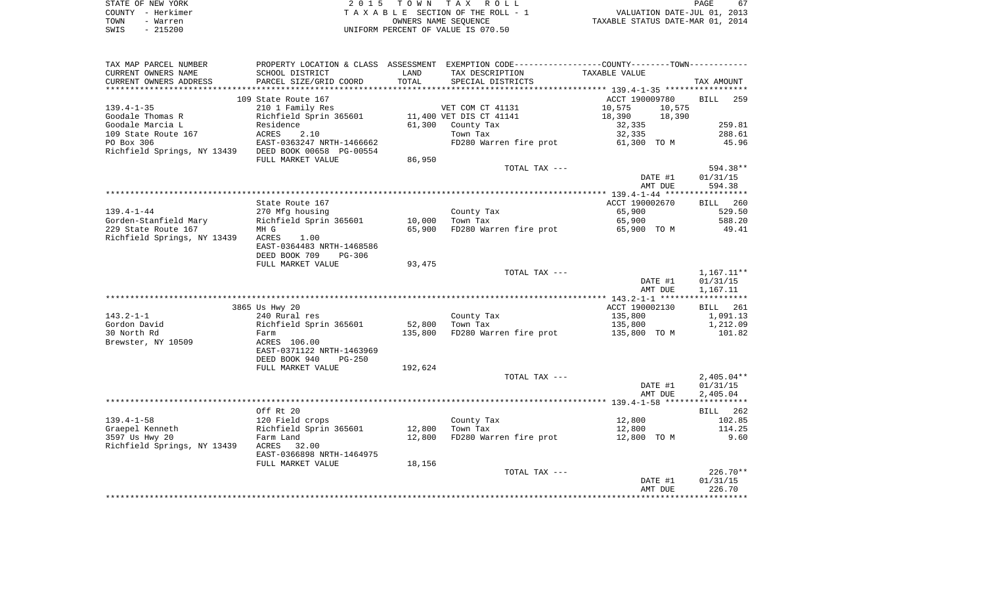| STATE OF NEW YORK | 2015 TOWN TAX ROLL                 | 67<br>PAGE                       |
|-------------------|------------------------------------|----------------------------------|
| COUNTY - Herkimer | TAXABLE SECTION OF THE ROLL - 1    | VALUATION DATE-JUL 01, 2013      |
| TOWN<br>- Warren  | OWNERS NAME SEOUENCE               | TAXABLE STATUS DATE-MAR 01, 2014 |
| - 215200<br>SWIS  | UNIFORM PERCENT OF VALUE IS 070.50 |                                  |

| TAX MAP PARCEL NUMBER       |                               |         | PROPERTY LOCATION & CLASS ASSESSMENT EXEMPTION CODE----------------COUNTY--------TOWN----------- |                  |                         |
|-----------------------------|-------------------------------|---------|--------------------------------------------------------------------------------------------------|------------------|-------------------------|
| CURRENT OWNERS NAME         | SCHOOL DISTRICT               | LAND    | TAX DESCRIPTION                                                                                  | TAXABLE VALUE    |                         |
| CURRENT OWNERS ADDRESS      | PARCEL SIZE/GRID COORD        | TOTAL   | SPECIAL DISTRICTS                                                                                |                  | TAX AMOUNT              |
| **********************      | ***************************** |         |                                                                                                  |                  |                         |
|                             | 109 State Route 167           |         |                                                                                                  | ACCT 190009780   | 259<br><b>BILL</b>      |
| $139.4 - 1 - 35$            | 210 1 Family Res              |         | VET COM CT 41131                                                                                 | 10,575<br>10,575 |                         |
| Goodale Thomas R            | Richfield Sprin 365601        |         | 11,400 VET DIS CT 41141                                                                          | 18,390<br>18,390 |                         |
| Goodale Marcia L            | Residence                     | 61,300  | County Tax                                                                                       | 32,335           | 259.81                  |
| 109 State Route 167         | 2.10<br>ACRES                 |         | Town Tax                                                                                         | 32,335           | 288.61                  |
| PO Box 306                  | EAST-0363247 NRTH-1466662     |         | FD280 Warren fire prot                                                                           | 61,300 TO M      | 45.96                   |
| Richfield Springs, NY 13439 | DEED BOOK 00658 PG-00554      |         |                                                                                                  |                  |                         |
|                             | FULL MARKET VALUE             | 86,950  |                                                                                                  |                  |                         |
|                             |                               |         | TOTAL TAX ---                                                                                    |                  | 594.38**                |
|                             |                               |         |                                                                                                  | DATE #1          | 01/31/15                |
|                             |                               |         |                                                                                                  | AMT DUE          | 594.38                  |
|                             |                               |         |                                                                                                  |                  |                         |
|                             | State Route 167               |         |                                                                                                  | ACCT 190002670   | BILL 260                |
| $139.4 - 1 - 44$            | 270 Mfg housing               |         | County Tax                                                                                       | 65,900           | 529.50                  |
| Gorden-Stanfield Mary       | Richfield Sprin 365601        | 10,000  | Town Tax                                                                                         | 65,900           | 588.20                  |
| 229 State Route 167         | MH G                          | 65,900  | FD280 Warren fire prot                                                                           | 65,900 TO M      | 49.41                   |
| Richfield Springs, NY 13439 | ACRES<br>1.00                 |         |                                                                                                  |                  |                         |
|                             | EAST-0364483 NRTH-1468586     |         |                                                                                                  |                  |                         |
|                             | DEED BOOK 709<br>$PG-306$     |         |                                                                                                  |                  |                         |
|                             | FULL MARKET VALUE             | 93,475  |                                                                                                  |                  |                         |
|                             |                               |         | TOTAL TAX ---                                                                                    | DATE #1          | 1,167.11**<br>01/31/15  |
|                             |                               |         |                                                                                                  | AMT DUE          | 1,167.11                |
|                             |                               |         |                                                                                                  |                  |                         |
|                             | 3865 Us Hwy 20                |         |                                                                                                  | ACCT 190002130   | 261<br>BILL             |
| $143.2 - 1 - 1$             | 240 Rural res                 |         | County Tax                                                                                       | 135,800          | 1,091.13                |
| Gordon David                | Richfield Sprin 365601        | 52,800  | Town Tax                                                                                         | 135,800          | 1,212.09                |
| 30 North Rd                 | Farm                          | 135,800 | FD280 Warren fire prot                                                                           | 135,800 TO M     | 101.82                  |
| Brewster, NY 10509          | ACRES 106.00                  |         |                                                                                                  |                  |                         |
|                             | EAST-0371122 NRTH-1463969     |         |                                                                                                  |                  |                         |
|                             | DEED BOOK 940<br>$PG-250$     |         |                                                                                                  |                  |                         |
|                             | FULL MARKET VALUE             | 192,624 |                                                                                                  |                  |                         |
|                             |                               |         | TOTAL TAX ---                                                                                    |                  | $2,405.04**$            |
|                             |                               |         |                                                                                                  | DATE #1          | 01/31/15                |
|                             |                               |         |                                                                                                  | AMT DUE          | 2,405.04                |
|                             |                               |         |                                                                                                  |                  | * * * * * * * * * * * * |
|                             | Off Rt 20                     |         |                                                                                                  |                  | BILL 262                |
| $139.4 - 1 - 58$            | 120 Field crops               |         | County Tax                                                                                       | 12,800           | 102.85                  |
| Graepel Kenneth             | Richfield Sprin 365601        | 12,800  | Town Tax                                                                                         | 12,800           | 114.25                  |
| 3597 Us Hwy 20              | Farm Land                     | 12,800  | FD280 Warren fire prot                                                                           | 12,800 TO M      | 9.60                    |
| Richfield Springs, NY 13439 | ACRES<br>32.00                |         |                                                                                                  |                  |                         |
|                             | EAST-0366898 NRTH-1464975     |         |                                                                                                  |                  |                         |
|                             | FULL MARKET VALUE             | 18,156  |                                                                                                  |                  |                         |
|                             |                               |         | TOTAL TAX ---                                                                                    |                  | $226.70**$              |
|                             |                               |         |                                                                                                  | DATE #1          | 01/31/15                |
|                             |                               |         |                                                                                                  | AMT DUE          | 226.70                  |
|                             |                               |         |                                                                                                  |                  |                         |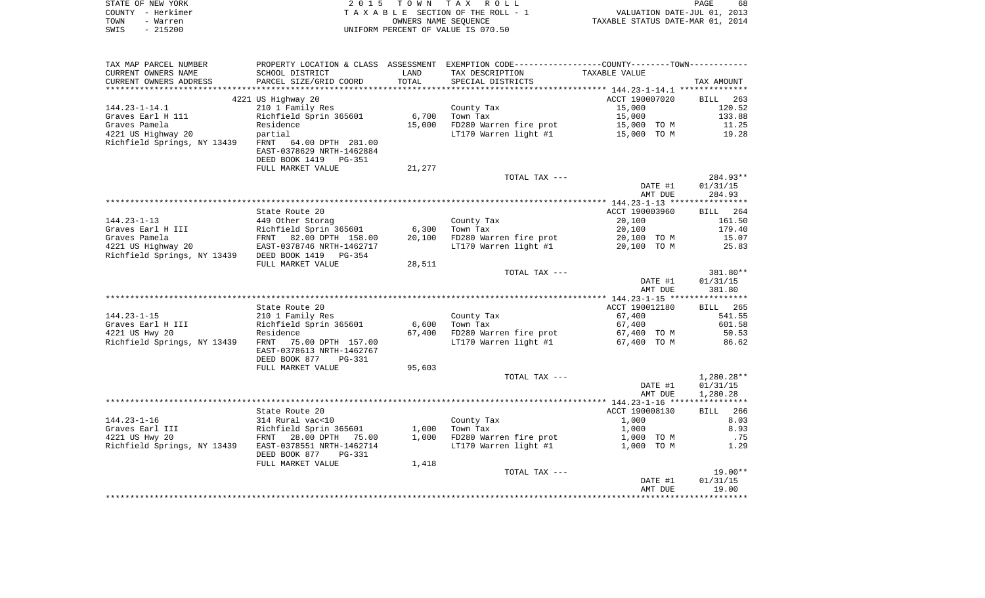| STATE OF NEW YORK | 2015 TOWN TAX ROLL                                             | PAGE | 68 |
|-------------------|----------------------------------------------------------------|------|----|
| COUNTY - Herkimer | VALUATION DATE-JUL 01, 2013<br>TAXABLE SECTION OF THE ROLL - 1 |      |    |
| TOWN<br>- Warren  | TAXABLE STATUS DATE-MAR 01, 2014<br>OWNERS NAME SEOUENCE       |      |    |
| - 215200<br>SWIS  | UNIFORM PERCENT OF VALUE IS 070.50                             |      |    |

 $68$ <br> $2013$ <br> $2014$ 

| TAX MAP PARCEL NUMBER       | PROPERTY LOCATION & CLASS ASSESSMENT EXEMPTION CODE---------------COUNTY-------TOWN---------- |        |                                     |                |                 |
|-----------------------------|-----------------------------------------------------------------------------------------------|--------|-------------------------------------|----------------|-----------------|
| CURRENT OWNERS NAME         | SCHOOL DISTRICT                                                                               | LAND   | TAX DESCRIPTION                     | TAXABLE VALUE  |                 |
| CURRENT OWNERS ADDRESS      | PARCEL SIZE/GRID COORD                                                                        | TOTAL  | SPECIAL DISTRICTS                   |                | TAX AMOUNT      |
|                             |                                                                                               |        |                                     |                |                 |
|                             | 4221 US Highway 20                                                                            |        |                                     | ACCT 190007020 | BILL 263        |
| $144.23 - 1 - 14.1$         | 210 1 Family Res                                                                              |        | County Tax                          | 15,000         | 120.52          |
| Graves Earl H 111           | Richfield Sprin 365601                                                                        | 6,700  | Town Tax                            | 15,000         | 133.88          |
| Graves Pamela               | Residence                                                                                     | 15,000 | FD280 Warren fire prot              | 15,000 TO M    | 11.25           |
|                             |                                                                                               |        |                                     |                |                 |
| 4221 US Highway 20          | partial                                                                                       |        | LT170 Warren light #1 15,000 TO M   |                | 19.28           |
| Richfield Springs, NY 13439 | FRNT 64.00 DPTH 281.00                                                                        |        |                                     |                |                 |
|                             | EAST-0378629 NRTH-1462884                                                                     |        |                                     |                |                 |
|                             | DEED BOOK 1419 PG-351                                                                         |        |                                     |                |                 |
|                             | FULL MARKET VALUE                                                                             | 21,277 |                                     |                |                 |
|                             |                                                                                               |        | TOTAL TAX ---                       |                | 284.93**        |
|                             |                                                                                               |        |                                     | DATE #1        | 01/31/15        |
|                             |                                                                                               |        |                                     | AMT DUE        | 284.93          |
|                             |                                                                                               |        |                                     |                |                 |
|                             | State Route 20                                                                                |        |                                     | ACCT 190003960 | BILL 264        |
| $144.23 - 1 - 13$           | 449 Other Storag                                                                              |        | County Tax                          | 20,100         | 161.50          |
| Graves Earl H III           | Richfield Sprin 365601                                                                        | 6,300  | Town Tax                            | 20,100         | 179.40          |
| Graves Pamela               |                                                                                               |        | FD280 Warren fire prot              |                |                 |
|                             | FRNT 82.00 DPTH 158.00                                                                        | 20,100 | LT170 Warren light #1               | 20,100 TO M    | 15.07           |
| 4221 US Highway 20          | EAST-0378746 NRTH-1462717                                                                     |        |                                     | 20,100 TO M    | 25.83           |
| Richfield Springs, NY 13439 | DEED BOOK 1419 PG-354                                                                         |        |                                     |                |                 |
|                             | FULL MARKET VALUE                                                                             | 28,511 |                                     |                |                 |
|                             |                                                                                               |        | TOTAL TAX ---                       |                | 381.80**        |
|                             |                                                                                               |        |                                     | DATE #1        | 01/31/15        |
|                             |                                                                                               |        |                                     | AMT DUE        | 381.80          |
|                             |                                                                                               |        |                                     |                |                 |
|                             | State Route 20                                                                                |        |                                     | ACCT 190012180 | <b>BILL</b> 265 |
| $144.23 - 1 - 15$           | 210 1 Family Res                                                                              |        | County Tax                          | 67,400         | 541.55          |
| Graves Earl H III           | Richfield Sprin 365601                                                                        | 6,600  | Town Tax                            | 67,400         | 601.58          |
| 4221 US Hwy 20              | Residence                                                                                     | 67,400 | FD280 Warren fire prot              | 67,400 TO M    | 50.53           |
| Richfield Springs, NY 13439 | FRNT<br>75.00 DPTH 157.00                                                                     |        | LT170 Warren light #1 $67,400$ TO M |                | 86.62           |
|                             | EAST-0378613 NRTH-1462767                                                                     |        |                                     |                |                 |
|                             | DEED BOOK 877<br>PG-331                                                                       |        |                                     |                |                 |
|                             |                                                                                               |        |                                     |                |                 |
|                             | FULL MARKET VALUE                                                                             | 95,603 |                                     |                |                 |
|                             |                                                                                               |        | TOTAL TAX ---                       |                | $1,280.28**$    |
|                             |                                                                                               |        |                                     | DATE #1        | 01/31/15        |
|                             |                                                                                               |        |                                     | AMT DUE        | 1,280.28        |
|                             |                                                                                               |        |                                     |                |                 |
|                             | State Route 20                                                                                |        |                                     | ACCT 190008130 | BILL 266        |
| $144.23 - 1 - 16$           | 314 Rural vac<10                                                                              |        | County Tax                          | 1,000          | 8.03            |
| Graves Earl III             | Richfield Sprin 365601                                                                        | 1,000  | Town Tax                            | 1,000          | 8.93            |
| 4221 US Hwy 20              | FRNT 28.00 DPTH<br>75.00                                                                      | 1,000  | FD280 Warren fire prot              | 1,000 TO M     | .75             |
| Richfield Springs, NY 13439 | EAST-0378551 NRTH-1462714                                                                     |        | LT170 Warren light #1               | 1,000 TO M     | 1.29            |
|                             | DEED BOOK 877<br>PG-331                                                                       |        |                                     |                |                 |
|                             | FULL MARKET VALUE                                                                             | 1,418  |                                     |                |                 |
|                             |                                                                                               |        | TOTAL TAX ---                       |                | $19.00**$       |
|                             |                                                                                               |        |                                     | DATE #1        | 01/31/15        |
|                             |                                                                                               |        |                                     | AMT DUE        | 19.00           |
|                             |                                                                                               |        |                                     |                |                 |
|                             |                                                                                               |        |                                     |                |                 |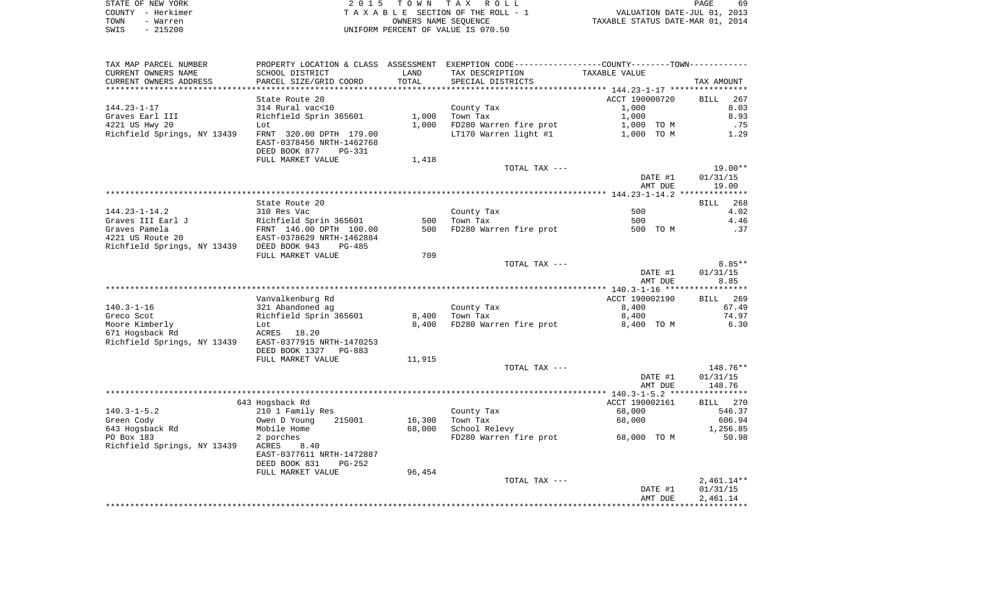|      | STATE OF NEW YORK | 2015 TOWN TAX ROLL                 | PAGE                             |
|------|-------------------|------------------------------------|----------------------------------|
|      | COUNTY - Herkimer | TAXABLE SECTION OF THE ROLL - 1    | VALUATION DATE-JUL 01, 2013      |
| TOWN | - Warren          | OWNERS NAME SEOUENCE               | TAXABLE STATUS DATE-MAR 01, 2014 |
| SWIS | $-215200$         | UNIFORM PERCENT OF VALUE IS 070.50 |                                  |

| TAX MAP PARCEL NUMBER                                 | PROPERTY LOCATION & CLASS ASSESSMENT EXEMPTION CODE---------------COUNTY-------TOWN---------- |        |                                    |                |                    |
|-------------------------------------------------------|-----------------------------------------------------------------------------------------------|--------|------------------------------------|----------------|--------------------|
| CURRENT OWNERS NAME                                   | SCHOOL DISTRICT                                                                               | LAND   | TAX DESCRIPTION                    | TAXABLE VALUE  |                    |
| CURRENT OWNERS ADDRESS                                | PARCEL SIZE/GRID COORD                                                                        | TOTAL  | SPECIAL DISTRICTS                  |                | TAX AMOUNT         |
|                                                       |                                                                                               |        |                                    |                |                    |
|                                                       | State Route 20                                                                                |        |                                    | ACCT 190000720 | 267<br>BILL        |
| 144.23-1-17                                           | 314 Rural vac<10                                                                              |        | County Tax                         | 1,000          | 8.03               |
| Graves Earl III                                       | Richfield Sprin 365601                                                                        | 1,000  | Town Tax                           | 1,000          | 8.93               |
| 4221 US Hwy 20                                        | Lot                                                                                           | 1,000  | FD280 Warren fire prot             | 1,000 TO M     | .75                |
| Richfield Springs, NY 13439                           |                                                                                               |        | LT170 Warren light #1              |                | 1.29               |
|                                                       | FRNT 320.00 DPTH 179.00<br>EAST-0378456 NRTH-1462768                                          |        |                                    | 1,000 TO M     |                    |
|                                                       |                                                                                               |        |                                    |                |                    |
|                                                       | DEED BOOK 877<br>PG-331                                                                       |        |                                    |                |                    |
|                                                       | FULL MARKET VALUE                                                                             | 1,418  |                                    |                |                    |
|                                                       |                                                                                               |        | TOTAL TAX ---                      |                | 19.00**            |
|                                                       |                                                                                               |        |                                    | DATE #1        | 01/31/15           |
|                                                       |                                                                                               |        |                                    | AMT DUE        | 19.00              |
|                                                       |                                                                                               |        |                                    |                |                    |
|                                                       | State Route 20                                                                                |        |                                    |                | 268<br>BILL        |
| $144.23 - 1 - 14.2$                                   | 310 Res Vac                                                                                   |        | County Tax                         | 500            | 4.02               |
| Graves III Earl J                                     | Richfield Sprin 365601                                                                        | 500    | Town Tax                           | 500            | 4.46               |
| Graves Pamela                                         |                                                                                               | 500    | FD280 Warren fire prot             | 500 TO M       | .37                |
| 4221 US Route 20                                      | FRNT 146.00 DPTH 100.00<br>EAST-0378629 NRTH-1462884                                          |        |                                    |                |                    |
| Richfield Springs, NY 13439 DEED BOOK 943             | $PG-485$                                                                                      |        |                                    |                |                    |
|                                                       | FULL MARKET VALUE                                                                             | 709    |                                    |                |                    |
|                                                       |                                                                                               |        | TOTAL TAX ---                      |                | $8.85**$           |
|                                                       |                                                                                               |        |                                    | DATE #1        | 01/31/15           |
|                                                       |                                                                                               |        |                                    |                |                    |
|                                                       |                                                                                               |        |                                    | AMT DUE        | 8.85               |
|                                                       |                                                                                               |        |                                    |                |                    |
|                                                       | Vanvalkenburg Rd                                                                              |        |                                    | ACCT 190002190 | BILL 269           |
| $140.3 - 1 - 16$                                      | 321 Abandoned ag                                                                              |        | County Tax                         | 8,400          | 67.49              |
| Greco Scot                                            | Richfield Sprin 365601                                                                        | 8,400  | Town Tax                           | 8,400          | 74.97              |
| Moore Kimberly                                        | Lot                                                                                           | 8,400  | FD280 Warren fire prot             | 8,400 TO M     | 6.30               |
| 671 Hogsback Rd                                       | ACRES 18.20                                                                                   |        |                                    |                |                    |
| Richfield Springs, NY 13439 EAST-0377915 NRTH-1470253 |                                                                                               |        |                                    |                |                    |
|                                                       | DEED BOOK 1327<br>PG-883                                                                      |        |                                    |                |                    |
|                                                       | FULL MARKET VALUE                                                                             | 11,915 |                                    |                |                    |
|                                                       |                                                                                               |        | TOTAL TAX ---                      |                | 148.76**           |
|                                                       |                                                                                               |        |                                    | DATE #1        | 01/31/15           |
|                                                       |                                                                                               |        |                                    | AMT DUE        | 148.76             |
|                                                       |                                                                                               |        |                                    |                |                    |
|                                                       | 643 Hogsback Rd                                                                               |        |                                    | ACCT 190002161 | BILL 270           |
|                                                       |                                                                                               |        |                                    |                | 546.37             |
|                                                       |                                                                                               |        |                                    |                |                    |
| $140.3 - 1 - 5.2$                                     | 210 1 Family Res                                                                              |        | County Tax                         | 68,000         |                    |
| Green Cody                                            | Owen D Young<br>215001                                                                        | 16,300 | Town Tax                           | 68,000         |                    |
| 643 Hogsback Rd                                       | Mobile Home                                                                                   | 68,000 | School Relevy                      |                | 606.94<br>1,256.85 |
| PO Box 183                                            | 2 porches                                                                                     |        | FD280 Warren fire prot 68,000 TO M |                | 50.98              |
| Richfield Springs, NY 13439                           | ACRES<br>8.40                                                                                 |        |                                    |                |                    |
|                                                       | EAST-0377611 NRTH-1472887                                                                     |        |                                    |                |                    |
|                                                       | DEED BOOK 831<br>$PG-252$                                                                     |        |                                    |                |                    |
|                                                       | FULL MARKET VALUE                                                                             | 96,454 |                                    |                |                    |
|                                                       |                                                                                               |        | TOTAL TAX ---                      |                | $2,461.14**$       |
|                                                       |                                                                                               |        |                                    | DATE #1        | 01/31/15           |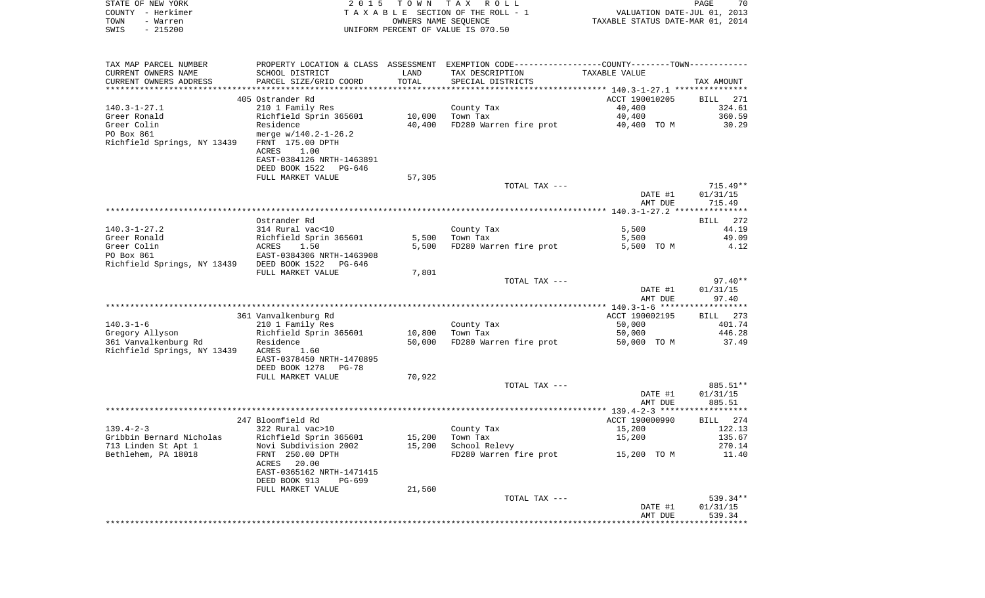|      | STATE OF NEW YORK | 2015 TOWN TAX ROLL                 | PAGE                             | 70 |
|------|-------------------|------------------------------------|----------------------------------|----|
|      | COUNTY - Herkimer | TAXABLE SECTION OF THE ROLL - 1    | VALUATION DATE-JUL 01, 2013      |    |
| TOWN | - Warren          | OWNERS NAME SEOUENCE               | TAXABLE STATUS DATE-MAR 01, 2014 |    |
| SWIS | $-215200$         | UNIFORM PERCENT OF VALUE IS 070.50 |                                  |    |

| TAX MAP PARCEL NUMBER                      | PROPERTY LOCATION & CLASS ASSESSMENT EXEMPTION CODE---------------COUNTY-------TOWN---------- |        |                        |                |             |
|--------------------------------------------|-----------------------------------------------------------------------------------------------|--------|------------------------|----------------|-------------|
| CURRENT OWNERS NAME                        | SCHOOL DISTRICT                                                                               | LAND   | TAX DESCRIPTION        | TAXABLE VALUE  |             |
| CURRENT OWNERS ADDRESS                     | PARCEL SIZE/GRID COORD                                                                        | TOTAL  | SPECIAL DISTRICTS      |                | TAX AMOUNT  |
|                                            |                                                                                               |        |                        |                |             |
|                                            | 405 Ostrander Rd                                                                              |        |                        | ACCT 190010205 | BILL 271    |
| $140.3 - 1 - 27.1$                         | 210 1 Family Res                                                                              |        | County Tax             | 40,400         | 324.61      |
| Greer Ronald                               | Richfield Sprin 365601                                                                        | 10,000 | Town Tax               | 40,400         | 360.59      |
| Greer Colin                                | Residence                                                                                     | 40,400 | FD280 Warren fire prot | 40,400 TO M    | 30.29       |
| PO Box 861                                 | merge $w/140.2 - 1 - 26.2$                                                                    |        |                        |                |             |
| Richfield Springs, NY 13439                | FRNT 175.00 DPTH                                                                              |        |                        |                |             |
|                                            | ACRES<br>1.00                                                                                 |        |                        |                |             |
|                                            | EAST-0384126 NRTH-1463891                                                                     |        |                        |                |             |
|                                            | DEED BOOK 1522<br>PG-646<br>FULL MARKET VALUE                                                 | 57,305 |                        |                |             |
|                                            |                                                                                               |        | TOTAL TAX ---          |                | $715.49**$  |
|                                            |                                                                                               |        |                        | DATE #1        | 01/31/15    |
|                                            |                                                                                               |        |                        | AMT DUE        | 715.49      |
|                                            |                                                                                               |        |                        |                |             |
|                                            | Ostrander Rd                                                                                  |        |                        |                | 272<br>BILL |
| $140.3 - 1 - 27.2$                         | 314 Rural vac<10                                                                              |        | County Tax             | 5,500          | 44.19       |
| Greer Ronald                               | Richfield Sprin 365601                                                                        | 5,500  | Town Tax               | 5,500          | 49.09       |
| Greer Colin                                | 1.50<br>ACRES                                                                                 | 5,500  | FD280 Warren fire prot | 5,500 TO M     | 4.12        |
| PO Box 861                                 | EAST-0384306 NRTH-1463908                                                                     |        |                        |                |             |
| Richfield Springs, NY 13439 DEED BOOK 1522 | PG-646                                                                                        |        |                        |                |             |
|                                            | FULL MARKET VALUE                                                                             | 7,801  |                        |                |             |
|                                            |                                                                                               |        | TOTAL TAX ---          |                | $97.40**$   |
|                                            |                                                                                               |        |                        | DATE #1        | 01/31/15    |
|                                            |                                                                                               |        |                        | AMT DUE        | 97.40       |
|                                            |                                                                                               |        |                        |                |             |
|                                            | 361 Vanvalkenburg Rd                                                                          |        |                        | ACCT 190002195 | BILL 273    |
| $140.3 - 1 - 6$                            | 210 1 Family Res                                                                              |        | County Tax             | 50,000         | 401.74      |
| Gregory Allyson                            | Richfield Sprin 365601                                                                        | 10,800 | Town Tax               | 50,000         | 446.28      |
| 361 Vanvalkenburg Rd                       | Residence                                                                                     | 50,000 | FD280 Warren fire prot | 50,000 TO M    | 37.49       |
| Richfield Springs, NY 13439                | ACRES<br>1.60                                                                                 |        |                        |                |             |
|                                            | EAST-0378450 NRTH-1470895                                                                     |        |                        |                |             |
|                                            | DEED BOOK 1278<br>PG-78                                                                       |        |                        |                |             |
|                                            | FULL MARKET VALUE                                                                             | 70,922 |                        |                |             |
|                                            |                                                                                               |        | TOTAL TAX ---          |                | 885.51**    |
|                                            |                                                                                               |        |                        | DATE #1        | 01/31/15    |
|                                            |                                                                                               |        |                        | AMT DUE        | 885.51      |
|                                            | 247 Bloomfield Rd                                                                             |        |                        | ACCT 190000990 | BILL 274    |
| $139.4 - 2 - 3$                            | 322 Rural vac>10                                                                              |        | County Tax             | 15,200         | 122.13      |
| Gribbin Bernard Nicholas                   | Richfield Sprin 365601                                                                        | 15,200 | Town Tax               | 15,200         | 135.67      |
| 713 Linden St Apt 1                        | Novi Subdivision 2002                                                                         | 15,200 | School Relevy          |                | 270.14      |
| Bethlehem, PA 18018                        | FRNT 250.00 DPTH                                                                              |        | FD280 Warren fire prot | 15,200 TO M    | 11.40       |
|                                            | 20.00<br>ACRES                                                                                |        |                        |                |             |
|                                            | EAST-0365162 NRTH-1471415                                                                     |        |                        |                |             |
|                                            | DEED BOOK 913<br>$PG-699$                                                                     |        |                        |                |             |
|                                            | FULL MARKET VALUE                                                                             | 21,560 |                        |                |             |
|                                            |                                                                                               |        | TOTAL TAX ---          |                | 539.34**    |
|                                            |                                                                                               |        |                        | DATE #1        | 01/31/15    |
|                                            |                                                                                               |        |                        | AMT DUE        | 539.34      |
|                                            |                                                                                               |        |                        |                |             |
|                                            |                                                                                               |        |                        |                |             |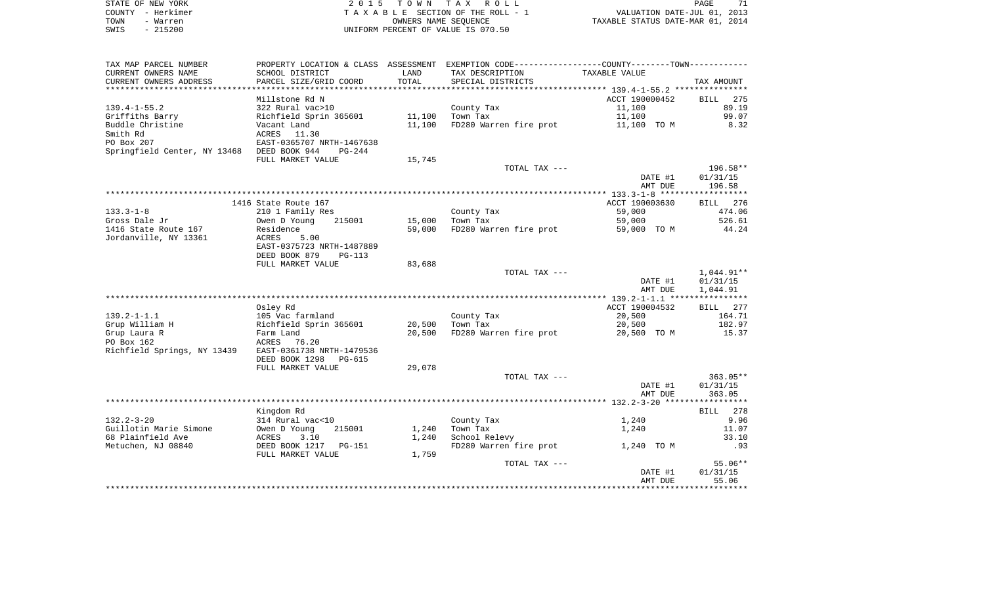| STATE OF NEW YORK | 2015 TOWN TAX ROLL                 | PAGE                             |
|-------------------|------------------------------------|----------------------------------|
| COUNTY - Herkimer | TAXABLE SECTION OF THE ROLL - 1    | VALUATION DATE-JUL 01, 2013      |
| TOWN<br>- Warren  | OWNERS NAME SEOUENCE               | TAXABLE STATUS DATE-MAR 01, 2014 |
| $-215200$<br>SWIS | UNIFORM PERCENT OF VALUE IS 070.50 |                                  |

| TAX MAP PARCEL NUMBER                      |                           |        | PROPERTY LOCATION & CLASS ASSESSMENT EXEMPTION CODE---------------COUNTY-------TOWN---------- |                |                    |
|--------------------------------------------|---------------------------|--------|-----------------------------------------------------------------------------------------------|----------------|--------------------|
| CURRENT OWNERS NAME                        | SCHOOL DISTRICT           | LAND   | TAX DESCRIPTION                                                                               | TAXABLE VALUE  |                    |
| CURRENT OWNERS ADDRESS                     | PARCEL SIZE/GRID COORD    | TOTAL  | SPECIAL DISTRICTS                                                                             |                | TAX AMOUNT         |
| ********************                       |                           |        |                                                                                               |                |                    |
|                                            | Millstone Rd N            |        |                                                                                               | ACCT 190000452 | <b>BILL</b><br>275 |
| $139.4 - 1 - 55.2$                         | 322 Rural vac>10          |        | County Tax                                                                                    | 11,100         | 89.19              |
| Griffiths Barry                            | Richfield Sprin 365601    | 11,100 | Town Tax                                                                                      | 11,100         | 99.07              |
| Buddle Christine                           | Vacant Land               | 11,100 | FD280 Warren fire prot                                                                        | 11,100 TO M    | 8.32               |
| Smith Rd                                   | ACRES 11.30               |        |                                                                                               |                |                    |
| PO Box 207                                 | EAST-0365707 NRTH-1467638 |        |                                                                                               |                |                    |
| Springfield Center, NY 13468 DEED BOOK 944 | $PG-244$                  |        |                                                                                               |                |                    |
|                                            | FULL MARKET VALUE         | 15,745 |                                                                                               |                |                    |
|                                            |                           |        | TOTAL TAX ---                                                                                 |                | 196.58**           |
|                                            |                           |        |                                                                                               | DATE #1        | 01/31/15           |
|                                            |                           |        |                                                                                               | AMT DUE        | 196.58             |
|                                            |                           |        |                                                                                               |                |                    |
|                                            | 1416 State Route 167      |        |                                                                                               | ACCT 190003630 | BILL 276           |
| $133.3 - 1 - 8$                            | 210 1 Family Res          |        | County Tax                                                                                    | 59,000         | 474.06             |
| Gross Dale Jr                              | Owen D Young<br>215001    | 15,000 | Town Tax                                                                                      | 59,000         | 526.61             |
| 1416 State Route 167                       | Residence                 | 59,000 | FD280 Warren fire prot                                                                        | 59,000 TO M    | 44.24              |
| Jordanville, NY 13361                      | 5.00<br>ACRES             |        |                                                                                               |                |                    |
|                                            | EAST-0375723 NRTH-1487889 |        |                                                                                               |                |                    |
|                                            | DEED BOOK 879<br>$PG-113$ |        |                                                                                               |                |                    |
|                                            | FULL MARKET VALUE         | 83,688 |                                                                                               |                |                    |
|                                            |                           |        | TOTAL TAX ---                                                                                 |                | 1,044.91**         |
|                                            |                           |        |                                                                                               | DATE #1        | 01/31/15           |
|                                            |                           |        |                                                                                               | AMT DUE        | 1,044.91           |
|                                            |                           |        |                                                                                               |                |                    |
|                                            | Osley Rd                  |        |                                                                                               | ACCT 190004532 | BILL 277           |
| $139.2 - 1 - 1.1$                          | 105 Vac farmland          |        | County Tax                                                                                    | 20,500         | 164.71             |
| Grup William H                             | Richfield Sprin 365601    | 20,500 | Town Tax                                                                                      | 20,500         | 182.97             |
| Grup Laura R                               | Farm Land                 | 20,500 | FD280 Warren fire prot                                                                        | 20,500 TO M    | 15.37              |
| PO Box 162                                 | 76.20<br>ACRES            |        |                                                                                               |                |                    |
| Richfield Springs, NY 13439                | EAST-0361738 NRTH-1479536 |        |                                                                                               |                |                    |
|                                            | DEED BOOK 1298<br>PG-615  |        |                                                                                               |                |                    |
|                                            | FULL MARKET VALUE         | 29,078 |                                                                                               |                |                    |
|                                            |                           |        | TOTAL TAX ---                                                                                 |                | $363.05**$         |
|                                            |                           |        |                                                                                               | DATE #1        | 01/31/15           |
|                                            |                           |        |                                                                                               | AMT DUE        | 363.05             |
|                                            |                           |        |                                                                                               |                |                    |
|                                            | Kingdom Rd                |        |                                                                                               |                | <b>BILL</b><br>278 |
| $132.2 - 3 - 20$                           | 314 Rural vac<10          |        | County Tax                                                                                    | 1,240          | 9.96               |
| Guillotin Marie Simone                     | Owen D Young<br>215001    | 1,240  | Town Tax                                                                                      | 1,240          | 11.07              |
| 68 Plainfield Ave                          | 3.10<br>ACRES             | 1,240  | School Relevy                                                                                 |                | 33.10              |
| Metuchen, NJ 08840                         | DEED BOOK 1217<br>PG-151  |        | FD280 Warren fire prot                                                                        | 1,240 TO M     | .93                |
|                                            | FULL MARKET VALUE         | 1,759  |                                                                                               |                |                    |
|                                            |                           |        | TOTAL TAX ---                                                                                 |                | $55.06**$          |
|                                            |                           |        |                                                                                               | DATE #1        | 01/31/15           |
|                                            |                           |        |                                                                                               | AMT DUE        | 55.06              |
|                                            |                           |        |                                                                                               |                |                    |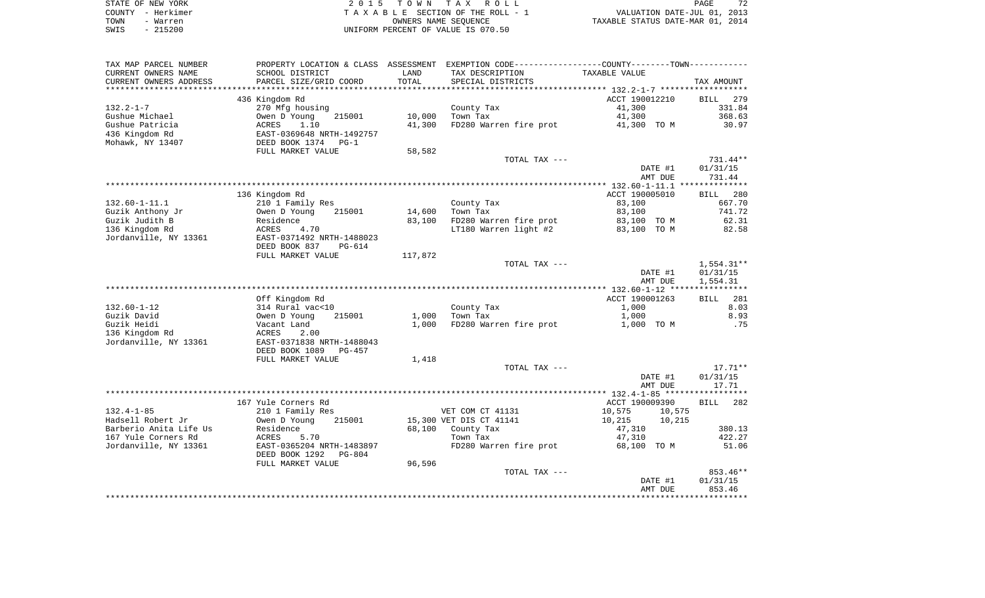| STATE OF NEW YORK | 2015 TOWN TAX ROLL                 | 72<br>PAGE                       |
|-------------------|------------------------------------|----------------------------------|
| COUNTY - Herkimer | TAXABLE SECTION OF THE ROLL - 1    | VALUATION DATE-JUL 01, 2013      |
| TOWN<br>- Warren  | OWNERS NAME SEOUENCE               | TAXABLE STATUS DATE-MAR 01, 2014 |
| $-215200$<br>SWIS | UNIFORM PERCENT OF VALUE IS 070.50 |                                  |

| TAX MAP PARCEL NUMBER                       |                                                  |         | PROPERTY LOCATION & CLASS ASSESSMENT EXEMPTION CODE---------------COUNTY-------TOWN---------- |                    |                    |
|---------------------------------------------|--------------------------------------------------|---------|-----------------------------------------------------------------------------------------------|--------------------|--------------------|
| CURRENT OWNERS NAME                         | SCHOOL DISTRICT                                  | LAND    | TAX DESCRIPTION                                                                               | TAXABLE VALUE      |                    |
| CURRENT OWNERS ADDRESS<br>***************** | PARCEL SIZE/GRID COORD<br>********************** | TOTAL   | SPECIAL DISTRICTS                                                                             |                    | TAX AMOUNT         |
|                                             | 436 Kingdom Rd                                   |         |                                                                                               | ACCT 190012210     | BILL<br>279        |
| $132.2 - 1 - 7$                             | 270 Mfg housing                                  |         | County Tax                                                                                    | 41,300             | 331.84             |
| Gushue Michael                              | 215001<br>Owen D Young                           | 10,000  | Town Tax                                                                                      | 41,300             | 368.63             |
| Gushue Patricia                             | ACRES<br>1.10                                    | 41,300  | FD280 Warren fire prot 41,300 TO M                                                            |                    | 30.97              |
| 436 Kingdom Rd                              | EAST-0369648 NRTH-1492757                        |         |                                                                                               |                    |                    |
| Mohawk, NY 13407                            | DEED BOOK 1374 PG-1                              |         |                                                                                               |                    |                    |
|                                             | FULL MARKET VALUE                                | 58,582  |                                                                                               |                    |                    |
|                                             |                                                  |         | TOTAL TAX ---                                                                                 |                    | $731.44**$         |
|                                             |                                                  |         |                                                                                               | DATE #1            | 01/31/15           |
|                                             |                                                  |         |                                                                                               | AMT DUE            | 731.44             |
| ******************                          |                                                  |         |                                                                                               |                    |                    |
|                                             | 136 Kingdom Rd                                   |         |                                                                                               | ACCT 190005010     | BILL<br>280        |
| $132.60 - 1 - 11.1$                         | 210 1 Family Res                                 |         | County Tax                                                                                    | 83,100             | 667.70             |
| Guzik Anthony Jr                            | Owen D Young<br>215001                           | 14,600  | Town Tax                                                                                      | 83,100             | 741.72             |
| Guzik Judith B                              | Residence                                        | 83,100  | FD280 Warren fire prot                                                                        | 83,100 TO M        | 62.31              |
| 136 Kingdom Rd<br>Jordanville, NY 13361     | ACRES<br>4.70<br>EAST-0371492 NRTH-1488023       |         | LT180 Warren light #2                                                                         | 83,100 TO M        | 82.58              |
|                                             | DEED BOOK 837<br>PG-614                          |         |                                                                                               |                    |                    |
|                                             | FULL MARKET VALUE                                | 117,872 |                                                                                               |                    |                    |
|                                             |                                                  |         | TOTAL TAX ---                                                                                 |                    | $1,554.31**$       |
|                                             |                                                  |         |                                                                                               | DATE #1            | 01/31/15           |
|                                             |                                                  |         |                                                                                               | AMT DUE            | 1,554.31           |
|                                             |                                                  |         |                                                                                               |                    |                    |
|                                             | Off Kingdom Rd                                   |         |                                                                                               | ACCT 190001263     | <b>BILL</b> 281    |
| 132.60-1-12                                 | 314 Rural vac<10                                 |         | County Tax                                                                                    | 1,000              | 8.03               |
| Guzik David                                 | 215001<br>Owen D Young                           | 1,000   | Town Tax                                                                                      | 1,000              | 8.93               |
| Guzik Heidi                                 | Vacant Land                                      | 1,000   | FD280 Warren fire prot                                                                        | 1,000 TO M         | .75                |
| 136 Kingdom Rd                              | ACRES<br>2.00                                    |         |                                                                                               |                    |                    |
| Jordanville, NY 13361                       | EAST-0371838 NRTH-1488043                        |         |                                                                                               |                    |                    |
|                                             | DEED BOOK 1089<br>PG-457<br>FULL MARKET VALUE    | 1,418   |                                                                                               |                    |                    |
|                                             |                                                  |         | TOTAL TAX ---                                                                                 |                    | $17.71**$          |
|                                             |                                                  |         |                                                                                               | DATE #1            | 01/31/15           |
|                                             |                                                  |         |                                                                                               | AMT DUE            | 17.71              |
|                                             |                                                  |         |                                                                                               |                    |                    |
|                                             | 167 Yule Corners Rd                              |         |                                                                                               | ACCT 190009390     | BILL 282           |
| $132.4 - 1 - 85$                            | 210 1 Family Res                                 |         | VET COM CT 41131                                                                              | 10,575<br>10,575   |                    |
| Hadsell Robert Jr                           | Owen D Young<br>215001                           |         | 15,300 VET DIS CT 41141                                                                       | 10,215<br>10,215   |                    |
| Barberio Anita Life Us                      | Residence                                        |         | 68,100 County Tax                                                                             | 47,310             | 380.13             |
| 167 Yule Corners Rd                         | 5.70<br>ACRES                                    |         | Town Tax                                                                                      | 47,310             | 422.27             |
| Jordanville, NY 13361                       | EAST-0365204 NRTH-1483897                        |         | FD280 Warren fire prot                                                                        | 68,100 TO M        | 51.06              |
|                                             | DEED BOOK 1292<br>PG-804                         |         |                                                                                               |                    |                    |
|                                             | FULL MARKET VALUE                                | 96,596  |                                                                                               |                    |                    |
|                                             |                                                  |         | TOTAL TAX ---                                                                                 |                    | 853.46**           |
|                                             |                                                  |         |                                                                                               | DATE #1<br>AMT DUE | 01/31/15<br>853.46 |
|                                             |                                                  |         |                                                                                               |                    |                    |
|                                             |                                                  |         |                                                                                               |                    |                    |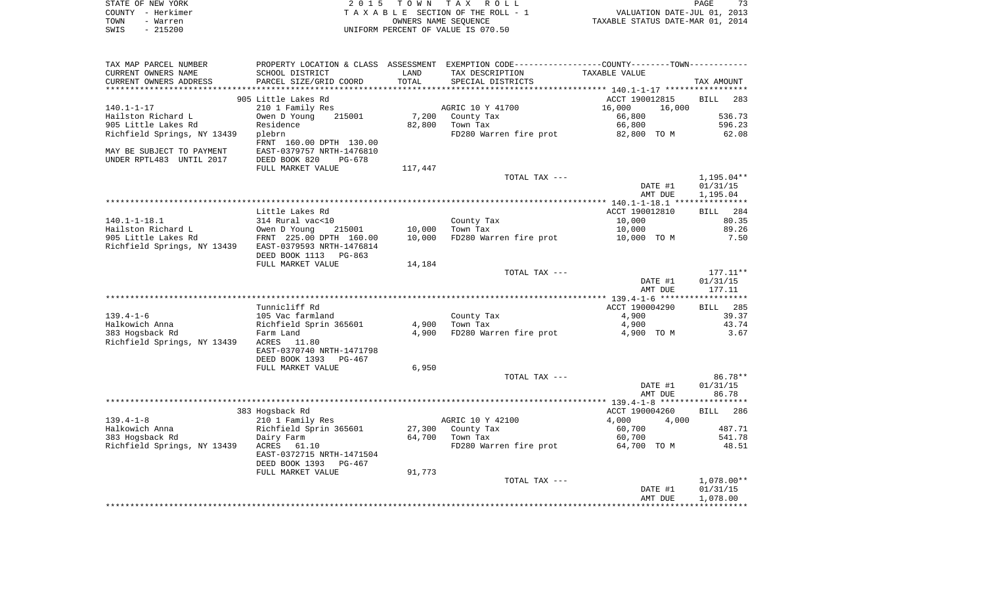| TOWN<br>- Warren<br>$-215200$<br>SWIS                 |                                         |         | OWNERS NAME SEQUENCE<br>UNIFORM PERCENT OF VALUE IS 070.50                                    | 73 PAGE<br>73, VALUATION DATE-JUL<br>713, TAXABLE STATUS DATE-MAR 01 |                        |
|-------------------------------------------------------|-----------------------------------------|---------|-----------------------------------------------------------------------------------------------|----------------------------------------------------------------------|------------------------|
|                                                       |                                         |         |                                                                                               |                                                                      |                        |
| TAX MAP PARCEL NUMBER                                 |                                         |         | PROPERTY LOCATION & CLASS ASSESSMENT EXEMPTION CODE---------------COUNTY-------TOWN---------- |                                                                      |                        |
| CURRENT OWNERS NAME                                   | SCHOOL DISTRICT                         | LAND    | TAX DESCRIPTION                                                                               | TAXABLE VALUE                                                        |                        |
| CURRENT OWNERS ADDRESS                                | PARCEL SIZE/GRID COORD                  | TOTAL   | SPECIAL DISTRICTS                                                                             |                                                                      | TAX AMOUNT             |
|                                                       |                                         |         |                                                                                               |                                                                      |                        |
|                                                       | 905 Little Lakes Rd                     |         | AGRIC 10 Y 41700                                                                              | ACCT 190012815                                                       | BILL 283               |
| $140.1 - 1 - 17$<br>Hailston Richard L                | 210 1 Family Res<br>Owen D Young 215001 |         | 7,200 County Tax                                                                              | 16,000<br>16,000<br>66,800                                           | 536.73                 |
| 905 Little Lakes Rd                                   | Residence                               |         | $82,800$ Town Tax                                                                             | 66,800                                                               | 596.23                 |
| Richfield Springs, NY 13439                           | plebrn                                  |         | FD280 Warren fire prot                                                                        | 82,800 TO M                                                          | 62.08                  |
|                                                       | FRNT 160.00 DPTH 130.00                 |         |                                                                                               |                                                                      |                        |
| MAY BE SUBJECT TO PAYMENT                             | EAST-0379757 NRTH-1476810               |         |                                                                                               |                                                                      |                        |
| UNDER RPTL483 UNTIL 2017                              | DEED BOOK 820<br>PG-678                 |         |                                                                                               |                                                                      |                        |
|                                                       | FULL MARKET VALUE                       | 117,447 |                                                                                               |                                                                      |                        |
|                                                       |                                         |         | TOTAL TAX ---                                                                                 |                                                                      | 1,195.04**             |
|                                                       |                                         |         |                                                                                               | DATE #1                                                              | 01/31/15               |
|                                                       |                                         |         |                                                                                               | AMT DUE                                                              | 1,195.04               |
|                                                       |                                         |         |                                                                                               |                                                                      |                        |
|                                                       | Little Lakes Rd                         |         |                                                                                               | ACCT 190012810                                                       | BILL 284               |
| $140.1 - 1 - 18.1$                                    | 314 Rural vac<10                        |         | County Tax                                                                                    | 10,000                                                               | 80.35                  |
| Hailston Richard L                                    | Owen D Young 215001 10,000 Town Tax     |         |                                                                                               | 10,000                                                               | 89.26                  |
| 905 Little Lakes Rd                                   | FRNT 225.00 DPTH 160.00                 |         | 10,000 FD280 Warren fire prot                                                                 | 10,000 TO M                                                          | 7.50                   |
| Richfield Springs, NY 13439 EAST-0379593 NRTH-1476814 |                                         |         |                                                                                               |                                                                      |                        |
|                                                       | DEED BOOK 1113 PG-863                   |         |                                                                                               |                                                                      |                        |
|                                                       | FULL MARKET VALUE                       | 14,184  |                                                                                               |                                                                      |                        |
|                                                       |                                         |         | TOTAL TAX ---                                                                                 | DATE #1                                                              | $177.11**$<br>01/31/15 |
|                                                       |                                         |         |                                                                                               | AMT DUE                                                              | 177.11                 |
|                                                       |                                         |         |                                                                                               |                                                                      | ************           |
|                                                       | Tunnicliff Rd                           |         |                                                                                               | ACCT 190004290                                                       | BILL 285               |
| $139.4 - 1 - 6$                                       | 105 Vac farmland                        |         | County Tax                                                                                    | 4,900                                                                | 39.37                  |
| Halkowich Anna                                        | Richfield Sprin 365601                  |         | 4,900 Town Tax                                                                                | 4,900                                                                | 43.74                  |
| 383 Hogsback Rd                                       | Farm Land                               |         | 4,900 FD280 Warren fire prot                                                                  | 4,900 TO M                                                           | 3.67                   |
| Richfield Springs, NY 13439                           | ACRES 11.80                             |         |                                                                                               |                                                                      |                        |
|                                                       | EAST-0370740 NRTH-1471798               |         |                                                                                               |                                                                      |                        |
|                                                       | DEED BOOK 1393 PG-467                   |         |                                                                                               |                                                                      |                        |
|                                                       | FULL MARKET VALUE                       | 6,950   |                                                                                               |                                                                      |                        |
|                                                       |                                         |         | TOTAL TAX ---                                                                                 |                                                                      | 86.78**                |
|                                                       |                                         |         |                                                                                               | DATE #1                                                              | 01/31/15               |
|                                                       |                                         |         |                                                                                               | AMT DUE                                                              | 86.78                  |
|                                                       |                                         |         |                                                                                               |                                                                      |                        |
| $139.4 - 1 - 8$                                       | 383 Hogsback Rd<br>210 1 Family Res     |         | AGRIC 10 Y 42100                                                                              | ACCT 190004260<br>4,000                                              | BILL 286               |
| Halkowich Anna                                        | Richfield Sprin 365601                  |         | 27,300 County Tax                                                                             | 4,000<br>60,700                                                      | 487.71                 |
| 383 Hogsback Rd                                       | Dairy Farm                              |         | 64,700 Town Tax                                                                               | 60,700                                                               | 541.78                 |
| Richfield Springs, NY 13439                           | ACRES 61.10                             |         | FD280 Warren fire prot 64,700 TO M                                                            |                                                                      | 48.51                  |
|                                                       | EAST-0372715 NRTH-1471504               |         |                                                                                               |                                                                      |                        |
|                                                       | DEED BOOK 1393 PG-467                   |         |                                                                                               |                                                                      |                        |
|                                                       | FULL MARKET VALUE                       | 91,773  |                                                                                               |                                                                      |                        |
|                                                       |                                         |         |                                                                                               |                                                                      |                        |
|                                                       |                                         |         | TOTAL TAX ---                                                                                 |                                                                      |                        |
|                                                       |                                         |         |                                                                                               | DATE #1                                                              | 1,078.00**<br>01/31/15 |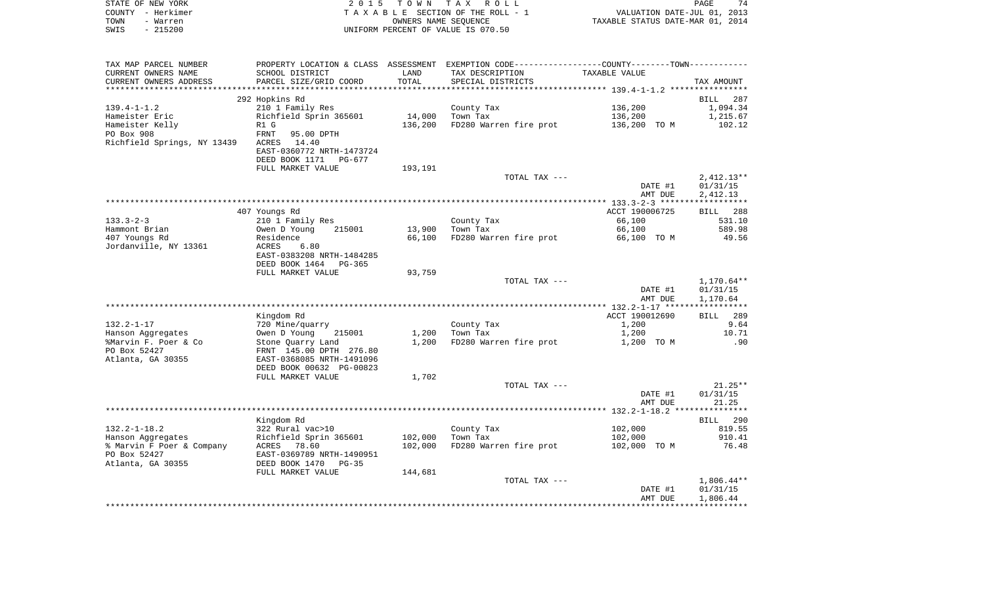| STATE OF NEW YORK<br>COUNTY - Herkimer |                                                                     |         | 2015 TOWN TAX ROLL                                                                               | PAGE 74<br>VALUATION DATE-JUL 01, 2013<br>TAXABLE STATUS DATE-MAR 01, 2014 |                      |
|----------------------------------------|---------------------------------------------------------------------|---------|--------------------------------------------------------------------------------------------------|----------------------------------------------------------------------------|----------------------|
| - Warren<br>TOWN                       |                                                                     |         | T A X A B L E SECTION OF THE ROLL - 1<br>OWNERS NAME SEQUENCE                                    |                                                                            |                      |
| $-215200$<br>SWIS                      |                                                                     |         | UNIFORM PERCENT OF VALUE IS 070.50                                                               |                                                                            |                      |
|                                        |                                                                     |         |                                                                                                  |                                                                            |                      |
| TAX MAP PARCEL NUMBER                  |                                                                     |         | PROPERTY LOCATION & CLASS ASSESSMENT EXEMPTION CODE----------------COUNTY--------TOWN----------- |                                                                            |                      |
| CURRENT OWNERS NAME                    | SCHOOL DISTRICT                                                     | LAND    | TAX DESCRIPTION                                                                                  | TAXABLE VALUE                                                              |                      |
| CURRENT OWNERS ADDRESS                 | PARCEL SIZE/GRID COORD                                              | TOTAL   | SPECIAL DISTRICTS                                                                                |                                                                            | TAX AMOUNT           |
|                                        |                                                                     |         |                                                                                                  |                                                                            |                      |
| $139.4 - 1 - 1.2$                      | 292 Hopkins Rd<br>210 1 Family Res                                  |         |                                                                                                  | 136,200                                                                    | BILL 287             |
| Hameister Eric                         | Richfield Sprin 365601                                              | 14,000  | County Tax<br>Town Tax                                                                           | 136,200                                                                    | 1,094.34<br>1,215.67 |
| Hameister Kelly                        | R1 G                                                                | 136,200 | FD280 Warren fire prot                                                                           | 136,200 TO M                                                               | 102.12               |
| PO Box 908                             | FRNT<br>95.00 DPTH                                                  |         |                                                                                                  |                                                                            |                      |
| Richfield Springs, NY 13439            | ACRES 14.40                                                         |         |                                                                                                  |                                                                            |                      |
|                                        | EAST-0360772 NRTH-1473724                                           |         |                                                                                                  |                                                                            |                      |
|                                        | DEED BOOK 1171 PG-677                                               |         |                                                                                                  |                                                                            |                      |
|                                        | FULL MARKET VALUE                                                   | 193,191 |                                                                                                  |                                                                            |                      |
|                                        |                                                                     |         | TOTAL TAX ---                                                                                    |                                                                            | $2,412.13**$         |
|                                        |                                                                     |         |                                                                                                  | DATE #1                                                                    | 01/31/15             |
|                                        |                                                                     |         |                                                                                                  | AMT DUE                                                                    | 2,412.13             |
|                                        |                                                                     |         |                                                                                                  |                                                                            |                      |
|                                        | 407 Youngs Rd                                                       |         |                                                                                                  | ACCT 190006725                                                             | BILL 288             |
| $133.3 - 2 - 3$                        | 210 1 Family Res                                                    |         | County Tax $\sum_{m=n}^{n}$                                                                      | 66,100                                                                     | 531.10               |
| Hammont Brian                          | 215001<br>Owen D Young                                              | 13,900  |                                                                                                  | 66,100                                                                     | 589.98               |
| 407 Youngs Rd                          | Residence                                                           | 66,100  | FD280 Warren fire prot                                                                           | 66,100 TO M                                                                | 49.56                |
| Jordanville, NY 13361                  | ACRES 6.80<br>EAST-0383208 NRTH-1484285                             |         |                                                                                                  |                                                                            |                      |
|                                        | DEED BOOK 1464 PG-365                                               |         |                                                                                                  |                                                                            |                      |
|                                        | FULL MARKET VALUE                                                   | 93,759  |                                                                                                  |                                                                            |                      |
|                                        |                                                                     |         | TOTAL TAX ---                                                                                    |                                                                            | $1,170.64**$         |
|                                        |                                                                     |         |                                                                                                  | DATE #1                                                                    | 01/31/15             |
|                                        |                                                                     |         |                                                                                                  | AMT DUE                                                                    | 1,170.64             |
|                                        |                                                                     |         |                                                                                                  |                                                                            |                      |
|                                        | Kingdom Rd                                                          |         |                                                                                                  | ACCT 190012690                                                             | BILL 289             |
| 132.2-1-17                             | 720 Mine/quarry                                                     |         | County Tax                                                                                       | 1,200                                                                      | 9.64                 |
| Hanson Aggregates                      | Owen D Young 215001<br>Stone Quarry Land<br>FRNT 145.00 DPTH 276.80 | 1,200   | Town Tax                                                                                         | 1,200                                                                      | 10.71                |
| %Marvin F. Poer & Co                   |                                                                     | 1,200   | FD280 Warren fire prot                                                                           | 1,200 TO M                                                                 | .90                  |
| PO Box 52427                           |                                                                     |         |                                                                                                  |                                                                            |                      |
| Atlanta, GA 30355                      | EAST-0368085 NRTH-1491096                                           |         |                                                                                                  |                                                                            |                      |
|                                        | DEED BOOK 00632 PG-00823                                            |         |                                                                                                  |                                                                            |                      |
|                                        | FULL MARKET VALUE                                                   | 1,702   |                                                                                                  |                                                                            |                      |
|                                        |                                                                     |         | TOTAL TAX ---                                                                                    | DATE #1                                                                    | $21.25**$            |
|                                        |                                                                     |         |                                                                                                  | AMT DUE                                                                    | 01/31/15<br>21.25    |
|                                        |                                                                     |         |                                                                                                  |                                                                            |                      |
|                                        | Kingdom Rd                                                          |         |                                                                                                  |                                                                            | BILL 290             |
|                                        |                                                                     |         | County Tax                                                                                       | 102,000                                                                    | 819.55               |
|                                        |                                                                     | 102,000 | Town Tax                                                                                         | 102,000                                                                    | 910.41               |
|                                        |                                                                     | 102,000 | FD280 Warren fire prot                                                                           | 102,000 TO M                                                               | 76.48                |
|                                        |                                                                     |         |                                                                                                  |                                                                            |                      |
| Atlanta, GA 30355                      | DEED BOOK 1470<br>$PG-35$                                           |         |                                                                                                  |                                                                            |                      |
|                                        | FULL MARKET VALUE                                                   | 144,681 |                                                                                                  |                                                                            |                      |
|                                        |                                                                     |         | TOTAL TAX ---                                                                                    |                                                                            | $1,806.44**$         |
|                                        |                                                                     |         |                                                                                                  | DATE #1                                                                    | 01/31/15             |
|                                        |                                                                     |         |                                                                                                  | AMT DUE                                                                    | 1,806.44             |
|                                        |                                                                     |         |                                                                                                  |                                                                            |                      |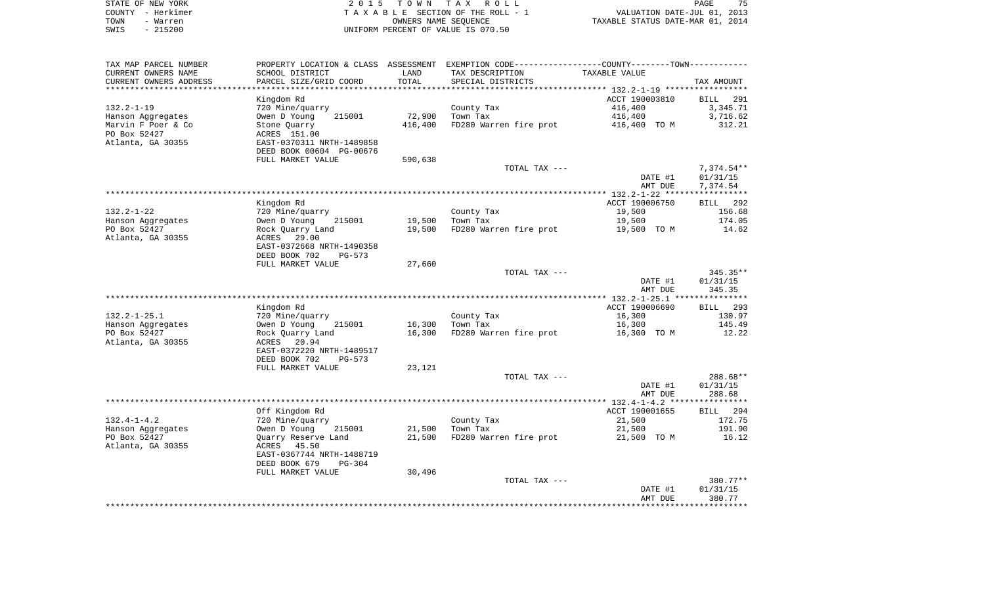| STATE OF NEW YORK | 2015 TOWN TAX ROLL                 | 75<br>PAGE                       |
|-------------------|------------------------------------|----------------------------------|
| COUNTY - Herkimer | TAXABLE SECTION OF THE ROLL - 1    | VALUATION DATE-JUL 01, 2013      |
| TOWN<br>- Warren  | OWNERS NAME SEOUENCE               | TAXABLE STATUS DATE-MAR 01, 2014 |
| $-215200$<br>SWIS | UNIFORM PERCENT OF VALUE IS 070.50 |                                  |

| TAX MAP PARCEL NUMBER  | PROPERTY LOCATION & CLASS ASSESSMENT EXEMPTION CODE----------------COUNTY--------TOWN----------- |         |                               |                                    |            |
|------------------------|--------------------------------------------------------------------------------------------------|---------|-------------------------------|------------------------------------|------------|
| CURRENT OWNERS NAME    | SCHOOL DISTRICT                                                                                  | LAND    | TAX DESCRIPTION               | TAXABLE VALUE                      |            |
| CURRENT OWNERS ADDRESS | PARCEL SIZE/GRID COORD                                                                           | TOTAL   | SPECIAL DISTRICTS             |                                    | TAX AMOUNT |
|                        |                                                                                                  |         |                               |                                    |            |
|                        | Kingdom Rd                                                                                       |         |                               | ACCT 190003810                     | BILL 291   |
| $132.2 - 1 - 19$       | 720 Mine/quarry                                                                                  |         | County Tax                    | 416,400                            | 3,345.71   |
| Hanson Aggregates      | Owen D Young<br>215001                                                                           | 72,900  | Town Tax                      | 416,400                            | 3,716.62   |
| Marvin F Poer & Co     | Stone Quarry                                                                                     | 416,400 | FD280 Warren fire prot        | 416,400 TO M                       | 312.21     |
| PO Box 52427           | ACRES 151.00                                                                                     |         |                               |                                    |            |
| Atlanta, GA 30355      | EAST-0370311 NRTH-1489858                                                                        |         |                               |                                    |            |
|                        | DEED BOOK 00604 PG-00676                                                                         |         |                               |                                    |            |
|                        | FULL MARKET VALUE                                                                                | 590,638 |                               |                                    |            |
|                        |                                                                                                  |         | TOTAL TAX ---                 |                                    | 7,374.54** |
|                        |                                                                                                  |         |                               | DATE #1                            | 01/31/15   |
|                        |                                                                                                  |         |                               | AMT DUE                            | 7,374.54   |
|                        |                                                                                                  |         |                               |                                    |            |
|                        | Kingdom Rd                                                                                       |         |                               | ACCT 190006750                     | BILL 292   |
| $132.2 - 1 - 22$       | 720 Mine/quarry                                                                                  |         | County Tax<br>Town Tax        | 19,500                             | 156.68     |
| Hanson Aggregates      | Owen D Young 215001                                                                              | 19,500  | Town Tax                      | 19,500                             | 174.05     |
| PO Box 52427           | Rock Quarry Land                                                                                 |         | 19,500 FD280 Warren fire prot | 19,500 TO M                        | 14.62      |
| Atlanta, GA 30355      | ACRES 29.00                                                                                      |         |                               |                                    |            |
|                        | EAST-0372668 NRTH-1490358                                                                        |         |                               |                                    |            |
|                        | DEED BOOK 702<br>PG-573                                                                          |         |                               |                                    |            |
|                        | FULL MARKET VALUE                                                                                | 27,660  |                               |                                    |            |
|                        |                                                                                                  |         | TOTAL TAX ---                 |                                    | 345.35**   |
|                        |                                                                                                  |         |                               | DATE #1                            | 01/31/15   |
|                        |                                                                                                  |         |                               | AMT DUE                            | 345.35     |
|                        |                                                                                                  |         |                               |                                    |            |
|                        | Kingdom Rd                                                                                       |         |                               | ACCT 190006690                     | BILL 293   |
| $132.2 - 1 - 25.1$     | 720 Mine/quarry                                                                                  |         | County Tax                    | 16,300                             | 130.97     |
| Hanson Aggregates      | Owen D Young<br>215001                                                                           | 16,300  | Town Tax                      | 16,300                             | 145.49     |
| PO Box 52427           | Rock Quarry Land                                                                                 | 16,300  |                               | FD280 Warren fire prot 16,300 TO M | 12.22      |
| Atlanta, GA 30355      | ACRES 20.94                                                                                      |         |                               |                                    |            |
|                        | EAST-0372220 NRTH-1489517                                                                        |         |                               |                                    |            |
|                        | DEED BOOK 702<br>PG-573                                                                          |         |                               |                                    |            |
|                        | FULL MARKET VALUE                                                                                | 23,121  |                               |                                    |            |
|                        |                                                                                                  |         | TOTAL TAX ---                 |                                    | 288.68**   |
|                        |                                                                                                  |         |                               | DATE #1                            | 01/31/15   |
|                        |                                                                                                  |         |                               | AMT DUE                            | 288.68     |
|                        | Off Kingdom Rd                                                                                   |         |                               | ACCT 190001655                     | BILL 294   |
| $132.4 - 1 - 4.2$      | 720 Mine/quarry                                                                                  |         | County Tax                    | 21,500                             | 172.75     |
| Hanson Aggregates      | Owen D Young<br>215001                                                                           | 21,500  | Town Tax                      | 21,500                             | 191.90     |
| PO Box 52427           | Quarry Reserve Land                                                                              | 21,500  |                               | FD280 Warren fire prot 21,500 TO M | 16.12      |
| Atlanta, GA 30355      | ACRES 45.50                                                                                      |         |                               |                                    |            |
|                        | EAST-0367744 NRTH-1488719                                                                        |         |                               |                                    |            |
|                        | DEED BOOK 679<br>PG-304                                                                          |         |                               |                                    |            |
|                        | FULL MARKET VALUE                                                                                | 30,496  |                               |                                    |            |
|                        |                                                                                                  |         | TOTAL TAX ---                 |                                    | 380.77**   |
|                        |                                                                                                  |         |                               | DATE #1                            | 01/31/15   |
|                        |                                                                                                  |         |                               | AMT DUE                            | 380.77     |
|                        |                                                                                                  |         |                               |                                    |            |
|                        |                                                                                                  |         |                               |                                    |            |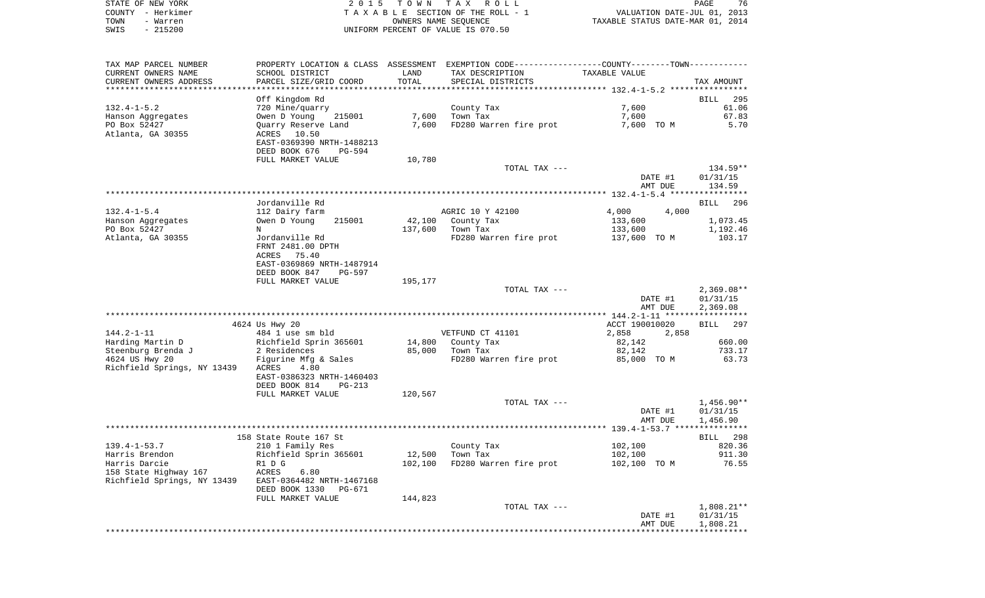| STATE OF NEW YORK | 2015 TOWN TAX ROLL                 | 76<br><b>PAGE</b>                |
|-------------------|------------------------------------|----------------------------------|
| COUNTY - Herkimer | TAXABLE SECTION OF THE ROLL - 1    | VALUATION DATE-JUL 01, 2013      |
| TOWN<br>- Warren  | OWNERS NAME SEOUENCE               | TAXABLE STATUS DATE-MAR 01, 2014 |
| $-215200$<br>SWIS | UNIFORM PERCENT OF VALUE IS 070.50 |                                  |

| TOTAL<br>PARCEL SIZE/GRID COORD<br>SPECIAL DISTRICTS<br>TAX AMOUNT<br>Off Kingdom Rd<br>BILL<br>295<br>$132.4 - 1 - 5.2$<br>7,600<br>61.06<br>720 Mine/quarry<br>County Tax<br>Owen D Young<br>7,600<br>Town Tax<br>7,600<br>Hanson Aggregates<br>215001<br>67.83<br>PO Box 52427<br>Quarry Reserve Land<br>7,600<br>FD280 Warren fire prot<br>7,600 TO M<br>5.70<br>Atlanta, GA 30355<br>ACRES 10.50<br>EAST-0369390 NRTH-1488213<br>DEED BOOK 676<br>PG-594<br>FULL MARKET VALUE<br>10,780<br>$134.59**$<br>TOTAL TAX ---<br>DATE #1<br>01/31/15<br>AMT DUE<br>134.59<br>Jordanville Rd<br><b>BILL</b><br>296<br>AGRIC 10 Y 42100<br>4,000<br>$132.4 - 1 - 5.4$<br>112 Dairy farm<br>4,000<br>Hanson Aggregates<br>Owen D Young<br>215001<br>42,100<br>County Tax<br>133,600<br>1,073.45<br>PO Box 52427<br>137,600<br>Town Tax<br>N<br>133,600<br>1,192.46<br>Atlanta, GA 30355<br>Jordanville Rd<br>FD280 Warren fire prot<br>137,600 TO M<br>103.17<br>FRNT 2481.00 DPTH<br>75.40<br>ACRES<br>EAST-0369869 NRTH-1487914<br>DEED BOOK 847<br>$PG-597$<br>195,177<br>FULL MARKET VALUE<br>TOTAL TAX ---<br>$2,369.08**$<br>DATE #1<br>01/31/15<br>AMT DUE<br>2,369.08<br>4624 Us Hwy 20<br>ACCT 190010020<br>BILL<br>297<br>$144.2 - 1 - 11$<br>484 1 use sm bld<br>VETFUND CT 41101<br>2,858<br>2,858<br>Richfield Sprin 365601<br>14,800<br>660.00<br>Harding Martin D<br>County Tax<br>82,142<br>Steenburg Brenda J<br>85,000<br>Town Tax<br>733.17<br>2 Residences<br>82,142<br>4624 US Hwy 20<br>Figurine Mfg & Sales<br>FD280 Warren fire prot<br>63.73<br>85,000 TO M<br>Richfield Springs, NY 13439<br>ACRES<br>4.80<br>EAST-0386323 NRTH-1460403<br>DEED BOOK 814<br>$PG-213$<br>120,567<br>FULL MARKET VALUE<br>TOTAL TAX ---<br>$1,456.90**$<br>DATE #1<br>01/31/15<br>AMT DUE<br>1,456.90<br>158 State Route 167 St<br>BILL 298<br>$139.4 - 1 - 53.7$<br>102,100<br>210 1 Family Res<br>County Tax<br>820.36<br>Richfield Sprin 365601<br>102,100<br>Harris Brendon<br>12,500<br>Town Tax<br>911.30<br>Harris Darcie<br>102,100<br>FD280 Warren fire prot<br>76.55<br>R1 D G<br>102,100 TO M<br>158 State Highway 167<br>ACRES<br>6.80<br>Richfield Springs, NY 13439<br>EAST-0364482 NRTH-1467168<br>DEED BOOK 1330<br>PG-671<br>FULL MARKET VALUE<br>144,823<br>1,808.21**<br>TOTAL TAX ---<br>DATE #1<br>01/31/15<br>AMT DUE<br>1,808.21 | TAX MAP PARCEL NUMBER<br>CURRENT OWNERS NAME | SCHOOL DISTRICT | LAND | PROPERTY LOCATION & CLASS ASSESSMENT EXEMPTION CODE----------------COUNTY-------TOWN----------<br>TAX DESCRIPTION | TAXABLE VALUE |  |
|------------------------------------------------------------------------------------------------------------------------------------------------------------------------------------------------------------------------------------------------------------------------------------------------------------------------------------------------------------------------------------------------------------------------------------------------------------------------------------------------------------------------------------------------------------------------------------------------------------------------------------------------------------------------------------------------------------------------------------------------------------------------------------------------------------------------------------------------------------------------------------------------------------------------------------------------------------------------------------------------------------------------------------------------------------------------------------------------------------------------------------------------------------------------------------------------------------------------------------------------------------------------------------------------------------------------------------------------------------------------------------------------------------------------------------------------------------------------------------------------------------------------------------------------------------------------------------------------------------------------------------------------------------------------------------------------------------------------------------------------------------------------------------------------------------------------------------------------------------------------------------------------------------------------------------------------------------------------------------------------------------------------------------------------------------------------------------------------------------------------------------------------------------------------------------------------------------------------------------------------------------------------------------------------------------------------------------------------------------|----------------------------------------------|-----------------|------|-------------------------------------------------------------------------------------------------------------------|---------------|--|
|                                                                                                                                                                                                                                                                                                                                                                                                                                                                                                                                                                                                                                                                                                                                                                                                                                                                                                                                                                                                                                                                                                                                                                                                                                                                                                                                                                                                                                                                                                                                                                                                                                                                                                                                                                                                                                                                                                                                                                                                                                                                                                                                                                                                                                                                                                                                                            | CURRENT OWNERS ADDRESS                       |                 |      |                                                                                                                   |               |  |
|                                                                                                                                                                                                                                                                                                                                                                                                                                                                                                                                                                                                                                                                                                                                                                                                                                                                                                                                                                                                                                                                                                                                                                                                                                                                                                                                                                                                                                                                                                                                                                                                                                                                                                                                                                                                                                                                                                                                                                                                                                                                                                                                                                                                                                                                                                                                                            |                                              |                 |      |                                                                                                                   |               |  |
|                                                                                                                                                                                                                                                                                                                                                                                                                                                                                                                                                                                                                                                                                                                                                                                                                                                                                                                                                                                                                                                                                                                                                                                                                                                                                                                                                                                                                                                                                                                                                                                                                                                                                                                                                                                                                                                                                                                                                                                                                                                                                                                                                                                                                                                                                                                                                            |                                              |                 |      |                                                                                                                   |               |  |
|                                                                                                                                                                                                                                                                                                                                                                                                                                                                                                                                                                                                                                                                                                                                                                                                                                                                                                                                                                                                                                                                                                                                                                                                                                                                                                                                                                                                                                                                                                                                                                                                                                                                                                                                                                                                                                                                                                                                                                                                                                                                                                                                                                                                                                                                                                                                                            |                                              |                 |      |                                                                                                                   |               |  |
|                                                                                                                                                                                                                                                                                                                                                                                                                                                                                                                                                                                                                                                                                                                                                                                                                                                                                                                                                                                                                                                                                                                                                                                                                                                                                                                                                                                                                                                                                                                                                                                                                                                                                                                                                                                                                                                                                                                                                                                                                                                                                                                                                                                                                                                                                                                                                            |                                              |                 |      |                                                                                                                   |               |  |
|                                                                                                                                                                                                                                                                                                                                                                                                                                                                                                                                                                                                                                                                                                                                                                                                                                                                                                                                                                                                                                                                                                                                                                                                                                                                                                                                                                                                                                                                                                                                                                                                                                                                                                                                                                                                                                                                                                                                                                                                                                                                                                                                                                                                                                                                                                                                                            |                                              |                 |      |                                                                                                                   |               |  |
|                                                                                                                                                                                                                                                                                                                                                                                                                                                                                                                                                                                                                                                                                                                                                                                                                                                                                                                                                                                                                                                                                                                                                                                                                                                                                                                                                                                                                                                                                                                                                                                                                                                                                                                                                                                                                                                                                                                                                                                                                                                                                                                                                                                                                                                                                                                                                            |                                              |                 |      |                                                                                                                   |               |  |
|                                                                                                                                                                                                                                                                                                                                                                                                                                                                                                                                                                                                                                                                                                                                                                                                                                                                                                                                                                                                                                                                                                                                                                                                                                                                                                                                                                                                                                                                                                                                                                                                                                                                                                                                                                                                                                                                                                                                                                                                                                                                                                                                                                                                                                                                                                                                                            |                                              |                 |      |                                                                                                                   |               |  |
|                                                                                                                                                                                                                                                                                                                                                                                                                                                                                                                                                                                                                                                                                                                                                                                                                                                                                                                                                                                                                                                                                                                                                                                                                                                                                                                                                                                                                                                                                                                                                                                                                                                                                                                                                                                                                                                                                                                                                                                                                                                                                                                                                                                                                                                                                                                                                            |                                              |                 |      |                                                                                                                   |               |  |
|                                                                                                                                                                                                                                                                                                                                                                                                                                                                                                                                                                                                                                                                                                                                                                                                                                                                                                                                                                                                                                                                                                                                                                                                                                                                                                                                                                                                                                                                                                                                                                                                                                                                                                                                                                                                                                                                                                                                                                                                                                                                                                                                                                                                                                                                                                                                                            |                                              |                 |      |                                                                                                                   |               |  |
|                                                                                                                                                                                                                                                                                                                                                                                                                                                                                                                                                                                                                                                                                                                                                                                                                                                                                                                                                                                                                                                                                                                                                                                                                                                                                                                                                                                                                                                                                                                                                                                                                                                                                                                                                                                                                                                                                                                                                                                                                                                                                                                                                                                                                                                                                                                                                            |                                              |                 |      |                                                                                                                   |               |  |
|                                                                                                                                                                                                                                                                                                                                                                                                                                                                                                                                                                                                                                                                                                                                                                                                                                                                                                                                                                                                                                                                                                                                                                                                                                                                                                                                                                                                                                                                                                                                                                                                                                                                                                                                                                                                                                                                                                                                                                                                                                                                                                                                                                                                                                                                                                                                                            |                                              |                 |      |                                                                                                                   |               |  |
|                                                                                                                                                                                                                                                                                                                                                                                                                                                                                                                                                                                                                                                                                                                                                                                                                                                                                                                                                                                                                                                                                                                                                                                                                                                                                                                                                                                                                                                                                                                                                                                                                                                                                                                                                                                                                                                                                                                                                                                                                                                                                                                                                                                                                                                                                                                                                            |                                              |                 |      |                                                                                                                   |               |  |
|                                                                                                                                                                                                                                                                                                                                                                                                                                                                                                                                                                                                                                                                                                                                                                                                                                                                                                                                                                                                                                                                                                                                                                                                                                                                                                                                                                                                                                                                                                                                                                                                                                                                                                                                                                                                                                                                                                                                                                                                                                                                                                                                                                                                                                                                                                                                                            |                                              |                 |      |                                                                                                                   |               |  |
|                                                                                                                                                                                                                                                                                                                                                                                                                                                                                                                                                                                                                                                                                                                                                                                                                                                                                                                                                                                                                                                                                                                                                                                                                                                                                                                                                                                                                                                                                                                                                                                                                                                                                                                                                                                                                                                                                                                                                                                                                                                                                                                                                                                                                                                                                                                                                            |                                              |                 |      |                                                                                                                   |               |  |
|                                                                                                                                                                                                                                                                                                                                                                                                                                                                                                                                                                                                                                                                                                                                                                                                                                                                                                                                                                                                                                                                                                                                                                                                                                                                                                                                                                                                                                                                                                                                                                                                                                                                                                                                                                                                                                                                                                                                                                                                                                                                                                                                                                                                                                                                                                                                                            |                                              |                 |      |                                                                                                                   |               |  |
|                                                                                                                                                                                                                                                                                                                                                                                                                                                                                                                                                                                                                                                                                                                                                                                                                                                                                                                                                                                                                                                                                                                                                                                                                                                                                                                                                                                                                                                                                                                                                                                                                                                                                                                                                                                                                                                                                                                                                                                                                                                                                                                                                                                                                                                                                                                                                            |                                              |                 |      |                                                                                                                   |               |  |
|                                                                                                                                                                                                                                                                                                                                                                                                                                                                                                                                                                                                                                                                                                                                                                                                                                                                                                                                                                                                                                                                                                                                                                                                                                                                                                                                                                                                                                                                                                                                                                                                                                                                                                                                                                                                                                                                                                                                                                                                                                                                                                                                                                                                                                                                                                                                                            |                                              |                 |      |                                                                                                                   |               |  |
|                                                                                                                                                                                                                                                                                                                                                                                                                                                                                                                                                                                                                                                                                                                                                                                                                                                                                                                                                                                                                                                                                                                                                                                                                                                                                                                                                                                                                                                                                                                                                                                                                                                                                                                                                                                                                                                                                                                                                                                                                                                                                                                                                                                                                                                                                                                                                            |                                              |                 |      |                                                                                                                   |               |  |
|                                                                                                                                                                                                                                                                                                                                                                                                                                                                                                                                                                                                                                                                                                                                                                                                                                                                                                                                                                                                                                                                                                                                                                                                                                                                                                                                                                                                                                                                                                                                                                                                                                                                                                                                                                                                                                                                                                                                                                                                                                                                                                                                                                                                                                                                                                                                                            |                                              |                 |      |                                                                                                                   |               |  |
|                                                                                                                                                                                                                                                                                                                                                                                                                                                                                                                                                                                                                                                                                                                                                                                                                                                                                                                                                                                                                                                                                                                                                                                                                                                                                                                                                                                                                                                                                                                                                                                                                                                                                                                                                                                                                                                                                                                                                                                                                                                                                                                                                                                                                                                                                                                                                            |                                              |                 |      |                                                                                                                   |               |  |
|                                                                                                                                                                                                                                                                                                                                                                                                                                                                                                                                                                                                                                                                                                                                                                                                                                                                                                                                                                                                                                                                                                                                                                                                                                                                                                                                                                                                                                                                                                                                                                                                                                                                                                                                                                                                                                                                                                                                                                                                                                                                                                                                                                                                                                                                                                                                                            |                                              |                 |      |                                                                                                                   |               |  |
|                                                                                                                                                                                                                                                                                                                                                                                                                                                                                                                                                                                                                                                                                                                                                                                                                                                                                                                                                                                                                                                                                                                                                                                                                                                                                                                                                                                                                                                                                                                                                                                                                                                                                                                                                                                                                                                                                                                                                                                                                                                                                                                                                                                                                                                                                                                                                            |                                              |                 |      |                                                                                                                   |               |  |
|                                                                                                                                                                                                                                                                                                                                                                                                                                                                                                                                                                                                                                                                                                                                                                                                                                                                                                                                                                                                                                                                                                                                                                                                                                                                                                                                                                                                                                                                                                                                                                                                                                                                                                                                                                                                                                                                                                                                                                                                                                                                                                                                                                                                                                                                                                                                                            |                                              |                 |      |                                                                                                                   |               |  |
|                                                                                                                                                                                                                                                                                                                                                                                                                                                                                                                                                                                                                                                                                                                                                                                                                                                                                                                                                                                                                                                                                                                                                                                                                                                                                                                                                                                                                                                                                                                                                                                                                                                                                                                                                                                                                                                                                                                                                                                                                                                                                                                                                                                                                                                                                                                                                            |                                              |                 |      |                                                                                                                   |               |  |
|                                                                                                                                                                                                                                                                                                                                                                                                                                                                                                                                                                                                                                                                                                                                                                                                                                                                                                                                                                                                                                                                                                                                                                                                                                                                                                                                                                                                                                                                                                                                                                                                                                                                                                                                                                                                                                                                                                                                                                                                                                                                                                                                                                                                                                                                                                                                                            |                                              |                 |      |                                                                                                                   |               |  |
|                                                                                                                                                                                                                                                                                                                                                                                                                                                                                                                                                                                                                                                                                                                                                                                                                                                                                                                                                                                                                                                                                                                                                                                                                                                                                                                                                                                                                                                                                                                                                                                                                                                                                                                                                                                                                                                                                                                                                                                                                                                                                                                                                                                                                                                                                                                                                            |                                              |                 |      |                                                                                                                   |               |  |
|                                                                                                                                                                                                                                                                                                                                                                                                                                                                                                                                                                                                                                                                                                                                                                                                                                                                                                                                                                                                                                                                                                                                                                                                                                                                                                                                                                                                                                                                                                                                                                                                                                                                                                                                                                                                                                                                                                                                                                                                                                                                                                                                                                                                                                                                                                                                                            |                                              |                 |      |                                                                                                                   |               |  |
|                                                                                                                                                                                                                                                                                                                                                                                                                                                                                                                                                                                                                                                                                                                                                                                                                                                                                                                                                                                                                                                                                                                                                                                                                                                                                                                                                                                                                                                                                                                                                                                                                                                                                                                                                                                                                                                                                                                                                                                                                                                                                                                                                                                                                                                                                                                                                            |                                              |                 |      |                                                                                                                   |               |  |
|                                                                                                                                                                                                                                                                                                                                                                                                                                                                                                                                                                                                                                                                                                                                                                                                                                                                                                                                                                                                                                                                                                                                                                                                                                                                                                                                                                                                                                                                                                                                                                                                                                                                                                                                                                                                                                                                                                                                                                                                                                                                                                                                                                                                                                                                                                                                                            |                                              |                 |      |                                                                                                                   |               |  |
|                                                                                                                                                                                                                                                                                                                                                                                                                                                                                                                                                                                                                                                                                                                                                                                                                                                                                                                                                                                                                                                                                                                                                                                                                                                                                                                                                                                                                                                                                                                                                                                                                                                                                                                                                                                                                                                                                                                                                                                                                                                                                                                                                                                                                                                                                                                                                            |                                              |                 |      |                                                                                                                   |               |  |
|                                                                                                                                                                                                                                                                                                                                                                                                                                                                                                                                                                                                                                                                                                                                                                                                                                                                                                                                                                                                                                                                                                                                                                                                                                                                                                                                                                                                                                                                                                                                                                                                                                                                                                                                                                                                                                                                                                                                                                                                                                                                                                                                                                                                                                                                                                                                                            |                                              |                 |      |                                                                                                                   |               |  |
|                                                                                                                                                                                                                                                                                                                                                                                                                                                                                                                                                                                                                                                                                                                                                                                                                                                                                                                                                                                                                                                                                                                                                                                                                                                                                                                                                                                                                                                                                                                                                                                                                                                                                                                                                                                                                                                                                                                                                                                                                                                                                                                                                                                                                                                                                                                                                            |                                              |                 |      |                                                                                                                   |               |  |
|                                                                                                                                                                                                                                                                                                                                                                                                                                                                                                                                                                                                                                                                                                                                                                                                                                                                                                                                                                                                                                                                                                                                                                                                                                                                                                                                                                                                                                                                                                                                                                                                                                                                                                                                                                                                                                                                                                                                                                                                                                                                                                                                                                                                                                                                                                                                                            |                                              |                 |      |                                                                                                                   |               |  |
|                                                                                                                                                                                                                                                                                                                                                                                                                                                                                                                                                                                                                                                                                                                                                                                                                                                                                                                                                                                                                                                                                                                                                                                                                                                                                                                                                                                                                                                                                                                                                                                                                                                                                                                                                                                                                                                                                                                                                                                                                                                                                                                                                                                                                                                                                                                                                            |                                              |                 |      |                                                                                                                   |               |  |
|                                                                                                                                                                                                                                                                                                                                                                                                                                                                                                                                                                                                                                                                                                                                                                                                                                                                                                                                                                                                                                                                                                                                                                                                                                                                                                                                                                                                                                                                                                                                                                                                                                                                                                                                                                                                                                                                                                                                                                                                                                                                                                                                                                                                                                                                                                                                                            |                                              |                 |      |                                                                                                                   |               |  |
|                                                                                                                                                                                                                                                                                                                                                                                                                                                                                                                                                                                                                                                                                                                                                                                                                                                                                                                                                                                                                                                                                                                                                                                                                                                                                                                                                                                                                                                                                                                                                                                                                                                                                                                                                                                                                                                                                                                                                                                                                                                                                                                                                                                                                                                                                                                                                            |                                              |                 |      |                                                                                                                   |               |  |
|                                                                                                                                                                                                                                                                                                                                                                                                                                                                                                                                                                                                                                                                                                                                                                                                                                                                                                                                                                                                                                                                                                                                                                                                                                                                                                                                                                                                                                                                                                                                                                                                                                                                                                                                                                                                                                                                                                                                                                                                                                                                                                                                                                                                                                                                                                                                                            |                                              |                 |      |                                                                                                                   |               |  |
|                                                                                                                                                                                                                                                                                                                                                                                                                                                                                                                                                                                                                                                                                                                                                                                                                                                                                                                                                                                                                                                                                                                                                                                                                                                                                                                                                                                                                                                                                                                                                                                                                                                                                                                                                                                                                                                                                                                                                                                                                                                                                                                                                                                                                                                                                                                                                            |                                              |                 |      |                                                                                                                   |               |  |
|                                                                                                                                                                                                                                                                                                                                                                                                                                                                                                                                                                                                                                                                                                                                                                                                                                                                                                                                                                                                                                                                                                                                                                                                                                                                                                                                                                                                                                                                                                                                                                                                                                                                                                                                                                                                                                                                                                                                                                                                                                                                                                                                                                                                                                                                                                                                                            |                                              |                 |      |                                                                                                                   |               |  |
|                                                                                                                                                                                                                                                                                                                                                                                                                                                                                                                                                                                                                                                                                                                                                                                                                                                                                                                                                                                                                                                                                                                                                                                                                                                                                                                                                                                                                                                                                                                                                                                                                                                                                                                                                                                                                                                                                                                                                                                                                                                                                                                                                                                                                                                                                                                                                            |                                              |                 |      |                                                                                                                   |               |  |
|                                                                                                                                                                                                                                                                                                                                                                                                                                                                                                                                                                                                                                                                                                                                                                                                                                                                                                                                                                                                                                                                                                                                                                                                                                                                                                                                                                                                                                                                                                                                                                                                                                                                                                                                                                                                                                                                                                                                                                                                                                                                                                                                                                                                                                                                                                                                                            |                                              |                 |      |                                                                                                                   |               |  |
|                                                                                                                                                                                                                                                                                                                                                                                                                                                                                                                                                                                                                                                                                                                                                                                                                                                                                                                                                                                                                                                                                                                                                                                                                                                                                                                                                                                                                                                                                                                                                                                                                                                                                                                                                                                                                                                                                                                                                                                                                                                                                                                                                                                                                                                                                                                                                            |                                              |                 |      |                                                                                                                   |               |  |
|                                                                                                                                                                                                                                                                                                                                                                                                                                                                                                                                                                                                                                                                                                                                                                                                                                                                                                                                                                                                                                                                                                                                                                                                                                                                                                                                                                                                                                                                                                                                                                                                                                                                                                                                                                                                                                                                                                                                                                                                                                                                                                                                                                                                                                                                                                                                                            |                                              |                 |      |                                                                                                                   |               |  |
|                                                                                                                                                                                                                                                                                                                                                                                                                                                                                                                                                                                                                                                                                                                                                                                                                                                                                                                                                                                                                                                                                                                                                                                                                                                                                                                                                                                                                                                                                                                                                                                                                                                                                                                                                                                                                                                                                                                                                                                                                                                                                                                                                                                                                                                                                                                                                            |                                              |                 |      |                                                                                                                   |               |  |
|                                                                                                                                                                                                                                                                                                                                                                                                                                                                                                                                                                                                                                                                                                                                                                                                                                                                                                                                                                                                                                                                                                                                                                                                                                                                                                                                                                                                                                                                                                                                                                                                                                                                                                                                                                                                                                                                                                                                                                                                                                                                                                                                                                                                                                                                                                                                                            |                                              |                 |      |                                                                                                                   |               |  |
|                                                                                                                                                                                                                                                                                                                                                                                                                                                                                                                                                                                                                                                                                                                                                                                                                                                                                                                                                                                                                                                                                                                                                                                                                                                                                                                                                                                                                                                                                                                                                                                                                                                                                                                                                                                                                                                                                                                                                                                                                                                                                                                                                                                                                                                                                                                                                            |                                              |                 |      |                                                                                                                   |               |  |
|                                                                                                                                                                                                                                                                                                                                                                                                                                                                                                                                                                                                                                                                                                                                                                                                                                                                                                                                                                                                                                                                                                                                                                                                                                                                                                                                                                                                                                                                                                                                                                                                                                                                                                                                                                                                                                                                                                                                                                                                                                                                                                                                                                                                                                                                                                                                                            |                                              |                 |      |                                                                                                                   |               |  |
|                                                                                                                                                                                                                                                                                                                                                                                                                                                                                                                                                                                                                                                                                                                                                                                                                                                                                                                                                                                                                                                                                                                                                                                                                                                                                                                                                                                                                                                                                                                                                                                                                                                                                                                                                                                                                                                                                                                                                                                                                                                                                                                                                                                                                                                                                                                                                            |                                              |                 |      |                                                                                                                   |               |  |
|                                                                                                                                                                                                                                                                                                                                                                                                                                                                                                                                                                                                                                                                                                                                                                                                                                                                                                                                                                                                                                                                                                                                                                                                                                                                                                                                                                                                                                                                                                                                                                                                                                                                                                                                                                                                                                                                                                                                                                                                                                                                                                                                                                                                                                                                                                                                                            |                                              |                 |      |                                                                                                                   |               |  |
|                                                                                                                                                                                                                                                                                                                                                                                                                                                                                                                                                                                                                                                                                                                                                                                                                                                                                                                                                                                                                                                                                                                                                                                                                                                                                                                                                                                                                                                                                                                                                                                                                                                                                                                                                                                                                                                                                                                                                                                                                                                                                                                                                                                                                                                                                                                                                            |                                              |                 |      |                                                                                                                   |               |  |
|                                                                                                                                                                                                                                                                                                                                                                                                                                                                                                                                                                                                                                                                                                                                                                                                                                                                                                                                                                                                                                                                                                                                                                                                                                                                                                                                                                                                                                                                                                                                                                                                                                                                                                                                                                                                                                                                                                                                                                                                                                                                                                                                                                                                                                                                                                                                                            |                                              |                 |      |                                                                                                                   |               |  |
|                                                                                                                                                                                                                                                                                                                                                                                                                                                                                                                                                                                                                                                                                                                                                                                                                                                                                                                                                                                                                                                                                                                                                                                                                                                                                                                                                                                                                                                                                                                                                                                                                                                                                                                                                                                                                                                                                                                                                                                                                                                                                                                                                                                                                                                                                                                                                            |                                              |                 |      |                                                                                                                   |               |  |
|                                                                                                                                                                                                                                                                                                                                                                                                                                                                                                                                                                                                                                                                                                                                                                                                                                                                                                                                                                                                                                                                                                                                                                                                                                                                                                                                                                                                                                                                                                                                                                                                                                                                                                                                                                                                                                                                                                                                                                                                                                                                                                                                                                                                                                                                                                                                                            |                                              |                 |      |                                                                                                                   |               |  |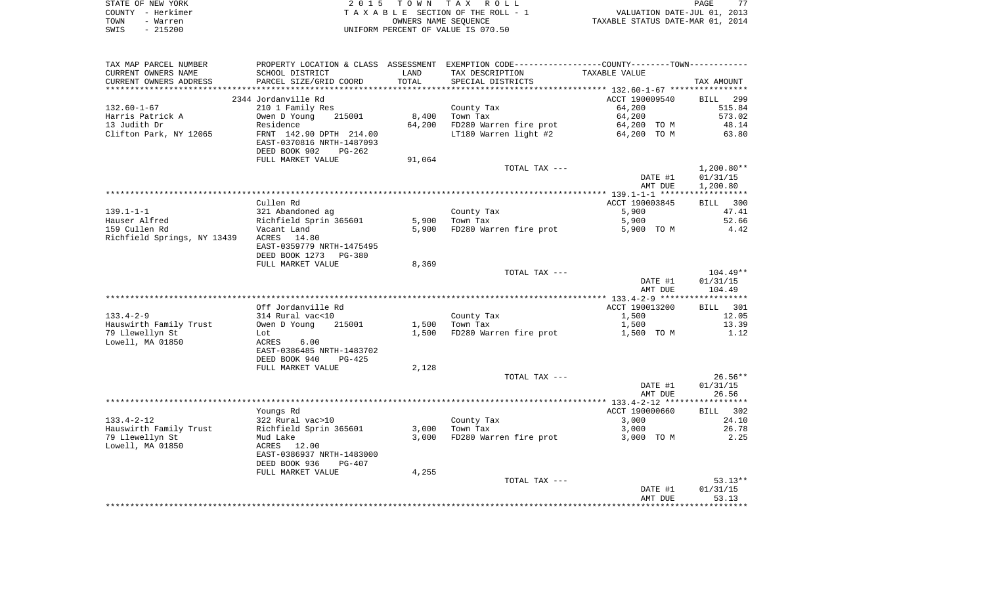| STATE OF NEW YORK | 2015 TOWN TAX ROLL                 | 77<br>PAGE                       |
|-------------------|------------------------------------|----------------------------------|
| COUNTY - Herkimer | TAXABLE SECTION OF THE ROLL - 1    | VALUATION DATE-JUL 01, 2013      |
| TOWN<br>- Warren  | OWNERS NAME SEOUENCE               | TAXABLE STATUS DATE-MAR 01, 2014 |
| - 215200<br>SWIS  | UNIFORM PERCENT OF VALUE IS 070.50 |                                  |

| TAX MAP PARCEL NUMBER             | PROPERTY LOCATION & CLASS ASSESSMENT EXEMPTION CODE----------------COUNTY-------TOWN---------- |        |                              |                |                    |
|-----------------------------------|------------------------------------------------------------------------------------------------|--------|------------------------------|----------------|--------------------|
| CURRENT OWNERS NAME               | SCHOOL DISTRICT                                                                                | LAND   | TAX DESCRIPTION              | TAXABLE VALUE  |                    |
| CURRENT OWNERS ADDRESS            | PARCEL SIZE/GRID COORD                                                                         | TOTAL  | SPECIAL DISTRICTS            |                | TAX AMOUNT         |
|                                   |                                                                                                |        |                              |                |                    |
|                                   | 2344 Jordanville Rd                                                                            |        |                              | ACCT 190009540 | <b>BILL</b><br>299 |
| 132.60-1-67                       | 210 1 Family Res                                                                               |        | County Tax                   | 64,200         | 515.84             |
| Harris Patrick A                  | 215001<br>Owen D Young                                                                         | 8,400  | Town Tax                     | 64,200         | 573.02             |
| 13 Judith Dr                      | Residence                                                                                      | 64,200 | FD280 Warren fire prot       | 64,200 TO M    | 48.14              |
| Clifton Park, NY 12065            | FRNT 142.90 DPTH 214.00                                                                        |        | LT180 Warren light #2        | 64,200 TO M    | 63.80              |
|                                   | EAST-0370816 NRTH-1487093                                                                      |        |                              |                |                    |
|                                   | DEED BOOK 902<br>$PG-262$                                                                      |        |                              |                |                    |
|                                   | FULL MARKET VALUE                                                                              | 91,064 |                              |                |                    |
|                                   |                                                                                                |        | TOTAL TAX ---                |                | $1,200.80**$       |
|                                   |                                                                                                |        |                              | DATE #1        | 01/31/15           |
|                                   |                                                                                                |        |                              | AMT DUE        | 1,200.80           |
|                                   |                                                                                                |        |                              |                |                    |
|                                   | Cullen Rd                                                                                      |        |                              | ACCT 190003845 | BILL 300           |
| $139.1 - 1 - 1$                   | 321 Abandoned ag                                                                               |        | County Tax                   | 5,900          | 47.41              |
| Hauser Alfred                     | Richfield Sprin 365601                                                                         | 5,900  | Town Tax                     | 5,900          | 52.66              |
| 159 Cullen Rd                     | Vacant Land                                                                                    |        | 5,900 FD280 Warren fire prot | 5,900 TO M     | 4.42               |
| Richfield Springs, NY 13439 ACRES | 14.80                                                                                          |        |                              |                |                    |
|                                   | EAST-0359779 NRTH-1475495                                                                      |        |                              |                |                    |
|                                   | DEED BOOK 1273 PG-380                                                                          |        |                              |                |                    |
|                                   | FULL MARKET VALUE                                                                              | 8,369  |                              |                |                    |
|                                   |                                                                                                |        | TOTAL TAX ---                |                | 104.49**           |
|                                   |                                                                                                |        |                              | DATE #1        | 01/31/15           |
|                                   |                                                                                                |        |                              | AMT DUE        | 104.49             |
|                                   |                                                                                                |        |                              |                |                    |
|                                   | Off Jordanville Rd                                                                             |        |                              | ACCT 190013200 | BILL 301           |
| $133.4 - 2 - 9$                   | 314 Rural vac<10                                                                               |        | County Tax                   | 1,500          | 12.05              |
| Hauswirth Family Trust            | Owen D Young 215001                                                                            | 1,500  | Town Tax                     | 1,500          | 13.39              |
| 79 Llewellyn St                   | Lot                                                                                            | 1,500  | FD280 Warren fire prot       | 1,500 TO M     | 1.12               |
| Lowell, MA 01850                  | 6.00<br>ACRES                                                                                  |        |                              |                |                    |
|                                   | EAST-0386485 NRTH-1483702                                                                      |        |                              |                |                    |
|                                   | DEED BOOK 940<br>$PG-425$                                                                      |        |                              |                |                    |
|                                   | FULL MARKET VALUE                                                                              | 2,128  |                              |                |                    |
|                                   |                                                                                                |        | TOTAL TAX ---                |                | $26.56**$          |
|                                   |                                                                                                |        |                              | DATE #1        | 01/31/15           |
|                                   |                                                                                                |        |                              | AMT DUE        | 26.56              |
|                                   |                                                                                                |        |                              |                |                    |
|                                   | Youngs Rd                                                                                      |        |                              | ACCT 190000660 | BILL 302           |
| 133.4-2-12                        | 322 Rural vac>10                                                                               |        | County Tax                   | 3,000          | 24.10              |
| Hauswirth Family Trust            | Richfield Sprin 365601                                                                         | 3,000  | Town Tax                     | 3,000          | 26.78              |
| 79 Llewellyn St                   | Mud Lake                                                                                       | 3,000  | FD280 Warren fire prot       | 3,000 TO M     | 2.25               |
| Lowell, MA 01850                  | ACRES 12.00                                                                                    |        |                              |                |                    |
|                                   | EAST-0386937 NRTH-1483000                                                                      |        |                              |                |                    |
|                                   | DEED BOOK 936<br>PG-407                                                                        |        |                              |                |                    |
|                                   | FULL MARKET VALUE                                                                              | 4,255  |                              |                |                    |
|                                   |                                                                                                |        | TOTAL TAX ---                |                | $53.13**$          |
|                                   |                                                                                                |        |                              |                |                    |
|                                   |                                                                                                |        |                              | DATE #1        | 01/31/15           |
|                                   |                                                                                                |        |                              | AMT DUE        | 53.13              |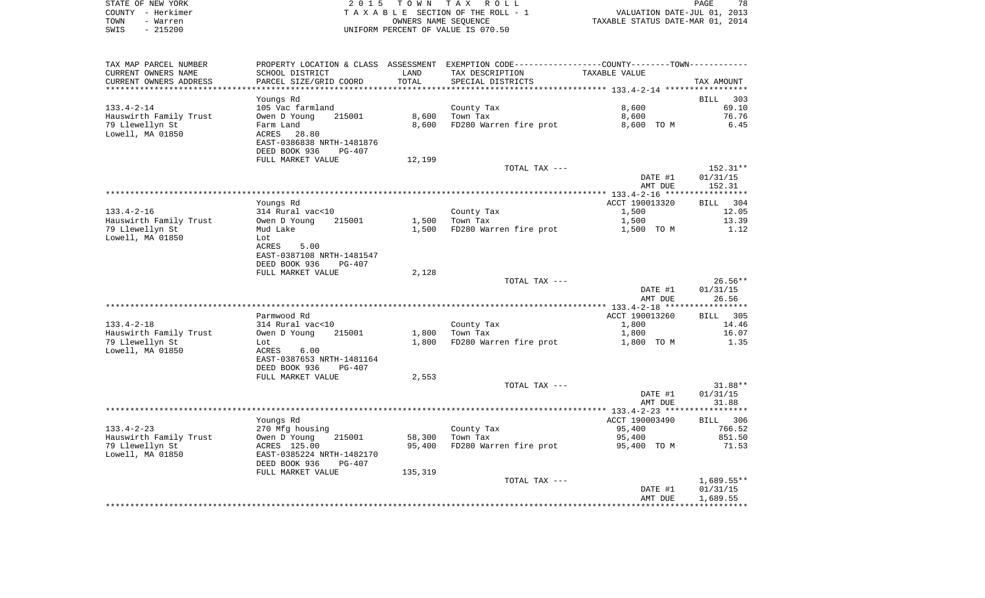| STATE OF NEW YORK | 2015 TOWN TAX ROLL                 | 78<br>PAGE                       |
|-------------------|------------------------------------|----------------------------------|
| COUNTY - Herkimer | TAXABLE SECTION OF THE ROLL - 1    | VALUATION DATE-JUL 01, 2013      |
| TOWN<br>- Warren  | OWNERS NAME SEOUENCE               | TAXABLE STATUS DATE-MAR 01, 2014 |
| $-215200$<br>SWIS | UNIFORM PERCENT OF VALUE IS 070.50 |                                  |

 $\frac{78}{2013}$ <br>2014

| TAX MAP PARCEL NUMBER                      | PROPERTY LOCATION & CLASS ASSESSMENT EXEMPTION CODE---------------COUNTY-------TOWN---------- |         |                        |                  |                    |
|--------------------------------------------|-----------------------------------------------------------------------------------------------|---------|------------------------|------------------|--------------------|
| CURRENT OWNERS NAME                        | SCHOOL DISTRICT                                                                               | LAND    | TAX DESCRIPTION        | TAXABLE VALUE    |                    |
| CURRENT OWNERS ADDRESS                     | PARCEL SIZE/GRID COORD                                                                        | TOTAL   | SPECIAL DISTRICTS      |                  | TAX AMOUNT         |
| ***********************                    |                                                                                               |         |                        |                  |                    |
|                                            | Youngs Rd                                                                                     |         |                        |                  | <b>BILL</b><br>303 |
| $133.4 - 2 - 14$                           | 105 Vac farmland                                                                              |         | County Tax             | 8,600            | 69.10              |
| Hauswirth Family Trust                     | Owen D Young<br>215001                                                                        | 8,600   | Town Tax               | 8,600            | 76.76              |
| 79 Llewellyn St                            | Farm Land                                                                                     | 8,600   | FD280 Warren fire prot | 8,600 TO M       | 6.45               |
| Lowell, MA 01850                           | ACRES<br>28.80                                                                                |         |                        |                  |                    |
|                                            | EAST-0386838 NRTH-1481876                                                                     |         |                        |                  |                    |
|                                            | DEED BOOK 936<br><b>PG-407</b>                                                                |         |                        |                  |                    |
|                                            | FULL MARKET VALUE                                                                             | 12,199  |                        |                  |                    |
|                                            |                                                                                               |         | TOTAL TAX ---          |                  | 152.31**           |
|                                            |                                                                                               |         |                        | DATE #1          | 01/31/15           |
|                                            |                                                                                               |         |                        | AMT DUE          | 152.31             |
|                                            | Youngs Rd                                                                                     |         |                        | ACCT 190013320   | 304<br>BILL        |
| $133.4 - 2 - 16$                           | 314 Rural vac<10                                                                              |         | County Tax             | 1,500            | 12.05              |
| Hauswirth Family Trust                     | 215001<br>Owen D Young                                                                        | 1,500   | Town Tax               | 1,500            | 13.39              |
| 79 Llewellyn St                            | Mud Lake                                                                                      | 1,500   | FD280 Warren fire prot | 1,500 TO M       | 1.12               |
| Lowell, MA 01850                           | Lot                                                                                           |         |                        |                  |                    |
|                                            | 5.00<br>ACRES                                                                                 |         |                        |                  |                    |
|                                            | EAST-0387108 NRTH-1481547                                                                     |         |                        |                  |                    |
|                                            | DEED BOOK 936<br>$PG-407$                                                                     |         |                        |                  |                    |
|                                            | FULL MARKET VALUE                                                                             | 2,128   |                        |                  |                    |
|                                            |                                                                                               |         | TOTAL TAX ---          |                  | $26.56**$          |
|                                            |                                                                                               |         |                        | DATE #1          | 01/31/15           |
|                                            |                                                                                               |         |                        | AMT DUE          | 26.56              |
|                                            |                                                                                               |         |                        |                  |                    |
|                                            | Parmwood Rd                                                                                   |         |                        | ACCT 190013260   | 305<br>BILL        |
| $133.4 - 2 - 18$                           | 314 Rural vac<10                                                                              |         | County Tax             | 1,800            | 14.46              |
| Hauswirth Family Trust                     | Owen D Young<br>215001                                                                        | 1,800   | Town Tax               | 1,800            | 16.07              |
| 79 Llewellyn St                            | Lot                                                                                           | 1,800   | FD280 Warren fire prot | 1,800 TO M       | 1.35               |
| Lowell, MA 01850                           | ACRES<br>6.00                                                                                 |         |                        |                  |                    |
|                                            | EAST-0387653 NRTH-1481164                                                                     |         |                        |                  |                    |
|                                            | DEED BOOK 936<br><b>PG-407</b>                                                                |         |                        |                  |                    |
|                                            | FULL MARKET VALUE                                                                             | 2,553   |                        |                  |                    |
|                                            |                                                                                               |         | TOTAL TAX ---          |                  | $31.88**$          |
|                                            |                                                                                               |         |                        | DATE #1          | 01/31/15           |
|                                            |                                                                                               |         |                        | AMT DUE          | 31.88              |
|                                            |                                                                                               |         |                        | ACCT 190003490   | BILL 306           |
|                                            | Youngs Rd                                                                                     |         |                        |                  | 766.52             |
| $133.4 - 2 - 23$<br>Hauswirth Family Trust | 270 Mfg housing<br>215001<br>Owen D Young                                                     | 58,300  | County Tax<br>Town Tax | 95,400<br>95,400 | 851.50             |
| 79 Llewellyn St                            | ACRES 125.00                                                                                  | 95,400  | FD280 Warren fire prot | 95,400 TO M      | 71.53              |
| Lowell, MA 01850                           | EAST-0385224 NRTH-1482170                                                                     |         |                        |                  |                    |
|                                            | DEED BOOK 936<br><b>PG-407</b>                                                                |         |                        |                  |                    |
|                                            | FULL MARKET VALUE                                                                             | 135,319 |                        |                  |                    |
|                                            |                                                                                               |         | TOTAL TAX ---          |                  | $1,689.55**$       |
|                                            |                                                                                               |         |                        | DATE #1          | 01/31/15           |
|                                            |                                                                                               |         |                        | AMT DUE          | 1,689.55           |
|                                            |                                                                                               |         |                        |                  |                    |
|                                            |                                                                                               |         |                        |                  |                    |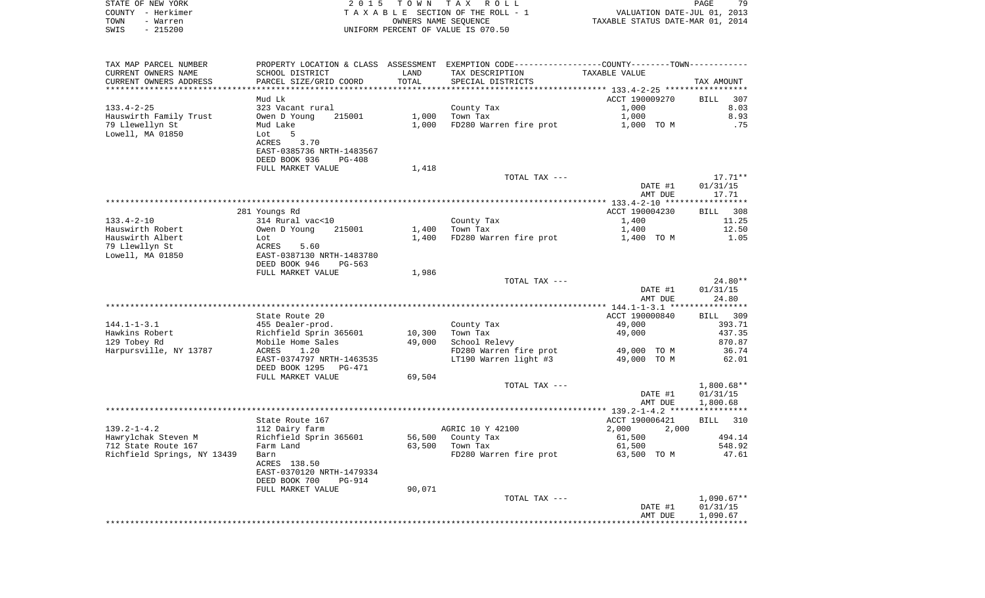| STATE OF NEW YORK<br>COUNTY - Herkimer<br>- Warren<br>TOWN | 2 0 1 5                                              | T O W N | TAX ROLL<br>TAXABLE SECTION OF THE ROLL - 1<br>OWNERS NAME SEQUENCE | VALUATION DATE-JUL 01, 2013<br>TAXABLE STATUS DATE-MAR 01, 2014 | PAGE<br>79         |
|------------------------------------------------------------|------------------------------------------------------|---------|---------------------------------------------------------------------|-----------------------------------------------------------------|--------------------|
| $-215200$<br>SWIS                                          |                                                      |         | UNIFORM PERCENT OF VALUE IS 070.50                                  |                                                                 |                    |
| TAX MAP PARCEL NUMBER                                      | PROPERTY LOCATION & CLASS ASSESSMENT                 |         | EXEMPTION CODE-----------------COUNTY-------TOWN-----------         |                                                                 |                    |
| CURRENT OWNERS NAME                                        | SCHOOL DISTRICT                                      | LAND    | TAX DESCRIPTION                                                     | TAXABLE VALUE                                                   |                    |
| CURRENT OWNERS ADDRESS<br>**********************           | PARCEL SIZE/GRID COORD<br>************************   | TOTAL   | SPECIAL DISTRICTS                                                   |                                                                 | TAX AMOUNT         |
|                                                            | Mud Lk                                               |         |                                                                     | ACCT 190009270                                                  | <b>BILL</b><br>307 |
| $133.4 - 2 - 25$                                           | 323 Vacant rural                                     |         | County Tax                                                          | 1,000                                                           | 8.03               |
| Hauswirth Family Trust                                     | Owen D Young<br>215001                               | 1,000   | Town Tax                                                            | 1,000                                                           | 8.93               |
| 79 Llewellyn St                                            | Mud Lake                                             | 1,000   | FD280 Warren fire prot                                              | 1,000 TO M                                                      | .75                |
| Lowell, MA 01850                                           | Lot<br>5                                             |         |                                                                     |                                                                 |                    |
|                                                            | 3.70<br>ACRES<br>EAST-0385736 NRTH-1483567           |         |                                                                     |                                                                 |                    |
|                                                            | DEED BOOK 936<br><b>PG-408</b>                       |         |                                                                     |                                                                 |                    |
|                                                            | FULL MARKET VALUE                                    | 1,418   |                                                                     |                                                                 |                    |
|                                                            |                                                      |         | TOTAL TAX ---                                                       |                                                                 | $17.71**$          |
|                                                            |                                                      |         |                                                                     | DATE #1                                                         | 01/31/15           |
|                                                            |                                                      |         |                                                                     | AMT DUE                                                         | 17.71              |
|                                                            | 281 Youngs Rd                                        |         |                                                                     | ACCT 190004230                                                  | 308<br>BILL        |
| $133.4 - 2 - 10$                                           | 314 Rural vac<10                                     |         | County Tax                                                          | 1,400                                                           | 11.25              |
| Hauswirth Robert                                           | Owen D Young<br>215001                               | 1,400   | Town Tax                                                            | 1,400                                                           | 12.50              |
| Hauswirth Albert                                           | Lot                                                  | 1,400   | FD280 Warren fire prot                                              | 1,400 TO M                                                      | 1.05               |
| 79 Llewllyn St                                             | ACRES<br>5.60                                        |         |                                                                     |                                                                 |                    |
| Lowell, MA 01850                                           | EAST-0387130 NRTH-1483780<br>DEED BOOK 946<br>PG-563 |         |                                                                     |                                                                 |                    |
|                                                            | FULL MARKET VALUE                                    | 1,986   |                                                                     |                                                                 |                    |
|                                                            |                                                      |         | TOTAL TAX ---                                                       |                                                                 | $24.80**$          |
|                                                            |                                                      |         |                                                                     | DATE #1                                                         | 01/31/15           |
|                                                            |                                                      |         |                                                                     | AMT DUE                                                         | 24.80              |
|                                                            | State Route 20                                       |         |                                                                     | ************** 144.1-1-3.1 *****************<br>ACCT 190000840  | <b>BILL</b><br>309 |
| $144.1 - 1 - 3.1$                                          | 455 Dealer-prod.                                     |         | County Tax                                                          | 49,000                                                          | 393.71             |
| Hawkins Robert                                             | Richfield Sprin 365601                               | 10,300  | Town Tax                                                            | 49,000                                                          | 437.35             |
| 129 Tobey Rd                                               | Mobile Home Sales                                    | 49,000  | School Relevy                                                       |                                                                 | 870.87             |
| Harpursville, NY 13787                                     | 1.20<br>ACRES                                        |         | FD280 Warren fire prot                                              | 49,000 TO M                                                     | 36.74              |
|                                                            | EAST-0374797 NRTH-1463535                            |         | LT190 Warren light #3                                               | 49,000 TO M                                                     | 62.01              |
|                                                            | DEED BOOK 1295 PG-471<br>FULL MARKET VALUE           | 69,504  |                                                                     |                                                                 |                    |
|                                                            |                                                      |         | TOTAL TAX ---                                                       |                                                                 | $1,800.68**$       |
|                                                            |                                                      |         |                                                                     | DATE #1                                                         | 01/31/15           |
|                                                            |                                                      |         |                                                                     | AMT DUE                                                         | 1,800.68           |
|                                                            | State Route 167                                      |         |                                                                     | ACCT 190006421                                                  | 310<br><b>BILL</b> |
| $139.2 - 1 - 4.2$                                          | 112 Dairy farm                                       |         | AGRIC 10 Y 42100                                                    | 2,000<br>2,000                                                  |                    |
| Hawrylchak Steven M                                        | Richfield Sprin 365601                               |         | 56,500 County Tax                                                   | 61,500                                                          | 494.14             |
| 712 State Route 167                                        | Farm Land                                            | 63,500  | Town Tax                                                            | 61,500                                                          | 548.92             |
| Richfield Springs, NY 13439                                | Barn                                                 |         | FD280 Warren fire prot                                              | 63,500 TO M                                                     | 47.61              |
|                                                            | ACRES 138.50                                         |         |                                                                     |                                                                 |                    |
|                                                            | EAST-0370120 NRTH-1479334<br>DEED BOOK 700<br>PG-914 |         |                                                                     |                                                                 |                    |
|                                                            | FULL MARKET VALUE                                    | 90,071  |                                                                     |                                                                 |                    |
|                                                            |                                                      |         | TOTAL TAX ---                                                       |                                                                 | $1,090.67**$       |
|                                                            |                                                      |         |                                                                     | DATE #1                                                         | 01/31/15           |
|                                                            |                                                      |         |                                                                     | AMT DUE                                                         | 1,090.67           |
|                                                            |                                                      |         |                                                                     |                                                                 |                    |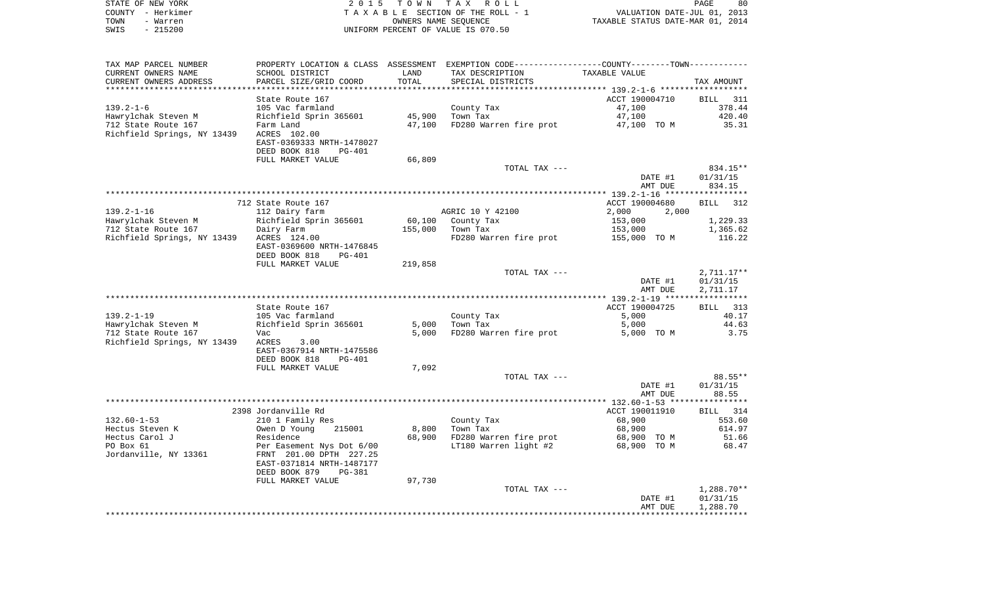| STATE OF NEW YORK | 2015 TOWN TAX ROLL                 | 80<br>PAGE                       |
|-------------------|------------------------------------|----------------------------------|
| COUNTY - Herkimer | TAXABLE SECTION OF THE ROLL - 1    | VALUATION DATE-JUL 01, 2013      |
| TOWN<br>- Warren  | OWNERS NAME SEOUENCE               | TAXABLE STATUS DATE-MAR 01, 2014 |
| SWIS<br>- 215200  | UNIFORM PERCENT OF VALUE IS 070.50 |                                  |

| TAX MAP PARCEL NUMBER       |                                                                        |         | PROPERTY LOCATION & CLASS ASSESSMENT EXEMPTION CODE----------------COUNTY--------TOWN---------- |                                                     |              |
|-----------------------------|------------------------------------------------------------------------|---------|-------------------------------------------------------------------------------------------------|-----------------------------------------------------|--------------|
| CURRENT OWNERS NAME         | SCHOOL DISTRICT                                                        | LAND    | TAX DESCRIPTION                                                                                 | TAXABLE VALUE                                       |              |
| CURRENT OWNERS ADDRESS      | PARCEL SIZE/GRID COORD                                                 | TOTAL   | SPECIAL DISTRICTS                                                                               |                                                     | TAX AMOUNT   |
|                             |                                                                        |         | **************************                                                                      | ********************* 139.2-1-6 ******************* |              |
|                             | State Route 167                                                        |         |                                                                                                 | ACCT 190004710                                      | BILL 311     |
| $139.2 - 1 - 6$             | 105 Vac farmland                                                       |         | County Tax                                                                                      | 47,100                                              | 378.44       |
| Hawrylchak Steven M         | Richfield Sprin 365601                                                 | 45,900  | Town Tax                                                                                        | 47,100                                              | 420.40       |
| 712 State Route 167         | Farm Land                                                              | 47,100  | FD280 Warren fire prot                                                                          | 47,100 TO M                                         | 35.31        |
| Richfield Springs, NY 13439 | ACRES 102.00<br>EAST-0369333 NRTH-1478027<br>DEED BOOK 818<br>$PG-401$ |         |                                                                                                 |                                                     |              |
|                             | FULL MARKET VALUE                                                      | 66,809  |                                                                                                 |                                                     |              |
|                             |                                                                        |         | TOTAL TAX ---                                                                                   |                                                     | 834.15**     |
|                             |                                                                        |         |                                                                                                 | DATE #1                                             | 01/31/15     |
|                             |                                                                        |         |                                                                                                 | AMT DUE                                             | 834.15       |
|                             |                                                                        |         |                                                                                                 |                                                     |              |
|                             | 712 State Route 167                                                    |         |                                                                                                 | ACCT 190004680                                      | BILL<br>312  |
| $139.2 - 1 - 16$            | 112 Dairy farm                                                         |         | AGRIC 10 Y 42100                                                                                | 2,000<br>2,000                                      |              |
| Hawrylchak Steven M         | Richfield Sprin 365601                                                 | 60,100  | County Tax                                                                                      | 153,000                                             | 1,229.33     |
| 712 State Route 167         | Dairy Farm                                                             | 155,000 | Town Tax                                                                                        | 153,000                                             | 1,365.62     |
| Richfield Springs, NY 13439 | ACRES 124.00<br>EAST-0369600 NRTH-1476845                              |         | FD280 Warren fire prot                                                                          | 155,000 TO M                                        | 116.22       |
|                             | DEED BOOK 818<br>PG-401                                                |         |                                                                                                 |                                                     |              |
|                             | FULL MARKET VALUE                                                      | 219,858 |                                                                                                 |                                                     |              |
|                             |                                                                        |         | TOTAL TAX ---                                                                                   |                                                     | $2,711.17**$ |
|                             |                                                                        |         |                                                                                                 | DATE #1                                             | 01/31/15     |
|                             |                                                                        |         |                                                                                                 | AMT DUE                                             | 2,711.17     |
|                             |                                                                        |         |                                                                                                 |                                                     |              |
|                             | State Route 167                                                        |         |                                                                                                 | ACCT 190004725                                      | BILL 313     |
| $139.2 - 1 - 19$            | 105 Vac farmland                                                       |         | County Tax                                                                                      | 5,000                                               | 40.17        |
| Hawrylchak Steven M         | Richfield Sprin 365601                                                 | 5,000   | Town Tax                                                                                        | 5,000                                               | 44.63        |
| 712 State Route 167         | Vac                                                                    | 5,000   | FD280 Warren fire prot                                                                          | 5,000 TO M                                          | 3.75         |
| Richfield Springs, NY 13439 | ACRES<br>3.00                                                          |         |                                                                                                 |                                                     |              |
|                             | EAST-0367914 NRTH-1475586                                              |         |                                                                                                 |                                                     |              |
|                             | DEED BOOK 818<br>PG-401                                                |         |                                                                                                 |                                                     |              |
|                             | FULL MARKET VALUE                                                      | 7,092   |                                                                                                 |                                                     |              |
|                             |                                                                        |         | TOTAL TAX ---                                                                                   |                                                     | 88.55**      |
|                             |                                                                        |         |                                                                                                 | DATE #1                                             | 01/31/15     |
|                             |                                                                        |         |                                                                                                 | AMT DUE                                             | 88.55        |
|                             | 2398 Jordanville Rd                                                    |         |                                                                                                 | ACCT 190011910                                      | BILL 314     |
| $132.60 - 1 - 53$           | 210 1 Family Res                                                       |         | County Tax                                                                                      | 68,900                                              | 553.60       |
| Hectus Steven K             | Owen D Young<br>215001                                                 | 8,800   | Town Tax                                                                                        | 68,900                                              | 614.97       |
| Hectus Carol J              | Residence                                                              | 68,900  | FD280 Warren fire prot                                                                          | 68,900 TO M                                         | 51.66        |
| PO Box 61                   | Per Easement Nys Dot 6/00                                              |         | LT180 Warren light #2                                                                           | 68,900 TO M                                         | 68.47        |
| Jordanville, NY 13361       | FRNT 201.00 DPTH 227.25                                                |         |                                                                                                 |                                                     |              |
|                             | EAST-0371814 NRTH-1487177                                              |         |                                                                                                 |                                                     |              |
|                             | DEED BOOK 879<br>PG-381                                                |         |                                                                                                 |                                                     |              |
|                             | FULL MARKET VALUE                                                      | 97,730  |                                                                                                 |                                                     |              |
|                             |                                                                        |         | TOTAL TAX ---                                                                                   |                                                     | $1,288.70**$ |
|                             |                                                                        |         |                                                                                                 | DATE #1                                             | 01/31/15     |
|                             |                                                                        |         |                                                                                                 | AMT DUE                                             | 1,288.70     |
|                             |                                                                        |         |                                                                                                 |                                                     |              |
|                             |                                                                        |         |                                                                                                 |                                                     |              |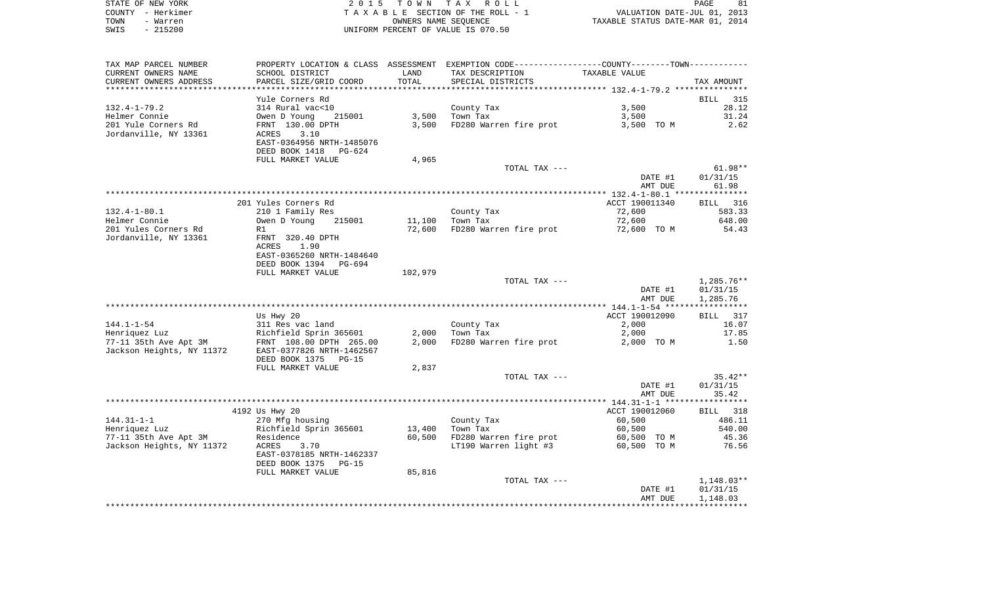| STATE OF NEW YORK | 2015 TOWN TAX ROLL                 | 81<br>PAGE                       |
|-------------------|------------------------------------|----------------------------------|
| COUNTY - Herkimer | TAXABLE SECTION OF THE ROLL - 1    | VALUATION DATE-JUL 01, 2013      |
| TOWN<br>- Warren  | OWNERS NAME SEOUENCE               | TAXABLE STATUS DATE-MAR 01, 2014 |
| $-215200$<br>SWIS | UNIFORM PERCENT OF VALUE IS 070.50 |                                  |

| TAX MAP PARCEL NUMBER     | PROPERTY LOCATION & CLASS ASSESSMENT EXEMPTION CODE---------------COUNTY-------TOWN--------- |         |                        |                |              |
|---------------------------|----------------------------------------------------------------------------------------------|---------|------------------------|----------------|--------------|
| CURRENT OWNERS NAME       | SCHOOL DISTRICT                                                                              | LAND    | TAX DESCRIPTION        | TAXABLE VALUE  |              |
| CURRENT OWNERS ADDRESS    | PARCEL SIZE/GRID COORD                                                                       | TOTAL   | SPECIAL DISTRICTS      |                | TAX AMOUNT   |
| ***********************   |                                                                                              |         |                        |                |              |
|                           | Yule Corners Rd                                                                              |         |                        |                | BILL<br>315  |
| $132.4 - 1 - 79.2$        | 314 Rural vac<10                                                                             |         | County Tax             | 3,500          | 28.12        |
| Helmer Connie             | Owen D Young<br>215001                                                                       | 3,500   | Town Tax               | 3,500          | 31.24        |
| 201 Yule Corners Rd       | FRNT 130.00 DPTH                                                                             | 3,500   | FD280 Warren fire prot | 3,500 TO M     | 2.62         |
| Jordanville, NY 13361     | ACRES<br>3.10                                                                                |         |                        |                |              |
|                           | EAST-0364956 NRTH-1485076                                                                    |         |                        |                |              |
|                           | DEED BOOK 1418<br>$PG-624$                                                                   |         |                        |                |              |
|                           | FULL MARKET VALUE                                                                            | 4,965   |                        |                |              |
|                           |                                                                                              |         | TOTAL TAX ---          |                | $61.98**$    |
|                           |                                                                                              |         |                        | DATE #1        | 01/31/15     |
|                           |                                                                                              |         |                        | AMT DUE        | 61.98        |
|                           |                                                                                              |         |                        |                |              |
|                           | 201 Yules Corners Rd                                                                         |         |                        | ACCT 190011340 | BILL 316     |
| $132.4 - 1 - 80.1$        | 210 1 Family Res                                                                             |         | County Tax             | 72,600         | 583.33       |
| Helmer Connie             | Owen D Young<br>215001                                                                       | 11,100  | Town Tax               | 72,600         | 648.00       |
| 201 Yules Corners Rd      | R1                                                                                           | 72,600  | FD280 Warren fire prot | 72,600 TO M    | 54.43        |
| Jordanville, NY 13361     | FRNT 320.40 DPTH                                                                             |         |                        |                |              |
|                           | 1.90<br>ACRES                                                                                |         |                        |                |              |
|                           | EAST-0365260 NRTH-1484640                                                                    |         |                        |                |              |
|                           | DEED BOOK 1394<br>PG-694                                                                     |         |                        |                |              |
|                           | FULL MARKET VALUE                                                                            | 102,979 |                        |                |              |
|                           |                                                                                              |         | TOTAL TAX ---          |                | $1,285.76**$ |
|                           |                                                                                              |         |                        | DATE #1        | 01/31/15     |
|                           |                                                                                              |         |                        | AMT DUE        | 1,285.76     |
|                           |                                                                                              |         |                        |                |              |
|                           | Us Hwy 20                                                                                    |         |                        | ACCT 190012090 | BILL 317     |
| $144.1 - 1 - 54$          | 311 Res vac land                                                                             |         | County Tax             | 2,000          | 16.07        |
| Henriquez Luz             | Richfield Sprin 365601                                                                       | 2,000   | Town Tax               | 2,000          | 17.85        |
| 77-11 35th Ave Apt 3M     | FRNT 108.00 DPTH 265.00                                                                      | 2,000   | FD280 Warren fire prot | 2,000 TO M     | 1.50         |
| Jackson Heights, NY 11372 | EAST-0377826 NRTH-1462567                                                                    |         |                        |                |              |
|                           | DEED BOOK 1375<br>$PG-15$                                                                    |         |                        |                |              |
|                           | FULL MARKET VALUE                                                                            | 2,837   |                        |                |              |
|                           |                                                                                              |         | TOTAL TAX ---          |                | $35.42**$    |
|                           |                                                                                              |         |                        | DATE #1        | 01/31/15     |
|                           |                                                                                              |         |                        | AMT DUE        | 35.42        |
|                           |                                                                                              |         |                        |                |              |
|                           | 4192 Us Hwy 20                                                                               |         |                        | ACCT 190012060 | BILL 318     |
| $144.31 - 1 - 1$          | 270 Mfg housing                                                                              |         | County Tax             | 60,500         | 486.11       |
| Henriquez Luz             | Richfield Sprin 365601                                                                       | 13,400  | Town Tax               | 60,500         | 540.00       |
| 77-11 35th Ave Apt 3M     | Residence                                                                                    | 60,500  | FD280 Warren fire prot | 60,500 TO M    | 45.36        |
| Jackson Heights, NY 11372 | ACRES<br>3.70                                                                                |         | LT190 Warren light #3  | 60,500 TO M    | 76.56        |
|                           | EAST-0378185 NRTH-1462337                                                                    |         |                        |                |              |
|                           | DEED BOOK 1375<br>$PG-15$                                                                    |         |                        |                |              |
|                           | FULL MARKET VALUE                                                                            | 85,816  |                        |                |              |
|                           |                                                                                              |         | TOTAL TAX ---          |                | $1,148.03**$ |
|                           |                                                                                              |         |                        | DATE #1        | 01/31/15     |
|                           |                                                                                              |         |                        | AMT DUE        | 1,148.03     |
|                           |                                                                                              |         |                        |                |              |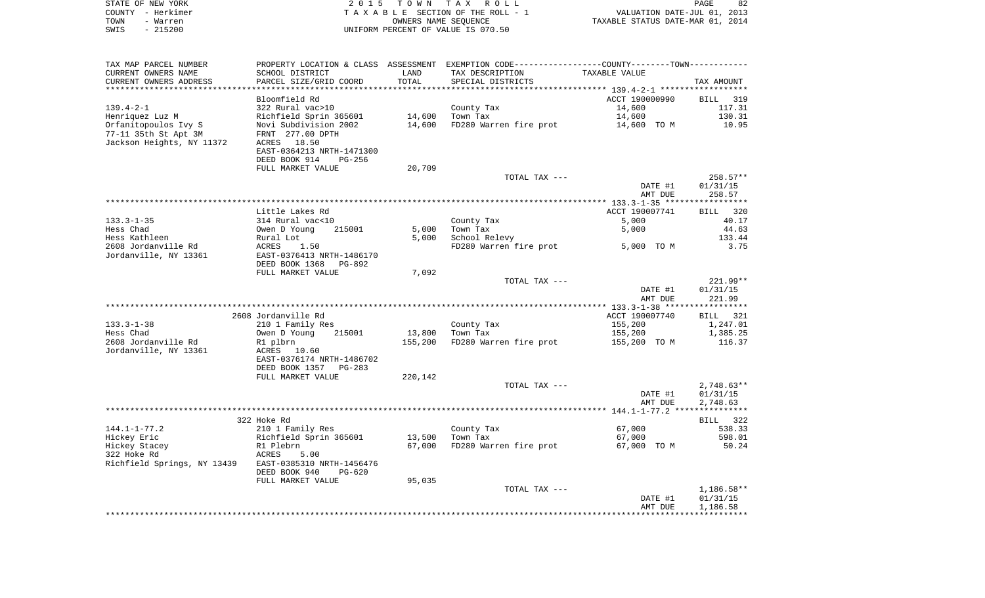| STATE OF NEW YORK<br>COUNTY - Herkimer<br>TOWN<br>- Warren | 2 0 1 5                                    | T O W N       | T A X<br>R O L L<br>TAXABLE SECTION OF THE ROLL - 1<br>OWNERS NAME SEQUENCE                   | VALUATION DATE-JUL 01, 2013<br>TAXABLE STATUS DATE-MAR 01, 2014 | PAGE<br>82   |
|------------------------------------------------------------|--------------------------------------------|---------------|-----------------------------------------------------------------------------------------------|-----------------------------------------------------------------|--------------|
| $-215200$<br>SWIS                                          |                                            |               | UNIFORM PERCENT OF VALUE IS 070.50                                                            |                                                                 |              |
| TAX MAP PARCEL NUMBER                                      |                                            |               | PROPERTY LOCATION & CLASS ASSESSMENT EXEMPTION CODE---------------COUNTY-------TOWN---------- |                                                                 |              |
| CURRENT OWNERS NAME<br>CURRENT OWNERS ADDRESS              | SCHOOL DISTRICT<br>PARCEL SIZE/GRID COORD  | LAND<br>TOTAL | TAX DESCRIPTION<br>SPECIAL DISTRICTS                                                          | TAXABLE VALUE                                                   | TAX AMOUNT   |
|                                                            |                                            |               |                                                                                               |                                                                 |              |
|                                                            | Bloomfield Rd                              |               |                                                                                               | ACCT 190000990                                                  | BILL<br>319  |
| $139.4 - 2 - 1$                                            | 322 Rural vac>10                           |               | County Tax                                                                                    | 14,600                                                          | 117.31       |
| Henriquez Luz M                                            | Richfield Sprin 365601                     | 14,600        | Town Tax                                                                                      | 14,600                                                          | 130.31       |
| Orfanitopoulos Ivy S                                       | Novi Subdivision 2002                      | 14,600        | FD280 Warren fire prot                                                                        | 14,600 TO M                                                     | 10.95        |
| 77-11 35th St Apt 3M<br>Jackson Heights, NY 11372          | FRNT 277.00 DPTH<br>ACRES 18.50            |               |                                                                                               |                                                                 |              |
|                                                            | EAST-0364213 NRTH-1471300                  |               |                                                                                               |                                                                 |              |
|                                                            | DEED BOOK 914<br><b>PG-256</b>             |               |                                                                                               |                                                                 |              |
|                                                            | FULL MARKET VALUE                          | 20,709        |                                                                                               |                                                                 |              |
|                                                            |                                            |               | TOTAL TAX ---                                                                                 |                                                                 | 258.57**     |
|                                                            |                                            |               |                                                                                               | DATE #1                                                         | 01/31/15     |
|                                                            |                                            |               |                                                                                               | AMT DUE                                                         | 258.57       |
|                                                            |                                            |               |                                                                                               |                                                                 |              |
|                                                            | Little Lakes Rd                            |               |                                                                                               | ACCT 190007741                                                  | BILL<br>320  |
| $133.3 - 1 - 35$                                           | 314 Rural vac<10                           |               | County Tax                                                                                    | 5,000                                                           | 40.17        |
| Hess Chad                                                  | Owen D Young<br>215001                     | 5,000         | Town Tax                                                                                      | 5,000                                                           | 44.63        |
| Hess Kathleen                                              | Rural Lot                                  | 5,000         | School Relevy                                                                                 |                                                                 | 133.44       |
| 2608 Jordanville Rd<br>Jordanville, NY 13361               | ACRES<br>1.50<br>EAST-0376413 NRTH-1486170 |               | FD280 Warren fire prot                                                                        | 5,000 TO M                                                      | 3.75         |
|                                                            | DEED BOOK 1368<br>PG-892                   |               |                                                                                               |                                                                 |              |
|                                                            | FULL MARKET VALUE                          | 7,092         |                                                                                               |                                                                 |              |
|                                                            |                                            |               | TOTAL TAX ---                                                                                 |                                                                 | 221.99**     |
|                                                            |                                            |               |                                                                                               | DATE #1                                                         | 01/31/15     |
|                                                            |                                            |               |                                                                                               | AMT DUE                                                         | 221.99       |
|                                                            |                                            |               |                                                                                               |                                                                 |              |
|                                                            | 2608 Jordanville Rd                        |               |                                                                                               | ACCT 190007740                                                  | BILL 321     |
| $133.3 - 1 - 38$                                           | 210 1 Family Res                           |               | County Tax                                                                                    | 155,200                                                         | 1,247.01     |
| Hess Chad                                                  | Owen D Young<br>215001                     | 13,800        | Town Tax                                                                                      | 155,200                                                         | 1,385.25     |
| 2608 Jordanville Rd<br>Jordanville, NY 13361               | R1 plbrn<br>ACRES 10.60                    | 155,200       | FD280 Warren fire prot                                                                        | 155,200 TO M                                                    | 116.37       |
|                                                            | EAST-0376174 NRTH-1486702                  |               |                                                                                               |                                                                 |              |
|                                                            | DEED BOOK 1357<br>PG-283                   |               |                                                                                               |                                                                 |              |
|                                                            | FULL MARKET VALUE                          | 220,142       |                                                                                               |                                                                 |              |
|                                                            |                                            |               | TOTAL TAX ---                                                                                 |                                                                 | $2,748.63**$ |
|                                                            |                                            |               |                                                                                               | DATE #1                                                         | 01/31/15     |
|                                                            |                                            |               |                                                                                               | AMT DUE                                                         | 2,748.63     |
|                                                            |                                            |               |                                                                                               |                                                                 |              |
|                                                            | 322 Hoke Rd                                |               |                                                                                               |                                                                 | BILL<br>322  |
| $144.1 - 1 - 77.2$                                         | 210 1 Family Res                           |               | County Tax                                                                                    | 67,000                                                          | 538.33       |
| Hickey Eric                                                | Richfield Sprin 365601                     |               | 13,500 Town Tax                                                                               | 67,000                                                          | 598.01       |
| Hickey Stacey<br>322 Hoke Rd                               | R1 Plebrn<br>ACRES<br>5.00                 |               | 67,000 FD280 Warren fire prot                                                                 | 67,000 TO M                                                     | 50.24        |
| Richfield Springs, NY 13439                                | EAST-0385310 NRTH-1456476                  |               |                                                                                               |                                                                 |              |
|                                                            | DEED BOOK 940<br>PG-620                    |               |                                                                                               |                                                                 |              |
|                                                            | FULL MARKET VALUE                          | 95,035        |                                                                                               |                                                                 |              |
|                                                            |                                            |               | TOTAL TAX ---                                                                                 |                                                                 | $1,186.58**$ |
|                                                            |                                            |               |                                                                                               | DATE #1                                                         | 01/31/15     |
|                                                            |                                            |               |                                                                                               | AMT DUE                                                         | 1,186.58     |
|                                                            |                                            |               |                                                                                               |                                                                 |              |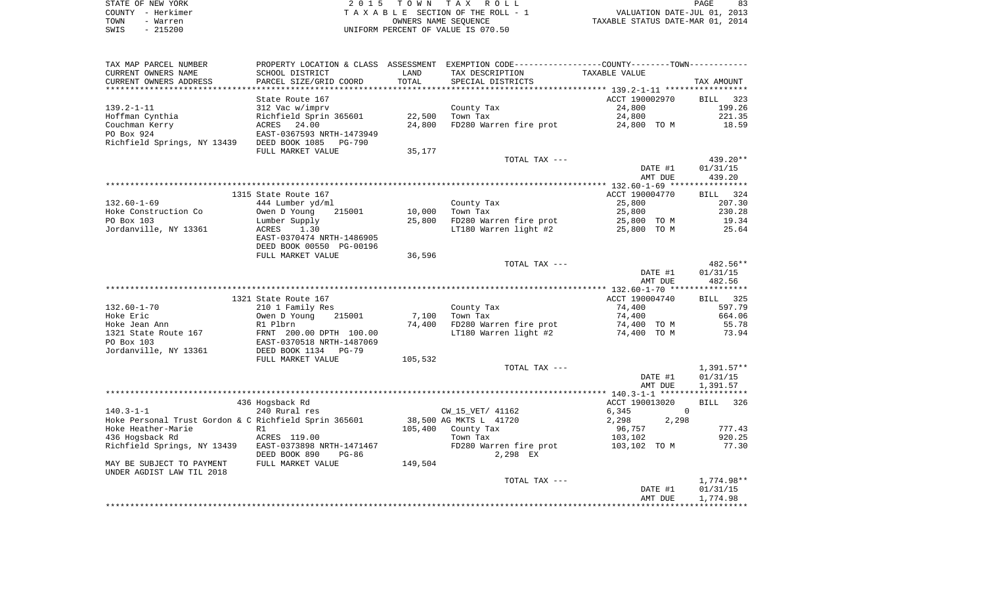| STATE OF NEW YORK | 2015 TOWN TAX ROLL                 | PAGE                             |
|-------------------|------------------------------------|----------------------------------|
| COUNTY - Herkimer | TAXABLE SECTION OF THE ROLL - 1    | VALUATION DATE-JUL 01, 2013      |
| TOWN<br>- Warren  | OWNERS NAME SEOUENCE               | TAXABLE STATUS DATE-MAR 01, 2014 |
| $-215200$<br>SWIS | UNIFORM PERCENT OF VALUE IS 070.50 |                                  |

| TAX MAP PARCEL NUMBER                                 |                                                      |         | PROPERTY LOCATION & CLASS ASSESSMENT EXEMPTION CODE----------------COUNTY-------TOWN----------- |                         |                    |
|-------------------------------------------------------|------------------------------------------------------|---------|-------------------------------------------------------------------------------------------------|-------------------------|--------------------|
| CURRENT OWNERS NAME                                   | SCHOOL DISTRICT                                      | LAND    | TAX DESCRIPTION                                                                                 | TAXABLE VALUE           |                    |
| CURRENT OWNERS ADDRESS                                | PARCEL SIZE/GRID COORD                               | TOTAL   | SPECIAL DISTRICTS                                                                               |                         | TAX AMOUNT         |
|                                                       |                                                      |         |                                                                                                 |                         |                    |
|                                                       | State Route 167                                      |         |                                                                                                 | ACCT 190002970          | BILL 323           |
| 139.2-1-11                                            | 312 Vac w/imprv                                      |         | County Tax                                                                                      | 24,800                  | 199.26             |
| Hoffman Cynthia                                       | Richfield Sprin 365601                               | 22,500  | Town Tax                                                                                        | 24,800                  | 221.35             |
| Couchman Kerry                                        | ACRES 24.00                                          | 24,800  | FD280 Warren fire prot                                                                          | 24,800 TO M             | 18.59              |
| PO Box 924                                            | EAST-0367593 NRTH-1473949                            |         |                                                                                                 |                         |                    |
| Richfield Springs, NY 13439 DEED BOOK 1085            | PG-790                                               |         |                                                                                                 |                         |                    |
|                                                       | FULL MARKET VALUE                                    | 35,177  |                                                                                                 |                         |                    |
|                                                       |                                                      |         | TOTAL TAX ---                                                                                   |                         | 439.20**           |
|                                                       |                                                      |         |                                                                                                 | DATE #1                 | 01/31/15           |
|                                                       |                                                      |         |                                                                                                 | AMT DUE                 | 439.20             |
|                                                       |                                                      |         |                                                                                                 |                         |                    |
|                                                       | 1315 State Route 167                                 |         |                                                                                                 | ACCT 190004770          | BILL 324           |
| $132.60 - 1 - 69$                                     | 444 Lumber yd/ml                                     |         | County Tax                                                                                      | 25,800                  | 207.30             |
| Hoke Construction Co                                  | Owen D Young<br>215001                               | 10,000  | Town Tax                                                                                        | 25,800                  | 230.28             |
| PO Box 103                                            | Lumber Supply                                        | 25,800  | FD280 Warren fire prot                                                                          | 25,800 TO M             | 19.34              |
| Jordanville, NY 13361                                 | ACRES<br>1.30                                        |         | LT180 Warren light #2                                                                           | 25,800 TO M             | 25.64              |
|                                                       | EAST-0370474 NRTH-1486905                            |         |                                                                                                 |                         |                    |
|                                                       | DEED BOOK 00550 PG-00196                             |         |                                                                                                 |                         |                    |
|                                                       | FULL MARKET VALUE                                    | 36,596  |                                                                                                 |                         |                    |
|                                                       |                                                      |         | TOTAL TAX ---                                                                                   |                         | $482.56**$         |
|                                                       |                                                      |         |                                                                                                 | DATE #1                 | 01/31/15           |
|                                                       |                                                      |         |                                                                                                 | AMT DUE                 | 482.56             |
|                                                       |                                                      |         |                                                                                                 |                         |                    |
|                                                       | 1321 State Route 167                                 |         |                                                                                                 | ACCT 190004740          | <b>BILL</b> 325    |
| $132.60 - 1 - 70$                                     | 210 1 Family Res                                     |         | County Tax                                                                                      | 74,400                  | 597.79             |
| Hoke Eric                                             | 215001<br>Owen D Young                               | 7,100   | Town Tax                                                                                        | 74,400                  | 664.06             |
| Hoke Jean Ann                                         | Owen D 1                                             | 74,400  | FD280 Warren fire prot                                                                          | 74,400 TO M             | 55.78              |
| 1321 State Route 167                                  |                                                      |         | LT180 Warren light #2                                                                           | 74,400 TO M             | 73.94              |
| PO Box 103                                            | FRNT 200.00 DPTH 100.00<br>EAST-0370518 NRTH-1487069 |         |                                                                                                 |                         |                    |
| Jordanville, NY 13361                                 | DEED BOOK 1134 PG-79                                 |         |                                                                                                 |                         |                    |
|                                                       | FULL MARKET VALUE                                    | 105,532 |                                                                                                 |                         |                    |
|                                                       |                                                      |         | TOTAL TAX ---                                                                                   |                         | 1,391.57**         |
|                                                       |                                                      |         |                                                                                                 |                         |                    |
|                                                       |                                                      |         |                                                                                                 | DATE #1                 | 01/31/15           |
|                                                       |                                                      |         |                                                                                                 | AMT DUE                 | 1,391.57           |
|                                                       |                                                      |         |                                                                                                 |                         |                    |
|                                                       | 436 Hogsback Rd                                      |         |                                                                                                 | ACCT 190013020          | <b>BILL</b><br>326 |
| 140.3-1-1                                             | 240 Rural res                                        |         | CW_15_VET/ 41162                                                                                | 6,345<br>$\overline{0}$ |                    |
| Hoke Personal Trust Gordon & C Richfield Sprin 365601 |                                                      |         | 38,500 AG MKTS L 41720                                                                          | 2,298<br>2,298          |                    |
| Hoke Heather-Marie                                    | R1                                                   | 105,400 | County Tax                                                                                      | 96,757                  | 777.43             |
| 436 Hogsback Rd                                       | ACRES 119.00                                         |         | Town Tax                                                                                        | 103,102                 | 920.25             |
| Richfield Springs, NY 13439                           | EAST-0373898 NRTH-1471467                            |         | FD280 Warren fire prot                                                                          | 103,102 TO M            | 77.30              |
|                                                       | DEED BOOK 890<br>PG-86                               |         | 2,298 EX                                                                                        |                         |                    |
| MAY BE SUBJECT TO PAYMENT                             | FULL MARKET VALUE                                    | 149,504 |                                                                                                 |                         |                    |
| UNDER AGDIST LAW TIL 2018                             |                                                      |         |                                                                                                 |                         |                    |
|                                                       |                                                      |         | TOTAL TAX ---                                                                                   |                         | 1,774.98**         |
|                                                       |                                                      |         |                                                                                                 | DATE #1                 | 01/31/15           |
|                                                       |                                                      |         |                                                                                                 | AMT DUE                 | 1,774.98           |
|                                                       |                                                      |         |                                                                                                 |                         |                    |
|                                                       |                                                      |         |                                                                                                 |                         |                    |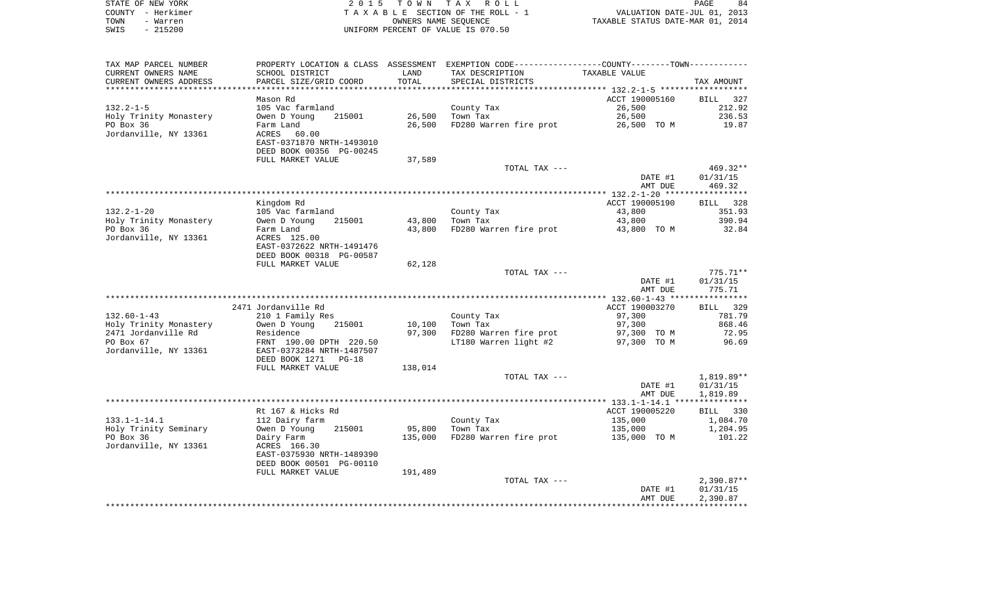| STATE OF NEW YORK | 2015 TOWN TAX ROLL                 | 84<br>PAGE                       |
|-------------------|------------------------------------|----------------------------------|
| COUNTY - Herkimer | TAXABLE SECTION OF THE ROLL - 1    | VALUATION DATE-JUL 01, 2013      |
| TOWN<br>- Warren  | OWNERS NAME SEOUENCE               | TAXABLE STATUS DATE-MAR 01, 2014 |
| $-215200$<br>SWIS | UNIFORM PERCENT OF VALUE IS 070.50 |                                  |

 $\begin{array}{c} 84 \\ 2013 \\ 2014 \end{array}$ 

| TAX MAP PARCEL NUMBER  |                           |         | PROPERTY LOCATION & CLASS ASSESSMENT EXEMPTION CODE----------------COUNTY--------TOWN----------- |                |              |
|------------------------|---------------------------|---------|--------------------------------------------------------------------------------------------------|----------------|--------------|
| CURRENT OWNERS NAME    | SCHOOL DISTRICT           | LAND    | TAX DESCRIPTION                                                                                  | TAXABLE VALUE  |              |
| CURRENT OWNERS ADDRESS | PARCEL SIZE/GRID COORD    | TOTAL   | SPECIAL DISTRICTS                                                                                |                | TAX AMOUNT   |
|                        |                           |         |                                                                                                  |                |              |
|                        | Mason Rd                  |         |                                                                                                  | ACCT 190005160 | BILL 327     |
| $132.2 - 1 - 5$        | 105 Vac farmland          |         | County Tax                                                                                       | 26,500         | 212.92       |
| Holy Trinity Monastery | 215001<br>Owen D Young    | 26,500  | Town Tax                                                                                         | 26,500         | 236.53       |
| PO Box 36              | Farm Land                 | 26,500  | FD280 Warren fire prot                                                                           | 26,500 TO M    | 19.87        |
| Jordanville, NY 13361  | ACRES<br>60.00            |         |                                                                                                  |                |              |
|                        | EAST-0371870 NRTH-1493010 |         |                                                                                                  |                |              |
|                        | DEED BOOK 00356 PG-00245  |         |                                                                                                  |                |              |
|                        | FULL MARKET VALUE         | 37,589  |                                                                                                  |                |              |
|                        |                           |         | TOTAL TAX ---                                                                                    |                | 469.32**     |
|                        |                           |         |                                                                                                  | DATE #1        | 01/31/15     |
|                        |                           |         |                                                                                                  | AMT DUE        | 469.32       |
|                        |                           |         |                                                                                                  |                |              |
|                        | Kingdom Rd                |         |                                                                                                  | ACCT 190005190 | BILL 328     |
| $132.2 - 1 - 20$       | 105 Vac farmland          |         | County Tax                                                                                       | 43,800         | 351.93       |
| Holy Trinity Monastery | 215001<br>Owen D Young    | 43,800  | Town Tax                                                                                         | 43,800         | 390.94       |
| PO Box 36              | Farm Land                 | 43,800  | FD280 Warren fire prot                                                                           | 43,800 TO M    | 32.84        |
| Jordanville, NY 13361  | ACRES 125.00              |         |                                                                                                  |                |              |
|                        | EAST-0372622 NRTH-1491476 |         |                                                                                                  |                |              |
|                        | DEED BOOK 00318 PG-00587  |         |                                                                                                  |                |              |
|                        | FULL MARKET VALUE         | 62,128  |                                                                                                  |                |              |
|                        |                           |         | TOTAL TAX ---                                                                                    |                | $775.71**$   |
|                        |                           |         |                                                                                                  | DATE #1        | 01/31/15     |
|                        |                           |         |                                                                                                  | AMT DUE        | 775.71       |
|                        |                           |         |                                                                                                  |                |              |
|                        | 2471 Jordanville Rd       |         |                                                                                                  | ACCT 190003270 | BILL 329     |
| $132.60 - 1 - 43$      | 210 1 Family Res          |         | County Tax                                                                                       | 97,300         | 781.79       |
| Holy Trinity Monastery | Owen D Young<br>215001    | 10,100  | Town Tax                                                                                         | 97,300         | 868.46       |
| 2471 Jordanville Rd    | Residence                 | 97,300  | FD280 Warren fire prot                                                                           | 97,300 TO M    | 72.95        |
| PO Box 67              | FRNT 190.00 DPTH 220.50   |         | LT180 Warren light #2                                                                            | 97,300 TO M    | 96.69        |
| Jordanville, NY 13361  | EAST-0373284 NRTH-1487507 |         |                                                                                                  |                |              |
|                        | DEED BOOK 1271<br>$PG-18$ |         |                                                                                                  |                |              |
|                        | FULL MARKET VALUE         | 138,014 |                                                                                                  |                |              |
|                        |                           |         | TOTAL TAX ---                                                                                    |                | 1,819.89**   |
|                        |                           |         |                                                                                                  | DATE #1        | 01/31/15     |
|                        |                           |         |                                                                                                  | AMT DUE        | 1,819.89     |
|                        |                           |         |                                                                                                  |                |              |
|                        | Rt 167 & Hicks Rd         |         |                                                                                                  | ACCT 190005220 | BILL 330     |
| $133.1 - 1 - 14.1$     | 112 Dairy farm            |         | County Tax                                                                                       | 135,000        | 1,084.70     |
| Holy Trinity Seminary  | Owen D Young<br>215001    | 95,800  | Town Tax                                                                                         | 135,000        | 1,204.95     |
| PO Box 36              | Dairy Farm                | 135,000 | FD280 Warren fire prot                                                                           | 135,000 TO M   | 101.22       |
| Jordanville, NY 13361  | ACRES 166.30              |         |                                                                                                  |                |              |
|                        | EAST-0375930 NRTH-1489390 |         |                                                                                                  |                |              |
|                        | DEED BOOK 00501 PG-00110  |         |                                                                                                  |                |              |
|                        | FULL MARKET VALUE         | 191,489 |                                                                                                  |                |              |
|                        |                           |         | TOTAL TAX ---                                                                                    |                | $2,390.87**$ |
|                        |                           |         |                                                                                                  | DATE #1        | 01/31/15     |
|                        |                           |         |                                                                                                  | AMT DUE        | 2,390.87     |
|                        |                           |         |                                                                                                  |                |              |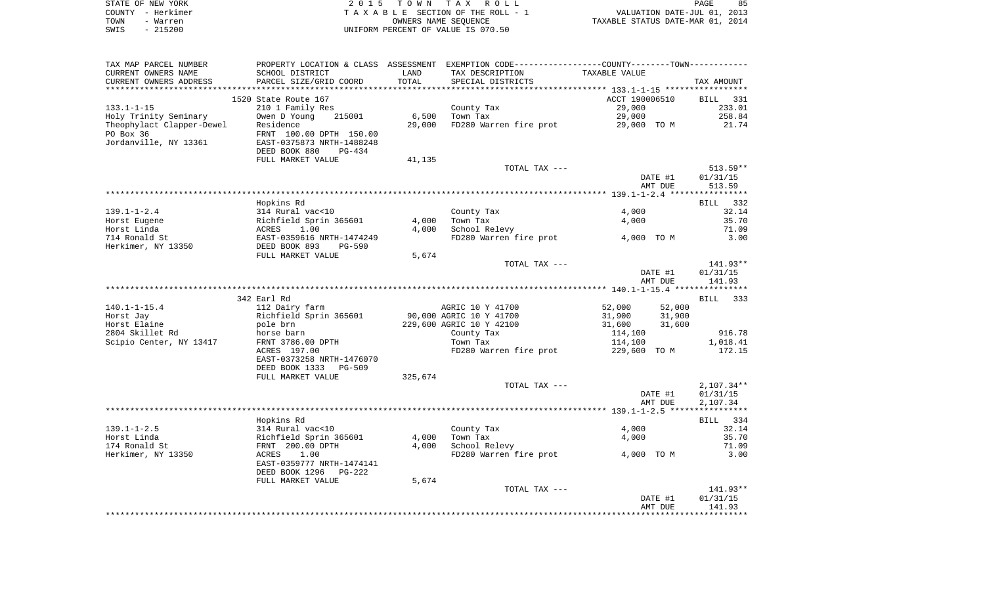|      | STATE OF NEW YORK | 2015 TOWN TAX ROLL                 | PAGE                             | 85 |
|------|-------------------|------------------------------------|----------------------------------|----|
|      | COUNTY - Herkimer | TAXABLE SECTION OF THE ROLL - 1    | VALUATION DATE-JUL 01, 2013      |    |
| TOWN | - Warren          | OWNERS NAME SEOUENCE               | TAXABLE STATUS DATE-MAR 01, 2014 |    |
| SWIS | - 215200          | UNIFORM PERCENT OF VALUE IS 070.50 |                                  |    |

| TAX MAP PARCEL NUMBER       |                                                                   |                | PROPERTY LOCATION & CLASS ASSESSMENT EXEMPTION CODE---------------COUNTY-------TOWN---------- |                  |                    |
|-----------------------------|-------------------------------------------------------------------|----------------|-----------------------------------------------------------------------------------------------|------------------|--------------------|
| CURRENT OWNERS NAME         | SCHOOL DISTRICT                                                   | LAND           | TAX DESCRIPTION                                                                               | TAXABLE VALUE    |                    |
| CURRENT OWNERS ADDRESS      | PARCEL SIZE/GRID COORD                                            | TOTAL          | SPECIAL DISTRICTS                                                                             |                  | TAX AMOUNT         |
|                             |                                                                   |                |                                                                                               |                  |                    |
|                             | 1520 State Route 167                                              |                |                                                                                               | ACCT 190006510   | BILL 331           |
| $133.1 - 1 - 15$            | 210 1 Family Res                                                  |                | County Tax                                                                                    | 29,000           | 233.01             |
| Holy Trinity Seminary       | Owen D Young<br>215001                                            | 6,500          | Town Tax                                                                                      | 29,000           | 258.84             |
| Theophylact Clapper-Dewel   | Residence                                                         | 29,000         | FD280 Warren fire prot                                                                        | 29,000 TO M      | 21.74              |
| PO Box 36                   | FRNT 100.00 DPTH 150.00                                           |                |                                                                                               |                  |                    |
| Jordanville, NY 13361       | EAST-0375873 NRTH-1488248                                         |                |                                                                                               |                  |                    |
|                             | DEED BOOK 880<br>$PG-434$                                         |                |                                                                                               |                  |                    |
|                             | FULL MARKET VALUE                                                 | 41,135         |                                                                                               |                  |                    |
|                             |                                                                   |                | TOTAL TAX ---                                                                                 |                  | $513.59**$         |
|                             |                                                                   |                |                                                                                               | DATE #1          | 01/31/15           |
|                             |                                                                   |                |                                                                                               | AMT DUE          | 513.59             |
|                             |                                                                   |                |                                                                                               |                  |                    |
| $139.1 - 1 - 2.4$           | Hopkins Rd                                                        |                |                                                                                               |                  | BILL 332<br>32.14  |
|                             | 314 Rural vac<10                                                  |                | County Tax                                                                                    | 4,000            |                    |
| Horst Eugene<br>Horst Linda | Richfield Sprin 365601<br>ACRES 1.00<br>EAST-0359616 NRTH-1474249 | 4,000<br>4,000 | Town Tax<br>School Relevy                                                                     | 4,000            | 35.70<br>71.09     |
| 714 Ronald St               |                                                                   |                | FD280 Warren fire prot                                                                        | 4,000 TO M       | 3.00               |
| Herkimer, NY 13350          | PG-590                                                            |                |                                                                                               |                  |                    |
|                             | DEED BOOK 893<br>FULL MARKET VALUE                                | 5,674          |                                                                                               |                  |                    |
|                             |                                                                   |                | TOTAL TAX ---                                                                                 |                  | $141.93**$         |
|                             |                                                                   |                |                                                                                               | DATE #1          | 01/31/15           |
|                             |                                                                   |                |                                                                                               | AMT DUE          | 141.93             |
|                             |                                                                   |                |                                                                                               |                  |                    |
|                             | 342 Earl Rd                                                       |                |                                                                                               |                  | <b>BILL</b><br>333 |
| $140.1 - 1 - 15.4$          | 112 Dairy farm                                                    |                | AGRIC 10 Y 41700                                                                              | 52,000<br>52,000 |                    |
| Horst Jay                   | Richfield Sprin 365601                                            |                | 90,000 AGRIC 10 Y 41700                                                                       | 31,900<br>31,900 |                    |
| Horst Elaine                | pole brn                                                          |                | 229,600 AGRIC 10 Y 42100                                                                      | 31,600<br>31,600 |                    |
| 2804 Skillet Rd             | horse barn                                                        |                | County Tax                                                                                    | 114,100          | 916.78             |
| Scipio Center, NY 13417     | FRNT 3786.00 DPTH                                                 |                | Town Tax                                                                                      | 114,100          | 1,018.41           |
|                             | ACRES 197.00                                                      |                | FD280 Warren fire prot                                                                        | 229,600 TO M     | 172.15             |
|                             | EAST-0373258 NRTH-1476070                                         |                |                                                                                               |                  |                    |
|                             | DEED BOOK 1333<br>PG-509                                          |                |                                                                                               |                  |                    |
|                             | FULL MARKET VALUE                                                 | 325,674        |                                                                                               |                  |                    |
|                             |                                                                   |                | TOTAL TAX ---                                                                                 |                  | $2,107.34**$       |
|                             |                                                                   |                |                                                                                               | DATE #1          | 01/31/15           |
|                             |                                                                   |                |                                                                                               | AMT DUE          | 2,107.34           |
|                             |                                                                   |                |                                                                                               |                  |                    |
|                             | Hopkins Rd                                                        |                |                                                                                               |                  | BILL 334           |
| $139.1 - 1 - 2.5$           | 314 Rural vac<10<br>Richfield Sprin 365601                        |                | County Tax                                                                                    | 4,000            | 32.14              |
| Horst Linda                 |                                                                   | 4,000          | Town Tax                                                                                      | 4,000            | 35.70              |
| 174 Ronald St               | FRNT 200.00 DPTH                                                  | 4,000          | School Relevy                                                                                 |                  | 71.09              |
| Herkimer, NY 13350          | 1.00<br>ACRES                                                     |                | FD280 Warren fire prot                                                                        | 4,000 TO M       | 3.00               |
|                             | EAST-0359777 NRTH-1474141                                         |                |                                                                                               |                  |                    |
|                             | DEED BOOK 1296<br>PG-222                                          |                |                                                                                               |                  |                    |
|                             | FULL MARKET VALUE                                                 | 5,674          |                                                                                               |                  |                    |
|                             |                                                                   |                | TOTAL TAX ---                                                                                 |                  | 141.93**           |
|                             |                                                                   |                |                                                                                               | DATE #1          | 01/31/15           |
|                             |                                                                   |                |                                                                                               | AMT DUE          | 141.93             |
|                             |                                                                   |                |                                                                                               |                  |                    |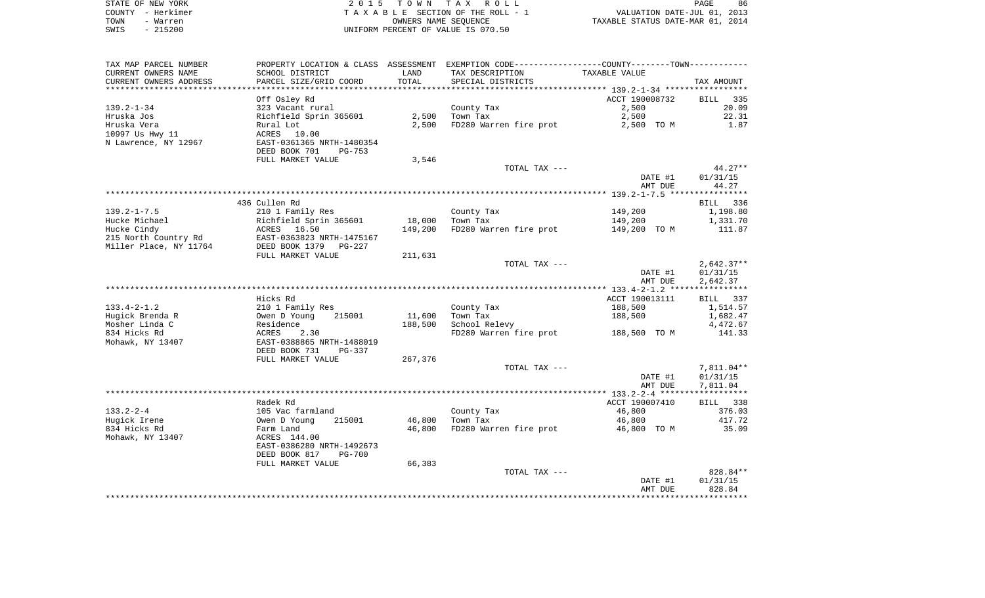| STATE OF NEW YORK | 2015 TOWN TAX ROLL                 | 86<br>PAGE                       |
|-------------------|------------------------------------|----------------------------------|
| COUNTY - Herkimer | TAXABLE SECTION OF THE ROLL - 1    | VALUATION DATE-JUL 01, 2013      |
| TOWN<br>- Warren  | OWNERS NAME SEOUENCE               | TAXABLE STATUS DATE-MAR 01, 2014 |
| $-215200$<br>SWIS | UNIFORM PERCENT OF VALUE IS 070.50 |                                  |

| TAX MAP PARCEL NUMBER  |                                |         | PROPERTY LOCATION & CLASS ASSESSMENT EXEMPTION CODE----------------COUNTY--------TOWN----------- |                    |                      |
|------------------------|--------------------------------|---------|--------------------------------------------------------------------------------------------------|--------------------|----------------------|
| CURRENT OWNERS NAME    | SCHOOL DISTRICT                | LAND    | TAX DESCRIPTION                                                                                  | TAXABLE VALUE      |                      |
| CURRENT OWNERS ADDRESS | PARCEL SIZE/GRID COORD         | TOTAL   | SPECIAL DISTRICTS                                                                                |                    | TAX AMOUNT           |
|                        |                                |         |                                                                                                  |                    |                      |
|                        | Off Osley Rd                   |         |                                                                                                  | ACCT 190008732     | 335<br><b>BILL</b>   |
| $139.2 - 1 - 34$       | 323 Vacant rural               |         | County Tax                                                                                       | 2,500              | 20.09                |
| Hruska Jos             | Richfield Sprin 365601         | 2,500   | Town Tax                                                                                         | 2,500              | 22.31                |
| Hruska Vera            | Rural Lot                      | 2,500   | FD280 Warren fire prot                                                                           | 2,500 TO M         | 1.87                 |
| 10997 Us Hwy 11        | 10.00<br>ACRES                 |         |                                                                                                  |                    |                      |
| N Lawrence, NY 12967   | EAST-0361365 NRTH-1480354      |         |                                                                                                  |                    |                      |
|                        | DEED BOOK 701<br>$PG-753$      |         |                                                                                                  |                    |                      |
|                        | FULL MARKET VALUE              | 3,546   |                                                                                                  |                    |                      |
|                        |                                |         | TOTAL TAX ---                                                                                    |                    | $44.27**$            |
|                        |                                |         |                                                                                                  | DATE #1            | 01/31/15             |
|                        |                                |         |                                                                                                  | AMT DUE            | 44.27                |
|                        |                                |         |                                                                                                  |                    |                      |
|                        | 436 Cullen Rd                  |         |                                                                                                  |                    | BILL 336             |
| $139.2 - 1 - 7.5$      | 210 1 Family Res               |         | County Tax                                                                                       | 149,200            | 1,198.80             |
| Hucke Michael          | Richfield Sprin 365601         | 18,000  | Town Tax                                                                                         | 149,200            | 1,331.70             |
| Hucke Cindy            | ACRES 16.50                    | 149,200 | FD280 Warren fire prot                                                                           | 149,200 TO M       | 111.87               |
| 215 North Country Rd   | EAST-0363823 NRTH-1475167      |         |                                                                                                  |                    |                      |
| Miller Place, NY 11764 | DEED BOOK 1379<br>PG-227       |         |                                                                                                  |                    |                      |
|                        | FULL MARKET VALUE              | 211,631 |                                                                                                  |                    |                      |
|                        |                                |         | TOTAL TAX ---                                                                                    |                    | $2,642.37**$         |
|                        |                                |         |                                                                                                  | DATE #1<br>AMT DUE | 01/31/15<br>2,642.37 |
|                        |                                |         |                                                                                                  |                    |                      |
|                        | Hicks Rd                       |         |                                                                                                  | ACCT 190013111     | BILL 337             |
| $133.4 - 2 - 1.2$      | 210 1 Family Res               |         | County Tax                                                                                       | 188,500            | 1,514.57             |
| Hugick Brenda R        | Owen D Young<br>215001         | 11,600  | Town Tax                                                                                         | 188,500            | 1,682.47             |
| Mosher Linda C         | Residence                      | 188,500 | School Relevy                                                                                    |                    | 4,472.67             |
| 834 Hicks Rd           | ACRES<br>2.30                  |         | FD280 Warren fire prot                                                                           | 188,500 TO M       | 141.33               |
| Mohawk, NY 13407       | EAST-0388865 NRTH-1488019      |         |                                                                                                  |                    |                      |
|                        | DEED BOOK 731<br>PG-337        |         |                                                                                                  |                    |                      |
|                        | FULL MARKET VALUE              | 267,376 |                                                                                                  |                    |                      |
|                        |                                |         | TOTAL TAX ---                                                                                    |                    | 7,811.04**           |
|                        |                                |         |                                                                                                  | DATE #1            | 01/31/15             |
|                        |                                |         |                                                                                                  | AMT DUE            | 7,811.04             |
|                        |                                |         |                                                                                                  |                    |                      |
|                        | Radek Rd                       |         |                                                                                                  | ACCT 190007410     | BILL 338             |
| $133.2 - 2 - 4$        | 105 Vac farmland               |         | County Tax                                                                                       | 46,800             | 376.03               |
| Hugick Irene           | 215001<br>Owen D Young         | 46,800  | Town Tax                                                                                         | 46,800             | 417.72               |
| 834 Hicks Rd           | Farm Land                      | 46,800  | FD280 Warren fire prot                                                                           | 46,800 TO M        | 35.09                |
| Mohawk, NY 13407       | ACRES 144.00                   |         |                                                                                                  |                    |                      |
|                        | EAST-0386280 NRTH-1492673      |         |                                                                                                  |                    |                      |
|                        | DEED BOOK 817<br><b>PG-700</b> |         |                                                                                                  |                    |                      |
|                        | FULL MARKET VALUE              | 66,383  |                                                                                                  |                    |                      |
|                        |                                |         | TOTAL TAX ---                                                                                    |                    | 828.84**             |
|                        |                                |         |                                                                                                  | DATE #1            | 01/31/15             |
|                        |                                |         |                                                                                                  | AMT DUE            | 828.84               |
|                        |                                |         |                                                                                                  |                    |                      |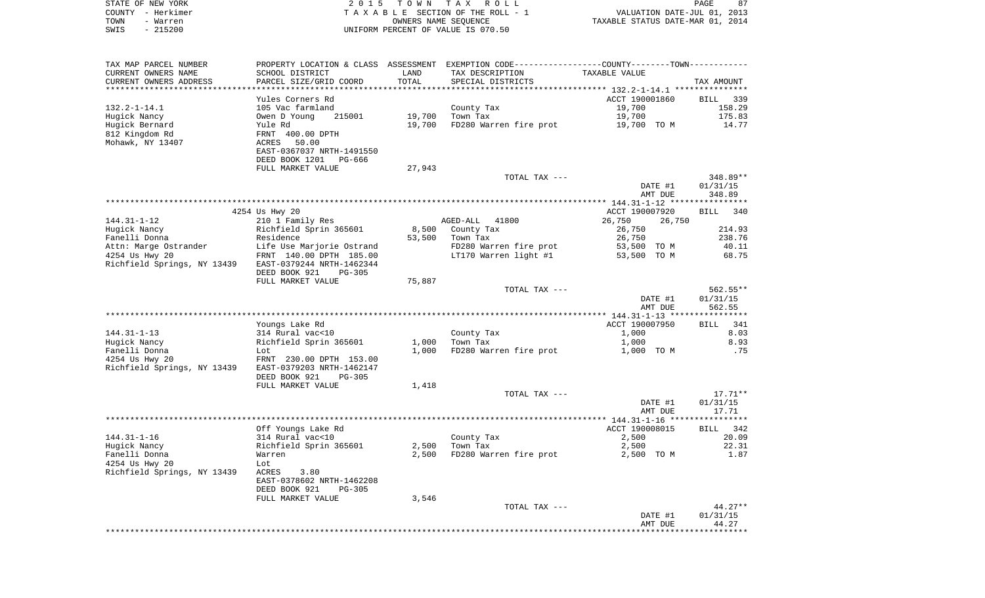| STATE OF NEW YORK      | 2 0 1 5                   | TOWN                 | T A X<br>R O L L                                          |                | 87<br>PAGE                       |
|------------------------|---------------------------|----------------------|-----------------------------------------------------------|----------------|----------------------------------|
| - Herkimer<br>COUNTY   | TAXABLE                   |                      | SECTION OF THE ROLL - 1                                   |                | VALUATION DATE-JUL 01, 2013      |
| TOWN<br>- Warren       |                           | OWNERS NAME SEOUENCE |                                                           |                | TAXABLE STATUS DATE-MAR 01, 2014 |
| $-215200$<br>SWIS      |                           |                      | UNIFORM PERCENT OF VALUE IS 070.50                        |                |                                  |
|                        |                           |                      |                                                           |                |                                  |
| TAX MAP PARCEL NUMBER  | PROPERTY LOCATION & CLASS | ASSESSMENT           | EXEMPTION CODE----------------COUNTY-------TOWN---------- |                |                                  |
| CURRENT OWNERS NAME    | SCHOOL DISTRICT           | LAND                 | TAX DESCRIPTION                                           | TAXABLE VALUE  |                                  |
| CURRENT OWNERS ADDRESS | PARCEL SIZE/GRID COORD    | TOTAL                | SPECIAL DISTRICTS                                         |                | TAX AMOUNT                       |
|                        |                           |                      |                                                           |                |                                  |
|                        | Yules Corners Rd          |                      |                                                           | ACCT 190001860 | BILL 339                         |
| $132.2 - 1 - 14.1$     | 105 Vac farmland          |                      | County Tax                                                | 19,700         | 158.29                           |
| Hugick Nancy           | 215001<br>Owen D Young    | 19,700               | Town Tax                                                  | 19,700         | 175.83                           |
| Hugick Bernard         | Yule Rd                   | 19,700               | FD280 Warren fire prot                                    | 19,700<br>TO M | 14.77                            |
| 812 Kingdom Rd         | FRNT 400.00 DPTH          |                      |                                                           |                |                                  |
| Mohawk, NY 13407       | 50.00<br>ACRES            |                      |                                                           |                |                                  |
|                        | EAST-0367037 NRTH-1491550 |                      |                                                           |                |                                  |
|                        | DEED BOOK 1201<br>PG-666  |                      |                                                           |                |                                  |
|                        | FULL MARKET VALUE         | 27,943               |                                                           |                |                                  |
|                        |                           |                      | TOTAL TAX ---                                             |                | 348.89**                         |
|                        |                           |                      |                                                           | DATE #1        | 01/31/15                         |
|                        |                           |                      |                                                           | AMT DUE        | 348.89                           |

|                                                                      |                                                                            |                |                                                  | AMT DUE                                                   | 348.89                                      |
|----------------------------------------------------------------------|----------------------------------------------------------------------------|----------------|--------------------------------------------------|-----------------------------------------------------------|---------------------------------------------|
|                                                                      | 4254 Us Hwy 20                                                             |                |                                                  | ACCT 190007920                                            | 340<br>BILL                                 |
| $144.31 - 1 - 12$                                                    | 210 1 Family Res                                                           |                | AGED-ALL 41800                                   | 26,750<br>26,750                                          |                                             |
| Hugick Nancy                                                         | Richfield Sprin 365601                                                     | 8,500          | County Tax                                       | 26,750                                                    | 214.93                                      |
| Fanelli Donna                                                        | Residence                                                                  | 53,500         | Town Tax                                         | 26,750                                                    | 238.76                                      |
| Attn: Marge Ostrander                                                | Life Use Marjorie Ostrand                                                  |                | FD280 Warren fire prot                           | 53,500 TO M                                               | 40.11                                       |
| 4254 Us Hwy 20                                                       | FRNT 140.00 DPTH 185.00                                                    |                | LT170 Warren light #1                            | 53,500 TO M                                               | 68.75                                       |
| Richfield Springs, NY 13439                                          | EAST-0379244 NRTH-1462344                                                  |                |                                                  |                                                           |                                             |
|                                                                      | DEED BOOK 921<br>$PG-305$                                                  |                |                                                  |                                                           |                                             |
|                                                                      | FULL MARKET VALUE                                                          | 75,887         |                                                  |                                                           |                                             |
|                                                                      |                                                                            |                | TOTAL TAX ---                                    |                                                           | $562.55**$                                  |
|                                                                      |                                                                            |                |                                                  | DATE #1                                                   | 01/31/15                                    |
|                                                                      |                                                                            |                |                                                  | AMT DUE                                                   | 562.55                                      |
|                                                                      |                                                                            |                |                                                  |                                                           |                                             |
|                                                                      | Youngs Lake Rd                                                             |                |                                                  | ACCT 190007950                                            | 341<br>BILL                                 |
| $144.31 - 1 - 13$                                                    | 314 Rural vac<10                                                           |                | County Tax                                       | 1,000                                                     | 8.03                                        |
| Hugick Nancy                                                         | Richfield Sprin 365601                                                     | 1,000          | Town Tax                                         | 1,000                                                     | 8.93                                        |
| Fanelli Donna                                                        | Lot                                                                        | 1,000          | FD280 Warren fire prot                           | 1,000 TO M                                                | .75                                         |
| 4254 Us Hwy 20                                                       | FRNT 230.00 DPTH 153.00                                                    |                |                                                  |                                                           |                                             |
| Richfield Springs, NY 13439                                          | EAST-0379203 NRTH-1462147                                                  |                |                                                  |                                                           |                                             |
|                                                                      | DEED BOOK 921<br>$PG-305$                                                  |                |                                                  |                                                           |                                             |
|                                                                      | FULL MARKET VALUE                                                          | 1,418          |                                                  |                                                           | $17.71**$                                   |
|                                                                      |                                                                            |                | TOTAL TAX ---                                    | DATE #1                                                   |                                             |
|                                                                      |                                                                            |                |                                                  |                                                           | 01/31/15                                    |
|                                                                      |                                                                            |                |                                                  |                                                           |                                             |
|                                                                      |                                                                            |                |                                                  |                                                           |                                             |
|                                                                      |                                                                            |                |                                                  |                                                           |                                             |
|                                                                      |                                                                            |                |                                                  |                                                           |                                             |
|                                                                      |                                                                            |                |                                                  |                                                           |                                             |
|                                                                      | Lot.                                                                       |                |                                                  |                                                           |                                             |
| $144.31 - 1 - 16$<br>Hugick Nancy<br>Fanelli Donna<br>4254 Us Hwy 20 | Off Youngs Lake Rd<br>314 Rural vac<10<br>Richfield Sprin 365601<br>Warren | 2,500<br>2,500 | County Tax<br>Town Tax<br>FD280 Warren fire prot | AMT DUE<br>ACCT 190008015<br>2,500<br>2,500<br>2,500 TO M | 17.71<br>BILL 342<br>20.09<br>22.31<br>1.87 |

| EAST-0378602 NRTH-1462208 |       |               |         |           |
|---------------------------|-------|---------------|---------|-----------|
| DEED BOOK 921<br>PG-305   |       |               |         |           |
| FULL MARKET VALUE         | 3,546 |               |         |           |
|                           |       | TOTAL TAX --- |         | $44.27**$ |
|                           |       |               | DATE #1 | 01/31/15  |
|                           |       |               | AMT DUE | 44.27     |
|                           |       |               |         |           |

Richfield Springs, NY 13439 ACRES 3.80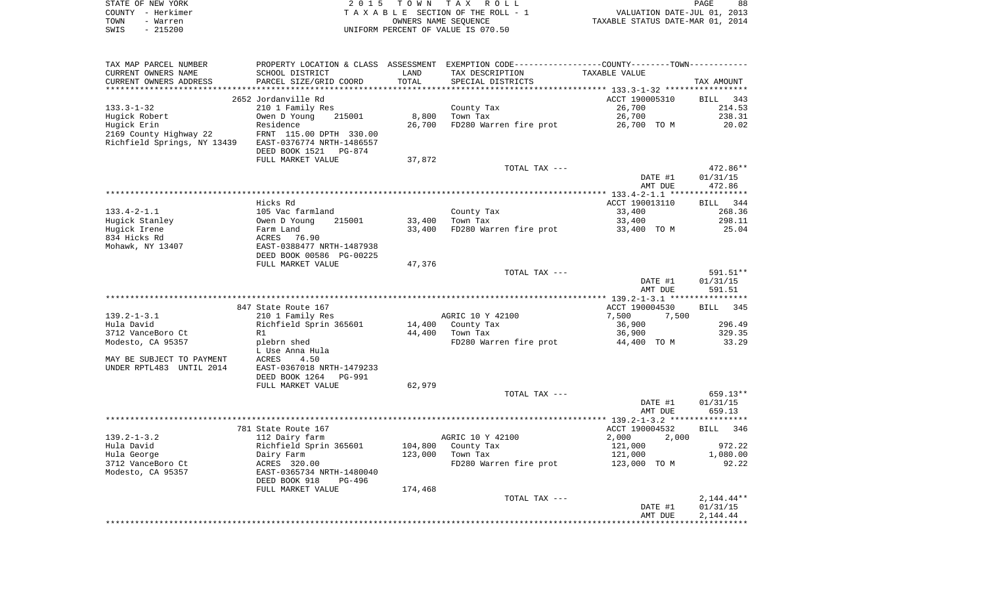|      | STATE OF NEW YORK | 2015 TOWN TAX ROLL                 | PAGE                             | 88 |
|------|-------------------|------------------------------------|----------------------------------|----|
|      | COUNTY - Herkimer | TAXABLE SECTION OF THE ROLL - 1    | VALUATION DATE-JUL 01, 2013      |    |
| TOWN | - Warren          | OWNERS NAME SEOUENCE               | TAXABLE STATUS DATE-MAR 01, 2014 |    |
| SWIS | - 215200          | UNIFORM PERCENT OF VALUE IS 070.50 |                                  |    |

| TAX MAP PARCEL NUMBER                                 |                                                       |         | PROPERTY LOCATION & CLASS ASSESSMENT EXEMPTION CODE----------------COUNTY--------TOWN---------- |                |                    |
|-------------------------------------------------------|-------------------------------------------------------|---------|-------------------------------------------------------------------------------------------------|----------------|--------------------|
| CURRENT OWNERS NAME                                   | SCHOOL DISTRICT                                       | LAND    | TAX DESCRIPTION                                                                                 | TAXABLE VALUE  |                    |
| CURRENT OWNERS ADDRESS                                | PARCEL SIZE/GRID COORD                                | TOTAL   | SPECIAL DISTRICTS                                                                               |                | TAX AMOUNT         |
|                                                       |                                                       |         |                                                                                                 |                |                    |
|                                                       | 2652 Jordanville Rd                                   |         |                                                                                                 | ACCT 190005310 | BILL<br>343        |
| $133.3 - 1 - 32$                                      | 210 1 Family Res                                      |         | County Tax                                                                                      | 26,700         | 214.53             |
| Hugick Robert                                         | 215001<br>Owen D Young                                | 8,800   | Town Tax                                                                                        | 26,700         | 238.31             |
| Hugick Erin                                           | Residence                                             | 26,700  | FD280 Warren fire prot                                                                          | 26,700 TO M    | 20.02              |
| 2169 County Highway 22                                | FRNT 115.00 DPTH 330.00                               |         |                                                                                                 |                |                    |
| Richfield Springs, NY 13439                           | EAST-0376774 NRTH-1486557                             |         |                                                                                                 |                |                    |
|                                                       | DEED BOOK 1521 PG-874                                 |         |                                                                                                 |                |                    |
|                                                       | FULL MARKET VALUE                                     | 37,872  |                                                                                                 |                |                    |
|                                                       |                                                       |         | TOTAL TAX ---                                                                                   |                | 472.86**           |
|                                                       |                                                       |         |                                                                                                 | DATE #1        | 01/31/15           |
|                                                       |                                                       |         |                                                                                                 | AMT DUE        | 472.86             |
|                                                       |                                                       |         |                                                                                                 |                |                    |
|                                                       | Hicks Rd                                              |         |                                                                                                 | ACCT 190013110 | BILL<br>344        |
| $133.4 - 2 - 1.1$                                     | 105 Vac farmland                                      |         | County Tax                                                                                      | 33,400         | 268.36             |
| Hugick Stanley                                        | 215001<br>Owen D Young                                | 33,400  | Town Tax                                                                                        | 33,400         | 298.11             |
| Hugick Irene                                          | Farm Land                                             | 33,400  | FD280 Warren fire prot                                                                          | 33,400 TO M    | 25.04              |
| 834 Hicks Rd                                          | ACRES<br>76.90                                        |         |                                                                                                 |                |                    |
| Mohawk, NY 13407                                      | EAST-0388477 NRTH-1487938                             |         |                                                                                                 |                |                    |
|                                                       | DEED BOOK 00586 PG-00225<br>FULL MARKET VALUE         |         |                                                                                                 |                |                    |
|                                                       |                                                       | 47,376  | TOTAL TAX ---                                                                                   |                | 591.51**           |
|                                                       |                                                       |         |                                                                                                 | DATE #1        | 01/31/15           |
|                                                       |                                                       |         |                                                                                                 | AMT DUE        | 591.51             |
|                                                       |                                                       |         |                                                                                                 |                |                    |
|                                                       | 847 State Route 167                                   |         |                                                                                                 | ACCT 190004530 | <b>BILL</b><br>345 |
|                                                       |                                                       |         |                                                                                                 |                |                    |
|                                                       |                                                       |         |                                                                                                 |                |                    |
| $139.2 - 1 - 3.1$                                     | 210 1 Family Res                                      |         | AGRIC 10 Y 42100                                                                                | 7,500<br>7,500 |                    |
| Hula David                                            | Richfield Sprin 365601<br>R1                          | 14,400  | County Tax                                                                                      | 36,900         | 296.49             |
| 3712 VanceBoro Ct                                     |                                                       | 44,400  | Town Tax                                                                                        | 36,900         | 329.35             |
| Modesto, CA 95357                                     | plebrn shed                                           |         | FD280 Warren fire prot                                                                          | 44,400 TO M    | 33.29              |
|                                                       | L Use Anna Hula                                       |         |                                                                                                 |                |                    |
| MAY BE SUBJECT TO PAYMENT<br>UNDER RPTL483 UNTIL 2014 | 4.50<br>ACRES                                         |         |                                                                                                 |                |                    |
|                                                       | EAST-0367018 NRTH-1479233<br>DEED BOOK 1264<br>PG-991 |         |                                                                                                 |                |                    |
|                                                       | FULL MARKET VALUE                                     | 62,979  |                                                                                                 |                |                    |
|                                                       |                                                       |         | TOTAL TAX ---                                                                                   |                | 659.13**           |
|                                                       |                                                       |         |                                                                                                 | DATE #1        | 01/31/15           |
|                                                       |                                                       |         |                                                                                                 | AMT DUE        | 659.13             |
|                                                       |                                                       |         |                                                                                                 |                |                    |
|                                                       | 781 State Route 167                                   |         |                                                                                                 | ACCT 190004532 | <b>BILL</b><br>346 |
| $139.2 - 1 - 3.2$                                     | 112 Dairy farm                                        |         | AGRIC 10 Y 42100                                                                                | 2,000<br>2,000 |                    |
| Hula David                                            | Richfield Sprin 365601                                | 104,800 | County Tax                                                                                      | 121,000        | 972.22             |
|                                                       | Dairy Farm                                            | 123,000 | Town Tax                                                                                        | 121,000        | 1,080.00           |
|                                                       | ACRES 320.00                                          |         | FD280 Warren fire prot                                                                          | 123,000 TO M   | 92.22              |
|                                                       | EAST-0365734 NRTH-1480040                             |         |                                                                                                 |                |                    |
|                                                       | DEED BOOK 918<br>PG-496                               |         |                                                                                                 |                |                    |
|                                                       | FULL MARKET VALUE                                     | 174,468 |                                                                                                 |                |                    |
|                                                       |                                                       |         | TOTAL TAX ---                                                                                   |                | 2,144.44**         |
|                                                       |                                                       |         |                                                                                                 | DATE #1        | 01/31/15           |
| Hula George<br>3712 VanceBoro Ct<br>Modesto, CA 95357 |                                                       |         |                                                                                                 | AMT DUE        | 2,144.44           |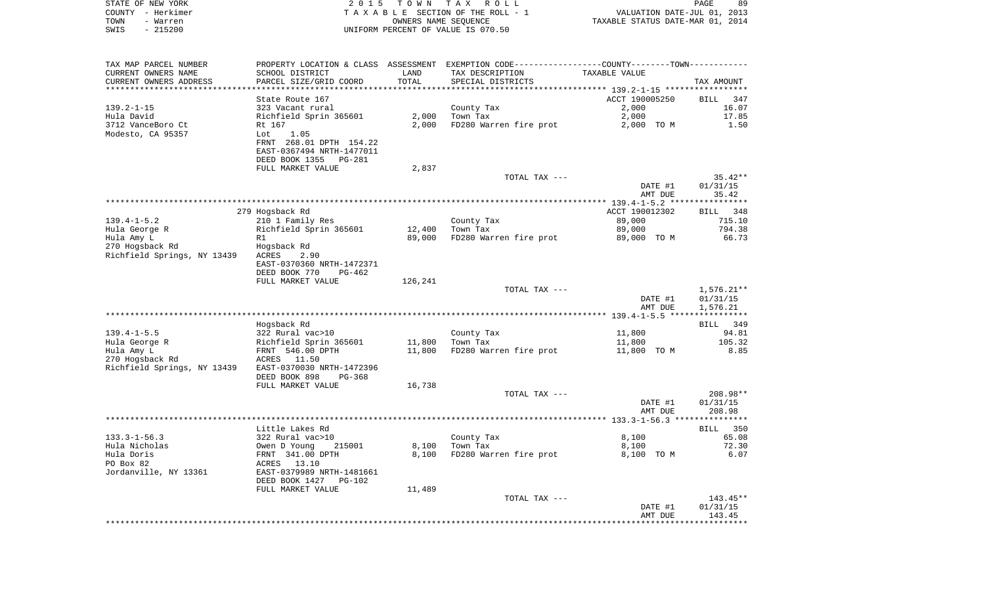| STATE OF NEW YORK                             | 2 0 1 5                              | TOWN                 | T A X<br>ROLL                                                  |                                  | PAGE<br>89           |
|-----------------------------------------------|--------------------------------------|----------------------|----------------------------------------------------------------|----------------------------------|----------------------|
| COUNTY - Herkimer                             |                                      |                      | TAXABLE SECTION OF THE ROLL - 1                                | VALUATION DATE-JUL 01, 2013      |                      |
| TOWN<br>- Warren                              |                                      | OWNERS NAME SEQUENCE |                                                                | TAXABLE STATUS DATE-MAR 01, 2014 |                      |
| $-215200$<br>SWIS                             |                                      |                      | UNIFORM PERCENT OF VALUE IS 070.50                             |                                  |                      |
| TAX MAP PARCEL NUMBER                         | PROPERTY LOCATION & CLASS ASSESSMENT |                      | EXEMPTION CODE-----------------COUNTY-------TOWN-----------    |                                  |                      |
| CURRENT OWNERS NAME                           | SCHOOL DISTRICT                      | LAND                 | TAX DESCRIPTION                                                | TAXABLE VALUE                    |                      |
| CURRENT OWNERS ADDRESS<br>******************* | PARCEL SIZE/GRID COORD               | TOTAL<br>**********  | SPECIAL DISTRICTS                                              |                                  | TAX AMOUNT           |
|                                               | State Route 167                      |                      | ********************************* 139.2-1-15 ***************** | ACCT 190005250                   | 347<br>BILL          |
| $139.2 - 1 - 15$                              | 323 Vacant rural                     |                      | County Tax                                                     | 2,000                            | 16.07                |
| Hula David                                    | Richfield Sprin 365601               | 2,000                | Town Tax                                                       | 2,000                            | 17.85                |
| 3712 VanceBoro Ct                             | Rt 167                               | 2,000                | FD280 Warren fire prot                                         | 2,000 TO M                       | 1.50                 |
| Modesto, CA 95357                             | 1.05<br>Lot                          |                      |                                                                |                                  |                      |
|                                               | FRNT 268.01 DPTH 154.22              |                      |                                                                |                                  |                      |
|                                               | EAST-0367494 NRTH-1477011            |                      |                                                                |                                  |                      |
|                                               | DEED BOOK 1355<br>PG-281             |                      |                                                                |                                  |                      |
|                                               | FULL MARKET VALUE                    | 2,837                |                                                                |                                  |                      |
|                                               |                                      |                      | TOTAL TAX ---                                                  |                                  | $35.42**$            |
|                                               |                                      |                      |                                                                | DATE #1                          | 01/31/15             |
|                                               |                                      |                      |                                                                | AMT DUE                          | 35.42                |
|                                               | 279 Hogsback Rd                      |                      |                                                                | ACCT 190012302                   | 348<br>BILL          |
| $139.4 - 1 - 5.2$                             | 210 1 Family Res                     |                      | County Tax                                                     | 89,000                           | 715.10               |
| Hula George R                                 | Richfield Sprin 365601               | 12,400               | Town Tax                                                       | 89,000                           | 794.38               |
| Hula Amy L                                    | R1                                   | 89,000               | FD280 Warren fire prot                                         | 89,000 TO M                      | 66.73                |
| 270 Hogsback Rd                               | Hogsback Rd                          |                      |                                                                |                                  |                      |
| Richfield Springs, NY 13439                   | ACRES<br>2.90                        |                      |                                                                |                                  |                      |
|                                               | EAST-0370360 NRTH-1472371            |                      |                                                                |                                  |                      |
|                                               | DEED BOOK 770<br>$PG-462$            |                      |                                                                |                                  |                      |
|                                               | FULL MARKET VALUE                    | 126,241              |                                                                |                                  |                      |
|                                               |                                      |                      | TOTAL TAX ---                                                  |                                  | $1,576.21**$         |
|                                               |                                      |                      |                                                                | DATE #1                          | 01/31/15             |
|                                               |                                      |                      |                                                                | AMT DUE                          | 1,576.21             |
|                                               |                                      |                      |                                                                |                                  | 349                  |
| $139.4 - 1 - 5.5$                             | Hogsback Rd<br>322 Rural vac>10      |                      | County Tax                                                     | 11,800                           | <b>BILL</b><br>94.81 |
| Hula George R                                 | Richfield Sprin 365601               | 11,800               | Town Tax                                                       | 11,800                           | 105.32               |
| Hula Amy L                                    | FRNT 546.00 DPTH                     | 11,800               | FD280 Warren fire prot                                         | 11,800 TO M                      | 8.85                 |
| 270 Hogsback Rd                               | ACRES<br>11.50                       |                      |                                                                |                                  |                      |
| Richfield Springs, NY 13439                   | EAST-0370030 NRTH-1472396            |                      |                                                                |                                  |                      |

|                       | FULL MARKET VALUE         | 16,738 |                        |                                     |             |
|-----------------------|---------------------------|--------|------------------------|-------------------------------------|-------------|
|                       |                           |        | TOTAL TAX ---          |                                     | 208.98**    |
|                       |                           |        |                        | DATE #1                             | 01/31/15    |
|                       |                           |        |                        | AMT DUE                             | 208.98      |
|                       |                           |        |                        | $133.3 - 1 - 56.3$ **************** |             |
|                       | Little Lakes Rd           |        |                        |                                     | 350<br>BILL |
| $133.3 - 1 - 56.3$    | 322 Rural vac>10          |        | County Tax             | 8,100                               | 65.08       |
| Hula Nicholas         | 215001<br>Owen D Young    | 8,100  | Town Tax               | 8,100                               | 72.30       |
| Hula Doris            | FRNT 341.00 DPTH          | 8,100  | FD280 Warren fire prot | 8,100 TO M                          | 6.07        |
| PO Box 82             | 13.10<br>ACRES            |        |                        |                                     |             |
| Jordanville, NY 13361 | EAST-0379989 NRTH-1481661 |        |                        |                                     |             |
|                       | DEED BOOK 1427<br>PG-102  |        |                        |                                     |             |
|                       | FULL MARKET VALUE         | 11,489 |                        |                                     |             |
|                       |                           |        | TOTAL TAX ---          |                                     | $143.45**$  |
|                       |                           |        |                        | DATE #1                             | 01/31/15    |
|                       |                           |        |                        | AMT DUE                             | 143.45      |
|                       |                           |        |                        |                                     |             |

DEED BOOK 898 PG-368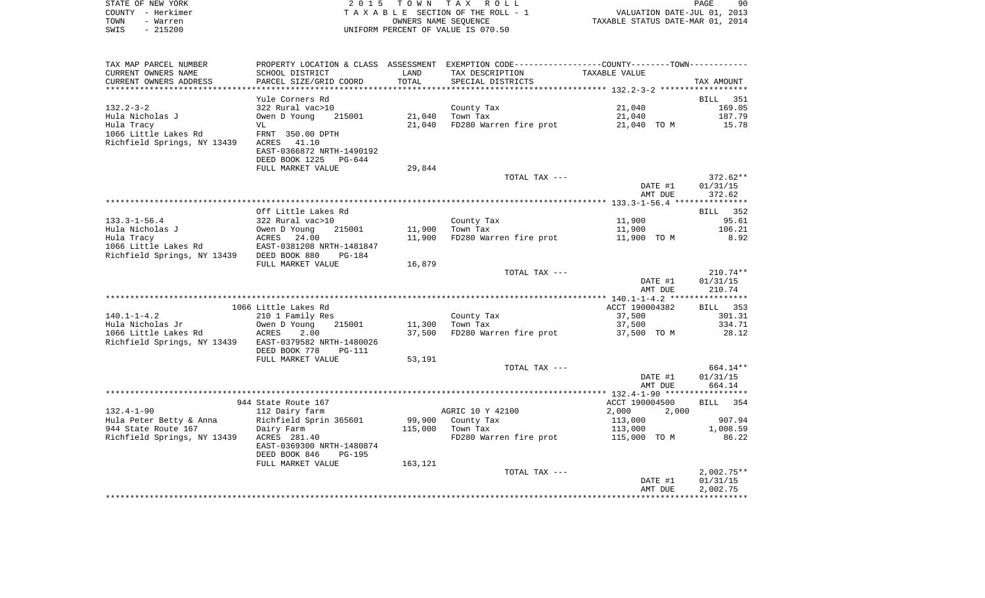|      | STATE OF NEW YORK | 2015 TOWN TAX ROLL                 |                                  | PAGE | 90 |
|------|-------------------|------------------------------------|----------------------------------|------|----|
|      | COUNTY - Herkimer | TAXABLE SECTION OF THE ROLL - 1    | VALUATION DATE-JUL 01, 2013      |      |    |
| TOWN | - Warren          | OWNERS NAME SEOUENCE               | TAXABLE STATUS DATE-MAR 01, 2014 |      |    |
| SWIS | - 215200          | UNIFORM PERCENT OF VALUE IS 070.50 |                                  |      |    |

| TAX MAP PARCEL NUMBER                     | PROPERTY LOCATION & CLASS ASSESSMENT EXEMPTION CODE-----------------COUNTY-------TOWN-------- |         |                        |                |              |
|-------------------------------------------|-----------------------------------------------------------------------------------------------|---------|------------------------|----------------|--------------|
| CURRENT OWNERS NAME                       | SCHOOL DISTRICT                                                                               | LAND    | TAX DESCRIPTION        | TAXABLE VALUE  |              |
| CURRENT OWNERS ADDRESS                    | PARCEL SIZE/GRID COORD                                                                        | TOTAL   | SPECIAL DISTRICTS      |                | TAX AMOUNT   |
|                                           |                                                                                               |         |                        |                |              |
|                                           | Yule Corners Rd                                                                               |         |                        |                | BILL 351     |
| $132.2 - 3 - 2$                           | 322 Rural vac>10                                                                              |         | County Tax             | 21,040         | 169.05       |
| Hula Nicholas J                           | Owen D Young<br>215001                                                                        | 21,040  | Town Tax               | 21,040         | 187.79       |
| Hula Tracy                                | VL                                                                                            | 21,040  | FD280 Warren fire prot | 21,040 TO M    | 15.78        |
| 1066 Little Lakes Rd                      | FRNT 350.00 DPTH                                                                              |         |                        |                |              |
| Richfield Springs, NY 13439               | ACRES 41.10                                                                                   |         |                        |                |              |
|                                           | EAST-0366872 NRTH-1490192                                                                     |         |                        |                |              |
|                                           | DEED BOOK 1225 PG-644                                                                         |         |                        |                |              |
|                                           | FULL MARKET VALUE                                                                             | 29,844  |                        |                |              |
|                                           |                                                                                               |         | TOTAL TAX ---          |                | 372.62**     |
|                                           |                                                                                               |         |                        | DATE #1        | 01/31/15     |
|                                           |                                                                                               |         |                        | AMT DUE        | 372.62       |
|                                           |                                                                                               |         |                        |                |              |
|                                           | Off Little Lakes Rd                                                                           |         |                        |                | BILL 352     |
| $133.3 - 1 - 56.4$                        | 322 Rural vac>10                                                                              |         | County Tax             | 11,900         | 95.61        |
| Hula Nicholas J                           | 215001<br>Owen D Young                                                                        | 11,900  | Town Tax               | 11,900         | 106.21       |
| Hula Tracy                                | ACRES 24.00                                                                                   | 11,900  | FD280 Warren fire prot | 11,900 TO M    | 8.92         |
| 1066 Little Lakes Rd                      | EAST-0381208 NRTH-1481847                                                                     |         |                        |                |              |
| Richfield Springs, NY 13439 DEED BOOK 880 | $PG-184$                                                                                      |         |                        |                |              |
|                                           | FULL MARKET VALUE                                                                             | 16,879  |                        |                |              |
|                                           |                                                                                               |         | TOTAL TAX ---          |                | $210.74**$   |
|                                           |                                                                                               |         |                        | DATE #1        | 01/31/15     |
|                                           |                                                                                               |         |                        | AMT DUE        | 210.74       |
|                                           |                                                                                               |         |                        |                |              |
|                                           | 1066 Little Lakes Rd                                                                          |         |                        | ACCT 190004382 | BILL 353     |
| $140.1 - 1 - 4.2$                         | 210 1 Family Res                                                                              |         | County Tax             | 37,500         | 301.31       |
| Hula Nicholas Jr                          | 215001<br>Owen D Young                                                                        | 11,300  | Town Tax               | 37,500         | 334.71       |
| 1066 Little Lakes Rd                      | ACRES<br>2.00                                                                                 | 37,500  | FD280 Warren fire prot | 37,500 TO M    | 28.12        |
| Richfield Springs, NY 13439               | EAST-0379582 NRTH-1480026                                                                     |         |                        |                |              |
|                                           | DEED BOOK 778<br><b>PG-111</b>                                                                |         |                        |                |              |
|                                           | FULL MARKET VALUE                                                                             | 53,191  |                        |                |              |
|                                           |                                                                                               |         | TOTAL TAX ---          |                | 664.14**     |
|                                           |                                                                                               |         |                        | DATE #1        | 01/31/15     |
|                                           |                                                                                               |         |                        | AMT DUE        | 664.14       |
|                                           |                                                                                               |         |                        |                |              |
|                                           | 944 State Route 167                                                                           |         |                        | ACCT 190004500 | 354<br>BILL  |
| $132.4 - 1 - 90$                          | 112 Dairy farm                                                                                |         | AGRIC 10 Y 42100       | 2,000<br>2,000 |              |
| Hula Peter Betty & Anna                   | Richfield Sprin 365601                                                                        | 99,900  | County Tax             | 113,000        | 907.94       |
| 944 State Route 167                       | Dairy Farm                                                                                    | 115,000 | Town Tax               | 113,000        | 1,008.59     |
| Richfield Springs, NY 13439               | ACRES 281.40                                                                                  |         | FD280 Warren fire prot | 115,000 TO M   | 86.22        |
|                                           | EAST-0369300 NRTH-1480874                                                                     |         |                        |                |              |
|                                           | DEED BOOK 846<br><b>PG-195</b>                                                                |         |                        |                |              |
|                                           | FULL MARKET VALUE                                                                             | 163,121 |                        |                |              |
|                                           |                                                                                               |         | TOTAL TAX ---          |                | $2,002.75**$ |
|                                           |                                                                                               |         |                        | DATE #1        | 01/31/15     |
|                                           |                                                                                               |         |                        | AMT DUE        | 2,002.75     |
|                                           |                                                                                               |         |                        |                |              |
|                                           |                                                                                               |         |                        |                |              |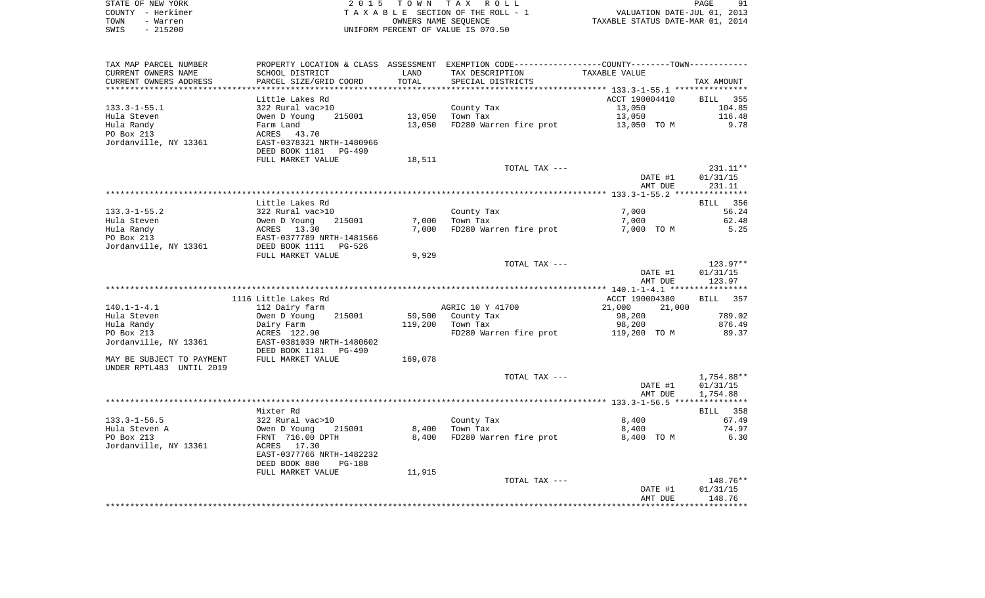|      | STATE OF NEW YORK | 2015 TOWN TAX ROLL                 | PAGE<br>91                       |
|------|-------------------|------------------------------------|----------------------------------|
|      | COUNTY – Herkimer | TAXABLE SECTION OF THE ROLL - 1    | VALUATION DATE-JUL 01, 2013      |
| TOWN | - Warren          | OWNERS NAME SEOUENCE               | TAXABLE STATUS DATE-MAR 01, 2014 |
| SWIS | $-215200$         | UNIFORM PERCENT OF VALUE IS 070.50 |                                  |

| TAX MAP PARCEL NUMBER     | PROPERTY LOCATION & CLASS       | ASSESSMENT | EXEMPTION CODE----------------COUNTY-------TOWN----------- |                  |                    |
|---------------------------|---------------------------------|------------|------------------------------------------------------------|------------------|--------------------|
| CURRENT OWNERS NAME       | SCHOOL DISTRICT                 | LAND       | TAX DESCRIPTION                                            | TAXABLE VALUE    |                    |
| CURRENT OWNERS ADDRESS    | PARCEL SIZE/GRID COORD          | TOTAL      | SPECIAL DISTRICTS                                          |                  | TAX AMOUNT         |
|                           |                                 |            |                                                            |                  |                    |
|                           | Little Lakes Rd                 |            |                                                            | ACCT 190004410   | <b>BILL</b><br>355 |
| $133.3 - 1 - 55.1$        | 322 Rural vac>10                |            | County Tax                                                 | 13,050           | 104.85             |
| Hula Steven               | Owen D Young<br>215001          | 13,050     | Town Tax                                                   | 13,050           | 116.48             |
|                           |                                 |            |                                                            |                  | 9.78               |
| Hula Randy                | Farm Land                       | 13,050     | FD280 Warren fire prot                                     | 13,050 TO M      |                    |
| PO Box 213                | 43.70<br>ACRES                  |            |                                                            |                  |                    |
| Jordanville, NY 13361     | EAST-0378321 NRTH-1480966       |            |                                                            |                  |                    |
|                           | DEED BOOK 1181<br>PG-490        |            |                                                            |                  |                    |
|                           | FULL MARKET VALUE               | 18,511     |                                                            |                  |                    |
|                           |                                 |            | TOTAL TAX ---                                              |                  | 231.11**           |
|                           |                                 |            |                                                            | DATE #1          | 01/31/15           |
|                           |                                 |            |                                                            | AMT DUE          | 231.11             |
|                           |                                 |            |                                                            |                  |                    |
|                           | Little Lakes Rd                 |            |                                                            |                  | 356<br>BILL        |
| $133.3 - 1 - 55.2$        | 322 Rural vac>10                |            | County Tax                                                 | 7,000            | 56.24              |
| Hula Steven               | Owen D Young<br>215001          | 7,000      | Town Tax                                                   | 7,000            | 62.48              |
| Hula Randy                | ACRES 13.30                     | 7,000      | FD280 Warren fire prot                                     | 7,000 TO M       | 5.25               |
| PO Box 213                | EAST-0377789 NRTH-1481566       |            |                                                            |                  |                    |
|                           |                                 |            |                                                            |                  |                    |
| Jordanville, NY 13361     | DEED BOOK 1111<br>PG-526        |            |                                                            |                  |                    |
|                           | FULL MARKET VALUE               | 9,929      |                                                            |                  |                    |
|                           |                                 |            | TOTAL TAX ---                                              |                  | $123.97**$         |
|                           |                                 |            |                                                            | DATE #1          | 01/31/15           |
|                           |                                 |            |                                                            | AMT DUE          | 123.97             |
|                           |                                 |            |                                                            |                  |                    |
|                           | 1116 Little Lakes Rd            |            |                                                            | ACCT 190004380   | <b>BILL</b><br>357 |
| $140.1 - 1 - 4.1$         | 112 Dairy farm                  |            | AGRIC 10 Y 41700                                           | 21,000<br>21,000 |                    |
| Hula Steven               | Owen D Young<br>215001          | 59,500     | County Tax                                                 | 98,200           | 789.02             |
| Hula Randy                | Dairy Farm                      | 119,200    | Town Tax                                                   | 98,200           | 876.49             |
| PO Box 213                | ACRES 122.90                    |            | FD280 Warren fire prot                                     | 119,200 TO M     | 89.37              |
| Jordanville, NY 13361     | EAST-0381039 NRTH-1480602       |            |                                                            |                  |                    |
|                           | DEED BOOK 1181<br><b>PG-490</b> |            |                                                            |                  |                    |
| MAY BE SUBJECT TO PAYMENT | FULL MARKET VALUE               | 169,078    |                                                            |                  |                    |
| UNDER RPTL483 UNTIL 2019  |                                 |            |                                                            |                  |                    |
|                           |                                 |            | TOTAL TAX ---                                              |                  | 1,754.88**         |
|                           |                                 |            |                                                            |                  |                    |
|                           |                                 |            |                                                            | DATE #1          | 01/31/15           |
|                           |                                 |            |                                                            | AMT DUE          | 1,754.88           |
|                           |                                 |            |                                                            |                  |                    |
|                           | Mixter Rd                       |            |                                                            |                  | BILL 358           |
| $133.3 - 1 - 56.5$        | 322 Rural vac>10                |            | County Tax                                                 | 8,400            | 67.49              |
| Hula Steven A             | Owen D Young<br>215001          | 8,400      | Town Tax                                                   | 8,400            | 74.97              |
| PO Box 213                | FRNT 716.00 DPTH                | 8,400      | FD280 Warren fire prot                                     | 8,400 TO M       | 6.30               |
| Jordanville, NY 13361     | 17.30<br>ACRES                  |            |                                                            |                  |                    |
|                           | EAST-0377766 NRTH-1482232       |            |                                                            |                  |                    |
|                           | DEED BOOK 880<br><b>PG-188</b>  |            |                                                            |                  |                    |
|                           | FULL MARKET VALUE               | 11,915     |                                                            |                  |                    |
|                           |                                 |            |                                                            |                  |                    |
|                           |                                 |            |                                                            |                  |                    |
|                           |                                 |            | TOTAL TAX ---                                              |                  | 148.76**           |
|                           |                                 |            |                                                            | DATE #1          | 01/31/15           |
|                           |                                 |            |                                                            | AMT DUE          | 148.76             |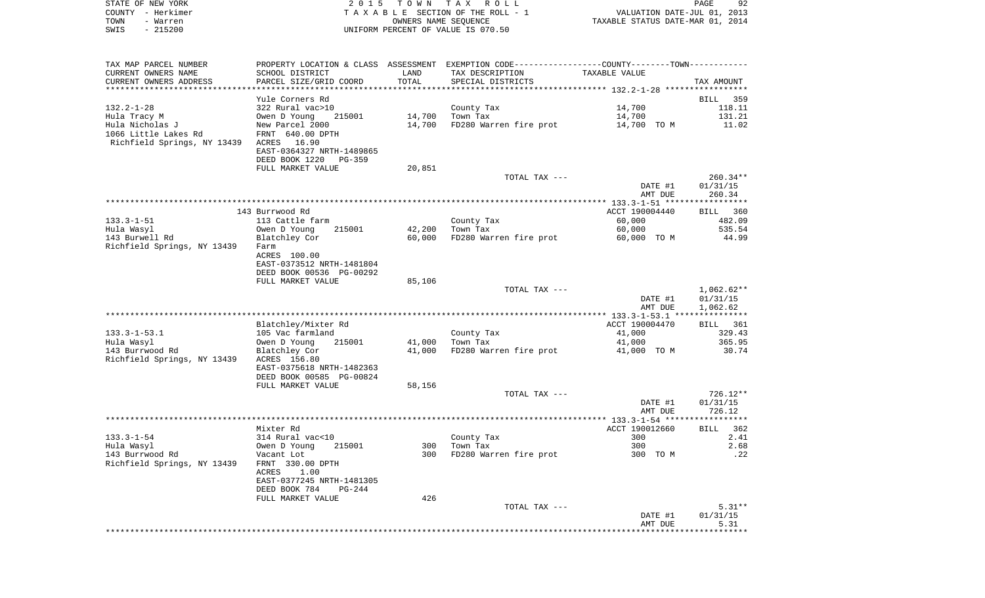| STATE OF NEW YORK<br>COUNTY - Herkimer                          | 2 0 1 5                                    | TOWN TAX             | ROLL<br>TAXABLE SECTION OF THE ROLL - 1                                                       | VALUATION DATE-JUL 01, 2013      | 92<br>PAGE       |
|-----------------------------------------------------------------|--------------------------------------------|----------------------|-----------------------------------------------------------------------------------------------|----------------------------------|------------------|
| TOWN<br>- Warren                                                |                                            | OWNERS NAME SEQUENCE |                                                                                               | TAXABLE STATUS DATE-MAR 01, 2014 |                  |
| $-215200$<br>SWIS                                               |                                            |                      | UNIFORM PERCENT OF VALUE IS 070.50                                                            |                                  |                  |
|                                                                 |                                            |                      |                                                                                               |                                  |                  |
| TAX MAP PARCEL NUMBER                                           |                                            |                      | PROPERTY LOCATION & CLASS ASSESSMENT EXEMPTION CODE---------------COUNTY-------TOWN---------- |                                  |                  |
| CURRENT OWNERS NAME                                             | SCHOOL DISTRICT                            | LAND                 | TAX DESCRIPTION                                                                               | TAXABLE VALUE                    |                  |
| CURRENT OWNERS ADDRESS                                          | PARCEL SIZE/GRID COORD                     | TOTAL                | SPECIAL DISTRICTS                                                                             |                                  | TAX AMOUNT       |
|                                                                 |                                            |                      |                                                                                               |                                  |                  |
|                                                                 | Yule Corners Rd                            |                      |                                                                                               |                                  | BILL<br>359      |
| $132.2 - 1 - 28$                                                | 322 Rural vac>10                           |                      | County Tax                                                                                    | 14,700                           | 118.11           |
| Hula Tracy M                                                    | Owen D Young<br>215001                     | 14,700               | Town Tax                                                                                      | 14,700                           | 131.21           |
| Hula Nicholas J                                                 | New Parcel 2000                            | 14,700               | FD280 Warren fire prot                                                                        | 14,700 TO M                      | 11.02            |
| 1066 Little Lakes Rd<br>Richfield Springs, NY 13439 ACRES 16.90 | FRNT 640.00 DPTH                           |                      |                                                                                               |                                  |                  |
|                                                                 | EAST-0364327 NRTH-1489865                  |                      |                                                                                               |                                  |                  |
|                                                                 | DEED BOOK 1220<br>PG-359                   |                      |                                                                                               |                                  |                  |
|                                                                 | FULL MARKET VALUE                          | 20,851               |                                                                                               |                                  |                  |
|                                                                 |                                            |                      | TOTAL TAX ---                                                                                 |                                  | $260.34**$       |
|                                                                 |                                            |                      |                                                                                               | DATE #1                          | 01/31/15         |
|                                                                 |                                            |                      |                                                                                               | AMT DUE                          | 260.34           |
|                                                                 |                                            |                      |                                                                                               |                                  |                  |
|                                                                 | 143 Burrwood Rd                            |                      |                                                                                               | ACCT 190004440                   | BILL 360         |
| 133.3-1-51                                                      | 113 Cattle farm                            |                      | County Tax                                                                                    | 60,000                           | 482.09           |
| Hula Wasyl                                                      | 215001<br>Owen D Young                     | 42,200               | Town Tax                                                                                      | 60,000                           | 535.54           |
| 143 Burwell Rd                                                  | Blatchley Cor                              | 60,000               | FD280 Warren fire prot                                                                        | 60,000 TO M                      | 44.99            |
| Richfield Springs, NY 13439                                     | Farm<br>ACRES 100.00                       |                      |                                                                                               |                                  |                  |
|                                                                 | EAST-0373512 NRTH-1481804                  |                      |                                                                                               |                                  |                  |
|                                                                 | DEED BOOK 00536 PG-00292                   |                      |                                                                                               |                                  |                  |
|                                                                 | FULL MARKET VALUE                          | 85,106               |                                                                                               |                                  |                  |
|                                                                 |                                            |                      | TOTAL TAX ---                                                                                 |                                  | 1,062.62**       |
|                                                                 |                                            |                      |                                                                                               | DATE #1                          | 01/31/15         |
|                                                                 |                                            |                      |                                                                                               | AMT DUE                          | 1,062.62         |
|                                                                 |                                            |                      |                                                                                               |                                  |                  |
|                                                                 | Blatchley/Mixter Rd                        |                      |                                                                                               | ACCT 190004470                   | BILL 361         |
| 133.3-1-53.1                                                    | 105 Vac farmland                           |                      | County Tax                                                                                    | 41,000                           | 329.43<br>365.95 |
| Hula Wasyl<br>143 Burrwood Rd                                   | Owen D Young<br>215001<br>Blatchley Cor    | 41,000<br>41,000     | Town Tax<br>FD280 Warren fire prot                                                            | 41,000<br>41,000 TO M            | 30.74            |
| Richfield Springs, NY 13439                                     | ACRES 156.80                               |                      |                                                                                               |                                  |                  |
|                                                                 | EAST-0375618 NRTH-1482363                  |                      |                                                                                               |                                  |                  |
|                                                                 | DEED BOOK 00585 PG-00824                   |                      |                                                                                               |                                  |                  |
|                                                                 | FULL MARKET VALUE                          | 58,156               |                                                                                               |                                  |                  |
|                                                                 |                                            |                      | TOTAL TAX ---                                                                                 |                                  | 726.12**         |
|                                                                 |                                            |                      |                                                                                               | DATE #1                          | 01/31/15         |
|                                                                 |                                            |                      |                                                                                               | AMT DUE                          | 726.12           |
|                                                                 |                                            |                      |                                                                                               |                                  |                  |
|                                                                 | Mixter Rd                                  |                      |                                                                                               | ACCT 190012660                   | BILL<br>362      |
| $133.3 - 1 - 54$<br>Hula Wasyl                                  | 314 Rural vac<10<br>Owen D Young<br>215001 | 300                  | County Tax<br>Town Tax                                                                        | 300<br>300                       | 2.41<br>2.68     |
| 143 Burrwood Rd                                                 | Vacant Lot                                 | 300                  | FD280 Warren fire prot                                                                        | 300 TO M                         | .22              |
| Richfield Springs, NY 13439                                     | FRNT 330.00 DPTH                           |                      |                                                                                               |                                  |                  |
|                                                                 | 1.00<br>ACRES                              |                      |                                                                                               |                                  |                  |
|                                                                 | EAST-0377245 NRTH-1481305                  |                      |                                                                                               |                                  |                  |
|                                                                 | DEED BOOK 784<br>PG-244                    |                      |                                                                                               |                                  |                  |
|                                                                 | FULL MARKET VALUE                          | 426                  |                                                                                               |                                  |                  |
|                                                                 |                                            |                      | TOTAL TAX ---                                                                                 |                                  | $5.31**$         |
|                                                                 |                                            |                      |                                                                                               | DATE #1                          | 01/31/15         |
|                                                                 |                                            |                      |                                                                                               | AMT DUE                          | 5.31             |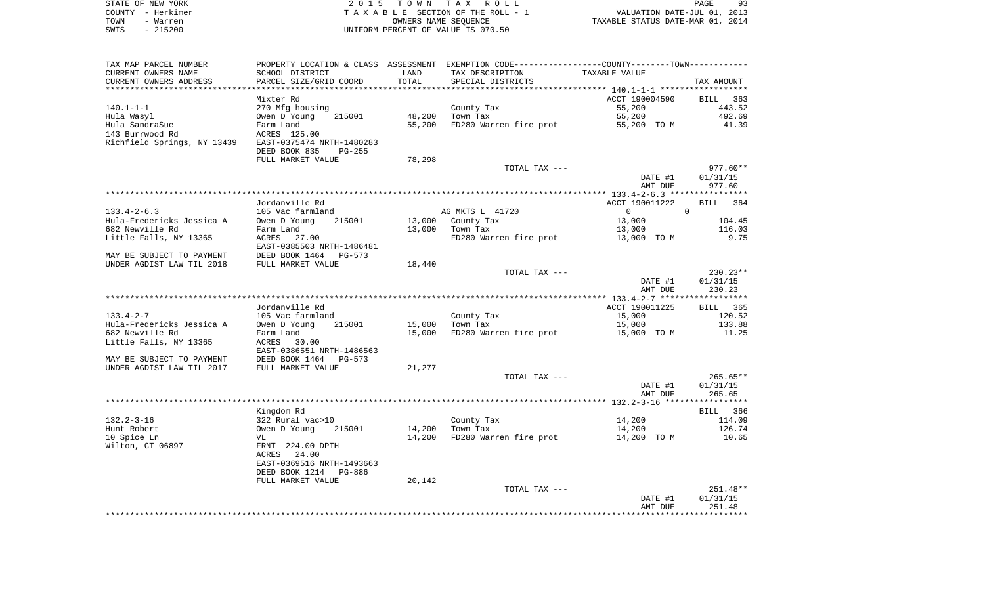| STATE OF NEW YORK | 2015 TOWN TAX ROLL                 | 93<br>PAGE                       |
|-------------------|------------------------------------|----------------------------------|
| COUNTY - Herkimer | TAXABLE SECTION OF THE ROLL - 1    | VALUATION DATE-JUL 01, 2013      |
| TOWN<br>- Warren  | OWNERS NAME SEOUENCE               | TAXABLE STATUS DATE-MAR 01, 2014 |
| - 215200<br>SWIS  | UNIFORM PERCENT OF VALUE IS 070.50 |                                  |

| TAX MAP PARCEL NUMBER                        |                                 |        | PROPERTY LOCATION & CLASS ASSESSMENT EXEMPTION CODE---------------COUNTY-------TOWN---------- |                                  |                      |
|----------------------------------------------|---------------------------------|--------|-----------------------------------------------------------------------------------------------|----------------------------------|----------------------|
| CURRENT OWNERS NAME                          | SCHOOL DISTRICT                 | LAND   | TAX DESCRIPTION                                                                               | TAXABLE VALUE                    |                      |
| CURRENT OWNERS ADDRESS                       | PARCEL SIZE/GRID COORD          | TOTAL  | SPECIAL DISTRICTS                                                                             |                                  | TAX AMOUNT           |
| ***********************                      |                                 |        |                                                                                               |                                  |                      |
|                                              | Mixter Rd                       |        |                                                                                               | ACCT 190004590                   | BILL 363             |
| 140.1-1-1                                    | 270 Mfg housing                 |        | County Tax                                                                                    | 55,200                           | 443.52               |
| Hula Wasyl                                   | Owen D Young<br>215001          | 48,200 | Town Tax                                                                                      | 55,200                           | 492.69               |
| Hula SandraSue                               | Farm Land                       | 55,200 | FD280 Warren fire prot                                                                        | 55,200 TO M                      | 41.39                |
| 143 Burrwood Rd                              | ACRES 125.00                    |        |                                                                                               |                                  |                      |
| Richfield Springs, NY 13439                  | EAST-0375474 NRTH-1480283       |        |                                                                                               |                                  |                      |
|                                              | DEED BOOK 835<br>$PG-255$       |        |                                                                                               |                                  |                      |
|                                              | FULL MARKET VALUE               | 78,298 |                                                                                               |                                  |                      |
|                                              |                                 |        | TOTAL TAX ---                                                                                 |                                  | $977.60**$           |
|                                              |                                 |        |                                                                                               | DATE #1                          | 01/31/15             |
|                                              |                                 |        |                                                                                               | AMT DUE                          | 977.60               |
|                                              |                                 |        |                                                                                               |                                  |                      |
|                                              | Jordanville Rd                  |        |                                                                                               | ACCT 190011222<br>$\overline{0}$ | BILL 364<br>$\Omega$ |
| $133.4 - 2 - 6.3$                            | 105 Vac farmland<br>215001      | 13,000 | AG MKTS L 41720                                                                               | 13,000                           | 104.45               |
| Hula-Fredericks Jessica A<br>682 Newville Rd | Owen D Young<br>Farm Land       | 13,000 | County Tax<br>Town Tax                                                                        | 13,000                           | 116.03               |
| Little Falls, NY 13365                       | ACRES 27.00                     |        | FD280 Warren fire prot                                                                        | 13,000 TO M                      | 9.75                 |
|                                              | EAST-0385503 NRTH-1486481       |        |                                                                                               |                                  |                      |
| MAY BE SUBJECT TO PAYMENT                    | DEED BOOK 1464 PG-573           |        |                                                                                               |                                  |                      |
| UNDER AGDIST LAW TIL 2018                    | FULL MARKET VALUE               | 18,440 |                                                                                               |                                  |                      |
|                                              |                                 |        | TOTAL TAX ---                                                                                 |                                  | $230.23**$           |
|                                              |                                 |        |                                                                                               | DATE #1                          | 01/31/15             |
|                                              |                                 |        |                                                                                               | AMT DUE                          | 230.23               |
|                                              |                                 |        |                                                                                               |                                  |                      |
|                                              | Jordanville Rd                  |        |                                                                                               | ACCT 190011225                   | BILL 365             |
| $133.4 - 2 - 7$                              | 105 Vac farmland                |        | County Tax                                                                                    | 15,000                           | 120.52               |
| Hula-Fredericks Jessica A                    | Owen D Young<br>215001          | 15,000 | Town Tax                                                                                      | 15,000                           | 133.88               |
| 682 Newville Rd                              | Farm Land                       | 15,000 | FD280 Warren fire prot                                                                        | 15,000 TO M                      | 11.25                |
| Little Falls, NY 13365                       | ACRES<br>30.00                  |        |                                                                                               |                                  |                      |
|                                              | EAST-0386551 NRTH-1486563       |        |                                                                                               |                                  |                      |
| MAY BE SUBJECT TO PAYMENT                    | DEED BOOK 1464<br>PG-573        |        |                                                                                               |                                  |                      |
| UNDER AGDIST LAW TIL 2017                    | FULL MARKET VALUE               | 21,277 |                                                                                               |                                  |                      |
|                                              |                                 |        | TOTAL TAX ---                                                                                 |                                  | $265.65**$           |
|                                              |                                 |        |                                                                                               | DATE #1                          | 01/31/15             |
|                                              |                                 |        |                                                                                               | AMT DUE                          | 265.65               |
|                                              |                                 |        |                                                                                               |                                  |                      |
|                                              | Kingdom Rd                      |        |                                                                                               |                                  | BILL 366             |
| $132.2 - 3 - 16$                             | 322 Rural vac>10                |        | County Tax                                                                                    | 14,200                           | 114.09               |
| Hunt Robert                                  | Owen D Young<br>215001          | 14,200 | Town Tax                                                                                      | 14,200                           | 126.74               |
| 10 Spice Ln                                  | VL                              | 14,200 | FD280 Warren fire prot                                                                        | 14,200 TO M                      | 10.65                |
| Wilton, CT 06897                             | FRNT 224.00 DPTH<br>ACRES 24.00 |        |                                                                                               |                                  |                      |
|                                              | EAST-0369516 NRTH-1493663       |        |                                                                                               |                                  |                      |
|                                              | DEED BOOK 1214<br>PG-886        |        |                                                                                               |                                  |                      |
|                                              | FULL MARKET VALUE               | 20,142 |                                                                                               |                                  |                      |
|                                              |                                 |        | TOTAL TAX ---                                                                                 |                                  | 251.48**             |
|                                              |                                 |        |                                                                                               | DATE #1                          | 01/31/15             |
|                                              |                                 |        |                                                                                               | AMT DUE                          | 251.48               |
|                                              |                                 |        |                                                                                               |                                  |                      |
|                                              |                                 |        |                                                                                               |                                  |                      |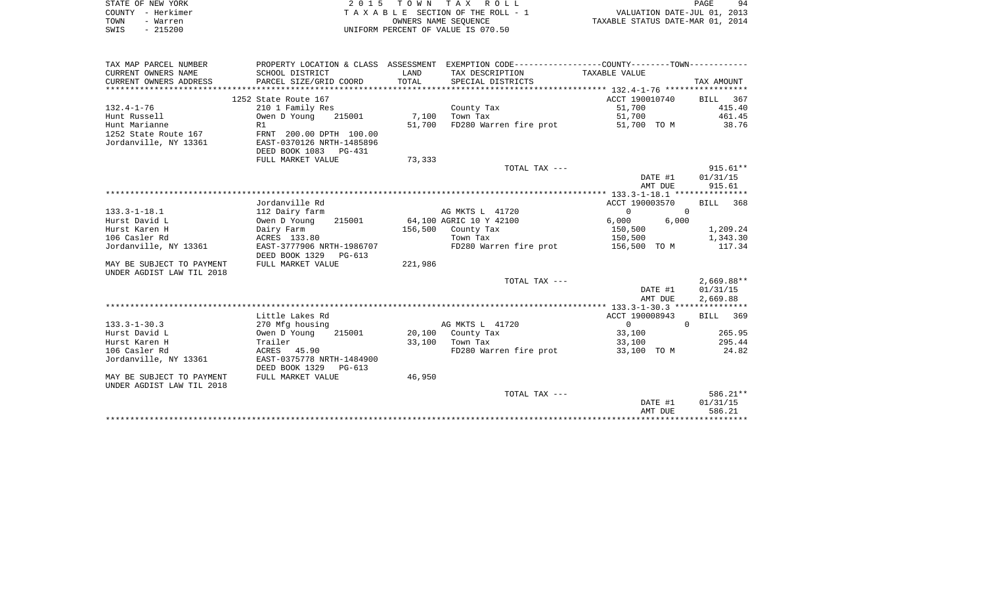| STATE OF NEW YORK | 2015 TOWN TAX ROLL                    |                                  | PAGE                        | 94 |
|-------------------|---------------------------------------|----------------------------------|-----------------------------|----|
| COUNTY - Herkimer | T A X A B L E SECTION OF THE ROLL - 1 |                                  | VALUATION DATE-JUL 01, 2013 |    |
| TOWN<br>- Warren  | OWNERS NAME SEOUENCE                  | TAXABLE STATUS DATE-MAR 01, 2014 |                             |    |
| $-215200$<br>SWIS | UNIFORM PERCENT OF VALUE IS 070.50    |                                  |                             |    |

| TAX MAP PARCEL NUMBER     |                                                    |              | PROPERTY LOCATION & CLASS ASSESSMENT EXEMPTION CODE---------------COUNTY--------TOWN---------- |                                  |              |
|---------------------------|----------------------------------------------------|--------------|------------------------------------------------------------------------------------------------|----------------------------------|--------------|
| CURRENT OWNERS NAME       | SCHOOL DISTRICT                                    | LAND         | TAX DESCRIPTION TAXABLE VALUE                                                                  |                                  |              |
| CURRENT OWNERS ADDRESS    | PARCEL SIZE/GRID COORD                             | TOTAL        | SPECIAL DISTRICTS                                                                              |                                  | TAX AMOUNT   |
|                           |                                                    |              |                                                                                                |                                  |              |
|                           | 1252 State Route 167                               |              |                                                                                                | ACCT 190010740 BILL 367          |              |
| $132.4 - 1 - 76$          | 210 1 Family Res                                   |              | County Tax                                                                                     | 51,700                           | 415.40       |
| Hunt Russell              | Owen D Young                                       | 215001 7,100 | Town Tax                                                                                       | 51,700                           | 461.45       |
| Hunt Marianne             | R1                                                 | 51,700       | FD280 Warren fire prot                                                                         | 51,700 TO M 38.76                |              |
| 1252 State Route 167      | FRNT 200.00 DPTH 100.00                            |              |                                                                                                |                                  |              |
| Jordanville, NY 13361     | EAST-0370126 NRTH-1485896                          |              |                                                                                                |                                  |              |
|                           | DEED BOOK 1083 PG-431                              |              |                                                                                                |                                  |              |
|                           | FULL MARKET VALUE                                  | 73,333       |                                                                                                |                                  |              |
|                           |                                                    |              | TOTAL TAX ---                                                                                  |                                  | 915.61**     |
|                           |                                                    |              |                                                                                                | DATE #1                          | 01/31/15     |
|                           |                                                    |              |                                                                                                | AMT DUE                          | 915.61       |
|                           |                                                    |              |                                                                                                |                                  |              |
|                           | Jordanville Rd                                     |              |                                                                                                | ACCT 190003570                   | BILL 368     |
| $133.3 - 1 - 18.1$        | 112 Dairy farm                                     |              | AG MKTS L 41720                                                                                | $\overline{0}$<br>$\overline{0}$ |              |
| Hurst David L             | Owen D Young<br>215001                             |              | 64,100 AGRIC 10 Y 42100                                                                        | 6,000<br>6,000                   |              |
| Hurst Karen H             | Dairy Farm                                         |              | 156,500 County Tax                                                                             | 150,500                          | 1,209.24     |
| 106 Casler Rd             | ACRES 133.80                                       |              | Town Tax                                                                                       | 150,500                          | 1,343.30     |
| Jordanville, NY 13361     | EAST-3777906 NRTH-1986707<br>DEED BOOK 1329 PG-613 |              | FD280 Warren fire prot                                                                         | 156,500 TO M                     | 117.34       |
| MAY BE SUBJECT TO PAYMENT | FULL MARKET VALUE                                  | 221,986      |                                                                                                |                                  |              |
| UNDER AGDIST LAW TIL 2018 |                                                    |              |                                                                                                |                                  |              |
|                           |                                                    |              | TOTAL TAX ---                                                                                  |                                  | $2,669.88**$ |
|                           |                                                    |              |                                                                                                | DATE #1                          | 01/31/15     |
|                           |                                                    |              |                                                                                                | AMT DUE                          | 2,669.88     |
|                           |                                                    |              |                                                                                                |                                  |              |
|                           | Little Lakes Rd                                    |              |                                                                                                | ACCT 190008943                   | BILL 369     |
| $133.3 - 1 - 30.3$        | 270 Mfg housing                                    |              | AG MKTS L 41720                                                                                | $\overline{0}$<br>$\overline{0}$ |              |
| Hurst David L             | Owen D Young<br>215001                             |              | 20,100 County Tax                                                                              | 33,100                           | 265.95       |
| Hurst Karen H             | Trailer                                            | 33,100       | Town Tax                                                                                       | 33,100                           | 295.44       |
| 106 Casler Rd             | ACRES 45.90                                        |              | FD280 Warren fire prot                                                                         | 33,100 TO M                      | 24.82        |
| Jordanville, NY 13361     | EAST-0375778 NRTH-1484900                          |              |                                                                                                |                                  |              |
|                           | DEED BOOK 1329 PG-613                              |              |                                                                                                |                                  |              |
| MAY BE SUBJECT TO PAYMENT | FULL MARKET VALUE                                  | 46,950       |                                                                                                |                                  |              |
| UNDER AGDIST LAW TIL 2018 |                                                    |              |                                                                                                |                                  |              |
|                           |                                                    |              | TOTAL TAX ---                                                                                  |                                  | 586.21**     |
|                           |                                                    |              |                                                                                                | DATE #1                          | 01/31/15     |
|                           |                                                    |              |                                                                                                | AMT DUE                          | 586.21       |
|                           |                                                    |              |                                                                                                |                                  |              |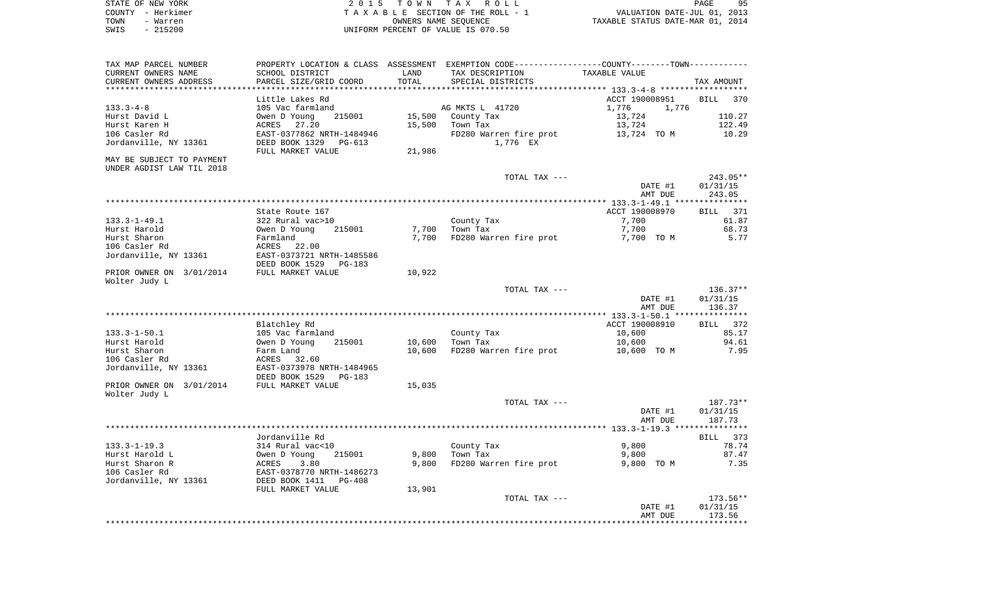| STATE OF NEW YORK | 2015 TOWN TAX ROLL                 | 95<br>PAGE                       |
|-------------------|------------------------------------|----------------------------------|
| COUNTY - Herkimer | TAXABLE SECTION OF THE ROLL - 1    | VALUATION DATE-JUL 01, 2013      |
| TOWN<br>- Warren  | OWNERS NAME SEOUENCE               | TAXABLE STATUS DATE-MAR 01, 2014 |
| $-215200$<br>SWIS | UNIFORM PERCENT OF VALUE IS 070.50 |                                  |

| SCHOOL DISTRICT           | LAND                                                                                                                                                                                                                                                                                                                                                                                                                                                                                                                                                                                                                                             | TAX DESCRIPTION                                              | TAXABLE VALUE                                                                                 |                                                                                                                                                                                                                   |
|---------------------------|--------------------------------------------------------------------------------------------------------------------------------------------------------------------------------------------------------------------------------------------------------------------------------------------------------------------------------------------------------------------------------------------------------------------------------------------------------------------------------------------------------------------------------------------------------------------------------------------------------------------------------------------------|--------------------------------------------------------------|-----------------------------------------------------------------------------------------------|-------------------------------------------------------------------------------------------------------------------------------------------------------------------------------------------------------------------|
| PARCEL SIZE/GRID COORD    |                                                                                                                                                                                                                                                                                                                                                                                                                                                                                                                                                                                                                                                  | SPECIAL DISTRICTS                                            |                                                                                               | TAX AMOUNT                                                                                                                                                                                                        |
|                           |                                                                                                                                                                                                                                                                                                                                                                                                                                                                                                                                                                                                                                                  |                                                              |                                                                                               |                                                                                                                                                                                                                   |
| 215001<br>27.20<br>PG-613 | 15,500<br>15,500<br>21,986                                                                                                                                                                                                                                                                                                                                                                                                                                                                                                                                                                                                                       | County Tax<br>Town Tax<br>FD280 Warren fire prot<br>1,776 EX | 1,776<br>1,776<br>13,724<br>13,724<br>13,724 TO M                                             | <b>BILL</b><br>370<br>110.27<br>122.49<br>10.29                                                                                                                                                                   |
|                           |                                                                                                                                                                                                                                                                                                                                                                                                                                                                                                                                                                                                                                                  |                                                              |                                                                                               |                                                                                                                                                                                                                   |
|                           |                                                                                                                                                                                                                                                                                                                                                                                                                                                                                                                                                                                                                                                  | TOTAL TAX ---                                                | DATE #1<br>AMT DUE                                                                            | $243.05**$<br>01/31/15<br>243.05                                                                                                                                                                                  |
|                           |                                                                                                                                                                                                                                                                                                                                                                                                                                                                                                                                                                                                                                                  |                                                              |                                                                                               |                                                                                                                                                                                                                   |
|                           |                                                                                                                                                                                                                                                                                                                                                                                                                                                                                                                                                                                                                                                  |                                                              |                                                                                               | <b>BILL</b><br>371                                                                                                                                                                                                |
|                           |                                                                                                                                                                                                                                                                                                                                                                                                                                                                                                                                                                                                                                                  |                                                              |                                                                                               | 61.87                                                                                                                                                                                                             |
|                           |                                                                                                                                                                                                                                                                                                                                                                                                                                                                                                                                                                                                                                                  |                                                              |                                                                                               | 68.73<br>5.77                                                                                                                                                                                                     |
|                           |                                                                                                                                                                                                                                                                                                                                                                                                                                                                                                                                                                                                                                                  |                                                              |                                                                                               |                                                                                                                                                                                                                   |
|                           |                                                                                                                                                                                                                                                                                                                                                                                                                                                                                                                                                                                                                                                  |                                                              |                                                                                               |                                                                                                                                                                                                                   |
|                           | 10,922                                                                                                                                                                                                                                                                                                                                                                                                                                                                                                                                                                                                                                           |                                                              |                                                                                               |                                                                                                                                                                                                                   |
|                           |                                                                                                                                                                                                                                                                                                                                                                                                                                                                                                                                                                                                                                                  | TOTAL TAX ---                                                |                                                                                               | $136.37**$                                                                                                                                                                                                        |
|                           |                                                                                                                                                                                                                                                                                                                                                                                                                                                                                                                                                                                                                                                  |                                                              | DATE #1<br>AMT DUE                                                                            | 01/31/15<br>136.37                                                                                                                                                                                                |
|                           |                                                                                                                                                                                                                                                                                                                                                                                                                                                                                                                                                                                                                                                  |                                                              |                                                                                               |                                                                                                                                                                                                                   |
| 215001<br>32.60           | 10,600<br>10,600                                                                                                                                                                                                                                                                                                                                                                                                                                                                                                                                                                                                                                 | County Tax<br>Town Tax<br>FD280 Warren fire prot             | 10,600<br>10,600<br>10,600 TO M                                                               | <b>BILL</b><br>372<br>85.17<br>94.61<br>7.95                                                                                                                                                                      |
|                           |                                                                                                                                                                                                                                                                                                                                                                                                                                                                                                                                                                                                                                                  |                                                              |                                                                                               |                                                                                                                                                                                                                   |
|                           |                                                                                                                                                                                                                                                                                                                                                                                                                                                                                                                                                                                                                                                  |                                                              |                                                                                               |                                                                                                                                                                                                                   |
|                           |                                                                                                                                                                                                                                                                                                                                                                                                                                                                                                                                                                                                                                                  | TOTAL TAX ---                                                | DATE #1<br>AMT DUE                                                                            | 187.73**<br>01/31/15<br>187.73                                                                                                                                                                                    |
|                           |                                                                                                                                                                                                                                                                                                                                                                                                                                                                                                                                                                                                                                                  |                                                              |                                                                                               |                                                                                                                                                                                                                   |
|                           |                                                                                                                                                                                                                                                                                                                                                                                                                                                                                                                                                                                                                                                  |                                                              |                                                                                               | 373<br>BILL                                                                                                                                                                                                       |
|                           |                                                                                                                                                                                                                                                                                                                                                                                                                                                                                                                                                                                                                                                  |                                                              |                                                                                               | 78.74                                                                                                                                                                                                             |
| 3.80<br>PG-408            | 9,800                                                                                                                                                                                                                                                                                                                                                                                                                                                                                                                                                                                                                                            | FD280 Warren fire prot                                       | 9,800 TO M                                                                                    | 87.47<br>7.35                                                                                                                                                                                                     |
|                           | 13,901                                                                                                                                                                                                                                                                                                                                                                                                                                                                                                                                                                                                                                           |                                                              |                                                                                               |                                                                                                                                                                                                                   |
|                           |                                                                                                                                                                                                                                                                                                                                                                                                                                                                                                                                                                                                                                                  | TOTAL TAX ---                                                | DATE #1                                                                                       | 173.56**<br>01/31/15<br>173.56                                                                                                                                                                                    |
|                           | *******************<br>Little Lakes Rd<br>105 Vac farmland<br>Owen D Young<br>ACRES<br>EAST-0377862 NRTH-1484946<br>DEED BOOK 1329<br>FULL MARKET VALUE<br>State Route 167<br>322 Rural vac>10<br>Owen D Young<br>215001<br>Farmland<br>ACRES<br>22.00<br>EAST-0373721 NRTH-1485586<br>DEED BOOK 1529<br>PG-183<br>FULL MARKET VALUE<br>Blatchley Rd<br>105 Vac farmland<br>Owen D Young<br>Farm Land<br>ACRES<br>EAST-0373978 NRTH-1484965<br>DEED BOOK 1529<br><b>PG-183</b><br>FULL MARKET VALUE<br>Jordanville Rd<br>314 Rural vac<10<br>Owen D Young<br>215001<br>ACRES<br>EAST-0378770 NRTH-1486273<br>DEED BOOK 1411<br>FULL MARKET VALUE | TOTAL<br>7,700<br>7,700<br>15,035<br>9,800                   | AG MKTS L 41720<br>County Tax<br>Town Tax<br>FD280 Warren fire prot<br>County Tax<br>Town Tax | PROPERTY LOCATION & CLASS ASSESSMENT EXEMPTION CODE----------------COUNTY-------TOWN----------<br>ACCT 190008951<br>ACCT 190008970<br>7,700<br>7,700<br>7,700 TO M<br>ACCT 190008910<br>9,800<br>9,800<br>AMT DUE |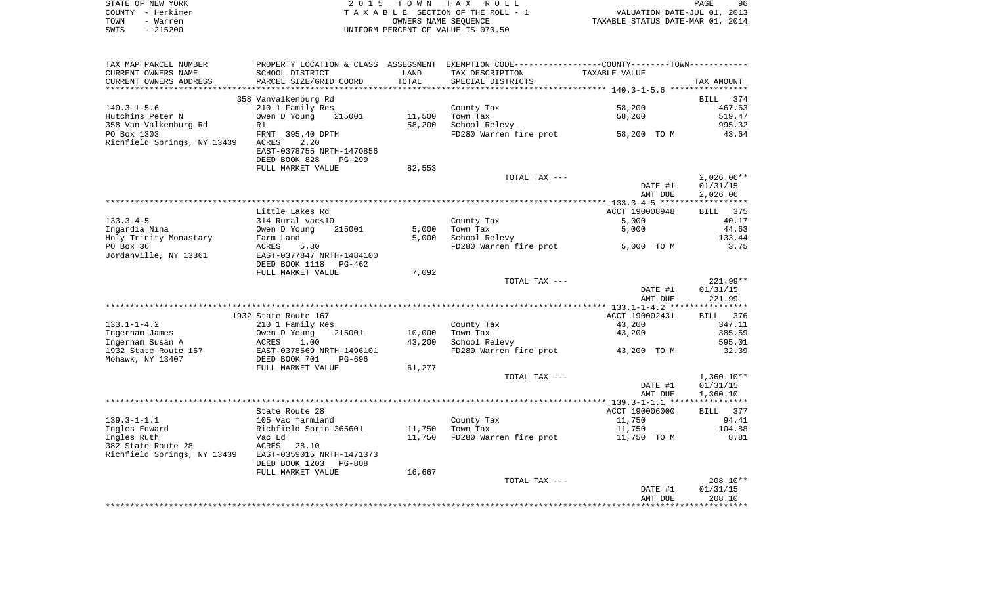| STATE OF NEW YORK | 2015 TOWN TAX ROLL                 | 96<br>PAGE                       |
|-------------------|------------------------------------|----------------------------------|
| COUNTY - Herkimer | TAXABLE SECTION OF THE ROLL - 1    | VALUATION DATE-JUL 01, 2013      |
| TOWN<br>- Warren  | OWNERS NAME SEOUENCE               | TAXABLE STATUS DATE-MAR 01, 2014 |
| SWIS<br>- 215200  | UNIFORM PERCENT OF VALUE IS 070.50 |                                  |

 $96$ <br> $2013$ <br> $2014$ 

| TAX MAP PARCEL NUMBER       | PROPERTY LOCATION & CLASS ASSESSMENT EXEMPTION CODE---------------COUNTY-------TOWN--------- |        |                        |                                                   |              |
|-----------------------------|----------------------------------------------------------------------------------------------|--------|------------------------|---------------------------------------------------|--------------|
| CURRENT OWNERS NAME         | SCHOOL DISTRICT                                                                              | LAND   | TAX DESCRIPTION        | TAXABLE VALUE                                     |              |
| CURRENT OWNERS ADDRESS      | PARCEL SIZE/GRID COORD                                                                       | TOTAL  | SPECIAL DISTRICTS      |                                                   | TAX AMOUNT   |
|                             |                                                                                              |        |                        | ******************* 140.3-1-5.6 ***************** |              |
|                             | 358 Vanvalkenburg Rd                                                                         |        |                        |                                                   | BILL 374     |
| $140.3 - 1 - 5.6$           | 210 1 Family Res                                                                             |        | County Tax             | 58,200                                            | 467.63       |
| Hutchins Peter N            | Owen D Young<br>215001                                                                       | 11,500 | Town Tax               | 58,200                                            | 519.47       |
| 358 Van Valkenburg Rd       | R1                                                                                           | 58,200 | School Relevy          |                                                   | 995.32       |
|                             |                                                                                              |        | FD280 Warren fire prot |                                                   |              |
| PO Box 1303                 | FRNT 395.40 DPTH                                                                             |        |                        | 58,200 TO M                                       | 43.64        |
| Richfield Springs, NY 13439 | ACRES<br>2.20                                                                                |        |                        |                                                   |              |
|                             | EAST-0378755 NRTH-1470856                                                                    |        |                        |                                                   |              |
|                             | DEED BOOK 828<br>$PG-299$                                                                    |        |                        |                                                   |              |
|                             | FULL MARKET VALUE                                                                            | 82,553 |                        |                                                   |              |
|                             |                                                                                              |        | TOTAL TAX ---          |                                                   | $2,026.06**$ |
|                             |                                                                                              |        |                        | DATE #1                                           | 01/31/15     |
|                             |                                                                                              |        |                        | AMT DUE                                           | 2,026.06     |
|                             |                                                                                              |        |                        |                                                   |              |
|                             | Little Lakes Rd                                                                              |        |                        | ACCT 190008948                                    | BILL 375     |
| $133.3 - 4 - 5$             | 314 Rural vac<10                                                                             |        | County Tax             | 5,000                                             | 40.17        |
| Ingardia Nina               | Owen D Young<br>215001                                                                       | 5,000  | Town Tax               | 5,000                                             | 44.63        |
| Holy Trinity Monastary      | Farm Land                                                                                    | 5,000  | School Relevy          |                                                   | 133.44       |
| PO Box 36                   | <b>ACRES</b><br>5.30                                                                         |        | FD280 Warren fire prot | 5,000 TO M                                        | 3.75         |
| Jordanville, NY 13361       | EAST-0377847 NRTH-1484100                                                                    |        |                        |                                                   |              |
|                             | DEED BOOK 1118 PG-462                                                                        |        |                        |                                                   |              |
|                             |                                                                                              |        |                        |                                                   |              |
|                             | FULL MARKET VALUE                                                                            | 7,092  |                        |                                                   |              |
|                             |                                                                                              |        | TOTAL TAX ---          |                                                   | $221.99**$   |
|                             |                                                                                              |        |                        | DATE #1                                           | 01/31/15     |
|                             |                                                                                              |        |                        | AMT DUE                                           | 221.99       |
|                             |                                                                                              |        |                        |                                                   |              |
|                             | 1932 State Route 167                                                                         |        |                        | ACCT 190002431                                    | BILL 376     |
| $133.1 - 1 - 4.2$           | 210 1 Family Res                                                                             |        | County Tax             | 43,200                                            | 347.11       |
| Ingerham James              | Owen D Young<br>215001                                                                       | 10,000 | Town Tax               | 43,200                                            | 385.59       |
| Ingerham Susan A            | ACRES<br>1.00                                                                                | 43,200 | School Relevy          |                                                   | 595.01       |
| 1932 State Route 167        | EAST-0378569 NRTH-1496101                                                                    |        | FD280 Warren fire prot | 43,200 TO M                                       | 32.39        |
| Mohawk, NY 13407            | DEED BOOK 701<br>PG-696                                                                      |        |                        |                                                   |              |
|                             | FULL MARKET VALUE                                                                            | 61,277 |                        |                                                   |              |
|                             |                                                                                              |        | TOTAL TAX ---          |                                                   | $1,360.10**$ |
|                             |                                                                                              |        |                        | DATE #1                                           | 01/31/15     |
|                             |                                                                                              |        |                        | AMT DUE                                           | 1,360.10     |
|                             |                                                                                              |        |                        |                                                   |              |
|                             | State Route 28                                                                               |        |                        | ACCT 190006000                                    | BILL 377     |
| $139.3 - 1 - 1.1$           | 105 Vac farmland                                                                             |        | County Tax             | 11,750                                            | 94.41        |
| Ingles Edward               | Richfield Sprin 365601                                                                       | 11,750 | Town Tax               | 11,750                                            | 104.88       |
| Ingles Ruth                 | Vac Ld                                                                                       | 11,750 | FD280 Warren fire prot | 11,750 TO M                                       | 8.81         |
|                             | ACRES                                                                                        |        |                        |                                                   |              |
| 382 State Route 28          | 28.10                                                                                        |        |                        |                                                   |              |
| Richfield Springs, NY 13439 | EAST-0359015 NRTH-1471373                                                                    |        |                        |                                                   |              |
|                             | DEED BOOK 1203<br><b>PG-808</b>                                                              |        |                        |                                                   |              |
|                             | FULL MARKET VALUE                                                                            | 16,667 |                        |                                                   |              |
|                             |                                                                                              |        | TOTAL TAX ---          |                                                   | $208.10**$   |
|                             |                                                                                              |        |                        | DATE #1                                           | 01/31/15     |
|                             |                                                                                              |        |                        | AMT DUE                                           | 208.10       |
|                             |                                                                                              |        |                        |                                                   |              |
|                             |                                                                                              |        |                        |                                                   |              |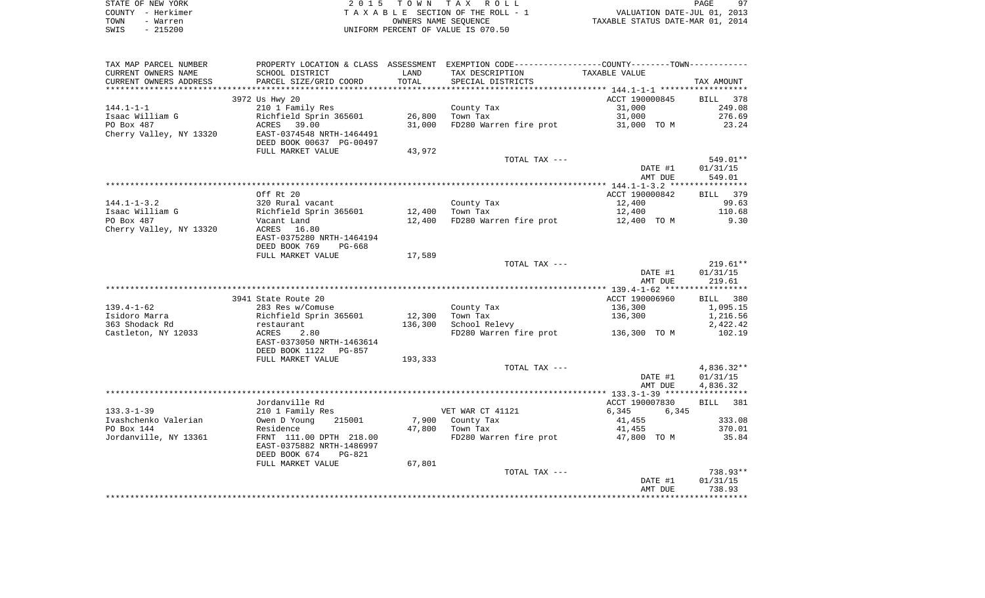|      | STATE OF NEW YORK | 2015 TOWN TAX ROLL                 | PAGE                             | -97 |
|------|-------------------|------------------------------------|----------------------------------|-----|
|      | COUNTY - Herkimer | TAXABLE SECTION OF THE ROLL - 1    | VALUATION DATE-JUL 01, 2013      |     |
| TOWN | - Warren          | OWNERS NAME SEOUENCE               | TAXABLE STATUS DATE-MAR 01, 2014 |     |
| SWIS | $-215200$         | UNIFORM PERCENT OF VALUE IS 070.50 |                                  |     |

 $97$ <br> $2013$ <br> $2014$ 

| TAX MAP PARCEL NUMBER   | PROPERTY LOCATION & CLASS ASSESSMENT EXEMPTION CODE---------------COUNTY-------TOWN---------- |         |                                     |                |              |
|-------------------------|-----------------------------------------------------------------------------------------------|---------|-------------------------------------|----------------|--------------|
| CURRENT OWNERS NAME     | SCHOOL DISTRICT                                                                               | LAND    | TAX DESCRIPTION                     | TAXABLE VALUE  |              |
| CURRENT OWNERS ADDRESS  | PARCEL SIZE/GRID COORD                                                                        | TOTAL   | SPECIAL DISTRICTS                   |                | TAX AMOUNT   |
|                         |                                                                                               |         |                                     |                |              |
|                         | 3972 Us Hwy 20                                                                                |         |                                     | ACCT 190000845 | BILL 378     |
| $144.1 - 1 - 1$         | 210 1 Family Res                                                                              |         | County Tax                          | 31,000         | 249.08       |
| Isaac William G         | Richfield Sprin 365601                                                                        | 26,800  | Town Tax                            | 31,000         | 276.69       |
| PO Box 487              | ACRES 39.00                                                                                   | 31,000  | FD280 Warren fire prot              | 31,000 TO M    | 23.24        |
| Cherry Valley, NY 13320 | EAST-0374548 NRTH-1464491                                                                     |         |                                     |                |              |
|                         | DEED BOOK 00637 PG-00497                                                                      |         |                                     |                |              |
|                         | FULL MARKET VALUE                                                                             | 43,972  |                                     |                |              |
|                         |                                                                                               |         | TOTAL TAX ---                       |                | 549.01**     |
|                         |                                                                                               |         |                                     | DATE #1        | 01/31/15     |
|                         |                                                                                               |         |                                     | AMT DUE        | 549.01       |
|                         |                                                                                               |         |                                     |                |              |
|                         | Off Rt 20                                                                                     |         |                                     | ACCT 190000842 | BILL 379     |
| $144.1 - 1 - 3.2$       | 320 Rural vacant                                                                              |         | County Tax                          | 12,400         | 99.63        |
| Isaac William G         | Richfield Sprin 365601                                                                        | 12,400  | Town Tax                            | 12,400         | 110.68       |
| PO Box 487              | Vacant Land                                                                                   | 12,400  | FD280 Warren fire prot              | 12,400 TO M    | 9.30         |
| Cherry Valley, NY 13320 | ACRES 16.80                                                                                   |         |                                     |                |              |
|                         | EAST-0375280 NRTH-1464194                                                                     |         |                                     |                |              |
|                         | DEED BOOK 769<br>PG-668                                                                       |         |                                     |                |              |
|                         | FULL MARKET VALUE                                                                             | 17,589  |                                     |                |              |
|                         |                                                                                               |         | TOTAL TAX ---                       |                | $219.61**$   |
|                         |                                                                                               |         |                                     | DATE #1        | 01/31/15     |
|                         |                                                                                               |         |                                     | AMT DUE        | 219.61       |
|                         |                                                                                               |         |                                     |                |              |
|                         | 3941 State Route 20                                                                           |         |                                     | ACCT 190006960 | BILL 380     |
| $139.4 - 1 - 62$        | 283 Res w/Comuse                                                                              |         | County Tax                          | 136,300        | 1,095.15     |
| Isidoro Marra           | Richfield Sprin 365601                                                                        | 12,300  | Town Tax                            | 136,300        | 1,216.56     |
| 363 Shodack Rd          | restaurant                                                                                    | 136,300 | School Relevy                       |                | 2,422.42     |
| Castleton, NY 12033     | ACRES<br>2.80                                                                                 |         | FD280 Warren fire prot 136,300 TO M |                | 102.19       |
|                         | EAST-0373050 NRTH-1463614                                                                     |         |                                     |                |              |
|                         | DEED BOOK 1122 PG-857                                                                         |         |                                     |                |              |
|                         | FULL MARKET VALUE                                                                             | 193,333 |                                     |                |              |
|                         |                                                                                               |         | TOTAL TAX ---                       |                | $4,836.32**$ |
|                         |                                                                                               |         |                                     | DATE #1        | 01/31/15     |
|                         |                                                                                               |         |                                     | AMT DUE        | 4,836.32     |
|                         |                                                                                               |         |                                     |                |              |
|                         | Jordanville Rd                                                                                |         |                                     | ACCT 190007830 | BILL 381     |
| $133.3 - 1 - 39$        | 210 1 Family Res                                                                              |         | VET WAR CT 41121                    | 6,345<br>6,345 |              |
| Ivashchenko Valerian    | Owen D Young<br>215001                                                                        |         | 7,900 County Tax                    | 41,455         | 333.08       |
| PO Box 144              | Residence                                                                                     |         | 47,800 Town Tax                     | 41,455         | 370.01       |
| Jordanville, NY 13361   | FRNT 111.00 DPTH 218.00                                                                       |         | FD280 Warren fire prot              | 47,800 TO M    | 35.84        |
|                         | EAST-0375882 NRTH-1486997                                                                     |         |                                     |                |              |
|                         | DEED BOOK 674<br>PG-821                                                                       |         |                                     |                |              |
|                         | FULL MARKET VALUE                                                                             | 67,801  |                                     |                |              |
|                         |                                                                                               |         | TOTAL TAX ---                       |                | 738.93**     |
|                         |                                                                                               |         |                                     | DATE #1        | 01/31/15     |
|                         |                                                                                               |         |                                     | AMT DUE        | 738.93       |
|                         |                                                                                               |         |                                     |                |              |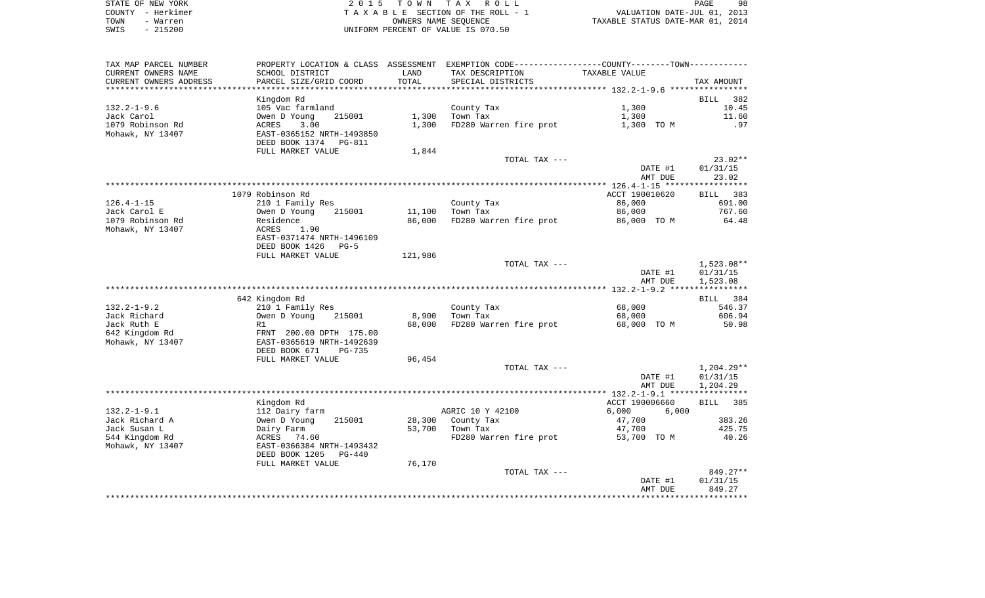| STATE OF NEW YORK | 2015 TOWN TAX ROLL                 | 98<br>PAGE                       |
|-------------------|------------------------------------|----------------------------------|
| COUNTY - Herkimer | TAXABLE SECTION OF THE ROLL - 1    | VALUATION DATE-JUL 01, 2013      |
| TOWN<br>- Warren  | OWNERS NAME SEOUENCE               | TAXABLE STATUS DATE-MAR 01, 2014 |
| $-215200$<br>SWIS | UNIFORM PERCENT OF VALUE IS 070.50 |                                  |

| TAX MAP PARCEL NUMBER          | PROPERTY LOCATION & CLASS ASSESSMENT EXEMPTION CODE---------------COUNTY-------TOWN---------- |           |                        |                       |                  |
|--------------------------------|-----------------------------------------------------------------------------------------------|-----------|------------------------|-----------------------|------------------|
| CURRENT OWNERS NAME            | SCHOOL DISTRICT                                                                               | LAND      | TAX DESCRIPTION        | TAXABLE VALUE         |                  |
| CURRENT OWNERS ADDRESS         | PARCEL SIZE/GRID COORD                                                                        | TOTAL     | SPECIAL DISTRICTS      |                       | TAX AMOUNT       |
|                                |                                                                                               | ********* |                        |                       |                  |
|                                | Kingdom Rd                                                                                    |           |                        |                       | BILL<br>382      |
| $132.2 - 1 - 9.6$              | 105 Vac farmland                                                                              |           | County Tax             | 1,300                 | 10.45            |
| Jack Carol                     | Owen D Young<br>215001                                                                        | 1,300     | Town Tax               | 1,300                 | 11.60            |
| 1079 Robinson Rd               | ACRES<br>3.00                                                                                 | 1,300     | FD280 Warren fire prot | 1,300 TO M            | .97              |
| Mohawk, NY 13407               | EAST-0365152 NRTH-1493850                                                                     |           |                        |                       |                  |
|                                | DEED BOOK 1374<br>PG-811                                                                      |           |                        |                       |                  |
|                                | FULL MARKET VALUE                                                                             | 1,844     | TOTAL TAX ---          |                       | $23.02**$        |
|                                |                                                                                               |           |                        | DATE #1               | 01/31/15         |
|                                |                                                                                               |           |                        | AMT DUE               | 23.02            |
|                                |                                                                                               |           |                        |                       | **********       |
|                                | 1079 Robinson Rd                                                                              |           |                        | ACCT 190010620        | BILL 383         |
| $126.4 - 1 - 15$               | 210 1 Family Res                                                                              |           | County Tax             | 86,000                | 691.00           |
| Jack Carol E                   | Owen D Young<br>215001                                                                        | 11,100    | Town Tax               | 86,000                | 767.60           |
| 1079 Robinson Rd               | Residence                                                                                     | 86,000    | FD280 Warren fire prot | 86,000 TO M           | 64.48            |
| Mohawk, NY 13407               | ACRES<br>1.90                                                                                 |           |                        |                       |                  |
|                                | EAST-0371474 NRTH-1496109                                                                     |           |                        |                       |                  |
|                                | DEED BOOK 1426<br>$PG-5$                                                                      |           |                        |                       |                  |
|                                | FULL MARKET VALUE                                                                             | 121,986   |                        |                       |                  |
|                                |                                                                                               |           | TOTAL TAX ---          |                       | $1,523.08**$     |
|                                |                                                                                               |           |                        | DATE #1               | 01/31/15         |
|                                |                                                                                               |           |                        | AMT DUE               | 1,523.08         |
|                                | 642 Kingdom Rd                                                                                |           |                        |                       | BILL 384         |
| $132.2 - 1 - 9.2$              | 210 1 Family Res                                                                              |           | County Tax             | 68,000                | 546.37           |
| Jack Richard                   | Owen D Young<br>215001                                                                        | 8,900     | Town Tax               | 68,000                | 606.94           |
| Jack Ruth E                    | R1                                                                                            | 68,000    | FD280 Warren fire prot | 68,000 TO M           | 50.98            |
| 642 Kingdom Rd                 | FRNT 200.00 DPTH 175.00                                                                       |           |                        |                       |                  |
| Mohawk, NY 13407               | EAST-0365619 NRTH-1492639                                                                     |           |                        |                       |                  |
|                                | DEED BOOK 671<br>$PG-735$                                                                     |           |                        |                       |                  |
|                                | FULL MARKET VALUE                                                                             | 96,454    |                        |                       |                  |
|                                |                                                                                               |           | TOTAL TAX ---          |                       | $1,204.29**$     |
|                                |                                                                                               |           |                        | DATE #1               | 01/31/15         |
|                                |                                                                                               |           |                        | AMT DUE               | 1,204.29         |
|                                |                                                                                               |           |                        |                       |                  |
|                                | Kingdom Rd                                                                                    |           |                        | ACCT 190006660        | BILL 385         |
| $132.2 - 1 - 9.1$              | 112 Dairy farm                                                                                |           | AGRIC 10 Y 42100       | 6,000<br>6,000        |                  |
| Jack Richard A                 | Owen D Young<br>215001                                                                        | 28,300    | County Tax<br>Town Tax | 47,700                | 383.26<br>425.75 |
| Jack Susan L<br>544 Kingdom Rd | Dairy Farm<br>ACRES 74.60                                                                     | 53,700    | FD280 Warren fire prot | 47,700<br>53,700 TO M | 40.26            |
| Mohawk, NY 13407               | EAST-0366384 NRTH-1493432                                                                     |           |                        |                       |                  |
|                                | DEED BOOK 1205<br>PG-440                                                                      |           |                        |                       |                  |
|                                | FULL MARKET VALUE                                                                             | 76,170    |                        |                       |                  |
|                                |                                                                                               |           | TOTAL TAX ---          |                       | 849.27**         |
|                                |                                                                                               |           |                        | DATE #1               | 01/31/15         |
|                                |                                                                                               |           |                        | AMT DUE               | 849.27           |
|                                |                                                                                               |           |                        |                       |                  |
|                                |                                                                                               |           |                        |                       |                  |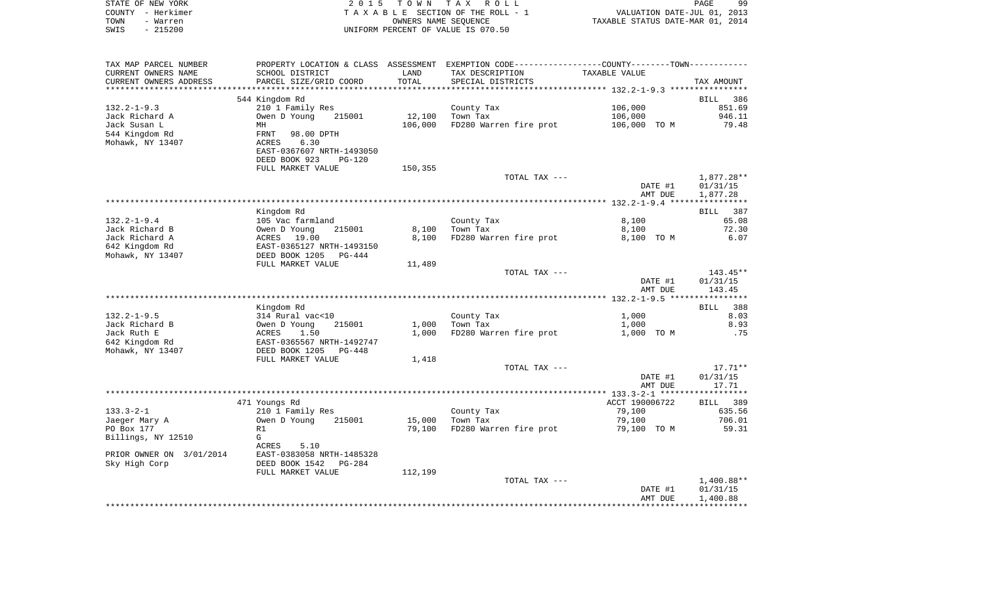|      | STATE OF NEW YORK | 2015 TOWN TAX ROLL                 |                                  | <b>PAGE</b> | 99 |
|------|-------------------|------------------------------------|----------------------------------|-------------|----|
|      | COUNTY - Herkimer | TAXABLE SECTION OF THE ROLL - 1    | VALUATION DATE-JUL 01, 2013      |             |    |
| TOWN | - Warren          | OWNERS NAME SEOUENCE               | TAXABLE STATUS DATE-MAR 01, 2014 |             |    |
| SWIS | $-215200$         | UNIFORM PERCENT OF VALUE IS 070.50 |                                  |             |    |
|      |                   |                                    |                                  |             |    |

| TAX MAP PARCEL NUMBER              | PROPERTY LOCATION & CLASS ASSESSMENT EXEMPTION CODE----------------COUNTY-------TOWN--------                       |         |                        |                    |                      |
|------------------------------------|--------------------------------------------------------------------------------------------------------------------|---------|------------------------|--------------------|----------------------|
| CURRENT OWNERS NAME                | SCHOOL DISTRICT                                                                                                    | LAND    | TAX DESCRIPTION        | TAXABLE VALUE      |                      |
| CURRENT OWNERS ADDRESS             | PARCEL SIZE/GRID COORD                                                                                             | TOTAL   | SPECIAL DISTRICTS      |                    | TAX AMOUNT           |
|                                    |                                                                                                                    |         |                        |                    |                      |
|                                    | 544 Kingdom Rd                                                                                                     |         |                        |                    | BILL 386             |
| $132.2 - 1 - 9.3$                  | 210 1 Family Res                                                                                                   |         | County Tax             | 106,000            | 851.69               |
| Jack Richard A                     | Owen D Young<br>215001                                                                                             | 12,100  | Town Tax               | 106,000            | 946.11               |
| Jack Susan L                       | MH                                                                                                                 | 106,000 | FD280 Warren fire prot | 106,000 TO M       | 79.48                |
| 544 Kingdom Rd<br>Mohawk, NY 13407 | FRNT<br>98.00 DPTH<br>ACRES<br>6.30<br>EAST-0367607 NRTH-1493050<br>DEED BOOK 923<br>$PG-120$<br>FULL MARKET VALUE | 150,355 |                        |                    |                      |
|                                    |                                                                                                                    |         | TOTAL TAX ---          |                    | 1,877.28**           |
|                                    |                                                                                                                    |         |                        | DATE #1<br>AMT DUE | 01/31/15<br>1,877.28 |
|                                    |                                                                                                                    |         |                        |                    |                      |
|                                    | Kingdom Rd                                                                                                         |         |                        |                    | 387<br>BILL          |
| $132.2 - 1 - 9.4$                  | 105 Vac farmland                                                                                                   |         | County Tax             | 8,100              | 65.08                |
| Jack Richard B                     | Owen D Young<br>215001                                                                                             | 8,100   | Town Tax               | 8,100              | 72.30                |
| Jack Richard A                     | ACRES 19.00                                                                                                        | 8,100   | FD280 Warren fire prot | 8,100 TO M         | 6.07                 |
| 642 Kingdom Rd                     | EAST-0365127 NRTH-1493150                                                                                          |         |                        |                    |                      |
| Mohawk, NY 13407                   | DEED BOOK 1205<br>PG-444                                                                                           |         |                        |                    |                      |
|                                    | FULL MARKET VALUE                                                                                                  | 11,489  | TOTAL TAX ---          |                    | 143.45**             |
|                                    |                                                                                                                    |         |                        | DATE #1            | 01/31/15             |
|                                    |                                                                                                                    |         |                        | AMT DUE            | 143.45               |
|                                    |                                                                                                                    |         |                        |                    |                      |
|                                    | Kingdom Rd                                                                                                         |         |                        |                    | <b>BILL</b><br>388   |
| $132.2 - 1 - 9.5$                  | 314 Rural vac<10                                                                                                   |         | County Tax             | 1,000              | 8.03                 |
| Jack Richard B                     | Owen D Young<br>215001                                                                                             | 1,000   | Town Tax               | 1,000              | 8.93                 |
| Jack Ruth E                        | ACRES<br>1.50                                                                                                      | 1,000   | FD280 Warren fire prot | 1,000 TO M         | .75                  |
| 642 Kingdom Rd                     | EAST-0365567 NRTH-1492747                                                                                          |         |                        |                    |                      |
| Mohawk, NY 13407                   | DEED BOOK 1205<br>PG-448                                                                                           |         |                        |                    |                      |
|                                    | FULL MARKET VALUE                                                                                                  | 1,418   |                        |                    |                      |
|                                    |                                                                                                                    |         | TOTAL TAX ---          |                    | $17.71**$            |
|                                    |                                                                                                                    |         |                        | DATE #1            | 01/31/15             |
|                                    |                                                                                                                    |         |                        | AMT DUE            | 17.71                |
|                                    |                                                                                                                    |         |                        |                    |                      |
|                                    | 471 Youngs Rd                                                                                                      |         |                        | ACCT 190006722     | BILL 389             |
| $133.3 - 2 - 1$                    | 210 1 Family Res                                                                                                   |         | County Tax             | 79,100             | 635.56               |
| Jaeger Mary A                      | Owen D Young<br>215001                                                                                             | 15,000  | Town Tax               | 79,100             | 706.01               |
| PO Box 177                         | R1<br>G                                                                                                            | 79,100  | FD280 Warren fire prot | 79,100 TO M        | 59.31                |
| Billings, NY 12510                 | ACRES<br>5.10                                                                                                      |         |                        |                    |                      |
| PRIOR OWNER ON 3/01/2014           | EAST-0383058 NRTH-1485328                                                                                          |         |                        |                    |                      |
| Sky High Corp                      | DEED BOOK 1542<br>$PG-284$                                                                                         |         |                        |                    |                      |
|                                    | FULL MARKET VALUE                                                                                                  | 112,199 |                        |                    |                      |
|                                    |                                                                                                                    |         | TOTAL TAX ---          |                    | $1,400.88**$         |
|                                    |                                                                                                                    |         |                        | DATE #1            | 01/31/15             |
|                                    |                                                                                                                    |         |                        | AMT DUE            | 1,400.88             |
|                                    |                                                                                                                    |         |                        |                    |                      |
|                                    |                                                                                                                    |         |                        |                    |                      |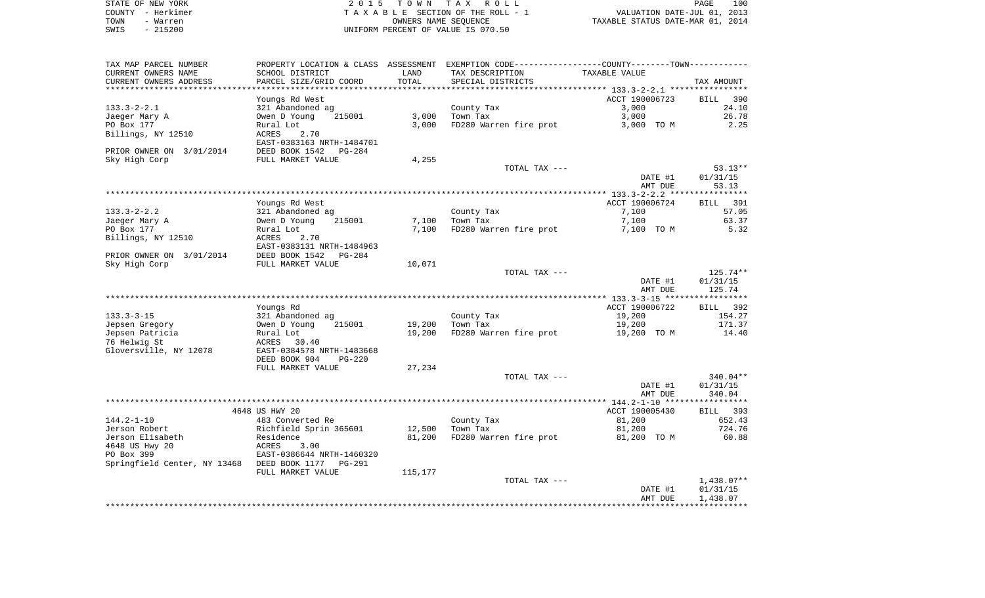|      | STATE OF NEW YORK | 2015 TOWN TAX ROLL                 | 100<br>PAGE                      |
|------|-------------------|------------------------------------|----------------------------------|
|      | COUNTY – Herkimer | TAXABLE SECTION OF THE ROLL - 1    | VALUATION DATE-JUL 01, 2013      |
| TOWN | - Warren          | OWNERS NAME SEOUENCE               | TAXABLE STATUS DATE-MAR 01, 2014 |
| SWIS | - 215200          | UNIFORM PERCENT OF VALUE IS 070.50 |                                  |

| TAX MAP PARCEL NUMBER                       | PROPERTY LOCATION & CLASS  | ASSESSMENT | EXEMPTION CODE-----------------COUNTY-------TOWN----------- |                |              |
|---------------------------------------------|----------------------------|------------|-------------------------------------------------------------|----------------|--------------|
| CURRENT OWNERS NAME                         | SCHOOL DISTRICT            | LAND       | TAX DESCRIPTION                                             | TAXABLE VALUE  |              |
| CURRENT OWNERS ADDRESS                      | PARCEL SIZE/GRID COORD     | TOTAL      | SPECIAL DISTRICTS                                           |                | TAX AMOUNT   |
|                                             |                            |            |                                                             |                |              |
|                                             | Youngs Rd West             |            |                                                             | ACCT 190006723 | BILL<br>390  |
| $133.3 - 2 - 2.1$                           | 321 Abandoned ag           |            | County Tax                                                  | 3,000          | 24.10        |
| Jaeger Mary A                               | Owen D Young<br>215001     | 3,000      | Town Tax                                                    | 3,000          | 26.78        |
| PO Box 177                                  | Rural Lot                  | 3,000      | FD280 Warren fire prot                                      | 3,000 TO M     | 2.25         |
| Billings, NY 12510                          | <b>ACRES</b><br>2.70       |            |                                                             |                |              |
|                                             | EAST-0383163 NRTH-1484701  |            |                                                             |                |              |
| PRIOR OWNER ON 3/01/2014                    | DEED BOOK 1542<br>$PG-284$ |            |                                                             |                |              |
| Sky High Corp                               | FULL MARKET VALUE          | 4,255      |                                                             |                |              |
|                                             |                            |            | TOTAL TAX ---                                               |                | $53.13**$    |
|                                             |                            |            |                                                             | DATE #1        | 01/31/15     |
|                                             |                            |            |                                                             |                |              |
|                                             |                            |            |                                                             | AMT DUE        | 53.13        |
|                                             |                            |            |                                                             | ACCT 190006724 | 391          |
|                                             | Youngs Rd West             |            |                                                             |                | <b>BILL</b>  |
| $133.3 - 2 - 2.2$                           | 321 Abandoned ag           |            | County Tax                                                  | 7,100          | 57.05        |
| Jaeger Mary A                               | Owen D Young<br>215001     | 7,100      | Town Tax                                                    | 7,100          | 63.37        |
| PO Box 177                                  | Rural Lot                  | 7,100      | FD280 Warren fire prot                                      | 7,100 TO M     | 5.32         |
| Billings, NY 12510                          | ACRES<br>2.70              |            |                                                             |                |              |
|                                             | EAST-0383131 NRTH-1484963  |            |                                                             |                |              |
| PRIOR OWNER ON 3/01/2014                    | DEED BOOK 1542<br>$PG-284$ |            |                                                             |                |              |
| Sky High Corp                               | FULL MARKET VALUE          | 10,071     |                                                             |                |              |
|                                             |                            |            | TOTAL TAX ---                                               |                | 125.74**     |
|                                             |                            |            |                                                             | DATE #1        | 01/31/15     |
|                                             |                            |            |                                                             | AMT DUE        | 125.74       |
|                                             |                            |            |                                                             |                |              |
|                                             | Youngs Rd                  |            |                                                             | ACCT 190006722 | 392<br>BILL  |
| $133.3 - 3 - 15$                            | 321 Abandoned ag           |            | County Tax                                                  | 19,200         | 154.27       |
| Jepsen Gregory                              | Owen D Young<br>215001     | 19,200     | Town Tax                                                    | 19,200         | 171.37       |
| Jepsen Patricia                             | Rural Lot                  | 19,200     | FD280 Warren fire prot                                      | 19,200 TO M    | 14.40        |
| 76 Helwig St                                | ACRES<br>30.40             |            |                                                             |                |              |
| Gloversville, NY 12078                      | EAST-0384578 NRTH-1483668  |            |                                                             |                |              |
|                                             | DEED BOOK 904<br>$PG-220$  |            |                                                             |                |              |
|                                             | FULL MARKET VALUE          | 27,234     |                                                             |                |              |
|                                             |                            |            | TOTAL TAX ---                                               |                | $340.04**$   |
|                                             |                            |            |                                                             | DATE #1        | 01/31/15     |
|                                             |                            |            |                                                             | AMT DUE        | 340.04       |
|                                             |                            |            |                                                             |                |              |
|                                             | 4648 US HWY 20             |            |                                                             | ACCT 190005430 | 393<br>BILL  |
| $144.2 - 1 - 10$                            | 483 Converted Re           |            | County Tax                                                  | 81,200         | 652.43       |
| Jerson Robert                               | Richfield Sprin 365601     | 12,500     | Town Tax                                                    | 81,200         | 724.76       |
| Jerson Elisabeth                            | Residence                  | 81,200     | FD280 Warren fire prot                                      | 81,200 TO M    | 60.88        |
| 4648 US Hwy 20                              | ACRES<br>3.00              |            |                                                             |                |              |
| PO Box 399                                  | EAST-0386644 NRTH-1460320  |            |                                                             |                |              |
| Springfield Center, NY 13468 DEED BOOK 1177 | <b>PG-291</b>              |            |                                                             |                |              |
|                                             |                            |            |                                                             |                |              |
|                                             | FULL MARKET VALUE          | 115,177    |                                                             |                |              |
|                                             |                            |            | TOTAL TAX ---                                               |                | $1,438.07**$ |
|                                             |                            |            |                                                             | DATE #1        | 01/31/15     |
|                                             |                            |            |                                                             | AMT DUE        | 1,438.07     |
|                                             |                            |            |                                                             |                |              |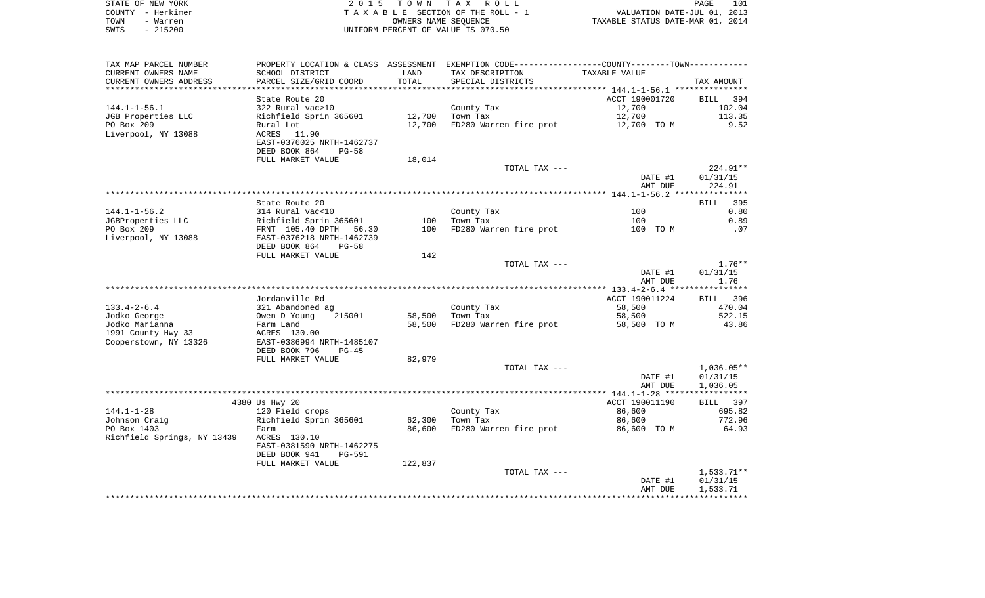| STATE OF NEW YORK | 2015 TOWN TAX ROLL                 | 101<br>PAGE                      |
|-------------------|------------------------------------|----------------------------------|
| COUNTY - Herkimer | TAXABLE SECTION OF THE ROLL - 1    | VALUATION DATE-JUL 01, 2013      |
| TOWN<br>- Warren  | OWNERS NAME SEOUENCE               | TAXABLE STATUS DATE-MAR 01, 2014 |
| SWIS<br>- 215200  | UNIFORM PERCENT OF VALUE IS 070.50 |                                  |

| TAX MAP PARCEL NUMBER       | PROPERTY LOCATION & CLASS ASSESSMENT EXEMPTION CODE---------------COUNTY-------TOWN---------- |         |                        |                                               |                  |
|-----------------------------|-----------------------------------------------------------------------------------------------|---------|------------------------|-----------------------------------------------|------------------|
| CURRENT OWNERS NAME         | SCHOOL DISTRICT                                                                               | LAND    | TAX DESCRIPTION        | TAXABLE VALUE                                 |                  |
| CURRENT OWNERS ADDRESS      | PARCEL SIZE/GRID COORD                                                                        | TOTAL   | SPECIAL DISTRICTS      |                                               | TAX AMOUNT       |
| **********************      |                                                                                               |         |                        |                                               |                  |
|                             | State Route 20                                                                                |         |                        | ACCT 190001720                                | BILL<br>394      |
| $144.1 - 1 - 56.1$          | 322 Rural vac>10                                                                              |         | County Tax             | 12,700                                        | 102.04           |
| JGB Properties LLC          | Richfield Sprin 365601                                                                        | 12,700  | Town Tax               | 12,700                                        | 113.35           |
| PO Box 209                  | Rural Lot                                                                                     | 12,700  | FD280 Warren fire prot | 12,700 TO M                                   | 9.52             |
| Liverpool, NY 13088         | ACRES<br>11.90                                                                                |         |                        |                                               |                  |
|                             | EAST-0376025 NRTH-1462737                                                                     |         |                        |                                               |                  |
|                             | DEED BOOK 864<br>$PG-58$                                                                      |         |                        |                                               |                  |
|                             | FULL MARKET VALUE                                                                             | 18,014  |                        |                                               |                  |
|                             |                                                                                               |         | TOTAL TAX ---          |                                               | 224.91**         |
|                             |                                                                                               |         |                        | DATE #1                                       | 01/31/15         |
|                             |                                                                                               |         |                        | AMT DUE                                       | 224.91           |
|                             |                                                                                               |         |                        |                                               |                  |
|                             | State Route 20                                                                                |         |                        |                                               | BILL 395         |
| $144.1 - 1 - 56.2$          | 314 Rural vac<10                                                                              |         | County Tax             | 100                                           | 0.80             |
| JGBProperties LLC           | Richfield Sprin 365601                                                                        | 100     | Town Tax               | 100                                           | 0.89             |
| PO Box 209                  | FRNT 105.40 DPTH<br>56.30                                                                     | 100     | FD280 Warren fire prot | 100 TO M                                      | .07              |
| Liverpool, NY 13088         | EAST-0376218 NRTH-1462739                                                                     |         |                        |                                               |                  |
|                             | DEED BOOK 864<br>$PG-58$                                                                      |         |                        |                                               |                  |
|                             | FULL MARKET VALUE                                                                             | 142     |                        |                                               |                  |
|                             |                                                                                               |         | TOTAL TAX ---          |                                               | $1.76**$         |
|                             |                                                                                               |         |                        | DATE #1<br>AMT DUE                            | 01/31/15<br>1.76 |
|                             |                                                                                               |         |                        | *************** 133.4-2-6.4 ***************** |                  |
|                             | Jordanville Rd                                                                                |         |                        | ACCT 190011224                                | BILL 396         |
| $133.4 - 2 - 6.4$           | 321 Abandoned ag                                                                              |         | County Tax             | 58,500                                        | 470.04           |
| Jodko George                | Owen D Young<br>215001                                                                        | 58,500  | Town Tax               | 58,500                                        | 522.15           |
| Jodko Marianna              | Farm Land                                                                                     | 58,500  | FD280 Warren fire prot | 58,500 TO M                                   | 43.86            |
| 1991 County Hwy 33          | ACRES 130.00                                                                                  |         |                        |                                               |                  |
| Cooperstown, NY 13326       | EAST-0386994 NRTH-1485107                                                                     |         |                        |                                               |                  |
|                             | DEED BOOK 796<br>$PG-45$                                                                      |         |                        |                                               |                  |
|                             | FULL MARKET VALUE                                                                             | 82,979  |                        |                                               |                  |
|                             |                                                                                               |         | TOTAL TAX ---          |                                               | $1,036.05**$     |
|                             |                                                                                               |         |                        | DATE #1                                       | 01/31/15         |
|                             |                                                                                               |         |                        | AMT DUE                                       | 1,036.05         |
|                             |                                                                                               |         |                        |                                               |                  |
|                             | 4380 Us Hwy 20                                                                                |         |                        | ACCT 190011190                                | BILL 397         |
| $144.1 - 1 - 28$            | 120 Field crops                                                                               |         | County Tax             | 86,600                                        | 695.82           |
| Johnson Craig               | Richfield Sprin 365601                                                                        | 62,300  | Town Tax               | 86,600                                        | 772.96           |
| PO Box 1403                 | Farm                                                                                          | 86,600  | FD280 Warren fire prot | 86,600 TO M                                   | 64.93            |
| Richfield Springs, NY 13439 | ACRES 130.10                                                                                  |         |                        |                                               |                  |
|                             | EAST-0381590 NRTH-1462275                                                                     |         |                        |                                               |                  |
|                             | DEED BOOK 941<br><b>PG-591</b>                                                                |         |                        |                                               |                  |
|                             | FULL MARKET VALUE                                                                             | 122,837 |                        |                                               |                  |
|                             |                                                                                               |         | TOTAL TAX ---          |                                               | $1,533.71**$     |
|                             |                                                                                               |         |                        | DATE #1                                       | 01/31/15         |
|                             |                                                                                               |         |                        | AMT DUE                                       | 1,533.71         |
|                             |                                                                                               |         |                        |                                               |                  |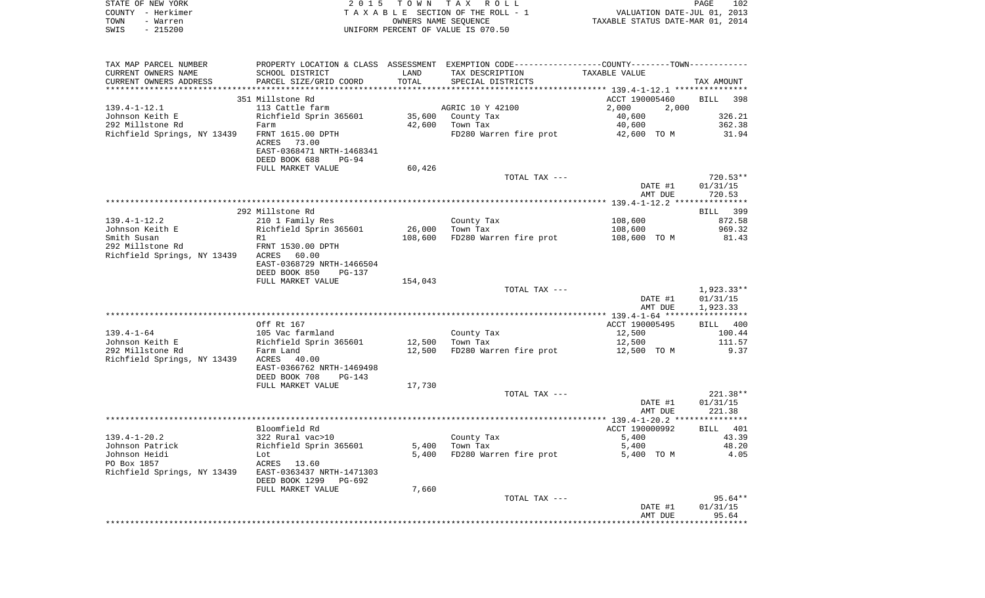| STATE OF NEW YORK<br>COUNTY - Herkimer<br>TOWN<br>- Warren<br>$-215200$<br>SWIS | 2 0 1 5                                                                       | T O W N<br>OWNERS NAME SEQUENCE | TAX ROLL<br>TAXABLE SECTION OF THE ROLL - 1<br>UNIFORM PERCENT OF VALUE IS 070.50             | VALUATION DATE-JUL 01, 2013<br>TAXABLE STATUS DATE-MAR 01, 2014 | PAGE<br>102                    |
|---------------------------------------------------------------------------------|-------------------------------------------------------------------------------|---------------------------------|-----------------------------------------------------------------------------------------------|-----------------------------------------------------------------|--------------------------------|
| TAX MAP PARCEL NUMBER                                                           |                                                                               |                                 | PROPERTY LOCATION & CLASS ASSESSMENT EXEMPTION CODE---------------COUNTY-------TOWN---------- |                                                                 |                                |
| CURRENT OWNERS NAME                                                             | SCHOOL DISTRICT                                                               | LAND                            | TAX DESCRIPTION                                                                               | TAXABLE VALUE                                                   |                                |
| CURRENT OWNERS ADDRESS<br>************************                              | PARCEL SIZE/GRID COORD                                                        | TOTAL                           | SPECIAL DISTRICTS                                                                             |                                                                 | TAX AMOUNT                     |
|                                                                                 | 351 Millstone Rd                                                              |                                 |                                                                                               | ACCT 190005460                                                  | <b>BILL</b><br>398             |
| $139.4 - 1 - 12.1$                                                              | 113 Cattle farm                                                               |                                 | AGRIC 10 Y 42100                                                                              | 2,000<br>2,000                                                  |                                |
| Johnson Keith E                                                                 | Richfield Sprin 365601                                                        | 35,600                          | County Tax                                                                                    | 40,600                                                          | 326.21                         |
| 292 Millstone Rd                                                                | Farm                                                                          | 42,600                          | Town Tax                                                                                      | 40,600                                                          | 362.38                         |
| Richfield Springs, NY 13439                                                     | FRNT 1615.00 DPTH<br>ACRES<br>73.00<br>EAST-0368471 NRTH-1468341              |                                 | FD280 Warren fire prot                                                                        | 42,600 TO M                                                     | 31.94                          |
|                                                                                 | DEED BOOK 688<br>PG-94<br>FULL MARKET VALUE                                   | 60,426                          |                                                                                               |                                                                 |                                |
|                                                                                 |                                                                               |                                 | TOTAL TAX ---                                                                                 |                                                                 | $720.53**$                     |
|                                                                                 |                                                                               |                                 |                                                                                               | DATE #1<br>AMT DUE                                              | 01/31/15<br>720.53             |
|                                                                                 |                                                                               |                                 |                                                                                               |                                                                 |                                |
|                                                                                 | 292 Millstone Rd                                                              |                                 |                                                                                               |                                                                 | BILL 399                       |
| $139.4 - 1 - 12.2$<br>Johnson Keith E                                           | 210 1 Family Res<br>Richfield Sprin 365601                                    | 26,000                          | County Tax<br>Town Tax                                                                        | 108,600<br>108,600                                              | 872.58<br>969.32               |
| Smith Susan                                                                     | R1                                                                            | 108,600                         | FD280 Warren fire prot                                                                        | 108,600 TO M                                                    | 81.43                          |
| 292 Millstone Rd                                                                | FRNT 1530.00 DPTH                                                             |                                 |                                                                                               |                                                                 |                                |
| Richfield Springs, NY 13439                                                     | ACRES<br>60.00<br>EAST-0368729 NRTH-1466504<br>DEED BOOK 850<br><b>PG-137</b> |                                 |                                                                                               |                                                                 |                                |
|                                                                                 | FULL MARKET VALUE                                                             | 154,043                         |                                                                                               |                                                                 |                                |
|                                                                                 |                                                                               |                                 | TOTAL TAX ---                                                                                 |                                                                 | 1,923.33**                     |
|                                                                                 |                                                                               |                                 |                                                                                               | DATE #1<br>AMT DUE                                              | 01/31/15<br>1,923.33           |
|                                                                                 | Off Rt 167                                                                    |                                 |                                                                                               | ACCT 190005495                                                  | BILL 400                       |
| $139.4 - 1 - 64$                                                                | 105 Vac farmland                                                              |                                 | County Tax                                                                                    | 12,500                                                          | 100.44                         |
| Johnson Keith E                                                                 | Richfield Sprin 365601                                                        | 12,500                          | Town Tax                                                                                      | 12,500                                                          | 111.57                         |
| 292 Millstone Rd<br>Richfield Springs, NY 13439                                 | Farm Land<br>ACRES<br>40.00<br>EAST-0366762 NRTH-1469498                      | 12,500                          | FD280 Warren fire prot                                                                        | 12,500 TO M                                                     | 9.37                           |
|                                                                                 | DEED BOOK 708<br>PG-143<br>FULL MARKET VALUE                                  | 17,730                          |                                                                                               |                                                                 |                                |
|                                                                                 |                                                                               |                                 | TOTAL TAX ---                                                                                 | DATE #1                                                         | $221.38**$<br>01/31/15         |
|                                                                                 |                                                                               |                                 |                                                                                               | AMT DUE                                                         | 221.38                         |
|                                                                                 | Bloomfield Rd                                                                 |                                 |                                                                                               | ACCT 190000992                                                  | 401<br>BILL                    |
| $139.4 - 1 - 20.2$                                                              | 322 Rural vac>10                                                              |                                 | County Tax                                                                                    | 5,400                                                           | 43.39                          |
| Johnson Patrick                                                                 | Richfield Sprin 365601                                                        | 5,400                           | Town Tax                                                                                      | 5,400                                                           | 48.20                          |
| Johnson Heidi                                                                   | Lot                                                                           | 5,400                           | FD280 Warren fire prot                                                                        | 5,400 TO M                                                      | 4.05                           |
| PO Box 1857<br>Richfield Springs, NY 13439                                      | 13.60<br>ACRES<br>EAST-0363437 NRTH-1471303<br>DEED BOOK 1299 PG-692          |                                 |                                                                                               |                                                                 |                                |
|                                                                                 | FULL MARKET VALUE                                                             | 7,660                           |                                                                                               |                                                                 |                                |
|                                                                                 |                                                                               |                                 | TOTAL TAX ---                                                                                 | DATE #1<br>AMT DUE                                              | $95.64**$<br>01/31/15<br>95.64 |
|                                                                                 |                                                                               |                                 |                                                                                               |                                                                 |                                |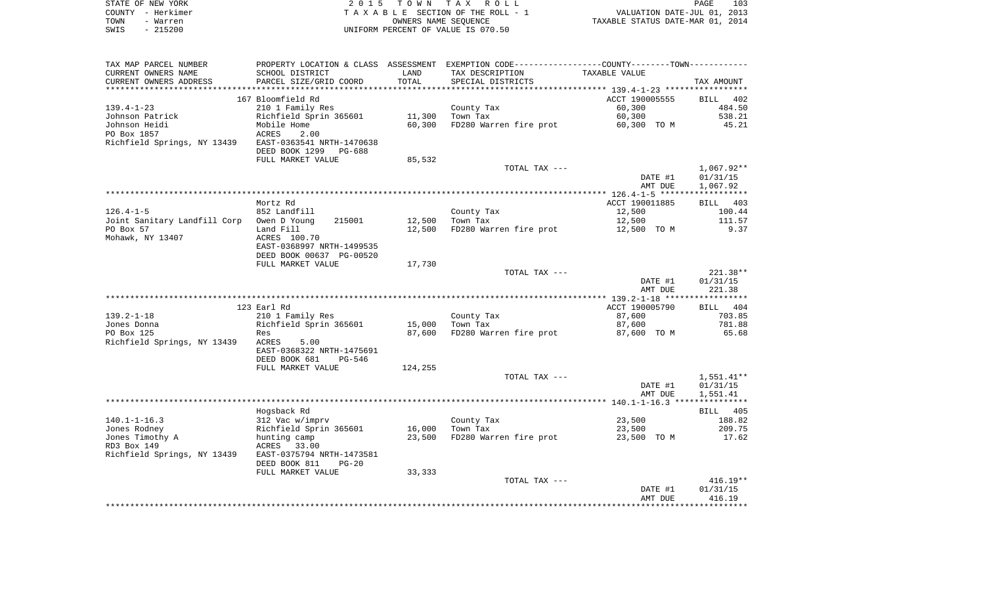|      | STATE OF NEW YORK | 2015 TOWN TAX ROLL                 | PAGE                             | 103 |
|------|-------------------|------------------------------------|----------------------------------|-----|
|      | COUNTY - Herkimer | TAXABLE SECTION OF THE ROLL - 1    | VALUATION DATE-JUL 01, 2013      |     |
| TOWN | - Warren          | OWNERS NAME SEOUENCE               | TAXABLE STATUS DATE-MAR 01, 2014 |     |
| SWIS | $-215200$         | UNIFORM PERCENT OF VALUE IS 070.50 |                                  |     |

| TAX MAP PARCEL NUMBER                     | PROPERTY LOCATION & CLASS ASSESSMENT EXEMPTION CODE----------------COUNTY-------TOWN--------- |         |                        |                |              |
|-------------------------------------------|-----------------------------------------------------------------------------------------------|---------|------------------------|----------------|--------------|
| CURRENT OWNERS NAME                       | SCHOOL DISTRICT                                                                               | LAND    | TAX DESCRIPTION        | TAXABLE VALUE  |              |
| CURRENT OWNERS ADDRESS                    | PARCEL SIZE/GRID COORD                                                                        | TOTAL   | SPECIAL DISTRICTS      |                | TAX AMOUNT   |
|                                           |                                                                                               |         |                        |                |              |
|                                           | 167 Bloomfield Rd                                                                             |         |                        | ACCT 190005555 | BILL 402     |
| $139.4 - 1 - 23$                          | 210 1 Family Res                                                                              |         | County Tax             | 60,300         | 484.50       |
| Johnson Patrick                           | Richfield Sprin 365601                                                                        | 11,300  | Town Tax               | 60,300         | 538.21       |
| Johnson Heidi                             | Mobile Home                                                                                   | 60,300  | FD280 Warren fire prot | 60,300 TO M    | 45.21        |
| PO Box 1857                               | ACRES<br>2.00                                                                                 |         |                        |                |              |
| Richfield Springs, NY 13439               | EAST-0363541 NRTH-1470638                                                                     |         |                        |                |              |
|                                           | DEED BOOK 1299 PG-688                                                                         |         |                        |                |              |
|                                           | FULL MARKET VALUE                                                                             | 85,532  |                        |                |              |
|                                           |                                                                                               |         |                        |                |              |
|                                           |                                                                                               |         | TOTAL TAX ---          |                | 1,067.92**   |
|                                           |                                                                                               |         |                        | DATE #1        | 01/31/15     |
|                                           |                                                                                               |         |                        | AMT DUE        | 1,067.92     |
|                                           |                                                                                               |         |                        |                |              |
|                                           | Mortz Rd                                                                                      |         |                        | ACCT 190011885 | BILL 403     |
| $126.4 - 1 - 5$                           | 852 Landfill                                                                                  |         | County Tax             | 12,500         | 100.44       |
| Joint Sanitary Landfill Corp Owen D Young | 215001                                                                                        | 12,500  | Town Tax               | 12,500         | 111.57       |
| PO Box 57                                 | Land Fill                                                                                     | 12,500  | FD280 Warren fire prot | 12,500 TO M    | 9.37         |
| Mohawk, NY 13407                          | ACRES 100.70                                                                                  |         |                        |                |              |
|                                           | EAST-0368997 NRTH-1499535                                                                     |         |                        |                |              |
|                                           | DEED BOOK 00637 PG-00520                                                                      |         |                        |                |              |
|                                           | FULL MARKET VALUE                                                                             | 17,730  |                        |                |              |
|                                           |                                                                                               |         | TOTAL TAX ---          |                | $221.38**$   |
|                                           |                                                                                               |         |                        | DATE #1        | 01/31/15     |
|                                           |                                                                                               |         |                        | AMT DUE        | 221.38       |
|                                           |                                                                                               |         |                        |                |              |
|                                           |                                                                                               |         |                        |                |              |
|                                           |                                                                                               |         |                        |                |              |
|                                           | 123 Earl Rd                                                                                   |         |                        | ACCT 190005790 | BILL 404     |
| $139.2 - 1 - 18$                          | 210 1 Family Res                                                                              |         | County Tax             | 87,600         | 703.85       |
| Jones Donna                               | Richfield Sprin 365601                                                                        | 15,000  | Town Tax               | 87,600         | 781.88       |
| PO Box 125                                | Res                                                                                           | 87,600  | FD280 Warren fire prot | 87,600 TO M    | 65.68        |
| Richfield Springs, NY 13439               | ACRES<br>5.00                                                                                 |         |                        |                |              |
|                                           | EAST-0368322 NRTH-1475691                                                                     |         |                        |                |              |
|                                           | DEED BOOK 681<br>PG-546                                                                       |         |                        |                |              |
|                                           | FULL MARKET VALUE                                                                             | 124,255 |                        |                |              |
|                                           |                                                                                               |         | TOTAL TAX ---          |                | $1,551.41**$ |
|                                           |                                                                                               |         |                        | DATE #1        | 01/31/15     |
|                                           |                                                                                               |         |                        | AMT DUE        | 1,551.41     |
|                                           |                                                                                               |         |                        |                |              |
|                                           | Hogsback Rd                                                                                   |         |                        |                | BILL 405     |
| $140.1 - 1 - 16.3$                        | 312 Vac w/imprv                                                                               |         |                        | 23,500         | 188.82       |
|                                           |                                                                                               |         | County Tax             |                |              |
| Jones Rodney                              | Richfield Sprin 365601                                                                        | 16,000  | Town Tax               | 23,500         | 209.75       |
| Jones Timothy A                           | hunting camp                                                                                  | 23,500  | FD280 Warren fire prot | 23,500 TO M    | 17.62        |
| RD3 Box 149                               | ACRES<br>33.00                                                                                |         |                        |                |              |
| Richfield Springs, NY 13439               | EAST-0375794 NRTH-1473581                                                                     |         |                        |                |              |
|                                           | DEED BOOK 811<br>$PG-20$                                                                      |         |                        |                |              |
|                                           | FULL MARKET VALUE                                                                             | 33,333  |                        |                |              |
|                                           |                                                                                               |         | TOTAL TAX ---          |                | $416.19**$   |
|                                           |                                                                                               |         |                        | DATE #1        | 01/31/15     |
|                                           |                                                                                               |         |                        | AMT DUE        | 416.19       |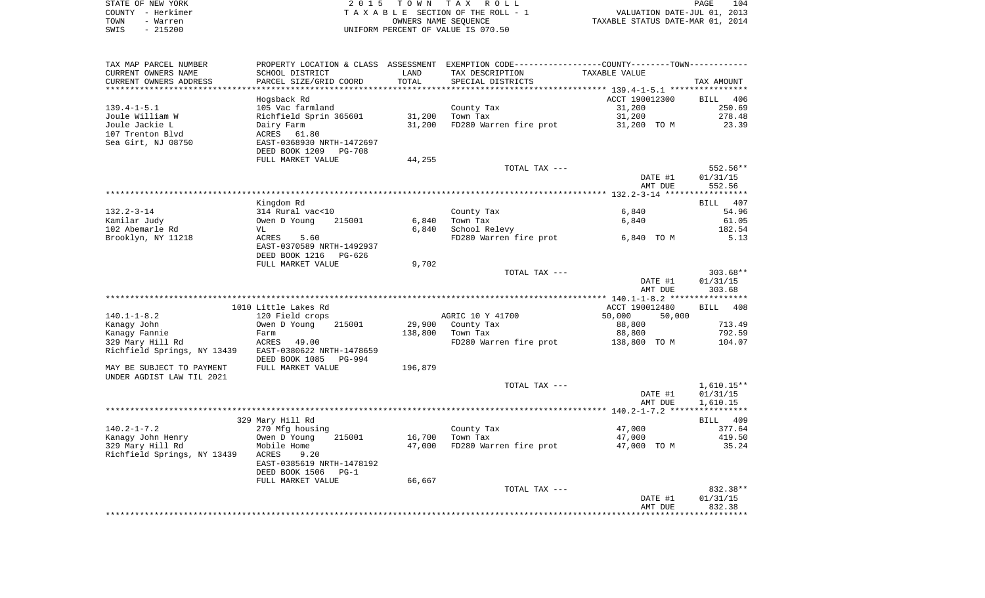| STATE OF NEW YORK | 2015 TOWN TAX ROLL                 | 104<br><b>PAGE</b>               |
|-------------------|------------------------------------|----------------------------------|
| COUNTY - Herkimer | TAXABLE SECTION OF THE ROLL - 1    | VALUATION DATE-JUL 01, 2013      |
| TOWN<br>- Warren  | OWNERS NAME SEOUENCE               | TAXABLE STATUS DATE-MAR 01, 2014 |
| $-215200$<br>SWIS | UNIFORM PERCENT OF VALUE IS 070.50 |                                  |

| TAX MAP PARCEL NUMBER                         |                                                  |         | PROPERTY LOCATION & CLASS ASSESSMENT EXEMPTION CODE---------------COUNTY-------TOWN---------- |                  |              |
|-----------------------------------------------|--------------------------------------------------|---------|-----------------------------------------------------------------------------------------------|------------------|--------------|
| CURRENT OWNERS NAME                           | SCHOOL DISTRICT                                  | LAND    | TAX DESCRIPTION                                                                               | TAXABLE VALUE    |              |
| CURRENT OWNERS ADDRESS<br>******************* | PARCEL SIZE/GRID COORD<br>********************** | TOTAL   | SPECIAL DISTRICTS                                                                             |                  | TAX AMOUNT   |
|                                               | Hogsback Rd                                      |         |                                                                                               | ACCT 190012300   | BILL 406     |
| $139.4 - 1 - 5.1$                             | 105 Vac farmland                                 |         | County Tax                                                                                    | 31,200           | 250.69       |
| Joule William W                               | Richfield Sprin 365601                           | 31,200  | Town Tax                                                                                      | 31,200           | 278.48       |
| Joule Jackie L                                | Dairy Farm                                       | 31,200  | FD280 Warren fire prot                                                                        | 31,200 TO M      | 23.39        |
| 107 Trenton Blvd                              | ACRES<br>61.80                                   |         |                                                                                               |                  |              |
| Sea Girt, NJ 08750                            | EAST-0368930 NRTH-1472697                        |         |                                                                                               |                  |              |
|                                               | DEED BOOK 1209<br>PG-708                         |         |                                                                                               |                  |              |
|                                               | FULL MARKET VALUE                                | 44,255  |                                                                                               |                  |              |
|                                               |                                                  |         | TOTAL TAX ---                                                                                 |                  | 552.56**     |
|                                               |                                                  |         |                                                                                               | DATE #1          | 01/31/15     |
|                                               |                                                  |         |                                                                                               | AMT DUE          | 552.56       |
|                                               |                                                  |         |                                                                                               |                  |              |
|                                               | Kingdom Rd                                       |         |                                                                                               |                  | BILL 407     |
| $132.2 - 3 - 14$                              | 314 Rural vac<10                                 |         | County Tax                                                                                    | 6,840            | 54.96        |
| Kamilar Judy                                  | Owen D Young<br>215001                           | 6,840   | Town Tax                                                                                      | 6,840            | 61.05        |
| 102 Abemarle Rd                               | VL                                               | 6,840   | School Relevy                                                                                 |                  | 182.54       |
| Brooklyn, NY 11218                            | ACRES<br>5.60                                    |         | FD280 Warren fire prot                                                                        | 6,840 TO M       | 5.13         |
|                                               | EAST-0370589 NRTH-1492937                        |         |                                                                                               |                  |              |
|                                               | DEED BOOK 1216<br>PG-626                         |         |                                                                                               |                  |              |
|                                               | FULL MARKET VALUE                                | 9,702   |                                                                                               |                  |              |
|                                               |                                                  |         | TOTAL TAX ---                                                                                 |                  | $303.68**$   |
|                                               |                                                  |         |                                                                                               | DATE #1          | 01/31/15     |
|                                               |                                                  |         |                                                                                               | AMT DUE          | 303.68       |
|                                               | 1010 Little Lakes Rd                             |         |                                                                                               | ACCT 190012480   | BILL 408     |
| $140.1 - 1 - 8.2$                             | 120 Field crops                                  |         | AGRIC 10 Y 41700                                                                              | 50,000<br>50,000 |              |
| Kanagy John                                   | Owen D Young<br>215001                           | 29,900  | County Tax                                                                                    | 88,800           | 713.49       |
| Kanagy Fannie                                 | Farm                                             | 138,800 | Town Tax                                                                                      | 88,800           | 792.59       |
| 329 Mary Hill Rd                              | ACRES<br>49.00                                   |         | FD280 Warren fire prot                                                                        | 138,800 TO M     | 104.07       |
| Richfield Springs, NY 13439                   | EAST-0380622 NRTH-1478659                        |         |                                                                                               |                  |              |
|                                               | DEED BOOK 1085<br><b>PG-994</b>                  |         |                                                                                               |                  |              |
| MAY BE SUBJECT TO PAYMENT                     | FULL MARKET VALUE                                | 196,879 |                                                                                               |                  |              |
| UNDER AGDIST LAW TIL 2021                     |                                                  |         |                                                                                               |                  |              |
|                                               |                                                  |         | TOTAL TAX ---                                                                                 |                  | $1,610.15**$ |
|                                               |                                                  |         |                                                                                               | DATE #1          | 01/31/15     |
|                                               |                                                  |         |                                                                                               | AMT DUE          | 1,610.15     |
|                                               |                                                  |         |                                                                                               |                  |              |
|                                               | 329 Mary Hill Rd                                 |         |                                                                                               |                  | BILL 409     |
| $140.2 - 1 - 7.2$                             | 270 Mfg housing                                  |         | County Tax                                                                                    | 47,000           | 377.64       |
| Kanagy John Henry                             | Owen D Young<br>215001                           | 16,700  | Town Tax                                                                                      | 47,000           | 419.50       |
| 329 Mary Hill Rd                              | Mobile Home                                      | 47,000  | FD280 Warren fire prot                                                                        | 47,000 TO M      | 35.24        |
| Richfield Springs, NY 13439                   | ACRES<br>9.20                                    |         |                                                                                               |                  |              |
|                                               | EAST-0385619 NRTH-1478192<br>$PG-1$              |         |                                                                                               |                  |              |
|                                               | DEED BOOK 1506<br>FULL MARKET VALUE              | 66,667  |                                                                                               |                  |              |
|                                               |                                                  |         | TOTAL TAX ---                                                                                 |                  | 832.38**     |
|                                               |                                                  |         |                                                                                               | DATE #1          | 01/31/15     |
|                                               |                                                  |         |                                                                                               | AMT DUE          | 832.38       |
|                                               |                                                  |         |                                                                                               |                  |              |
|                                               |                                                  |         |                                                                                               |                  |              |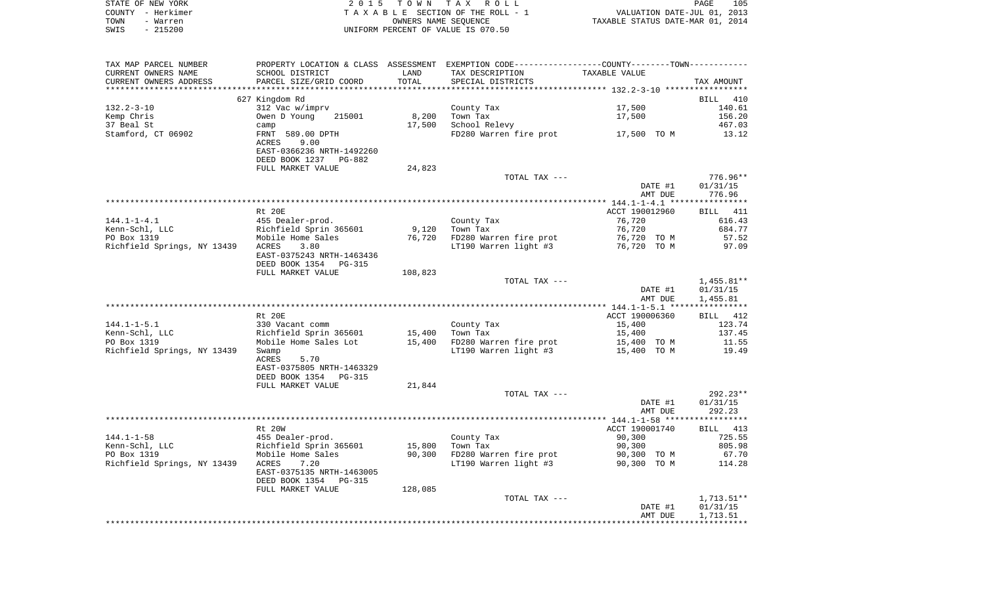|      | STATE OF NEW YORK | 2015 TOWN TAX ROLL                 | PAGE                             | 105 |
|------|-------------------|------------------------------------|----------------------------------|-----|
|      | COUNTY - Herkimer | TAXABLE SECTION OF THE ROLL - 1    | VALUATION DATE-JUL 01, 2013      |     |
| TOWN | - Warren          | OWNERS NAME SEOUENCE               | TAXABLE STATUS DATE-MAR 01, 2014 |     |
| SWIS | $-215200$         | UNIFORM PERCENT OF VALUE IS 070.50 |                                  |     |

| TAX MAP PARCEL NUMBER<br>CURRENT OWNERS NAME<br>CURRENT OWNERS ADDRESS | PROPERTY LOCATION & CLASS ASSESSMENT EXEMPTION CODE---------------COUNTY-------TOWN---------<br>SCHOOL DISTRICT<br>PARCEL SIZE/GRID COORD | LAND<br>TOTAL | TAX DESCRIPTION<br>SPECIAL DISTRICTS | TAXABLE VALUE      | TAX AMOUNT                       |
|------------------------------------------------------------------------|-------------------------------------------------------------------------------------------------------------------------------------------|---------------|--------------------------------------|--------------------|----------------------------------|
|                                                                        |                                                                                                                                           |               |                                      |                    |                                  |
|                                                                        | 627 Kingdom Rd                                                                                                                            |               |                                      |                    | BILL 410                         |
| $132.2 - 3 - 10$                                                       | 312 Vac w/imprv                                                                                                                           |               | County Tax                           | 17,500             | 140.61                           |
| Kemp Chris                                                             | Owen D Young<br>215001                                                                                                                    | 8,200         | Town Tax                             | 17,500             | 156.20                           |
| 37 Beal St                                                             | camp                                                                                                                                      | 17,500        | School Relevy                        |                    | 467.03                           |
| Stamford, CT 06902                                                     | FRNT 589.00 DPTH<br>ACRES<br>9.00<br>EAST-0366236 NRTH-1492260<br>DEED BOOK 1237<br>PG-882                                                |               | FD280 Warren fire prot 17,500 TO M   |                    | 13.12                            |
|                                                                        | FULL MARKET VALUE                                                                                                                         | 24,823        |                                      |                    |                                  |
|                                                                        |                                                                                                                                           |               | TOTAL TAX ---                        |                    | 776.96**                         |
|                                                                        |                                                                                                                                           |               |                                      | DATE #1            | 01/31/15                         |
|                                                                        |                                                                                                                                           |               |                                      | AMT DUE            | 776.96                           |
|                                                                        |                                                                                                                                           |               |                                      |                    |                                  |
|                                                                        | Rt 20E                                                                                                                                    |               |                                      | ACCT 190012960     | BILL 411                         |
| $144.1 - 1 - 4.1$                                                      | 455 Dealer-prod.                                                                                                                          |               | County Tax                           | 76,720             | 616.43                           |
| Kenn-Schl, LLC                                                         | Richfield Sprin 365601                                                                                                                    | 9,120         | Town Tax                             | 76,720             | 684.77                           |
| PO Box 1319                                                            | Mobile Home Sales                                                                                                                         | 76,720        | FD280 Warren fire prot               | 76,720 TO M        | 57.52                            |
| Richfield Springs, NY 13439 ACRES                                      | 3.80<br>EAST-0375243 NRTH-1463436<br>DEED BOOK 1354 PG-315                                                                                |               | LT190 Warren light #3                | 76,720 TO M        | 97.09                            |
|                                                                        | FULL MARKET VALUE                                                                                                                         | 108,823       |                                      |                    |                                  |
|                                                                        |                                                                                                                                           |               | TOTAL TAX ---                        |                    | $1,455.81**$                     |
|                                                                        |                                                                                                                                           |               |                                      | DATE #1            | 01/31/15                         |
|                                                                        |                                                                                                                                           |               |                                      | AMT DUE            | 1,455.81                         |
|                                                                        |                                                                                                                                           |               |                                      |                    |                                  |
|                                                                        | Rt. 20E                                                                                                                                   |               |                                      | ACCT 190006360     | BILL 412                         |
| $144.1 - 1 - 5.1$                                                      | 330 Vacant comm                                                                                                                           |               | County Tax                           | 15,400             | 123.74                           |
| Kenn-Schl, LLC                                                         | Richfield Sprin 365601                                                                                                                    | 15,400        | Town Tax                             | 15,400             | 137.45                           |
| PO Box 1319                                                            | Mobile Home Sales Lot                                                                                                                     | 15,400        | FD280 Warren fire prot               | 15,400 TO M        | 11.55                            |
| Richfield Springs, NY 13439                                            | Swamp<br>5.70<br>ACRES<br>EAST-0375805 NRTH-1463329<br>DEED BOOK 1354 PG-315                                                              |               | LT190 Warren light #3                | 15,400 TO M        | 19.49                            |
|                                                                        | FULL MARKET VALUE                                                                                                                         | 21,844        |                                      |                    |                                  |
|                                                                        |                                                                                                                                           |               | TOTAL TAX ---                        | DATE #1<br>AMT DUE | $292.23**$<br>01/31/15<br>292.23 |
|                                                                        |                                                                                                                                           |               |                                      |                    |                                  |
|                                                                        | <b>Rt 20W</b>                                                                                                                             |               |                                      | ACCT 190001740     | BILL 413                         |
| $144.1 - 1 - 58$                                                       | 455 Dealer-prod.                                                                                                                          |               | County Tax                           | 90,300             | 725.55                           |
| Kenn-Schl, LLC                                                         | Richfield Sprin 365601                                                                                                                    | 15,800        | Town Tax                             | 90,300             | 805.98                           |
| PO Box 1319                                                            | Mobile Home Sales                                                                                                                         | 90,300        | FD280 Warren fire prot               | 90,300 TO M        | 67.70                            |
| Richfield Springs, NY 13439                                            | ACRES<br>7.20<br>EAST-0375135 NRTH-1463005<br>DEED BOOK 1354 PG-315                                                                       |               | LT190 Warren light #3                | 90,300 TO M        | 114.28                           |
|                                                                        | FULL MARKET VALUE                                                                                                                         | 128,085       |                                      |                    |                                  |
|                                                                        |                                                                                                                                           |               | TOTAL TAX ---                        |                    | $1,713.51**$                     |
|                                                                        |                                                                                                                                           |               |                                      | DATE #1            | 01/31/15                         |
|                                                                        |                                                                                                                                           |               |                                      | AMT DUE            | 1,713.51                         |
|                                                                        |                                                                                                                                           |               |                                      |                    |                                  |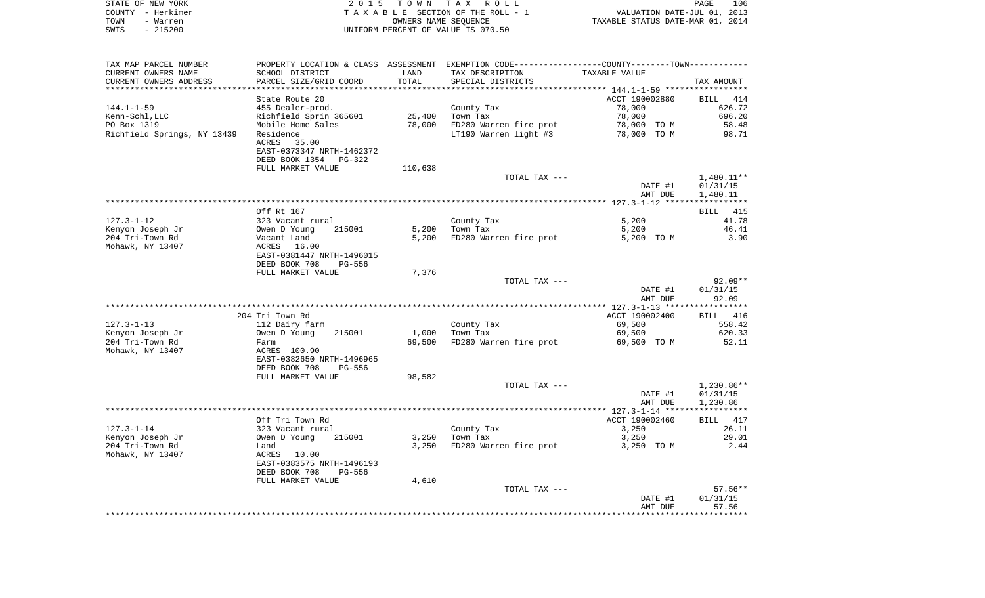| STATE OF NEW YORK                   |                                                                  |                 |                                                                                               |                                              | 106                |  |
|-------------------------------------|------------------------------------------------------------------|-----------------|-----------------------------------------------------------------------------------------------|----------------------------------------------|--------------------|--|
| COUNTY - Herkimer                   | 2015 TOWN<br>T A X<br>R O L L<br>TAXABLE SECTION OF THE ROLL - 1 |                 |                                                                                               | PAGE<br>VALUATION DATE-JUL 01, 2013          |                    |  |
| - Warren<br>TOWN                    |                                                                  |                 | OWNERS NAME SEOUENCE                                                                          | TAXABLE STATUS DATE-MAR 01, 2014             |                    |  |
| $-215200$<br>SWIS                   |                                                                  |                 | UNIFORM PERCENT OF VALUE IS 070.50                                                            |                                              |                    |  |
|                                     |                                                                  |                 |                                                                                               |                                              |                    |  |
| TAX MAP PARCEL NUMBER               |                                                                  |                 | PROPERTY LOCATION & CLASS ASSESSMENT EXEMPTION CODE---------------COUNTY-------TOWN---------- |                                              |                    |  |
| CURRENT OWNERS NAME                 | SCHOOL DISTRICT                                                  | LAND            | TAX DESCRIPTION                                                                               | TAXABLE VALUE                                |                    |  |
| CURRENT OWNERS ADDRESS              | PARCEL SIZE/GRID COORD                                           | TOTAL           | SPECIAL DISTRICTS                                                                             |                                              | TAX AMOUNT         |  |
| ******************************      |                                                                  |                 |                                                                                               |                                              |                    |  |
|                                     | State Route 20                                                   |                 |                                                                                               | ACCT 190002880                               | <b>BILL</b><br>414 |  |
| $144.1 - 1 - 59$                    | 455 Dealer-prod.                                                 |                 | County Tax                                                                                    | 78,000                                       | 626.72             |  |
| Kenn-Schl, LLC<br>PO Box 1319       | Richfield Sprin 365601<br>Mobile Home Sales                      | 25,400          | Town Tax                                                                                      | 78,000                                       | 696.20             |  |
|                                     |                                                                  | 78,000          | FD280 Warren fire prot                                                                        | 78,000 TO M                                  | 58.48              |  |
| Richfield Springs, NY 13439         | Residence<br>ACRES<br>35.00                                      |                 | LT190 Warren light #3                                                                         | 78,000 TO M                                  | 98.71              |  |
|                                     | EAST-0373347 NRTH-1462372                                        |                 |                                                                                               |                                              |                    |  |
|                                     | DEED BOOK 1354<br>PG-322                                         |                 |                                                                                               |                                              |                    |  |
|                                     | FULL MARKET VALUE                                                | 110,638         |                                                                                               |                                              |                    |  |
|                                     |                                                                  |                 | TOTAL TAX ---                                                                                 |                                              | 1,480.11**         |  |
|                                     |                                                                  |                 |                                                                                               | DATE #1                                      | 01/31/15           |  |
|                                     |                                                                  |                 |                                                                                               | AMT DUE                                      | 1,480.11           |  |
|                                     |                                                                  |                 |                                                                                               |                                              |                    |  |
|                                     | Off Rt 167                                                       |                 |                                                                                               |                                              | BILL 415           |  |
| $127.3 - 1 - 12$                    | 323 Vacant rural                                                 |                 | County Tax                                                                                    | 5,200                                        | 41.78              |  |
| Kenyon Joseph Jr                    | 215001<br>Owen D Young                                           | 5,200           | Town Tax                                                                                      | 5,200                                        | 46.41              |  |
| 204 Tri-Town Rd                     | Vacant Land                                                      | 5,200           | FD280 Warren fire prot                                                                        | 5,200 TO M                                   | 3.90               |  |
| Mohawk, NY 13407                    | ACRES<br>16.00                                                   |                 |                                                                                               |                                              |                    |  |
|                                     | EAST-0381447 NRTH-1496015                                        |                 |                                                                                               |                                              |                    |  |
|                                     | DEED BOOK 708<br><b>PG-556</b>                                   |                 |                                                                                               |                                              |                    |  |
|                                     | FULL MARKET VALUE                                                | 7,376           |                                                                                               |                                              |                    |  |
|                                     |                                                                  |                 | TOTAL TAX ---                                                                                 |                                              | $92.09**$          |  |
|                                     |                                                                  |                 |                                                                                               | DATE #1                                      | 01/31/15           |  |
|                                     |                                                                  |                 |                                                                                               | AMT DUE                                      | 92.09              |  |
|                                     |                                                                  |                 |                                                                                               |                                              |                    |  |
|                                     | 204 Tri Town Rd                                                  |                 |                                                                                               | ACCT 190002400                               | 416<br><b>BILL</b> |  |
| $127.3 - 1 - 13$                    | 112 Dairy farm                                                   |                 | County Tax                                                                                    | 69,500                                       | 558.42             |  |
| Kenyon Joseph Jr<br>204 Tri-Town Rd | Owen D Young<br>215001<br>Farm                                   | 1,000<br>69,500 | Town Tax<br>FD280 Warren fire prot                                                            | 69,500<br>69,500 TO M                        | 620.33<br>52.11    |  |
| Mohawk, NY 13407                    | ACRES 100.90                                                     |                 |                                                                                               |                                              |                    |  |
|                                     | EAST-0382650 NRTH-1496965                                        |                 |                                                                                               |                                              |                    |  |
|                                     | DEED BOOK 708<br>PG-556                                          |                 |                                                                                               |                                              |                    |  |
|                                     | FULL MARKET VALUE                                                | 98,582          |                                                                                               |                                              |                    |  |
|                                     |                                                                  |                 | TOTAL TAX ---                                                                                 |                                              | 1,230.86**         |  |
|                                     |                                                                  |                 |                                                                                               | DATE #1                                      | 01/31/15           |  |
|                                     |                                                                  |                 |                                                                                               | AMT DUE                                      | 1,230.86           |  |
|                                     |                                                                  |                 |                                                                                               | ************** 127.3-1-14 ****************** |                    |  |
|                                     | Off Tri Town Rd                                                  |                 |                                                                                               | ACCT 190002460                               | 417<br>BILL        |  |
| $127.3 - 1 - 14$                    | 323 Vacant rural                                                 |                 | County Tax                                                                                    | 3,250                                        | 26.11              |  |
| Kenyon Joseph Jr                    | Owen D Young<br>215001                                           | 3,250           | Town Tax                                                                                      | 3,250                                        | 29.01              |  |
| 204 Tri-Town Rd                     | Land                                                             | 3,250           | FD280 Warren fire prot                                                                        | 3,250 TO M                                   | 2.44               |  |
| Mohawk, NY 13407                    | ACRES 10.00                                                      |                 |                                                                                               |                                              |                    |  |

| EAST-0383575 NRTH-1496193 |       |               |           |
|---------------------------|-------|---------------|-----------|
| DEED BOOK 708<br>PG-556   |       |               |           |
| FULL MARKET VALUE         | 4,610 |               |           |
|                           |       | TOTAL TAX --- | $57.56**$ |
|                           |       | DATE #1       | 01/31/15  |
|                           |       | AMT DUE       | 57.56     |
|                           |       |               |           |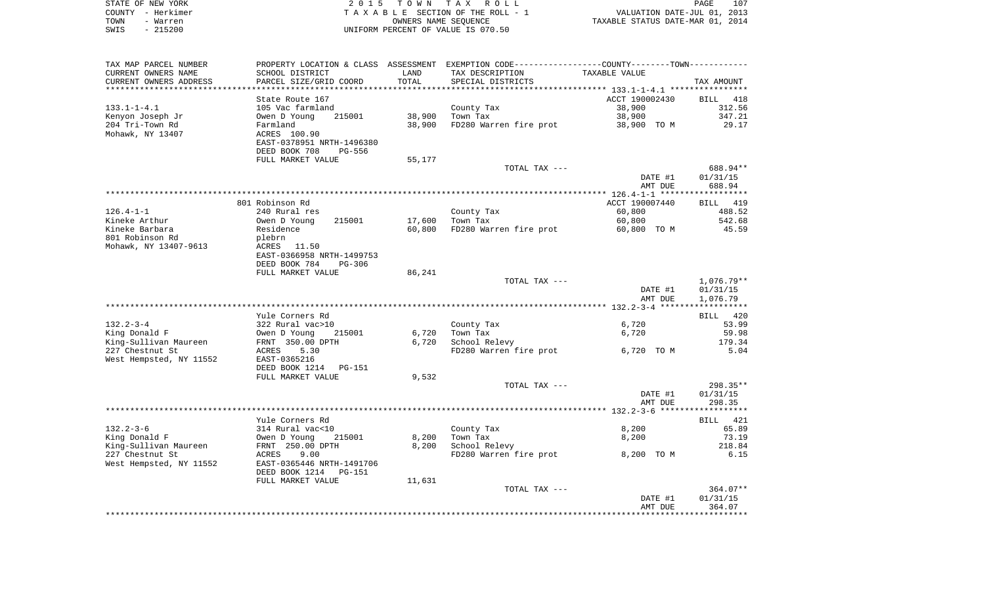| STATE OF NEW YORK | 2015 TOWN TAX ROLL                 | 107<br>PAGE                      |
|-------------------|------------------------------------|----------------------------------|
| COUNTY - Herkimer | TAXABLE SECTION OF THE ROLL - 1    | VALUATION DATE-JUL 01, 2013      |
| TOWN<br>- Warren  | OWNERS NAME SEOUENCE               | TAXABLE STATUS DATE-MAR 01, 2014 |
| SWIS<br>- 215200  | UNIFORM PERCENT OF VALUE IS 070.50 |                                  |

| TAX MAP PARCEL NUMBER                    |                           |        | PROPERTY LOCATION & CLASS ASSESSMENT EXEMPTION CODE----------------COUNTY-------TOWN---------- |                |                      |
|------------------------------------------|---------------------------|--------|------------------------------------------------------------------------------------------------|----------------|----------------------|
| CURRENT OWNERS NAME                      | SCHOOL DISTRICT           | LAND   | TAX DESCRIPTION                                                                                | TAXABLE VALUE  |                      |
| CURRENT OWNERS ADDRESS                   | PARCEL SIZE/GRID COORD    | TOTAL  | SPECIAL DISTRICTS                                                                              |                | TAX AMOUNT           |
|                                          |                           |        |                                                                                                |                |                      |
|                                          | State Route 167           |        |                                                                                                | ACCT 190002430 | BILL 418             |
| $133.1 - 1 - 4.1$                        | 105 Vac farmland          |        | County Tax                                                                                     | 38,900         | 312.56               |
| Kenyon Joseph Jr                         | Owen D Young<br>215001    | 38,900 | Town Tax                                                                                       | 38,900         | 347.21               |
| 204 Tri-Town Rd                          | Farmland                  | 38,900 | FD280 Warren fire prot                                                                         | 38,900 TO M    | 29.17                |
| Mohawk, NY 13407                         | ACRES 100.90              |        |                                                                                                |                |                      |
|                                          | EAST-0378951 NRTH-1496380 |        |                                                                                                |                |                      |
|                                          | DEED BOOK 708<br>PG-556   |        |                                                                                                |                |                      |
|                                          | FULL MARKET VALUE         | 55,177 |                                                                                                |                |                      |
|                                          |                           |        | TOTAL TAX ---                                                                                  |                | 688.94**             |
|                                          |                           |        |                                                                                                | DATE #1        | 01/31/15             |
|                                          |                           |        |                                                                                                | AMT DUE        | 688.94               |
|                                          |                           |        |                                                                                                |                | ***********          |
|                                          | 801 Robinson Rd           |        |                                                                                                | ACCT 190007440 | BILL 419             |
| $126.4 - 1 - 1$                          | 240 Rural res             |        | County Tax                                                                                     | 60,800         | 488.52               |
| Kineke Arthur                            | Owen D Young<br>215001    | 17,600 | Town Tax                                                                                       | 60,800         | 542.68               |
| Kineke Barbara                           | Residence                 | 60,800 | FD280 Warren fire prot                                                                         | 60,800 TO M    | 45.59                |
| 801 Robinson Rd<br>Mohawk, NY 13407-9613 | plebrn<br>ACRES 11.50     |        |                                                                                                |                |                      |
|                                          | EAST-0366958 NRTH-1499753 |        |                                                                                                |                |                      |
|                                          | DEED BOOK 784<br>PG-306   |        |                                                                                                |                |                      |
|                                          | FULL MARKET VALUE         | 86,241 |                                                                                                |                |                      |
|                                          |                           |        | TOTAL TAX ---                                                                                  |                | 1,076.79**           |
|                                          |                           |        |                                                                                                | DATE #1        | 01/31/15             |
|                                          |                           |        |                                                                                                | AMT DUE        | 1,076.79             |
|                                          |                           |        |                                                                                                |                |                      |
|                                          | Yule Corners Rd           |        |                                                                                                |                | BILL 420             |
| $132.2 - 3 - 4$                          | 322 Rural vac>10          |        | County Tax                                                                                     | 6,720          | 53.99                |
| King Donald F                            | Owen D Young<br>215001    | 6,720  | Town Tax                                                                                       | 6,720          | 59.98                |
| King-Sullivan Maureen                    | FRNT 350.00 DPTH          | 6,720  | School Relevy                                                                                  |                | 179.34               |
| 227 Chestnut St                          | ACRES<br>5.30             |        | FD280 Warren fire prot                                                                         | 6,720 TO M     | 5.04                 |
| West Hempsted, NY 11552                  | EAST-0365216              |        |                                                                                                |                |                      |
|                                          | DEED BOOK 1214<br>PG-151  |        |                                                                                                |                |                      |
|                                          | FULL MARKET VALUE         | 9,532  |                                                                                                |                |                      |
|                                          |                           |        | TOTAL TAX ---                                                                                  |                | 298.35**             |
|                                          |                           |        |                                                                                                | DATE #1        | 01/31/15             |
|                                          |                           |        |                                                                                                | AMT DUE        | 298.35               |
|                                          |                           |        |                                                                                                |                | ***********          |
|                                          | Yule Corners Rd           |        |                                                                                                |                | BILL 421             |
| $132.2 - 3 - 6$                          | 314 Rural vac<10          |        | County Tax                                                                                     | 8,200          | 65.89                |
| King Donald F                            | Owen D Young<br>215001    | 8,200  | Town Tax                                                                                       | 8,200          | 73.19                |
| King-Sullivan Maureen                    | FRNT 250.00 DPTH          | 8,200  | School Relevy                                                                                  |                | 218.84               |
| 227 Chestnut St                          | ACRES<br>9.00             |        | FD280 Warren fire prot                                                                         | 8,200 TO M     | 6.15                 |
| West Hempsted, NY 11552                  | EAST-0365446 NRTH-1491706 |        |                                                                                                |                |                      |
|                                          | DEED BOOK 1214<br>PG-151  |        |                                                                                                |                |                      |
|                                          | FULL MARKET VALUE         | 11,631 |                                                                                                |                |                      |
|                                          |                           |        | TOTAL TAX ---                                                                                  | DATE #1        | 364.07**<br>01/31/15 |
|                                          |                           |        |                                                                                                | AMT DUE        | 364.07               |
|                                          |                           |        |                                                                                                |                |                      |
|                                          |                           |        |                                                                                                |                |                      |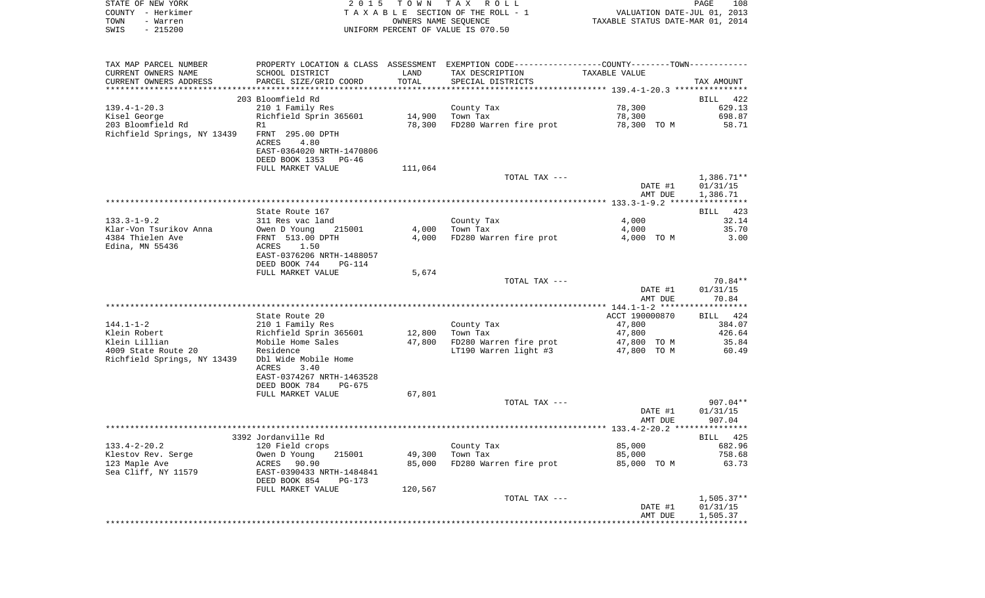| STATE OF NEW YORK      |                                      |       | 2015 TOWN TAX ROLL                 |                                                             | PAGE                        | 108 |
|------------------------|--------------------------------------|-------|------------------------------------|-------------------------------------------------------------|-----------------------------|-----|
| - Herkimer<br>COUNTY   |                                      |       | TAXABLE SECTION OF THE ROLL - 1    |                                                             | VALUATION DATE-JUL 01, 2013 |     |
| TOWN<br>- Warren       |                                      |       | OWNERS NAME SEQUENCE               | TAXABLE STATUS DATE-MAR 01, 2014                            |                             |     |
| $-215200$<br>SWIS      |                                      |       | UNIFORM PERCENT OF VALUE IS 070.50 |                                                             |                             |     |
|                        |                                      |       |                                    |                                                             |                             |     |
| TAX MAP PARCEL NUMBER  | PROPERTY LOCATION & CLASS ASSESSMENT |       |                                    | EXEMPTION CODE-----------------COUNTY-------TOWN----------- |                             |     |
|                        |                                      |       |                                    |                                                             |                             |     |
| CURRENT OWNERS NAME    | SCHOOL DISTRICT                      | LAND  | TAX DESCRIPTION                    | TAXABLE VALUE                                               |                             |     |
| CURRENT OWNERS ADDRESS | PARCEL SIZE/GRID COORD               | TOTAL | SPECIAL DISTRICTS                  |                                                             | TAX AMOUNT                  |     |

| CURRENI UMNERƏ ADDREƏƏ      |                                                |         |                                     |                | THY HMOOM T  |
|-----------------------------|------------------------------------------------|---------|-------------------------------------|----------------|--------------|
|                             | 203 Bloomfield Rd                              |         |                                     |                | BILL 422     |
| $139.4 - 1 - 20.3$          | 210 1 Family Res                               |         | County Tax                          | 78,300         | 629.13       |
| Kisel George                | Richfield Sprin 365601                         | 14,900  | Town Tax                            | 78,300         | 698.87       |
| 203 Bloomfield Rd           | R1                                             | 78,300  | FD280 Warren fire prot 78,300 TO M  |                | 58.71        |
| Richfield Springs, NY 13439 | FRNT 295.00 DPTH                               |         |                                     |                |              |
|                             | ACRES<br>4.80                                  |         |                                     |                |              |
|                             | EAST-0364020 NRTH-1470806                      |         |                                     |                |              |
|                             | DEED BOOK 1353 PG-46                           |         |                                     |                |              |
|                             | FULL MARKET VALUE                              | 111,064 |                                     |                |              |
|                             |                                                |         | TOTAL TAX ---                       |                | 1,386.71**   |
|                             |                                                |         |                                     | DATE #1        | 01/31/15     |
|                             |                                                |         |                                     | AMT DUE        | 1,386.71     |
|                             |                                                |         |                                     |                |              |
|                             | State Route 167                                |         |                                     |                | BILL 423     |
| $133.3 - 1 - 9.2$           | 311 Res vac land                               |         | County Tax                          | 4,000          | 32.14        |
| Klar-Von Tsurikov Anna      | Owen D Young<br>215001                         | 4,000   | Town Tax                            | 4,000          | 35.70        |
| 4384 Thielen Ave            | FRNT 513.00 DPTH                               | 4,000   | FD280 Warren fire prot              | 4,000 TO M     | 3.00         |
| Edina, MN 55436             | 1.50<br>ACRES                                  |         |                                     |                |              |
|                             | EAST-0376206 NRTH-1488057                      |         |                                     |                |              |
|                             | DEED BOOK 744<br>$PG-114$<br>FULL MARKET VALUE | 5,674   |                                     |                |              |
|                             |                                                |         | TOTAL TAX ---                       |                | 70.84**      |
|                             |                                                |         |                                     | DATE #1        | 01/31/15     |
|                             |                                                |         |                                     | AMT DUE        | 70.84        |
|                             |                                                |         |                                     |                |              |
|                             | State Route 20                                 |         |                                     | ACCT 190000870 | BILL 424     |
| $144.1 - 1 - 2$             | 210 1 Family Res                               |         | County Tax                          | 47,800         | 384.07       |
| Klein Robert                | Richfield Sprin 365601                         | 12,800  | Town Tax                            | 47,800         | 426.64       |
| Klein Lillian               | Mobile Home Sales                              | 47,800  | FD280 Warren fire prot              | 47,800 TO M    | 35.84        |
| 4009 State Route 20         | Residence                                      |         | LT190 Warren light $#3$ 47,800 TO M |                | 60.49        |
| Richfield Springs, NY 13439 | Dbl Wide Mobile Home                           |         |                                     |                |              |
|                             | 3.40<br>ACRES                                  |         |                                     |                |              |
|                             | EAST-0374267 NRTH-1463528                      |         |                                     |                |              |
|                             | DEED BOOK 784<br>PG-675                        |         |                                     |                |              |
|                             | FULL MARKET VALUE                              | 67,801  |                                     |                |              |
|                             |                                                |         | TOTAL TAX ---                       |                | $907.04**$   |
|                             |                                                |         |                                     | DATE #1        | 01/31/15     |
|                             |                                                |         |                                     | AMT DUE        | 907.04       |
|                             | 3392 Jordanville Rd                            |         |                                     |                | BILL 425     |
| $133.4 - 2 - 20.2$          | 120 Field crops                                |         | County Tax                          | 85,000         | 682.96       |
| Klestov Rev. Serge          | Owen D Young<br>215001                         | 49,300  | Town Tax                            | 85,000         | 758.68       |
| 123 Maple Ave               | ACRES 90.90                                    | 85,000  | FD280 Warren fire prot 85,000 TO M  |                | 63.73        |
| Sea Cliff, NY 11579         | EAST-0390433 NRTH-1484841                      |         |                                     |                |              |
|                             | DEED BOOK 854<br>PG-173                        |         |                                     |                |              |
|                             | FULL MARKET VALUE                              | 120,567 |                                     |                |              |
|                             |                                                |         | TOTAL TAX ---                       |                | $1,505.37**$ |
|                             |                                                |         |                                     | DATE #1        | 01/31/15     |
|                             |                                                |         |                                     | AMT DUE        | 1,505.37     |
|                             |                                                |         |                                     |                |              |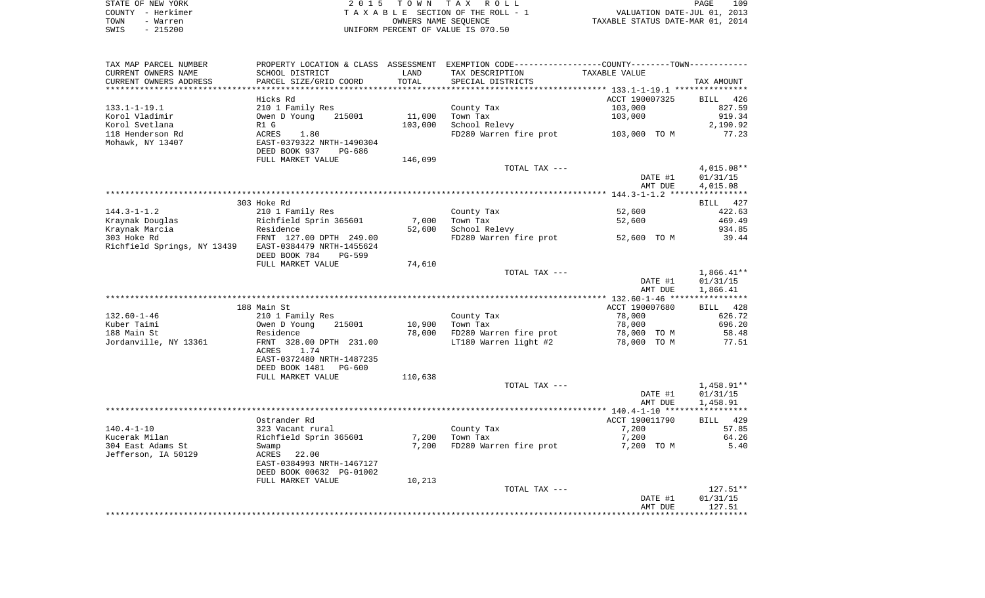|      | STATE OF NEW YORK | 2015 TOWN TAX ROLL                 | 109<br>PAGE                      |
|------|-------------------|------------------------------------|----------------------------------|
|      | COUNTY - Herkimer | TAXABLE SECTION OF THE ROLL - 1    | VALUATION DATE-JUL 01, 2013      |
| TOWN | - Warren          | OWNERS NAME SEOUENCE               | TAXABLE STATUS DATE-MAR 01, 2014 |
| SWIS | $-215200$         | UNIFORM PERCENT OF VALUE IS 070.50 |                                  |

| TAX MAP PARCEL NUMBER       | PROPERTY LOCATION & CLASS ASSESSMENT              |         | EXEMPTION CODE----------------COUNTY-------TOWN----------- |                |                    |
|-----------------------------|---------------------------------------------------|---------|------------------------------------------------------------|----------------|--------------------|
| CURRENT OWNERS NAME         | SCHOOL DISTRICT                                   | LAND    | TAX DESCRIPTION                                            | TAXABLE VALUE  |                    |
| CURRENT OWNERS ADDRESS      | PARCEL SIZE/GRID COORD                            | TOTAL   | SPECIAL DISTRICTS                                          |                | TAX AMOUNT         |
| ***********************     |                                                   |         |                                                            |                |                    |
|                             | Hicks Rd                                          |         |                                                            | ACCT 190007325 | <b>BILL</b><br>426 |
| $133.1 - 1 - 19.1$          | 210 1 Family Res                                  |         | County Tax                                                 | 103,000        | 827.59             |
| Korol Vladimir              | Owen D Young<br>215001                            | 11,000  | Town Tax                                                   | 103,000        | 919.34             |
| Korol Svetlana              | R1 G                                              | 103,000 | School Relevy                                              |                | 2,190.92           |
| 118 Henderson Rd            | <b>ACRES</b><br>1.80<br>EAST-0379322 NRTH-1490304 |         | FD280 Warren fire prot                                     | 103,000 TO M   | 77.23              |
| Mohawk, NY 13407            | DEED BOOK 937<br>PG-686                           |         |                                                            |                |                    |
|                             | FULL MARKET VALUE                                 | 146,099 |                                                            |                |                    |
|                             |                                                   |         | TOTAL TAX ---                                              |                | $4,015.08**$       |
|                             |                                                   |         |                                                            | DATE #1        | 01/31/15           |
|                             |                                                   |         |                                                            | AMT DUE        | 4,015.08           |
|                             |                                                   |         |                                                            |                |                    |
|                             | 303 Hoke Rd                                       |         |                                                            |                | BILL 427           |
| $144.3 - 1 - 1.2$           | 210 1 Family Res                                  |         | County Tax                                                 | 52,600         | 422.63             |
| Kraynak Douglas             | Richfield Sprin 365601                            | 7,000   | Town Tax                                                   | 52,600         | 469.49             |
| Kraynak Marcia              | Residence                                         | 52,600  | School Relevy                                              |                | 934.85             |
| 303 Hoke Rd                 | FRNT 127.00 DPTH 249.00                           |         | FD280 Warren fire prot                                     | 52,600 TO M    | 39.44              |
| Richfield Springs, NY 13439 | EAST-0384479 NRTH-1455624                         |         |                                                            |                |                    |
|                             | DEED BOOK 784<br><b>PG-599</b>                    |         |                                                            |                |                    |
|                             | FULL MARKET VALUE                                 | 74,610  |                                                            |                |                    |
|                             |                                                   |         | TOTAL TAX ---                                              |                | $1,866.41**$       |
|                             |                                                   |         |                                                            | DATE #1        | 01/31/15           |
|                             |                                                   |         |                                                            | AMT DUE        | 1,866.41           |
|                             | 188 Main St                                       |         |                                                            | ACCT 190007680 | BILL 428           |
| $132.60 - 1 - 46$           | 210 1 Family Res                                  |         | County Tax                                                 | 78,000         | 626.72             |
| Kuber Taimi                 | Owen D Young<br>215001                            | 10,900  | Town Tax                                                   | 78,000         | 696.20             |
| 188 Main St                 | Residence                                         | 78,000  | FD280 Warren fire prot                                     | 78,000 TO M    | 58.48              |
| Jordanville, NY 13361       | FRNT 328.00 DPTH 231.00                           |         | LT180 Warren light #2                                      | 78,000 TO M    | 77.51              |
|                             | ACRES<br>1.74                                     |         |                                                            |                |                    |
|                             | EAST-0372480 NRTH-1487235                         |         |                                                            |                |                    |
|                             | DEED BOOK 1481 PG-600                             |         |                                                            |                |                    |
|                             | FULL MARKET VALUE                                 | 110,638 |                                                            |                |                    |
|                             |                                                   |         | TOTAL TAX ---                                              |                | 1,458.91**         |
|                             |                                                   |         |                                                            | DATE #1        | 01/31/15           |
|                             |                                                   |         |                                                            | AMT DUE        | 1,458.91           |
|                             | Ostrander Rd                                      |         |                                                            | ACCT 190011790 | BILL 429           |
| $140.4 - 1 - 10$            | 323 Vacant rural                                  |         | County Tax                                                 | 7,200          | 57.85              |
| Kucerak Milan               | Richfield Sprin 365601                            | 7,200   | Town Tax                                                   | 7,200          | 64.26              |
| 304 East Adams St           | Swamp                                             | 7,200   | FD280 Warren fire prot                                     | 7,200 TO M     | 5.40               |
| Jefferson, IA 50129         | ACRES<br>22.00                                    |         |                                                            |                |                    |
|                             | EAST-0384993 NRTH-1467127                         |         |                                                            |                |                    |
|                             | DEED BOOK 00632 PG-01002                          |         |                                                            |                |                    |
|                             | FULL MARKET VALUE                                 | 10,213  |                                                            |                |                    |
|                             |                                                   |         | TOTAL TAX ---                                              |                | $127.51**$         |
|                             |                                                   |         |                                                            | DATE #1        | 01/31/15           |
|                             |                                                   |         |                                                            | AMT DUE        | 127.51             |
|                             |                                                   |         |                                                            |                |                    |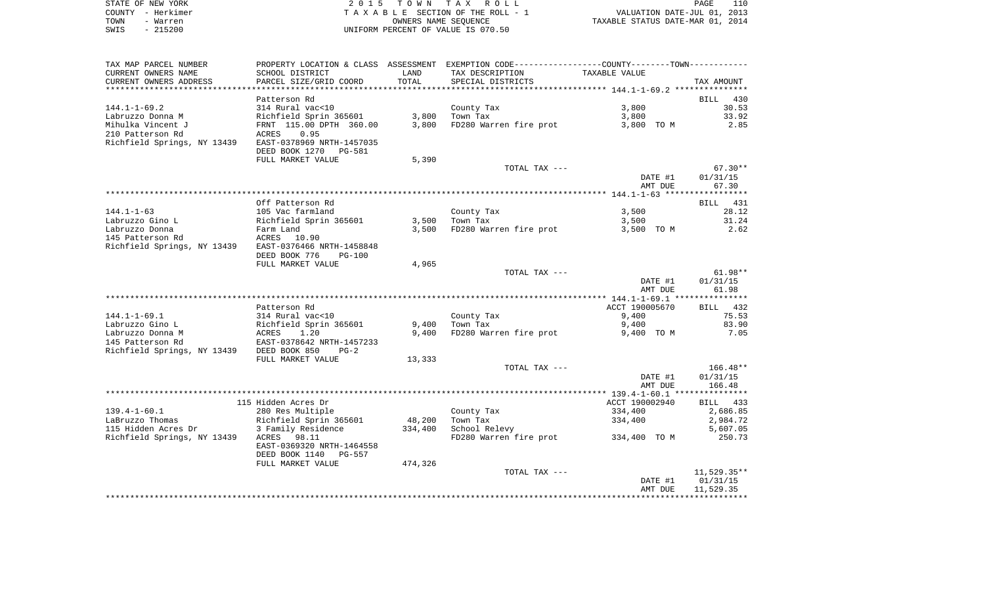| STATE OF NEW YORK | 2015 TOWN TAX ROLL                 | 110<br>PAGE                      |
|-------------------|------------------------------------|----------------------------------|
| COUNTY - Herkimer | TAXABLE SECTION OF THE ROLL - 1    | VALUATION DATE-JUL 01, 2013      |
| TOWN<br>- Warren  | OWNERS NAME SEOUENCE               | TAXABLE STATUS DATE-MAR 01, 2014 |
| - 215200<br>SWIS  | UNIFORM PERCENT OF VALUE IS 070.50 |                                  |

| TAX MAP PARCEL NUMBER       | PROPERTY LOCATION & CLASS ASSESSMENT EXEMPTION CODE---------------COUNTY-------TOWN--------- |         |                        |                |                    |
|-----------------------------|----------------------------------------------------------------------------------------------|---------|------------------------|----------------|--------------------|
| CURRENT OWNERS NAME         | SCHOOL DISTRICT                                                                              | LAND    | TAX DESCRIPTION        | TAXABLE VALUE  |                    |
| CURRENT OWNERS ADDRESS      | PARCEL SIZE/GRID COORD                                                                       | TOTAL   | SPECIAL DISTRICTS      |                | TAX AMOUNT         |
|                             |                                                                                              |         |                        |                |                    |
|                             | Patterson Rd                                                                                 |         |                        |                | <b>BILL</b><br>430 |
| $144.1 - 1 - 69.2$          | 314 Rural vac<10                                                                             |         | County Tax             | 3,800          | 30.53              |
| Labruzzo Donna M            | Richfield Sprin 365601                                                                       | 3,800   | Town Tax               | 3,800          | 33.92              |
| Mihulka Vincent J           | FRNT 115.00 DPTH 360.00                                                                      | 3,800   | FD280 Warren fire prot | 3,800 TO M     | 2.85               |
| 210 Patterson Rd            | 0.95<br>ACRES                                                                                |         |                        |                |                    |
| Richfield Springs, NY 13439 | EAST-0378969 NRTH-1457035                                                                    |         |                        |                |                    |
|                             | DEED BOOK 1270<br>PG-581                                                                     |         |                        |                |                    |
|                             | FULL MARKET VALUE                                                                            | 5,390   |                        |                |                    |
|                             |                                                                                              |         | TOTAL TAX ---          |                | $67.30**$          |
|                             |                                                                                              |         |                        | DATE #1        | 01/31/15           |
|                             |                                                                                              |         |                        | AMT DUE        | 67.30              |
|                             |                                                                                              |         |                        |                |                    |
|                             | Off Patterson Rd                                                                             |         |                        |                | BILL 431           |
| $144.1 - 1 - 63$            | 105 Vac farmland                                                                             |         | County Tax             | 3,500          | 28.12              |
| Labruzzo Gino L             | Richfield Sprin 365601                                                                       | 3,500   | Town Tax               | 3,500          | 31.24              |
| Labruzzo Donna              | Farm Land                                                                                    | 3,500   | FD280 Warren fire prot | 3,500 TO M     | 2.62               |
| 145 Patterson Rd            | ACRES 10.90                                                                                  |         |                        |                |                    |
| Richfield Springs, NY 13439 | EAST-0376466 NRTH-1458848                                                                    |         |                        |                |                    |
|                             | DEED BOOK 776<br><b>PG-100</b>                                                               |         |                        |                |                    |
|                             | FULL MARKET VALUE                                                                            | 4,965   |                        |                |                    |
|                             |                                                                                              |         | TOTAL TAX ---          |                | $61.98**$          |
|                             |                                                                                              |         |                        | DATE #1        | 01/31/15           |
|                             |                                                                                              |         |                        | AMT DUE        | 61.98              |
|                             |                                                                                              |         |                        |                |                    |
|                             | Patterson Rd                                                                                 |         |                        | ACCT 190005670 | 432<br>BILL        |
| $144.1 - 1 - 69.1$          | 314 Rural vac<10                                                                             |         | County Tax             | 9,400          | 75.53              |
| Labruzzo Gino L             | Richfield Sprin 365601                                                                       | 9,400   | Town Tax               | 9,400          | 83.90              |
| Labruzzo Donna M            | ACRES<br>1.20                                                                                | 9,400   | FD280 Warren fire prot | 9,400 TO M     | 7.05               |
| 145 Patterson Rd            | EAST-0378642 NRTH-1457233                                                                    |         |                        |                |                    |
| Richfield Springs, NY 13439 | DEED BOOK 850<br>$PG-2$                                                                      |         |                        |                |                    |
|                             | FULL MARKET VALUE                                                                            | 13,333  |                        |                |                    |
|                             |                                                                                              |         | TOTAL TAX ---          |                | $166.48**$         |
|                             |                                                                                              |         |                        | DATE #1        | 01/31/15           |
|                             |                                                                                              |         |                        | AMT DUE        | 166.48             |
|                             |                                                                                              |         |                        |                |                    |
|                             | 115 Hidden Acres Dr                                                                          |         |                        | ACCT 190002940 | BILL<br>433        |
| $139.4 - 1 - 60.1$          | 280 Res Multiple                                                                             |         | County Tax             | 334,400        | 2,686.85           |
| LaBruzzo Thomas             | Richfield Sprin 365601                                                                       | 48,200  | Town Tax               | 334,400        | 2,984.72           |
| 115 Hidden Acres Dr         | 3 Family Residence                                                                           | 334,400 | School Relevy          |                | 5,607.05           |
| Richfield Springs, NY 13439 | 98.11<br>ACRES                                                                               |         | FD280 Warren fire prot | 334,400 TO M   | 250.73             |
|                             | EAST-0369320 NRTH-1464558                                                                    |         |                        |                |                    |
|                             | DEED BOOK 1140<br><b>PG-557</b>                                                              |         |                        |                |                    |
|                             | FULL MARKET VALUE                                                                            | 474,326 |                        |                |                    |
|                             |                                                                                              |         | TOTAL TAX ---          |                | $11,529.35**$      |
|                             |                                                                                              |         |                        | DATE #1        | 01/31/15           |
|                             |                                                                                              |         |                        | AMT DUE        | 11,529.35          |
|                             |                                                                                              |         |                        |                |                    |
|                             |                                                                                              |         |                        |                |                    |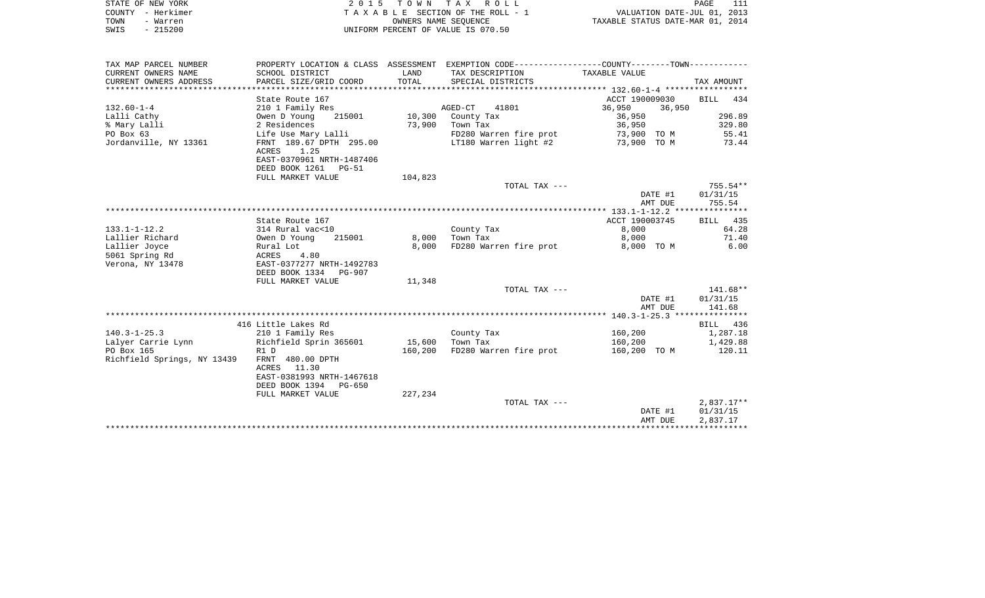|      | STATE OF NEW YORK | 2015 TOWN TAX ROLL                 | PAGE                             |  |
|------|-------------------|------------------------------------|----------------------------------|--|
|      | COUNTY - Herkimer | TAXABLE SECTION OF THE ROLL - 1    | VALUATION DATE-JUL 01, 2013      |  |
| TOWN | - Warren          | OWNERS NAME SEOUENCE               | TAXABLE STATUS DATE-MAR 01, 2014 |  |
| SWIS | $-215200$         | UNIFORM PERCENT OF VALUE IS 070.50 |                                  |  |

| TAX MAP PARCEL NUMBER       |                           |         | PROPERTY LOCATION & CLASS ASSESSMENT EXEMPTION CODE----------------COUNTY--------TOWN---------- |                  |            |
|-----------------------------|---------------------------|---------|-------------------------------------------------------------------------------------------------|------------------|------------|
| CURRENT OWNERS NAME         | SCHOOL DISTRICT           | LAND    | TAX DESCRIPTION                                                                                 | TAXABLE VALUE    |            |
| CURRENT OWNERS ADDRESS      | PARCEL SIZE/GRID COORD    | TOTAL   | SPECIAL DISTRICTS                                                                               |                  | TAX AMOUNT |
|                             |                           |         |                                                                                                 |                  |            |
|                             | State Route 167           |         |                                                                                                 | ACCT 190009030   | BILL 434   |
| $132.60 - 1 - 4$            | 210 1 Family Res          |         | AGED-CT<br>41801                                                                                | 36,950<br>36,950 |            |
| Lalli Cathy                 | Owen D Young<br>215001    | 10,300  | County Tax                                                                                      | 36,950           | 296.89     |
| % Mary Lalli                | 2 Residences              | 73,900  | Town Tax                                                                                        | 36,950           | 329.80     |
| PO Box 63                   | Life Use Mary Lalli       |         | FD280 Warren fire prot                                                                          | 73,900 TO M      | 55.41      |
| Jordanville, NY 13361       | FRNT 189.67 DPTH 295.00   |         | LT180 Warren light #2                                                                           | 73,900 TO M      | 73.44      |
|                             | ACRES<br>1.25             |         |                                                                                                 |                  |            |
|                             | EAST-0370961 NRTH-1487406 |         |                                                                                                 |                  |            |
|                             | DEED BOOK 1261 PG-51      |         |                                                                                                 |                  |            |
|                             | FULL MARKET VALUE         | 104,823 |                                                                                                 |                  |            |
|                             |                           |         | TOTAL TAX ---                                                                                   |                  | $755.54**$ |
|                             |                           |         |                                                                                                 | DATE #1          | 01/31/15   |
|                             |                           |         |                                                                                                 | AMT DUE          | 755.54     |
|                             |                           |         |                                                                                                 |                  |            |
|                             | State Route 167           |         |                                                                                                 | ACCT 190003745   | BILL 435   |
| $133.1 - 1 - 12.2$          | 314 Rural vac<10          |         | County Tax                                                                                      | 8,000            | 64.28      |
| Lallier Richard             | Owen D Young<br>215001    | 8,000   | Town Tax                                                                                        | 8,000            | 71.40      |
| Lallier Joyce               | Rural Lot                 | 8.000   | FD280 Warren fire prot                                                                          | 8,000 TO M       | 6.00       |
| 5061 Spring Rd              | ACRES<br>4.80             |         |                                                                                                 |                  |            |
| Verona, NY 13478            | EAST-0377277 NRTH-1492783 |         |                                                                                                 |                  |            |
|                             | DEED BOOK 1334 PG-907     |         |                                                                                                 |                  |            |
|                             | FULL MARKET VALUE         | 11,348  |                                                                                                 |                  |            |
|                             |                           |         | TOTAL TAX ---                                                                                   |                  | $141.68**$ |
|                             |                           |         |                                                                                                 | DATE #1          | 01/31/15   |
|                             |                           |         |                                                                                                 | AMT DUE          | 141.68     |
|                             |                           |         |                                                                                                 |                  |            |
|                             | 416 Little Lakes Rd       |         |                                                                                                 |                  | BILL 436   |
| $140.3 - 1 - 25.3$          | 210 1 Family Res          |         | County Tax                                                                                      | 160,200          | 1,287.18   |
| Lalyer Carrie Lynn          | Richfield Sprin 365601    | 15,600  | Town Tax                                                                                        | 160,200          | 1,429.88   |
| PO Box 165                  | R1 D                      | 160,200 | FD280 Warren fire prot                                                                          | 160,200 TO M     | 120.11     |
| Richfield Springs, NY 13439 | FRNT 480.00 DPTH          |         |                                                                                                 |                  |            |
|                             | ACRES 11.30               |         |                                                                                                 |                  |            |
|                             | EAST-0381993 NRTH-1467618 |         |                                                                                                 |                  |            |
|                             | DEED BOOK 1394 PG-650     |         |                                                                                                 |                  |            |
|                             | FULL MARKET VALUE         | 227,234 |                                                                                                 |                  |            |
|                             |                           |         | TOTAL TAX ---                                                                                   |                  | 2,837.17** |
|                             |                           |         |                                                                                                 | DATE #1          | 01/31/15   |
|                             |                           |         |                                                                                                 | AMT DUE          | 2,837.17   |
|                             |                           |         |                                                                                                 |                  |            |
|                             |                           |         |                                                                                                 |                  |            |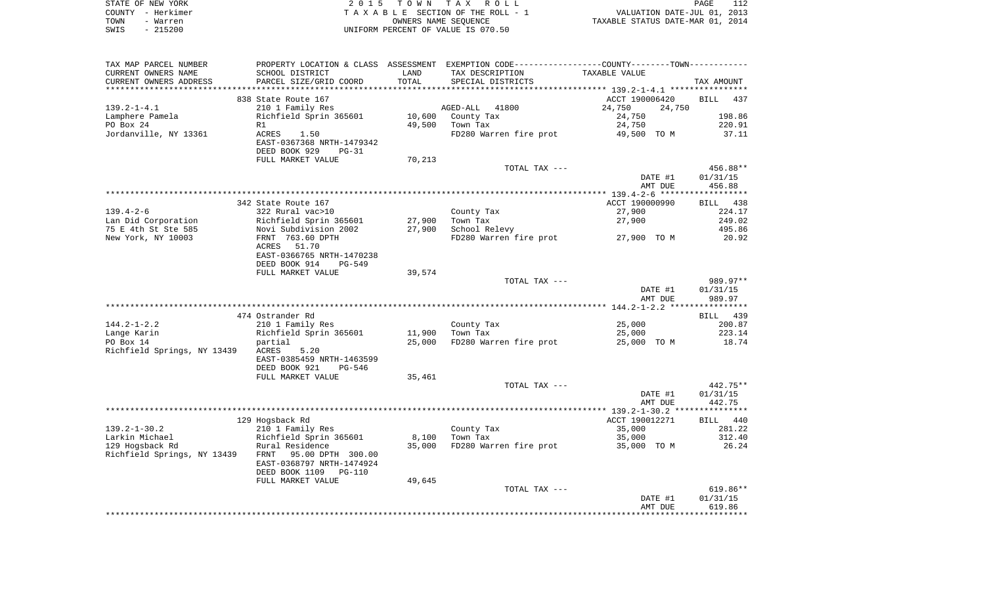|      | STATE OF NEW YORK | 2015 TOWN TAX ROLL                 | PAGE                             | 112 |
|------|-------------------|------------------------------------|----------------------------------|-----|
|      | COUNTY - Herkimer | TAXABLE SECTION OF THE ROLL - 1    | VALUATION DATE-JUL 01, 2013      |     |
| TOWN | - Warren          | OWNERS NAME SEOUENCE               | TAXABLE STATUS DATE-MAR 01, 2014 |     |
| SWIS | $-215200$         | UNIFORM PERCENT OF VALUE IS 070.50 |                                  |     |

| TAX MAP PARCEL NUMBER             | PROPERTY LOCATION & CLASS ASSESSMENT EXEMPTION CODE---------------COUNTY-------TOWN---------- |        |                        |                  |            |
|-----------------------------------|-----------------------------------------------------------------------------------------------|--------|------------------------|------------------|------------|
| CURRENT OWNERS NAME               | SCHOOL DISTRICT                                                                               | LAND   | TAX DESCRIPTION        | TAXABLE VALUE    |            |
| CURRENT OWNERS ADDRESS            | PARCEL SIZE/GRID COORD                                                                        | TOTAL  | SPECIAL DISTRICTS      |                  | TAX AMOUNT |
|                                   |                                                                                               |        |                        |                  |            |
|                                   | 838 State Route 167                                                                           |        |                        | ACCT 190006420   | BILL 437   |
| $139.2 - 1 - 4.1$                 | 210 1 Family Res                                                                              |        | AGED-ALL<br>41800      | 24,750<br>24,750 |            |
| Lamphere Pamela                   | Richfield Sprin 365601                                                                        | 10,600 | County Tax             | 24,750           | 198.86     |
| PO Box 24                         | R1                                                                                            |        | 49,500 Town Tax        | 24,750           | 220.91     |
| Jordanville, NY 13361             | ACRES<br>1.50                                                                                 |        | FD280 Warren fire prot | 49,500 TO M      | 37.11      |
|                                   | EAST-0367368 NRTH-1479342                                                                     |        |                        |                  |            |
|                                   | DEED BOOK 929<br>$PG-31$                                                                      |        |                        |                  |            |
|                                   | FULL MARKET VALUE                                                                             | 70,213 |                        |                  |            |
|                                   |                                                                                               |        | TOTAL TAX ---          |                  | 456.88**   |
|                                   |                                                                                               |        |                        | DATE #1          | 01/31/15   |
|                                   |                                                                                               |        |                        | AMT DUE          | 456.88     |
|                                   |                                                                                               |        |                        |                  |            |
|                                   | 342 State Route 167                                                                           |        |                        | ACCT 190000990   | BILL 438   |
| $139.4 - 2 - 6$                   | 322 Rural vac>10                                                                              |        | County Tax             | 27,900           | 224.17     |
| Lan Did Corporation               |                                                                                               | 27,900 | Town Tax               | 27,900           | 249.02     |
| 75 E 4th St Ste 585               | Richfield Sprin 365601<br>Novi Subdivision 2002                                               | 27,900 | School Relevy          |                  | 495.86     |
| New York, NY 10003                | FRNT 763.60 DPTH                                                                              |        | FD280 Warren fire prot | 27,900 TO M      | 20.92      |
|                                   | ACRES<br>51.70                                                                                |        |                        |                  |            |
|                                   | EAST-0366765 NRTH-1470238                                                                     |        |                        |                  |            |
|                                   | DEED BOOK 914<br>$PG-549$                                                                     |        |                        |                  |            |
|                                   | FULL MARKET VALUE                                                                             | 39,574 |                        |                  |            |
|                                   |                                                                                               |        | TOTAL TAX ---          |                  | 989.97**   |
|                                   |                                                                                               |        |                        | DATE #1          | 01/31/15   |
|                                   |                                                                                               |        |                        | AMT DUE          | 989.97     |
|                                   |                                                                                               |        |                        |                  |            |
|                                   | 474 Ostrander Rd                                                                              |        |                        |                  | BILL 439   |
| $144.2 - 1 - 2.2$                 | 210 1 Family Res                                                                              |        | County Tax             | 25,000           | 200.87     |
| Lange Karin                       | Richfield Sprin 365601                                                                        |        | 11,900 Town Tax        | 25,000           | 223.14     |
| PO Box 14                         | partial                                                                                       | 25,000 | FD280 Warren fire prot | 25,000 TO M      | 18.74      |
| Richfield Springs, NY 13439 ACRES | 5.20                                                                                          |        |                        |                  |            |
|                                   | EAST-0385459 NRTH-1463599                                                                     |        |                        |                  |            |
|                                   | DEED BOOK 921<br>PG-546                                                                       |        |                        |                  |            |
|                                   | FULL MARKET VALUE                                                                             | 35,461 |                        |                  |            |
|                                   |                                                                                               |        | TOTAL TAX ---          |                  | 442.75**   |
|                                   |                                                                                               |        |                        | DATE #1          | 01/31/15   |
|                                   |                                                                                               |        |                        | AMT DUE          | 442.75     |
|                                   |                                                                                               |        |                        |                  |            |
|                                   | 129 Hogsback Rd                                                                               |        |                        | ACCT 190012271   | BILL 440   |
| $139.2 - 1 - 30.2$                |                                                                                               |        | County Tax             | 35,000           | 281.22     |
| Larkin Michael                    |                                                                                               | 8,100  | Town Tax               | 35,000           | 312.40     |
| 129 Hogsback Rd                   | ziu i Family Res<br>Richfield Sprin 365601<br>Rural Posider:                                  | 35,000 | FD280 Warren fire prot | 35,000 TO M      | 26.24      |
| Richfield Springs, NY 13439       | FRNT<br>95.00 DPTH 300.00                                                                     |        |                        |                  |            |
|                                   | EAST-0368797 NRTH-1474924                                                                     |        |                        |                  |            |
|                                   |                                                                                               |        |                        |                  |            |
|                                   | DEED BOOK 1109<br>PG-110                                                                      |        |                        |                  |            |
|                                   | FULL MARKET VALUE                                                                             | 49,645 |                        |                  | $619.86**$ |
|                                   |                                                                                               |        | TOTAL TAX ---          |                  |            |
|                                   |                                                                                               |        |                        | DATE #1          | 01/31/15   |
|                                   |                                                                                               |        |                        | AMT DUE          | 619.86     |
|                                   |                                                                                               |        |                        |                  |            |
|                                   |                                                                                               |        |                        |                  |            |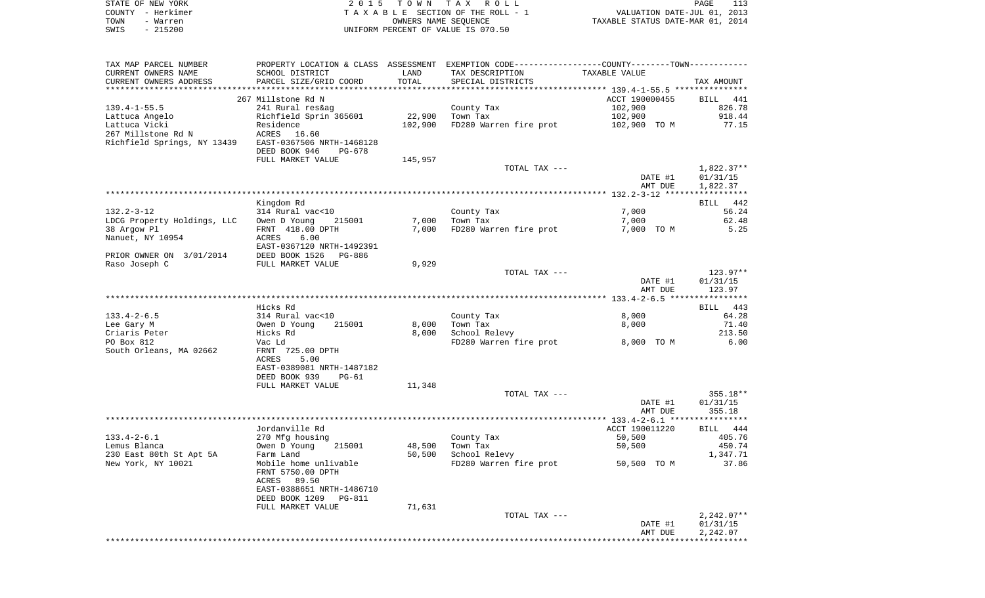|      | STATE OF NEW YORK | 2015 TOWN TAX ROLL                 | PAGE                             | 113 |
|------|-------------------|------------------------------------|----------------------------------|-----|
|      | COUNTY - Herkimer | TAXABLE SECTION OF THE ROLL - 1    | VALUATION DATE-JUL 01, 2013      |     |
| TOWN | - Warren          | OWNERS NAME SEOUENCE               | TAXABLE STATUS DATE-MAR 01, 2014 |     |
| SWIS | - 215200          | UNIFORM PERCENT OF VALUE IS 070.50 |                                  |     |

| TAX MAP PARCEL NUMBER                          | PROPERTY LOCATION & CLASS ASSESSMENT EXEMPTION CODE---------------COUNTY-------TOWN---------- |         |                                    |                |              |
|------------------------------------------------|-----------------------------------------------------------------------------------------------|---------|------------------------------------|----------------|--------------|
| CURRENT OWNERS NAME                            | SCHOOL DISTRICT                                                                               | LAND    | TAX DESCRIPTION                    | TAXABLE VALUE  |              |
| CURRENT OWNERS ADDRESS                         | PARCEL SIZE/GRID COORD                                                                        | TOTAL   | SPECIAL DISTRICTS                  |                | TAX AMOUNT   |
|                                                |                                                                                               |         |                                    |                |              |
|                                                | 267 Millstone Rd N                                                                            |         |                                    | ACCT 190000455 | BILL 441     |
| $139.4 - 1 - 55.5$                             | 241 Rural res&ag                                                                              |         | County Tax                         | 102,900        | 826.78       |
| Lattuca Angelo                                 | Richfield Sprin 365601                                                                        | 22,900  | Town Tax                           | 102,900        | 918.44       |
| Lattuca Vicki                                  | Residence                                                                                     |         | 102,900 FD280 Warren fire prot     | 102,900 TO M   | 77.15        |
| 267 Millstone Rd N                             | ACRES 16.60                                                                                   |         |                                    |                |              |
| Richfield Springs, NY 13439                    | EAST-0367506 NRTH-1468128                                                                     |         |                                    |                |              |
|                                                | DEED BOOK 946<br>PG-678                                                                       |         |                                    |                |              |
|                                                | FULL MARKET VALUE                                                                             | 145,957 |                                    |                |              |
|                                                |                                                                                               |         | TOTAL TAX ---                      |                | $1,822.37**$ |
|                                                |                                                                                               |         |                                    | DATE #1        | 01/31/15     |
|                                                |                                                                                               |         |                                    | AMT DUE        | 1,822.37     |
|                                                |                                                                                               |         |                                    |                |              |
|                                                | Kingdom Rd                                                                                    |         |                                    |                | BILL 442     |
| $132.2 - 3 - 12$                               | 314 Rural vac<10                                                                              |         | County Tax                         | 7,000          | 56.24        |
| LDCG Property Holdings, LLC                    | Owen D Young<br>215001                                                                        | 7,000   | Town Tax                           | 7,000          | 62.48        |
| 38 Argow Pl                                    | FRNT 418.00 DPTH                                                                              |         | 7,000 FD280 Warren fire prot       | 7,000 TO M     | 5.25         |
| Nanuet, NY 10954                               | 6.00<br>ACRES                                                                                 |         |                                    |                |              |
|                                                | EAST-0367120 NRTH-1492391                                                                     |         |                                    |                |              |
| PRIOR OWNER ON 3/01/2014 DEED BOOK 1526 PG-886 |                                                                                               |         |                                    |                |              |
| Raso Joseph C                                  | FULL MARKET VALUE                                                                             | 9,929   |                                    |                |              |
|                                                |                                                                                               |         | TOTAL TAX ---                      |                | $123.97**$   |
|                                                |                                                                                               |         |                                    | DATE #1        | 01/31/15     |
|                                                |                                                                                               |         |                                    | AMT DUE        | 123.97       |
|                                                |                                                                                               |         |                                    |                |              |
|                                                | Hicks Rd                                                                                      |         |                                    |                | BILL 443     |
| $133.4 - 2 - 6.5$                              | 314 Rural vac<10                                                                              |         | County Tax                         | 8,000          | 64.28        |
| Lee Gary M                                     | Owen D Young<br>215001                                                                        | 8,000   | Town Tax                           | 8,000          | 71.40        |
| Criaris Peter                                  | Hicks Rd                                                                                      | 8,000   | School Relevy                      |                | 213.50       |
| PO Box 812                                     | Vac Ld                                                                                        |         | FD280 Warren fire prot 8,000 TO M  |                | 6.00         |
| South Orleans, MA 02662                        | FRNT 725.00 DPTH                                                                              |         |                                    |                |              |
|                                                | 5.00<br>ACRES                                                                                 |         |                                    |                |              |
|                                                | EAST-0389081 NRTH-1487182                                                                     |         |                                    |                |              |
|                                                | DEED BOOK 939<br>PG-61                                                                        |         |                                    |                |              |
|                                                | FULL MARKET VALUE                                                                             | 11,348  |                                    |                |              |
|                                                |                                                                                               |         | TOTAL TAX ---                      |                | $355.18**$   |
|                                                |                                                                                               |         |                                    | DATE #1        | 01/31/15     |
|                                                |                                                                                               |         |                                    | AMT DUE        | 355.18       |
|                                                |                                                                                               |         |                                    |                |              |
|                                                | Jordanville Rd                                                                                |         |                                    | ACCT 190011220 | BILL 444     |
| $133.4 - 2 - 6.1$                              | 270 Mfg housing                                                                               |         | County Tax                         | 50,500         | 405.76       |
| Lemus Blanca                                   | Owen D Young<br>215001                                                                        | 48,500  | Town Tax                           | 50,500         | 450.74       |
| 230 East 80th St Apt 5A                        | Farm Land                                                                                     | 50,500  | School Relevy                      |                | 1,347.71     |
| New York, NY 10021                             | Mobile home unlivable                                                                         |         | FD280 Warren fire prot 50,500 TO M |                | 37.86        |
|                                                | FRNT 5750.00 DPTH                                                                             |         |                                    |                |              |
|                                                | ACRES 89.50                                                                                   |         |                                    |                |              |
|                                                | EAST-0388651 NRTH-1486710                                                                     |         |                                    |                |              |
|                                                | DEED BOOK 1209<br>PG-811                                                                      |         |                                    |                |              |
|                                                | FULL MARKET VALUE                                                                             | 71,631  |                                    |                |              |
|                                                |                                                                                               |         | TOTAL TAX ---                      |                | $2,242.07**$ |
|                                                |                                                                                               |         |                                    | DATE #1        | 01/31/15     |
|                                                |                                                                                               |         |                                    | AMT DUE        | 2,242.07     |
|                                                |                                                                                               |         |                                    |                |              |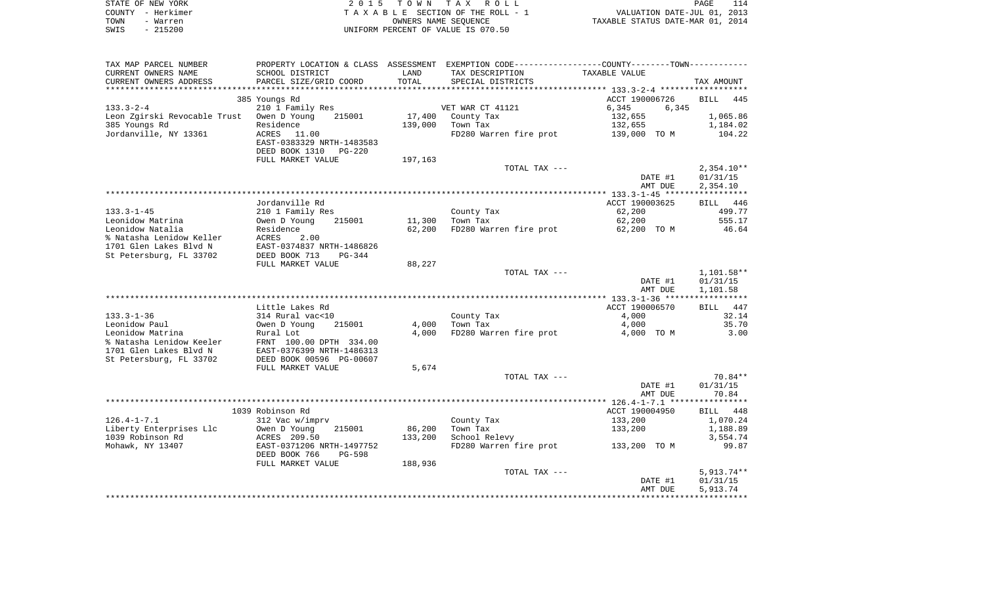|      | STATE OF NEW YORK | 2015 TOWN TAX ROLL                 | 114<br>PAGE                      |
|------|-------------------|------------------------------------|----------------------------------|
|      | COUNTY - Herkimer | TAXABLE SECTION OF THE ROLL - 1    | VALUATION DATE-JUL 01, 2013      |
| TOWN | - Warren          | OWNERS NAME SEOUENCE               | TAXABLE STATUS DATE-MAR 01, 2014 |
| SWIS | $-215200$         | UNIFORM PERCENT OF VALUE IS 070.50 |                                  |

| TAX MAP PARCEL NUMBER                       |                                            |         | PROPERTY LOCATION & CLASS ASSESSMENT EXEMPTION CODE---------------COUNTY-------TOWN---------- |                |                   |
|---------------------------------------------|--------------------------------------------|---------|-----------------------------------------------------------------------------------------------|----------------|-------------------|
| CURRENT OWNERS NAME                         | SCHOOL DISTRICT                            | LAND    | TAX DESCRIPTION                                                                               | TAXABLE VALUE  |                   |
| CURRENT OWNERS ADDRESS                      | PARCEL SIZE/GRID COORD                     | TOTAL   | SPECIAL DISTRICTS                                                                             |                | TAX AMOUNT        |
|                                             |                                            |         |                                                                                               |                |                   |
|                                             | 385 Youngs Rd                              |         |                                                                                               | ACCT 190006726 | BILL<br>445       |
| $133.3 - 2 - 4$                             | 210 1 Family Res                           |         | VET WAR CT 41121                                                                              | 6,345<br>6,345 |                   |
| Leon Zgirski Revocable Trust Owen D Young   | 215001                                     | 17,400  | County Tax                                                                                    | 132,655        | 1,065.86          |
| 385 Youngs Rd                               | Residence                                  | 139,000 | Town Tax                                                                                      | 132,655        | 1,184.02          |
| Jordanville, NY 13361                       | ACRES<br>11.00                             |         | FD280 Warren fire prot                                                                        | 139,000 TO M   | 104.22            |
|                                             | EAST-0383329 NRTH-1483583                  |         |                                                                                               |                |                   |
|                                             | DEED BOOK 1310<br><b>PG-220</b>            |         |                                                                                               |                |                   |
|                                             | FULL MARKET VALUE                          | 197,163 |                                                                                               |                |                   |
|                                             |                                            |         | TOTAL TAX ---                                                                                 |                | $2,354.10**$      |
|                                             |                                            |         |                                                                                               | DATE #1        | 01/31/15          |
|                                             |                                            |         |                                                                                               | AMT DUE        | 2,354.10          |
|                                             | Jordanville Rd                             |         |                                                                                               | ACCT 190003625 | BILL 446          |
| $133.3 - 1 - 45$                            |                                            |         |                                                                                               | 62,200         | 499.77            |
| Leonidow Matrina                            | 210 1 Family Res<br>Owen D Young<br>215001 | 11,300  | County Tax<br>Town Tax                                                                        | 62,200         | 555.17            |
| Leonidow Natalia                            | Residence                                  | 62,200  | FD280 Warren fire prot                                                                        | 62,200 TO M    | 46.64             |
| % Natasha Lenidow Keller                    | ACRES<br>2.00                              |         |                                                                                               |                |                   |
| 1701 Glen Lakes Blvd N                      | EAST-0374837 NRTH-1486826                  |         |                                                                                               |                |                   |
| St Petersburg, FL 33702                     | DEED BOOK 713<br>$PG-344$                  |         |                                                                                               |                |                   |
|                                             | FULL MARKET VALUE                          | 88,227  |                                                                                               |                |                   |
|                                             |                                            |         | TOTAL TAX ---                                                                                 |                | $1,101.58**$      |
|                                             |                                            |         |                                                                                               | DATE #1        | 01/31/15          |
|                                             |                                            |         |                                                                                               | AMT DUE        | 1,101.58          |
|                                             |                                            |         |                                                                                               |                |                   |
|                                             | Little Lakes Rd                            |         |                                                                                               | ACCT 190006570 | BILL 447          |
| $133.3 - 1 - 36$                            | 314 Rural vac<10                           |         | County Tax                                                                                    | 4,000          | 32.14             |
| Leonidow Paul                               | Owen D Young<br>215001                     | 4,000   | Town Tax                                                                                      | 4,000          | 35.70             |
| Leonidow Matrina                            | Rural Lot                                  | 4,000   | FD280 Warren fire prot                                                                        | 4,000 TO M     | 3.00              |
| % Natasha Lenidow Keeler                    | FRNT 100.00 DPTH 334.00                    |         |                                                                                               |                |                   |
| 1701 Glen Lakes Blvd N                      | EAST-0376399 NRTH-1486313                  |         |                                                                                               |                |                   |
| St Petersburg, FL 33702                     | DEED BOOK 00596 PG-00607                   |         |                                                                                               |                |                   |
|                                             | FULL MARKET VALUE                          | 5,674   |                                                                                               |                |                   |
|                                             |                                            |         | TOTAL TAX ---                                                                                 |                | 70.84**           |
|                                             |                                            |         |                                                                                               | DATE #1        | 01/31/15          |
|                                             |                                            |         |                                                                                               | AMT DUE        | 70.84             |
|                                             |                                            |         |                                                                                               |                |                   |
|                                             | 1039 Robinson Rd                           |         |                                                                                               | ACCT 190004950 | BILL 448          |
| $126.4 - 1 - 7.1$                           | 312 Vac w/imprv                            |         | County Tax                                                                                    | 133,200        | 1,070.24          |
| Liberty Enterprises Llc<br>1039 Robinson Rd | Owen D Young<br>215001                     | 86,200  | Town Tax<br>School Relevy                                                                     | 133,200        | 1,188.89          |
| Mohawk, NY 13407                            | ACRES 209.50<br>EAST-0371206 NRTH-1497752  | 133,200 | FD280 Warren fire prot                                                                        | 133,200 TO M   | 3,554.74<br>99.87 |
|                                             | DEED BOOK 766<br>$PG-598$                  |         |                                                                                               |                |                   |
|                                             | FULL MARKET VALUE                          |         |                                                                                               |                |                   |
|                                             |                                            | 188,936 | TOTAL TAX ---                                                                                 |                | $5,913.74**$      |
|                                             |                                            |         |                                                                                               | DATE #1        | 01/31/15          |
|                                             |                                            |         |                                                                                               | AMT DUE        | 5,913.74          |
|                                             |                                            |         |                                                                                               |                |                   |
|                                             |                                            |         |                                                                                               |                |                   |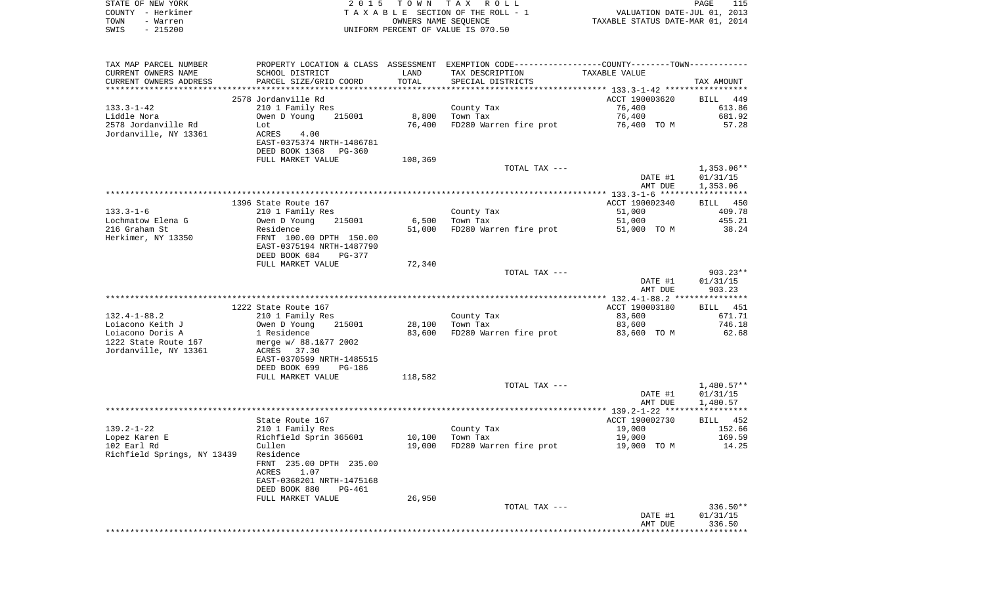|      | STATE OF NEW YORK | 2015 TOWN TAX ROLL                 | 115<br>PAGE                      |
|------|-------------------|------------------------------------|----------------------------------|
|      | COUNTY - Herkimer | TAXABLE SECTION OF THE ROLL - 1    | VALUATION DATE-JUL 01, 2013      |
| TOWN | - Warren          | OWNERS NAME SEOUENCE               | TAXABLE STATUS DATE-MAR 01, 2014 |
| SWIS | $-215200$         | UNIFORM PERCENT OF VALUE IS 070.50 |                                  |

| TAX MAP PARCEL NUMBER                                                  |                                                             |         |                        | PROPERTY LOCATION & CLASS ASSESSMENT EXEMPTION CODE---------------COUNTY-------TOWN---------- |                    |
|------------------------------------------------------------------------|-------------------------------------------------------------|---------|------------------------|-----------------------------------------------------------------------------------------------|--------------------|
| CURRENT OWNERS NAME                                                    | SCHOOL DISTRICT                                             | LAND    | TAX DESCRIPTION        | TAXABLE VALUE                                                                                 |                    |
| CURRENT OWNERS ADDRESS                                                 | PARCEL SIZE/GRID COORD                                      | TOTAL   | SPECIAL DISTRICTS      |                                                                                               | TAX AMOUNT         |
|                                                                        |                                                             |         |                        |                                                                                               |                    |
|                                                                        | 2578 Jordanville Rd                                         |         |                        | ACCT 190003620                                                                                | BILL 449           |
| 133.3-1-42                                                             | 210 1 Family Res                                            |         | County Tax<br>Town Tax | 76,400                                                                                        | 613.86             |
| Liddle Nora                                                            | Owen D Young 215001                                         | 8,800   | Town Tax               | 76,400                                                                                        | 681.92             |
| 2578 Jordanville Rd                                                    | Lot                                                         | 76,400  |                        | FD280 Warren fire prot 56,400 TO M                                                            | 57.28              |
| Jordanville, NY 13361                                                  | ACRES<br>4.00                                               |         |                        |                                                                                               |                    |
|                                                                        | EAST-0375374 NRTH-1486781                                   |         |                        |                                                                                               |                    |
|                                                                        | DEED BOOK 1368 PG-360<br>FULL MARKET VALUE                  | 108,369 |                        |                                                                                               |                    |
|                                                                        |                                                             |         | TOTAL TAX ---          |                                                                                               | 1,353.06**         |
|                                                                        |                                                             |         |                        | DATE #1                                                                                       | 01/31/15           |
|                                                                        |                                                             |         |                        | AMT DUE                                                                                       | 1,353.06           |
|                                                                        |                                                             |         |                        |                                                                                               |                    |
|                                                                        | 1396 State Route 167                                        |         |                        | ACCT 190002340                                                                                | BILL 450           |
| 133.3-1-6                                                              | 210 1 Family Res                                            |         | County Tax             | 51,000                                                                                        | 409.78             |
| Lochmatow Elena G                                                      | Owen D Young 215001<br>Residence<br>FRNT 100.00 DPTH 150.00 |         | 6,500 Town Tax         | 51,000                                                                                        | 455.21             |
| 216 Graham St                                                          |                                                             |         |                        | 51,000 FD280 Warren fire prot 51,000 TO M                                                     | 38.24              |
| Herkimer, NY 13350                                                     |                                                             |         |                        |                                                                                               |                    |
|                                                                        | EAST-0375194 NRTH-1487790                                   |         |                        |                                                                                               |                    |
|                                                                        | DEED BOOK 684 PG-377                                        |         |                        |                                                                                               |                    |
|                                                                        | FULL MARKET VALUE                                           | 72,340  |                        |                                                                                               |                    |
|                                                                        |                                                             |         | TOTAL TAX ---          |                                                                                               | $903.23**$         |
|                                                                        |                                                             |         |                        | DATE #1                                                                                       | 01/31/15           |
|                                                                        |                                                             |         |                        | AMT DUE                                                                                       | 903.23             |
|                                                                        |                                                             |         |                        |                                                                                               |                    |
|                                                                        | 1222 State Route 167                                        |         |                        | ACCT 190003180                                                                                | BILL 451           |
| 132.4-1-88.2                                                           | 210 1 Family Res                                            |         | County Tax             | 83,600                                                                                        | 671.71             |
|                                                                        | Owen D Young 215001<br>1 Residence                          | 28,100  | Town Tax               | 83,600                                                                                        | 746.18             |
| ⊔oiacono Keith J<br>Loiacono Doris A<br>1222 C<br>1222 State Route 167 | merge w/ 88.1&77 2002                                       | 83,600  | FD280 Warren fire prot | 83,600 TO M                                                                                   | 62.68              |
| Jordanville, NY 13361                                                  | ACRES 37.30                                                 |         |                        |                                                                                               |                    |
|                                                                        | EAST-0370599 NRTH-1485515                                   |         |                        |                                                                                               |                    |
|                                                                        | DEED BOOK 699<br>PG-186                                     |         |                        |                                                                                               |                    |
|                                                                        | FULL MARKET VALUE                                           | 118,582 |                        |                                                                                               |                    |
|                                                                        |                                                             |         | TOTAL TAX ---          |                                                                                               | 1,480.57**         |
|                                                                        |                                                             |         |                        | DATE #1                                                                                       | 01/31/15           |
|                                                                        |                                                             |         |                        | AMT DUE                                                                                       | 1,480.57           |
|                                                                        |                                                             |         |                        |                                                                                               |                    |
|                                                                        | State Route 167                                             |         |                        | ACCT 190002730                                                                                | BILL 452           |
| 139.2-1-22                                                             |                                                             |         | County Tax<br>Town Tax | 19,000                                                                                        | 152.66             |
| Lopez Karen E                                                          | 210 1 Family Res<br>Richfield Sprin 365601<br>Cullen        |         | 10,100 Town Tax        | 19,000                                                                                        | 169.59             |
| 102 Earl Rd                                                            |                                                             |         |                        | 19,000 FD280 Warren fire prot 19,000 TO M                                                     | 14.25              |
| Richfield Springs, NY 13439 Residence                                  |                                                             |         |                        |                                                                                               |                    |
|                                                                        | FRNT 235.00 DPTH 235.00                                     |         |                        |                                                                                               |                    |
|                                                                        | ACRES 1.07                                                  |         |                        |                                                                                               |                    |
|                                                                        | EAST-0368201 NRTH-1475168                                   |         |                        |                                                                                               |                    |
|                                                                        | DEED BOOK 880<br>PG-461                                     |         |                        |                                                                                               |                    |
|                                                                        | FULL MARKET VALUE                                           | 26,950  |                        |                                                                                               |                    |
|                                                                        |                                                             |         | TOTAL TAX ---          |                                                                                               | 336.50**           |
|                                                                        |                                                             |         |                        | DATE #1<br>AMT DUE                                                                            | 01/31/15<br>336.50 |
|                                                                        |                                                             |         |                        |                                                                                               |                    |
|                                                                        |                                                             |         |                        |                                                                                               |                    |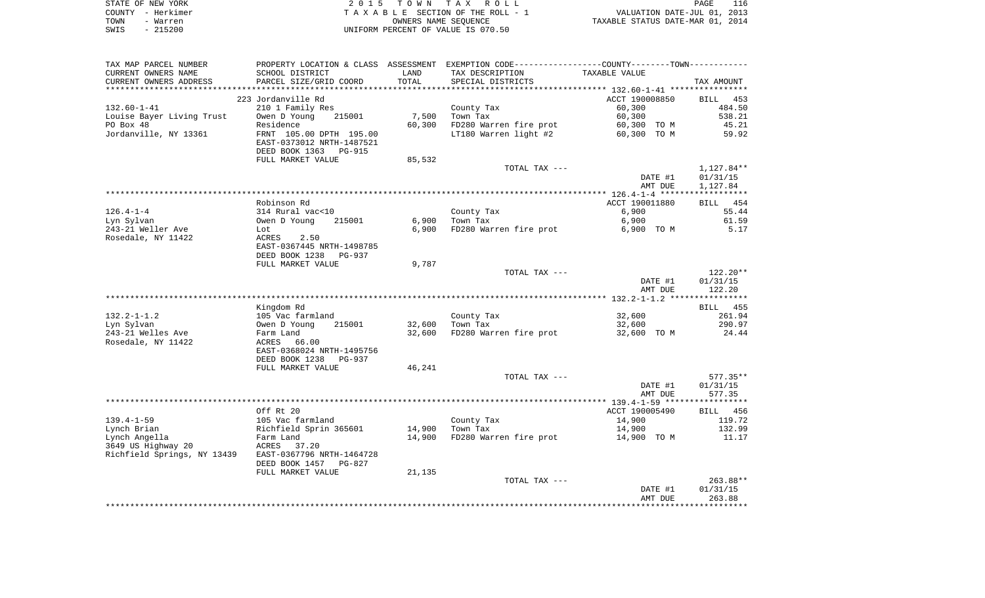| STATE OF NEW YORK | 2015 TOWN TAX ROLL                 | 116<br>PAGE                      |
|-------------------|------------------------------------|----------------------------------|
| COUNTY – Herkimer | TAXABLE SECTION OF THE ROLL - 1    | VALUATION DATE-JUL 01, 2013      |
| TOWN<br>- Warren  | OWNERS NAME SEOUENCE               | TAXABLE STATUS DATE-MAR 01, 2014 |
| - 215200<br>SWIS  | UNIFORM PERCENT OF VALUE IS 070.50 |                                  |

| CURRENT OWNERS NAME<br>SCHOOL DISTRICT<br>CURRENT OWNERS ADDRESS<br>PARCEL SIZE/GRID COORD<br>223 Jordanville Rd<br>$132.60 - 1 - 41$<br>210 1 Family Res<br>Louise Bayer Living Trust<br>Owen D Young<br>PO Box 48<br>Residence<br>Jordanville, NY 13361<br>FRNT 105.00 DPTH 195.00<br>EAST-0373012 NRTH-1487521 | LAND<br>TOTAL<br>7,500<br>215001<br>60,300 | PROPERTY LOCATION & CLASS ASSESSMENT EXEMPTION CODE----------------COUNTY--------TOWN----------<br>TAX DESCRIPTION<br>SPECIAL DISTRICTS<br>County Tax<br>Town Tax | TAXABLE VALUE<br>ACCT 190008850<br>60,300<br>60,300 | TAX AMOUNT<br>BILL 453<br>484.50 |
|-------------------------------------------------------------------------------------------------------------------------------------------------------------------------------------------------------------------------------------------------------------------------------------------------------------------|--------------------------------------------|-------------------------------------------------------------------------------------------------------------------------------------------------------------------|-----------------------------------------------------|----------------------------------|
|                                                                                                                                                                                                                                                                                                                   |                                            |                                                                                                                                                                   |                                                     |                                  |
|                                                                                                                                                                                                                                                                                                                   |                                            |                                                                                                                                                                   |                                                     |                                  |
|                                                                                                                                                                                                                                                                                                                   |                                            |                                                                                                                                                                   |                                                     |                                  |
|                                                                                                                                                                                                                                                                                                                   |                                            |                                                                                                                                                                   |                                                     |                                  |
|                                                                                                                                                                                                                                                                                                                   |                                            |                                                                                                                                                                   |                                                     |                                  |
|                                                                                                                                                                                                                                                                                                                   |                                            |                                                                                                                                                                   |                                                     |                                  |
|                                                                                                                                                                                                                                                                                                                   |                                            |                                                                                                                                                                   |                                                     | 538.21                           |
|                                                                                                                                                                                                                                                                                                                   |                                            | FD280 Warren fire prot                                                                                                                                            | 60,300 TO M                                         | 45.21                            |
|                                                                                                                                                                                                                                                                                                                   |                                            | LT180 Warren light #2                                                                                                                                             | 60,300 TO M                                         | 59.92                            |
|                                                                                                                                                                                                                                                                                                                   |                                            |                                                                                                                                                                   |                                                     |                                  |
| DEED BOOK 1363 PG-915                                                                                                                                                                                                                                                                                             |                                            |                                                                                                                                                                   |                                                     |                                  |
| FULL MARKET VALUE                                                                                                                                                                                                                                                                                                 | 85,532                                     |                                                                                                                                                                   |                                                     |                                  |
|                                                                                                                                                                                                                                                                                                                   |                                            | TOTAL TAX ---                                                                                                                                                     |                                                     | 1,127.84**                       |
|                                                                                                                                                                                                                                                                                                                   |                                            |                                                                                                                                                                   | DATE #1                                             | 01/31/15                         |
|                                                                                                                                                                                                                                                                                                                   |                                            |                                                                                                                                                                   |                                                     |                                  |
|                                                                                                                                                                                                                                                                                                                   |                                            |                                                                                                                                                                   | AMT DUE                                             | 1,127.84                         |
|                                                                                                                                                                                                                                                                                                                   |                                            |                                                                                                                                                                   |                                                     |                                  |
| Robinson Rd                                                                                                                                                                                                                                                                                                       |                                            |                                                                                                                                                                   | ACCT 190011880                                      | BILL 454                         |
| 126.4-1-4<br>314 Rural vac<10                                                                                                                                                                                                                                                                                     |                                            | County Tax                                                                                                                                                        | 6,900                                               | 55.44                            |
| Lyn Sylvan<br>Owen D Young                                                                                                                                                                                                                                                                                        | 6,900<br>215001                            | Town Tax                                                                                                                                                          | 6,900                                               | 61.59                            |
| 243-21 Weller Ave<br>Lot                                                                                                                                                                                                                                                                                          |                                            | 6,900 FD280 Warren fire prot                                                                                                                                      | 6,900 TO M                                          | 5.17                             |
| Rosedale, NY 11422<br>2.50<br>ACRES                                                                                                                                                                                                                                                                               |                                            |                                                                                                                                                                   |                                                     |                                  |
| EAST-0367445 NRTH-1498785                                                                                                                                                                                                                                                                                         |                                            |                                                                                                                                                                   |                                                     |                                  |
| DEED BOOK 1238                                                                                                                                                                                                                                                                                                    | PG-937                                     |                                                                                                                                                                   |                                                     |                                  |
| FULL MARKET VALUE                                                                                                                                                                                                                                                                                                 | 9,787                                      |                                                                                                                                                                   |                                                     |                                  |
|                                                                                                                                                                                                                                                                                                                   |                                            |                                                                                                                                                                   |                                                     |                                  |
|                                                                                                                                                                                                                                                                                                                   |                                            | TOTAL TAX ---                                                                                                                                                     |                                                     | 122.20**                         |
|                                                                                                                                                                                                                                                                                                                   |                                            |                                                                                                                                                                   | DATE #1                                             | 01/31/15                         |
|                                                                                                                                                                                                                                                                                                                   |                                            |                                                                                                                                                                   | AMT DUE                                             | 122.20                           |
|                                                                                                                                                                                                                                                                                                                   |                                            |                                                                                                                                                                   |                                                     |                                  |
| Kingdom Rd                                                                                                                                                                                                                                                                                                        |                                            |                                                                                                                                                                   |                                                     | BILL 455                         |
| $132.2 - 1 - 1.2$<br>105 Vac farmland                                                                                                                                                                                                                                                                             |                                            | County Tax                                                                                                                                                        | 32,600                                              | 261.94                           |
| Owen D Young<br>Lyn Sylvan                                                                                                                                                                                                                                                                                        | 215001<br>32,600                           | Town Tax                                                                                                                                                          | 32,600                                              | 290.97                           |
| 243-21 Welles Ave<br>Farm Land                                                                                                                                                                                                                                                                                    | 32,600                                     | FD280 Warren fire prot                                                                                                                                            | 32,600 TO M                                         | 24.44                            |
| Rosedale, NY 11422<br>ACRES 66.00                                                                                                                                                                                                                                                                                 |                                            |                                                                                                                                                                   |                                                     |                                  |
| EAST-0368024 NRTH-1495756                                                                                                                                                                                                                                                                                         |                                            |                                                                                                                                                                   |                                                     |                                  |
| DEED BOOK 1238                                                                                                                                                                                                                                                                                                    |                                            |                                                                                                                                                                   |                                                     |                                  |
|                                                                                                                                                                                                                                                                                                                   | PG-937                                     |                                                                                                                                                                   |                                                     |                                  |
| FULL MARKET VALUE                                                                                                                                                                                                                                                                                                 | 46,241                                     |                                                                                                                                                                   |                                                     |                                  |
|                                                                                                                                                                                                                                                                                                                   |                                            | TOTAL TAX ---                                                                                                                                                     |                                                     | $577.35**$                       |
|                                                                                                                                                                                                                                                                                                                   |                                            |                                                                                                                                                                   | DATE #1                                             | 01/31/15                         |
|                                                                                                                                                                                                                                                                                                                   |                                            |                                                                                                                                                                   | AMT DUE                                             | 577.35                           |
|                                                                                                                                                                                                                                                                                                                   |                                            |                                                                                                                                                                   |                                                     |                                  |
| Off Rt 20                                                                                                                                                                                                                                                                                                         |                                            |                                                                                                                                                                   | ACCT 190005490                                      | BILL 456                         |
| 139.4-1-59<br>105 Vac farmland                                                                                                                                                                                                                                                                                    |                                            | County Tax                                                                                                                                                        | 14,900                                              | 119.72                           |
| Richfield Sprin 365601<br>Lynch Brian                                                                                                                                                                                                                                                                             | 14,900                                     | Town Tax                                                                                                                                                          | 14,900                                              | 132.99                           |
| Lynch Angella<br>Farm Land                                                                                                                                                                                                                                                                                        | 14,900                                     | FD280 Warren fire prot                                                                                                                                            | 14,900 TO M                                         | 11.17                            |
| $ACRES$ 37.20<br>3649 US Highway 20                                                                                                                                                                                                                                                                               |                                            |                                                                                                                                                                   |                                                     |                                  |
|                                                                                                                                                                                                                                                                                                                   |                                            |                                                                                                                                                                   |                                                     |                                  |
|                                                                                                                                                                                                                                                                                                                   |                                            |                                                                                                                                                                   |                                                     |                                  |
| Richfield Springs, NY 13439    EAST-0367796 NRTH-1464728                                                                                                                                                                                                                                                          |                                            |                                                                                                                                                                   |                                                     |                                  |
| DEED BOOK 1457 PG-827                                                                                                                                                                                                                                                                                             |                                            |                                                                                                                                                                   |                                                     |                                  |
| FULL MARKET VALUE                                                                                                                                                                                                                                                                                                 | 21,135                                     |                                                                                                                                                                   |                                                     |                                  |
|                                                                                                                                                                                                                                                                                                                   |                                            | TOTAL TAX ---                                                                                                                                                     |                                                     | 263.88**                         |
|                                                                                                                                                                                                                                                                                                                   |                                            |                                                                                                                                                                   | DATE #1                                             | 01/31/15                         |
|                                                                                                                                                                                                                                                                                                                   |                                            |                                                                                                                                                                   | AMT DUE                                             | 263.88                           |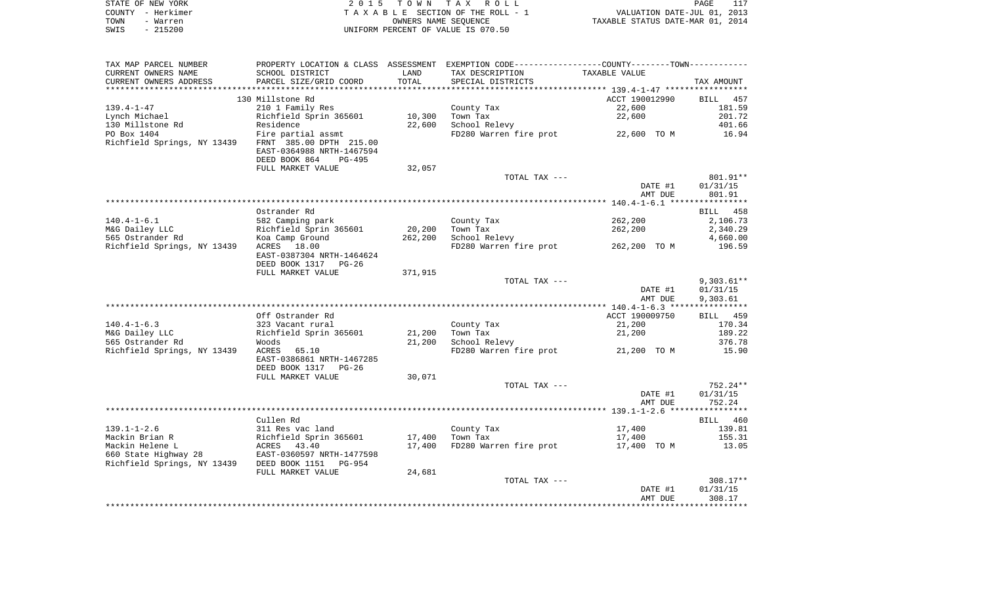|      | STATE OF NEW YORK | 2015 TOWN TAX ROLL                 | PAGE                             |
|------|-------------------|------------------------------------|----------------------------------|
|      | COUNTY - Herkimer | TAXABLE SECTION OF THE ROLL - 1    | VALUATION DATE-JUL 01, 2013      |
| TOWN | - Warren          | OWNERS NAME SEOUENCE               | TAXABLE STATUS DATE-MAR 01, 2014 |
| SWIS | $-215200$         | UNIFORM PERCENT OF VALUE IS 070.50 |                                  |

| TAX MAP PARCEL NUMBER                               | PROPERTY LOCATION & CLASS ASSESSMENT EXEMPTION CODE---------------COUNTY-------TOWN---------- |         |                                     |                                    |                    |
|-----------------------------------------------------|-----------------------------------------------------------------------------------------------|---------|-------------------------------------|------------------------------------|--------------------|
| CURRENT OWNERS NAME                                 | SCHOOL DISTRICT                                                                               | LAND    | TAX DESCRIPTION                     | TAXABLE VALUE                      |                    |
| CURRENT OWNERS ADDRESS                              | PARCEL SIZE/GRID COORD                                                                        | TOTAL   | SPECIAL DISTRICTS                   |                                    | TAX AMOUNT         |
| **********************                              |                                                                                               |         |                                     |                                    |                    |
|                                                     | 130 Millstone Rd                                                                              |         |                                     | ACCT 190012990                     | <b>BILL</b><br>457 |
| $139.4 - 1 - 47$                                    | 210 1 Family Res                                                                              |         | County Tax                          | 22,600                             | 181.59             |
| Lynch Michael                                       | Richfield Sprin 365601                                                                        | 10,300  | Town Tax                            | 22,600                             | 201.72             |
| 130 Millstone Rd                                    | Residence                                                                                     | 22,600  | School Relevy                       |                                    | 401.66             |
| PO Box 1404                                         | Fire partial assmt                                                                            |         |                                     | FD280 Warren fire prot 22,600 TO M | 16.94              |
| Richfield Springs, NY 13439 FRNT 385.00 DPTH 215.00 |                                                                                               |         |                                     |                                    |                    |
|                                                     | EAST-0364988 NRTH-1467594                                                                     |         |                                     |                                    |                    |
|                                                     | DEED BOOK 864<br>PG-495                                                                       |         |                                     |                                    |                    |
|                                                     | FULL MARKET VALUE                                                                             | 32,057  |                                     |                                    |                    |
|                                                     |                                                                                               |         | TOTAL TAX ---                       |                                    | 801.91**           |
|                                                     |                                                                                               |         |                                     | DATE #1                            | 01/31/15           |
|                                                     |                                                                                               |         |                                     | AMT DUE                            | 801.91             |
|                                                     |                                                                                               |         |                                     |                                    |                    |
|                                                     | Ostrander Rd                                                                                  |         |                                     |                                    | BILL 458           |
| $140.4 - 1 - 6.1$                                   | 582 Camping park                                                                              |         | County Tax                          | 262,200                            | 2,106.73           |
| M&G Dailey LLC                                      | Richfield Sprin 365601                                                                        | 20,200  | Town Tax                            | 262,200                            | 2,340.29           |
| 565 Ostrander Rd                                    |                                                                                               | 262,200 | School Relevy                       |                                    |                    |
|                                                     | Koa Camp Ground                                                                               |         | FD280 Warren fire prot 262,200 TO M |                                    | 4,660.00<br>196.59 |
| Richfield Springs, NY 13439                         | ACRES 18.00                                                                                   |         |                                     |                                    |                    |
|                                                     | EAST-0387304 NRTH-1464624                                                                     |         |                                     |                                    |                    |
|                                                     | DEED BOOK 1317 PG-26                                                                          |         |                                     |                                    |                    |
|                                                     | FULL MARKET VALUE                                                                             | 371,915 |                                     |                                    |                    |
|                                                     |                                                                                               |         | TOTAL TAX ---                       |                                    | $9,303.61**$       |
|                                                     |                                                                                               |         |                                     | DATE #1                            | 01/31/15           |
|                                                     |                                                                                               |         |                                     | AMT DUE                            | 9,303.61           |
|                                                     |                                                                                               |         |                                     |                                    |                    |
|                                                     | Off Ostrander Rd                                                                              |         |                                     | ACCT 190009750                     | BILL 459           |
| $140.4 - 1 - 6.3$                                   | 323 Vacant rural                                                                              |         | County Tax                          | 21,200                             | 170.34             |
| M&G Dailey LLC                                      | Richfield Sprin 365601                                                                        | 21,200  | Town Tax                            | 21,200                             | 189.22             |
| 565 Ostrander Rd                                    | Woods                                                                                         | 21,200  | School Relevy                       |                                    | 376.78             |
| Richfield Springs, NY 13439                         | ACRES<br>65.10                                                                                |         |                                     | FD280 Warren fire prot 21,200 TO M | 15.90              |
|                                                     | EAST-0386861 NRTH-1467285                                                                     |         |                                     |                                    |                    |
|                                                     | DEED BOOK 1317 PG-26                                                                          |         |                                     |                                    |                    |
|                                                     | FULL MARKET VALUE                                                                             | 30,071  |                                     |                                    |                    |
|                                                     |                                                                                               |         | TOTAL TAX ---                       |                                    | 752.24**           |
|                                                     |                                                                                               |         |                                     | DATE #1                            | 01/31/15           |
|                                                     |                                                                                               |         |                                     | AMT DUE                            | 752.24             |
|                                                     |                                                                                               |         |                                     |                                    |                    |
|                                                     | Cullen Rd                                                                                     |         |                                     |                                    | BILL 460           |
| $139.1 - 1 - 2.6$                                   | 311 Res vac land                                                                              |         | County Tax                          | 17,400                             | 139.81             |
| Mackin Brian R                                      | Richfield Sprin 365601<br>ACRES 43.40                                                         | 17,400  | Town Tax                            | 17,400                             | 155.31             |
| Mackin Helene L                                     |                                                                                               | 17,400  | FD280 Warren fire prot              | 17,400 TO M                        | 13.05              |
| 660 State Highway 28                                | EAST-0360597 NRTH-1477598                                                                     |         |                                     |                                    |                    |
| Richfield Springs, NY 13439 DEED BOOK 1151 PG-954   |                                                                                               |         |                                     |                                    |                    |
|                                                     | FULL MARKET VALUE                                                                             | 24,681  |                                     |                                    |                    |
|                                                     |                                                                                               |         | TOTAL TAX ---                       |                                    | $308.17**$         |
|                                                     |                                                                                               |         |                                     | DATE #1                            | 01/31/15           |
|                                                     |                                                                                               |         |                                     | AMT DUE                            | 308.17             |
|                                                     |                                                                                               |         |                                     |                                    |                    |
|                                                     |                                                                                               |         |                                     |                                    |                    |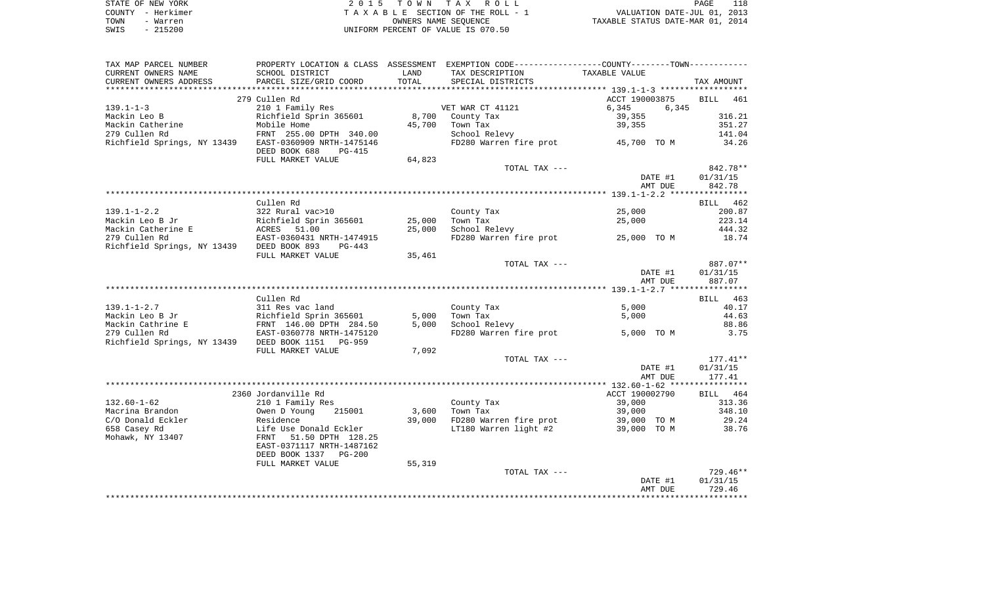| STATE OF NEW YORK | 2015 TOWN TAX ROLL                 | 118<br>PAGE                      |
|-------------------|------------------------------------|----------------------------------|
| COUNTY - Herkimer | TAXABLE SECTION OF THE ROLL - 1    | VALUATION DATE-JUL 01, 2013      |
| TOWN<br>- Warren  | OWNERS NAME SEOUENCE               | TAXABLE STATUS DATE-MAR 01, 2014 |
| $-215200$<br>SWIS | UNIFORM PERCENT OF VALUE IS 070.50 |                                  |

| TAX MAP PARCEL NUMBER                             |                             |        | PROPERTY LOCATION & CLASS ASSESSMENT EXEMPTION CODE---------------COUNTY--------TOWN----------- |                |                    |
|---------------------------------------------------|-----------------------------|--------|-------------------------------------------------------------------------------------------------|----------------|--------------------|
| CURRENT OWNERS NAME                               | SCHOOL DISTRICT             | LAND   | TAX DESCRIPTION                                                                                 | TAXABLE VALUE  |                    |
| CURRENT OWNERS ADDRESS                            | PARCEL SIZE/GRID COORD      | TOTAL  | SPECIAL DISTRICTS                                                                               |                | TAX AMOUNT         |
|                                                   |                             |        |                                                                                                 |                |                    |
|                                                   | 279 Cullen Rd               |        |                                                                                                 | ACCT 190003875 | <b>BILL</b><br>461 |
| $139.1 - 1 - 3$                                   | 210 1 Family Res            |        | VET WAR CT 41121                                                                                | 6,345<br>6,345 |                    |
| Mackin Leo B                                      | Richfield Sprin 365601      | 8,700  | County Tax                                                                                      | 39,355         | 316.21             |
| Mackin Catherine                                  | Mobile Home                 | 45,700 | Town Tax                                                                                        | 39,355         | 351.27             |
| 279 Cullen Rd                                     | FRNT 255.00 DPTH 340.00     |        | School Relevy                                                                                   |                | 141.04             |
| Richfield Springs, NY 13439                       | EAST-0360909 NRTH-1475146   |        | FD280 Warren fire prot                                                                          | 45,700 TO M    | 34.26              |
|                                                   | DEED BOOK 688<br>PG-415     |        |                                                                                                 |                |                    |
|                                                   | FULL MARKET VALUE           | 64,823 |                                                                                                 |                |                    |
|                                                   |                             |        | TOTAL TAX ---                                                                                   |                | 842.78**           |
|                                                   |                             |        |                                                                                                 | DATE #1        | 01/31/15           |
|                                                   |                             |        |                                                                                                 | AMT DUE        | 842.78             |
|                                                   |                             |        |                                                                                                 |                |                    |
|                                                   | Cullen Rd                   |        |                                                                                                 |                | BILL 462           |
| $139.1 - 1 - 2.2$                                 | 322 Rural vac>10            |        | County Tax                                                                                      | 25,000         | 200.87             |
| Mackin Leo B Jr                                   | Richfield Sprin 365601      | 25,000 | Town Tax                                                                                        | 25,000         | 223.14             |
| Mackin Catherine E                                | ACRES <sup>-</sup><br>51.00 | 25,000 | School Relevy                                                                                   |                | 444.32             |
| 279 Cullen Rd                                     | EAST-0360431 NRTH-1474915   |        | FD280 Warren fire prot                                                                          | 25,000 TO M    | 18.74              |
| Richfield Springs, NY 13439                       | DEED BOOK 893<br>$PG-443$   |        |                                                                                                 |                |                    |
|                                                   | FULL MARKET VALUE           | 35,461 |                                                                                                 |                |                    |
|                                                   |                             |        | TOTAL TAX ---                                                                                   |                | 887.07**           |
|                                                   |                             |        |                                                                                                 | DATE #1        | 01/31/15           |
|                                                   |                             |        |                                                                                                 | AMT DUE        | 887.07             |
|                                                   |                             |        |                                                                                                 |                |                    |
|                                                   |                             |        |                                                                                                 |                |                    |
|                                                   |                             |        |                                                                                                 |                |                    |
|                                                   | Cullen Rd                   |        |                                                                                                 |                | BILL 463           |
| $139.1 - 1 - 2.7$                                 | 311 Res vac land            |        | County Tax                                                                                      | 5,000          | 40.17              |
| Mackin Leo B Jr                                   | Richfield Sprin 365601      | 5,000  | Town Tax                                                                                        | 5,000          | 44.63              |
| Mackin Cathrine E                                 | FRNT 146.00 DPTH 284.50     | 5,000  | School Relevy                                                                                   |                | 88.86              |
| 279 Cullen Rd                                     | EAST-0360778 NRTH-1475120   |        | FD280 Warren fire prot                                                                          | 5,000 TO M     | 3.75               |
| Richfield Springs, NY 13439 DEED BOOK 1151 PG-959 |                             |        |                                                                                                 |                |                    |
|                                                   | FULL MARKET VALUE           | 7,092  |                                                                                                 |                |                    |
|                                                   |                             |        | TOTAL TAX ---                                                                                   |                | $177.41**$         |
|                                                   |                             |        |                                                                                                 | DATE #1        | 01/31/15           |
|                                                   |                             |        |                                                                                                 | AMT DUE        | 177.41             |
|                                                   |                             |        |                                                                                                 |                |                    |
|                                                   | 2360 Jordanville Rd         |        |                                                                                                 | ACCT 190002790 | BILL 464           |
| $132.60 - 1 - 62$                                 | 210 1 Family Res            |        | County Tax                                                                                      | 39,000         | 313.36             |
| Macrina Brandon                                   | Owen D Young<br>215001      | 3,600  | Town Tax                                                                                        | 39,000         | 348.10             |
| C/O Donald Eckler                                 | Residence                   | 39,000 | FD280 Warren fire prot                                                                          | 39,000 TO M    | 29.24              |
| 658 Casey Rd                                      | Life Use Donald Eckler      |        | LT180 Warren light #2                                                                           | 39,000 TO M    | 38.76              |
| Mohawk, NY 13407                                  | 51.50 DPTH 128.25<br>FRNT   |        |                                                                                                 |                |                    |
|                                                   | EAST-0371117 NRTH-1487162   |        |                                                                                                 |                |                    |
|                                                   | DEED BOOK 1337 PG-200       |        |                                                                                                 |                |                    |
|                                                   | FULL MARKET VALUE           | 55,319 |                                                                                                 |                |                    |
|                                                   |                             |        | TOTAL TAX ---                                                                                   |                | $729.46**$         |
|                                                   |                             |        |                                                                                                 | DATE #1        | 01/31/15           |
|                                                   |                             |        |                                                                                                 | AMT DUE        | 729.46             |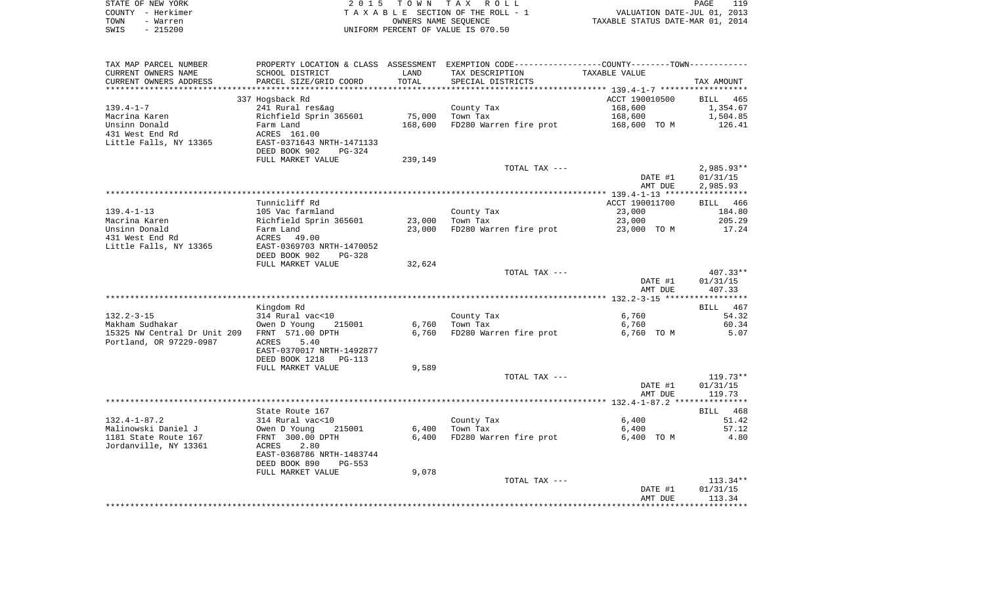|      | STATE OF NEW YORK | 2015 TOWN TAX ROLL                 | PAGE                             | 119 |
|------|-------------------|------------------------------------|----------------------------------|-----|
|      | COUNTY - Herkimer | TAXABLE SECTION OF THE ROLL - 1    | VALUATION DATE-JUL 01, 2013      |     |
| TOWN | - Warren          | OWNERS NAME SEOUENCE               | TAXABLE STATUS DATE-MAR 01, 2014 |     |
| SWIS | - 215200          | UNIFORM PERCENT OF VALUE IS 070.50 |                                  |     |

| TAX MAP PARCEL NUMBER<br>CURRENT OWNERS NAME    | PROPERTY LOCATION & CLASS ASSESSMENT<br>SCHOOL DISTRICT | LAND           | EXEMPTION CODE-----------------COUNTY-------TOWN-----------<br>TAX DESCRIPTION | TAXABLE VALUE                                             |                    |
|-------------------------------------------------|---------------------------------------------------------|----------------|--------------------------------------------------------------------------------|-----------------------------------------------------------|--------------------|
| CURRENT OWNERS ADDRESS                          | PARCEL SIZE/GRID COORD                                  | TOTAL          | SPECIAL DISTRICTS                                                              |                                                           | TAX AMOUNT         |
|                                                 |                                                         | ********       |                                                                                | **************************** 139.4-1-7 ****************** |                    |
|                                                 | 337 Hogsback Rd                                         |                |                                                                                | ACCT 190010500                                            | <b>BILL</b><br>465 |
| $139.4 - 1 - 7$                                 | 241 Rural res&ag                                        |                | County Tax                                                                     | 168,600                                                   | 1,354.67           |
| Macrina Karen                                   | Richfield Sprin 365601                                  | 75,000         | Town Tax                                                                       | 168,600                                                   | 1,504.85           |
| Unsinn Donald                                   | Farm Land                                               | 168,600        | FD280 Warren fire prot                                                         | 168,600 TO M                                              | 126.41             |
| 431 West End Rd                                 | ACRES 161.00                                            |                |                                                                                |                                                           |                    |
| Little Falls, NY 13365                          | EAST-0371643 NRTH-1471133<br>DEED BOOK 902<br>PG-324    |                |                                                                                |                                                           |                    |
|                                                 | FULL MARKET VALUE                                       | 239,149        |                                                                                |                                                           |                    |
|                                                 |                                                         |                | TOTAL TAX ---                                                                  |                                                           | $2,985.93**$       |
|                                                 |                                                         |                |                                                                                | DATE #1                                                   | 01/31/15           |
|                                                 |                                                         |                |                                                                                | AMT DUE                                                   | 2,985.93           |
|                                                 |                                                         |                |                                                                                |                                                           |                    |
|                                                 | Tunnicliff Rd                                           |                |                                                                                | ACCT 190011700                                            | BILL 466           |
| $139.4 - 1 - 13$                                | 105 Vac farmland                                        |                | County Tax                                                                     | 23,000                                                    | 184.80             |
| Macrina Karen                                   | Richfield Sprin 365601                                  | 23,000         | Town Tax                                                                       | 23,000                                                    | 205.29             |
| Unsinn Donald                                   | Farm Land                                               | 23,000         | FD280 Warren fire prot                                                         | 23,000 TO M                                               | 17.24              |
| 431 West End Rd                                 | ACRES 49.00                                             |                |                                                                                |                                                           |                    |
| Little Falls, NY 13365                          | EAST-0369703 NRTH-1470052                               |                |                                                                                |                                                           |                    |
|                                                 | DEED BOOK 902<br>$PG-328$                               |                |                                                                                |                                                           |                    |
|                                                 | FULL MARKET VALUE                                       | 32,624         |                                                                                |                                                           |                    |
|                                                 |                                                         |                | TOTAL TAX ---                                                                  |                                                           | $407.33**$         |
|                                                 |                                                         |                |                                                                                | DATE #1                                                   | 01/31/15           |
|                                                 |                                                         |                |                                                                                | AMT DUE                                                   | 407.33             |
|                                                 |                                                         |                |                                                                                |                                                           |                    |
|                                                 | Kingdom Rd                                              |                |                                                                                |                                                           | 467<br>BILL        |
| $132.2 - 3 - 15$                                | 314 Rural vac<10                                        |                | County Tax                                                                     | 6,760                                                     | 54.32              |
| Makham Sudhakar<br>15325 NW Central Dr Unit 209 | Owen D Young<br>215001<br>FRNT 571.00 DPTH              | 6,760<br>6,760 | Town Tax<br>FD280 Warren fire prot                                             | 6,760<br>6,760 TO M                                       | 60.34<br>5.07      |
| Portland, OR 97229-0987                         | ACRES<br>5.40                                           |                |                                                                                |                                                           |                    |
|                                                 | EAST-0370017 NRTH-1492877                               |                |                                                                                |                                                           |                    |
|                                                 | DEED BOOK 1218<br>$PG-113$                              |                |                                                                                |                                                           |                    |
|                                                 | FULL MARKET VALUE                                       | 9,589          |                                                                                |                                                           |                    |
|                                                 |                                                         |                | TOTAL TAX ---                                                                  |                                                           | $119.73**$         |
|                                                 |                                                         |                |                                                                                | DATE #1                                                   | 01/31/15           |
|                                                 |                                                         |                |                                                                                | AMT DUE                                                   | 119.73             |
|                                                 |                                                         |                |                                                                                |                                                           |                    |
|                                                 | State Route 167                                         |                |                                                                                |                                                           | BILL 468           |
| $132.4 - 1 - 87.2$                              | 314 Rural vac<10                                        |                | County Tax                                                                     | 6,400                                                     | 51.42              |
| Malinowski Daniel J                             | Owen D Young<br>215001                                  | 6,400          | Town Tax                                                                       | 6,400                                                     | 57.12              |
| 1181 State Route 167                            | FRNT 300.00 DPTH                                        | 6,400          | FD280 Warren fire prot                                                         | 6,400 TO M                                                | 4.80               |
| Jordanville, NY 13361                           | 2.80<br>ACRES                                           |                |                                                                                |                                                           |                    |
|                                                 | EAST-0368786 NRTH-1483744                               |                |                                                                                |                                                           |                    |
|                                                 | DEED BOOK 890<br>PG-553                                 |                |                                                                                |                                                           |                    |
|                                                 | FULL MARKET VALUE                                       | 9,078          |                                                                                |                                                           |                    |
|                                                 |                                                         |                | TOTAL TAX ---                                                                  |                                                           | $113.34**$         |
|                                                 |                                                         |                |                                                                                | DATE #1                                                   | 01/31/15           |
|                                                 |                                                         |                |                                                                                | AMT DUE                                                   | 113.34             |
|                                                 |                                                         |                |                                                                                |                                                           |                    |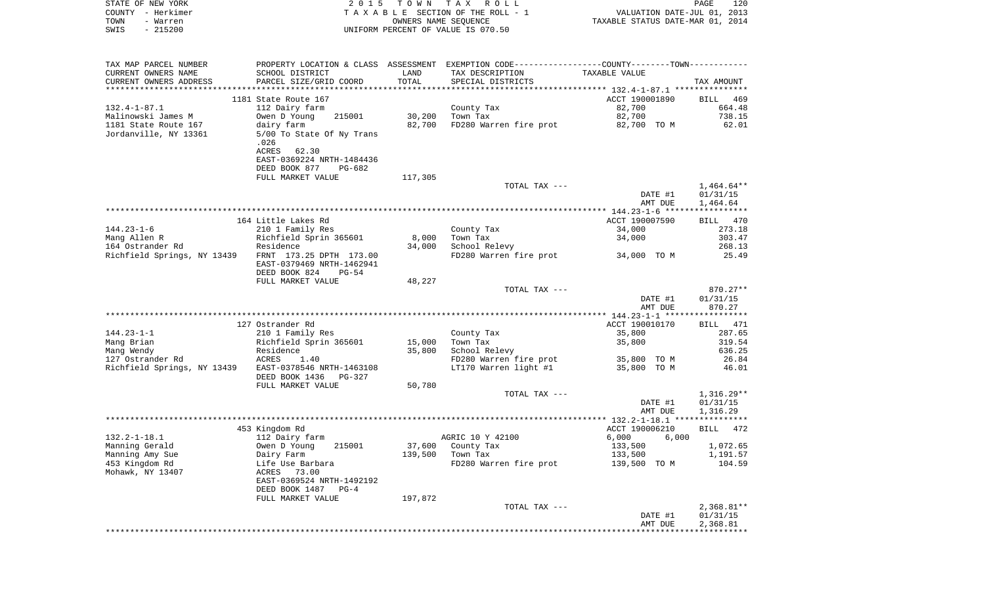| STATE OF NEW YORK      |                           |            | 2015 TOWN TAX ROLL                 |                                                             | PAGE                        | 120        |
|------------------------|---------------------------|------------|------------------------------------|-------------------------------------------------------------|-----------------------------|------------|
| - Herkimer<br>COUNTY   |                           |            | TAXABLE SECTION OF THE ROLL - 1    |                                                             | VALUATION DATE-JUL 01, 2013 |            |
| TOWN<br>- Warren       |                           |            | OWNERS NAME SEOUENCE               | TAXABLE STATUS DATE-MAR 01, 2014                            |                             |            |
| $-215200$<br>SWIS      |                           |            | UNIFORM PERCENT OF VALUE IS 070.50 |                                                             |                             |            |
|                        |                           |            |                                    |                                                             |                             |            |
| TAX MAP PARCEL NUMBER  | PROPERTY LOCATION & CLASS | ASSESSMENT |                                    | EXEMPTION CODE-----------------COUNTY-------TOWN----------- |                             |            |
| CURRENT OWNERS NAME    | SCHOOL DISTRICT           | LAND       | TAX DESCRIPTION                    | TAXABLE VALUE                                               |                             |            |
| CURRENT OWNERS ADDRESS | PARCEL SIZE/GRID COORD    | TOTAL      | SPECIAL DISTRICTS                  |                                                             |                             | TAX AMOUNT |

|                             |                           |         |                        | *********** 132.4-1-87.1 **************** |                         |
|-----------------------------|---------------------------|---------|------------------------|-------------------------------------------|-------------------------|
|                             | 1181 State Route 167      |         |                        | ACCT 190001890                            | 469<br>BILL             |
| $132.4 - 1 - 87.1$          | 112 Dairy farm            |         | County Tax             | 82,700                                    | 664.48                  |
| Malinowski James M          | 215001<br>Owen D Young    | 30,200  | Town Tax               | 82,700                                    | 738.15                  |
|                             |                           |         |                        |                                           |                         |
| 1181 State Route 167        | dairy farm                | 82,700  | FD280 Warren fire prot | 82,700 TO M                               | 62.01                   |
| Jordanville, NY 13361       | 5/00 To State Of Ny Trans |         |                        |                                           |                         |
|                             | .026                      |         |                        |                                           |                         |
|                             | ACRES 62.30               |         |                        |                                           |                         |
|                             | EAST-0369224 NRTH-1484436 |         |                        |                                           |                         |
|                             | DEED BOOK 877<br>$PG-682$ |         |                        |                                           |                         |
|                             | FULL MARKET VALUE         | 117,305 |                        |                                           |                         |
|                             |                           |         | TOTAL TAX ---          |                                           | $1,464.64**$            |
|                             |                           |         |                        | DATE #1                                   | 01/31/15                |
|                             |                           |         |                        |                                           |                         |
|                             |                           |         |                        | AMT DUE                                   | 1,464.64                |
|                             |                           |         |                        |                                           |                         |
|                             | 164 Little Lakes Rd       |         |                        | ACCT 190007590                            | BILL 470                |
| $144.23 - 1 - 6$            | 210 1 Family Res          |         | County Tax             | 34,000                                    | 273.18                  |
| Mang Allen R                | Richfield Sprin 365601    | 8,000   | Town Tax               | 34,000                                    | 303.47                  |
| 164 Ostrander Rd            | Residence                 | 34,000  | School Relevy          |                                           | 268.13                  |
| Richfield Springs, NY 13439 | FRNT 173.25 DPTH 173.00   |         | FD280 Warren fire prot | 34,000 TO M                               | 25.49                   |
|                             | EAST-0379469 NRTH-1462941 |         |                        |                                           |                         |
|                             | DEED BOOK 824<br>$PG-54$  |         |                        |                                           |                         |
|                             |                           |         |                        |                                           |                         |
|                             | FULL MARKET VALUE         | 48,227  |                        |                                           |                         |
|                             |                           |         | TOTAL TAX ---          |                                           | 870.27**                |
|                             |                           |         |                        | DATE #1                                   | 01/31/15                |
|                             |                           |         |                        | AMT DUE                                   | 870.27                  |
|                             |                           |         |                        |                                           |                         |
|                             | 127 Ostrander Rd          |         |                        | ACCT 190010170                            | BILL<br>471             |
| $144.23 - 1 - 1$            | 210 1 Family Res          |         | County Tax             | 35,800                                    | 287.65                  |
| Mang Brian                  | Richfield Sprin 365601    | 15,000  | Town Tax               | 35,800                                    | 319.54                  |
| Mang Wendy                  | Residence                 | 35,800  | School Relevy          |                                           | 636.25                  |
| 127 Ostrander Rd            | <b>ACRES</b><br>1.40      |         | FD280 Warren fire prot | 35,800 TO M                               | 26.84                   |
| Richfield Springs, NY 13439 | EAST-0378546 NRTH-1463108 |         | LT170 Warren light #1  | 35,800 TO M                               | 46.01                   |
|                             | DEED BOOK 1436<br>PG-327  |         |                        |                                           |                         |
|                             |                           |         |                        |                                           |                         |
|                             | FULL MARKET VALUE         | 50,780  |                        |                                           |                         |
|                             |                           |         | TOTAL TAX ---          |                                           | $1,316.29**$            |
|                             |                           |         |                        | DATE #1                                   | 01/31/15                |
|                             |                           |         |                        | AMT DUE                                   | 1,316.29                |
|                             |                           |         |                        |                                           |                         |
|                             | 453 Kingdom Rd            |         |                        | ACCT 190006210                            | 472<br><b>BILL</b>      |
| $132.2 - 1 - 18.1$          | 112 Dairy farm            |         | AGRIC 10 Y 42100       | 6,000<br>6.000                            |                         |
| Manning Gerald              | Owen D Young<br>215001    | 37,600  | County Tax             | 133,500                                   | 1,072.65                |
| Manning Amy Sue             | Dairy Farm                | 139,500 | Town Tax               | 133,500                                   | 1,191.57                |
| 453 Kingdom Rd              | Life Use Barbara          |         | FD280 Warren fire prot | 139,500 TO M                              | 104.59                  |
| Mohawk, NY 13407            | 73.00<br>ACRES            |         |                        |                                           |                         |
|                             | EAST-0369524 NRTH-1492192 |         |                        |                                           |                         |
|                             |                           |         |                        |                                           |                         |
|                             | DEED BOOK 1487<br>$PG-4$  |         |                        |                                           |                         |
|                             | FULL MARKET VALUE         | 197,872 |                        |                                           |                         |
|                             |                           |         | TOTAL TAX ---          |                                           | $2,368.81**$            |
|                             |                           |         |                        | DATE #1                                   | 01/31/15                |
|                             |                           |         |                        | AMT DUE                                   | 2,368.81                |
|                             |                           |         |                        |                                           | * * * * * * * * * * * * |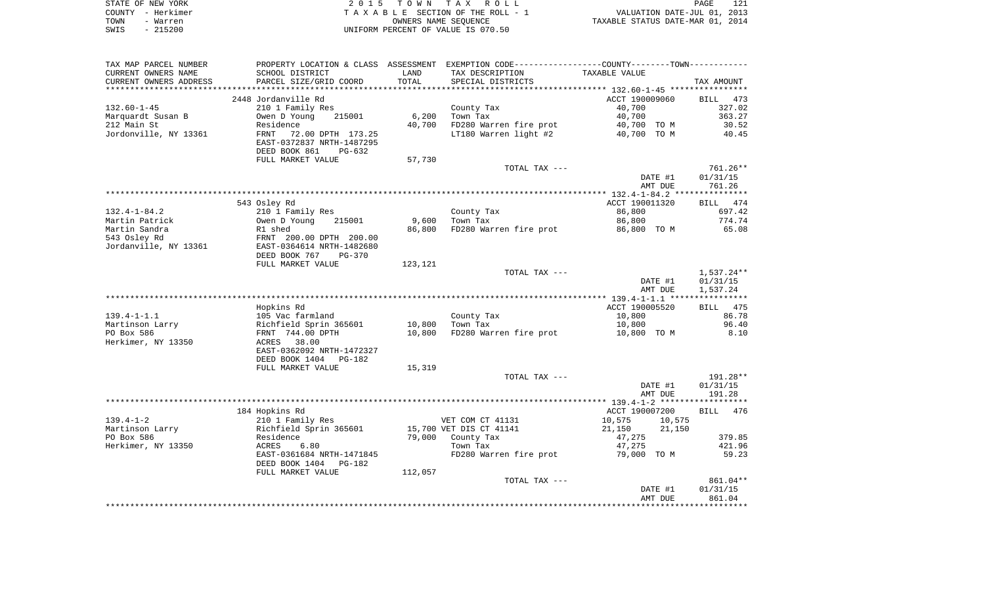|      | STATE OF NEW YORK | 2015 TOWN TAX ROLL                 | PAGE                             | 121 |
|------|-------------------|------------------------------------|----------------------------------|-----|
|      | COUNTY - Herkimer | TAXABLE SECTION OF THE ROLL - 1    | VALUATION DATE-JUL 01, 2013      |     |
| TOWN | - Warren          | OWNERS NAME SEOUENCE               | TAXABLE STATUS DATE-MAR 01, 2014 |     |
| SWIS | $-215200$         | UNIFORM PERCENT OF VALUE IS 070.50 |                                  |     |

| SCHOOL DISTRICT<br>LAND<br>TAX DESCRIPTION<br>TAXABLE VALUE<br>TOTAL<br>PARCEL SIZE/GRID COORD<br>SPECIAL DISTRICTS<br>TAX AMOUNT<br>2448 Jordanville Rd<br>ACCT 190009060<br>BILL 473<br>210 1 Family Res<br>County Tax<br>40,700<br>327.02<br>Owen D Young<br>215001<br>6,200<br>Town Tax<br>40,700<br>363.27<br>40,700<br>FD280 Warren fire prot<br>30.52<br>Residence<br>40,700 TO M<br>LT180 Warren light #2<br>FRNT<br>72.00 DPTH 173.25<br>40,700 TO M<br>40.45<br>EAST-0372837 NRTH-1487295<br>DEED BOOK 861<br>$PG-632$<br>FULL MARKET VALUE<br>57,730<br>761.26**<br>TOTAL TAX ---<br>DATE #1<br>01/31/15<br>AMT DUE<br>761.26<br>543 Osley Rd<br>ACCT 190011320<br>BILL 474<br>697.42<br>210 1 Family Res<br>County Tax<br>86,800<br>9,600<br>Town Tax<br>86,800<br>774.74<br>Owen D Young<br>215001<br>FD280 Warren fire prot<br>R1 shed<br>86,800<br>86,800 TO M<br>65.08<br>FRNT 200.00 DPTH 200.00<br>EAST-0364614 NRTH-1482680<br>DEED BOOK 767<br><b>PG-370</b><br>123,121<br>FULL MARKET VALUE<br>1,537.24**<br>TOTAL TAX ---<br>DATE #1<br>01/31/15<br>AMT DUE<br>1,537.24<br>Hopkins Rd<br>BILL 475<br>ACCT 190005520<br>86.78<br>105 Vac farmland<br>County Tax<br>10,800<br>Richfield Sprin 365601<br>10,800<br>Town Tax<br>10,800<br>96.40<br>FD280 Warren fire prot<br>8.10<br>FRNT 744.00 DPTH<br>10,800<br>10,800 TO M<br>ACRES<br>38.00<br>EAST-0362092 NRTH-1472327<br>DEED BOOK 1404<br>PG-182<br>FULL MARKET VALUE<br>15,319<br>191.28**<br>TOTAL TAX ---<br>01/31/15<br>DATE #1<br>AMT DUE<br>191.28<br>184 Hopkins Rd<br>BILL 476<br>ACCT 190007200<br>210 1 Family Res<br>VET COM CT 41131<br>10,575<br>10,575<br>Richfield Sprin 365601<br>15,700 VET DIS CT 41141<br>21,150<br>21,150<br>Residence<br>79,000<br>County Tax<br>47,275<br>379.85<br>6.80<br>Town Tax<br>421.96<br>ACRES<br>47,275<br>EAST-0361684 NRTH-1471845<br>FD280 Warren fire prot<br>79,000 TO M<br>59.23<br>DEED BOOK 1404 PG-182<br>112,057<br>FULL MARKET VALUE<br>861.04**<br>TOTAL TAX ---<br>01/31/15<br>DATE #1<br>861.04<br>AMT DUE | TAX MAP PARCEL NUMBER  | PROPERTY LOCATION & CLASS ASSESSMENT EXEMPTION CODE----------------COUNTY--------TOWN----------- |  |  |
|-----------------------------------------------------------------------------------------------------------------------------------------------------------------------------------------------------------------------------------------------------------------------------------------------------------------------------------------------------------------------------------------------------------------------------------------------------------------------------------------------------------------------------------------------------------------------------------------------------------------------------------------------------------------------------------------------------------------------------------------------------------------------------------------------------------------------------------------------------------------------------------------------------------------------------------------------------------------------------------------------------------------------------------------------------------------------------------------------------------------------------------------------------------------------------------------------------------------------------------------------------------------------------------------------------------------------------------------------------------------------------------------------------------------------------------------------------------------------------------------------------------------------------------------------------------------------------------------------------------------------------------------------------------------------------------------------------------------------------------------------------------------------------------------------------------------------------------------------------------------------------------------------------------------------------------------------------------------------------------------------------------------------------------------------------|------------------------|--------------------------------------------------------------------------------------------------|--|--|
|                                                                                                                                                                                                                                                                                                                                                                                                                                                                                                                                                                                                                                                                                                                                                                                                                                                                                                                                                                                                                                                                                                                                                                                                                                                                                                                                                                                                                                                                                                                                                                                                                                                                                                                                                                                                                                                                                                                                                                                                                                                     | CURRENT OWNERS NAME    |                                                                                                  |  |  |
|                                                                                                                                                                                                                                                                                                                                                                                                                                                                                                                                                                                                                                                                                                                                                                                                                                                                                                                                                                                                                                                                                                                                                                                                                                                                                                                                                                                                                                                                                                                                                                                                                                                                                                                                                                                                                                                                                                                                                                                                                                                     | CURRENT OWNERS ADDRESS |                                                                                                  |  |  |
|                                                                                                                                                                                                                                                                                                                                                                                                                                                                                                                                                                                                                                                                                                                                                                                                                                                                                                                                                                                                                                                                                                                                                                                                                                                                                                                                                                                                                                                                                                                                                                                                                                                                                                                                                                                                                                                                                                                                                                                                                                                     |                        |                                                                                                  |  |  |
|                                                                                                                                                                                                                                                                                                                                                                                                                                                                                                                                                                                                                                                                                                                                                                                                                                                                                                                                                                                                                                                                                                                                                                                                                                                                                                                                                                                                                                                                                                                                                                                                                                                                                                                                                                                                                                                                                                                                                                                                                                                     |                        |                                                                                                  |  |  |
|                                                                                                                                                                                                                                                                                                                                                                                                                                                                                                                                                                                                                                                                                                                                                                                                                                                                                                                                                                                                                                                                                                                                                                                                                                                                                                                                                                                                                                                                                                                                                                                                                                                                                                                                                                                                                                                                                                                                                                                                                                                     | $132.60 - 1 - 45$      |                                                                                                  |  |  |
|                                                                                                                                                                                                                                                                                                                                                                                                                                                                                                                                                                                                                                                                                                                                                                                                                                                                                                                                                                                                                                                                                                                                                                                                                                                                                                                                                                                                                                                                                                                                                                                                                                                                                                                                                                                                                                                                                                                                                                                                                                                     | Marquardt Susan B      |                                                                                                  |  |  |
|                                                                                                                                                                                                                                                                                                                                                                                                                                                                                                                                                                                                                                                                                                                                                                                                                                                                                                                                                                                                                                                                                                                                                                                                                                                                                                                                                                                                                                                                                                                                                                                                                                                                                                                                                                                                                                                                                                                                                                                                                                                     | 212 Main St            |                                                                                                  |  |  |
|                                                                                                                                                                                                                                                                                                                                                                                                                                                                                                                                                                                                                                                                                                                                                                                                                                                                                                                                                                                                                                                                                                                                                                                                                                                                                                                                                                                                                                                                                                                                                                                                                                                                                                                                                                                                                                                                                                                                                                                                                                                     | Jordonville, NY 13361  |                                                                                                  |  |  |
|                                                                                                                                                                                                                                                                                                                                                                                                                                                                                                                                                                                                                                                                                                                                                                                                                                                                                                                                                                                                                                                                                                                                                                                                                                                                                                                                                                                                                                                                                                                                                                                                                                                                                                                                                                                                                                                                                                                                                                                                                                                     |                        |                                                                                                  |  |  |
|                                                                                                                                                                                                                                                                                                                                                                                                                                                                                                                                                                                                                                                                                                                                                                                                                                                                                                                                                                                                                                                                                                                                                                                                                                                                                                                                                                                                                                                                                                                                                                                                                                                                                                                                                                                                                                                                                                                                                                                                                                                     |                        |                                                                                                  |  |  |
|                                                                                                                                                                                                                                                                                                                                                                                                                                                                                                                                                                                                                                                                                                                                                                                                                                                                                                                                                                                                                                                                                                                                                                                                                                                                                                                                                                                                                                                                                                                                                                                                                                                                                                                                                                                                                                                                                                                                                                                                                                                     |                        |                                                                                                  |  |  |
|                                                                                                                                                                                                                                                                                                                                                                                                                                                                                                                                                                                                                                                                                                                                                                                                                                                                                                                                                                                                                                                                                                                                                                                                                                                                                                                                                                                                                                                                                                                                                                                                                                                                                                                                                                                                                                                                                                                                                                                                                                                     |                        |                                                                                                  |  |  |
|                                                                                                                                                                                                                                                                                                                                                                                                                                                                                                                                                                                                                                                                                                                                                                                                                                                                                                                                                                                                                                                                                                                                                                                                                                                                                                                                                                                                                                                                                                                                                                                                                                                                                                                                                                                                                                                                                                                                                                                                                                                     |                        |                                                                                                  |  |  |
|                                                                                                                                                                                                                                                                                                                                                                                                                                                                                                                                                                                                                                                                                                                                                                                                                                                                                                                                                                                                                                                                                                                                                                                                                                                                                                                                                                                                                                                                                                                                                                                                                                                                                                                                                                                                                                                                                                                                                                                                                                                     |                        |                                                                                                  |  |  |
|                                                                                                                                                                                                                                                                                                                                                                                                                                                                                                                                                                                                                                                                                                                                                                                                                                                                                                                                                                                                                                                                                                                                                                                                                                                                                                                                                                                                                                                                                                                                                                                                                                                                                                                                                                                                                                                                                                                                                                                                                                                     |                        |                                                                                                  |  |  |
|                                                                                                                                                                                                                                                                                                                                                                                                                                                                                                                                                                                                                                                                                                                                                                                                                                                                                                                                                                                                                                                                                                                                                                                                                                                                                                                                                                                                                                                                                                                                                                                                                                                                                                                                                                                                                                                                                                                                                                                                                                                     |                        |                                                                                                  |  |  |
|                                                                                                                                                                                                                                                                                                                                                                                                                                                                                                                                                                                                                                                                                                                                                                                                                                                                                                                                                                                                                                                                                                                                                                                                                                                                                                                                                                                                                                                                                                                                                                                                                                                                                                                                                                                                                                                                                                                                                                                                                                                     | $132.4 - 1 - 84.2$     |                                                                                                  |  |  |
|                                                                                                                                                                                                                                                                                                                                                                                                                                                                                                                                                                                                                                                                                                                                                                                                                                                                                                                                                                                                                                                                                                                                                                                                                                                                                                                                                                                                                                                                                                                                                                                                                                                                                                                                                                                                                                                                                                                                                                                                                                                     | Martin Patrick         |                                                                                                  |  |  |
|                                                                                                                                                                                                                                                                                                                                                                                                                                                                                                                                                                                                                                                                                                                                                                                                                                                                                                                                                                                                                                                                                                                                                                                                                                                                                                                                                                                                                                                                                                                                                                                                                                                                                                                                                                                                                                                                                                                                                                                                                                                     | Martin Sandra          |                                                                                                  |  |  |
|                                                                                                                                                                                                                                                                                                                                                                                                                                                                                                                                                                                                                                                                                                                                                                                                                                                                                                                                                                                                                                                                                                                                                                                                                                                                                                                                                                                                                                                                                                                                                                                                                                                                                                                                                                                                                                                                                                                                                                                                                                                     | 543 Osley Rd           |                                                                                                  |  |  |
|                                                                                                                                                                                                                                                                                                                                                                                                                                                                                                                                                                                                                                                                                                                                                                                                                                                                                                                                                                                                                                                                                                                                                                                                                                                                                                                                                                                                                                                                                                                                                                                                                                                                                                                                                                                                                                                                                                                                                                                                                                                     | Jordanville, NY 13361  |                                                                                                  |  |  |
|                                                                                                                                                                                                                                                                                                                                                                                                                                                                                                                                                                                                                                                                                                                                                                                                                                                                                                                                                                                                                                                                                                                                                                                                                                                                                                                                                                                                                                                                                                                                                                                                                                                                                                                                                                                                                                                                                                                                                                                                                                                     |                        |                                                                                                  |  |  |
|                                                                                                                                                                                                                                                                                                                                                                                                                                                                                                                                                                                                                                                                                                                                                                                                                                                                                                                                                                                                                                                                                                                                                                                                                                                                                                                                                                                                                                                                                                                                                                                                                                                                                                                                                                                                                                                                                                                                                                                                                                                     |                        |                                                                                                  |  |  |
|                                                                                                                                                                                                                                                                                                                                                                                                                                                                                                                                                                                                                                                                                                                                                                                                                                                                                                                                                                                                                                                                                                                                                                                                                                                                                                                                                                                                                                                                                                                                                                                                                                                                                                                                                                                                                                                                                                                                                                                                                                                     |                        |                                                                                                  |  |  |
|                                                                                                                                                                                                                                                                                                                                                                                                                                                                                                                                                                                                                                                                                                                                                                                                                                                                                                                                                                                                                                                                                                                                                                                                                                                                                                                                                                                                                                                                                                                                                                                                                                                                                                                                                                                                                                                                                                                                                                                                                                                     |                        |                                                                                                  |  |  |
|                                                                                                                                                                                                                                                                                                                                                                                                                                                                                                                                                                                                                                                                                                                                                                                                                                                                                                                                                                                                                                                                                                                                                                                                                                                                                                                                                                                                                                                                                                                                                                                                                                                                                                                                                                                                                                                                                                                                                                                                                                                     |                        |                                                                                                  |  |  |
|                                                                                                                                                                                                                                                                                                                                                                                                                                                                                                                                                                                                                                                                                                                                                                                                                                                                                                                                                                                                                                                                                                                                                                                                                                                                                                                                                                                                                                                                                                                                                                                                                                                                                                                                                                                                                                                                                                                                                                                                                                                     |                        |                                                                                                  |  |  |
|                                                                                                                                                                                                                                                                                                                                                                                                                                                                                                                                                                                                                                                                                                                                                                                                                                                                                                                                                                                                                                                                                                                                                                                                                                                                                                                                                                                                                                                                                                                                                                                                                                                                                                                                                                                                                                                                                                                                                                                                                                                     |                        |                                                                                                  |  |  |
|                                                                                                                                                                                                                                                                                                                                                                                                                                                                                                                                                                                                                                                                                                                                                                                                                                                                                                                                                                                                                                                                                                                                                                                                                                                                                                                                                                                                                                                                                                                                                                                                                                                                                                                                                                                                                                                                                                                                                                                                                                                     | $139.4 - 1 - 1.1$      |                                                                                                  |  |  |
|                                                                                                                                                                                                                                                                                                                                                                                                                                                                                                                                                                                                                                                                                                                                                                                                                                                                                                                                                                                                                                                                                                                                                                                                                                                                                                                                                                                                                                                                                                                                                                                                                                                                                                                                                                                                                                                                                                                                                                                                                                                     | Martinson Larry        |                                                                                                  |  |  |
|                                                                                                                                                                                                                                                                                                                                                                                                                                                                                                                                                                                                                                                                                                                                                                                                                                                                                                                                                                                                                                                                                                                                                                                                                                                                                                                                                                                                                                                                                                                                                                                                                                                                                                                                                                                                                                                                                                                                                                                                                                                     | PO Box 586             |                                                                                                  |  |  |
|                                                                                                                                                                                                                                                                                                                                                                                                                                                                                                                                                                                                                                                                                                                                                                                                                                                                                                                                                                                                                                                                                                                                                                                                                                                                                                                                                                                                                                                                                                                                                                                                                                                                                                                                                                                                                                                                                                                                                                                                                                                     | Herkimer, NY 13350     |                                                                                                  |  |  |
|                                                                                                                                                                                                                                                                                                                                                                                                                                                                                                                                                                                                                                                                                                                                                                                                                                                                                                                                                                                                                                                                                                                                                                                                                                                                                                                                                                                                                                                                                                                                                                                                                                                                                                                                                                                                                                                                                                                                                                                                                                                     |                        |                                                                                                  |  |  |
|                                                                                                                                                                                                                                                                                                                                                                                                                                                                                                                                                                                                                                                                                                                                                                                                                                                                                                                                                                                                                                                                                                                                                                                                                                                                                                                                                                                                                                                                                                                                                                                                                                                                                                                                                                                                                                                                                                                                                                                                                                                     |                        |                                                                                                  |  |  |
|                                                                                                                                                                                                                                                                                                                                                                                                                                                                                                                                                                                                                                                                                                                                                                                                                                                                                                                                                                                                                                                                                                                                                                                                                                                                                                                                                                                                                                                                                                                                                                                                                                                                                                                                                                                                                                                                                                                                                                                                                                                     |                        |                                                                                                  |  |  |
|                                                                                                                                                                                                                                                                                                                                                                                                                                                                                                                                                                                                                                                                                                                                                                                                                                                                                                                                                                                                                                                                                                                                                                                                                                                                                                                                                                                                                                                                                                                                                                                                                                                                                                                                                                                                                                                                                                                                                                                                                                                     |                        |                                                                                                  |  |  |
|                                                                                                                                                                                                                                                                                                                                                                                                                                                                                                                                                                                                                                                                                                                                                                                                                                                                                                                                                                                                                                                                                                                                                                                                                                                                                                                                                                                                                                                                                                                                                                                                                                                                                                                                                                                                                                                                                                                                                                                                                                                     |                        |                                                                                                  |  |  |
|                                                                                                                                                                                                                                                                                                                                                                                                                                                                                                                                                                                                                                                                                                                                                                                                                                                                                                                                                                                                                                                                                                                                                                                                                                                                                                                                                                                                                                                                                                                                                                                                                                                                                                                                                                                                                                                                                                                                                                                                                                                     |                        |                                                                                                  |  |  |
|                                                                                                                                                                                                                                                                                                                                                                                                                                                                                                                                                                                                                                                                                                                                                                                                                                                                                                                                                                                                                                                                                                                                                                                                                                                                                                                                                                                                                                                                                                                                                                                                                                                                                                                                                                                                                                                                                                                                                                                                                                                     |                        |                                                                                                  |  |  |
|                                                                                                                                                                                                                                                                                                                                                                                                                                                                                                                                                                                                                                                                                                                                                                                                                                                                                                                                                                                                                                                                                                                                                                                                                                                                                                                                                                                                                                                                                                                                                                                                                                                                                                                                                                                                                                                                                                                                                                                                                                                     |                        |                                                                                                  |  |  |
|                                                                                                                                                                                                                                                                                                                                                                                                                                                                                                                                                                                                                                                                                                                                                                                                                                                                                                                                                                                                                                                                                                                                                                                                                                                                                                                                                                                                                                                                                                                                                                                                                                                                                                                                                                                                                                                                                                                                                                                                                                                     | $139.4 - 1 - 2$        |                                                                                                  |  |  |
|                                                                                                                                                                                                                                                                                                                                                                                                                                                                                                                                                                                                                                                                                                                                                                                                                                                                                                                                                                                                                                                                                                                                                                                                                                                                                                                                                                                                                                                                                                                                                                                                                                                                                                                                                                                                                                                                                                                                                                                                                                                     | Martinson Larry        |                                                                                                  |  |  |
|                                                                                                                                                                                                                                                                                                                                                                                                                                                                                                                                                                                                                                                                                                                                                                                                                                                                                                                                                                                                                                                                                                                                                                                                                                                                                                                                                                                                                                                                                                                                                                                                                                                                                                                                                                                                                                                                                                                                                                                                                                                     | PO Box 586             |                                                                                                  |  |  |
|                                                                                                                                                                                                                                                                                                                                                                                                                                                                                                                                                                                                                                                                                                                                                                                                                                                                                                                                                                                                                                                                                                                                                                                                                                                                                                                                                                                                                                                                                                                                                                                                                                                                                                                                                                                                                                                                                                                                                                                                                                                     | Herkimer, NY 13350     |                                                                                                  |  |  |
|                                                                                                                                                                                                                                                                                                                                                                                                                                                                                                                                                                                                                                                                                                                                                                                                                                                                                                                                                                                                                                                                                                                                                                                                                                                                                                                                                                                                                                                                                                                                                                                                                                                                                                                                                                                                                                                                                                                                                                                                                                                     |                        |                                                                                                  |  |  |
|                                                                                                                                                                                                                                                                                                                                                                                                                                                                                                                                                                                                                                                                                                                                                                                                                                                                                                                                                                                                                                                                                                                                                                                                                                                                                                                                                                                                                                                                                                                                                                                                                                                                                                                                                                                                                                                                                                                                                                                                                                                     |                        |                                                                                                  |  |  |
|                                                                                                                                                                                                                                                                                                                                                                                                                                                                                                                                                                                                                                                                                                                                                                                                                                                                                                                                                                                                                                                                                                                                                                                                                                                                                                                                                                                                                                                                                                                                                                                                                                                                                                                                                                                                                                                                                                                                                                                                                                                     |                        |                                                                                                  |  |  |
|                                                                                                                                                                                                                                                                                                                                                                                                                                                                                                                                                                                                                                                                                                                                                                                                                                                                                                                                                                                                                                                                                                                                                                                                                                                                                                                                                                                                                                                                                                                                                                                                                                                                                                                                                                                                                                                                                                                                                                                                                                                     |                        |                                                                                                  |  |  |
|                                                                                                                                                                                                                                                                                                                                                                                                                                                                                                                                                                                                                                                                                                                                                                                                                                                                                                                                                                                                                                                                                                                                                                                                                                                                                                                                                                                                                                                                                                                                                                                                                                                                                                                                                                                                                                                                                                                                                                                                                                                     |                        |                                                                                                  |  |  |
|                                                                                                                                                                                                                                                                                                                                                                                                                                                                                                                                                                                                                                                                                                                                                                                                                                                                                                                                                                                                                                                                                                                                                                                                                                                                                                                                                                                                                                                                                                                                                                                                                                                                                                                                                                                                                                                                                                                                                                                                                                                     |                        |                                                                                                  |  |  |
|                                                                                                                                                                                                                                                                                                                                                                                                                                                                                                                                                                                                                                                                                                                                                                                                                                                                                                                                                                                                                                                                                                                                                                                                                                                                                                                                                                                                                                                                                                                                                                                                                                                                                                                                                                                                                                                                                                                                                                                                                                                     |                        |                                                                                                  |  |  |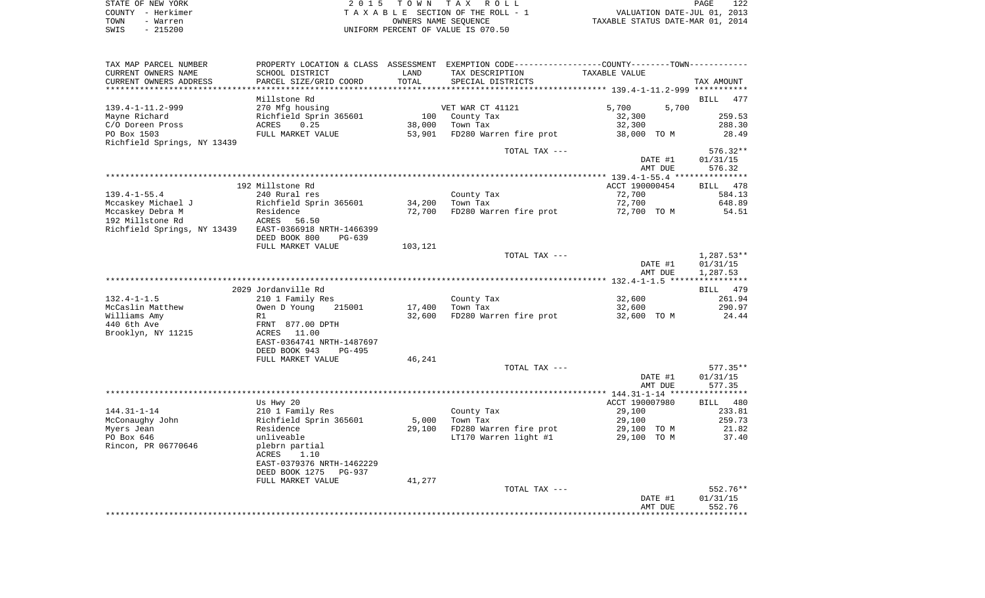|      | STATE OF NEW YORK | 2015 TOWN TAX ROLL                 | PAGE                             | 122 |
|------|-------------------|------------------------------------|----------------------------------|-----|
|      | COUNTY - Herkimer | TAXABLE SECTION OF THE ROLL - 1    | VALUATION DATE-JUL 01, 2013      |     |
| TOWN | - Warren          | OWNERS NAME SEOUENCE               | TAXABLE STATUS DATE-MAR 01, 2014 |     |
| SWIS | $-215200$         | UNIFORM PERCENT OF VALUE IS 070.50 |                                  |     |

| TAX MAP PARCEL NUMBER       |                                 |                                    | PROPERTY LOCATION & CLASS ASSESSMENT EXEMPTION CODE----------------COUNTY-------TOWN---------- |                                               |                    |
|-----------------------------|---------------------------------|------------------------------------|------------------------------------------------------------------------------------------------|-----------------------------------------------|--------------------|
| CURRENT OWNERS NAME         | SCHOOL DISTRICT                 | LAND                               | TAX DESCRIPTION                                                                                | TAXABLE VALUE                                 |                    |
| CURRENT OWNERS ADDRESS      | PARCEL SIZE/GRID COORD          | TOTAL<br>************************* | SPECIAL DISTRICTS                                                                              | **************** 139.4-1-11.2-999 *********** | TAX AMOUNT         |
|                             | Millstone Rd                    |                                    |                                                                                                |                                               | BILL<br>477        |
| $139.4 - 1 - 11.2 - 999$    |                                 |                                    |                                                                                                | 5,700<br>5,700                                |                    |
|                             | 270 Mfg housing                 |                                    | VET WAR CT 41121                                                                               |                                               |                    |
| Mayne Richard               | Richfield Sprin 365601          | 100                                | County Tax                                                                                     | 32,300                                        | 259.53             |
| C/O Doreen Pross            | 0.25<br>ACRES                   | 38,000                             | Town Tax                                                                                       | 32,300                                        | 288.30             |
| PO Box 1503                 | FULL MARKET VALUE               | 53,901                             | FD280 Warren fire prot                                                                         | 38,000 TO M                                   | 28.49              |
| Richfield Springs, NY 13439 |                                 |                                    |                                                                                                |                                               |                    |
|                             |                                 |                                    | TOTAL TAX ---                                                                                  |                                               | 576.32**           |
|                             |                                 |                                    |                                                                                                | DATE #1                                       | 01/31/15           |
|                             |                                 |                                    |                                                                                                | AMT DUE                                       | 576.32             |
|                             |                                 |                                    |                                                                                                |                                               |                    |
|                             | 192 Millstone Rd                |                                    |                                                                                                | ACCT 190000454                                | BILL 478           |
| $139.4 - 1 - 55.4$          | 240 Rural res                   |                                    | County Tax                                                                                     | 72,700                                        | 584.13             |
| Mccaskey Michael J          | Richfield Sprin 365601          | 34,200                             | Town Tax                                                                                       | 72,700                                        | 648.89             |
| Mccaskey Debra M            | Residence                       | 72,700                             | FD280 Warren fire prot                                                                         | 72,700 TO M                                   | 54.51              |
| 192 Millstone Rd            | ACRES<br>56.50                  |                                    |                                                                                                |                                               |                    |
| Richfield Springs, NY 13439 | EAST-0366918 NRTH-1466399       |                                    |                                                                                                |                                               |                    |
|                             |                                 |                                    |                                                                                                |                                               |                    |
|                             | DEED BOOK 800<br>$PG-639$       |                                    |                                                                                                |                                               |                    |
|                             | FULL MARKET VALUE               | 103,121                            |                                                                                                |                                               |                    |
|                             |                                 |                                    | TOTAL TAX ---                                                                                  |                                               | $1,287.53**$       |
|                             |                                 |                                    |                                                                                                | DATE #1                                       | 01/31/15           |
|                             |                                 |                                    |                                                                                                | AMT DUE                                       | 1,287.53           |
|                             |                                 |                                    |                                                                                                |                                               |                    |
|                             | 2029 Jordanville Rd             |                                    |                                                                                                |                                               | BILL 479           |
| $132.4 - 1 - 1.5$           | 210 1 Family Res                |                                    | County Tax                                                                                     | 32,600                                        | 261.94             |
| McCaslin Matthew            | Owen D Young<br>215001          | 17,400                             | Town Tax                                                                                       | 32,600                                        | 290.97             |
| Williams Amy                | R1                              | 32,600                             | FD280 Warren fire prot                                                                         | 32,600 TO M                                   | 24.44              |
| 440 6th Ave                 | FRNT 877.00 DPTH                |                                    |                                                                                                |                                               |                    |
| Brooklyn, NY 11215          | ACRES 11.00                     |                                    |                                                                                                |                                               |                    |
|                             | EAST-0364741 NRTH-1487697       |                                    |                                                                                                |                                               |                    |
|                             | DEED BOOK 943<br>$PG-495$       |                                    |                                                                                                |                                               |                    |
|                             |                                 |                                    |                                                                                                |                                               |                    |
|                             | FULL MARKET VALUE               | 46,241                             |                                                                                                |                                               |                    |
|                             |                                 |                                    | TOTAL TAX ---                                                                                  |                                               | $577.35**$         |
|                             |                                 |                                    |                                                                                                | DATE #1                                       | 01/31/15           |
|                             |                                 |                                    |                                                                                                | AMT DUE                                       | 577.35             |
|                             |                                 |                                    |                                                                                                |                                               |                    |
|                             | Us Hwy 20                       |                                    |                                                                                                | ACCT 190007980                                | <b>BILL</b><br>480 |
| $144.31 - 1 - 14$           | 210 1 Family Res                |                                    | County Tax                                                                                     | 29,100                                        | 233.81             |
| McConaughy John             | Richfield Sprin 365601          | 5,000                              | Town Tax                                                                                       | 29,100                                        | 259.73             |
| Myers Jean                  | Residence                       | 29,100                             | FD280 Warren fire prot                                                                         | 29,100 TO M                                   | 21.82              |
| PO Box 646                  | unliveable                      |                                    | LT170 Warren light #1                                                                          | 29,100 TO M                                   | 37.40              |
| Rincon, PR 06770646         | plebrn partial                  |                                    |                                                                                                |                                               |                    |
|                             | ACRES<br>1.10                   |                                    |                                                                                                |                                               |                    |
|                             | EAST-0379376 NRTH-1462229       |                                    |                                                                                                |                                               |                    |
|                             | DEED BOOK 1275<br><b>PG-937</b> |                                    |                                                                                                |                                               |                    |
|                             |                                 |                                    |                                                                                                |                                               |                    |
|                             | FULL MARKET VALUE               | 41,277                             |                                                                                                |                                               |                    |
|                             |                                 |                                    | TOTAL TAX ---                                                                                  |                                               | 552.76**           |
|                             |                                 |                                    |                                                                                                | DATE #1                                       | 01/31/15           |
|                             |                                 |                                    |                                                                                                | AMT DUE                                       | 552.76             |
|                             |                                 |                                    |                                                                                                |                                               |                    |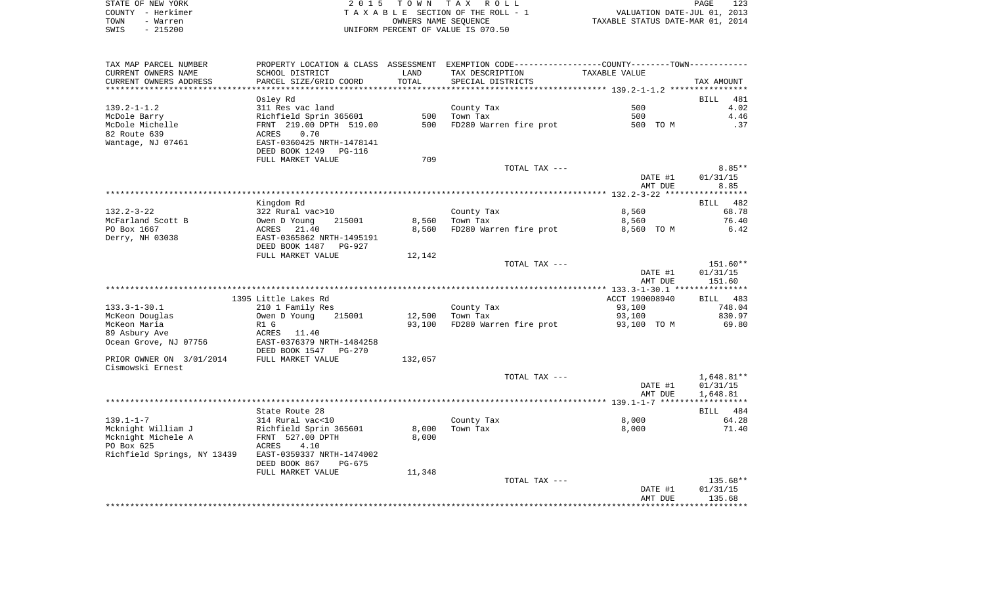| STATE OF NEW YORK |                   | 2015 TOWN TAX ROLL                 | 123<br>PAGE                      |
|-------------------|-------------------|------------------------------------|----------------------------------|
|                   | COUNTY - Herkimer | TAXABLE SECTION OF THE ROLL - 1    | VALUATION DATE-JUL 01, 2013      |
| TOWN              | - Warren          | OWNERS NAME SEOUENCE               | TAXABLE STATUS DATE-MAR 01, 2014 |
| SWIS              | - 215200          | UNIFORM PERCENT OF VALUE IS 070.50 |                                  |

| TAX MAP PARCEL NUMBER                        |                                 |         | PROPERTY LOCATION & CLASS ASSESSMENT EXEMPTION CODE----------------COUNTY--------TOWN----------- |                |                          |
|----------------------------------------------|---------------------------------|---------|--------------------------------------------------------------------------------------------------|----------------|--------------------------|
| CURRENT OWNERS NAME                          | SCHOOL DISTRICT                 | LAND    | TAX DESCRIPTION                                                                                  | TAXABLE VALUE  |                          |
| CURRENT OWNERS ADDRESS                       | PARCEL SIZE/GRID COORD          | TOTAL   | SPECIAL DISTRICTS                                                                                |                | TAX AMOUNT               |
|                                              |                                 |         |                                                                                                  |                |                          |
|                                              | Osley Rd                        |         |                                                                                                  |                | <b>BILL</b><br>481       |
| $139.2 - 1 - 1.2$                            | 311 Res vac land                |         | County Tax                                                                                       | 500            | 4.02                     |
| McDole Barry                                 | Richfield Sprin 365601          | 500     | Town Tax                                                                                         | 500            | 4.46                     |
| McDole Michelle                              | FRNT 219.00 DPTH 519.00         | 500     | FD280 Warren fire prot                                                                           | 500 TO M       | .37                      |
| 82 Route 639                                 | 0.70<br>ACRES                   |         |                                                                                                  |                |                          |
| Wantage, NJ 07461                            | EAST-0360425 NRTH-1478141       |         |                                                                                                  |                |                          |
|                                              | DEED BOOK 1249<br><b>PG-116</b> |         |                                                                                                  |                |                          |
|                                              | FULL MARKET VALUE               | 709     |                                                                                                  |                |                          |
|                                              |                                 |         | TOTAL TAX ---                                                                                    |                | $8.85**$                 |
|                                              |                                 |         |                                                                                                  | DATE #1        | 01/31/15                 |
|                                              |                                 |         |                                                                                                  | AMT DUE        | 8.85                     |
|                                              |                                 |         |                                                                                                  |                |                          |
|                                              | Kingdom Rd                      |         |                                                                                                  |                | 482<br>BILL              |
| $132.2 - 3 - 22$                             | 322 Rural vac>10                |         | County Tax                                                                                       | 8,560          | 68.78                    |
| McFarland Scott B                            | Owen D Young<br>215001          | 8,560   | Town Tax                                                                                         | 8,560          | 76.40                    |
| PO Box 1667                                  | ACRES 21.40                     | 8,560   | FD280 Warren fire prot                                                                           | 8,560 TO M     | 6.42                     |
| Derry, NH 03038                              | EAST-0365862 NRTH-1495191       |         |                                                                                                  |                |                          |
|                                              | DEED BOOK 1487<br><b>PG-927</b> |         |                                                                                                  |                |                          |
|                                              | FULL MARKET VALUE               | 12,142  |                                                                                                  |                |                          |
|                                              |                                 |         | TOTAL TAX ---                                                                                    |                | 151.60**                 |
|                                              |                                 |         |                                                                                                  | DATE #1        | 01/31/15                 |
|                                              |                                 |         |                                                                                                  | AMT DUE        | 151.60                   |
|                                              |                                 |         |                                                                                                  |                |                          |
|                                              | 1395 Little Lakes Rd            |         |                                                                                                  | ACCT 190008940 | BILL<br>483              |
| $133.3 - 1 - 30.1$                           | 210 1 Family Res                |         | County Tax                                                                                       | 93,100         | 748.04                   |
| McKeon Douglas                               | Owen D Young<br>215001          | 12,500  | Town Tax                                                                                         | 93,100         | 830.97                   |
| McKeon Maria                                 | R1 G                            | 93,100  | FD280 Warren fire prot                                                                           | 93,100 TO M    | 69.80                    |
| 89 Asbury Ave                                | ACRES<br>11.40                  |         |                                                                                                  |                |                          |
|                                              |                                 |         |                                                                                                  |                |                          |
| Ocean Grove, NJ 07756                        | EAST-0376379 NRTH-1484258       |         |                                                                                                  |                |                          |
|                                              | DEED BOOK 1547<br><b>PG-270</b> |         |                                                                                                  |                |                          |
| PRIOR OWNER ON 3/01/2014<br>Cismowski Ernest | FULL MARKET VALUE               | 132,057 |                                                                                                  |                |                          |
|                                              |                                 |         |                                                                                                  |                |                          |
|                                              |                                 |         | TOTAL TAX ---                                                                                    |                | 1,648.81**               |
|                                              |                                 |         |                                                                                                  | DATE #1        | 01/31/15                 |
|                                              |                                 |         |                                                                                                  | AMT DUE        | 1,648.81<br>************ |
|                                              |                                 |         |                                                                                                  |                |                          |
|                                              | State Route 28                  |         |                                                                                                  |                | BILL 484                 |
| $139.1 - 1 - 7$                              | 314 Rural vac<10                |         | County Tax                                                                                       | 8,000          | 64.28                    |
| Mcknight William J                           | Richfield Sprin 365601          | 8,000   | Town Tax                                                                                         | 8,000          | 71.40                    |
| Mcknight Michele A                           | FRNT 527.00 DPTH                | 8,000   |                                                                                                  |                |                          |
| PO Box 625                                   | 4.10<br>ACRES                   |         |                                                                                                  |                |                          |
| Richfield Springs, NY 13439                  | EAST-0359337 NRTH-1474002       |         |                                                                                                  |                |                          |
|                                              | DEED BOOK 867<br>$PG-675$       |         |                                                                                                  |                |                          |
|                                              | FULL MARKET VALUE               | 11,348  |                                                                                                  |                |                          |
|                                              |                                 |         | TOTAL TAX ---                                                                                    |                | 135.68**                 |
|                                              |                                 |         |                                                                                                  | DATE #1        | 01/31/15                 |
|                                              |                                 |         |                                                                                                  | AMT DUE        | 135.68                   |
|                                              |                                 |         |                                                                                                  |                |                          |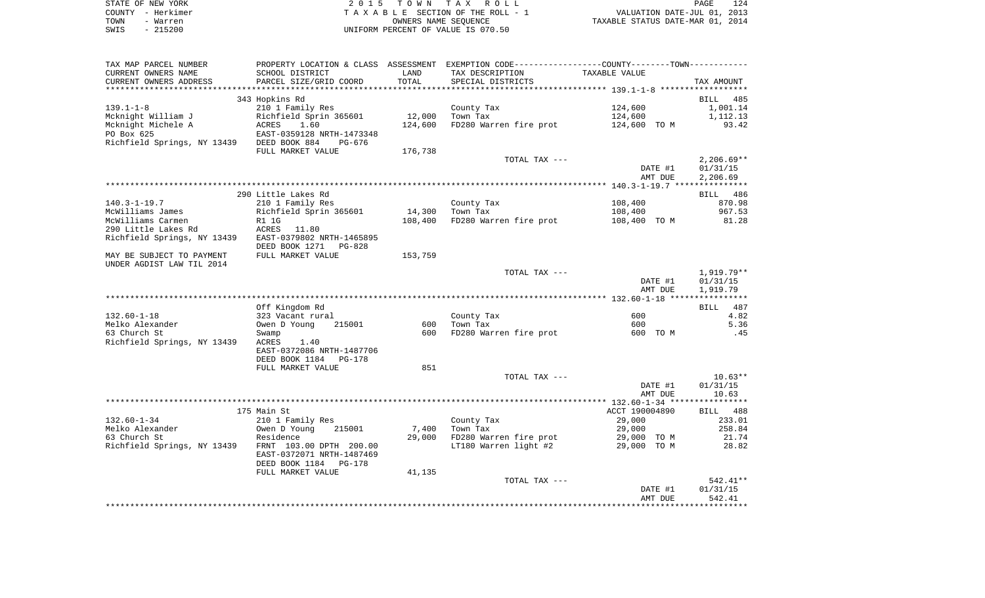| STATE OF NEW YORK | 2015 TOWN TAX ROLL                 | 124<br>PAGE                      |
|-------------------|------------------------------------|----------------------------------|
| COUNTY - Herkimer | TAXABLE SECTION OF THE ROLL - 1    | VALUATION DATE-JUL 01, 2013      |
| TOWN<br>- Warren  | OWNERS NAME SEOUENCE               | TAXABLE STATUS DATE-MAR 01, 2014 |
| - 215200<br>SWIS  | UNIFORM PERCENT OF VALUE IS 070.50 |                                  |

| TAX MAP PARCEL NUMBER                                                                                                                                                        | PROPERTY LOCATION & CLASS ASSESSMENT EXEMPTION CODE-----------------COUNTY--------TOWN---------- |                   |                                           |                                                |              |
|------------------------------------------------------------------------------------------------------------------------------------------------------------------------------|--------------------------------------------------------------------------------------------------|-------------------|-------------------------------------------|------------------------------------------------|--------------|
| CURRENT OWNERS NAME                                                                                                                                                          | SCHOOL DISTRICT<br>SCHOOL DISTRICT<br>PARCEL SIZE/GRID COORD                                     | LAND              | TAX DESCRIPTION TAXABLE VALUE             |                                                |              |
| CURRENT OWNERS ADDRESS                                                                                                                                                       |                                                                                                  | TOTAL             | SPECIAL DISTRICTS                         |                                                | TAX AMOUNT   |
|                                                                                                                                                                              |                                                                                                  |                   |                                           |                                                |              |
|                                                                                                                                                                              | 343 Hopkins Rd                                                                                   |                   |                                           |                                                | BILL 485     |
| $139.1 - 1 - 8$                                                                                                                                                              | 210 1 Family Res                                                                                 |                   | County Tax                                | 124,600                                        | 1,001.14     |
|                                                                                                                                                                              |                                                                                                  |                   | Town Tax                                  | 124,600                                        | 1,112.13     |
|                                                                                                                                                                              |                                                                                                  | 124,600           | FD280 Warren fire prot                    | 124,600 TO M                                   | 93.42        |
|                                                                                                                                                                              |                                                                                                  |                   |                                           |                                                |              |
|                                                                                                                                                                              |                                                                                                  |                   |                                           |                                                |              |
|                                                                                                                                                                              | FULL MARKET VALUE                                                                                | 176,738           |                                           |                                                |              |
|                                                                                                                                                                              |                                                                                                  |                   | TOTAL TAX ---                             |                                                | $2,206.69**$ |
|                                                                                                                                                                              |                                                                                                  |                   |                                           | DATE #1                                        | 01/31/15     |
|                                                                                                                                                                              |                                                                                                  |                   |                                           | AMT DUE                                        | 2,206.69     |
|                                                                                                                                                                              |                                                                                                  |                   |                                           |                                                |              |
|                                                                                                                                                                              | 290 Little Lakes Rd                                                                              |                   | County Tax<br>$\frac{\pi_{ax}}{\pi_{ax}}$ |                                                | BILL 486     |
| 140.3-1-19.7                                                                                                                                                                 | 210 1 Family Res                                                                                 |                   |                                           | 108,400                                        | 870.98       |
|                                                                                                                                                                              |                                                                                                  | $14,300$ Town Tax |                                           | 108,400<br>FD280 Warren fire prot 108,400 TO M | 967.53       |
| McWilliams James<br>McWilliams Carmen<br>McWilliams Carmen<br>290 Little Lakes Rd<br>Richfield Springs, NY 13439<br>Richfield Springs, NY 13439<br>EAST-0379802 NRTH-1465895 |                                                                                                  | 108,400           |                                           |                                                | 81.28        |
|                                                                                                                                                                              |                                                                                                  |                   |                                           |                                                |              |
|                                                                                                                                                                              | DEED BOOK 1271    PG-828                                                                         |                   |                                           |                                                |              |
| MAY BE SUBJECT TO PAYMENT FULL MARKET VALUE                                                                                                                                  |                                                                                                  | 153,759           |                                           |                                                |              |
| UNDER AGDIST LAW TIL 2014                                                                                                                                                    |                                                                                                  |                   |                                           |                                                |              |
|                                                                                                                                                                              |                                                                                                  |                   | TOTAL TAX ---                             |                                                | 1,919.79**   |
|                                                                                                                                                                              |                                                                                                  |                   |                                           | DATE #1                                        | 01/31/15     |
|                                                                                                                                                                              |                                                                                                  |                   |                                           | AMT DUE                                        | 1,919.79     |
|                                                                                                                                                                              |                                                                                                  |                   |                                           |                                                |              |
|                                                                                                                                                                              | and a minimal<br>323 Vacant rural<br>Owen D Young 215001<br>Swamp                                |                   |                                           |                                                | BILL 487     |
| 132.60-1-18                                                                                                                                                                  |                                                                                                  |                   | County Tax                                | 600                                            | 4.82         |
| 132.00 -<br>Melko Alexander                                                                                                                                                  | 215001                                                                                           |                   | 600 Town Tax                              | 600                                            | 5.36         |
|                                                                                                                                                                              |                                                                                                  |                   | 600 FD280 Warren fire prot                | 600 TO M                                       | .45          |
| Richfield Springs, NY 13439 ACRES                                                                                                                                            | 1.40                                                                                             |                   |                                           |                                                |              |
|                                                                                                                                                                              | EAST-0372086 NRTH-1487706                                                                        |                   |                                           |                                                |              |
|                                                                                                                                                                              | DEED BOOK 1184 PG-178                                                                            |                   |                                           |                                                |              |
|                                                                                                                                                                              | FULL MARKET VALUE                                                                                | 851               |                                           |                                                |              |
|                                                                                                                                                                              |                                                                                                  |                   | TOTAL TAX ---                             |                                                | $10.63**$    |
|                                                                                                                                                                              |                                                                                                  |                   |                                           | DATE #1                                        | 01/31/15     |
|                                                                                                                                                                              |                                                                                                  |                   |                                           | AMT DUE                                        | 10.63        |
|                                                                                                                                                                              |                                                                                                  |                   |                                           |                                                |              |
|                                                                                                                                                                              | 175 Main St                                                                                      |                   |                                           | ACCT 190004890                                 | BILL 488     |
| 132.60-1-34                                                                                                                                                                  | 210 1 Family Res                                                                                 |                   | County Tax                                | 29,000                                         | 233.01       |
| Melko Alexander                                                                                                                                                              |                                                                                                  | 7,400             | Town Tax                                  | 29,000                                         | 258.84       |
| 63 Church St                                                                                                                                                                 | Alu I ramily Acs<br>Owen D Young 215001<br>Residence                                             | 29,000            |                                           |                                                | 21.74        |
| Richfield Springs, NY 13439 FRNT 103.00 DPTH 200.00                                                                                                                          |                                                                                                  |                   |                                           |                                                | 28.82        |
|                                                                                                                                                                              | EAST-0372071 NRTH-1487469                                                                        |                   |                                           |                                                |              |
|                                                                                                                                                                              | DEED BOOK 1184 PG-178                                                                            |                   |                                           |                                                |              |
|                                                                                                                                                                              | FULL MARKET VALUE                                                                                | 41,135            |                                           |                                                |              |
|                                                                                                                                                                              |                                                                                                  |                   | TOTAL TAX ---                             |                                                | $542.41**$   |
|                                                                                                                                                                              |                                                                                                  |                   |                                           | DATE #1                                        | 01/31/15     |
|                                                                                                                                                                              |                                                                                                  |                   |                                           |                                                |              |
|                                                                                                                                                                              |                                                                                                  |                   |                                           | AMT DUE                                        | 542.41       |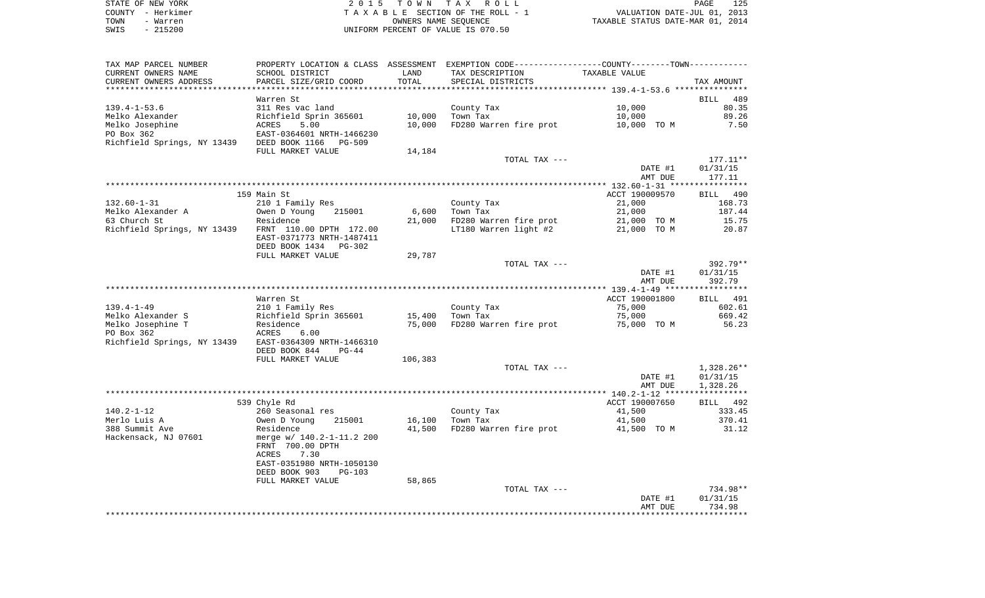| STATE OF NEW YORK | 2015 TOWN TAX ROLL<br>PAGE                                     | 125 |
|-------------------|----------------------------------------------------------------|-----|
| COUNTY - Herkimer | VALUATION DATE-JUL 01, 2013<br>TAXABLE SECTION OF THE ROLL - 1 |     |
| TOWN<br>- Warren  | TAXABLE STATUS DATE-MAR 01, 2014<br>OWNERS NAME SEOUENCE       |     |
| $-215200$<br>SWIS | UNIFORM PERCENT OF VALUE IS 070.50                             |     |

| TAX MAP PARCEL NUMBER                                               |                                                                | LAND              | PROPERTY LOCATION & CLASS ASSESSMENT EXEMPTION CODE---------------COUNTY-------TOWN---------- |                |                 |
|---------------------------------------------------------------------|----------------------------------------------------------------|-------------------|-----------------------------------------------------------------------------------------------|----------------|-----------------|
| CURRENT OWNERS NAME<br>CURRENT OWNERS ADDRESS                       | SCHOOL DISTRICT<br>PARCEL SIZE/GRID COORD                      | TOTAL             | TAX DESCRIPTION<br>SPECIAL DISTRICTS                                                          | TAXABLE VALUE  | TAX AMOUNT      |
|                                                                     |                                                                |                   |                                                                                               |                |                 |
|                                                                     | Warren St                                                      |                   |                                                                                               |                | BILL 489        |
| $139.4 - 1 - 53.6$                                                  | 311 Res vac land                                               |                   | County Tax                                                                                    | 10,000         | 80.35           |
|                                                                     |                                                                | 10,000            | Town Tax                                                                                      | 10,000         | 89.26           |
|                                                                     |                                                                | 10,000            | FD280 Warren fire prot                                                                        | 10,000 TO M    | 7.50            |
|                                                                     |                                                                |                   |                                                                                               |                |                 |
|                                                                     |                                                                |                   |                                                                                               |                |                 |
|                                                                     | FULL MARKET VALUE                                              | 14,184            |                                                                                               |                |                 |
|                                                                     |                                                                |                   | TOTAL TAX ---                                                                                 |                | 177.11**        |
|                                                                     |                                                                |                   |                                                                                               | DATE #1        | 01/31/15        |
|                                                                     |                                                                |                   |                                                                                               | AMT DUE        | 177.11          |
|                                                                     | 159 Main St                                                    |                   |                                                                                               | ACCT 190009570 | <b>BILL</b> 490 |
| $132.60 - 1 - 31$                                                   | 210 1 Family Res                                               |                   | County Tax                                                                                    | 21,000         | 168.73          |
| Melko Alexander A                                                   | 215001                                                         |                   | 6,600 Town Tax                                                                                | 21,000         | 187.44          |
| 63 Church St                                                        | Owen D Young<br>Residence<br>Residence                         |                   | 21,000 FD280 Warren fire prot                                                                 | 21,000 TO M    | 15.75           |
| Richfield Springs, NY 13439 FRNT 110.00 DPTH 172.00                 |                                                                |                   | LT180 Warren light #2 $\overline{21,000}$ TO M                                                |                | 20.87           |
|                                                                     | EAST-0371773 NRTH-1487411                                      |                   |                                                                                               |                |                 |
|                                                                     | DEED BOOK 1434 PG-302                                          |                   |                                                                                               |                |                 |
|                                                                     | FULL MARKET VALUE                                              | 29,787            |                                                                                               |                |                 |
|                                                                     |                                                                |                   | TOTAL TAX ---                                                                                 |                | 392.79**        |
|                                                                     |                                                                |                   |                                                                                               | DATE #1        | 01/31/15        |
|                                                                     |                                                                |                   |                                                                                               | AMT DUE        | 392.79          |
|                                                                     |                                                                |                   |                                                                                               |                |                 |
|                                                                     | Warren St                                                      |                   |                                                                                               | ACCT 190001800 | BILL 491        |
| 139.4-1-49                                                          | 210 1 Family Res                                               |                   | County Tax                                                                                    | 75,000         | 602.61          |
| Melko Alexander S                                                   |                                                                | $15,400$ Town Tax |                                                                                               | 75,000         | 669.42          |
| Melko Josephine T                                                   | Richfield Sprin 365601<br>Richfield Sprin 365601<br>ACRES 6.00 | 75,000            | FD280 Warren fire prot                                                                        | 75,000 TO M    | 56.23           |
| PO Box 362<br>Richfield Springs, NY 13439 EAST-0364309 NRTH-1466310 |                                                                |                   |                                                                                               |                |                 |
|                                                                     | DEED BOOK 844 PG-44                                            |                   |                                                                                               |                |                 |
|                                                                     | FULL MARKET VALUE                                              | 106,383           |                                                                                               |                |                 |
|                                                                     |                                                                |                   | TOTAL TAX ---                                                                                 |                | 1,328.26**      |
|                                                                     |                                                                |                   |                                                                                               | DATE #1        | 01/31/15        |
|                                                                     |                                                                |                   |                                                                                               | AMT DUE        | 1,328.26        |
|                                                                     |                                                                |                   |                                                                                               |                |                 |
|                                                                     | 539 Chyle Rd                                                   |                   |                                                                                               | ACCT 190007650 | BILL 492        |
| 140.2-1-12                                                          | 260 Seasonal res                                               |                   |                                                                                               | 41,500         | 333.45          |
| Merlo Luis A                                                        | Owen D Young 215001                                            | 16,100            | County Tax<br>Town Tax                                                                        | 41,500         | 370.41          |
| 388 Summit Ave                                                      | Residence                                                      | 41,500            | FD280 Warren fire prot 41,500 TO M                                                            |                | 31.12           |
| Hackensack, NJ 07601                                                | merge w/ 140.2-1-11.2 200                                      |                   |                                                                                               |                |                 |
|                                                                     | FRNT 700.00 DPTH                                               |                   |                                                                                               |                |                 |
|                                                                     | 7.30<br>ACRES                                                  |                   |                                                                                               |                |                 |
|                                                                     | EAST-0351980 NRTH-1050130                                      |                   |                                                                                               |                |                 |
|                                                                     | DEED BOOK 903<br>PG-103                                        |                   |                                                                                               |                |                 |
|                                                                     | FULL MARKET VALUE                                              | 58,865            |                                                                                               |                | 734.98**        |
|                                                                     |                                                                |                   | TOTAL TAX ---                                                                                 | DATE #1        | 01/31/15        |
|                                                                     |                                                                |                   |                                                                                               | AMT DUE        | 734.98          |
|                                                                     |                                                                |                   |                                                                                               |                |                 |
|                                                                     |                                                                |                   |                                                                                               |                |                 |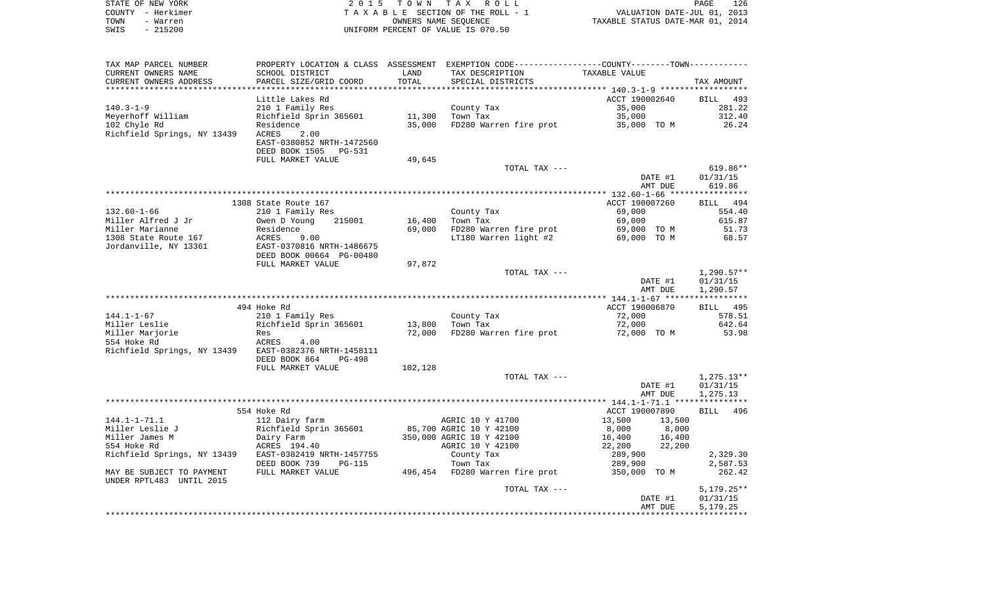| STATE OF NEW YORK | 2015 TOWN TAX ROLL                 | 126<br>PAGE                      |
|-------------------|------------------------------------|----------------------------------|
| COUNTY - Herkimer | TAXABLE SECTION OF THE ROLL - 1    | VALUATION DATE-JUL 01, 2013      |
| TOWN<br>- Warren  | OWNERS NAME SEOUENCE               | TAXABLE STATUS DATE-MAR 01, 2014 |
| $-215200$<br>SWIS | UNIFORM PERCENT OF VALUE IS 070.50 |                                  |

| TAX MAP PARCEL NUMBER                                 | PROPERTY LOCATION & CLASS ASSESSMENT EXEMPTION CODE----------------COUNTY--------TOWN---------- |         |                                              |                                      |                                      |
|-------------------------------------------------------|-------------------------------------------------------------------------------------------------|---------|----------------------------------------------|--------------------------------------|--------------------------------------|
| CURRENT OWNERS NAME                                   | SCHOOL DISTRICT                                                                                 | LAND    | TAX DESCRIPTION                              | TAXABLE VALUE                        |                                      |
| CURRENT OWNERS ADDRESS                                | PARCEL SIZE/GRID COORD                                                                          | TOTAL   | SPECIAL DISTRICTS                            |                                      | TAX AMOUNT                           |
|                                                       |                                                                                                 |         |                                              |                                      |                                      |
|                                                       | Little Lakes Rd                                                                                 |         |                                              | ACCT 190002640                       | BILL 493                             |
| $140.3 - 1 - 9$                                       | 210 1 Family Res                                                                                |         | County Tax                                   | 35,000                               | 281.22                               |
| Meyerhoff William                                     | Richfield Sprin 365601                                                                          | 11,300  | Town Tax                                     | 35,000                               | 312.40                               |
| 102 Chyle Rd                                          | Residence                                                                                       | 35,000  | FD280 Warren fire prot 35,000 TO M           |                                      | 26.24                                |
| Richfield Springs, NY 13439                           | ACRES<br>2.00<br>EAST-0380852 NRTH-1472560<br>DEED BOOK 1505<br>PG-531<br>FULL MARKET VALUE     | 49,645  |                                              |                                      |                                      |
|                                                       |                                                                                                 |         | TOTAL TAX ---                                |                                      | $619.86**$                           |
|                                                       |                                                                                                 |         |                                              | DATE #1<br>AMT DUE                   | 01/31/15<br>619.86                   |
|                                                       |                                                                                                 |         |                                              |                                      |                                      |
|                                                       | 1308 State Route 167                                                                            |         |                                              | ACCT 190007260                       | BILL 494                             |
| $132.60 - 1 - 66$                                     | 210 1 Family Res                                                                                |         | County Tax                                   | 69,000                               | 554.40                               |
| Miller Alfred J Jr                                    | Owen D Young<br>215001                                                                          | 16,400  | Town Tax                                     | 69,000                               | 615.87                               |
| Miller Marianne                                       | Residence                                                                                       | 69,000  | FD280 Warren fire prot                       | 69,000 TO M                          | 51.73                                |
| 1308 State Route 167                                  | REBIGS<br>9.00                                                                                  |         | LT180 Warren light #2                        | 69,000 TO M                          | 68.57                                |
| Jordanville, NY 13361                                 | EAST-0370816 NRTH-1486675<br>DEED BOOK 00664 PG-00480                                           |         |                                              |                                      |                                      |
|                                                       | FULL MARKET VALUE                                                                               | 97,872  |                                              |                                      |                                      |
|                                                       |                                                                                                 |         | TOTAL TAX ---                                | DATE #1<br>AMT DUE                   | $1,290.57**$<br>01/31/15<br>1,290.57 |
|                                                       |                                                                                                 |         |                                              |                                      |                                      |
|                                                       | 494 Hoke Rd                                                                                     |         |                                              | ACCT 190006870                       | BILL 495                             |
| $144.1 - 1 - 67$                                      | 210 1 Family Res                                                                                |         | County Tax                                   | 72,000                               | 578.51                               |
| Miller Leslie                                         | Richfield Sprin 365601                                                                          | 13,800  | Town Tax                                     | 72,000                               | 642.64                               |
| Miller Marjorie                                       | Res                                                                                             | 72,000  | FD280 Warren fire prot                       | 72,000 TO M                          | 53.98                                |
| 554 Hoke Rd                                           | ACRES<br>4.00                                                                                   |         |                                              |                                      |                                      |
| Richfield Springs, NY 13439 EAST-0382376 NRTH-1458111 | DEED BOOK 864<br>PG-498                                                                         |         |                                              |                                      |                                      |
|                                                       | FULL MARKET VALUE                                                                               | 102,128 |                                              |                                      |                                      |
|                                                       |                                                                                                 |         | TOTAL TAX ---                                |                                      | 1,275.13**                           |
|                                                       |                                                                                                 |         |                                              | DATE #1<br>AMT DUE                   | 01/31/15<br>1,275.13                 |
|                                                       |                                                                                                 |         |                                              |                                      |                                      |
|                                                       | 554 Hoke Rd                                                                                     |         |                                              | ACCT 190007890                       | BILL<br>496                          |
| $144.1 - 1 - 71.1$                                    | 112 Dairy farm                                                                                  |         | AGRIC 10 Y 41700                             | 13,500<br>13,500                     |                                      |
| Miller Leslie J<br>Miller James M                     | Richfield Sprin 365601                                                                          |         | 85,700 AGRIC 10 Y 42100                      | 8,000<br>8,000                       |                                      |
| 554 Hoke Rd                                           | Dairy Farm<br>ACRES 194.40                                                                      |         | 350,000 AGRIC 10 Y 42100<br>AGRIC 10 Y 42100 | 16,400<br>16,400<br>22,200<br>22,200 |                                      |
| Richfield Springs, NY 13439 EAST-0382419 NRTH-1457755 |                                                                                                 |         | County Tax                                   | 289,900                              | 2,329.30                             |
|                                                       | DEED BOOK 739<br><b>PG-115</b>                                                                  |         | Town Tax                                     | 289,900                              | 2,587.53                             |
| MAY BE SUBJECT TO PAYMENT<br>UNDER RPTL483 UNTIL 2015 | FULL MARKET VALUE                                                                               |         | 496,454 FD280 Warren fire prot 350,000 TO M  |                                      | 262.42                               |
|                                                       |                                                                                                 |         | TOTAL TAX ---                                |                                      | $5,179.25**$                         |
|                                                       |                                                                                                 |         |                                              | DATE #1                              | 01/31/15                             |
|                                                       |                                                                                                 |         |                                              | AMT DUE                              | 5,179.25                             |
|                                                       |                                                                                                 |         |                                              |                                      |                                      |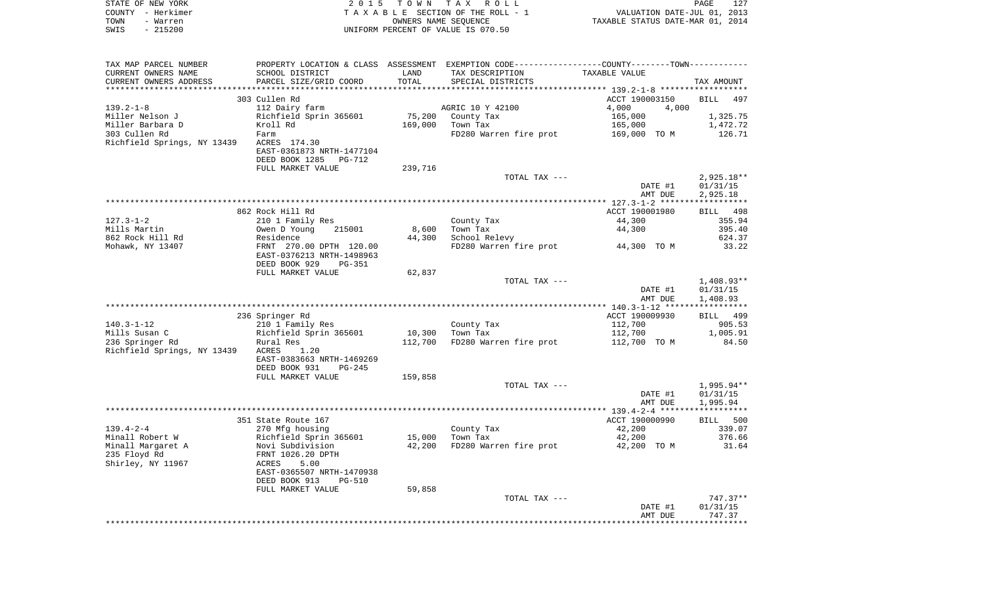| STATE OF NEW YORK                     |                                                     |         | 2015 TOWN TAX ROLL                                                                            |                                  | PAGE<br>127      |
|---------------------------------------|-----------------------------------------------------|---------|-----------------------------------------------------------------------------------------------|----------------------------------|------------------|
| COUNTY - Herkimer                     |                                                     |         | TAXABLE SECTION OF THE ROLL - 1                                                               | VALUATION DATE-JUL 01, 2013      |                  |
| TOWN<br>- Warren<br>SWIS<br>$-215200$ |                                                     |         | OWNERS NAME SEQUENCE                                                                          | TAXABLE STATUS DATE-MAR 01, 2014 |                  |
|                                       |                                                     |         | UNIFORM PERCENT OF VALUE IS 070.50                                                            |                                  |                  |
| TAX MAP PARCEL NUMBER                 |                                                     |         | PROPERTY LOCATION & CLASS ASSESSMENT EXEMPTION CODE---------------COUNTY-------TOWN---------- |                                  |                  |
| CURRENT OWNERS NAME                   | SCHOOL DISTRICT                                     | LAND    | TAX DESCRIPTION                                                                               | TAXABLE VALUE                    |                  |
| CURRENT OWNERS ADDRESS                | PARCEL SIZE/GRID COORD                              | TOTAL   | SPECIAL DISTRICTS                                                                             |                                  | TAX AMOUNT       |
|                                       |                                                     |         |                                                                                               |                                  |                  |
|                                       | 303 Cullen Rd                                       |         |                                                                                               | ACCT 190003150                   | BILL<br>497      |
| $139.2 - 1 - 8$<br>Miller Nelson J    | 112 Dairy farm                                      | 75,200  | AGRIC 10 Y 42100                                                                              | 4,000<br>4,000                   | 1,325.75         |
| Miller Barbara D                      | Richfield Sprin 365601<br>Kroll Rd                  | 169,000 | County Tax<br>Town Tax                                                                        | 165,000<br>165,000               | 1,472.72         |
| 303 Cullen Rd                         | Farm                                                |         | FD280 Warren fire prot                                                                        | 169,000 TO M                     | 126.71           |
| Richfield Springs, NY 13439           | ACRES 174.30                                        |         |                                                                                               |                                  |                  |
|                                       | EAST-0361873 NRTH-1477104                           |         |                                                                                               |                                  |                  |
|                                       | DEED BOOK 1285<br>PG-712                            |         |                                                                                               |                                  |                  |
|                                       | FULL MARKET VALUE                                   | 239,716 |                                                                                               |                                  |                  |
|                                       |                                                     |         | TOTAL TAX ---                                                                                 |                                  | $2,925.18**$     |
|                                       |                                                     |         |                                                                                               | DATE #1                          | 01/31/15         |
|                                       |                                                     |         |                                                                                               | AMT DUE                          | 2,925.18         |
|                                       |                                                     |         |                                                                                               |                                  |                  |
|                                       | 862 Rock Hill Rd                                    |         |                                                                                               | ACCT 190001980                   | BILL<br>498      |
| 127.3-1-2                             | 210 1 Family Res                                    |         | County Tax                                                                                    | 44,300                           | 355.94           |
| Mills Martin                          | 215001<br>Owen D Young<br>Residence                 | 8,600   | Town Tax                                                                                      | 44,300                           | 395.40<br>624.37 |
| 862 Rock Hill Rd<br>Mohawk, NY 13407  | FRNT 270.00 DPTH 120.00                             | 44,300  | School Relevy<br>FD280 Warren fire prot                                                       | 44,300 TO M                      | 33.22            |
|                                       | EAST-0376213 NRTH-1498963                           |         |                                                                                               |                                  |                  |
|                                       | DEED BOOK 929<br><b>PG-351</b>                      |         |                                                                                               |                                  |                  |
|                                       | FULL MARKET VALUE                                   | 62,837  |                                                                                               |                                  |                  |
|                                       |                                                     |         | TOTAL TAX ---                                                                                 |                                  | $1,408.93**$     |
|                                       |                                                     |         |                                                                                               | DATE #1                          | 01/31/15         |
|                                       |                                                     |         |                                                                                               | AMT DUE                          | 1,408.93         |
|                                       |                                                     |         |                                                                                               |                                  |                  |
|                                       | 236 Springer Rd                                     |         |                                                                                               | ACCT 190009930                   | BILL 499         |
| 140.3-1-12                            | 210 1 Family Res                                    |         | County Tax                                                                                    | 112,700                          | 905.53           |
| Mills Susan C                         | Richfield Sprin 365601                              | 10,300  | Town Tax                                                                                      | 112,700                          | 1,005.91         |
| 236 Springer Rd                       | Rural Res                                           | 112,700 | FD280 Warren fire prot                                                                        | 112,700 TO M                     | 84.50            |
| Richfield Springs, NY 13439           | ACRES<br>1.20<br>EAST-0383663 NRTH-1469269          |         |                                                                                               |                                  |                  |
|                                       | DEED BOOK 931<br>PG-245                             |         |                                                                                               |                                  |                  |
|                                       | FULL MARKET VALUE                                   | 159,858 |                                                                                               |                                  |                  |
|                                       |                                                     |         | TOTAL TAX ---                                                                                 |                                  | 1,995.94**       |
|                                       |                                                     |         |                                                                                               | DATE #1                          | 01/31/15         |
|                                       |                                                     |         |                                                                                               | AMT DUE                          | 1,995.94         |
|                                       |                                                     |         |                                                                                               |                                  | *******          |
|                                       | 351 State Route 167                                 |         |                                                                                               | ACCT 190000990                   | 500<br>BILL      |
| 139.4-2-4                             | 270 Mfg housing                                     |         | County Tax                                                                                    | 42,200                           | 339.07           |
| Minall Robert W                       | Richfield Sprin 365601                              | 15,000  | Town Tax                                                                                      | 42,200                           | 376.66           |
| Minall Margaret A                     | Novi Subdivision                                    | 42,200  | FD280 Warren fire prot                                                                        | 42,200 TO M                      | 31.64            |
| 235 Floyd Rd                          | FRNT 1026.20 DPTH                                   |         |                                                                                               |                                  |                  |
| Shirley, NY 11967                     | 5.00<br>ACRES                                       |         |                                                                                               |                                  |                  |
|                                       | EAST-0365507 NRTH-1470938                           |         |                                                                                               |                                  |                  |
|                                       | DEED BOOK 913<br><b>PG-510</b><br>FULL MARKET VALUE | 59,858  |                                                                                               |                                  |                  |
|                                       |                                                     |         | TOTAL TAX ---                                                                                 |                                  | 747.37**         |
|                                       |                                                     |         |                                                                                               | DATE #1                          | 01/31/15         |
|                                       |                                                     |         |                                                                                               | AMT DUE                          | 747.37           |

\*\*\*\*\*\*\*\*\*\*\*\*\*\*\*\*\*\*\*\*\*\*\*\*\*\*\*\*\*\*\*\*\*\*\*\*\*\*\*\*\*\*\*\*\*\*\*\*\*\*\*\*\*\*\*\*\*\*\*\*\*\*\*\*\*\*\*\*\*\*\*\*\*\*\*\*\*\*\*\*\*\*\*\*\*\*\*\*\*\*\*\*\*\*\*\*\*\*\*\*\*\*\*\*\*\*\*\*\*\*\*\*\*\*\*\*\*\*\*\*\*\*\*\*\*\*\*\*\*\*\*\*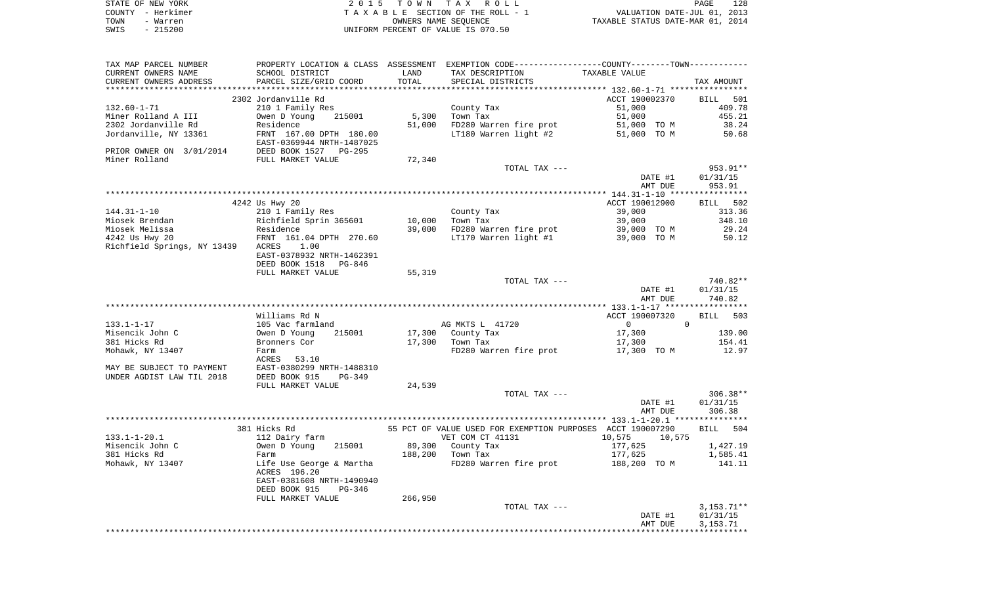|      | STATE OF NEW YORK | 2015 TOWN TAX ROLL                 | 128<br>PAGE                      |
|------|-------------------|------------------------------------|----------------------------------|
|      | COUNTY - Herkimer | TAXABLE SECTION OF THE ROLL - 1    | VALUATION DATE-JUL 01, 2013      |
| TOWN | - Warren          | OWNERS NAME SEOUENCE               | TAXABLE STATUS DATE-MAR 01, 2014 |
| SWIS | $-215200$         | UNIFORM PERCENT OF VALUE IS 070.50 |                                  |

| TAX MAP PARCEL NUMBER                          |                                                                   |         | PROPERTY LOCATION & CLASS ASSESSMENT EXEMPTION CODE---------------COUNTY-------TOWN---------- |                                                                                                                                                                                                                                                                                                                                                |              |
|------------------------------------------------|-------------------------------------------------------------------|---------|-----------------------------------------------------------------------------------------------|------------------------------------------------------------------------------------------------------------------------------------------------------------------------------------------------------------------------------------------------------------------------------------------------------------------------------------------------|--------------|
| CURRENT OWNERS NAME                            | SCHOOL DISTRICT                                                   | LAND    | TAX DESCRIPTION                                                                               | TAXABLE VALUE                                                                                                                                                                                                                                                                                                                                  |              |
| CURRENT OWNERS ADDRESS                         | PARCEL SIZE/GRID COORD                                            | TOTAL   | SPECIAL DISTRICTS                                                                             |                                                                                                                                                                                                                                                                                                                                                | TAX AMOUNT   |
|                                                |                                                                   |         |                                                                                               |                                                                                                                                                                                                                                                                                                                                                |              |
|                                                | 2302 Jordanville Rd                                               |         |                                                                                               | ACCT 190002370                                                                                                                                                                                                                                                                                                                                 | BILL 501     |
| 132.60-1-71                                    | 210 1 Family Res                                                  |         | County Tax                                                                                    | 51,000                                                                                                                                                                                                                                                                                                                                         | 409.78       |
| Miner Rolland A III                            | Owen D Young 215001                                               | 5,300   | Town Tax                                                                                      | 51,000                                                                                                                                                                                                                                                                                                                                         | 455.21       |
| 2302 Jordanville Rd                            |                                                                   | 51,000  |                                                                                               |                                                                                                                                                                                                                                                                                                                                                | 38.24        |
| Jordanville, NY 13361                          | Residence<br>FRNT 167.00 DPTH 180.00<br>EAST-0369944 NRTH-1487025 |         | FD280 Warren fire prot 51,000 TO M<br>LT180 Warren light #2 51,000 TO M                       |                                                                                                                                                                                                                                                                                                                                                | 50.68        |
|                                                |                                                                   |         |                                                                                               |                                                                                                                                                                                                                                                                                                                                                |              |
| PRIOR OWNER ON 3/01/2014 DEED BOOK 1527 PG-295 |                                                                   |         |                                                                                               |                                                                                                                                                                                                                                                                                                                                                |              |
| Miner Rolland                                  | FULL MARKET VALUE                                                 | 72,340  |                                                                                               |                                                                                                                                                                                                                                                                                                                                                |              |
|                                                |                                                                   |         | TOTAL TAX ---                                                                                 |                                                                                                                                                                                                                                                                                                                                                | 953.91**     |
|                                                |                                                                   |         |                                                                                               | DATE #1                                                                                                                                                                                                                                                                                                                                        | 01/31/15     |
|                                                |                                                                   |         |                                                                                               | AMT DUE                                                                                                                                                                                                                                                                                                                                        | 953.91       |
|                                                |                                                                   |         |                                                                                               |                                                                                                                                                                                                                                                                                                                                                |              |
|                                                | 4242 Us Hwy 20                                                    |         |                                                                                               | ACCT 190012900                                                                                                                                                                                                                                                                                                                                 | BILL 502     |
|                                                |                                                                   |         |                                                                                               |                                                                                                                                                                                                                                                                                                                                                |              |
| 144.31-1-10                                    | 210 1 Family Res                                                  |         | County Tax                                                                                    | 39,000                                                                                                                                                                                                                                                                                                                                         | 313.36       |
| Miosek Brendan                                 | Richfield Sprin 365601<br>Residence<br>FRNT 161.04 DPTH 270.60    | 10,000  | Town Tax                                                                                      | 39,000                                                                                                                                                                                                                                                                                                                                         | 348.10       |
| Miosek Melissa                                 |                                                                   | 39,000  | FD280 Warren fire prot 39,000 TO M                                                            |                                                                                                                                                                                                                                                                                                                                                | 29.24        |
| 4242 Us Hwy 20                                 |                                                                   |         | LT170 Warren light #1                                                                         | 39,000 TO M                                                                                                                                                                                                                                                                                                                                    | 50.12        |
| Richfield Springs, NY 13439 ACRES              | 1.00                                                              |         |                                                                                               |                                                                                                                                                                                                                                                                                                                                                |              |
|                                                | EAST-0378932 NRTH-1462391                                         |         |                                                                                               |                                                                                                                                                                                                                                                                                                                                                |              |
|                                                | DEED BOOK 1518 PG-846                                             |         |                                                                                               |                                                                                                                                                                                                                                                                                                                                                |              |
|                                                | FULL MARKET VALUE                                                 | 55,319  |                                                                                               |                                                                                                                                                                                                                                                                                                                                                |              |
|                                                |                                                                   |         | TOTAL TAX ---                                                                                 |                                                                                                                                                                                                                                                                                                                                                | 740.82**     |
|                                                |                                                                   |         |                                                                                               | DATE #1                                                                                                                                                                                                                                                                                                                                        | 01/31/15     |
|                                                |                                                                   |         |                                                                                               | AMT DUE                                                                                                                                                                                                                                                                                                                                        | 740.82       |
|                                                |                                                                   |         |                                                                                               |                                                                                                                                                                                                                                                                                                                                                |              |
|                                                | Williams Rd N                                                     |         |                                                                                               | ACCT 190007320                                                                                                                                                                                                                                                                                                                                 | BILL 503     |
| 133.1-1-17                                     | 105 Vac farmland<br>Owen D Young 2                                |         | AG MKTS L 41720                                                                               | $\overline{0}$ and $\overline{0}$ and $\overline{0}$ and $\overline{0}$ and $\overline{0}$ and $\overline{0}$ and $\overline{0}$ and $\overline{0}$ and $\overline{0}$ and $\overline{0}$ and $\overline{0}$ and $\overline{0}$ and $\overline{0}$ and $\overline{0}$ and $\overline{0}$ and $\overline{0}$ and $\overline{0}$ and<br>$\Omega$ |              |
| Misencik John C                                | 215001                                                            |         |                                                                                               | 17,300                                                                                                                                                                                                                                                                                                                                         | 139.00       |
| 381 Hicks Rd                                   | Bronners Cor                                                      |         |                                                                                               | 17,300                                                                                                                                                                                                                                                                                                                                         | 154.41       |
| Mohawk, NY 13407                               | Farm                                                              |         | FD280 Warren fire prot 17,300 TO M                                                            |                                                                                                                                                                                                                                                                                                                                                | 12.97        |
|                                                | ACRES 53.10                                                       |         |                                                                                               |                                                                                                                                                                                                                                                                                                                                                |              |
| MAY BE SUBJECT TO PAYMENT                      | EAST-0380299 NRTH-1488310                                         |         |                                                                                               |                                                                                                                                                                                                                                                                                                                                                |              |
| UNDER AGDIST LAW TIL 2018                      | DEED BOOK 915<br>PG-349                                           |         |                                                                                               |                                                                                                                                                                                                                                                                                                                                                |              |
|                                                | FULL MARKET VALUE                                                 | 24,539  |                                                                                               |                                                                                                                                                                                                                                                                                                                                                |              |
|                                                |                                                                   |         | TOTAL TAX ---                                                                                 |                                                                                                                                                                                                                                                                                                                                                | $306.38**$   |
|                                                |                                                                   |         |                                                                                               | DATE #1                                                                                                                                                                                                                                                                                                                                        | 01/31/15     |
|                                                |                                                                   |         |                                                                                               | AMT DUE                                                                                                                                                                                                                                                                                                                                        | 306.38       |
|                                                |                                                                   |         |                                                                                               |                                                                                                                                                                                                                                                                                                                                                |              |
|                                                | 381 Hicks Rd                                                      |         | 55 PCT OF VALUE USED FOR EXEMPTION PURPOSES ACCT 190007290                                    |                                                                                                                                                                                                                                                                                                                                                | BILL 504     |
| $133.1 - 1 - 20.1$                             |                                                                   |         | VET COM CT 41131                                                                              | 10,575<br>10,575                                                                                                                                                                                                                                                                                                                               |              |
| Misencik John C                                | 112 Dairy farm<br>Owen D Young<br>215001                          |         | 89,300 County Tax                                                                             | 177,625                                                                                                                                                                                                                                                                                                                                        | 1,427.19     |
| 381 Hicks Rd                                   | Farm                                                              |         | 188,200 Town Tax                                                                              | 177,625                                                                                                                                                                                                                                                                                                                                        | 1,585.41     |
| Mohawk, NY 13407                               | Life Use George & Martha                                          |         | FD280 Warren fire prot 188,200 TO M                                                           |                                                                                                                                                                                                                                                                                                                                                | 141.11       |
|                                                | ACRES 196.20                                                      |         |                                                                                               |                                                                                                                                                                                                                                                                                                                                                |              |
|                                                | EAST-0381608 NRTH-1490940                                         |         |                                                                                               |                                                                                                                                                                                                                                                                                                                                                |              |
|                                                | DEED BOOK 915<br>PG-346                                           |         |                                                                                               |                                                                                                                                                                                                                                                                                                                                                |              |
|                                                | FULL MARKET VALUE                                                 | 266,950 |                                                                                               |                                                                                                                                                                                                                                                                                                                                                |              |
|                                                |                                                                   |         | TOTAL TAX ---                                                                                 |                                                                                                                                                                                                                                                                                                                                                | $3,153.71**$ |
|                                                |                                                                   |         |                                                                                               | DATE #1                                                                                                                                                                                                                                                                                                                                        | 01/31/15     |
|                                                |                                                                   |         |                                                                                               | AMT DUE                                                                                                                                                                                                                                                                                                                                        | 3,153.71     |
|                                                |                                                                   |         |                                                                                               |                                                                                                                                                                                                                                                                                                                                                |              |
|                                                |                                                                   |         |                                                                                               |                                                                                                                                                                                                                                                                                                                                                |              |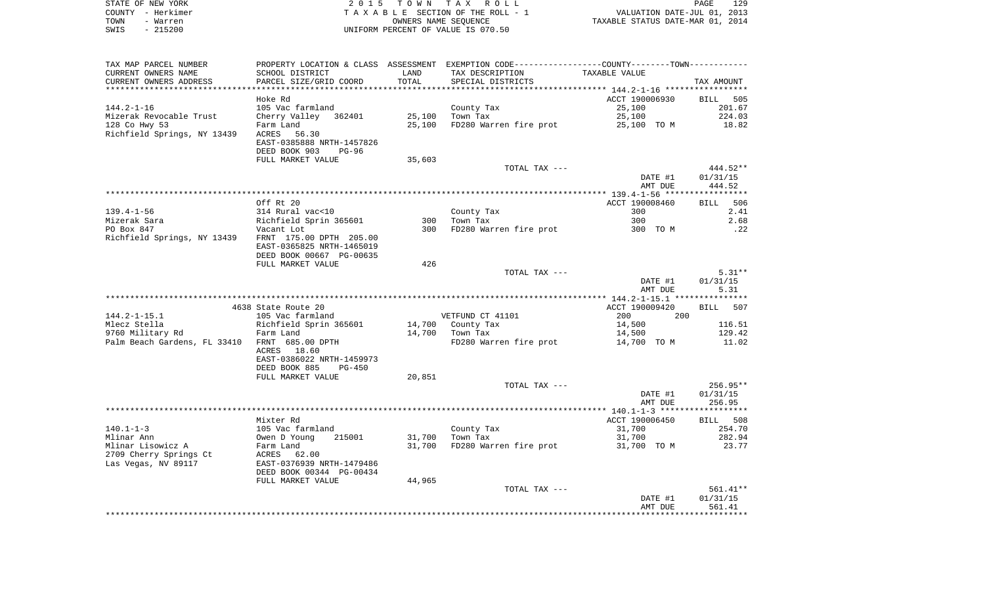|      | STATE OF NEW YORK | 2015 TOWN TAX ROLL                 | PAGE                             | 129 |
|------|-------------------|------------------------------------|----------------------------------|-----|
|      | COUNTY - Herkimer | TAXABLE SECTION OF THE ROLL - 1    | VALUATION DATE-JUL 01, 2013      |     |
| TOWN | - Warren          | OWNERS NAME SEOUENCE               | TAXABLE STATUS DATE-MAR 01, 2014 |     |
| SWIS | - 215200          | UNIFORM PERCENT OF VALUE IS 070.50 |                                  |     |

| TAX MAP PARCEL NUMBER                               |                                    |        | PROPERTY LOCATION & CLASS ASSESSMENT EXEMPTION CODE----------------COUNTY-------TOWN---------- |                |            |
|-----------------------------------------------------|------------------------------------|--------|------------------------------------------------------------------------------------------------|----------------|------------|
| CURRENT OWNERS NAME                                 | SCHOOL DISTRICT                    | LAND   | TAX DESCRIPTION                                                                                | TAXABLE VALUE  |            |
| CURRENT OWNERS ADDRESS                              | PARCEL SIZE/GRID COORD             | TOTAL  | SPECIAL DISTRICTS                                                                              |                | TAX AMOUNT |
|                                                     |                                    |        |                                                                                                |                |            |
|                                                     | Hoke Rd                            |        |                                                                                                | ACCT 190006930 | BILL 505   |
| $144.2 - 1 - 16$                                    | 105 Vac farmland                   |        | County Tax                                                                                     | 25,100         | 201.67     |
| Mizerak Revocable Trust                             | Cherry Valley 362401               | 25,100 | Town Tax                                                                                       | 25,100         | 224.03     |
| 128 Co Hwy 53                                       | Farm Land                          | 25,100 | FD280 Warren fire prot 25,100 TO M                                                             |                | 18.82      |
| Richfield Springs, NY 13439 ACRES                   | 56.30                              |        |                                                                                                |                |            |
|                                                     | EAST-0385888 NRTH-1457826          |        |                                                                                                |                |            |
|                                                     | DEED BOOK 903<br>$PG-96$           |        |                                                                                                |                |            |
|                                                     | FULL MARKET VALUE                  | 35,603 |                                                                                                |                |            |
|                                                     |                                    |        | TOTAL TAX ---                                                                                  |                | 444.52**   |
|                                                     |                                    |        |                                                                                                |                |            |
|                                                     |                                    |        |                                                                                                | DATE #1        | 01/31/15   |
|                                                     |                                    |        |                                                                                                | AMT DUE        | 444.52     |
|                                                     |                                    |        |                                                                                                |                |            |
|                                                     | Off Rt 20                          |        |                                                                                                | ACCT 190008460 | BILL 506   |
| $139.4 - 1 - 56$                                    | 314 Rural vac<10                   |        | County Tax                                                                                     | 300            | 2.41       |
| Mizerak Sara                                        | Richfield Sprin 365601             |        | 300 Town Tax                                                                                   | 300            | 2.68       |
| PO Box 847                                          | Vacant Lot                         | 300    | FD280 Warren fire prot 300 TO M                                                                |                | .22        |
| Richfield Springs, NY 13439 FRNT 175.00 DPTH 205.00 |                                    |        |                                                                                                |                |            |
|                                                     | EAST-0365825 NRTH-1465019          |        |                                                                                                |                |            |
|                                                     | DEED BOOK 00667 PG-00635           |        |                                                                                                |                |            |
|                                                     | FULL MARKET VALUE                  | 426    |                                                                                                |                |            |
|                                                     |                                    |        | TOTAL TAX ---                                                                                  |                | $5.31**$   |
|                                                     |                                    |        |                                                                                                | DATE #1        | 01/31/15   |
|                                                     |                                    |        |                                                                                                | AMT DUE        | 5.31       |
|                                                     |                                    |        |                                                                                                |                |            |
|                                                     | 4638 State Route 20                |        |                                                                                                | ACCT 190009420 | BILL 507   |
| $144.2 - 1 - 15.1$                                  | 105 Vac farmland                   |        | VETFUND CT 41101                                                                               | 200<br>200     |            |
| Mlecz Stella                                        | Richfield Sprin 365601             |        | 14,700 County Tax                                                                              | 14,500         | 116.51     |
| 9760 Military Rd                                    | Farm Land                          |        | 14,700 Town Tax                                                                                | 14,500         | 129.42     |
| Palm Beach Gardens, FL 33410 FRNT 685.00 DPTH       |                                    |        | FD280 Warren fire prot 14,700 TO M                                                             |                | 11.02      |
|                                                     | ACRES 18.60                        |        |                                                                                                |                |            |
|                                                     | EAST-0386022 NRTH-1459973          |        |                                                                                                |                |            |
|                                                     | DEED BOOK 885<br>PG-450            |        |                                                                                                |                |            |
|                                                     | FULL MARKET VALUE                  | 20,851 |                                                                                                |                |            |
|                                                     |                                    |        | TOTAL TAX ---                                                                                  |                | $256.95**$ |
|                                                     |                                    |        |                                                                                                | DATE #1        | 01/31/15   |
|                                                     |                                    |        |                                                                                                | AMT DUE        | 256.95     |
|                                                     |                                    |        |                                                                                                |                |            |
|                                                     | Mixter Rd                          |        |                                                                                                | ACCT 190006450 | BILL 508   |
| $140.1 - 1 - 3$                                     |                                    |        |                                                                                                | 31,700         | 254.70     |
|                                                     | 105 Vac farmland<br>Owen D Young 2 |        | County Tax                                                                                     |                |            |
| Mlinar Ann                                          | 215001                             | 31,700 | Town Tax                                                                                       | 31,700         | 282.94     |
| Mlinar Lisowicz A                                   | Farm Land<br>ACRES    6            | 31,700 | FD280 Warren fire prot 31,700 TO M                                                             |                | 23.77      |
| 2709 Cherry Springs Ct                              | 62.00                              |        |                                                                                                |                |            |
| Las Vegas, NV 89117                                 | EAST-0376939 NRTH-1479486          |        |                                                                                                |                |            |
|                                                     | DEED BOOK 00344 PG-00434           |        |                                                                                                |                |            |
|                                                     | FULL MARKET VALUE                  | 44,965 |                                                                                                |                |            |
|                                                     |                                    |        | TOTAL TAX ---                                                                                  |                | 561.41**   |
|                                                     |                                    |        |                                                                                                | DATE #1        | 01/31/15   |
|                                                     |                                    |        |                                                                                                | AMT DUE        | 561.41     |
|                                                     |                                    |        |                                                                                                |                |            |
|                                                     |                                    |        |                                                                                                |                |            |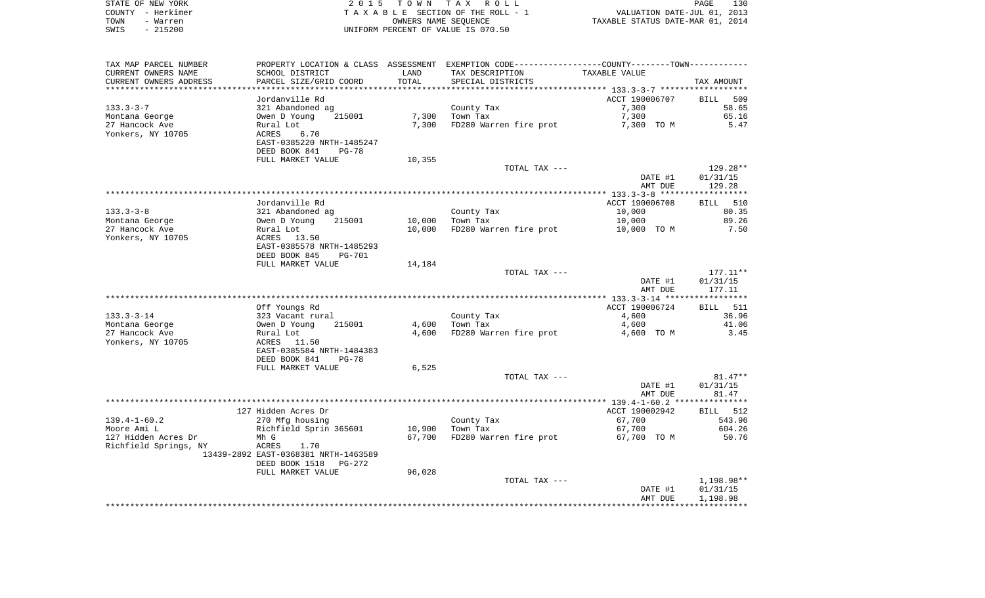| STATE OF NEW YORK | 2015 TOWN TAX ROLL                 | 130<br>PAGE                      |
|-------------------|------------------------------------|----------------------------------|
| COUNTY - Herkimer | TAXABLE SECTION OF THE ROLL - 1    | VALUATION DATE-JUL 01, 2013      |
| TOWN<br>- Warren  | OWNERS NAME SEOUENCE               | TAXABLE STATUS DATE-MAR 01, 2014 |
| $-215200$<br>SWIS | UNIFORM PERCENT OF VALUE IS 070.50 |                                  |

 $\begin{array}{c} 130 \\ 2013 \\ 2014 \end{array}$ 

| TAX MAP PARCEL NUMBER  | PROPERTY LOCATION & CLASS ASSESSMENT EXEMPTION CODE----------------COUNTY--------TOWN----------- |        |                        |                |                    |
|------------------------|--------------------------------------------------------------------------------------------------|--------|------------------------|----------------|--------------------|
| CURRENT OWNERS NAME    | SCHOOL DISTRICT                                                                                  | LAND   | TAX DESCRIPTION        | TAXABLE VALUE  |                    |
| CURRENT OWNERS ADDRESS | PARCEL SIZE/GRID COORD                                                                           | TOTAL  | SPECIAL DISTRICTS      |                | TAX AMOUNT         |
|                        |                                                                                                  |        |                        |                |                    |
|                        | Jordanville Rd                                                                                   |        |                        | ACCT 190006707 | <b>BILL</b><br>509 |
| $133.3 - 3 - 7$        | 321 Abandoned ag                                                                                 |        | County Tax             | 7,300          | 58.65              |
| Montana George         | 215001<br>Owen D Young                                                                           | 7,300  | Town Tax               | 7,300          | 65.16              |
| 27 Hancock Ave         | Rural Lot                                                                                        | 7,300  | FD280 Warren fire prot | 7,300 TO M     | 5.47               |
| Yonkers, NY 10705      | 6.70<br>ACRES                                                                                    |        |                        |                |                    |
|                        | EAST-0385220 NRTH-1485247                                                                        |        |                        |                |                    |
|                        | DEED BOOK 841<br><b>PG-78</b>                                                                    |        |                        |                |                    |
|                        | FULL MARKET VALUE                                                                                | 10,355 |                        |                |                    |
|                        |                                                                                                  |        | TOTAL TAX ---          |                | 129.28**           |
|                        |                                                                                                  |        |                        | DATE #1        | 01/31/15           |
|                        |                                                                                                  |        |                        | AMT DUE        | 129.28             |
|                        |                                                                                                  |        |                        |                |                    |
|                        | Jordanville Rd                                                                                   |        |                        | ACCT 190006708 | BILL<br>510        |
| $133.3 - 3 - 8$        | 321 Abandoned ag                                                                                 |        | County Tax             | 10,000         | 80.35              |
| Montana George         | Owen D Young<br>215001                                                                           | 10,000 | Town Tax               | 10,000         | 89.26              |
| 27 Hancock Ave         | Rural Lot                                                                                        | 10,000 | FD280 Warren fire prot | 10,000 TO M    | 7.50               |
| Yonkers, NY 10705      | ACRES<br>13.50                                                                                   |        |                        |                |                    |
|                        | EAST-0385578 NRTH-1485293                                                                        |        |                        |                |                    |
|                        | DEED BOOK 845<br>PG-701                                                                          |        |                        |                |                    |
|                        | FULL MARKET VALUE                                                                                | 14,184 |                        |                |                    |
|                        |                                                                                                  |        | TOTAL TAX ---          |                | $177.11**$         |
|                        |                                                                                                  |        |                        | DATE #1        | 01/31/15           |
|                        |                                                                                                  |        |                        | AMT DUE        | 177.11             |
|                        |                                                                                                  |        |                        |                |                    |
|                        | Off Youngs Rd                                                                                    |        |                        | ACCT 190006724 | BILL 511           |
| $133.3 - 3 - 14$       | 323 Vacant rural                                                                                 |        | County Tax             | 4,600          | 36.96              |
| Montana George         | Owen D Young<br>215001                                                                           | 4,600  | Town Tax               | 4,600          | 41.06              |
| 27 Hancock Ave         | Rural Lot                                                                                        | 4,600  | FD280 Warren fire prot | 4,600 TO M     | 3.45               |
| Yonkers, NY 10705      | ACRES<br>11.50                                                                                   |        |                        |                |                    |
|                        | EAST-0385584 NRTH-1484383                                                                        |        |                        |                |                    |
|                        | DEED BOOK 841<br>$PG-78$                                                                         |        |                        |                |                    |
|                        | FULL MARKET VALUE                                                                                | 6,525  |                        |                |                    |
|                        |                                                                                                  |        | TOTAL TAX ---          |                | $81.47**$          |
|                        |                                                                                                  |        |                        | DATE #1        | 01/31/15           |
|                        |                                                                                                  |        |                        | AMT DUE        | 81.47              |
|                        |                                                                                                  |        |                        |                |                    |
|                        | 127 Hidden Acres Dr                                                                              |        |                        | ACCT 190002942 | BILL 512           |
| $139.4 - 1 - 60.2$     |                                                                                                  |        | County Tax             | 67,700         | 543.96             |
|                        | 270 Mfg housing                                                                                  |        |                        |                |                    |
| Moore Ami L            | Richfield Sprin 365601                                                                           | 10,900 | Town Tax               | 67,700         | 604.26             |
| 127 Hidden Acres Dr    | Mh G                                                                                             | 67,700 | FD280 Warren fire prot | 67,700 TO M    | 50.76              |
| Richfield Springs, NY  | 1.70<br>ACRES                                                                                    |        |                        |                |                    |
|                        | 13439-2892 EAST-0368381 NRTH-1463589                                                             |        |                        |                |                    |
|                        | DEED BOOK 1518<br>PG-272                                                                         |        |                        |                |                    |
|                        | FULL MARKET VALUE                                                                                | 96,028 |                        |                |                    |
|                        |                                                                                                  |        | TOTAL TAX ---          |                | 1,198.98**         |
|                        |                                                                                                  |        |                        | DATE #1        | 01/31/15           |
|                        |                                                                                                  |        |                        | AMT DUE        | 1,198.98           |
|                        |                                                                                                  |        |                        |                |                    |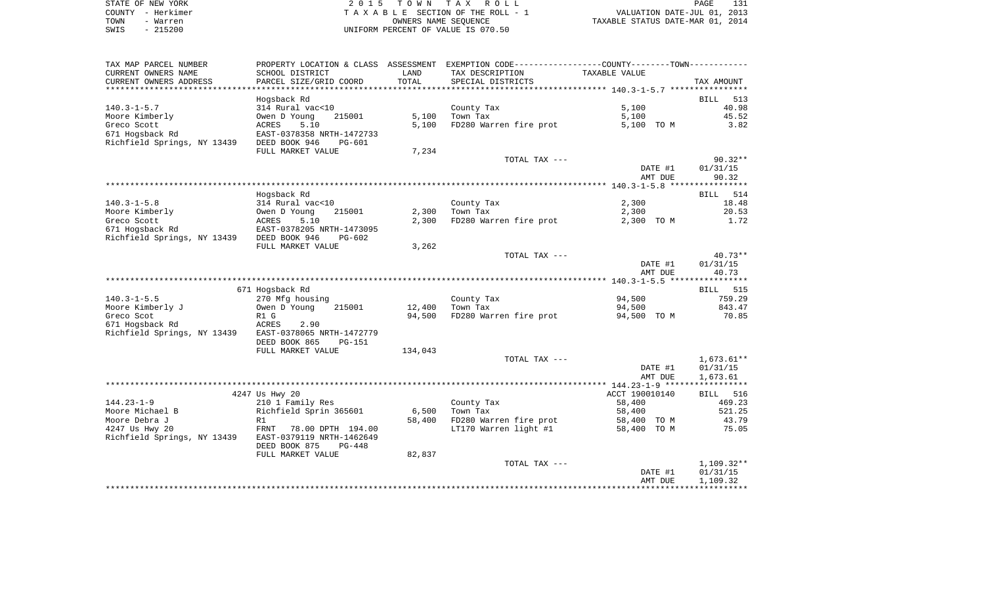| STATE OF NEW YORK | 2015 TOWN TAX ROLL                 | PAGE                             |
|-------------------|------------------------------------|----------------------------------|
| COUNTY - Herkimer | TAXABLE SECTION OF THE ROLL - 1    | VALUATION DATE-JUL 01, 2013      |
| TOWN<br>- Warren  | OWNERS NAME SEOUENCE               | TAXABLE STATUS DATE-MAR 01, 2014 |
| $-215200$<br>SWIS | UNIFORM PERCENT OF VALUE IS 070.50 |                                  |

| TAX MAP PARCEL NUMBER                     | PROPERTY LOCATION & CLASS ASSESSMENT EXEMPTION CODE----------------COUNTY--------TOWN----------- |         |                                                                                                                                                                                                                                               |                    |                    |
|-------------------------------------------|--------------------------------------------------------------------------------------------------|---------|-----------------------------------------------------------------------------------------------------------------------------------------------------------------------------------------------------------------------------------------------|--------------------|--------------------|
| CURRENT OWNERS NAME                       | SCHOOL DISTRICT                                                                                  | LAND    | TAX DESCRIPTION                                                                                                                                                                                                                               | TAXABLE VALUE      |                    |
| CURRENT OWNERS ADDRESS                    | PARCEL SIZE/GRID COORD                                                                           | TOTAL   | SPECIAL DISTRICTS                                                                                                                                                                                                                             |                    | TAX AMOUNT         |
|                                           |                                                                                                  |         |                                                                                                                                                                                                                                               |                    |                    |
|                                           | Hogsback Rd                                                                                      |         |                                                                                                                                                                                                                                               |                    | <b>BILL</b><br>513 |
| $140.3 - 1 - 5.7$                         | 314 Rural vac<10                                                                                 |         | County Tax                                                                                                                                                                                                                                    | 5,100              | 40.98              |
| Moore Kimberly                            | Owen D Young<br>215001                                                                           | 5,100   | Town Tax                                                                                                                                                                                                                                      | 5,100              | 45.52              |
| Greco Scott                               | ACRES<br>5.10                                                                                    | 5,100   | FD280 Warren fire prot                                                                                                                                                                                                                        | 5,100 TO M         | 3.82               |
| 671 Hogsback Rd                           | EAST-0378358 NRTH-1472733                                                                        |         |                                                                                                                                                                                                                                               |                    |                    |
| Richfield Springs, NY 13439 DEED BOOK 946 | PG-601                                                                                           |         |                                                                                                                                                                                                                                               |                    |                    |
|                                           | FULL MARKET VALUE                                                                                | 7,234   |                                                                                                                                                                                                                                               |                    |                    |
|                                           |                                                                                                  |         | TOTAL TAX ---                                                                                                                                                                                                                                 |                    | $90.32**$          |
|                                           |                                                                                                  |         |                                                                                                                                                                                                                                               | DATE #1            | 01/31/15           |
|                                           |                                                                                                  |         |                                                                                                                                                                                                                                               | AMT DUE            | 90.32              |
|                                           | Hogsback Rd                                                                                      |         |                                                                                                                                                                                                                                               |                    |                    |
| $140.3 - 1 - 5.8$                         | 314 Rural vac<10                                                                                 |         | County Tax                                                                                                                                                                                                                                    | 2,300              | BILL 514<br>18.48  |
| Moore Kimberly                            | Owen D Young<br>215001                                                                           | 2,300   | Town Tax                                                                                                                                                                                                                                      | 2,300              | 20.53              |
| Greco Scott                               | 5.10<br>ACRES                                                                                    | 2,300   | FD280 Warren fire prot                                                                                                                                                                                                                        | 2,300 TO M         | 1.72               |
| 671 Hogsback Rd                           | EAST-0378205 NRTH-1473095                                                                        |         |                                                                                                                                                                                                                                               |                    |                    |
| Richfield Springs, NY 13439 DEED BOOK 946 | $PG-602$                                                                                         |         |                                                                                                                                                                                                                                               |                    |                    |
|                                           | FULL MARKET VALUE                                                                                | 3,262   |                                                                                                                                                                                                                                               |                    |                    |
|                                           |                                                                                                  |         | TOTAL TAX ---                                                                                                                                                                                                                                 |                    | $40.73**$          |
|                                           |                                                                                                  |         |                                                                                                                                                                                                                                               | DATE #1            | 01/31/15           |
|                                           |                                                                                                  |         |                                                                                                                                                                                                                                               | AMT DUE            | 40.73              |
|                                           |                                                                                                  |         |                                                                                                                                                                                                                                               |                    |                    |
|                                           | 671 Hogsback Rd                                                                                  |         |                                                                                                                                                                                                                                               |                    | BILL 515           |
| $140.3 - 1 - 5.5$                         | 270 Mfg housing                                                                                  |         | County Tax                                                                                                                                                                                                                                    | 94,500             | 759.29             |
| Moore Kimberly J                          | Owen D Young<br>215001                                                                           | 12,400  | e de la construcción de la construcción de la construcción de la construcción de la construcción de la construcción<br>En la construcción de la construcción de la construcción de la construcción de la construcción de la const<br>Town Tax | 94,500             | 843.47             |
| Greco Scot                                | R1 G                                                                                             | 94,500  | FD280 Warren fire prot                                                                                                                                                                                                                        | 94,500 TO M        | 70.85              |
| 671 Hogsback Rd                           | ACRES<br>2.90                                                                                    |         |                                                                                                                                                                                                                                               |                    |                    |
| Richfield Springs, NY 13439               | EAST-0378065 NRTH-1472779                                                                        |         |                                                                                                                                                                                                                                               |                    |                    |
|                                           | DEED BOOK 865<br><b>PG-151</b>                                                                   |         |                                                                                                                                                                                                                                               |                    |                    |
|                                           | FULL MARKET VALUE                                                                                | 134,043 |                                                                                                                                                                                                                                               |                    |                    |
|                                           |                                                                                                  |         | TOTAL TAX ---                                                                                                                                                                                                                                 |                    | $1,673.61**$       |
|                                           |                                                                                                  |         |                                                                                                                                                                                                                                               | DATE #1<br>AMT DUE | 01/31/15           |
|                                           |                                                                                                  |         |                                                                                                                                                                                                                                               |                    | 1,673.61           |
|                                           | 4247 Us Hwy 20                                                                                   |         |                                                                                                                                                                                                                                               | ACCT 190010140     | BILL 516           |
| $144.23 - 1 - 9$                          | 210 1 Family Res                                                                                 |         | County Tax                                                                                                                                                                                                                                    | 58,400             | 469.23             |
| Moore Michael B                           | Richfield Sprin 365601                                                                           | 6,500   | Town Tax                                                                                                                                                                                                                                      | 58,400             | 521.25             |
| Moore Debra J                             | R1                                                                                               | 58,400  | FD280 Warren fire prot                                                                                                                                                                                                                        | 58,400 TO M        | 43.79              |
| 4247 Us Hwy 20                            | FRNT<br>78.00 DPTH 194.00                                                                        |         | LT170 Warren light #1                                                                                                                                                                                                                         | 58,400 TO M        | 75.05              |
| Richfield Springs, NY 13439               | EAST-0379119 NRTH-1462649                                                                        |         |                                                                                                                                                                                                                                               |                    |                    |
|                                           | DEED BOOK 875<br>PG-448                                                                          |         |                                                                                                                                                                                                                                               |                    |                    |
|                                           | FULL MARKET VALUE                                                                                | 82,837  |                                                                                                                                                                                                                                               |                    |                    |
|                                           |                                                                                                  |         | TOTAL TAX ---                                                                                                                                                                                                                                 |                    | 1,109.32**         |
|                                           |                                                                                                  |         |                                                                                                                                                                                                                                               | DATE #1            | 01/31/15           |
|                                           |                                                                                                  |         |                                                                                                                                                                                                                                               | AMT DUE            | 1,109.32           |
|                                           |                                                                                                  |         |                                                                                                                                                                                                                                               |                    |                    |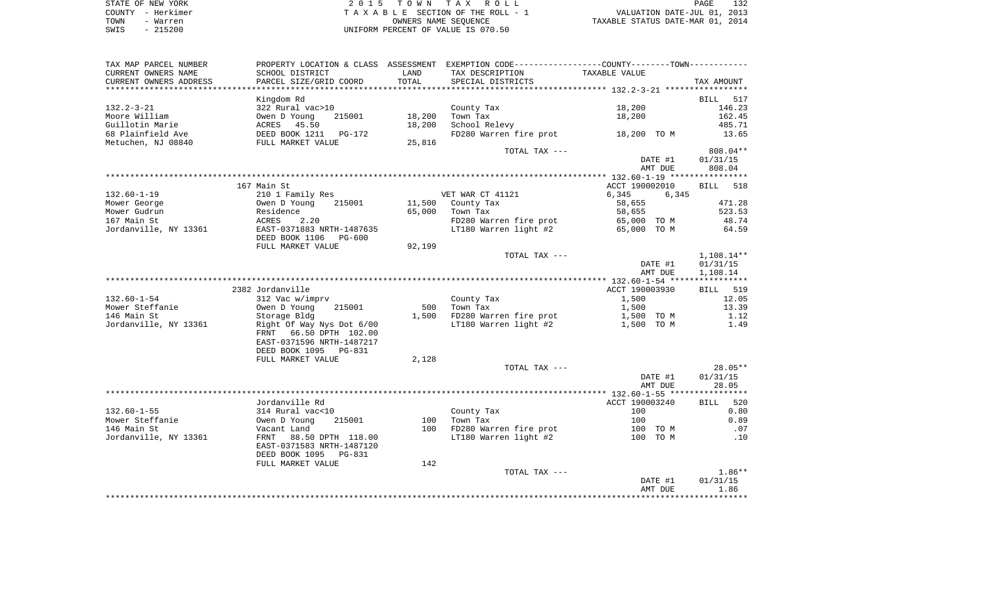| STATE OF NEW YORK | 2015 TOWN TAX ROLL                 | PAGE                             |
|-------------------|------------------------------------|----------------------------------|
| COUNTY - Herkimer | TAXABLE SECTION OF THE ROLL - 1    | VALUATION DATE-JUL 01, 2013      |
| TOWN<br>- Warren  | OWNERS NAME SEOUENCE               | TAXABLE STATUS DATE-MAR 01, 2014 |
| $-215200$<br>SWIS | UNIFORM PERCENT OF VALUE IS 070.50 |                                  |

| TAX MAP PARCEL NUMBER  | PROPERTY LOCATION & CLASS ASSESSMENT EXEMPTION CODE---------------COUNTY-------TOWN---------- |        |                                     |                       |                      |
|------------------------|-----------------------------------------------------------------------------------------------|--------|-------------------------------------|-----------------------|----------------------|
| CURRENT OWNERS NAME    | SCHOOL DISTRICT                                                                               | LAND   | TAX DESCRIPTION                     | TAXABLE VALUE         |                      |
| CURRENT OWNERS ADDRESS | PARCEL SIZE/GRID COORD                                                                        | TOTAL  | SPECIAL DISTRICTS                   |                       | TAX AMOUNT           |
|                        |                                                                                               |        |                                     |                       | BILL<br>517          |
| $132.2 - 3 - 21$       | Kingdom Rd<br>322 Rural vac>10                                                                |        | County Tax                          | 18,200                | 146.23               |
| Moore William          | 215001<br>Owen D Young                                                                        | 18,200 | Town Tax                            | 18,200                | 162.45               |
| Guillotin Marie        |                                                                                               | 18,200 | School Relevy                       |                       | 485.71               |
| 68 Plainfield Ave      |                                                                                               |        | FD280 Warren fire prot 18,200 TO M  |                       | 13.65                |
| Metuchen, NJ 08840     | ACRES 45.50<br>DEED BOOK 1211 PG-172<br>FULL MARKET VALUE                                     | 25,816 |                                     |                       |                      |
|                        |                                                                                               |        | TOTAL TAX ---                       |                       | 808.04**             |
|                        |                                                                                               |        |                                     | DATE #1               | 01/31/15             |
|                        |                                                                                               |        |                                     | AMT DUE               | 808.04               |
|                        |                                                                                               |        |                                     |                       |                      |
|                        | 167 Main St                                                                                   |        |                                     | ACCT 190002010        | <b>BILL</b><br>518   |
| $132.60 - 1 - 19$      | 210 1 Family Res                                                                              |        | VET WAR CT 41121                    | 6,345<br>6,345        |                      |
| Mower George           | Owen D Young<br>215001                                                                        |        | 11,500 County Tax                   | 58,655                | 471.28               |
| Mower Gudrun           | Residence                                                                                     | 65,000 | Town Tax                            | 58,655                | 523.53               |
| 167 Main St            | ACRES<br>2.20                                                                                 |        | FD280 Warren fire prot              | 65,000 TO M           | 48.74                |
| Jordanville, NY 13361  | EAST-0371883 NRTH-1487635                                                                     |        | LT180 Warren $light$ #2 65,000 TO M |                       | 64.59                |
|                        | DEED BOOK 1106<br>PG-600                                                                      |        |                                     |                       |                      |
|                        | FULL MARKET VALUE                                                                             | 92,199 |                                     |                       |                      |
|                        |                                                                                               |        | TOTAL TAX ---                       |                       | 1,108.14**           |
|                        |                                                                                               |        |                                     | DATE #1<br>AMT DUE    | 01/31/15<br>1,108.14 |
|                        |                                                                                               |        |                                     |                       |                      |
|                        | 2382 Jordanville                                                                              |        |                                     | ACCT 190003930        | <b>BILL</b> 519      |
| $132.60 - 1 - 54$      | 312 Vac w/imprv                                                                               |        | County Tax                          | 1,500                 | 12.05                |
| Mower Steffanie        | Owen D Young<br>215001                                                                        | 500    | Town Tax                            | 1,500                 | 13.39                |
| 146 Main St            | Storage Bldg                                                                                  |        | 1,500 FD280 Warren fire prot        | 1,500 TO M            | 1.12                 |
| Jordanville, NY 13361  | Right Of Way Nys Dot 6/00                                                                     |        | LT180 Warren light #2               | 1,500 TO M            | 1.49                 |
|                        | FRNT 66.50 DPTH 102.00                                                                        |        |                                     |                       |                      |
|                        | EAST-0371596 NRTH-1487217                                                                     |        |                                     |                       |                      |
|                        | DEED BOOK 1095 PG-831                                                                         |        |                                     |                       |                      |
|                        | FULL MARKET VALUE                                                                             | 2,128  |                                     |                       |                      |
|                        |                                                                                               |        | TOTAL TAX ---                       |                       | $28.05**$            |
|                        |                                                                                               |        |                                     | DATE #1               | 01/31/15             |
|                        |                                                                                               |        |                                     | AMT DUE               | 28.05                |
|                        |                                                                                               |        |                                     |                       |                      |
| $132.60 - 1 - 55$      | Jordanville Rd                                                                                |        |                                     | ACCT 190003240<br>100 | 520<br>BILL          |
| Mower Steffanie        | 314 Rural vac<10<br>Owen D Young<br>215001                                                    | 100    | County Tax<br>Town Tax              | 100                   | 0.80<br>0.89         |
| 146 Main St            | Vacant Land                                                                                   | 100    | FD280 Warren fire prot              | 100 TO M              | $\ldots$ 07          |
| Jordanville, NY 13361  | 88.50 DPTH 118.00<br>FRNT                                                                     |        | LT180 Warren light #2               | 100 TO M              | .10                  |
|                        | EAST-0371583 NRTH-1487120                                                                     |        |                                     |                       |                      |
|                        | DEED BOOK 1095<br>PG-831                                                                      |        |                                     |                       |                      |
|                        | FULL MARKET VALUE                                                                             | 142    |                                     |                       |                      |
|                        |                                                                                               |        | TOTAL TAX ---                       |                       | $1.86**$             |
|                        |                                                                                               |        |                                     | DATE #1               | 01/31/15             |
|                        |                                                                                               |        |                                     | AMT DUE               | 1.86                 |
|                        |                                                                                               |        |                                     |                       | *******              |
|                        |                                                                                               |        |                                     |                       |                      |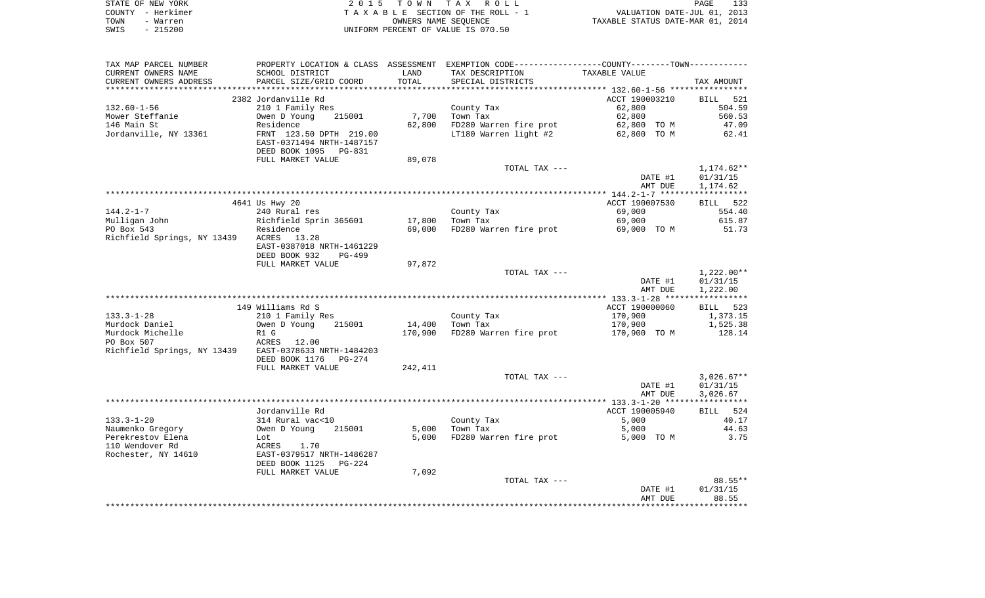| STATE OF NEW YORK | 2015 TOWN TAX ROLL                 | <b>PAGE</b>                      |
|-------------------|------------------------------------|----------------------------------|
| COUNTY - Herkimer | TAXABLE SECTION OF THE ROLL - 1    | VALUATION DATE-JUL 01, 2013      |
| TOWN<br>- Warren  | OWNERS NAME SEOUENCE               | TAXABLE STATUS DATE-MAR 01, 2014 |
| $-215200$<br>SWIS | UNIFORM PERCENT OF VALUE IS 070.50 |                                  |

|                                                                                |                                                                                                                                                                                                                                                                                                                                                       | PROPERTY LOCATION & CLASS ASSESSMENT EXEMPTION CODE----------------COUNTY--------TOWN---------- |                                                                                                                      |                                                                                                                                                                                                                                                                            |
|--------------------------------------------------------------------------------|-------------------------------------------------------------------------------------------------------------------------------------------------------------------------------------------------------------------------------------------------------------------------------------------------------------------------------------------------------|-------------------------------------------------------------------------------------------------|----------------------------------------------------------------------------------------------------------------------|----------------------------------------------------------------------------------------------------------------------------------------------------------------------------------------------------------------------------------------------------------------------------|
| SCHOOL DISTRICT                                                                | LAND                                                                                                                                                                                                                                                                                                                                                  | TAX DESCRIPTION                                                                                 | TAXABLE VALUE                                                                                                        |                                                                                                                                                                                                                                                                            |
| PARCEL SIZE/GRID COORD                                                         | TOTAL                                                                                                                                                                                                                                                                                                                                                 | SPECIAL DISTRICTS                                                                               |                                                                                                                      | TAX AMOUNT                                                                                                                                                                                                                                                                 |
|                                                                                |                                                                                                                                                                                                                                                                                                                                                       |                                                                                                 |                                                                                                                      |                                                                                                                                                                                                                                                                            |
|                                                                                |                                                                                                                                                                                                                                                                                                                                                       |                                                                                                 |                                                                                                                      | BILL 521                                                                                                                                                                                                                                                                   |
|                                                                                |                                                                                                                                                                                                                                                                                                                                                       |                                                                                                 |                                                                                                                      | 504.59                                                                                                                                                                                                                                                                     |
|                                                                                |                                                                                                                                                                                                                                                                                                                                                       |                                                                                                 |                                                                                                                      | 560.53                                                                                                                                                                                                                                                                     |
|                                                                                |                                                                                                                                                                                                                                                                                                                                                       |                                                                                                 |                                                                                                                      | 47.09                                                                                                                                                                                                                                                                      |
|                                                                                |                                                                                                                                                                                                                                                                                                                                                       |                                                                                                 |                                                                                                                      |                                                                                                                                                                                                                                                                            |
|                                                                                |                                                                                                                                                                                                                                                                                                                                                       |                                                                                                 |                                                                                                                      | 62.41                                                                                                                                                                                                                                                                      |
|                                                                                |                                                                                                                                                                                                                                                                                                                                                       |                                                                                                 |                                                                                                                      |                                                                                                                                                                                                                                                                            |
|                                                                                |                                                                                                                                                                                                                                                                                                                                                       |                                                                                                 |                                                                                                                      |                                                                                                                                                                                                                                                                            |
|                                                                                |                                                                                                                                                                                                                                                                                                                                                       |                                                                                                 |                                                                                                                      |                                                                                                                                                                                                                                                                            |
|                                                                                |                                                                                                                                                                                                                                                                                                                                                       |                                                                                                 |                                                                                                                      | 1,174.62**                                                                                                                                                                                                                                                                 |
|                                                                                |                                                                                                                                                                                                                                                                                                                                                       |                                                                                                 |                                                                                                                      | 01/31/15                                                                                                                                                                                                                                                                   |
|                                                                                |                                                                                                                                                                                                                                                                                                                                                       |                                                                                                 | AMT DUE                                                                                                              | 1,174.62                                                                                                                                                                                                                                                                   |
|                                                                                |                                                                                                                                                                                                                                                                                                                                                       |                                                                                                 |                                                                                                                      |                                                                                                                                                                                                                                                                            |
| 4641 Us Hwy 20                                                                 |                                                                                                                                                                                                                                                                                                                                                       |                                                                                                 | ACCT 190007530                                                                                                       | BILL 522                                                                                                                                                                                                                                                                   |
| 240 Rural res                                                                  |                                                                                                                                                                                                                                                                                                                                                       |                                                                                                 | 69,000                                                                                                               | 554.40                                                                                                                                                                                                                                                                     |
|                                                                                |                                                                                                                                                                                                                                                                                                                                                       |                                                                                                 |                                                                                                                      | 615.87                                                                                                                                                                                                                                                                     |
|                                                                                |                                                                                                                                                                                                                                                                                                                                                       |                                                                                                 |                                                                                                                      | 51.73                                                                                                                                                                                                                                                                      |
|                                                                                |                                                                                                                                                                                                                                                                                                                                                       |                                                                                                 |                                                                                                                      |                                                                                                                                                                                                                                                                            |
|                                                                                |                                                                                                                                                                                                                                                                                                                                                       |                                                                                                 |                                                                                                                      |                                                                                                                                                                                                                                                                            |
|                                                                                |                                                                                                                                                                                                                                                                                                                                                       |                                                                                                 |                                                                                                                      |                                                                                                                                                                                                                                                                            |
|                                                                                |                                                                                                                                                                                                                                                                                                                                                       |                                                                                                 |                                                                                                                      |                                                                                                                                                                                                                                                                            |
|                                                                                |                                                                                                                                                                                                                                                                                                                                                       |                                                                                                 |                                                                                                                      |                                                                                                                                                                                                                                                                            |
|                                                                                |                                                                                                                                                                                                                                                                                                                                                       |                                                                                                 |                                                                                                                      | $1,222.00**$                                                                                                                                                                                                                                                               |
|                                                                                |                                                                                                                                                                                                                                                                                                                                                       |                                                                                                 |                                                                                                                      | 01/31/15                                                                                                                                                                                                                                                                   |
|                                                                                |                                                                                                                                                                                                                                                                                                                                                       |                                                                                                 |                                                                                                                      | 1,222.00                                                                                                                                                                                                                                                                   |
|                                                                                |                                                                                                                                                                                                                                                                                                                                                       |                                                                                                 |                                                                                                                      |                                                                                                                                                                                                                                                                            |
|                                                                                |                                                                                                                                                                                                                                                                                                                                                       |                                                                                                 |                                                                                                                      | BILL 523                                                                                                                                                                                                                                                                   |
|                                                                                |                                                                                                                                                                                                                                                                                                                                                       |                                                                                                 |                                                                                                                      | 1,373.15                                                                                                                                                                                                                                                                   |
| Owen D Young<br>215001                                                         |                                                                                                                                                                                                                                                                                                                                                       |                                                                                                 |                                                                                                                      |                                                                                                                                                                                                                                                                            |
|                                                                                |                                                                                                                                                                                                                                                                                                                                                       |                                                                                                 | 170,900                                                                                                              | 1,525.38                                                                                                                                                                                                                                                                   |
| R1 G                                                                           | 170,900                                                                                                                                                                                                                                                                                                                                               | FD280 Warren fire prot                                                                          | 170,900 TO M                                                                                                         | 128.14                                                                                                                                                                                                                                                                     |
| ACRES 12.00                                                                    |                                                                                                                                                                                                                                                                                                                                                       |                                                                                                 |                                                                                                                      |                                                                                                                                                                                                                                                                            |
| Richfield Springs, NY 13439 EAST-0378633 NRTH-1484203                          |                                                                                                                                                                                                                                                                                                                                                       |                                                                                                 |                                                                                                                      |                                                                                                                                                                                                                                                                            |
| DEED BOOK 1176    PG-274                                                       |                                                                                                                                                                                                                                                                                                                                                       |                                                                                                 |                                                                                                                      |                                                                                                                                                                                                                                                                            |
| FULL MARKET VALUE                                                              | 242,411                                                                                                                                                                                                                                                                                                                                               |                                                                                                 |                                                                                                                      |                                                                                                                                                                                                                                                                            |
|                                                                                |                                                                                                                                                                                                                                                                                                                                                       | TOTAL TAX ---                                                                                   |                                                                                                                      | $3,026.67**$                                                                                                                                                                                                                                                               |
|                                                                                |                                                                                                                                                                                                                                                                                                                                                       |                                                                                                 |                                                                                                                      |                                                                                                                                                                                                                                                                            |
|                                                                                |                                                                                                                                                                                                                                                                                                                                                       |                                                                                                 | DATE #1                                                                                                              | 01/31/15                                                                                                                                                                                                                                                                   |
|                                                                                |                                                                                                                                                                                                                                                                                                                                                       |                                                                                                 | AMT DUE                                                                                                              | 3,026.67                                                                                                                                                                                                                                                                   |
|                                                                                |                                                                                                                                                                                                                                                                                                                                                       |                                                                                                 |                                                                                                                      |                                                                                                                                                                                                                                                                            |
| Jordanville Rd                                                                 |                                                                                                                                                                                                                                                                                                                                                       |                                                                                                 | ACCT 190005940                                                                                                       | BILL 524                                                                                                                                                                                                                                                                   |
|                                                                                |                                                                                                                                                                                                                                                                                                                                                       |                                                                                                 | 5,000                                                                                                                | 40.17                                                                                                                                                                                                                                                                      |
| 314 Rural vac<10<br>Owen D Young 21<br>215001                                  |                                                                                                                                                                                                                                                                                                                                                       | County Tax<br>Town Tax<br>5,000 Town Tax                                                        | 5,000                                                                                                                | 44.63                                                                                                                                                                                                                                                                      |
| Lot                                                                            |                                                                                                                                                                                                                                                                                                                                                       | 5,000 FD280 Warren fire prot                                                                    | 5,000 TO M                                                                                                           | 3.75                                                                                                                                                                                                                                                                       |
|                                                                                |                                                                                                                                                                                                                                                                                                                                                       |                                                                                                 |                                                                                                                      |                                                                                                                                                                                                                                                                            |
|                                                                                |                                                                                                                                                                                                                                                                                                                                                       |                                                                                                 |                                                                                                                      |                                                                                                                                                                                                                                                                            |
| <b>ACRES</b> 1.70<br><b>EAST-0379517 NRTH-1486287</b><br>DEED BOOK 1125 PG-224 |                                                                                                                                                                                                                                                                                                                                                       |                                                                                                 |                                                                                                                      |                                                                                                                                                                                                                                                                            |
| FULL MARKET VALUE                                                              | 7,092                                                                                                                                                                                                                                                                                                                                                 |                                                                                                 |                                                                                                                      |                                                                                                                                                                                                                                                                            |
|                                                                                |                                                                                                                                                                                                                                                                                                                                                       | TOTAL TAX ---                                                                                   |                                                                                                                      | 88.55**                                                                                                                                                                                                                                                                    |
|                                                                                |                                                                                                                                                                                                                                                                                                                                                       |                                                                                                 | DATE #1                                                                                                              | 01/31/15                                                                                                                                                                                                                                                                   |
|                                                                                | 2382 Jordanville Rd<br>210 1 Family Res<br>215001<br>Owen D Young<br>Residence<br>FRNT 123.50 DPTH 219.00<br>EAST-0371494 NRTH-1487157<br>DEED BOOK 1095 PG-831<br>FULL MARKET VALUE<br>Richfield Springs, NY 13439 ACRES 13.28<br>EAST-0387018 NRTH-1461229<br>DEED BOOK 932<br>PG-499<br>FULL MARKET VALUE<br>149 Williams Rd S<br>210 1 Family Res | 89,078<br>Richfield Sprin 365601<br>Residence<br>97,872                                         | County Tax<br>7,700 Town Tax<br>62,800<br>County Tax<br>Town Tax<br>17,800 Town Tax<br>County Tax<br>14,400 Town Tax | ACCT 190003210<br>62,800<br>62,800<br>62,800 TO M<br>FD280 Warren fire prot<br>LT180 Warren light #2 62,800 TO M<br>TOTAL TAX ---<br>DATE #1<br>69,000<br>69,000 FD280 Warren fire prot<br>69,000 TO M<br>TOTAL TAX ---<br>DATE #1<br>AMT DUE<br>ACCT 190000060<br>170,900 |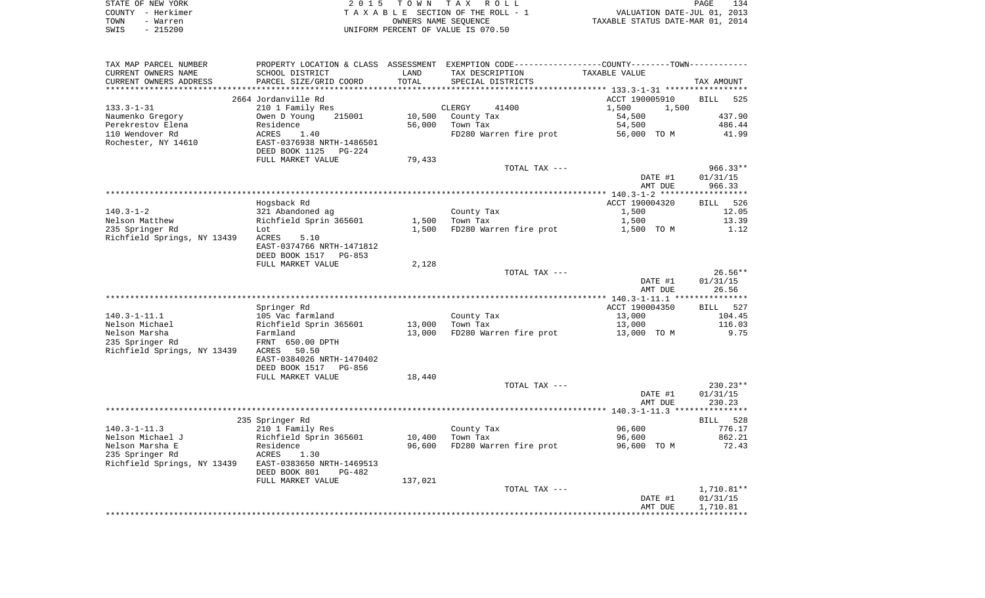|      | STATE OF NEW YORK | 2015 TOWN TAX ROLL                 | <b>PAGE</b>                      | 134 |
|------|-------------------|------------------------------------|----------------------------------|-----|
|      | COUNTY - Herkimer | TAXABLE SECTION OF THE ROLL - 1    | VALUATION DATE-JUL 01, 2013      |     |
| TOWN | - Warren          | OWNERS NAME SEOUENCE               | TAXABLE STATUS DATE-MAR 01, 2014 |     |
| SWIS | $-215200$         | UNIFORM PERCENT OF VALUE IS 070.50 |                                  |     |

| TAX MAP PARCEL NUMBER                          |                                                                     |         | PROPERTY LOCATION & CLASS ASSESSMENT EXEMPTION CODE----------------COUNTY-------TOWN---------- |                                                  |                    |
|------------------------------------------------|---------------------------------------------------------------------|---------|------------------------------------------------------------------------------------------------|--------------------------------------------------|--------------------|
| CURRENT OWNERS NAME                            | SCHOOL DISTRICT                                                     | LAND    | TAX DESCRIPTION                                                                                | TAXABLE VALUE                                    |                    |
| CURRENT OWNERS ADDRESS                         | PARCEL SIZE/GRID COORD                                              | TOTAL   | SPECIAL DISTRICTS                                                                              |                                                  | TAX AMOUNT         |
|                                                | ****************************                                        |         | ***************************                                                                    | ****************** 133.3-1-31 ****************** |                    |
|                                                | 2664 Jordanville Rd                                                 |         |                                                                                                | ACCT 190005910                                   | BILL<br>525        |
| $133.3 - 1 - 31$                               | 210 1 Family Res                                                    |         | CLERGY<br>41400                                                                                | 1,500<br>1,500                                   |                    |
| Naumenko Gregory                               | Owen D Young<br>215001                                              | 10,500  | County Tax                                                                                     | 54,500                                           | 437.90             |
| Perekrestov Elena                              | Residence                                                           | 56,000  | Town Tax                                                                                       | 54,500                                           | 486.44             |
| 110 Wendover Rd                                | ACRES<br>1.40                                                       |         | FD280 Warren fire prot                                                                         | 56,000 TO M                                      | 41.99              |
| Rochester, NY 14610                            | EAST-0376938 NRTH-1486501<br>DEED BOOK 1125<br><b>PG-224</b>        |         |                                                                                                |                                                  |                    |
|                                                | FULL MARKET VALUE                                                   | 79,433  |                                                                                                |                                                  |                    |
|                                                |                                                                     |         | TOTAL TAX ---                                                                                  |                                                  | $966.33**$         |
|                                                |                                                                     |         |                                                                                                | DATE #1                                          | 01/31/15           |
|                                                |                                                                     |         |                                                                                                | AMT DUE                                          | 966.33             |
|                                                |                                                                     |         |                                                                                                |                                                  |                    |
|                                                | Hogsback Rd                                                         |         |                                                                                                | ACCT 190004320                                   | BILL 526           |
| $140.3 - 1 - 2$                                | 321 Abandoned ag                                                    |         | County Tax                                                                                     | 1,500                                            | 12.05              |
| Nelson Matthew                                 | Richfield Sprin 365601                                              | 1,500   | Town Tax                                                                                       | 1,500                                            | 13.39              |
| 235 Springer Rd                                | Lot                                                                 | 1,500   | FD280 Warren fire prot                                                                         | 1,500 TO M                                       | 1.12               |
| Richfield Springs, NY 13439                    | ACRES<br>5.10<br>EAST-0374766 NRTH-1471812<br>DEED BOOK 1517 PG-853 |         |                                                                                                |                                                  |                    |
|                                                | FULL MARKET VALUE                                                   | 2,128   |                                                                                                |                                                  |                    |
|                                                |                                                                     |         | TOTAL TAX ---                                                                                  |                                                  | $26.56**$          |
|                                                |                                                                     |         |                                                                                                | DATE #1<br>AMT DUE                               | 01/31/15<br>26.56  |
|                                                |                                                                     |         |                                                                                                |                                                  |                    |
|                                                | Springer Rd                                                         |         |                                                                                                | ACCT 190004350                                   | <b>BILL</b><br>527 |
| $140.3 - 1 - 11.1$                             | 105 Vac farmland                                                    |         | County Tax                                                                                     | 13,000                                           | 104.45             |
| Nelson Michael                                 | Richfield Sprin 365601                                              | 13,000  | Town Tax                                                                                       | 13,000                                           | 116.03             |
| Nelson Marsha                                  | Farmland                                                            | 13,000  | FD280 Warren fire prot                                                                         | 13,000 TO M                                      | 9.75               |
| 235 Springer Rd<br>Richfield Springs, NY 13439 | FRNT 650.00 DPTH<br>ACRES<br>50.50<br>EAST-0384026 NRTH-1470402     |         |                                                                                                |                                                  |                    |
|                                                | DEED BOOK 1517<br>PG-856                                            |         |                                                                                                |                                                  |                    |
|                                                | FULL MARKET VALUE                                                   | 18,440  |                                                                                                |                                                  |                    |
|                                                |                                                                     |         | TOTAL TAX ---                                                                                  |                                                  | $230.23**$         |
|                                                |                                                                     |         |                                                                                                | DATE #1                                          | 01/31/15           |
|                                                |                                                                     |         |                                                                                                | AMT DUE                                          | 230.23             |
|                                                |                                                                     |         |                                                                                                |                                                  |                    |
|                                                | 235 Springer Rd                                                     |         |                                                                                                |                                                  | BILL 528           |
| $140.3 - 1 - 11.3$                             | 210 1 Family Res                                                    |         | County Tax                                                                                     | 96,600                                           | 776.17             |
| Nelson Michael J                               | Richfield Sprin 365601                                              | 10,400  | Town Tax                                                                                       | 96,600                                           | 862.21             |
| Nelson Marsha E                                | Residence                                                           | 96,600  | FD280 Warren fire prot                                                                         | 96,600 TO M                                      | 72.43              |
| 235 Springer Rd                                | ACRES<br>1.30                                                       |         |                                                                                                |                                                  |                    |
| Richfield Springs, NY 13439                    | EAST-0383650 NRTH-1469513<br>DEED BOOK 801<br>PG-482                |         |                                                                                                |                                                  |                    |
|                                                | FULL MARKET VALUE                                                   | 137,021 |                                                                                                |                                                  |                    |
|                                                |                                                                     |         | TOTAL TAX ---                                                                                  |                                                  | 1,710.81**         |
|                                                |                                                                     |         |                                                                                                | DATE #1                                          | 01/31/15           |
|                                                |                                                                     |         |                                                                                                | AMT DUE                                          | 1,710.81           |
|                                                |                                                                     |         |                                                                                                |                                                  |                    |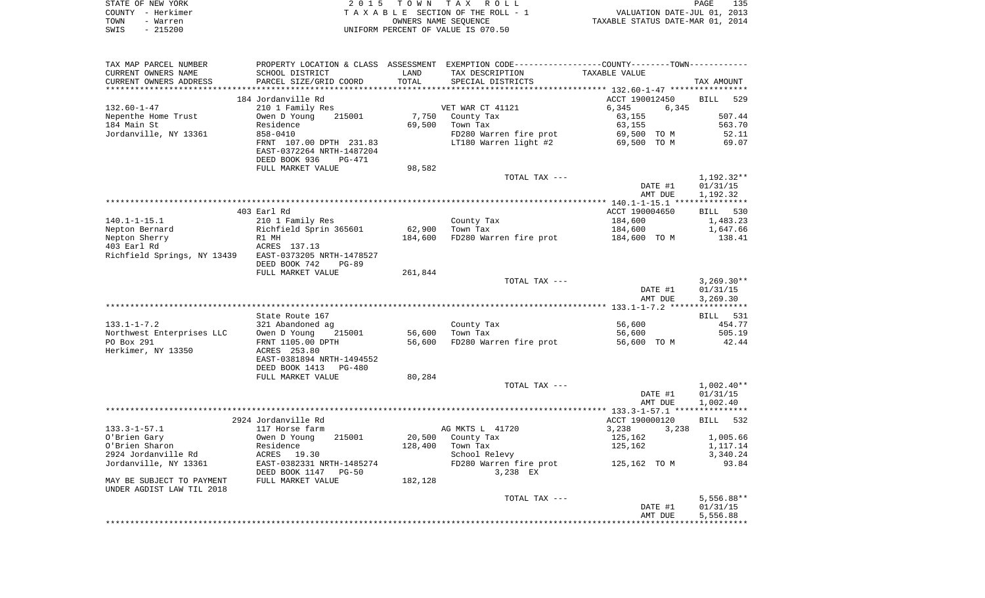|      | STATE OF NEW YORK | 2015 TOWN TAX ROLL                 | 135<br>PAGE                      |
|------|-------------------|------------------------------------|----------------------------------|
|      | COUNTY - Herkimer | TAXABLE SECTION OF THE ROLL - 1    | VALUATION DATE-JUL 01, 2013      |
| TOWN | - Warren          | OWNERS NAME SEOUENCE               | TAXABLE STATUS DATE-MAR 01, 2014 |
| SWIS | - 215200          | UNIFORM PERCENT OF VALUE IS 070.50 |                                  |

| TAX MAP PARCEL NUMBER                                  | PROPERTY LOCATION & CLASS ASSESSMENT EXEMPTION CODE---------------COUNTY-------TOWN---------- |         |                                    |                 |                    |
|--------------------------------------------------------|-----------------------------------------------------------------------------------------------|---------|------------------------------------|-----------------|--------------------|
| CURRENT OWNERS NAME                                    | SCHOOL DISTRICT                                                                               | LAND    | TAX DESCRIPTION                    | TAXABLE VALUE   |                    |
| CURRENT OWNERS ADDRESS                                 | PARCEL SIZE/GRID COORD                                                                        | TOTAL   | SPECIAL DISTRICTS                  |                 | TAX AMOUNT         |
|                                                        |                                                                                               |         |                                    |                 |                    |
|                                                        | 184 Jordanville Rd                                                                            |         |                                    | ACCT 190012450  | <b>BILL</b><br>529 |
| $132.60 - 1 - 47$                                      | 210 1 Family Res                                                                              |         | VET WAR CT 41121                   | 6,345<br>6,345  |                    |
| Nepenthe Home Trust                                    | Owen D Young<br>215001                                                                        | 7,750   | County Tax                         | 63,155          | 507.44             |
| 184 Main St                                            | Residence                                                                                     | 69,500  | Town Tax                           | 63,155          | 563.70             |
| Jordanville, NY 13361                                  | 858-0410                                                                                      |         | FD280 Warren fire prot             | 69,500 TO M     | 52.11              |
|                                                        | FRNT 107.00 DPTH 231.83<br>EAST-0372264 NRTH-1487204                                          |         | LT180 Warren light #2              | 69,500 TO M     | 69.07              |
|                                                        | DEED BOOK 936<br>PG-471                                                                       |         |                                    |                 |                    |
|                                                        | FULL MARKET VALUE                                                                             | 98,582  |                                    |                 |                    |
|                                                        |                                                                                               |         | TOTAL TAX ---                      |                 | 1,192.32**         |
|                                                        |                                                                                               |         |                                    | DATE #1         | 01/31/15           |
|                                                        | ***************                                                                               |         |                                    | AMT DUE         | 1,192.32           |
|                                                        |                                                                                               |         |                                    |                 |                    |
|                                                        | 403 Earl Rd                                                                                   |         |                                    | ACCT 190004650  | BILL 530           |
| $140.1 - 1 - 15.1$                                     | 210 1 Family Res                                                                              |         | County Tax                         | 184,600         | 1,483.23           |
| Nepton Bernard                                         | Richfield Sprin 365601                                                                        | 62,900  | Town Tax                           | 184,600         | 1,647.66           |
| Nepton Sherry<br>403 Earl Rd                           | R1 MH                                                                                         | 184,600 | FD280 Warren fire prot             | 184,600 TO M    | 138.41             |
| Richfield Springs, NY 13439 EAST-0373205 NRTH-1478527  | ACRES 137.13                                                                                  |         |                                    |                 |                    |
|                                                        | DEED BOOK 742<br>$PG-89$                                                                      |         |                                    |                 |                    |
|                                                        | FULL MARKET VALUE                                                                             | 261,844 |                                    |                 |                    |
|                                                        |                                                                                               |         | TOTAL TAX ---                      |                 | $3,269.30**$       |
|                                                        |                                                                                               |         |                                    | DATE #1         | 01/31/15           |
|                                                        |                                                                                               |         |                                    | AMT DUE         | 3,269.30           |
|                                                        |                                                                                               |         |                                    |                 |                    |
|                                                        | State Route 167                                                                               |         |                                    |                 | BILL 531           |
| $133.1 - 1 - 7.2$                                      | 321 Abandoned ag                                                                              |         | County Tax                         | 56,600          | 454.77             |
| Northwest Enterprises LLC                              | Owen D Young<br>215001                                                                        | 56,600  | Town Tax                           | 56,600          | 505.19             |
| PO Box 291                                             | FRNT 1105.00 DPTH                                                                             | 56,600  | FD280 Warren fire prot             | 56,600 TO M     | 42.44              |
| Herkimer, NY 13350                                     | ACRES 253.80                                                                                  |         |                                    |                 |                    |
|                                                        | EAST-0381894 NRTH-1494552                                                                     |         |                                    |                 |                    |
|                                                        | DEED BOOK 1413<br>PG-480                                                                      |         |                                    |                 |                    |
|                                                        | FULL MARKET VALUE                                                                             | 80,284  |                                    |                 |                    |
|                                                        |                                                                                               |         | TOTAL TAX ---                      |                 | $1,002.40**$       |
|                                                        |                                                                                               |         |                                    | DATE #1         | 01/31/15           |
|                                                        |                                                                                               |         |                                    | AMT DUE         | 1,002.40           |
|                                                        |                                                                                               |         |                                    |                 |                    |
|                                                        | 2924 Jordanville Rd                                                                           |         |                                    | ACCT 190000120  | 532<br>BILL        |
| $133.3 - 1 - 57.1$                                     | 117 Horse farm                                                                                |         | AG MKTS L 41720                    | 3,238<br>3,238  |                    |
| O'Brien Gary                                           | 215001<br>Owen D Young                                                                        | 20,500  | County Tax                         | 125,162         | 1,005.66           |
| O'Brien Sharon                                         | Residence                                                                                     | 128,400 | Town Tax                           | 125,162         | 1,117.14           |
| 2924 Jordanville Rd                                    | ACRES<br>19.30                                                                                |         | School Relevy                      |                 | 3,340.24           |
| Jordanville, NY 13361                                  | EAST-0382331 NRTH-1485274<br>DEED BOOK 1147<br>$PG-50$                                        |         | FD280 Warren fire prot<br>3,238 EX | 125,162   TO  M | 93.84              |
| MAY BE SUBJECT TO PAYMENT<br>UNDER AGDIST LAW TIL 2018 | FULL MARKET VALUE                                                                             | 182,128 |                                    |                 |                    |
|                                                        |                                                                                               |         | TOTAL TAX ---                      |                 | $5,556.88**$       |
|                                                        |                                                                                               |         |                                    | DATE #1         | 01/31/15           |
|                                                        |                                                                                               |         |                                    | AMT DUE         | 5,556.88           |
|                                                        |                                                                                               |         |                                    |                 |                    |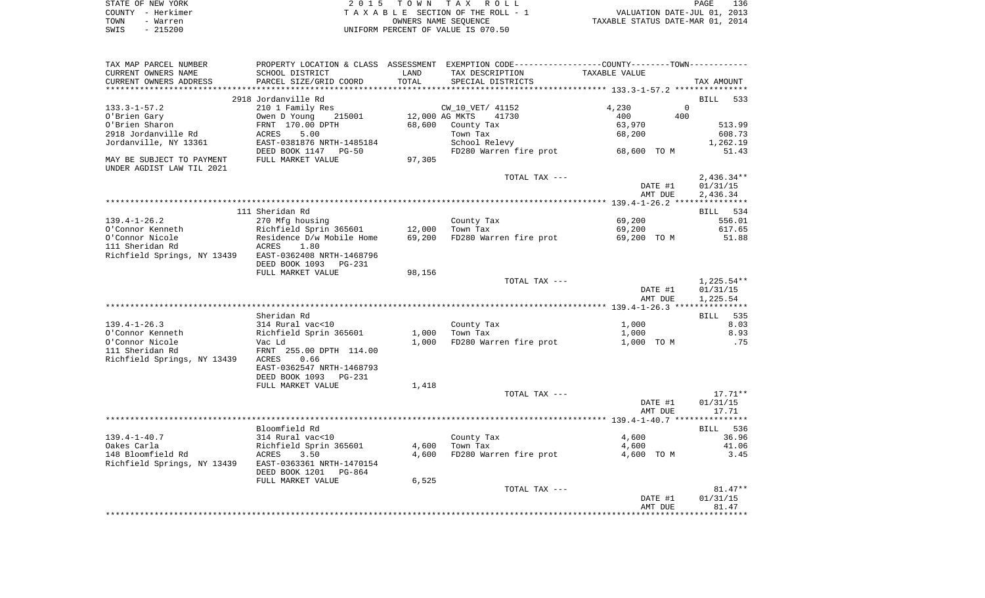| STATE OF NEW YORK | 2015 TOWN TAX ROLL                 | 136<br>PAGE                      |
|-------------------|------------------------------------|----------------------------------|
| COUNTY - Herkimer | TAXABLE SECTION OF THE ROLL - 1    | VALUATION DATE-JUL 01, 2013      |
| TOWN<br>- Warren  | OWNERS NAME SEOUENCE               | TAXABLE STATUS DATE-MAR 01, 2014 |
| - 215200<br>SWIS  | UNIFORM PERCENT OF VALUE IS 070.50 |                                  |

| TAX MAP PARCEL NUMBER       |                           |                | PROPERTY LOCATION & CLASS ASSESSMENT EXEMPTION CODE----------------COUNTY--------TOWN---------- |               |                      |
|-----------------------------|---------------------------|----------------|-------------------------------------------------------------------------------------------------|---------------|----------------------|
| CURRENT OWNERS NAME         | SCHOOL DISTRICT           | LAND           | TAX DESCRIPTION                                                                                 | TAXABLE VALUE |                      |
| CURRENT OWNERS ADDRESS      | PARCEL SIZE/GRID COORD    | TOTAL          | SPECIAL DISTRICTS                                                                               |               | TAX AMOUNT           |
|                             |                           |                |                                                                                                 |               |                      |
|                             | 2918 Jordanville Rd       |                |                                                                                                 |               | <b>BILL</b><br>533   |
| $133.3 - 1 - 57.2$          | 210 1 Family Res          |                | CW_10_VET/ 41152                                                                                | 4,230         | $\Omega$             |
| O'Brien Gary                | Owen D Young<br>215001    | 12,000 AG MKTS | 41730                                                                                           | 400<br>400    |                      |
| O'Brien Sharon              | FRNT 170.00 DPTH          | 68,600         | County Tax                                                                                      | 63,970        | 513.99               |
| 2918 Jordanville Rd         | ACRES<br>5.00             |                | Town Tax                                                                                        | 68,200        | 608.73               |
| Jordanville, NY 13361       | EAST-0381876 NRTH-1485184 |                | School Relevy                                                                                   |               | 1,262.19             |
|                             | DEED BOOK 1147<br>$PG-50$ |                | FD280 Warren fire prot                                                                          | 68,600 TO M   | 51.43                |
| MAY BE SUBJECT TO PAYMENT   | FULL MARKET VALUE         | 97,305         |                                                                                                 |               |                      |
| UNDER AGDIST LAW TIL 2021   |                           |                |                                                                                                 |               |                      |
|                             |                           |                | TOTAL TAX ---                                                                                   |               | $2,436.34**$         |
|                             |                           |                |                                                                                                 | DATE #1       | 01/31/15             |
|                             |                           |                |                                                                                                 | AMT DUE       | 2,436.34             |
|                             |                           |                |                                                                                                 |               |                      |
|                             | 111 Sheridan Rd           |                |                                                                                                 |               | BILL 534             |
| $139.4 - 1 - 26.2$          | 270 Mfg housing           |                | County Tax                                                                                      | 69,200        | 556.01               |
| O'Connor Kenneth            | Richfield Sprin 365601    | 12,000         | Town Tax                                                                                        | 69,200        | 617.65               |
| O'Connor Nicole             | Residence D/w Mobile Home | 69,200         | FD280 Warren fire prot                                                                          | 69,200 TO M   | 51.88                |
| 111 Sheridan Rd             | 1.80<br>ACRES             |                |                                                                                                 |               |                      |
| Richfield Springs, NY 13439 | EAST-0362408 NRTH-1468796 |                |                                                                                                 |               |                      |
|                             | DEED BOOK 1093 PG-231     |                |                                                                                                 |               |                      |
|                             | FULL MARKET VALUE         | 98,156         |                                                                                                 |               |                      |
|                             |                           |                | TOTAL TAX ---                                                                                   |               | $1,225.54**$         |
|                             |                           |                |                                                                                                 | DATE #1       | 01/31/15<br>1,225.54 |
|                             |                           |                |                                                                                                 | AMT DUE       |                      |
|                             | Sheridan Rd               |                |                                                                                                 |               | 535<br>BILL          |
| $139.4 - 1 - 26.3$          | 314 Rural vac<10          |                |                                                                                                 | 1,000         | 8.03                 |
| O'Connor Kenneth            | Richfield Sprin 365601    | 1,000          | County Tax<br>Town Tax                                                                          | 1,000         | 8.93                 |
| O'Connor Nicole             | Vac Ld                    | 1,000          | FD280 Warren fire prot                                                                          | 1,000 TO M    | .75                  |
| 111 Sheridan Rd             | FRNT 255.00 DPTH 114.00   |                |                                                                                                 |               |                      |
| Richfield Springs, NY 13439 | 0.66<br>ACRES             |                |                                                                                                 |               |                      |
|                             | EAST-0362547 NRTH-1468793 |                |                                                                                                 |               |                      |
|                             | DEED BOOK 1093<br>PG-231  |                |                                                                                                 |               |                      |
|                             | FULL MARKET VALUE         | 1,418          |                                                                                                 |               |                      |
|                             |                           |                | TOTAL TAX ---                                                                                   |               | $17.71**$            |
|                             |                           |                |                                                                                                 | DATE #1       | 01/31/15             |
|                             |                           |                |                                                                                                 | AMT DUE       | 17.71                |
|                             |                           |                |                                                                                                 |               |                      |
|                             | Bloomfield Rd             |                |                                                                                                 |               | BILL 536             |
| $139.4 - 1 - 40.7$          | 314 Rural vac<10          |                | County Tax                                                                                      | 4,600         | 36.96                |
| Oakes Carla                 | Richfield Sprin 365601    | 4,600          | Town Tax                                                                                        | 4,600         | 41.06                |
| 148 Bloomfield Rd           | ACRES<br>3.50             | 4,600          | FD280 Warren fire prot                                                                          | 4,600 TO M    | 3.45                 |
| Richfield Springs, NY 13439 | EAST-0363361 NRTH-1470154 |                |                                                                                                 |               |                      |
|                             | DEED BOOK 1201<br>PG-864  |                |                                                                                                 |               |                      |
|                             | FULL MARKET VALUE         | 6,525          |                                                                                                 |               |                      |
|                             |                           |                | TOTAL TAX ---                                                                                   |               | $81.47**$            |
|                             |                           |                |                                                                                                 | DATE #1       | 01/31/15             |
|                             |                           |                |                                                                                                 | AMT DUE       | 81.47                |
|                             |                           |                |                                                                                                 |               |                      |
|                             |                           |                |                                                                                                 |               |                      |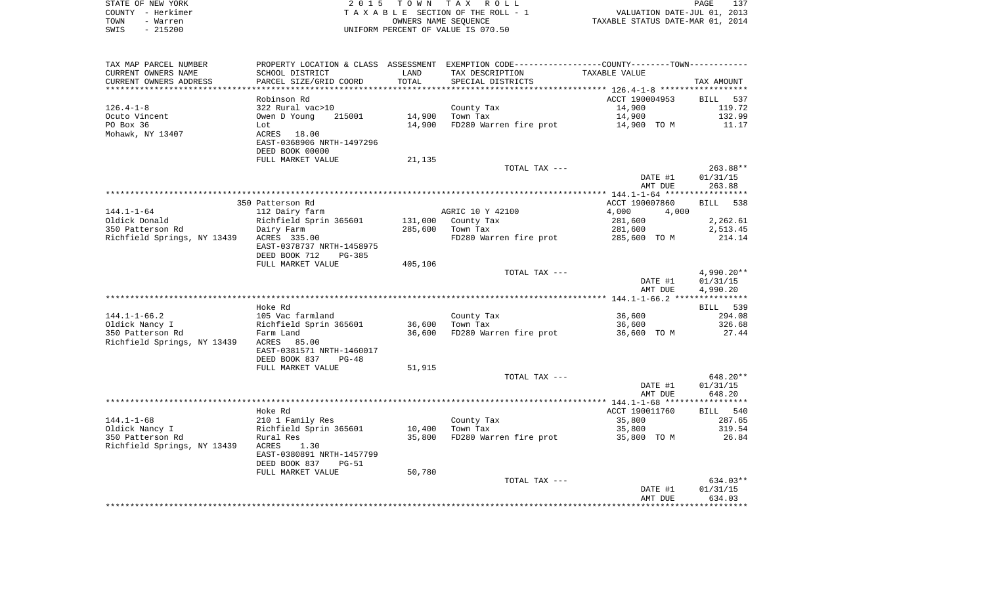|      | STATE OF NEW YORK | 2015 TOWN TAX ROLL                 | 137<br>PAGE                      |
|------|-------------------|------------------------------------|----------------------------------|
|      | COUNTY - Herkimer | TAXABLE SECTION OF THE ROLL - 1    | VALUATION DATE-JUL 01, 2013      |
| TOWN | - Warren          | OWNERS NAME SEOUENCE               | TAXABLE STATUS DATE-MAR 01, 2014 |
| SWIS | - 215200          | UNIFORM PERCENT OF VALUE IS 070.50 |                                  |

| TAX MAP PARCEL NUMBER       |                                                        |         | PROPERTY LOCATION & CLASS ASSESSMENT EXEMPTION CODE----------------COUNTY-------TOWN----------- |                |                    |
|-----------------------------|--------------------------------------------------------|---------|-------------------------------------------------------------------------------------------------|----------------|--------------------|
| CURRENT OWNERS NAME         | SCHOOL DISTRICT                                        | LAND    | TAX DESCRIPTION                                                                                 | TAXABLE VALUE  |                    |
| CURRENT OWNERS ADDRESS      | PARCEL SIZE/GRID COORD                                 | TOTAL   | SPECIAL DISTRICTS                                                                               |                | TAX AMOUNT         |
|                             |                                                        |         |                                                                                                 |                |                    |
|                             | Robinson Rd                                            |         |                                                                                                 | ACCT 190004953 | BILL 537           |
| $126.4 - 1 - 8$             | 322 Rural vac>10                                       |         | County Tax                                                                                      | 14,900         | 119.72             |
|                             | 215001                                                 | 14,900  | Town Tax                                                                                        |                | 132.99             |
| Ocuto Vincent               | Owen D Young                                           |         |                                                                                                 | 14,900         |                    |
| PO Box 36                   | Lot                                                    | 14,900  | FD280 Warren fire prot                                                                          | 14,900 TO M    | 11.17              |
| Mohawk, NY 13407            | ACRES 18.00                                            |         |                                                                                                 |                |                    |
|                             | EAST-0368906 NRTH-1497296                              |         |                                                                                                 |                |                    |
|                             | DEED BOOK 00000                                        |         |                                                                                                 |                |                    |
|                             | FULL MARKET VALUE                                      | 21,135  |                                                                                                 |                |                    |
|                             |                                                        |         | TOTAL TAX ---                                                                                   |                | $263.88**$         |
|                             |                                                        |         |                                                                                                 | DATE #1        | 01/31/15           |
|                             |                                                        |         |                                                                                                 | AMT DUE        | 263.88             |
|                             |                                                        |         |                                                                                                 |                |                    |
|                             | 350 Patterson Rd                                       |         |                                                                                                 | ACCT 190007860 | 538<br><b>BILL</b> |
|                             |                                                        |         |                                                                                                 | 4,000          |                    |
| $144.1 - 1 - 64$            | 112 Dairy farm                                         |         | AGRIC 10 Y 42100                                                                                | 4,000          |                    |
| Oldick Donald               | Richfield Sprin 365601                                 | 131,000 | County Tax                                                                                      | 281,600        | 2,262.61           |
| 350 Patterson Rd            | Dairy Farm                                             | 285,600 | Town Tax                                                                                        | 281,600        | 2,513.45           |
| Richfield Springs, NY 13439 | ACRES 335.00                                           |         | FD280 Warren fire prot 285,600 TO M                                                             |                | 214.14             |
|                             | EAST-0378737 NRTH-1458975                              |         |                                                                                                 |                |                    |
|                             | DEED BOOK 712<br>PG-385                                |         |                                                                                                 |                |                    |
|                             | FULL MARKET VALUE                                      | 405,106 |                                                                                                 |                |                    |
|                             |                                                        |         | TOTAL TAX ---                                                                                   |                | 4,990.20**         |
|                             |                                                        |         |                                                                                                 | DATE #1        | 01/31/15           |
|                             |                                                        |         |                                                                                                 | AMT DUE        | 4,990.20           |
|                             |                                                        |         |                                                                                                 |                |                    |
|                             | Hoke Rd                                                |         |                                                                                                 |                | BILL 539           |
| $144.1 - 1 - 66.2$          | 105 Vac farmland                                       |         | County Tax                                                                                      | 36,600         | 294.08             |
|                             |                                                        | 36,600  | Town Tax                                                                                        |                | 326.68             |
| Oldick Nancy I              | Richfield Sprin 365601                                 |         |                                                                                                 | 36,600         |                    |
| 350 Patterson Rd            | Farm Land                                              | 36,600  | FD280 Warren fire prot                                                                          | 36,600 TO M    | 27.44              |
| Richfield Springs, NY 13439 | ACRES 85.00                                            |         |                                                                                                 |                |                    |
|                             | EAST-0381571 NRTH-1460017                              |         |                                                                                                 |                |                    |
|                             | DEED BOOK 837<br>PG-48                                 |         |                                                                                                 |                |                    |
|                             | FULL MARKET VALUE                                      | 51,915  |                                                                                                 |                |                    |
|                             |                                                        |         | TOTAL TAX ---                                                                                   |                | 648.20**           |
|                             |                                                        |         |                                                                                                 | DATE #1        | 01/31/15           |
|                             |                                                        |         |                                                                                                 | AMT DUE        | 648.20             |
|                             |                                                        |         |                                                                                                 |                |                    |
|                             | Hoke Rd                                                |         |                                                                                                 | ACCT 190011760 | BILL 540           |
| $144.1 - 1 - 68$            | 210 1 Family Res                                       |         | County Tax                                                                                      | 35,800         | 287.65             |
| Oldick Nancy I              |                                                        | 10,400  | Town Tax                                                                                        | 35,800         | 319.54             |
| 350 Patterson Rd            | 10 T Family Res<br>Richfield Sprin 365601<br>Rural Res | 35,800  | FD280 Warren fire prot 35,800 TO M                                                              |                | 26.84              |
|                             |                                                        |         |                                                                                                 |                |                    |
| Richfield Springs, NY 13439 | 1.30<br>ACRES                                          |         |                                                                                                 |                |                    |
|                             | EAST-0380891 NRTH-1457799                              |         |                                                                                                 |                |                    |
|                             | DEED BOOK 837<br>$PG-51$                               |         |                                                                                                 |                |                    |
|                             | FULL MARKET VALUE                                      | 50,780  |                                                                                                 |                |                    |
|                             |                                                        |         | TOTAL TAX ---                                                                                   |                | 634.03**           |
|                             |                                                        |         |                                                                                                 | DATE #1        | 01/31/15           |
|                             |                                                        |         |                                                                                                 | AMT DUE        | 634.03             |
|                             |                                                        |         |                                                                                                 |                |                    |
|                             |                                                        |         |                                                                                                 |                |                    |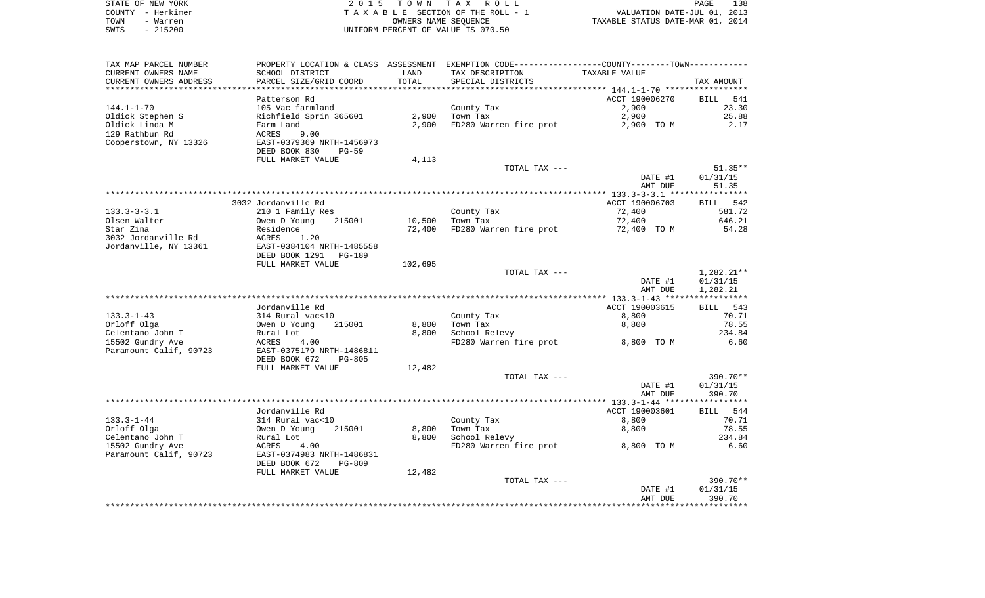|      | STATE OF NEW YORK | 2015 TOWN TAX ROLL                 | 138<br>PAGE                      |
|------|-------------------|------------------------------------|----------------------------------|
|      | COUNTY – Herkimer | TAXABLE SECTION OF THE ROLL - 1    | VALUATION DATE-JUL 01, 2013      |
| TOWN | - Warren          | OWNERS NAME SEOUENCE               | TAXABLE STATUS DATE-MAR 01, 2014 |
| SWIS | - 215200          | UNIFORM PERCENT OF VALUE IS 070.50 |                                  |

| TAX MAP PARCEL NUMBER  | PROPERTY LOCATION & CLASS ASSESSMENT EXEMPTION CODE---------------COUNTY--------TOWN---------- |         |                        |                |              |
|------------------------|------------------------------------------------------------------------------------------------|---------|------------------------|----------------|--------------|
| CURRENT OWNERS NAME    | SCHOOL DISTRICT                                                                                | LAND    | TAX DESCRIPTION        | TAXABLE VALUE  |              |
| CURRENT OWNERS ADDRESS | PARCEL SIZE/GRID COORD                                                                         | TOTAL   | SPECIAL DISTRICTS      |                | TAX AMOUNT   |
|                        |                                                                                                |         |                        |                |              |
|                        | Patterson Rd                                                                                   |         |                        | ACCT 190006270 | BILL<br>541  |
| 144.1-1-70             | 105 Vac farmland                                                                               |         | County Tax             | 2,900          | 23.30        |
| Oldick Stephen S       | Richfield Sprin 365601                                                                         | 2,900   | Town Tax               | 2,900          | 25.88        |
| Oldick Linda M         | Farm Land                                                                                      | 2,900   | FD280 Warren fire prot | 2,900 TO M     | 2.17         |
| 129 Rathbun Rd         | 9.00<br>ACRES                                                                                  |         |                        |                |              |
| Cooperstown, NY 13326  | EAST-0379369 NRTH-1456973                                                                      |         |                        |                |              |
|                        | DEED BOOK 830<br><b>PG-59</b>                                                                  |         |                        |                |              |
|                        | FULL MARKET VALUE                                                                              | 4,113   |                        |                |              |
|                        |                                                                                                |         | TOTAL TAX ---          |                | $51.35**$    |
|                        |                                                                                                |         |                        | DATE #1        | 01/31/15     |
|                        |                                                                                                |         |                        | AMT DUE        | 51.35        |
|                        |                                                                                                |         |                        |                |              |
|                        | 3032 Jordanville Rd                                                                            |         |                        | ACCT 190006703 | BILL 542     |
|                        |                                                                                                |         |                        |                |              |
| $133.3 - 3 - 3.1$      | 210 1 Family Res                                                                               |         | County Tax             | 72,400         | 581.72       |
| Olsen Walter           | 215001<br>Owen D Young                                                                         | 10,500  | Town Tax               | 72,400         | 646.21       |
| Star Zina              | Residence                                                                                      | 72,400  | FD280 Warren fire prot | 72,400 TO M    | 54.28        |
| 3032 Jordanville Rd    | ACRES<br>1.20                                                                                  |         |                        |                |              |
| Jordanville, NY 13361  | EAST-0384104 NRTH-1485558                                                                      |         |                        |                |              |
|                        | DEED BOOK 1291<br>PG-189                                                                       |         |                        |                |              |
|                        | FULL MARKET VALUE                                                                              | 102,695 |                        |                |              |
|                        |                                                                                                |         | TOTAL TAX ---          |                | $1,282.21**$ |
|                        |                                                                                                |         |                        | DATE #1        | 01/31/15     |
|                        |                                                                                                |         |                        | AMT DUE        | 1,282.21     |
|                        |                                                                                                |         |                        |                |              |
|                        | Jordanville Rd                                                                                 |         |                        | ACCT 190003615 | BILL<br>543  |
| $133.3 - 1 - 43$       | 314 Rural vac<10                                                                               |         | County Tax             | 8,800          | 70.71        |
| Orloff Olga            | 215001<br>Owen D Young                                                                         | 8,800   | Town Tax               | 8,800          | 78.55        |
| Celentano John T       | Rural Lot                                                                                      | 8,800   | School Relevy          |                | 234.84       |
| 15502 Gundry Ave       | ACRES<br>4.00                                                                                  |         | FD280 Warren fire prot | 8,800 TO M     | 6.60         |
| Paramount Calif, 90723 | EAST-0375179 NRTH-1486811                                                                      |         |                        |                |              |
|                        | DEED BOOK 672<br><b>PG-805</b>                                                                 |         |                        |                |              |
|                        | FULL MARKET VALUE                                                                              | 12,482  |                        |                |              |
|                        |                                                                                                |         | TOTAL TAX ---          |                | $390.70**$   |
|                        |                                                                                                |         |                        | DATE #1        | 01/31/15     |
|                        |                                                                                                |         |                        | AMT DUE        | 390.70       |
|                        |                                                                                                |         |                        |                |              |
|                        | Jordanville Rd                                                                                 |         |                        | ACCT 190003601 | BILL 544     |
| $133.3 - 1 - 44$       | 314 Rural vac<10                                                                               |         | County Tax             | 8,800          | 70.71        |
| Orloff Olga            | 215001<br>Owen D Young                                                                         | 8,800   | Town Tax               | 8,800          | 78.55        |
| Celentano John T       |                                                                                                |         | School Relevy          |                | 234.84       |
|                        | Rural Lot                                                                                      | 8,800   |                        |                |              |
| 15502 Gundry Ave       | ACRES<br>4.00                                                                                  |         | FD280 Warren fire prot | 8,800 TO M     | 6.60         |
| Paramount Calif, 90723 | EAST-0374983 NRTH-1486831                                                                      |         |                        |                |              |
|                        | DEED BOOK 672<br><b>PG-809</b>                                                                 |         |                        |                |              |
|                        | FULL MARKET VALUE                                                                              | 12,482  |                        |                |              |
|                        |                                                                                                |         | TOTAL TAX ---          |                | 390.70**     |
|                        |                                                                                                |         |                        | DATE #1        | 01/31/15     |
|                        |                                                                                                |         |                        | AMT DUE        | 390.70       |
|                        |                                                                                                |         |                        |                |              |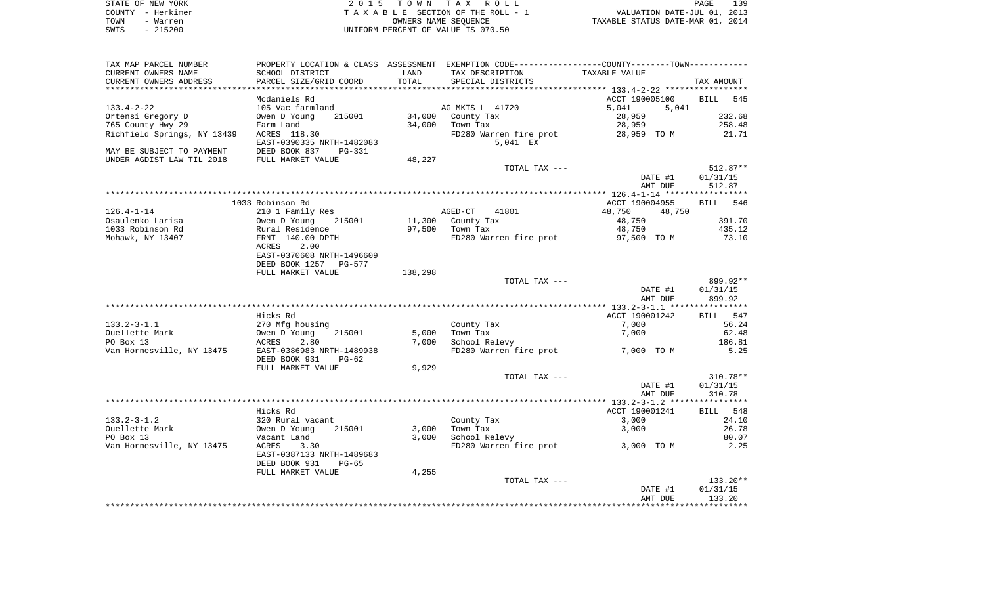| STATE OF NEW YORK | 2015 TOWN TAX ROLL                 | 139<br>PAGE                      |
|-------------------|------------------------------------|----------------------------------|
| COUNTY - Herkimer | TAXABLE SECTION OF THE ROLL - 1    | VALUATION DATE-JUL 01, 2013      |
| TOWN<br>- Warren  | OWNERS NAME SEOUENCE               | TAXABLE STATUS DATE-MAR 01, 2014 |
| SWIS<br>- 215200  | UNIFORM PERCENT OF VALUE IS 070.50 |                                  |

| TAX MAP PARCEL NUMBER       | PROPERTY LOCATION & CLASS ASSESSMENT EXEMPTION CODE---------------COUNTY-------TOWN---------- |         |                        |                  |                    |
|-----------------------------|-----------------------------------------------------------------------------------------------|---------|------------------------|------------------|--------------------|
| CURRENT OWNERS NAME         | SCHOOL DISTRICT                                                                               | LAND    | TAX DESCRIPTION        | TAXABLE VALUE    |                    |
| CURRENT OWNERS ADDRESS      | PARCEL SIZE/GRID COORD                                                                        | TOTAL   | SPECIAL DISTRICTS      |                  | TAX AMOUNT         |
| ***********************     |                                                                                               |         |                        |                  |                    |
|                             | Mcdaniels Rd                                                                                  |         |                        | ACCT 190005100   | <b>BILL</b><br>545 |
| $133.4 - 2 - 22$            | 105 Vac farmland                                                                              |         | AG MKTS L 41720        | 5,041<br>5,041   |                    |
| Ortensi Gregory D           | Owen D Young<br>215001                                                                        | 34,000  | County Tax             | 28,959           | 232.68             |
| 765 County Hwy 29           | Farm Land                                                                                     | 34,000  | Town Tax               | 28,959           | 258.48             |
| Richfield Springs, NY 13439 | ACRES 118.30                                                                                  |         | FD280 Warren fire prot | 28,959 TO M      | 21.71              |
|                             | EAST-0390335 NRTH-1482083                                                                     |         | 5,041 EX               |                  |                    |
| MAY BE SUBJECT TO PAYMENT   | DEED BOOK 837<br>PG-331                                                                       |         |                        |                  |                    |
| UNDER AGDIST LAW TIL 2018   | FULL MARKET VALUE                                                                             | 48,227  |                        |                  |                    |
|                             |                                                                                               |         | TOTAL TAX ---          |                  | $512.87**$         |
|                             |                                                                                               |         |                        | DATE #1          | 01/31/15           |
|                             |                                                                                               |         |                        | AMT DUE          | 512.87             |
|                             |                                                                                               |         |                        |                  |                    |
|                             | 1033 Robinson Rd                                                                              |         |                        | ACCT 190004955   | BILL 546           |
| $126.4 - 1 - 14$            | 210 1 Family Res                                                                              |         | AGED-CT<br>41801       | 48,750<br>48,750 |                    |
| Osaulenko Larisa            | Owen D Young<br>215001                                                                        | 11,300  |                        | 48,750           | 391.70             |
| 1033 Robinson Rd            |                                                                                               |         | County Tax             |                  | 435.12             |
|                             | Rural Residence                                                                               | 97,500  | Town Tax               | 48,750           |                    |
| Mohawk, NY 13407            | FRNT 140.00 DPTH                                                                              |         | FD280 Warren fire prot | 97,500 TO M      | 73.10              |
|                             | ACRES<br>2.00                                                                                 |         |                        |                  |                    |
|                             | EAST-0370608 NRTH-1496609                                                                     |         |                        |                  |                    |
|                             | DEED BOOK 1257 PG-577                                                                         |         |                        |                  |                    |
|                             | FULL MARKET VALUE                                                                             | 138,298 |                        |                  |                    |
|                             |                                                                                               |         | TOTAL TAX ---          |                  | 899.92**           |
|                             |                                                                                               |         |                        | DATE #1          | 01/31/15           |
|                             |                                                                                               |         |                        | AMT DUE          | 899.92             |
|                             |                                                                                               |         |                        |                  |                    |
|                             | Hicks Rd                                                                                      |         |                        | ACCT 190001242   | BILL 547           |
| $133.2 - 3 - 1.1$           | 270 Mfg housing                                                                               |         | County Tax             | 7,000            | 56.24              |
| Ouellette Mark              | Owen D Young<br>215001                                                                        | 5,000   | Town Tax               | 7,000            | 62.48              |
| PO Box 13                   | 2.80<br>ACRES                                                                                 | 7,000   | School Relevy          |                  | 186.81             |
| Van Hornesville, NY 13475   | EAST-0386983 NRTH-1489938                                                                     |         | FD280 Warren fire prot | 7,000 TO M       | 5.25               |
|                             | DEED BOOK 931<br>$PG-62$                                                                      |         |                        |                  |                    |
|                             | FULL MARKET VALUE                                                                             | 9,929   |                        |                  |                    |
|                             |                                                                                               |         | TOTAL TAX ---          |                  | 310.78**           |
|                             |                                                                                               |         |                        | DATE #1          | 01/31/15           |
|                             |                                                                                               |         |                        | AMT DUE          | 310.78             |
|                             |                                                                                               |         |                        |                  |                    |
|                             | Hicks Rd                                                                                      |         |                        | ACCT 190001241   | BILL 548           |
| $133.2 - 3 - 1.2$           | 320 Rural vacant                                                                              |         | County Tax             | 3,000            | 24.10              |
| Ouellette Mark              | Owen D Young<br>215001                                                                        | 3,000   | Town Tax               | 3,000            | 26.78              |
| PO Box 13                   | Vacant Land                                                                                   | 3,000   | School Relevy          |                  | 80.07              |
| Van Hornesville, NY 13475   | ACRES<br>3.30                                                                                 |         | FD280 Warren fire prot | 3,000 TO M       | 2.25               |
|                             | EAST-0387133 NRTH-1489683                                                                     |         |                        |                  |                    |
|                             | DEED BOOK 931<br>$PG-65$                                                                      |         |                        |                  |                    |
|                             | FULL MARKET VALUE                                                                             | 4,255   |                        |                  |                    |
|                             |                                                                                               |         | TOTAL TAX ---          |                  | $133.20**$         |
|                             |                                                                                               |         |                        | DATE #1          | 01/31/15           |
|                             |                                                                                               |         |                        | AMT DUE          | 133.20             |
|                             |                                                                                               |         |                        |                  |                    |
|                             |                                                                                               |         |                        |                  |                    |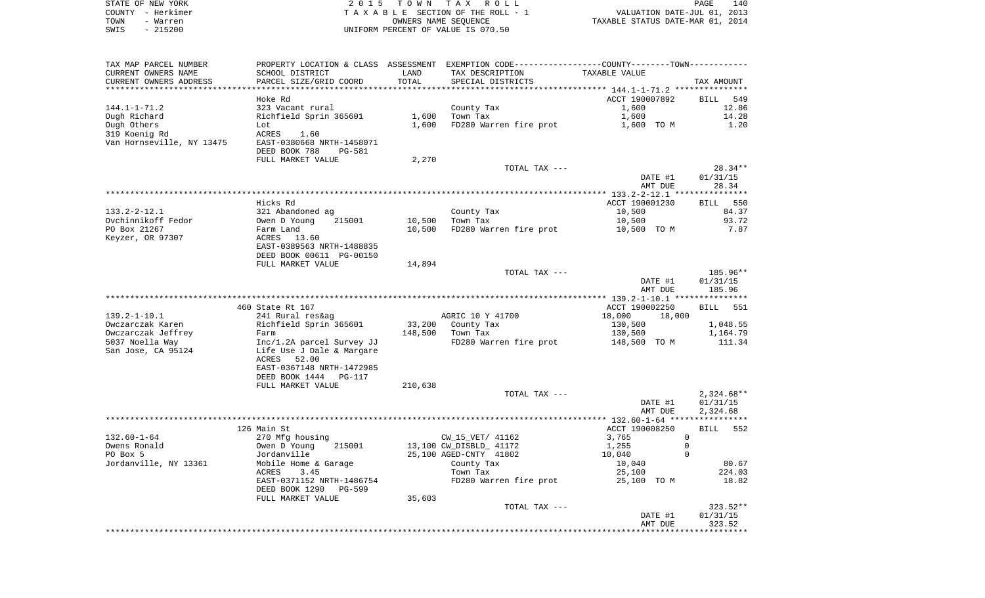| STATE OF NEW YORK | 2015 TOWN TAX ROLL                    | 140<br>PAGE                      |
|-------------------|---------------------------------------|----------------------------------|
| COUNTY - Herkimer | T A X A B L E SECTION OF THE ROLL - 1 | VALUATION DATE-JUL 01, 2013      |
| TOWN<br>- Warren  | OWNERS NAME SEOUENCE                  | TAXABLE STATUS DATE-MAR 01, 2014 |
| - 215200<br>SWIS  | UNIFORM PERCENT OF VALUE IS 070.50    |                                  |

|                           |                                                        |         | PROPERTY LOCATION & CLASS ASSESSMENT EXEMPTION CODE---------------COUNTY--------TOWN---------- |                         |                    |
|---------------------------|--------------------------------------------------------|---------|------------------------------------------------------------------------------------------------|-------------------------|--------------------|
| CURRENT OWNERS NAME       | SCHOOL DISTRICT                                        | LAND    | TAX DESCRIPTION                                                                                | TAXABLE VALUE           |                    |
| CURRENT OWNERS ADDRESS    | PARCEL SIZE/GRID COORD                                 | TOTAL   | SPECIAL DISTRICTS                                                                              |                         | TAX AMOUNT         |
|                           |                                                        |         |                                                                                                |                         |                    |
|                           | Hoke Rd                                                |         |                                                                                                | ACCT 190007892          | BILL 549           |
| 144.1-1-71.2              | 323 Vacant rural                                       |         | County Tax                                                                                     | 1,600                   | 12.86              |
| Ough Richard              | Richfield Sprin 365601                                 |         | $1,600$ Town Tax                                                                               | 1,600                   | 14.28              |
| Ough Others               | Lot                                                    |         | 1,600 FD280 Warren fire prot                                                                   | 1,600 TO M              | 1.20               |
| 319 Koenig Rd             | ACRES<br>1.60                                          |         |                                                                                                |                         |                    |
| Van Hornseville, NY 13475 | EAST-0380668 NRTH-1458071                              |         |                                                                                                |                         |                    |
|                           | DEED BOOK 788<br>PG-581                                |         |                                                                                                |                         |                    |
|                           | FULL MARKET VALUE                                      | 2,270   |                                                                                                |                         |                    |
|                           |                                                        |         | TOTAL TAX ---                                                                                  |                         | $28.34**$          |
|                           |                                                        |         |                                                                                                | DATE #1                 | 01/31/15           |
|                           |                                                        |         |                                                                                                | AMT DUE                 | 28.34              |
|                           |                                                        |         |                                                                                                |                         |                    |
|                           | Hicks Rd                                               |         |                                                                                                | ACCT 190001230          | BILL 550           |
| 133.2-2-12.1              | 321 Abandoned ag                                       |         | County Tax                                                                                     | 10,500                  | 84.37              |
| Ovchinnikoff Fedor        |                                                        |         | 10,500 Town Tax                                                                                | 10,500                  | 93.72              |
| PO Box 21267              | Owen D Young<br>Farm Land<br>ACRES 13.60               | 10,500  | FD280 Warren fire prot                                                                         | 10,500 TO M             | 7.87               |
| Keyzer, OR 97307          | EAST-0389563 NRTH-1488835                              |         |                                                                                                |                         |                    |
|                           | DEED BOOK 00611 PG-00150                               |         |                                                                                                |                         |                    |
|                           | FULL MARKET VALUE                                      | 14,894  |                                                                                                |                         |                    |
|                           |                                                        |         | TOTAL TAX ---                                                                                  |                         | 185.96**           |
|                           |                                                        |         |                                                                                                | DATE #1                 | 01/31/15           |
|                           |                                                        |         |                                                                                                | AMT DUE                 | 185.96             |
|                           |                                                        |         |                                                                                                |                         |                    |
|                           | 460 State Rt 167                                       |         |                                                                                                | ACCT 190002250          | <b>BILL</b> 551    |
| 139.2-1-10.1              | 241 Rural res&ag                                       |         | AGRIC 10 Y 41700                                                                               | 18,000 18,000           |                    |
| Owczarczak Karen          | Richfield Sprin 365601                                 |         | 33,200 County Tax<br>149 EAA Town Tax                                                          | 130,500                 | 1,048.55           |
| Owczarczak Jeffrey        | Farm                                                   |         | 148,500 Town Tax                                                                               | 130,500                 | 1,164.79           |
| 5037 Noella Way           |                                                        |         | FD280 Warren fire prot 148,500 TO M                                                            |                         | 111.34             |
| San Jose, CA 95124        | Inc/1.2A parcel Survey JJ<br>Life Use J Dale & Margare |         |                                                                                                |                         |                    |
|                           | ACRES 52.00                                            |         |                                                                                                |                         |                    |
|                           | EAST-0367148 NRTH-1472985                              |         |                                                                                                |                         |                    |
|                           |                                                        |         |                                                                                                |                         |                    |
|                           | DEED BOOK 1444 PG-117                                  |         |                                                                                                |                         |                    |
|                           | FULL MARKET VALUE                                      | 210,638 |                                                                                                |                         |                    |
|                           |                                                        |         | TOTAL TAX ---                                                                                  |                         | $2,324.68**$       |
|                           |                                                        |         |                                                                                                | DATE #1                 | 01/31/15           |
|                           |                                                        |         |                                                                                                | AMT DUE                 | 2,324.68           |
|                           |                                                        |         |                                                                                                |                         |                    |
|                           | 126 Main St                                            |         |                                                                                                | ACCT 190008250          | BILL 552           |
| 132.60-1-64               | 270 Mfg housing                                        |         | CW_15_VET/ 41162                                                                               | $\overline{0}$<br>3,765 |                    |
| Owens Ronald              | Owen D Young 215001                                    |         | 13,100 CW_DISBLD_ 41172                                                                        | $\mathbf 0$<br>1,255    |                    |
| PO Box 5                  | Jordanville                                            |         | 25,100 AGED-CNTY 41802                                                                         | 10,040<br>$\Omega$      |                    |
| Jordanville, NY 13361     | Mobile Home & Garage                                   |         |                                                                                                | 10,040                  | 80.67              |
|                           | ACRES<br>3.45                                          |         | County Tax<br>Town Tax<br>Town Tax                                                             | 25,100                  | 224.03             |
|                           | EAST-0371152 NRTH-1486754                              |         | FD280 Warren fire prot                                                                         | 25,100 TO M             | 18.82              |
|                           | DEED BOOK 1290 PG-599                                  |         |                                                                                                |                         |                    |
|                           | FULL MARKET VALUE                                      | 35,603  |                                                                                                |                         |                    |
|                           |                                                        |         | TOTAL TAX ---                                                                                  |                         | $323.52**$         |
|                           |                                                        |         |                                                                                                | DATE #1<br>AMT DUE      | 01/31/15<br>323.52 |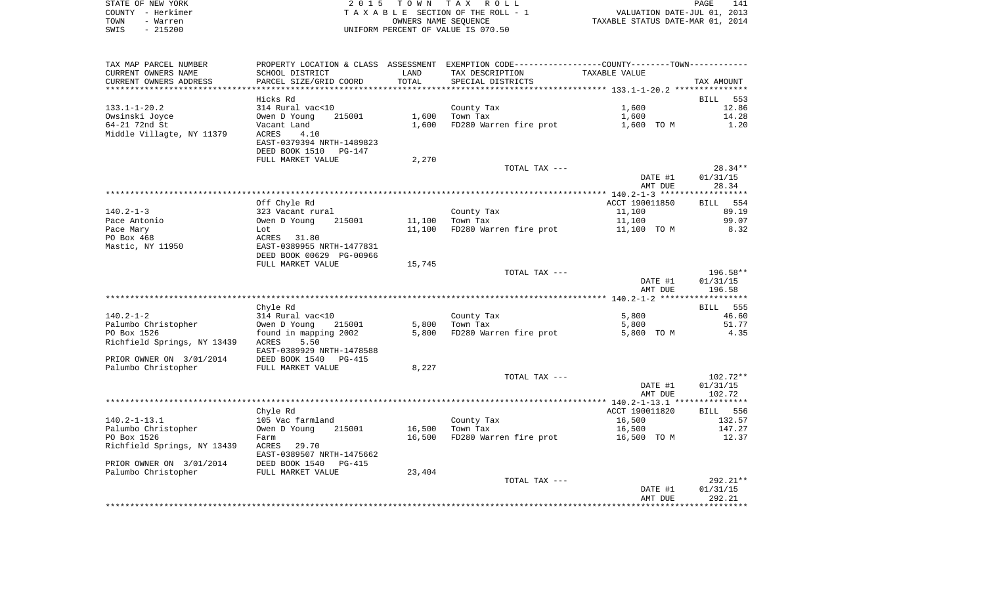|      | STATE OF NEW YORK | 2015 TOWN TAX ROLL                 | 141<br>PAGE                      |  |
|------|-------------------|------------------------------------|----------------------------------|--|
|      | COUNTY - Herkimer | TAXABLE SECTION OF THE ROLL - 1    | VALUATION DATE-JUL 01, 2013      |  |
| TOWN | - Warren          | OWNERS NAME SEOUENCE               | TAXABLE STATUS DATE-MAR 01, 2014 |  |
| SWIS | - 215200          | UNIFORM PERCENT OF VALUE IS 070.50 |                                  |  |

| TAX MAP PARCEL NUMBER                   | PROPERTY LOCATION & CLASS ASSESSMENT EXEMPTION CODE---------------COUNTY-------TOWN---------- |        |                                    |                |                 |
|-----------------------------------------|-----------------------------------------------------------------------------------------------|--------|------------------------------------|----------------|-----------------|
| CURRENT OWNERS NAME                     | SCHOOL DISTRICT                                                                               | LAND   | TAX DESCRIPTION                    | TAXABLE VALUE  |                 |
| CURRENT OWNERS ADDRESS                  | PARCEL SIZE/GRID COORD                                                                        | TOTAL  | SPECIAL DISTRICTS                  |                | TAX AMOUNT      |
|                                         |                                                                                               |        |                                    |                |                 |
|                                         | Hicks Rd                                                                                      |        |                                    |                | BILL 553        |
| $133.1 - 1 - 20.2$                      | 314 Rural vac<10                                                                              |        | County Tax                         | 1,600          | 12.86           |
| Owsinski Joyce                          | Owen D Young<br>215001                                                                        | 1,600  | Town Tax                           | 1,600          | 14.28           |
| 64-21 72nd St                           | Vacant Land                                                                                   | 1,600  | FD280 Warren fire prot             | 1,600 TO M     | 1.20            |
| Middle Villagte, NY 11379               | 4.10<br>ACRES                                                                                 |        |                                    |                |                 |
|                                         | EAST-0379394 NRTH-1489823                                                                     |        |                                    |                |                 |
|                                         |                                                                                               |        |                                    |                |                 |
|                                         | DEED BOOK 1510<br>PG-147                                                                      |        |                                    |                |                 |
|                                         | FULL MARKET VALUE                                                                             | 2,270  |                                    |                |                 |
|                                         |                                                                                               |        | TOTAL TAX ---                      |                | $28.34**$       |
|                                         |                                                                                               |        |                                    | DATE #1        | 01/31/15        |
|                                         |                                                                                               |        |                                    | AMT DUE        | 28.34           |
|                                         |                                                                                               |        |                                    |                |                 |
|                                         | Off Chyle Rd                                                                                  |        |                                    | ACCT 190011850 | BILL 554        |
| $140.2 - 1 - 3$                         | 323 Vacant rural                                                                              |        | County Tax                         | 11,100         | 89.19           |
| Pace Antonio                            | 215001<br>Owen D Young                                                                        | 11,100 | Town Tax                           | 11,100         | 99.07           |
| Pace Mary                               | Lot                                                                                           | 11,100 | FD280 Warren fire prot             | 11,100 TO M    | 8.32            |
| PO Box 468                              | ACRES 31.80                                                                                   |        |                                    |                |                 |
| Mastic, NY 11950                        | EAST-0389955 NRTH-1477831                                                                     |        |                                    |                |                 |
|                                         | DEED BOOK 00629 PG-00966                                                                      |        |                                    |                |                 |
|                                         |                                                                                               |        |                                    |                |                 |
|                                         | FULL MARKET VALUE                                                                             | 15,745 |                                    |                |                 |
|                                         |                                                                                               |        | TOTAL TAX ---                      |                | 196.58**        |
|                                         |                                                                                               |        |                                    | DATE #1        | 01/31/15        |
|                                         |                                                                                               |        |                                    | AMT DUE        | 196.58          |
|                                         |                                                                                               |        |                                    |                |                 |
|                                         | Chyle Rd                                                                                      |        |                                    |                | <b>BILL</b> 555 |
| $140.2 - 1 - 2$                         | 314 Rural vac<10                                                                              |        | County Tax                         | 5,800          | 46.60           |
| Palumbo Christopher                     | Owen D Young<br>215001                                                                        | 5,800  | Town Tax                           | 5,800          | 51.77           |
| PO Box 1526                             | found in mapping 2002                                                                         | 5,800  | FD280 Warren fire prot             | 5,800 TO M     | 4.35            |
| Richfield Springs, NY 13439             | ACRES<br>5.50                                                                                 |        |                                    |                |                 |
|                                         | EAST-0389929 NRTH-1478588                                                                     |        |                                    |                |                 |
| PRIOR OWNER ON 3/01/2014                | DEED BOOK 1540<br>PG-415                                                                      |        |                                    |                |                 |
| Palumbo Christopher                     | FULL MARKET VALUE                                                                             | 8,227  |                                    |                |                 |
|                                         |                                                                                               |        | TOTAL TAX ---                      |                | $102.72**$      |
|                                         |                                                                                               |        |                                    |                |                 |
|                                         |                                                                                               |        |                                    | DATE #1        | 01/31/15        |
|                                         |                                                                                               |        |                                    | AMT DUE        | 102.72          |
|                                         |                                                                                               |        |                                    |                |                 |
|                                         | Chyle Rd                                                                                      |        |                                    | ACCT 190011820 | BILL 556        |
| $140.2 - 1 - 13.1$                      | 105 Vac farmland                                                                              |        | County Tax                         | 16,500         | 132.57          |
| Palumbo Christopher                     | Owen D Young<br>215001                                                                        | 16,500 | Town Tax                           | 16,500         | 147.27          |
| PO Box 1526                             | Farm                                                                                          | 16,500 | FD280 Warren fire prot 16,500 TO M |                | 12.37           |
| Richfield Springs, NY 13439 ACRES 29.70 |                                                                                               |        |                                    |                |                 |
|                                         | EAST-0389507 NRTH-1475662                                                                     |        |                                    |                |                 |
| PRIOR OWNER ON 3/01/2014 DEED BOOK 1540 | PG-415                                                                                        |        |                                    |                |                 |
| Palumbo Christopher FULL MARKET VALUE   |                                                                                               | 23,404 |                                    |                |                 |
|                                         |                                                                                               |        | TOTAL TAX ---                      |                | $292.21**$      |
|                                         |                                                                                               |        |                                    | DATE #1        | 01/31/15        |
|                                         |                                                                                               |        |                                    | AMT DUE        | 292.21          |
|                                         |                                                                                               |        |                                    |                |                 |
|                                         |                                                                                               |        |                                    |                |                 |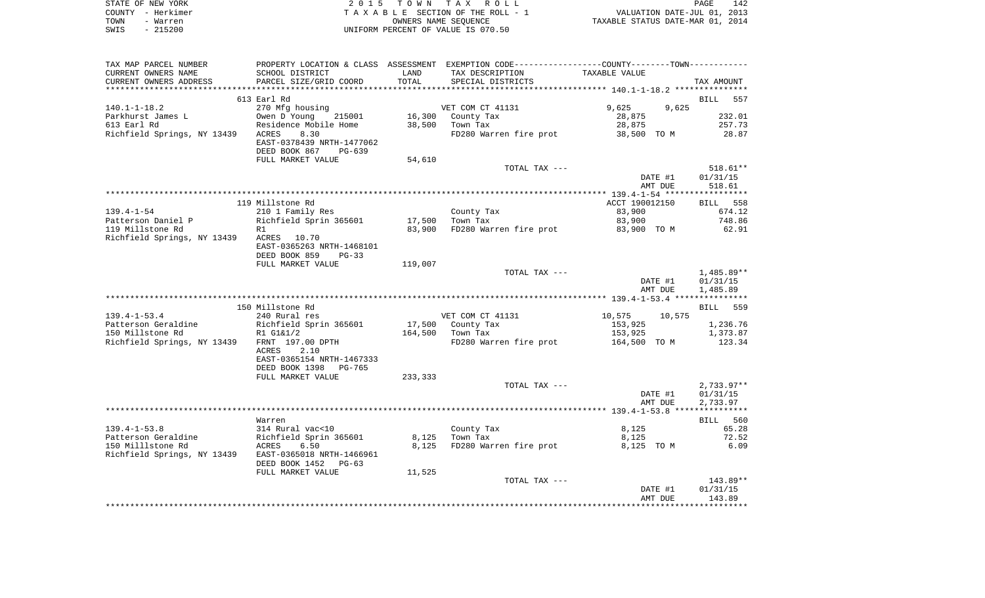|      | STATE OF NEW YORK | 2015 TOWN TAX ROLL                 | PAGE                             | 142 |
|------|-------------------|------------------------------------|----------------------------------|-----|
|      | COUNTY - Herkimer | TAXABLE SECTION OF THE ROLL - 1    | VALUATION DATE-JUL 01, 2013      |     |
| TOWN | - Warren          | OWNERS NAME SEOUENCE               | TAXABLE STATUS DATE-MAR 01, 2014 |     |
| SWIS | $-215200$         | UNIFORM PERCENT OF VALUE IS 070.50 |                                  |     |

| TAX MAP PARCEL NUMBER                        | PROPERTY LOCATION & CLASS ASSESSMENT EXEMPTION CODE---------------COUNTY-------TOWN---------- |                 |                                                                                                                                                                                                                                  |                  |              |
|----------------------------------------------|-----------------------------------------------------------------------------------------------|-----------------|----------------------------------------------------------------------------------------------------------------------------------------------------------------------------------------------------------------------------------|------------------|--------------|
| CURRENT OWNERS NAME                          | SCHOOL DISTRICT                                                                               | LAND            | TAX DESCRIPTION                                                                                                                                                                                                                  | TAXABLE VALUE    |              |
| CURRENT OWNERS ADDRESS                       | PARCEL SIZE/GRID COORD                                                                        | TOTAL           | SPECIAL DISTRICTS                                                                                                                                                                                                                |                  | TAX AMOUNT   |
|                                              |                                                                                               |                 |                                                                                                                                                                                                                                  |                  |              |
|                                              | 613 Earl Rd                                                                                   |                 |                                                                                                                                                                                                                                  |                  | BILL 557     |
| $140.1 - 1 - 18.2$                           | 270 Mfg housing                                                                               |                 | VET COM CT 41131                                                                                                                                                                                                                 | 9,625<br>9,625   |              |
|                                              |                                                                                               |                 | 16,300 County Tax                                                                                                                                                                                                                | 28,875           | 232.01       |
|                                              |                                                                                               | 38,500 Town Tax | er i de la provincia del provincia del provincia del provincia del provincia del provincia del provincia del p<br>En 1930, en 1930, en 1930, en 1930, en 1930, en 1930, en 1930, en 1930, en 1930, en 1930, en 1930, en 1930, en | 28,875           | 257.73       |
| Richfield Springs, NY 13439 ACRES            | 8.30                                                                                          |                 | FD280 Warren fire prot                                                                                                                                                                                                           | 38,500 TO M      | 28.87        |
|                                              | EAST-0378439 NRTH-1477062                                                                     |                 |                                                                                                                                                                                                                                  |                  |              |
|                                              |                                                                                               |                 |                                                                                                                                                                                                                                  |                  |              |
|                                              | DEED BOOK 867<br>PG-639                                                                       |                 |                                                                                                                                                                                                                                  |                  |              |
|                                              | FULL MARKET VALUE                                                                             | 54,610          |                                                                                                                                                                                                                                  |                  |              |
|                                              |                                                                                               |                 | TOTAL TAX ---                                                                                                                                                                                                                    |                  | $518.61**$   |
|                                              |                                                                                               |                 |                                                                                                                                                                                                                                  | DATE #1          | 01/31/15     |
|                                              |                                                                                               |                 |                                                                                                                                                                                                                                  | AMT DUE          | 518.61       |
|                                              |                                                                                               |                 |                                                                                                                                                                                                                                  |                  |              |
|                                              | 119 Millstone Rd                                                                              |                 |                                                                                                                                                                                                                                  | ACCT 190012150   | BILL 558     |
| $139.4 - 1 - 54$                             | 210 1 Family Res                                                                              |                 | County Tax<br>$T \rightarrow T$ Tax                                                                                                                                                                                              | 83,900           | 674.12       |
| Patterson Daniel P<br>110 Milletone Rd       | Richfield Sprin 365601 17,500                                                                 |                 |                                                                                                                                                                                                                                  | 83,900           | 748.86       |
| 119 Millstone Rd                             | R1                                                                                            | 83,900          | FD280 Warren fire prot 63,900 TO M                                                                                                                                                                                               |                  | 62.91        |
| Richfield Springs, NY 13439                  | ACRES 10.70                                                                                   |                 |                                                                                                                                                                                                                                  |                  |              |
|                                              | EAST-0365263 NRTH-1468101                                                                     |                 |                                                                                                                                                                                                                                  |                  |              |
|                                              | DEED BOOK 859<br>$PG-33$                                                                      |                 |                                                                                                                                                                                                                                  |                  |              |
|                                              | FULL MARKET VALUE                                                                             | 119,007         |                                                                                                                                                                                                                                  |                  |              |
|                                              |                                                                                               |                 | TOTAL TAX ---                                                                                                                                                                                                                    |                  | 1,485.89**   |
|                                              |                                                                                               |                 |                                                                                                                                                                                                                                  |                  |              |
|                                              |                                                                                               |                 |                                                                                                                                                                                                                                  | DATE #1          | 01/31/15     |
|                                              |                                                                                               |                 |                                                                                                                                                                                                                                  | AMT DUE          | 1,485.89     |
|                                              |                                                                                               |                 |                                                                                                                                                                                                                                  |                  |              |
|                                              | 150 Millstone Rd                                                                              |                 |                                                                                                                                                                                                                                  |                  | BILL 559     |
| $139.4 - 1 - 53.4$                           | 240 Rural res                                                                                 |                 | VET COM CT 41131                                                                                                                                                                                                                 | 10,575<br>10,575 |              |
|                                              |                                                                                               |                 | 17,500 County Tax<br>164 500 Town Tax                                                                                                                                                                                            | 153,925          | 1,236.76     |
|                                              |                                                                                               |                 |                                                                                                                                                                                                                                  | 153,925          | 1,373.87     |
| Richfield Springs, NY 13439 FRNT 197.00 DPTH |                                                                                               |                 | FD280 Warren fire prot 164,500 TO M                                                                                                                                                                                              |                  | 123.34       |
|                                              | ACRES<br>2.10                                                                                 |                 |                                                                                                                                                                                                                                  |                  |              |
|                                              | EAST-0365154 NRTH-1467333                                                                     |                 |                                                                                                                                                                                                                                  |                  |              |
|                                              | DEED BOOK 1398 PG-765                                                                         |                 |                                                                                                                                                                                                                                  |                  |              |
|                                              | FULL MARKET VALUE                                                                             | 233,333         |                                                                                                                                                                                                                                  |                  |              |
|                                              |                                                                                               |                 | TOTAL TAX ---                                                                                                                                                                                                                    |                  | $2,733.97**$ |
|                                              |                                                                                               |                 |                                                                                                                                                                                                                                  | DATE #1          | 01/31/15     |
|                                              |                                                                                               |                 |                                                                                                                                                                                                                                  | AMT DUE          | 2,733.97     |
|                                              |                                                                                               |                 |                                                                                                                                                                                                                                  |                  |              |
|                                              | Warren                                                                                        |                 |                                                                                                                                                                                                                                  |                  | BILL 560     |
| $139.4 - 1 - 53.8$                           | 314 Rural vac<10                                                                              |                 | County Tax                                                                                                                                                                                                                       | 8,125            | 65.28        |
| Patterson Geraldine                          |                                                                                               |                 | Town Tax                                                                                                                                                                                                                         |                  | 72.52        |
|                                              | Richfield Sprin 365601<br>ACRES 6.50                                                          | 8,125           |                                                                                                                                                                                                                                  | 8,125            |              |
| 150 Milllstone Rd                            |                                                                                               | 8,125           | FD280 Warren fire prot                                                                                                                                                                                                           | 8,125 TO M       | 6.09         |
| Richfield Springs, NY 13439                  | EAST-0365018 NRTH-1466961                                                                     |                 |                                                                                                                                                                                                                                  |                  |              |
|                                              | DEED BOOK 1452 PG-63                                                                          |                 |                                                                                                                                                                                                                                  |                  |              |
|                                              | FULL MARKET VALUE                                                                             | 11,525          |                                                                                                                                                                                                                                  |                  |              |
|                                              |                                                                                               |                 | TOTAL TAX ---                                                                                                                                                                                                                    |                  | 143.89**     |
|                                              |                                                                                               |                 |                                                                                                                                                                                                                                  | DATE #1          | 01/31/15     |
|                                              |                                                                                               |                 |                                                                                                                                                                                                                                  |                  |              |
|                                              |                                                                                               |                 |                                                                                                                                                                                                                                  | AMT DUE          | 143.89       |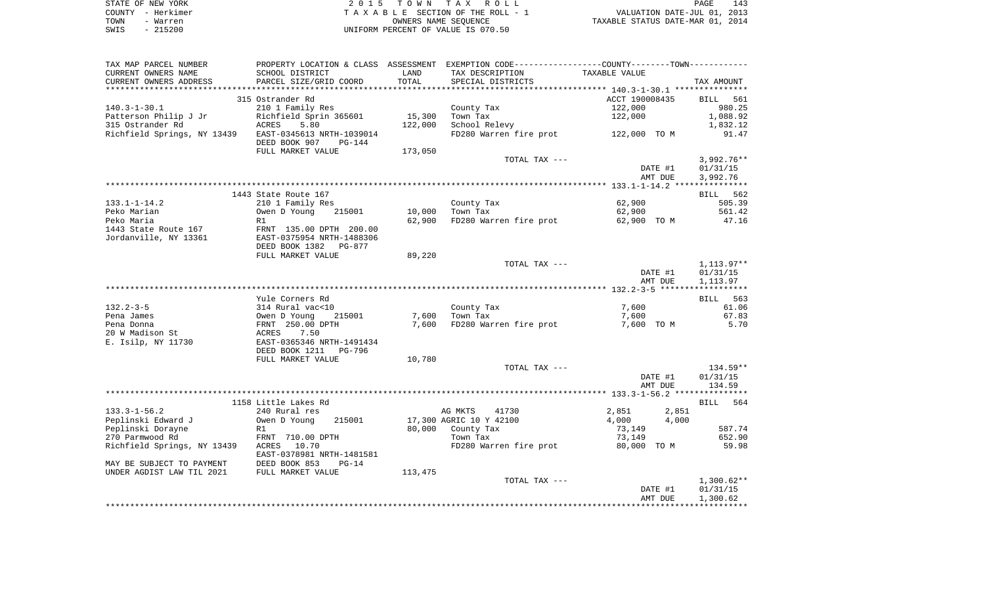| STATE OF NEW YORK |           | 2015 TOWN TAX ROLL                 |                      |  |                                  | PAGE | 143 |
|-------------------|-----------|------------------------------------|----------------------|--|----------------------------------|------|-----|
| COUNTY - Herkimer |           | TAXABLE SECTION OF THE ROLL - 1    |                      |  | VALUATION DATE-JUL 01, 2013      |      |     |
| TOWN              | - Warren  |                                    | OWNERS NAME SEOUENCE |  | TAXABLE STATUS DATE-MAR 01, 2014 |      |     |
| SWIS              | $-215200$ | UNIFORM PERCENT OF VALUE IS 070.50 |                      |  |                                  |      |     |

| TAX MAP PARCEL NUMBER                                 | PROPERTY LOCATION & CLASS ASSESSMENT EXEMPTION CODE---------------COUNTY--------TOWN----------         |         |                                     |                               |                    |
|-------------------------------------------------------|--------------------------------------------------------------------------------------------------------|---------|-------------------------------------|-------------------------------|--------------------|
| CURRENT OWNERS NAME                                   | SCHOOL DISTRICT                                                                                        | LAND    | TAX DESCRIPTION                     | TAXABLE VALUE                 |                    |
| CURRENT OWNERS ADDRESS                                | PARCEL SIZE/GRID COORD                                                                                 | TOTAL   | SPECIAL DISTRICTS                   |                               | TAX AMOUNT         |
| ***********************                               |                                                                                                        |         |                                     |                               |                    |
|                                                       | 315 Ostrander Rd                                                                                       |         |                                     | ACCT 190008435                | BILL 561           |
| 140.3-1-30.1                                          | 210 1 Family Res                                                                                       |         | County Tax                          | 122,000                       | 980.25             |
| Patterson Philip J Jr                                 |                                                                                                        | 15,300  | Town Tax                            | 122,000                       | 1,088.92           |
| 315 Ostrander Rd                                      |                                                                                                        | 122,000 | School Relevy                       |                               | 1,832.12           |
| Richfield Springs, NY 13439 EAST-0345613 NRTH-1039014 |                                                                                                        |         | FD280 Warren fire prot 122,000 TO M |                               | 91.47              |
|                                                       | DEED BOOK 907 PG-144                                                                                   |         |                                     |                               |                    |
|                                                       | FULL MARKET VALUE                                                                                      | 173,050 |                                     |                               |                    |
|                                                       |                                                                                                        |         | TOTAL TAX ---                       |                               | $3,992.76**$       |
|                                                       |                                                                                                        |         |                                     | DATE #1                       | 01/31/15           |
|                                                       |                                                                                                        |         |                                     | AMT DUE                       | 3,992.76           |
|                                                       |                                                                                                        |         |                                     |                               |                    |
|                                                       | 1443 State Route 167                                                                                   |         |                                     | 62,900                        | BILL 562<br>505.39 |
| 133.1-1-14.2<br>Peko Marian                           | 210 1 Family Res<br>Owen D Young<br>215001                                                             | 10,000  | County Tax<br>Town Tax              | 62,900                        | 561.42             |
| Peko Maria                                            | R1                                                                                                     | 62,900  | FD280 Warren fire prot              | 62,900 TO M                   | 47.16              |
|                                                       |                                                                                                        |         |                                     |                               |                    |
|                                                       |                                                                                                        |         |                                     |                               |                    |
|                                                       | DEED BOOK 1382 PG-877                                                                                  |         |                                     |                               |                    |
|                                                       | FULL MARKET VALUE                                                                                      | 89,220  |                                     |                               |                    |
|                                                       |                                                                                                        |         | TOTAL TAX ---                       |                               | 1,113.97**         |
|                                                       |                                                                                                        |         |                                     | DATE #1                       | 01/31/15           |
|                                                       |                                                                                                        |         |                                     | AMT DUE                       | 1,113.97           |
|                                                       |                                                                                                        |         |                                     |                               |                    |
|                                                       | Yule Corners Rd                                                                                        |         |                                     |                               | BILL 563           |
| 132.2-3-5                                             |                                                                                                        |         | County Tax                          | 7,600                         | 61.06              |
| Pena James                                            | 314 Rural vac<10<br>0wen D Young 215001<br>FRNT 250.00 DPTH<br>ACRES 7.50<br>EAST-0365346 NRTH-1491434 |         | 7,600 Town Tax                      | 7,600                         | 67.83              |
| Pena Donna                                            |                                                                                                        |         | 7,600 FD280 Warren fire prot        | 7,600 TO M                    | 5.70               |
| 20 W Madison St                                       |                                                                                                        |         |                                     |                               |                    |
| E. Isilp, NY 11730                                    |                                                                                                        |         |                                     |                               |                    |
|                                                       | DEED BOOK 1211<br>PG-796                                                                               |         |                                     |                               |                    |
|                                                       | FULL MARKET VALUE                                                                                      | 10,780  |                                     |                               |                    |
|                                                       |                                                                                                        |         | TOTAL TAX ---                       |                               | $134.59**$         |
|                                                       |                                                                                                        |         |                                     | DATE #1                       | 01/31/15           |
|                                                       |                                                                                                        |         |                                     | AMT DUE                       | 134.59             |
|                                                       |                                                                                                        |         |                                     |                               |                    |
| $133.3 - 1 - 56.2$                                    | 1158 Little Lakes Rd<br>240 Rural res                                                                  |         | AG MKTS<br>41730                    |                               | BILL 564           |
| Peplinski Edward J                                    | 215001<br>Owen D Young                                                                                 |         | 17,300 AGRIC 10 Y 42100             | 2,851 2,851<br>4,000<br>4,000 |                    |
| Peplinski Dorayne                                     | R1                                                                                                     |         |                                     | 73,149                        | 587.74             |
| 270 Parmwood Rd                                       | FRNT 710.00 DPTH                                                                                       |         | 80,000    County Tax<br>Town Tax    | 73,149                        | 652.90             |
| Richfield Springs, NY 13439 ACRES 10.70               |                                                                                                        |         | FD280 Warren fire prot              | 80,000 TO M                   | 59.98              |
|                                                       | EAST-0378981 NRTH-1481581                                                                              |         |                                     |                               |                    |
| MAY BE SUBJECT TO PAYMENT DEED BOOK 853               | $PG-14$                                                                                                |         |                                     |                               |                    |
| UNDER AGDIST LAW TIL 2021                             | FULL MARKET VALUE                                                                                      | 113,475 |                                     |                               |                    |
|                                                       |                                                                                                        |         | TOTAL TAX ---                       |                               | $1,300.62**$       |
|                                                       |                                                                                                        |         |                                     | DATE #1                       | 01/31/15           |
|                                                       |                                                                                                        |         |                                     | AMT DUE                       | 1,300.62           |
|                                                       |                                                                                                        |         |                                     |                               |                    |
|                                                       |                                                                                                        |         |                                     |                               |                    |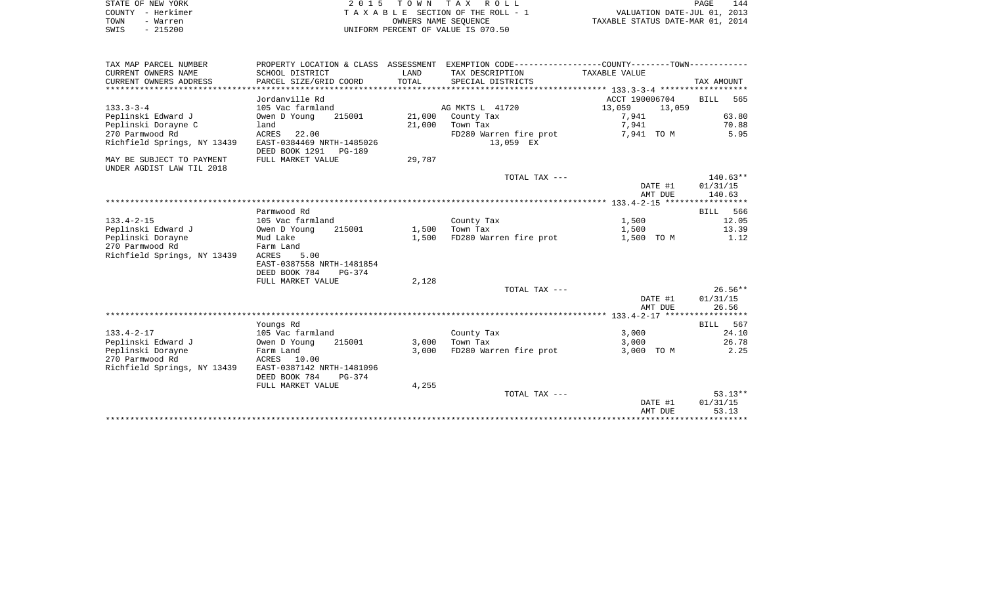| STATE OF NEW YORK | 2015 TOWN TAX ROLL                 | 144<br>PAGE                      |
|-------------------|------------------------------------|----------------------------------|
| COUNTY - Herkimer | TAXABLE SECTION OF THE ROLL - 1    | VALUATION DATE-JUL 01, 2013      |
| TOWN<br>- Warren  | OWNERS NAME SEOUENCE               | TAXABLE STATUS DATE-MAR 01, 2014 |
| $-215200$<br>SWIS | UNIFORM PERCENT OF VALUE IS 070.50 |                                  |

| TAX MAP PARCEL NUMBER       |                           |        | PROPERTY LOCATION & CLASS ASSESSMENT EXEMPTION CODE---------------COUNTY-------TOWN---------- |                  |             |
|-----------------------------|---------------------------|--------|-----------------------------------------------------------------------------------------------|------------------|-------------|
| CURRENT OWNERS NAME         | SCHOOL DISTRICT           | LAND   | TAX DESCRIPTION                                                                               | TAXABLE VALUE    |             |
| CURRENT OWNERS ADDRESS      | PARCEL SIZE/GRID COORD    | TOTAL  | SPECIAL DISTRICTS                                                                             |                  | TAX AMOUNT  |
|                             |                           |        |                                                                                               |                  |             |
|                             | Jordanville Rd            |        |                                                                                               | ACCT 190006704   | 565<br>BILL |
| $133.3 - 3 - 4$             | 105 Vac farmland          |        | AG MKTS L 41720                                                                               | 13,059<br>13,059 |             |
| Peplinski Edward J          | Owen D Young<br>215001    | 21,000 | County Tax                                                                                    | 7,941            | 63.80       |
| Peplinski Dorayne C         | land                      | 21,000 | Town Tax                                                                                      | 7,941            | 70.88       |
| 270 Parmwood Rd             | ACRES<br>22.00            |        | FD280 Warren fire prot                                                                        | 7,941 TO M       | 5.95        |
| Richfield Springs, NY 13439 | EAST-0384469 NRTH-1485026 |        | 13,059 EX                                                                                     |                  |             |
|                             | DEED BOOK 1291 PG-189     |        |                                                                                               |                  |             |
| MAY BE SUBJECT TO PAYMENT   | FULL MARKET VALUE         | 29,787 |                                                                                               |                  |             |
| UNDER AGDIST LAW TIL 2018   |                           |        |                                                                                               |                  |             |
|                             |                           |        | TOTAL TAX ---                                                                                 |                  | $140.63**$  |
|                             |                           |        |                                                                                               |                  |             |
|                             |                           |        |                                                                                               | DATE #1          | 01/31/15    |
|                             |                           |        |                                                                                               | AMT DUE          | 140.63      |
|                             |                           |        |                                                                                               |                  |             |
|                             | Parmwood Rd               |        |                                                                                               |                  | BILL 566    |
| $133.4 - 2 - 15$            | 105 Vac farmland          |        | County Tax                                                                                    | 1,500            | 12.05       |
| Peplinski Edward J          | 215001<br>Owen D Young    | 1,500  | Town Tax                                                                                      | 1,500            | 13.39       |
| Peplinski Dorayne           | Mud Lake                  | 1,500  | FD280 Warren fire prot                                                                        | 1,500 TO M       | 1.12        |
| 270 Parmwood Rd             | Farm Land                 |        |                                                                                               |                  |             |
| Richfield Springs, NY 13439 | ACRES<br>5.00             |        |                                                                                               |                  |             |
|                             | EAST-0387558 NRTH-1481854 |        |                                                                                               |                  |             |
|                             | DEED BOOK 784<br>$PG-374$ |        |                                                                                               |                  |             |
|                             | FULL MARKET VALUE         | 2,128  |                                                                                               |                  |             |
|                             |                           |        | TOTAL TAX ---                                                                                 |                  | $26.56**$   |
|                             |                           |        |                                                                                               | DATE #1          | 01/31/15    |
|                             |                           |        |                                                                                               | AMT DUE          | 26.56       |
|                             |                           |        |                                                                                               |                  |             |
|                             | Youngs Rd                 |        |                                                                                               |                  | BILL 567    |
| $133.4 - 2 - 17$            | 105 Vac farmland          |        | County Tax                                                                                    | 3,000            | 24.10       |
| Peplinski Edward J          | Owen D Young<br>215001    | 3,000  | Town Tax                                                                                      | 3,000            | 26.78       |
| Peplinski Dorayne           | Farm Land                 | 3.000  | FD280 Warren fire prot                                                                        | 3,000 TO M       | 2.25        |
| 270 Parmwood Rd             | ACRES<br>10.00            |        |                                                                                               |                  |             |
| Richfield Springs, NY 13439 | EAST-0387142 NRTH-1481096 |        |                                                                                               |                  |             |
|                             | DEED BOOK 784<br>$PG-374$ |        |                                                                                               |                  |             |
|                             | FULL MARKET VALUE         | 4,255  |                                                                                               |                  |             |
|                             |                           |        | TOTAL TAX ---                                                                                 |                  | $53.13**$   |
|                             |                           |        |                                                                                               | DATE #1          | 01/31/15    |
|                             |                           |        |                                                                                               | AMT DUE          | 53.13       |
|                             |                           |        |                                                                                               |                  |             |
|                             |                           |        |                                                                                               |                  |             |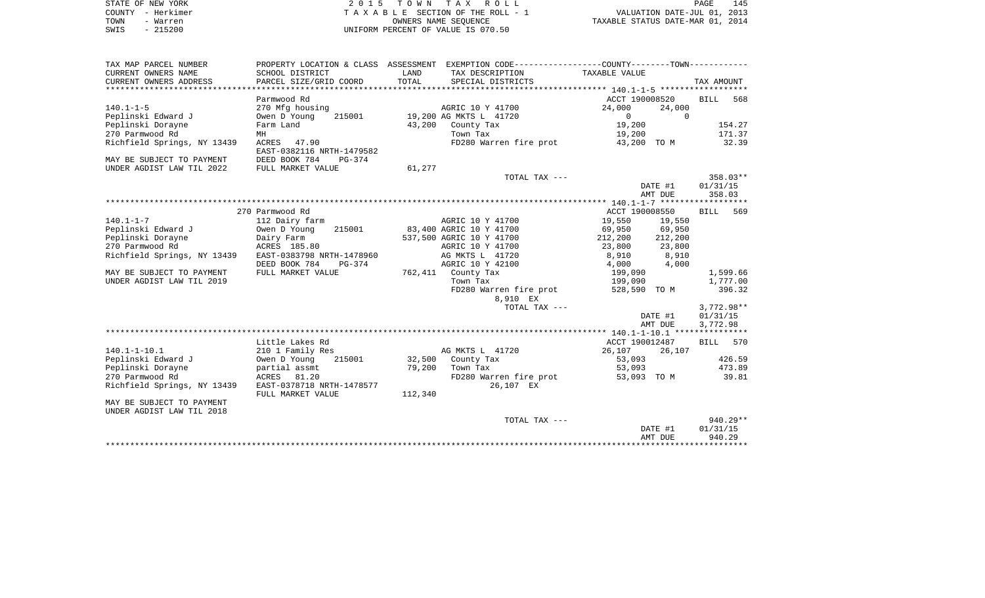|      | STATE OF NEW YORK | 2015 TOWN TAX ROLL                 | 145<br>PAGE                      |
|------|-------------------|------------------------------------|----------------------------------|
|      | COUNTY - Herkimer | TAXABLE SECTION OF THE ROLL - 1    | VALUATION DATE-JUL 01, 2013      |
| TOWN | - Warren          | OWNERS NAME SEOUENCE               | TAXABLE STATUS DATE-MAR 01, 2014 |
| SWIS | $-215200$         | UNIFORM PERCENT OF VALUE IS 070.50 |                                  |

| TAX MAP PARCEL NUMBER                              |                           |         | PROPERTY LOCATION & CLASS ASSESSMENT EXEMPTION CODE---------------COUNTY-------TOWN---------- |                 |                     |
|----------------------------------------------------|---------------------------|---------|-----------------------------------------------------------------------------------------------|-----------------|---------------------|
| CURRENT OWNERS NAME                                | SCHOOL DISTRICT           | LAND    | TAX DESCRIPTION                                                                               | TAXABLE VALUE   |                     |
| CURRENT OWNERS ADDRESS                             | PARCEL SIZE/GRID COORD    | TOTAL   | SPECIAL DISTRICTS                                                                             |                 | TAX AMOUNT          |
|                                                    |                           |         |                                                                                               |                 |                     |
|                                                    | Parmwood Rd               |         |                                                                                               | ACCT 190008520  | <b>BILL</b><br>568  |
| $140.1 - 1 - 5$                                    | 270 Mfg housing           |         | AGRIC 10 Y 41700                                                                              | 24,000          | 24,000              |
| Peplinski Edward J                                 | 215001<br>Owen D Young    |         | 19,200 AG MKTS L 41720                                                                        | $\Omega$        | $\Omega$            |
| Peplinski Dorayne                                  | Farm Land                 |         | 43,200 County Tax                                                                             | 19,200          | 154.27              |
| 270 Parmwood Rd                                    | MH                        |         | Town Tax                                                                                      | 19,200          | 171.37              |
| Richfield Springs, NY 13439                        | ACRES 47.90               |         | FD280 Warren fire prot                                                                        | 43,200 TO M     | 32.39               |
|                                                    | EAST-0382116 NRTH-1479582 |         |                                                                                               |                 |                     |
| MAY BE SUBJECT TO PAYMENT                          | DEED BOOK 784<br>PG-374   |         |                                                                                               |                 |                     |
| UNDER AGDIST LAW TIL 2022                          | FULL MARKET VALUE         | 61,277  |                                                                                               |                 |                     |
|                                                    |                           |         | TOTAL TAX ---                                                                                 |                 | $358.03**$          |
|                                                    |                           |         |                                                                                               | DATE #1         | 01/31/15            |
|                                                    |                           |         |                                                                                               |                 | AMT DUE<br>358.03   |
|                                                    |                           |         |                                                                                               |                 |                     |
|                                                    | 270 Parmwood Rd           |         |                                                                                               | ACCT 190008550  | BILL 569            |
| $140.1 - 1 - 7$                                    | 112 Dairy farm            |         | AGRIC 10 Y 41700                                                                              | 19,550          | 19,550              |
| Peplinski Edward J                                 | 215001<br>Owen D Young    |         | 83,400 AGRIC 10 Y 41700                                                                       | 69,950 69,950   |                     |
| Peplinski Dorayne                                  | Dairy Farm                |         | 537,500 AGRIC 10 Y 41700                                                                      | 212,200 212,200 |                     |
| 270 Parmwood Rd                                    | ACRES 185.80              |         | AGRIC 10 Y 41700                                                                              |                 |                     |
| Richfield Springs, NY 13439                        | EAST-0383798 NRTH-1478960 |         | AG MKTS L 41720                                                                               |                 |                     |
|                                                    | DEED BOOK 784             |         | AGRIC 10 Y 42100                                                                              | $4,000$ $4,000$ |                     |
|                                                    | PG-374                    |         |                                                                                               |                 |                     |
| MAY BE SUBJECT TO PAYMENT                          | FULL MARKET VALUE         |         | 762,411 County Tax                                                                            | 199,090         | 1,599.66            |
| UNDER AGDIST LAW TIL 2019                          |                           |         | Town Tax                                                                                      | 199,090         | 1,777.00            |
|                                                    |                           |         | FD280 Warren fire prot 528,590 TO M                                                           |                 | 396.32              |
|                                                    |                           |         | 8,910 EX                                                                                      |                 |                     |
|                                                    |                           |         | TOTAL TAX ---                                                                                 |                 | $3,772.98**$        |
|                                                    |                           |         |                                                                                               |                 | 01/31/15<br>DATE #1 |
|                                                    |                           |         |                                                                                               |                 | AMT DUE<br>3,772.98 |
|                                                    |                           |         |                                                                                               |                 |                     |
|                                                    | Little Lakes Rd           |         |                                                                                               | ACCT 190012487  | BILL 570            |
| $140.1 - 1 - 10.1$                                 | 210 1 Family Res          |         | AG MKTS L 41720                                                                               | 26,107 26,107   |                     |
| 140.1-1 10.1<br>Peplinski Edward J<br>List Doravne | Owen D Young 215001       |         | 32,500 County Tax                                                                             | 53,093          | 426.59              |
|                                                    | partial assmt             |         | 79,200 Town Tax                                                                               | 53,093          | 473.89              |
| 270 Parmwood Rd                                    | ACRES 81.20               |         | FD280 Warren fire prot                                                                        |                 | 53,093 TO M 39.81   |
| Richfield Springs, NY 13439                        | EAST-0378718 NRTH-1478577 |         | 26,107 EX                                                                                     |                 |                     |
|                                                    | FULL MARKET VALUE         | 112,340 |                                                                                               |                 |                     |
| MAY BE SUBJECT TO PAYMENT                          |                           |         |                                                                                               |                 |                     |
| UNDER AGDIST LAW TIL 2018                          |                           |         |                                                                                               |                 |                     |
|                                                    |                           |         | TOTAL TAX ---                                                                                 |                 | 940.29**            |
|                                                    |                           |         |                                                                                               | DATE #1         | 01/31/15            |
|                                                    |                           |         |                                                                                               | AMT DUE         | 940.29              |
|                                                    |                           |         |                                                                                               |                 |                     |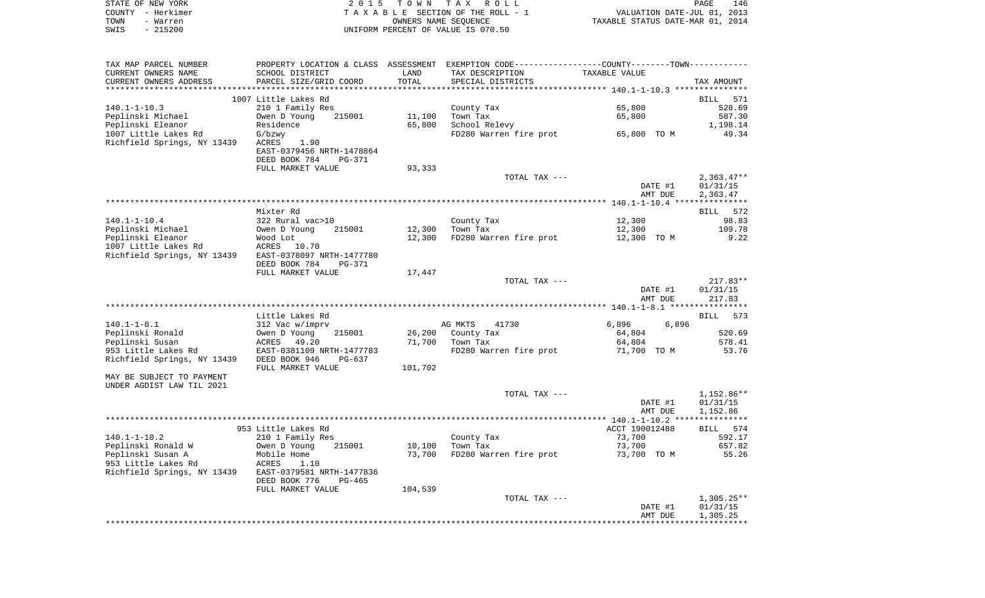|      | STATE OF NEW YORK | 2015 TOWN TAX ROLL                 | PAGE                             | 146 |
|------|-------------------|------------------------------------|----------------------------------|-----|
|      | COUNTY - Herkimer | TAXABLE SECTION OF THE ROLL - 1    | VALUATION DATE-JUL 01, 2013      |     |
| TOWN | - Warren          | OWNERS NAME SEOUENCE               | TAXABLE STATUS DATE-MAR 01, 2014 |     |
| SWIS | $-215200$         | UNIFORM PERCENT OF VALUE IS 070.50 |                                  |     |

|                                                                                                                                                                                                                                                                                                 | 312 Vac w/imprv<br>Owen D Young<br>215001<br>ACRES 49.20<br>EAST-0381109 NRTH-1477783<br>DEED BOOK 946<br>PG-637<br>FULL MARKET VALUE<br>953 Little Lakes Rd<br>210 1 Family Res<br>215001<br>Owen D Young<br>Mobile Home<br>ACRES<br>1.10<br>EAST-0379581 NRTH-1477836<br>DEED BOOK 776<br>PG-465<br>FULL MARKET VALUE | 26,200<br>71,700<br>101,702<br>10,100<br>73,700<br>104,539 | 41730<br>AG MKTS<br>County Tax<br>Town Tax<br>FD280 Warren fire prot<br>TOTAL TAX ---<br>County Tax<br>Town Tax<br>FD280 Warren fire prot<br>TOTAL TAX --- | 6,896<br>6,896<br>64,804<br>64,804<br>71,700 TO M<br>DATE #1<br>AMT DUE<br>ACCT 190012488<br>73,700<br>73,700<br>73,700 TO M<br>DATE #1<br>AMT DUE | 520.69<br>578.41<br>53.76<br>1,152.86**<br>01/31/15<br>1,152.86<br>BILL 574<br>592.17<br>657.82<br>55.26<br>$1,305.25**$<br>01/31/15<br>1,305.25 |
|-------------------------------------------------------------------------------------------------------------------------------------------------------------------------------------------------------------------------------------------------------------------------------------------------|-------------------------------------------------------------------------------------------------------------------------------------------------------------------------------------------------------------------------------------------------------------------------------------------------------------------------|------------------------------------------------------------|------------------------------------------------------------------------------------------------------------------------------------------------------------|----------------------------------------------------------------------------------------------------------------------------------------------------|--------------------------------------------------------------------------------------------------------------------------------------------------|
| $140.1 - 1 - 8.1$<br>Peplinski Ronald<br>Peplinski Susan<br>953 Little Lakes Rd<br>Richfield Springs, NY 13439<br>MAY BE SUBJECT TO PAYMENT<br>UNDER AGDIST LAW TIL 2021<br>$140.1 - 1 - 10.2$<br>Peplinski Ronald W<br>Peplinski Susan A<br>953 Little Lakes Rd<br>Richfield Springs, NY 13439 |                                                                                                                                                                                                                                                                                                                         |                                                            |                                                                                                                                                            |                                                                                                                                                    |                                                                                                                                                  |
|                                                                                                                                                                                                                                                                                                 |                                                                                                                                                                                                                                                                                                                         |                                                            |                                                                                                                                                            |                                                                                                                                                    |                                                                                                                                                  |
|                                                                                                                                                                                                                                                                                                 |                                                                                                                                                                                                                                                                                                                         |                                                            |                                                                                                                                                            |                                                                                                                                                    |                                                                                                                                                  |
|                                                                                                                                                                                                                                                                                                 |                                                                                                                                                                                                                                                                                                                         |                                                            |                                                                                                                                                            |                                                                                                                                                    |                                                                                                                                                  |
|                                                                                                                                                                                                                                                                                                 |                                                                                                                                                                                                                                                                                                                         |                                                            |                                                                                                                                                            |                                                                                                                                                    |                                                                                                                                                  |
|                                                                                                                                                                                                                                                                                                 |                                                                                                                                                                                                                                                                                                                         |                                                            |                                                                                                                                                            |                                                                                                                                                    |                                                                                                                                                  |
|                                                                                                                                                                                                                                                                                                 |                                                                                                                                                                                                                                                                                                                         |                                                            |                                                                                                                                                            |                                                                                                                                                    |                                                                                                                                                  |
|                                                                                                                                                                                                                                                                                                 |                                                                                                                                                                                                                                                                                                                         |                                                            |                                                                                                                                                            |                                                                                                                                                    |                                                                                                                                                  |
|                                                                                                                                                                                                                                                                                                 |                                                                                                                                                                                                                                                                                                                         |                                                            |                                                                                                                                                            |                                                                                                                                                    |                                                                                                                                                  |
|                                                                                                                                                                                                                                                                                                 |                                                                                                                                                                                                                                                                                                                         |                                                            |                                                                                                                                                            |                                                                                                                                                    |                                                                                                                                                  |
|                                                                                                                                                                                                                                                                                                 |                                                                                                                                                                                                                                                                                                                         |                                                            |                                                                                                                                                            |                                                                                                                                                    |                                                                                                                                                  |
|                                                                                                                                                                                                                                                                                                 |                                                                                                                                                                                                                                                                                                                         |                                                            |                                                                                                                                                            |                                                                                                                                                    |                                                                                                                                                  |
|                                                                                                                                                                                                                                                                                                 |                                                                                                                                                                                                                                                                                                                         |                                                            |                                                                                                                                                            |                                                                                                                                                    |                                                                                                                                                  |
|                                                                                                                                                                                                                                                                                                 |                                                                                                                                                                                                                                                                                                                         |                                                            |                                                                                                                                                            |                                                                                                                                                    |                                                                                                                                                  |
|                                                                                                                                                                                                                                                                                                 |                                                                                                                                                                                                                                                                                                                         |                                                            |                                                                                                                                                            |                                                                                                                                                    |                                                                                                                                                  |
|                                                                                                                                                                                                                                                                                                 |                                                                                                                                                                                                                                                                                                                         |                                                            |                                                                                                                                                            |                                                                                                                                                    |                                                                                                                                                  |
|                                                                                                                                                                                                                                                                                                 |                                                                                                                                                                                                                                                                                                                         |                                                            |                                                                                                                                                            |                                                                                                                                                    |                                                                                                                                                  |
|                                                                                                                                                                                                                                                                                                 |                                                                                                                                                                                                                                                                                                                         |                                                            |                                                                                                                                                            |                                                                                                                                                    |                                                                                                                                                  |
|                                                                                                                                                                                                                                                                                                 |                                                                                                                                                                                                                                                                                                                         |                                                            |                                                                                                                                                            |                                                                                                                                                    |                                                                                                                                                  |
|                                                                                                                                                                                                                                                                                                 |                                                                                                                                                                                                                                                                                                                         |                                                            |                                                                                                                                                            |                                                                                                                                                    |                                                                                                                                                  |
|                                                                                                                                                                                                                                                                                                 |                                                                                                                                                                                                                                                                                                                         |                                                            |                                                                                                                                                            |                                                                                                                                                    |                                                                                                                                                  |
|                                                                                                                                                                                                                                                                                                 | Little Lakes Rd                                                                                                                                                                                                                                                                                                         |                                                            |                                                                                                                                                            |                                                                                                                                                    | BILL 573                                                                                                                                         |
|                                                                                                                                                                                                                                                                                                 |                                                                                                                                                                                                                                                                                                                         |                                                            |                                                                                                                                                            | AMT DUE                                                                                                                                            | 217.83                                                                                                                                           |
|                                                                                                                                                                                                                                                                                                 |                                                                                                                                                                                                                                                                                                                         |                                                            |                                                                                                                                                            | DATE #1                                                                                                                                            | 01/31/15                                                                                                                                         |
|                                                                                                                                                                                                                                                                                                 |                                                                                                                                                                                                                                                                                                                         |                                                            | TOTAL TAX ---                                                                                                                                              |                                                                                                                                                    | $217.83**$                                                                                                                                       |
|                                                                                                                                                                                                                                                                                                 | FULL MARKET VALUE                                                                                                                                                                                                                                                                                                       | 17,447                                                     |                                                                                                                                                            |                                                                                                                                                    |                                                                                                                                                  |
|                                                                                                                                                                                                                                                                                                 | DEED BOOK 784<br><b>PG-371</b>                                                                                                                                                                                                                                                                                          |                                                            |                                                                                                                                                            |                                                                                                                                                    |                                                                                                                                                  |
| Richfield Springs, NY 13439                                                                                                                                                                                                                                                                     | EAST-0378097 NRTH-1477780                                                                                                                                                                                                                                                                                               |                                                            |                                                                                                                                                            |                                                                                                                                                    |                                                                                                                                                  |
| 1007 Little Lakes Rd                                                                                                                                                                                                                                                                            | ACRES<br>10.70                                                                                                                                                                                                                                                                                                          |                                                            |                                                                                                                                                            |                                                                                                                                                    |                                                                                                                                                  |
| Peplinski Eleanor                                                                                                                                                                                                                                                                               | Wood Lot                                                                                                                                                                                                                                                                                                                | 12,300                                                     | FD280 Warren fire prot                                                                                                                                     | 12,300 TO M                                                                                                                                        | 9.22                                                                                                                                             |
| Peplinski Michael                                                                                                                                                                                                                                                                               | Owen D Young<br>215001                                                                                                                                                                                                                                                                                                  | 12,300                                                     | Town Tax                                                                                                                                                   | 12,300                                                                                                                                             | 109.78                                                                                                                                           |
| $140.1 - 1 - 10.4$                                                                                                                                                                                                                                                                              | 322 Rural vac>10                                                                                                                                                                                                                                                                                                        |                                                            | County Tax                                                                                                                                                 | 12,300                                                                                                                                             | 98.83                                                                                                                                            |
|                                                                                                                                                                                                                                                                                                 | Mixter Rd                                                                                                                                                                                                                                                                                                               |                                                            |                                                                                                                                                            |                                                                                                                                                    | BILL 572                                                                                                                                         |
|                                                                                                                                                                                                                                                                                                 |                                                                                                                                                                                                                                                                                                                         |                                                            |                                                                                                                                                            |                                                                                                                                                    |                                                                                                                                                  |
|                                                                                                                                                                                                                                                                                                 |                                                                                                                                                                                                                                                                                                                         |                                                            |                                                                                                                                                            | AMT DUE                                                                                                                                            | 2,363.47                                                                                                                                         |
|                                                                                                                                                                                                                                                                                                 |                                                                                                                                                                                                                                                                                                                         |                                                            |                                                                                                                                                            | DATE #1                                                                                                                                            | 01/31/15                                                                                                                                         |
|                                                                                                                                                                                                                                                                                                 |                                                                                                                                                                                                                                                                                                                         |                                                            | TOTAL TAX ---                                                                                                                                              |                                                                                                                                                    | $2,363.47**$                                                                                                                                     |
|                                                                                                                                                                                                                                                                                                 | FULL MARKET VALUE                                                                                                                                                                                                                                                                                                       | 93,333                                                     |                                                                                                                                                            |                                                                                                                                                    |                                                                                                                                                  |
|                                                                                                                                                                                                                                                                                                 | DEED BOOK 784<br>PG-371                                                                                                                                                                                                                                                                                                 |                                                            |                                                                                                                                                            |                                                                                                                                                    |                                                                                                                                                  |
| Richfield Springs, NY 13439                                                                                                                                                                                                                                                                     | 1.90<br>ACRES<br>EAST-0379456 NRTH-1478864                                                                                                                                                                                                                                                                              |                                                            |                                                                                                                                                            |                                                                                                                                                    |                                                                                                                                                  |
| 1007 Little Lakes Rd                                                                                                                                                                                                                                                                            | G/bzwy                                                                                                                                                                                                                                                                                                                  |                                                            | FD280 Warren fire prot                                                                                                                                     | 65,800 TO M                                                                                                                                        | 49.34                                                                                                                                            |
| Peplinski Eleanor                                                                                                                                                                                                                                                                               | Residence                                                                                                                                                                                                                                                                                                               | 65,800                                                     | School Relevy                                                                                                                                              |                                                                                                                                                    | 1,198.14                                                                                                                                         |
| Peplinski Michael                                                                                                                                                                                                                                                                               | Owen D Young<br>215001                                                                                                                                                                                                                                                                                                  | 11,100                                                     | Town Tax                                                                                                                                                   | 65,800                                                                                                                                             | 587.30                                                                                                                                           |
| $140.1 - 1 - 10.3$                                                                                                                                                                                                                                                                              | 210 1 Family Res                                                                                                                                                                                                                                                                                                        |                                                            | County Tax                                                                                                                                                 | 65,800                                                                                                                                             | 528.69                                                                                                                                           |
|                                                                                                                                                                                                                                                                                                 | 1007 Little Lakes Rd                                                                                                                                                                                                                                                                                                    |                                                            |                                                                                                                                                            |                                                                                                                                                    | <b>BILL</b><br>571                                                                                                                               |
|                                                                                                                                                                                                                                                                                                 |                                                                                                                                                                                                                                                                                                                         |                                                            |                                                                                                                                                            |                                                                                                                                                    |                                                                                                                                                  |
|                                                                                                                                                                                                                                                                                                 |                                                                                                                                                                                                                                                                                                                         | TOTAL                                                      | SPECIAL DISTRICTS                                                                                                                                          |                                                                                                                                                    | TAX AMOUNT                                                                                                                                       |
|                                                                                                                                                                                                                                                                                                 |                                                                                                                                                                                                                                                                                                                         |                                                            | TAX DESCRIPTION                                                                                                                                            | TAXABLE VALUE                                                                                                                                      |                                                                                                                                                  |
| CURRENT OWNERS NAME<br>CURRENT OWNERS ADDRESS                                                                                                                                                                                                                                                   | SCHOOL DISTRICT<br>PARCEL SIZE/GRID COORD                                                                                                                                                                                                                                                                               | LAND                                                       |                                                                                                                                                            |                                                                                                                                                    |                                                                                                                                                  |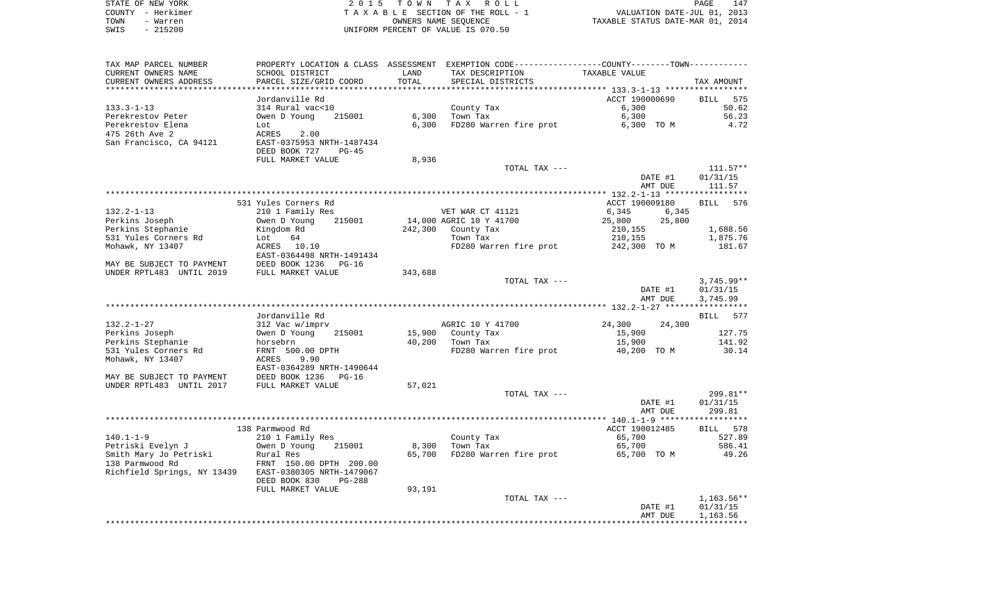| STATE OF NEW YORK | 2015 TOWN TAX ROLL                 | 147<br>PAGE                      |
|-------------------|------------------------------------|----------------------------------|
| COUNTY - Herkimer | TAXABLE SECTION OF THE ROLL - 1    | VALUATION DATE-JUL 01, 2013      |
| TOWN<br>- Warren  | OWNERS NAME SEOUENCE               | TAXABLE STATUS DATE-MAR 01, 2014 |
| $-215200$<br>SWIS | UNIFORM PERCENT OF VALUE IS 070.50 |                                  |

| TAX MAP PARCEL NUMBER                                 |                                |         | PROPERTY LOCATION & CLASS ASSESSMENT EXEMPTION CODE---------------COUNTY-------TOWN---------- |                    |                    |
|-------------------------------------------------------|--------------------------------|---------|-----------------------------------------------------------------------------------------------|--------------------|--------------------|
| CURRENT OWNERS NAME                                   | SCHOOL DISTRICT                | LAND    | TAX DESCRIPTION                                                                               | TAXABLE VALUE      |                    |
| CURRENT OWNERS ADDRESS                                | PARCEL SIZE/GRID COORD         | TOTAL   | SPECIAL DISTRICTS                                                                             |                    | TAX AMOUNT         |
|                                                       |                                |         |                                                                                               |                    |                    |
|                                                       | Jordanville Rd                 |         |                                                                                               | ACCT 190000690     | BILL 575           |
| $133.3 - 1 - 13$                                      | 314 Rural vac<10               |         | County Tax                                                                                    | 6,300              | 50.62              |
| Perekrestov Peter                                     | Owen D Young<br>215001         | 6,300   | Town Tax                                                                                      | 6,300              | 56.23              |
| Perekrestov Elena                                     | Lot                            | 6,300   | FD280 Warren fire prot                                                                        | 6,300 TO M         | 4.72               |
| 475 26th Ave 2                                        | ACRES<br>2.00                  |         |                                                                                               |                    |                    |
| San Francisco, CA 94121                               | EAST-0375953 NRTH-1487434      |         |                                                                                               |                    |                    |
|                                                       | DEED BOOK 727<br>$PG-45$       |         |                                                                                               |                    |                    |
|                                                       | FULL MARKET VALUE              | 8,936   |                                                                                               |                    |                    |
|                                                       |                                |         | TOTAL TAX ---                                                                                 |                    | $111.57**$         |
|                                                       |                                |         |                                                                                               | DATE #1            | 01/31/15           |
|                                                       |                                |         |                                                                                               | AMT DUE            | 111.57             |
|                                                       |                                |         |                                                                                               |                    |                    |
|                                                       | 531 Yules Corners Rd           |         |                                                                                               | ACCT 190009180     | 576<br><b>BILL</b> |
| $132.2 - 1 - 13$                                      | 210 1 Family Res               |         | VET WAR CT 41121                                                                              | 6,345<br>6,345     |                    |
| Perkins Joseph                                        | Owen D Young<br>215001         |         | 14,000 AGRIC 10 Y 41700                                                                       | 25,800<br>25,800   |                    |
| Perkins Stephanie                                     | Kingdom Rd                     | 242,300 | County Tax                                                                                    | 210,155            | 1,688.56           |
| 531 Yules Corners Rd                                  | 64<br>Lot                      |         | Town Tax                                                                                      | 210,155            | 1,875.76           |
| Mohawk, NY 13407                                      | ACRES 10.10                    |         | FD280 Warren fire prot                                                                        | 242,300 TO M       | 181.67             |
|                                                       | EAST-0364498 NRTH-1491434      |         |                                                                                               |                    |                    |
| MAY BE SUBJECT TO PAYMENT                             | DEED BOOK 1236<br>$PG-16$      |         |                                                                                               |                    |                    |
| UNDER RPTL483 UNTIL 2019                              | FULL MARKET VALUE              | 343,688 |                                                                                               |                    |                    |
|                                                       |                                |         | TOTAL TAX ---                                                                                 |                    | $3,745.99**$       |
|                                                       |                                |         |                                                                                               | DATE #1<br>AMT DUE | 01/31/15           |
|                                                       |                                |         |                                                                                               |                    | 3,745.99           |
|                                                       | Jordanville Rd                 |         |                                                                                               |                    | <b>BILL</b><br>577 |
| $132.2 - 1 - 27$                                      | 312 Vac w/imprv                |         | AGRIC 10 Y 41700                                                                              | 24,300<br>24,300   |                    |
| Perkins Joseph                                        | Owen D Young<br>215001         |         | 15,900 County Tax                                                                             | 15,900             | 127.75             |
| Perkins Stephanie                                     | horsebrn                       | 40,200  | Town Tax                                                                                      | 15,900             | 141.92             |
| 531 Yules Corners Rd                                  | FRNT 500.00 DPTH               |         | FD280 Warren fire prot                                                                        | 40,200 TO M        | 30.14              |
| Mohawk, NY 13407                                      | ACRES<br>9.90                  |         |                                                                                               |                    |                    |
|                                                       | EAST-0364289 NRTH-1490644      |         |                                                                                               |                    |                    |
| MAY BE SUBJECT TO PAYMENT                             | DEED BOOK 1236<br>PG-16        |         |                                                                                               |                    |                    |
| UNDER RPTL483 UNTIL 2017                              | FULL MARKET VALUE              | 57,021  |                                                                                               |                    |                    |
|                                                       |                                |         | TOTAL TAX ---                                                                                 |                    | 299.81**           |
|                                                       |                                |         |                                                                                               | DATE #1            | 01/31/15           |
|                                                       |                                |         |                                                                                               | AMT DUE            | 299.81             |
|                                                       | *****************              |         |                                                                                               |                    | ************       |
|                                                       | 138 Parmwood Rd                |         |                                                                                               | ACCT 190012485     | BILL 578           |
| $140.1 - 1 - 9$                                       | 210 1 Family Res               |         | County Tax                                                                                    | 65,700             | 527.89             |
| Petriski Evelyn J                                     | Owen D Young<br>215001         | 8,300   | Town Tax                                                                                      | 65,700             | 586.41             |
| Smith Mary Jo Petriski                                | Rural Res                      | 65,700  | FD280 Warren fire prot                                                                        | 65,700 TO M        | 49.26              |
| 138 Parmwood Rd                                       | FRNT 150.00 DPTH 200.00        |         |                                                                                               |                    |                    |
| Richfield Springs, NY 13439 EAST-0380305 NRTH-1479067 |                                |         |                                                                                               |                    |                    |
|                                                       | DEED BOOK 830<br><b>PG-288</b> |         |                                                                                               |                    |                    |
|                                                       | FULL MARKET VALUE              | 93,191  |                                                                                               |                    |                    |
|                                                       |                                |         | TOTAL TAX ---                                                                                 |                    | $1,163.56**$       |
|                                                       |                                |         |                                                                                               | DATE #1            | 01/31/15           |
|                                                       |                                |         |                                                                                               | AMT DUE            | 1,163.56           |
|                                                       |                                |         |                                                                                               |                    |                    |
|                                                       |                                |         |                                                                                               |                    |                    |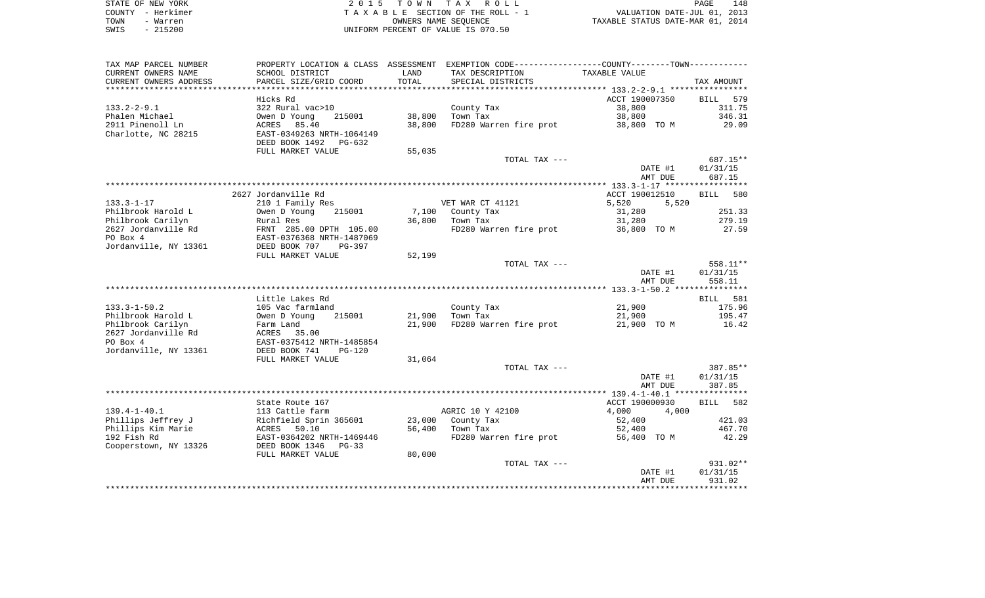| STATE OF NEW YORK | 2015 TOWN TAX ROLL                 | 148<br>PAGE                      |
|-------------------|------------------------------------|----------------------------------|
| COUNTY - Herkimer | TAXABLE SECTION OF THE ROLL - 1    | VALUATION DATE-JUL 01, 2013      |
| TOWN<br>- Warren  | OWNERS NAME SEOUENCE               | TAXABLE STATUS DATE-MAR 01, 2014 |
| $-215200$<br>SWIS | UNIFORM PERCENT OF VALUE IS 070.50 |                                  |

| TAX MAP PARCEL NUMBER  | PROPERTY LOCATION & CLASS ASSESSMENT EXEMPTION CODE----------------COUNTY--------TOWN---------- |        |                                    |                    |                      |
|------------------------|-------------------------------------------------------------------------------------------------|--------|------------------------------------|--------------------|----------------------|
| CURRENT OWNERS NAME    | SCHOOL DISTRICT                                                                                 | LAND   | TAX DESCRIPTION                    | TAXABLE VALUE      |                      |
| CURRENT OWNERS ADDRESS | PARCEL SIZE/GRID COORD                                                                          | TOTAL  | SPECIAL DISTRICTS                  |                    | TAX AMOUNT           |
| ******************     |                                                                                                 |        |                                    |                    |                      |
|                        | Hicks Rd                                                                                        |        |                                    | ACCT 190007350     | BILL 579             |
| $133.2 - 2 - 9.1$      | 322 Rural vac>10                                                                                |        | County Tax                         | 38,800             | 311.75               |
| Phalen Michael         | Owen D Young<br>215001                                                                          | 38,800 | Town Tax                           | 38,800             | 346.31               |
| 2911 Pinenoll Ln       | 85.40<br>ACRES                                                                                  | 38,800 | FD280 Warren fire prot             | 38,800 TO M        | 29.09                |
| Charlotte, NC 28215    | EAST-0349263 NRTH-1064149                                                                       |        |                                    |                    |                      |
|                        | DEED BOOK 1492<br>PG-632                                                                        |        |                                    |                    |                      |
|                        | FULL MARKET VALUE                                                                               | 55,035 |                                    |                    |                      |
|                        |                                                                                                 |        | TOTAL TAX ---                      |                    | 687.15**             |
|                        |                                                                                                 |        |                                    | DATE #1            | 01/31/15             |
|                        |                                                                                                 |        |                                    | AMT DUE            | 687.15               |
|                        |                                                                                                 |        |                                    |                    |                      |
|                        | 2627 Jordanville Rd                                                                             |        |                                    | ACCT 190012510     | BILL 580             |
| $133.3 - 1 - 17$       | 210 1 Family Res                                                                                |        | VET WAR CT 41121                   | 5,520<br>5,520     |                      |
| Philbrook Harold L     | Owen D Young<br>215001                                                                          |        | 7,100 County Tax                   | 31,280             | 251.33               |
| Philbrook Carilyn      | Rural Res                                                                                       | 36,800 | Town Tax                           | 31,280             | 279.19               |
| 2627 Jordanville Rd    | FRNT 285.00 DPTH 105.00<br>EAST-0376368 NRTH-1487069                                            |        | FD280 Warren fire prot 36,800 TO M |                    | 27.59                |
| PO Box 4               |                                                                                                 |        |                                    |                    |                      |
| Jordanville, NY 13361  | DEED BOOK 707<br>PG-397                                                                         |        |                                    |                    |                      |
|                        | FULL MARKET VALUE                                                                               | 52,199 |                                    |                    |                      |
|                        |                                                                                                 |        | TOTAL TAX ---                      |                    | 558.11**<br>01/31/15 |
|                        |                                                                                                 |        |                                    | DATE #1<br>AMT DUE | 558.11               |
|                        |                                                                                                 |        |                                    |                    |                      |
|                        | Little Lakes Rd                                                                                 |        |                                    |                    | BILL 581             |
| $133.3 - 1 - 50.2$     | 105 Vac farmland                                                                                |        | County Tax                         | 21,900             | 175.96               |
| Philbrook Harold L     | 215001                                                                                          |        | 21,900 Town Tax                    | 21,900             | 195.47               |
| Philbrook Carilyn      | Owen D Young<br>Farm Land                                                                       | 21,900 | FD280 Warren fire prot             | 21,900 TO M        | 16.42                |
| 2627 Jordanville Rd    |                                                                                                 |        |                                    |                    |                      |
| PO Box 4               | ACRES 35.00<br>EAST-0375412 NRTH-1485854                                                        |        |                                    |                    |                      |
| Jordanville, NY 13361  | DEED BOOK 741<br>$PG-120$                                                                       |        |                                    |                    |                      |
|                        | FULL MARKET VALUE                                                                               | 31,064 |                                    |                    |                      |
|                        |                                                                                                 |        | TOTAL TAX ---                      |                    | 387.85**             |
|                        |                                                                                                 |        |                                    | DATE #1            | 01/31/15             |
|                        |                                                                                                 |        |                                    | AMT DUE            | 387.85               |
|                        |                                                                                                 |        |                                    |                    |                      |
|                        | State Route 167                                                                                 |        |                                    | ACCT 190000930     | BILL 582             |
| $139.4 - 1 - 40.1$     | 113 Cattle farm                                                                                 |        | AGRIC 10 Y 42100                   | 4,000<br>4,000     |                      |
| Phillips Jeffrey J     | Richfield Sprin 365601<br>ACRES 50.10                                                           |        | 23,000 County Tax                  | 52,400             | 421.03               |
| Phillips Kim Marie     |                                                                                                 |        | 56,400 Town Tax                    | 52,400             | 467.70               |
| 192 Fish Rd            | EAST-0364202 NRTH-1469446                                                                       |        | FD280 Warren fire prot             | 56,400 TO M        | 42.29                |
| Cooperstown, NY 13326  | DEED BOOK 1346<br>$PG-33$                                                                       |        |                                    |                    |                      |
|                        | FULL MARKET VALUE                                                                               | 80,000 |                                    |                    |                      |
|                        |                                                                                                 |        | TOTAL TAX ---                      |                    | 931.02**             |
|                        |                                                                                                 |        |                                    | DATE #1            | 01/31/15             |
|                        |                                                                                                 |        |                                    | AMT DUE            | 931.02               |
|                        |                                                                                                 |        |                                    |                    |                      |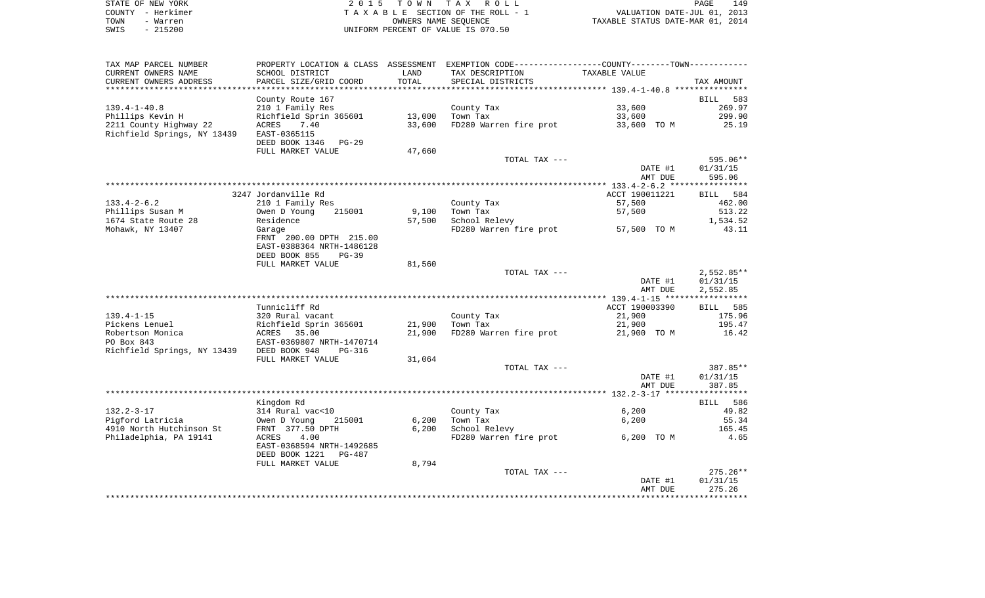|      | STATE OF NEW YORK | 2015 TOWN TAX ROLL                 | 149<br>PAGE                      |
|------|-------------------|------------------------------------|----------------------------------|
|      | COUNTY - Herkimer | TAXABLE SECTION OF THE ROLL - 1    | VALUATION DATE-JUL 01, 2013      |
| TOWN | - Warren          | OWNERS NAME SEOUENCE               | TAXABLE STATUS DATE-MAR 01, 2014 |
| SWIS | $-215200$         | UNIFORM PERCENT OF VALUE IS 070.50 |                                  |

| TAX MAP PARCEL NUMBER                                              |                                            |        | PROPERTY LOCATION & CLASS ASSESSMENT EXEMPTION CODE---------------COUNTY-------TOWN---------- |                |                |
|--------------------------------------------------------------------|--------------------------------------------|--------|-----------------------------------------------------------------------------------------------|----------------|----------------|
| CURRENT OWNERS NAME                                                | SCHOOL DISTRICT                            | LAND   | TAX DESCRIPTION                                                                               | TAXABLE VALUE  |                |
| CURRENT OWNERS ADDRESS                                             | PARCEL SIZE/GRID COORD                     | TOTAL  | SPECIAL DISTRICTS                                                                             |                | TAX AMOUNT     |
| *********************                                              |                                            |        |                                                                                               |                |                |
|                                                                    | County Route 167                           |        |                                                                                               |                | BILL 583       |
| $139.4 - 1 - 40.8$                                                 | 210 1 Family Res                           |        | County Tax                                                                                    | 33,600         | 269.97         |
| Phillips Kevin H                                                   | Richfield Sprin 365601                     | 13,000 | Town Tax                                                                                      | 33,600         | 299.90         |
| 2211 County Highway 22<br>Richfield Springs, NY 13439 EAST-0365115 | ACRES<br>7.40                              | 33,600 | FD280 Warren fire prot                                                                        | 33,600 TO M    | 25.19          |
|                                                                    | DEED BOOK 1346 PG-29                       |        |                                                                                               |                |                |
|                                                                    | FULL MARKET VALUE                          | 47,660 |                                                                                               |                |                |
|                                                                    |                                            |        | TOTAL TAX ---                                                                                 |                | 595.06**       |
|                                                                    |                                            |        |                                                                                               | DATE #1        | 01/31/15       |
|                                                                    |                                            |        |                                                                                               | AMT DUE        | 595.06         |
|                                                                    |                                            |        |                                                                                               |                |                |
|                                                                    | 3247 Jordanville Rd                        |        |                                                                                               | ACCT 190011221 | BILL 584       |
| $133.4 - 2 - 6.2$                                                  | 210 1 Family Res                           |        | County Tax                                                                                    | 57,500         | 462.00         |
| Phillips Susan M                                                   | Owen D Young<br>215001                     | 9,100  | Town Tax                                                                                      | 57,500         | 513.22         |
| 1674 State Route 28                                                | Residence                                  | 57,500 | School Relevy                                                                                 |                | 1,534.52       |
| Mohawk, NY 13407                                                   | Garage                                     |        | FD280 Warren fire prot 57,500 TO M                                                            |                | 43.11          |
|                                                                    | FRNT 200.00 DPTH 215.00                    |        |                                                                                               |                |                |
|                                                                    | EAST-0388364 NRTH-1486128                  |        |                                                                                               |                |                |
|                                                                    | DEED BOOK 855<br>$PG-39$                   |        |                                                                                               |                |                |
|                                                                    | FULL MARKET VALUE                          | 81,560 |                                                                                               |                |                |
|                                                                    |                                            |        | TOTAL TAX ---                                                                                 |                | $2,552.85**$   |
|                                                                    |                                            |        |                                                                                               | DATE #1        | 01/31/15       |
|                                                                    |                                            |        |                                                                                               | AMT DUE        | 2,552.85       |
|                                                                    |                                            |        |                                                                                               |                |                |
|                                                                    | Tunnicliff Rd                              |        |                                                                                               | ACCT 190003390 | BILL 585       |
| $139.4 - 1 - 15$                                                   | 320 Rural vacant                           |        | County Tax                                                                                    | 21,900         | 175.96         |
| Pickens Lenuel                                                     | Richfield Sprin 365601                     | 21,900 | Town Tax                                                                                      | 21,900         | 195.47         |
| Robertson Monica                                                   | ACRES<br>35.00                             | 21,900 | FD280 Warren fire prot                                                                        | 21,900 TO M    | 16.42          |
| PO Box 843                                                         | EAST-0369807 NRTH-1470714                  |        |                                                                                               |                |                |
| Richfield Springs, NY 13439 DEED BOOK 948                          | PG-316                                     |        |                                                                                               |                |                |
|                                                                    | FULL MARKET VALUE                          | 31,064 |                                                                                               |                |                |
|                                                                    |                                            |        | TOTAL TAX ---                                                                                 |                | 387.85**       |
|                                                                    |                                            |        |                                                                                               | DATE #1        | 01/31/15       |
|                                                                    |                                            |        |                                                                                               | AMT DUE        | 387.85         |
|                                                                    |                                            |        |                                                                                               |                |                |
| $132.2 - 3 - 17$                                                   | Kingdom Rd                                 |        |                                                                                               |                | BILL 586       |
| Piqford Latricia                                                   | 314 Rural vac<10<br>215001<br>Owen D Young | 6,200  | County Tax<br>Town Tax                                                                        | 6,200<br>6,200 | 49.82<br>55.34 |
| 4910 North Hutchinson St                                           | FRNT 377.50 DPTH                           | 6,200  | School Relevy                                                                                 |                | 165.45         |
| Philadelphia, PA 19141                                             | 4.00<br>ACRES                              |        | FD280 Warren fire prot                                                                        | 6,200 TO M     | 4.65           |
|                                                                    | EAST-0368594 NRTH-1492685                  |        |                                                                                               |                |                |
|                                                                    | DEED BOOK 1221<br>PG-487                   |        |                                                                                               |                |                |
|                                                                    | FULL MARKET VALUE                          | 8,794  |                                                                                               |                |                |
|                                                                    |                                            |        | TOTAL TAX ---                                                                                 |                | $275.26**$     |
|                                                                    |                                            |        |                                                                                               | DATE #1        | 01/31/15       |
|                                                                    |                                            |        |                                                                                               | AMT DUE        | 275.26         |
|                                                                    |                                            |        |                                                                                               |                |                |
|                                                                    |                                            |        |                                                                                               |                |                |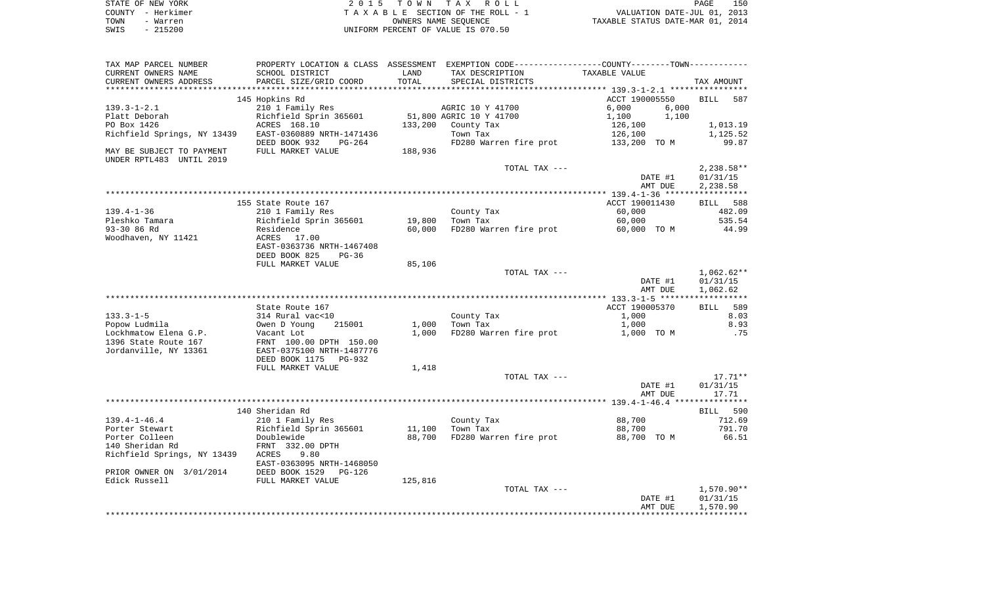|      | STATE OF NEW YORK | 2015 TOWN TAX ROLL                 | 150<br>PAGE                      |
|------|-------------------|------------------------------------|----------------------------------|
|      | COUNTY - Herkimer | TAXABLE SECTION OF THE ROLL - 1    | VALUATION DATE-JUL 01, 2013      |
| TOWN | - Warren          | OWNERS NAME SEOUENCE               | TAXABLE STATUS DATE-MAR 01, 2014 |
| SWIS | - 215200          | UNIFORM PERCENT OF VALUE IS 070.50 |                                  |

| TAX MAP PARCEL NUMBER             |                            |         | PROPERTY LOCATION & CLASS ASSESSMENT EXEMPTION CODE---------------COUNTY-------TOWN---------- |                    |                    |
|-----------------------------------|----------------------------|---------|-----------------------------------------------------------------------------------------------|--------------------|--------------------|
| CURRENT OWNERS NAME               | SCHOOL DISTRICT            | LAND    | TAX DESCRIPTION                                                                               | TAXABLE VALUE      |                    |
| CURRENT OWNERS ADDRESS            | PARCEL SIZE/GRID COORD     | TOTAL   | SPECIAL DISTRICTS                                                                             |                    | TAX AMOUNT         |
|                                   |                            |         |                                                                                               |                    |                    |
|                                   | 145 Hopkins Rd             |         |                                                                                               | ACCT 190005550     | <b>BILL</b><br>587 |
| $139.3 - 1 - 2.1$                 | 210 1 Family Res           |         | AGRIC 10 Y 41700                                                                              | 6,000<br>6.000     |                    |
| Platt Deborah                     | Richfield Sprin 365601     |         | 51,800 AGRIC 10 Y 41700                                                                       | 1,100<br>1,100     |                    |
| PO Box 1426                       | ACRES 168.10               | 133,200 | County Tax                                                                                    | 126,100            | 1,013.19           |
| Richfield Springs, NY 13439       | EAST-0360889 NRTH-1471436  |         | Town Tax                                                                                      | 126,100            | 1,125.52           |
|                                   | DEED BOOK 932<br>PG-264    |         | FD280 Warren fire prot                                                                        | 133,200 TO M       | 99.87              |
| MAY BE SUBJECT TO PAYMENT         | FULL MARKET VALUE          | 188,936 |                                                                                               |                    |                    |
| UNDER RPTL483 UNTIL 2019          |                            |         |                                                                                               |                    |                    |
|                                   |                            |         | TOTAL TAX ---                                                                                 |                    | $2,238.58**$       |
|                                   |                            |         |                                                                                               | DATE #1            | 01/31/15           |
|                                   |                            |         |                                                                                               | AMT DUE            | 2,238.58           |
|                                   |                            |         |                                                                                               |                    |                    |
|                                   | 155 State Route 167        |         |                                                                                               | ACCT 190011430     | BILL 588           |
| $139.4 - 1 - 36$                  | 210 1 Family Res           |         | County Tax                                                                                    | 60,000             | 482.09             |
| Pleshko Tamara                    | Richfield Sprin 365601     | 19,800  | Town Tax                                                                                      | 60,000             | 535.54             |
| 93-30 86 Rd                       | Residence                  | 60,000  | FD280 Warren fire prot                                                                        | 60,000 TO M        | 44.99              |
| Woodhaven, NY 11421               | ACRES 17.00                |         |                                                                                               |                    |                    |
|                                   | EAST-0363736 NRTH-1467408  |         |                                                                                               |                    |                    |
|                                   | DEED BOOK 825<br>$PG-36$   |         |                                                                                               |                    |                    |
|                                   | FULL MARKET VALUE          | 85,106  |                                                                                               |                    |                    |
|                                   |                            |         | TOTAL TAX ---                                                                                 |                    | $1,062.62**$       |
|                                   |                            |         |                                                                                               | DATE #1            | 01/31/15           |
|                                   |                            |         |                                                                                               | AMT DUE            | 1,062.62           |
|                                   |                            |         |                                                                                               |                    |                    |
|                                   | State Route 167            |         |                                                                                               | ACCT 190005370     | BILL 589           |
| $133.3 - 1 - 5$                   | 314 Rural vac<10           |         | County Tax                                                                                    | 1,000              | 8.03               |
| Popow Ludmila                     | 215001<br>Owen D Young     | 1,000   | Town Tax                                                                                      | 1,000              | 8.93               |
| Lockhmatow Elena G.P.             | Vacant Lot                 | 1,000   | FD280 Warren fire prot                                                                        | 1,000 TO M         | .75                |
| 1396 State Route 167              | FRNT 100.00 DPTH 150.00    |         |                                                                                               |                    |                    |
| Jordanville, NY 13361             | EAST-0375100 NRTH-1487776  |         |                                                                                               |                    |                    |
|                                   | DEED BOOK 1175<br>$PG-932$ |         |                                                                                               |                    |                    |
|                                   | FULL MARKET VALUE          | 1,418   |                                                                                               |                    |                    |
|                                   |                            |         | TOTAL TAX ---                                                                                 |                    | $17.71**$          |
|                                   |                            |         |                                                                                               | DATE #1            | 01/31/15           |
|                                   |                            |         |                                                                                               | AMT DUE            | 17.71              |
|                                   |                            |         |                                                                                               |                    |                    |
|                                   | 140 Sheridan Rd            |         |                                                                                               |                    | BILL 590           |
| $139.4 - 1 - 46.4$                | 210 1 Family Res           |         | County Tax                                                                                    | 88,700             | 712.69             |
| Porter Stewart                    | Richfield Sprin 365601     | 11,100  | Town Tax                                                                                      | 88,700             | 791.70             |
| Porter Colleen                    | Doublewide                 | 88,700  | FD280 Warren fire prot                                                                        | 88,700 TO M        | 66.51              |
| 140 Sheridan Rd                   | FRNT 332.00 DPTH           |         |                                                                                               |                    |                    |
| Richfield Springs, NY 13439 ACRES | 9.80                       |         |                                                                                               |                    |                    |
|                                   | EAST-0363095 NRTH-1468050  |         |                                                                                               |                    |                    |
| PRIOR OWNER ON 3/01/2014          | DEED BOOK 1529<br>PG-126   |         |                                                                                               |                    |                    |
| Edick Russell                     | FULL MARKET VALUE          | 125,816 |                                                                                               |                    |                    |
|                                   |                            |         | TOTAL TAX ---                                                                                 |                    | $1,570.90**$       |
|                                   |                            |         |                                                                                               | DATE #1<br>AMT DUE | 01/31/15           |
|                                   |                            |         |                                                                                               |                    | 1,570.90           |
|                                   |                            |         |                                                                                               |                    |                    |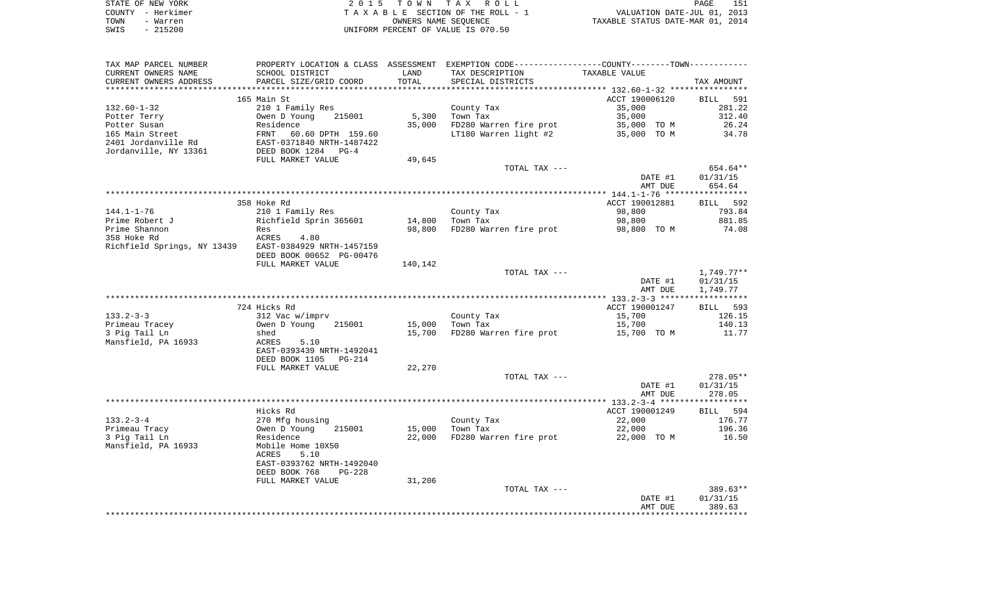|      | STATE OF NEW YORK | 2015 TOWN TAX ROLL                 | 151<br>PAGE                      |
|------|-------------------|------------------------------------|----------------------------------|
|      | COUNTY - Herkimer | TAXABLE SECTION OF THE ROLL - 1    | VALUATION DATE-JUL 01, 2013      |
| TOWN | - Warren          | OWNERS NAME SEOUENCE               | TAXABLE STATUS DATE-MAR 01, 2014 |
| SWIS | - 215200          | UNIFORM PERCENT OF VALUE IS 070.50 |                                  |

| TAX MAP PARCEL NUMBER                                 |                                                                            |         | PROPERTY LOCATION & CLASS ASSESSMENT EXEMPTION CODE---------------COUNTY-------TOWN---------- |                |                    |
|-------------------------------------------------------|----------------------------------------------------------------------------|---------|-----------------------------------------------------------------------------------------------|----------------|--------------------|
| CURRENT OWNERS NAME                                   | SCHOOL DISTRICT                                                            | LAND    | TAX DESCRIPTION                                                                               | TAXABLE VALUE  |                    |
| CURRENT OWNERS ADDRESS                                | PARCEL SIZE/GRID COORD                                                     | TOTAL   | SPECIAL DISTRICTS                                                                             |                | TAX AMOUNT         |
|                                                       |                                                                            |         |                                                                                               |                |                    |
|                                                       | 165 Main St                                                                |         |                                                                                               | ACCT 190006120 | <b>BILL</b><br>591 |
| $132.60 - 1 - 32$                                     | 210 1 Family Res                                                           |         | County Tax                                                                                    | 35,000         | 281.22             |
| Potter Terry                                          | Owen D Young<br>215001                                                     | 5,300   | Town Tax                                                                                      | 35,000         | 312.40             |
| Potter Susan                                          | Residence                                                                  | 35,000  | FD280 Warren fire prot                                                                        | 35,000 TO M    | 26.24              |
| 165 Main Street                                       | FRNT 60.60 DPTH 159.60<br>EAST-0371840 NRTH-1487422<br>DEED BOOK 1284 PG-4 |         | LT180 Warren light #2                                                                         | 35,000 TO M    | 34.78              |
| 2401 Jordanville Rd                                   |                                                                            |         |                                                                                               |                |                    |
| Jordanville, NY 13361                                 |                                                                            |         |                                                                                               |                |                    |
|                                                       | FULL MARKET VALUE                                                          | 49,645  |                                                                                               |                |                    |
|                                                       |                                                                            |         | TOTAL TAX ---                                                                                 |                | 654.64**           |
|                                                       |                                                                            |         |                                                                                               | DATE #1        | 01/31/15           |
|                                                       |                                                                            |         |                                                                                               | AMT DUE        | 654.64             |
|                                                       |                                                                            |         |                                                                                               |                |                    |
|                                                       | 358 Hoke Rd                                                                |         |                                                                                               | ACCT 190012881 | BILL 592           |
|                                                       |                                                                            |         |                                                                                               |                | 793.84             |
| $144.1 - 1 - 76$                                      | 210 1 Family Res                                                           |         | County Tax                                                                                    | 98,800         |                    |
| Prime Robert J                                        | Richfield Sprin 365601                                                     | 14,800  | Town Tax                                                                                      | 98,800         | 881.85             |
| Prime Shannon                                         | Res                                                                        | 98,800  | FD280 Warren fire prot                                                                        | 98,800 TO M    | 74.08              |
| 358 Hoke Rd                                           | ACRES<br>4.80                                                              |         |                                                                                               |                |                    |
| Richfield Springs, NY 13439 EAST-0384929 NRTH-1457159 |                                                                            |         |                                                                                               |                |                    |
|                                                       | DEED BOOK 00652 PG-00476                                                   |         |                                                                                               |                |                    |
|                                                       | FULL MARKET VALUE                                                          | 140,142 |                                                                                               |                |                    |
|                                                       |                                                                            |         | TOTAL TAX ---                                                                                 |                | 1,749.77**         |
|                                                       |                                                                            |         |                                                                                               | DATE #1        | 01/31/15           |
|                                                       |                                                                            |         |                                                                                               | AMT DUE        | 1,749.77           |
|                                                       |                                                                            |         |                                                                                               |                |                    |
|                                                       | 724 Hicks Rd                                                               |         |                                                                                               | ACCT 190001247 | BILL 593           |
| $133.2 - 3 - 3$                                       | 312 Vac w/imprv                                                            |         | County Tax                                                                                    | 15,700         | 126.15             |
| Primeau Tracey                                        | 215001<br>Owen D Young                                                     | 15,000  | Town Tax                                                                                      | 15,700         | 140.13             |
| 3 Pig Tail Ln                                         | shed                                                                       |         | 15,700 FD280 Warren fire prot                                                                 | 15,700 TO M    | 11.77              |
| Mansfield, PA 16933                                   | ACRES<br>5.10                                                              |         |                                                                                               |                |                    |
|                                                       | EAST-0393439 NRTH-1492041                                                  |         |                                                                                               |                |                    |
|                                                       | DEED BOOK 1105<br>$PG-214$                                                 |         |                                                                                               |                |                    |
|                                                       | FULL MARKET VALUE                                                          | 22,270  |                                                                                               |                |                    |
|                                                       |                                                                            |         | TOTAL TAX ---                                                                                 |                | $278.05**$         |
|                                                       |                                                                            |         |                                                                                               | DATE #1        | 01/31/15           |
|                                                       |                                                                            |         |                                                                                               | AMT DUE        | 278.05             |
|                                                       |                                                                            |         |                                                                                               |                |                    |
|                                                       | Hicks Rd                                                                   |         |                                                                                               | ACCT 190001249 | BILL 594           |
| $133.2 - 3 - 4$                                       | 270 Mfg housing                                                            |         | County Tax                                                                                    | 22,000         | 176.77             |
| Primeau Tracy                                         | Owen D Young<br>215001                                                     | 15,000  | Town Tax                                                                                      | 22,000         | 196.36             |
| 3 Pig Tail Ln                                         | Residence                                                                  | 22,000  | FD280 Warren fire prot                                                                        | 22,000 TO M    | 16.50              |
| Mansfield, PA 16933                                   | Mobile Home 10X50                                                          |         |                                                                                               |                |                    |
|                                                       | 5.10<br>ACRES                                                              |         |                                                                                               |                |                    |
|                                                       | EAST-0393762 NRTH-1492040                                                  |         |                                                                                               |                |                    |
|                                                       | DEED BOOK 768<br><b>PG-228</b>                                             |         |                                                                                               |                |                    |
|                                                       | FULL MARKET VALUE                                                          | 31,206  |                                                                                               |                |                    |
|                                                       |                                                                            |         | TOTAL TAX ---                                                                                 |                | $389.63**$         |
|                                                       |                                                                            |         |                                                                                               | DATE #1        | 01/31/15           |
|                                                       |                                                                            |         |                                                                                               | AMT DUE        | 389.63             |
|                                                       |                                                                            |         |                                                                                               |                |                    |
|                                                       |                                                                            |         |                                                                                               |                |                    |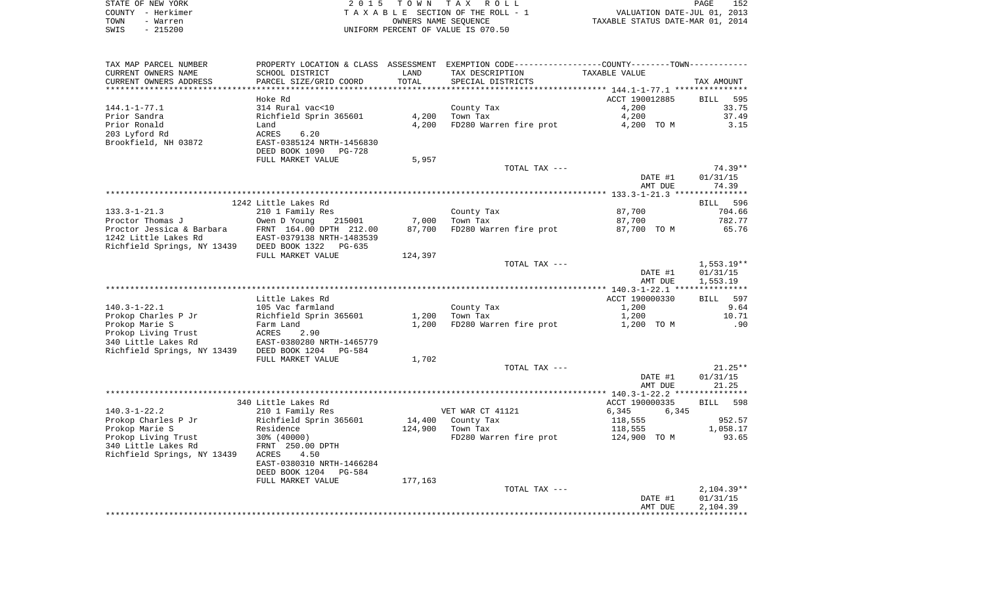| STATE OF NEW YORK | 2015 TOWN TAX ROLL                 | 152<br>PAGE                      |
|-------------------|------------------------------------|----------------------------------|
| COUNTY - Herkimer | TAXABLE SECTION OF THE ROLL - 1    | VALUATION DATE-JUL 01, 2013      |
| TOWN<br>- Warren  | OWNERS NAME SEOUENCE               | TAXABLE STATUS DATE-MAR 01, 2014 |
| - 215200<br>SWIS  | UNIFORM PERCENT OF VALUE IS 070.50 |                                  |

 $\begin{array}{c} 152 \\ 2013 \\ 2014 \end{array}$ 

| TAX MAP PARCEL NUMBER                                              |                                            |                 | PROPERTY LOCATION & CLASS ASSESSMENT EXEMPTION CODE---------------COUNTY-------TOWN---------- |                                  |                    |
|--------------------------------------------------------------------|--------------------------------------------|-----------------|-----------------------------------------------------------------------------------------------|----------------------------------|--------------------|
| CURRENT OWNERS NAME                                                | SCHOOL DISTRICT                            | LAND            | TAX DESCRIPTION                                                                               | TAXABLE VALUE                    |                    |
| CURRENT OWNERS ADDRESS                                             | PARCEL SIZE/GRID COORD                     | TOTAL           | SPECIAL DISTRICTS                                                                             |                                  | TAX AMOUNT         |
|                                                                    |                                            |                 |                                                                                               |                                  |                    |
|                                                                    | Hoke Rd                                    |                 |                                                                                               | ACCT 190012885                   | <b>BILL</b><br>595 |
| $144.1 - 1 - 77.1$                                                 | 314 Rural vac<10                           |                 | County Tax                                                                                    | 4,200                            | 33.75              |
| Prior Sandra                                                       | Richfield Sprin 365601                     | 4,200           | Town Tax                                                                                      | 4,200                            | 37.49              |
| Prior Ronald                                                       | Land                                       | 4,200           | FD280 Warren fire prot                                                                        | 4,200 TO M                       | 3.15               |
| 203 Lyford Rd                                                      | ACRES<br>6.20                              |                 |                                                                                               |                                  |                    |
| Brookfield, NH 03872                                               | EAST-0385124 NRTH-1456830                  |                 |                                                                                               |                                  |                    |
|                                                                    | DEED BOOK 1090<br>PG-728                   |                 |                                                                                               |                                  |                    |
|                                                                    | FULL MARKET VALUE                          | 5,957           |                                                                                               |                                  |                    |
|                                                                    |                                            |                 | TOTAL TAX ---                                                                                 |                                  | 74.39**            |
|                                                                    |                                            |                 |                                                                                               | DATE #1                          | 01/31/15           |
|                                                                    |                                            |                 |                                                                                               | AMT DUE                          | 74.39              |
|                                                                    |                                            |                 |                                                                                               |                                  |                    |
|                                                                    | 1242 Little Lakes Rd                       |                 |                                                                                               |                                  | 596<br>BILL        |
| $133.3 - 1 - 21.3$                                                 | 210 1 Family Res                           |                 | County Tax                                                                                    | 87,700                           | 704.66             |
| Proctor Thomas J                                                   | Owen D Young<br>215001                     | 7,000<br>87,700 | Town Tax                                                                                      | 87,700                           | 782.77<br>65.76    |
| Proctor Jessica & Barbara                                          | FRNT 164.00 DPTH 212.00                    |                 | FD280 Warren fire prot                                                                        | 87,700 TO M                      |                    |
| 1242 Little Lakes Rd<br>Richfield Springs, NY 13439 DEED BOOK 1322 | EAST-0379138 NRTH-1483539<br>PG-635        |                 |                                                                                               |                                  |                    |
|                                                                    | FULL MARKET VALUE                          | 124,397         |                                                                                               |                                  |                    |
|                                                                    |                                            |                 | TOTAL TAX ---                                                                                 |                                  | $1,553.19**$       |
|                                                                    |                                            |                 |                                                                                               | DATE #1                          | 01/31/15           |
|                                                                    |                                            |                 |                                                                                               | AMT DUE                          | 1,553.19           |
|                                                                    |                                            |                 |                                                                                               |                                  |                    |
|                                                                    | Little Lakes Rd                            |                 |                                                                                               | ACCT 190000330                   | BILL 597           |
| $140.3 - 1 - 22.1$                                                 | 105 Vac farmland                           |                 | County Tax                                                                                    | 1,200                            | 9.64               |
| Prokop Charles P Jr                                                | Richfield Sprin 365601                     | 1,200           | Town Tax                                                                                      | 1,200                            | 10.71              |
| Prokop Marie S                                                     | Farm Land                                  | 1,200           | FD280 Warren fire prot                                                                        | 1,200 TO M                       | .90                |
| Prokop Living Trust                                                | ACRES<br>2.90                              |                 |                                                                                               |                                  |                    |
| 340 Little Lakes Rd                                                | EAST-0380280 NRTH-1465779                  |                 |                                                                                               |                                  |                    |
| Richfield Springs, NY 13439 DEED BOOK 1204 PG-584                  |                                            |                 |                                                                                               |                                  |                    |
|                                                                    | FULL MARKET VALUE                          | 1,702           |                                                                                               |                                  |                    |
|                                                                    |                                            |                 | TOTAL TAX ---                                                                                 |                                  | $21.25**$          |
|                                                                    |                                            |                 |                                                                                               | DATE #1                          | 01/31/15           |
|                                                                    |                                            |                 |                                                                                               | AMT DUE                          | 21.25              |
|                                                                    |                                            |                 |                                                                                               |                                  |                    |
| 140.3-1-22.2                                                       | 340 Little Lakes Rd                        |                 | VET WAR CT 41121                                                                              | ACCT 190000335<br>6,345<br>6,345 | <b>BILL</b><br>598 |
| Prokop Charles P Jr                                                | 210 1 Family Res<br>Richfield Sprin 365601 | 14,400          | County Tax                                                                                    | 118,555                          | 952.57             |
| Prokop Marie S                                                     | Residence                                  | 124,900         | Town Tax                                                                                      | 118,555                          | 1,058.17           |
| Prokop Living Trust                                                | 30% (40000)                                |                 | FD280 Warren fire prot                                                                        | 124,900 TO M                     | 93.65              |
| 340 Little Lakes Rd                                                | FRNT 250.00 DPTH                           |                 |                                                                                               |                                  |                    |
| Richfield Springs, NY 13439                                        | ACRES<br>4.50                              |                 |                                                                                               |                                  |                    |
|                                                                    | EAST-0380310 NRTH-1466284                  |                 |                                                                                               |                                  |                    |
|                                                                    | DEED BOOK 1204<br>PG-584                   |                 |                                                                                               |                                  |                    |
|                                                                    | FULL MARKET VALUE                          | 177,163         |                                                                                               |                                  |                    |
|                                                                    |                                            |                 | TOTAL TAX ---                                                                                 |                                  | $2,104.39**$       |
|                                                                    |                                            |                 |                                                                                               | DATE #1                          | 01/31/15           |
|                                                                    |                                            |                 |                                                                                               | AMT DUE                          | 2,104.39           |
|                                                                    |                                            |                 |                                                                                               |                                  |                    |
|                                                                    |                                            |                 |                                                                                               |                                  |                    |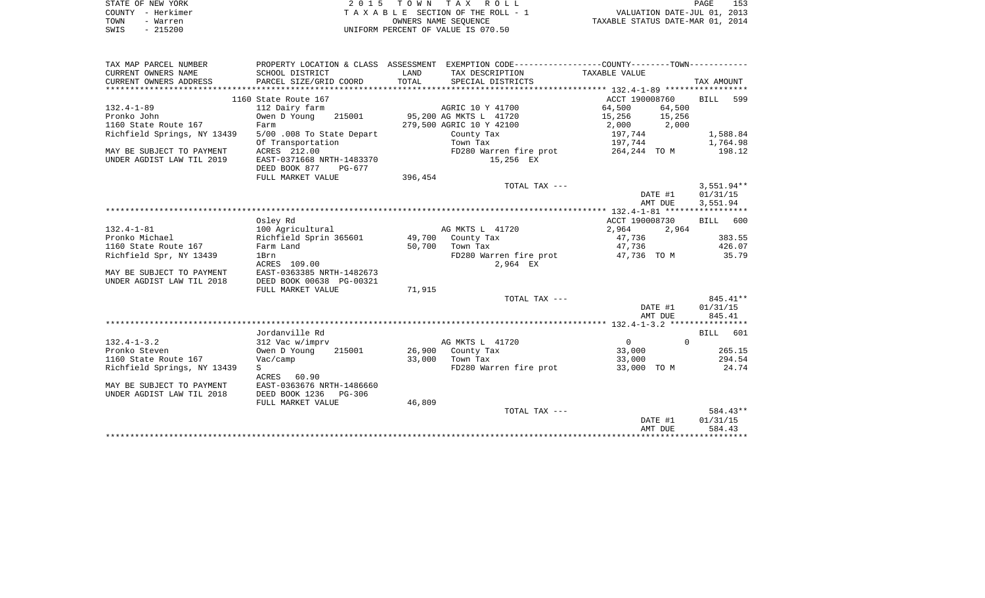| STATE OF NEW YORK<br>COUNTY - Herkimer<br>- Warren<br>TOWN<br>$-215200$<br>SWIS |                                           |         | 2015 TOWN TAX ROLL<br>TAXABLE SECTION OF THE ROLL - 1<br>OWNERS NAME SEQUENCE<br>UNIFORM PERCENT OF VALUE IS 070.50 | VALUATION DATE-JUL 01, 2013<br>TAXABLE STATUS DATE-MAR 01, 2014 | PAGE<br>153          |
|---------------------------------------------------------------------------------|-------------------------------------------|---------|---------------------------------------------------------------------------------------------------------------------|-----------------------------------------------------------------|----------------------|
|                                                                                 |                                           |         |                                                                                                                     |                                                                 |                      |
| TAX MAP PARCEL NUMBER                                                           |                                           |         | PROPERTY LOCATION & CLASS ASSESSMENT EXEMPTION CODE----------------COUNTY--------TOWN----------                     |                                                                 |                      |
| CURRENT OWNERS NAME                                                             | SCHOOL DISTRICT                           | LAND    | TAX DESCRIPTION                                                                                                     | TAXABLE VALUE                                                   |                      |
| CURRENT OWNERS ADDRESS                                                          | PARCEL SIZE/GRID COORD                    | TOTAL   | SPECIAL DISTRICTS                                                                                                   |                                                                 | TAX AMOUNT           |
| ************************                                                        |                                           |         |                                                                                                                     |                                                                 |                      |
|                                                                                 | 1160 State Route 167                      |         |                                                                                                                     | ACCT 190008760                                                  | <b>BILL</b><br>599   |
| $132.4 - 1 - 89$<br>Pronko John                                                 | 112 Dairy farm<br>Owen D Young<br>215001  |         | AGRIC 10 Y 41700<br>95,200 AG MKTS L 41720                                                                          | 64,500<br>64,500<br>15,256<br>15,256                            |                      |
| 1160 State Route 167                                                            | Farm                                      |         | 279,500 AGRIC 10 Y 42100                                                                                            | 2,000<br>2,000                                                  |                      |
| Richfield Springs, NY 13439                                                     | 5/00.008 To State Depart                  |         | County Tax                                                                                                          | 197,744                                                         | 1,588.84             |
|                                                                                 | Of Transportation                         |         | Town Tax                                                                                                            | 197,744                                                         | 1,764.98             |
| MAY BE SUBJECT TO PAYMENT<br>UNDER AGDIST LAW TIL 2019                          | ACRES 212.00<br>EAST-0371668 NRTH-1483370 |         | FD280 Warren fire prot<br>15,256 EX                                                                                 | 264,244 TOM                                                     | 198.12               |
|                                                                                 | DEED BOOK 877<br>PG-677                   |         |                                                                                                                     |                                                                 |                      |
|                                                                                 | FULL MARKET VALUE                         | 396,454 |                                                                                                                     |                                                                 |                      |
|                                                                                 |                                           |         | TOTAL TAX ---                                                                                                       |                                                                 | $3,551.94**$         |
|                                                                                 |                                           |         |                                                                                                                     | DATE #1                                                         | 01/31/15             |
|                                                                                 |                                           |         |                                                                                                                     | AMT DUE                                                         | 3,551.94             |
|                                                                                 |                                           |         |                                                                                                                     |                                                                 |                      |
|                                                                                 | Osley Rd                                  |         |                                                                                                                     | ACCT 190008730                                                  | 600<br><b>BILL</b>   |
| $132.4 - 1 - 81$                                                                | 100 Agricultural                          |         | AG MKTS L 41720                                                                                                     | 2,964<br>2,964                                                  |                      |
| Pronko Michael                                                                  | Richfield Sprin 365601                    | 49,700  | County Tax                                                                                                          | 47,736                                                          | 383.55               |
| 1160 State Route 167                                                            | Farm Land                                 | 50,700  | Town Tax                                                                                                            | 47,736                                                          | 426.07               |
| Richfield Spr, NY 13439                                                         | 1Brn                                      |         | FD280 Warren fire prot                                                                                              | 47,736 TO M                                                     | 35.79                |
|                                                                                 | ACRES 109.00                              |         | 2,964 EX                                                                                                            |                                                                 |                      |
| MAY BE SUBJECT TO PAYMENT                                                       | EAST-0363385 NRTH-1482673                 |         |                                                                                                                     |                                                                 |                      |
| UNDER AGDIST LAW TIL 2018                                                       | DEED BOOK 00638 PG-00321                  |         |                                                                                                                     |                                                                 |                      |
|                                                                                 | FULL MARKET VALUE                         | 71,915  |                                                                                                                     |                                                                 |                      |
|                                                                                 |                                           |         | TOTAL TAX ---                                                                                                       | DATE #1                                                         | 845.41**<br>01/31/15 |
|                                                                                 |                                           |         |                                                                                                                     | AMT DUE                                                         | 845.41               |
|                                                                                 |                                           |         |                                                                                                                     |                                                                 |                      |
|                                                                                 | Jordanville Rd                            |         |                                                                                                                     |                                                                 | <b>BILL</b><br>601   |
| $132.4 - 1 - 3.2$                                                               | 312 Vac w/imprv                           |         | AG MKTS L 41720                                                                                                     | 0                                                               | $\Omega$             |
| Pronko Steven                                                                   | Owen D Young<br>215001                    |         | 26,900 County Tax                                                                                                   | 33,000                                                          | 265.15               |
| 1160 State Route 167                                                            | Vac/camp                                  | 33,000  | Town Tax                                                                                                            | 33,000                                                          | 294.54               |
| Richfield Springs, NY 13439                                                     | S                                         |         | FD280 Warren fire prot                                                                                              | 33,000 TO M                                                     | 24.74                |
|                                                                                 | ACRES 60.90                               |         |                                                                                                                     |                                                                 |                      |
| MAY BE SUBJECT TO PAYMENT                                                       | EAST-0363676 NRTH-1486660                 |         |                                                                                                                     |                                                                 |                      |
| UNDER AGDIST LAW TIL 2018                                                       | DEED BOOK 1236<br>PG-306                  |         |                                                                                                                     |                                                                 |                      |
|                                                                                 | FULL MARKET VALUE                         | 46,809  |                                                                                                                     |                                                                 |                      |
|                                                                                 |                                           |         | TOTAL TAX ---                                                                                                       |                                                                 | 584.43**             |
|                                                                                 |                                           |         |                                                                                                                     | DATE #1                                                         | 01/31/15             |
|                                                                                 |                                           |         |                                                                                                                     | AMT DUE                                                         | 584.43               |
|                                                                                 |                                           |         |                                                                                                                     |                                                                 | **********           |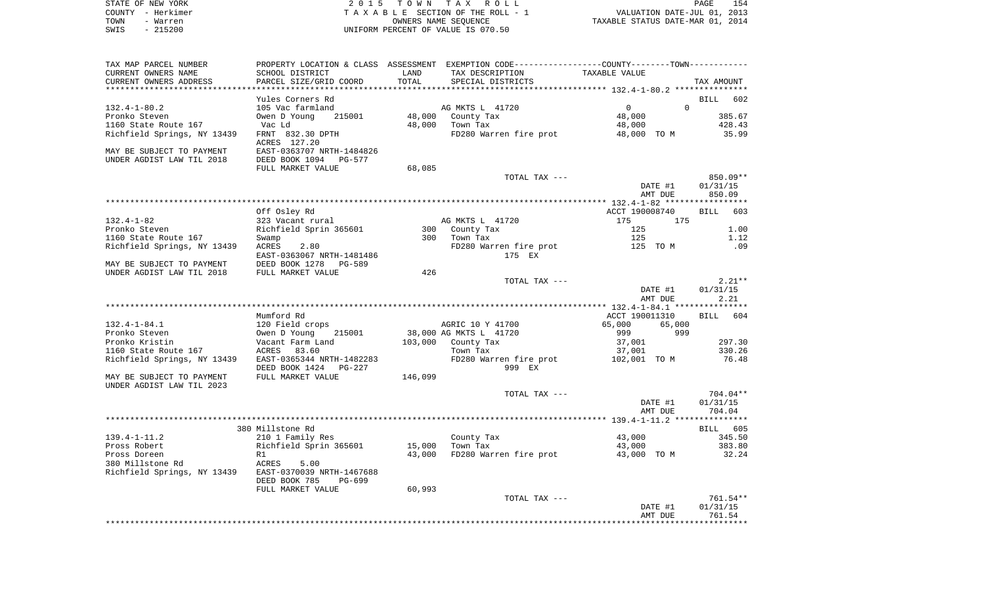| STATE OF NEW YORK                                                                                           |                                                                                                                                               |                   | 2015 TOWN TAX ROLL                         |                                                                 | PAGE<br>154        |
|-------------------------------------------------------------------------------------------------------------|-----------------------------------------------------------------------------------------------------------------------------------------------|-------------------|--------------------------------------------|-----------------------------------------------------------------|--------------------|
| COUNTY - Herkimer                                                                                           |                                                                                                                                               |                   | TAXABLE SECTION OF THE ROLL - 1            | VALUATION DATE-JUL 01, 2013<br>TAXABLE STATUS DATE-MAR 01, 2014 |                    |
| TOWN<br>- Warren                                                                                            |                                                                                                                                               |                   | OWNERS NAME SEQUENCE                       |                                                                 |                    |
| $-215200$<br>SWIS                                                                                           |                                                                                                                                               |                   | UNIFORM PERCENT OF VALUE IS 070.50         |                                                                 |                    |
| TAX MAP PARCEL NUMBER                                                                                       | PROPERTY LOCATION & CLASS ASSESSMENT EXEMPTION CODE---------------COUNTY-------TOWN----------                                                 |                   |                                            |                                                                 |                    |
| CURRENT OWNERS NAME                                                                                         | SCHOOL DISTRICT                                                                                                                               | LAND              | TAX DESCRIPTION TAXABLE VALUE              |                                                                 |                    |
| CURRENT OWNERS ADDRESS                                                                                      | PARCEL SIZE/GRID COORD                                                                                                                        | TOTAL             | SPECIAL DISTRICTS                          |                                                                 | TAX AMOUNT         |
|                                                                                                             |                                                                                                                                               |                   |                                            |                                                                 |                    |
|                                                                                                             | Yules Corners Rd<br>Yules Corners ku<br>105 Vac farmland<br>Owen D Young 215001 48,000 County Tax<br>48.000 Town Tax                          |                   |                                            |                                                                 | BILL 602           |
| $132.4 - 1 - 80.2$                                                                                          |                                                                                                                                               |                   |                                            | $\begin{smallmatrix}&&0\0&4\,8\, ,\,0\,0\,0\end{smallmatrix}$   | $\Omega$<br>385.67 |
| Pronko Steven<br>1160 State Route 167 Vac Ld                                                                |                                                                                                                                               |                   |                                            | 48,000                                                          |                    |
| Richfield Springs, NY 13439 FRNT 832.30 DPTH                                                                |                                                                                                                                               |                   | FD280 Warren fire prot                     | 48,000 TO M                                                     | 428.43<br>35.99    |
|                                                                                                             | ACRES 127.20                                                                                                                                  |                   |                                            |                                                                 |                    |
| MAY BE SUBJECT TO PAYMENT EAST-0363707 NRTH-1484826                                                         |                                                                                                                                               |                   |                                            |                                                                 |                    |
| UNDER AGDIST LAW TIL 2018                                                                                   | DEED BOOK 1094 PG-577                                                                                                                         |                   |                                            |                                                                 |                    |
|                                                                                                             | FULL MARKET VALUE                                                                                                                             | 68,085            |                                            |                                                                 |                    |
|                                                                                                             |                                                                                                                                               |                   | TOTAL TAX ---                              |                                                                 | 850.09**           |
|                                                                                                             |                                                                                                                                               |                   |                                            | DATE #1                                                         | 01/31/15           |
|                                                                                                             |                                                                                                                                               |                   |                                            | AMT DUE                                                         | 850.09             |
|                                                                                                             | Off Osley Rd                                                                                                                                  |                   |                                            | ACCT 190008740                                                  | BILL 603           |
|                                                                                                             |                                                                                                                                               |                   | AG MKTS L 41720                            | 175<br>175                                                      |                    |
|                                                                                                             |                                                                                                                                               |                   |                                            | 125                                                             | 1.00               |
|                                                                                                             |                                                                                                                                               |                   | 300 County Tax<br>300 Town Tax             | 125                                                             | 1.12               |
| Richfield Springs, NY 13439 ACRES 2.80                                                                      |                                                                                                                                               |                   | FD280 Warren fire prot 125 TO M            |                                                                 | .09                |
|                                                                                                             | EAST-0363067 NRTH-1481486                                                                                                                     |                   | 175 EX                                     |                                                                 |                    |
| MAY BE SUBJECT TO PAYMENT       DEED BOOK 1278   PG-589<br>UNDER AGDIST LAW TIL 2018      FULL MARKET VALUE |                                                                                                                                               |                   |                                            |                                                                 |                    |
|                                                                                                             |                                                                                                                                               | 426               |                                            |                                                                 |                    |
|                                                                                                             |                                                                                                                                               |                   | TOTAL TAX ---                              |                                                                 | $2.21**$           |
|                                                                                                             |                                                                                                                                               |                   |                                            | DATE #1<br>AMT DUE                                              | 01/31/15<br>2.21   |
|                                                                                                             |                                                                                                                                               |                   |                                            |                                                                 |                    |
|                                                                                                             | Mumford Rd                                                                                                                                    |                   |                                            | ACCT 190011310                                                  | BILL 604           |
| 132.4-1-84.1                                                                                                |                                                                                                                                               |                   | AGRIC 10 Y 41700<br>38,000 AG MKTS L 41720 | 65,000<br>65,000                                                |                    |
| Pronko Steven                                                                                               |                                                                                                                                               |                   |                                            | 999<br>999                                                      |                    |
| Pronko Kristin                                                                                              |                                                                                                                                               |                   |                                            | 37,001                                                          | 297.30             |
| 1160 State Route 167                                                                                        | 120 Field crops MGRIC 10 Y 41700<br>Owen D Young 215001 38,000 AG MKTS L 41720<br>Vacant Farm Land 103,000 County Tax<br>ACRES 83.60 Town Tax |                   |                                            | 37,001                                                          | 330.26             |
| Richfield Springs, NY 13439    EAST-0365344 NRTH-1482283                                                    |                                                                                                                                               |                   | FD280 Warren fire prot 102,001 TO M 76.48  |                                                                 |                    |
|                                                                                                             | DEED BOOK 1424 PG-227                                                                                                                         | $-227$<br>146,099 | 999 EX                                     |                                                                 |                    |
| MAY BE SUBJECT TO PAYMENT<br>UNDER AGDIST LAW TIL 2023                                                      | FULL MARKET VALUE                                                                                                                             |                   |                                            |                                                                 |                    |
|                                                                                                             |                                                                                                                                               |                   | TOTAL TAX ---                              |                                                                 | $704.04**$         |
|                                                                                                             |                                                                                                                                               |                   |                                            | DATE #1                                                         | 01/31/15           |
|                                                                                                             |                                                                                                                                               |                   |                                            | AMT DUE                                                         | 704.04             |
|                                                                                                             |                                                                                                                                               |                   |                                            |                                                                 |                    |
|                                                                                                             | 380 Millstone Rd                                                                                                                              |                   |                                            |                                                                 | BILL 605           |
| 139.4-1-11.2                                                                                                | 210 1 Family Res                                                                                                                              |                   | County Tax                                 | 43,000                                                          | 345.50             |
| Pross Robert                                                                                                | Richfield Sprin 365601                                                                                                                        | 15,000            | Town Tax                                   | 43,000                                                          | 383.80             |
| Pross Doreen<br>380 Millstone Rd                                                                            | R1<br>ACRES<br>5.00                                                                                                                           | 43,000            | FD280 Warren fire prot                     | 43,000 TO M                                                     | 32.24              |
| Richfield Springs, NY 13439                                                                                 | EAST-0370039 NRTH-1467688                                                                                                                     |                   |                                            |                                                                 |                    |
|                                                                                                             | DEED BOOK 785<br>PG-699                                                                                                                       |                   |                                            |                                                                 |                    |
|                                                                                                             | FULL MARKET VALUE                                                                                                                             | 60,993            |                                            |                                                                 |                    |
|                                                                                                             |                                                                                                                                               |                   | TOTAL TAX ---                              |                                                                 | 761.54**           |
|                                                                                                             |                                                                                                                                               |                   |                                            | DATE #1                                                         | 01/31/15           |
|                                                                                                             |                                                                                                                                               |                   |                                            | AMT DUE                                                         | 761.54             |
|                                                                                                             |                                                                                                                                               |                   |                                            |                                                                 |                    |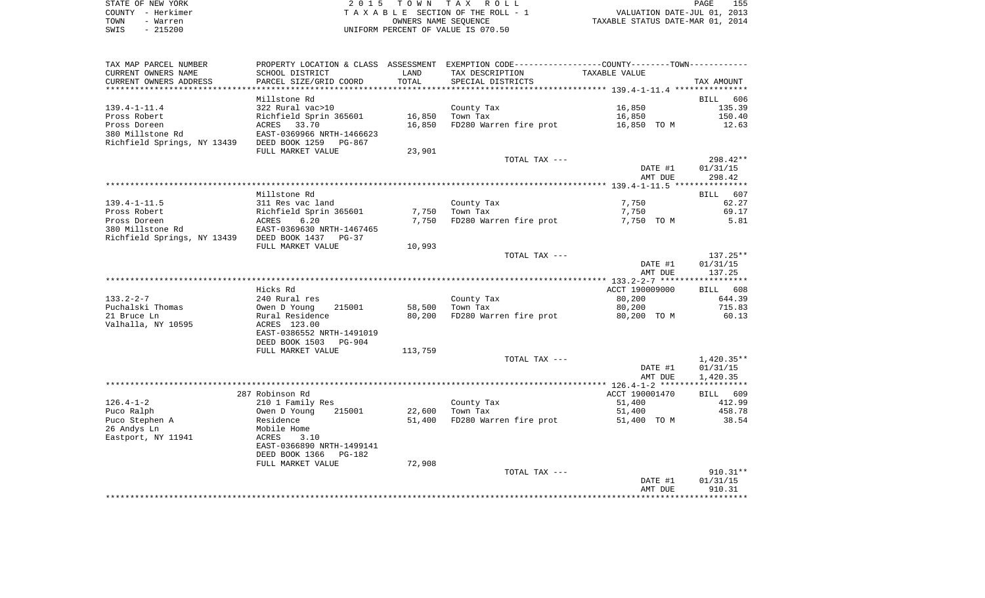| STATE OF NEW YORK | 2015 TOWN TAX ROLL                 | 155<br>PAGE                      |
|-------------------|------------------------------------|----------------------------------|
| COUNTY - Herkimer | TAXABLE SECTION OF THE ROLL - 1    | VALUATION DATE-JUL 01, 2013      |
| TOWN<br>- Warren  | OWNERS NAME SEOUENCE               | TAXABLE STATUS DATE-MAR 01, 2014 |
| - 215200<br>SWIS  | UNIFORM PERCENT OF VALUE IS 070.50 |                                  |

| TAX MAP PARCEL NUMBER<br>CURRENT OWNERS NAME | PROPERTY LOCATION & CLASS ASSESSMENT EXEMPTION CODE----------------COUNTY-------TOWN----------<br>SCHOOL DISTRICT | LAND    | TAX DESCRIPTION        | TAXABLE VALUE  |             |
|----------------------------------------------|-------------------------------------------------------------------------------------------------------------------|---------|------------------------|----------------|-------------|
| CURRENT OWNERS ADDRESS                       | PARCEL SIZE/GRID COORD                                                                                            | TOTAL   | SPECIAL DISTRICTS      |                | TAX AMOUNT  |
|                                              | Millstone Rd                                                                                                      |         |                        |                | BILL 606    |
| $139.4 - 1 - 11.4$                           | 322 Rural vac>10                                                                                                  |         | County Tax             | 16,850         | 135.39      |
| Pross Robert                                 | Richfield Sprin 365601                                                                                            | 16,850  | Town Tax               | 16,850         | 150.40      |
| Pross Doreen                                 | ACRES 33.70                                                                                                       | 16,850  | FD280 Warren fire prot | 16,850 TO M    | 12.63       |
| 380 Millstone Rd                             | EAST-0369966 NRTH-1466623                                                                                         |         |                        |                |             |
| Richfield Springs, NY 13439                  | DEED BOOK 1259<br>PG-867                                                                                          |         |                        |                |             |
|                                              | FULL MARKET VALUE                                                                                                 | 23,901  |                        |                |             |
|                                              |                                                                                                                   |         | TOTAL TAX ---          |                | $298.42**$  |
|                                              |                                                                                                                   |         |                        | DATE #1        | 01/31/15    |
|                                              |                                                                                                                   |         |                        | AMT DUE        | 298.42      |
|                                              |                                                                                                                   |         |                        |                |             |
|                                              | Millstone Rd                                                                                                      |         |                        |                | BILL<br>607 |
| $139.4 - 1 - 11.5$                           | 311 Res vac land                                                                                                  |         | County Tax             | 7,750          | 62.27       |
| Pross Robert                                 | Richfield Sprin 365601                                                                                            | 7,750   | Town Tax               | 7,750          | 69.17       |
| Pross Doreen                                 | 6.20<br>ACRES                                                                                                     | 7,750   | FD280 Warren fire prot | 7,750 TO M     | 5.81        |
| 380 Millstone Rd                             | EAST-0369630 NRTH-1467465                                                                                         |         |                        |                |             |
| Richfield Springs, NY 13439                  | DEED BOOK 1437<br>PG-37                                                                                           |         |                        |                |             |
|                                              | FULL MARKET VALUE                                                                                                 | 10,993  |                        |                |             |
|                                              |                                                                                                                   |         | TOTAL TAX ---          |                | $137.25**$  |
|                                              |                                                                                                                   |         |                        | DATE #1        | 01/31/15    |
|                                              |                                                                                                                   |         |                        | AMT DUE        | 137.25      |
|                                              | Hicks Rd                                                                                                          |         |                        | ACCT 190009000 | BILL 608    |
| $133.2 - 2 - 7$                              | 240 Rural res                                                                                                     |         | County Tax             | 80,200         | 644.39      |
| Puchalski Thomas                             | Owen D Young<br>215001                                                                                            | 58,500  | Town Tax               | 80,200         | 715.83      |
| 21 Bruce Ln                                  | Rural Residence                                                                                                   | 80,200  | FD280 Warren fire prot | 80,200 TO M    | 60.13       |
| Valhalla, NY 10595                           | ACRES 123.00                                                                                                      |         |                        |                |             |
|                                              | EAST-0386552 NRTH-1491019                                                                                         |         |                        |                |             |
|                                              | DEED BOOK 1503<br>PG-904                                                                                          |         |                        |                |             |
|                                              | FULL MARKET VALUE                                                                                                 | 113,759 |                        |                |             |
|                                              |                                                                                                                   |         | TOTAL TAX ---          |                | 1,420.35**  |
|                                              |                                                                                                                   |         |                        | DATE #1        | 01/31/15    |
|                                              |                                                                                                                   |         |                        | AMT DUE        | 1,420.35    |
|                                              |                                                                                                                   |         |                        |                |             |
|                                              | 287 Robinson Rd                                                                                                   |         |                        | ACCT 190001470 | BILL 609    |
| $126.4 - 1 - 2$                              | 210 1 Family Res                                                                                                  |         | County Tax             | 51,400         | 412.99      |
| Puco Ralph                                   | Owen D Young<br>215001                                                                                            | 22,600  | Town Tax               | 51,400         | 458.78      |
| Puco Stephen A                               | Residence                                                                                                         | 51,400  | FD280 Warren fire prot | 51,400 TO M    | 38.54       |
| 26 Andys Ln                                  | Mobile Home                                                                                                       |         |                        |                |             |
| Eastport, NY 11941                           | ACRES<br>3.10                                                                                                     |         |                        |                |             |
|                                              | EAST-0366890 NRTH-1499141                                                                                         |         |                        |                |             |
|                                              | DEED BOOK 1366<br><b>PG-182</b>                                                                                   |         |                        |                |             |
|                                              | FULL MARKET VALUE                                                                                                 | 72,908  |                        |                |             |
|                                              |                                                                                                                   |         | TOTAL TAX ---          |                | $910.31**$  |
|                                              |                                                                                                                   |         |                        | DATE #1        | 01/31/15    |
|                                              |                                                                                                                   |         |                        | AMT DUE        | 910.31      |
|                                              |                                                                                                                   |         |                        |                |             |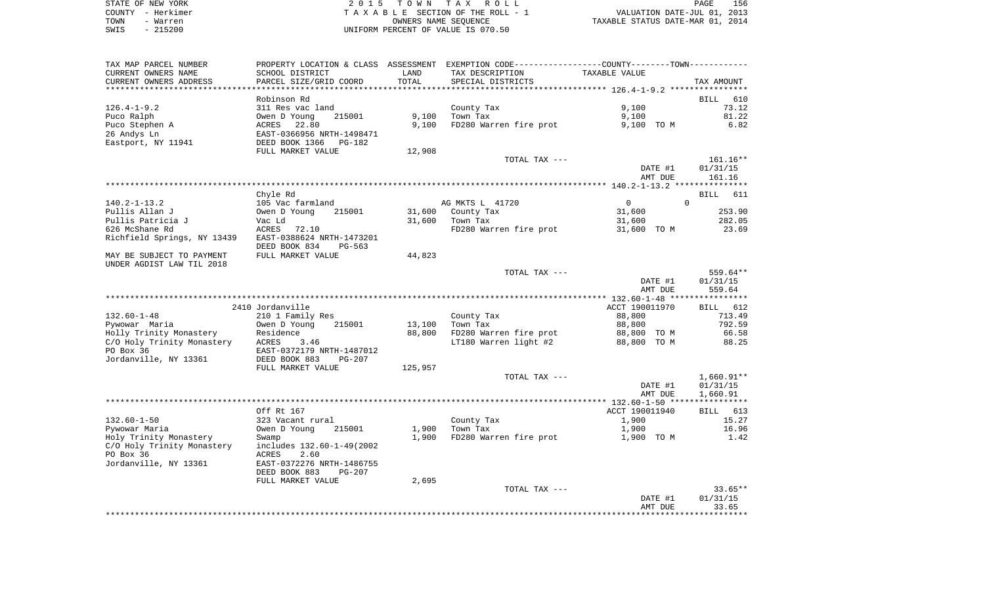| STATE OF NEW YORK | 2015 TOWN TAX ROLL                 | 156<br>PAGE                      |
|-------------------|------------------------------------|----------------------------------|
| COUNTY - Herkimer | TAXABLE SECTION OF THE ROLL - 1    | VALUATION DATE-JUL 01, 2013      |
| TOWN<br>- Warren  | OWNERS NAME SEOUENCE               | TAXABLE STATUS DATE-MAR 01, 2014 |
| - 215200<br>SWIS  | UNIFORM PERCENT OF VALUE IS 070.50 |                                  |

| TAX MAP PARCEL NUMBER       |                                                      |                | PROPERTY LOCATION & CLASS ASSESSMENT EXEMPTION CODE----------------COUNTY--------TOWN---------- |                |              |
|-----------------------------|------------------------------------------------------|----------------|-------------------------------------------------------------------------------------------------|----------------|--------------|
| CURRENT OWNERS NAME         | SCHOOL DISTRICT                                      | LAND           | TAX DESCRIPTION                                                                                 | TAXABLE VALUE  |              |
| CURRENT OWNERS ADDRESS      | PARCEL SIZE/GRID COORD                               | TOTAL          | SPECIAL DISTRICTS                                                                               |                | TAX AMOUNT   |
| **********************      |                                                      | ************** |                                                                                                 |                |              |
|                             | Robinson Rd                                          |                |                                                                                                 |                | BILL<br>610  |
| $126.4 - 1 - 9.2$           | 311 Res vac land                                     |                | County Tax                                                                                      | 9,100          | 73.12        |
| Puco Ralph                  | Owen D Young<br>215001                               | 9,100          | Town Tax                                                                                        | 9,100          | 81.22        |
| Puco Stephen A              | 22.80<br><b>ACRES</b>                                | 9,100          | FD280 Warren fire prot                                                                          | 9,100 TO M     | 6.82         |
| 26 Andys Ln                 | EAST-0366956 NRTH-1498471<br>DEED BOOK 1366 PG-182   |                |                                                                                                 |                |              |
| Eastport, NY 11941          |                                                      |                |                                                                                                 |                |              |
|                             | FULL MARKET VALUE                                    | 12,908         |                                                                                                 |                |              |
|                             |                                                      |                | TOTAL TAX ---                                                                                   |                | 161.16**     |
|                             |                                                      |                |                                                                                                 | DATE #1        | 01/31/15     |
|                             |                                                      |                |                                                                                                 | AMT DUE        | 161.16       |
|                             |                                                      |                |                                                                                                 |                |              |
|                             | Chyle Rd                                             |                |                                                                                                 |                | BILL 611     |
| 140.2-1-13.2                | 105 Vac farmland                                     |                | AG MKTS L 41720                                                                                 | $\overline{0}$ | $\Omega$     |
| Pullis Allan J              | Owen D Young<br>215001                               | 31,600         | County Tax                                                                                      | 31,600         | 253.90       |
| Pullis Patricia J           | Vac Ld                                               | 31,600         | Town Tax                                                                                        | 31,600         | 282.05       |
| 626 McShane Rd              | ACRES<br>72.10                                       |                | FD280 Warren fire prot                                                                          | 31,600 TO M    | 23.69        |
| Richfield Springs, NY 13439 | EAST-0388624 NRTH-1473201<br>DEED BOOK 834<br>PG-563 |                |                                                                                                 |                |              |
| MAY BE SUBJECT TO PAYMENT   | FULL MARKET VALUE                                    | 44,823         |                                                                                                 |                |              |
| UNDER AGDIST LAW TIL 2018   |                                                      |                |                                                                                                 |                |              |
|                             |                                                      |                | TOTAL TAX ---                                                                                   |                | 559.64**     |
|                             |                                                      |                |                                                                                                 | DATE #1        | 01/31/15     |
|                             |                                                      |                |                                                                                                 | AMT DUE        | 559.64       |
|                             |                                                      |                |                                                                                                 |                |              |
|                             | 2410 Jordanville                                     |                |                                                                                                 | ACCT 190011970 | BILL 612     |
| $132.60 - 1 - 48$           | 210 1 Family Res                                     |                | County Tax                                                                                      | 88,800         | 713.49       |
| Pywowar Maria               | Owen D Young<br>215001                               | 13,100         | Town Tax                                                                                        | 88,800         | 792.59       |
|                             | Residence                                            | 88,800         | FD280 Warren fire prot                                                                          | 88,800 TO M    | 66.58        |
|                             | 3.46                                                 |                | LT180 Warren light #2                                                                           | 88,800 TO M    | 88.25        |
|                             | EAST-0372179 NRTH-1487012                            |                |                                                                                                 |                |              |
| Jordanville, NY 13361       | DEED BOOK 883<br>$PG-207$                            |                |                                                                                                 |                |              |
|                             | FULL MARKET VALUE                                    | 125,957        |                                                                                                 |                |              |
|                             |                                                      |                | TOTAL TAX ---                                                                                   |                | $1,660.91**$ |
|                             |                                                      |                |                                                                                                 | DATE #1        | 01/31/15     |
|                             |                                                      |                |                                                                                                 | AMT DUE        | 1,660.91     |
|                             |                                                      |                |                                                                                                 |                |              |
|                             | Off Rt 167                                           |                |                                                                                                 | ACCT 190011940 | BILL 613     |
| $132.60 - 1 - 50$           | 323 Vacant rural                                     |                | County Tax                                                                                      | 1,900          | 15.27        |
| Pywowar Maria               | Owen D Young<br>215001                               | 1,900          | Town Tax                                                                                        | 1,900          | 16.96        |
| Holy Trinity Monastery      | Swamp                                                | 1,900          | FD280 Warren fire prot                                                                          | 1,900 TO M     | 1.42         |
| C/O Holy Trinity Monastery  | includes 132.60-1-49(2002                            |                |                                                                                                 |                |              |
| PO Box 36                   | ACRES<br>2.60                                        |                |                                                                                                 |                |              |
| Jordanville, NY 13361       | EAST-0372276 NRTH-1486755                            |                |                                                                                                 |                |              |
|                             | DEED BOOK 883<br>$PG-207$                            |                |                                                                                                 |                |              |
|                             | FULL MARKET VALUE                                    | 2,695          |                                                                                                 |                |              |
|                             |                                                      |                | TOTAL TAX ---                                                                                   |                | $33.65**$    |
|                             |                                                      |                |                                                                                                 | DATE #1        | 01/31/15     |
|                             |                                                      |                |                                                                                                 | AMT DUE        | 33.65        |
|                             |                                                      |                |                                                                                                 |                |              |
|                             |                                                      |                |                                                                                                 |                |              |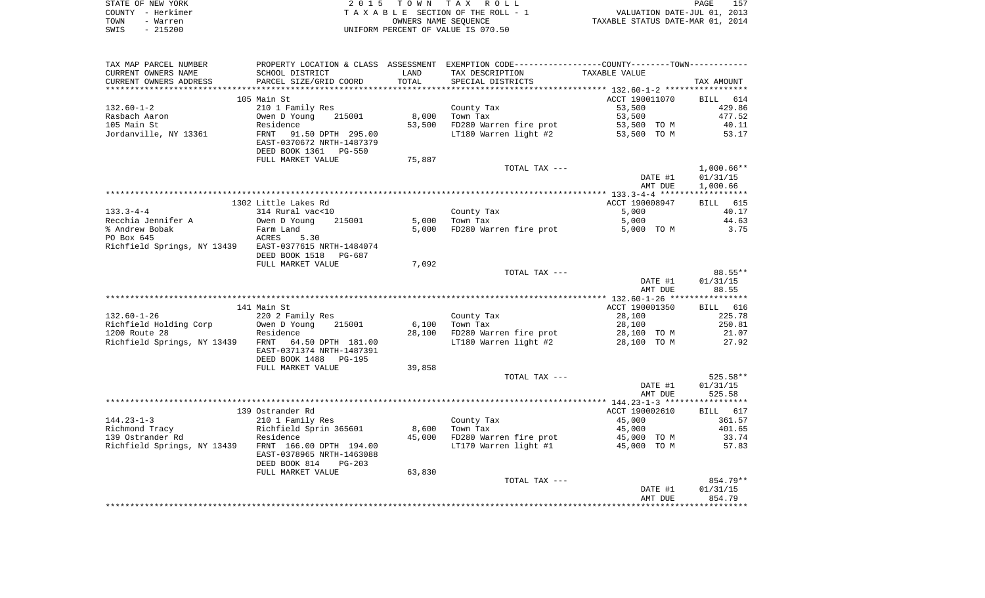|      | STATE OF NEW YORK | 2015 TOWN TAX ROLL                 | PAGE                             | 157 |
|------|-------------------|------------------------------------|----------------------------------|-----|
|      | COUNTY – Herkimer | TAXABLE SECTION OF THE ROLL - 1    | VALUATION DATE-JUL 01, 2013      |     |
| TOWN | - Warren          | OWNERS NAME SEOUENCE               | TAXABLE STATUS DATE-MAR 01, 2014 |     |
| SWIS | - 215200          | UNIFORM PERCENT OF VALUE IS 070.50 |                                  |     |

| TAX MAP PARCEL NUMBER                                                                                                   | PROPERTY LOCATION & CLASS ASSESSMENT EXEMPTION CODE---------------COUNTY-------TOWN---------- |        |                                                                                    |                |                 |
|-------------------------------------------------------------------------------------------------------------------------|-----------------------------------------------------------------------------------------------|--------|------------------------------------------------------------------------------------|----------------|-----------------|
| CURRENT OWNERS NAME                                                                                                     | SCHOOL DISTRICT                                                                               | LAND   | TAX DESCRIPTION                                                                    | TAXABLE VALUE  |                 |
| CURRENT OWNERS ADDRESS                                                                                                  | PARCEL SIZE/GRID COORD                                                                        | TOTAL  | SPECIAL DISTRICTS                                                                  |                | TAX AMOUNT      |
|                                                                                                                         |                                                                                               |        |                                                                                    |                |                 |
|                                                                                                                         | 105 Main St                                                                                   |        |                                                                                    | ACCT 190011070 | BILL 614        |
| $132.60 - 1 - 2$                                                                                                        | 210 1 Family Res                                                                              |        |                                                                                    | 53,500         | 429.86          |
|                                                                                                                         |                                                                                               | 8,000  | County Tax<br>Town Tax                                                             | 53,500         | 477.52          |
| Rasbach Aaron<br>105 Main St                                                                                            |                                                                                               |        |                                                                                    |                |                 |
|                                                                                                                         |                                                                                               |        | 53,500 FD280 Warren fire prot 53,500 TO M                                          |                | 40.11           |
| Jordanville, NY 13361                                                                                                   | Owen D Young 215001<br>Residence<br>FRNT 91.50 DPTH 295.00                                    |        | LT180 Warren light #2 53,500 TO M                                                  |                | 53.17           |
|                                                                                                                         | EAST-0370672 NRTH-1487379                                                                     |        |                                                                                    |                |                 |
|                                                                                                                         | DEED BOOK 1361 PG-550                                                                         |        |                                                                                    |                |                 |
|                                                                                                                         | FULL MARKET VALUE                                                                             | 75,887 |                                                                                    |                |                 |
|                                                                                                                         |                                                                                               |        | TOTAL TAX ---                                                                      |                | $1,000.66**$    |
|                                                                                                                         |                                                                                               |        |                                                                                    | DATE #1        | 01/31/15        |
|                                                                                                                         |                                                                                               |        |                                                                                    | AMT DUE        | 1,000.66        |
|                                                                                                                         |                                                                                               |        |                                                                                    |                |                 |
|                                                                                                                         | 1302 Little Lakes Rd                                                                          |        |                                                                                    | ACCT 190008947 | BILL 615        |
| $133.3 - 4 - 4$                                                                                                         | 314 Rural vac<10                                                                              |        | County Tax<br>Town Tax                                                             | 5,000          | 40.17           |
|                                                                                                                         |                                                                                               |        |                                                                                    | 5,000          |                 |
| Recchia Jennifer A           Owen D Young                                                                               | 215001                                                                                        |        | 5,000 Town Tax                                                                     |                | 44.63           |
| % Andrew Bobak<br>PO Box 645                                                                                            |                                                                                               |        | 5,000 FD280 Warren fire prot                                                       | 5,000 TO M     | 3.75            |
|                                                                                                                         |                                                                                               |        |                                                                                    |                |                 |
|                                                                                                                         |                                                                                               |        |                                                                                    |                |                 |
|                                                                                                                         | DEED BOOK 1518 PG-687                                                                         |        |                                                                                    |                |                 |
|                                                                                                                         | FULL MARKET VALUE                                                                             | 7,092  |                                                                                    |                |                 |
|                                                                                                                         |                                                                                               |        | TOTAL TAX ---                                                                      |                | 88.55**         |
|                                                                                                                         |                                                                                               |        |                                                                                    | DATE #1        | 01/31/15        |
|                                                                                                                         |                                                                                               |        |                                                                                    | AMT DUE        | 88.55           |
|                                                                                                                         |                                                                                               |        |                                                                                    |                |                 |
|                                                                                                                         | 141 Main St                                                                                   |        |                                                                                    | ACCT 190001350 | BILL 616        |
| $132.60 - 1 - 26$                                                                                                       | 220 2 Family Res                                                                              |        |                                                                                    | 28,100         | 225.78          |
|                                                                                                                         | 215001                                                                                        | 6,100  | County $\text{Tax}$<br>Town Tax                                                    | 28,100         | 250.81          |
|                                                                                                                         |                                                                                               |        | 28,100 FD280 Warren fire prot                                                      | 28,100 TO M    | 21.07           |
| Richfield Holding Corp<br>Richfield Holding Corp<br>1200 Route 28<br>Richfield Springs, NY 13439 FRNT 64.50 DPTH 181.00 |                                                                                               |        | LT180 Warren light $#2$ 28,100 TO M                                                |                |                 |
|                                                                                                                         |                                                                                               |        |                                                                                    |                | 27.92           |
|                                                                                                                         | EAST-0371374 NRTH-1487391                                                                     |        |                                                                                    |                |                 |
|                                                                                                                         | DEED BOOK 1488 PG-195                                                                         |        |                                                                                    |                |                 |
|                                                                                                                         | FULL MARKET VALUE                                                                             | 39,858 |                                                                                    |                |                 |
|                                                                                                                         |                                                                                               |        | TOTAL TAX ---                                                                      |                | 525.58**        |
|                                                                                                                         |                                                                                               |        |                                                                                    | DATE #1        | 01/31/15        |
|                                                                                                                         |                                                                                               |        |                                                                                    | AMT DUE        | 525.58          |
|                                                                                                                         |                                                                                               |        |                                                                                    |                |                 |
|                                                                                                                         | 139 Ostrander Rd                                                                              |        |                                                                                    | ACCT 190002610 | <b>BILL</b> 617 |
|                                                                                                                         |                                                                                               |        |                                                                                    | 45,000         | 361.57          |
|                                                                                                                         |                                                                                               |        | County Tax<br>Town Tax<br>8,600 Town Tax                                           | 45,000         | 401.65          |
|                                                                                                                         |                                                                                               |        |                                                                                    |                | 33.74           |
| 144.23-1-3<br>Richmond Tracy<br>139 Ostrander Rd<br>Richfield Springs, NY 13439<br>TRIT 166.00 DPTH 194.00              |                                                                                               |        | 45,000 FD280 Warren fire prot $45,000$ TO M<br>LT170 Warren light #1 $45,000$ TO M |                | 57.83           |
|                                                                                                                         |                                                                                               |        |                                                                                    |                |                 |
|                                                                                                                         | EAST-0378965 NRTH-1463088                                                                     |        |                                                                                    |                |                 |
|                                                                                                                         | DEED BOOK 814<br>$PG-203$                                                                     |        |                                                                                    |                |                 |
|                                                                                                                         | FULL MARKET VALUE                                                                             | 63,830 |                                                                                    |                |                 |
|                                                                                                                         |                                                                                               |        | TOTAL TAX ---                                                                      |                | 854.79**        |
|                                                                                                                         |                                                                                               |        |                                                                                    | DATE #1        | 01/31/15        |
|                                                                                                                         |                                                                                               |        |                                                                                    | AMT DUE        | 854.79          |
|                                                                                                                         |                                                                                               |        |                                                                                    |                |                 |
|                                                                                                                         |                                                                                               |        |                                                                                    |                |                 |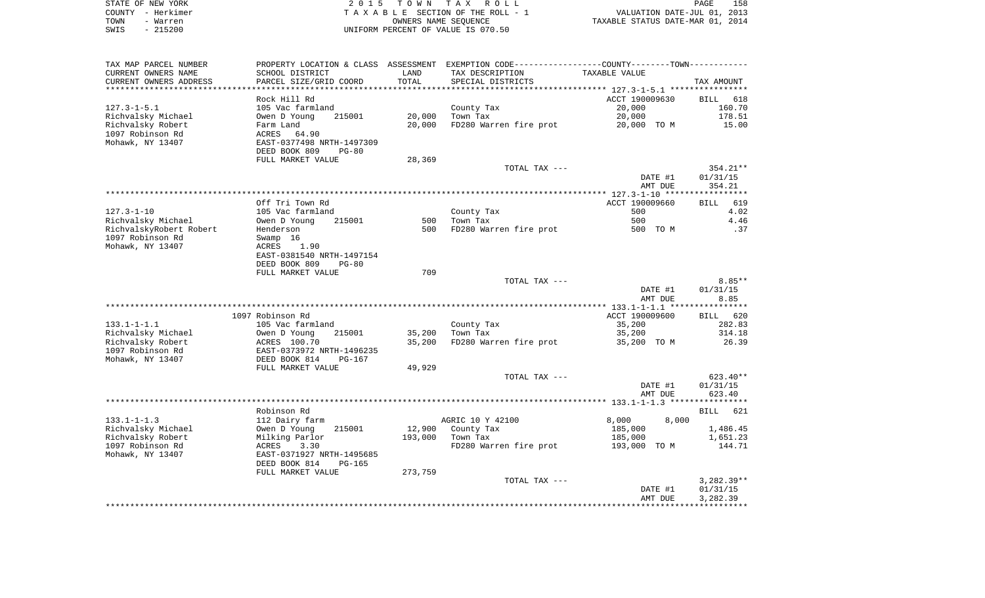| STATE OF NEW YORK |                   | 2015 TOWN TAX ROLL                 | PAGE                             | 158 |
|-------------------|-------------------|------------------------------------|----------------------------------|-----|
|                   | COUNTY - Herkimer | TAXABLE SECTION OF THE ROLL - 1    | VALUATION DATE-JUL 01, 2013      |     |
| TOWN              | - Warren          | OWNERS NAME SEOUENCE               | TAXABLE STATUS DATE-MAR 01, 2014 |     |
| SWIS              | - 215200          | UNIFORM PERCENT OF VALUE IS 070.50 |                                  |     |

| TAX MAP PARCEL NUMBER   | PROPERTY LOCATION & CLASS ASSESSMENT EXEMPTION CODE----------------COUNTY--------TOWN----------- |         |                        |                |                  |
|-------------------------|--------------------------------------------------------------------------------------------------|---------|------------------------|----------------|------------------|
| CURRENT OWNERS NAME     | SCHOOL DISTRICT                                                                                  | LAND    | TAX DESCRIPTION        | TAXABLE VALUE  |                  |
| CURRENT OWNERS ADDRESS  | PARCEL SIZE/GRID COORD                                                                           | TOTAL   | SPECIAL DISTRICTS      |                | TAX AMOUNT       |
| **********************  | ***********************                                                                          |         |                        |                |                  |
|                         | Rock Hill Rd                                                                                     |         |                        | ACCT 190009630 | BILL 618         |
| $127.3 - 1 - 5.1$       | 105 Vac farmland                                                                                 |         | County Tax             | 20,000         | 160.70           |
| Richvalsky Michael      | 215001<br>Owen D Young                                                                           | 20,000  | Town Tax               | 20,000         | 178.51           |
| Richvalsky Robert       | Farm Land                                                                                        | 20,000  | FD280 Warren fire prot | 20,000 TO M    | 15.00            |
| 1097 Robinson Rd        | ACRES<br>64.90                                                                                   |         |                        |                |                  |
| Mohawk, NY 13407        | EAST-0377498 NRTH-1497309                                                                        |         |                        |                |                  |
|                         | DEED BOOK 809<br>$PG-80$                                                                         |         |                        |                |                  |
|                         | FULL MARKET VALUE                                                                                | 28,369  |                        |                |                  |
|                         |                                                                                                  |         | TOTAL TAX ---          |                | 354.21**         |
|                         |                                                                                                  |         |                        | DATE #1        | 01/31/15         |
|                         |                                                                                                  |         |                        | AMT DUE        | 354.21           |
|                         |                                                                                                  |         |                        |                |                  |
|                         | Off Tri Town Rd                                                                                  |         |                        | ACCT 190009660 | BILL<br>619      |
| $127.3 - 1 - 10$        | 105 Vac farmland                                                                                 |         | County Tax             | 500            | 4.02             |
| Richvalsky Michael      | Owen D Young<br>215001                                                                           | 500     | Town Tax               | 500            | 4.46             |
| RichvalskyRobert Robert | Henderson                                                                                        | 500     | FD280 Warren fire prot | 500 TO M       | .37              |
| 1097 Robinson Rd        | Swamp 16                                                                                         |         |                        |                |                  |
| Mohawk, NY 13407        | ACRES<br>1.90                                                                                    |         |                        |                |                  |
|                         | EAST-0381540 NRTH-1497154                                                                        |         |                        |                |                  |
|                         | DEED BOOK 809<br>$PG-80$                                                                         |         |                        |                |                  |
|                         | FULL MARKET VALUE                                                                                | 709     |                        |                |                  |
|                         |                                                                                                  |         | TOTAL TAX ---          |                | $8.85**$         |
|                         |                                                                                                  |         |                        | DATE #1        | 01/31/15<br>8.85 |
|                         |                                                                                                  |         |                        | AMT DUE        |                  |
|                         | 1097 Robinson Rd                                                                                 |         |                        | ACCT 190009600 | BILL 620         |
| $133.1 - 1 - 1.1$       | 105 Vac farmland                                                                                 |         | County Tax             | 35,200         | 282.83           |
| Richvalsky Michael      | 215001<br>Owen D Young                                                                           | 35,200  | Town Tax               | 35,200         | 314.18           |
| Richvalsky Robert       | ACRES 100.70                                                                                     | 35,200  | FD280 Warren fire prot | 35,200 TO M    | 26.39            |
| 1097 Robinson Rd        | EAST-0373972 NRTH-1496235                                                                        |         |                        |                |                  |
| Mohawk, NY 13407        | DEED BOOK 814<br><b>PG-167</b>                                                                   |         |                        |                |                  |
|                         | FULL MARKET VALUE                                                                                | 49,929  |                        |                |                  |
|                         |                                                                                                  |         | TOTAL TAX ---          |                | 623.40**         |
|                         |                                                                                                  |         |                        | DATE #1        | 01/31/15         |
|                         |                                                                                                  |         |                        | AMT DUE        | 623.40           |
|                         |                                                                                                  |         |                        |                |                  |
|                         | Robinson Rd                                                                                      |         |                        |                | BILL 621         |
| $133.1 - 1 - 1.3$       | 112 Dairy farm                                                                                   |         | AGRIC 10 Y 42100       | 8,000<br>8,000 |                  |
| Richvalsky Michael      | Owen D Young<br>215001                                                                           | 12,900  | County Tax             | 185,000        | 1,486.45         |
| Richvalsky Robert       | Milking Parlor                                                                                   | 193,000 | Town Tax               | 185,000        | 1,651.23         |
| 1097 Robinson Rd        | 3.30<br>ACRES                                                                                    |         | FD280 Warren fire prot | 193,000 TO M   | 144.71           |
| Mohawk, NY 13407        | EAST-0371927 NRTH-1495685                                                                        |         |                        |                |                  |
|                         | DEED BOOK 814<br><b>PG-165</b>                                                                   |         |                        |                |                  |
|                         | FULL MARKET VALUE                                                                                | 273,759 |                        |                |                  |
|                         |                                                                                                  |         | TOTAL TAX ---          |                | $3,282.39**$     |
|                         |                                                                                                  |         |                        | DATE #1        | 01/31/15         |
|                         |                                                                                                  |         |                        | AMT DUE        | 3,282.39         |
|                         |                                                                                                  |         |                        |                |                  |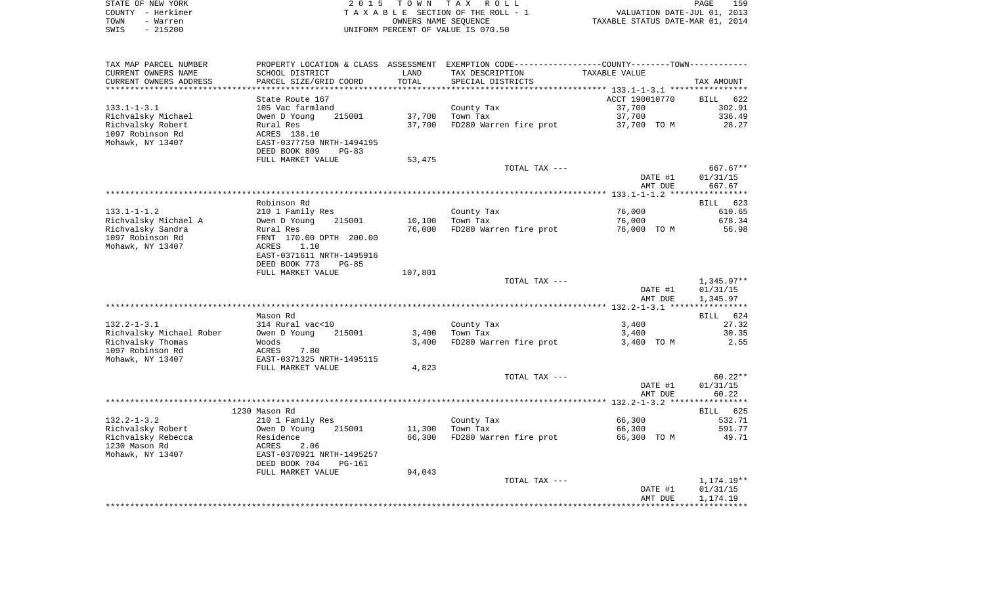| STATE OF NEW YORK | 2015 TOWN TAX ROLL                 | 159<br>PAGE                      |
|-------------------|------------------------------------|----------------------------------|
| COUNTY - Herkimer | TAXABLE SECTION OF THE ROLL - 1    | VALUATION DATE-JUL 01, 2013      |
| TOWN<br>- Warren  | OWNERS NAME SEOUENCE               | TAXABLE STATUS DATE-MAR 01, 2014 |
| - 215200<br>SWIS  | UNIFORM PERCENT OF VALUE IS 070.50 |                                  |

| TAX MAP PARCEL NUMBER                         | PROPERTY LOCATION & CLASS ASSESSMENT EXEMPTION CODE---------------COUNTY-------TOWN---------- |         |                        |                    |                      |
|-----------------------------------------------|-----------------------------------------------------------------------------------------------|---------|------------------------|--------------------|----------------------|
| CURRENT OWNERS NAME                           | SCHOOL DISTRICT                                                                               | LAND    | TAX DESCRIPTION        | TAXABLE VALUE      |                      |
| CURRENT OWNERS ADDRESS                        | PARCEL SIZE/GRID COORD                                                                        | TOTAL   | SPECIAL DISTRICTS      |                    | TAX AMOUNT           |
| *********************                         | ***************************                                                                   |         |                        |                    |                      |
|                                               | State Route 167                                                                               |         |                        | ACCT 190010770     | BILL 622             |
| $133.1 - 1 - 3.1$                             | 105 Vac farmland                                                                              |         | County Tax             | 37,700             | 302.91               |
| Richvalsky Michael                            | Owen D Young<br>215001                                                                        | 37,700  | Town Tax               | 37,700             | 336.49               |
| Richvalsky Robert                             | Rural Res                                                                                     | 37,700  | FD280 Warren fire prot | 37,700 TO M        | 28.27                |
| 1097 Robinson Rd                              | ACRES 138.10                                                                                  |         |                        |                    |                      |
| Mohawk, NY 13407                              | EAST-0377750 NRTH-1494195                                                                     |         |                        |                    |                      |
|                                               | DEED BOOK 809<br>$PG-83$                                                                      |         |                        |                    |                      |
|                                               | FULL MARKET VALUE                                                                             | 53,475  | TOTAL TAX ---          |                    | 667.67**             |
|                                               |                                                                                               |         |                        | DATE #1            | 01/31/15             |
|                                               |                                                                                               |         |                        | AMT DUE            | 667.67               |
|                                               |                                                                                               |         |                        |                    |                      |
|                                               | Robinson Rd                                                                                   |         |                        |                    | BILL 623             |
| $133.1 - 1 - 1.2$                             | 210 1 Family Res                                                                              |         | County Tax             | 76,000             | 610.65               |
| Richvalsky Michael A                          | Owen D Young<br>215001                                                                        | 10,100  | Town Tax               | 76,000             | 678.34               |
| Richvalsky Sandra                             | Rural Res                                                                                     | 76,000  | FD280 Warren fire prot | 76,000 TO M        | 56.98                |
| 1097 Robinson Rd                              | FRNT 170.00 DPTH 200.00                                                                       |         |                        |                    |                      |
| Mohawk, NY 13407                              | ACRES<br>1.10                                                                                 |         |                        |                    |                      |
|                                               | EAST-0371611 NRTH-1495916                                                                     |         |                        |                    |                      |
|                                               | DEED BOOK 773<br>$PG-85$                                                                      |         |                        |                    |                      |
|                                               | FULL MARKET VALUE                                                                             | 107,801 |                        |                    |                      |
|                                               |                                                                                               |         | TOTAL TAX ---          |                    | 1,345.97**           |
|                                               |                                                                                               |         |                        | DATE #1            | 01/31/15             |
|                                               |                                                                                               |         |                        | AMT DUE            | 1,345.97             |
|                                               |                                                                                               |         |                        |                    |                      |
|                                               | Mason Rd                                                                                      |         |                        |                    | BILL 624             |
| $132.2 - 1 - 3.1$<br>Richvalsky Michael Rober | 314 Rural vac<10<br>215001<br>Owen D Young                                                    | 3,400   | County Tax<br>Town Tax | 3,400<br>3,400     | 27.32<br>30.35       |
| Richvalsky Thomas                             | Woods                                                                                         | 3,400   | FD280 Warren fire prot | 3,400 TO M         | 2.55                 |
| 1097 Robinson Rd                              | 7.80<br>ACRES                                                                                 |         |                        |                    |                      |
| Mohawk, NY 13407                              | EAST-0371325 NRTH-1495115                                                                     |         |                        |                    |                      |
|                                               | FULL MARKET VALUE                                                                             | 4,823   |                        |                    |                      |
|                                               |                                                                                               |         | TOTAL TAX ---          |                    | $60.22**$            |
|                                               |                                                                                               |         |                        | DATE #1            | 01/31/15             |
|                                               |                                                                                               |         |                        | AMT DUE            | 60.22                |
|                                               |                                                                                               |         |                        |                    |                      |
|                                               | 1230 Mason Rd                                                                                 |         |                        |                    | BILL 625             |
| $132.2 - 1 - 3.2$                             | 210 1 Family Res                                                                              |         | County Tax             | 66,300             | 532.71               |
| Richvalsky Robert                             | 215001<br>Owen D Young                                                                        | 11,300  | Town Tax               | 66,300             | 591.77               |
| Richvalsky Rebecca                            | Residence                                                                                     | 66,300  | FD280 Warren fire prot | 66,300 TO M        | 49.71                |
| 1230 Mason Rd                                 | 2.06<br>ACRES                                                                                 |         |                        |                    |                      |
| Mohawk, NY 13407                              | EAST-0370921 NRTH-1495257                                                                     |         |                        |                    |                      |
|                                               | DEED BOOK 704<br><b>PG-161</b>                                                                |         |                        |                    |                      |
|                                               | FULL MARKET VALUE                                                                             | 94,043  |                        |                    |                      |
|                                               |                                                                                               |         | TOTAL TAX ---          |                    | 1,174.19**           |
|                                               |                                                                                               |         |                        | DATE #1<br>AMT DUE | 01/31/15<br>1,174.19 |
|                                               |                                                                                               |         |                        |                    |                      |
|                                               |                                                                                               |         |                        |                    |                      |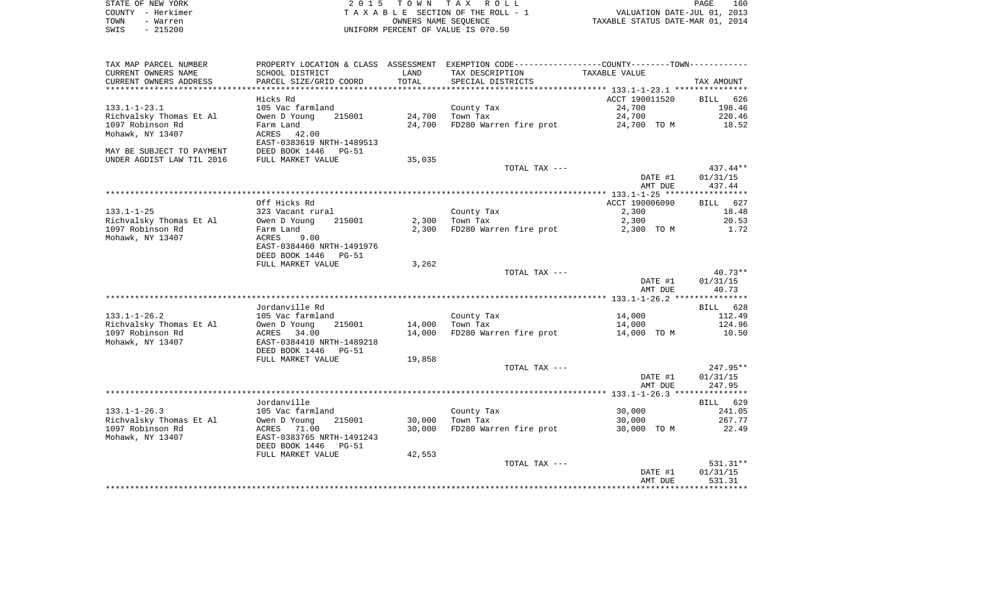| STATE OF NEW YORK | 2015 TOWN TAX ROLL                 | 160<br>PAGE                      |
|-------------------|------------------------------------|----------------------------------|
| COUNTY - Herkimer | TAXABLE SECTION OF THE ROLL - 1    | VALUATION DATE-JUL 01, 2013      |
| TOWN<br>- Warren  | OWNERS NAME SEOUENCE               | TAXABLE STATUS DATE-MAR 01, 2014 |
| - 215200<br>SWIS  | UNIFORM PERCENT OF VALUE IS 070.50 |                                  |

| TAX MAP PARCEL NUMBER     | PROPERTY LOCATION & CLASS ASSESSMENT EXEMPTION CODE---------------COUNTY-------TOWN--------- |        |                        |                |             |
|---------------------------|----------------------------------------------------------------------------------------------|--------|------------------------|----------------|-------------|
| CURRENT OWNERS NAME       | SCHOOL DISTRICT                                                                              | LAND   | TAX DESCRIPTION        | TAXABLE VALUE  |             |
| CURRENT OWNERS ADDRESS    | PARCEL SIZE/GRID COORD                                                                       | TOTAL  | SPECIAL DISTRICTS      |                | TAX AMOUNT  |
| *********************     | **************************                                                                   |        |                        |                |             |
|                           | Hicks Rd                                                                                     |        |                        | ACCT 190011520 | BILL 626    |
| $133.1 - 1 - 23.1$        | 105 Vac farmland                                                                             |        | County Tax             | 24,700         | 198.46      |
| Richvalsky Thomas Et Al   | Owen D Young<br>215001                                                                       | 24,700 | Town Tax               | 24,700         | 220.46      |
| 1097 Robinson Rd          | Farm Land                                                                                    | 24,700 | FD280 Warren fire prot | 24,700 TO M    | 18.52       |
| Mohawk, NY 13407          | ACRES<br>42.00                                                                               |        |                        |                |             |
|                           | EAST-0383619 NRTH-1489513                                                                    |        |                        |                |             |
| MAY BE SUBJECT TO PAYMENT | DEED BOOK 1446 PG-51                                                                         |        |                        |                |             |
| UNDER AGDIST LAW TIL 2016 | FULL MARKET VALUE                                                                            | 35,035 |                        |                |             |
|                           |                                                                                              |        | TOTAL TAX ---          |                | $437.44**$  |
|                           |                                                                                              |        |                        | DATE #1        | 01/31/15    |
|                           |                                                                                              |        |                        | AMT DUE        | 437.44      |
|                           |                                                                                              |        |                        |                |             |
|                           | Off Hicks Rd                                                                                 |        |                        | ACCT 190006090 | BILL<br>627 |
| $133.1 - 1 - 25$          | 323 Vacant rural                                                                             |        | County Tax             | 2,300          | 18.48       |
| Richvalsky Thomas Et Al   | Owen D Young<br>215001                                                                       | 2,300  | Town Tax               | 2,300          | 20.53       |
| 1097 Robinson Rd          | Farm Land                                                                                    | 2,300  | FD280 Warren fire prot | 2,300 TO M     | 1.72        |
| Mohawk, NY 13407          | 9.00<br>ACRES                                                                                |        |                        |                |             |
|                           | EAST-0384460 NRTH-1491976                                                                    |        |                        |                |             |
|                           | DEED BOOK 1446 PG-51                                                                         |        |                        |                |             |
|                           | FULL MARKET VALUE                                                                            | 3,262  |                        |                |             |
|                           |                                                                                              |        | TOTAL TAX ---          |                | 40.73**     |
|                           |                                                                                              |        |                        | DATE #1        | 01/31/15    |
|                           |                                                                                              |        |                        | AMT DUE        | 40.73       |
|                           |                                                                                              |        |                        |                |             |
|                           | Jordanville Rd                                                                               |        |                        |                | BILL 628    |
| $133.1 - 1 - 26.2$        | 105 Vac farmland                                                                             |        | County Tax             | 14,000         | 112.49      |
| Richvalsky Thomas Et Al   | Owen D Young<br>215001                                                                       | 14,000 | Town Tax               | 14,000         | 124.96      |
| 1097 Robinson Rd          | ACRES 34.00                                                                                  | 14,000 | FD280 Warren fire prot | 14,000 TO M    | 10.50       |
| Mohawk, NY 13407          | EAST-0384410 NRTH-1489218                                                                    |        |                        |                |             |
|                           | DEED BOOK 1446<br>PG-51                                                                      |        |                        |                |             |
|                           | FULL MARKET VALUE                                                                            | 19,858 |                        |                |             |
|                           |                                                                                              |        | TOTAL TAX ---          |                | $247.95**$  |
|                           |                                                                                              |        |                        | DATE #1        | 01/31/15    |
|                           |                                                                                              |        |                        | AMT DUE        | 247.95      |
|                           |                                                                                              |        |                        |                |             |
|                           | Jordanville                                                                                  |        |                        |                | BILL 629    |
| $133.1 - 1 - 26.3$        | 105 Vac farmland                                                                             |        | County Tax             | 30,000         | 241.05      |
| Richvalsky Thomas Et Al   | 215001<br>Owen D Young                                                                       | 30,000 | Town Tax               | 30,000         | 267.77      |
| 1097 Robinson Rd          | ACRES 71.00                                                                                  | 30,000 | FD280 Warren fire prot | 30,000 TO M    | 22.49       |
| Mohawk, NY 13407          | EAST-0383765 NRTH-1491243                                                                    |        |                        |                |             |
|                           | DEED BOOK 1446<br>$PG-51$                                                                    |        |                        |                |             |
|                           | FULL MARKET VALUE                                                                            | 42,553 |                        |                |             |
|                           |                                                                                              |        | TOTAL TAX ---          |                | $531.31**$  |
|                           |                                                                                              |        |                        | DATE #1        | 01/31/15    |
|                           |                                                                                              |        |                        | AMT DUE        | 531.31      |
|                           |                                                                                              |        |                        |                |             |
|                           |                                                                                              |        |                        |                |             |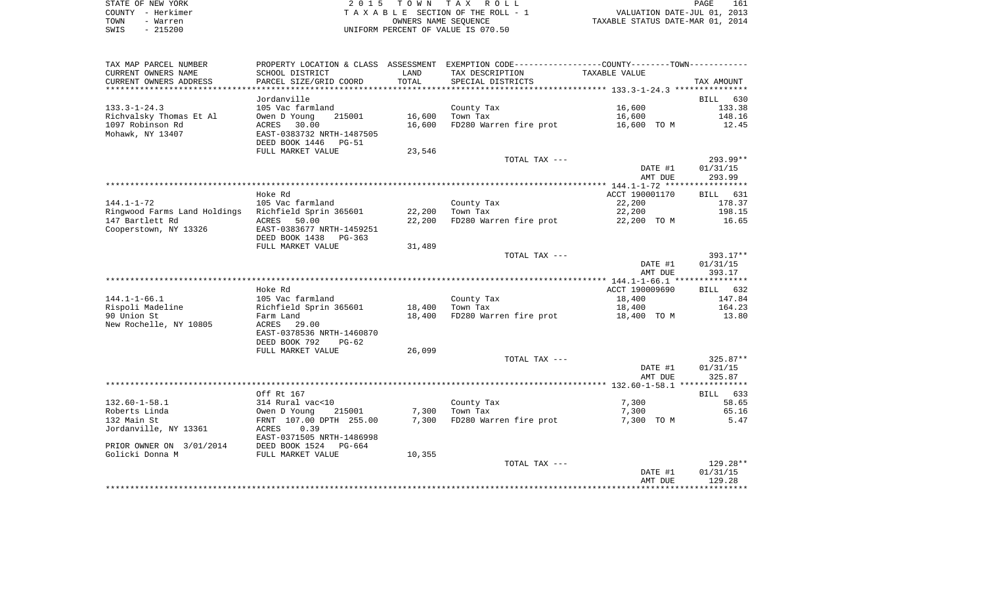| STATE OF NEW YORK | 2015 TOWN TAX ROLL                 | 161<br>PAGE                      |
|-------------------|------------------------------------|----------------------------------|
| COUNTY - Herkimer | TAXABLE SECTION OF THE ROLL - 1    | VALUATION DATE-JUL 01, 2013      |
| TOWN<br>- Warren  | OWNERS NAME SEOUENCE               | TAXABLE STATUS DATE-MAR 01, 2014 |
| $-215200$<br>SWIS | UNIFORM PERCENT OF VALUE IS 070.50 |                                  |

| PROPERTY LOCATION & CLASS ASSESSMENT EXEMPTION CODE----------------COUNTY--------TOWN-----------<br>CURRENT OWNERS NAME<br>SCHOOL DISTRICT<br>TAX DESCRIPTION<br>TAXABLE VALUE<br>LAND<br>CURRENT OWNERS ADDRESS<br>PARCEL SIZE/GRID COORD<br>TOTAL<br>SPECIAL DISTRICTS |                    |
|--------------------------------------------------------------------------------------------------------------------------------------------------------------------------------------------------------------------------------------------------------------------------|--------------------|
|                                                                                                                                                                                                                                                                          |                    |
|                                                                                                                                                                                                                                                                          | TAX AMOUNT         |
| **************                                                                                                                                                                                                                                                           |                    |
| Jordanville                                                                                                                                                                                                                                                              | BILL 630           |
| 16,600<br>$133.3 - 1 - 24.3$<br>105 Vac farmland<br>County Tax                                                                                                                                                                                                           | 133.38             |
| Richvalsky Thomas Et Al<br>16,600<br>Town Tax<br>16,600<br>Owen D Young<br>215001                                                                                                                                                                                        | 148.16             |
| 1097 Robinson Rd<br>16,600<br>FD280 Warren fire prot<br>16,600 TO M<br>ACRES 30.00                                                                                                                                                                                       | 12.45              |
| Mohawk, NY 13407<br>EAST-0383732 NRTH-1487505                                                                                                                                                                                                                            |                    |
| DEED BOOK 1446<br>PG-51<br>23,546                                                                                                                                                                                                                                        |                    |
| FULL MARKET VALUE<br>TOTAL TAX ---                                                                                                                                                                                                                                       | 293.99**           |
| DATE #1                                                                                                                                                                                                                                                                  | 01/31/15           |
| AMT DUE                                                                                                                                                                                                                                                                  | 293.99             |
|                                                                                                                                                                                                                                                                          |                    |
| Hoke Rd<br>ACCT 190001170                                                                                                                                                                                                                                                | BILL 631           |
| $144.1 - 1 - 72$<br>22,200<br>105 Vac farmland<br>County Tax                                                                                                                                                                                                             | 178.37             |
| 22,200<br>Ringwood Farms Land Holdings Richfield Sprin 365601<br>Town Tax<br>22,200                                                                                                                                                                                      | 198.15             |
| 147 Bartlett Rd<br>22,200<br>FD280 Warren fire prot<br>ACRES<br>50.00<br>22,200 TO M                                                                                                                                                                                     | 16.65              |
| Cooperstown, NY 13326<br>EAST-0383677 NRTH-1459251                                                                                                                                                                                                                       |                    |
| DEED BOOK 1438<br>PG-363                                                                                                                                                                                                                                                 |                    |
| FULL MARKET VALUE<br>31,489                                                                                                                                                                                                                                              |                    |
| TOTAL TAX ---                                                                                                                                                                                                                                                            | 393.17**           |
| DATE #1                                                                                                                                                                                                                                                                  | 01/31/15           |
| AMT DUE                                                                                                                                                                                                                                                                  | 393.17             |
| ACCT 190009690<br>Hoke Rd                                                                                                                                                                                                                                                |                    |
| $144.1 - 1 - 66.1$<br>105 Vac farmland<br>County Tax<br>18,400                                                                                                                                                                                                           | BILL 632<br>147.84 |
| Richfield Sprin 365601<br>Rispoli Madeline<br>18,400<br>Town Tax<br>18,400                                                                                                                                                                                               | 164.23             |
| 90 Union St<br>FD280 Warren fire prot<br>18,400<br>18,400 TO M<br>Farm Land                                                                                                                                                                                              | 13.80              |
| New Rochelle, NY 10805<br>ACRES<br>29.00                                                                                                                                                                                                                                 |                    |
| EAST-0378536 NRTH-1460870                                                                                                                                                                                                                                                |                    |
| DEED BOOK 792<br>$PG-62$                                                                                                                                                                                                                                                 |                    |
| 26,099<br>FULL MARKET VALUE                                                                                                                                                                                                                                              |                    |
| TOTAL TAX ---                                                                                                                                                                                                                                                            | $325.87**$         |
| DATE #1                                                                                                                                                                                                                                                                  | 01/31/15           |
| AMT DUE                                                                                                                                                                                                                                                                  | 325.87             |
|                                                                                                                                                                                                                                                                          |                    |
| Off Rt 167                                                                                                                                                                                                                                                               | BILL 633           |
| $132.60 - 1 - 58.1$<br>314 Rural vac<10<br>7,300<br>County Tax                                                                                                                                                                                                           | 58.65              |
| 7,300<br>Roberts Linda<br>Town Tax<br>7,300<br>Owen D Young<br>215001                                                                                                                                                                                                    | 65.16              |
| 7,300 FD280 Warren fire prot<br>132 Main St<br>FRNT 107.00 DPTH 255.00<br>7,300 TO M                                                                                                                                                                                     | 5.47               |
| Jordanville, NY 13361<br>0.39<br>ACRES<br>EAST-0371505 NRTH-1486998                                                                                                                                                                                                      |                    |
| PRIOR OWNER ON 3/01/2014 DEED BOOK 1524<br>PG-664                                                                                                                                                                                                                        |                    |
| Golicki Donna M<br>FULL MARKET VALUE<br>10,355                                                                                                                                                                                                                           |                    |
| TOTAL TAX ---                                                                                                                                                                                                                                                            | 129.28**           |
| DATE #1                                                                                                                                                                                                                                                                  | 01/31/15           |
| AMT DUE                                                                                                                                                                                                                                                                  | 129.28             |
|                                                                                                                                                                                                                                                                          |                    |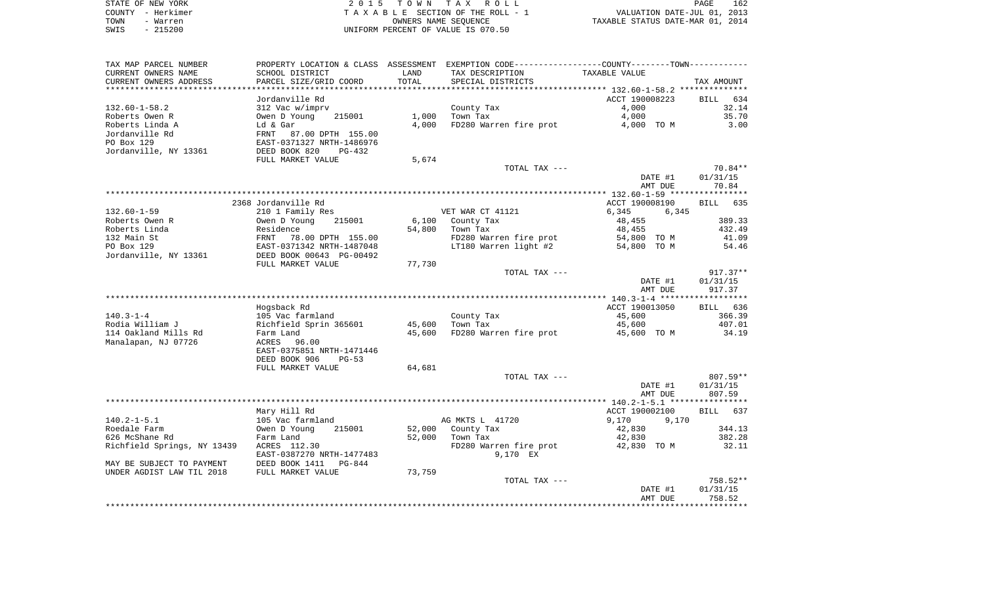| STATE OF NEW YORK | 2015 TOWN TAX ROLL                 | 162<br><b>PAGE</b>               |
|-------------------|------------------------------------|----------------------------------|
| COUNTY - Herkimer | TAXABLE SECTION OF THE ROLL - 1    | VALUATION DATE-JUL 01, 2013      |
| TOWN<br>- Warren  | OWNERS NAME SEOUENCE               | TAXABLE STATUS DATE-MAR 01, 2014 |
| $-215200$<br>SWIS | UNIFORM PERCENT OF VALUE IS 070.50 |                                  |

| TAX MAP PARCEL NUMBER                       |                                  |                  | PROPERTY LOCATION & CLASS ASSESSMENT EXEMPTION CODE---------------COUNTY-------TOWN---------- |                       |                    |
|---------------------------------------------|----------------------------------|------------------|-----------------------------------------------------------------------------------------------|-----------------------|--------------------|
| CURRENT OWNERS NAME                         | SCHOOL DISTRICT                  | LAND             | TAX DESCRIPTION                                                                               | TAXABLE VALUE         |                    |
| CURRENT OWNERS ADDRESS                      | PARCEL SIZE/GRID COORD           | TOTAL            | SPECIAL DISTRICTS                                                                             |                       | TAX AMOUNT         |
|                                             |                                  |                  |                                                                                               |                       |                    |
|                                             | Jordanville Rd                   |                  |                                                                                               | ACCT 190008223        | <b>BILL</b><br>634 |
| $132.60 - 1 - 58.2$                         | 312 Vac w/imprv                  |                  | County Tax                                                                                    | 4,000                 | 32.14              |
| Roberts Owen R                              | Owen D Young<br>215001           | 1,000            | Town Tax                                                                                      | 4,000                 | 35.70              |
| Roberts Linda A                             | Ld & Gar                         | 4,000            | FD280 Warren fire prot                                                                        | 4,000 TO M            | 3.00               |
| Jordanville Rd                              | <b>FRNT</b><br>87.00 DPTH 155.00 |                  |                                                                                               |                       |                    |
| PO Box 129                                  | EAST-0371327 NRTH-1486976        |                  |                                                                                               |                       |                    |
| Jordanville, NY 13361                       | DEED BOOK 820<br><b>PG-432</b>   |                  |                                                                                               |                       |                    |
|                                             | FULL MARKET VALUE                | 5,674            | TOTAL TAX ---                                                                                 |                       | $70.84**$          |
|                                             |                                  |                  |                                                                                               | DATE #1               | 01/31/15           |
|                                             |                                  |                  |                                                                                               | AMT DUE               | 70.84              |
|                                             |                                  |                  |                                                                                               |                       |                    |
|                                             | 2368 Jordanville Rd              |                  |                                                                                               | ACCT 190008190        | BILL 635           |
| $132.60 - 1 - 59$                           | 210 1 Family Res                 |                  | VET WAR CT 41121                                                                              | 6,345<br>6,345        |                    |
| Roberts Owen R                              | Owen D Young<br>215001           | 6,100            | County Tax                                                                                    | 48,455                | 389.33             |
| Roberts Linda                               | Residence                        | 54,800           | Town Tax                                                                                      | 48,455                | 432.49             |
| 132 Main St                                 | FRNT<br>78.00 DPTH 155.00        |                  | FD280 Warren fire prot                                                                        | 54,800 TO M           | 41.09              |
| PO Box 129                                  | EAST-0371342 NRTH-1487048        |                  | LT180 Warren light #2                                                                         | 54,800 TO M           | 54.46              |
| Jordanville, NY 13361                       | DEED BOOK 00643 PG-00492         |                  |                                                                                               |                       |                    |
|                                             | FULL MARKET VALUE                | 77,730           |                                                                                               |                       |                    |
|                                             |                                  |                  | TOTAL TAX ---                                                                                 |                       | $917.37**$         |
|                                             |                                  |                  |                                                                                               | DATE #1               | 01/31/15           |
|                                             |                                  |                  |                                                                                               | AMT DUE               | 917.37             |
|                                             |                                  |                  |                                                                                               |                       |                    |
|                                             | Hogsback Rd                      |                  |                                                                                               | ACCT 190013050        | BILL 636           |
| $140.3 - 1 - 4$                             | 105 Vac farmland                 |                  | County Tax                                                                                    | 45,600                | 366.39             |
| Rodia William J                             | Richfield Sprin 365601           | 45,600<br>45,600 | Town Tax<br>FD280 Warren fire prot                                                            | 45,600<br>45,600 TO M | 407.01<br>34.19    |
| 114 Oakland Mills Rd<br>Manalapan, NJ 07726 | Farm Land<br>96.00<br>ACRES      |                  |                                                                                               |                       |                    |
|                                             | EAST-0375851 NRTH-1471446        |                  |                                                                                               |                       |                    |
|                                             | DEED BOOK 906<br>$PG-53$         |                  |                                                                                               |                       |                    |
|                                             | FULL MARKET VALUE                | 64,681           |                                                                                               |                       |                    |
|                                             |                                  |                  | TOTAL TAX ---                                                                                 |                       | 807.59**           |
|                                             |                                  |                  |                                                                                               | DATE #1               | 01/31/15           |
|                                             |                                  |                  |                                                                                               | AMT DUE               | 807.59             |
|                                             |                                  |                  |                                                                                               |                       |                    |
|                                             | Mary Hill Rd                     |                  |                                                                                               | ACCT 190002100        | BILL 637           |
| $140.2 - 1 - 5.1$                           | 105 Vac farmland                 |                  | AG MKTS L 41720                                                                               | 9,170<br>9,170        |                    |
| Roedale Farm                                | 215001<br>Owen D Young           | 52,000           | County Tax                                                                                    | 42,830                | 344.13             |
| 626 McShane Rd                              | Farm Land                        | 52,000           | Town Tax                                                                                      | 42,830                | 382.28             |
| Richfield Springs, NY 13439                 | ACRES 112.30                     |                  | FD280 Warren fire prot                                                                        | 42,830 TO M           | 32.11              |
|                                             | EAST-0387270 NRTH-1477483        |                  | 9,170 EX                                                                                      |                       |                    |
| MAY BE SUBJECT TO PAYMENT                   | DEED BOOK 1411<br>PG-844         |                  |                                                                                               |                       |                    |
| UNDER AGDIST LAW TIL 2018                   | FULL MARKET VALUE                | 73,759           |                                                                                               |                       |                    |
|                                             |                                  |                  | TOTAL TAX ---                                                                                 |                       | 758.52**           |
|                                             |                                  |                  |                                                                                               | DATE #1               | 01/31/15           |
|                                             |                                  |                  |                                                                                               | AMT DUE               | 758.52             |
|                                             |                                  |                  |                                                                                               |                       |                    |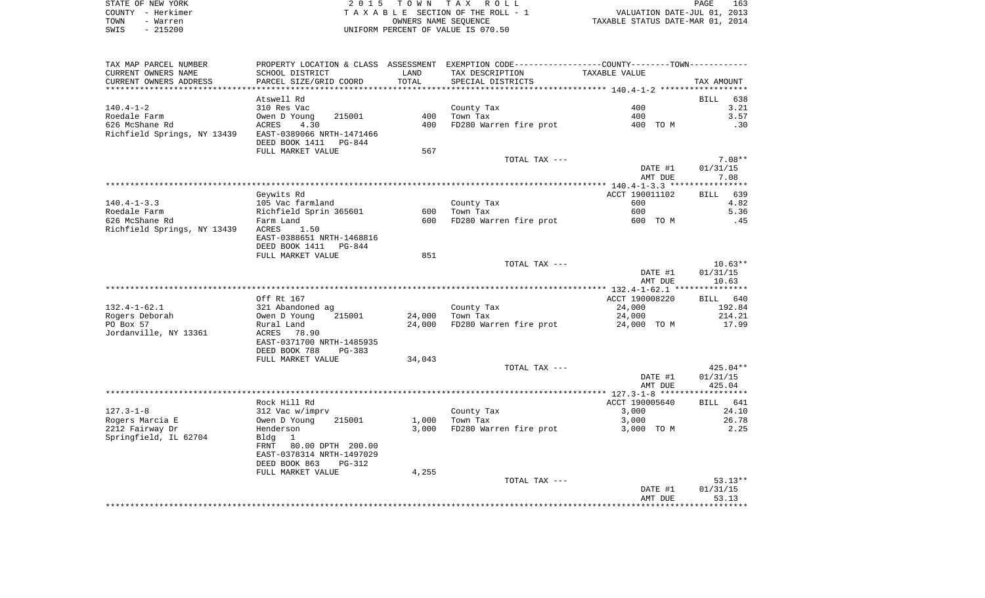| STATE OF NEW YORK | 2015 TOWN TAX ROLL                 | 163<br>PAGE                      |
|-------------------|------------------------------------|----------------------------------|
| COUNTY - Herkimer | TAXABLE SECTION OF THE ROLL - 1    | VALUATION DATE-JUL 01, 2013      |
| TOWN<br>- Warren  | OWNERS NAME SEOUENCE               | TAXABLE STATUS DATE-MAR 01, 2014 |
| $-215200$<br>SWIS | UNIFORM PERCENT OF VALUE IS 070.50 |                                  |

163<br>2013<br>2014

| TAX MAP PARCEL NUMBER                                 | PROPERTY LOCATION & CLASS ASSESSMENT EXEMPTION CODE----------------COUNTY--------TOWN----------- |        |                        |                |             |
|-------------------------------------------------------|--------------------------------------------------------------------------------------------------|--------|------------------------|----------------|-------------|
| CURRENT OWNERS NAME                                   | SCHOOL DISTRICT                                                                                  | LAND   | TAX DESCRIPTION        | TAXABLE VALUE  |             |
| CURRENT OWNERS ADDRESS                                | PARCEL SIZE/GRID COORD                                                                           | TOTAL  | SPECIAL DISTRICTS      |                | TAX AMOUNT  |
|                                                       |                                                                                                  |        |                        |                |             |
|                                                       | Atswell Rd                                                                                       |        |                        |                | BILL<br>638 |
| $140.4 - 1 - 2$                                       | 310 Res Vac                                                                                      |        | County Tax             | 400            | 3.21        |
| Roedale Farm                                          | Owen D Young<br>215001                                                                           | 400    | Town Tax               | 400            | 3.57        |
| 626 McShane Rd                                        |                                                                                                  | 400    |                        |                |             |
|                                                       | 4.30<br>ACRES                                                                                    |        | FD280 Warren fire prot | 400 TO M       | .30         |
| Richfield Springs, NY 13439 EAST-0389066 NRTH-1471466 | DEED BOOK 1411<br>PG-844                                                                         |        |                        |                |             |
|                                                       | FULL MARKET VALUE                                                                                | 567    |                        |                |             |
|                                                       |                                                                                                  |        | TOTAL TAX ---          |                | $7.08**$    |
|                                                       |                                                                                                  |        |                        | DATE #1        | 01/31/15    |
|                                                       |                                                                                                  |        |                        | AMT DUE        | 7.08        |
|                                                       |                                                                                                  |        |                        |                |             |
|                                                       | Geywits Rd                                                                                       |        |                        | ACCT 190011102 | BILL 639    |
| $140.4 - 1 - 3.3$                                     | 105 Vac farmland                                                                                 |        | County Tax             | 600            | 4.82        |
| Roedale Farm                                          | Richfield Sprin 365601                                                                           | 600    | Town Tax               | 600            | 5.36        |
|                                                       |                                                                                                  |        |                        |                |             |
| 626 McShane Rd                                        | Farm Land                                                                                        | 600    | FD280 Warren fire prot | 600 TO M       | .45         |
| Richfield Springs, NY 13439 ACRES                     | 1.50                                                                                             |        |                        |                |             |
|                                                       | EAST-0388651 NRTH-1468816                                                                        |        |                        |                |             |
|                                                       | DEED BOOK 1411 PG-844                                                                            |        |                        |                |             |
|                                                       | FULL MARKET VALUE                                                                                | 851    |                        |                |             |
|                                                       |                                                                                                  |        | TOTAL TAX ---          |                | $10.63**$   |
|                                                       |                                                                                                  |        |                        | DATE #1        | 01/31/15    |
|                                                       |                                                                                                  |        |                        | AMT DUE        | 10.63       |
|                                                       |                                                                                                  |        |                        |                |             |
|                                                       | Off Rt 167                                                                                       |        |                        | ACCT 190008220 | BILL 640    |
| $132.4 - 1 - 62.1$                                    | 321 Abandoned ag                                                                                 |        | County Tax             | 24,000         | 192.84      |
| Rogers Deborah                                        | 215001<br>Owen D Young                                                                           | 24,000 | Town Tax               | 24,000         | 214.21      |
| PO Box 57                                             | Rural Land                                                                                       | 24,000 | FD280 Warren fire prot | 24,000 TO M    | 17.99       |
|                                                       |                                                                                                  |        |                        |                |             |
| Jordanville, NY 13361                                 | ACRES 78.90                                                                                      |        |                        |                |             |
|                                                       | EAST-0371700 NRTH-1485935                                                                        |        |                        |                |             |
|                                                       | DEED BOOK 788<br>$PG-383$                                                                        |        |                        |                |             |
|                                                       | FULL MARKET VALUE                                                                                | 34,043 |                        |                |             |
|                                                       |                                                                                                  |        | TOTAL TAX ---          |                | 425.04**    |
|                                                       |                                                                                                  |        |                        | DATE #1        | 01/31/15    |
|                                                       |                                                                                                  |        |                        | AMT DUE        | 425.04      |
|                                                       |                                                                                                  |        |                        |                |             |
|                                                       | Rock Hill Rd                                                                                     |        |                        | ACCT 190005640 | BILL 641    |
| $127.3 - 1 - 8$                                       | 312 Vac w/imprv                                                                                  |        | County Tax             | 3,000          | 24.10       |
| Rogers Marcia E                                       | 215001<br>Owen D Young                                                                           | 1,000  | Town Tax               | 3,000          | 26.78       |
| 2212 Fairway Dr                                       | Henderson                                                                                        | 3,000  | FD280 Warren fire prot | 3,000 TO M     | 2.25        |
|                                                       |                                                                                                  |        |                        |                |             |
| Springfield, IL 62704                                 | Bldg<br>1                                                                                        |        |                        |                |             |
|                                                       | FRNT 80.00 DPTH 200.00                                                                           |        |                        |                |             |
|                                                       | EAST-0378314 NRTH-1497029                                                                        |        |                        |                |             |
|                                                       | DEED BOOK 863<br><b>PG-312</b>                                                                   |        |                        |                |             |
|                                                       | FULL MARKET VALUE                                                                                | 4,255  |                        |                |             |
|                                                       |                                                                                                  |        | TOTAL TAX ---          |                | $53.13**$   |
|                                                       |                                                                                                  |        |                        | DATE #1        | 01/31/15    |
|                                                       |                                                                                                  |        |                        | AMT DUE        | 53.13       |
|                                                       |                                                                                                  |        |                        |                |             |
|                                                       |                                                                                                  |        |                        |                |             |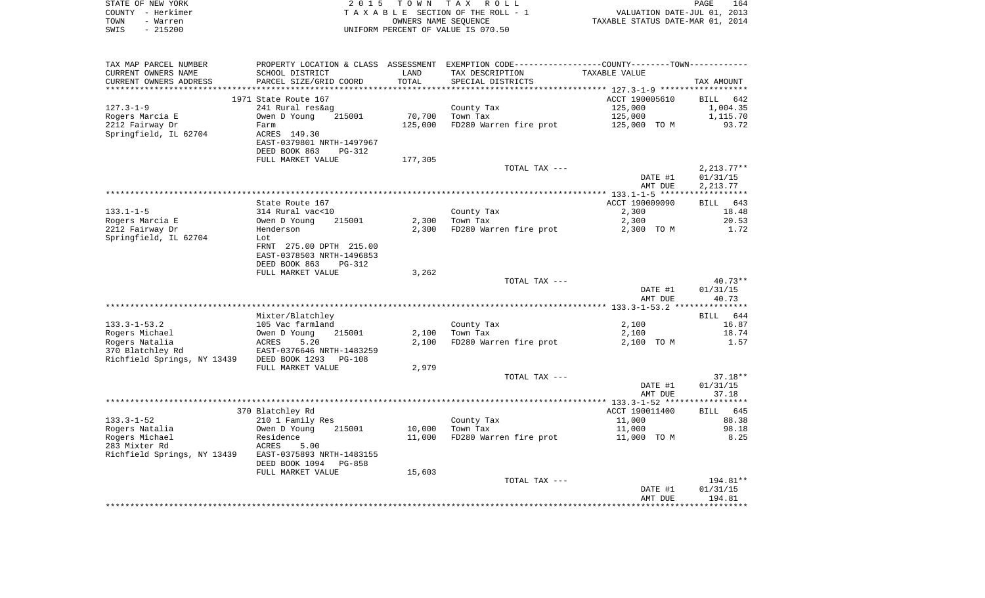|      | STATE OF NEW YORK | 2015 TOWN TAX ROLL                 | 164<br>PAGE                      |
|------|-------------------|------------------------------------|----------------------------------|
|      | COUNTY - Herkimer | TAXABLE SECTION OF THE ROLL - 1    | VALUATION DATE-JUL 01, 2013      |
| TOWN | - Warren          | OWNERS NAME SEOUENCE               | TAXABLE STATUS DATE-MAR 01, 2014 |
| SWIS | $-215200$         | UNIFORM PERCENT OF VALUE IS 070.50 |                                  |

| TAX MAP PARCEL NUMBER       |                            |         | PROPERTY LOCATION & CLASS ASSESSMENT EXEMPTION CODE-----------------COUNTY--------TOWN-------- |                |              |
|-----------------------------|----------------------------|---------|------------------------------------------------------------------------------------------------|----------------|--------------|
| CURRENT OWNERS NAME         | SCHOOL DISTRICT            | LAND    | TAX DESCRIPTION                                                                                | TAXABLE VALUE  |              |
| CURRENT OWNERS ADDRESS      | PARCEL SIZE/GRID COORD     | TOTAL   | SPECIAL DISTRICTS                                                                              |                | TAX AMOUNT   |
|                             |                            |         |                                                                                                |                |              |
|                             | 1971 State Route 167       |         |                                                                                                | ACCT 190005610 | BILL 642     |
| $127.3 - 1 - 9$             | 241 Rural res&ag           |         | County Tax                                                                                     | 125,000        | 1,004.35     |
| Rogers Marcia E             | 215001<br>Owen D Young     | 70,700  | Town Tax                                                                                       | 125,000        | 1,115.70     |
| 2212 Fairway Dr             | Farm                       | 125,000 | FD280 Warren fire prot                                                                         | 125,000 TO M   | 93.72        |
| Springfield, IL 62704       | ACRES 149.30               |         |                                                                                                |                |              |
|                             | EAST-0379801 NRTH-1497967  |         |                                                                                                |                |              |
|                             | DEED BOOK 863<br>$PG-312$  |         |                                                                                                |                |              |
|                             | FULL MARKET VALUE          | 177,305 |                                                                                                |                |              |
|                             |                            |         | TOTAL TAX ---                                                                                  |                | $2,213.77**$ |
|                             |                            |         |                                                                                                | DATE #1        | 01/31/15     |
|                             |                            |         |                                                                                                | AMT DUE        | 2, 213.77    |
|                             |                            |         |                                                                                                |                |              |
|                             | State Route 167            |         |                                                                                                | ACCT 190009090 | BILL<br>643  |
| $133.1 - 1 - 5$             | 314 Rural vac<10           |         | County Tax                                                                                     | 2,300          | 18.48        |
| Rogers Marcia E             | Owen D Young<br>215001     | 2,300   | Town Tax                                                                                       | 2,300          | 20.53        |
| 2212 Fairway Dr             | Henderson                  | 2,300   | FD280 Warren fire prot                                                                         | 2,300 TO M     | 1.72         |
| Springfield, IL 62704       | Lot                        |         |                                                                                                |                |              |
|                             |                            |         |                                                                                                |                |              |
|                             | FRNT 275.00 DPTH 215.00    |         |                                                                                                |                |              |
|                             | EAST-0378503 NRTH-1496853  |         |                                                                                                |                |              |
|                             | DEED BOOK 863<br>PG-312    |         |                                                                                                |                |              |
|                             | FULL MARKET VALUE          | 3,262   |                                                                                                |                |              |
|                             |                            |         | TOTAL TAX ---                                                                                  |                | $40.73**$    |
|                             |                            |         |                                                                                                | DATE #1        | 01/31/15     |
|                             |                            |         |                                                                                                | AMT DUE        | 40.73        |
|                             |                            |         |                                                                                                |                |              |
|                             | Mixter/Blatchley           |         |                                                                                                |                | BILL 644     |
| $133.3 - 1 - 53.2$          | 105 Vac farmland           |         | County Tax                                                                                     | 2,100          | 16.87        |
| Rogers Michael              | Owen D Young<br>215001     | 2,100   | Town Tax                                                                                       | 2,100          | 18.74        |
| Rogers Natalia              | <b>ACRES</b><br>5.20       | 2,100   | FD280 Warren fire prot                                                                         | 2,100 TO M     | 1.57         |
| 370 Blatchley Rd            | EAST-0376646 NRTH-1483259  |         |                                                                                                |                |              |
| Richfield Springs, NY 13439 | DEED BOOK 1293<br>$PG-108$ |         |                                                                                                |                |              |
|                             | FULL MARKET VALUE          | 2,979   |                                                                                                |                |              |
|                             |                            |         | TOTAL TAX ---                                                                                  |                | $37.18**$    |
|                             |                            |         |                                                                                                | DATE #1        | 01/31/15     |
|                             |                            |         |                                                                                                | AMT DUE        | 37.18        |
|                             |                            |         |                                                                                                |                |              |
|                             | 370 Blatchley Rd           |         |                                                                                                | ACCT 190011400 | BILL 645     |
| $133.3 - 1 - 52$            | 210 1 Family Res           |         | County Tax                                                                                     | 11,000         | 88.38        |
| Rogers Natalia              | Owen D Young<br>215001     | 10,000  | Town Tax                                                                                       | 11,000         | 98.18        |
| Rogers Michael              | Residence                  | 11,000  | FD280 Warren fire prot                                                                         | 11,000 TO M    | 8.25         |
| 283 Mixter Rd               | 5.00<br>ACRES              |         |                                                                                                |                |              |
| Richfield Springs, NY 13439 | EAST-0375893 NRTH-1483155  |         |                                                                                                |                |              |
|                             | DEED BOOK 1094<br>PG-858   |         |                                                                                                |                |              |
|                             | FULL MARKET VALUE          | 15,603  |                                                                                                |                |              |
|                             |                            |         | TOTAL TAX ---                                                                                  |                | 194.81**     |
|                             |                            |         |                                                                                                | DATE #1        | 01/31/15     |
|                             |                            |         |                                                                                                | AMT DUE        | 194.81       |
|                             |                            |         |                                                                                                |                |              |
|                             |                            |         |                                                                                                |                |              |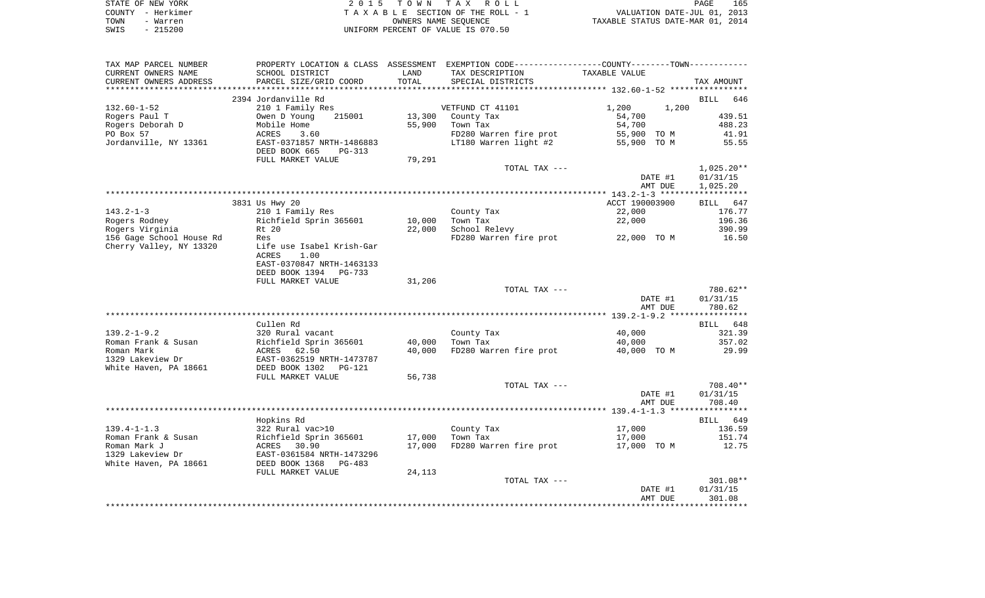| STATE OF NEW YORK |          | 2015 TOWN TAX ROLL                 | 165<br>PAGE                      |
|-------------------|----------|------------------------------------|----------------------------------|
| COUNTY - Herkimer |          | TAXABLE SECTION OF THE ROLL - 1    | VALUATION DATE-JUL 01, 2013      |
| TOWN              | - Warren | OWNERS NAME SEOUENCE               | TAXABLE STATUS DATE-MAR 01, 2014 |
| SWIS              | - 215200 | UNIFORM PERCENT OF VALUE IS 070.50 |                                  |

| TAX MAP PARCEL NUMBER    | PROPERTY LOCATION & CLASS ASSESSMENT EXEMPTION CODE----------------COUNTY--------TOWN----------- |        |                        |                |                    |
|--------------------------|--------------------------------------------------------------------------------------------------|--------|------------------------|----------------|--------------------|
| CURRENT OWNERS NAME      | SCHOOL DISTRICT                                                                                  | LAND   | TAX DESCRIPTION        | TAXABLE VALUE  |                    |
| CURRENT OWNERS ADDRESS   | PARCEL SIZE/GRID COORD                                                                           | TOTAL  | SPECIAL DISTRICTS      |                | TAX AMOUNT         |
|                          |                                                                                                  |        |                        |                |                    |
|                          | 2394 Jordanville Rd                                                                              |        |                        |                | <b>BILL</b><br>646 |
| $132.60 - 1 - 52$        | 210 1 Family Res                                                                                 |        | VETFUND CT 41101       | 1,200<br>1,200 |                    |
| Rogers Paul T            | Owen D Young<br>215001                                                                           | 13,300 | County Tax             | 54,700         | 439.51             |
| Rogers Deborah D         | Mobile Home                                                                                      | 55,900 | Town Tax               | 54,700         | 488.23             |
| PO Box 57                | ACRES<br>3.60                                                                                    |        | FD280 Warren fire prot | 55,900 TO M    | 41.91              |
| Jordanville, NY 13361    | EAST-0371857 NRTH-1486883                                                                        |        | LT180 Warren light #2  | 55,900 TO M    | 55.55              |
|                          | DEED BOOK 665<br>$PG-313$                                                                        |        |                        |                |                    |
|                          | FULL MARKET VALUE                                                                                | 79,291 |                        |                |                    |
|                          |                                                                                                  |        | TOTAL TAX ---          |                | $1,025.20**$       |
|                          |                                                                                                  |        |                        | DATE #1        | 01/31/15           |
|                          |                                                                                                  |        |                        | AMT DUE        | 1,025.20           |
|                          |                                                                                                  |        |                        |                |                    |
|                          | 3831 Us Hwy 20                                                                                   |        |                        | ACCT 190003900 | BILL<br>647        |
| $143.2 - 1 - 3$          | 210 1 Family Res                                                                                 |        | County Tax             | 22,000         | 176.77             |
| Rogers Rodney            | Richfield Sprin 365601                                                                           | 10,000 | Town Tax               | 22,000         | 196.36             |
| Rogers Virginia          | Rt 20                                                                                            | 22,000 | School Relevy          |                | 390.99             |
| 156 Gage School House Rd | Res                                                                                              |        | FD280 Warren fire prot | 22,000 TO M    | 16.50              |
| Cherry Valley, NY 13320  | Life use Isabel Krish-Gar                                                                        |        |                        |                |                    |
|                          | ACRES<br>1.00                                                                                    |        |                        |                |                    |
|                          | EAST-0370847 NRTH-1463133                                                                        |        |                        |                |                    |
|                          | DEED BOOK 1394<br>PG-733                                                                         |        |                        |                |                    |
|                          | FULL MARKET VALUE                                                                                | 31,206 |                        |                |                    |
|                          |                                                                                                  |        | TOTAL TAX ---          |                | 780.62**           |
|                          |                                                                                                  |        |                        | DATE #1        | 01/31/15           |
|                          |                                                                                                  |        |                        | AMT DUE        | 780.62             |
|                          |                                                                                                  |        |                        |                |                    |
|                          | Cullen Rd                                                                                        |        |                        |                | BILL 648           |
| $139.2 - 1 - 9.2$        | 320 Rural vacant                                                                                 |        | County Tax             | 40,000         | 321.39             |
| Roman Frank & Susan      | Richfield Sprin 365601                                                                           | 40,000 | Town Tax               | 40,000         | 357.02             |
| Roman Mark               | ACRES 62.50                                                                                      | 40,000 | FD280 Warren fire prot | 40,000 TO M    | 29.99              |
| 1329 Lakeview Dr         | EAST-0362519 NRTH-1473787                                                                        |        |                        |                |                    |
| White Haven, PA 18661    | DEED BOOK 1302<br>PG-121                                                                         |        |                        |                |                    |
|                          | FULL MARKET VALUE                                                                                | 56,738 |                        |                |                    |
|                          |                                                                                                  |        | TOTAL TAX ---          |                | 708.40**           |
|                          |                                                                                                  |        |                        | DATE #1        | 01/31/15           |
|                          |                                                                                                  |        |                        | AMT DUE        | 708.40             |
|                          |                                                                                                  |        |                        |                |                    |
|                          | Hopkins Rd                                                                                       |        |                        |                | BILL 649           |
| $139.4 - 1 - 1.3$        | 322 Rural vac>10                                                                                 |        |                        | 17,000         | 136.59             |
|                          |                                                                                                  |        | County Tax             |                |                    |
| Roman Frank & Susan      | Richfield Sprin 365601                                                                           | 17,000 | Town Tax               | 17,000         | 151.74             |
| Roman Mark J             | ACRES 30.90                                                                                      | 17,000 | FD280 Warren fire prot | 17,000 TO M    | 12.75              |
| 1329 Lakeview Dr         | EAST-0361584 NRTH-1473296                                                                        |        |                        |                |                    |
| White Haven, PA 18661    | DEED BOOK 1368<br>$PG-483$                                                                       |        |                        |                |                    |
|                          | FULL MARKET VALUE                                                                                | 24,113 |                        |                |                    |
|                          |                                                                                                  |        | TOTAL TAX ---          |                | 301.08**           |
|                          |                                                                                                  |        |                        | DATE #1        | 01/31/15           |
|                          |                                                                                                  |        |                        | AMT DUE        | 301.08             |
|                          |                                                                                                  |        |                        |                |                    |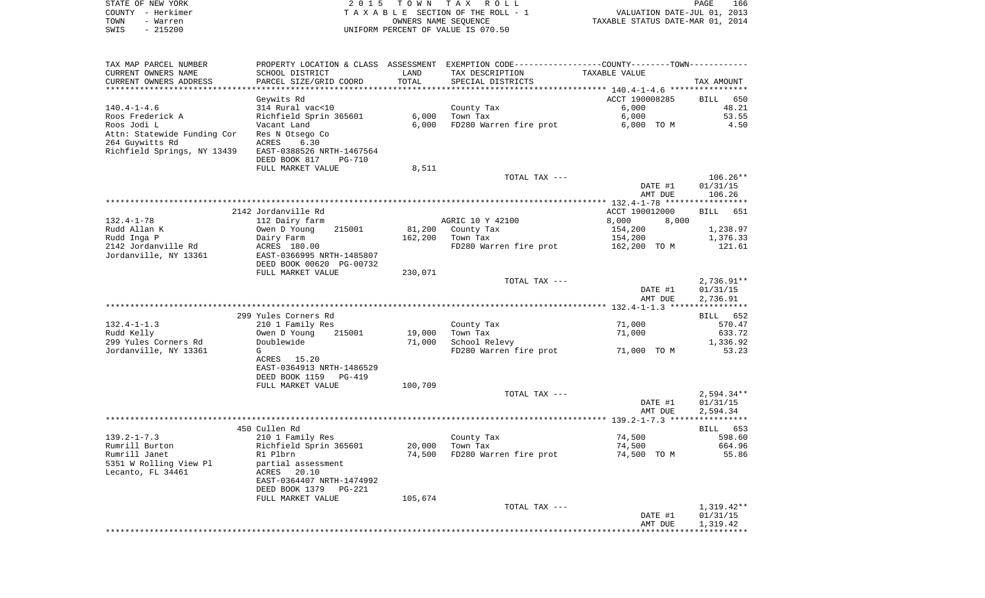| TAXABLE SECTION OF THE ROLL - 1<br>VALUATION DATE-JUL 01, 2013<br>OWNERS NAME SEQUENCE<br>TOWN<br>- Warren<br>TAXABLE STATUS DATE-MAR 01, 2014<br>$-215200$<br>UNIFORM PERCENT OF VALUE IS 070.50<br>SWIS<br>PROPERTY LOCATION & CLASS ASSESSMENT EXEMPTION CODE---------------COUNTY-------TOWN----------<br>TAX MAP PARCEL NUMBER<br>CURRENT OWNERS NAME<br>SCHOOL DISTRICT<br>LAND<br>TAX DESCRIPTION<br>TAXABLE VALUE<br>TOTAL<br>CURRENT OWNERS ADDRESS<br>PARCEL SIZE/GRID COORD<br>SPECIAL DISTRICTS<br>TAX AMOUNT<br>************************<br>ACCT 190008285<br>Geywits Rd<br>650<br>BILL<br>314 Rural vac<10<br>6,000<br>48.21<br>$140.4 - 1 - 4.6$<br>County Tax<br>6,000<br>53.55<br>Roos Frederick A<br>Richfield Sprin 365601<br>6,000<br>Town Tax<br>Roos Jodi L<br>FD280 Warren fire prot<br>4.50<br>Vacant Land<br>6.000<br>6,000 TO M<br>Attn: Statewide Funding Cor<br>Res N Otsego Co<br>264 Guywitts Rd<br>ACRES<br>6.30<br>Richfield Springs, NY 13439<br>EAST-0388526 NRTH-1467564<br>DEED BOOK 817<br><b>PG-710</b><br>FULL MARKET VALUE<br>8,511<br>$106.26**$<br>TOTAL TAX ---<br>DATE #1<br>01/31/15<br>106.26<br>AMT DUE<br>2142 Jordanville Rd<br>ACCT 190012000<br>651<br>BILL<br>AGRIC 10 Y 42100<br>8,000<br>$132.4 - 1 - 78$<br>112 Dairy farm<br>8,000<br>Rudd Allan K<br>Owen D Young<br>215001<br>81,200<br>County Tax<br>154,200<br>1,238.97<br>Rudd Inga P<br>Dairy Farm<br>162,200<br>Town Tax<br>154,200<br>1,376.33<br>2142 Jordanville Rd<br>FD280 Warren fire prot<br>121.61<br>ACRES 180.00<br>162,200 TO M<br>Jordanville, NY 13361<br>EAST-0366995 NRTH-1485807<br>DEED BOOK 00620 PG-00732<br>FULL MARKET VALUE<br>230,071<br>TOTAL TAX ---<br>$2,736.91**$<br>01/31/15<br>DATE #1<br>AMT DUE<br>2,736.91<br>299 Yules Corners Rd<br>BILL<br>652<br>$132.4 - 1 - 1.3$<br>71,000<br>210 1 Family Res<br>County Tax<br>570.47<br>Rudd Kelly<br>Owen D Young<br>215001<br>19,000<br>Town Tax<br>71,000<br>633.72<br>299 Yules Corners Rd<br>Doublewide<br>School Relevy<br>1,336.92<br>71,000<br>Jordanville, NY 13361<br>FD280 Warren fire prot<br>G<br>71,000 TO M<br>53.23<br>ACRES 15.20<br>EAST-0364913 NRTH-1486529<br>DEED BOOK 1159<br>PG-419<br>FULL MARKET VALUE<br>100,709<br>$2,594.34**$<br>TOTAL TAX ---<br>DATE #1<br>01/31/15<br>2,594.34<br>AMT DUE<br>* * * *<br>450 Cullen Rd<br>653<br>BILL<br>210 1 Family Res<br>74,500<br>598.60<br>County Tax<br>Rumrill Burton<br>Richfield Sprin 365601<br>20,000<br>Town Tax<br>74,500<br>664.96<br>Rumrill Janet<br>R1 Plbrn<br>74,500<br>FD280 Warren fire prot<br>74,500 TO M<br>55.86<br>5351 W Rolling View Pl<br>partial assessment<br>Lecanto, FL 34461<br>20.10<br>ACRES<br>EAST-0364407 NRTH-1474992<br>DEED BOOK 1379<br>PG-221<br>FULL MARKET VALUE<br>105,674<br>$1,319.42**$<br>TOTAL TAX ---<br>DATE #1<br>01/31/15<br>AMT DUE<br>1,319.42 | STATE OF NEW YORK<br>COUNTY - Herkimer | 2 0 1 5 | T O W N | TAX ROLL | PAGE<br>166 |
|-------------------------------------------------------------------------------------------------------------------------------------------------------------------------------------------------------------------------------------------------------------------------------------------------------------------------------------------------------------------------------------------------------------------------------------------------------------------------------------------------------------------------------------------------------------------------------------------------------------------------------------------------------------------------------------------------------------------------------------------------------------------------------------------------------------------------------------------------------------------------------------------------------------------------------------------------------------------------------------------------------------------------------------------------------------------------------------------------------------------------------------------------------------------------------------------------------------------------------------------------------------------------------------------------------------------------------------------------------------------------------------------------------------------------------------------------------------------------------------------------------------------------------------------------------------------------------------------------------------------------------------------------------------------------------------------------------------------------------------------------------------------------------------------------------------------------------------------------------------------------------------------------------------------------------------------------------------------------------------------------------------------------------------------------------------------------------------------------------------------------------------------------------------------------------------------------------------------------------------------------------------------------------------------------------------------------------------------------------------------------------------------------------------------------------------------------------------------------------------------------------------------------------------------------------------------------------------------------------------------------------------------------------------------------------------------------------------------------------------------------------------------------------------------------------------------------------------------------------------------|----------------------------------------|---------|---------|----------|-------------|
|                                                                                                                                                                                                                                                                                                                                                                                                                                                                                                                                                                                                                                                                                                                                                                                                                                                                                                                                                                                                                                                                                                                                                                                                                                                                                                                                                                                                                                                                                                                                                                                                                                                                                                                                                                                                                                                                                                                                                                                                                                                                                                                                                                                                                                                                                                                                                                                                                                                                                                                                                                                                                                                                                                                                                                                                                                                                   |                                        |         |         |          |             |
|                                                                                                                                                                                                                                                                                                                                                                                                                                                                                                                                                                                                                                                                                                                                                                                                                                                                                                                                                                                                                                                                                                                                                                                                                                                                                                                                                                                                                                                                                                                                                                                                                                                                                                                                                                                                                                                                                                                                                                                                                                                                                                                                                                                                                                                                                                                                                                                                                                                                                                                                                                                                                                                                                                                                                                                                                                                                   |                                        |         |         |          |             |
|                                                                                                                                                                                                                                                                                                                                                                                                                                                                                                                                                                                                                                                                                                                                                                                                                                                                                                                                                                                                                                                                                                                                                                                                                                                                                                                                                                                                                                                                                                                                                                                                                                                                                                                                                                                                                                                                                                                                                                                                                                                                                                                                                                                                                                                                                                                                                                                                                                                                                                                                                                                                                                                                                                                                                                                                                                                                   |                                        |         |         |          |             |
|                                                                                                                                                                                                                                                                                                                                                                                                                                                                                                                                                                                                                                                                                                                                                                                                                                                                                                                                                                                                                                                                                                                                                                                                                                                                                                                                                                                                                                                                                                                                                                                                                                                                                                                                                                                                                                                                                                                                                                                                                                                                                                                                                                                                                                                                                                                                                                                                                                                                                                                                                                                                                                                                                                                                                                                                                                                                   |                                        |         |         |          |             |
|                                                                                                                                                                                                                                                                                                                                                                                                                                                                                                                                                                                                                                                                                                                                                                                                                                                                                                                                                                                                                                                                                                                                                                                                                                                                                                                                                                                                                                                                                                                                                                                                                                                                                                                                                                                                                                                                                                                                                                                                                                                                                                                                                                                                                                                                                                                                                                                                                                                                                                                                                                                                                                                                                                                                                                                                                                                                   |                                        |         |         |          |             |
|                                                                                                                                                                                                                                                                                                                                                                                                                                                                                                                                                                                                                                                                                                                                                                                                                                                                                                                                                                                                                                                                                                                                                                                                                                                                                                                                                                                                                                                                                                                                                                                                                                                                                                                                                                                                                                                                                                                                                                                                                                                                                                                                                                                                                                                                                                                                                                                                                                                                                                                                                                                                                                                                                                                                                                                                                                                                   |                                        |         |         |          |             |
|                                                                                                                                                                                                                                                                                                                                                                                                                                                                                                                                                                                                                                                                                                                                                                                                                                                                                                                                                                                                                                                                                                                                                                                                                                                                                                                                                                                                                                                                                                                                                                                                                                                                                                                                                                                                                                                                                                                                                                                                                                                                                                                                                                                                                                                                                                                                                                                                                                                                                                                                                                                                                                                                                                                                                                                                                                                                   |                                        |         |         |          |             |
|                                                                                                                                                                                                                                                                                                                                                                                                                                                                                                                                                                                                                                                                                                                                                                                                                                                                                                                                                                                                                                                                                                                                                                                                                                                                                                                                                                                                                                                                                                                                                                                                                                                                                                                                                                                                                                                                                                                                                                                                                                                                                                                                                                                                                                                                                                                                                                                                                                                                                                                                                                                                                                                                                                                                                                                                                                                                   |                                        |         |         |          |             |
|                                                                                                                                                                                                                                                                                                                                                                                                                                                                                                                                                                                                                                                                                                                                                                                                                                                                                                                                                                                                                                                                                                                                                                                                                                                                                                                                                                                                                                                                                                                                                                                                                                                                                                                                                                                                                                                                                                                                                                                                                                                                                                                                                                                                                                                                                                                                                                                                                                                                                                                                                                                                                                                                                                                                                                                                                                                                   |                                        |         |         |          |             |
|                                                                                                                                                                                                                                                                                                                                                                                                                                                                                                                                                                                                                                                                                                                                                                                                                                                                                                                                                                                                                                                                                                                                                                                                                                                                                                                                                                                                                                                                                                                                                                                                                                                                                                                                                                                                                                                                                                                                                                                                                                                                                                                                                                                                                                                                                                                                                                                                                                                                                                                                                                                                                                                                                                                                                                                                                                                                   |                                        |         |         |          |             |
|                                                                                                                                                                                                                                                                                                                                                                                                                                                                                                                                                                                                                                                                                                                                                                                                                                                                                                                                                                                                                                                                                                                                                                                                                                                                                                                                                                                                                                                                                                                                                                                                                                                                                                                                                                                                                                                                                                                                                                                                                                                                                                                                                                                                                                                                                                                                                                                                                                                                                                                                                                                                                                                                                                                                                                                                                                                                   |                                        |         |         |          |             |
|                                                                                                                                                                                                                                                                                                                                                                                                                                                                                                                                                                                                                                                                                                                                                                                                                                                                                                                                                                                                                                                                                                                                                                                                                                                                                                                                                                                                                                                                                                                                                                                                                                                                                                                                                                                                                                                                                                                                                                                                                                                                                                                                                                                                                                                                                                                                                                                                                                                                                                                                                                                                                                                                                                                                                                                                                                                                   |                                        |         |         |          |             |
|                                                                                                                                                                                                                                                                                                                                                                                                                                                                                                                                                                                                                                                                                                                                                                                                                                                                                                                                                                                                                                                                                                                                                                                                                                                                                                                                                                                                                                                                                                                                                                                                                                                                                                                                                                                                                                                                                                                                                                                                                                                                                                                                                                                                                                                                                                                                                                                                                                                                                                                                                                                                                                                                                                                                                                                                                                                                   |                                        |         |         |          |             |
|                                                                                                                                                                                                                                                                                                                                                                                                                                                                                                                                                                                                                                                                                                                                                                                                                                                                                                                                                                                                                                                                                                                                                                                                                                                                                                                                                                                                                                                                                                                                                                                                                                                                                                                                                                                                                                                                                                                                                                                                                                                                                                                                                                                                                                                                                                                                                                                                                                                                                                                                                                                                                                                                                                                                                                                                                                                                   |                                        |         |         |          |             |
|                                                                                                                                                                                                                                                                                                                                                                                                                                                                                                                                                                                                                                                                                                                                                                                                                                                                                                                                                                                                                                                                                                                                                                                                                                                                                                                                                                                                                                                                                                                                                                                                                                                                                                                                                                                                                                                                                                                                                                                                                                                                                                                                                                                                                                                                                                                                                                                                                                                                                                                                                                                                                                                                                                                                                                                                                                                                   |                                        |         |         |          |             |
|                                                                                                                                                                                                                                                                                                                                                                                                                                                                                                                                                                                                                                                                                                                                                                                                                                                                                                                                                                                                                                                                                                                                                                                                                                                                                                                                                                                                                                                                                                                                                                                                                                                                                                                                                                                                                                                                                                                                                                                                                                                                                                                                                                                                                                                                                                                                                                                                                                                                                                                                                                                                                                                                                                                                                                                                                                                                   |                                        |         |         |          |             |
|                                                                                                                                                                                                                                                                                                                                                                                                                                                                                                                                                                                                                                                                                                                                                                                                                                                                                                                                                                                                                                                                                                                                                                                                                                                                                                                                                                                                                                                                                                                                                                                                                                                                                                                                                                                                                                                                                                                                                                                                                                                                                                                                                                                                                                                                                                                                                                                                                                                                                                                                                                                                                                                                                                                                                                                                                                                                   |                                        |         |         |          |             |
|                                                                                                                                                                                                                                                                                                                                                                                                                                                                                                                                                                                                                                                                                                                                                                                                                                                                                                                                                                                                                                                                                                                                                                                                                                                                                                                                                                                                                                                                                                                                                                                                                                                                                                                                                                                                                                                                                                                                                                                                                                                                                                                                                                                                                                                                                                                                                                                                                                                                                                                                                                                                                                                                                                                                                                                                                                                                   |                                        |         |         |          |             |
|                                                                                                                                                                                                                                                                                                                                                                                                                                                                                                                                                                                                                                                                                                                                                                                                                                                                                                                                                                                                                                                                                                                                                                                                                                                                                                                                                                                                                                                                                                                                                                                                                                                                                                                                                                                                                                                                                                                                                                                                                                                                                                                                                                                                                                                                                                                                                                                                                                                                                                                                                                                                                                                                                                                                                                                                                                                                   |                                        |         |         |          |             |
|                                                                                                                                                                                                                                                                                                                                                                                                                                                                                                                                                                                                                                                                                                                                                                                                                                                                                                                                                                                                                                                                                                                                                                                                                                                                                                                                                                                                                                                                                                                                                                                                                                                                                                                                                                                                                                                                                                                                                                                                                                                                                                                                                                                                                                                                                                                                                                                                                                                                                                                                                                                                                                                                                                                                                                                                                                                                   |                                        |         |         |          |             |
|                                                                                                                                                                                                                                                                                                                                                                                                                                                                                                                                                                                                                                                                                                                                                                                                                                                                                                                                                                                                                                                                                                                                                                                                                                                                                                                                                                                                                                                                                                                                                                                                                                                                                                                                                                                                                                                                                                                                                                                                                                                                                                                                                                                                                                                                                                                                                                                                                                                                                                                                                                                                                                                                                                                                                                                                                                                                   |                                        |         |         |          |             |
|                                                                                                                                                                                                                                                                                                                                                                                                                                                                                                                                                                                                                                                                                                                                                                                                                                                                                                                                                                                                                                                                                                                                                                                                                                                                                                                                                                                                                                                                                                                                                                                                                                                                                                                                                                                                                                                                                                                                                                                                                                                                                                                                                                                                                                                                                                                                                                                                                                                                                                                                                                                                                                                                                                                                                                                                                                                                   |                                        |         |         |          |             |
|                                                                                                                                                                                                                                                                                                                                                                                                                                                                                                                                                                                                                                                                                                                                                                                                                                                                                                                                                                                                                                                                                                                                                                                                                                                                                                                                                                                                                                                                                                                                                                                                                                                                                                                                                                                                                                                                                                                                                                                                                                                                                                                                                                                                                                                                                                                                                                                                                                                                                                                                                                                                                                                                                                                                                                                                                                                                   |                                        |         |         |          |             |
|                                                                                                                                                                                                                                                                                                                                                                                                                                                                                                                                                                                                                                                                                                                                                                                                                                                                                                                                                                                                                                                                                                                                                                                                                                                                                                                                                                                                                                                                                                                                                                                                                                                                                                                                                                                                                                                                                                                                                                                                                                                                                                                                                                                                                                                                                                                                                                                                                                                                                                                                                                                                                                                                                                                                                                                                                                                                   |                                        |         |         |          |             |
|                                                                                                                                                                                                                                                                                                                                                                                                                                                                                                                                                                                                                                                                                                                                                                                                                                                                                                                                                                                                                                                                                                                                                                                                                                                                                                                                                                                                                                                                                                                                                                                                                                                                                                                                                                                                                                                                                                                                                                                                                                                                                                                                                                                                                                                                                                                                                                                                                                                                                                                                                                                                                                                                                                                                                                                                                                                                   |                                        |         |         |          |             |
|                                                                                                                                                                                                                                                                                                                                                                                                                                                                                                                                                                                                                                                                                                                                                                                                                                                                                                                                                                                                                                                                                                                                                                                                                                                                                                                                                                                                                                                                                                                                                                                                                                                                                                                                                                                                                                                                                                                                                                                                                                                                                                                                                                                                                                                                                                                                                                                                                                                                                                                                                                                                                                                                                                                                                                                                                                                                   |                                        |         |         |          |             |
|                                                                                                                                                                                                                                                                                                                                                                                                                                                                                                                                                                                                                                                                                                                                                                                                                                                                                                                                                                                                                                                                                                                                                                                                                                                                                                                                                                                                                                                                                                                                                                                                                                                                                                                                                                                                                                                                                                                                                                                                                                                                                                                                                                                                                                                                                                                                                                                                                                                                                                                                                                                                                                                                                                                                                                                                                                                                   |                                        |         |         |          |             |
|                                                                                                                                                                                                                                                                                                                                                                                                                                                                                                                                                                                                                                                                                                                                                                                                                                                                                                                                                                                                                                                                                                                                                                                                                                                                                                                                                                                                                                                                                                                                                                                                                                                                                                                                                                                                                                                                                                                                                                                                                                                                                                                                                                                                                                                                                                                                                                                                                                                                                                                                                                                                                                                                                                                                                                                                                                                                   |                                        |         |         |          |             |
|                                                                                                                                                                                                                                                                                                                                                                                                                                                                                                                                                                                                                                                                                                                                                                                                                                                                                                                                                                                                                                                                                                                                                                                                                                                                                                                                                                                                                                                                                                                                                                                                                                                                                                                                                                                                                                                                                                                                                                                                                                                                                                                                                                                                                                                                                                                                                                                                                                                                                                                                                                                                                                                                                                                                                                                                                                                                   |                                        |         |         |          |             |
|                                                                                                                                                                                                                                                                                                                                                                                                                                                                                                                                                                                                                                                                                                                                                                                                                                                                                                                                                                                                                                                                                                                                                                                                                                                                                                                                                                                                                                                                                                                                                                                                                                                                                                                                                                                                                                                                                                                                                                                                                                                                                                                                                                                                                                                                                                                                                                                                                                                                                                                                                                                                                                                                                                                                                                                                                                                                   |                                        |         |         |          |             |
|                                                                                                                                                                                                                                                                                                                                                                                                                                                                                                                                                                                                                                                                                                                                                                                                                                                                                                                                                                                                                                                                                                                                                                                                                                                                                                                                                                                                                                                                                                                                                                                                                                                                                                                                                                                                                                                                                                                                                                                                                                                                                                                                                                                                                                                                                                                                                                                                                                                                                                                                                                                                                                                                                                                                                                                                                                                                   |                                        |         |         |          |             |
|                                                                                                                                                                                                                                                                                                                                                                                                                                                                                                                                                                                                                                                                                                                                                                                                                                                                                                                                                                                                                                                                                                                                                                                                                                                                                                                                                                                                                                                                                                                                                                                                                                                                                                                                                                                                                                                                                                                                                                                                                                                                                                                                                                                                                                                                                                                                                                                                                                                                                                                                                                                                                                                                                                                                                                                                                                                                   |                                        |         |         |          |             |
|                                                                                                                                                                                                                                                                                                                                                                                                                                                                                                                                                                                                                                                                                                                                                                                                                                                                                                                                                                                                                                                                                                                                                                                                                                                                                                                                                                                                                                                                                                                                                                                                                                                                                                                                                                                                                                                                                                                                                                                                                                                                                                                                                                                                                                                                                                                                                                                                                                                                                                                                                                                                                                                                                                                                                                                                                                                                   |                                        |         |         |          |             |
|                                                                                                                                                                                                                                                                                                                                                                                                                                                                                                                                                                                                                                                                                                                                                                                                                                                                                                                                                                                                                                                                                                                                                                                                                                                                                                                                                                                                                                                                                                                                                                                                                                                                                                                                                                                                                                                                                                                                                                                                                                                                                                                                                                                                                                                                                                                                                                                                                                                                                                                                                                                                                                                                                                                                                                                                                                                                   |                                        |         |         |          |             |
|                                                                                                                                                                                                                                                                                                                                                                                                                                                                                                                                                                                                                                                                                                                                                                                                                                                                                                                                                                                                                                                                                                                                                                                                                                                                                                                                                                                                                                                                                                                                                                                                                                                                                                                                                                                                                                                                                                                                                                                                                                                                                                                                                                                                                                                                                                                                                                                                                                                                                                                                                                                                                                                                                                                                                                                                                                                                   |                                        |         |         |          |             |
|                                                                                                                                                                                                                                                                                                                                                                                                                                                                                                                                                                                                                                                                                                                                                                                                                                                                                                                                                                                                                                                                                                                                                                                                                                                                                                                                                                                                                                                                                                                                                                                                                                                                                                                                                                                                                                                                                                                                                                                                                                                                                                                                                                                                                                                                                                                                                                                                                                                                                                                                                                                                                                                                                                                                                                                                                                                                   |                                        |         |         |          |             |
|                                                                                                                                                                                                                                                                                                                                                                                                                                                                                                                                                                                                                                                                                                                                                                                                                                                                                                                                                                                                                                                                                                                                                                                                                                                                                                                                                                                                                                                                                                                                                                                                                                                                                                                                                                                                                                                                                                                                                                                                                                                                                                                                                                                                                                                                                                                                                                                                                                                                                                                                                                                                                                                                                                                                                                                                                                                                   |                                        |         |         |          |             |
|                                                                                                                                                                                                                                                                                                                                                                                                                                                                                                                                                                                                                                                                                                                                                                                                                                                                                                                                                                                                                                                                                                                                                                                                                                                                                                                                                                                                                                                                                                                                                                                                                                                                                                                                                                                                                                                                                                                                                                                                                                                                                                                                                                                                                                                                                                                                                                                                                                                                                                                                                                                                                                                                                                                                                                                                                                                                   |                                        |         |         |          |             |
|                                                                                                                                                                                                                                                                                                                                                                                                                                                                                                                                                                                                                                                                                                                                                                                                                                                                                                                                                                                                                                                                                                                                                                                                                                                                                                                                                                                                                                                                                                                                                                                                                                                                                                                                                                                                                                                                                                                                                                                                                                                                                                                                                                                                                                                                                                                                                                                                                                                                                                                                                                                                                                                                                                                                                                                                                                                                   |                                        |         |         |          |             |
|                                                                                                                                                                                                                                                                                                                                                                                                                                                                                                                                                                                                                                                                                                                                                                                                                                                                                                                                                                                                                                                                                                                                                                                                                                                                                                                                                                                                                                                                                                                                                                                                                                                                                                                                                                                                                                                                                                                                                                                                                                                                                                                                                                                                                                                                                                                                                                                                                                                                                                                                                                                                                                                                                                                                                                                                                                                                   |                                        |         |         |          |             |
|                                                                                                                                                                                                                                                                                                                                                                                                                                                                                                                                                                                                                                                                                                                                                                                                                                                                                                                                                                                                                                                                                                                                                                                                                                                                                                                                                                                                                                                                                                                                                                                                                                                                                                                                                                                                                                                                                                                                                                                                                                                                                                                                                                                                                                                                                                                                                                                                                                                                                                                                                                                                                                                                                                                                                                                                                                                                   |                                        |         |         |          |             |
|                                                                                                                                                                                                                                                                                                                                                                                                                                                                                                                                                                                                                                                                                                                                                                                                                                                                                                                                                                                                                                                                                                                                                                                                                                                                                                                                                                                                                                                                                                                                                                                                                                                                                                                                                                                                                                                                                                                                                                                                                                                                                                                                                                                                                                                                                                                                                                                                                                                                                                                                                                                                                                                                                                                                                                                                                                                                   |                                        |         |         |          |             |
|                                                                                                                                                                                                                                                                                                                                                                                                                                                                                                                                                                                                                                                                                                                                                                                                                                                                                                                                                                                                                                                                                                                                                                                                                                                                                                                                                                                                                                                                                                                                                                                                                                                                                                                                                                                                                                                                                                                                                                                                                                                                                                                                                                                                                                                                                                                                                                                                                                                                                                                                                                                                                                                                                                                                                                                                                                                                   | $139.2 - 1 - 7.3$                      |         |         |          |             |
|                                                                                                                                                                                                                                                                                                                                                                                                                                                                                                                                                                                                                                                                                                                                                                                                                                                                                                                                                                                                                                                                                                                                                                                                                                                                                                                                                                                                                                                                                                                                                                                                                                                                                                                                                                                                                                                                                                                                                                                                                                                                                                                                                                                                                                                                                                                                                                                                                                                                                                                                                                                                                                                                                                                                                                                                                                                                   |                                        |         |         |          |             |
|                                                                                                                                                                                                                                                                                                                                                                                                                                                                                                                                                                                                                                                                                                                                                                                                                                                                                                                                                                                                                                                                                                                                                                                                                                                                                                                                                                                                                                                                                                                                                                                                                                                                                                                                                                                                                                                                                                                                                                                                                                                                                                                                                                                                                                                                                                                                                                                                                                                                                                                                                                                                                                                                                                                                                                                                                                                                   |                                        |         |         |          |             |
|                                                                                                                                                                                                                                                                                                                                                                                                                                                                                                                                                                                                                                                                                                                                                                                                                                                                                                                                                                                                                                                                                                                                                                                                                                                                                                                                                                                                                                                                                                                                                                                                                                                                                                                                                                                                                                                                                                                                                                                                                                                                                                                                                                                                                                                                                                                                                                                                                                                                                                                                                                                                                                                                                                                                                                                                                                                                   |                                        |         |         |          |             |
|                                                                                                                                                                                                                                                                                                                                                                                                                                                                                                                                                                                                                                                                                                                                                                                                                                                                                                                                                                                                                                                                                                                                                                                                                                                                                                                                                                                                                                                                                                                                                                                                                                                                                                                                                                                                                                                                                                                                                                                                                                                                                                                                                                                                                                                                                                                                                                                                                                                                                                                                                                                                                                                                                                                                                                                                                                                                   |                                        |         |         |          |             |
|                                                                                                                                                                                                                                                                                                                                                                                                                                                                                                                                                                                                                                                                                                                                                                                                                                                                                                                                                                                                                                                                                                                                                                                                                                                                                                                                                                                                                                                                                                                                                                                                                                                                                                                                                                                                                                                                                                                                                                                                                                                                                                                                                                                                                                                                                                                                                                                                                                                                                                                                                                                                                                                                                                                                                                                                                                                                   |                                        |         |         |          |             |
|                                                                                                                                                                                                                                                                                                                                                                                                                                                                                                                                                                                                                                                                                                                                                                                                                                                                                                                                                                                                                                                                                                                                                                                                                                                                                                                                                                                                                                                                                                                                                                                                                                                                                                                                                                                                                                                                                                                                                                                                                                                                                                                                                                                                                                                                                                                                                                                                                                                                                                                                                                                                                                                                                                                                                                                                                                                                   |                                        |         |         |          |             |
|                                                                                                                                                                                                                                                                                                                                                                                                                                                                                                                                                                                                                                                                                                                                                                                                                                                                                                                                                                                                                                                                                                                                                                                                                                                                                                                                                                                                                                                                                                                                                                                                                                                                                                                                                                                                                                                                                                                                                                                                                                                                                                                                                                                                                                                                                                                                                                                                                                                                                                                                                                                                                                                                                                                                                                                                                                                                   |                                        |         |         |          |             |
|                                                                                                                                                                                                                                                                                                                                                                                                                                                                                                                                                                                                                                                                                                                                                                                                                                                                                                                                                                                                                                                                                                                                                                                                                                                                                                                                                                                                                                                                                                                                                                                                                                                                                                                                                                                                                                                                                                                                                                                                                                                                                                                                                                                                                                                                                                                                                                                                                                                                                                                                                                                                                                                                                                                                                                                                                                                                   |                                        |         |         |          |             |
|                                                                                                                                                                                                                                                                                                                                                                                                                                                                                                                                                                                                                                                                                                                                                                                                                                                                                                                                                                                                                                                                                                                                                                                                                                                                                                                                                                                                                                                                                                                                                                                                                                                                                                                                                                                                                                                                                                                                                                                                                                                                                                                                                                                                                                                                                                                                                                                                                                                                                                                                                                                                                                                                                                                                                                                                                                                                   |                                        |         |         |          |             |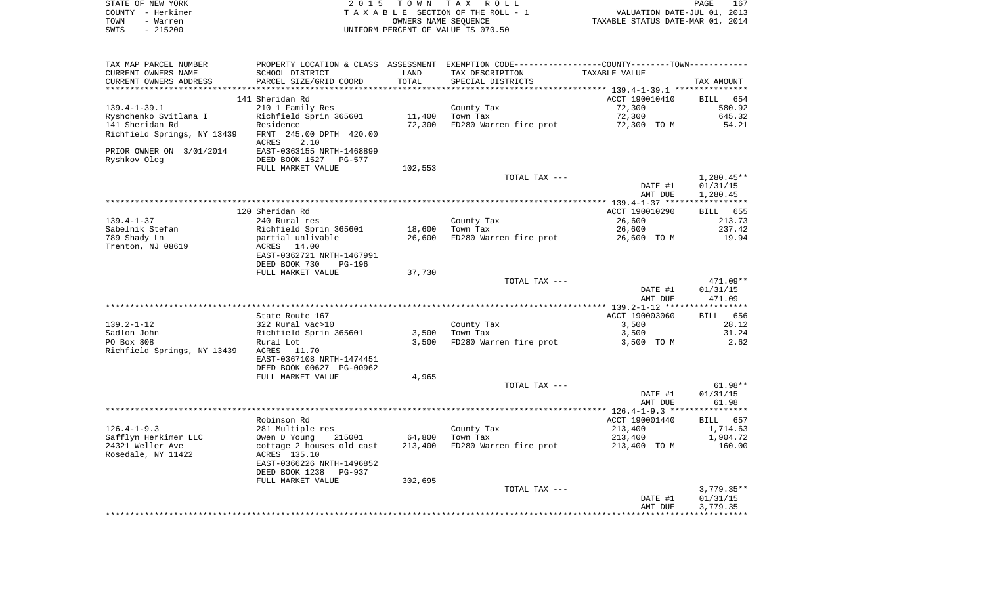| STATE OF NEW YORK<br>COUNTY - Herkimer<br>TOWN<br>- Warren<br>SWIS<br>$-215200$ | 2 0 1 5                                              | T O W N | TAX ROLL<br>TAXABLE SECTION OF THE ROLL - 1<br>OWNERS NAME SEQUENCE<br>UNIFORM PERCENT OF VALUE IS 070.50 | VALUATION DATE-JUL 01, 2013<br>TAXABLE STATUS DATE-MAR 01, 2014 | PAGE<br>167              |
|---------------------------------------------------------------------------------|------------------------------------------------------|---------|-----------------------------------------------------------------------------------------------------------|-----------------------------------------------------------------|--------------------------|
|                                                                                 |                                                      |         |                                                                                                           |                                                                 |                          |
| TAX MAP PARCEL NUMBER                                                           |                                                      |         | PROPERTY LOCATION & CLASS ASSESSMENT EXEMPTION CODE---------------COUNTY-------TOWN----------             |                                                                 |                          |
| CURRENT OWNERS NAME                                                             | SCHOOL DISTRICT                                      | LAND    | TAX DESCRIPTION                                                                                           | TAXABLE VALUE                                                   |                          |
| CURRENT OWNERS ADDRESS<br>*************************                             | PARCEL SIZE/GRID COORD                               | TOTAL   | SPECIAL DISTRICTS                                                                                         |                                                                 | TAX AMOUNT               |
|                                                                                 | 141 Sheridan Rd                                      |         |                                                                                                           | ACCT 190010410                                                  | <b>BILL</b><br>654       |
| $139.4 - 1 - 39.1$                                                              | 210 1 Family Res                                     |         | County Tax                                                                                                | 72,300                                                          | 580.92                   |
| Ryshchenko Svitlana I                                                           | Richfield Sprin 365601                               | 11,400  | Town Tax                                                                                                  | 72,300                                                          | 645.32                   |
| 141 Sheridan Rd                                                                 | Residence                                            | 72,300  | FD280 Warren fire prot                                                                                    | 72,300 TO M                                                     | 54.21                    |
| Richfield Springs, NY 13439                                                     | FRNT 245.00 DPTH 420.00<br>ACRES<br>2.10             |         |                                                                                                           |                                                                 |                          |
| PRIOR OWNER ON 3/01/2014                                                        | EAST-0363155 NRTH-1468899                            |         |                                                                                                           |                                                                 |                          |
| Ryshkov Oleg                                                                    | DEED BOOK 1527 PG-577                                |         |                                                                                                           |                                                                 |                          |
|                                                                                 | FULL MARKET VALUE                                    | 102,553 |                                                                                                           |                                                                 |                          |
|                                                                                 |                                                      |         | TOTAL TAX ---                                                                                             |                                                                 | 1,280.45**               |
|                                                                                 |                                                      |         |                                                                                                           | DATE #1<br>AMT DUE                                              | 01/31/15<br>1,280.45     |
|                                                                                 |                                                      |         |                                                                                                           |                                                                 |                          |
|                                                                                 | 120 Sheridan Rd                                      |         |                                                                                                           | ACCT 190010290                                                  | BILL 655                 |
| $139.4 - 1 - 37$                                                                | 240 Rural res                                        |         | County Tax                                                                                                | 26,600                                                          | 213.73                   |
| Sabelnik Stefan                                                                 | Richfield Sprin 365601                               | 18,600  | Town Tax                                                                                                  | 26,600                                                          | 237.42                   |
| 789 Shady Ln                                                                    | partial unlivable                                    | 26,600  | FD280 Warren fire prot                                                                                    | 26,600 TO M                                                     | 19.94                    |
| Trenton, NJ 08619                                                               | ACRES<br>14.00                                       |         |                                                                                                           |                                                                 |                          |
|                                                                                 | EAST-0362721 NRTH-1467991<br>DEED BOOK 730<br>PG-196 |         |                                                                                                           |                                                                 |                          |
|                                                                                 | FULL MARKET VALUE                                    | 37,730  |                                                                                                           |                                                                 |                          |
|                                                                                 |                                                      |         | TOTAL TAX ---                                                                                             |                                                                 | $471.09**$               |
|                                                                                 |                                                      |         |                                                                                                           | DATE #1                                                         | 01/31/15                 |
|                                                                                 |                                                      |         |                                                                                                           | AMT DUE                                                         | 471.09                   |
|                                                                                 |                                                      |         |                                                                                                           |                                                                 |                          |
|                                                                                 | State Route 167                                      |         |                                                                                                           | ACCT 190003060                                                  | BILL 656                 |
| $139.2 - 1 - 12$<br>Sadlon John                                                 | 322 Rural vac>10<br>Richfield Sprin 365601           | 3,500   | County Tax<br>Town Tax                                                                                    | 3,500<br>3,500                                                  | 28.12<br>31.24           |
| PO Box 808                                                                      | Rural Lot                                            | 3,500   | FD280 Warren fire prot                                                                                    | 3,500 TO M                                                      | 2.62                     |
| Richfield Springs, NY 13439                                                     | ACRES<br>11.70                                       |         |                                                                                                           |                                                                 |                          |
|                                                                                 | EAST-0367108 NRTH-1474451                            |         |                                                                                                           |                                                                 |                          |
|                                                                                 | DEED BOOK 00627 PG-00962                             |         |                                                                                                           |                                                                 |                          |
|                                                                                 | FULL MARKET VALUE                                    | 4,965   |                                                                                                           |                                                                 |                          |
|                                                                                 |                                                      |         | TOTAL TAX ---                                                                                             |                                                                 | $61.98**$                |
|                                                                                 |                                                      |         |                                                                                                           | DATE #1                                                         | 01/31/15<br>61.98        |
|                                                                                 |                                                      |         |                                                                                                           | AMT DUE                                                         |                          |
|                                                                                 | Robinson Rd                                          |         |                                                                                                           | ACCT 190001440                                                  | BILL 657                 |
| $126.4 - 1 - 9.3$                                                               | 281 Multiple res                                     |         | County Tax                                                                                                | 213,400                                                         | 1,714.63                 |
| Safflyn Herkimer LLC                                                            | Owen D Young 215001                                  | 64,800  | Town Tax                                                                                                  | 213,400                                                         | 1,904.72                 |
| 24321 Weller Ave                                                                | cottage 2 houses old cast                            | 213,400 | FD280 Warren fire prot                                                                                    | 213,400 TO M                                                    | 160.00                   |
| Rosedale, NY 11422                                                              | ACRES 135.10<br>EAST-0366226 NRTH-1496852            |         |                                                                                                           |                                                                 |                          |
|                                                                                 | DEED BOOK 1238 PG-937                                |         |                                                                                                           |                                                                 |                          |
|                                                                                 | FULL MARKET VALUE                                    | 302,695 |                                                                                                           |                                                                 |                          |
|                                                                                 |                                                      |         | TOTAL TAX ---                                                                                             | DATE #1                                                         | $3,779.35**$<br>01/31/15 |
|                                                                                 |                                                      |         |                                                                                                           | AMT DUE                                                         | 3,779.35                 |
|                                                                                 |                                                      |         |                                                                                                           |                                                                 |                          |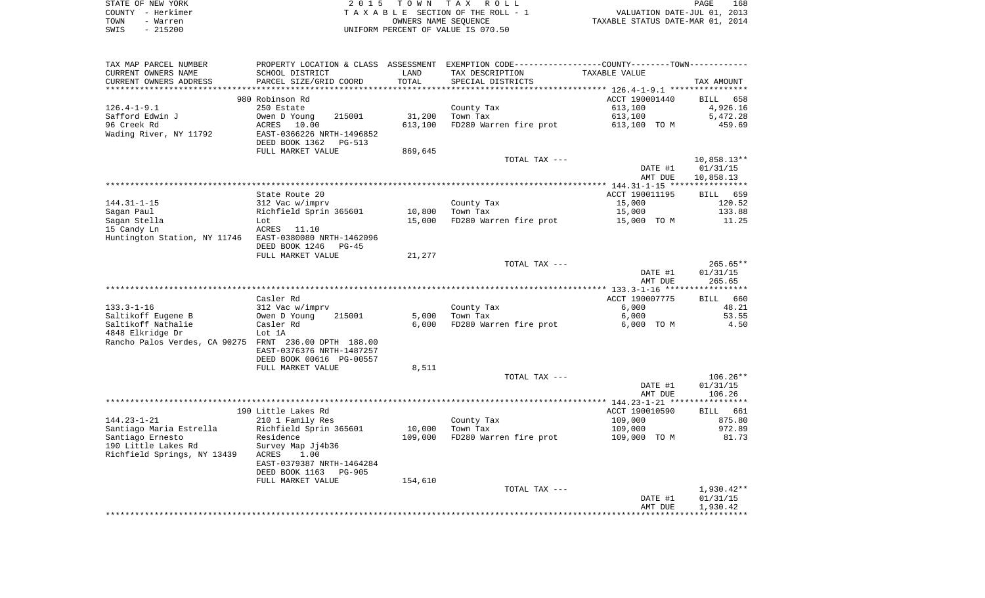|      | STATE OF NEW YORK | 2015 TOWN TAX ROLL                 | 168<br>PAGE                      |
|------|-------------------|------------------------------------|----------------------------------|
|      | COUNTY - Herkimer | TAXABLE SECTION OF THE ROLL - 1    | VALUATION DATE-JUL 01, 2013      |
| TOWN | - Warren          | OWNERS NAME SEOUENCE               | TAXABLE STATUS DATE-MAR 01, 2014 |
| SWIS | $-215200$         | UNIFORM PERCENT OF VALUE IS 070.50 |                                  |

| TAX MAP PARCEL NUMBER                                  |                                 |         | PROPERTY LOCATION & CLASS ASSESSMENT EXEMPTION CODE----------------COUNTY--------TOWN---------- |                                                  |               |
|--------------------------------------------------------|---------------------------------|---------|-------------------------------------------------------------------------------------------------|--------------------------------------------------|---------------|
| CURRENT OWNERS NAME                                    | SCHOOL DISTRICT                 | LAND    | TAX DESCRIPTION                                                                                 | TAXABLE VALUE                                    |               |
| CURRENT OWNERS ADDRESS                                 | PARCEL SIZE/GRID COORD          | TOTAL   | SPECIAL DISTRICTS                                                                               |                                                  | TAX AMOUNT    |
|                                                        |                                 |         |                                                                                                 | ****************** 126.4-1-9.1 ***************** |               |
|                                                        | 980 Robinson Rd                 |         |                                                                                                 | ACCT 190001440                                   | BILL<br>658   |
| $126.4 - 1 - 9.1$                                      | 250 Estate                      |         | County Tax                                                                                      | 613,100                                          | 4,926.16      |
| Safford Edwin J                                        | Owen D Young<br>215001          | 31,200  | Town Tax                                                                                        | 613,100                                          | 5,472.28      |
| 96 Creek Rd                                            | ACRES 10.00                     | 613,100 | FD280 Warren fire prot                                                                          | 613,100 TO M                                     | 459.69        |
| Wading River, NY 11792                                 | EAST-0366226 NRTH-1496852       |         |                                                                                                 |                                                  |               |
|                                                        | DEED BOOK 1362<br>PG-513        |         |                                                                                                 |                                                  |               |
|                                                        | FULL MARKET VALUE               | 869,645 |                                                                                                 |                                                  |               |
|                                                        |                                 |         | TOTAL TAX ---                                                                                   |                                                  | $10,858.13**$ |
|                                                        |                                 |         |                                                                                                 | DATE #1                                          | 01/31/15      |
|                                                        |                                 |         |                                                                                                 |                                                  |               |
|                                                        |                                 |         |                                                                                                 | AMT DUE                                          | 10,858.13     |
|                                                        |                                 |         |                                                                                                 |                                                  |               |
|                                                        | State Route 20                  |         |                                                                                                 | ACCT 190011195                                   | 659<br>BILL   |
| $144.31 - 1 - 15$                                      | 312 Vac w/imprv                 |         | County Tax                                                                                      | 15,000                                           | 120.52        |
| Sagan Paul                                             | Richfield Sprin 365601          | 10,800  | Town Tax                                                                                        | 15,000                                           | 133.88        |
| Sagan Stella                                           | Lot                             | 15,000  | FD280 Warren fire prot                                                                          | 15,000 TO M                                      | 11.25         |
| 15 Candy Ln                                            | ACRES 11.10                     |         |                                                                                                 |                                                  |               |
| Huntington Station, NY 11746 EAST-0380080 NRTH-1462096 |                                 |         |                                                                                                 |                                                  |               |
|                                                        | DEED BOOK 1246<br>PG-45         |         |                                                                                                 |                                                  |               |
|                                                        | FULL MARKET VALUE               | 21,277  |                                                                                                 |                                                  |               |
|                                                        |                                 |         | TOTAL TAX ---                                                                                   |                                                  | 265.65**      |
|                                                        |                                 |         |                                                                                                 | DATE #1                                          | 01/31/15      |
|                                                        |                                 |         |                                                                                                 | AMT DUE                                          | 265.65        |
|                                                        |                                 |         |                                                                                                 |                                                  |               |
|                                                        | Casler Rd                       |         |                                                                                                 | ACCT 190007775                                   | BILL 660      |
| $133.3 - 1 - 16$                                       | 312 Vac w/imprv                 |         | County Tax                                                                                      | 6,000                                            | 48.21         |
| Saltikoff Eugene B                                     | Owen D Young<br>215001          | 5,000   | Town Tax                                                                                        | 6,000                                            | 53.55         |
| Saltikoff Nathalie                                     | Casler Rd                       | 6,000   | FD280 Warren fire prot                                                                          | 6,000 TO M                                       | 4.50          |
| 4848 Elkridge Dr                                       | Lot 1A                          |         |                                                                                                 |                                                  |               |
| Rancho Palos Verdes, CA 90275 FRNT 236.00 DPTH 188.00  |                                 |         |                                                                                                 |                                                  |               |
|                                                        | EAST-0376376 NRTH-1487257       |         |                                                                                                 |                                                  |               |
|                                                        | DEED BOOK 00616 PG-00557        |         |                                                                                                 |                                                  |               |
|                                                        | FULL MARKET VALUE               | 8,511   |                                                                                                 |                                                  |               |
|                                                        |                                 |         | TOTAL TAX ---                                                                                   |                                                  | $106.26**$    |
|                                                        |                                 |         |                                                                                                 |                                                  |               |
|                                                        |                                 |         |                                                                                                 | DATE #1                                          | 01/31/15      |
|                                                        |                                 |         |                                                                                                 | AMT DUE                                          | 106.26        |
|                                                        |                                 |         |                                                                                                 |                                                  |               |
|                                                        | 190 Little Lakes Rd             |         |                                                                                                 | ACCT 190010590                                   | BILL 661      |
| $144.23 - 1 - 21$                                      | 210 1 Family Res                |         | County Tax                                                                                      | 109,000                                          | 875.80        |
| Santiago Maria Estrella                                | Richfield Sprin 365601          | 10,000  | Town Tax                                                                                        | 109,000                                          | 972.89        |
| Santiago Ernesto                                       | Residence                       | 109,000 | FD280 Warren fire prot                                                                          | 109,000 TO M                                     | 81.73         |
| 190 Little Lakes Rd                                    | Survey Map Jj4b36               |         |                                                                                                 |                                                  |               |
| Richfield Springs, NY 13439                            | ACRES<br>1.00                   |         |                                                                                                 |                                                  |               |
|                                                        | EAST-0379387 NRTH-1464284       |         |                                                                                                 |                                                  |               |
|                                                        | DEED BOOK 1163<br><b>PG-905</b> |         |                                                                                                 |                                                  |               |
|                                                        | FULL MARKET VALUE               | 154,610 |                                                                                                 |                                                  |               |
|                                                        |                                 |         | TOTAL TAX ---                                                                                   |                                                  | 1,930.42**    |
|                                                        |                                 |         |                                                                                                 | DATE #1                                          | 01/31/15      |
|                                                        |                                 |         |                                                                                                 | AMT DUE                                          | 1,930.42      |
|                                                        |                                 |         |                                                                                                 |                                                  |               |
|                                                        |                                 |         |                                                                                                 |                                                  |               |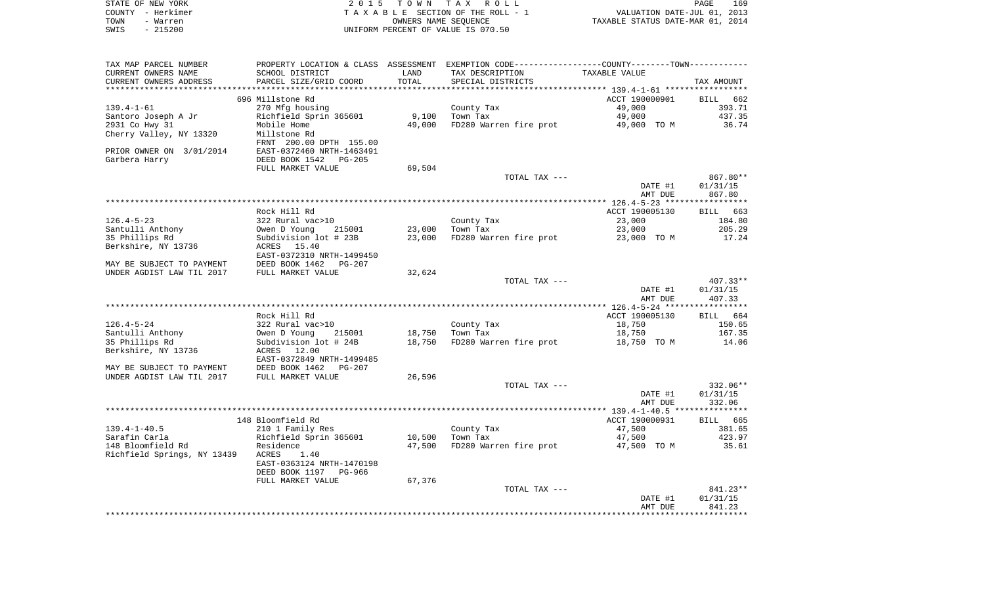| COUNTY - Herkimer<br>TOWN<br>- Warren         |                                                                     |               | TAXABLE SECTION OF THE ROLL - 1<br>OWNERS NAME SEQUENCE                                        | VALUATION DATE-JUL 01, 2013<br>TAXABLE STATUS DATE-MAR 01, 2014 |                        |
|-----------------------------------------------|---------------------------------------------------------------------|---------------|------------------------------------------------------------------------------------------------|-----------------------------------------------------------------|------------------------|
| $-215200$<br>SWIS                             |                                                                     |               | UNIFORM PERCENT OF VALUE IS 070.50                                                             |                                                                 |                        |
| TAX MAP PARCEL NUMBER                         |                                                                     |               | PROPERTY LOCATION & CLASS ASSESSMENT EXEMPTION CODE---------------COUNTY--------TOWN---------- |                                                                 |                        |
| CURRENT OWNERS NAME<br>CURRENT OWNERS ADDRESS | SCHOOL DISTRICT<br>PARCEL SIZE/GRID COORD                           | LAND<br>TOTAL | TAX DESCRIPTION<br>SPECIAL DISTRICTS                                                           | TAXABLE VALUE                                                   | TAX AMOUNT             |
|                                               |                                                                     |               |                                                                                                |                                                                 |                        |
|                                               | 696 Millstone Rd                                                    |               |                                                                                                | ACCT 190000901                                                  | BILL 662               |
| $139.4 - 1 - 61$                              | 270 Mfg housing                                                     |               | County Tax                                                                                     | 49,000                                                          |                        |
| Santoro Joseph A Jr                           | Richfield Sprin 365601                                              | 9,100         | Town Tax<br>FD280 Warren fire prot                                                             | 49,000                                                          |                        |
| 2931 Co Hwy 31<br>Cherry Valley, NY 13320     | Mobile Home<br>Millstone Rd                                         | 49,000        |                                                                                                | 49,000 TO M                                                     |                        |
| PRIOR OWNER ON 3/01/2014                      | FRNT 200.00 DPTH 155.00<br>EAST-0372460 NRTH-1463491                |               |                                                                                                |                                                                 |                        |
| Garbera Harry                                 | DEED BOOK 1542 PG-205                                               |               |                                                                                                |                                                                 |                        |
|                                               | FULL MARKET VALUE                                                   | 69,504        |                                                                                                |                                                                 |                        |
|                                               |                                                                     |               | TOTAL TAX ---                                                                                  |                                                                 | 867.80**               |
|                                               |                                                                     |               |                                                                                                | DATE #1<br>AMT DUE                                              | 01/31/15<br>867.80     |
|                                               |                                                                     |               |                                                                                                |                                                                 |                        |
|                                               | Rock Hill Rd                                                        |               |                                                                                                | ACCT 190005130                                                  | BILL                   |
| $126.4 - 5 - 23$                              | 322 Rural vac>10                                                    |               | County Tax                                                                                     | 23,000                                                          |                        |
| Santulli Anthony                              | Owen D Young<br>215001                                              | 23,000        | Town Tax                                                                                       | 23,000                                                          |                        |
| 35 Phillips Rd<br>Berkshire, NY 13736         | Subdivision lot # 23B<br>ACRES 15.40<br>EAST-0372310 NRTH-1499450   | 23,000        | FD280 Warren fire prot                                                                         | 23,000 TO M                                                     |                        |
| MAY BE SUBJECT TO PAYMENT                     | DEED BOOK 1462 PG-207                                               |               |                                                                                                |                                                                 |                        |
| UNDER AGDIST LAW TIL 2017                     | FULL MARKET VALUE                                                   | 32,624        |                                                                                                |                                                                 |                        |
|                                               |                                                                     |               | TOTAL TAX ---                                                                                  | DATE #1                                                         | $407.33**$<br>01/31/15 |
|                                               |                                                                     |               |                                                                                                | AMT DUE                                                         | 407.33                 |
|                                               |                                                                     |               |                                                                                                |                                                                 |                        |
|                                               | Rock Hill Rd                                                        |               |                                                                                                | ACCT 190005130                                                  | BILL 664               |
| $126.4 - 5 - 24$                              | 322 Rural vac>10                                                    |               | County Tax                                                                                     | 18,750                                                          |                        |
| Santulli Anthony                              | Owen D Young<br>215001                                              | 18,750        | Town Tax                                                                                       | 18,750                                                          |                        |
| 35 Phillips Rd                                | Subdivision lot # 24B                                               | 18,750        | FD280 Warren fire prot                                                                         | 18,750 TO M                                                     |                        |
| Berkshire, NY 13736                           | ACRES 12.00                                                         |               |                                                                                                |                                                                 |                        |
| MAY BE SUBJECT TO PAYMENT                     | EAST-0372849 NRTH-1499485<br>DEED BOOK 1462 PG-207                  |               |                                                                                                |                                                                 |                        |
| UNDER AGDIST LAW TIL 2017                     | FULL MARKET VALUE                                                   | 26,596        |                                                                                                |                                                                 |                        |
|                                               |                                                                     |               | TOTAL TAX ---                                                                                  |                                                                 | 332.06**               |
|                                               |                                                                     |               |                                                                                                | DATE #1                                                         | 01/31/15               |
|                                               |                                                                     |               |                                                                                                | AMT DUE                                                         | 332.06                 |
|                                               |                                                                     |               |                                                                                                |                                                                 |                        |
|                                               | 148 Bloomfield Rd                                                   |               |                                                                                                | ACCT 190000931                                                  | BILL 665               |
| $139.4 - 1 - 40.5$                            | 210 1 Family Res                                                    |               | County Tax                                                                                     | 47,500                                                          |                        |
| Sarafin Carla                                 | Richfield Sprin 365601                                              |               | 10,500 Town Tax                                                                                | 47,500                                                          |                        |
| 148 Bloomfield Rd                             | Residence                                                           | 47,500        | FD280 Warren fire prot                                                                         | 47,500 TO M                                                     |                        |
| Richfield Springs, NY 13439                   | ACRES<br>1.40<br>EAST-0363124 NRTH-1470198<br>DEED BOOK 1197 PG-966 |               |                                                                                                |                                                                 |                        |
|                                               | FULL MARKET VALUE                                                   | 67,376        |                                                                                                |                                                                 |                        |
|                                               |                                                                     |               | TOTAL TAX ---                                                                                  |                                                                 | 841.23**               |
|                                               |                                                                     |               |                                                                                                | DATE #1                                                         | 01/31/15               |
|                                               |                                                                     |               |                                                                                                | AMT DUE                                                         | 841.23                 |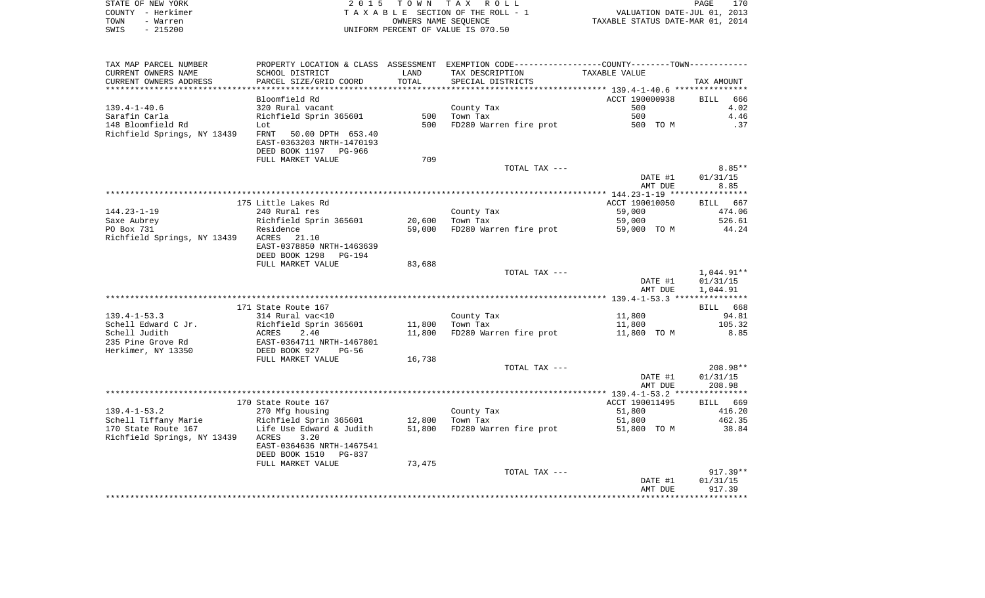| STATE OF NEW YORK | 2015 TOWN TAX ROLL                 | 170<br>PAGE                      |
|-------------------|------------------------------------|----------------------------------|
| COUNTY - Herkimer | TAXABLE SECTION OF THE ROLL - 1    | VALUATION DATE-JUL 01, 2013      |
| TOWN<br>- Warren  | OWNERS NAME SEOUENCE               | TAXABLE STATUS DATE-MAR 01, 2014 |
| $-215200$<br>SWIS | UNIFORM PERCENT OF VALUE IS 070.50 |                                  |

| TAX MAP PARCEL NUMBER       |                                            |        | PROPERTY LOCATION & CLASS ASSESSMENT EXEMPTION CODE----------------COUNTY-------TOWN---------- |                |                    |
|-----------------------------|--------------------------------------------|--------|------------------------------------------------------------------------------------------------|----------------|--------------------|
| CURRENT OWNERS NAME         | SCHOOL DISTRICT                            | LAND   | TAX DESCRIPTION                                                                                | TAXABLE VALUE  |                    |
| CURRENT OWNERS ADDRESS      | PARCEL SIZE/GRID COORD                     | TOTAL  | SPECIAL DISTRICTS                                                                              |                | TAX AMOUNT         |
|                             |                                            |        |                                                                                                |                |                    |
|                             | Bloomfield Rd                              |        |                                                                                                | ACCT 190000938 | 666<br><b>BILL</b> |
| $139.4 - 1 - 40.6$          | 320 Rural vacant                           |        | County Tax                                                                                     | 500            | 4.02               |
| Sarafin Carla               | Richfield Sprin 365601                     | 500    | Town Tax                                                                                       | 500            | 4.46               |
| 148 Bloomfield Rd           | Lot                                        | 500    | FD280 Warren fire prot                                                                         | 500 TO M       | .37                |
| Richfield Springs, NY 13439 | 50.00 DPTH 653.40<br>FRNT                  |        |                                                                                                |                |                    |
|                             | EAST-0363203 NRTH-1470193                  |        |                                                                                                |                |                    |
|                             | DEED BOOK 1197 PG-966                      |        |                                                                                                |                |                    |
|                             | FULL MARKET VALUE                          | 709    |                                                                                                |                |                    |
|                             |                                            |        | TOTAL TAX ---                                                                                  |                | $8.85**$           |
|                             |                                            |        |                                                                                                | DATE #1        | 01/31/15           |
|                             |                                            |        |                                                                                                | AMT DUE        | 8.85               |
|                             |                                            |        |                                                                                                |                |                    |
|                             | 175 Little Lakes Rd                        |        |                                                                                                | ACCT 190010050 | BILL 667           |
| $144.23 - 1 - 19$           | 240 Rural res                              |        | County Tax                                                                                     | 59,000         | 474.06             |
| Saxe Aubrey                 | Richfield Sprin 365601                     | 20,600 | Town Tax                                                                                       | 59,000         | 526.61             |
| PO Box 731                  | Residence                                  | 59,000 | FD280 Warren fire prot                                                                         | 59,000 TO M    | 44.24              |
| Richfield Springs, NY 13439 | ACRES 21.10                                |        |                                                                                                |                |                    |
|                             | EAST-0378850 NRTH-1463639                  |        |                                                                                                |                |                    |
|                             | DEED BOOK 1298<br>PG-194                   |        |                                                                                                |                |                    |
|                             | FULL MARKET VALUE                          | 83,688 |                                                                                                |                |                    |
|                             |                                            |        | TOTAL TAX ---                                                                                  |                | 1,044.91**         |
|                             |                                            |        |                                                                                                | DATE #1        | 01/31/15           |
|                             |                                            |        |                                                                                                | AMT DUE        | 1,044.91           |
|                             |                                            |        |                                                                                                |                |                    |
|                             | 171 State Route 167                        |        |                                                                                                |                | BILL 668           |
| $139.4 - 1 - 53.3$          | 314 Rural vac<10                           |        | County Tax                                                                                     | 11,800         | 94.81              |
| Schell Edward C Jr.         | Richfield Sprin 365601                     | 11,800 | Town Tax                                                                                       | 11,800         | 105.32             |
| Schell Judith               | ACRES<br>2.40                              | 11,800 | FD280 Warren fire prot                                                                         | 11,800 TO M    | 8.85               |
| 235 Pine Grove Rd           | EAST-0364711 NRTH-1467801                  |        |                                                                                                |                |                    |
| Herkimer, NY 13350          | DEED BOOK 927<br>$PG-56$                   |        |                                                                                                |                |                    |
|                             | FULL MARKET VALUE                          | 16,738 |                                                                                                |                |                    |
|                             |                                            |        | TOTAL TAX ---                                                                                  |                | 208.98**           |
|                             |                                            |        |                                                                                                | DATE #1        | 01/31/15           |
|                             |                                            |        |                                                                                                | AMT DUE        | 208.98             |
|                             |                                            |        |                                                                                                |                |                    |
|                             | 170 State Route 167                        |        |                                                                                                | ACCT 190011495 | BILL<br>669        |
| $139.4 - 1 - 53.2$          | 270 Mfg housing                            |        | County Tax                                                                                     | 51,800         | 416.20             |
| Schell Tiffany Marie        | Richfield Sprin 365601                     | 12,800 | Town Tax                                                                                       | 51,800         | 462.35             |
| 170 State Route 167         | Life Use Edward & Judith                   | 51,800 | FD280 Warren fire prot                                                                         | 51,800 TO M    | 38.84              |
| Richfield Springs, NY 13439 | ACRES<br>3.20<br>EAST-0364636 NRTH-1467541 |        |                                                                                                |                |                    |
|                             |                                            |        |                                                                                                |                |                    |
|                             | DEED BOOK 1510<br>PG-837                   |        |                                                                                                |                |                    |
|                             | FULL MARKET VALUE                          | 73,475 | TOTAL TAX ---                                                                                  |                | $917.39**$         |
|                             |                                            |        |                                                                                                | DATE #1        | 01/31/15           |
|                             |                                            |        |                                                                                                |                | 917.39             |
|                             |                                            |        |                                                                                                | AMT DUE        |                    |
|                             |                                            |        |                                                                                                |                |                    |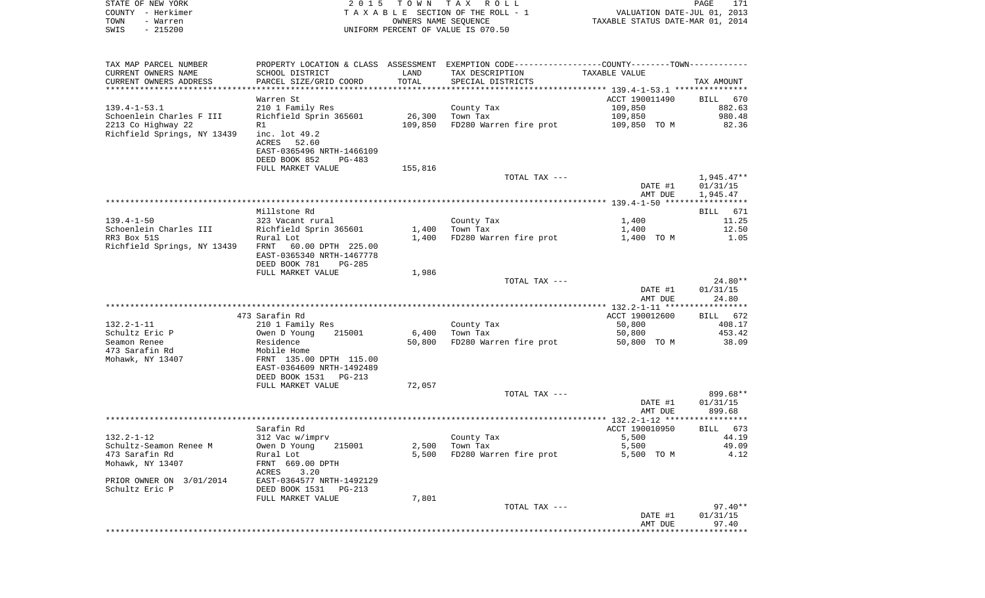| STATE OF NEW YORK           | 2 0 1 5                                                | T O W N              | T A X<br>R O L L                                                                              |                                                | PAGE<br>171           |
|-----------------------------|--------------------------------------------------------|----------------------|-----------------------------------------------------------------------------------------------|------------------------------------------------|-----------------------|
| COUNTY - Herkimer           |                                                        |                      | TAXABLE SECTION OF THE ROLL - 1                                                               | VALUATION DATE-JUL 01, 2013                    |                       |
| TOWN<br>- Warren            |                                                        | OWNERS NAME SEQUENCE |                                                                                               | TAXABLE STATUS DATE-MAR 01, 2014               |                       |
| SWIS<br>$-215200$           |                                                        |                      | UNIFORM PERCENT OF VALUE IS 070.50                                                            |                                                |                       |
|                             |                                                        |                      |                                                                                               |                                                |                       |
|                             |                                                        |                      |                                                                                               |                                                |                       |
| TAX MAP PARCEL NUMBER       |                                                        |                      | PROPERTY LOCATION & CLASS ASSESSMENT EXEMPTION CODE---------------COUNTY-------TOWN---------- |                                                |                       |
| CURRENT OWNERS NAME         | SCHOOL DISTRICT                                        | LAND                 | TAX DESCRIPTION                                                                               | TAXABLE VALUE                                  |                       |
| CURRENT OWNERS ADDRESS      | PARCEL SIZE/GRID COORD                                 | TOTAL                | SPECIAL DISTRICTS                                                                             |                                                | TAX AMOUNT            |
| ***********************     |                                                        |                      |                                                                                               |                                                |                       |
|                             | Warren St                                              |                      |                                                                                               | ACCT 190011490                                 | BILL<br>670           |
| $139.4 - 1 - 53.1$          | 210 1 Family Res                                       |                      | County Tax                                                                                    | 109,850                                        | 882.63                |
| Schoenlein Charles F III    | Richfield Sprin 365601                                 | 26,300               | Town Tax                                                                                      | 109,850                                        | 980.48                |
| 2213 Co Highway 22          | R1                                                     | 109,850              | FD280 Warren fire prot                                                                        | 109,850 TO M                                   | 82.36                 |
| Richfield Springs, NY 13439 | inc. lot 49.2                                          |                      |                                                                                               |                                                |                       |
|                             | ACRES<br>52.60                                         |                      |                                                                                               |                                                |                       |
|                             | EAST-0365496 NRTH-1466109                              |                      |                                                                                               |                                                |                       |
|                             | DEED BOOK 852<br>PG-483                                |                      |                                                                                               |                                                |                       |
|                             | FULL MARKET VALUE                                      | 155,816              |                                                                                               |                                                |                       |
|                             |                                                        |                      | TOTAL TAX ---                                                                                 |                                                | $1,945.47**$          |
|                             |                                                        |                      |                                                                                               | DATE #1                                        | 01/31/15              |
|                             |                                                        |                      |                                                                                               | AMT DUE                                        | 1,945.47              |
|                             |                                                        |                      |                                                                                               |                                                |                       |
|                             | Millstone Rd                                           |                      |                                                                                               |                                                | BILL<br>671           |
| $139.4 - 1 - 50$            | 323 Vacant rural                                       |                      | County Tax                                                                                    | 1,400                                          | 11.25                 |
| Schoenlein Charles III      | Richfield Sprin 365601                                 | 1,400                | Town Tax                                                                                      | 1,400                                          | 12.50                 |
| RR3 Box 51S                 | Rural Lot                                              | 1,400                | FD280 Warren fire prot                                                                        | 1,400 TO M                                     | 1.05                  |
| Richfield Springs, NY 13439 | FRNT<br>60.00 DPTH 225.00                              |                      |                                                                                               |                                                |                       |
|                             | EAST-0365340 NRTH-1467778<br>DEED BOOK 781<br>$PG-285$ |                      |                                                                                               |                                                |                       |
|                             | FULL MARKET VALUE                                      | 1,986                |                                                                                               |                                                |                       |
|                             |                                                        |                      | TOTAL TAX ---                                                                                 |                                                | $24.80**$             |
|                             |                                                        |                      |                                                                                               | DATE #1                                        | 01/31/15              |
|                             |                                                        |                      |                                                                                               | AMT DUE                                        | 24.80                 |
|                             |                                                        |                      |                                                                                               | ************** 132.2-1-11 ******************   |                       |
|                             | 473 Sarafin Rd                                         |                      |                                                                                               | ACCT 190012600                                 | BILL 672              |
| $132.2 - 1 - 11$            | 210 1 Family Res                                       |                      | County Tax                                                                                    | 50,800                                         | 408.17                |
| Schultz Eric P              | Owen D Young<br>215001                                 | 6,400                | Town Tax                                                                                      | 50,800                                         | 453.42                |
| Seamon Renee                | Residence                                              | 50,800               | FD280 Warren fire prot                                                                        | 50,800 TO M                                    | 38.09                 |
| 473 Sarafin Rd              | Mobile Home                                            |                      |                                                                                               |                                                |                       |
| Mohawk, NY 13407            | FRNT 135.00 DPTH 115.00                                |                      |                                                                                               |                                                |                       |
|                             | EAST-0364609 NRTH-1492489                              |                      |                                                                                               |                                                |                       |
|                             | DEED BOOK 1531<br>PG-213                               |                      |                                                                                               |                                                |                       |
|                             | FULL MARKET VALUE                                      | 72,057               |                                                                                               |                                                |                       |
|                             |                                                        |                      | TOTAL TAX ---                                                                                 |                                                | 899.68**              |
|                             |                                                        |                      |                                                                                               | DATE #1                                        | 01/31/15              |
|                             |                                                        |                      |                                                                                               | AMT DUE                                        | 899.68                |
|                             |                                                        |                      |                                                                                               | ***************** 132.2-1-12 ***************** |                       |
|                             | Sarafin Rd                                             |                      |                                                                                               | ACCT 190010950                                 | 673<br>BILL           |
| $132.2 - 1 - 12$            | 312 Vac w/imprv                                        |                      | County Tax                                                                                    | 5,500                                          | 44.19                 |
| Schultz-Seamon Renee M      | Owen D Young<br>215001                                 | 2,500                | Town Tax                                                                                      | 5,500                                          | 49.09                 |
| 473 Sarafin Rd              | Rural Lot                                              | 5,500                | FD280 Warren fire prot                                                                        | 5,500 TO M                                     | 4.12                  |
| Mohawk, NY 13407            | FRNT 669.00 DPTH                                       |                      |                                                                                               |                                                |                       |
|                             | 3.20<br>ACRES                                          |                      |                                                                                               |                                                |                       |
| PRIOR OWNER ON 3/01/2014    | EAST-0364577 NRTH-1492129                              |                      |                                                                                               |                                                |                       |
| Schultz Eric P              | DEED BOOK 1531<br>PG-213                               |                      |                                                                                               |                                                |                       |
|                             | FULL MARKET VALUE                                      | 7,801                |                                                                                               |                                                |                       |
|                             |                                                        |                      | TOTAL TAX ---                                                                                 | DATE #1                                        | $97.40**$<br>01/31/15 |
|                             |                                                        |                      |                                                                                               | AMT DUE                                        | 97.40                 |
|                             |                                                        |                      |                                                                                               |                                                |                       |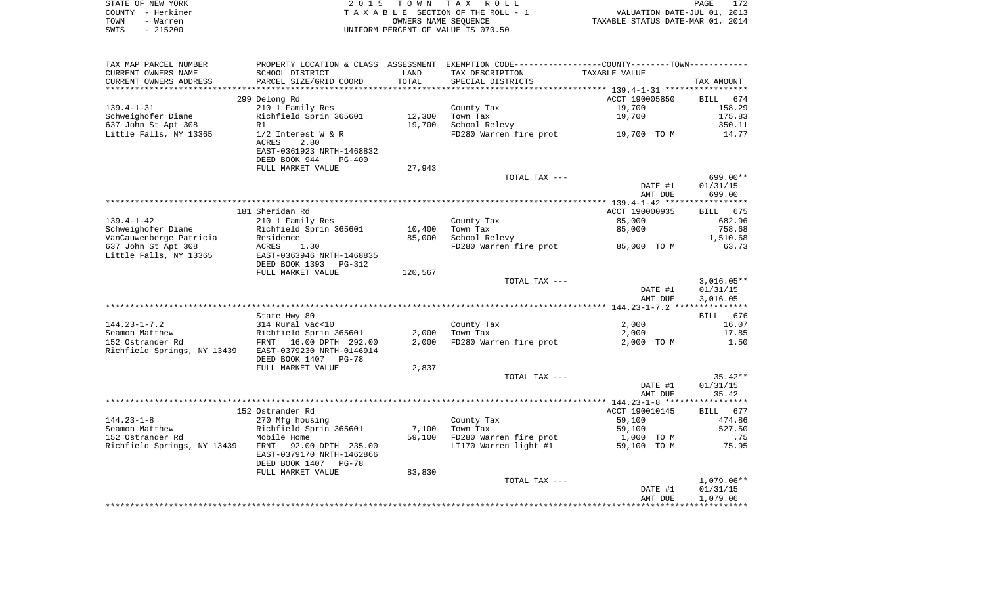|      | STATE OF NEW YORK | 2015 TOWN TAX ROLL                 | PAGE                             | 172 |
|------|-------------------|------------------------------------|----------------------------------|-----|
|      | COUNTY - Herkimer | TAXABLE SECTION OF THE ROLL - 1    | VALUATION DATE-JUL 01, 2013      |     |
| TOWN | - Warren          | OWNERS NAME SEOUENCE               | TAXABLE STATUS DATE-MAR 01, 2014 |     |
| SWIS | - 215200          | UNIFORM PERCENT OF VALUE IS 070.50 |                                  |     |

| TAX MAP PARCEL NUMBER       | PROPERTY LOCATION & CLASS ASSESSMENT |         |                        | EXEMPTION CODE-----------------COUNTY-------TOWN----------- |                       |
|-----------------------------|--------------------------------------|---------|------------------------|-------------------------------------------------------------|-----------------------|
| CURRENT OWNERS NAME         | SCHOOL DISTRICT                      | LAND    | TAX DESCRIPTION        | TAXABLE VALUE                                               |                       |
| CURRENT OWNERS ADDRESS      | PARCEL SIZE/GRID COORD               | TOTAL   | SPECIAL DISTRICTS      |                                                             | TAX AMOUNT            |
| ***********************     | ************************             |         |                        |                                                             |                       |
|                             | 299 Delong Rd                        |         |                        | ACCT 190005850                                              | BILL<br>674           |
| $139.4 - 1 - 31$            | 210 1 Family Res                     |         | County Tax             | 19,700                                                      | 158.29                |
| Schweighofer Diane          | Richfield Sprin 365601               | 12,300  | Town Tax               | 19,700                                                      | 175.83                |
| 637 John St Apt 308         | R1                                   | 19,700  | School Relevy          |                                                             | 350.11                |
| Little Falls, NY 13365      | $1/2$ Interest W & R                 |         | FD280 Warren fire prot | 19,700 TO M                                                 | 14.77                 |
|                             | <b>ACRES</b><br>2.80                 |         |                        |                                                             |                       |
|                             | EAST-0361923 NRTH-1468832            |         |                        |                                                             |                       |
|                             | DEED BOOK 944<br>$PG-400$            |         |                        |                                                             |                       |
|                             | FULL MARKET VALUE                    | 27,943  |                        |                                                             | $699.00**$            |
|                             |                                      |         | TOTAL TAX ---          | DATE #1                                                     |                       |
|                             |                                      |         |                        | AMT DUE                                                     | 01/31/15<br>699.00    |
|                             |                                      |         |                        |                                                             |                       |
|                             | 181 Sheridan Rd                      |         |                        | ACCT 190000935                                              | 675<br>BILL           |
| $139.4 - 1 - 42$            | 210 1 Family Res                     |         | County Tax             | 85,000                                                      | 682.96                |
| Schweighofer Diane          | Richfield Sprin 365601               | 10,400  | Town Tax               | 85,000                                                      | 758.68                |
| VanCauwenberge Patricia     | Residence                            | 85,000  | School Relevy          |                                                             | 1,510.68              |
| 637 John St Apt 308         | ACRES<br>1.30                        |         | FD280 Warren fire prot | 85,000 TO M                                                 | 63.73                 |
| Little Falls, NY 13365      | EAST-0363946 NRTH-1468835            |         |                        |                                                             |                       |
|                             | DEED BOOK 1393 PG-312                |         |                        |                                                             |                       |
|                             | FULL MARKET VALUE                    | 120,567 |                        |                                                             |                       |
|                             |                                      |         | TOTAL TAX ---          |                                                             | $3,016.05**$          |
|                             |                                      |         |                        | DATE #1                                                     | 01/31/15              |
|                             |                                      |         |                        | AMT DUE                                                     | 3,016.05              |
|                             |                                      |         |                        |                                                             |                       |
|                             | State Hwy 80                         |         |                        |                                                             | 676<br>BILL           |
| $144.23 - 1 - 7.2$          | 314 Rural vac<10                     |         | County Tax             | 2,000                                                       | 16.07                 |
| Seamon Matthew              | Richfield Sprin 365601               | 2,000   | Town Tax               | 2,000                                                       | 17.85                 |
| 152 Ostrander Rd            | FRNT 16.00 DPTH 292.00               | 2,000   | FD280 Warren fire prot | 2,000 TO M                                                  | 1.50                  |
| Richfield Springs, NY 13439 | EAST-0379230 NRTH-0146914            |         |                        |                                                             |                       |
|                             | DEED BOOK 1407 PG-78                 |         |                        |                                                             |                       |
|                             | FULL MARKET VALUE                    | 2,837   |                        |                                                             |                       |
|                             |                                      |         | TOTAL TAX ---          | DATE #1                                                     | $35.42**$<br>01/31/15 |
|                             |                                      |         |                        | AMT DUE                                                     | 35.42                 |
|                             |                                      |         |                        |                                                             |                       |
|                             | 152 Ostrander Rd                     |         |                        | ACCT 190010145                                              | <b>BILL</b><br>677    |
| $144.23 - 1 - 8$            | 270 Mfg housing                      |         | County Tax             | 59,100                                                      | 474.86                |
| Seamon Matthew              | Richfield Sprin 365601               | 7,100   | Town Tax               | 59,100                                                      | 527.50                |
| 152 Ostrander Rd            | Mobile Home                          | 59,100  | FD280 Warren fire prot | 1,000<br>TO M                                               | .75                   |
| Richfield Springs, NY 13439 | 92.00 DPTH 235.00<br>FRNT            |         | LT170 Warren light #1  | 59,100 TO M                                                 | 75.95                 |
|                             | EAST-0379170 NRTH-1462866            |         |                        |                                                             |                       |
|                             | DEED BOOK 1407 PG-78                 |         |                        |                                                             |                       |
|                             | FULL MARKET VALUE                    | 83,830  |                        |                                                             |                       |
|                             |                                      |         | TOTAL TAX ---          |                                                             | $1,079.06**$          |
|                             |                                      |         |                        | DATE #1                                                     | 01/31/15              |
|                             |                                      |         |                        | AMT DUE                                                     | 1,079.06              |
|                             |                                      |         |                        |                                                             |                       |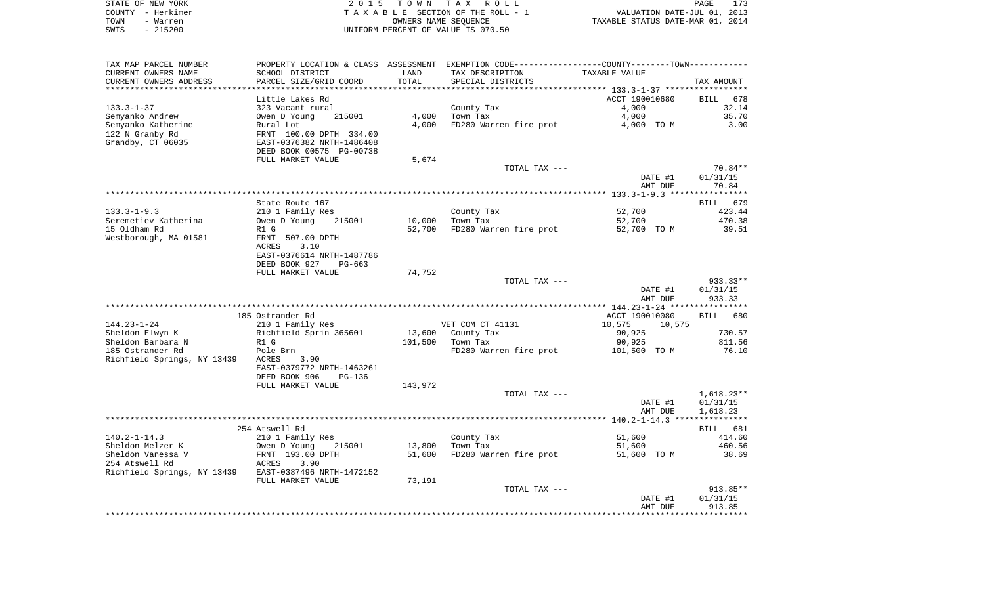| STATE OF NEW YORK | 2015 TOWN TAX ROLL                 | 173<br>PAGE                      |
|-------------------|------------------------------------|----------------------------------|
| COUNTY - Herkimer | TAXABLE SECTION OF THE ROLL - 1    | VALUATION DATE-JUL 01, 2013      |
| TOWN<br>- Warren  | OWNERS NAME SEOUENCE               | TAXABLE STATUS DATE-MAR 01, 2014 |
| $-215200$<br>SWIS | UNIFORM PERCENT OF VALUE IS 070.50 |                                  |

| TAX MAP PARCEL NUMBER                  |                                            |         | PROPERTY LOCATION & CLASS ASSESSMENT EXEMPTION CODE---------------COUNTY-------TOWN---------- |                  |                       |
|----------------------------------------|--------------------------------------------|---------|-----------------------------------------------------------------------------------------------|------------------|-----------------------|
| CURRENT OWNERS NAME                    | SCHOOL DISTRICT                            | LAND    | TAX DESCRIPTION                                                                               | TAXABLE VALUE    |                       |
| CURRENT OWNERS ADDRESS                 | PARCEL SIZE/GRID COORD                     | TOTAL   | SPECIAL DISTRICTS                                                                             |                  | TAX AMOUNT            |
| ***********************                |                                            |         |                                                                                               |                  |                       |
|                                        | Little Lakes Rd                            |         |                                                                                               | ACCT 190010680   | <b>BILL</b><br>678    |
| $133.3 - 1 - 37$                       | 323 Vacant rural                           |         | County Tax                                                                                    | 4,000            | 32.14                 |
| Semyanko Andrew                        | Owen D Young<br>215001                     | 4,000   | Town Tax                                                                                      | 4,000            | 35.70                 |
| Semyanko Katherine                     | Rural Lot                                  | 4,000   | FD280 Warren fire prot                                                                        | 4,000 TO M       | 3.00                  |
| 122 N Granby Rd                        | FRNT 100.00 DPTH 334.00                    |         |                                                                                               |                  |                       |
| Grandby, CT 06035                      | EAST-0376382 NRTH-1486408                  |         |                                                                                               |                  |                       |
|                                        | DEED BOOK 00575 PG-00738                   |         |                                                                                               |                  |                       |
|                                        | FULL MARKET VALUE                          | 5,674   |                                                                                               |                  |                       |
|                                        |                                            |         | TOTAL TAX ---                                                                                 |                  | 70.84**               |
|                                        |                                            |         |                                                                                               | DATE #1          | 01/31/15<br>70.84     |
|                                        |                                            |         |                                                                                               | AMT DUE          |                       |
|                                        | State Route 167                            |         |                                                                                               |                  | 679<br>BILL           |
| $133.3 - 1 - 9.3$                      | 210 1 Family Res                           |         | County Tax                                                                                    | 52,700           | 423.44                |
| Seremetiev Katherina                   | Owen D Young<br>215001                     | 10,000  | Town Tax                                                                                      | 52,700           | 470.38                |
| 15 Oldham Rd                           | R1 G                                       | 52,700  | FD280 Warren fire prot                                                                        | 52,700 TO M      | 39.51                 |
| Westborough, MA 01581                  | FRNT 507.00 DPTH                           |         |                                                                                               |                  |                       |
|                                        | <b>ACRES</b><br>3.10                       |         |                                                                                               |                  |                       |
|                                        | EAST-0376614 NRTH-1487786                  |         |                                                                                               |                  |                       |
|                                        | DEED BOOK 927<br>$PG-663$                  |         |                                                                                               |                  |                       |
|                                        | FULL MARKET VALUE                          | 74,752  |                                                                                               |                  |                       |
|                                        |                                            |         | TOTAL TAX ---                                                                                 |                  | 933.33**              |
|                                        |                                            |         |                                                                                               | DATE #1          | 01/31/15              |
|                                        |                                            |         |                                                                                               | AMT DUE          | 933.33                |
|                                        |                                            |         |                                                                                               |                  |                       |
|                                        | 185 Ostrander Rd                           |         |                                                                                               | ACCT 190010080   | 680<br>BILL           |
| $144.23 - 1 - 24$                      | 210 1 Family Res                           |         | VET COM CT 41131                                                                              | 10,575<br>10,575 |                       |
| Sheldon Elwyn K                        | Richfield Sprin 365601                     | 13,600  | County Tax                                                                                    | 90,925           | 730.57                |
| Sheldon Barbara N                      | R1 G                                       | 101,500 | Town Tax                                                                                      | 90,925           | 811.56                |
| 185 Ostrander Rd                       | Pole Brn                                   |         | FD280 Warren fire prot                                                                        | 101,500 TO M     | 76.10                 |
| Richfield Springs, NY 13439            | <b>ACRES</b><br>3.90                       |         |                                                                                               |                  |                       |
|                                        | EAST-0379772 NRTH-1463261                  |         |                                                                                               |                  |                       |
|                                        | DEED BOOK 906<br>PG-136                    |         |                                                                                               |                  |                       |
|                                        | FULL MARKET VALUE                          | 143,972 |                                                                                               |                  |                       |
|                                        |                                            |         | TOTAL TAX ---                                                                                 |                  | $1,618.23**$          |
|                                        |                                            |         |                                                                                               | DATE #1          | 01/31/15              |
|                                        |                                            |         |                                                                                               | AMT DUE          | 1,618.23              |
|                                        |                                            |         |                                                                                               |                  |                       |
|                                        | 254 Atswell Rd                             |         |                                                                                               |                  | BILL<br>681<br>414.60 |
| $140.2 - 1 - 14.3$<br>Sheldon Melzer K | 210 1 Family Res<br>Owen D Young<br>215001 | 13,800  | County Tax<br>Town Tax                                                                        | 51,600<br>51,600 | 460.56                |
| Sheldon Vanessa V                      | FRNT 193.00 DPTH                           | 51,600  | FD280 Warren fire prot                                                                        | 51,600 TO M      | 38.69                 |
| 254 Atswell Rd                         | ACRES<br>3.90                              |         |                                                                                               |                  |                       |
| Richfield Springs, NY 13439            | EAST-0387496 NRTH-1472152                  |         |                                                                                               |                  |                       |
|                                        | FULL MARKET VALUE                          | 73,191  |                                                                                               |                  |                       |
|                                        |                                            |         | TOTAL TAX ---                                                                                 |                  | $913.85**$            |
|                                        |                                            |         |                                                                                               | DATE #1          | 01/31/15              |
|                                        |                                            |         |                                                                                               | AMT DUE          | 913.85                |
|                                        |                                            |         |                                                                                               |                  |                       |
|                                        |                                            |         |                                                                                               |                  |                       |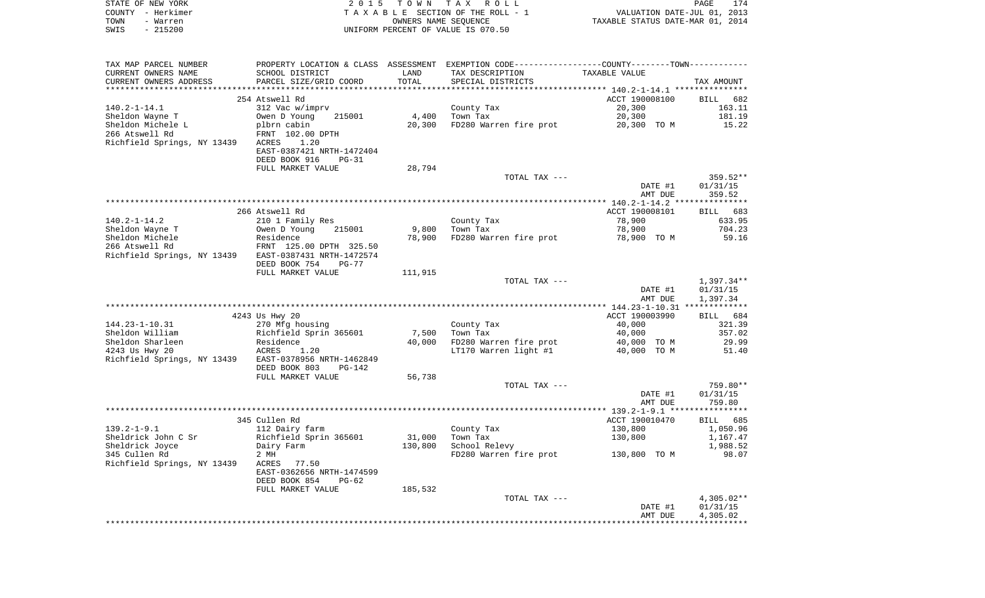| STATE OF NEW YORK<br>COUNTY - Herkimer                                  |                                                                                               |         | 2015 TOWN TAX ROLL<br>TAXABLE SECTION OF THE ROLL - 1 | VALUATION DATE-JUL 01, 2013      | 174<br>PAGE        |
|-------------------------------------------------------------------------|-----------------------------------------------------------------------------------------------|---------|-------------------------------------------------------|----------------------------------|--------------------|
| TOWN<br>- Warren                                                        | OWNERS NAME SEQUENCE                                                                          |         |                                                       | TAXABLE STATUS DATE-MAR 01, 2014 |                    |
| $-215200$<br>SWIS                                                       |                                                                                               |         | UNIFORM PERCENT OF VALUE IS 070.50                    |                                  |                    |
|                                                                         |                                                                                               |         |                                                       |                                  |                    |
| TAX MAP PARCEL NUMBER                                                   | PROPERTY LOCATION & CLASS ASSESSMENT EXEMPTION CODE---------------COUNTY-------TOWN---------- |         |                                                       |                                  |                    |
| CURRENT OWNERS NAME                                                     | SCHOOL DISTRICT                                                                               | LAND    | TAX DESCRIPTION                                       | TAXABLE VALUE                    |                    |
| CURRENT OWNERS ADDRESS                                                  | PARCEL SIZE/GRID COORD                                                                        | TOTAL   | SPECIAL DISTRICTS                                     |                                  | TAX AMOUNT         |
|                                                                         | 254 Atswell Rd                                                                                |         |                                                       | ACCT 190008100                   | BILL 682           |
| 140.2-1-14.1                                                            | 312 Vac w/imprv                                                                               |         | County Tax                                            | 20,300                           | 163.11             |
| Sheldon Wayne T                                                         | 215001<br>Owen D Young                                                                        | 4,400   | Town Tax                                              | 20,300                           | 181.19             |
| Sheldon Michele L                                                       | plbrn cabin                                                                                   | 20,300  | FD280 Warren fire prot                                | 20,300 TO M                      | 15.22              |
| 266 Atswell Rd                                                          | FRNT 102.00 DPTH                                                                              |         |                                                       |                                  |                    |
| Richfield Springs, NY 13439 ACRES                                       | 1.20                                                                                          |         |                                                       |                                  |                    |
|                                                                         | EAST-0387421 NRTH-1472404                                                                     |         |                                                       |                                  |                    |
|                                                                         | DEED BOOK 916<br>PG-31                                                                        |         |                                                       |                                  |                    |
|                                                                         | FULL MARKET VALUE                                                                             | 28,794  | TOTAL TAX ---                                         |                                  | 359.52**           |
|                                                                         |                                                                                               |         |                                                       | DATE #1                          | 01/31/15           |
|                                                                         |                                                                                               |         |                                                       | AMT DUE                          | 359.52             |
|                                                                         |                                                                                               |         |                                                       |                                  |                    |
|                                                                         | 266 Atswell Rd                                                                                |         |                                                       | ACCT 190008101                   | BILL 683           |
| 140.2-1-14.2                                                            | 210 1 Family Res                                                                              |         | County Tax                                            | 78,900                           | 633.95             |
| Sheldon Wayne T                                                         | 215001<br>Owen D Young                                                                        | 9,800   | Town Tax                                              | 78,900                           | 704.23             |
| Sheldon Michele                                                         | Residence                                                                                     | 78,900  | FD280 Warren fire prot                                | 78,900 TO M                      | 59.16              |
| 266 Atswell Rd<br>Richfield Springs, NY 13439 EAST-0387431 NRTH-1472574 | FRNT 125.00 DPTH 325.50                                                                       |         |                                                       |                                  |                    |
|                                                                         | DEED BOOK 754<br>PG-77                                                                        |         |                                                       |                                  |                    |
|                                                                         | FULL MARKET VALUE                                                                             | 111,915 |                                                       |                                  |                    |
|                                                                         |                                                                                               |         | TOTAL TAX ---                                         |                                  | 1,397.34**         |
|                                                                         |                                                                                               |         |                                                       | DATE #1                          | 01/31/15           |
|                                                                         |                                                                                               |         |                                                       | AMT DUE                          | 1,397.34           |
|                                                                         |                                                                                               |         |                                                       |                                  |                    |
| 144.23-1-10.31                                                          | 4243 Us Hwy 20<br>270 Mfg housing                                                             |         | County Tax                                            | ACCT 190003990<br>40,000         | BILL 684<br>321.39 |
| Sheldon William                                                         | Richfield Sprin 365601                                                                        | 7,500   | Town Tax                                              | 40,000                           | 357.02             |
| Sheldon Sharleen                                                        | Residence                                                                                     | 40,000  | FD280 Warren fire prot                                | 40,000 TO M                      | 29.99              |
| 4243 Us Hwy 20                                                          | ACRES<br>1.20                                                                                 |         | LT170 Warren light #1                                 | 40,000 TO M                      | 51.40              |
| Richfield Springs, NY 13439 EAST-0378956 NRTH-1462849                   |                                                                                               |         |                                                       |                                  |                    |
|                                                                         | DEED BOOK 803<br>PG-142                                                                       |         |                                                       |                                  |                    |
|                                                                         | FULL MARKET VALUE                                                                             | 56,738  |                                                       |                                  |                    |
|                                                                         |                                                                                               |         | TOTAL TAX ---                                         |                                  | 759.80**           |
|                                                                         |                                                                                               |         |                                                       | DATE #1<br>AMT DUE               | 01/31/15<br>759.80 |
|                                                                         |                                                                                               |         |                                                       |                                  |                    |
|                                                                         | 345 Cullen Rd                                                                                 |         |                                                       | ACCT 190010470                   | BILL 685           |
| 139.2–1–9.1                                                             | 112 Dairy farm                                                                                |         | County Tax                                            | 130,800                          | 1,050.96           |
| Sheldrick John C Sr                                                     | Richfield Sprin 365601                                                                        | 31,000  | Town Tax                                              | 130,800                          | 1,167.47           |
| Sheldrick Joyce                                                         | Dairy Farm                                                                                    | 130,800 | School Relevy                                         |                                  | 1,988.52           |
| 345 Cullen Rd                                                           | 2 MH                                                                                          |         | FD280 Warren fire prot 130,800 TO M                   |                                  | 98.07              |
| Richfield Springs, NY 13439 ACRES                                       | 77.50                                                                                         |         |                                                       |                                  |                    |
|                                                                         | EAST-0362656 NRTH-1474599<br>PG-62                                                            |         |                                                       |                                  |                    |
|                                                                         | DEED BOOK 854<br>FULL MARKET VALUE                                                            | 185,532 |                                                       |                                  |                    |
|                                                                         |                                                                                               |         | $TOPAT$ $TAY$ $---$                                   |                                  | $A$ 205 02**       |

TOTAL TAX --- 4,305.02<br>DATE #1 01/31/15<br>AMT DUE 4,305.02 DATE #1 01/31/15 AMT DUE 4,305.02 \*\*\*\*\*\*\*\*\*\*\*\*\*\*\*\*\*\*\*\*\*\*\*\*\*\*\*\*\*\*\*\*\*\*\*\*\*\*\*\*\*\*\*\*\*\*\*\*\*\*\*\*\*\*\*\*\*\*\*\*\*\*\*\*\*\*\*\*\*\*\*\*\*\*\*\*\*\*\*\*\*\*\*\*\*\*\*\*\*\*\*\*\*\*\*\*\*\*\*\*\*\*\*\*\*\*\*\*\*\*\*\*\*\*\*\*\*\*\*\*\*\*\*\*\*\*\*\*\*\*\*\*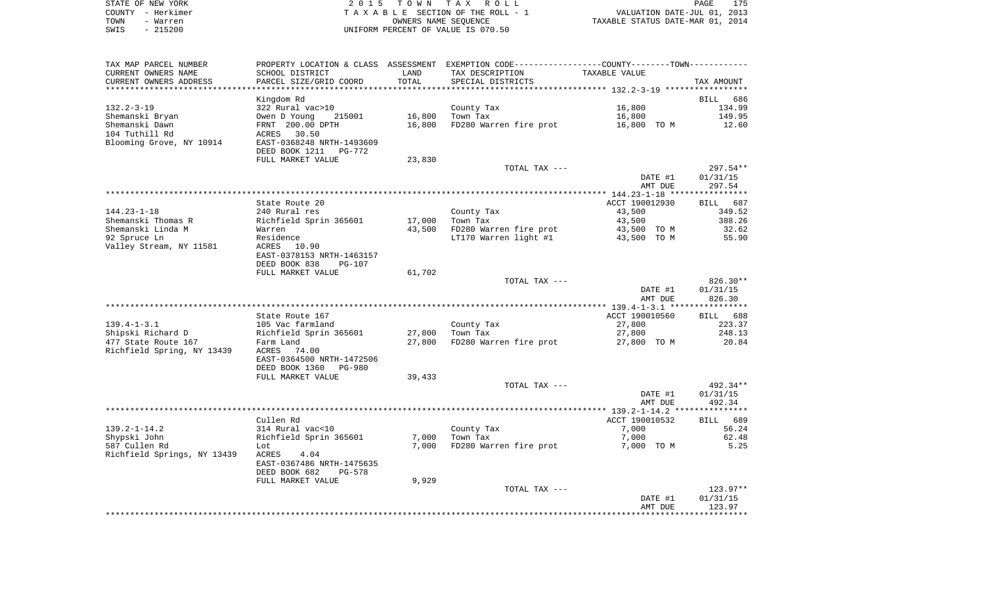| STATE OF NEW YORK | 2015 TOWN TAX ROLL                 | 175<br>PAGE                      |
|-------------------|------------------------------------|----------------------------------|
| COUNTY - Herkimer | TAXABLE SECTION OF THE ROLL - 1    | VALUATION DATE-JUL 01, 2013      |
| TOWN<br>- Warren  | OWNERS NAME SEOUENCE               | TAXABLE STATUS DATE-MAR 01, 2014 |
| $-215200$<br>SWIS | UNIFORM PERCENT OF VALUE IS 070.50 |                                  |

| TAX MAP PARCEL NUMBER            |                                 |        | PROPERTY LOCATION & CLASS ASSESSMENT EXEMPTION CODE---------------COUNTY-------TOWN---------- |                |                    |
|----------------------------------|---------------------------------|--------|-----------------------------------------------------------------------------------------------|----------------|--------------------|
| CURRENT OWNERS NAME              | SCHOOL DISTRICT                 | LAND   | TAX DESCRIPTION                                                                               | TAXABLE VALUE  |                    |
| CURRENT OWNERS ADDRESS           | PARCEL SIZE/GRID COORD          | TOTAL  | SPECIAL DISTRICTS                                                                             |                | TAX AMOUNT         |
|                                  |                                 |        |                                                                                               |                |                    |
|                                  | Kingdom Rd                      |        |                                                                                               |                | <b>BILL</b><br>686 |
| $132.2 - 3 - 19$                 | 322 Rural vac>10                |        | County Tax                                                                                    | 16,800         | 134.99             |
| Shemanski Bryan                  | Owen D Young<br>215001          | 16,800 | Town Tax                                                                                      | 16,800         | 149.95             |
| Shemanski Dawn<br>104 Tuthill Rd | FRNT 200.00 DPTH<br>ACRES 30.50 | 16,800 | FD280 Warren fire prot                                                                        | 16,800 TO M    | 12.60              |
| Blooming Grove, NY 10914         | EAST-0368248 NRTH-1493609       |        |                                                                                               |                |                    |
|                                  | DEED BOOK 1211 PG-772           |        |                                                                                               |                |                    |
|                                  | FULL MARKET VALUE               | 23,830 |                                                                                               |                |                    |
|                                  |                                 |        | TOTAL TAX ---                                                                                 |                | $297.54**$         |
|                                  |                                 |        |                                                                                               | DATE #1        | 01/31/15           |
|                                  |                                 |        |                                                                                               | AMT DUE        | 297.54             |
|                                  |                                 |        |                                                                                               |                |                    |
|                                  | State Route 20                  |        |                                                                                               | ACCT 190012930 | BILL 687           |
| $144.23 - 1 - 18$                | 240 Rural res                   |        | County Tax                                                                                    | 43,500         | 349.52             |
| Shemanski Thomas R               | Richfield Sprin 365601          | 17,000 | Town Tax                                                                                      | 43,500         | 388.26             |
| Shemanski Linda M                | Warren                          | 43,500 | FD280 Warren fire prot                                                                        | 43,500 TO M    | 32.62              |
| 92 Spruce Ln                     | Residence                       |        | LT170 Warren light #1                                                                         | 43,500 TO M    | 55.90              |
| Valley Stream, NY 11581          | ACRES<br>10.90                  |        |                                                                                               |                |                    |
|                                  | EAST-0378153 NRTH-1463157       |        |                                                                                               |                |                    |
|                                  | DEED BOOK 838<br>PG-107         |        |                                                                                               |                |                    |
|                                  | FULL MARKET VALUE               | 61,702 |                                                                                               |                |                    |
|                                  |                                 |        | TOTAL TAX ---                                                                                 |                | $826.30**$         |
|                                  |                                 |        |                                                                                               | DATE #1        | 01/31/15           |
|                                  |                                 |        |                                                                                               | AMT DUE        | 826.30             |
|                                  |                                 |        |                                                                                               |                |                    |
|                                  | State Route 167                 |        |                                                                                               | ACCT 190010560 | BILL 688           |
| $139.4 - 1 - 3.1$                | 105 Vac farmland                |        | County Tax                                                                                    | 27,800         | 223.37             |
| Shipski Richard D                | Richfield Sprin 365601          | 27,800 | Town Tax                                                                                      | 27,800         | 248.13             |
| 477 State Route 167              | Farm Land                       | 27,800 | FD280 Warren fire prot                                                                        | 27,800 TO M    | 20.84              |
| Richfield Spring, NY 13439       | ACRES 74.00                     |        |                                                                                               |                |                    |
|                                  | EAST-0364500 NRTH-1472506       |        |                                                                                               |                |                    |
|                                  | DEED BOOK 1360<br>PG-980        |        |                                                                                               |                |                    |
|                                  | FULL MARKET VALUE               | 39,433 |                                                                                               |                |                    |
|                                  |                                 |        | TOTAL TAX ---                                                                                 |                | 492.34**           |
|                                  |                                 |        |                                                                                               | DATE #1        | 01/31/15           |
|                                  |                                 |        |                                                                                               | AMT DUE        | 492.34             |
|                                  |                                 |        |                                                                                               |                |                    |
|                                  | Cullen Rd                       |        |                                                                                               | ACCT 190010532 | BILL 689           |
| $139.2 - 1 - 14.2$               | 314 Rural vac<10                |        | County Tax                                                                                    | 7,000          | 56.24              |
| Shypski John                     | Richfield Sprin 365601          | 7,000  | Town Tax                                                                                      | 7,000          | 62.48              |
|                                  |                                 |        | FD280 Warren fire prot                                                                        |                |                    |
| 587 Cullen Rd                    | Lot                             | 7,000  |                                                                                               | 7,000 TO M     | 5.25               |
| Richfield Springs, NY 13439      | 4.04<br>ACRES                   |        |                                                                                               |                |                    |
|                                  | EAST-0367486 NRTH-1475635       |        |                                                                                               |                |                    |
|                                  | DEED BOOK 682<br><b>PG-578</b>  |        |                                                                                               |                |                    |
|                                  | FULL MARKET VALUE               | 9,929  |                                                                                               |                |                    |
|                                  |                                 |        | TOTAL TAX ---                                                                                 |                | 123.97**           |
|                                  |                                 |        |                                                                                               | DATE #1        | 01/31/15           |
|                                  |                                 |        |                                                                                               | AMT DUE        | 123.97             |
|                                  |                                 |        |                                                                                               |                |                    |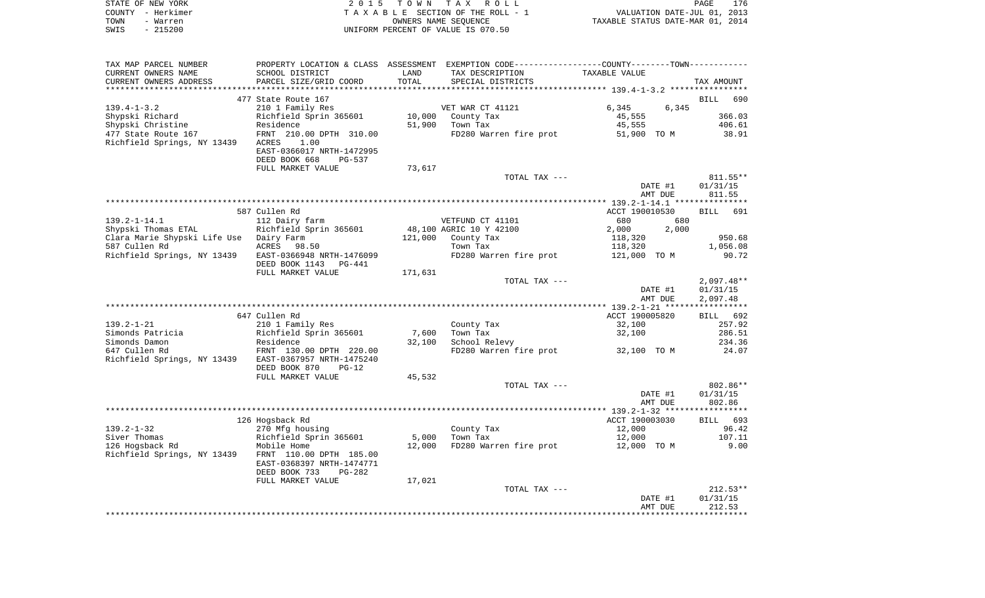|      | STATE OF NEW YORK | 2015 TOWN TAX ROLL                 | PAGE                             | 176 |
|------|-------------------|------------------------------------|----------------------------------|-----|
|      | COUNTY - Herkimer | TAXABLE SECTION OF THE ROLL - 1    | VALUATION DATE-JUL 01, 2013      |     |
| TOWN | - Warren          | OWNERS NAME SEOUENCE               | TAXABLE STATUS DATE-MAR 01, 2014 |     |
| SWIS | - 215200          | UNIFORM PERCENT OF VALUE IS 070.50 |                                  |     |

| TAX MAP PARCEL NUMBER                   | PROPERTY LOCATION & CLASS ASSESSMENT EXEMPTION CODE---------------COUNTY-------TOWN---------- |         |                         |                |                    |
|-----------------------------------------|-----------------------------------------------------------------------------------------------|---------|-------------------------|----------------|--------------------|
| CURRENT OWNERS NAME                     | SCHOOL DISTRICT                                                                               | LAND    | TAX DESCRIPTION         | TAXABLE VALUE  |                    |
| CURRENT OWNERS ADDRESS                  | PARCEL SIZE/GRID COORD                                                                        | TOTAL   | SPECIAL DISTRICTS       |                | TAX AMOUNT         |
|                                         |                                                                                               |         |                         |                |                    |
|                                         | 477 State Route 167                                                                           |         |                         |                | <b>BILL</b><br>690 |
| $139.4 - 1 - 3.2$                       | 210 1 Family Res                                                                              |         | VET WAR CT 41121        | 6,345<br>6,345 |                    |
| Shypski Richard                         | Richfield Sprin 365601                                                                        |         | 10,000 County Tax       | 45,555         | 366.03             |
| Shypski Christine                       | Residence                                                                                     | 51,900  | Town Tax                | 45,555         | 406.61             |
| 477 State Route 167                     | FRNT 210.00 DPTH 310.00                                                                       |         | FD280 Warren fire prot  | 51,900 TO M    | 38.91              |
| Richfield Springs, NY 13439             | <b>ACRES</b><br>1.00                                                                          |         |                         |                |                    |
|                                         | EAST-0366017 NRTH-1472995                                                                     |         |                         |                |                    |
|                                         | DEED BOOK 668<br>PG-537                                                                       |         |                         |                |                    |
|                                         | FULL MARKET VALUE                                                                             | 73,617  |                         |                |                    |
|                                         |                                                                                               |         | TOTAL TAX ---           |                | 811.55**           |
|                                         |                                                                                               |         |                         | DATE #1        | 01/31/15           |
|                                         |                                                                                               |         |                         | AMT DUE        | 811.55             |
|                                         |                                                                                               |         |                         |                |                    |
|                                         |                                                                                               |         |                         |                |                    |
|                                         | 587 Cullen Rd                                                                                 |         |                         | ACCT 190010530 | BILL<br>691        |
| $139.2 - 1 - 14.1$                      | 112 Dairy farm                                                                                |         | VETFUND CT 41101        | 680<br>680     |                    |
| Shypski Thomas ETAL                     | Richfield Sprin 365601                                                                        |         | 48,100 AGRIC 10 Y 42100 | 2,000<br>2,000 |                    |
| Clara Marie Shypski Life Use Dairy Farm |                                                                                               | 121,000 | County Tax              | 118,320        | 950.68             |
| 587 Cullen Rd                           | ACRES 98.50                                                                                   |         | Town Tax                | 118,320        | 1,056.08           |
| Richfield Springs, NY 13439             | EAST-0366948 NRTH-1476099                                                                     |         | FD280 Warren fire prot  | 121,000 TO M   | 90.72              |
|                                         | DEED BOOK 1143<br>PG-441                                                                      |         |                         |                |                    |
|                                         | FULL MARKET VALUE                                                                             | 171,631 |                         |                |                    |
|                                         |                                                                                               |         | TOTAL TAX ---           |                | $2,097.48**$       |
|                                         |                                                                                               |         |                         | DATE #1        | 01/31/15           |
|                                         |                                                                                               |         |                         | AMT DUE        | 2,097.48           |
|                                         |                                                                                               |         |                         |                |                    |
|                                         | 647 Cullen Rd                                                                                 |         |                         | ACCT 190005820 | BILL 692           |
| $139.2 - 1 - 21$                        | 210 1 Family Res                                                                              |         | County Tax              | 32,100         | 257.92             |
| Simonds Patricia                        | Richfield Sprin 365601                                                                        | 7,600   | Town Tax                | 32,100         | 286.51             |
| Simonds Damon                           | Residence                                                                                     | 32,100  | School Relevy           |                | 234.36             |
| 647 Cullen Rd                           | FRNT 130.00 DPTH 220.00                                                                       |         | FD280 Warren fire prot  | 32,100 TO M    | 24.07              |
| Richfield Springs, NY 13439             | EAST-0367957 NRTH-1475240                                                                     |         |                         |                |                    |
|                                         | DEED BOOK 870<br>$PG-12$                                                                      |         |                         |                |                    |
|                                         | FULL MARKET VALUE                                                                             | 45,532  |                         |                |                    |
|                                         |                                                                                               |         | TOTAL TAX ---           |                | 802.86**           |
|                                         |                                                                                               |         |                         | DATE #1        | 01/31/15           |
|                                         |                                                                                               |         |                         | AMT DUE        | 802.86             |
|                                         |                                                                                               |         |                         |                |                    |
|                                         | 126 Hogsback Rd                                                                               |         |                         | ACCT 190003030 | BILL 693           |
| $139.2 - 1 - 32$                        | 270 Mfg housing                                                                               |         | County Tax              | 12,000         | 96.42              |
| Siver Thomas                            | Richfield Sprin 365601                                                                        | 5,000   | Town Tax                | 12,000         | 107.11             |
| 126 Hogsback Rd                         | Mobile Home                                                                                   | 12,000  | FD280 Warren fire prot  | 12,000 TO M    | 9.00               |
| Richfield Springs, NY 13439             | FRNT 110.00 DPTH 185.00                                                                       |         |                         |                |                    |
|                                         | EAST-0368397 NRTH-1474771                                                                     |         |                         |                |                    |
|                                         | DEED BOOK 733<br>PG-282                                                                       |         |                         |                |                    |
|                                         | FULL MARKET VALUE                                                                             | 17,021  |                         |                |                    |
|                                         |                                                                                               |         | TOTAL TAX ---           |                | $212.53**$         |
|                                         |                                                                                               |         |                         | DATE #1        | 01/31/15           |
|                                         |                                                                                               |         |                         | AMT DUE        | 212.53             |
|                                         |                                                                                               |         |                         |                |                    |
|                                         |                                                                                               |         |                         |                |                    |
|                                         |                                                                                               |         |                         |                |                    |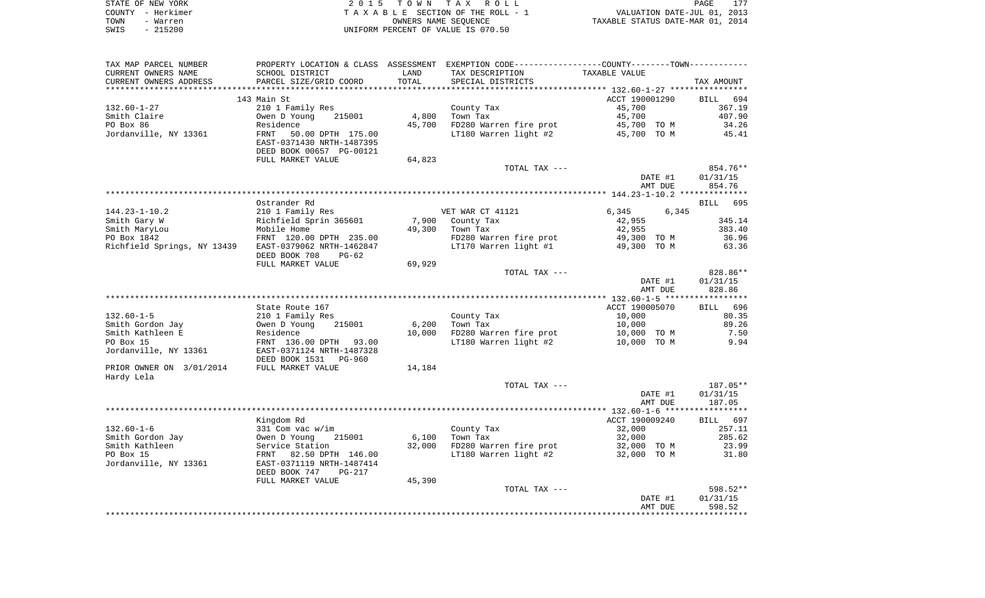|      | STATE OF NEW YORK | 2015 TOWN TAX ROLL                 | PAGE                             |
|------|-------------------|------------------------------------|----------------------------------|
|      | COUNTY - Herkimer | TAXABLE SECTION OF THE ROLL - 1    | VALUATION DATE-JUL 01, 2013      |
| TOWN | - Warren          | OWNERS NAME SEOUENCE               | TAXABLE STATUS DATE-MAR 01, 2014 |
| SWIS | - 215200          | UNIFORM PERCENT OF VALUE IS 070.50 |                                  |

| TAX MAP PARCEL NUMBER                                 | PROPERTY LOCATION & CLASS ASSESSMENT EXEMPTION CODE---------------COUNTY-------TOWN---------- |        |                        |                |         |            |
|-------------------------------------------------------|-----------------------------------------------------------------------------------------------|--------|------------------------|----------------|---------|------------|
| CURRENT OWNERS NAME                                   | SCHOOL DISTRICT                                                                               | LAND   | TAX DESCRIPTION        | TAXABLE VALUE  |         |            |
| CURRENT OWNERS ADDRESS                                | PARCEL SIZE/GRID COORD                                                                        | TOTAL  | SPECIAL DISTRICTS      |                |         | TAX AMOUNT |
|                                                       |                                                                                               |        |                        |                |         |            |
|                                                       | 143 Main St                                                                                   |        |                        | ACCT 190001290 |         | BILL 694   |
| 132.60-1-27                                           | 210 1 Family Res                                                                              |        | County Tax             | 45,700         |         | 367.19     |
| Smith Claire                                          | Owen D Young<br>215001                                                                        | 4,800  | Town Tax               | 45,700         |         | 407.90     |
| PO Box 86                                             | Residence                                                                                     | 45,700 | FD280 Warren fire prot | 45,700 TO M    |         | 34.26      |
| Jordanville, NY 13361                                 | 50.00 DPTH 175.00<br>FRNT                                                                     |        | LT180 Warren light #2  | 45,700 TO M    |         | 45.41      |
|                                                       | EAST-0371430 NRTH-1487395                                                                     |        |                        |                |         |            |
|                                                       | DEED BOOK 00657 PG-00121                                                                      |        |                        |                |         |            |
|                                                       | FULL MARKET VALUE                                                                             | 64,823 |                        |                |         |            |
|                                                       |                                                                                               |        | TOTAL TAX ---          |                |         | 854.76**   |
|                                                       |                                                                                               |        |                        |                | DATE #1 | 01/31/15   |
|                                                       |                                                                                               |        |                        |                | AMT DUE | 854.76     |
|                                                       |                                                                                               |        |                        |                |         |            |
|                                                       | Ostrander Rd                                                                                  |        |                        |                |         | BILL 695   |
| $144.23 - 1 - 10.2$                                   | 210 1 Family Res                                                                              |        | VET WAR CT 41121       | 6,345          | 6,345   |            |
| Smith Gary W                                          | Richfield Sprin 365601                                                                        | 7,900  | County Tax             | 42,955         |         | 345.14     |
| Smith MaryLou                                         | Nobile Home                                                                                   | 49,300 | Town Tax               | 42,955         |         | 383.40     |
| PO Box 1842                                           | FRNT 120.00 DPTH 235.00                                                                       |        | FD280 Warren fire prot | 49,300 TO M    |         | 36.96      |
| Richfield Springs, NY 13439 EAST-0379062 NRTH-1462847 |                                                                                               |        | LT170 Warren light #1  | 49,300 TO M    |         | 63.36      |
|                                                       | DEED BOOK 708<br>PG-62                                                                        |        |                        |                |         |            |
|                                                       | FULL MARKET VALUE                                                                             | 69,929 |                        |                |         |            |
|                                                       |                                                                                               |        | TOTAL TAX ---          |                |         | 828.86**   |
|                                                       |                                                                                               |        |                        |                | DATE #1 | 01/31/15   |
|                                                       |                                                                                               |        |                        |                | AMT DUE | 828.86     |
|                                                       |                                                                                               |        |                        |                |         |            |
|                                                       | State Route 167                                                                               |        |                        | ACCT 190005070 |         | BILL 696   |
| $132.60 - 1 - 5$                                      | 210 1 Family Res                                                                              |        | County Tax             | 10,000         |         | 80.35      |
| Smith Gordon Jay                                      | Owen D Young<br>215001                                                                        | 6,200  | Town Tax               | 10,000         |         | 89.26      |
| Smith Kathleen E                                      | Residence                                                                                     | 10,000 | FD280 Warren fire prot | 10,000 TO M    |         | 7.50       |
| PO Box 15                                             | FRNT 136.00 DPTH 93.00                                                                        |        | LT180 Warren light #2  | 10,000 TO M    |         | 9.94       |
| Jordanville, NY 13361                                 | EAST-0371124 NRTH-1487328                                                                     |        |                        |                |         |            |
|                                                       | DEED BOOK 1531<br>PG-960                                                                      |        |                        |                |         |            |
| PRIOR OWNER ON 3/01/2014                              | FULL MARKET VALUE                                                                             | 14,184 |                        |                |         |            |
| Hardy Lela                                            |                                                                                               |        |                        |                |         |            |
|                                                       |                                                                                               |        | TOTAL TAX ---          |                |         | 187.05**   |
|                                                       |                                                                                               |        |                        |                | DATE #1 | 01/31/15   |
|                                                       |                                                                                               |        |                        |                | AMT DUE | 187.05     |
|                                                       |                                                                                               |        |                        |                |         |            |
|                                                       | Kingdom Rd                                                                                    |        |                        | ACCT 190009240 |         | BILL 697   |
| $132.60 - 1 - 6$                                      | 331 Com vac w/im                                                                              |        | County Tax             | 32,000         |         | 257.11     |
| Smith Gordon Jay                                      | Owen D Young<br>215001                                                                        | 6,100  | Town Tax               | 32,000         |         | 285.62     |
| Smith Kathleen                                        | Service Station                                                                               | 32,000 | FD280 Warren fire prot | 32,000 TO M    |         | 23.99      |
| PO Box 15                                             | FRNT 82.50 DPTH 146.00                                                                        |        | LT180 Warren light #2  | 32,000 TO M    |         | 31.80      |
| Jordanville, NY 13361                                 | EAST-0371119 NRTH-1487414                                                                     |        |                        |                |         |            |
|                                                       | DEED BOOK 747<br><b>PG-217</b>                                                                |        |                        |                |         |            |
|                                                       | FULL MARKET VALUE                                                                             | 45,390 |                        |                |         |            |
|                                                       |                                                                                               |        | TOTAL TAX ---          |                |         | 598.52**   |
|                                                       |                                                                                               |        |                        |                | DATE #1 | 01/31/15   |
|                                                       |                                                                                               |        |                        |                | AMT DUE | 598.52     |
|                                                       |                                                                                               |        |                        |                |         |            |
|                                                       |                                                                                               |        |                        |                |         |            |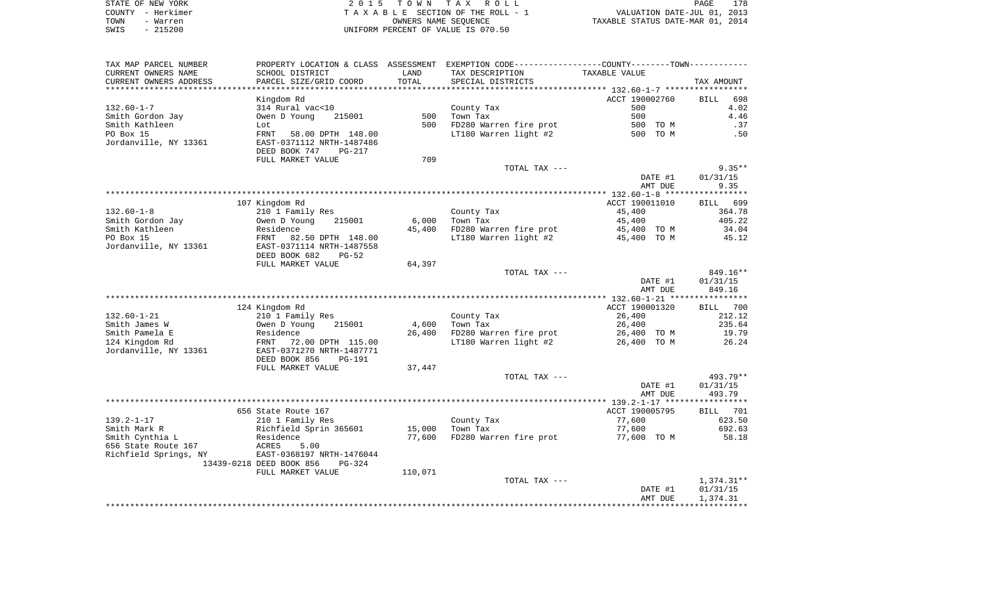|      | STATE OF NEW YORK | 2015 TOWN TAX ROLL                 | 178<br>PAGE                      |
|------|-------------------|------------------------------------|----------------------------------|
|      | COUNTY - Herkimer | TAXABLE SECTION OF THE ROLL - 1    | VALUATION DATE-JUL 01, 2013      |
| TOWN | - Warren          | OWNERS NAME SEOUENCE               | TAXABLE STATUS DATE-MAR 01, 2014 |
| SWIS | $-215200$         | UNIFORM PERCENT OF VALUE IS 070.50 |                                  |

| TAX MAP PARCEL NUMBER    |                                      |         | PROPERTY LOCATION & CLASS ASSESSMENT EXEMPTION CODE---------------COUNTY-------TOWN---------- |                    |                                                                      |
|--------------------------|--------------------------------------|---------|-----------------------------------------------------------------------------------------------|--------------------|----------------------------------------------------------------------|
| CURRENT OWNERS NAME      | SCHOOL DISTRICT                      | LAND    | TAX DESCRIPTION                                                                               | TAXABLE VALUE      |                                                                      |
| CURRENT OWNERS ADDRESS   | PARCEL SIZE/GRID COORD               | TOTAL   | SPECIAL DISTRICTS                                                                             |                    | TAX AMOUNT                                                           |
| ************************ |                                      |         |                                                                                               |                    |                                                                      |
|                          | Kingdom Rd                           |         |                                                                                               | ACCT 190002760     | 698<br><b>BILL</b>                                                   |
| $132.60 - 1 - 7$         | 314 Rural vac<10                     |         | County Tax                                                                                    | 500                | 4.02                                                                 |
| Smith Gordon Jay         | Owen D Young<br>215001               | 500     | Town Tax                                                                                      | 500                | 4.46                                                                 |
| Smith Kathleen           | Lot                                  | 500     | FD280 Warren fire prot                                                                        | 500 TO M           | .37                                                                  |
| PO Box 15                | FRNT<br>58.00 DPTH 148.00            |         | LT180 Warren light #2                                                                         | 500 TO M           | .50                                                                  |
| Jordanville, NY 13361    | EAST-0371112 NRTH-1487486            |         |                                                                                               |                    |                                                                      |
|                          | DEED BOOK 747<br>PG-217              |         |                                                                                               |                    |                                                                      |
|                          | FULL MARKET VALUE                    | 709     |                                                                                               |                    |                                                                      |
|                          |                                      |         | TOTAL TAX ---                                                                                 |                    | $9.35**$                                                             |
|                          |                                      |         |                                                                                               | DATE #1            | 01/31/15                                                             |
|                          |                                      |         |                                                                                               | AMT DUE            | 9.35                                                                 |
|                          |                                      |         |                                                                                               |                    |                                                                      |
|                          | 107 Kingdom Rd                       |         |                                                                                               | ACCT 190011010     | BILL 699                                                             |
| $132.60 - 1 - 8$         | 210 1 Family Res                     |         | County Tax                                                                                    | 45,400             | 364.78                                                               |
| Smith Gordon Jay         | Owen D Young<br>215001               | 6,000   | Town Tax                                                                                      | 45,400             | 405.22                                                               |
| Smith Kathleen           | Residence                            |         | 45,400 FD280 Warren fire prot                                                                 | 45,400 TO M        | 34.04                                                                |
| PO Box 15                | FRNT<br>82.50 DPTH 148.00            |         | LT180 Warren light #2                                                                         | 45,400 TO M        | 45.12                                                                |
| Jordanville, NY 13361    | EAST-0371114 NRTH-1487558            |         |                                                                                               |                    |                                                                      |
|                          | DEED BOOK 682<br>PG-52               |         |                                                                                               |                    |                                                                      |
|                          | FULL MARKET VALUE                    | 64,397  |                                                                                               |                    |                                                                      |
|                          |                                      |         | TOTAL TAX ---                                                                                 |                    | 849.16**                                                             |
|                          |                                      |         |                                                                                               |                    |                                                                      |
|                          |                                      |         |                                                                                               | DATE #1            | 01/31/15                                                             |
|                          |                                      |         |                                                                                               | AMT DUE            | 849.16                                                               |
|                          |                                      |         |                                                                                               |                    |                                                                      |
|                          | 124 Kingdom Rd                       |         |                                                                                               | ACCT 190001320     |                                                                      |
| $132.60 - 1 - 21$        | 210 1 Family Res                     |         | County Tax                                                                                    | 26,400             |                                                                      |
| Smith James W            | Owen D Young<br>215001               | 4,600   | Town Tax                                                                                      | 26,400             |                                                                      |
| Smith Pamela E           | Residence                            | 26,400  | FD280 Warren fire prot                                                                        | 26,400 TO M        |                                                                      |
| 124 Kingdom Rd           | 72.00 DPTH 115.00<br>FRNT            |         | LT180 Warren light #2                                                                         | 26,400 TO M        |                                                                      |
| Jordanville, NY 13361    | EAST-0371270 NRTH-1487771            |         |                                                                                               |                    |                                                                      |
|                          | DEED BOOK 856<br><b>PG-191</b>       |         |                                                                                               |                    |                                                                      |
|                          | FULL MARKET VALUE                    | 37,447  |                                                                                               |                    |                                                                      |
|                          |                                      |         | TOTAL TAX ---                                                                                 |                    |                                                                      |
|                          |                                      |         |                                                                                               | DATE #1            | 01/31/15                                                             |
|                          |                                      |         |                                                                                               | AMT DUE            | BILL 700<br>212.12<br>235.64<br>19.79<br>26.24<br>493.79**<br>493.79 |
|                          |                                      |         |                                                                                               |                    |                                                                      |
|                          | 656 State Route 167                  |         |                                                                                               | ACCT 190005795     |                                                                      |
| $139.2 - 1 - 17$         | 210 1 Family Res                     |         | County Tax                                                                                    | 77,600             |                                                                      |
| Smith Mark R             | Richfield Sprin 365601               | 15,000  | Town Tax                                                                                      | 77,600             |                                                                      |
| Smith Cynthia L          | Residence                            | 77,600  | FD280 Warren fire prot                                                                        | 77,600 TO M        |                                                                      |
| 656 State Route 167      | ACRES<br>5.00                        |         |                                                                                               |                    |                                                                      |
| Richfield Springs, NY    | EAST-0368197 NRTH-1476044            |         |                                                                                               |                    |                                                                      |
|                          | 13439-0218 DEED BOOK 856<br>$PG-324$ |         |                                                                                               |                    |                                                                      |
|                          | FULL MARKET VALUE                    | 110,071 |                                                                                               |                    |                                                                      |
|                          |                                      |         | TOTAL TAX ---                                                                                 |                    | BILL 701<br>623.50<br>692.63<br>58.18<br>$1,374.31**$                |
|                          |                                      |         |                                                                                               | DATE #1<br>AMT DUE | 01/31/15<br>1,374.31                                                 |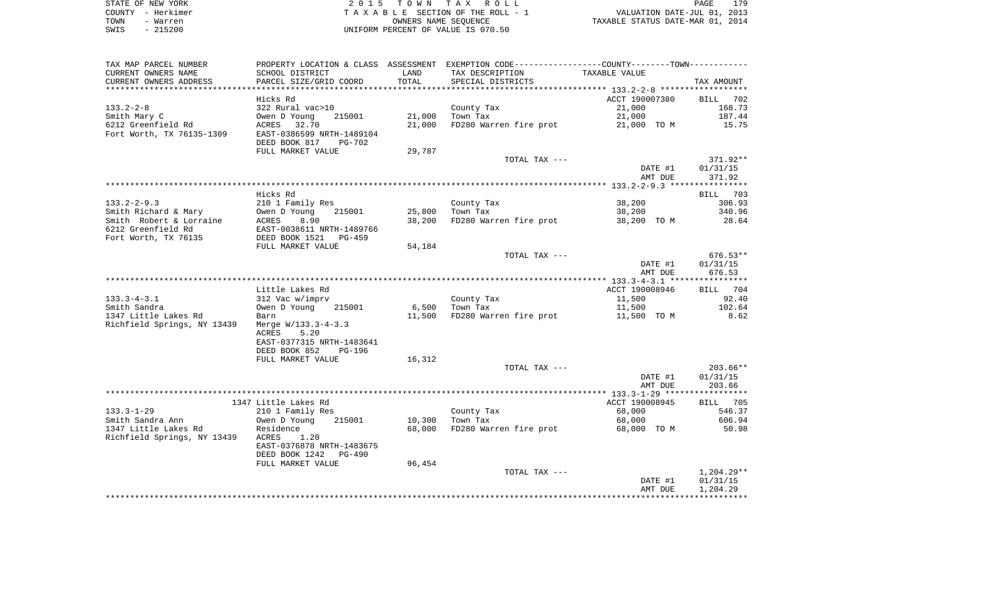| STATE OF NEW YORK |           | 2015 TOWN TAX ROLL                 | PAGE                             | 179 |
|-------------------|-----------|------------------------------------|----------------------------------|-----|
| COUNTY - Herkimer |           | TAXABLE SECTION OF THE ROLL - 1    | VALUATION DATE-JUL 01, 2013      |     |
| TOWN              | - Warren  | OWNERS NAME SEOUENCE               | TAXABLE STATUS DATE-MAR 01, 2014 |     |
| SWIS              | $-215200$ | UNIFORM PERCENT OF VALUE IS 070.50 |                                  |     |

| TAX MAP PARCEL NUMBER<br>CURRENT OWNERS NAME | SCHOOL DISTRICT                                                           | LAND             | PROPERTY LOCATION & CLASS ASSESSMENT EXEMPTION CODE---------------COUNTY-------TOWN----------<br>TAX DESCRIPTION | TAXABLE VALUE         |                      |
|----------------------------------------------|---------------------------------------------------------------------------|------------------|------------------------------------------------------------------------------------------------------------------|-----------------------|----------------------|
| CURRENT OWNERS ADDRESS                       | PARCEL SIZE/GRID COORD                                                    | TOTAL            | SPECIAL DISTRICTS                                                                                                |                       | TAX AMOUNT           |
|                                              | Hicks Rd                                                                  |                  |                                                                                                                  | ACCT 190007380        | BILL 702             |
| $133.2 - 2 - 8$                              | 322 Rural vac>10                                                          |                  | County Tax                                                                                                       | 21,000                | 168.73               |
| Smith Mary C<br>6212 Greenfield Rd           | Owen D Young<br>215001<br>ACRES 32.70                                     | 21,000<br>21,000 | Town Tax<br>FD280 Warren fire prot                                                                               | 21,000<br>21,000 TO M | 187.44<br>15.75      |
| Fort Worth, TX 76135-1309                    | EAST-0386599 NRTH-1489104<br>DEED BOOK 817<br>PG-702<br>FULL MARKET VALUE | 29,787           |                                                                                                                  |                       |                      |
|                                              |                                                                           |                  | TOTAL TAX ---                                                                                                    | DATE #1               | 371.92**<br>01/31/15 |
|                                              |                                                                           |                  |                                                                                                                  | AMT DUE               | 371.92               |
|                                              | Hicks Rd                                                                  |                  |                                                                                                                  |                       | BILL 703             |
| $133.2 - 2 - 9.3$                            | 210 1 Family Res                                                          |                  | County Tax                                                                                                       | 38,200                | 306.93               |
| Smith Richard & Mary                         | Owen D Young<br>215001                                                    | 25,800           | Town Tax                                                                                                         | 38,200                | 340.96               |
| Smith Robert & Lorraine                      | 8.90<br>ACRES                                                             | 38,200           | FD280 Warren fire prot                                                                                           | 38,200 TO M           | 28.64                |
| 6212 Greenfield Rd<br>Fort Worth, TX 76135   | EAST-0038611 NRTH-1489766<br>DEED BOOK 1521 PG-459                        |                  |                                                                                                                  |                       |                      |
|                                              | FULL MARKET VALUE                                                         | 54,184           |                                                                                                                  |                       |                      |
|                                              |                                                                           |                  | TOTAL TAX ---                                                                                                    |                       | $676.53**$           |
|                                              |                                                                           |                  |                                                                                                                  | DATE #1<br>AMT DUE    | 01/31/15<br>676.53   |
|                                              |                                                                           |                  |                                                                                                                  |                       |                      |
|                                              | Little Lakes Rd                                                           |                  |                                                                                                                  | ACCT 190008946        | BILL 704             |
| $133.3 - 4 - 3.1$                            | 312 Vac w/imprv                                                           |                  | County Tax                                                                                                       | 11,500                | 92.40                |
| Smith Sandra                                 | Owen D Young<br>215001                                                    | 6,500            | Town Tax                                                                                                         | 11,500                | 102.64               |
| 1347 Little Lakes Rd                         | Barn                                                                      | 11,500           | FD280 Warren fire prot                                                                                           | 11,500 TO M           | 8.62                 |
| Richfield Springs, NY 13439                  | Merge W/133.3-4-3.3<br>ACRES<br>5.20<br>EAST-0377315 NRTH-1483641         |                  |                                                                                                                  |                       |                      |
|                                              | DEED BOOK 852<br><b>PG-196</b>                                            |                  |                                                                                                                  |                       |                      |
|                                              | FULL MARKET VALUE                                                         | 16,312           |                                                                                                                  |                       | $203.66**$           |
|                                              |                                                                           |                  | TOTAL TAX ---                                                                                                    | DATE #1               | 01/31/15             |
|                                              |                                                                           |                  |                                                                                                                  | AMT DUE               | 203.66               |
|                                              |                                                                           |                  |                                                                                                                  |                       |                      |
|                                              | 1347 Little Lakes Rd                                                      |                  |                                                                                                                  | ACCT 190008945        | BILL 705             |
| $133.3 - 1 - 29$                             | 210 1 Family Res                                                          |                  | County Tax                                                                                                       | 68,000                | 546.37               |
| Smith Sandra Ann                             | Owen D Young<br>215001                                                    | 10,300           | Town Tax                                                                                                         | 68,000                | 606.94               |
| 1347 Little Lakes Rd                         | Residence                                                                 | 68,000           | FD280 Warren fire prot                                                                                           | 68,000 TO M           | 50.98                |
| Richfield Springs, NY 13439                  | ACRES<br>1.20<br>EAST-0376878 NRTH-1483675<br>DEED BOOK 1242<br>PG-490    |                  |                                                                                                                  |                       |                      |
|                                              | FULL MARKET VALUE                                                         | 96,454           |                                                                                                                  |                       |                      |
|                                              |                                                                           |                  | TOTAL TAX ---                                                                                                    |                       | 1,204.29**           |
|                                              |                                                                           |                  |                                                                                                                  | DATE #1               | 01/31/15             |
|                                              |                                                                           |                  |                                                                                                                  | AMT DUE               | 1,204.29             |
|                                              |                                                                           |                  |                                                                                                                  |                       |                      |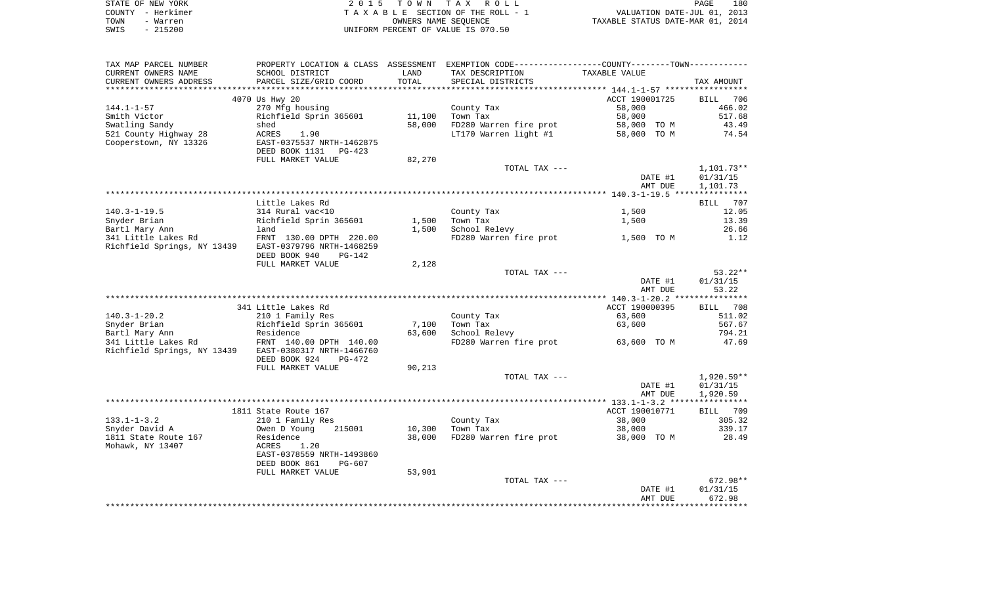| STATE OF NEW YORK | 2015 TOWN TAX ROLL                 | 180<br>PAGE                      |
|-------------------|------------------------------------|----------------------------------|
| COUNTY - Herkimer | TAXABLE SECTION OF THE ROLL - 1    | VALUATION DATE-JUL 01, 2013      |
| TOWN<br>- Warren  | OWNERS NAME SEOUENCE               | TAXABLE STATUS DATE-MAR 01, 2014 |
| $-215200$<br>SWIS | UNIFORM PERCENT OF VALUE IS 070.50 |                                  |

| TAX MAP PARCEL NUMBER                                 |                           |        | PROPERTY LOCATION & CLASS ASSESSMENT EXEMPTION CODE----------------COUNTY-------TOWN---------- |                |              |
|-------------------------------------------------------|---------------------------|--------|------------------------------------------------------------------------------------------------|----------------|--------------|
| CURRENT OWNERS NAME                                   | SCHOOL DISTRICT           | LAND   | TAX DESCRIPTION                                                                                | TAXABLE VALUE  |              |
| CURRENT OWNERS ADDRESS                                | PARCEL SIZE/GRID COORD    | TOTAL  | SPECIAL DISTRICTS                                                                              |                | TAX AMOUNT   |
|                                                       |                           |        |                                                                                                |                |              |
|                                                       | 4070 Us Hwy 20            |        |                                                                                                | ACCT 190001725 | BILL 706     |
| $144.1 - 1 - 57$                                      | 270 Mfg housing           |        | County Tax                                                                                     | 58,000         | 466.02       |
| Smith Victor                                          | Richfield Sprin 365601    | 11,100 | Town Tax                                                                                       | 58,000         | 517.68       |
| Swatling Sandy                                        | shed                      | 58,000 | FD280 Warren fire prot                                                                         | 58,000 TO M    | 43.49        |
|                                                       |                           |        |                                                                                                |                |              |
| 521 County Highway 28                                 | ACRES<br>1.90             |        | LT170 Warren light #1 58,000 TO M                                                              |                | 74.54        |
| Cooperstown, NY 13326                                 | EAST-0375537 NRTH-1462875 |        |                                                                                                |                |              |
|                                                       | DEED BOOK 1131<br>PG-423  |        |                                                                                                |                |              |
|                                                       | FULL MARKET VALUE         | 82,270 |                                                                                                |                |              |
|                                                       |                           |        | TOTAL TAX ---                                                                                  |                | $1,101.73**$ |
|                                                       |                           |        |                                                                                                | DATE #1        | 01/31/15     |
|                                                       |                           |        |                                                                                                | AMT DUE        | 1,101.73     |
|                                                       |                           |        |                                                                                                |                |              |
|                                                       | Little Lakes Rd           |        |                                                                                                |                | BILL 707     |
| $140.3 - 1 - 19.5$                                    | 314 Rural vac<10          |        | County Tax                                                                                     | 1,500          | 12.05        |
| Snyder Brian                                          | Richfield Sprin 365601    | 1,500  | Town Tax                                                                                       | 1,500          | 13.39        |
| Bartl Mary Ann                                        | land                      | 1,500  | School Relevy                                                                                  |                | 26.66        |
| 341 Little Lakes Rd                                   | FRNT 130.00 DPTH 220.00   |        | FD280 Warren fire prot                                                                         | 1,500 TO M     | 1.12         |
| Richfield Springs, NY 13439 EAST-0379796 NRTH-1468259 |                           |        |                                                                                                |                |              |
|                                                       |                           |        |                                                                                                |                |              |
|                                                       | DEED BOOK 940<br>PG-142   |        |                                                                                                |                |              |
|                                                       | FULL MARKET VALUE         | 2,128  |                                                                                                |                |              |
|                                                       |                           |        | TOTAL TAX ---                                                                                  |                | $53.22**$    |
|                                                       |                           |        |                                                                                                | DATE #1        | 01/31/15     |
|                                                       |                           |        |                                                                                                | AMT DUE        | 53.22        |
|                                                       |                           |        |                                                                                                |                |              |
|                                                       | 341 Little Lakes Rd       |        |                                                                                                | ACCT 190000395 | BILL 708     |
| $140.3 - 1 - 20.2$                                    | 210 1 Family Res          |        | County Tax                                                                                     | 63,600         | 511.02       |
| Snyder Brian                                          | Richfield Sprin 365601    | 7,100  | Town Tax                                                                                       | 63,600         | 567.67       |
| Bartl Mary Ann                                        | Residence                 | 63,600 | School Relevy                                                                                  |                | 794.21       |
|                                                       |                           |        | FD280 Warren fire prot                                                                         | $63,600$ TOM   | 47.69        |
| Richfield Springs, NY 13439 EAST-0380317 NRTH-1466760 |                           |        |                                                                                                |                |              |
|                                                       | DEED BOOK 924<br>PG-472   |        |                                                                                                |                |              |
|                                                       | FULL MARKET VALUE         | 90,213 |                                                                                                |                |              |
|                                                       |                           |        |                                                                                                |                |              |
|                                                       |                           |        | TOTAL TAX ---                                                                                  |                | $1,920.59**$ |
|                                                       |                           |        |                                                                                                | DATE #1        | 01/31/15     |
|                                                       |                           |        |                                                                                                | AMT DUE        | 1,920.59     |
|                                                       |                           |        |                                                                                                |                |              |
|                                                       | 1811 State Route 167      |        |                                                                                                | ACCT 190010771 | BILL 709     |
| $133.1 - 1 - 3.2$                                     | 210 1 Family Res          |        | County Tax                                                                                     | 38,000         | 305.32       |
| Snyder David A                                        | Owen D Young<br>215001    | 10,300 | Town Tax                                                                                       | 38,000         | 339.17       |
| 1811 State Route 167                                  | Residence                 | 38,000 | FD280 Warren fire prot 38,000 TO M                                                             |                | 28.49        |
| Mohawk, NY 13407                                      | 1.20<br>ACRES             |        |                                                                                                |                |              |
|                                                       | EAST-0378559 NRTH-1493860 |        |                                                                                                |                |              |
|                                                       | DEED BOOK 861<br>PG-607   |        |                                                                                                |                |              |
|                                                       | FULL MARKET VALUE         | 53,901 |                                                                                                |                |              |
|                                                       |                           |        | TOTAL TAX ---                                                                                  |                | 672.98**     |
|                                                       |                           |        |                                                                                                |                |              |
|                                                       |                           |        |                                                                                                | DATE #1        | 01/31/15     |
|                                                       |                           |        |                                                                                                | AMT DUE        | 672.98       |
|                                                       |                           |        |                                                                                                |                |              |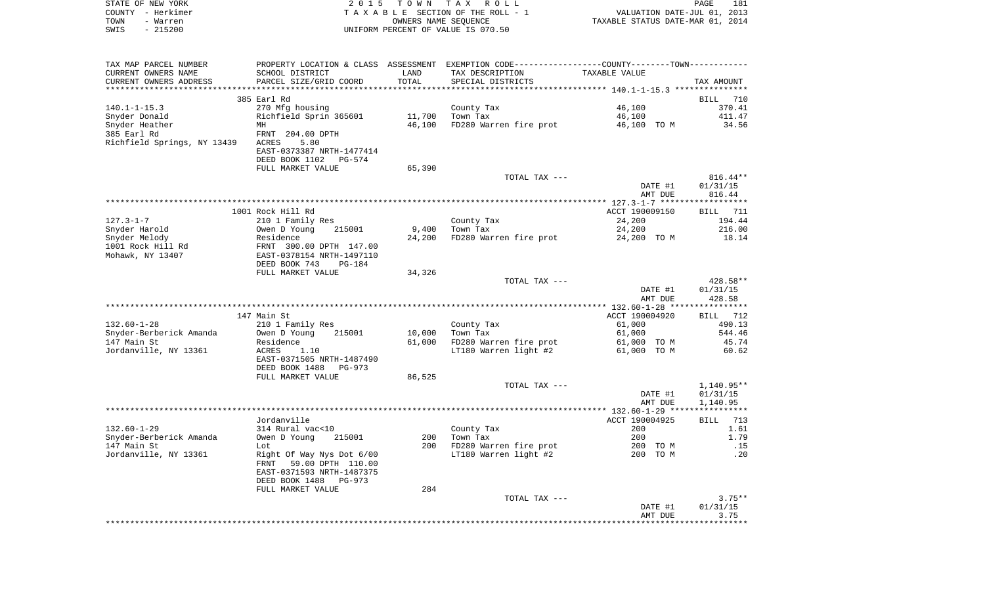| COUNTY - Herkimer<br>- Warren<br>TOWN<br>$-215200$<br>SWIS |                                                        | OWNERS NAME SEQUENCE      | TAXABLE SECTION OF THE ROLL - 1<br>UNIFORM PERCENT OF VALUE IS 070.50                         | VALUATION DATE-JUL 01, 2013<br>TAXABLE STATUS DATE-MAR 01, 2014 |                    |
|------------------------------------------------------------|--------------------------------------------------------|---------------------------|-----------------------------------------------------------------------------------------------|-----------------------------------------------------------------|--------------------|
|                                                            |                                                        |                           |                                                                                               |                                                                 |                    |
| TAX MAP PARCEL NUMBER                                      |                                                        |                           | PROPERTY LOCATION & CLASS ASSESSMENT EXEMPTION CODE---------------COUNTY-------TOWN---------- |                                                                 |                    |
| CURRENT OWNERS NAME                                        | SCHOOL DISTRICT                                        | LAND                      | TAX DESCRIPTION                                                                               | TAXABLE VALUE                                                   |                    |
| CURRENT OWNERS ADDRESS<br>**********************           | PARCEL SIZE/GRID COORD<br>**************************** | TOTAL<br>**************** | SPECIAL DISTRICTS                                                                             |                                                                 | TAX AMOUNT         |
|                                                            | 385 Earl Rd                                            |                           |                                                                                               |                                                                 | BILL               |
| $140.1 - 1 - 15.3$                                         | 270 Mfg housing                                        |                           | County Tax                                                                                    | 46,100                                                          | 710<br>370.41      |
| Snyder Donald                                              | Richfield Sprin 365601                                 | 11,700                    | Town Tax                                                                                      | 46,100                                                          | 411.47             |
| Snyder Heather                                             | МH                                                     | 46,100                    | FD280 Warren fire prot                                                                        | 46,100 TO M                                                     | 34.56              |
| 385 Earl Rd                                                | FRNT 204.00 DPTH                                       |                           |                                                                                               |                                                                 |                    |
| Richfield Springs, NY 13439                                | ACRES<br>5.80                                          |                           |                                                                                               |                                                                 |                    |
|                                                            | EAST-0373387 NRTH-1477414                              |                           |                                                                                               |                                                                 |                    |
|                                                            | DEED BOOK 1102<br>PG-574                               |                           |                                                                                               |                                                                 |                    |
|                                                            | FULL MARKET VALUE                                      | 65,390                    |                                                                                               |                                                                 |                    |
|                                                            |                                                        |                           | TOTAL TAX ---                                                                                 |                                                                 | $816.44**$         |
|                                                            |                                                        |                           |                                                                                               | DATE #1<br>AMT DUE                                              | 01/31/15<br>816.44 |
|                                                            |                                                        |                           |                                                                                               | **************** 127.3-1-7 ******************                   |                    |
|                                                            | 1001 Rock Hill Rd                                      |                           |                                                                                               | ACCT 190009150                                                  | <b>BILL</b><br>711 |
| $127.3 - 1 - 7$                                            | 210 1 Family Res                                       |                           | County Tax                                                                                    | 24,200                                                          | 194.44             |
| Snyder Harold                                              | Owen D Young<br>215001                                 | 9,400                     | Town Tax                                                                                      | 24,200                                                          | 216.00             |
| Snyder Melody                                              | Residence                                              | 24,200                    | FD280 Warren fire prot                                                                        | 24,200 TO M                                                     | 18.14              |
| 1001 Rock Hill Rd                                          | FRNT 300.00 DPTH 147.00                                |                           |                                                                                               |                                                                 |                    |
| Mohawk, NY 13407                                           | EAST-0378154 NRTH-1497110                              |                           |                                                                                               |                                                                 |                    |
|                                                            | DEED BOOK 743<br>$PG-184$<br>FULL MARKET VALUE         |                           |                                                                                               |                                                                 |                    |
|                                                            |                                                        | 34,326                    | TOTAL TAX ---                                                                                 |                                                                 | 428.58**           |
|                                                            |                                                        |                           |                                                                                               | DATE #1                                                         | 01/31/15           |
|                                                            |                                                        |                           |                                                                                               | AMT DUE                                                         | 428.58             |
|                                                            |                                                        |                           |                                                                                               | ************* 132.60-1-28 *****************                     |                    |
|                                                            | 147 Main St                                            |                           |                                                                                               | ACCT 190004920                                                  | 712<br>BILL        |
| $132.60 - 1 - 28$                                          | 210 1 Family Res                                       |                           | County Tax                                                                                    | 61,000                                                          | 490.13             |
| Snyder-Berberick Amanda                                    | Owen D Young<br>215001                                 | 10,000                    | Town Tax                                                                                      | 61,000                                                          | 544.46             |
| 147 Main St                                                | Residence<br>1.10                                      | 61,000                    | FD280 Warren fire prot                                                                        | 61,000 TO M                                                     | 45.74              |
| Jordanville, NY 13361                                      | ACRES<br>EAST-0371505 NRTH-1487490                     |                           | LT180 Warren light #2                                                                         | 61,000 TO M                                                     | 60.62              |
|                                                            | DEED BOOK 1488<br><b>PG-973</b>                        |                           |                                                                                               |                                                                 |                    |
|                                                            | FULL MARKET VALUE                                      | 86,525                    |                                                                                               |                                                                 |                    |
|                                                            |                                                        |                           | TOTAL TAX ---                                                                                 |                                                                 | $1,140.95**$       |
|                                                            |                                                        |                           |                                                                                               | DATE #1                                                         | 01/31/15           |
|                                                            |                                                        |                           |                                                                                               | AMT DUE                                                         | 1,140.95           |
|                                                            |                                                        |                           | **************************************                                                        | ************** 132.60-1-29 *****************                    |                    |
|                                                            | Jordanville                                            |                           |                                                                                               | ACCT 190004925                                                  | <b>BILL</b><br>713 |
| $132.60 - 1 - 29$                                          | 314 Rural vac<10                                       |                           | County Tax                                                                                    | 200                                                             | 1.61               |
| Snyder-Berberick Amanda                                    | Owen D Young<br>215001                                 |                           | 200 Town Tax                                                                                  | 200                                                             | 1.79               |
| 147 Main St<br>Jordanville, NY 13361                       | Lot<br>Right Of Way Nys Dot 6/00                       | 200                       | FD280 Warren fire prot<br>LT180 Warren light #2                                               | 200 TO M<br>200 TO M                                            |                    |
|                                                            | FRNT<br>59.00 DPTH 110.00                              |                           |                                                                                               |                                                                 |                    |
|                                                            | EAST-0371593 NRTH-1487375                              |                           |                                                                                               |                                                                 |                    |
|                                                            | DEED BOOK 1488<br>PG-973                               |                           |                                                                                               |                                                                 |                    |
|                                                            | FULL MARKET VALUE                                      | 284                       |                                                                                               |                                                                 |                    |
|                                                            |                                                        |                           |                                                                                               |                                                                 |                    |
|                                                            |                                                        |                           | TOTAL TAX ---                                                                                 |                                                                 | $3.75**$           |
|                                                            |                                                        |                           |                                                                                               | DATE #1<br>AMT DUE                                              | 01/31/15<br>3.75   |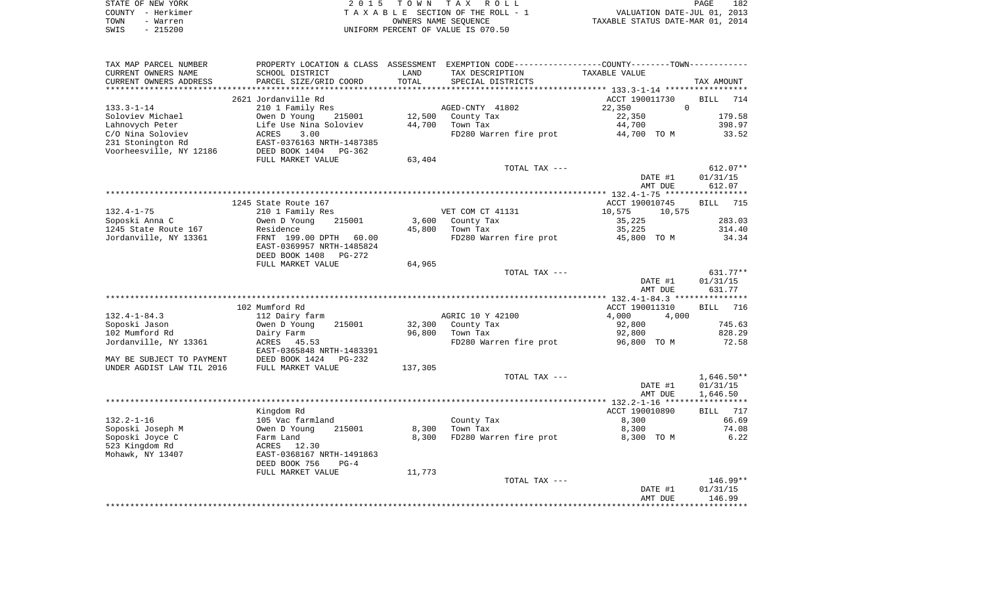|      | STATE OF NEW YORK | 2015 TOWN TAX ROLL                 | PAGE                             | 182 |
|------|-------------------|------------------------------------|----------------------------------|-----|
|      | COUNTY - Herkimer | TAXABLE SECTION OF THE ROLL - 1    | VALUATION DATE-JUL 01, 2013      |     |
| TOWN | - Warren          | OWNERS NAME SEOUENCE               | TAXABLE STATUS DATE-MAR 01, 2014 |     |
| SWIS | $-215200$         | UNIFORM PERCENT OF VALUE IS 070.50 |                                  |     |

| TAX MAP PARCEL NUMBER     | PROPERTY LOCATION & CLASS ASSESSMENT EXEMPTION CODE----------------COUNTY--------TOWN---------- |         |                        |                    |                    |
|---------------------------|-------------------------------------------------------------------------------------------------|---------|------------------------|--------------------|--------------------|
| CURRENT OWNERS NAME       | SCHOOL DISTRICT                                                                                 | LAND    | TAX DESCRIPTION        | TAXABLE VALUE      |                    |
| CURRENT OWNERS ADDRESS    | PARCEL SIZE/GRID COORD                                                                          | TOTAL   | SPECIAL DISTRICTS      |                    | TAX AMOUNT         |
| *******************       | ****************************                                                                    |         |                        |                    |                    |
|                           | 2621 Jordanville Rd                                                                             |         |                        | ACCT 190011730     | <b>BILL</b><br>714 |
| $133.3 - 1 - 14$          | 210 1 Family Res                                                                                |         | AGED-CNTY 41802        | $\Omega$<br>22,350 |                    |
| Soloviev Michael          | Owen D Young<br>215001                                                                          | 12,500  | County Tax             | 22,350             | 179.58             |
| Lahnovych Peter           | Life Use Nina Soloviev                                                                          | 44,700  | Town Tax               | 44,700             | 398.97             |
| C/O Nina Soloviev         | 3.00<br>ACRES                                                                                   |         | FD280 Warren fire prot | 44,700 TO M        | 33.52              |
| 231 Stonington Rd         | EAST-0376163 NRTH-1487385                                                                       |         |                        |                    |                    |
| Voorheesville, NY 12186   | DEED BOOK 1404<br>$PG-362$                                                                      |         |                        |                    |                    |
|                           | FULL MARKET VALUE                                                                               | 63,404  |                        |                    |                    |
|                           |                                                                                                 |         | TOTAL TAX ---          |                    | $612.07**$         |
|                           |                                                                                                 |         |                        | DATE #1            | 01/31/15           |
|                           |                                                                                                 |         |                        | AMT DUE            | 612.07             |
|                           |                                                                                                 |         |                        |                    |                    |
|                           | 1245 State Route 167                                                                            |         |                        | ACCT 190010745     | 715<br>BILL        |
| $132.4 - 1 - 75$          | 210 1 Family Res                                                                                |         | VET COM CT 41131       | 10,575<br>10,575   |                    |
| Soposki Anna C            | Owen D Young<br>215001                                                                          | 3,600   |                        | 35,225             | 283.03             |
|                           |                                                                                                 |         | County Tax             |                    |                    |
| 1245 State Route 167      | Residence                                                                                       | 45,800  | Town Tax               | 35,225             | 314.40             |
| Jordanville, NY 13361     | FRNT 199.00 DPTH<br>60.00                                                                       |         | FD280 Warren fire prot | 45,800 TO M        | 34.34              |
|                           | EAST-0369957 NRTH-1485824                                                                       |         |                        |                    |                    |
|                           | DEED BOOK 1408<br>PG-272                                                                        |         |                        |                    |                    |
|                           | FULL MARKET VALUE                                                                               | 64,965  |                        |                    |                    |
|                           |                                                                                                 |         | TOTAL TAX ---          |                    | $631.77**$         |
|                           |                                                                                                 |         |                        | DATE #1            | 01/31/15           |
|                           |                                                                                                 |         |                        | AMT DUE            | 631.77             |
|                           |                                                                                                 |         |                        |                    |                    |
|                           | 102 Mumford Rd                                                                                  |         |                        | ACCT 190011310     | 716<br><b>BILL</b> |
| $132.4 - 1 - 84.3$        | 112 Dairy farm                                                                                  |         | AGRIC 10 Y 42100       | 4,000<br>4,000     |                    |
| Soposki Jason             | 215001<br>Owen D Young                                                                          | 32,300  | County Tax             | 92,800             | 745.63             |
| 102 Mumford Rd            | Dairy Farm                                                                                      | 96,800  | Town Tax               | 92,800             | 828.29             |
| Jordanville, NY 13361     | ACRES<br>45.53                                                                                  |         | FD280 Warren fire prot | 96,800 TO M        | 72.58              |
|                           | EAST-0365848 NRTH-1483391                                                                       |         |                        |                    |                    |
| MAY BE SUBJECT TO PAYMENT | DEED BOOK 1424<br>$PG-232$                                                                      |         |                        |                    |                    |
| UNDER AGDIST LAW TIL 2016 | FULL MARKET VALUE                                                                               | 137,305 |                        |                    |                    |
|                           |                                                                                                 |         | TOTAL TAX ---          |                    | $1,646.50**$       |
|                           |                                                                                                 |         |                        | DATE #1            | 01/31/15           |
|                           |                                                                                                 |         |                        | AMT DUE            | 1,646.50           |
|                           |                                                                                                 |         |                        |                    |                    |
|                           | Kingdom Rd                                                                                      |         |                        | ACCT 190010890     | 717<br>BILL        |
| $132.2 - 1 - 16$          | 105 Vac farmland                                                                                |         | County Tax             | 8,300              | 66.69              |
| Soposki Joseph M          | 215001<br>Owen D Young                                                                          | 8,300   | Town Tax               | 8,300              | 74.08              |
| Soposki Joyce C           | Farm Land                                                                                       | 8,300   | FD280 Warren fire prot | 8,300 TO M         | 6.22               |
| 523 Kingdom Rd            | 12.30<br>ACRES                                                                                  |         |                        |                    |                    |
| Mohawk, NY 13407          | EAST-0368167 NRTH-1491863                                                                       |         |                        |                    |                    |
|                           | DEED BOOK 756<br>$PG-4$                                                                         |         |                        |                    |                    |
|                           | FULL MARKET VALUE                                                                               | 11,773  |                        |                    |                    |
|                           |                                                                                                 |         | TOTAL TAX ---          |                    | 146.99**           |
|                           |                                                                                                 |         |                        | DATE #1            | 01/31/15           |
|                           |                                                                                                 |         |                        | AMT DUE            | 146.99             |
|                           |                                                                                                 |         |                        |                    |                    |
|                           |                                                                                                 |         |                        |                    |                    |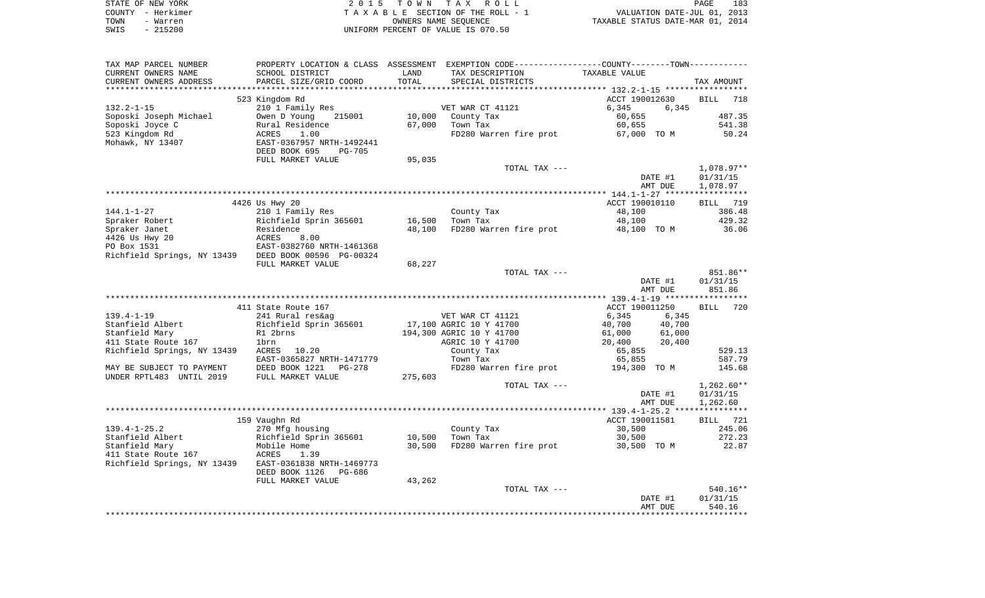|      | STATE OF NEW YORK | 2015 TOWN TAX ROLL                 | 183<br>PAGE                      |
|------|-------------------|------------------------------------|----------------------------------|
|      | COUNTY - Herkimer | TAXABLE SECTION OF THE ROLL - 1    | VALUATION DATE-JUL 01, 2013      |
| TOWN | - Warren          | OWNERS NAME SEOUENCE               | TAXABLE STATUS DATE-MAR 01, 2014 |
| SWIS | - 215200          | UNIFORM PERCENT OF VALUE IS 070.50 |                                  |

| TAX MAP PARCEL NUMBER                                |                                |         | PROPERTY LOCATION & CLASS ASSESSMENT EXEMPTION CODE----------------COUNTY-------TOWN----------- |                                                  |                 |
|------------------------------------------------------|--------------------------------|---------|-------------------------------------------------------------------------------------------------|--------------------------------------------------|-----------------|
| CURRENT OWNERS NAME                                  | SCHOOL DISTRICT                | LAND    | TAX DESCRIPTION                                                                                 | TAXABLE VALUE                                    |                 |
| CURRENT OWNERS ADDRESS                               | PARCEL SIZE/GRID COORD         | TOTAL   | SPECIAL DISTRICTS                                                                               |                                                  | TAX AMOUNT      |
|                                                      |                                |         |                                                                                                 | ****************** 132.2-1-15 ****************** |                 |
|                                                      | 523 Kingdom Rd                 |         |                                                                                                 | ACCT 190012630                                   | BILL<br>718     |
| $132.2 - 1 - 15$                                     | 210 1 Family Res               |         | VET WAR CT 41121                                                                                | 6,345<br>6,345                                   |                 |
| Soposki Joseph Michael                               | Owen D Young<br>215001         | 10,000  | County Tax                                                                                      | 60,655                                           | 487.35          |
| Soposki Joyce C                                      | Rural Residence                | 67,000  | Town Tax                                                                                        | 60,655                                           | 541.38          |
| 523 Kingdom Rd                                       | ACRES<br>1.00                  |         | FD280 Warren fire prot                                                                          | 67,000 TO M                                      | 50.24           |
| Mohawk, NY 13407                                     | EAST-0367957 NRTH-1492441      |         |                                                                                                 |                                                  |                 |
|                                                      | DEED BOOK 695<br><b>PG-705</b> |         |                                                                                                 |                                                  |                 |
|                                                      | FULL MARKET VALUE              | 95,035  |                                                                                                 |                                                  |                 |
|                                                      |                                |         | TOTAL TAX ---                                                                                   |                                                  | $1,078.97**$    |
|                                                      |                                |         |                                                                                                 | DATE #1                                          | 01/31/15        |
|                                                      |                                |         |                                                                                                 | AMT DUE                                          | 1,078.97        |
|                                                      |                                |         |                                                                                                 |                                                  |                 |
|                                                      | 4426 Us Hwy 20                 |         |                                                                                                 | ACCT 190010110                                   | BILL 719        |
| $144.1 - 1 - 27$                                     | 210 1 Family Res               |         | County Tax                                                                                      | 48,100                                           | 386.48          |
| Spraker Robert                                       | Richfield Sprin 365601         | 16,500  | Town Tax                                                                                        | 48,100                                           | 429.32          |
| Spraker Janet                                        | Residence                      | 48,100  | FD280 Warren fire prot                                                                          | 48,100 TO M                                      | 36.06           |
| 4426 Us Hwy 20                                       | ACRES<br>8.00                  |         |                                                                                                 |                                                  |                 |
| PO Box 1531                                          | EAST-0382760 NRTH-1461368      |         |                                                                                                 |                                                  |                 |
| Richfield Springs, NY 13439 DEED BOOK 00596 PG-00324 |                                |         |                                                                                                 |                                                  |                 |
|                                                      | FULL MARKET VALUE              | 68,227  |                                                                                                 |                                                  |                 |
|                                                      |                                |         | TOTAL TAX ---                                                                                   |                                                  | 851.86**        |
|                                                      |                                |         |                                                                                                 | DATE #1                                          | 01/31/15        |
|                                                      |                                |         |                                                                                                 | AMT DUE                                          | 851.86          |
|                                                      |                                |         |                                                                                                 |                                                  |                 |
|                                                      | 411 State Route 167            |         |                                                                                                 | ACCT 190011250                                   | BILL 720        |
|                                                      |                                |         |                                                                                                 |                                                  |                 |
| $139.4 - 1 - 19$                                     | 241 Rural res&ag               |         | VET WAR CT 41121                                                                                | 6,345<br>6,345                                   |                 |
| Stanfield Albert                                     | Richfield Sprin 365601         |         | 17,100 AGRIC 10 Y 41700                                                                         | 40,700<br>40,700                                 |                 |
| Stanfield Mary                                       | R1 2brns                       |         | 194,300 AGRIC 10 Y 41700                                                                        | 61,000<br>61,000                                 |                 |
| 411 State Route 167                                  | 1brn                           |         | AGRIC 10 Y 41700                                                                                | 20,400<br>20,400                                 |                 |
| Richfield Springs, NY 13439                          | ACRES 10.20                    |         | County Tax                                                                                      | 65,855                                           | 529.13          |
|                                                      | EAST-0365827 NRTH-1471779      |         | Town Tax                                                                                        | 65,855                                           | 587.79          |
| MAY BE SUBJECT TO PAYMENT                            | DEED BOOK 1221<br>PG-278       |         | FD280 Warren fire prot                                                                          | 194,300 TO M                                     | 145.68          |
| UNDER RPTL483 UNTIL 2019                             | FULL MARKET VALUE              | 275,603 |                                                                                                 |                                                  |                 |
|                                                      |                                |         | TOTAL TAX ---                                                                                   |                                                  | $1,262.60**$    |
|                                                      |                                |         |                                                                                                 | DATE #1                                          | 01/31/15        |
|                                                      |                                |         |                                                                                                 | AMT DUE                                          | 1,262.60        |
|                                                      |                                |         |                                                                                                 |                                                  |                 |
|                                                      | 159 Vaughn Rd                  |         |                                                                                                 | ACCT 190011581                                   | <b>BILL</b> 721 |
| $139.4 - 1 - 25.2$                                   | 270 Mfg housing                |         | County Tax                                                                                      | 30,500                                           | 245.06          |
| Stanfield Albert                                     | Richfield Sprin 365601         | 10,500  | Town Tax                                                                                        | 30,500                                           | 272.23          |
| Stanfield Mary                                       | Mobile Home                    | 30,500  | FD280 Warren fire prot                                                                          | 30,500 TO M                                      | 22.87           |
| 411 State Route 167                                  | <b>ACRES</b><br>1.39           |         |                                                                                                 |                                                  |                 |
| Richfield Springs, NY 13439                          | EAST-0361838 NRTH-1469773      |         |                                                                                                 |                                                  |                 |
|                                                      | DEED BOOK 1126<br>PG-686       |         |                                                                                                 |                                                  |                 |
|                                                      | FULL MARKET VALUE              | 43,262  |                                                                                                 |                                                  |                 |
|                                                      |                                |         | TOTAL TAX ---                                                                                   |                                                  | 540.16**        |
|                                                      |                                |         |                                                                                                 | DATE #1                                          | 01/31/15        |
|                                                      |                                |         |                                                                                                 |                                                  |                 |
|                                                      |                                |         |                                                                                                 |                                                  |                 |
|                                                      |                                |         |                                                                                                 | AMT DUE                                          | 540.16          |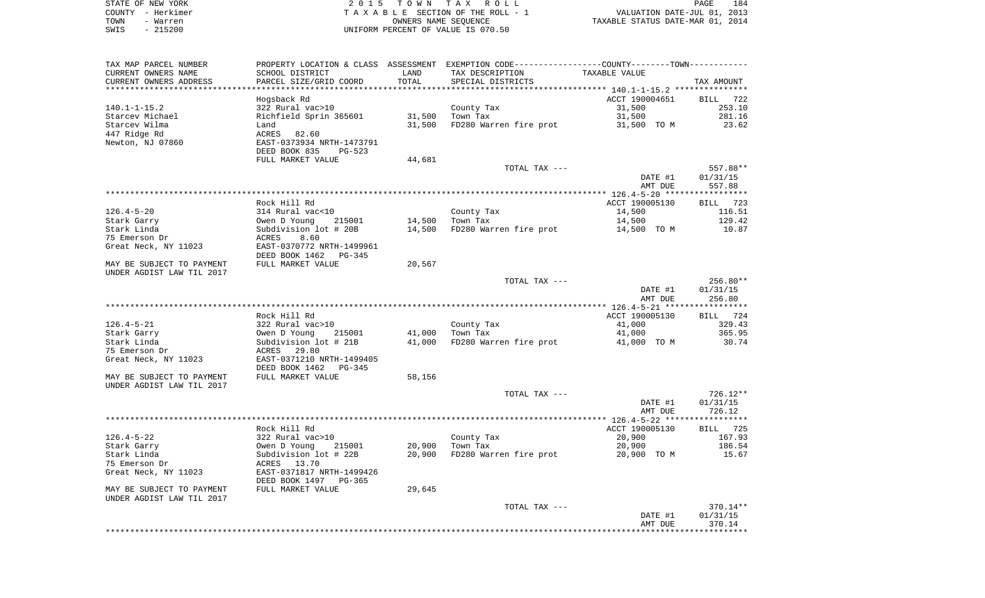|      | STATE OF NEW YORK | 2015 TOWN TAX ROLL                 |                                  | PAGE | 184 |
|------|-------------------|------------------------------------|----------------------------------|------|-----|
|      | COUNTY - Herkimer | TAXABLE SECTION OF THE ROLL - 1    | VALUATION DATE-JUL 01, 2013      |      |     |
| TOWN | - Warren          | OWNERS NAME SEOUENCE               | TAXABLE STATUS DATE-MAR 01, 2014 |      |     |
| SWIS | $-215200$         | UNIFORM PERCENT OF VALUE IS 070.50 |                                  |      |     |

 $\begin{array}{c} 184 \\ 2013 \\ 2014 \end{array}$ 

| TAX MAP PARCEL NUMBER                                  |                                                              |            | PROPERTY LOCATION & CLASS ASSESSMENT EXEMPTION CODE---------------COUNTY-------TOWN---------- |                      |                    |
|--------------------------------------------------------|--------------------------------------------------------------|------------|-----------------------------------------------------------------------------------------------|----------------------|--------------------|
| CURRENT OWNERS NAME                                    | SCHOOL DISTRICT                                              | LAND       | TAX DESCRIPTION                                                                               | <b>TAXABLE VALUE</b> |                    |
| CURRENT OWNERS ADDRESS                                 | PARCEL SIZE/GRID COORD                                       | TOTAL      | SPECIAL DISTRICTS                                                                             |                      | TAX AMOUNT         |
| ********************                                   |                                                              | ********** |                                                                                               |                      |                    |
|                                                        | Hogsback Rd                                                  |            |                                                                                               | ACCT 190004651       | <b>BILL</b><br>722 |
| $140.1 - 1 - 15.2$                                     | 322 Rural vac>10                                             |            | County Tax                                                                                    | 31,500               | 253.10             |
| Starcev Michael                                        | Richfield Sprin 365601                                       | 31,500     | Town Tax                                                                                      | 31,500               | 281.16             |
| Starcev Wilma                                          | Land                                                         | 31,500     | FD280 Warren fire prot                                                                        | 31,500 TO M          | 23.62              |
| 447 Ridge Rd<br>Newton, NJ 07860                       | 82.60<br>ACRES<br>EAST-0373934 NRTH-1473791                  |            |                                                                                               |                      |                    |
|                                                        | DEED BOOK 835<br><b>PG-523</b>                               |            |                                                                                               |                      |                    |
|                                                        | FULL MARKET VALUE                                            | 44,681     |                                                                                               |                      |                    |
|                                                        |                                                              |            | TOTAL TAX ---                                                                                 |                      | 557.88**           |
|                                                        |                                                              |            |                                                                                               | DATE #1<br>AMT DUE   | 01/31/15<br>557.88 |
|                                                        |                                                              |            |                                                                                               |                      |                    |
|                                                        | Rock Hill Rd                                                 |            |                                                                                               | ACCT 190005130       | <b>BILL</b><br>723 |
| $126.4 - 5 - 20$                                       | 314 Rural vac<10                                             |            | County Tax                                                                                    | 14,500               | 116.51             |
| Stark Garry                                            | Owen D Young<br>215001                                       | 14,500     | Town Tax                                                                                      | 14,500               | 129.42             |
| Stark Linda                                            | Subdivision lot # 20B                                        | 14,500     | FD280 Warren fire prot                                                                        | 14,500 TO M          | 10.87              |
| 75 Emerson Dr                                          | 8.60<br>ACRES                                                |            |                                                                                               |                      |                    |
| Great Neck, NY 11023                                   | EAST-0370772 NRTH-1499961<br>DEED BOOK 1462<br><b>PG-345</b> |            |                                                                                               |                      |                    |
| MAY BE SUBJECT TO PAYMENT<br>UNDER AGDIST LAW TIL 2017 | FULL MARKET VALUE                                            | 20,567     |                                                                                               |                      |                    |
|                                                        |                                                              |            | TOTAL TAX ---                                                                                 |                      | 256.80**           |
|                                                        |                                                              |            |                                                                                               | DATE #1<br>AMT DUE   | 01/31/15<br>256.80 |
|                                                        |                                                              |            |                                                                                               |                      |                    |
|                                                        | Rock Hill Rd                                                 |            |                                                                                               | ACCT 190005130       | 724<br>BILL        |
| $126.4 - 5 - 21$                                       | 322 Rural vac>10                                             |            | County Tax                                                                                    | 41,000               | 329.43             |
| Stark Garry                                            | Owen D Young<br>215001                                       | 41,000     | Town Tax                                                                                      | 41,000               | 365.95             |
| Stark Linda                                            | Subdivision lot # 21B                                        | 41,000     | FD280 Warren fire prot                                                                        | 41,000 TO M          | 30.74              |
| 75 Emerson Dr                                          | 29.80<br>ACRES                                               |            |                                                                                               |                      |                    |
| Great Neck, NY 11023                                   | EAST-0371210 NRTH-1499405                                    |            |                                                                                               |                      |                    |
|                                                        | DEED BOOK 1462<br>PG-345                                     |            |                                                                                               |                      |                    |
| MAY BE SUBJECT TO PAYMENT<br>UNDER AGDIST LAW TIL 2017 | FULL MARKET VALUE                                            | 58,156     |                                                                                               |                      |                    |
|                                                        |                                                              |            | TOTAL TAX ---                                                                                 |                      | $726.12**$         |
|                                                        |                                                              |            |                                                                                               | DATE #1              | 01/31/15           |
|                                                        |                                                              |            |                                                                                               | AMT DUE              | 726.12             |
|                                                        |                                                              |            |                                                                                               |                      | **********         |
|                                                        | Rock Hill Rd                                                 |            |                                                                                               | ACCT 190005130       | 725<br>BILL        |
| $126.4 - 5 - 22$                                       | 322 Rural vac>10                                             |            | County Tax                                                                                    | 20,900               | 167.93             |
| Stark Garry                                            | Owen D Young<br>215001                                       | 20,900     | Town Tax                                                                                      | 20,900               | 186.54             |
| Stark Linda                                            | Subdivision lot # 22B                                        | 20,900     | FD280 Warren fire prot                                                                        | 20,900 TO M          | 15.67              |
| 75 Emerson Dr                                          | ACRES<br>13.70                                               |            |                                                                                               |                      |                    |
| Great Neck, NY 11023                                   | EAST-0371817 NRTH-1499426<br>DEED BOOK 1497<br>$PG-365$      |            |                                                                                               |                      |                    |
| MAY BE SUBJECT TO PAYMENT<br>UNDER AGDIST LAW TIL 2017 | FULL MARKET VALUE                                            | 29,645     |                                                                                               |                      |                    |
|                                                        |                                                              |            | TOTAL TAX ---                                                                                 |                      | 370.14**           |
|                                                        |                                                              |            |                                                                                               | DATE #1<br>AMT DUE   | 01/31/15<br>370.14 |
|                                                        |                                                              |            |                                                                                               |                      |                    |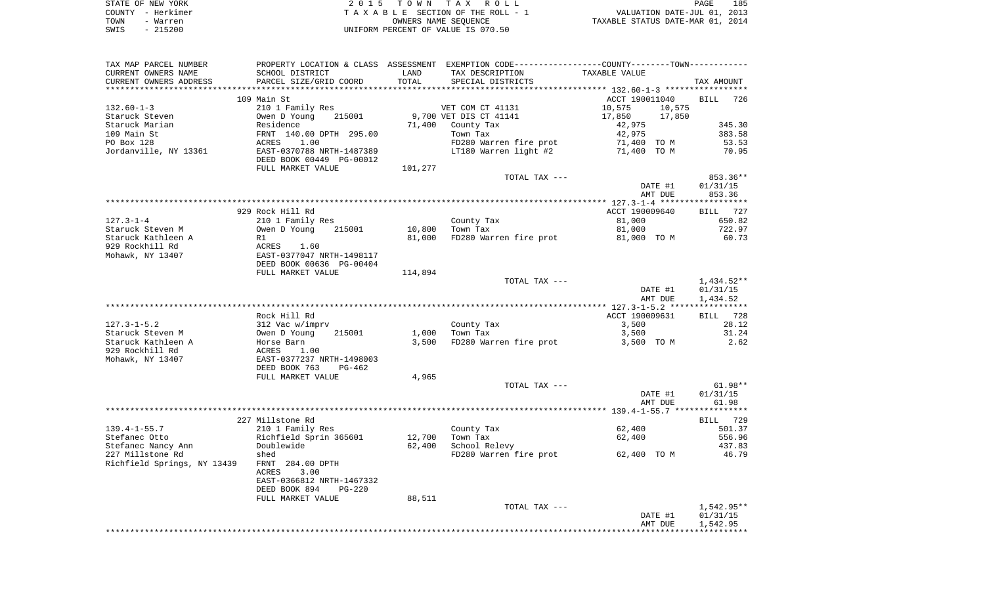| STATE OF NEW YORK | 2015 TOWN TAX ROLL                 | PAGE                             | 185 |
|-------------------|------------------------------------|----------------------------------|-----|
| COUNTY - Herkimer | TAXABLE SECTION OF THE ROLL - 1    | VALUATION DATE-JUL 01, 2013      |     |
| TOWN<br>- Warren  | OWNERS NAME SEOUENCE               | TAXABLE STATUS DATE-MAR 01, 2014 |     |
| $-215200$<br>SWIS | UNIFORM PERCENT OF VALUE IS 070.50 |                                  |     |

| Richfield Sprin 365601<br>12,700<br>Stefanec Otto<br>Town Tax<br>62,400<br>Stefanec Nancy Ann<br>Doublewide<br>62,400<br>School Relevy<br>227 Millstone Rd<br>FD280 Warren fire prot<br>62,400 TO M<br>shed<br>Richfield Springs, NY 13439<br>FRNT 284.00 DPTH<br>3.00<br>ACRES<br>EAST-0366812 NRTH-1467332<br>DEED BOOK 894<br>$PG-220$<br>88,511<br>FULL MARKET VALUE<br>TOTAL TAX ---<br>DATE #1<br>AMT DUE | $61.98**$<br>01/31/15<br>61.98<br>BILL 729<br>501.37<br>556.96<br>437.83<br>46.79<br>1,542.95**<br>01/31/15<br>1,542.95 |
|-----------------------------------------------------------------------------------------------------------------------------------------------------------------------------------------------------------------------------------------------------------------------------------------------------------------------------------------------------------------------------------------------------------------|-------------------------------------------------------------------------------------------------------------------------|
|                                                                                                                                                                                                                                                                                                                                                                                                                 |                                                                                                                         |
|                                                                                                                                                                                                                                                                                                                                                                                                                 |                                                                                                                         |
|                                                                                                                                                                                                                                                                                                                                                                                                                 |                                                                                                                         |
|                                                                                                                                                                                                                                                                                                                                                                                                                 |                                                                                                                         |
|                                                                                                                                                                                                                                                                                                                                                                                                                 |                                                                                                                         |
|                                                                                                                                                                                                                                                                                                                                                                                                                 |                                                                                                                         |
|                                                                                                                                                                                                                                                                                                                                                                                                                 |                                                                                                                         |
|                                                                                                                                                                                                                                                                                                                                                                                                                 |                                                                                                                         |
|                                                                                                                                                                                                                                                                                                                                                                                                                 |                                                                                                                         |
| $139.4 - 1 - 55.7$<br>62,400<br>210 1 Family Res<br>County Tax                                                                                                                                                                                                                                                                                                                                                  |                                                                                                                         |
| 227 Millstone Rd                                                                                                                                                                                                                                                                                                                                                                                                |                                                                                                                         |
|                                                                                                                                                                                                                                                                                                                                                                                                                 |                                                                                                                         |
| AMT DUE                                                                                                                                                                                                                                                                                                                                                                                                         |                                                                                                                         |
| DATE #1                                                                                                                                                                                                                                                                                                                                                                                                         |                                                                                                                         |
| TOTAL TAX ---                                                                                                                                                                                                                                                                                                                                                                                                   |                                                                                                                         |
| 4,965<br>FULL MARKET VALUE                                                                                                                                                                                                                                                                                                                                                                                      |                                                                                                                         |
| DEED BOOK 763<br>PG-462                                                                                                                                                                                                                                                                                                                                                                                         |                                                                                                                         |
| Mohawk, NY 13407<br>EAST-0377237 NRTH-1498003                                                                                                                                                                                                                                                                                                                                                                   |                                                                                                                         |
| Staruck Kathleen A<br>3,500 TO M<br>Horse Barn<br>929 Rockhill Rd<br>ACRES<br>1.00                                                                                                                                                                                                                                                                                                                              |                                                                                                                         |
| Owen D Young<br>Staruck Steven M<br>215001<br>1,000<br>Town Tax<br>3,500<br>FD280 Warren fire prot<br>3,500                                                                                                                                                                                                                                                                                                     | 31.24<br>2.62                                                                                                           |
| $127.3 - 1 - 5.2$<br>County Tax<br>3,500<br>312 Vac w/imprv                                                                                                                                                                                                                                                                                                                                                     | 28.12                                                                                                                   |
| Rock Hill Rd<br>ACCT 190009631                                                                                                                                                                                                                                                                                                                                                                                  | BILL 728                                                                                                                |
|                                                                                                                                                                                                                                                                                                                                                                                                                 |                                                                                                                         |
| AMT DUE                                                                                                                                                                                                                                                                                                                                                                                                         | 1,434.52                                                                                                                |
| DATE #1                                                                                                                                                                                                                                                                                                                                                                                                         | 01/31/15                                                                                                                |
| TOTAL TAX ---                                                                                                                                                                                                                                                                                                                                                                                                   | 1,434.52**                                                                                                              |
| FULL MARKET VALUE<br>114,894                                                                                                                                                                                                                                                                                                                                                                                    |                                                                                                                         |
| DEED BOOK 00636 PG-00404                                                                                                                                                                                                                                                                                                                                                                                        |                                                                                                                         |
| Mohawk, NY 13407<br>EAST-0377047 NRTH-1498117                                                                                                                                                                                                                                                                                                                                                                   |                                                                                                                         |
| 929 Rockhill Rd<br>ACRES 1.60                                                                                                                                                                                                                                                                                                                                                                                   |                                                                                                                         |
| Staruck Kathleen A<br>81,000<br>FD280 Warren fire prot<br>81,000 TO M<br>R1                                                                                                                                                                                                                                                                                                                                     | 60.73                                                                                                                   |
| Staruck Steven M<br>215001<br>10,800<br>Town Tax<br>81,000<br>Owen D Young                                                                                                                                                                                                                                                                                                                                      | 722.97                                                                                                                  |
| 81,000<br>$127.3 - 1 - 4$<br>210 1 Family Res<br>County Tax                                                                                                                                                                                                                                                                                                                                                     | 650.82                                                                                                                  |
| 929 Rock Hill Rd<br>ACCT 190009640                                                                                                                                                                                                                                                                                                                                                                              | BILL 727                                                                                                                |
|                                                                                                                                                                                                                                                                                                                                                                                                                 |                                                                                                                         |
| AMT DUE                                                                                                                                                                                                                                                                                                                                                                                                         | 853.36                                                                                                                  |
| DATE #1                                                                                                                                                                                                                                                                                                                                                                                                         | 01/31/15                                                                                                                |
| TOTAL TAX ---                                                                                                                                                                                                                                                                                                                                                                                                   | 853.36**                                                                                                                |
| 101,277<br>FULL MARKET VALUE                                                                                                                                                                                                                                                                                                                                                                                    |                                                                                                                         |
| DEED BOOK 00449 PG-00012                                                                                                                                                                                                                                                                                                                                                                                        |                                                                                                                         |
| Jordanville, NY 13361<br>EAST-0370788 NRTH-1487389<br>LT180 Warren light #2<br>71,400 TO M                                                                                                                                                                                                                                                                                                                      | 70.95                                                                                                                   |
| 71,400 TO M<br>PO Box 128<br>1.00<br>FD280 Warren fire prot<br>ACRES                                                                                                                                                                                                                                                                                                                                            | 53.53                                                                                                                   |
| 109 Main St<br>FRNT 140.00 DPTH 295.00<br>Town Tax<br>42,975                                                                                                                                                                                                                                                                                                                                                    | 383.58                                                                                                                  |
| Staruck Marian<br>Residence<br>71,400 County Tax<br>42,975                                                                                                                                                                                                                                                                                                                                                      | 345.30                                                                                                                  |
| 9,700 VET DIS CT 41141<br>Staruck Steven<br>Owen D Young<br>215001<br>17,850<br>17,850                                                                                                                                                                                                                                                                                                                          |                                                                                                                         |
| $132.60 - 1 - 3$<br>10,575<br>210 1 Family Res<br>VET COM CT 41131<br>10,575                                                                                                                                                                                                                                                                                                                                    |                                                                                                                         |
| ACCT 190011040<br>109 Main St                                                                                                                                                                                                                                                                                                                                                                                   | BILL 726                                                                                                                |
| CURRENT OWNERS ADDRESS<br>PARCEL SIZE/GRID COORD<br>SPECIAL DISTRICTS                                                                                                                                                                                                                                                                                                                                           | TAX AMOUNT                                                                                                              |
| CURRENT OWNERS NAME<br>SCHOOL DISTRICT<br>LAND<br>TAX DESCRIPTION<br>TAXABLE VALUE<br>TOTAL                                                                                                                                                                                                                                                                                                                     |                                                                                                                         |
| TAX MAP PARCEL NUMBER<br>PROPERTY LOCATION & CLASS ASSESSMENT EXEMPTION CODE---------------COUNTY-------TOWN----------                                                                                                                                                                                                                                                                                          |                                                                                                                         |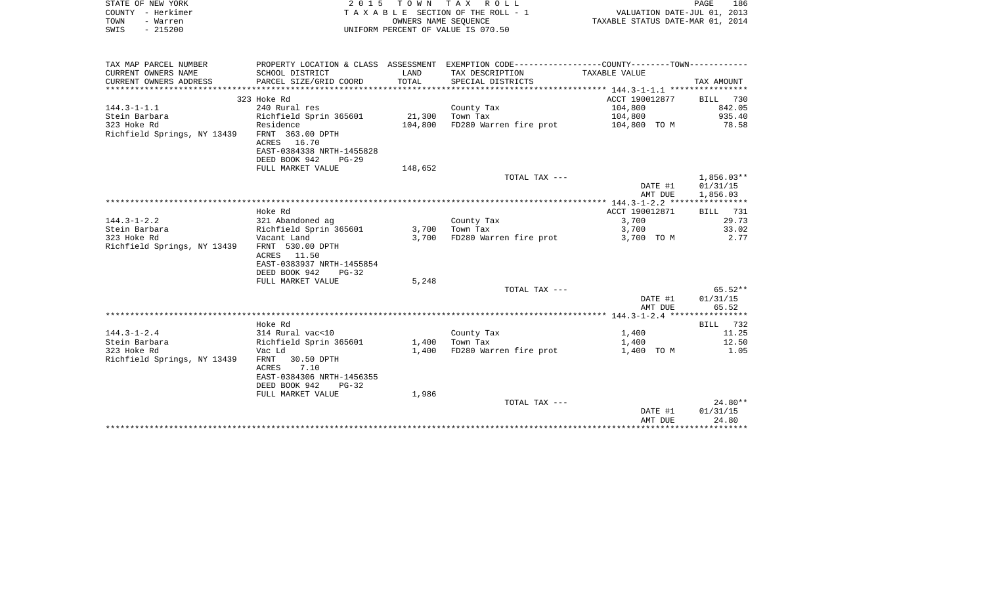| STATE OF NEW YORK<br>COUNTY - Herkimer<br>TOWN<br>- Warren<br>SWIS<br>$-215200$ |                                                                                              | OWNERS NAME SEOUENCE | 2015 TOWN TAX ROLL<br>TAXABLE SECTION OF THE ROLL - 1<br>UNIFORM PERCENT OF VALUE IS 070.50   | VALUATION DATE-JUL 01, 2013<br>TAXABLE STATUS DATE-MAR 01, 2014 | PAGE<br>186                          |
|---------------------------------------------------------------------------------|----------------------------------------------------------------------------------------------|----------------------|-----------------------------------------------------------------------------------------------|-----------------------------------------------------------------|--------------------------------------|
| TAX MAP PARCEL NUMBER                                                           |                                                                                              |                      | PROPERTY LOCATION & CLASS ASSESSMENT EXEMPTION CODE---------------COUNTY-------TOWN---------- |                                                                 |                                      |
| CURRENT OWNERS NAME                                                             | SCHOOL DISTRICT                                                                              | LAND                 | TAX DESCRIPTION                                                                               | TAXABLE VALUE                                                   |                                      |
| CURRENT OWNERS ADDRESS                                                          | PARCEL SIZE/GRID COORD                                                                       | TOTAL                | SPECIAL DISTRICTS                                                                             |                                                                 | TAX AMOUNT                           |
|                                                                                 |                                                                                              |                      |                                                                                               |                                                                 |                                      |
|                                                                                 | 323 Hoke Rd                                                                                  |                      |                                                                                               | ACCT 190012877                                                  | BILL 730                             |
| $144.3 - 1 - 1.1$                                                               | 240 Rural res                                                                                |                      | County Tax                                                                                    | 104,800                                                         | 842.05                               |
| Stein Barbara                                                                   | Richfield Sprin 365601                                                                       | 21,300               | Town Tax                                                                                      | 104,800                                                         | 935.40                               |
| 323 Hoke Rd                                                                     | Residence                                                                                    | 104,800              | FD280 Warren fire prot                                                                        | 104,800 TO M                                                    | 78.58                                |
| Richfield Springs, NY 13439                                                     | FRNT 363.00 DPTH                                                                             |                      |                                                                                               |                                                                 |                                      |
|                                                                                 | ACRES 16.70                                                                                  |                      |                                                                                               |                                                                 |                                      |
|                                                                                 | EAST-0384338 NRTH-1455828                                                                    |                      |                                                                                               |                                                                 |                                      |
|                                                                                 | DEED BOOK 942<br>$PG-29$                                                                     |                      |                                                                                               |                                                                 |                                      |
|                                                                                 | FULL MARKET VALUE                                                                            | 148,652              |                                                                                               |                                                                 |                                      |
|                                                                                 |                                                                                              |                      | TOTAL TAX ---                                                                                 | DATE #1<br>AMT DUE                                              | $1,856.03**$<br>01/31/15<br>1,856.03 |
|                                                                                 |                                                                                              |                      |                                                                                               |                                                                 |                                      |
|                                                                                 | Hoke Rd                                                                                      |                      |                                                                                               | ACCT 190012871                                                  | 731<br>BILL                          |
| $144.3 - 1 - 2.2$                                                               | 321 Abandoned ag                                                                             |                      | County Tax                                                                                    | 3,700                                                           | 29.73                                |
| Stein Barbara                                                                   | Richfield Sprin 365601                                                                       | 3,700                | Town Tax                                                                                      | 3,700                                                           | 33.02                                |
| 323 Hoke Rd                                                                     | Vacant Land                                                                                  | 3,700                | FD280 Warren fire prot                                                                        | 3,700 TO M                                                      | 2.77                                 |
| Richfield Springs, NY 13439                                                     | FRNT 530.00 DPTH<br>ACRES 11.50<br>EAST-0383937 NRTH-1455854<br>DEED BOOK 942<br>$PG-32$     |                      |                                                                                               |                                                                 |                                      |
|                                                                                 | FULL MARKET VALUE                                                                            | 5,248                |                                                                                               |                                                                 |                                      |
|                                                                                 |                                                                                              |                      | TOTAL TAX ---                                                                                 |                                                                 | 65.52**                              |
|                                                                                 |                                                                                              |                      |                                                                                               | DATE #1                                                         | 01/31/15                             |
|                                                                                 |                                                                                              |                      |                                                                                               | AMT DUE                                                         | 65.52                                |
|                                                                                 |                                                                                              |                      |                                                                                               |                                                                 |                                      |
|                                                                                 | Hoke Rd                                                                                      |                      |                                                                                               |                                                                 | 732<br>BILL                          |
| $144.3 - 1 - 2.4$                                                               | 314 Rural vac<10                                                                             |                      | County Tax                                                                                    | 1,400                                                           | 11.25                                |
| Stein Barbara                                                                   | Richfield Sprin 365601                                                                       | 1,400                | Town Tax                                                                                      | 1,400                                                           | 12.50                                |
| 323 Hoke Rd                                                                     | Vac Ld                                                                                       | 1,400                | FD280 Warren fire prot                                                                        | 1,400 TO M                                                      | 1.05                                 |
| Richfield Springs, NY 13439                                                     | FRNT<br>30.50 DPTH<br>ACRES<br>7.10<br>EAST-0384306 NRTH-1456355<br>DEED BOOK 942<br>$PG-32$ |                      |                                                                                               |                                                                 |                                      |
|                                                                                 | FULL MARKET VALUE                                                                            | 1,986                |                                                                                               |                                                                 |                                      |
|                                                                                 |                                                                                              |                      | TOTAL TAX ---                                                                                 |                                                                 | $24.80**$                            |
|                                                                                 |                                                                                              |                      |                                                                                               | DATE #1                                                         | 01/31/15                             |
|                                                                                 |                                                                                              |                      |                                                                                               | AMT DUE                                                         | 24.80                                |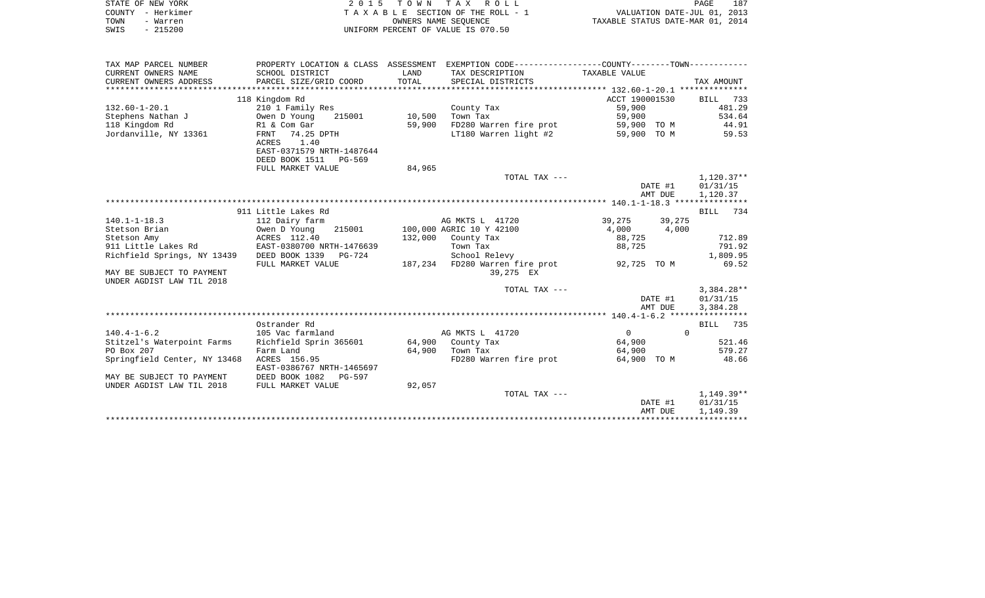| STATE OF NEW YORK      | 2 0 1 5                             | T O W N    | T A X<br>R O L L                             |                | PAGE                             | 187 |
|------------------------|-------------------------------------|------------|----------------------------------------------|----------------|----------------------------------|-----|
| - Herkimer<br>COUNTY   |                                     |            | TAXABLE SECTION OF THE ROLL - 1              |                | VALUATION DATE-JUL 01, 2013      |     |
| TOWN<br>- Warren       |                                     |            | OWNERS NAME SEOUENCE                         |                | TAXABLE STATUS DATE-MAR 01, 2014 |     |
| $-215200$<br>SWIS      |                                     |            | UNIFORM PERCENT OF VALUE IS 070.50           |                |                                  |     |
|                        |                                     |            |                                              |                |                                  |     |
| TAX MAP PARCEL NUMBER  | PROPERTY LOCATION & CLASS           | ASSESSMENT | EXEMPTION CODE-----------------COUNTY------- |                | $-TOWN--$                        |     |
| CURRENT OWNERS NAME    | SCHOOL DISTRICT                     | LAND       | TAX DESCRIPTION                              | TAXABLE VALUE  |                                  |     |
| CURRENT OWNERS ADDRESS | PARCEL SIZE/GRID COORD              | TOTAL      | SPECIAL DISTRICTS                            |                | TAX AMOUNT                       |     |
|                        |                                     |            |                                              |                |                                  |     |
|                        | 118 Kingdom Rd                      |            |                                              | ACCT 190001530 | 733<br>BILL                      |     |
| 132.60-1-20.1          | 210 1 Family Res                    |            | County Tax                                   | 59,900         | 481.29                           |     |
| Stephens Nathan J      | 215001<br>Owen D Young              | 10,500     | Town Tax                                     | 59,900         | 534.64                           |     |
| 118 Kingdom Rd         | R1 & Com Gar                        | 59,900     | FD280 Warren fire prot                       | 59,900 TO M    | 44.91                            |     |
| Jordanville, NY 13361  | 74.25 DPTH<br>FRNT<br>1.40<br>ACRES |            | LT180 Warren light #2                        | 59,900         | 59.53<br>TO M                    |     |

| 118 Kingdom Rd                                         | R1 & Com Gar              | 59,900  | FD280 Warren fire prot   | 59,900 TO M |          | 44.91                               |
|--------------------------------------------------------|---------------------------|---------|--------------------------|-------------|----------|-------------------------------------|
| Jordanville, NY 13361                                  | FRNT<br>74.25 DPTH        |         | LT180 Warren light #2    | 59,900 TO M |          | 59.53                               |
|                                                        | 1.40<br>ACRES             |         |                          |             |          |                                     |
|                                                        | EAST-0371579 NRTH-1487644 |         |                          |             |          |                                     |
|                                                        | DEED BOOK 1511 PG-569     |         |                          |             |          |                                     |
|                                                        | FULL MARKET VALUE         | 84,965  |                          |             |          |                                     |
|                                                        |                           |         | TOTAL TAX ---            |             |          | $1,120.37**$                        |
|                                                        |                           |         |                          |             | DATE #1  | 01/31/15                            |
|                                                        |                           |         |                          |             | AMT DUE  | 1,120.37                            |
|                                                        |                           |         |                          |             |          |                                     |
|                                                        | 911 Little Lakes Rd       |         |                          |             |          | 734<br>BILL                         |
| $140.1 - 1 - 18.3$                                     | 112 Dairy farm            |         | AG MKTS L 41720          | 39,275      | 39,275   |                                     |
| Stetson Brian                                          | 215001<br>Owen D Young    |         | 100,000 AGRIC 10 Y 42100 | 4,000       | 4,000    |                                     |
| Stetson Amy                                            | ACRES 112.40              | 132,000 | County Tax               | 88,725      |          | 712.89                              |
| 911 Little Lakes Rd                                    | EAST-0380700 NRTH-1476639 |         | Town Tax                 | 88,725      |          | 791.92                              |
| Richfield Springs, NY 13439                            | DEED BOOK 1339 PG-724     |         | School Relevy            |             |          | 1,809.95                            |
|                                                        | FULL MARKET VALUE         | 187,234 | FD280 Warren fire prot   | 92,725 TO M |          | 69.52                               |
| MAY BE SUBJECT TO PAYMENT<br>UNDER AGDIST LAW TIL 2018 |                           |         | 39,275 EX                |             |          |                                     |
|                                                        |                           |         | TOTAL TAX ---            |             |          | $3,384.28**$                        |
|                                                        |                           |         |                          |             | DATE #1  | 01/31/15                            |
|                                                        |                           |         |                          |             | AMT DUE  | 3,384.28                            |
|                                                        |                           |         |                          |             |          | $140.4 - 1 - 6.2$ ***************** |
|                                                        | Ostrander Rd              |         |                          |             |          | 735<br>BILL                         |
| $140.4 - 1 - 6.2$                                      | 105 Vac farmland          |         | AG MKTS L 41720          | $\mathbf 0$ | $\Omega$ |                                     |
| Stitzel's Waterpoint Farms                             | Richfield Sprin 365601    |         | 64,900 County Tax        | 64,900      |          | 521.46                              |
| PO Box 207                                             | Farm Land                 | 64,900  | Town Tax                 | 64,900      |          | 579.27                              |
| Springfield Center, NY 13468                           | ACRES 156.95              |         | FD280 Warren fire prot   | 64,900 TO M |          | 48.66                               |
|                                                        | EAST-0386767 NRTH-1465697 |         |                          |             |          |                                     |
| MAY BE SUBJECT TO PAYMENT                              | DEED BOOK 1082<br>PG-597  |         |                          |             |          |                                     |
| UNDER AGDIST LAW TIL 2018                              | FULL MARKET VALUE         | 92,057  |                          |             |          |                                     |
|                                                        |                           |         | TOTAL TAX $---$          |             |          | $1,149.39**$                        |
|                                                        |                           |         |                          |             | DATE #1  | 01/31/15                            |
|                                                        |                           |         |                          |             | AMT DUE  | 1,149.39                            |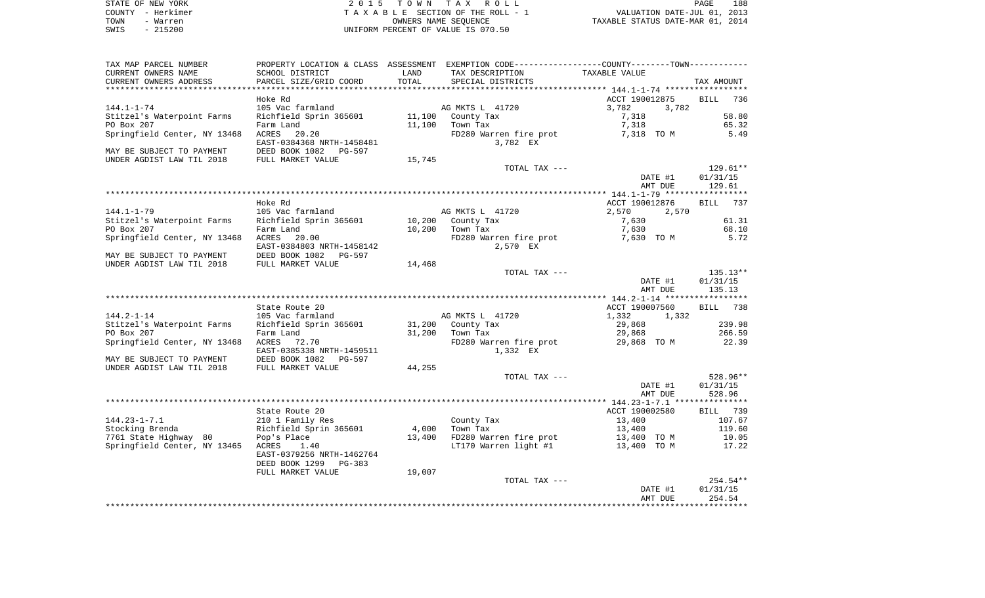| STATE OF NEW YORK |           | 2015 TOWN TAX ROLL                 | PAGE                             | 188 |
|-------------------|-----------|------------------------------------|----------------------------------|-----|
| COUNTY - Herkimer |           | TAXABLE SECTION OF THE ROLL - 1    | VALUATION DATE-JUL 01, 2013      |     |
| TOWN              | - Warren  | OWNERS NAME SEOUENCE               | TAXABLE STATUS DATE-MAR 01, 2014 |     |
| SWIS              | $-215200$ | UNIFORM PERCENT OF VALUE IS 070.50 |                                  |     |

188<br>2013<br>2014

| TAX MAP PARCEL NUMBER        |                                 |        | PROPERTY LOCATION & CLASS ASSESSMENT EXEMPTION CODE----------------COUNTY-------TOWN----------- |                |                    |
|------------------------------|---------------------------------|--------|-------------------------------------------------------------------------------------------------|----------------|--------------------|
| CURRENT OWNERS NAME          | SCHOOL DISTRICT                 | LAND   | TAX DESCRIPTION                                                                                 | TAXABLE VALUE  |                    |
| CURRENT OWNERS ADDRESS       | PARCEL SIZE/GRID COORD          | TOTAL  | SPECIAL DISTRICTS                                                                               |                | TAX AMOUNT         |
|                              |                                 |        |                                                                                                 |                |                    |
|                              | Hoke Rd                         |        |                                                                                                 | ACCT 190012875 | <b>BILL</b><br>736 |
| $144.1 - 1 - 74$             | 105 Vac farmland                |        | AG MKTS L 41720                                                                                 | 3,782<br>3,782 |                    |
| Stitzel's Waterpoint Farms   | Richfield Sprin 365601          | 11,100 | County Tax                                                                                      | 7,318          | 58.80              |
|                              |                                 |        |                                                                                                 |                |                    |
| PO Box 207                   | Farm Land                       | 11,100 | Town Tax                                                                                        | 7,318          | 65.32              |
| Springfield Center, NY 13468 | ACRES<br>20.20                  |        | FD280 Warren fire prot                                                                          | 7,318 TO M     | 5.49               |
|                              | EAST-0384368 NRTH-1458481       |        | 3,782 EX                                                                                        |                |                    |
| MAY BE SUBJECT TO PAYMENT    | DEED BOOK 1082<br>PG-597        |        |                                                                                                 |                |                    |
| UNDER AGDIST LAW TIL 2018    | FULL MARKET VALUE               | 15,745 |                                                                                                 |                |                    |
|                              |                                 |        | TOTAL TAX ---                                                                                   |                | $129.61**$         |
|                              |                                 |        |                                                                                                 | DATE #1        | 01/31/15           |
|                              |                                 |        |                                                                                                 | AMT DUE        | 129.61             |
|                              |                                 |        |                                                                                                 |                |                    |
|                              | Hoke Rd                         |        |                                                                                                 | ACCT 190012876 | <b>BILL</b><br>737 |
| $144.1 - 1 - 79$             | 105 Vac farmland                |        | AG MKTS L 41720                                                                                 | 2,570<br>2,570 |                    |
| Stitzel's Waterpoint Farms   | Richfield Sprin 365601          | 10,200 | County Tax                                                                                      | 7,630          | 61.31              |
| PO Box 207                   | Farm Land                       | 10,200 | Town Tax                                                                                        | 7,630          | 68.10              |
|                              |                                 |        |                                                                                                 |                |                    |
| Springfield Center, NY 13468 | ACRES<br>20.00                  |        | FD280 Warren fire prot                                                                          | 7,630 TO M     | 5.72               |
|                              | EAST-0384803 NRTH-1458142       |        | 2,570 EX                                                                                        |                |                    |
| MAY BE SUBJECT TO PAYMENT    | DEED BOOK 1082<br><b>PG-597</b> |        |                                                                                                 |                |                    |
| UNDER AGDIST LAW TIL 2018    | FULL MARKET VALUE               | 14,468 |                                                                                                 |                |                    |
|                              |                                 |        | TOTAL TAX ---                                                                                   |                | $135.13**$         |
|                              |                                 |        |                                                                                                 | DATE #1        | 01/31/15           |
|                              |                                 |        |                                                                                                 | AMT DUE        | 135.13             |
|                              |                                 |        |                                                                                                 |                |                    |
|                              | State Route 20                  |        |                                                                                                 | ACCT 190007560 | 738<br><b>BILL</b> |
| $144.2 - 1 - 14$             | 105 Vac farmland                |        | AG MKTS L 41720                                                                                 | 1,332<br>1,332 |                    |
| Stitzel's Waterpoint Farms   | Richfield Sprin 365601          | 31,200 | County Tax                                                                                      | 29,868         | 239.98             |
| PO Box 207                   | Farm Land                       | 31,200 | Town Tax                                                                                        | 29,868         | 266.59             |
| Springfield Center, NY 13468 | ACRES<br>72.70                  |        | FD280 Warren fire prot                                                                          | 29,868 TO M    | 22.39              |
|                              | EAST-0385338 NRTH-1459511       |        | 1,332 EX                                                                                        |                |                    |
|                              |                                 |        |                                                                                                 |                |                    |
| MAY BE SUBJECT TO PAYMENT    | DEED BOOK 1082<br>PG-597        |        |                                                                                                 |                |                    |
| UNDER AGDIST LAW TIL 2018    | FULL MARKET VALUE               | 44,255 |                                                                                                 |                |                    |
|                              |                                 |        | TOTAL TAX ---                                                                                   |                | 528.96**           |
|                              |                                 |        |                                                                                                 | DATE #1        | 01/31/15           |
|                              |                                 |        |                                                                                                 | AMT DUE        | 528.96             |
|                              |                                 |        |                                                                                                 |                |                    |
|                              | State Route 20                  |        |                                                                                                 | ACCT 190002580 | BILL 739           |
| $144.23 - 1 - 7.1$           | 210 1 Family Res                |        | County Tax                                                                                      | 13,400         | 107.67             |
| Stocking Brenda              | Richfield Sprin 365601          | 4,000  | Town Tax                                                                                        | 13,400         | 119.60             |
| 7761 State Highway 80        | Pop's Place                     | 13,400 | FD280 Warren fire prot                                                                          | 13,400 TO M    | 10.05              |
| Springfield Center, NY 13465 | ACRES<br>1.40                   |        | LT170 Warren light #1                                                                           | 13,400 TO M    | 17.22              |
|                              | EAST-0379256 NRTH-1462764       |        |                                                                                                 |                |                    |
|                              | DEED BOOK 1299<br>$PG-383$      |        |                                                                                                 |                |                    |
|                              |                                 | 19,007 |                                                                                                 |                |                    |
|                              | FULL MARKET VALUE               |        |                                                                                                 |                |                    |
|                              |                                 |        | TOTAL TAX ---                                                                                   |                | 254.54**           |
|                              |                                 |        |                                                                                                 | DATE #1        | 01/31/15           |
|                              |                                 |        |                                                                                                 | AMT DUE        | 254.54             |
|                              |                                 |        |                                                                                                 |                |                    |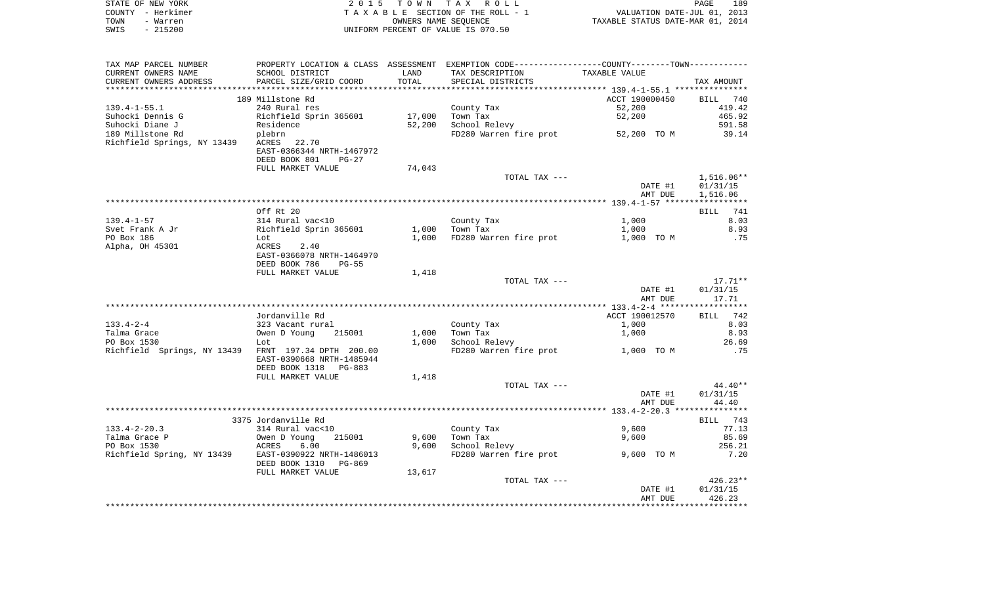|      | STATE OF NEW YORK | 2015 TOWN TAX ROLL                 | PAGE                             | 189 |
|------|-------------------|------------------------------------|----------------------------------|-----|
|      | COUNTY - Herkimer | TAXABLE SECTION OF THE ROLL - 1    | VALUATION DATE-JUL 01, 2013      |     |
| TOWN | - Warren          | OWNERS NAME SEOUENCE               | TAXABLE STATUS DATE-MAR 01, 2014 |     |
| SWIS | $-215200$         | UNIFORM PERCENT OF VALUE IS 070.50 |                                  |     |

| TAX MAP PARCEL NUMBER                                | PROPERTY LOCATION & CLASS ASSESSMENT EXEMPTION CODE---------------COUNTY-------TOWN---------- |        |                                    |                                                           |              |
|------------------------------------------------------|-----------------------------------------------------------------------------------------------|--------|------------------------------------|-----------------------------------------------------------|--------------|
| CURRENT OWNERS NAME                                  | SCHOOL DISTRICT                                                                               | LAND   | TAX DESCRIPTION                    | TAXABLE VALUE                                             |              |
| CURRENT OWNERS ADDRESS                               | PARCEL SIZE/GRID COORD                                                                        | TOTAL  | SPECIAL DISTRICTS                  |                                                           | TAX AMOUNT   |
|                                                      |                                                                                               |        | *******************************    | ************************** 139.4-1-55.1 ***************** |              |
|                                                      | 189 Millstone Rd                                                                              |        |                                    | ACCT 190000450                                            | BILL 740     |
|                                                      |                                                                                               |        |                                    |                                                           |              |
| $139.4 - 1 - 55.1$                                   | 240 Rural res                                                                                 |        | County Tax                         | 52,200                                                    | 419.42       |
| Suhocki Dennis G                                     | Richfield Sprin 365601                                                                        | 17,000 | Town Tax                           | 52,200                                                    | 465.92       |
| Suhocki Diane J                                      | Residence                                                                                     | 52,200 | School Relevy                      |                                                           | 591.58       |
| 189 Millstone Rd                                     | plebrn                                                                                        |        | FD280 Warren fire prot 52,200 TO M |                                                           | 39.14        |
| Richfield Springs, NY 13439                          | ACRES 22.70                                                                                   |        |                                    |                                                           |              |
|                                                      | EAST-0366344 NRTH-1467972                                                                     |        |                                    |                                                           |              |
|                                                      | DEED BOOK 801<br>$PG-27$                                                                      |        |                                    |                                                           |              |
|                                                      | FULL MARKET VALUE                                                                             | 74,043 |                                    |                                                           |              |
|                                                      |                                                                                               |        |                                    |                                                           |              |
|                                                      |                                                                                               |        | TOTAL TAX ---                      |                                                           | $1,516.06**$ |
|                                                      |                                                                                               |        |                                    | DATE #1                                                   | 01/31/15     |
|                                                      |                                                                                               |        |                                    | AMT DUE                                                   | 1,516.06     |
|                                                      |                                                                                               |        |                                    |                                                           |              |
|                                                      | Off Rt 20                                                                                     |        |                                    |                                                           | BILL 741     |
| $139.4 - 1 - 57$                                     | 314 Rural vac<10                                                                              |        | County Tax                         | 1,000                                                     | 8.03         |
| Svet Frank A Jr                                      | Richfield Sprin 365601                                                                        |        | 1,000 Town Tax                     | 1,000                                                     | 8.93         |
| PO Box 186                                           | Lot                                                                                           | 1,000  | FD280 Warren fire prot             | 1,000 TO M                                                | .75          |
| Alpha, OH 45301                                      | ACRES 2.40                                                                                    |        |                                    |                                                           |              |
|                                                      |                                                                                               |        |                                    |                                                           |              |
|                                                      | EAST-0366078 NRTH-1464970                                                                     |        |                                    |                                                           |              |
|                                                      | DEED BOOK 786<br>PG-55                                                                        |        |                                    |                                                           |              |
|                                                      | FULL MARKET VALUE                                                                             | 1,418  |                                    |                                                           |              |
|                                                      |                                                                                               |        | TOTAL TAX ---                      |                                                           | $17.71***$   |
|                                                      |                                                                                               |        |                                    | DATE #1                                                   | 01/31/15     |
|                                                      |                                                                                               |        |                                    | AMT DUE                                                   | 17.71        |
|                                                      |                                                                                               |        |                                    |                                                           |              |
|                                                      | Jordanville Rd                                                                                |        |                                    | ACCT 190012570                                            | BILL 742     |
| $133.4 - 2 - 4$                                      | 323 Vacant rural                                                                              |        | County Tax                         | 1,000                                                     | 8.03         |
|                                                      |                                                                                               |        |                                    |                                                           | 8.93         |
| Talma Grace                                          | 215001<br>Owen D Young                                                                        | 1,000  | Town Tax                           | 1,000                                                     |              |
| PO Box 1530                                          | Lot                                                                                           | 1,000  | School Relevy                      |                                                           | 26.69        |
| Richfield Springs, NY 13439 FRNT 197.34 DPTH 200.00  |                                                                                               |        | FD280 Warren fire prot 1,000 TO M  |                                                           | .75          |
|                                                      | EAST-0390668 NRTH-1485944                                                                     |        |                                    |                                                           |              |
|                                                      | DEED BOOK 1318 PG-883                                                                         |        |                                    |                                                           |              |
|                                                      | FULL MARKET VALUE                                                                             | 1,418  |                                    |                                                           |              |
|                                                      |                                                                                               |        | TOTAL TAX ---                      |                                                           | 44.40**      |
|                                                      |                                                                                               |        |                                    | DATE #1                                                   | 01/31/15     |
|                                                      |                                                                                               |        |                                    | AMT DUE                                                   | 44.40        |
|                                                      |                                                                                               |        |                                    |                                                           |              |
|                                                      |                                                                                               |        |                                    |                                                           |              |
|                                                      | 3375 Jordanville Rd                                                                           |        |                                    |                                                           | BILL 743     |
| $133.4 - 2 - 20.3$                                   | 314 Rural vac<10                                                                              |        | County Tax                         | 9,600                                                     | 77.13        |
| Talma Grace P                                        | 215001<br>Owen D Young                                                                        | 9,600  | Town Tax                           | 9,600                                                     | 85.69        |
| PO Box 1530                                          | ACRES<br>6.00                                                                                 |        | 9,600 School Relevy                |                                                           | 256.21       |
| Richfield Spring, NY 13439 EAST-0390922 NRTH-1486013 |                                                                                               |        | FD280 Warren fire prot             | 9,600 TO M                                                | 7.20         |
|                                                      | DEED BOOK 1310 PG-869                                                                         |        |                                    |                                                           |              |
|                                                      | FULL MARKET VALUE                                                                             | 13,617 |                                    |                                                           |              |
|                                                      |                                                                                               |        | TOTAL TAX ---                      |                                                           | $426.23**$   |
|                                                      |                                                                                               |        |                                    |                                                           |              |
|                                                      |                                                                                               |        |                                    | DATE #1                                                   | 01/31/15     |
|                                                      |                                                                                               |        |                                    | AMT DUE                                                   | 426.23       |
|                                                      |                                                                                               |        |                                    |                                                           |              |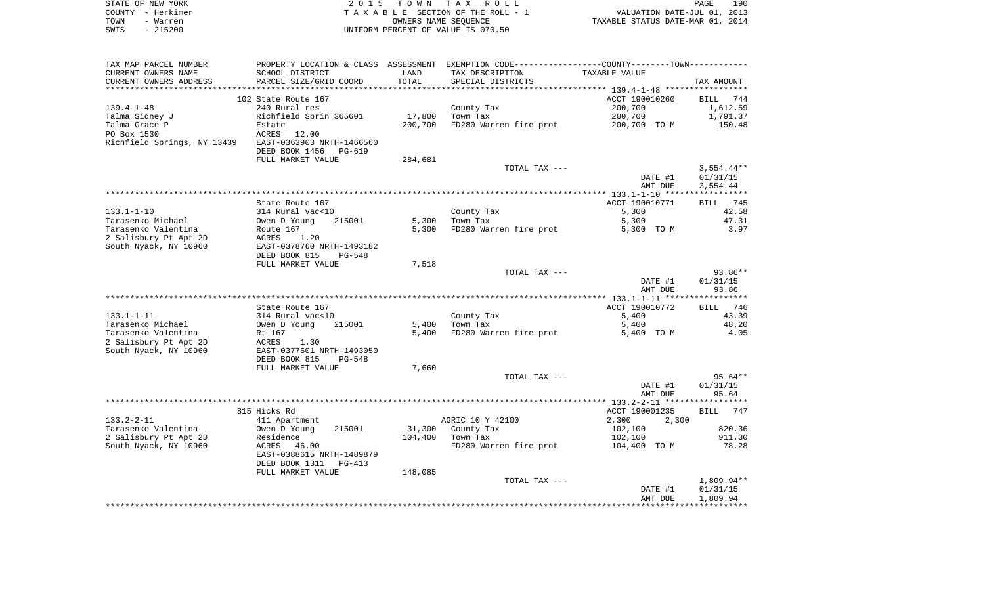|      | STATE OF NEW YORK | 2015 TOWN TAX ROLL                 | 190<br><b>PAGE</b>               |
|------|-------------------|------------------------------------|----------------------------------|
|      | COUNTY - Herkimer | TAXABLE SECTION OF THE ROLL - 1    | VALUATION DATE-JUL 01, 2013      |
| TOWN | - Warren          | OWNERS NAME SEOUENCE               | TAXABLE STATUS DATE-MAR 01, 2014 |
| SWIS | - 215200          | UNIFORM PERCENT OF VALUE IS 070.50 |                                  |

| TAX MAP PARCEL NUMBER       |                            |         | PROPERTY LOCATION & CLASS ASSESSMENT EXEMPTION CODE----------------COUNTY-------TOWN-------- |                |                    |
|-----------------------------|----------------------------|---------|----------------------------------------------------------------------------------------------|----------------|--------------------|
| CURRENT OWNERS NAME         | SCHOOL DISTRICT            | LAND    | TAX DESCRIPTION                                                                              | TAXABLE VALUE  |                    |
| CURRENT OWNERS ADDRESS      | PARCEL SIZE/GRID COORD     | TOTAL   | SPECIAL DISTRICTS                                                                            |                | TAX AMOUNT         |
| *******************         |                            |         |                                                                                              |                |                    |
|                             | 102 State Route 167        |         |                                                                                              | ACCT 190010260 | BILL 744           |
| $139.4 - 1 - 48$            | 240 Rural res              |         | County Tax                                                                                   | 200,700        | 1,612.59           |
| Talma Sidney J              | Richfield Sprin 365601     | 17,800  | Town Tax                                                                                     | 200,700        | 1,791.37           |
| Talma Grace P               | Estate                     | 200,700 | FD280 Warren fire prot                                                                       | 200,700 TO M   | 150.48             |
| PO Box 1530                 | ACRES 12.00                |         |                                                                                              |                |                    |
| Richfield Springs, NY 13439 | EAST-0363903 NRTH-1466560  |         |                                                                                              |                |                    |
|                             | DEED BOOK 1456<br>$PG-619$ |         |                                                                                              |                |                    |
|                             | FULL MARKET VALUE          | 284,681 |                                                                                              |                |                    |
|                             |                            |         | TOTAL TAX ---                                                                                |                |                    |
|                             |                            |         |                                                                                              |                | $3,554.44**$       |
|                             |                            |         |                                                                                              | DATE #1        | 01/31/15           |
|                             |                            |         |                                                                                              | AMT DUE        | 3,554.44           |
|                             |                            |         |                                                                                              |                |                    |
|                             | State Route 167            |         |                                                                                              | ACCT 190010771 | BILL 745           |
| $133.1 - 1 - 10$            | 314 Rural vac<10           |         | County Tax                                                                                   | 5,300          | 42.58              |
| Tarasenko Michael           | 215001<br>Owen D Young     | 5,300   | Town Tax                                                                                     | 5,300          | 47.31              |
| Tarasenko Valentina         | Route 167                  | 5,300   | FD280 Warren fire prot                                                                       | 5,300 TO M     | 3.97               |
| 2 Salisbury Pt Apt 2D       | 1.20<br>ACRES              |         |                                                                                              |                |                    |
| South Nyack, NY 10960       | EAST-0378760 NRTH-1493182  |         |                                                                                              |                |                    |
|                             | DEED BOOK 815<br>PG-548    |         |                                                                                              |                |                    |
|                             | FULL MARKET VALUE          | 7,518   |                                                                                              |                |                    |
|                             |                            |         | TOTAL TAX ---                                                                                |                | 93.86**            |
|                             |                            |         |                                                                                              | DATE #1        | 01/31/15           |
|                             |                            |         |                                                                                              | AMT DUE        | 93.86              |
|                             |                            |         |                                                                                              |                |                    |
|                             | State Route 167            |         |                                                                                              | ACCT 190010772 | <b>BILL</b><br>746 |
| $133.1 - 1 - 11$            | 314 Rural vac<10           |         | County Tax                                                                                   | 5,400          | 43.39              |
| Tarasenko Michael           | Owen D Young<br>215001     | 5,400   | Town Tax                                                                                     | 5,400          | 48.20              |
| Tarasenko Valentina         | Rt 167                     | 5,400   | FD280 Warren fire prot                                                                       | 5,400 TO M     | 4.05               |
| 2 Salisbury Pt Apt 2D       | ACRES<br>1.30              |         |                                                                                              |                |                    |
|                             |                            |         |                                                                                              |                |                    |
| South Nyack, NY 10960       | EAST-0377601 NRTH-1493050  |         |                                                                                              |                |                    |
|                             | DEED BOOK 815<br>PG-548    |         |                                                                                              |                |                    |
|                             | FULL MARKET VALUE          | 7,660   |                                                                                              |                |                    |
|                             |                            |         | TOTAL TAX ---                                                                                |                | 95.64**            |
|                             |                            |         |                                                                                              | DATE #1        | 01/31/15           |
|                             |                            |         |                                                                                              | AMT DUE        | 95.64              |
|                             |                            |         |                                                                                              |                |                    |
|                             | 815 Hicks Rd               |         |                                                                                              | ACCT 190001235 | BILL 747           |
| $133.2 - 2 - 11$            | 411 Apartment              |         | AGRIC 10 Y 42100                                                                             | 2,300<br>2,300 |                    |
| Tarasenko Valentina         | Owen D Young<br>215001     | 31,300  | County Tax                                                                                   | 102,100        | 820.36             |
| 2 Salisbury Pt Apt 2D       | Residence                  |         | 104,400 Town Tax                                                                             | 102,100        | 911.30             |
| South Nyack, NY 10960       | 46.00<br>ACRES             |         | FD280 Warren fire prot                                                                       | 104,400 TO M   | 78.28              |
|                             | EAST-0388615 NRTH-1489879  |         |                                                                                              |                |                    |
|                             | DEED BOOK 1311<br>$PG-413$ |         |                                                                                              |                |                    |
|                             | FULL MARKET VALUE          | 148,085 |                                                                                              |                |                    |
|                             |                            |         | TOTAL TAX ---                                                                                |                | $1,809.94**$       |
|                             |                            |         |                                                                                              | DATE #1        | 01/31/15           |
|                             |                            |         |                                                                                              | AMT DUE        | 1,809.94           |
|                             |                            |         |                                                                                              |                |                    |
|                             |                            |         |                                                                                              |                |                    |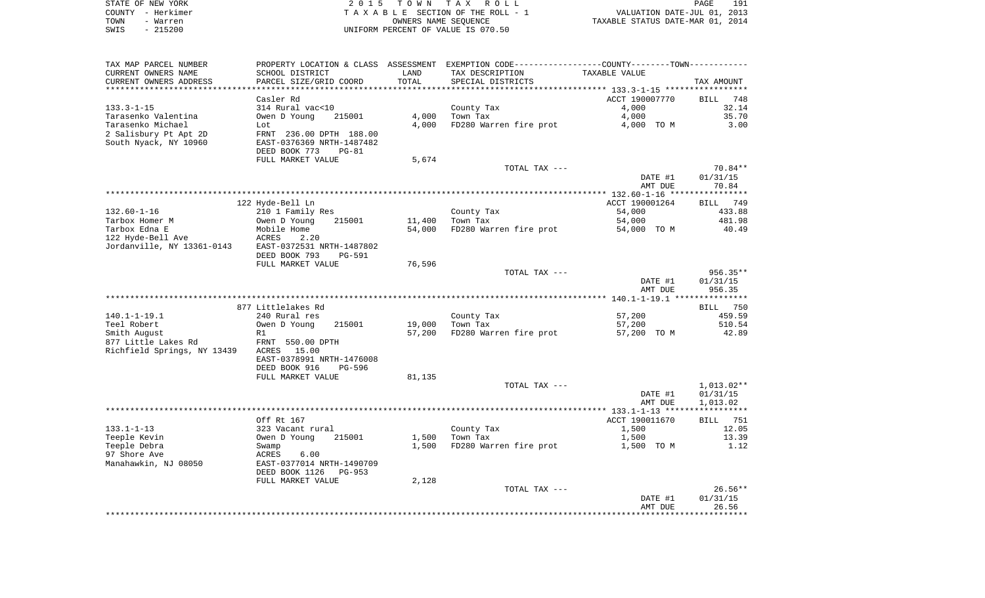|      | STATE OF NEW YORK | 2015 TOWN TAX ROLL                 | 191<br>PAGE                      |  |
|------|-------------------|------------------------------------|----------------------------------|--|
|      | COUNTY – Herkimer | TAXABLE SECTION OF THE ROLL - 1    | VALUATION DATE-JUL 01, 2013      |  |
| TOWN | - Warren          | OWNERS NAME SEOUENCE               | TAXABLE STATUS DATE-MAR 01, 2014 |  |
| SWIS | $-215200$         | UNIFORM PERCENT OF VALUE IS 070.50 |                                  |  |

| TAX MAP PARCEL NUMBER                         |                                           |               | PROPERTY LOCATION & CLASS ASSESSMENT EXEMPTION CODE---------------COUNTY-------TOWN---------- | <b>TAXABLE VALUE</b> |                       |
|-----------------------------------------------|-------------------------------------------|---------------|-----------------------------------------------------------------------------------------------|----------------------|-----------------------|
| CURRENT OWNERS NAME<br>CURRENT OWNERS ADDRESS | SCHOOL DISTRICT<br>PARCEL SIZE/GRID COORD | LAND<br>TOTAL | TAX DESCRIPTION<br>SPECIAL DISTRICTS                                                          |                      | TAX AMOUNT            |
|                                               |                                           |               |                                                                                               |                      |                       |
|                                               | Casler Rd                                 |               |                                                                                               | ACCT 190007770       | 748<br><b>BILL</b>    |
| $133.3 - 1 - 15$                              | 314 Rural vac<10                          |               | County Tax                                                                                    | 4,000                | 32.14                 |
| Tarasenko Valentina                           | Owen D Young<br>215001                    | 4,000         | Town Tax                                                                                      | 4,000                | 35.70                 |
| Tarasenko Michael                             | Lot                                       | 4,000         | FD280 Warren fire prot                                                                        | 4,000 TO M           | 3.00                  |
| 2 Salisbury Pt Apt 2D                         | FRNT 236.00 DPTH 188.00                   |               |                                                                                               |                      |                       |
| South Nyack, NY 10960                         | EAST-0376369 NRTH-1487482                 |               |                                                                                               |                      |                       |
|                                               | DEED BOOK 773<br>$PG-81$                  |               |                                                                                               |                      |                       |
|                                               | FULL MARKET VALUE                         | 5,674         |                                                                                               |                      |                       |
|                                               |                                           |               | TOTAL TAX ---                                                                                 |                      | 70.84**               |
|                                               |                                           |               |                                                                                               | DATE #1              | 01/31/15              |
|                                               |                                           |               |                                                                                               | AMT DUE              | 70.84                 |
|                                               |                                           |               |                                                                                               |                      |                       |
|                                               | 122 Hyde-Bell Ln                          |               |                                                                                               | ACCT 190001264       | 749<br>BILL           |
| $132.60 - 1 - 16$                             | 210 1 Family Res                          |               | County Tax                                                                                    | 54,000               | 433.88                |
| Tarbox Homer M                                | 215001<br>Owen D Young                    | 11,400        | Town Tax                                                                                      | 54,000               | 481.98                |
| Tarbox Edna E                                 | Mobile Home                               | 54,000        | FD280 Warren fire prot                                                                        | 54,000 TO M          | 40.49                 |
| 122 Hyde-Bell Ave                             | ACRES<br>2.20                             |               |                                                                                               |                      |                       |
| Jordanville, NY 13361-0143                    | EAST-0372531 NRTH-1487802                 |               |                                                                                               |                      |                       |
|                                               | DEED BOOK 793<br>PG-591                   |               |                                                                                               |                      |                       |
|                                               | FULL MARKET VALUE                         | 76,596        |                                                                                               |                      |                       |
|                                               |                                           |               | TOTAL TAX ---                                                                                 |                      | 956.35**              |
|                                               |                                           |               |                                                                                               | DATE #1              | 01/31/15              |
|                                               |                                           |               |                                                                                               | AMT DUE              | 956.35                |
|                                               |                                           |               |                                                                                               |                      |                       |
|                                               | 877 Littlelakes Rd                        |               |                                                                                               |                      | BILL 750              |
| $140.1 - 1 - 19.1$                            | 240 Rural res                             |               | County Tax                                                                                    | 57,200               | 459.59                |
| Teel Robert                                   | Owen D Young<br>215001                    | 19,000        | Town Tax                                                                                      | 57,200               | 510.54                |
| Smith August                                  | R1                                        | 57,200        | FD280 Warren fire prot                                                                        | 57,200 TO M          | 42.89                 |
| 877 Little Lakes Rd                           | FRNT 550.00 DPTH                          |               |                                                                                               |                      |                       |
| Richfield Springs, NY 13439                   | ACRES<br>15.00                            |               |                                                                                               |                      |                       |
|                                               | EAST-0378991 NRTH-1476008                 |               |                                                                                               |                      |                       |
|                                               | DEED BOOK 916<br>PG-596                   |               |                                                                                               |                      |                       |
|                                               | FULL MARKET VALUE                         | 81,135        |                                                                                               |                      |                       |
|                                               |                                           |               | TOTAL TAX ---                                                                                 |                      | $1,013.02**$          |
|                                               |                                           |               |                                                                                               | DATE #1              | 01/31/15              |
|                                               |                                           |               |                                                                                               | AMT DUE              | 1,013.02              |
|                                               |                                           |               |                                                                                               |                      |                       |
|                                               | Off Rt 167                                |               |                                                                                               | ACCT 190011670       | BILL<br>751           |
| $133.1 - 1 - 13$                              | 323 Vacant rural                          |               | County Tax                                                                                    | 1,500                | 12.05                 |
| Teeple Kevin                                  | Owen D Young<br>215001                    | 1,500         | Town Tax                                                                                      | 1,500                | 13.39                 |
| Teeple Debra                                  | Swamp                                     | 1,500         | FD280 Warren fire prot                                                                        | 1,500 TO M           | 1.12                  |
| 97 Shore Ave                                  | ACRES<br>6.00                             |               |                                                                                               |                      |                       |
| Manahawkin, NJ 08050                          | EAST-0377014 NRTH-1490709                 |               |                                                                                               |                      |                       |
|                                               | DEED BOOK 1126<br>$PG-953$                |               |                                                                                               |                      |                       |
|                                               | FULL MARKET VALUE                         | 2,128         |                                                                                               |                      |                       |
|                                               |                                           |               | TOTAL TAX ---                                                                                 | DATE #1              | $26.56**$<br>01/31/15 |
|                                               |                                           |               |                                                                                               | AMT DUE              | 26.56                 |
|                                               |                                           |               |                                                                                               |                      |                       |
|                                               |                                           |               |                                                                                               |                      |                       |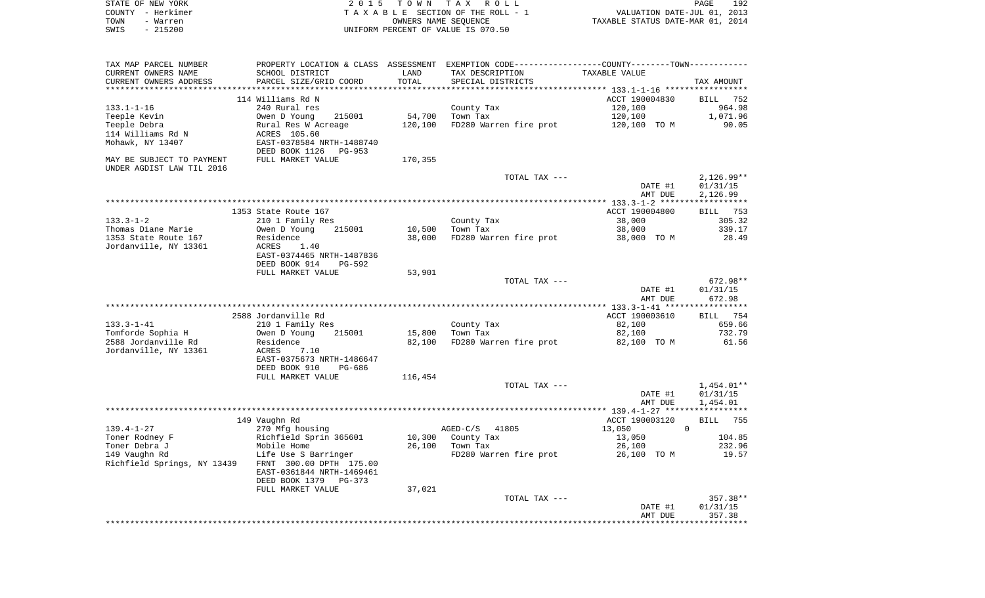|      | STATE OF NEW YORK | 2015 TOWN TAX ROLL                 | PAGE                             | 192 |
|------|-------------------|------------------------------------|----------------------------------|-----|
|      | COUNTY - Herkimer | TAXABLE SECTION OF THE ROLL - 1    | VALUATION DATE-JUL 01, 2013      |     |
| TOWN | - Warren          | OWNERS NAME SEOUENCE               | TAXABLE STATUS DATE-MAR 01, 2014 |     |
| SWIS | - 215200          | UNIFORM PERCENT OF VALUE IS 070.50 |                                  |     |

| TAX MAP PARCEL NUMBER       |                                 |         | PROPERTY LOCATION & CLASS ASSESSMENT EXEMPTION CODE---------------COUNTY-------TOWN---------- |                |                    |
|-----------------------------|---------------------------------|---------|-----------------------------------------------------------------------------------------------|----------------|--------------------|
| CURRENT OWNERS NAME         | SCHOOL DISTRICT                 | LAND    | TAX DESCRIPTION                                                                               | TAXABLE VALUE  |                    |
| CURRENT OWNERS ADDRESS      | PARCEL SIZE/GRID COORD          | TOTAL   | SPECIAL DISTRICTS                                                                             |                | TAX AMOUNT         |
|                             |                                 |         |                                                                                               |                |                    |
|                             | 114 Williams Rd N               |         |                                                                                               | ACCT 190004830 | <b>BILL</b><br>752 |
| $133.1 - 1 - 16$            | 240 Rural res                   |         | County Tax                                                                                    | 120,100        | 964.98             |
| Teeple Kevin                | Owen D Young<br>215001          | 54,700  | Town Tax                                                                                      | 120,100        | 1,071.96           |
| Teeple Debra                | Rural Res W Acreage             |         | FD280 Warren fire prot                                                                        | 120,100 TO M   | 90.05              |
|                             |                                 | 120,100 |                                                                                               |                |                    |
| 114 Williams Rd N           | ACRES 105.60                    |         |                                                                                               |                |                    |
| Mohawk, NY 13407            | EAST-0378584 NRTH-1488740       |         |                                                                                               |                |                    |
|                             | DEED BOOK 1126<br><b>PG-953</b> |         |                                                                                               |                |                    |
| MAY BE SUBJECT TO PAYMENT   | FULL MARKET VALUE               | 170,355 |                                                                                               |                |                    |
| UNDER AGDIST LAW TIL 2016   |                                 |         |                                                                                               |                |                    |
|                             |                                 |         | TOTAL TAX ---                                                                                 |                | $2,126.99**$       |
|                             |                                 |         |                                                                                               | DATE #1        | 01/31/15           |
|                             |                                 |         |                                                                                               | AMT DUE        | 2,126.99           |
|                             |                                 |         |                                                                                               |                |                    |
|                             | 1353 State Route 167            |         |                                                                                               | ACCT 190004800 | BILL 753           |
| $133.3 - 1 - 2$             | 210 1 Family Res                |         | County Tax                                                                                    | 38,000         | 305.32             |
| Thomas Diane Marie          | Owen D Young<br>215001          | 10,500  | Town Tax                                                                                      | 38,000         | 339.17             |
| 1353 State Route 167        | Residence                       | 38,000  | FD280 Warren fire prot                                                                        | 38,000 TO M    | 28.49              |
| Jordanville, NY 13361       | <b>ACRES</b><br>1.40            |         |                                                                                               |                |                    |
|                             | EAST-0374465 NRTH-1487836       |         |                                                                                               |                |                    |
|                             | DEED BOOK 914<br>PG-592         |         |                                                                                               |                |                    |
|                             | FULL MARKET VALUE               | 53,901  |                                                                                               |                |                    |
|                             |                                 |         | TOTAL TAX ---                                                                                 |                | 672.98**           |
|                             |                                 |         |                                                                                               | DATE #1        | 01/31/15           |
|                             |                                 |         |                                                                                               | AMT DUE        | 672.98             |
|                             |                                 |         |                                                                                               |                |                    |
|                             | 2588 Jordanville Rd             |         |                                                                                               | ACCT 190003610 | BILL 754           |
| $133.3 - 1 - 41$            | 210 1 Family Res                |         | County Tax                                                                                    | 82,100         | 659.66             |
|                             | 215001                          | 15,800  |                                                                                               |                | 732.79             |
| Tomforde Sophia H           | Owen D Young                    |         | Town Tax                                                                                      | 82,100         |                    |
| 2588 Jordanville Rd         | Residence                       | 82,100  | FD280 Warren fire prot                                                                        | 82,100 TO M    | 61.56              |
| Jordanville, NY 13361       | ACRES<br>7.10                   |         |                                                                                               |                |                    |
|                             | EAST-0375673 NRTH-1486647       |         |                                                                                               |                |                    |
|                             | DEED BOOK 910<br>PG-686         |         |                                                                                               |                |                    |
|                             | FULL MARKET VALUE               | 116,454 |                                                                                               |                |                    |
|                             |                                 |         | TOTAL TAX ---                                                                                 |                | 1,454.01**         |
|                             |                                 |         |                                                                                               | DATE #1        | 01/31/15           |
|                             |                                 |         |                                                                                               | AMT DUE        | 1,454.01           |
|                             |                                 |         |                                                                                               |                |                    |
|                             | 149 Vaughn Rd                   |         |                                                                                               | ACCT 190003120 | 755<br>BILL        |
| $139.4 - 1 - 27$            | 270 Mfg housing                 |         | $AGED-C/S$<br>41805                                                                           | 13,050         | 0                  |
| Toner Rodney F              | Richfield Sprin 365601          | 10,300  | County Tax                                                                                    | 13,050         | 104.85             |
| Toner Debra J               | Mobile Home                     | 26,100  | Town Tax                                                                                      | 26,100         | 232.96             |
| 149 Vaughn Rd               | Life Use S Barringer            |         | FD280 Warren fire prot                                                                        | 26,100 TO M    | 19.57              |
| Richfield Springs, NY 13439 | FRNT 300.00 DPTH 175.00         |         |                                                                                               |                |                    |
|                             | EAST-0361844 NRTH-1469461       |         |                                                                                               |                |                    |
|                             | DEED BOOK 1379<br>PG-373        |         |                                                                                               |                |                    |
|                             | FULL MARKET VALUE               | 37,021  |                                                                                               |                |                    |
|                             |                                 |         | TOTAL TAX ---                                                                                 |                | 357.38**           |
|                             |                                 |         |                                                                                               | DATE #1        | 01/31/15           |
|                             |                                 |         |                                                                                               | AMT DUE        | 357.38             |
|                             |                                 |         |                                                                                               |                |                    |
|                             |                                 |         |                                                                                               |                |                    |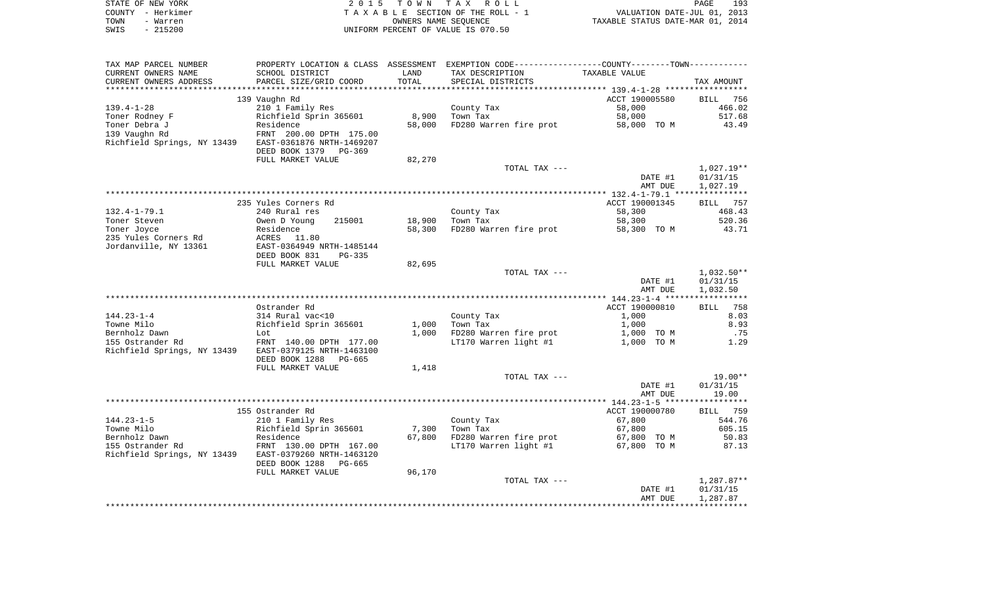|      | STATE OF NEW YORK | 2015 TOWN TAX ROLL                 | PAGE                             | 193 |
|------|-------------------|------------------------------------|----------------------------------|-----|
|      | COUNTY - Herkimer | TAXABLE SECTION OF THE ROLL - 1    | VALUATION DATE-JUL 01, 2013      |     |
| TOWN | - Warren          | OWNERS NAME SEOUENCE               | TAXABLE STATUS DATE-MAR 01, 2014 |     |
| SWIS | $-215200$         | UNIFORM PERCENT OF VALUE IS 070.50 |                                  |     |

| TAX MAP PARCEL NUMBER       |                           |        | PROPERTY LOCATION & CLASS ASSESSMENT EXEMPTION CODE----------------COUNTY-------TOWN---------- |                |              |
|-----------------------------|---------------------------|--------|------------------------------------------------------------------------------------------------|----------------|--------------|
| CURRENT OWNERS NAME         | SCHOOL DISTRICT           | LAND   | TAX DESCRIPTION                                                                                | TAXABLE VALUE  |              |
| CURRENT OWNERS ADDRESS      | PARCEL SIZE/GRID COORD    | TOTAL  | SPECIAL DISTRICTS                                                                              |                | TAX AMOUNT   |
|                             |                           |        |                                                                                                |                |              |
|                             | 139 Vaughn Rd             |        |                                                                                                | ACCT 190005580 | BILL 756     |
| $139.4 - 1 - 28$            | 210 1 Family Res          |        | County Tax                                                                                     | 58,000         | 466.02       |
| Toner Rodney F              | Richfield Sprin 365601    | 8,900  | Town Tax                                                                                       | 58,000         | 517.68       |
| Toner Debra J               | Residence                 | 58,000 | FD280 Warren fire prot                                                                         | 58,000 TO M    | 43.49        |
| 139 Vaughn Rd               |                           |        |                                                                                                |                |              |
|                             | FRNT 200.00 DPTH 175.00   |        |                                                                                                |                |              |
| Richfield Springs, NY 13439 | EAST-0361876 NRTH-1469207 |        |                                                                                                |                |              |
|                             | DEED BOOK 1379 PG-369     |        |                                                                                                |                |              |
|                             | FULL MARKET VALUE         | 82,270 |                                                                                                |                |              |
|                             |                           |        | TOTAL TAX ---                                                                                  |                | $1,027.19**$ |
|                             |                           |        |                                                                                                | DATE #1        | 01/31/15     |
|                             |                           |        |                                                                                                | AMT DUE        | 1,027.19     |
|                             |                           |        |                                                                                                |                |              |
|                             | 235 Yules Corners Rd      |        |                                                                                                | ACCT 190001345 | 757<br>BILL  |
| $132.4 - 1 - 79.1$          | 240 Rural res             |        | County Tax                                                                                     | 58,300         | 468.43       |
| Toner Steven                | Owen D Young<br>215001    | 18,900 | Town Tax                                                                                       | 58,300         | 520.36       |
| Toner Joyce                 | Residence                 | 58,300 | FD280 Warren fire prot                                                                         | 58,300 TO M    | 43.71        |
| 235 Yules Corners Rd        | ACRES<br>11.80            |        |                                                                                                |                |              |
| Jordanville, NY 13361       | EAST-0364949 NRTH-1485144 |        |                                                                                                |                |              |
|                             | DEED BOOK 831<br>PG-335   |        |                                                                                                |                |              |
|                             | FULL MARKET VALUE         | 82,695 |                                                                                                |                |              |
|                             |                           |        |                                                                                                |                |              |
|                             |                           |        | TOTAL TAX ---                                                                                  |                | $1,032.50**$ |
|                             |                           |        |                                                                                                | DATE #1        | 01/31/15     |
|                             |                           |        |                                                                                                | AMT DUE        | 1,032.50     |
|                             |                           |        |                                                                                                |                |              |
|                             | Ostrander Rd              |        |                                                                                                | ACCT 190000810 | 758<br>BILL  |
| $144.23 - 1 - 4$            | 314 Rural vac<10          |        | County Tax                                                                                     | 1,000          | 8.03         |
| Towne Milo                  | Richfield Sprin 365601    | 1,000  | Town Tax                                                                                       | 1,000          | 8.93         |
| Bernholz Dawn               | Lot                       | 1,000  | FD280 Warren fire prot                                                                         | 1,000 TO M     | .75          |
| 155 Ostrander Rd            | FRNT 140.00 DPTH 177.00   |        | LT170 Warren light #1                                                                          | 1,000 TO M     | 1.29         |
| Richfield Springs, NY 13439 | EAST-0379125 NRTH-1463100 |        |                                                                                                |                |              |
|                             | DEED BOOK 1288<br>PG-665  |        |                                                                                                |                |              |
|                             | FULL MARKET VALUE         | 1,418  |                                                                                                |                |              |
|                             |                           |        | TOTAL TAX ---                                                                                  |                | $19.00**$    |
|                             |                           |        |                                                                                                | DATE #1        | 01/31/15     |
|                             |                           |        |                                                                                                | AMT DUE        | 19.00        |
|                             |                           |        |                                                                                                |                |              |
|                             |                           |        |                                                                                                |                |              |
|                             | 155 Ostrander Rd          |        |                                                                                                | ACCT 190000780 | BILL 759     |
| $144.23 - 1 - 5$            | 210 1 Family Res          |        | County Tax                                                                                     | 67,800         | 544.76       |
| Towne Milo                  | Richfield Sprin 365601    | 7,300  | Town Tax                                                                                       | 67,800         | 605.15       |
| Bernholz Dawn               | Residence                 | 67,800 | FD280 Warren fire prot                                                                         | 67,800 TO M    | 50.83        |
| 155 Ostrander Rd            | FRNT 130.00 DPTH 167.00   |        | LT170 Warren light #1                                                                          | 67,800 TO M    | 87.13        |
| Richfield Springs, NY 13439 | EAST-0379260 NRTH-1463120 |        |                                                                                                |                |              |
|                             | DEED BOOK 1288<br>PG-665  |        |                                                                                                |                |              |
|                             | FULL MARKET VALUE         | 96,170 |                                                                                                |                |              |
|                             |                           |        | TOTAL TAX ---                                                                                  |                | $1,287.87**$ |
|                             |                           |        |                                                                                                | DATE #1        | 01/31/15     |
|                             |                           |        |                                                                                                | AMT DUE        | 1,287.87     |
|                             |                           |        |                                                                                                |                |              |
|                             |                           |        |                                                                                                |                |              |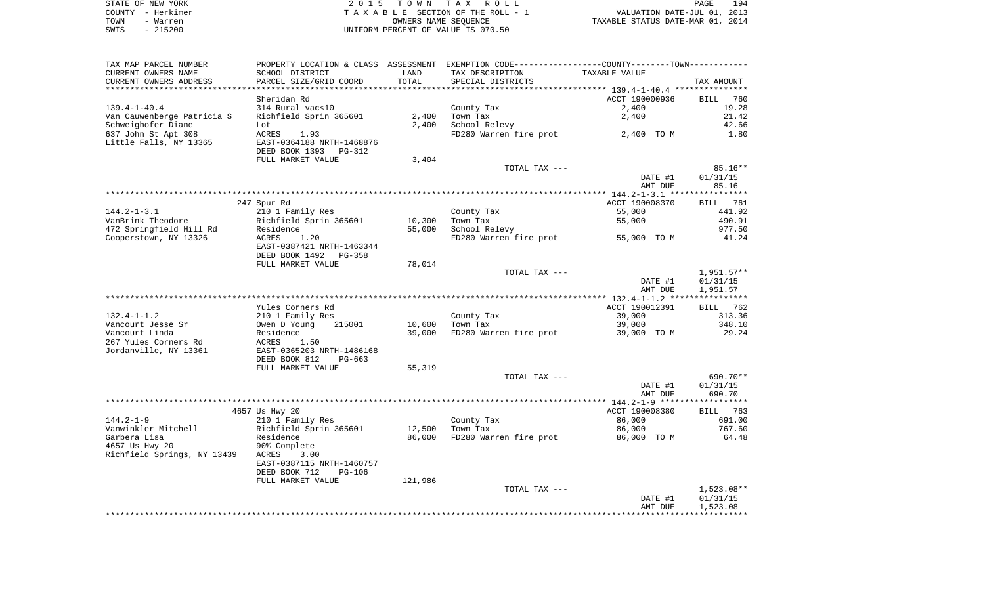| STATE OF NEW YORK |           | 2015 TOWN TAX ROLL                 | 194<br><b>PAGE</b>               |
|-------------------|-----------|------------------------------------|----------------------------------|
| COUNTY - Herkimer |           | TAXABLE SECTION OF THE ROLL - 1    | VALUATION DATE-JUL 01, 2013      |
| TOWN              | - Warren  | OWNERS NAME SEOUENCE               | TAXABLE STATUS DATE-MAR 01, 2014 |
| SWIS              | $-215200$ | UNIFORM PERCENT OF VALUE IS 070.50 |                                  |

| TAX MAP PARCEL NUMBER       |                                |         | PROPERTY LOCATION & CLASS ASSESSMENT EXEMPTION CODE---------------COUNTY-------TOWN---------- |                |                    |
|-----------------------------|--------------------------------|---------|-----------------------------------------------------------------------------------------------|----------------|--------------------|
| CURRENT OWNERS NAME         | SCHOOL DISTRICT                | LAND    | TAX DESCRIPTION                                                                               | TAXABLE VALUE  |                    |
| CURRENT OWNERS ADDRESS      | PARCEL SIZE/GRID COORD         | TOTAL   | SPECIAL DISTRICTS                                                                             |                | TAX AMOUNT         |
| ***********************     |                                |         |                                                                                               |                |                    |
|                             | Sheridan Rd                    |         |                                                                                               | ACCT 190000936 | <b>BILL</b><br>760 |
| $139.4 - 1 - 40.4$          | 314 Rural vac<10               |         | County Tax                                                                                    | 2,400          | 19.28              |
| Van Cauwenberge Patricia S  | Richfield Sprin 365601         | 2,400   | Town Tax                                                                                      | 2,400          | 21.42              |
| Schweighofer Diane          | Lot                            | 2,400   | School Relevy                                                                                 |                | 42.66              |
| 637 John St Apt 308         | ACRES<br>1.93                  |         | FD280 Warren fire prot                                                                        | 2,400 TO M     | 1.80               |
| Little Falls, NY 13365      | EAST-0364188 NRTH-1468876      |         |                                                                                               |                |                    |
|                             | DEED BOOK 1393 PG-312          |         |                                                                                               |                |                    |
|                             | FULL MARKET VALUE              | 3,404   |                                                                                               |                |                    |
|                             |                                |         | TOTAL TAX ---                                                                                 |                | $85.16**$          |
|                             |                                |         |                                                                                               | DATE #1        | 01/31/15           |
|                             |                                |         |                                                                                               | AMT DUE        | 85.16              |
|                             |                                |         |                                                                                               |                |                    |
|                             | 247 Spur Rd                    |         |                                                                                               | ACCT 190008370 | <b>BILL</b> 761    |
| $144.2 - 1 - 3.1$           | 210 1 Family Res               |         | County Tax                                                                                    | 55,000         | 441.92             |
| VanBrink Theodore           | Richfield Sprin 365601         | 10,300  | Town Tax                                                                                      | 55,000         | 490.91             |
| 472 Springfield Hill Rd     | Residence                      | 55,000  | School Relevy                                                                                 |                | 977.50             |
| Cooperstown, NY 13326       | ACRES<br>1.20                  |         | FD280 Warren fire prot                                                                        | 55,000 TO M    | 41.24              |
|                             | EAST-0387421 NRTH-1463344      |         |                                                                                               |                |                    |
|                             | DEED BOOK 1492<br>PG-358       |         |                                                                                               |                |                    |
|                             | FULL MARKET VALUE              | 78,014  |                                                                                               |                |                    |
|                             |                                |         | TOTAL TAX ---                                                                                 |                | $1,951.57**$       |
|                             |                                |         |                                                                                               | DATE #1        | 01/31/15           |
|                             |                                |         |                                                                                               | AMT DUE        | 1,951.57           |
|                             |                                |         |                                                                                               |                |                    |
|                             | Yules Corners Rd               |         |                                                                                               | ACCT 190012391 | BILL 762           |
| $132.4 - 1 - 1.2$           | 210 1 Family Res               |         | County Tax                                                                                    | 39,000         | 313.36             |
| Vancourt Jesse Sr           | Owen D Young<br>215001         | 10,600  | Town Tax                                                                                      | 39,000         | 348.10             |
| Vancourt Linda              | Residence                      | 39,000  | FD280 Warren fire prot                                                                        | 39,000 TO M    | 29.24              |
| 267 Yules Corners Rd        | ACRES<br>1.50                  |         |                                                                                               |                |                    |
| Jordanville, NY 13361       | EAST-0365203 NRTH-1486168      |         |                                                                                               |                |                    |
|                             | DEED BOOK 812<br>PG-663        |         |                                                                                               |                |                    |
|                             | FULL MARKET VALUE              | 55,319  |                                                                                               |                |                    |
|                             |                                |         | TOTAL TAX ---                                                                                 |                | 690.70**           |
|                             |                                |         |                                                                                               | DATE #1        | 01/31/15           |
|                             |                                |         |                                                                                               | AMT DUE        | 690.70             |
|                             |                                |         |                                                                                               |                |                    |
|                             | 4657 Us Hwy 20                 |         |                                                                                               | ACCT 190008380 | BILL 763           |
| 144.2-1-9                   | 210 1 Family Res               |         | County Tax                                                                                    | 86,000         | 691.00             |
| Vanwinkler Mitchell         | Richfield Sprin 365601         | 12,500  | Town Tax                                                                                      | 86,000         | 767.60             |
| Garbera Lisa                | Residence                      | 86,000  | FD280 Warren fire prot                                                                        | 86,000 TO M    | 64.48              |
| 4657 Us Hwy 20              | 90% Complete                   |         |                                                                                               |                |                    |
| Richfield Springs, NY 13439 | ACRES<br>3.00                  |         |                                                                                               |                |                    |
|                             | EAST-0387115 NRTH-1460757      |         |                                                                                               |                |                    |
|                             | DEED BOOK 712<br><b>PG-106</b> |         |                                                                                               |                |                    |
|                             | FULL MARKET VALUE              | 121,986 |                                                                                               |                |                    |
|                             |                                |         | TOTAL TAX ---                                                                                 |                | 1,523.08**         |
|                             |                                |         |                                                                                               | DATE #1        | 01/31/15           |
|                             |                                |         |                                                                                               | AMT DUE        | 1,523.08           |
|                             |                                |         |                                                                                               |                |                    |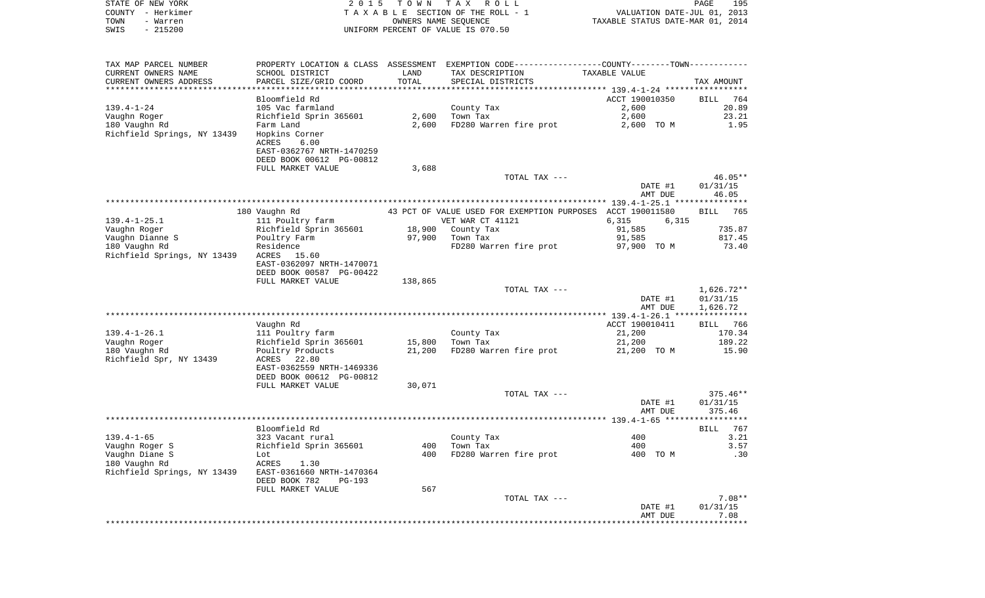| STATE OF NEW YORK<br>COUNTY - Herkimer       | 2 0 1 5                                                                                       | T O W N              | TAX ROLL<br>TAXABLE SECTION OF THE ROLL - 1                | VALUATION DATE-JUL 01, 2013      | PAGE<br>195                      |
|----------------------------------------------|-----------------------------------------------------------------------------------------------|----------------------|------------------------------------------------------------|----------------------------------|----------------------------------|
| TOWN<br>- Warren<br>$-215200$<br>SWIS        |                                                                                               | OWNERS NAME SEQUENCE | UNIFORM PERCENT OF VALUE IS 070.50                         | TAXABLE STATUS DATE-MAR 01, 2014 |                                  |
| TAX MAP PARCEL NUMBER                        | PROPERTY LOCATION & CLASS ASSESSMENT EXEMPTION CODE---------------COUNTY-------TOWN---------- |                      |                                                            |                                  |                                  |
| CURRENT OWNERS NAME                          | SCHOOL DISTRICT                                                                               | LAND                 | TAX DESCRIPTION                                            | TAXABLE VALUE                    |                                  |
| CURRENT OWNERS ADDRESS                       | PARCEL SIZE/GRID COORD                                                                        | TOTAL                | SPECIAL DISTRICTS                                          |                                  | TAX AMOUNT                       |
| *************************                    |                                                                                               |                      |                                                            |                                  |                                  |
|                                              | Bloomfield Rd                                                                                 |                      |                                                            | ACCT 190010350                   | BILL<br>764                      |
| $139.4 - 1 - 24$<br>Vaughn Roger             | 105 Vac farmland<br>Richfield Sprin 365601                                                    | 2,600                | County Tax<br>Town Tax                                     | 2,600<br>2,600                   | 20.89<br>23.21                   |
| 180 Vaughn Rd                                | Farm Land                                                                                     | 2,600                | FD280 Warren fire prot                                     | 2,600 TO M                       | 1.95                             |
| Richfield Springs, NY 13439                  | Hopkins Corner<br>ACRES<br>6.00<br>EAST-0362767 NRTH-1470259<br>DEED BOOK 00612 PG-00812      |                      |                                                            |                                  |                                  |
|                                              | FULL MARKET VALUE                                                                             | 3,688                |                                                            |                                  |                                  |
|                                              |                                                                                               |                      | TOTAL TAX ---                                              |                                  | 46.05**                          |
|                                              |                                                                                               |                      |                                                            | DATE #1                          | 01/31/15                         |
|                                              |                                                                                               |                      |                                                            | AMT DUE                          | 46.05                            |
|                                              | 180 Vaughn Rd                                                                                 |                      | 43 PCT OF VALUE USED FOR EXEMPTION PURPOSES ACCT 190011580 |                                  | 765<br>BILL                      |
| $139.4 - 1 - 25.1$                           | 111 Poultry farm                                                                              |                      | VET WAR CT 41121                                           | 6,315<br>6,315                   |                                  |
| Vaughn Roger                                 | Richfield Sprin 365601                                                                        | 18,900               | County Tax                                                 | 91,585                           | 735.87                           |
| Vaughn Dianne S                              | Poultry Farm                                                                                  | 97,900               | Town Tax                                                   | 91,585                           | 817.45                           |
| 180 Vaughn Rd<br>Richfield Springs, NY 13439 | Residence                                                                                     |                      | FD280 Warren fire prot                                     | 97,900 TO M                      | 73.40                            |
|                                              | ACRES<br>15.60<br>EAST-0362097 NRTH-1470071<br>DEED BOOK 00587 PG-00422                       |                      |                                                            |                                  |                                  |
|                                              | FULL MARKET VALUE                                                                             | 138,865              | TOTAL TAX ---                                              |                                  | 1,626.72**                       |
|                                              |                                                                                               |                      |                                                            | DATE #1<br>AMT DUE               | 01/31/15<br>1,626.72             |
|                                              |                                                                                               |                      |                                                            |                                  |                                  |
|                                              | Vaughn Rd                                                                                     |                      |                                                            | ACCT 190010411                   | 766<br>BILL                      |
| $139.4 - 1 - 26.1$<br>Vaughn Roger           | 111 Poultry farm<br>Richfield Sprin 365601                                                    | 15,800               | County Tax<br>Town Tax                                     | 21,200<br>21,200                 | 170.34<br>189.22                 |
| 180 Vaughn Rd                                | Poultry Products                                                                              | 21,200               | FD280 Warren fire prot                                     | 21,200 TO M                      | 15.90                            |
| Richfield Spr, NY 13439                      | ACRES<br>22.80<br>EAST-0362559 NRTH-1469336<br>DEED BOOK 00612 PG-00812                       |                      |                                                            |                                  |                                  |
|                                              | FULL MARKET VALUE                                                                             | 30,071               |                                                            |                                  |                                  |
|                                              |                                                                                               |                      | TOTAL TAX ---                                              | DATE #1<br>AMT DUE               | $375.46**$<br>01/31/15<br>375.46 |
|                                              |                                                                                               |                      |                                                            |                                  |                                  |
|                                              | Bloomfield Rd                                                                                 |                      |                                                            |                                  | 767<br>BILL                      |
| $139.4 - 1 - 65$                             | 323 Vacant rural                                                                              |                      | County Tax                                                 | 400                              | 3.21                             |
| Vaughn Roger S<br>Vaughn Diane S             | Richfield Sprin 365601<br>Lot                                                                 | 400<br>400           | Town Tax<br>FD280 Warren fire prot                         | 400<br>400 TO M                  | 3.57<br>.30                      |
| 180 Vaughn Rd                                | 1.30<br>ACRES                                                                                 |                      |                                                            |                                  |                                  |
| Richfield Springs, NY 13439                  | EAST-0361660 NRTH-1470364<br>DEED BOOK 782<br>PG-193                                          |                      |                                                            |                                  |                                  |
|                                              | FULL MARKET VALUE                                                                             | 567                  |                                                            |                                  |                                  |
|                                              |                                                                                               |                      | TOTAL TAX ---                                              |                                  | $7.08**$                         |
|                                              |                                                                                               |                      |                                                            | DATE #1<br>AMT DUE               | 01/31/15<br>7.08                 |
|                                              |                                                                                               |                      |                                                            |                                  |                                  |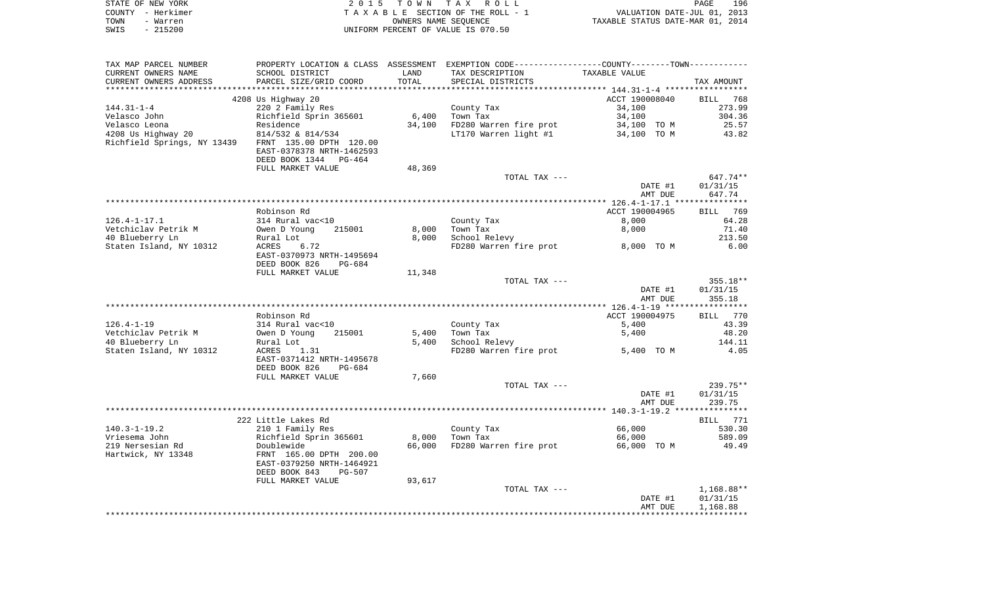|      | STATE OF NEW YORK | 2015 TOWN TAX ROLL                 | 196<br>PAGE                      |
|------|-------------------|------------------------------------|----------------------------------|
|      | COUNTY - Herkimer | TAXABLE SECTION OF THE ROLL - 1    | VALUATION DATE-JUL 01, 2013      |
| TOWN | - Warren          | OWNERS NAME SEOUENCE               | TAXABLE STATUS DATE-MAR 01, 2014 |
| SWIS | $-215200$         | UNIFORM PERCENT OF VALUE IS 070.50 |                                  |

| TAX MAP PARCEL NUMBER   | PROPERTY LOCATION & CLASS ASSESSMENT EXEMPTION CODE---------------COUNTY--------TOWN---------- |        |                                    |                    |                    |
|-------------------------|------------------------------------------------------------------------------------------------|--------|------------------------------------|--------------------|--------------------|
| CURRENT OWNERS NAME     | SCHOOL DISTRICT                                                                                | LAND   | TAX DESCRIPTION                    | TAXABLE VALUE      |                    |
| CURRENT OWNERS ADDRESS  | PARCEL SIZE/GRID COORD                                                                         | TOTAL  | SPECIAL DISTRICTS                  |                    | TAX AMOUNT         |
|                         |                                                                                                |        |                                    |                    |                    |
|                         | 4208 Us Highway 20                                                                             |        |                                    | ACCT 190008040     | BILL 768           |
| $144.31 - 1 - 4$        | 220 2 Family Res                                                                               |        | County Tax                         | 34,100             | 273.99             |
|                         |                                                                                                | 6,400  | Town Tax                           | 34,100             | 304.36             |
|                         |                                                                                                | 34,100 | FD280 Warren fire prot             | 34,100 TO M        | 25.57              |
|                         | EAST-0378378 NRTH-1462593<br>DEED BOOK 1344 PG-464                                             |        | LT170 Warren light #1 34,100 TO M  |                    | 43.82              |
|                         | FULL MARKET VALUE                                                                              | 48,369 |                                    |                    |                    |
|                         |                                                                                                |        | TOTAL TAX ---                      |                    | 647.74**           |
|                         |                                                                                                |        |                                    | DATE #1<br>AMT DUE | 01/31/15<br>647.74 |
|                         |                                                                                                |        |                                    |                    |                    |
|                         | Robinson Rd                                                                                    |        |                                    | ACCT 190004965     | BILL 769           |
| $126.4 - 1 - 17.1$      |                                                                                                |        | County Tax                         | 8,000              | 64.28              |
| Vetchiclav Petrik M     | 314 Rural vac<10<br>Owen D Young 21<br>Rural Lot<br>215001                                     | 8,000  | Town Tax                           | 8,000              | 71.40              |
| 40 Blueberry Ln         |                                                                                                | 8,000  | School Relevy                      |                    | 213.50             |
| Staten Island, NY 10312 | 6.72<br>ACRES<br>EAST-0370973 NRTH-1495694<br>DEED BOOK 826<br>PG-684                          |        | FD280 Warren fire prot 8,000 TO M  |                    | 6.00               |
|                         | FULL MARKET VALUE                                                                              | 11,348 |                                    |                    |                    |
|                         |                                                                                                |        | TOTAL TAX ---                      |                    | $355.18**$         |
|                         |                                                                                                |        |                                    | DATE #1<br>AMT DUE | 01/31/15<br>355.18 |
|                         | Robinson Rd                                                                                    |        |                                    | ACCT 190004975     | BILL 770           |
| $126.4 - 1 - 19$        | 314 Rural vac<10                                                                               |        | County Tax                         | 5,400              | 43.39              |
| Vetchiclav Petrik M     | Owen D Young<br>215001                                                                         | 5,400  | Town Tax                           | 5,400              | 48.20              |
| 40 Blueberry Ln         | Rural Lot                                                                                      | 5,400  | School Relevy                      |                    | 144.11             |
| Staten Island, NY 10312 | ACRES 1.31                                                                                     |        | FD280 Warren fire prot             | 5,400 TO M         | 4.05               |
|                         | EAST-0371412 NRTH-1495678<br>DEED BOOK 826<br>PG-684                                           |        |                                    |                    |                    |
|                         | FULL MARKET VALUE                                                                              | 7,660  |                                    |                    |                    |
|                         |                                                                                                |        | TOTAL TAX ---                      |                    | 239.75**           |
|                         |                                                                                                |        |                                    | DATE #1<br>AMT DUE | 01/31/15<br>239.75 |
|                         |                                                                                                |        |                                    |                    |                    |
|                         | 222 Little Lakes Rd                                                                            |        |                                    |                    | BILL 771           |
| $140.3 - 1 - 19.2$      | 210 1 Family Res                                                                               |        | County Tax                         | 66,000             | 530.30             |
| Vriesema John           | Richfield Sprin 365601<br>Doublewide<br>FRNT 165.00 DPTH 200.00                                |        | 8,000 Town Tax                     | 66,000             | 589.09             |
| 219 Nersesian Rd        |                                                                                                | 66,000 | FD280 Warren fire prot 66,000 TO M |                    | 49.49              |
| Hartwick, NY 13348      | EAST-0379250 NRTH-1464921<br>DEED BOOK 843<br>PG-507                                           |        |                                    |                    |                    |
|                         | FULL MARKET VALUE                                                                              | 93,617 |                                    |                    |                    |
|                         |                                                                                                |        | TOTAL TAX ---                      |                    | 1,168.88**         |
|                         |                                                                                                |        |                                    | DATE #1            | 01/31/15           |
|                         |                                                                                                |        |                                    | AMT DUE            | 1,168.88           |
|                         |                                                                                                |        |                                    |                    |                    |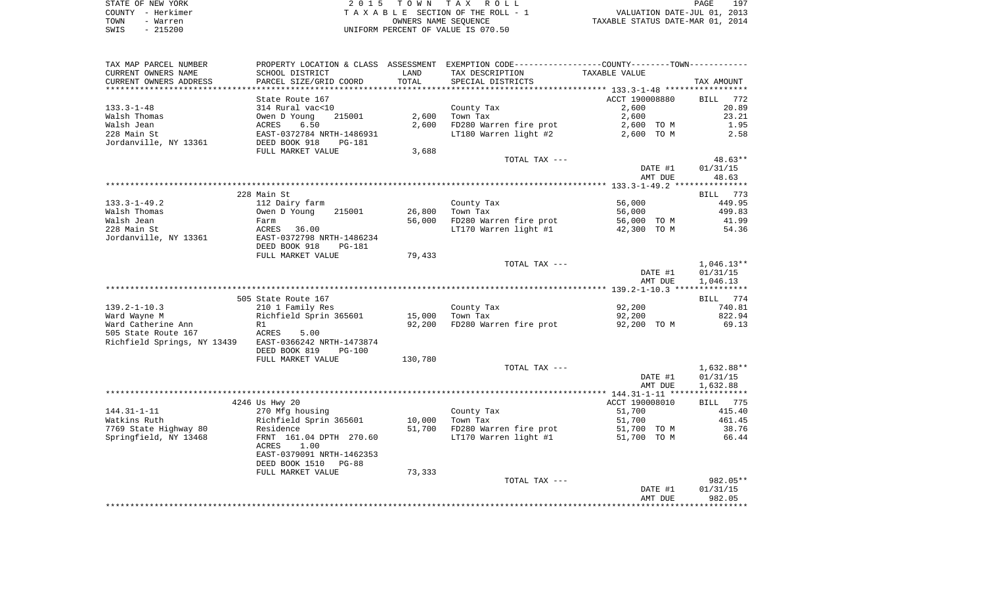| STATE OF NEW YORK | 2015 TOWN TAX ROLL                 | 197<br>PAGE                      |
|-------------------|------------------------------------|----------------------------------|
| COUNTY - Herkimer | TAXABLE SECTION OF THE ROLL - 1    | VALUATION DATE-JUL 01, 2013      |
| TOWN<br>- Warren  | OWNERS NAME SEOUENCE               | TAXABLE STATUS DATE-MAR 01, 2014 |
| $-215200$<br>SWIS | UNIFORM PERCENT OF VALUE IS 070.50 |                                  |

| TAX MAP PARCEL NUMBER                                 |                           |         | PROPERTY LOCATION & CLASS ASSESSMENT EXEMPTION CODE---------------COUNTY-------TOWN---------- |                |                 |
|-------------------------------------------------------|---------------------------|---------|-----------------------------------------------------------------------------------------------|----------------|-----------------|
| CURRENT OWNERS NAME                                   | SCHOOL DISTRICT           | LAND    | TAX DESCRIPTION                                                                               | TAXABLE VALUE  |                 |
| CURRENT OWNERS ADDRESS                                | PARCEL SIZE/GRID COORD    | TOTAL   | SPECIAL DISTRICTS                                                                             |                | TAX AMOUNT      |
|                                                       |                           |         |                                                                                               |                |                 |
|                                                       | State Route 167           |         |                                                                                               | ACCT 190008880 | BILL 772        |
| $133.3 - 1 - 48$                                      | 314 Rural vac<10          |         | County Tax                                                                                    | 2,600          | 20.89           |
| Walsh Thomas                                          | Owen D Young<br>215001    | 2,600   | Town Tax                                                                                      | 2,600          | 23.21           |
| Walsh Jean                                            | 6.50<br><b>ACRES</b>      | 2,600   | FD280 Warren fire prot                                                                        | 2,600 TO M     | 1.95            |
| 228 Main St                                           |                           |         | LT180 Warren light #2                                                                         | 2,600 TO M     | 2.58            |
| Jordanville, NY 13361                                 |                           |         |                                                                                               |                |                 |
|                                                       | FULL MARKET VALUE         | 3,688   |                                                                                               |                |                 |
|                                                       |                           |         | TOTAL TAX ---                                                                                 |                | 48.63**         |
|                                                       |                           |         |                                                                                               | DATE #1        | 01/31/15        |
|                                                       |                           |         |                                                                                               | AMT DUE        | 48.63           |
|                                                       |                           |         |                                                                                               |                |                 |
|                                                       | 228 Main St               |         |                                                                                               |                | BILL 773        |
| 133.3-1-49.2                                          | 112 Dairy farm            |         | County Tax                                                                                    | 56,000         | 449.95          |
| Walsh Thomas                                          | Owen D Young<br>215001    | 26,800  | Town Tax                                                                                      | 56,000         | 499.83          |
| Walsh Jean                                            | Farm                      | 56,000  | FD280 Warren fire prot                                                                        | 56,000 TO M    | 41.99           |
| 228 Main St                                           | ACRES<br>36.00            |         | LT170 Warren light #1                                                                         | 42,300 TO M    | 54.36           |
| Jordanville, NY 13361                                 | EAST-0372798 NRTH-1486234 |         |                                                                                               |                |                 |
|                                                       | DEED BOOK 918<br>PG-181   |         |                                                                                               |                |                 |
|                                                       | FULL MARKET VALUE         | 79,433  |                                                                                               |                |                 |
|                                                       |                           |         | TOTAL TAX ---                                                                                 |                | $1,046.13**$    |
|                                                       |                           |         |                                                                                               | DATE #1        | 01/31/15        |
|                                                       |                           |         |                                                                                               | AMT DUE        | 1,046.13        |
|                                                       |                           |         |                                                                                               |                |                 |
|                                                       | 505 State Route 167       |         |                                                                                               |                | BILL 774        |
| 139.2-1-10.3                                          | 210 1 Family Res          |         | County Tax                                                                                    | 92,200         | 740.81          |
| Ward Wayne M                                          | Richfield Sprin 365601    | 15,000  | Town Tax                                                                                      | 92,200         | 822.94          |
| Ward Catherine Ann                                    | R1<br>R1                  | 92,200  | FD280 Warren fire prot                                                                        | 92,200 TO M    | 69.13           |
| 505 State Route 167                                   | ACRES<br>5.00             |         |                                                                                               |                |                 |
| Richfield Springs, NY 13439 EAST-0366242 NRTH-1473874 |                           |         |                                                                                               |                |                 |
|                                                       | DEED BOOK 819<br>PG-100   |         |                                                                                               |                |                 |
|                                                       | FULL MARKET VALUE         | 130,780 |                                                                                               |                |                 |
|                                                       |                           |         | TOTAL TAX ---                                                                                 |                | 1,632.88**      |
|                                                       |                           |         |                                                                                               | DATE #1        | 01/31/15        |
|                                                       |                           |         |                                                                                               | AMT DUE        | 1,632.88        |
|                                                       |                           |         |                                                                                               |                |                 |
|                                                       | 4246 Us Hwy 20            |         |                                                                                               | ACCT 190008010 | <b>BILL</b> 775 |
| $144.31 - 1 - 11$                                     | 270 Mfg housing           |         | County Tax                                                                                    | 51,700         | 415.40          |
| Watkins Ruth                                          | Richfield Sprin 365601    | 10,000  | Town Tax                                                                                      | 51,700         | 461.45          |
| 7769 State Highway 80                                 | Residence                 | 51,700  | FD280 Warren fire prot                                                                        | 51,700 TO M    | 38.76           |
| Springfield, NY 13468                                 | FRNT 161.04 DPTH 270.60   |         | LT170 Warren light #1                                                                         | 51,700 TO M    | 66.44           |
|                                                       | ACRES<br>1.00             |         |                                                                                               |                |                 |
|                                                       | EAST-0379091 NRTH-1462353 |         |                                                                                               |                |                 |
|                                                       | DEED BOOK 1510 PG-88      |         |                                                                                               |                |                 |
|                                                       | FULL MARKET VALUE         | 73,333  |                                                                                               |                |                 |
|                                                       |                           |         | TOTAL TAX ---                                                                                 |                | $982.05**$      |
|                                                       |                           |         |                                                                                               | DATE #1        | 01/31/15        |
|                                                       |                           |         |                                                                                               | AMT DUE        | 982.05          |
|                                                       |                           |         |                                                                                               |                |                 |
|                                                       |                           |         |                                                                                               |                |                 |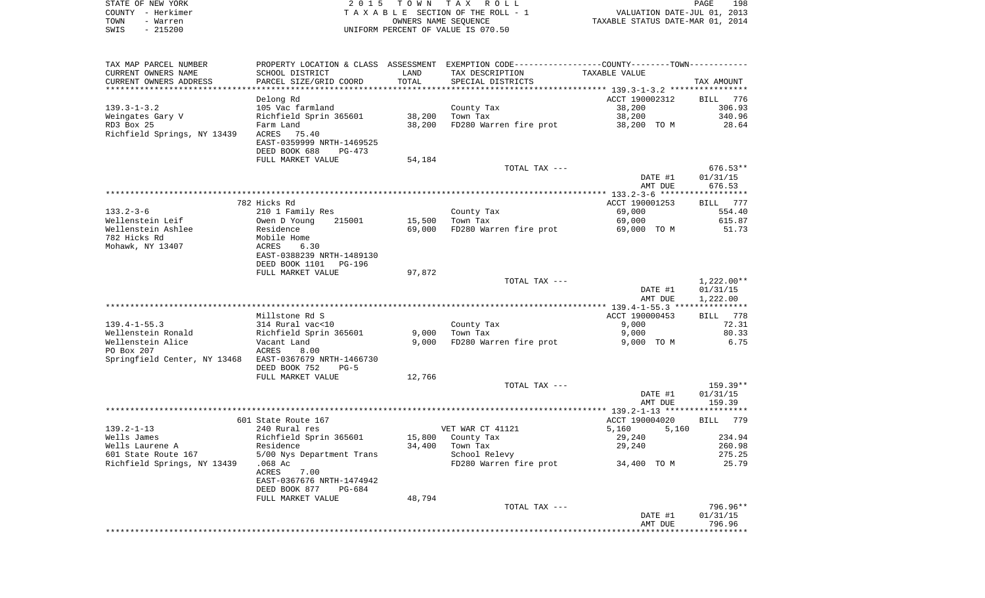| STATE OF NEW YORK | 2015 TOWN TAX ROLL                 | 198<br>PAGE                      |
|-------------------|------------------------------------|----------------------------------|
| COUNTY - Herkimer | TAXABLE SECTION OF THE ROLL - 1    | VALUATION DATE-JUL 01, 2013      |
| TOWN<br>- Warren  | OWNERS NAME SEOUENCE               | TAXABLE STATUS DATE-MAR 01, 2014 |
| SWIS<br>- 215200  | UNIFORM PERCENT OF VALUE IS 070.50 |                                  |

| TAX MAP PARCEL NUMBER                                  | PROPERTY LOCATION & CLASS ASSESSMENT EXEMPTION CODE---------------COUNTY-------TOWN--------- |        |                                    |                |              |
|--------------------------------------------------------|----------------------------------------------------------------------------------------------|--------|------------------------------------|----------------|--------------|
| CURRENT OWNERS NAME                                    | SCHOOL DISTRICT                                                                              | LAND   | TAX DESCRIPTION                    | TAXABLE VALUE  |              |
| CURRENT OWNERS ADDRESS                                 | PARCEL SIZE/GRID COORD                                                                       | TOTAL  | SPECIAL DISTRICTS                  |                | TAX AMOUNT   |
|                                                        |                                                                                              |        |                                    |                |              |
|                                                        | Delong Rd                                                                                    |        |                                    | ACCT 190002312 | BILL 776     |
| $139.3 - 1 - 3.2$                                      | 105 Vac farmland                                                                             |        | County Tax                         | 38,200         | 306.93       |
| Weingates Gary V                                       | Richfield Sprin 365601                                                                       | 38,200 | Town Tax                           | 38,200         | 340.96       |
| RD3 Box 25                                             | Farm Land                                                                                    | 38,200 | FD280 Warren fire prot             | 38,200 TO M    | 28.64        |
| Richfield Springs, NY 13439 ACRES                      | 75.40                                                                                        |        |                                    |                |              |
|                                                        | EAST-0359999 NRTH-1469525                                                                    |        |                                    |                |              |
|                                                        | DEED BOOK 688<br>$PG-473$                                                                    |        |                                    |                |              |
|                                                        | FULL MARKET VALUE                                                                            | 54,184 |                                    |                |              |
|                                                        |                                                                                              |        | TOTAL TAX ---                      |                | 676.53**     |
|                                                        |                                                                                              |        |                                    | DATE #1        | 01/31/15     |
|                                                        |                                                                                              |        |                                    | AMT DUE        | 676.53       |
|                                                        |                                                                                              |        |                                    |                |              |
|                                                        | 782 Hicks Rd                                                                                 |        |                                    | ACCT 190001253 | BILL 777     |
| 133.2-3-6                                              | 210 1 Family Res                                                                             |        | County Tax                         | 69,000         | 554.40       |
| Wellenstein Leif                                       | Owen D Young<br>215001                                                                       | 15,500 | Town Tax                           | 69,000         | 615.87       |
| Wellenstein Ashlee                                     | Residence                                                                                    | 69,000 | FD280 Warren fire prot             | 69,000 TO M    | 51.73        |
| 782 Hicks Rd                                           | Mobile Home                                                                                  |        |                                    |                |              |
| Mohawk, NY 13407                                       | ACRES 6.30<br>EAST-0388239 NRTH-1489130                                                      |        |                                    |                |              |
|                                                        |                                                                                              |        |                                    |                |              |
|                                                        | DEED BOOK 1101<br>PG-196                                                                     |        |                                    |                |              |
|                                                        | FULL MARKET VALUE                                                                            | 97,872 |                                    |                |              |
|                                                        |                                                                                              |        | TOTAL TAX ---                      |                | $1,222.00**$ |
|                                                        |                                                                                              |        |                                    | DATE #1        | 01/31/15     |
|                                                        |                                                                                              |        |                                    | AMT DUE        | 1,222.00     |
|                                                        |                                                                                              |        |                                    |                |              |
|                                                        | Millstone Rd S                                                                               |        |                                    | ACCT 190000453 | BILL 778     |
| $139.4 - 1 - 55.3$                                     | 314 Rural vac<10<br>Richfield Sprin 365601                                                   |        | County Tax                         | 9,000          | 72.31        |
| Wellenstein Ronald                                     |                                                                                              | 9,000  | Town Tax                           | 9,000          | 80.33        |
| Wellenstein Alice                                      | Vacant Land                                                                                  | 9,000  | FD280 Warren fire prot             | 9,000 TO M     | 6.75         |
| PO Box 207                                             | ACRES<br>8.00                                                                                |        |                                    |                |              |
| Springfield Center, NY 13468 EAST-0367679 NRTH-1466730 |                                                                                              |        |                                    |                |              |
|                                                        | DEED BOOK 752<br>$PG-5$                                                                      |        |                                    |                |              |
|                                                        | FULL MARKET VALUE                                                                            | 12,766 |                                    |                |              |
|                                                        |                                                                                              |        | TOTAL TAX ---                      |                | 159.39**     |
|                                                        |                                                                                              |        |                                    | DATE #1        | 01/31/15     |
|                                                        |                                                                                              |        |                                    | AMT DUE        | 159.39       |
|                                                        |                                                                                              |        |                                    |                |              |
|                                                        | 601 State Route 167                                                                          |        |                                    | ACCT 190004020 | BILL 779     |
| 139.2-1-13                                             | 240 Rural res                                                                                |        | VET WAR CT 41121                   | 5,160<br>5,160 |              |
| Wells James                                            | Richfield Sprin 365601                                                                       |        | 15,800 County Tax                  | 29,240         | 234.94       |
|                                                        |                                                                                              | 34,400 | Town Tax                           | 29,240         | 260.98       |
|                                                        |                                                                                              |        | School Relevy                      |                | 275.25       |
| Richfield Springs, NY 13439 .068 Ac                    |                                                                                              |        | FD280 Warren fire prot 34,400 TO M |                | 25.79        |
|                                                        | 7.00<br>ACRES                                                                                |        |                                    |                |              |
|                                                        | EAST-0367676 NRTH-1474942                                                                    |        |                                    |                |              |
|                                                        | DEED BOOK 877<br>PG-684                                                                      |        |                                    |                |              |
|                                                        | FULL MARKET VALUE                                                                            | 48,794 |                                    |                |              |
|                                                        |                                                                                              |        | TOTAL TAX ---                      |                | 796.96**     |
|                                                        |                                                                                              |        |                                    | DATE #1        | 01/31/15     |
|                                                        |                                                                                              |        |                                    | AMT DUE        | 796.96       |
|                                                        |                                                                                              |        |                                    |                |              |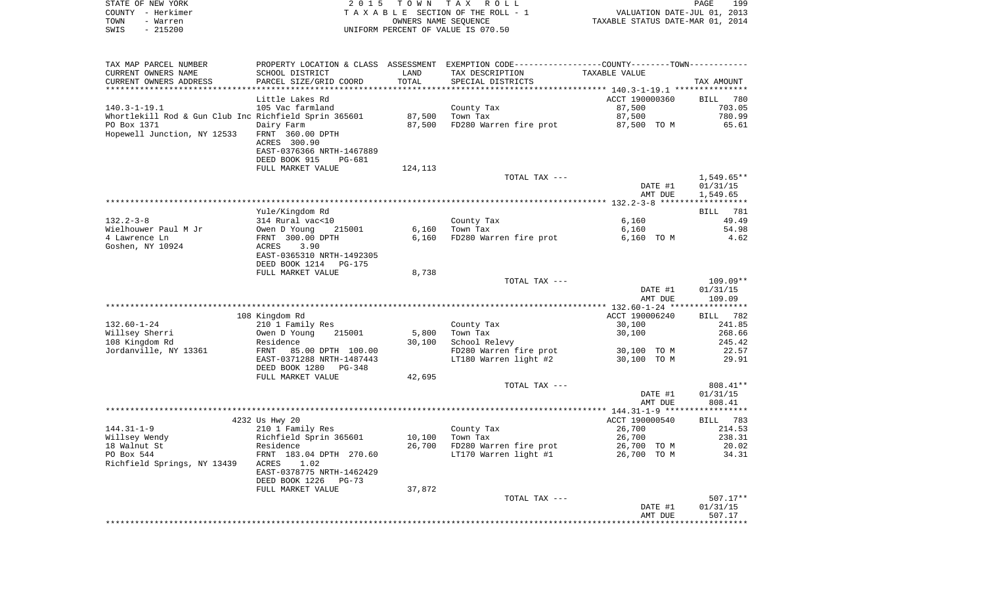|      | STATE OF NEW YORK | 2015 TOWN TAX ROLL                 | PAGE                             | 199 |
|------|-------------------|------------------------------------|----------------------------------|-----|
|      | COUNTY - Herkimer | TAXABLE SECTION OF THE ROLL - 1    | VALUATION DATE-JUL 01, 2013      |     |
| TOWN | - Warren          | OWNERS NAME SEOUENCE               | TAXABLE STATUS DATE-MAR 01, 2014 |     |
| SWIS | - 215200          | UNIFORM PERCENT OF VALUE IS 070.50 |                                  |     |

| TAX MAP PARCEL NUMBER                                 | PROPERTY LOCATION & CLASS ASSESSMENT EXEMPTION CODE----------------COUNTY--------TOWN---------- |                      |                        |                                                  |              |
|-------------------------------------------------------|-------------------------------------------------------------------------------------------------|----------------------|------------------------|--------------------------------------------------|--------------|
| CURRENT OWNERS NAME                                   | SCHOOL DISTRICT                                                                                 | LAND                 | TAX DESCRIPTION        | TAXABLE VALUE                                    |              |
| CURRENT OWNERS ADDRESS                                | PARCEL SIZE/GRID COORD                                                                          | TOTAL                | SPECIAL DISTRICTS      |                                                  | TAX AMOUNT   |
|                                                       |                                                                                                 | ******************** |                        | ****************** 140.3-1-19.1 **************** |              |
|                                                       | Little Lakes Rd                                                                                 |                      |                        | ACCT 190000360                                   | BILL 780     |
| $140.3 - 1 - 19.1$                                    | 105 Vac farmland                                                                                |                      | County Tax             | 87,500                                           | 703.05       |
| Whortlekill Rod & Gun Club Inc Richfield Sprin 365601 |                                                                                                 | 87,500               | Town Tax               | 87,500                                           | 780.99       |
| PO Box 1371                                           | Dairy Farm                                                                                      | 87,500               | FD280 Warren fire prot | 87,500 TO M                                      | 65.61        |
| Hopewell Junction, NY 12533                           | FRNT 360.00 DPTH                                                                                |                      |                        |                                                  |              |
|                                                       | ACRES 300.90                                                                                    |                      |                        |                                                  |              |
|                                                       | EAST-0376366 NRTH-1467889                                                                       |                      |                        |                                                  |              |
|                                                       | DEED BOOK 915<br>PG-681                                                                         |                      |                        |                                                  |              |
|                                                       | FULL MARKET VALUE                                                                               | 124,113              |                        |                                                  |              |
|                                                       |                                                                                                 |                      | TOTAL TAX ---          |                                                  | $1,549.65**$ |
|                                                       |                                                                                                 |                      |                        | DATE #1                                          | 01/31/15     |
|                                                       |                                                                                                 |                      |                        | AMT DUE                                          | 1,549.65     |
|                                                       |                                                                                                 |                      |                        |                                                  |              |
|                                                       | Yule/Kingdom Rd                                                                                 |                      |                        |                                                  | 781          |
|                                                       |                                                                                                 |                      |                        |                                                  | BILL         |
| $132.2 - 3 - 8$                                       | 314 Rural vac<10                                                                                |                      | County Tax             | 6,160                                            | 49.49        |
| Wielhouwer Paul M Jr                                  | Owen D Young<br>215001                                                                          | 6,160                | Town Tax               | 6,160                                            | 54.98        |
| 4 Lawrence Ln                                         | FRNT 300.00 DPTH                                                                                | 6,160                | FD280 Warren fire prot | 6,160 TO M                                       | 4.62         |
| Goshen, NY 10924                                      | 3.90<br>ACRES                                                                                   |                      |                        |                                                  |              |
|                                                       | EAST-0365310 NRTH-1492305                                                                       |                      |                        |                                                  |              |
|                                                       | DEED BOOK 1214<br><b>PG-175</b>                                                                 |                      |                        |                                                  |              |
|                                                       | FULL MARKET VALUE                                                                               | 8,738                |                        |                                                  |              |
|                                                       |                                                                                                 |                      | TOTAL TAX ---          |                                                  | $109.09**$   |
|                                                       |                                                                                                 |                      |                        | DATE #1                                          | 01/31/15     |
|                                                       |                                                                                                 |                      |                        | AMT DUE                                          | 109.09       |
|                                                       |                                                                                                 |                      |                        |                                                  |              |
|                                                       | 108 Kingdom Rd                                                                                  |                      |                        | ACCT 190006240                                   | BILL 782     |
| $132.60 - 1 - 24$                                     | 210 1 Family Res                                                                                |                      | County Tax             | 30,100                                           | 241.85       |
| Willsey Sherri                                        | Owen D Young<br>215001                                                                          | 5,800                | Town Tax               | 30,100                                           | 268.66       |
| 108 Kingdom Rd                                        | Residence                                                                                       | 30,100               | School Relevy          |                                                  | 245.42       |
| Jordanville, NY 13361                                 | FRNT<br>85.00 DPTH 100.00                                                                       |                      | FD280 Warren fire prot | 30,100 TO M                                      | 22.57        |
|                                                       | EAST-0371288 NRTH-1487443                                                                       |                      | LT180 Warren light #2  | 30,100 TO M                                      | 29.91        |
|                                                       | DEED BOOK 1280<br>PG-348                                                                        |                      |                        |                                                  |              |
|                                                       | FULL MARKET VALUE                                                                               | 42,695               |                        |                                                  |              |
|                                                       |                                                                                                 |                      | TOTAL TAX ---          |                                                  | 808.41**     |
|                                                       |                                                                                                 |                      |                        | DATE #1                                          | 01/31/15     |
|                                                       |                                                                                                 |                      |                        | AMT DUE                                          | 808.41       |
|                                                       |                                                                                                 |                      |                        |                                                  |              |
|                                                       | 4232 Us Hwy 20                                                                                  |                      |                        | ACCT 190000540                                   | BILL 783     |
| $144.31 - 1 - 9$                                      | 210 1 Family Res                                                                                |                      | County Tax             | 26,700                                           | 214.53       |
| Willsey Wendy                                         | Richfield Sprin 365601                                                                          | 10,100               | Town Tax               | 26,700                                           | 238.31       |
| 18 Walnut St                                          | Residence                                                                                       | 26,700               | FD280 Warren fire prot | 26,700 TO M                                      | 20.02        |
| PO Box 544                                            | FRNT 183.04 DPTH 270.60                                                                         |                      | LT170 Warren light #1  | 26,700 TO M                                      | 34.31        |
| Richfield Springs, NY 13439                           | ACRES<br>1.02                                                                                   |                      |                        |                                                  |              |
|                                                       | EAST-0378775 NRTH-1462429                                                                       |                      |                        |                                                  |              |
|                                                       | DEED BOOK 1226<br>$PG-73$                                                                       |                      |                        |                                                  |              |
|                                                       | FULL MARKET VALUE                                                                               | 37,872               |                        |                                                  |              |
|                                                       |                                                                                                 |                      | TOTAL TAX ---          |                                                  | $507.17**$   |
|                                                       |                                                                                                 |                      |                        | DATE #1                                          | 01/31/15     |
|                                                       |                                                                                                 |                      |                        | AMT DUE                                          | 507.17       |
|                                                       |                                                                                                 |                      |                        |                                                  |              |
|                                                       |                                                                                                 |                      |                        |                                                  |              |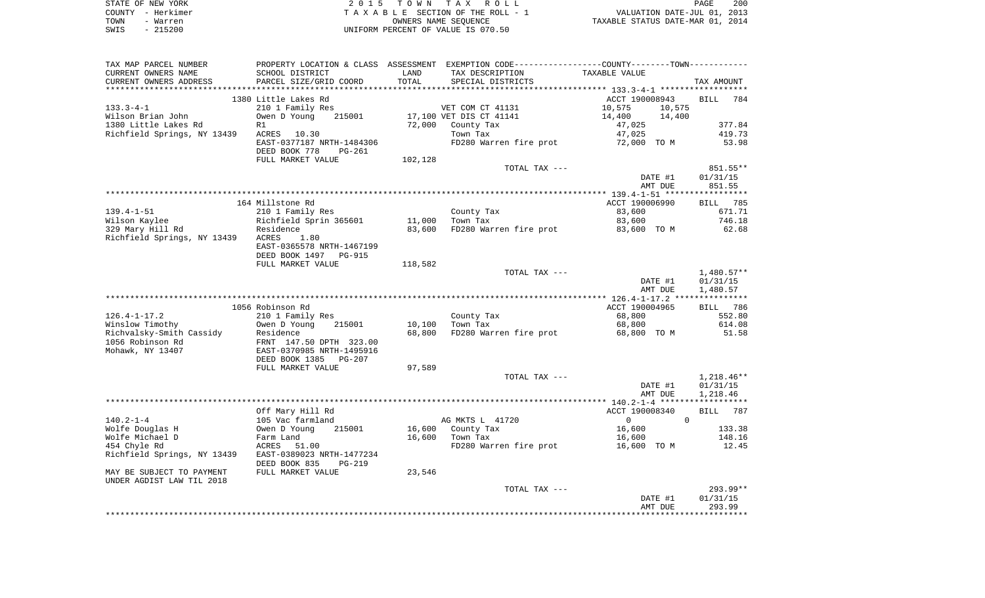| STATE OF NEW YORK | 2015 TOWN TAX ROLL                 | 200<br>PAGE                      |
|-------------------|------------------------------------|----------------------------------|
| COUNTY – Herkimer | TAXABLE SECTION OF THE ROLL - 1    | VALUATION DATE-JUL 01, 2013      |
| TOWN<br>- Warren  | OWNERS NAME SEOUENCE               | TAXABLE STATUS DATE-MAR 01, 2014 |
| - 215200<br>SWIS  | UNIFORM PERCENT OF VALUE IS 070.50 |                                  |

| SCHOOL DISTRICT<br>LAND<br>TAX DESCRIPTION<br>TAXABLE VALUE<br>PARCEL SIZE/GRID COORD<br>TOTAL<br>SPECIAL DISTRICTS<br>TAX AMOUNT<br>1380 Little Lakes Rd<br>ACCT 190008943<br>BILL 784<br>210 1 Family Res<br>VET COM CT 41131<br>10,575<br>10,575<br>Wilson Brian John<br>Owen D Young<br>215001<br>17,100 VET DIS CT 41141<br>14,400<br>14,400<br>1380 Little Lakes Rd<br>72,000 County Tax<br>47,025<br>377.84<br>R1<br>Richfield Springs, NY 13439<br>ACRES 10.30<br>Town Tax<br>47,025<br>419.73<br>EAST-0377187 NRTH-1484306<br>FD280 Warren fire prot 72,000 TO M<br>53.98<br>DEED BOOK 778<br>PG-261<br>FULL MARKET VALUE<br>102,128<br>TOTAL TAX ---<br>851.55**<br>DATE #1<br>01/31/15<br>AMT DUE<br>851.55<br>164 Millstone Rd<br>ACCT 190006990<br>BILL 785<br>210 1 Family Res<br>83,600<br>671.71<br>County Tax<br>11,000 Town Tax<br>83,600<br>746.18<br>FD280 Warren fire prot 83,600 TO M<br>83,600<br>62.68<br>Richfield Springs, NY 13439 ACRES<br>1.80<br>EAST-0365578 NRTH-1467199<br>DEED BOOK 1497 PG-915<br>118,582<br>FULL MARKET VALUE<br>TOTAL TAX ---<br>$1,480.57**$<br>DATE #1<br>01/31/15<br>AMT DUE<br>1,480.57<br>1056 Robinson Rd<br>ACCT 190004965<br>BILL 786<br>$126.4 - 1 - 17.2$<br>68,800<br>552.80<br>210 1 Family Res<br>County Tax<br>Winslow Timothy<br>Owen D Young<br>10,100<br>Town Tax<br>614.08<br>215001<br>68,800<br>FD280 Warren fire prot<br>Richvalsky-Smith Cassidy<br>68,800<br>68,800 TO M<br>51.58<br>Residence<br>1056 Robinson Rd<br>FRNT 147.50 DPTH 323.00<br>Mohawk, NY 13407<br>EAST-0370985 NRTH-1495916<br>DEED BOOK 1385<br>PG-207<br>97,589<br>FULL MARKET VALUE<br>$1,218.46**$<br>TOTAL TAX ---<br>DATE #1<br>01/31/15<br>1,218.46<br>AMT DUE<br>Off Mary Hill Rd<br>ACCT 190008340<br>BILL 787<br>$140.2 - 1 - 4$<br>105 Vac farmland<br>AG MKTS L 41720<br>$\overline{0}$ and $\overline{0}$ and $\overline{0}$ and $\overline{0}$ and $\overline{0}$ and $\overline{0}$ and $\overline{0}$ and $\overline{0}$ and $\overline{0}$ and $\overline{0}$ and $\overline{0}$ and $\overline{0}$ and $\overline{0}$ and $\overline{0}$ and $\overline{0}$ and $\overline{0}$ and $\overline{0}$ and<br>$\mathbf 0$<br>16,600<br>Wolfe Douglas H<br>Owen D Young<br>215001<br>16,600 County Tax<br>133.38<br>16,600 Town Tax<br>Wolfe Michael D<br>Farm Land<br>16,600<br>148.16<br>454 Chyle Rd<br>FD280 Warren fire prot 16,600 TO M<br>12.45<br>ACRES<br>51.00<br>Richfield Springs, NY 13439 EAST-0389023 NRTH-1477234<br>DEED BOOK 835<br><b>PG-219</b><br>MAY BE SUBJECT TO PAYMENT<br>FULL MARKET VALUE<br>23,546<br>UNDER AGDIST LAW TIL 2018<br>$293.99**$<br>TOTAL TAX ---<br>DATE #1<br>01/31/15<br>293.99<br>AMT DUE | TAX MAP PARCEL NUMBER  |  | PROPERTY LOCATION & CLASS ASSESSMENT EXEMPTION CODE----------------COUNTY--------TOWN---------- |  |
|----------------------------------------------------------------------------------------------------------------------------------------------------------------------------------------------------------------------------------------------------------------------------------------------------------------------------------------------------------------------------------------------------------------------------------------------------------------------------------------------------------------------------------------------------------------------------------------------------------------------------------------------------------------------------------------------------------------------------------------------------------------------------------------------------------------------------------------------------------------------------------------------------------------------------------------------------------------------------------------------------------------------------------------------------------------------------------------------------------------------------------------------------------------------------------------------------------------------------------------------------------------------------------------------------------------------------------------------------------------------------------------------------------------------------------------------------------------------------------------------------------------------------------------------------------------------------------------------------------------------------------------------------------------------------------------------------------------------------------------------------------------------------------------------------------------------------------------------------------------------------------------------------------------------------------------------------------------------------------------------------------------------------------------------------------------------------------------------------------------------------------------------------------------------------------------------------------------------------------------------------------------------------------------------------------------------------------------------------------------------------------------------------------------------------------------------------------------------------------------------------------------------------------------------------------------------------------------------------------------------------------------------------------------------------------------------------|------------------------|--|-------------------------------------------------------------------------------------------------|--|
|                                                                                                                                                                                                                                                                                                                                                                                                                                                                                                                                                                                                                                                                                                                                                                                                                                                                                                                                                                                                                                                                                                                                                                                                                                                                                                                                                                                                                                                                                                                                                                                                                                                                                                                                                                                                                                                                                                                                                                                                                                                                                                                                                                                                                                                                                                                                                                                                                                                                                                                                                                                                                                                                                                    | CURRENT OWNERS NAME    |  |                                                                                                 |  |
|                                                                                                                                                                                                                                                                                                                                                                                                                                                                                                                                                                                                                                                                                                                                                                                                                                                                                                                                                                                                                                                                                                                                                                                                                                                                                                                                                                                                                                                                                                                                                                                                                                                                                                                                                                                                                                                                                                                                                                                                                                                                                                                                                                                                                                                                                                                                                                                                                                                                                                                                                                                                                                                                                                    | CURRENT OWNERS ADDRESS |  |                                                                                                 |  |
|                                                                                                                                                                                                                                                                                                                                                                                                                                                                                                                                                                                                                                                                                                                                                                                                                                                                                                                                                                                                                                                                                                                                                                                                                                                                                                                                                                                                                                                                                                                                                                                                                                                                                                                                                                                                                                                                                                                                                                                                                                                                                                                                                                                                                                                                                                                                                                                                                                                                                                                                                                                                                                                                                                    |                        |  |                                                                                                 |  |
|                                                                                                                                                                                                                                                                                                                                                                                                                                                                                                                                                                                                                                                                                                                                                                                                                                                                                                                                                                                                                                                                                                                                                                                                                                                                                                                                                                                                                                                                                                                                                                                                                                                                                                                                                                                                                                                                                                                                                                                                                                                                                                                                                                                                                                                                                                                                                                                                                                                                                                                                                                                                                                                                                                    |                        |  |                                                                                                 |  |
|                                                                                                                                                                                                                                                                                                                                                                                                                                                                                                                                                                                                                                                                                                                                                                                                                                                                                                                                                                                                                                                                                                                                                                                                                                                                                                                                                                                                                                                                                                                                                                                                                                                                                                                                                                                                                                                                                                                                                                                                                                                                                                                                                                                                                                                                                                                                                                                                                                                                                                                                                                                                                                                                                                    | $133.3 - 4 - 1$        |  |                                                                                                 |  |
|                                                                                                                                                                                                                                                                                                                                                                                                                                                                                                                                                                                                                                                                                                                                                                                                                                                                                                                                                                                                                                                                                                                                                                                                                                                                                                                                                                                                                                                                                                                                                                                                                                                                                                                                                                                                                                                                                                                                                                                                                                                                                                                                                                                                                                                                                                                                                                                                                                                                                                                                                                                                                                                                                                    |                        |  |                                                                                                 |  |
|                                                                                                                                                                                                                                                                                                                                                                                                                                                                                                                                                                                                                                                                                                                                                                                                                                                                                                                                                                                                                                                                                                                                                                                                                                                                                                                                                                                                                                                                                                                                                                                                                                                                                                                                                                                                                                                                                                                                                                                                                                                                                                                                                                                                                                                                                                                                                                                                                                                                                                                                                                                                                                                                                                    |                        |  |                                                                                                 |  |
|                                                                                                                                                                                                                                                                                                                                                                                                                                                                                                                                                                                                                                                                                                                                                                                                                                                                                                                                                                                                                                                                                                                                                                                                                                                                                                                                                                                                                                                                                                                                                                                                                                                                                                                                                                                                                                                                                                                                                                                                                                                                                                                                                                                                                                                                                                                                                                                                                                                                                                                                                                                                                                                                                                    |                        |  |                                                                                                 |  |
|                                                                                                                                                                                                                                                                                                                                                                                                                                                                                                                                                                                                                                                                                                                                                                                                                                                                                                                                                                                                                                                                                                                                                                                                                                                                                                                                                                                                                                                                                                                                                                                                                                                                                                                                                                                                                                                                                                                                                                                                                                                                                                                                                                                                                                                                                                                                                                                                                                                                                                                                                                                                                                                                                                    |                        |  |                                                                                                 |  |
|                                                                                                                                                                                                                                                                                                                                                                                                                                                                                                                                                                                                                                                                                                                                                                                                                                                                                                                                                                                                                                                                                                                                                                                                                                                                                                                                                                                                                                                                                                                                                                                                                                                                                                                                                                                                                                                                                                                                                                                                                                                                                                                                                                                                                                                                                                                                                                                                                                                                                                                                                                                                                                                                                                    |                        |  |                                                                                                 |  |
|                                                                                                                                                                                                                                                                                                                                                                                                                                                                                                                                                                                                                                                                                                                                                                                                                                                                                                                                                                                                                                                                                                                                                                                                                                                                                                                                                                                                                                                                                                                                                                                                                                                                                                                                                                                                                                                                                                                                                                                                                                                                                                                                                                                                                                                                                                                                                                                                                                                                                                                                                                                                                                                                                                    |                        |  |                                                                                                 |  |
|                                                                                                                                                                                                                                                                                                                                                                                                                                                                                                                                                                                                                                                                                                                                                                                                                                                                                                                                                                                                                                                                                                                                                                                                                                                                                                                                                                                                                                                                                                                                                                                                                                                                                                                                                                                                                                                                                                                                                                                                                                                                                                                                                                                                                                                                                                                                                                                                                                                                                                                                                                                                                                                                                                    |                        |  |                                                                                                 |  |
|                                                                                                                                                                                                                                                                                                                                                                                                                                                                                                                                                                                                                                                                                                                                                                                                                                                                                                                                                                                                                                                                                                                                                                                                                                                                                                                                                                                                                                                                                                                                                                                                                                                                                                                                                                                                                                                                                                                                                                                                                                                                                                                                                                                                                                                                                                                                                                                                                                                                                                                                                                                                                                                                                                    |                        |  |                                                                                                 |  |
|                                                                                                                                                                                                                                                                                                                                                                                                                                                                                                                                                                                                                                                                                                                                                                                                                                                                                                                                                                                                                                                                                                                                                                                                                                                                                                                                                                                                                                                                                                                                                                                                                                                                                                                                                                                                                                                                                                                                                                                                                                                                                                                                                                                                                                                                                                                                                                                                                                                                                                                                                                                                                                                                                                    |                        |  |                                                                                                 |  |
|                                                                                                                                                                                                                                                                                                                                                                                                                                                                                                                                                                                                                                                                                                                                                                                                                                                                                                                                                                                                                                                                                                                                                                                                                                                                                                                                                                                                                                                                                                                                                                                                                                                                                                                                                                                                                                                                                                                                                                                                                                                                                                                                                                                                                                                                                                                                                                                                                                                                                                                                                                                                                                                                                                    |                        |  |                                                                                                 |  |
|                                                                                                                                                                                                                                                                                                                                                                                                                                                                                                                                                                                                                                                                                                                                                                                                                                                                                                                                                                                                                                                                                                                                                                                                                                                                                                                                                                                                                                                                                                                                                                                                                                                                                                                                                                                                                                                                                                                                                                                                                                                                                                                                                                                                                                                                                                                                                                                                                                                                                                                                                                                                                                                                                                    |                        |  |                                                                                                 |  |
|                                                                                                                                                                                                                                                                                                                                                                                                                                                                                                                                                                                                                                                                                                                                                                                                                                                                                                                                                                                                                                                                                                                                                                                                                                                                                                                                                                                                                                                                                                                                                                                                                                                                                                                                                                                                                                                                                                                                                                                                                                                                                                                                                                                                                                                                                                                                                                                                                                                                                                                                                                                                                                                                                                    | $139.4 - 1 - 51$       |  |                                                                                                 |  |
|                                                                                                                                                                                                                                                                                                                                                                                                                                                                                                                                                                                                                                                                                                                                                                                                                                                                                                                                                                                                                                                                                                                                                                                                                                                                                                                                                                                                                                                                                                                                                                                                                                                                                                                                                                                                                                                                                                                                                                                                                                                                                                                                                                                                                                                                                                                                                                                                                                                                                                                                                                                                                                                                                                    |                        |  |                                                                                                 |  |
|                                                                                                                                                                                                                                                                                                                                                                                                                                                                                                                                                                                                                                                                                                                                                                                                                                                                                                                                                                                                                                                                                                                                                                                                                                                                                                                                                                                                                                                                                                                                                                                                                                                                                                                                                                                                                                                                                                                                                                                                                                                                                                                                                                                                                                                                                                                                                                                                                                                                                                                                                                                                                                                                                                    |                        |  |                                                                                                 |  |
|                                                                                                                                                                                                                                                                                                                                                                                                                                                                                                                                                                                                                                                                                                                                                                                                                                                                                                                                                                                                                                                                                                                                                                                                                                                                                                                                                                                                                                                                                                                                                                                                                                                                                                                                                                                                                                                                                                                                                                                                                                                                                                                                                                                                                                                                                                                                                                                                                                                                                                                                                                                                                                                                                                    |                        |  |                                                                                                 |  |
|                                                                                                                                                                                                                                                                                                                                                                                                                                                                                                                                                                                                                                                                                                                                                                                                                                                                                                                                                                                                                                                                                                                                                                                                                                                                                                                                                                                                                                                                                                                                                                                                                                                                                                                                                                                                                                                                                                                                                                                                                                                                                                                                                                                                                                                                                                                                                                                                                                                                                                                                                                                                                                                                                                    |                        |  |                                                                                                 |  |
|                                                                                                                                                                                                                                                                                                                                                                                                                                                                                                                                                                                                                                                                                                                                                                                                                                                                                                                                                                                                                                                                                                                                                                                                                                                                                                                                                                                                                                                                                                                                                                                                                                                                                                                                                                                                                                                                                                                                                                                                                                                                                                                                                                                                                                                                                                                                                                                                                                                                                                                                                                                                                                                                                                    |                        |  |                                                                                                 |  |
|                                                                                                                                                                                                                                                                                                                                                                                                                                                                                                                                                                                                                                                                                                                                                                                                                                                                                                                                                                                                                                                                                                                                                                                                                                                                                                                                                                                                                                                                                                                                                                                                                                                                                                                                                                                                                                                                                                                                                                                                                                                                                                                                                                                                                                                                                                                                                                                                                                                                                                                                                                                                                                                                                                    |                        |  |                                                                                                 |  |
|                                                                                                                                                                                                                                                                                                                                                                                                                                                                                                                                                                                                                                                                                                                                                                                                                                                                                                                                                                                                                                                                                                                                                                                                                                                                                                                                                                                                                                                                                                                                                                                                                                                                                                                                                                                                                                                                                                                                                                                                                                                                                                                                                                                                                                                                                                                                                                                                                                                                                                                                                                                                                                                                                                    |                        |  |                                                                                                 |  |
|                                                                                                                                                                                                                                                                                                                                                                                                                                                                                                                                                                                                                                                                                                                                                                                                                                                                                                                                                                                                                                                                                                                                                                                                                                                                                                                                                                                                                                                                                                                                                                                                                                                                                                                                                                                                                                                                                                                                                                                                                                                                                                                                                                                                                                                                                                                                                                                                                                                                                                                                                                                                                                                                                                    |                        |  |                                                                                                 |  |
|                                                                                                                                                                                                                                                                                                                                                                                                                                                                                                                                                                                                                                                                                                                                                                                                                                                                                                                                                                                                                                                                                                                                                                                                                                                                                                                                                                                                                                                                                                                                                                                                                                                                                                                                                                                                                                                                                                                                                                                                                                                                                                                                                                                                                                                                                                                                                                                                                                                                                                                                                                                                                                                                                                    |                        |  |                                                                                                 |  |
|                                                                                                                                                                                                                                                                                                                                                                                                                                                                                                                                                                                                                                                                                                                                                                                                                                                                                                                                                                                                                                                                                                                                                                                                                                                                                                                                                                                                                                                                                                                                                                                                                                                                                                                                                                                                                                                                                                                                                                                                                                                                                                                                                                                                                                                                                                                                                                                                                                                                                                                                                                                                                                                                                                    |                        |  |                                                                                                 |  |
|                                                                                                                                                                                                                                                                                                                                                                                                                                                                                                                                                                                                                                                                                                                                                                                                                                                                                                                                                                                                                                                                                                                                                                                                                                                                                                                                                                                                                                                                                                                                                                                                                                                                                                                                                                                                                                                                                                                                                                                                                                                                                                                                                                                                                                                                                                                                                                                                                                                                                                                                                                                                                                                                                                    |                        |  |                                                                                                 |  |
|                                                                                                                                                                                                                                                                                                                                                                                                                                                                                                                                                                                                                                                                                                                                                                                                                                                                                                                                                                                                                                                                                                                                                                                                                                                                                                                                                                                                                                                                                                                                                                                                                                                                                                                                                                                                                                                                                                                                                                                                                                                                                                                                                                                                                                                                                                                                                                                                                                                                                                                                                                                                                                                                                                    |                        |  |                                                                                                 |  |
|                                                                                                                                                                                                                                                                                                                                                                                                                                                                                                                                                                                                                                                                                                                                                                                                                                                                                                                                                                                                                                                                                                                                                                                                                                                                                                                                                                                                                                                                                                                                                                                                                                                                                                                                                                                                                                                                                                                                                                                                                                                                                                                                                                                                                                                                                                                                                                                                                                                                                                                                                                                                                                                                                                    |                        |  |                                                                                                 |  |
|                                                                                                                                                                                                                                                                                                                                                                                                                                                                                                                                                                                                                                                                                                                                                                                                                                                                                                                                                                                                                                                                                                                                                                                                                                                                                                                                                                                                                                                                                                                                                                                                                                                                                                                                                                                                                                                                                                                                                                                                                                                                                                                                                                                                                                                                                                                                                                                                                                                                                                                                                                                                                                                                                                    |                        |  |                                                                                                 |  |
|                                                                                                                                                                                                                                                                                                                                                                                                                                                                                                                                                                                                                                                                                                                                                                                                                                                                                                                                                                                                                                                                                                                                                                                                                                                                                                                                                                                                                                                                                                                                                                                                                                                                                                                                                                                                                                                                                                                                                                                                                                                                                                                                                                                                                                                                                                                                                                                                                                                                                                                                                                                                                                                                                                    |                        |  |                                                                                                 |  |
|                                                                                                                                                                                                                                                                                                                                                                                                                                                                                                                                                                                                                                                                                                                                                                                                                                                                                                                                                                                                                                                                                                                                                                                                                                                                                                                                                                                                                                                                                                                                                                                                                                                                                                                                                                                                                                                                                                                                                                                                                                                                                                                                                                                                                                                                                                                                                                                                                                                                                                                                                                                                                                                                                                    |                        |  |                                                                                                 |  |
|                                                                                                                                                                                                                                                                                                                                                                                                                                                                                                                                                                                                                                                                                                                                                                                                                                                                                                                                                                                                                                                                                                                                                                                                                                                                                                                                                                                                                                                                                                                                                                                                                                                                                                                                                                                                                                                                                                                                                                                                                                                                                                                                                                                                                                                                                                                                                                                                                                                                                                                                                                                                                                                                                                    |                        |  |                                                                                                 |  |
|                                                                                                                                                                                                                                                                                                                                                                                                                                                                                                                                                                                                                                                                                                                                                                                                                                                                                                                                                                                                                                                                                                                                                                                                                                                                                                                                                                                                                                                                                                                                                                                                                                                                                                                                                                                                                                                                                                                                                                                                                                                                                                                                                                                                                                                                                                                                                                                                                                                                                                                                                                                                                                                                                                    |                        |  |                                                                                                 |  |
|                                                                                                                                                                                                                                                                                                                                                                                                                                                                                                                                                                                                                                                                                                                                                                                                                                                                                                                                                                                                                                                                                                                                                                                                                                                                                                                                                                                                                                                                                                                                                                                                                                                                                                                                                                                                                                                                                                                                                                                                                                                                                                                                                                                                                                                                                                                                                                                                                                                                                                                                                                                                                                                                                                    |                        |  |                                                                                                 |  |
|                                                                                                                                                                                                                                                                                                                                                                                                                                                                                                                                                                                                                                                                                                                                                                                                                                                                                                                                                                                                                                                                                                                                                                                                                                                                                                                                                                                                                                                                                                                                                                                                                                                                                                                                                                                                                                                                                                                                                                                                                                                                                                                                                                                                                                                                                                                                                                                                                                                                                                                                                                                                                                                                                                    |                        |  |                                                                                                 |  |
|                                                                                                                                                                                                                                                                                                                                                                                                                                                                                                                                                                                                                                                                                                                                                                                                                                                                                                                                                                                                                                                                                                                                                                                                                                                                                                                                                                                                                                                                                                                                                                                                                                                                                                                                                                                                                                                                                                                                                                                                                                                                                                                                                                                                                                                                                                                                                                                                                                                                                                                                                                                                                                                                                                    |                        |  |                                                                                                 |  |
|                                                                                                                                                                                                                                                                                                                                                                                                                                                                                                                                                                                                                                                                                                                                                                                                                                                                                                                                                                                                                                                                                                                                                                                                                                                                                                                                                                                                                                                                                                                                                                                                                                                                                                                                                                                                                                                                                                                                                                                                                                                                                                                                                                                                                                                                                                                                                                                                                                                                                                                                                                                                                                                                                                    |                        |  |                                                                                                 |  |
|                                                                                                                                                                                                                                                                                                                                                                                                                                                                                                                                                                                                                                                                                                                                                                                                                                                                                                                                                                                                                                                                                                                                                                                                                                                                                                                                                                                                                                                                                                                                                                                                                                                                                                                                                                                                                                                                                                                                                                                                                                                                                                                                                                                                                                                                                                                                                                                                                                                                                                                                                                                                                                                                                                    |                        |  |                                                                                                 |  |
|                                                                                                                                                                                                                                                                                                                                                                                                                                                                                                                                                                                                                                                                                                                                                                                                                                                                                                                                                                                                                                                                                                                                                                                                                                                                                                                                                                                                                                                                                                                                                                                                                                                                                                                                                                                                                                                                                                                                                                                                                                                                                                                                                                                                                                                                                                                                                                                                                                                                                                                                                                                                                                                                                                    |                        |  |                                                                                                 |  |
|                                                                                                                                                                                                                                                                                                                                                                                                                                                                                                                                                                                                                                                                                                                                                                                                                                                                                                                                                                                                                                                                                                                                                                                                                                                                                                                                                                                                                                                                                                                                                                                                                                                                                                                                                                                                                                                                                                                                                                                                                                                                                                                                                                                                                                                                                                                                                                                                                                                                                                                                                                                                                                                                                                    |                        |  |                                                                                                 |  |
|                                                                                                                                                                                                                                                                                                                                                                                                                                                                                                                                                                                                                                                                                                                                                                                                                                                                                                                                                                                                                                                                                                                                                                                                                                                                                                                                                                                                                                                                                                                                                                                                                                                                                                                                                                                                                                                                                                                                                                                                                                                                                                                                                                                                                                                                                                                                                                                                                                                                                                                                                                                                                                                                                                    |                        |  |                                                                                                 |  |
|                                                                                                                                                                                                                                                                                                                                                                                                                                                                                                                                                                                                                                                                                                                                                                                                                                                                                                                                                                                                                                                                                                                                                                                                                                                                                                                                                                                                                                                                                                                                                                                                                                                                                                                                                                                                                                                                                                                                                                                                                                                                                                                                                                                                                                                                                                                                                                                                                                                                                                                                                                                                                                                                                                    |                        |  |                                                                                                 |  |
|                                                                                                                                                                                                                                                                                                                                                                                                                                                                                                                                                                                                                                                                                                                                                                                                                                                                                                                                                                                                                                                                                                                                                                                                                                                                                                                                                                                                                                                                                                                                                                                                                                                                                                                                                                                                                                                                                                                                                                                                                                                                                                                                                                                                                                                                                                                                                                                                                                                                                                                                                                                                                                                                                                    |                        |  |                                                                                                 |  |
|                                                                                                                                                                                                                                                                                                                                                                                                                                                                                                                                                                                                                                                                                                                                                                                                                                                                                                                                                                                                                                                                                                                                                                                                                                                                                                                                                                                                                                                                                                                                                                                                                                                                                                                                                                                                                                                                                                                                                                                                                                                                                                                                                                                                                                                                                                                                                                                                                                                                                                                                                                                                                                                                                                    |                        |  |                                                                                                 |  |
|                                                                                                                                                                                                                                                                                                                                                                                                                                                                                                                                                                                                                                                                                                                                                                                                                                                                                                                                                                                                                                                                                                                                                                                                                                                                                                                                                                                                                                                                                                                                                                                                                                                                                                                                                                                                                                                                                                                                                                                                                                                                                                                                                                                                                                                                                                                                                                                                                                                                                                                                                                                                                                                                                                    |                        |  |                                                                                                 |  |
|                                                                                                                                                                                                                                                                                                                                                                                                                                                                                                                                                                                                                                                                                                                                                                                                                                                                                                                                                                                                                                                                                                                                                                                                                                                                                                                                                                                                                                                                                                                                                                                                                                                                                                                                                                                                                                                                                                                                                                                                                                                                                                                                                                                                                                                                                                                                                                                                                                                                                                                                                                                                                                                                                                    |                        |  |                                                                                                 |  |
|                                                                                                                                                                                                                                                                                                                                                                                                                                                                                                                                                                                                                                                                                                                                                                                                                                                                                                                                                                                                                                                                                                                                                                                                                                                                                                                                                                                                                                                                                                                                                                                                                                                                                                                                                                                                                                                                                                                                                                                                                                                                                                                                                                                                                                                                                                                                                                                                                                                                                                                                                                                                                                                                                                    |                        |  |                                                                                                 |  |
|                                                                                                                                                                                                                                                                                                                                                                                                                                                                                                                                                                                                                                                                                                                                                                                                                                                                                                                                                                                                                                                                                                                                                                                                                                                                                                                                                                                                                                                                                                                                                                                                                                                                                                                                                                                                                                                                                                                                                                                                                                                                                                                                                                                                                                                                                                                                                                                                                                                                                                                                                                                                                                                                                                    |                        |  |                                                                                                 |  |
|                                                                                                                                                                                                                                                                                                                                                                                                                                                                                                                                                                                                                                                                                                                                                                                                                                                                                                                                                                                                                                                                                                                                                                                                                                                                                                                                                                                                                                                                                                                                                                                                                                                                                                                                                                                                                                                                                                                                                                                                                                                                                                                                                                                                                                                                                                                                                                                                                                                                                                                                                                                                                                                                                                    |                        |  |                                                                                                 |  |
|                                                                                                                                                                                                                                                                                                                                                                                                                                                                                                                                                                                                                                                                                                                                                                                                                                                                                                                                                                                                                                                                                                                                                                                                                                                                                                                                                                                                                                                                                                                                                                                                                                                                                                                                                                                                                                                                                                                                                                                                                                                                                                                                                                                                                                                                                                                                                                                                                                                                                                                                                                                                                                                                                                    |                        |  |                                                                                                 |  |
|                                                                                                                                                                                                                                                                                                                                                                                                                                                                                                                                                                                                                                                                                                                                                                                                                                                                                                                                                                                                                                                                                                                                                                                                                                                                                                                                                                                                                                                                                                                                                                                                                                                                                                                                                                                                                                                                                                                                                                                                                                                                                                                                                                                                                                                                                                                                                                                                                                                                                                                                                                                                                                                                                                    |                        |  |                                                                                                 |  |
|                                                                                                                                                                                                                                                                                                                                                                                                                                                                                                                                                                                                                                                                                                                                                                                                                                                                                                                                                                                                                                                                                                                                                                                                                                                                                                                                                                                                                                                                                                                                                                                                                                                                                                                                                                                                                                                                                                                                                                                                                                                                                                                                                                                                                                                                                                                                                                                                                                                                                                                                                                                                                                                                                                    |                        |  |                                                                                                 |  |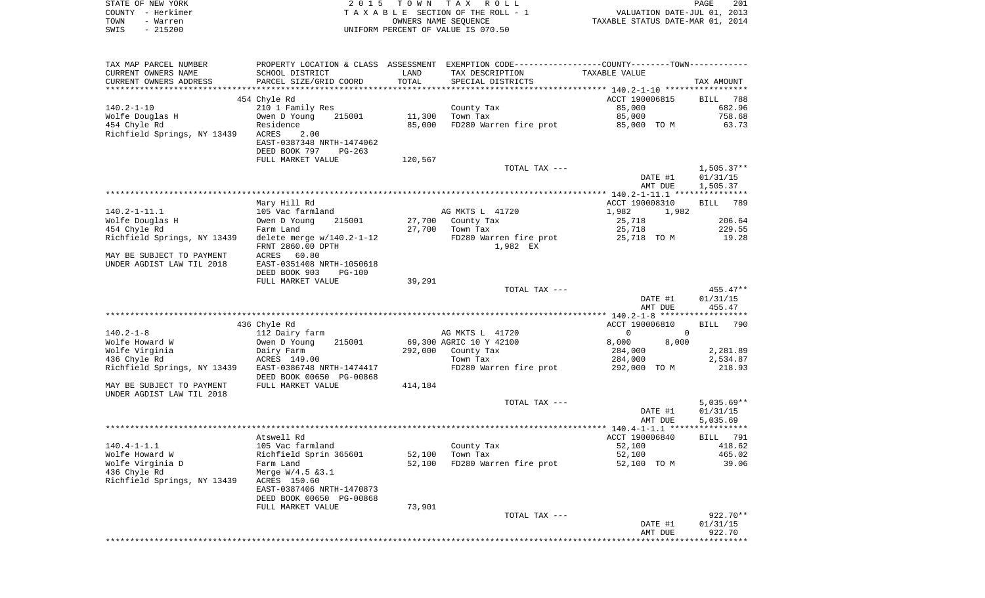| STATE OF NEW YORK<br>COUNTY - Herkimer |                            |         | 2015 TOWN TAX ROLL<br>T A X A B L E SECTION OF THE ROLL - 1 VALUATION DATE-JUL 01, 2013<br>OWNERS NAME SEQUENCE TAXABLE STATUS DATE-MAR 01, 2014     |                                                     | PAGE                                              |
|----------------------------------------|----------------------------|---------|------------------------------------------------------------------------------------------------------------------------------------------------------|-----------------------------------------------------|---------------------------------------------------|
| TOWN - Warren<br>$-215200$<br>SWIS     |                            |         | UNIFORM PERCENT OF VALUE IS 070.50                                                                                                                   |                                                     |                                                   |
|                                        |                            |         |                                                                                                                                                      |                                                     |                                                   |
| TAX MAP PARCEL NUMBER                  |                            |         | PROPERTY LOCATION & CLASS ASSESSMENT EXEMPTION CODE---------------COUNTY-------TOWN----------                                                        |                                                     |                                                   |
| CURRENT OWNERS NAME                    | SCHOOL DISTRICT            | LAND    | TAX DESCRIPTION TAXABLE VALUE                                                                                                                        |                                                     |                                                   |
| CURRENT OWNERS ADDRESS                 | PARCEL SIZE/GRID COORD     | TOTAL   | SPECIAL DISTRICTS                                                                                                                                    |                                                     | TAX AMOUNT                                        |
|                                        |                            |         |                                                                                                                                                      | ACCT 190006815                                      |                                                   |
|                                        | 454 Chyle Rd               |         |                                                                                                                                                      | 85,000                                              | BILL 788<br>682.96                                |
|                                        |                            |         |                                                                                                                                                      | 85,000                                              | 758.68                                            |
|                                        |                            |         | FD280 Warren fire prot 85,000 TO M                                                                                                                   |                                                     | 63.73                                             |
| Richfield Springs, NY 13439 ACRES      | 2.00                       |         |                                                                                                                                                      |                                                     |                                                   |
|                                        | EAST-0387348 NRTH-1474062  |         |                                                                                                                                                      |                                                     |                                                   |
|                                        | DEED BOOK 797 PG-263       |         |                                                                                                                                                      |                                                     |                                                   |
|                                        | FULL MARKET VALUE          | 120,567 |                                                                                                                                                      |                                                     |                                                   |
|                                        |                            |         | TOTAL TAX ---                                                                                                                                        |                                                     | 1,505.37**                                        |
|                                        |                            |         |                                                                                                                                                      | DATE #1                                             | 01/31/15                                          |
|                                        |                            |         |                                                                                                                                                      | AMT DUE                                             | 1,505.37                                          |
|                                        |                            |         |                                                                                                                                                      |                                                     |                                                   |
|                                        | Mary Hill Rd               |         |                                                                                                                                                      | ACCT 190008310                                      | BILL 789                                          |
| $140.2 - 1 - 11.1$                     | 105 Vac farmland           |         | AG MKTS L 41720                                                                                                                                      | 1,982 1,982                                         |                                                   |
| Wolfe Douglas H<br>"I Chyle Rd         | Owen D Young 215001        |         | 0wen D Young 215001 27,700 County Tax<br>Farm Land 27,700 Town Tax<br>delete merge w/140.2-1-12 FD280 Warren fire prot<br>FRNT 2860.00 DPTH 1,982 EX | 25,718                                              | 206.64                                            |
|                                        |                            |         |                                                                                                                                                      | 25,718                                              | 229.55                                            |
| Richfield Springs, NY 13439            |                            |         |                                                                                                                                                      | 25,718 TO M                                         | 19.28                                             |
|                                        |                            |         |                                                                                                                                                      |                                                     |                                                   |
| MAY BE SUBJECT TO PAYMENT              | ACRES 60.80                |         |                                                                                                                                                      |                                                     |                                                   |
| UNDER AGDIST LAW TIL 2018              | EAST-0351408 NRTH-1050618  |         |                                                                                                                                                      |                                                     |                                                   |
|                                        | DEED BOOK 903 PG-100       |         |                                                                                                                                                      |                                                     |                                                   |
|                                        | FULL MARKET VALUE          | 39,291  |                                                                                                                                                      |                                                     |                                                   |
|                                        |                            |         | TOTAL TAX ---                                                                                                                                        |                                                     | 455.47**                                          |
|                                        |                            |         |                                                                                                                                                      | DATE #1                                             | 01/31/15                                          |
|                                        |                            |         |                                                                                                                                                      | AMT DUE                                             | 455.47                                            |
|                                        |                            |         |                                                                                                                                                      |                                                     |                                                   |
| $140.2 - 1 - 8$                        | 436 Chyle Rd               |         |                                                                                                                                                      | ACCT 190006810<br>$\overline{0}$ and $\overline{0}$ | BILL 790                                          |
|                                        | 112 Dairy farm<br>215001   |         | AG MKTS L 41720<br>69,300 AGRIC 10 Y 42100 8,000                                                                                                     | 8,000                                               |                                                   |
| Wolfe Howard W                         | Owen D Young<br>Dairy Farm |         |                                                                                                                                                      | 284,000                                             |                                                   |
| Wolfe Virginia<br>126 Chvle Rd         | Dairy Farm<br>ACRES 149.00 |         | 292,000 County Tax<br>Town Tax                                                                                                                       | 284,000                                             | 2,281.89<br>2,534.87                              |
| Richfield Springs, NY 13439            | EAST-0386748 NRTH-1474417  |         | FD280 Warren fire prot 292,000 TO M                                                                                                                  |                                                     | 218.93                                            |
|                                        | DEED BOOK 00650 PG-00868   |         |                                                                                                                                                      |                                                     |                                                   |
| MAY BE SUBJECT TO PAYMENT              | FULL MARKET VALUE          | 414,184 |                                                                                                                                                      |                                                     |                                                   |
| UNDER AGDIST LAW TIL 2018              |                            |         |                                                                                                                                                      |                                                     |                                                   |
|                                        |                            |         | TOTAL TAX ---                                                                                                                                        |                                                     | $5,035.69**$                                      |
|                                        |                            |         |                                                                                                                                                      | DATE #1                                             | 01/31/15                                          |
|                                        |                            |         |                                                                                                                                                      | AMT DUE                                             | 5,035.69                                          |
|                                        |                            |         |                                                                                                                                                      |                                                     |                                                   |
|                                        |                            |         |                                                                                                                                                      | ACCT 190006840                                      | <b>BILL</b>                                       |
|                                        | Atswell Rd                 |         |                                                                                                                                                      |                                                     | 418.62                                            |
| $140.4 - 1 - 1.1$                      | 105 Vac farmland           |         | County Tax                                                                                                                                           | 52,100                                              |                                                   |
| Wolfe Howard W                         | Richfield Sprin 365601     | 52,100  | Town Tax                                                                                                                                             | 52,100                                              |                                                   |
| Wolfe Virginia D                       | Farm Land                  | 52,100  | FD280 Warren fire prot                                                                                                                               | 52,100 TO M                                         |                                                   |
| 436 Chyle Rd                           | Merge $W/4.5$ & 3.1        |         |                                                                                                                                                      |                                                     |                                                   |
| Richfield Springs, NY 13439            | ACRES 150.60               |         |                                                                                                                                                      |                                                     |                                                   |
|                                        | EAST-0387406 NRTH-1470873  |         |                                                                                                                                                      |                                                     |                                                   |
|                                        | DEED BOOK 00650 PG-00868   |         |                                                                                                                                                      |                                                     |                                                   |
|                                        | FULL MARKET VALUE          | 73,901  |                                                                                                                                                      |                                                     |                                                   |
|                                        |                            |         | TOTAL TAX ---                                                                                                                                        |                                                     |                                                   |
|                                        |                            |         |                                                                                                                                                      | DATE #1<br>AMT DUE                                  | 465.02<br>39.06<br>922.70**<br>01/31/15<br>922.70 |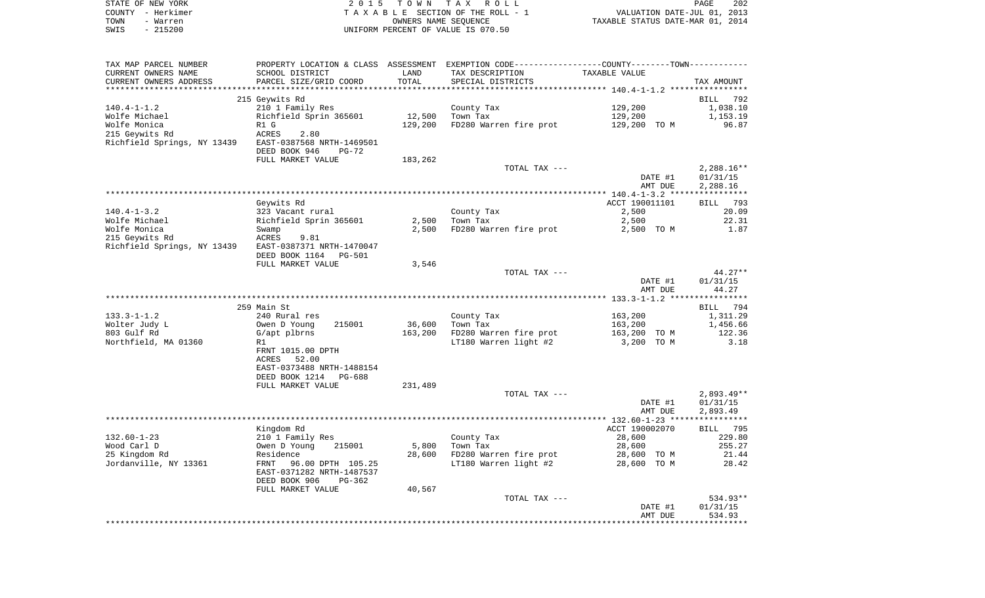|      | STATE OF NEW YORK | 2015 TOWN TAX ROLL                 | 202<br><b>PAGE</b>               |
|------|-------------------|------------------------------------|----------------------------------|
|      | COUNTY - Herkimer | TAXABLE SECTION OF THE ROLL - 1    | VALUATION DATE-JUL 01, 2013      |
| TOWN | - Warren          | OWNERS NAME SEOUENCE               | TAXABLE STATUS DATE-MAR 01, 2014 |
| SWIS | - 215200          | UNIFORM PERCENT OF VALUE IS 070.50 |                                  |

| TAX MAP PARCEL NUMBER                                 |                           |         | PROPERTY LOCATION & CLASS ASSESSMENT EXEMPTION CODE---------------COUNTY-------TOWN---------- |                |                    |
|-------------------------------------------------------|---------------------------|---------|-----------------------------------------------------------------------------------------------|----------------|--------------------|
| CURRENT OWNERS NAME                                   | SCHOOL DISTRICT           | LAND    | TAX DESCRIPTION                                                                               | TAXABLE VALUE  |                    |
| CURRENT OWNERS ADDRESS                                | PARCEL SIZE/GRID COORD    | TOTAL   | SPECIAL DISTRICTS                                                                             |                | TAX AMOUNT         |
|                                                       |                           |         |                                                                                               |                |                    |
|                                                       | 215 Geywits Rd            |         |                                                                                               |                | BILL 792           |
| $140.4 - 1 - 1.2$                                     | 210 1 Family Res          |         | County Tax                                                                                    | 129,200        | 1,038.10           |
|                                                       |                           |         |                                                                                               |                |                    |
| Wolfe Michael                                         | Richfield Sprin 365601    | 12,500  | Town Tax                                                                                      | 129,200        | 1,153.19           |
| Wolfe Monica                                          | R1 G                      | 129,200 | FD280 Warren fire prot 129,200 TO M                                                           |                | 96.87              |
| 215 Geywits Rd                                        | 2.80<br>ACRES             |         |                                                                                               |                |                    |
| Richfield Springs, NY 13439 EAST-0387568 NRTH-1469501 |                           |         |                                                                                               |                |                    |
|                                                       | DEED BOOK 946<br>$PG-72$  |         |                                                                                               |                |                    |
|                                                       | FULL MARKET VALUE         | 183,262 |                                                                                               |                |                    |
|                                                       |                           |         | TOTAL TAX ---                                                                                 |                | $2,288.16**$       |
|                                                       |                           |         |                                                                                               | DATE #1        | 01/31/15           |
|                                                       |                           |         |                                                                                               | AMT DUE        | 2,288.16           |
|                                                       |                           |         |                                                                                               |                |                    |
|                                                       | Geywits Rd                |         |                                                                                               | ACCT 190011101 | 793<br><b>BILL</b> |
| $140.4 - 1 - 3.2$                                     | 323 Vacant rural          |         | County Tax                                                                                    | 2,500          | 20.09              |
|                                                       |                           |         | Town Tax                                                                                      |                |                    |
| Wolfe Michael                                         | Richfield Sprin 365601    | 2,500   |                                                                                               | 2,500          | 22.31              |
| Wolfe Monica                                          | Swamp                     | 2,500   | FD280 Warren fire prot                                                                        | 2,500 TO M     | 1.87               |
| 215 Geywits Rd                                        | ACRES<br>9.81             |         |                                                                                               |                |                    |
| Richfield Springs, NY 13439                           | EAST-0387371 NRTH-1470047 |         |                                                                                               |                |                    |
|                                                       | DEED BOOK 1164 PG-501     |         |                                                                                               |                |                    |
|                                                       | FULL MARKET VALUE         | 3,546   |                                                                                               |                |                    |
|                                                       |                           |         | TOTAL TAX ---                                                                                 |                | $44.27**$          |
|                                                       |                           |         |                                                                                               | DATE #1        | 01/31/15           |
|                                                       |                           |         |                                                                                               | AMT DUE        | 44.27              |
|                                                       |                           |         |                                                                                               |                |                    |
|                                                       | 259 Main St               |         |                                                                                               |                | BILL 794           |
| $133.3 - 1 - 1.2$                                     | 240 Rural res             |         | County Tax                                                                                    | 163,200        | 1,311.29           |
| Wolter Judy L                                         | Owen D Young<br>215001    | 36,600  | Town Tax                                                                                      | 163,200        | 1,456.66           |
| 803 Gulf Rd                                           | G/apt plbrns              | 163,200 | FD280 Warren fire prot                                                                        | 163,200 TO M   | 122.36             |
| Northfield, MA 01360                                  | R1                        |         | LT180 Warren light #2                                                                         | 3,200 TO M     | 3.18               |
|                                                       |                           |         |                                                                                               |                |                    |
|                                                       | FRNT 1015.00 DPTH         |         |                                                                                               |                |                    |
|                                                       | 52.00<br>ACRES            |         |                                                                                               |                |                    |
|                                                       | EAST-0373488 NRTH-1488154 |         |                                                                                               |                |                    |
|                                                       | DEED BOOK 1214 PG-688     |         |                                                                                               |                |                    |
|                                                       | FULL MARKET VALUE         | 231,489 |                                                                                               |                |                    |
|                                                       |                           |         | TOTAL TAX ---                                                                                 |                | $2,893.49**$       |
|                                                       |                           |         |                                                                                               | DATE #1        | 01/31/15           |
|                                                       |                           |         |                                                                                               | AMT DUE        | 2,893.49           |
|                                                       |                           |         |                                                                                               |                |                    |
|                                                       | Kingdom Rd                |         |                                                                                               | ACCT 190002070 | <b>BILL</b> 795    |
| $132.60 - 1 - 23$                                     | 210 1 Family Res          |         | County Tax                                                                                    | 28,600         | 229.80             |
| Wood Carl D                                           | Owen D Young<br>215001    | 5,800   | Town Tax                                                                                      | 28,600         | 255.27             |
| 25 Kingdom Rd                                         | Residence                 | 28,600  | FD280 Warren fire prot                                                                        | 28,600 TO M    | 21.44              |
|                                                       |                           |         |                                                                                               |                |                    |
| Jordanville, NY 13361                                 | 96.00 DPTH 105.25<br>FRNT |         | LT180 Warren light #2                                                                         | 28,600 TO M    | 28.42              |
|                                                       | EAST-0371282 NRTH-1487537 |         |                                                                                               |                |                    |
|                                                       | DEED BOOK 906<br>PG-362   |         |                                                                                               |                |                    |
|                                                       | FULL MARKET VALUE         | 40,567  |                                                                                               |                |                    |
|                                                       |                           |         | TOTAL TAX ---                                                                                 |                | 534.93**           |
|                                                       |                           |         |                                                                                               | DATE #1        | 01/31/15           |
|                                                       |                           |         |                                                                                               | AMT DUE        | 534.93             |
|                                                       |                           |         |                                                                                               |                |                    |
|                                                       |                           |         |                                                                                               |                |                    |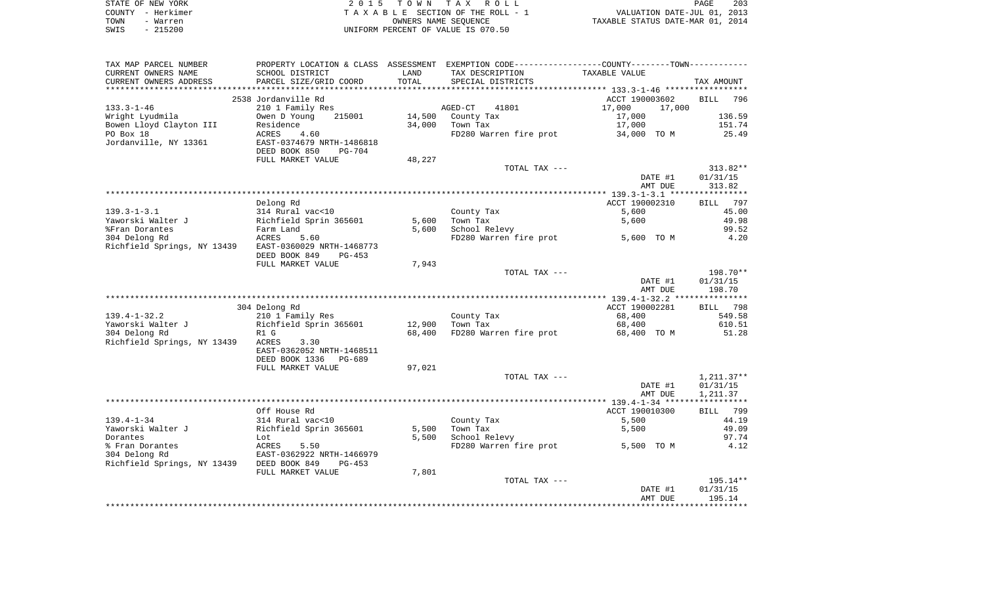|      | STATE OF NEW YORK | 2015 TOWN TAX ROLL                 | 203<br>PAGE                      |
|------|-------------------|------------------------------------|----------------------------------|
|      | COUNTY - Herkimer | TAXABLE SECTION OF THE ROLL - 1    | VALUATION DATE-JUL 01, 2013      |
| TOWN | - Warren          | OWNERS NAME SEOUENCE               | TAXABLE STATUS DATE-MAR 01, 2014 |
| SWIS | - 215200          | UNIFORM PERCENT OF VALUE IS 070.50 |                                  |

| SCHOOL DISTRICT                                       | LAND                                                                                                                                                                                                                                                                                                                                                                                                                                                                                                               | TAX DESCRIPTION                                                         | TAXABLE VALUE                                                                                                                                 |                                                                                                                                                                                                                                                                                                                                                                                                                                                                      |
|-------------------------------------------------------|--------------------------------------------------------------------------------------------------------------------------------------------------------------------------------------------------------------------------------------------------------------------------------------------------------------------------------------------------------------------------------------------------------------------------------------------------------------------------------------------------------------------|-------------------------------------------------------------------------|-----------------------------------------------------------------------------------------------------------------------------------------------|----------------------------------------------------------------------------------------------------------------------------------------------------------------------------------------------------------------------------------------------------------------------------------------------------------------------------------------------------------------------------------------------------------------------------------------------------------------------|
|                                                       | TOTAL                                                                                                                                                                                                                                                                                                                                                                                                                                                                                                              |                                                                         |                                                                                                                                               | TAX AMOUNT                                                                                                                                                                                                                                                                                                                                                                                                                                                           |
|                                                       |                                                                                                                                                                                                                                                                                                                                                                                                                                                                                                                    |                                                                         |                                                                                                                                               |                                                                                                                                                                                                                                                                                                                                                                                                                                                                      |
|                                                       |                                                                                                                                                                                                                                                                                                                                                                                                                                                                                                                    |                                                                         |                                                                                                                                               | BILL 796                                                                                                                                                                                                                                                                                                                                                                                                                                                             |
|                                                       |                                                                                                                                                                                                                                                                                                                                                                                                                                                                                                                    |                                                                         |                                                                                                                                               |                                                                                                                                                                                                                                                                                                                                                                                                                                                                      |
|                                                       |                                                                                                                                                                                                                                                                                                                                                                                                                                                                                                                    |                                                                         |                                                                                                                                               | 136.59                                                                                                                                                                                                                                                                                                                                                                                                                                                               |
|                                                       |                                                                                                                                                                                                                                                                                                                                                                                                                                                                                                                    |                                                                         |                                                                                                                                               | 151.74                                                                                                                                                                                                                                                                                                                                                                                                                                                               |
|                                                       |                                                                                                                                                                                                                                                                                                                                                                                                                                                                                                                    |                                                                         |                                                                                                                                               |                                                                                                                                                                                                                                                                                                                                                                                                                                                                      |
|                                                       |                                                                                                                                                                                                                                                                                                                                                                                                                                                                                                                    |                                                                         |                                                                                                                                               | 25.49                                                                                                                                                                                                                                                                                                                                                                                                                                                                |
|                                                       |                                                                                                                                                                                                                                                                                                                                                                                                                                                                                                                    |                                                                         |                                                                                                                                               |                                                                                                                                                                                                                                                                                                                                                                                                                                                                      |
|                                                       |                                                                                                                                                                                                                                                                                                                                                                                                                                                                                                                    |                                                                         |                                                                                                                                               |                                                                                                                                                                                                                                                                                                                                                                                                                                                                      |
|                                                       |                                                                                                                                                                                                                                                                                                                                                                                                                                                                                                                    |                                                                         |                                                                                                                                               |                                                                                                                                                                                                                                                                                                                                                                                                                                                                      |
|                                                       |                                                                                                                                                                                                                                                                                                                                                                                                                                                                                                                    |                                                                         |                                                                                                                                               | $313.82**$                                                                                                                                                                                                                                                                                                                                                                                                                                                           |
|                                                       |                                                                                                                                                                                                                                                                                                                                                                                                                                                                                                                    |                                                                         |                                                                                                                                               | 01/31/15                                                                                                                                                                                                                                                                                                                                                                                                                                                             |
|                                                       |                                                                                                                                                                                                                                                                                                                                                                                                                                                                                                                    |                                                                         | AMT DUE                                                                                                                                       | 313.82                                                                                                                                                                                                                                                                                                                                                                                                                                                               |
|                                                       |                                                                                                                                                                                                                                                                                                                                                                                                                                                                                                                    |                                                                         |                                                                                                                                               |                                                                                                                                                                                                                                                                                                                                                                                                                                                                      |
|                                                       |                                                                                                                                                                                                                                                                                                                                                                                                                                                                                                                    |                                                                         | ACCT 190002310                                                                                                                                | 797<br>BILL                                                                                                                                                                                                                                                                                                                                                                                                                                                          |
|                                                       |                                                                                                                                                                                                                                                                                                                                                                                                                                                                                                                    |                                                                         |                                                                                                                                               | 45.00                                                                                                                                                                                                                                                                                                                                                                                                                                                                |
|                                                       |                                                                                                                                                                                                                                                                                                                                                                                                                                                                                                                    |                                                                         |                                                                                                                                               | 49.98                                                                                                                                                                                                                                                                                                                                                                                                                                                                |
|                                                       |                                                                                                                                                                                                                                                                                                                                                                                                                                                                                                                    |                                                                         |                                                                                                                                               | 99.52                                                                                                                                                                                                                                                                                                                                                                                                                                                                |
|                                                       |                                                                                                                                                                                                                                                                                                                                                                                                                                                                                                                    |                                                                         |                                                                                                                                               | 4.20                                                                                                                                                                                                                                                                                                                                                                                                                                                                 |
|                                                       |                                                                                                                                                                                                                                                                                                                                                                                                                                                                                                                    |                                                                         |                                                                                                                                               |                                                                                                                                                                                                                                                                                                                                                                                                                                                                      |
|                                                       |                                                                                                                                                                                                                                                                                                                                                                                                                                                                                                                    |                                                                         |                                                                                                                                               |                                                                                                                                                                                                                                                                                                                                                                                                                                                                      |
|                                                       |                                                                                                                                                                                                                                                                                                                                                                                                                                                                                                                    |                                                                         |                                                                                                                                               |                                                                                                                                                                                                                                                                                                                                                                                                                                                                      |
|                                                       |                                                                                                                                                                                                                                                                                                                                                                                                                                                                                                                    |                                                                         |                                                                                                                                               |                                                                                                                                                                                                                                                                                                                                                                                                                                                                      |
|                                                       |                                                                                                                                                                                                                                                                                                                                                                                                                                                                                                                    |                                                                         |                                                                                                                                               | 198.70**                                                                                                                                                                                                                                                                                                                                                                                                                                                             |
|                                                       |                                                                                                                                                                                                                                                                                                                                                                                                                                                                                                                    |                                                                         |                                                                                                                                               | 01/31/15                                                                                                                                                                                                                                                                                                                                                                                                                                                             |
|                                                       |                                                                                                                                                                                                                                                                                                                                                                                                                                                                                                                    |                                                                         |                                                                                                                                               | 198.70                                                                                                                                                                                                                                                                                                                                                                                                                                                               |
|                                                       |                                                                                                                                                                                                                                                                                                                                                                                                                                                                                                                    |                                                                         |                                                                                                                                               |                                                                                                                                                                                                                                                                                                                                                                                                                                                                      |
| 304 Delong Rd                                         |                                                                                                                                                                                                                                                                                                                                                                                                                                                                                                                    |                                                                         |                                                                                                                                               | BILL 798                                                                                                                                                                                                                                                                                                                                                                                                                                                             |
| 210 1 Family Res                                      |                                                                                                                                                                                                                                                                                                                                                                                                                                                                                                                    | County Tax                                                              | 68,400                                                                                                                                        | 549.58                                                                                                                                                                                                                                                                                                                                                                                                                                                               |
| Richfield Sprin 365601                                | 12,900                                                                                                                                                                                                                                                                                                                                                                                                                                                                                                             | Town Tax                                                                | 68,400                                                                                                                                        | 610.51                                                                                                                                                                                                                                                                                                                                                                                                                                                               |
| R1 G                                                  | 68,400                                                                                                                                                                                                                                                                                                                                                                                                                                                                                                             |                                                                         |                                                                                                                                               | 51.28                                                                                                                                                                                                                                                                                                                                                                                                                                                                |
|                                                       |                                                                                                                                                                                                                                                                                                                                                                                                                                                                                                                    |                                                                         |                                                                                                                                               |                                                                                                                                                                                                                                                                                                                                                                                                                                                                      |
|                                                       |                                                                                                                                                                                                                                                                                                                                                                                                                                                                                                                    |                                                                         |                                                                                                                                               |                                                                                                                                                                                                                                                                                                                                                                                                                                                                      |
|                                                       |                                                                                                                                                                                                                                                                                                                                                                                                                                                                                                                    |                                                                         |                                                                                                                                               |                                                                                                                                                                                                                                                                                                                                                                                                                                                                      |
|                                                       |                                                                                                                                                                                                                                                                                                                                                                                                                                                                                                                    |                                                                         |                                                                                                                                               |                                                                                                                                                                                                                                                                                                                                                                                                                                                                      |
|                                                       |                                                                                                                                                                                                                                                                                                                                                                                                                                                                                                                    |                                                                         |                                                                                                                                               | $1,211.37**$                                                                                                                                                                                                                                                                                                                                                                                                                                                         |
|                                                       |                                                                                                                                                                                                                                                                                                                                                                                                                                                                                                                    |                                                                         |                                                                                                                                               |                                                                                                                                                                                                                                                                                                                                                                                                                                                                      |
|                                                       |                                                                                                                                                                                                                                                                                                                                                                                                                                                                                                                    |                                                                         |                                                                                                                                               | 01/31/15                                                                                                                                                                                                                                                                                                                                                                                                                                                             |
|                                                       |                                                                                                                                                                                                                                                                                                                                                                                                                                                                                                                    |                                                                         |                                                                                                                                               | 1,211.37                                                                                                                                                                                                                                                                                                                                                                                                                                                             |
|                                                       |                                                                                                                                                                                                                                                                                                                                                                                                                                                                                                                    |                                                                         |                                                                                                                                               |                                                                                                                                                                                                                                                                                                                                                                                                                                                                      |
|                                                       |                                                                                                                                                                                                                                                                                                                                                                                                                                                                                                                    |                                                                         |                                                                                                                                               |                                                                                                                                                                                                                                                                                                                                                                                                                                                                      |
| Off House Rd                                          |                                                                                                                                                                                                                                                                                                                                                                                                                                                                                                                    |                                                                         | ACCT 190010300                                                                                                                                | BILL 799                                                                                                                                                                                                                                                                                                                                                                                                                                                             |
| 314 Rural vac<10                                      |                                                                                                                                                                                                                                                                                                                                                                                                                                                                                                                    | County Tax                                                              | 5,500                                                                                                                                         | 44.19                                                                                                                                                                                                                                                                                                                                                                                                                                                                |
|                                                       | 5,500                                                                                                                                                                                                                                                                                                                                                                                                                                                                                                              | Town Tax                                                                | 5,500                                                                                                                                         | 49.09                                                                                                                                                                                                                                                                                                                                                                                                                                                                |
| Richfield Sprin 365601<br>Lot                         | 5,500                                                                                                                                                                                                                                                                                                                                                                                                                                                                                                              | School Relevy                                                           |                                                                                                                                               | 97.74                                                                                                                                                                                                                                                                                                                                                                                                                                                                |
| 5.50                                                  |                                                                                                                                                                                                                                                                                                                                                                                                                                                                                                                    | FD280 Warren fire prot                                                  | 5,500 TO M                                                                                                                                    | 4.12                                                                                                                                                                                                                                                                                                                                                                                                                                                                 |
| <b>ACRES</b><br>EAST-0362922 NRTH-1466979             |                                                                                                                                                                                                                                                                                                                                                                                                                                                                                                                    |                                                                         |                                                                                                                                               |                                                                                                                                                                                                                                                                                                                                                                                                                                                                      |
|                                                       |                                                                                                                                                                                                                                                                                                                                                                                                                                                                                                                    |                                                                         |                                                                                                                                               |                                                                                                                                                                                                                                                                                                                                                                                                                                                                      |
| Richfield Springs, NY 13439 DEED BOOK 849<br>$PG-453$ |                                                                                                                                                                                                                                                                                                                                                                                                                                                                                                                    |                                                                         |                                                                                                                                               |                                                                                                                                                                                                                                                                                                                                                                                                                                                                      |
| FULL MARKET VALUE                                     | 7,801                                                                                                                                                                                                                                                                                                                                                                                                                                                                                                              |                                                                         |                                                                                                                                               |                                                                                                                                                                                                                                                                                                                                                                                                                                                                      |
|                                                       |                                                                                                                                                                                                                                                                                                                                                                                                                                                                                                                    | TOTAL TAX ---                                                           |                                                                                                                                               | 195.14**                                                                                                                                                                                                                                                                                                                                                                                                                                                             |
|                                                       |                                                                                                                                                                                                                                                                                                                                                                                                                                                                                                                    |                                                                         | DATE #1<br>AMT DUE                                                                                                                            | 01/31/15<br>195.14                                                                                                                                                                                                                                                                                                                                                                                                                                                   |
|                                                       | PARCEL SIZE/GRID COORD<br>2538 Jordanville Rd<br>210 1 Family Res<br>Owen D Young<br>215001<br>Residence<br>4.60<br>ACRES<br>EAST-0374679 NRTH-1486818<br>DEED BOOK 850<br>PG-704<br>FULL MARKET VALUE<br>Delong Rd<br>314 Rural vac<10<br>Farm Land<br>ACRES<br>ACRES<br>5.60<br>Richfield Springs, NY 13439 EAST-0360029 NRTH-1468773<br>DEED BOOK 849<br>PG-453<br>FULL MARKET VALUE<br>Richfield Springs, NY 13439 ACRES<br>3.30<br>EAST-0362052 NRTH-1468511<br>DEED BOOK 1336<br>PG-689<br>FULL MARKET VALUE | 14,500<br>34,000<br>48,227<br>Richfield Sprin 365601<br>7,943<br>97,021 | SPECIAL DISTRICTS<br>AGED-CT<br>41801<br>County Tax<br>Town Tax<br>TOTAL TAX ---<br>County Tax<br>5,600<br>Town Tax<br>5,600<br>School Relevy | PROPERTY LOCATION & CLASS ASSESSMENT EXEMPTION CODE---------------COUNTY-------TOWN----------<br>******************** 133.3-1-46 ******************<br>ACCT 190003602<br>17,000<br>17,000<br>17,000<br>17,000<br>FD280 Warren fire prot<br>34,000 TO M<br>DATE #1<br>5,600<br>5,600<br>5,600 TO M<br>FD280 Warren fire prot<br>TOTAL TAX ---<br>DATE #1<br>AMT DUE<br>ACCT 190002281<br>FD280 Warren fire prot<br>68,400 TO M<br>TOTAL TAX ---<br>DATE #1<br>AMT DUE |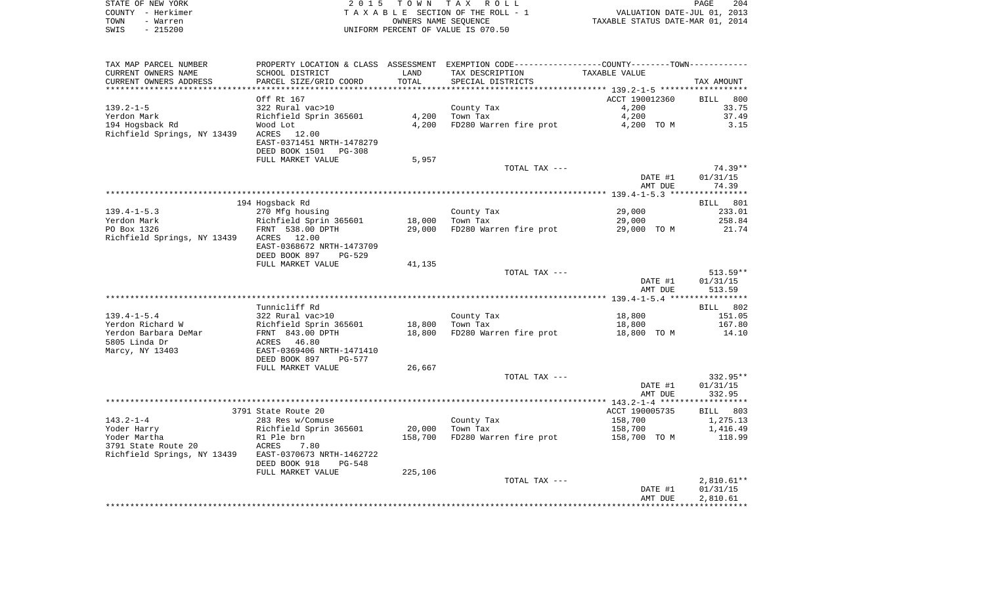|      | STATE OF NEW YORK | 2015 TOWN TAX ROLL                 | 204<br>PAGE                      |
|------|-------------------|------------------------------------|----------------------------------|
|      | COUNTY - Herkimer | TAXABLE SECTION OF THE ROLL - 1    | VALUATION DATE-JUL 01, 2013      |
| TOWN | – Warren          | OWNERS NAME SEOUENCE               | TAXABLE STATUS DATE-MAR 01, 2014 |
| SWIS | - 215200          | UNIFORM PERCENT OF VALUE IS 070.50 |                                  |

| CURRENT OWNERS NAME<br>SCHOOL DISTRICT<br>LAND<br>TAX DESCRIPTION<br>TAXABLE VALUE<br>PARCEL SIZE/GRID COORD<br>TOTAL<br>CURRENT OWNERS ADDRESS<br>SPECIAL DISTRICTS<br>TAX AMOUNT<br>ACCT 190012360<br>Off Rt 167<br>BILL 800<br>$139.2 - 1 - 5$<br>322 Rural vac>10<br>4,200<br>33.75<br>County Tax<br>Richfield Sprin 365601<br>4,200<br>Town Tax<br>4,200<br>37.49<br>Yerdon Mark<br>194 Hogsback Rd<br>4,200<br>FD280 Warren fire prot<br>4,200 TO M<br>Wood Lot<br>3.15<br>Richfield Springs, NY 13439<br>ACRES 12.00<br>EAST-0371451 NRTH-1478279<br>DEED BOOK 1501 PG-308<br>FULL MARKET VALUE<br>5,957<br>TOTAL TAX ---<br>DATE #1<br>01/31/15<br>74.39<br>AMT DUE<br>194 Hogsback Rd<br>BILL 801<br>$139.4 - 1 - 5.3$<br>29,000<br>233.01<br>270 Mfg housing<br>County Tax<br>Richfield Sprin 365601<br>18,000 Town Tax<br>29,000<br>258.84<br>29,000 FD280 Warren fire prot<br>PO Box 1326<br>FRNT 538.00 DPTH<br>29,000 TO M<br>21.74<br>Richfield Springs, NY 13439 ACRES 12.00<br>EAST-0368672 NRTH-1473709<br>DEED BOOK 897<br>PG-529<br>FULL MARKET VALUE<br>41,135<br>TOTAL TAX ---<br>DATE #1<br>01/31/15<br>AMT DUE<br>513.59<br>Tunnicliff Rd<br>BILL 802<br>$139.4 - 1 - 5.4$<br>322 Rural vac>10<br>County Tax<br>18,800<br>151.05<br>Richfield Sprin 365601<br>18,800 Town Tax<br>Yerdon Richard W<br>18,800<br>167.80<br>18,800<br>FD280 Warren fire prot<br>Yerdon Barbara DeMar<br>FRNT 843.00 DPTH<br>18,800 TO M<br>14.10<br>5805 Linda Dr<br>46.80<br>ACRES<br>EAST-0369406 NRTH-1471410<br>DEED BOOK 897<br>PG-577<br>FULL MARKET VALUE<br>26,667<br>TOTAL TAX ---<br>332.95**<br>01/31/15<br>DATE #1<br>AMT DUE<br>332.95<br>3791 State Route 20<br>ACCT 190005735<br>BILL 803<br>$143.2 - 1 - 4$<br>158,700<br>1,275.13<br>283 Res w/Comuse<br>County Tax<br>20,000 Town Tax<br>1,416.49<br>Yoder Harry<br>Richfield Sprin 365601<br>158,700<br>FD280 Warren fire prot 158,700 TO M<br>Yoder Martha<br>R1 Ple brn<br>ACRES      7.80<br>158,700<br>118.99<br>3791 State Route 20<br>Richfield Springs, NY 13439 EAST-0370673 NRTH-1462722<br>DEED BOOK 918<br><b>PG-548</b><br>225,106<br>FULL MARKET VALUE<br>TOTAL TAX ---<br>DATE #1<br>01/31/15<br>2,810.61<br>AMT DUE | TAX MAP PARCEL NUMBER | PROPERTY LOCATION & CLASS ASSESSMENT EXEMPTION CODE---------------COUNTY-------TOWN---------- |  |  |
|------------------------------------------------------------------------------------------------------------------------------------------------------------------------------------------------------------------------------------------------------------------------------------------------------------------------------------------------------------------------------------------------------------------------------------------------------------------------------------------------------------------------------------------------------------------------------------------------------------------------------------------------------------------------------------------------------------------------------------------------------------------------------------------------------------------------------------------------------------------------------------------------------------------------------------------------------------------------------------------------------------------------------------------------------------------------------------------------------------------------------------------------------------------------------------------------------------------------------------------------------------------------------------------------------------------------------------------------------------------------------------------------------------------------------------------------------------------------------------------------------------------------------------------------------------------------------------------------------------------------------------------------------------------------------------------------------------------------------------------------------------------------------------------------------------------------------------------------------------------------------------------------------------------------------------------------------------------------------------------------------------------------------------------------------------------------------------------------------------------------------------------------------------------------------------------------------------|-----------------------|-----------------------------------------------------------------------------------------------|--|--|
|                                                                                                                                                                                                                                                                                                                                                                                                                                                                                                                                                                                                                                                                                                                                                                                                                                                                                                                                                                                                                                                                                                                                                                                                                                                                                                                                                                                                                                                                                                                                                                                                                                                                                                                                                                                                                                                                                                                                                                                                                                                                                                                                                                                                            |                       |                                                                                               |  |  |
|                                                                                                                                                                                                                                                                                                                                                                                                                                                                                                                                                                                                                                                                                                                                                                                                                                                                                                                                                                                                                                                                                                                                                                                                                                                                                                                                                                                                                                                                                                                                                                                                                                                                                                                                                                                                                                                                                                                                                                                                                                                                                                                                                                                                            |                       |                                                                                               |  |  |
|                                                                                                                                                                                                                                                                                                                                                                                                                                                                                                                                                                                                                                                                                                                                                                                                                                                                                                                                                                                                                                                                                                                                                                                                                                                                                                                                                                                                                                                                                                                                                                                                                                                                                                                                                                                                                                                                                                                                                                                                                                                                                                                                                                                                            |                       |                                                                                               |  |  |
| 74.39**<br>$513.59**$<br>$2,810.61**$                                                                                                                                                                                                                                                                                                                                                                                                                                                                                                                                                                                                                                                                                                                                                                                                                                                                                                                                                                                                                                                                                                                                                                                                                                                                                                                                                                                                                                                                                                                                                                                                                                                                                                                                                                                                                                                                                                                                                                                                                                                                                                                                                                      |                       |                                                                                               |  |  |
|                                                                                                                                                                                                                                                                                                                                                                                                                                                                                                                                                                                                                                                                                                                                                                                                                                                                                                                                                                                                                                                                                                                                                                                                                                                                                                                                                                                                                                                                                                                                                                                                                                                                                                                                                                                                                                                                                                                                                                                                                                                                                                                                                                                                            |                       |                                                                                               |  |  |
|                                                                                                                                                                                                                                                                                                                                                                                                                                                                                                                                                                                                                                                                                                                                                                                                                                                                                                                                                                                                                                                                                                                                                                                                                                                                                                                                                                                                                                                                                                                                                                                                                                                                                                                                                                                                                                                                                                                                                                                                                                                                                                                                                                                                            |                       |                                                                                               |  |  |
|                                                                                                                                                                                                                                                                                                                                                                                                                                                                                                                                                                                                                                                                                                                                                                                                                                                                                                                                                                                                                                                                                                                                                                                                                                                                                                                                                                                                                                                                                                                                                                                                                                                                                                                                                                                                                                                                                                                                                                                                                                                                                                                                                                                                            |                       |                                                                                               |  |  |
|                                                                                                                                                                                                                                                                                                                                                                                                                                                                                                                                                                                                                                                                                                                                                                                                                                                                                                                                                                                                                                                                                                                                                                                                                                                                                                                                                                                                                                                                                                                                                                                                                                                                                                                                                                                                                                                                                                                                                                                                                                                                                                                                                                                                            |                       |                                                                                               |  |  |
|                                                                                                                                                                                                                                                                                                                                                                                                                                                                                                                                                                                                                                                                                                                                                                                                                                                                                                                                                                                                                                                                                                                                                                                                                                                                                                                                                                                                                                                                                                                                                                                                                                                                                                                                                                                                                                                                                                                                                                                                                                                                                                                                                                                                            |                       |                                                                                               |  |  |
|                                                                                                                                                                                                                                                                                                                                                                                                                                                                                                                                                                                                                                                                                                                                                                                                                                                                                                                                                                                                                                                                                                                                                                                                                                                                                                                                                                                                                                                                                                                                                                                                                                                                                                                                                                                                                                                                                                                                                                                                                                                                                                                                                                                                            |                       |                                                                                               |  |  |
|                                                                                                                                                                                                                                                                                                                                                                                                                                                                                                                                                                                                                                                                                                                                                                                                                                                                                                                                                                                                                                                                                                                                                                                                                                                                                                                                                                                                                                                                                                                                                                                                                                                                                                                                                                                                                                                                                                                                                                                                                                                                                                                                                                                                            |                       |                                                                                               |  |  |
|                                                                                                                                                                                                                                                                                                                                                                                                                                                                                                                                                                                                                                                                                                                                                                                                                                                                                                                                                                                                                                                                                                                                                                                                                                                                                                                                                                                                                                                                                                                                                                                                                                                                                                                                                                                                                                                                                                                                                                                                                                                                                                                                                                                                            |                       |                                                                                               |  |  |
|                                                                                                                                                                                                                                                                                                                                                                                                                                                                                                                                                                                                                                                                                                                                                                                                                                                                                                                                                                                                                                                                                                                                                                                                                                                                                                                                                                                                                                                                                                                                                                                                                                                                                                                                                                                                                                                                                                                                                                                                                                                                                                                                                                                                            |                       |                                                                                               |  |  |
|                                                                                                                                                                                                                                                                                                                                                                                                                                                                                                                                                                                                                                                                                                                                                                                                                                                                                                                                                                                                                                                                                                                                                                                                                                                                                                                                                                                                                                                                                                                                                                                                                                                                                                                                                                                                                                                                                                                                                                                                                                                                                                                                                                                                            |                       |                                                                                               |  |  |
|                                                                                                                                                                                                                                                                                                                                                                                                                                                                                                                                                                                                                                                                                                                                                                                                                                                                                                                                                                                                                                                                                                                                                                                                                                                                                                                                                                                                                                                                                                                                                                                                                                                                                                                                                                                                                                                                                                                                                                                                                                                                                                                                                                                                            |                       |                                                                                               |  |  |
|                                                                                                                                                                                                                                                                                                                                                                                                                                                                                                                                                                                                                                                                                                                                                                                                                                                                                                                                                                                                                                                                                                                                                                                                                                                                                                                                                                                                                                                                                                                                                                                                                                                                                                                                                                                                                                                                                                                                                                                                                                                                                                                                                                                                            |                       |                                                                                               |  |  |
|                                                                                                                                                                                                                                                                                                                                                                                                                                                                                                                                                                                                                                                                                                                                                                                                                                                                                                                                                                                                                                                                                                                                                                                                                                                                                                                                                                                                                                                                                                                                                                                                                                                                                                                                                                                                                                                                                                                                                                                                                                                                                                                                                                                                            |                       |                                                                                               |  |  |
|                                                                                                                                                                                                                                                                                                                                                                                                                                                                                                                                                                                                                                                                                                                                                                                                                                                                                                                                                                                                                                                                                                                                                                                                                                                                                                                                                                                                                                                                                                                                                                                                                                                                                                                                                                                                                                                                                                                                                                                                                                                                                                                                                                                                            |                       |                                                                                               |  |  |
|                                                                                                                                                                                                                                                                                                                                                                                                                                                                                                                                                                                                                                                                                                                                                                                                                                                                                                                                                                                                                                                                                                                                                                                                                                                                                                                                                                                                                                                                                                                                                                                                                                                                                                                                                                                                                                                                                                                                                                                                                                                                                                                                                                                                            | Yerdon Mark           |                                                                                               |  |  |
|                                                                                                                                                                                                                                                                                                                                                                                                                                                                                                                                                                                                                                                                                                                                                                                                                                                                                                                                                                                                                                                                                                                                                                                                                                                                                                                                                                                                                                                                                                                                                                                                                                                                                                                                                                                                                                                                                                                                                                                                                                                                                                                                                                                                            |                       |                                                                                               |  |  |
|                                                                                                                                                                                                                                                                                                                                                                                                                                                                                                                                                                                                                                                                                                                                                                                                                                                                                                                                                                                                                                                                                                                                                                                                                                                                                                                                                                                                                                                                                                                                                                                                                                                                                                                                                                                                                                                                                                                                                                                                                                                                                                                                                                                                            |                       |                                                                                               |  |  |
|                                                                                                                                                                                                                                                                                                                                                                                                                                                                                                                                                                                                                                                                                                                                                                                                                                                                                                                                                                                                                                                                                                                                                                                                                                                                                                                                                                                                                                                                                                                                                                                                                                                                                                                                                                                                                                                                                                                                                                                                                                                                                                                                                                                                            |                       |                                                                                               |  |  |
|                                                                                                                                                                                                                                                                                                                                                                                                                                                                                                                                                                                                                                                                                                                                                                                                                                                                                                                                                                                                                                                                                                                                                                                                                                                                                                                                                                                                                                                                                                                                                                                                                                                                                                                                                                                                                                                                                                                                                                                                                                                                                                                                                                                                            |                       |                                                                                               |  |  |
|                                                                                                                                                                                                                                                                                                                                                                                                                                                                                                                                                                                                                                                                                                                                                                                                                                                                                                                                                                                                                                                                                                                                                                                                                                                                                                                                                                                                                                                                                                                                                                                                                                                                                                                                                                                                                                                                                                                                                                                                                                                                                                                                                                                                            |                       |                                                                                               |  |  |
|                                                                                                                                                                                                                                                                                                                                                                                                                                                                                                                                                                                                                                                                                                                                                                                                                                                                                                                                                                                                                                                                                                                                                                                                                                                                                                                                                                                                                                                                                                                                                                                                                                                                                                                                                                                                                                                                                                                                                                                                                                                                                                                                                                                                            |                       |                                                                                               |  |  |
|                                                                                                                                                                                                                                                                                                                                                                                                                                                                                                                                                                                                                                                                                                                                                                                                                                                                                                                                                                                                                                                                                                                                                                                                                                                                                                                                                                                                                                                                                                                                                                                                                                                                                                                                                                                                                                                                                                                                                                                                                                                                                                                                                                                                            |                       |                                                                                               |  |  |
|                                                                                                                                                                                                                                                                                                                                                                                                                                                                                                                                                                                                                                                                                                                                                                                                                                                                                                                                                                                                                                                                                                                                                                                                                                                                                                                                                                                                                                                                                                                                                                                                                                                                                                                                                                                                                                                                                                                                                                                                                                                                                                                                                                                                            |                       |                                                                                               |  |  |
|                                                                                                                                                                                                                                                                                                                                                                                                                                                                                                                                                                                                                                                                                                                                                                                                                                                                                                                                                                                                                                                                                                                                                                                                                                                                                                                                                                                                                                                                                                                                                                                                                                                                                                                                                                                                                                                                                                                                                                                                                                                                                                                                                                                                            |                       |                                                                                               |  |  |
|                                                                                                                                                                                                                                                                                                                                                                                                                                                                                                                                                                                                                                                                                                                                                                                                                                                                                                                                                                                                                                                                                                                                                                                                                                                                                                                                                                                                                                                                                                                                                                                                                                                                                                                                                                                                                                                                                                                                                                                                                                                                                                                                                                                                            |                       |                                                                                               |  |  |
|                                                                                                                                                                                                                                                                                                                                                                                                                                                                                                                                                                                                                                                                                                                                                                                                                                                                                                                                                                                                                                                                                                                                                                                                                                                                                                                                                                                                                                                                                                                                                                                                                                                                                                                                                                                                                                                                                                                                                                                                                                                                                                                                                                                                            |                       |                                                                                               |  |  |
|                                                                                                                                                                                                                                                                                                                                                                                                                                                                                                                                                                                                                                                                                                                                                                                                                                                                                                                                                                                                                                                                                                                                                                                                                                                                                                                                                                                                                                                                                                                                                                                                                                                                                                                                                                                                                                                                                                                                                                                                                                                                                                                                                                                                            |                       |                                                                                               |  |  |
|                                                                                                                                                                                                                                                                                                                                                                                                                                                                                                                                                                                                                                                                                                                                                                                                                                                                                                                                                                                                                                                                                                                                                                                                                                                                                                                                                                                                                                                                                                                                                                                                                                                                                                                                                                                                                                                                                                                                                                                                                                                                                                                                                                                                            |                       |                                                                                               |  |  |
|                                                                                                                                                                                                                                                                                                                                                                                                                                                                                                                                                                                                                                                                                                                                                                                                                                                                                                                                                                                                                                                                                                                                                                                                                                                                                                                                                                                                                                                                                                                                                                                                                                                                                                                                                                                                                                                                                                                                                                                                                                                                                                                                                                                                            |                       |                                                                                               |  |  |
|                                                                                                                                                                                                                                                                                                                                                                                                                                                                                                                                                                                                                                                                                                                                                                                                                                                                                                                                                                                                                                                                                                                                                                                                                                                                                                                                                                                                                                                                                                                                                                                                                                                                                                                                                                                                                                                                                                                                                                                                                                                                                                                                                                                                            |                       |                                                                                               |  |  |
|                                                                                                                                                                                                                                                                                                                                                                                                                                                                                                                                                                                                                                                                                                                                                                                                                                                                                                                                                                                                                                                                                                                                                                                                                                                                                                                                                                                                                                                                                                                                                                                                                                                                                                                                                                                                                                                                                                                                                                                                                                                                                                                                                                                                            | Marcy, NY 13403       |                                                                                               |  |  |
|                                                                                                                                                                                                                                                                                                                                                                                                                                                                                                                                                                                                                                                                                                                                                                                                                                                                                                                                                                                                                                                                                                                                                                                                                                                                                                                                                                                                                                                                                                                                                                                                                                                                                                                                                                                                                                                                                                                                                                                                                                                                                                                                                                                                            |                       |                                                                                               |  |  |
|                                                                                                                                                                                                                                                                                                                                                                                                                                                                                                                                                                                                                                                                                                                                                                                                                                                                                                                                                                                                                                                                                                                                                                                                                                                                                                                                                                                                                                                                                                                                                                                                                                                                                                                                                                                                                                                                                                                                                                                                                                                                                                                                                                                                            |                       |                                                                                               |  |  |
|                                                                                                                                                                                                                                                                                                                                                                                                                                                                                                                                                                                                                                                                                                                                                                                                                                                                                                                                                                                                                                                                                                                                                                                                                                                                                                                                                                                                                                                                                                                                                                                                                                                                                                                                                                                                                                                                                                                                                                                                                                                                                                                                                                                                            |                       |                                                                                               |  |  |
|                                                                                                                                                                                                                                                                                                                                                                                                                                                                                                                                                                                                                                                                                                                                                                                                                                                                                                                                                                                                                                                                                                                                                                                                                                                                                                                                                                                                                                                                                                                                                                                                                                                                                                                                                                                                                                                                                                                                                                                                                                                                                                                                                                                                            |                       |                                                                                               |  |  |
|                                                                                                                                                                                                                                                                                                                                                                                                                                                                                                                                                                                                                                                                                                                                                                                                                                                                                                                                                                                                                                                                                                                                                                                                                                                                                                                                                                                                                                                                                                                                                                                                                                                                                                                                                                                                                                                                                                                                                                                                                                                                                                                                                                                                            |                       |                                                                                               |  |  |
|                                                                                                                                                                                                                                                                                                                                                                                                                                                                                                                                                                                                                                                                                                                                                                                                                                                                                                                                                                                                                                                                                                                                                                                                                                                                                                                                                                                                                                                                                                                                                                                                                                                                                                                                                                                                                                                                                                                                                                                                                                                                                                                                                                                                            |                       |                                                                                               |  |  |
|                                                                                                                                                                                                                                                                                                                                                                                                                                                                                                                                                                                                                                                                                                                                                                                                                                                                                                                                                                                                                                                                                                                                                                                                                                                                                                                                                                                                                                                                                                                                                                                                                                                                                                                                                                                                                                                                                                                                                                                                                                                                                                                                                                                                            |                       |                                                                                               |  |  |
|                                                                                                                                                                                                                                                                                                                                                                                                                                                                                                                                                                                                                                                                                                                                                                                                                                                                                                                                                                                                                                                                                                                                                                                                                                                                                                                                                                                                                                                                                                                                                                                                                                                                                                                                                                                                                                                                                                                                                                                                                                                                                                                                                                                                            |                       |                                                                                               |  |  |
|                                                                                                                                                                                                                                                                                                                                                                                                                                                                                                                                                                                                                                                                                                                                                                                                                                                                                                                                                                                                                                                                                                                                                                                                                                                                                                                                                                                                                                                                                                                                                                                                                                                                                                                                                                                                                                                                                                                                                                                                                                                                                                                                                                                                            |                       |                                                                                               |  |  |
|                                                                                                                                                                                                                                                                                                                                                                                                                                                                                                                                                                                                                                                                                                                                                                                                                                                                                                                                                                                                                                                                                                                                                                                                                                                                                                                                                                                                                                                                                                                                                                                                                                                                                                                                                                                                                                                                                                                                                                                                                                                                                                                                                                                                            |                       |                                                                                               |  |  |
|                                                                                                                                                                                                                                                                                                                                                                                                                                                                                                                                                                                                                                                                                                                                                                                                                                                                                                                                                                                                                                                                                                                                                                                                                                                                                                                                                                                                                                                                                                                                                                                                                                                                                                                                                                                                                                                                                                                                                                                                                                                                                                                                                                                                            |                       |                                                                                               |  |  |
|                                                                                                                                                                                                                                                                                                                                                                                                                                                                                                                                                                                                                                                                                                                                                                                                                                                                                                                                                                                                                                                                                                                                                                                                                                                                                                                                                                                                                                                                                                                                                                                                                                                                                                                                                                                                                                                                                                                                                                                                                                                                                                                                                                                                            |                       |                                                                                               |  |  |
|                                                                                                                                                                                                                                                                                                                                                                                                                                                                                                                                                                                                                                                                                                                                                                                                                                                                                                                                                                                                                                                                                                                                                                                                                                                                                                                                                                                                                                                                                                                                                                                                                                                                                                                                                                                                                                                                                                                                                                                                                                                                                                                                                                                                            |                       |                                                                                               |  |  |
|                                                                                                                                                                                                                                                                                                                                                                                                                                                                                                                                                                                                                                                                                                                                                                                                                                                                                                                                                                                                                                                                                                                                                                                                                                                                                                                                                                                                                                                                                                                                                                                                                                                                                                                                                                                                                                                                                                                                                                                                                                                                                                                                                                                                            |                       |                                                                                               |  |  |
|                                                                                                                                                                                                                                                                                                                                                                                                                                                                                                                                                                                                                                                                                                                                                                                                                                                                                                                                                                                                                                                                                                                                                                                                                                                                                                                                                                                                                                                                                                                                                                                                                                                                                                                                                                                                                                                                                                                                                                                                                                                                                                                                                                                                            |                       |                                                                                               |  |  |
|                                                                                                                                                                                                                                                                                                                                                                                                                                                                                                                                                                                                                                                                                                                                                                                                                                                                                                                                                                                                                                                                                                                                                                                                                                                                                                                                                                                                                                                                                                                                                                                                                                                                                                                                                                                                                                                                                                                                                                                                                                                                                                                                                                                                            |                       |                                                                                               |  |  |
|                                                                                                                                                                                                                                                                                                                                                                                                                                                                                                                                                                                                                                                                                                                                                                                                                                                                                                                                                                                                                                                                                                                                                                                                                                                                                                                                                                                                                                                                                                                                                                                                                                                                                                                                                                                                                                                                                                                                                                                                                                                                                                                                                                                                            |                       |                                                                                               |  |  |
|                                                                                                                                                                                                                                                                                                                                                                                                                                                                                                                                                                                                                                                                                                                                                                                                                                                                                                                                                                                                                                                                                                                                                                                                                                                                                                                                                                                                                                                                                                                                                                                                                                                                                                                                                                                                                                                                                                                                                                                                                                                                                                                                                                                                            |                       |                                                                                               |  |  |
|                                                                                                                                                                                                                                                                                                                                                                                                                                                                                                                                                                                                                                                                                                                                                                                                                                                                                                                                                                                                                                                                                                                                                                                                                                                                                                                                                                                                                                                                                                                                                                                                                                                                                                                                                                                                                                                                                                                                                                                                                                                                                                                                                                                                            |                       |                                                                                               |  |  |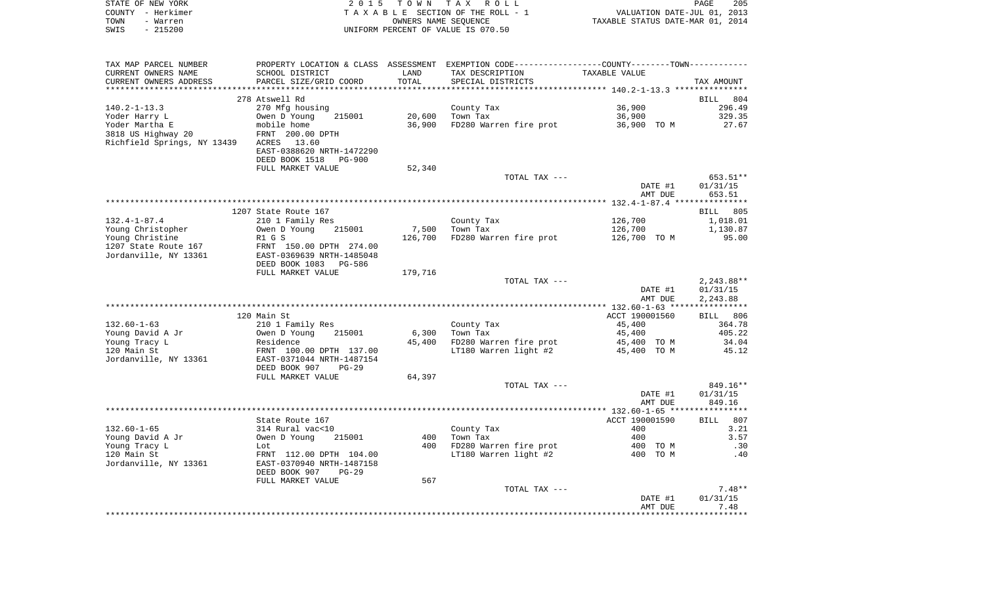|      | STATE OF NEW YORK | 2015 TOWN TAX ROLL                 | PAGE 205                         |
|------|-------------------|------------------------------------|----------------------------------|
|      | COUNTY - Herkimer | TAXABLE SECTION OF THE ROLL - 1    | VALUATION DATE-JUL 01, 2013      |
| TOWN | - Warren          | OWNERS NAME SEOUENCE               | TAXABLE STATUS DATE-MAR 01, 2014 |
| SWIS | $-215200$         | UNIFORM PERCENT OF VALUE IS 070.50 |                                  |
|      |                   |                                    |                                  |
|      |                   |                                    |                                  |
|      |                   |                                    |                                  |

| TAX MAP PARCEL NUMBER       | PROPERTY LOCATION & CLASS ASSESSMENT EXEMPTION CODE----------------COUNTY-------TOWN---------- |         |                        |                |              |
|-----------------------------|------------------------------------------------------------------------------------------------|---------|------------------------|----------------|--------------|
| CURRENT OWNERS NAME         | SCHOOL DISTRICT                                                                                | LAND    | TAX DESCRIPTION        | TAXABLE VALUE  |              |
| CURRENT OWNERS ADDRESS      | PARCEL SIZE/GRID COORD                                                                         | TOTAL   | SPECIAL DISTRICTS      |                | TAX AMOUNT   |
|                             |                                                                                                |         |                        |                |              |
|                             | 278 Atswell Rd                                                                                 |         |                        |                | BILL 804     |
| $140.2 - 1 - 13.3$          | 270 Mfg housing                                                                                |         | County Tax             | 36,900         | 296.49       |
| Yoder Harry L               | Owen D Young<br>215001                                                                         | 20,600  | Town Tax               | 36,900         | 329.35       |
| Yoder Martha E              | mobile home                                                                                    | 36,900  | FD280 Warren fire prot | 36,900 TO M    | 27.67        |
| 3818 US Highway 20          | FRNT 200.00 DPTH                                                                               |         |                        |                |              |
| Richfield Springs, NY 13439 | ACRES 13.60                                                                                    |         |                        |                |              |
|                             | EAST-0388620 NRTH-1472290                                                                      |         |                        |                |              |
|                             | DEED BOOK 1518<br>PG-900                                                                       |         |                        |                |              |
|                             | FULL MARKET VALUE                                                                              | 52,340  |                        |                |              |
|                             |                                                                                                |         | TOTAL TAX ---          |                | 653.51**     |
|                             |                                                                                                |         |                        | DATE #1        | 01/31/15     |
|                             |                                                                                                |         |                        | AMT DUE        | 653.51       |
|                             |                                                                                                |         |                        |                |              |
|                             | 1207 State Route 167                                                                           |         |                        |                | BILL 805     |
| $132.4 - 1 - 87.4$          | 210 1 Family Res                                                                               |         | County Tax             | 126,700        | 1,018.01     |
| Young Christopher           | 215001<br>Owen D Young                                                                         | 7,500   | Town Tax               | 126,700        | 1,130.87     |
| Young Christine             | R1 G S                                                                                         | 126,700 | FD280 Warren fire prot | 126,700 TO M   | 95.00        |
| 1207 State Route 167        | FRNT 150.00 DPTH 274.00                                                                        |         |                        |                |              |
| Jordanville, NY 13361       | EAST-0369639 NRTH-1485048                                                                      |         |                        |                |              |
|                             | DEED BOOK 1083 PG-586                                                                          |         |                        |                |              |
|                             | FULL MARKET VALUE                                                                              | 179,716 |                        |                |              |
|                             |                                                                                                |         | TOTAL TAX ---          |                | $2,243.88**$ |
|                             |                                                                                                |         |                        | DATE #1        | 01/31/15     |
|                             |                                                                                                |         |                        | AMT DUE        | 2,243.88     |
|                             |                                                                                                |         |                        |                |              |
|                             | 120 Main St                                                                                    |         |                        | ACCT 190001560 | BILL 806     |
| $132.60 - 1 - 63$           | 210 1 Family Res                                                                               |         | County Tax             | 45,400         | 364.78       |
| Young David A Jr            | 215001<br>Owen D Young                                                                         | 6,300   | Town Tax               | 45,400         | 405.22       |
| Young Tracy L               | Residence                                                                                      | 45,400  | FD280 Warren fire prot | 45,400 TO M    | 34.04        |
| 120 Main St                 | FRNT 100.00 DPTH 137.00                                                                        |         | LT180 Warren light #2  | 45,400 TO M    | 45.12        |
| Jordanville, NY 13361       | EAST-0371044 NRTH-1487154                                                                      |         |                        |                |              |
|                             | DEED BOOK 907<br>$PG-29$                                                                       |         |                        |                |              |
|                             | FULL MARKET VALUE                                                                              | 64,397  |                        |                |              |
|                             |                                                                                                |         | TOTAL TAX ---          |                | 849.16**     |
|                             |                                                                                                |         |                        | DATE #1        | 01/31/15     |
|                             |                                                                                                |         |                        | AMT DUE        | 849.16       |
|                             |                                                                                                |         |                        |                |              |
|                             | State Route 167                                                                                |         |                        | ACCT 190001590 | BILL 807     |
| $132.60 - 1 - 65$           | 314 Rural vac<10                                                                               |         | County Tax             | 400            | 3.21         |
| Young David A Jr            | Owen D Young<br>215001                                                                         | 400     | Town Tax               | 400            | 3.57         |
| Young Tracy L               | Lot                                                                                            | 400     | FD280 Warren fire prot | 400 TO M       | .30          |
| 120 Main St                 | FRNT 112.00 DPTH 104.00                                                                        |         | LT180 Warren light #2  | 400 TO M       | .40          |
| Jordanville, NY 13361       | EAST-0370940 NRTH-1487158                                                                      |         |                        |                |              |
|                             | DEED BOOK 907<br>$PG-29$                                                                       |         |                        |                |              |
|                             | FULL MARKET VALUE                                                                              | 567     |                        |                |              |
|                             |                                                                                                |         | TOTAL TAX ---          |                | $7.48**$     |
|                             |                                                                                                |         |                        | DATE #1        | 01/31/15     |
|                             |                                                                                                |         |                        | AMT DUE        | 7.48         |
|                             |                                                                                                |         |                        |                |              |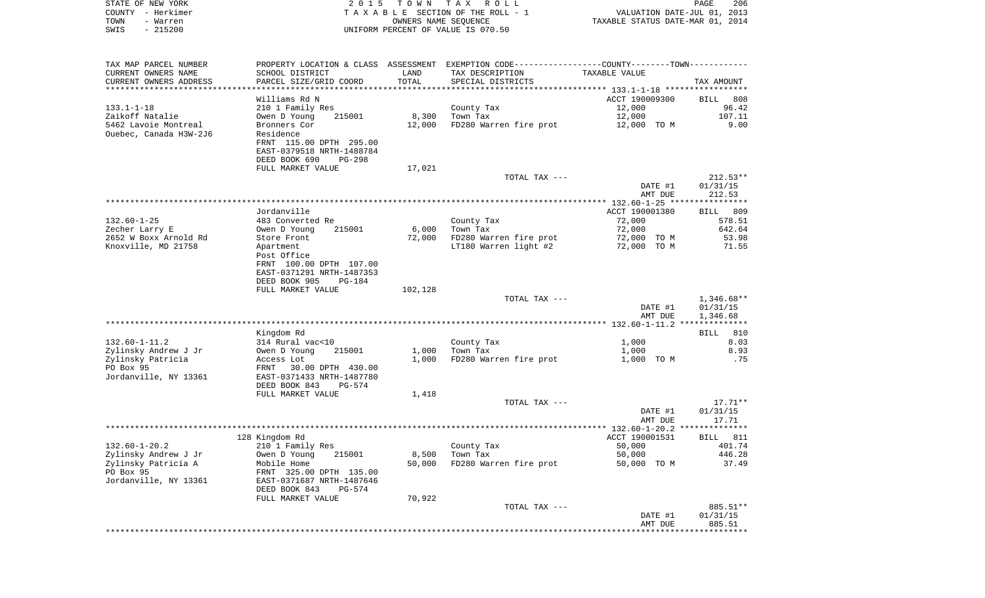| STATE OF NEW YORK<br>COUNTY - Herkimer        | 2 0 1 5                                                                                       | T O W N              | T A X<br>R O L L<br>TAXABLE SECTION OF THE ROLL - 1 |                                  | PAGE<br>206<br>VALUATION DATE-JUL 01, 2013 |
|-----------------------------------------------|-----------------------------------------------------------------------------------------------|----------------------|-----------------------------------------------------|----------------------------------|--------------------------------------------|
| TOWN<br>- Warren                              |                                                                                               | OWNERS NAME SEQUENCE |                                                     | TAXABLE STATUS DATE-MAR 01, 2014 |                                            |
| $-215200$<br>SWIS                             |                                                                                               |                      | UNIFORM PERCENT OF VALUE IS 070.50                  |                                  |                                            |
|                                               |                                                                                               |                      |                                                     |                                  |                                            |
|                                               |                                                                                               |                      |                                                     |                                  |                                            |
| TAX MAP PARCEL NUMBER                         | PROPERTY LOCATION & CLASS ASSESSMENT EXEMPTION CODE---------------COUNTY-------TOWN---------- |                      |                                                     |                                  |                                            |
| CURRENT OWNERS NAME<br>CURRENT OWNERS ADDRESS | SCHOOL DISTRICT<br>PARCEL SIZE/GRID COORD                                                     | LAND<br>TOTAL        | TAX DESCRIPTION<br>SPECIAL DISTRICTS                | TAXABLE VALUE                    | TAX AMOUNT                                 |
| ***********************                       | ********************                                                                          |                      |                                                     |                                  |                                            |
|                                               | Williams Rd N                                                                                 |                      |                                                     | ACCT 190009300                   | <b>BILL</b><br>808                         |
| $133.1 - 1 - 18$                              | 210 1 Family Res                                                                              |                      | County Tax                                          | 12,000                           | 96.42                                      |
| Zaikoff Natalie                               | 215001<br>Owen D Young                                                                        | 8,300                | Town Tax                                            | 12,000                           | 107.11                                     |
| 5462 Lavoie Montreal                          | Bronners Cor                                                                                  | 12,000               | FD280 Warren fire prot                              | 12,000 TO M                      | 9.00                                       |
| Ouebec, Canada H3W-2J6                        | Residence                                                                                     |                      |                                                     |                                  |                                            |
|                                               | FRNT 115.00 DPTH 295.00                                                                       |                      |                                                     |                                  |                                            |
|                                               | EAST-0379518 NRTH-1488784                                                                     |                      |                                                     |                                  |                                            |
|                                               | DEED BOOK 690<br>PG-298                                                                       |                      |                                                     |                                  |                                            |
|                                               | FULL MARKET VALUE                                                                             | 17,021               |                                                     |                                  |                                            |
|                                               |                                                                                               |                      | TOTAL TAX ---                                       |                                  | $212.53**$                                 |
|                                               |                                                                                               |                      |                                                     | DATE #1                          | 01/31/15                                   |
|                                               |                                                                                               |                      |                                                     | AMT DUE                          | 212.53                                     |
|                                               | Jordanville                                                                                   |                      |                                                     | ACCT 190001380                   | 809<br>BILL                                |
| $132.60 - 1 - 25$                             | 483 Converted Re                                                                              |                      | County Tax                                          | 72,000                           | 578.51                                     |
| Zecher Larry E                                | Owen D Young<br>215001                                                                        | 6,000                | Town Tax                                            | 72,000                           | 642.64                                     |
| 2652 W Boxx Arnold Rd                         | Store Front                                                                                   | 72,000               | FD280 Warren fire prot                              | 72,000 TO M                      | 53.98                                      |
| Knoxville, MD 21758                           | Apartment                                                                                     |                      | LT180 Warren light #2                               | 72,000 TO M                      | 71.55                                      |
|                                               | Post Office                                                                                   |                      |                                                     |                                  |                                            |
|                                               | FRNT 100.00 DPTH 107.00                                                                       |                      |                                                     |                                  |                                            |
|                                               | EAST-0371291 NRTH-1487353                                                                     |                      |                                                     |                                  |                                            |
|                                               | DEED BOOK 905<br>PG-184                                                                       |                      |                                                     |                                  |                                            |
|                                               | FULL MARKET VALUE                                                                             | 102,128              |                                                     |                                  |                                            |
|                                               |                                                                                               |                      | TOTAL TAX ---                                       |                                  | $1,346.68**$                               |
|                                               |                                                                                               |                      |                                                     | DATE #1                          | 01/31/15                                   |
|                                               |                                                                                               |                      |                                                     | AMT DUE                          | 1,346.68                                   |
|                                               | Kingdom Rd                                                                                    |                      |                                                     |                                  | 810<br>BILL                                |
| $132.60 - 1 - 11.2$                           | 314 Rural vac<10                                                                              |                      | County Tax                                          | 1,000                            | 8.03                                       |
| Zylinsky Andrew J Jr                          | Owen D Young<br>215001                                                                        | 1,000                | Town Tax                                            | 1,000                            | 8.93                                       |
| Zylinsky Patricia                             | Access Lot                                                                                    | 1,000                | FD280 Warren fire prot                              | 1,000 TO M                       | .75                                        |
| PO Box 95                                     | 30.00 DPTH 430.00<br>FRNT                                                                     |                      |                                                     |                                  |                                            |
| Jordanville, NY 13361                         | EAST-0371433 NRTH-1487780                                                                     |                      |                                                     |                                  |                                            |
|                                               | DEED BOOK 843<br>PG-574                                                                       |                      |                                                     |                                  |                                            |
|                                               | FULL MARKET VALUE                                                                             | 1,418                |                                                     |                                  |                                            |
|                                               |                                                                                               |                      | TOTAL TAX ---                                       |                                  | $17.71**$                                  |
|                                               |                                                                                               |                      |                                                     | DATE #1                          | 01/31/15                                   |
|                                               |                                                                                               |                      |                                                     | AMT DUE                          | 17.71                                      |
|                                               |                                                                                               |                      |                                                     |                                  |                                            |
|                                               | 128 Kingdom Rd                                                                                |                      |                                                     | ACCT 190001531                   | BILL 811                                   |
| $132.60 - 1 - 20.2$                           | 210 1 Family Res                                                                              |                      | County Tax                                          | 50,000                           | 401.74                                     |
| Zylinsky Andrew J Jr                          | Owen D Young<br>215001                                                                        | 8,500                | Town Tax                                            | 50,000                           | 446.28<br>37.49                            |
| Zylinsky Patricia A<br>PO Box 95              | Mobile Home<br>FRNT 325.00 DPTH 135.00                                                        | 50,000               | FD280 Warren fire prot                              | 50,000 TO M                      |                                            |
| Jordanville, NY 13361                         | EAST-0371687 NRTH-1487646                                                                     |                      |                                                     |                                  |                                            |
|                                               | DEED BOOK 843<br>PG-574                                                                       |                      |                                                     |                                  |                                            |
|                                               | FULL MARKET VALUE                                                                             | 70,922               |                                                     |                                  |                                            |
|                                               |                                                                                               |                      | TOTAL TAX ---                                       |                                  | 885.51**                                   |
|                                               |                                                                                               |                      |                                                     | DATE #1                          | 01/31/15                                   |
|                                               |                                                                                               |                      |                                                     | AMT DUE                          | 885.51                                     |
|                                               |                                                                                               |                      |                                                     |                                  |                                            |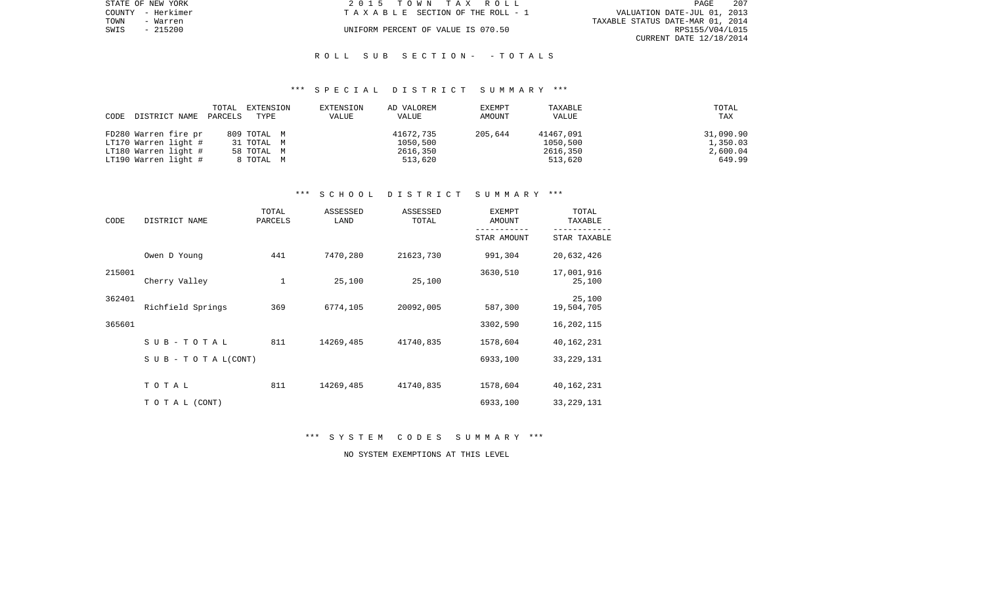| STATE OF NEW YORK |          | 2015 TOWN TAX ROLL                 |                                  | PAGE            | 207 |
|-------------------|----------|------------------------------------|----------------------------------|-----------------|-----|
| COUNTY - Herkimer |          | TAXABLE SECTION OF THE ROLL - 1    | VALUATION DATE-JUL 01, 2013      |                 |     |
| TOWN              | - Warren |                                    | TAXABLE STATUS DATE-MAR 01, 2014 |                 |     |
| SWIS              | - 215200 | UNIFORM PERCENT OF VALUE IS 070.50 |                                  | RPS155/V04/L015 |     |
|                   |          |                                    | CURRENT DATE 12/18/2014          |                 |     |

#### R O L L S U B S E C T I O N - - T O T A L S

#### \*\*\* S P E C I A L D I S T R I C T S U M M A R Y \*\*\*

| CODE | DISTRICT NAME        | TOTAL<br>PARCELS | EXTENSION<br>TYPE | EXTENSION<br>VALUE | AD VALOREM<br>VALUE | EXEMPT<br>AMOUNT | TAXABLE<br><b>VALUE</b> | TOTAL<br>TAX |
|------|----------------------|------------------|-------------------|--------------------|---------------------|------------------|-------------------------|--------------|
|      |                      |                  |                   |                    |                     |                  |                         |              |
|      | FD280 Warren fire pr |                  | 809 TOTAL M       |                    | 41672,735           | 205,644          | 41467,091               | 31,090.90    |
|      | LT170 Warren light # |                  | 31 TOTAL M        |                    | 1050,500            |                  | 1050,500                | 1,350.03     |
|      | LT180 Warren light # |                  | 58 TOTAL M        |                    | 2616,350            |                  | 2616,350                | 2,600.04     |
|      | LT190 Warren light # |                  | 8 TOTAL M         |                    | 513,620             |                  | 513,620                 | 649.99       |

# \*\*\* S C H O O L D I S T R I C T S U M M A R Y \*\*\*

| CODE   | DISTRICT NAME                    | TOTAL<br>PARCELS | ASSESSED<br>LAND | ASSESSED<br>TOTAL | <b>EXEMPT</b><br>AMOUNT | TOTAL<br>TAXABLE     |
|--------|----------------------------------|------------------|------------------|-------------------|-------------------------|----------------------|
|        |                                  |                  |                  |                   | STAR AMOUNT             | STAR TAXABLE         |
|        | Owen D Young                     | 441              | 7470,280         | 21623,730         | 991,304                 | 20,632,426           |
| 215001 | Cherry Valley                    | 1                | 25,100           | 25,100            | 3630,510                | 17,001,916<br>25,100 |
| 362401 | Richfield Springs                | 369              | 6774,105         | 20092,005         | 587,300                 | 25,100<br>19,504,705 |
| 365601 |                                  |                  |                  |                   | 3302,590                | 16, 202, 115         |
|        | SUB-TOTAL                        | 811              | 14269,485        | 41740,835         | 1578,604                | 40,162,231           |
|        | $S \cup B - T \cup T A L (CONT)$ |                  |                  |                   | 6933,100                | 33, 229, 131         |
|        | TOTAL                            | 811              | 14269,485        | 41740,835         | 1578,604                | 40,162,231           |
|        | TO TAL (CONT)                    |                  |                  |                   | 6933,100                | 33, 229, 131         |

\*\*\* S Y S T E M C O D E S S U M M A R Y \*\*\*

NO SYSTEM EXEMPTIONS AT THIS LEVEL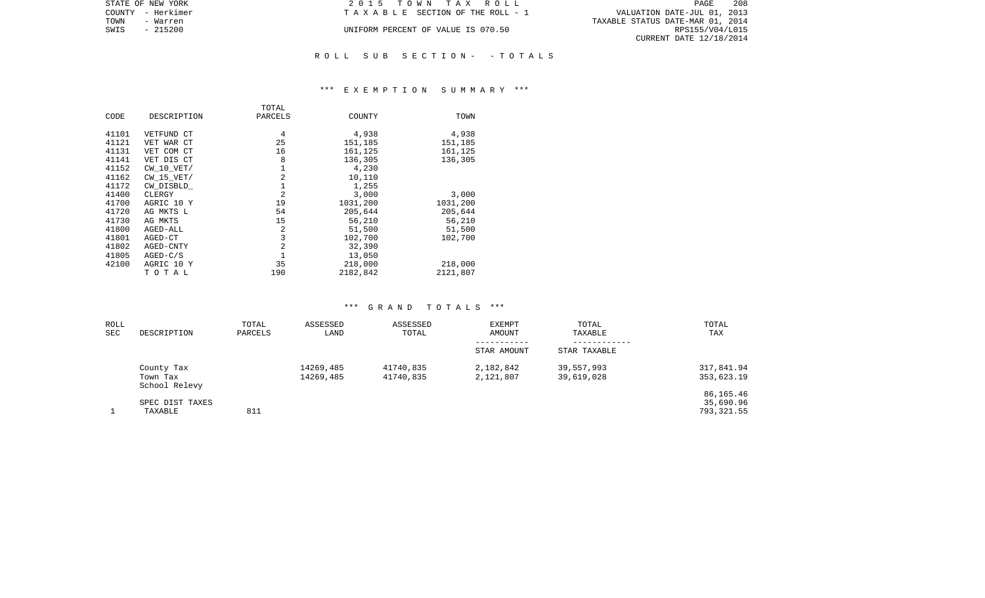| STATE OF NEW YORK | 2015 TOWN TAX ROLL                 | 208<br>PAGE                      |
|-------------------|------------------------------------|----------------------------------|
| COUNTY - Herkimer | TAXABLE SECTION OF THE ROLL - 1    | VALUATION DATE-JUL 01, 2013      |
| TOWN<br>– Warren  |                                    | TAXABLE STATUS DATE-MAR 01, 2014 |
| - 215200<br>SWIS  | UNIFORM PERCENT OF VALUE IS 070.50 | RPS155/V04/L015                  |
|                   |                                    | CURRENT DATE 12/18/2014          |
|                   |                                    |                                  |

## R O L L S U B S E C T I O N - - T O T A L S

## \*\*\* E X E M P T I O N S U M M A R Y \*\*\*

|       |                | TOTAL          |          |          |
|-------|----------------|----------------|----------|----------|
| CODE  | DESCRIPTION    | PARCELS        | COUNTY   | TOWN     |
|       |                |                |          |          |
| 41101 | VETFUND CT     | 4              | 4,938    | 4,938    |
| 41121 | VET WAR CT     | 25             | 151,185  | 151,185  |
| 41131 | VET COM CT     | 16             | 161,125  | 161,125  |
| 41141 | VET DIS CT     | 8              | 136,305  | 136,305  |
| 41152 | CW 10 VET/     |                | 4,230    |          |
| 41162 | $CW$ 15 $VET/$ | 2              | 10,110   |          |
| 41172 | CW DISBLD      |                | 1,255    |          |
| 41400 | CLERGY         | $\overline{a}$ | 3,000    | 3,000    |
| 41700 | AGRIC 10 Y     | 19             | 1031,200 | 1031,200 |
| 41720 | AG MKTS L      | 54             | 205,644  | 205,644  |
| 41730 | AG MKTS        | 15             | 56,210   | 56,210   |
| 41800 | AGED-ALL       | 2              | 51,500   | 51,500   |
| 41801 | AGED-CT        | 3              | 102,700  | 102,700  |
| 41802 | AGED-CNTY      | $\overline{2}$ | 32,390   |          |
| 41805 | $AGED-C/S$     |                | 13,050   |          |
| 42100 | AGRIC 10 Y     | 35             | 218,000  | 218,000  |
|       | TOTAL          | 190            | 2182,842 | 2121,807 |

# \*\*\* G R A N D T O T A L S \*\*\*

| ROLL       |                           | TOTAL   | ASSESSED  | ASSESSED  | <b>EXEMPT</b> | TOTAL        | TOTAL      |
|------------|---------------------------|---------|-----------|-----------|---------------|--------------|------------|
| <b>SEC</b> | DESCRIPTION               | PARCELS | LAND      | TOTAL     | AMOUNT        | TAXABLE      | TAX        |
|            |                           |         |           |           | STAR AMOUNT   | STAR TAXABLE |            |
|            | County Tax                |         | 14269,485 | 41740,835 | 2,182,842     | 39,557,993   | 317,841.94 |
|            | Town Tax<br>School Relevy |         | 14269,485 | 41740,835 | 2,121,807     | 39,619,028   | 353,623.19 |
|            |                           |         |           |           |               |              | 86,165.46  |
|            | SPEC DIST TAXES           |         |           |           |               |              | 35,690.96  |
|            | TAXABLE                   | 811     |           |           |               |              | 793,321.55 |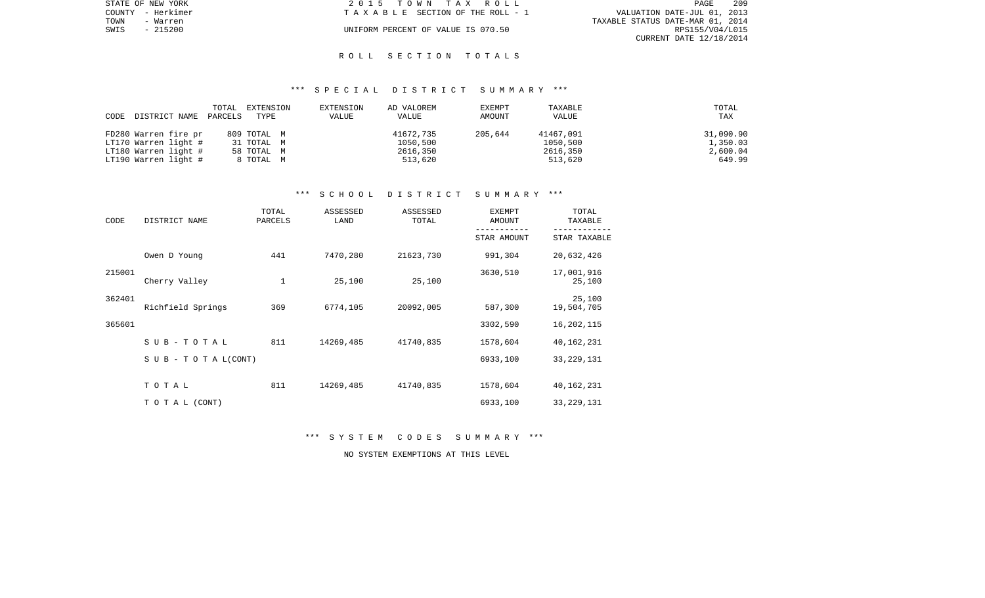|      | STATE OF NEW YORK | 2015 TOWN TAX ROLL                 | - 209<br>PAGE                    |  |
|------|-------------------|------------------------------------|----------------------------------|--|
|      | COUNTY - Herkimer | TAXABLE SECTION OF THE ROLL - 1    | VALUATION DATE-JUL 01, 2013      |  |
| TOWN | - Warren          |                                    | TAXABLE STATUS DATE-MAR 01, 2014 |  |
| SWIS | $-215200$         | UNIFORM PERCENT OF VALUE IS 070.50 | RPS155/V04/L015                  |  |
|      |                   |                                    | CURRENT DATE 12/18/2014          |  |

#### R O L L S E C T I O N T O T A L S

## \*\*\* S P E C I A L D I S T R I C T S U M M A R Y \*\*\*

|      |                      | TOTAL   | EXTENSION   | EXTENSION | AD VALOREM   | EXEMPT  | TAXABLE   | TOTAL     |
|------|----------------------|---------|-------------|-----------|--------------|---------|-----------|-----------|
| CODE | DISTRICT NAME        | PARCELS | TYPE        | VALUE     | <b>VALUE</b> | AMOUNT  | VALUE     | TAX       |
|      | FD280 Warren fire pr |         | 809 TOTAL M |           | 41672,735    | 205,644 | 41467,091 | 31,090.90 |
|      | LT170 Warren light # |         | 31 TOTAL M  |           | 1050,500     |         | 1050,500  | 1,350.03  |
|      | LT180 Warren light # |         | 58 TOTAL M  |           | 2616,350     |         | 2616,350  | 2,600.04  |
|      | LT190 Warren light # |         | 8 TOTAL M   |           | 513,620      |         | 513,620   | 649.99    |

# \*\*\* S C H O O L D I S T R I C T S U M M A R Y \*\*\*

| CODE   | DISTRICT NAME             | TOTAL<br>PARCELS | ASSESSED<br>LAND | ASSESSED<br>TOTAL | <b>EXEMPT</b><br>AMOUNT | TOTAL<br>TAXABLE     |
|--------|---------------------------|------------------|------------------|-------------------|-------------------------|----------------------|
|        |                           |                  |                  |                   | STAR AMOUNT             | STAR TAXABLE         |
|        | Owen D Young              | 441              | 7470,280         | 21623,730         | 991,304                 | 20,632,426           |
| 215001 | Cherry Valley             | 1                | 25,100           | 25,100            | 3630,510                | 17,001,916<br>25,100 |
| 362401 | Richfield Springs         | 369              | 6774,105         | 20092,005         | 587,300                 | 25,100<br>19,504,705 |
| 365601 |                           |                  |                  |                   | 3302,590                | 16, 202, 115         |
|        | SUB-TOTAL                 | 811              | 14269,485        | 41740,835         | 1578,604                | 40,162,231           |
|        | S U B - T O T A $L(CONT)$ |                  |                  |                   | 6933,100                | 33, 229, 131         |
|        | TOTAL                     | 811              | 14269,485        | 41740,835         | 1578,604                | 40,162,231           |
|        | TO TAL (CONT)             |                  |                  |                   | 6933,100                | 33, 229, 131         |

\*\*\* S Y S T E M C O D E S S U M M A R Y \*\*\*

NO SYSTEM EXEMPTIONS AT THIS LEVEL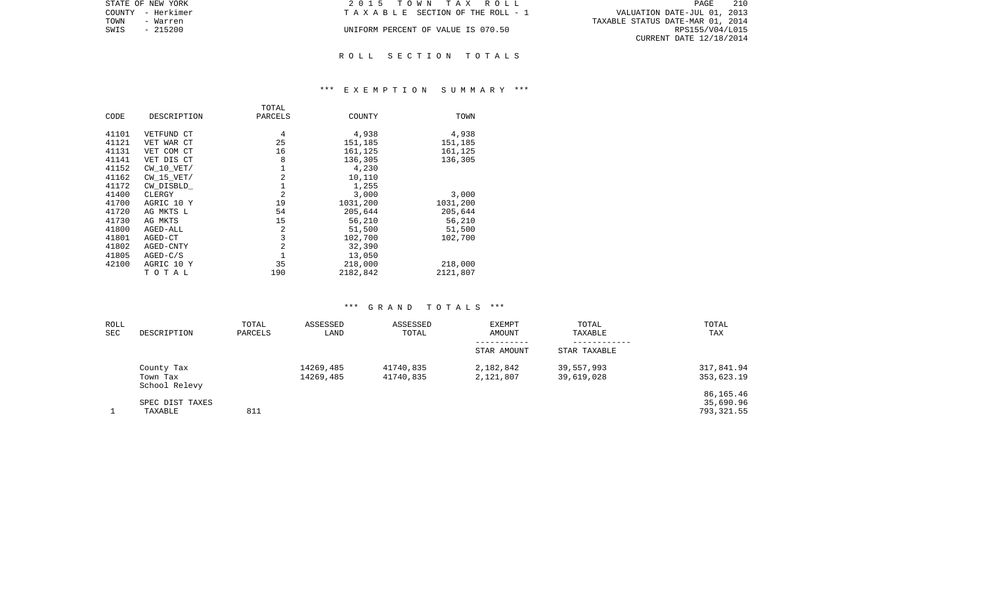| STATE OF NEW YORK | 2015 TOWN TAX ROLL                    | 210<br>PAGE                      |
|-------------------|---------------------------------------|----------------------------------|
| COUNTY - Herkimer | T A X A B L E SECTION OF THE ROLL - 1 | VALUATION DATE-JUL 01, 2013      |
| TOWN<br>- Warren  |                                       | TAXABLE STATUS DATE-MAR 01, 2014 |
| SWIS<br>- 215200  | UNIFORM PERCENT OF VALUE IS 070.50    | RPS155/V04/L015                  |
|                   |                                       | CURRENT DATE 12/18/2014          |
|                   |                                       |                                  |

#### R O L L S E C T I O N T O T A L S

## \*\*\* E X E M P T I O N S U M M A R Y \*\*\*

|       |                | TOTAL          |          |          |
|-------|----------------|----------------|----------|----------|
| CODE  | DESCRIPTION    | PARCELS        | COUNTY   | TOWN     |
| 41101 | VETFUND CT     | 4              | 4,938    | 4,938    |
|       |                |                |          |          |
| 41121 | VET WAR CT     | 25             | 151,185  | 151,185  |
| 41131 | VET COM CT     | 16             | 161,125  | 161,125  |
| 41141 | VET DIS CT     | 8              | 136,305  | 136,305  |
| 41152 | $CW$ 10 $VET/$ |                | 4,230    |          |
| 41162 | $CW$ 15 $VET/$ | 2              | 10,110   |          |
| 41172 | CW DISBLD      |                | 1,255    |          |
| 41400 | CLERGY         | $\overline{2}$ | 3,000    | 3,000    |
| 41700 | AGRIC 10 Y     | 19             | 1031,200 | 1031,200 |
| 41720 | AG MKTS L      | 54             | 205,644  | 205,644  |
| 41730 | AG MKTS        | 15             | 56,210   | 56,210   |
| 41800 | AGED-ALL       | 2              | 51,500   | 51,500   |
| 41801 | AGED-CT        | 3              | 102,700  | 102,700  |
| 41802 | AGED-CNTY      | $\overline{2}$ | 32,390   |          |
| 41805 | $AGED-C/S$     |                | 13,050   |          |
| 42100 | AGRIC 10 Y     | 35             | 218,000  | 218,000  |
|       | TOTAL          | 190            | 2182,842 | 2121,807 |

# \*\*\* G R A N D T O T A L S \*\*\*

| ROLL<br><b>SEC</b> | DESCRIPTION                             | TOTAL<br>PARCELS | ASSESSED<br>LAND       | ASSESSED<br>TOTAL      | EXEMPT<br>AMOUNT           | TOTAL<br>TAXABLE         | TOTAL<br>TAX                         |
|--------------------|-----------------------------------------|------------------|------------------------|------------------------|----------------------------|--------------------------|--------------------------------------|
|                    |                                         |                  |                        |                        | -----------<br>STAR AMOUNT | STAR TAXABLE             |                                      |
|                    | County Tax<br>Town Tax<br>School Relevy |                  | 14269,485<br>14269,485 | 41740,835<br>41740,835 | 2,182,842<br>2,121,807     | 39,557,993<br>39,619,028 | 317,841.94<br>353,623.19             |
|                    | SPEC DIST TAXES<br>TAXABLE              | 811              |                        |                        |                            |                          | 86,165.46<br>35,690.96<br>793,321.55 |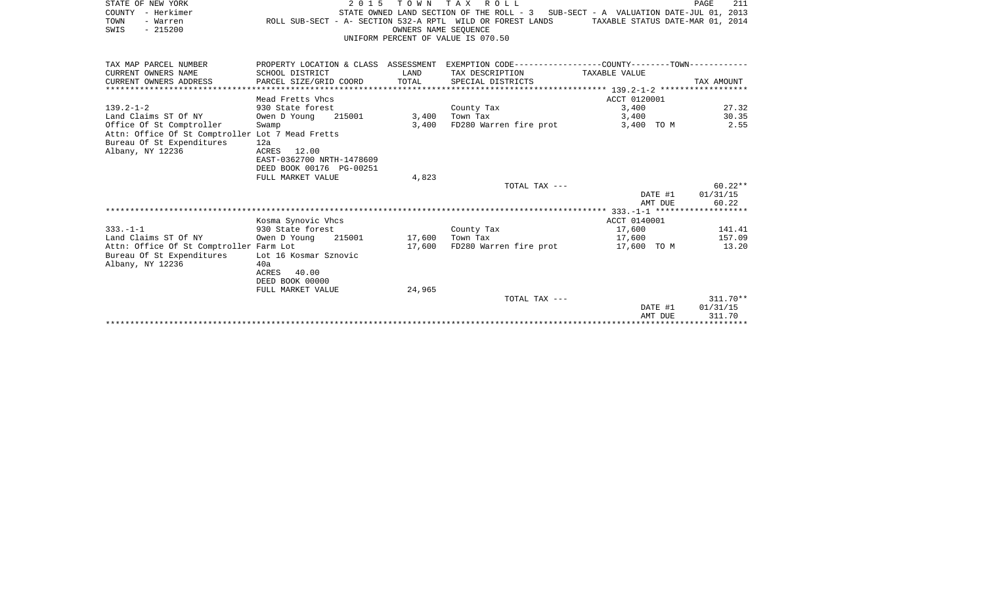| STATE OF NEW YORK                                |                                      | TOWN<br>2 0 1 5                                            | TAX ROLL                                                   |                                                                                   | 211<br>PAGE                      |
|--------------------------------------------------|--------------------------------------|------------------------------------------------------------|------------------------------------------------------------|-----------------------------------------------------------------------------------|----------------------------------|
| COUNTY - Herkimer                                |                                      |                                                            |                                                            | STATE OWNED LAND SECTION OF THE ROLL - 3 SUB-SECT - A VALUATION DATE-JUL 01, 2013 |                                  |
| TOWN<br>- Warren                                 |                                      |                                                            | ROLL SUB-SECT - A- SECTION 532-A RPTL WILD OR FOREST LANDS |                                                                                   | TAXABLE STATUS DATE-MAR 01, 2014 |
| $-215200$<br>SWIS                                |                                      | OWNERS NAME SEOUENCE<br>UNIFORM PERCENT OF VALUE IS 070.50 |                                                            |                                                                                   |                                  |
|                                                  |                                      |                                                            |                                                            |                                                                                   |                                  |
|                                                  |                                      |                                                            |                                                            |                                                                                   |                                  |
| TAX MAP PARCEL NUMBER                            | PROPERTY LOCATION & CLASS ASSESSMENT |                                                            |                                                            | EXEMPTION CODE-----------------COUNTY--------TOWN-----------                      |                                  |
| CURRENT OWNERS NAME                              | SCHOOL DISTRICT                      | LAND                                                       | TAX DESCRIPTION                                            | TAXABLE VALUE                                                                     |                                  |
| CURRENT OWNERS ADDRESS                           | PARCEL SIZE/GRID COORD               | TOTAL                                                      | SPECIAL DISTRICTS                                          |                                                                                   | TAX AMOUNT                       |
|                                                  |                                      |                                                            |                                                            |                                                                                   |                                  |
|                                                  | Mead Fretts Vhcs                     |                                                            |                                                            | ACCT 0120001                                                                      |                                  |
| $139.2 - 1 - 2$                                  | 930 State forest                     |                                                            | County Tax                                                 | 3,400                                                                             | 27.32                            |
| Land Claims ST Of NY                             | 215001<br>Owen D Young               | 3,400                                                      | Town Tax                                                   | 3,400                                                                             | 30.35                            |
| Office Of St Comptroller                         | Swamp                                | 3,400                                                      | FD280 Warren fire prot                                     | 3,400 TO M                                                                        | 2.55                             |
| Attn: Office Of St Comptroller Lot 7 Mead Fretts |                                      |                                                            |                                                            |                                                                                   |                                  |
| Bureau Of St Expenditures                        | 12a<br>12.00<br>ACRES                |                                                            |                                                            |                                                                                   |                                  |
| Albany, NY 12236                                 | EAST-0362700 NRTH-1478609            |                                                            |                                                            |                                                                                   |                                  |
|                                                  | DEED BOOK 00176 PG-00251             |                                                            |                                                            |                                                                                   |                                  |
|                                                  | FULL MARKET VALUE                    | 4,823                                                      |                                                            |                                                                                   |                                  |
|                                                  |                                      |                                                            | TOTAL TAX ---                                              |                                                                                   | $60.22**$                        |
|                                                  |                                      |                                                            |                                                            |                                                                                   | 01/31/15<br>DATE #1              |
|                                                  |                                      |                                                            |                                                            |                                                                                   | 60.22<br>AMT DUE                 |
|                                                  |                                      |                                                            |                                                            |                                                                                   |                                  |
|                                                  | Kosma Synovic Vhcs                   |                                                            |                                                            | ACCT 0140001                                                                      |                                  |
| $333. -1 -1$                                     | 930 State forest                     |                                                            | County Tax                                                 | 17,600                                                                            | 141.41                           |
| Land Claims ST Of NY                             | 215001<br>Owen D Young               | 17,600                                                     | Town Tax                                                   | 17,600                                                                            | 157.09                           |
| Attn: Office Of St Comptroller Farm Lot          |                                      | 17,600                                                     | FD280 Warren fire prot                                     | 17,600 TO M                                                                       | 13.20                            |
| Bureau Of St Expenditures                        | Lot 16 Kosmar Sznovic                |                                                            |                                                            |                                                                                   |                                  |
| Albany, NY 12236                                 | 40a                                  |                                                            |                                                            |                                                                                   |                                  |
|                                                  | 40.00<br>ACRES                       |                                                            |                                                            |                                                                                   |                                  |
|                                                  | DEED BOOK 00000                      |                                                            |                                                            |                                                                                   |                                  |
|                                                  | FULL MARKET VALUE                    | 24,965                                                     | TOTAL TAX ---                                              |                                                                                   | $311.70**$                       |
|                                                  |                                      |                                                            |                                                            |                                                                                   |                                  |

AMT DUE 311.70 \*\*\*\*\*\*\*\*\*\*\*\*\*\*\*\*\*\*\*\*\*\*\*\*\*\*\*\*\*\*\*\*\*\*\*\*\*\*\*\*\*\*\*\*\*\*\*\*\*\*\*\*\*\*\*\*\*\*\*\*\*\*\*\*\*\*\*\*\*\*\*\*\*\*\*\*\*\*\*\*\*\*\*\*\*\*\*\*\*\*\*\*\*\*\*\*\*\*\*\*\*\*\*\*\*\*\*\*\*\*\*\*\*\*\*\*\*\*\*\*\*\*\*\*\*\*\*\*\*\*\*\*

DATE #1 01/31/15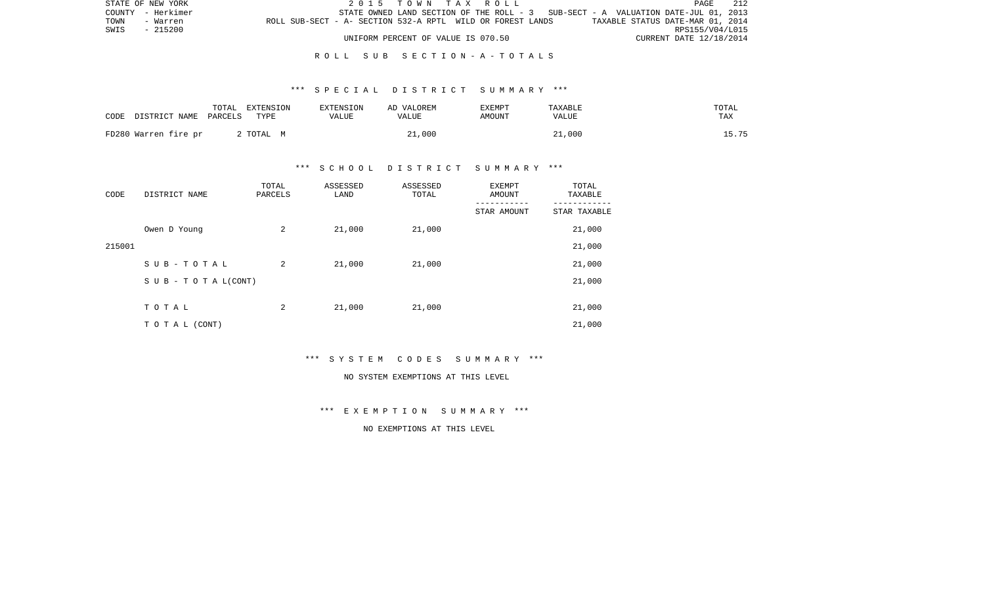|      | STATE OF NEW YORK |                                                            |  |                                    |  | 2015 TOWN TAX ROLL |                                                                                   |                                  | PAGE            | 212 |
|------|-------------------|------------------------------------------------------------|--|------------------------------------|--|--------------------|-----------------------------------------------------------------------------------|----------------------------------|-----------------|-----|
|      | COUNTY - Herkimer |                                                            |  |                                    |  |                    | STATE OWNED LAND SECTION OF THE ROLL - 3 SUB-SECT - A VALUATION DATE-JUL 01, 2013 |                                  |                 |     |
| TOWN | - Warren          | ROLL SUB-SECT - A- SECTION 532-A RPTL WILD OR FOREST LANDS |  |                                    |  |                    |                                                                                   | TAXABLE STATUS DATE-MAR 01, 2014 |                 |     |
| SWIS | $-215200$         |                                                            |  |                                    |  |                    |                                                                                   |                                  | RPS155/V04/L015 |     |
|      |                   |                                                            |  | UNIFORM PERCENT OF VALUE IS 070.50 |  |                    |                                                                                   | CURRENT DATE 12/18/2014          |                 |     |

### R O L L S U B S E C T I O N - A - T O T A L S

## \*\*\* S P E C I A L D I S T R I C T S U M M A R Y \*\*\*

| CODE                  | TOTAL | EXTENSION | <b>EXTENSION</b> | AD VALOREM | <b>EXEMPT</b> | TAXABLE | TOTAL |
|-----------------------|-------|-----------|------------------|------------|---------------|---------|-------|
| DISTRICT NAME PARCELS |       | TYPE      | VALUE            | VALUE      | AMOUNT        | VALUE   | TAX   |
| FD280 Warren fire pr  |       | 2 ТОТАL М |                  | 21,000     |               | 21,000  | L5.75 |

# \*\*\* S C H O O L D I S T R I C T S U M M A R Y \*\*\*

| CODE   | DISTRICT NAME                    | TOTAL<br>PARCELS | ASSESSED<br>LAND | ASSESSED<br>TOTAL | EXEMPT<br>AMOUNT | TOTAL<br>TAXABLE |
|--------|----------------------------------|------------------|------------------|-------------------|------------------|------------------|
|        |                                  |                  |                  |                   | STAR AMOUNT      | STAR TAXABLE     |
|        | Owen D Young                     | 2                | 21,000           | 21,000            |                  | 21,000           |
| 215001 |                                  |                  |                  |                   |                  | 21,000           |
|        | SUB-TOTAL                        | 2                | 21,000           | 21,000            |                  | 21,000           |
|        | $S \cup B - T \cup T A L (CONT)$ |                  |                  |                   |                  | 21,000           |
|        |                                  |                  |                  |                   |                  |                  |
|        | TOTAL                            | 2                | 21,000           | 21,000            |                  | 21,000           |
|        | TO TAL (CONT)                    |                  |                  |                   |                  | 21,000           |

\*\*\* S Y S T E M C O D E S S U M M A R Y \*\*\*

#### NO SYSTEM EXEMPTIONS AT THIS LEVEL

\*\*\* E X E M P T I O N S U M M A R Y \*\*\*

NO EXEMPTIONS AT THIS LEVEL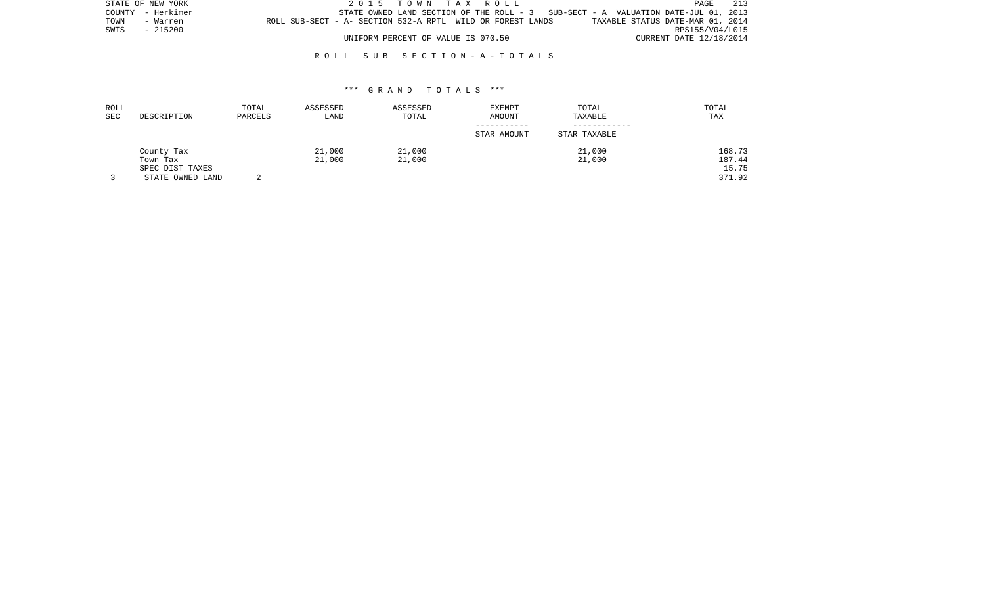| STATE OF NEW YORK |                   |                                                            | 2015 TOWN TAX ROLL                 |  |  |                                                                                     |                                  |                         | PAGE            | 213 |
|-------------------|-------------------|------------------------------------------------------------|------------------------------------|--|--|-------------------------------------------------------------------------------------|----------------------------------|-------------------------|-----------------|-----|
|                   | COUNTY - Herkimer |                                                            |                                    |  |  | STATE OWNED LAND SECTION OF THE ROLL - $3$ SUB-SECT - A VALUATION DATE-JUL 01, 2013 |                                  |                         |                 |     |
| TOWN              | - Warren          | ROLL SUB-SECT - A- SECTION 532-A RPTL WILD OR FOREST LANDS |                                    |  |  |                                                                                     | TAXABLE STATUS DATE-MAR 01, 2014 |                         |                 |     |
| SWIS              | - 215200          |                                                            |                                    |  |  |                                                                                     |                                  |                         | RPS155/V04/L015 |     |
|                   |                   |                                                            | UNIFORM PERCENT OF VALUE IS 070.50 |  |  |                                                                                     |                                  | CURRENT DATE 12/18/2014 |                 |     |

## R O L L S U B S E C T I O N - A - T O T A L S

#### \*\*\* G R A N D T O T A L S \*\*\*

| ROLL<br>SEC | DESCRIPTION      | TOTAL<br>PARCELS | ASSESSED<br>LAND | ASSESSED<br>TOTAL | <b>EXEMPT</b><br><b>AMOUNT</b> | TOTAL<br>TAXABLE | TOTAL<br>TAX |
|-------------|------------------|------------------|------------------|-------------------|--------------------------------|------------------|--------------|
|             |                  |                  |                  |                   | STAR AMOUNT                    | STAR TAXABLE     |              |
|             | County Tax       |                  | 21,000           | 21,000            |                                | 21,000           | 168.73       |
|             | Town Tax         |                  | 21,000           | 21,000            |                                | 21,000           | 187.44       |
|             | SPEC DIST TAXES  |                  |                  |                   |                                |                  | 15.75        |
|             | STATE OWNED LAND |                  |                  |                   |                                |                  | 371.92       |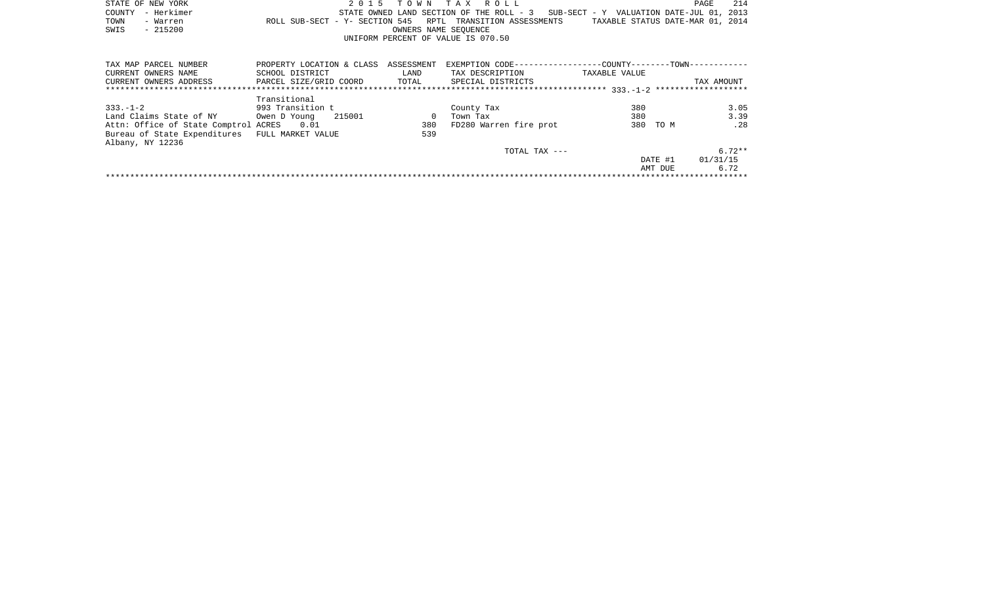| STATE OF NEW YORK |                   |                                                            |  | 2015 TOWN TAX ROLL                 |                      |  |  |  |                                                                                   | PAGE | 214 |
|-------------------|-------------------|------------------------------------------------------------|--|------------------------------------|----------------------|--|--|--|-----------------------------------------------------------------------------------|------|-----|
|                   | COUNTY - Herkimer |                                                            |  |                                    |                      |  |  |  | STATE OWNED LAND SECTION OF THE ROLL - 3 SUB-SECT - Y VALUATION DATE-JUL 01, 2013 |      |     |
| TOWN              | - Warren          | ROLL SUB-SECT - Y- SECTION 545 RPTL TRANSITION ASSESSMENTS |  |                                    |                      |  |  |  | TAXABLE STATUS DATE-MAR 01, 2014                                                  |      |     |
| SWIS              | - 215200          |                                                            |  |                                    | OWNERS NAME SEOUENCE |  |  |  |                                                                                   |      |     |
|                   |                   |                                                            |  | UNIFORM PERCENT OF VALUE IS 070.50 |                      |  |  |  |                                                                                   |      |     |

| TAX MAP PARCEL NUMBER                | PROPERTY LOCATION & CLASS | ASSESSMENT | EXEMPTION CODE-----------------COUNTY-------TOWN------------ |               |          |            |
|--------------------------------------|---------------------------|------------|--------------------------------------------------------------|---------------|----------|------------|
| CURRENT OWNERS NAME                  | SCHOOL DISTRICT           | LAND       | TAX DESCRIPTION                                              | TAXABLE VALUE |          |            |
| CURRENT OWNERS ADDRESS               | PARCEL SIZE/GRID COORD    | TOTAL      | SPECIAL DISTRICTS                                            |               |          | TAX AMOUNT |
|                                      |                           |            |                                                              |               |          |            |
|                                      | Transitional              |            |                                                              |               |          |            |
| $333 - 1 - 2$                        | 993 Transition t          |            | County Tax                                                   | 380           |          | 3.05       |
| Land Claims State of NY              | 215001<br>Owen D Young    |            | Town Tax                                                     | 380           |          | 3.39       |
| Attn: Office of State Comptrol ACRES | 0.01                      | 380        | FD280 Warren fire prot                                       |               | 380 TO M | .28        |
| Bureau of State Expenditures         | FULL MARKET VALUE         | 539        |                                                              |               |          |            |
| Albany, NY 12236                     |                           |            |                                                              |               |          |            |
|                                      |                           |            | TOTAL TAX $---$                                              |               |          | $6.72**$   |
|                                      |                           |            |                                                              |               | DATE #1  | 01/31/15   |
|                                      |                           |            |                                                              |               | AMT DUE  | 6.72       |
|                                      |                           |            |                                                              |               |          |            |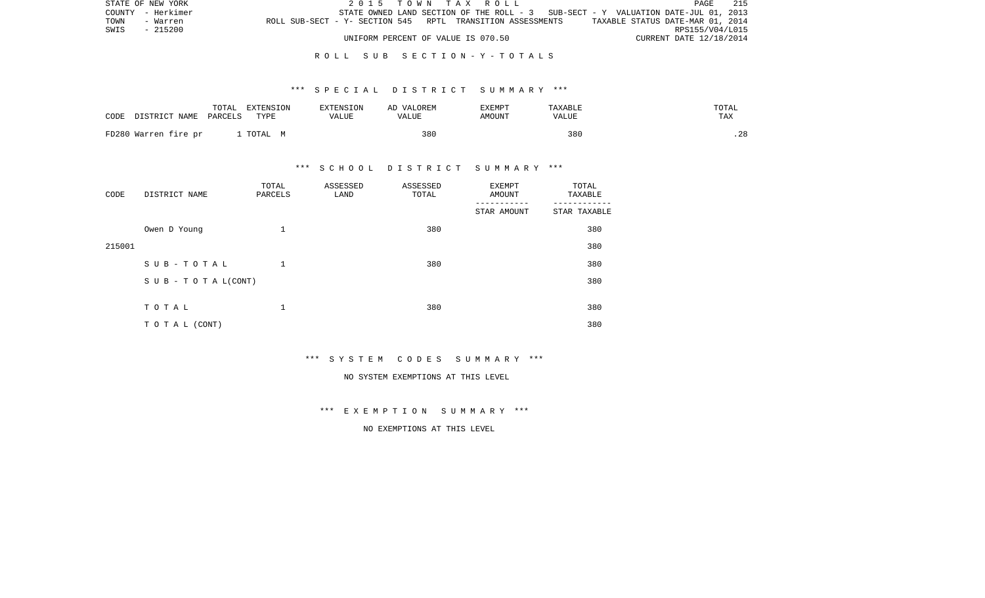|      | STATE OF NEW YORK |                                                            |  |  | 2015 TOWN TAX ROLL                 |  |  |                                                                                   |                                  |                         | PAGE | -215 |
|------|-------------------|------------------------------------------------------------|--|--|------------------------------------|--|--|-----------------------------------------------------------------------------------|----------------------------------|-------------------------|------|------|
|      | COUNTY - Herkimer |                                                            |  |  |                                    |  |  | STATE OWNED LAND SECTION OF THE ROLL - 3 SUB-SECT - Y VALUATION DATE-JUL 01, 2013 |                                  |                         |      |      |
| TOWN | - Warren          | ROLL SUB-SECT - Y- SECTION 545 RPTL TRANSITION ASSESSMENTS |  |  |                                    |  |  |                                                                                   | TAXABLE STATUS DATE-MAR 01, 2014 |                         |      |      |
| SWIS | - 215200          |                                                            |  |  |                                    |  |  |                                                                                   |                                  | RPS155/V04/L015         |      |      |
|      |                   |                                                            |  |  | UNIFORM PERCENT OF VALUE IS 070.50 |  |  |                                                                                   |                                  | CURRENT DATE 12/18/2014 |      |      |

## R O L L S U B S E C T I O N - Y - T O T A L S

#### \*\*\* S P E C I A L D I S T R I C T S U M M A R Y \*\*\*

| CODE | DISTRICT NAME PARCELS | TOTAL | EXTENSION<br>TYPE | EXTENSION<br><b>VALUE</b> | AD VALOREM<br><b>VALUE</b> | EXEMPT<br>AMOUNT | TAXABLE<br>VALUE | TOTAL<br>TAX |
|------|-----------------------|-------|-------------------|---------------------------|----------------------------|------------------|------------------|--------------|
|      | FD280 Warren fire pr  |       | . TOTAL M         |                           | 380                        |                  | 380              | .28          |

## \*\*\* S C H O O L D I S T R I C T S U M M A R Y \*\*\*

| CODE   | DISTRICT NAME      | TOTAL<br>PARCELS | ASSESSED<br>LAND | ASSESSED<br>TOTAL | EXEMPT<br>AMOUNT | TOTAL<br>TAXABLE |
|--------|--------------------|------------------|------------------|-------------------|------------------|------------------|
|        |                    |                  |                  |                   | STAR AMOUNT      | STAR TAXABLE     |
|        | Owen D Young       | 1                |                  | 380               |                  | 380              |
| 215001 |                    |                  |                  |                   |                  | 380              |
|        | SUB-TOTAL          | 1                |                  | 380               |                  | 380              |
|        | SUB - TO TAL(CONT) |                  |                  |                   |                  | 380              |
|        |                    |                  |                  |                   |                  |                  |
|        | TOTAL              | 1                |                  | 380               |                  | 380              |
|        | TO TAL (CONT)      |                  |                  |                   |                  | 380              |

\*\*\* S Y S T E M C O D E S S U M M A R Y \*\*\*

#### NO SYSTEM EXEMPTIONS AT THIS LEVEL

\*\*\* E X E M P T I O N S U M M A R Y \*\*\*

NO EXEMPTIONS AT THIS LEVEL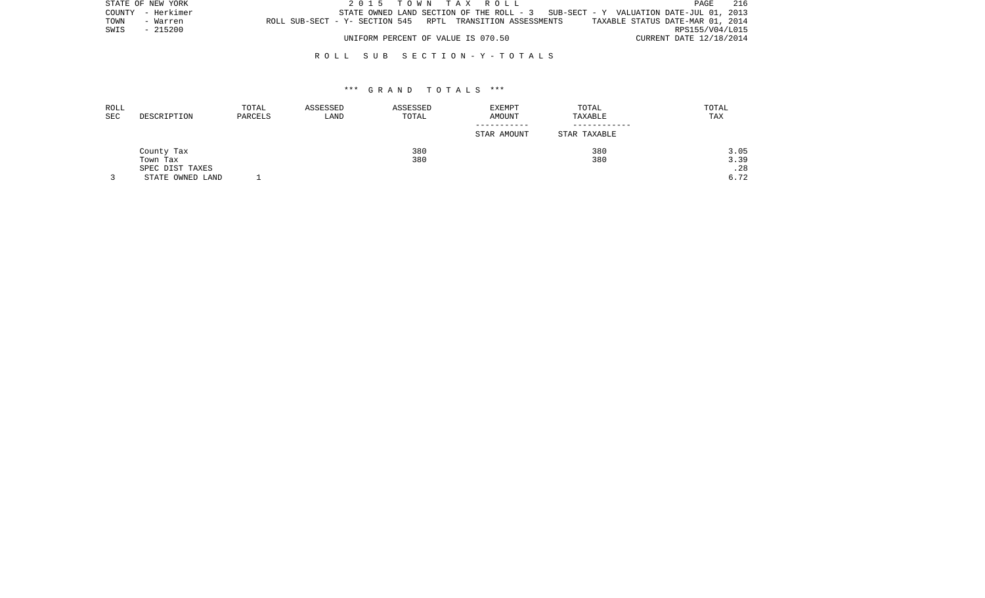| STATE OF NEW YORK |                   |                                                            |  | 2015 TOWN TAX ROLL                 |  |  |                                                                                    | PAGE                    | 216 |
|-------------------|-------------------|------------------------------------------------------------|--|------------------------------------|--|--|------------------------------------------------------------------------------------|-------------------------|-----|
|                   | COUNTY - Herkimer |                                                            |  |                                    |  |  | STATE OWNED LAND SECTION OF THE ROLL $-3$ SUB-SECT - Y VALUATION DATE-JUL 01, 2013 |                         |     |
| TOWN              | - Warren          | ROLL SUB-SECT - Y- SECTION 545 RPTL TRANSITION ASSESSMENTS |  |                                    |  |  | TAXABLE STATUS DATE-MAR 01, 2014                                                   |                         |     |
| SWIS              | $-215200$         |                                                            |  |                                    |  |  |                                                                                    | RPS155/V04/L015         |     |
|                   |                   |                                                            |  | UNIFORM PERCENT OF VALUE IS 070.50 |  |  |                                                                                    | CURRENT DATE 12/18/2014 |     |

#### R O L L S U B S E C T I O N - Y - T O T A L S

| ROLL |                  | TOTAL   | ASSESSED | ASSESSED | <b>EXEMPT</b> | TOTAL        | TOTAL |
|------|------------------|---------|----------|----------|---------------|--------------|-------|
| SEC  | DESCRIPTION      | PARCELS | LAND     | TOTAL    | AMOUNT        | TAXABLE      | TAX   |
|      |                  |         |          |          | -----------   |              |       |
|      |                  |         |          |          | STAR AMOUNT   | STAR TAXABLE |       |
|      | County Tax       |         |          | 380      |               | 380          | 3.05  |
|      | Town Tax         |         |          | 380      |               | 380          | 3.39  |
|      | SPEC DIST TAXES  |         |          |          |               |              | .28   |
|      | STATE OWNED LAND |         |          |          |               |              | 6.72  |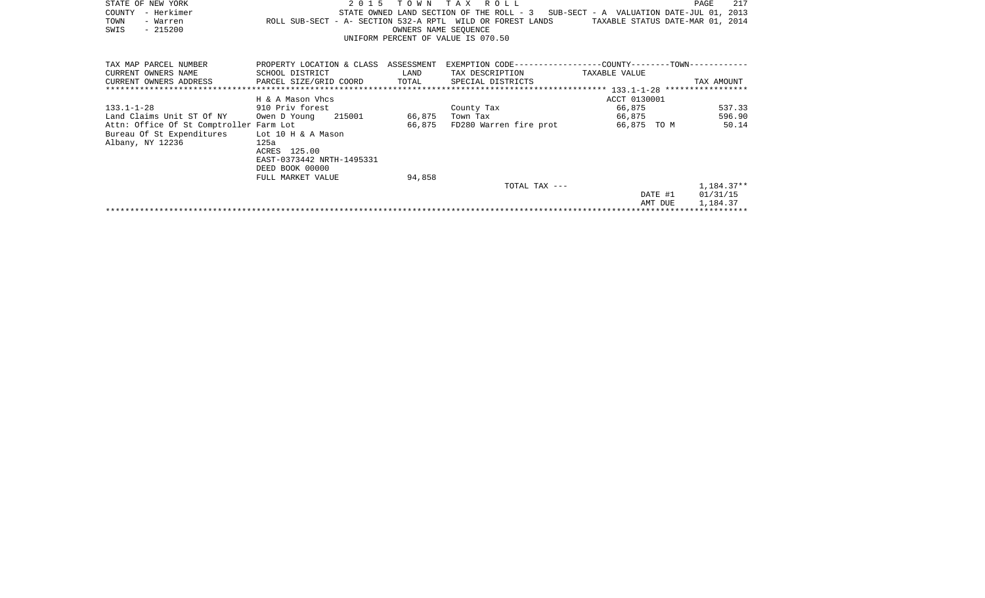| STATE OF NEW YORK                       | 2 0 1 5                                                    | TOWN                 | T A X<br>R O L L                         |                                                            | 217<br>PAGE |
|-----------------------------------------|------------------------------------------------------------|----------------------|------------------------------------------|------------------------------------------------------------|-------------|
| – Herkimer<br>COUNTY                    |                                                            |                      | STATE OWNED LAND SECTION OF THE ROLL - 3 | SUB-SECT - A VALUATION DATE-JUL 01, 2013                   |             |
| TOWN<br>- Warren                        | ROLL SUB-SECT - A- SECTION 532-A RPTL WILD OR FOREST LANDS |                      |                                          | TAXABLE STATUS DATE-MAR 01, 2014                           |             |
| $-215200$<br>SWIS                       |                                                            | OWNERS NAME SEOUENCE |                                          |                                                            |             |
|                                         |                                                            |                      | UNIFORM PERCENT OF VALUE IS 070.50       |                                                            |             |
|                                         |                                                            |                      |                                          |                                                            |             |
| TAX MAP PARCEL NUMBER                   | PROPERTY LOCATION & CLASS ASSESSMENT                       |                      |                                          | EXEMPTION CODE----------------COUNTY-------TOWN----------- |             |
| CURRENT OWNERS NAME                     | SCHOOL DISTRICT                                            | LAND                 | TAX DESCRIPTION                          | TAXABLE VALUE                                              |             |
| CURRENT OWNERS ADDRESS                  | PARCEL SIZE/GRID COORD                                     | TOTAL                | SPECIAL DISTRICTS                        |                                                            | TAX AMOUNT  |
|                                         |                                                            |                      |                                          |                                                            |             |
|                                         | H & A Mason Vhcs                                           |                      |                                          | ACCT 0130001                                               |             |
| $133.1 - 1 - 28$                        | 910 Priv forest                                            |                      | County Tax                               | 66,875                                                     | 537.33      |
| Land Claims Unit ST Of NY               | 215001<br>Owen D Young                                     | 66,875               | Town Tax                                 | 66,875                                                     | 596.90      |
| Attn: Office Of St Comptroller Farm Lot |                                                            | 66,875               | FD280 Warren fire prot                   | 66,875 TO M                                                | 50.14       |
| Bureau Of St Expenditures               | Lot 10 H & A Mason                                         |                      |                                          |                                                            |             |
| Albany, NY 12236                        | 125a                                                       |                      |                                          |                                                            |             |
|                                         | ACRES 125.00                                               |                      |                                          |                                                            |             |
|                                         | EAST-0373442 NRTH-1495331                                  |                      |                                          |                                                            |             |
|                                         | DEED BOOK 00000                                            |                      |                                          |                                                            |             |
|                                         | FULL MARKET VALUE                                          | 94,858               |                                          |                                                            |             |
|                                         |                                                            |                      | TOTAL TAX ---                            |                                                            | 1,184.37**  |
|                                         |                                                            |                      |                                          | DATE #1                                                    | 01/31/15    |
|                                         |                                                            |                      |                                          | AMT DUE                                                    | 1,184.37    |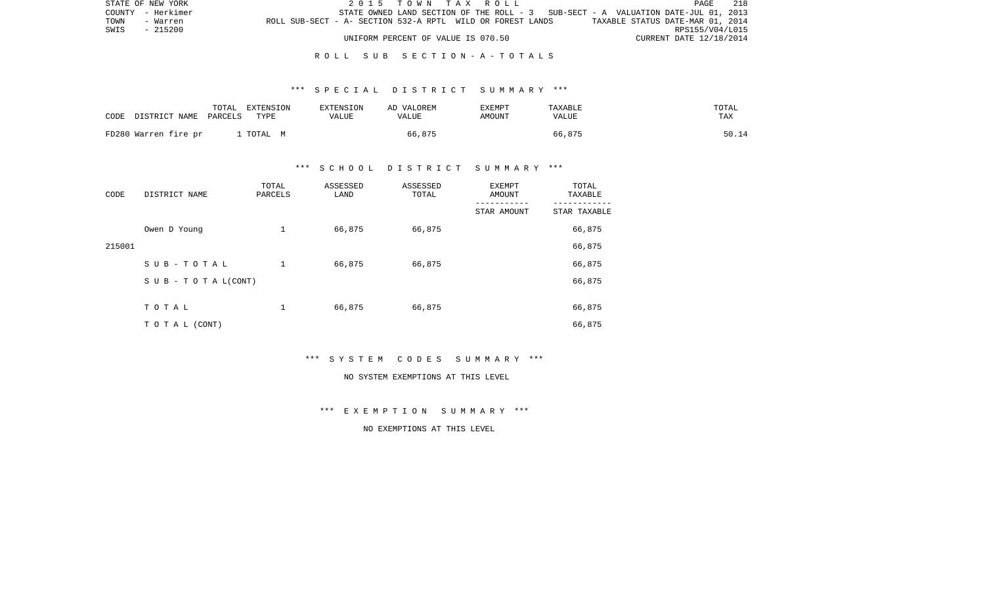| STATE OF NEW YORK |          |                                                            |                                    |  |  | 2015 TOWN TAX ROLL |                                                                                   |                                  | PAGE            | 218 |
|-------------------|----------|------------------------------------------------------------|------------------------------------|--|--|--------------------|-----------------------------------------------------------------------------------|----------------------------------|-----------------|-----|
| COUNTY - Herkimer |          |                                                            |                                    |  |  |                    | STATE OWNED LAND SECTION OF THE ROLL - 3 SUB-SECT - A VALUATION DATE-JUL 01, 2013 |                                  |                 |     |
| TOWN              | - Warren | ROLL SUB-SECT - A- SECTION 532-A RPTL WILD OR FOREST LANDS |                                    |  |  |                    |                                                                                   | TAXABLE STATUS DATE-MAR 01, 2014 |                 |     |
| SWIS<br>$-215200$ |          |                                                            |                                    |  |  |                    |                                                                                   |                                  | RPS155/V04/L015 |     |
|                   |          |                                                            | UNIFORM PERCENT OF VALUE IS 070.50 |  |  |                    |                                                                                   | CURRENT DATE 12/18/2014          |                 |     |

#### R O L L S U B S E C T I O N - A - T O T A L S

#### \*\*\* S P E C I A L D I S T R I C T S U M M A R Y \*\*\*

| CODE | DISTRICT NAME PARCELS | TOTAL | EXTENSION<br>TYPE | EXTENSION<br>VALUE | AD VALOREM<br>VALUE | <b>EXEMPT</b><br>AMOUNT | TAXABLE<br>VALUE | TOTAL<br>TAX |
|------|-----------------------|-------|-------------------|--------------------|---------------------|-------------------------|------------------|--------------|
|      | FD280 Warren fire pr  |       | . TOTAL M         |                    | 66,875              |                         | 66,875           | 50.14        |

### \*\*\* S C H O O L D I S T R I C T S U M M A R Y \*\*\*

| CODE   | DISTRICT NAME                    | TOTAL<br>PARCELS | ASSESSED<br>LAND | ASSESSED<br>TOTAL | EXEMPT<br>AMOUNT | TOTAL<br>TAXABLE |
|--------|----------------------------------|------------------|------------------|-------------------|------------------|------------------|
|        |                                  |                  |                  |                   | STAR AMOUNT      | STAR TAXABLE     |
|        | Owen D Young                     | 1                | 66,875           | 66,875            |                  | 66,875           |
| 215001 |                                  |                  |                  |                   |                  | 66,875           |
|        | SUB-TOTAL                        | $\mathbf 1$      | 66,875           | 66,875            |                  | 66,875           |
|        | $S \cup B - T \cup T A L (CONT)$ |                  |                  |                   |                  | 66,875           |
|        |                                  |                  |                  |                   |                  |                  |
|        | TOTAL                            | 1                | 66,875           | 66,875            |                  | 66,875           |
|        | T O T A L (CONT)                 |                  |                  |                   |                  | 66,875           |

\*\*\* S Y S T E M C O D E S S U M M A R Y \*\*\*

#### NO SYSTEM EXEMPTIONS AT THIS LEVEL

\*\*\* E X E M P T I O N S U M M A R Y \*\*\*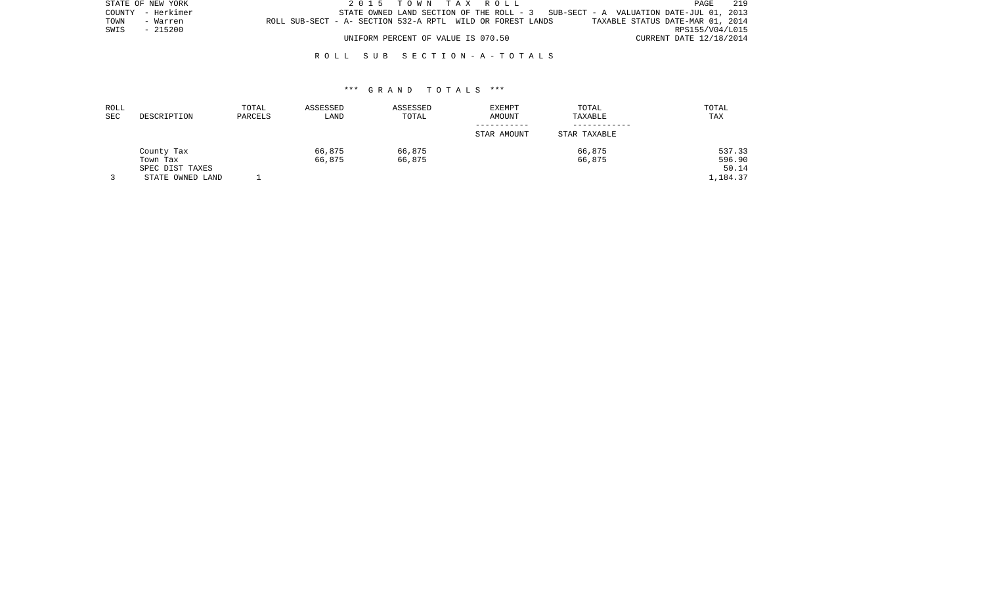|      | STATE OF NEW YORK |                                                            |  | 2015 TOWN TAX ROLL                 |  |                                                                                     |                                  |                         | PAGE | 219 |
|------|-------------------|------------------------------------------------------------|--|------------------------------------|--|-------------------------------------------------------------------------------------|----------------------------------|-------------------------|------|-----|
|      | COUNTY - Herkimer |                                                            |  |                                    |  | STATE OWNED LAND SECTION OF THE ROLL - $3$ SUB-SECT - A VALUATION DATE-JUL 01, 2013 |                                  |                         |      |     |
| TOWN | - Warren          | ROLL SUB-SECT - A- SECTION 532-A RPTL WILD OR FOREST LANDS |  |                                    |  |                                                                                     | TAXABLE STATUS DATE-MAR 01, 2014 |                         |      |     |
| SWIS | - 215200          |                                                            |  |                                    |  |                                                                                     |                                  | RPS155/V04/L015         |      |     |
|      |                   |                                                            |  | UNIFORM PERCENT OF VALUE IS 070.50 |  |                                                                                     |                                  | CURRENT DATE 12/18/2014 |      |     |

#### R O L L S U B S E C T I O N - A - T O T A L S

| ROLL<br>SEC | DESCRIPTION      | TOTAL<br>PARCELS | ASSESSED<br>LAND | ASSESSED<br>TOTAL | <b>EXEMPT</b><br>AMOUNT | TOTAL<br>TAXABLE | TOTAL<br>TAX |
|-------------|------------------|------------------|------------------|-------------------|-------------------------|------------------|--------------|
|             |                  |                  |                  |                   | STAR AMOUNT             | STAR TAXABLE     |              |
|             | County Tax       |                  | 66,875           | 66,875            |                         | 66,875           | 537.33       |
|             | Town Tax         |                  | 66,875           | 66,875            |                         | 66,875           | 596.90       |
|             | SPEC DIST TAXES  |                  |                  |                   |                         |                  | 50.14        |
|             | STATE OWNED LAND |                  |                  |                   |                         |                  | 1,184.37     |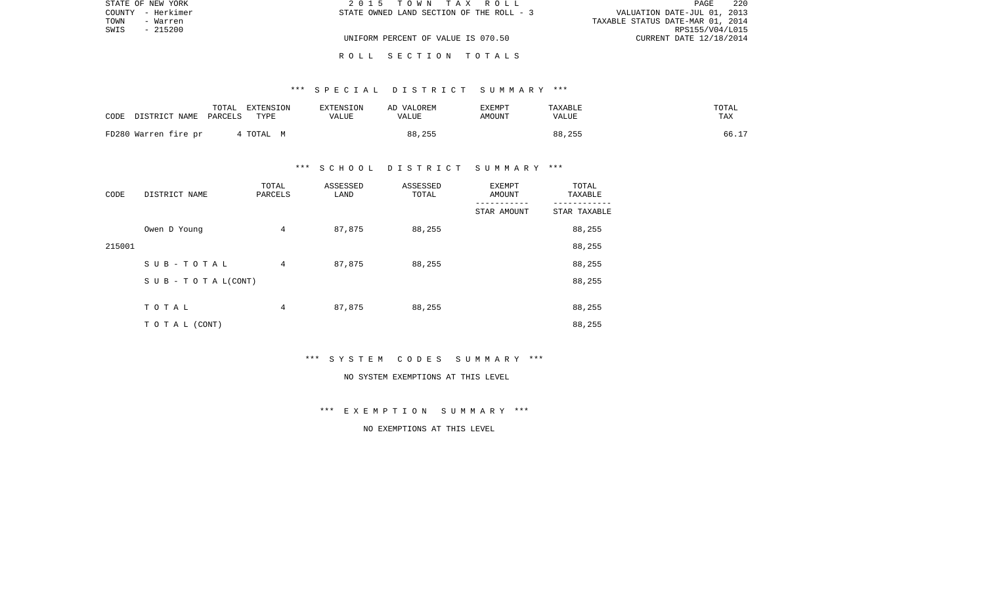|      | STATE OF NEW YORK | 2015 TOWN TAX ROLL                       | 220<br>PAGE                      |
|------|-------------------|------------------------------------------|----------------------------------|
|      | COUNTY - Herkimer | STATE OWNED LAND SECTION OF THE ROLL - 3 | VALUATION DATE-JUL 01, 2013      |
| TOWN | - Warren          |                                          | TAXABLE STATUS DATE-MAR 01, 2014 |
| SWIS | $-215200$         |                                          | RPS155/V04/L015                  |
|      |                   | UNIFORM PERCENT OF VALUE IS 070.50       | CURRENT DATE 12/18/2014          |
|      |                   |                                          |                                  |

## \*\*\* S P E C I A L D I S T R I C T S U M M A R Y \*\*\*

R O L L S E C T I O N T O T A L S

| CODE | DISTRICT NAME        | TOTAL<br>PARCELS | EXTENSION<br>TYPE | EXTENSION<br><b>VALUE</b> | AD VALOREM<br>VALUE | EXEMPT<br>AMOUNT | TAXABLE<br>VALUE | TOTAL<br>TAX |
|------|----------------------|------------------|-------------------|---------------------------|---------------------|------------------|------------------|--------------|
|      | FD280 Warren fire pr |                  | 4 TOTAL M         |                           | 88,255              |                  | 88,255           | 66.17        |

#### \*\*\* S C H O O L D I S T R I C T S U M M A R Y \*\*\*

| CODE   | DISTRICT NAME                    | TOTAL<br>PARCELS | ASSESSED<br>LAND | ASSESSED<br>TOTAL | EXEMPT<br>AMOUNT | TOTAL<br>TAXABLE |
|--------|----------------------------------|------------------|------------------|-------------------|------------------|------------------|
|        |                                  |                  |                  |                   | STAR AMOUNT      | STAR TAXABLE     |
|        | Owen D Young                     | 4                | 87,875           | 88,255            |                  | 88,255           |
| 215001 |                                  |                  |                  |                   |                  | 88,255           |
|        | SUB-TOTAL                        | 4                | 87,875           | 88,255            |                  | 88,255           |
|        | $S \cup B - T \cup T A L (CONT)$ |                  |                  |                   |                  | 88,255           |
|        |                                  |                  |                  |                   |                  |                  |
|        | TOTAL                            | 4                | 87,875           | 88,255            |                  | 88,255           |
|        | T O T A L (CONT)                 |                  |                  |                   |                  | 88,255           |

\*\*\* S Y S T E M C O D E S S U M M A R Y \*\*\*

#### NO SYSTEM EXEMPTIONS AT THIS LEVEL

\*\*\* E X E M P T I O N S U M M A R Y \*\*\*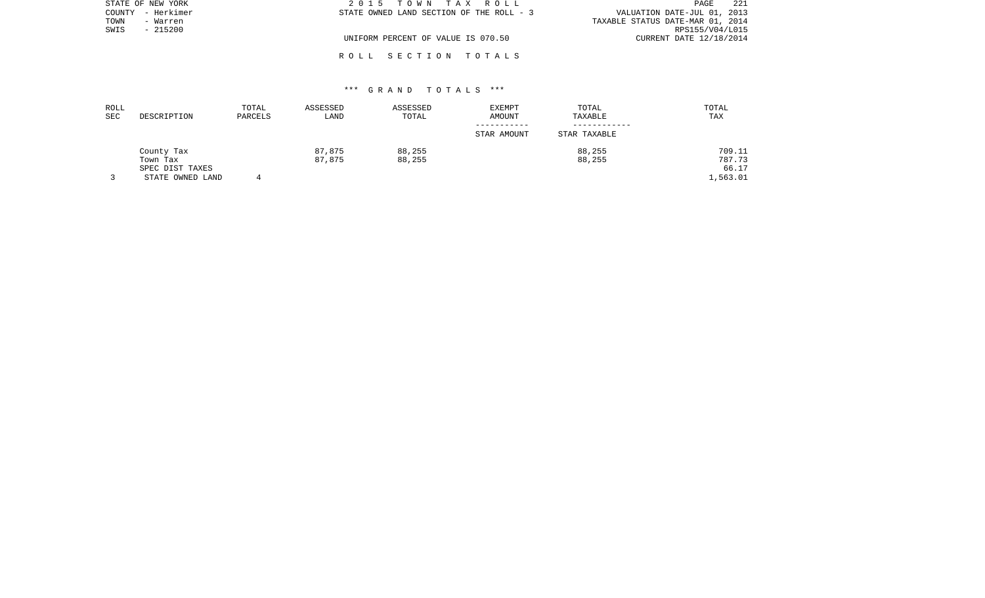|      | STATE OF NEW YORK | 2015 TOWN TAX ROLL                       | 221<br>PAGE                      |
|------|-------------------|------------------------------------------|----------------------------------|
|      | COUNTY - Herkimer | STATE OWNED LAND SECTION OF THE ROLL - 3 | VALUATION DATE-JUL 01, 2013      |
| TOWN | - Warren          |                                          | TAXABLE STATUS DATE-MAR 01, 2014 |
| SWIS | $-215200$         |                                          | RPS155/V04/L015                  |
|      |                   | UNIFORM PERCENT OF VALUE IS 070.50       | CURRENT DATE 12/18/2014          |
|      |                   |                                          |                                  |

# \*\*\* G R A N D T O T A L S \*\*\*

R O L L S E C T I O N T O T A L S

| ROLL<br><b>SEC</b> | DESCRIPTION      | TOTAL<br>PARCELS | ASSESSED<br>LAND | ASSESSED<br>TOTAL | <b>EXEMPT</b><br><b>AMOUNT</b> | TOTAL<br>TAXABLE | TOTAL<br>TAX |
|--------------------|------------------|------------------|------------------|-------------------|--------------------------------|------------------|--------------|
|                    |                  |                  |                  |                   | STAR AMOUNT                    | STAR TAXABLE     |              |
|                    | County Tax       |                  | 87,875           | 88,255            |                                | 88,255           | 709.11       |
|                    | Town Tax         |                  | 87,875           | 88,255            |                                | 88,255           | 787.73       |
|                    | SPEC DIST TAXES  |                  |                  |                   |                                |                  | 66.17        |
|                    | STATE OWNED LAND |                  |                  |                   |                                |                  | .,563.01     |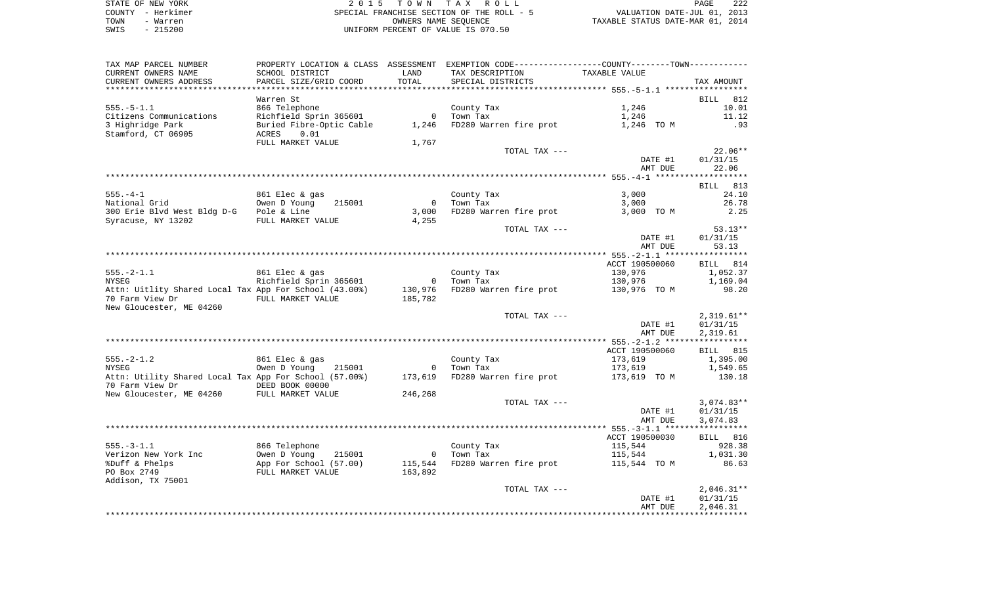| STATE OF NEW YORK | 2015 TOWN TAX ROLL                        | 222<br>PAGE                      |
|-------------------|-------------------------------------------|----------------------------------|
| COUNTY - Herkimer | SPECIAL FRANCHISE SECTION OF THE ROLL - 5 | VALUATION DATE-JUL 01, 2013      |
| TOWN<br>- Warren  | OWNERS NAME SEOUENCE                      | TAXABLE STATUS DATE-MAR 01, 2014 |
| $-215200$<br>SWIS | UNIFORM PERCENT OF VALUE IS 070.50        |                                  |

| TAX MAP PARCEL NUMBER<br>CURRENT OWNERS NAME                                                           | SCHOOL DISTRICT                                                              | LAND                                          | PROPERTY LOCATION & CLASS ASSESSMENT EXEMPTION CODE----------------COUNTY-------TOWN-----------<br>TAX DESCRIPTION | TAXABLE VALUE                      |                                      |
|--------------------------------------------------------------------------------------------------------|------------------------------------------------------------------------------|-----------------------------------------------|--------------------------------------------------------------------------------------------------------------------|------------------------------------|--------------------------------------|
| CURRENT OWNERS ADDRESS                                                                                 | PARCEL SIZE/GRID COORD                                                       | TOTAL                                         | SPECIAL DISTRICTS                                                                                                  |                                    | TAX AMOUNT                           |
|                                                                                                        | Warren St                                                                    |                                               |                                                                                                                    |                                    | <b>BILL</b><br>812                   |
| $555. - 5 - 1.1$<br>Citizens Communications<br>3 Highridge Park                                        | 866 Telephone<br>Richfield Sprin 365601<br>Buried Fibre-Optic Cable          | $\mathbf{0}$<br>1,246                         | County Tax<br>Town Tax<br>FD280 Warren fire prot                                                                   | 1,246<br>1,246<br>1,246 TO M       | 10.01<br>11.12<br>.93                |
| Stamford, CT 06905                                                                                     | ACRES<br>0.01<br>FULL MARKET VALUE                                           | 1,767                                         |                                                                                                                    |                                    |                                      |
|                                                                                                        |                                                                              |                                               | TOTAL TAX ---                                                                                                      |                                    | $22.06**$                            |
|                                                                                                        |                                                                              |                                               |                                                                                                                    | DATE #1<br>AMT DUE                 | 01/31/15<br>22.06                    |
|                                                                                                        |                                                                              |                                               |                                                                                                                    |                                    | **********                           |
| $555. - 4 - 1$<br>National Grid<br>300 Erie Blvd West Bldg D-G<br>Syracuse, NY 13202                   | 861 Elec & gas<br>Owen D Young<br>215001<br>Pole & Line<br>FULL MARKET VALUE | $\Omega$<br>3,000<br>4,255                    | County Tax<br>Town Tax<br>FD280 Warren fire prot                                                                   | 3,000<br>3,000<br>3,000 TO M       | BILL 813<br>24.10<br>26.78<br>2.25   |
|                                                                                                        |                                                                              |                                               | TOTAL TAX ---                                                                                                      |                                    | $53.13**$                            |
|                                                                                                        |                                                                              |                                               |                                                                                                                    | DATE #1<br>AMT DUE                 | 01/31/15<br>53.13                    |
|                                                                                                        |                                                                              |                                               |                                                                                                                    | ACCT 190500060                     | BILL 814                             |
| $555. - 2 - 1.1$<br>NYSEG<br>Attn: Uitlity Shared Local Tax App For School (43.00%)<br>70 Farm View Dr | 861 Elec & gas<br>Richfield Sprin 365601<br>FULL MARKET VALUE                | $\overline{\mathbf{0}}$<br>130,976<br>185,782 | County Tax<br>Town Tax<br>FD280 Warren fire prot                                                                   | 130,976<br>130,976<br>130,976 TO M | 1,052.37<br>1,169.04<br>98.20        |
| New Gloucester, ME 04260                                                                               |                                                                              |                                               | TOTAL TAX ---                                                                                                      |                                    | $2,319.61**$                         |
|                                                                                                        |                                                                              |                                               |                                                                                                                    | DATE #1<br>AMT DUE                 | 01/31/15<br>2,319.61                 |
|                                                                                                        |                                                                              |                                               |                                                                                                                    |                                    |                                      |
| $555. - 2 - 1.2$                                                                                       | 861 Elec & gas                                                               |                                               | County Tax                                                                                                         | ACCT 190500060<br>173,619          | BILL 815<br>1,395.00                 |
| NYSEG                                                                                                  | Owen D Young<br>215001                                                       | $\mathbf 0$                                   | Town Tax                                                                                                           | 173,619                            | 1,549.65                             |
| Attn: Utility Shared Local Tax App For School (57.00%)<br>70 Farm View Dr                              | DEED BOOK 00000                                                              | 173,619                                       | FD280 Warren fire prot                                                                                             | 173,619 TO M                       | 130.18                               |
| New Gloucester, ME 04260 FULL MARKET VALUE                                                             |                                                                              | 246,268                                       |                                                                                                                    |                                    |                                      |
|                                                                                                        |                                                                              |                                               | TOTAL TAX ---                                                                                                      | DATE #1<br>AMT DUE                 | $3,074.83**$<br>01/31/15<br>3,074.83 |
|                                                                                                        |                                                                              |                                               |                                                                                                                    |                                    |                                      |
|                                                                                                        |                                                                              |                                               |                                                                                                                    | ACCT 190500030                     | BILL 816                             |
| $555. - 3 - 1.1$                                                                                       | 866 Telephone                                                                |                                               | County Tax<br>Town Tax                                                                                             | 115,544                            | 928.38                               |
| Verizon New York Inc<br>%Duff & Phelps<br>PO Box 2749                                                  | Owen D Young<br>215001<br>App For School (57.00)<br>FULL MARKET VALUE        | $\overline{0}$<br>115,544<br>163,892          | FD280 Warren fire prot                                                                                             | 115,544<br>115,544 TO M            | 1,031.30<br>86.63                    |
| Addison, TX 75001                                                                                      |                                                                              |                                               | TOTAL TAX ---                                                                                                      |                                    | $2,046.31**$                         |
|                                                                                                        |                                                                              |                                               |                                                                                                                    | DATE #1<br>AMT DUE                 | 01/31/15<br>2,046.31                 |
|                                                                                                        |                                                                              |                                               |                                                                                                                    |                                    |                                      |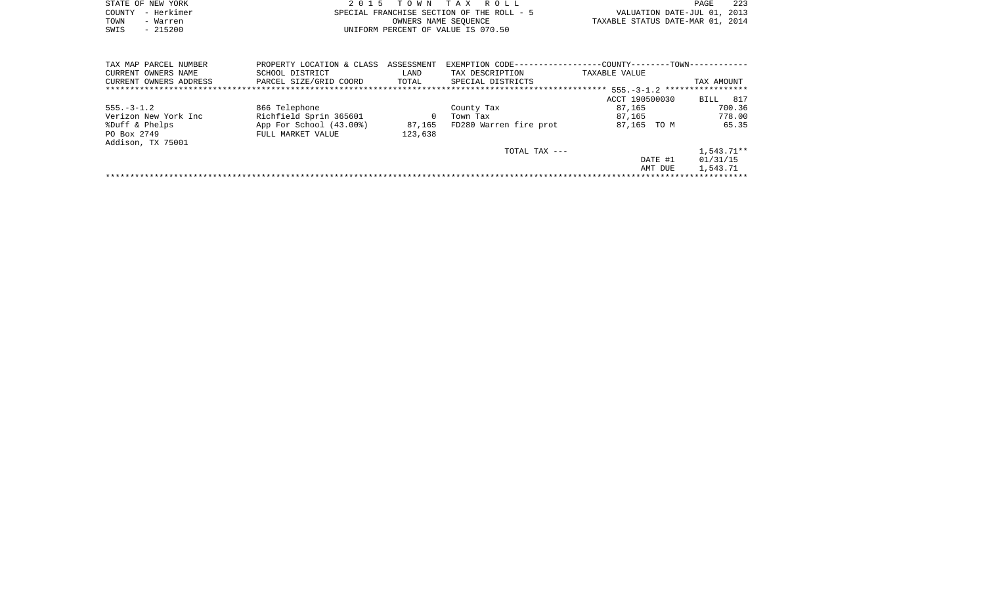| STATE OF NEW YORK | 2015 TOWN TAX ROLL                        | 22.3<br>PAGE                     |
|-------------------|-------------------------------------------|----------------------------------|
| COUNTY - Herkimer | SPECIAL FRANCHISE SECTION OF THE ROLL - 5 | VALUATION DATE-JUL 01, 2013      |
| TOWN<br>- Warren  | OWNERS NAME SEOUENCE                      | TAXABLE STATUS DATE-MAR 01, 2014 |
| $-215200$<br>SWIS | UNIFORM PERCENT OF VALUE IS 070.50        |                                  |

| TAX MAP PARCEL NUMBER  | PROPERTY LOCATION & CLASS | ASSESSMENT | EXEMPTION CODE--       | -COUNTY--------TOWN------------ |              |
|------------------------|---------------------------|------------|------------------------|---------------------------------|--------------|
| CURRENT OWNERS NAME    | SCHOOL DISTRICT           | LAND       | TAX DESCRIPTION        | TAXABLE VALUE                   |              |
| CURRENT OWNERS ADDRESS | PARCEL SIZE/GRID COORD    | TOTAL      | SPECIAL DISTRICTS      |                                 | TAX AMOUNT   |
|                        |                           |            |                        |                                 |              |
|                        |                           |            |                        | ACCT 190500030                  | 817<br>BILL  |
| $555. - 3 - 1.2$       | 866 Telephone             |            | County Tax             | 87,165                          | 700.36       |
| Verizon New York Inc   | Richfield Sprin 365601    |            | Town Tax               | 87.165                          | 778.00       |
| %Duff & Phelps         | App For School (43.00%)   | 87,165     | FD280 Warren fire prot | 87,165 TO M                     | 65.35        |
| PO Box 2749            | FULL MARKET VALUE         | 123,638    |                        |                                 |              |
| Addison, TX 75001      |                           |            |                        |                                 |              |
|                        |                           |            | TOTAL TAX ---          |                                 | $1.543.71**$ |
|                        |                           |            |                        | DATE #1                         | 01/31/15     |
|                        |                           |            |                        | AMT DUE                         | 1,543.71     |
|                        |                           |            |                        |                                 |              |
|                        |                           |            |                        |                                 |              |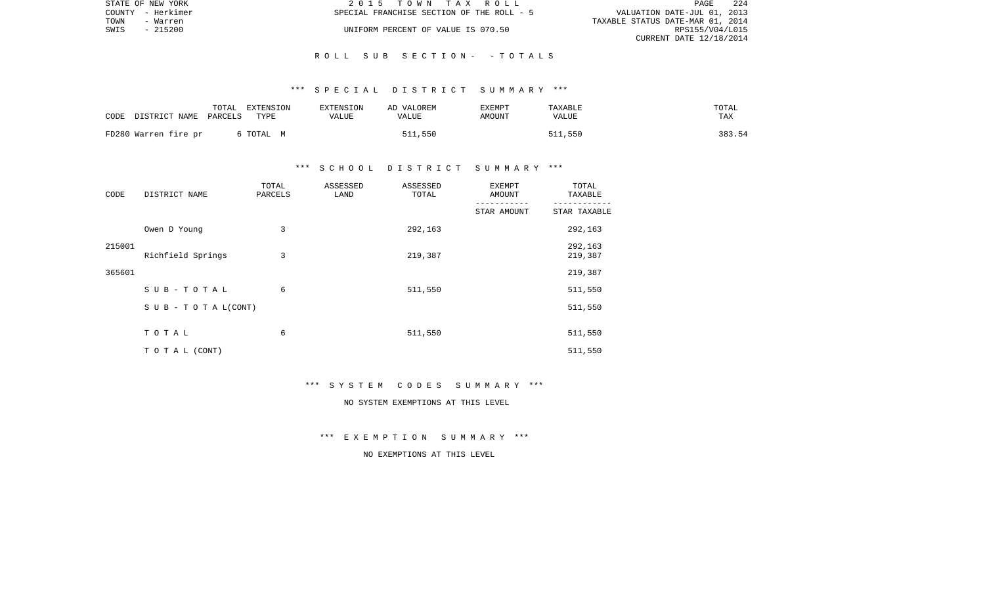|      | STATE OF NEW YORK | 2015 TOWN TAX ROLL                        | <b>PAGE</b>                      | 224 |
|------|-------------------|-------------------------------------------|----------------------------------|-----|
|      | COUNTY - Herkimer | SPECIAL FRANCHISE SECTION OF THE ROLL - 5 | VALUATION DATE-JUL 01, 2013      |     |
| TOWN | - Warren          |                                           | TAXABLE STATUS DATE-MAR 01, 2014 |     |
| SWIS | - 215200          | UNIFORM PERCENT OF VALUE IS 070.50        | RPS155/V04/L015                  |     |
|      |                   |                                           | CURRENT DATE 12/18/2014          |     |

#### R O L L S U B S E C T I O N - - T O T A L S

#### \*\*\* S P E C I A L D I S T R I C T S U M M A R Y \*\*\*

| CODE | DISTRICT NAME        | TOTAL<br>PARCELS | EXTENSION<br>TYPE | EXTENSION<br>VALUE | AD VALOREM<br>VALUE | <b>EXEMPT</b><br>AMOUNT | TAXABLE<br>VALUE | TOTAL<br>TAX |
|------|----------------------|------------------|-------------------|--------------------|---------------------|-------------------------|------------------|--------------|
|      | FD280 Warren fire pr |                  | 6 TOTAL M         |                    | 511,550             |                         | 511,550          | 383.54       |

#### \*\*\* S C H O O L D I S T R I C T S U M M A R Y \*\*\*

| CODE   | DISTRICT NAME      | TOTAL<br>PARCELS | ASSESSED<br>LAND | ASSESSED<br>TOTAL | <b>EXEMPT</b><br>AMOUNT | TOTAL<br>TAXABLE   |  |
|--------|--------------------|------------------|------------------|-------------------|-------------------------|--------------------|--|
|        |                    |                  |                  |                   | STAR AMOUNT             | STAR TAXABLE       |  |
|        | Owen D Young       | 3                |                  | 292,163           |                         | 292,163            |  |
| 215001 | Richfield Springs  | 3                |                  | 219,387           |                         | 292,163<br>219,387 |  |
| 365601 |                    |                  |                  |                   |                         | 219,387            |  |
|        | $SUB - TO T AL$    | 6                |                  | 511,550           |                         | 511,550            |  |
|        | SUB - TO TAL(CONT) |                  |                  |                   |                         | 511,550            |  |
|        | TOTAL              | 6                |                  | 511,550           |                         | 511,550            |  |
|        | T O T A L (CONT)   |                  |                  |                   |                         | 511,550            |  |

#### \*\*\* S Y S T E M C O D E S S U M M A R Y \*\*\*

# NO SYSTEM EXEMPTIONS AT THIS LEVEL

\*\*\* E X E M P T I O N S U M M A R Y \*\*\*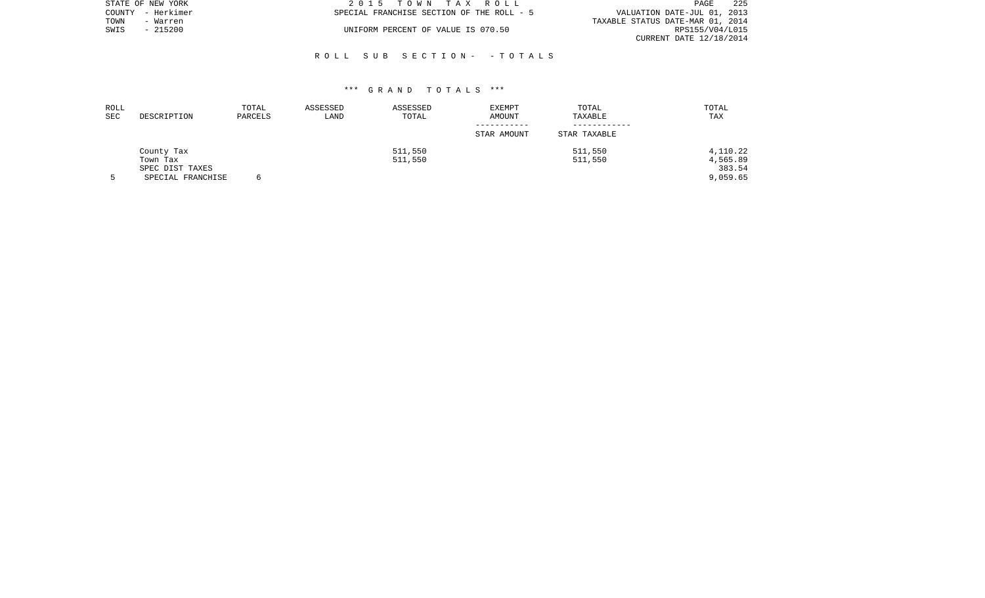|      | STATE OF NEW YORK | 2015 TOWN TAX ROLL                        | - 225<br>PAGE                    |
|------|-------------------|-------------------------------------------|----------------------------------|
|      | COUNTY - Herkimer | SPECIAL FRANCHISE SECTION OF THE ROLL - 5 | VALUATION DATE-JUL 01, 2013      |
| TOWN | - Warren          |                                           | TAXABLE STATUS DATE-MAR 01, 2014 |
| SWIS | - 215200          | UNIFORM PERCENT OF VALUE IS 070.50        | RPS155/V04/L015                  |
|      |                   |                                           | CURRENT DATE 12/18/2014          |

#### R O L L S U B S E C T I O N - - T O T A L S

| ROLL<br><b>SEC</b> | DESCRIPTION       | TOTAL<br>PARCELS | ASSESSED<br>LAND | ASSESSED<br>TOTAL | EXEMPT<br>AMOUNT | TOTAL<br>TAXABLE | TOTAL<br>TAX |
|--------------------|-------------------|------------------|------------------|-------------------|------------------|------------------|--------------|
|                    |                   |                  |                  |                   | STAR AMOUNT      | STAR TAXABLE     |              |
|                    |                   |                  |                  |                   |                  |                  |              |
|                    | County Tax        |                  |                  | 511,550           |                  | 511,550          | 4,110.22     |
|                    | Town Tax          |                  |                  | 511,550           |                  | 511,550          | 4,565.89     |
|                    | SPEC DIST TAXES   |                  |                  |                   |                  |                  | 383.54       |
|                    | SPECIAL FRANCHISE |                  |                  |                   |                  |                  | 9,059.65     |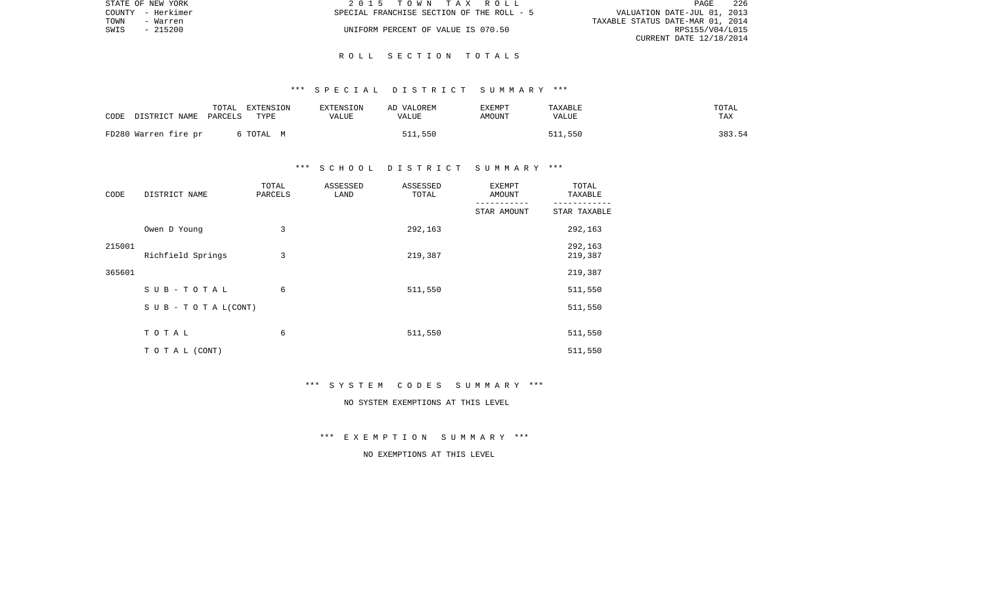|      | STATE OF NEW YORK | 2015 TOWN TAX ROLL                        | PAGE                        | -226 |
|------|-------------------|-------------------------------------------|-----------------------------|------|
|      | COUNTY - Herkimer | SPECIAL FRANCHISE SECTION OF THE ROLL - 5 | VALUATION DATE-JUL 01, 2013 |      |
| TOWN | - Warren          | TAXABLE STATUS DATE-MAR 01, 2014          |                             |      |
| SWIS | - 215200          | UNIFORM PERCENT OF VALUE IS 070.50        | RPS155/V04/L015             |      |
|      |                   |                                           | CURRENT DATE 12/18/2014     |      |

#### R O L L S E C T I O N T O T A L S

#### \*\*\* S P E C I A L D I S T R I C T S U M M A R Y \*\*\*

| CODE | DISTRICT NAME        | TOTAL<br>PARCELS | EXTENSION<br>TYPE | EXTENSION<br>VALUE | AD VALOREM<br>VALUE | EXEMPT<br>AMOUNT | TAXABLE<br>VALUE | TOTAL<br>TAX |        |
|------|----------------------|------------------|-------------------|--------------------|---------------------|------------------|------------------|--------------|--------|
|      | FD280 Warren fire pr |                  | 6 TOTAL M         |                    | 511,550             |                  | 511,550          |              | 383.54 |

## \*\*\* S C H O O L D I S T R I C T S U M M A R Y \*\*\*

| CODE   | DISTRICT NAME                    | TOTAL<br>PARCELS | ASSESSED<br>LAND | ASSESSED<br>TOTAL | <b>EXEMPT</b><br>AMOUNT | TOTAL<br>TAXABLE   |
|--------|----------------------------------|------------------|------------------|-------------------|-------------------------|--------------------|
|        |                                  |                  |                  |                   | STAR AMOUNT             | STAR TAXABLE       |
|        | Owen D Young                     | 3                |                  | 292,163           |                         | 292,163            |
| 215001 | Richfield Springs                | 3                |                  | 219,387           |                         | 292,163<br>219,387 |
| 365601 |                                  |                  |                  |                   |                         | 219,387            |
|        | $SUB - TO T AL$                  | 6                |                  | 511,550           |                         | 511,550            |
|        | $S \cup B - T \cup T A L (CONT)$ |                  |                  |                   |                         | 511,550            |
|        | TOTAL                            | 6                |                  | 511,550           |                         | 511,550            |
|        | TO TAL (CONT)                    |                  |                  |                   |                         | 511,550            |

#### \*\*\* S Y S T E M C O D E S S U M M A R Y \*\*\*

# NO SYSTEM EXEMPTIONS AT THIS LEVEL

\*\*\* E X E M P T I O N S U M M A R Y \*\*\*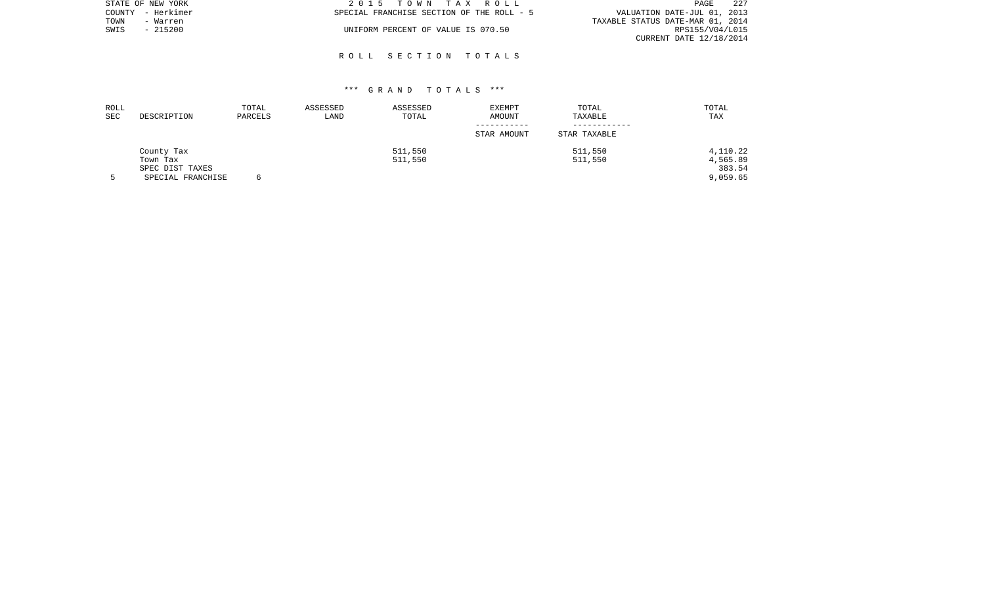|      | STATE OF NEW YORK | 2015 TOWN TAX ROLL                        | 227<br>PAGE                      |
|------|-------------------|-------------------------------------------|----------------------------------|
|      | COUNTY - Herkimer | SPECIAL FRANCHISE SECTION OF THE ROLL - 5 | VALUATION DATE-JUL 01, 2013      |
| TOWN | - Warren          |                                           | TAXABLE STATUS DATE-MAR 01, 2014 |
| SWIS | - 215200          | UNIFORM PERCENT OF VALUE IS 070.50        | RPS155/V04/L015                  |
|      |                   |                                           | CURRENT DATE 12/18/2014          |

#### R O L L S E C T I O N T O T A L S

| ROLL<br>SEC | DESCRIPTION       | TOTAL<br>PARCELS | ASSESSED<br>LAND | ASSESSED<br>TOTAL | EXEMPT<br>AMOUNT | TOTAL<br>TAXABLE | TOTAL<br>TAX |
|-------------|-------------------|------------------|------------------|-------------------|------------------|------------------|--------------|
|             |                   |                  |                  |                   | STAR AMOUNT      | STAR TAXABLE     |              |
|             | County Tax        |                  |                  | 511,550           |                  | 511,550          | 4,110.22     |
|             | Town Tax          |                  |                  | 511,550           |                  | 511,550          | 4,565.89     |
|             | SPEC DIST TAXES   |                  |                  |                   |                  |                  | 383.54       |
|             | SPECIAL FRANCHISE |                  |                  |                   |                  |                  | 9,059.65     |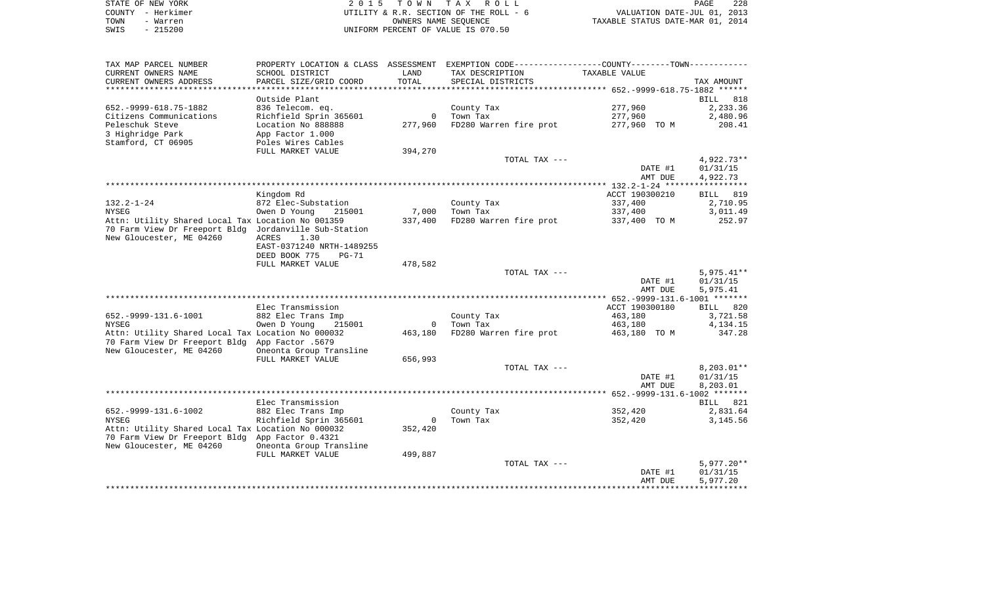| STATE OF NEW YORK | 2015 TOWN TAX ROLL                     | 228<br>PAGE                      |
|-------------------|----------------------------------------|----------------------------------|
| COUNTY - Herkimer | UTILITY & R.R. SECTION OF THE ROLL - 6 | VALUATION DATE-JUL 01, 2013      |
| TOWN<br>- Warren  | OWNERS NAME SEOUENCE                   | TAXABLE STATUS DATE-MAR 01, 2014 |
| $-215200$<br>SWIS | UNIFORM PERCENT OF VALUE IS 070.50     |                                  |

| SCHOOL DISTRICT<br>TAX DESCRIPTION<br>TAXABLE VALUE<br>LAND<br>TOTAL<br>PARCEL SIZE/GRID COORD<br>SPECIAL DISTRICTS<br>TAX AMOUNT<br>*********************************    652.-9999-618.75-1882                   ******<br>***************<br>*************<br>Outside Plant<br>BILL 818<br>277,960<br>652. - 9999 - 618. 75 - 1882<br>836 Telecom. eq.<br>County Tax<br>2,233.36<br>Citizens Communications<br>Richfield Sprin 365601<br>Town Tax<br>277,960<br>2,480.96<br>$\Omega$<br>Peleschuk Steve<br>277,960<br>FD280 Warren fire prot<br>277,960 TO M<br>Location No 888888<br>208.41<br>3 Highridge Park<br>App Factor 1.000<br>Stamford, CT 06905<br>Poles Wires Cables<br>FULL MARKET VALUE<br>394,270<br>TOTAL TAX ---<br>4,922.73**<br>DATE #1<br>01/31/15<br>AMT DUE<br>4,922.73<br>Kingdom Rd<br>ACCT 190300210<br>819<br>BILL<br>872 Elec-Substation<br>337,400<br>2,710.95<br>County Tax<br>7,000<br>Town Tax<br>337,400<br>Owen D Young<br>215001<br>3,011.49<br>Attn: Utility Shared Local Tax Location No 001359<br>337,400<br>FD280 Warren fire prot<br>252.97<br>337,400 TO M<br>70 Farm View Dr Freeport Bldg Jordanville Sub-Station<br>ACRES<br>1.30<br>EAST-0371240 NRTH-1489255<br>DEED BOOK 775<br>PG-71<br>FULL MARKET VALUE<br>478,582<br>$5,975.41**$<br>TOTAL TAX ---<br>DATE #1<br>01/31/15<br>5,975.41<br>AMT DUE<br>ACCT 190300180<br>Elec Transmission<br>BILL 820<br>652. - 9999 - 131. 6 - 1001<br>882 Elec Trans Imp<br>County Tax<br>463,180<br>3,721.58<br>4, 134. 15<br><b>NYSEG</b><br>Owen D Young<br>215001<br>Town Tax<br>463,180<br>$\Omega$<br>Attn: Utility Shared Local Tax Location No 000032<br>463,180<br>FD280 Warren fire prot<br>463,180 TO M<br>347.28<br>70 Farm View Dr Freeport Bldg App Factor .5679<br>Oneonta Group Transline<br>656,993<br>FULL MARKET VALUE<br>$8,203.01**$<br>TOTAL TAX ---<br>DATE #1<br>01/31/15<br>AMT DUE<br>8,203.01<br>Elec Transmission<br>BILL 821<br>652. - 9999 - 131. 6 - 1002<br>352,420<br>882 Elec Trans Imp<br>County Tax<br>2,831.64<br>Richfield Sprin 365601<br>Town Tax<br>352,420<br>3,145.56<br>NYSEG<br>$\mathbf 0$<br>Attn: Utility Shared Local Tax Location No 000032<br>352,420<br>70 Farm View Dr Freeport Bldg App Factor 0.4321<br>New Gloucester, ME 04260<br>Oneonta Group Transline<br>FULL MARKET VALUE<br>499,887<br>$5,977.20**$<br>TOTAL TAX ---<br>DATE #1<br>01/31/15<br>AMT DUE<br>5,977.20 | TAX MAP PARCEL NUMBER    |  | PROPERTY LOCATION & CLASS ASSESSMENT EXEMPTION CODE---------------COUNTY-------TOWN---------- |  |
|-----------------------------------------------------------------------------------------------------------------------------------------------------------------------------------------------------------------------------------------------------------------------------------------------------------------------------------------------------------------------------------------------------------------------------------------------------------------------------------------------------------------------------------------------------------------------------------------------------------------------------------------------------------------------------------------------------------------------------------------------------------------------------------------------------------------------------------------------------------------------------------------------------------------------------------------------------------------------------------------------------------------------------------------------------------------------------------------------------------------------------------------------------------------------------------------------------------------------------------------------------------------------------------------------------------------------------------------------------------------------------------------------------------------------------------------------------------------------------------------------------------------------------------------------------------------------------------------------------------------------------------------------------------------------------------------------------------------------------------------------------------------------------------------------------------------------------------------------------------------------------------------------------------------------------------------------------------------------------------------------------------------------------------------------------------------------------------------------------------------------------------------------------------------------------------------------------------------------------------------------------------------------------------------------------------------------------------------------------------------------------------------------------------------------|--------------------------|--|-----------------------------------------------------------------------------------------------|--|
|                                                                                                                                                                                                                                                                                                                                                                                                                                                                                                                                                                                                                                                                                                                                                                                                                                                                                                                                                                                                                                                                                                                                                                                                                                                                                                                                                                                                                                                                                                                                                                                                                                                                                                                                                                                                                                                                                                                                                                                                                                                                                                                                                                                                                                                                                                                                                                                                                       | CURRENT OWNERS NAME      |  |                                                                                               |  |
|                                                                                                                                                                                                                                                                                                                                                                                                                                                                                                                                                                                                                                                                                                                                                                                                                                                                                                                                                                                                                                                                                                                                                                                                                                                                                                                                                                                                                                                                                                                                                                                                                                                                                                                                                                                                                                                                                                                                                                                                                                                                                                                                                                                                                                                                                                                                                                                                                       | CURRENT OWNERS ADDRESS   |  |                                                                                               |  |
|                                                                                                                                                                                                                                                                                                                                                                                                                                                                                                                                                                                                                                                                                                                                                                                                                                                                                                                                                                                                                                                                                                                                                                                                                                                                                                                                                                                                                                                                                                                                                                                                                                                                                                                                                                                                                                                                                                                                                                                                                                                                                                                                                                                                                                                                                                                                                                                                                       |                          |  |                                                                                               |  |
|                                                                                                                                                                                                                                                                                                                                                                                                                                                                                                                                                                                                                                                                                                                                                                                                                                                                                                                                                                                                                                                                                                                                                                                                                                                                                                                                                                                                                                                                                                                                                                                                                                                                                                                                                                                                                                                                                                                                                                                                                                                                                                                                                                                                                                                                                                                                                                                                                       |                          |  |                                                                                               |  |
|                                                                                                                                                                                                                                                                                                                                                                                                                                                                                                                                                                                                                                                                                                                                                                                                                                                                                                                                                                                                                                                                                                                                                                                                                                                                                                                                                                                                                                                                                                                                                                                                                                                                                                                                                                                                                                                                                                                                                                                                                                                                                                                                                                                                                                                                                                                                                                                                                       |                          |  |                                                                                               |  |
|                                                                                                                                                                                                                                                                                                                                                                                                                                                                                                                                                                                                                                                                                                                                                                                                                                                                                                                                                                                                                                                                                                                                                                                                                                                                                                                                                                                                                                                                                                                                                                                                                                                                                                                                                                                                                                                                                                                                                                                                                                                                                                                                                                                                                                                                                                                                                                                                                       |                          |  |                                                                                               |  |
|                                                                                                                                                                                                                                                                                                                                                                                                                                                                                                                                                                                                                                                                                                                                                                                                                                                                                                                                                                                                                                                                                                                                                                                                                                                                                                                                                                                                                                                                                                                                                                                                                                                                                                                                                                                                                                                                                                                                                                                                                                                                                                                                                                                                                                                                                                                                                                                                                       |                          |  |                                                                                               |  |
|                                                                                                                                                                                                                                                                                                                                                                                                                                                                                                                                                                                                                                                                                                                                                                                                                                                                                                                                                                                                                                                                                                                                                                                                                                                                                                                                                                                                                                                                                                                                                                                                                                                                                                                                                                                                                                                                                                                                                                                                                                                                                                                                                                                                                                                                                                                                                                                                                       |                          |  |                                                                                               |  |
|                                                                                                                                                                                                                                                                                                                                                                                                                                                                                                                                                                                                                                                                                                                                                                                                                                                                                                                                                                                                                                                                                                                                                                                                                                                                                                                                                                                                                                                                                                                                                                                                                                                                                                                                                                                                                                                                                                                                                                                                                                                                                                                                                                                                                                                                                                                                                                                                                       |                          |  |                                                                                               |  |
|                                                                                                                                                                                                                                                                                                                                                                                                                                                                                                                                                                                                                                                                                                                                                                                                                                                                                                                                                                                                                                                                                                                                                                                                                                                                                                                                                                                                                                                                                                                                                                                                                                                                                                                                                                                                                                                                                                                                                                                                                                                                                                                                                                                                                                                                                                                                                                                                                       |                          |  |                                                                                               |  |
|                                                                                                                                                                                                                                                                                                                                                                                                                                                                                                                                                                                                                                                                                                                                                                                                                                                                                                                                                                                                                                                                                                                                                                                                                                                                                                                                                                                                                                                                                                                                                                                                                                                                                                                                                                                                                                                                                                                                                                                                                                                                                                                                                                                                                                                                                                                                                                                                                       |                          |  |                                                                                               |  |
|                                                                                                                                                                                                                                                                                                                                                                                                                                                                                                                                                                                                                                                                                                                                                                                                                                                                                                                                                                                                                                                                                                                                                                                                                                                                                                                                                                                                                                                                                                                                                                                                                                                                                                                                                                                                                                                                                                                                                                                                                                                                                                                                                                                                                                                                                                                                                                                                                       |                          |  |                                                                                               |  |
|                                                                                                                                                                                                                                                                                                                                                                                                                                                                                                                                                                                                                                                                                                                                                                                                                                                                                                                                                                                                                                                                                                                                                                                                                                                                                                                                                                                                                                                                                                                                                                                                                                                                                                                                                                                                                                                                                                                                                                                                                                                                                                                                                                                                                                                                                                                                                                                                                       |                          |  |                                                                                               |  |
|                                                                                                                                                                                                                                                                                                                                                                                                                                                                                                                                                                                                                                                                                                                                                                                                                                                                                                                                                                                                                                                                                                                                                                                                                                                                                                                                                                                                                                                                                                                                                                                                                                                                                                                                                                                                                                                                                                                                                                                                                                                                                                                                                                                                                                                                                                                                                                                                                       |                          |  |                                                                                               |  |
|                                                                                                                                                                                                                                                                                                                                                                                                                                                                                                                                                                                                                                                                                                                                                                                                                                                                                                                                                                                                                                                                                                                                                                                                                                                                                                                                                                                                                                                                                                                                                                                                                                                                                                                                                                                                                                                                                                                                                                                                                                                                                                                                                                                                                                                                                                                                                                                                                       | $132.2 - 1 - 24$         |  |                                                                                               |  |
|                                                                                                                                                                                                                                                                                                                                                                                                                                                                                                                                                                                                                                                                                                                                                                                                                                                                                                                                                                                                                                                                                                                                                                                                                                                                                                                                                                                                                                                                                                                                                                                                                                                                                                                                                                                                                                                                                                                                                                                                                                                                                                                                                                                                                                                                                                                                                                                                                       | NYSEG                    |  |                                                                                               |  |
|                                                                                                                                                                                                                                                                                                                                                                                                                                                                                                                                                                                                                                                                                                                                                                                                                                                                                                                                                                                                                                                                                                                                                                                                                                                                                                                                                                                                                                                                                                                                                                                                                                                                                                                                                                                                                                                                                                                                                                                                                                                                                                                                                                                                                                                                                                                                                                                                                       |                          |  |                                                                                               |  |
|                                                                                                                                                                                                                                                                                                                                                                                                                                                                                                                                                                                                                                                                                                                                                                                                                                                                                                                                                                                                                                                                                                                                                                                                                                                                                                                                                                                                                                                                                                                                                                                                                                                                                                                                                                                                                                                                                                                                                                                                                                                                                                                                                                                                                                                                                                                                                                                                                       |                          |  |                                                                                               |  |
|                                                                                                                                                                                                                                                                                                                                                                                                                                                                                                                                                                                                                                                                                                                                                                                                                                                                                                                                                                                                                                                                                                                                                                                                                                                                                                                                                                                                                                                                                                                                                                                                                                                                                                                                                                                                                                                                                                                                                                                                                                                                                                                                                                                                                                                                                                                                                                                                                       | New Gloucester, ME 04260 |  |                                                                                               |  |
|                                                                                                                                                                                                                                                                                                                                                                                                                                                                                                                                                                                                                                                                                                                                                                                                                                                                                                                                                                                                                                                                                                                                                                                                                                                                                                                                                                                                                                                                                                                                                                                                                                                                                                                                                                                                                                                                                                                                                                                                                                                                                                                                                                                                                                                                                                                                                                                                                       |                          |  |                                                                                               |  |
|                                                                                                                                                                                                                                                                                                                                                                                                                                                                                                                                                                                                                                                                                                                                                                                                                                                                                                                                                                                                                                                                                                                                                                                                                                                                                                                                                                                                                                                                                                                                                                                                                                                                                                                                                                                                                                                                                                                                                                                                                                                                                                                                                                                                                                                                                                                                                                                                                       |                          |  |                                                                                               |  |
|                                                                                                                                                                                                                                                                                                                                                                                                                                                                                                                                                                                                                                                                                                                                                                                                                                                                                                                                                                                                                                                                                                                                                                                                                                                                                                                                                                                                                                                                                                                                                                                                                                                                                                                                                                                                                                                                                                                                                                                                                                                                                                                                                                                                                                                                                                                                                                                                                       |                          |  |                                                                                               |  |
|                                                                                                                                                                                                                                                                                                                                                                                                                                                                                                                                                                                                                                                                                                                                                                                                                                                                                                                                                                                                                                                                                                                                                                                                                                                                                                                                                                                                                                                                                                                                                                                                                                                                                                                                                                                                                                                                                                                                                                                                                                                                                                                                                                                                                                                                                                                                                                                                                       |                          |  |                                                                                               |  |
|                                                                                                                                                                                                                                                                                                                                                                                                                                                                                                                                                                                                                                                                                                                                                                                                                                                                                                                                                                                                                                                                                                                                                                                                                                                                                                                                                                                                                                                                                                                                                                                                                                                                                                                                                                                                                                                                                                                                                                                                                                                                                                                                                                                                                                                                                                                                                                                                                       |                          |  |                                                                                               |  |
|                                                                                                                                                                                                                                                                                                                                                                                                                                                                                                                                                                                                                                                                                                                                                                                                                                                                                                                                                                                                                                                                                                                                                                                                                                                                                                                                                                                                                                                                                                                                                                                                                                                                                                                                                                                                                                                                                                                                                                                                                                                                                                                                                                                                                                                                                                                                                                                                                       |                          |  |                                                                                               |  |
|                                                                                                                                                                                                                                                                                                                                                                                                                                                                                                                                                                                                                                                                                                                                                                                                                                                                                                                                                                                                                                                                                                                                                                                                                                                                                                                                                                                                                                                                                                                                                                                                                                                                                                                                                                                                                                                                                                                                                                                                                                                                                                                                                                                                                                                                                                                                                                                                                       |                          |  |                                                                                               |  |
|                                                                                                                                                                                                                                                                                                                                                                                                                                                                                                                                                                                                                                                                                                                                                                                                                                                                                                                                                                                                                                                                                                                                                                                                                                                                                                                                                                                                                                                                                                                                                                                                                                                                                                                                                                                                                                                                                                                                                                                                                                                                                                                                                                                                                                                                                                                                                                                                                       |                          |  |                                                                                               |  |
|                                                                                                                                                                                                                                                                                                                                                                                                                                                                                                                                                                                                                                                                                                                                                                                                                                                                                                                                                                                                                                                                                                                                                                                                                                                                                                                                                                                                                                                                                                                                                                                                                                                                                                                                                                                                                                                                                                                                                                                                                                                                                                                                                                                                                                                                                                                                                                                                                       |                          |  |                                                                                               |  |
|                                                                                                                                                                                                                                                                                                                                                                                                                                                                                                                                                                                                                                                                                                                                                                                                                                                                                                                                                                                                                                                                                                                                                                                                                                                                                                                                                                                                                                                                                                                                                                                                                                                                                                                                                                                                                                                                                                                                                                                                                                                                                                                                                                                                                                                                                                                                                                                                                       |                          |  |                                                                                               |  |
|                                                                                                                                                                                                                                                                                                                                                                                                                                                                                                                                                                                                                                                                                                                                                                                                                                                                                                                                                                                                                                                                                                                                                                                                                                                                                                                                                                                                                                                                                                                                                                                                                                                                                                                                                                                                                                                                                                                                                                                                                                                                                                                                                                                                                                                                                                                                                                                                                       |                          |  |                                                                                               |  |
|                                                                                                                                                                                                                                                                                                                                                                                                                                                                                                                                                                                                                                                                                                                                                                                                                                                                                                                                                                                                                                                                                                                                                                                                                                                                                                                                                                                                                                                                                                                                                                                                                                                                                                                                                                                                                                                                                                                                                                                                                                                                                                                                                                                                                                                                                                                                                                                                                       | New Gloucester, ME 04260 |  |                                                                                               |  |
|                                                                                                                                                                                                                                                                                                                                                                                                                                                                                                                                                                                                                                                                                                                                                                                                                                                                                                                                                                                                                                                                                                                                                                                                                                                                                                                                                                                                                                                                                                                                                                                                                                                                                                                                                                                                                                                                                                                                                                                                                                                                                                                                                                                                                                                                                                                                                                                                                       |                          |  |                                                                                               |  |
|                                                                                                                                                                                                                                                                                                                                                                                                                                                                                                                                                                                                                                                                                                                                                                                                                                                                                                                                                                                                                                                                                                                                                                                                                                                                                                                                                                                                                                                                                                                                                                                                                                                                                                                                                                                                                                                                                                                                                                                                                                                                                                                                                                                                                                                                                                                                                                                                                       |                          |  |                                                                                               |  |
|                                                                                                                                                                                                                                                                                                                                                                                                                                                                                                                                                                                                                                                                                                                                                                                                                                                                                                                                                                                                                                                                                                                                                                                                                                                                                                                                                                                                                                                                                                                                                                                                                                                                                                                                                                                                                                                                                                                                                                                                                                                                                                                                                                                                                                                                                                                                                                                                                       |                          |  |                                                                                               |  |
|                                                                                                                                                                                                                                                                                                                                                                                                                                                                                                                                                                                                                                                                                                                                                                                                                                                                                                                                                                                                                                                                                                                                                                                                                                                                                                                                                                                                                                                                                                                                                                                                                                                                                                                                                                                                                                                                                                                                                                                                                                                                                                                                                                                                                                                                                                                                                                                                                       |                          |  |                                                                                               |  |
|                                                                                                                                                                                                                                                                                                                                                                                                                                                                                                                                                                                                                                                                                                                                                                                                                                                                                                                                                                                                                                                                                                                                                                                                                                                                                                                                                                                                                                                                                                                                                                                                                                                                                                                                                                                                                                                                                                                                                                                                                                                                                                                                                                                                                                                                                                                                                                                                                       |                          |  |                                                                                               |  |
|                                                                                                                                                                                                                                                                                                                                                                                                                                                                                                                                                                                                                                                                                                                                                                                                                                                                                                                                                                                                                                                                                                                                                                                                                                                                                                                                                                                                                                                                                                                                                                                                                                                                                                                                                                                                                                                                                                                                                                                                                                                                                                                                                                                                                                                                                                                                                                                                                       |                          |  |                                                                                               |  |
|                                                                                                                                                                                                                                                                                                                                                                                                                                                                                                                                                                                                                                                                                                                                                                                                                                                                                                                                                                                                                                                                                                                                                                                                                                                                                                                                                                                                                                                                                                                                                                                                                                                                                                                                                                                                                                                                                                                                                                                                                                                                                                                                                                                                                                                                                                                                                                                                                       |                          |  |                                                                                               |  |
|                                                                                                                                                                                                                                                                                                                                                                                                                                                                                                                                                                                                                                                                                                                                                                                                                                                                                                                                                                                                                                                                                                                                                                                                                                                                                                                                                                                                                                                                                                                                                                                                                                                                                                                                                                                                                                                                                                                                                                                                                                                                                                                                                                                                                                                                                                                                                                                                                       |                          |  |                                                                                               |  |
|                                                                                                                                                                                                                                                                                                                                                                                                                                                                                                                                                                                                                                                                                                                                                                                                                                                                                                                                                                                                                                                                                                                                                                                                                                                                                                                                                                                                                                                                                                                                                                                                                                                                                                                                                                                                                                                                                                                                                                                                                                                                                                                                                                                                                                                                                                                                                                                                                       |                          |  |                                                                                               |  |
|                                                                                                                                                                                                                                                                                                                                                                                                                                                                                                                                                                                                                                                                                                                                                                                                                                                                                                                                                                                                                                                                                                                                                                                                                                                                                                                                                                                                                                                                                                                                                                                                                                                                                                                                                                                                                                                                                                                                                                                                                                                                                                                                                                                                                                                                                                                                                                                                                       |                          |  |                                                                                               |  |
|                                                                                                                                                                                                                                                                                                                                                                                                                                                                                                                                                                                                                                                                                                                                                                                                                                                                                                                                                                                                                                                                                                                                                                                                                                                                                                                                                                                                                                                                                                                                                                                                                                                                                                                                                                                                                                                                                                                                                                                                                                                                                                                                                                                                                                                                                                                                                                                                                       |                          |  |                                                                                               |  |
|                                                                                                                                                                                                                                                                                                                                                                                                                                                                                                                                                                                                                                                                                                                                                                                                                                                                                                                                                                                                                                                                                                                                                                                                                                                                                                                                                                                                                                                                                                                                                                                                                                                                                                                                                                                                                                                                                                                                                                                                                                                                                                                                                                                                                                                                                                                                                                                                                       |                          |  |                                                                                               |  |
|                                                                                                                                                                                                                                                                                                                                                                                                                                                                                                                                                                                                                                                                                                                                                                                                                                                                                                                                                                                                                                                                                                                                                                                                                                                                                                                                                                                                                                                                                                                                                                                                                                                                                                                                                                                                                                                                                                                                                                                                                                                                                                                                                                                                                                                                                                                                                                                                                       |                          |  |                                                                                               |  |
|                                                                                                                                                                                                                                                                                                                                                                                                                                                                                                                                                                                                                                                                                                                                                                                                                                                                                                                                                                                                                                                                                                                                                                                                                                                                                                                                                                                                                                                                                                                                                                                                                                                                                                                                                                                                                                                                                                                                                                                                                                                                                                                                                                                                                                                                                                                                                                                                                       |                          |  |                                                                                               |  |
|                                                                                                                                                                                                                                                                                                                                                                                                                                                                                                                                                                                                                                                                                                                                                                                                                                                                                                                                                                                                                                                                                                                                                                                                                                                                                                                                                                                                                                                                                                                                                                                                                                                                                                                                                                                                                                                                                                                                                                                                                                                                                                                                                                                                                                                                                                                                                                                                                       |                          |  |                                                                                               |  |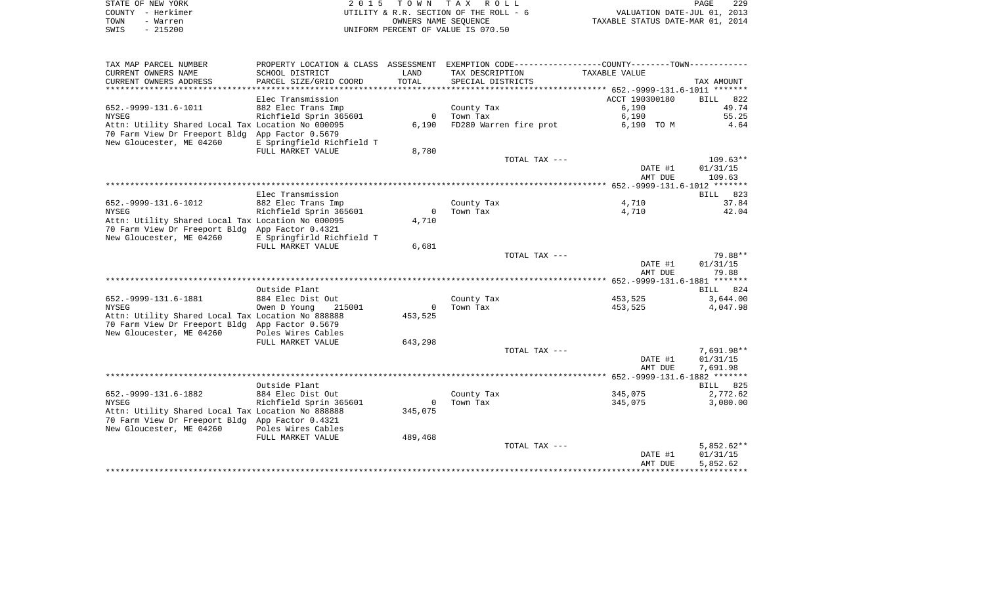| STATE OF NEW YORK | 2015 TOWN TAX ROLL                     | PAGE                             | 229 |
|-------------------|----------------------------------------|----------------------------------|-----|
| COUNTY - Herkimer | UTILITY & R.R. SECTION OF THE ROLL - 6 | VALUATION DATE-JUL 01, 2013      |     |
| TOWN<br>- Warren  | OWNERS NAME SEOUENCE                   | TAXABLE STATUS DATE-MAR 01, 2014 |     |
| - 215200<br>SWIS  | UNIFORM PERCENT OF VALUE IS 070.50     |                                  |     |
|                   |                                        |                                  |     |

| TAX MAP PARCEL NUMBER<br>CURRENT OWNERS NAME                                                         | PROPERTY LOCATION & CLASS ASSESSMENT<br>SCHOOL DISTRICT | LAND                    | TAX DESCRIPTION   |                        | TAXABLE VALUE      | EXEMPTION CODE----------------COUNTY-------TOWN---------- |
|------------------------------------------------------------------------------------------------------|---------------------------------------------------------|-------------------------|-------------------|------------------------|--------------------|-----------------------------------------------------------|
| CURRENT OWNERS ADDRESS<br>*******************                                                        | PARCEL SIZE/GRID COORD                                  | TOTAL                   | SPECIAL DISTRICTS |                        |                    | TAX AMOUNT                                                |
|                                                                                                      | Elec Transmission                                       |                         |                   |                        | ACCT 190300180     | 822<br><b>BILL</b>                                        |
| 652. - 9999 - 131. 6 - 1011                                                                          | 882 Elec Trans Imp                                      |                         | County Tax        |                        | 6,190              | 49.74                                                     |
| <b>NYSEG</b>                                                                                         | Richfield Sprin 365601                                  | $\mathbf{0}$            | Town Tax          |                        | 6,190              | 55.25                                                     |
| Attn: Utility Shared Local Tax Location No 000095<br>70 Farm View Dr Freeport Bldg App Factor 0.5679 |                                                         | 6,190                   |                   | FD280 Warren fire prot | 6,190 TO M         | 4.64                                                      |
| New Gloucester, ME 04260                                                                             | E Springfield Richfield T                               |                         |                   |                        |                    |                                                           |
|                                                                                                      | FULL MARKET VALUE                                       | 8,780                   |                   |                        |                    |                                                           |
|                                                                                                      |                                                         |                         |                   | TOTAL TAX ---          |                    | $109.63**$                                                |
|                                                                                                      |                                                         |                         |                   |                        | DATE #1            | 01/31/15                                                  |
|                                                                                                      |                                                         |                         |                   |                        | AMT DUE            | 109.63                                                    |
|                                                                                                      | Elec Transmission                                       |                         |                   |                        |                    | 823<br>BILL                                               |
| 652. - 9999 - 131. 6 - 1012                                                                          | 882 Elec Trans Imp                                      |                         | County Tax        |                        | 4,710              | 37.84                                                     |
| <b>NYSEG</b>                                                                                         | Richfield Sprin 365601                                  | $\circ$                 | Town Tax          |                        | 4,710              | 42.04                                                     |
| Attn: Utility Shared Local Tax Location No 000095<br>70 Farm View Dr Freeport Bldg App Factor 0.4321 |                                                         | 4,710                   |                   |                        |                    |                                                           |
| New Gloucester, ME 04260                                                                             | E Springfirld Richfield T                               |                         |                   |                        |                    |                                                           |
|                                                                                                      | FULL MARKET VALUE                                       | 6,681                   |                   |                        |                    |                                                           |
|                                                                                                      |                                                         |                         |                   | TOTAL TAX ---          |                    | 79.88**                                                   |
|                                                                                                      |                                                         |                         |                   |                        | DATE #1<br>AMT DUE | 01/31/15<br>79.88                                         |
|                                                                                                      |                                                         |                         |                   |                        |                    |                                                           |
|                                                                                                      | Outside Plant                                           |                         |                   |                        |                    | BILL 824                                                  |
| 652. - 9999 - 131. 6 - 1881                                                                          | 884 Elec Dist Out                                       |                         | County Tax        |                        | 453,525            | 3,644.00                                                  |
| <b>NYSEG</b><br>Attn: Utility Shared Local Tax Location No 888888                                    | 215001<br>Owen D Young                                  | $\mathbf{0}$<br>453,525 | Town Tax          |                        | 453,525            | 4,047.98                                                  |
| 70 Farm View Dr Freeport Bldg App Factor 0.5679                                                      |                                                         |                         |                   |                        |                    |                                                           |
| New Gloucester, ME 04260                                                                             | Poles Wires Cables                                      |                         |                   |                        |                    |                                                           |
|                                                                                                      | FULL MARKET VALUE                                       | 643,298                 |                   |                        |                    |                                                           |
|                                                                                                      |                                                         |                         |                   | TOTAL TAX ---          |                    | 7,691.98**                                                |
|                                                                                                      |                                                         |                         |                   |                        | DATE #1<br>AMT DUE | 01/31/15<br>7,691.98                                      |
|                                                                                                      |                                                         |                         |                   |                        |                    |                                                           |
|                                                                                                      | Outside Plant                                           |                         |                   |                        |                    | BILL 825                                                  |
| 652. - 9999 - 131. 6 - 1882                                                                          | 884 Elec Dist Out                                       |                         | County Tax        |                        | 345,075            | 2,772.62                                                  |
| <b>NYSEG</b><br>Attn: Utility Shared Local Tax Location No 888888                                    | Richfield Sprin 365601                                  | $\mathbf{0}$<br>345,075 | Town Tax          |                        | 345,075            | 3,080.00                                                  |
| 70 Farm View Dr Freeport Bldg App Factor 0.4321                                                      |                                                         |                         |                   |                        |                    |                                                           |
| New Gloucester, ME 04260                                                                             | Poles Wires Cables                                      |                         |                   |                        |                    |                                                           |
|                                                                                                      | FULL MARKET VALUE                                       | 489,468                 |                   |                        |                    |                                                           |
|                                                                                                      |                                                         |                         |                   | TOTAL TAX ---          | DATE #1            | $5,852.62**$<br>01/31/15                                  |
|                                                                                                      |                                                         |                         |                   |                        | AMT DUE            | 5,852.62                                                  |
|                                                                                                      |                                                         |                         |                   |                        |                    |                                                           |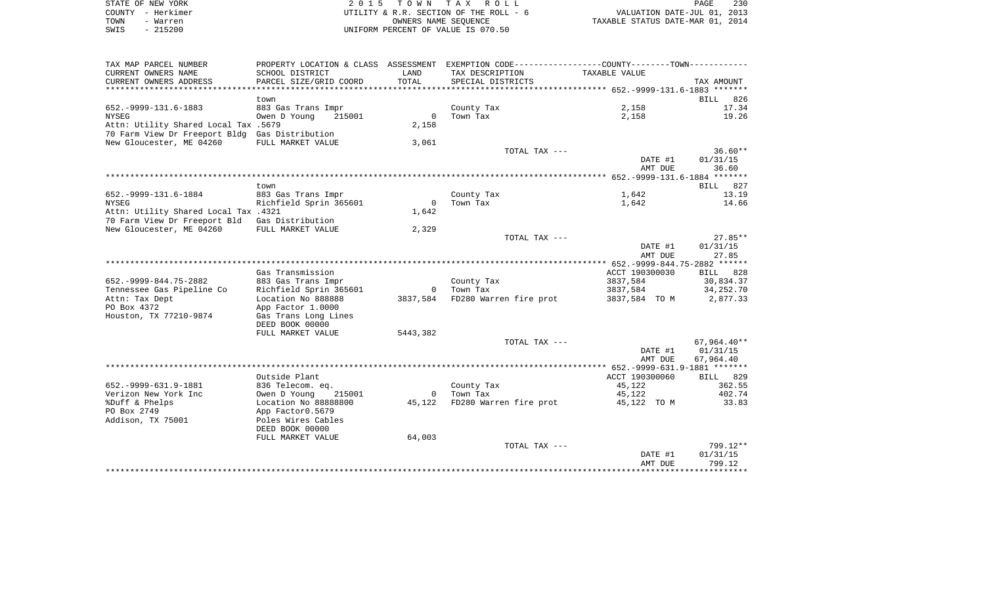| STATE OF NEW YORK |                   | 2015 TOWN TAX ROLL                     | 230<br>PAGE                      |
|-------------------|-------------------|----------------------------------------|----------------------------------|
|                   | COUNTY – Herkimer | UTILITY & R.R. SECTION OF THE ROLL - 6 | VALUATION DATE-JUL 01, 2013      |
| TOWN              | - Warren          | OWNERS NAME SEOUENCE                   | TAXABLE STATUS DATE-MAR 01, 2014 |
| SWIS              | $-215200$         | UNIFORM PERCENT OF VALUE IS 070.50     |                                  |

| TAX MAP PARCEL NUMBER                          |                        |                | PROPERTY LOCATION & CLASS ASSESSMENT EXEMPTION CODE---------------COUNTY-------TOWN---------- |                |                      |
|------------------------------------------------|------------------------|----------------|-----------------------------------------------------------------------------------------------|----------------|----------------------|
| CURRENT OWNERS NAME                            | SCHOOL DISTRICT        | LAND           | TAX DESCRIPTION                                                                               | TAXABLE VALUE  |                      |
| CURRENT OWNERS ADDRESS                         | PARCEL SIZE/GRID COORD | TOTAL          | SPECIAL DISTRICTS                                                                             |                | TAX AMOUNT           |
|                                                |                        |                |                                                                                               |                |                      |
|                                                | town                   |                |                                                                                               |                | 826<br>BILL          |
| 652. - 9999 - 131. 6 - 1883                    | 883 Gas Trans Impr     |                | County Tax                                                                                    | 2,158          | 17.34                |
| <b>NYSEG</b>                                   | 215001<br>Owen D Young | $\overline{0}$ | Town Tax                                                                                      | 2,158          | 19.26                |
| Attn: Utility Shared Local Tax .5679           |                        | 2,158          |                                                                                               |                |                      |
| 70 Farm View Dr Freeport Bldg Gas Distribution |                        |                |                                                                                               |                |                      |
| New Gloucester, ME 04260                       | FULL MARKET VALUE      | 3,061          |                                                                                               |                |                      |
|                                                |                        |                | TOTAL TAX ---                                                                                 |                | $36.60**$            |
|                                                |                        |                |                                                                                               | DATE #1        | 01/31/15             |
|                                                |                        |                |                                                                                               | AMT DUE        | 36.60                |
|                                                |                        |                |                                                                                               |                |                      |
|                                                | town                   |                |                                                                                               |                | BILL 827             |
| 652. - 9999 - 131. 6 - 1884                    | 883 Gas Trans Impr     |                | County Tax                                                                                    | 1,642          | 13.19                |
| NYSEG                                          | Richfield Sprin 365601 | $\bigcirc$     | Town Tax                                                                                      | 1,642          | 14.66                |
| Attn: Utility Shared Local Tax .4321           |                        | 1,642          |                                                                                               |                |                      |
| 70 Farm View Dr Freeport Bld                   | Gas Distribution       |                |                                                                                               |                |                      |
| New Gloucester, ME 04260                       | FULL MARKET VALUE      | 2,329          | TOTAL TAX ---                                                                                 |                | $27.85**$            |
|                                                |                        |                |                                                                                               | DATE #1        | 01/31/15             |
|                                                |                        |                |                                                                                               | AMT DUE        | 27.85                |
|                                                |                        |                |                                                                                               |                |                      |
|                                                | Gas Transmission       |                |                                                                                               | ACCT 190300030 | BILL 828             |
| 652. - 9999 - 844. 75 - 2882                   | 883 Gas Trans Impr     |                | County Tax                                                                                    | 3837,584       | 30,834.37            |
| Tennessee Gas Pipeline Co                      | Richfield Sprin 365601 | $\bigcirc$     | Town Tax                                                                                      | 3837,584       | 34,252.70            |
| Attn: Tax Dept                                 | Location No 888888     |                | 3837,584 FD280 Warren fire prot                                                               | 3837,584 TO M  | 2,877.33             |
| PO Box 4372                                    | App Factor 1.0000      |                |                                                                                               |                |                      |
| Houston, TX 77210-9874                         | Gas Trans Long Lines   |                |                                                                                               |                |                      |
|                                                | DEED BOOK 00000        |                |                                                                                               |                |                      |
|                                                | FULL MARKET VALUE      | 5443,382       |                                                                                               |                |                      |
|                                                |                        |                | TOTAL TAX ---                                                                                 |                | 67,964.40**          |
|                                                |                        |                |                                                                                               | DATE #1        | 01/31/15             |
|                                                |                        |                |                                                                                               | AMT DUE        | 67,964.40            |
|                                                |                        |                |                                                                                               |                |                      |
|                                                | Outside Plant          |                |                                                                                               | ACCT 190300060 | <b>BILL</b> 829      |
| 652. - 9999 - 631. 9 - 1881                    | 836 Telecom. eq.       |                | County Tax                                                                                    | 45,122         | 362.55               |
| Verizon New York Inc                           | Owen D Young<br>215001 |                | 0 Town Tax                                                                                    | 45,122         | 402.74               |
| %Duff & Phelps                                 | Location No 88888800   |                | 45,122 FD280 Warren fire prot                                                                 | 45,122 TO M    | 33.83                |
| PO Box 2749                                    | App Factor0.5679       |                |                                                                                               |                |                      |
| Addison, TX 75001                              | Poles Wires Cables     |                |                                                                                               |                |                      |
|                                                | DEED BOOK 00000        |                |                                                                                               |                |                      |
|                                                | FULL MARKET VALUE      | 64,003         |                                                                                               |                |                      |
|                                                |                        |                | TOTAL TAX ---                                                                                 |                | 799.12**             |
|                                                |                        |                |                                                                                               | DATE #1        | 01/31/15             |
|                                                |                        |                |                                                                                               | AMT DUE        | 799.12<br>********** |
|                                                |                        |                |                                                                                               |                |                      |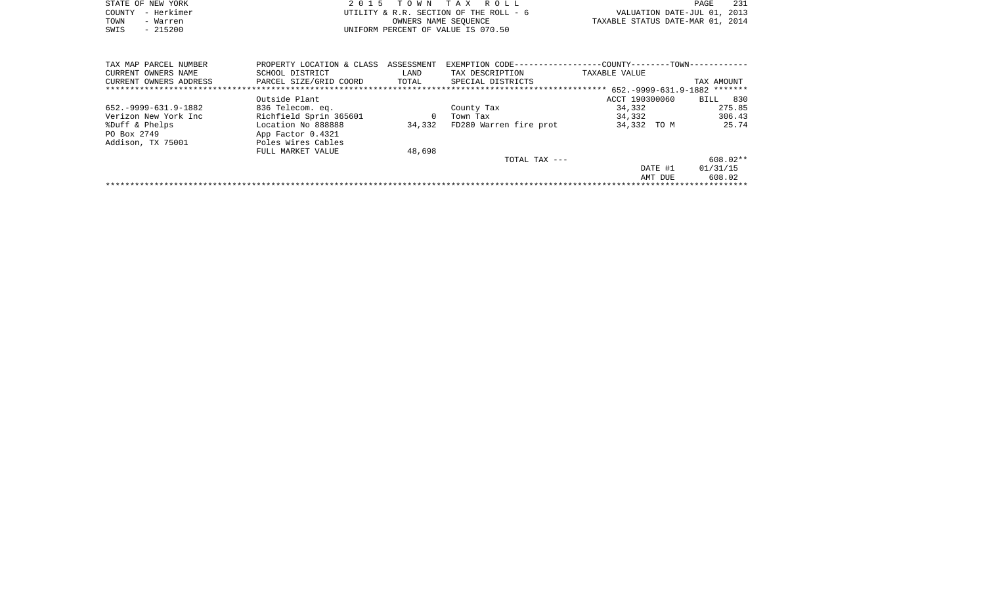|      | STATE OF NEW YORK | 2015 TOWN TAX ROLL                     |                                  | PAGE | -231 |
|------|-------------------|----------------------------------------|----------------------------------|------|------|
|      | COUNTY - Herkimer | UTILITY & R.R. SECTION OF THE ROLL - 6 | VALUATION DATE-JUL 01, 2013      |      |      |
| TOWN | - Warren          | OWNERS NAME SEOUENCE                   | TAXABLE STATUS DATE-MAR 01, 2014 |      |      |
| SWIS | $-215200$         | UNIFORM PERCENT OF VALUE IS 070.50     |                                  |      |      |
|      |                   |                                        |                                  |      |      |

| TAX MAP PARCEL NUMBER       | PROPERTY LOCATION & CLASS | ASSESSMENT | EXEMPTION CODE-        | -COUNTY------<br>$-TOWN - -$ |             |
|-----------------------------|---------------------------|------------|------------------------|------------------------------|-------------|
| CURRENT OWNERS NAME         | SCHOOL DISTRICT           | LAND       | TAX DESCRIPTION        | TAXABLE VALUE                |             |
| CURRENT OWNERS ADDRESS      | PARCEL SIZE/GRID COORD    | TOTAL      | SPECIAL DISTRICTS      |                              | TAX AMOUNT  |
|                             |                           |            |                        | 652.-9999-631.9-1882         | *******     |
|                             | Outside Plant             |            |                        | ACCT 190300060               | 830<br>BILL |
| 652. - 9999 - 631. 9 - 1882 | 836 Telecom. eq.          |            | County Tax             | 34,332                       | 275.85      |
| Verizon New York Inc        | Richfield Sprin 365601    | 0          | Town Tax               | 34,332                       | 306.43      |
| %Duff & Phelps              | Location No 888888        | 34,332     | FD280 Warren fire prot | 34,332 TO M                  | 25.74       |
| PO Box 2749                 | App Factor 0.4321         |            |                        |                              |             |
| Addison, TX 75001           | Poles Wires Cables        |            |                        |                              |             |
|                             | FULL MARKET VALUE         | 48,698     |                        |                              |             |
|                             |                           |            | TOTAL TAX ---          |                              | 608.02**    |
|                             |                           |            |                        | DATE #1                      | 01/31/15    |
|                             |                           |            |                        | AMT DUE                      | 608.02      |
|                             |                           |            |                        |                              |             |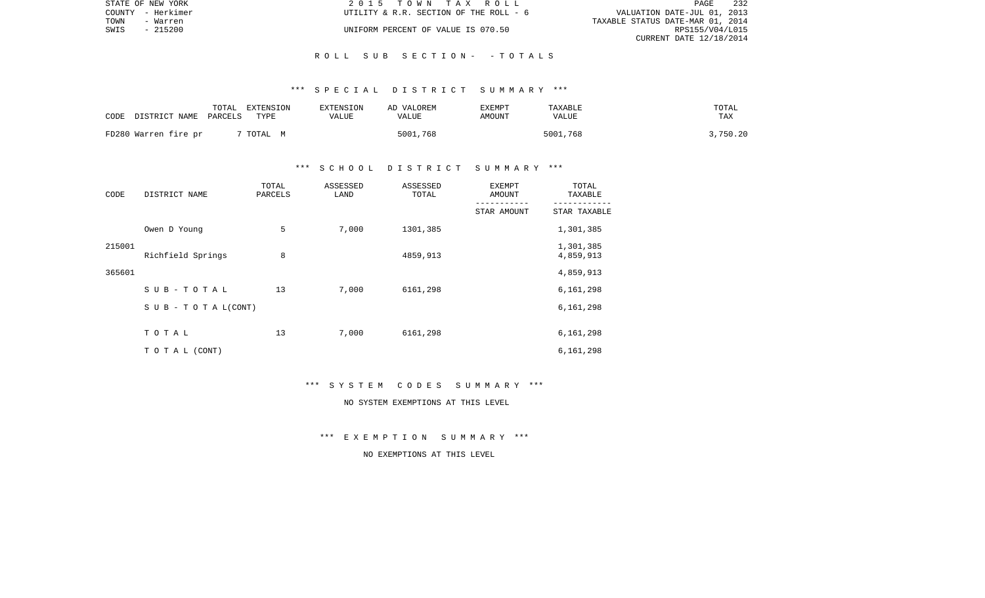|      | STATE OF NEW YORK | 2015 TOWN TAX ROLL                     | PAGE                             | 232 |
|------|-------------------|----------------------------------------|----------------------------------|-----|
|      | COUNTY - Herkimer | UTILITY & R.R. SECTION OF THE ROLL - 6 | VALUATION DATE-JUL 01, 2013      |     |
| TOWN | - Warren          |                                        | TAXABLE STATUS DATE-MAR 01, 2014 |     |
| SWIS | - 215200          | UNIFORM PERCENT OF VALUE IS 070.50     | RPS155/V04/L015                  |     |
|      |                   |                                        | CURRENT DATE 12/18/2014          |     |

#### R O L L S U B S E C T I O N - - T O T A L S

#### \*\*\* S P E C I A L D I S T R I C T S U M M A R Y \*\*\*

| CODE DISTRICT NAME PARCELS | TOTAL | EXTENSION<br>TYPE | EXTENSION<br>VALUE | AD VALOREM<br>VALUE | EXEMPT<br>AMOUNT | TAXABLE<br>VALUE | TOTAL<br>TAX |
|----------------------------|-------|-------------------|--------------------|---------------------|------------------|------------------|--------------|
| FD280 Warren fire pr       |       | TOTAL M           |                    | 5001,768            |                  | 5001,768         | 3,750.20     |

### \*\*\* S C H O O L D I S T R I C T S U M M A R Y \*\*\*

| CODE   | DISTRICT NAME             | TOTAL<br>PARCELS | ASSESSED<br>LAND | ASSESSED<br>TOTAL | <b>EXEMPT</b><br>AMOUNT | TOTAL<br>TAXABLE       |
|--------|---------------------------|------------------|------------------|-------------------|-------------------------|------------------------|
|        |                           |                  |                  |                   | STAR AMOUNT             | STAR TAXABLE           |
|        | Owen D Young              | 5                | 7,000            | 1301,385          |                         | 1,301,385              |
| 215001 | Richfield Springs         | 8                |                  | 4859,913          |                         | 1,301,385<br>4,859,913 |
| 365601 |                           |                  |                  |                   |                         | 4,859,913              |
|        | SUB-TOTAL                 | 13               | 7,000            | 6161,298          |                         | 6,161,298              |
|        | S U B - T O T A $L(CONT)$ |                  |                  |                   |                         | 6,161,298              |
|        | TOTAL                     | 13               | 7,000            | 6161,298          |                         | 6,161,298              |
|        | TO TAL (CONT)             |                  |                  |                   |                         | 6,161,298              |

\*\*\* S Y S T E M C O D E S S U M M A R Y \*\*\*

NO SYSTEM EXEMPTIONS AT THIS LEVEL

\*\*\* E X E M P T I O N S U M M A R Y \*\*\*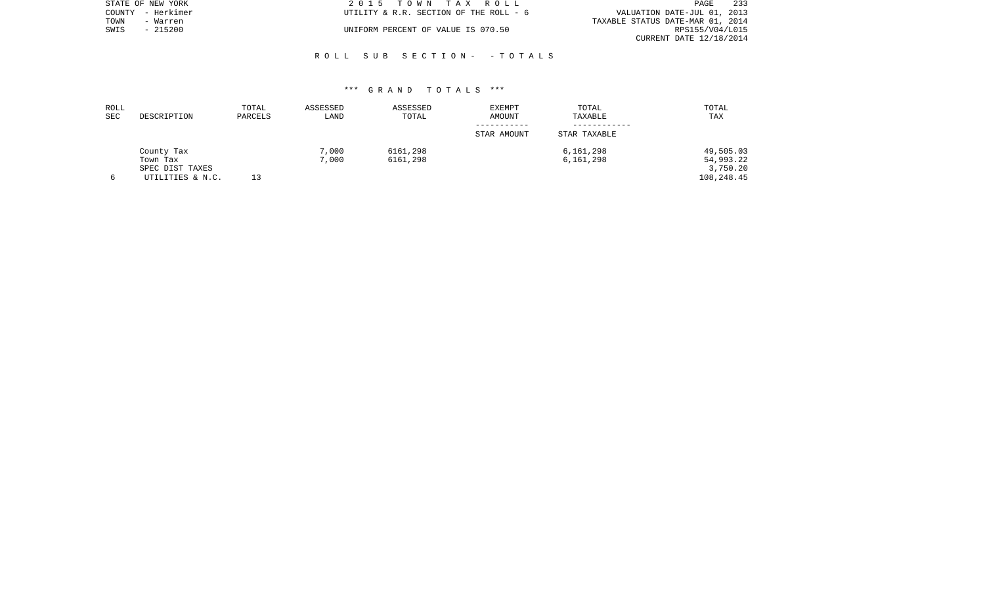|      | STATE OF NEW YORK | 2015 TOWN TAX ROLL                     |                                  | PAGE            | 233 |
|------|-------------------|----------------------------------------|----------------------------------|-----------------|-----|
|      | COUNTY - Herkimer | UTILITY & R.R. SECTION OF THE ROLL - 6 | VALUATION DATE-JUL 01, 2013      |                 |     |
| TOWN | - Warren          |                                        | TAXABLE STATUS DATE-MAR 01, 2014 |                 |     |
| SWIS | $-215200$         | UNIFORM PERCENT OF VALUE IS 070.50     |                                  | RPS155/V04/L015 |     |
|      |                   |                                        | CURRENT DATE 12/18/2014          |                 |     |

#### R O L L S U B S E C T I O N - - T O T A L S

| ROLL<br>SEC | DESCRIPTION      | TOTAL<br>PARCELS | ASSESSED<br>LAND | ASSESSED<br>TOTAL | <b>EXEMPT</b><br><b>AMOUNT</b> | TOTAL<br>TAXABLE | TOTAL<br>TAX |
|-------------|------------------|------------------|------------------|-------------------|--------------------------------|------------------|--------------|
|             |                  |                  |                  |                   | STAR AMOUNT                    | STAR TAXABLE     |              |
|             | County Tax       |                  | 7,000            | 6161,298          |                                | 6,161,298        | 49,505.03    |
|             | Town Tax         |                  | 7,000            | 6161,298          |                                | 6,161,298        | 54,993.22    |
|             | SPEC DIST TAXES  |                  |                  |                   |                                |                  | 3,750.20     |
|             | UTILITIES & N.C. |                  |                  |                   |                                |                  | 108,248.45   |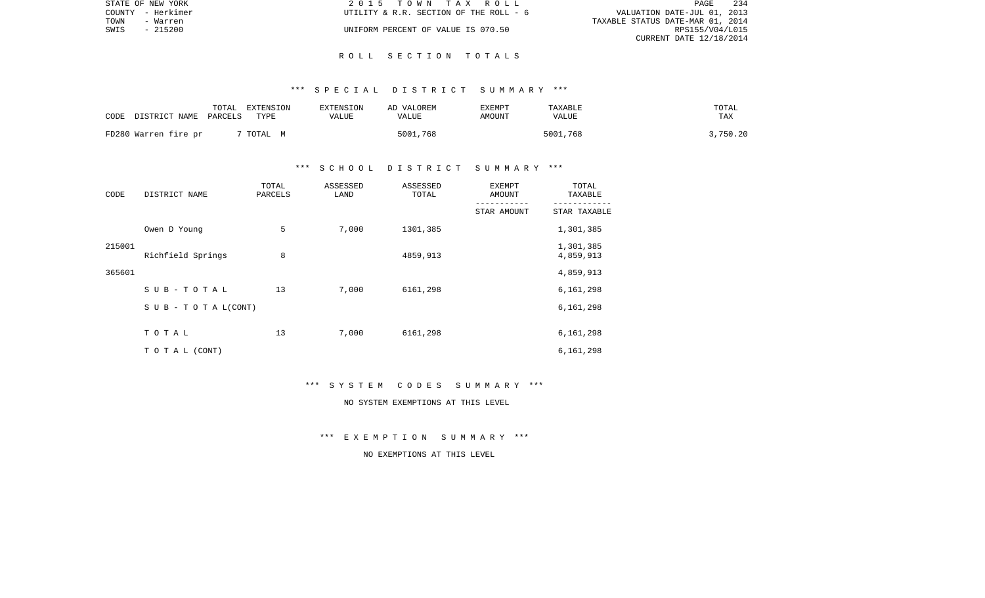| STATE OF NEW YORK | 2015 TOWN TAX ROLL                     | PAGE                             | 234 |
|-------------------|----------------------------------------|----------------------------------|-----|
| COUNTY - Herkimer | UTILITY & R.R. SECTION OF THE ROLL - 6 | VALUATION DATE-JUL 01, 2013      |     |
| TOWN<br>- Warren  |                                        | TAXABLE STATUS DATE-MAR 01, 2014 |     |
| - 215200<br>SWIS  | UNIFORM PERCENT OF VALUE IS 070.50     | RPS155/V04/L015                  |     |
|                   |                                        | CURRENT DATE 12/18/2014          |     |

#### R O L L S E C T I O N T O T A L S

#### \*\*\* S P E C I A L D I S T R I C T S U M M A R Y \*\*\*

| CODE DISTRICT NAME PARCELS | TOTAL | EXTENSION<br>TYPE | EXTENSION<br>VALUE | AD VALOREM<br>VALUE | EXEMPT<br>AMOUNT | TAXABLE<br>VALUE | TOTAL<br>TAX |
|----------------------------|-------|-------------------|--------------------|---------------------|------------------|------------------|--------------|
| FD280 Warren fire pr       |       | TOTAL M           |                    | 5001,768            |                  | 5001,768         | 3,750.20     |

#### \*\*\* S C H O O L D I S T R I C T S U M M A R Y \*\*\*

| CODE   | DISTRICT NAME                    | TOTAL<br>PARCELS | ASSESSED<br>LAND | ASSESSED<br>TOTAL | <b>EXEMPT</b><br>AMOUNT | TOTAL<br>TAXABLE       |
|--------|----------------------------------|------------------|------------------|-------------------|-------------------------|------------------------|
|        |                                  |                  |                  |                   | STAR AMOUNT             | STAR TAXABLE           |
|        | Owen D Young                     | 5                | 7,000            | 1301,385          |                         | 1,301,385              |
| 215001 | Richfield Springs                | 8                |                  | 4859,913          |                         | 1,301,385<br>4,859,913 |
| 365601 |                                  |                  |                  |                   |                         | 4,859,913              |
|        | SUB-TOTAL                        | 13               | 7,000            | 6161,298          |                         | 6,161,298              |
|        | $S \cup B - T \cup T A L (CONT)$ |                  |                  |                   |                         | 6,161,298              |
|        | TOTAL                            | 13               | 7,000            | 6161,298          |                         | 6,161,298              |
|        | TO TAL (CONT)                    |                  |                  |                   |                         | 6,161,298              |

\*\*\* S Y S T E M C O D E S S U M M A R Y \*\*\*

NO SYSTEM EXEMPTIONS AT THIS LEVEL

\*\*\* E X E M P T I O N S U M M A R Y \*\*\*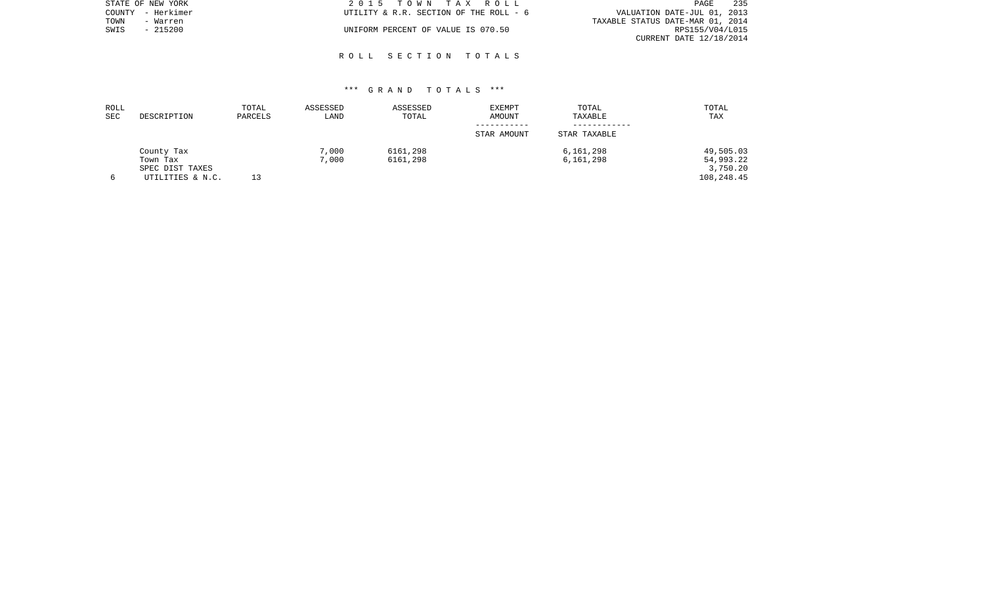| STATE OF NEW YORK | 2015 TOWN TAX ROLL                     | 235<br>PAGE                      |
|-------------------|----------------------------------------|----------------------------------|
| COUNTY - Herkimer | UTILITY & R.R. SECTION OF THE ROLL - 6 | VALUATION DATE-JUL 01, 2013      |
| TOWN<br>- Warren  |                                        | TAXABLE STATUS DATE-MAR 01, 2014 |
| - 215200<br>SWIS  | UNIFORM PERCENT OF VALUE IS 070.50     | RPS155/V04/L015                  |
|                   |                                        | CURRENT DATE 12/18/2014          |

#### R O L L S E C T I O N T O T A L S

| ROLL<br>SEC | DESCRIPTION      | TOTAL<br>PARCELS | ASSESSED<br>LAND | ASSESSED<br>TOTAL | <b>EXEMPT</b><br>AMOUNT | TOTAL<br>TAXABLE | TOTAL<br>TAX |
|-------------|------------------|------------------|------------------|-------------------|-------------------------|------------------|--------------|
|             |                  |                  |                  |                   | STAR AMOUNT             | STAR TAXABLE     |              |
|             | County Tax       |                  | 7,000            | 6161,298          |                         | 6,161,298        | 49,505.03    |
|             | Town Tax         |                  | 7,000            | 6161,298          |                         | 6,161,298        | 54,993.22    |
|             | SPEC DIST TAXES  |                  |                  |                   |                         |                  | 3,750.20     |
| 6           | UTILITIES & N.C. |                  |                  |                   |                         |                  | 108,248.45   |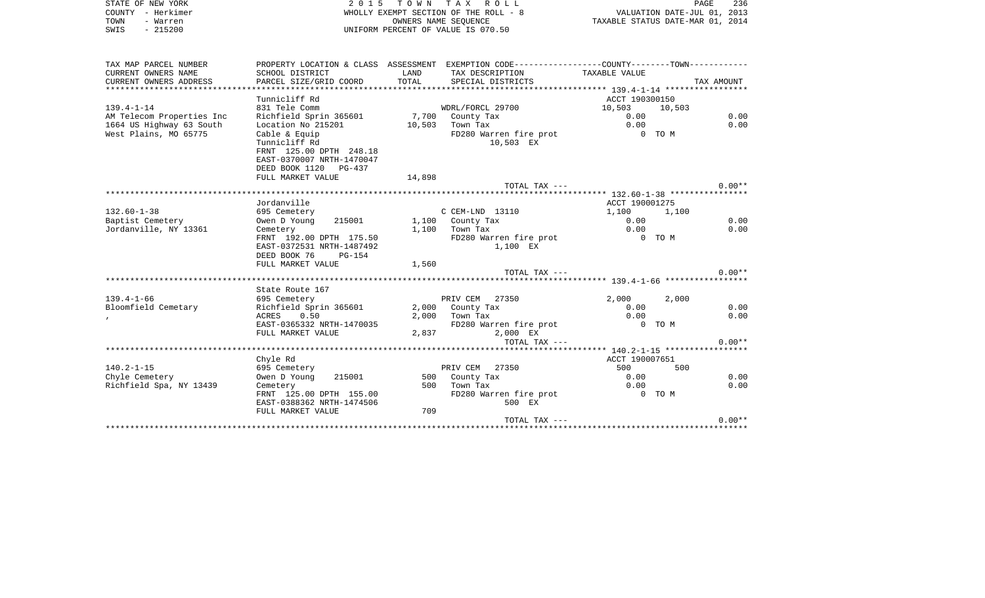| STATE OF NEW YORK | 2015 TOWN TAX ROLL                    | 236<br>PAGE                      |
|-------------------|---------------------------------------|----------------------------------|
| COUNTY - Herkimer | WHOLLY EXEMPT SECTION OF THE ROLL - 8 | VALUATION DATE-JUL 01, 2013      |
| TOWN<br>- Warren  | OWNERS NAME SEOUENCE                  | TAXABLE STATUS DATE-MAR 01, 2014 |
| $-215200$<br>SWIS | UNIFORM PERCENT OF VALUE IS 070.50    |                                  |

| TAX MAP PARCEL NUMBER     |                                                     |        | PROPERTY LOCATION & CLASS ASSESSMENT EXEMPTION CODE---------------COUNTY--------TOWN---------- |                |        |            |
|---------------------------|-----------------------------------------------------|--------|------------------------------------------------------------------------------------------------|----------------|--------|------------|
| CURRENT OWNERS NAME       | SCHOOL DISTRICT                                     | LAND   | TAX DESCRIPTION                                                                                | TAXABLE VALUE  |        |            |
| CURRENT OWNERS ADDRESS    | PARCEL SIZE/GRID COORD                              | TOTAL  | SPECIAL DISTRICTS                                                                              |                |        | TAX AMOUNT |
|                           |                                                     |        |                                                                                                |                |        |            |
|                           | Tunnicliff Rd                                       |        |                                                                                                | ACCT 190300150 |        |            |
| $139.4 - 1 - 14$          | 831 Tele Comm                                       |        | WDRL/FORCL 29700                                                                               | 10,503         | 10,503 |            |
| AM Telecom Properties Inc | Richfield Sprin 365601                              |        | 7,700 County Tax                                                                               | 0.00           |        | 0.00       |
| 1664 US Highway 63 South  | Location No 215201                                  | 10,503 | Town Tax                                                                                       | 0.00           |        | 0.00       |
| West Plains, MO 65775     | Cable & Equip                                       |        | FD280 Warren fire prot                                                                         | 0 TO M         |        |            |
|                           | Tunnicliff Rd                                       |        | 10,503 EX                                                                                      |                |        |            |
|                           | FRNT 125.00 DPTH 248.18                             |        |                                                                                                |                |        |            |
|                           | EAST-0370007 NRTH-1470047                           |        |                                                                                                |                |        |            |
|                           | DEED BOOK 1120 PG-437                               |        |                                                                                                |                |        |            |
|                           | FULL MARKET VALUE                                   | 14,898 |                                                                                                |                |        |            |
|                           |                                                     |        | TOTAL TAX ---                                                                                  |                |        | $0.00**$   |
|                           |                                                     |        |                                                                                                |                |        |            |
|                           | Jordanville                                         |        |                                                                                                | ACCT 190001275 |        |            |
| $132.60 - 1 - 38$         | 695 Cemetery                                        |        | C CEM-LND 13110                                                                                | 1,100          | 1,100  |            |
| Baptist Cemetery          | 215001<br>Owen D Young                              |        | 1,100 County Tax                                                                               | 0.00           |        | 0.00       |
| Jordanville, NY 13361     | Cemetery                                            |        | $1,100$ Town Tax                                                                               | 0.00           |        | 0.00       |
|                           | FRNT 192.00 DPTH 175.50                             |        | FD280 Warren fire prot                                                                         | $0$ TOM        |        |            |
|                           | EAST-0372531 NRTH-1487492<br>DEED BOOK 76<br>PG-154 |        | 1,100 EX                                                                                       |                |        |            |
|                           | FULL MARKET VALUE                                   | 1,560  |                                                                                                |                |        |            |
|                           |                                                     |        | TOTAL TAX ---                                                                                  |                |        | $0.00**$   |
|                           |                                                     |        |                                                                                                |                |        |            |
|                           | State Route 167                                     |        |                                                                                                |                |        |            |
| $139.4 - 1 - 66$          | 695 Cemetery                                        |        | PRIV CEM 27350                                                                                 | 2,000          | 2,000  |            |
| Bloomfield Cemetary       | Richfield Sprin 365601                              |        | 2,000 County Tax                                                                               | 0.00           |        | 0.00       |
|                           | 0.50<br>ACRES                                       | 2,000  | Town Tax                                                                                       | 0.00           |        | 0.00       |
|                           | EAST-0365332 NRTH-1470035                           |        | FD280 Warren fire prot                                                                         | 0 TO M         |        |            |
|                           | FULL MARKET VALUE                                   | 2,837  | 2,000 EX                                                                                       |                |        |            |
|                           |                                                     |        | TOTAL TAX ---                                                                                  |                |        | $0.00**$   |
|                           |                                                     |        |                                                                                                |                |        |            |
|                           | Chyle Rd                                            |        |                                                                                                | ACCT 190007651 |        |            |
| $140.2 - 1 - 15$          | 695 Cemetery                                        |        | PRIV CEM 27350                                                                                 | 500            | 500    |            |
| Chyle Cemetery            | Owen D Young<br>215001                              |        | 500 County Tax                                                                                 | 0.00           |        | 0.00       |
| Richfield Spa, NY 13439   | Cemetery                                            | 500    | Town Tax                                                                                       | 0.00           |        | 0.00       |
|                           | FRNT 125.00 DPTH 155.00                             |        | FD280 Warren fire prot                                                                         | O TOM          |        |            |
|                           | EAST-0388362 NRTH-1474506                           |        | 500 EX                                                                                         |                |        |            |
|                           | FULL MARKET VALUE                                   | 709    |                                                                                                |                |        |            |
|                           |                                                     |        | TOTAL TAX ---                                                                                  |                |        | $0.00**$   |
|                           |                                                     |        |                                                                                                |                |        |            |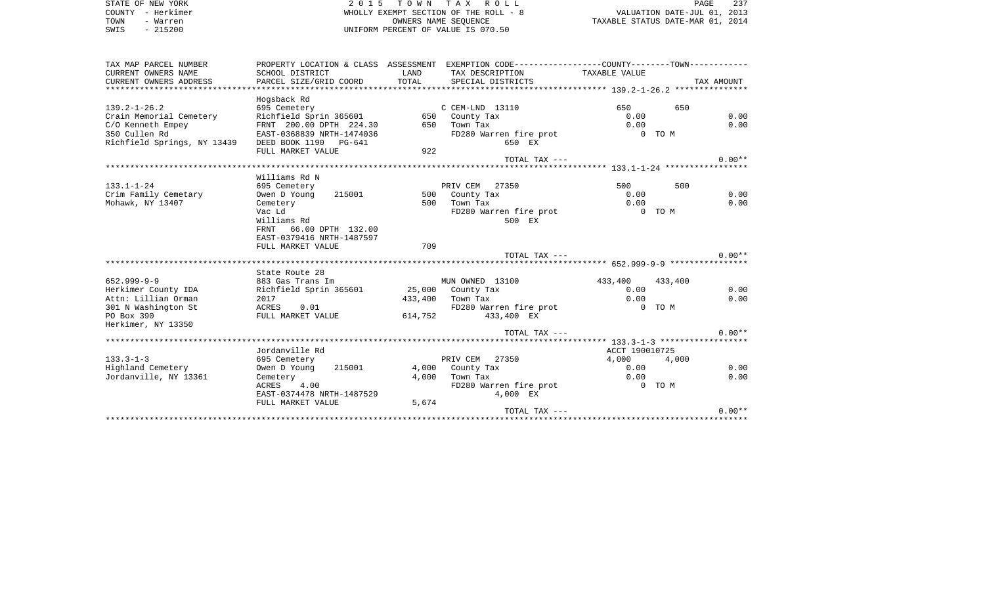| STATE OF NEW YORK                          |                                |         | 2015 TOWN TAX ROLL                                                                             |                                  |                             | PAGE<br>237 |
|--------------------------------------------|--------------------------------|---------|------------------------------------------------------------------------------------------------|----------------------------------|-----------------------------|-------------|
| COUNTY - Herkimer                          |                                |         | WHOLLY EXEMPT SECTION OF THE ROLL - 8                                                          |                                  | VALUATION DATE-JUL 01, 2013 |             |
| TOWN<br>- Warren                           |                                |         | OWNERS NAME SEOUENCE                                                                           | TAXABLE STATUS DATE-MAR 01, 2014 |                             |             |
| $-215200$<br>SWIS                          |                                |         | UNIFORM PERCENT OF VALUE IS 070.50                                                             |                                  |                             |             |
| TAX MAP PARCEL NUMBER                      |                                |         | PROPERTY LOCATION & CLASS ASSESSMENT EXEMPTION CODE----------------COUNTY-------TOWN---------- |                                  |                             |             |
| CURRENT OWNERS NAME                        | SCHOOL DISTRICT                | LAND    | TAX DESCRIPTION                                                                                | TAXABLE VALUE                    |                             |             |
| CURRENT OWNERS ADDRESS                     | PARCEL SIZE/GRID COORD         | TOTAL   | SPECIAL DISTRICTS                                                                              |                                  |                             | TAX AMOUNT  |
|                                            |                                |         |                                                                                                |                                  |                             |             |
|                                            | Hogsback Rd                    |         |                                                                                                |                                  |                             |             |
| $139.2 - 1 - 26.2$                         | 695 Cemetery                   |         | C CEM-LND 13110                                                                                | 650                              | 650                         |             |
| Crain Memorial Cemetery                    | Richfield Sprin 365601         |         | 650 County Tax                                                                                 | 0.00                             |                             | 0.00        |
| C/O Kenneth Empey                          | FRNT 200.00 DPTH 224.30        | 650     | Town Tax                                                                                       | 0.00                             |                             | 0.00        |
| 350 Cullen Rd                              | EAST-0368839 NRTH-1474036      |         | FD280 Warren fire prot                                                                         |                                  | 0 TO M                      |             |
| Richfield Springs, NY 13439                | DEED BOOK 1190 PG-641          |         | 650 EX                                                                                         |                                  |                             |             |
|                                            | FULL MARKET VALUE              | 922     |                                                                                                |                                  |                             |             |
|                                            |                                |         | TOTAL TAX ---                                                                                  |                                  |                             | $0.00**$    |
|                                            | Williams Rd N                  |         |                                                                                                |                                  |                             |             |
| $133.1 - 1 - 24$                           | 695 Cemetery                   |         | PRIV CEM 27350                                                                                 | 500                              | 500                         |             |
| Crim Family Cemetary                       | Owen D Young<br>215001         |         | 500 County Tax                                                                                 | 0.00                             |                             | 0.00        |
| Mohawk, NY 13407                           | Cemetery                       | 500     | Town Tax                                                                                       | 0.00                             |                             | 0.00        |
|                                            | Vac Ld                         |         | FD280 Warren fire prot                                                                         |                                  | 0 TO M                      |             |
|                                            | Williams Rd                    |         | 500 EX                                                                                         |                                  |                             |             |
|                                            | 66.00 DPTH 132.00<br>FRNT      |         |                                                                                                |                                  |                             |             |
|                                            | EAST-0379416 NRTH-1487597      |         |                                                                                                |                                  |                             |             |
|                                            | FULL MARKET VALUE              | 709     |                                                                                                |                                  |                             |             |
|                                            |                                |         | TOTAL TAX ---                                                                                  |                                  |                             | $0.00**$    |
|                                            |                                |         |                                                                                                |                                  |                             |             |
|                                            | State Route 28                 |         |                                                                                                |                                  |                             |             |
| $652.999 - 9 - 9$<br>Herkimer County IDA   | 883 Gas Trans Im               |         | MUN OWNED 13100                                                                                | 433,400<br>0.00                  | 433,400                     | 0.00        |
|                                            | Richfield Sprin 365601<br>2017 | 433,400 | 25,000 County Tax<br>Town Tax                                                                  | 0.00                             |                             | 0.00        |
| Attn: Lillian Orman<br>301 N Washington St | <b>ACRES</b><br>0.01           |         | FD280 Warren fire prot                                                                         |                                  | 0 TO M                      |             |
| PO Box 390                                 | FULL MARKET VALUE              | 614,752 | 433,400 EX                                                                                     |                                  |                             |             |
| Herkimer, NY 13350                         |                                |         |                                                                                                |                                  |                             |             |
|                                            |                                |         | TOTAL TAX ---                                                                                  |                                  |                             | $0.00**$    |
|                                            |                                |         |                                                                                                |                                  |                             |             |
|                                            | Jordanville Rd                 |         |                                                                                                | ACCT 190010725                   |                             |             |
| $133.3 - 1 - 3$                            | 695 Cemetery                   |         | PRIV CEM 27350                                                                                 | 4,000                            | 4,000                       |             |
| Highland Cemetery                          | 215001<br>Owen D Young         | 4,000   | County Tax                                                                                     | 0.00                             |                             | 0.00        |
| Jordanville, NY 13361                      | Cemetery                       | 4,000   | Town Tax                                                                                       | 0.00                             |                             | 0.00        |
|                                            | ACRES<br>4.00                  |         | FD280 Warren fire prot                                                                         |                                  | 0 TO M                      |             |
|                                            | EAST-0374478 NRTH-1487529      |         | 4,000 EX                                                                                       |                                  |                             |             |
|                                            | FULL MARKET VALUE              | 5,674   |                                                                                                |                                  |                             |             |
|                                            |                                |         | TOTAL TAX ---                                                                                  |                                  |                             | $0.00**$    |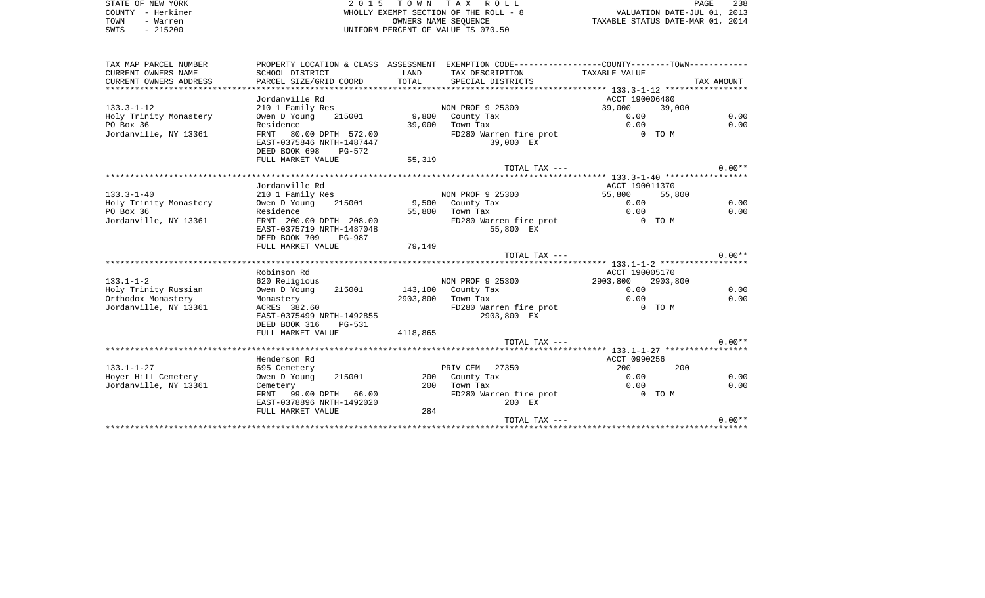STATE OF NEW YORK **EXECUTE:** A G ALL 2015 TO W N T A X R O L L COUNTY - Herkimer WHOLLY EXEMPT SECTION OF THE ROLL - 8 VALUATION DATE-JUL 01, 2013 TOWN - Warren OWNERS NAME SEQUENCE TAXABLE STATUS DATE-MAR 01, 2014 SWIS - 215200 UNIFORM PERCENT OF VALUE IS 070.50

| TAX MAP PARCEL NUMBER<br>CURRENT OWNERS NAME | SCHOOL DISTRICT                     | LAND     | PROPERTY LOCATION & CLASS ASSESSMENT EXEMPTION CODE----------------COUNTY-------TOWN----------<br>TAX DESCRIPTION | TAXABLE VALUE              |            |
|----------------------------------------------|-------------------------------------|----------|-------------------------------------------------------------------------------------------------------------------|----------------------------|------------|
| CURRENT OWNERS ADDRESS                       | PARCEL SIZE/GRID COORD              | TOTAL    | SPECIAL DISTRICTS                                                                                                 |                            | TAX AMOUNT |
|                                              |                                     |          |                                                                                                                   |                            |            |
|                                              | Jordanville Rd                      |          |                                                                                                                   | ACCT 190006480             |            |
| $133.3 - 1 - 12$                             | 210 1 Family Res                    |          | NON PROF 9 25300                                                                                                  | 39,000<br>39,000           |            |
| Holy Trinity Monastery                       | 215001<br>Owen D Young              |          | 9,800 County Tax                                                                                                  | 0.00                       | 0.00       |
| PO Box 36                                    | Residence                           | 39,000   | Town Tax                                                                                                          | 0.00                       | 0.00       |
| Jordanville, NY 13361                        | 80.00 DPTH 572.00<br>FRNT           |          | FD280 Warren fire prot                                                                                            | 0 TO M                     |            |
|                                              | EAST-0375846 NRTH-1487447           |          | 39,000 EX                                                                                                         |                            |            |
|                                              | DEED BOOK 698<br>PG-572             |          |                                                                                                                   |                            |            |
|                                              | FULL MARKET VALUE                   | 55,319   |                                                                                                                   |                            |            |
|                                              |                                     |          | TOTAL TAX ---                                                                                                     |                            | $0.00**$   |
|                                              |                                     |          |                                                                                                                   |                            |            |
|                                              | Jordanville Rd                      |          |                                                                                                                   | ACCT 190011370             |            |
| $133.3 - 1 - 40$                             | 210 1 Family Res                    |          | NON PROF 9 25300                                                                                                  | 55,800<br>55,800<br>0.00   | 0.00       |
| Holy Trinity Monastery<br>PO Box 36          | Owen D Young<br>215001<br>Residence | 55,800   | 9,500 County Tax<br>Town Tax                                                                                      | 0.00                       | 0.00       |
| Jordanville, NY 13361                        | FRNT 200.00 DPTH 208.00             |          | FD280 Warren fire prot                                                                                            | 0 TO M                     |            |
|                                              | EAST-0375719 NRTH-1487048           |          | 55,800 EX                                                                                                         |                            |            |
|                                              | DEED BOOK 709<br>PG-987             |          |                                                                                                                   |                            |            |
|                                              | FULL MARKET VALUE                   | 79,149   |                                                                                                                   |                            |            |
|                                              |                                     |          | TOTAL TAX ---                                                                                                     |                            | $0.00**$   |
|                                              |                                     |          |                                                                                                                   |                            |            |
|                                              | Robinson Rd                         |          |                                                                                                                   | ACCT 190005170             |            |
| $133.1 - 1 - 2$                              | 620 Religious                       |          | NON PROF 9 25300                                                                                                  | 2903,800<br>2903,800       |            |
| Holy Trinity Russian                         | 215001<br>Owen D Young              |          | 143,100 County Tax                                                                                                | 0.00                       | 0.00       |
| Orthodox Monastery                           | Monastery                           |          | 2903,800 Town Tax                                                                                                 | 0.00                       | 0.00       |
| Jordanville, NY 13361                        | ACRES 382.60                        |          | FD280 Warren fire prot                                                                                            | 0 TO M                     |            |
|                                              | EAST-0375499 NRTH-1492855           |          | 2903,800 EX                                                                                                       |                            |            |
|                                              | DEED BOOK 316<br>PG-531             |          |                                                                                                                   |                            |            |
|                                              | FULL MARKET VALUE                   | 4118,865 |                                                                                                                   |                            |            |
|                                              |                                     |          | TOTAL TAX ---                                                                                                     |                            | $0.00**$   |
|                                              |                                     |          |                                                                                                                   |                            |            |
| $133.1 - 1 - 27$                             | Henderson Rd<br>695 Cemetery        |          | PRIV CEM<br>27350                                                                                                 | ACCT 0990256<br>200<br>200 |            |
| Hoyer Hill Cemetery                          | Owen D Young<br>215001              |          | 200 County Tax                                                                                                    | 0.00                       | 0.00       |
| Jordanville, NY 13361                        | Cemetery                            | 200      | Town Tax                                                                                                          | 0.00                       | 0.00       |
|                                              | 99.00 DPTH 66.00<br>FRNT            |          | FD280 Warren fire prot                                                                                            | 0 TO M                     |            |
|                                              | EAST-0378896 NRTH-1492020           |          | 200 EX                                                                                                            |                            |            |
|                                              | FULL MARKET VALUE                   | 284      |                                                                                                                   |                            |            |
|                                              |                                     |          | TOTAL TAX ---                                                                                                     |                            | $0.00**$   |
|                                              |                                     |          |                                                                                                                   |                            |            |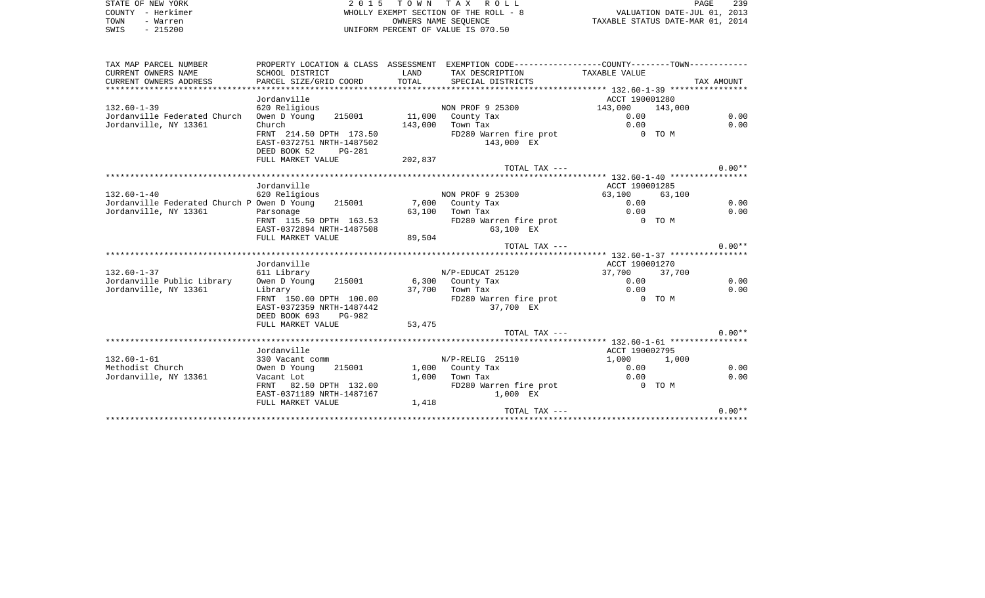|      | STATE OF NEW YORK | 2015 TOWN TAX ROLL                    | PAGE                             | 239 |
|------|-------------------|---------------------------------------|----------------------------------|-----|
|      | COUNTY - Herkimer | WHOLLY EXEMPT SECTION OF THE ROLL - 8 | VALUATION DATE-JUL 01, 2013      |     |
| TOWN | - Warren          | OWNERS NAME SEOUENCE                  | TAXABLE STATUS DATE-MAR 01, 2014 |     |
| SWIS | - 215200          | UNIFORM PERCENT OF VALUE IS 070.50    |                                  |     |

| TAX MAP PARCEL NUMBER                       |                                       |         | PROPERTY LOCATION & CLASS ASSESSMENT EXEMPTION CODE----------------COUNTY--------TOWN---------- |                 |        |            |
|---------------------------------------------|---------------------------------------|---------|-------------------------------------------------------------------------------------------------|-----------------|--------|------------|
| CURRENT OWNERS NAME                         | SCHOOL DISTRICT                       | LAND    | TAX DESCRIPTION                                                                                 | TAXABLE VALUE   |        |            |
| CURRENT OWNERS ADDRESS                      | PARCEL SIZE/GRID COORD                | TOTAL   | SPECIAL DISTRICTS                                                                               |                 |        | TAX AMOUNT |
|                                             |                                       |         |                                                                                                 |                 |        |            |
|                                             | Jordanville                           |         |                                                                                                 | ACCT 190001280  |        |            |
| $132.60 - 1 - 39$                           | 620 Religious                         |         | NON PROF 9 25300                                                                                | 143,000 143,000 |        |            |
| Jordanville Federated Church                | Owen D Young 215001 11,000 County Tax |         |                                                                                                 | 0.00            |        | 0.00       |
| Jordanville, NY 13361                       | Church                                | 143,000 | Town Tax                                                                                        | 0.00            |        | 0.00       |
|                                             | FRNT 214.50 DPTH 173.50               |         | FD280 Warren fire prot                                                                          | $0$ TOM         |        |            |
|                                             | EAST-0372751 NRTH-1487502             |         | 143,000 EX                                                                                      |                 |        |            |
|                                             | DEED BOOK 52<br>$PG-281$              |         |                                                                                                 |                 |        |            |
|                                             | FULL MARKET VALUE                     | 202,837 |                                                                                                 |                 |        |            |
|                                             |                                       |         | TOTAL TAX ---                                                                                   |                 |        | $0.00**$   |
|                                             |                                       |         |                                                                                                 |                 |        |            |
|                                             | Jordanville                           |         |                                                                                                 | ACCT 190001285  |        |            |
| $132.60 - 1 - 40$                           | 620 Religious                         |         | NON PROF 9 25300                                                                                | 63,100          | 63,100 |            |
| Jordanville Federated Church P Owen D Young | 215001                                |         | 7,000 County Tax                                                                                | 0.00            |        | 0.00       |
| Jordanville, NY 13361                       | Parsonage                             |         | 63,100 Town Tax                                                                                 | 0.00            |        | 0.00       |
|                                             | FRNT 115.50 DPTH 163.53               |         | FD280 Warren fire prot                                                                          | $0$ TOM         |        |            |
|                                             | EAST-0372894 NRTH-1487508             |         | 63,100 EX                                                                                       |                 |        |            |
|                                             | FULL MARKET VALUE                     | 89,504  |                                                                                                 |                 |        |            |
|                                             |                                       |         | TOTAL TAX ---                                                                                   |                 |        | $0.00**$   |
|                                             |                                       |         |                                                                                                 |                 |        |            |
|                                             | Jordanville                           |         |                                                                                                 | ACCT 190001270  |        |            |
| $132.60 - 1 - 37$                           | 611 Library                           |         | N/P-EDUCAT 25120                                                                                | 37,700 37,700   |        |            |
| Jordanville Public Library                  | Owen D Young                          |         | 215001 6,300 County Tax                                                                         | 0.00            |        | 0.00       |
| Jordanville, NY 13361                       | Library                               |         | 37,700 Town Tax                                                                                 | 0.00            |        | 0.00       |
|                                             | FRNT 150.00 DPTH 100.00               |         | FD280 Warren fire prot                                                                          | 0 TO M          |        |            |
|                                             | EAST-0372359 NRTH-1487442<br>PG-982   |         | 37,700 EX                                                                                       |                 |        |            |
|                                             | DEED BOOK 693<br>FULL MARKET VALUE    |         |                                                                                                 |                 |        |            |
|                                             |                                       | 53,475  | TOTAL TAX ---                                                                                   |                 |        | $0.00**$   |
|                                             |                                       |         |                                                                                                 |                 |        |            |
|                                             | Jordanville                           |         |                                                                                                 | ACCT 190002795  |        |            |
| $132.60 - 1 - 61$                           | 330 Vacant comm                       |         | N/P-RELIG 25110                                                                                 | 1,000 1,000     |        |            |
| Methodist Church                            | 215001<br>Owen D Young                |         | 1,000 County Tax                                                                                | 0.00            |        | 0.00       |
| Jordanville, NY 13361                       | Vacant Lot                            | 1,000   | Town Tax                                                                                        | 0.00            |        | 0.00       |
|                                             | 82.50 DPTH 132.00<br>FRNT             |         | FD280 Warren fire prot                                                                          | 0 TO M          |        |            |
|                                             | EAST-0371189 NRTH-1487167             |         | 1,000 EX                                                                                        |                 |        |            |
|                                             | FULL MARKET VALUE                     | 1,418   |                                                                                                 |                 |        |            |
|                                             |                                       |         | TOTAL TAX ---                                                                                   |                 |        | $0.00**$   |
|                                             |                                       |         |                                                                                                 |                 |        |            |
|                                             |                                       |         |                                                                                                 |                 |        |            |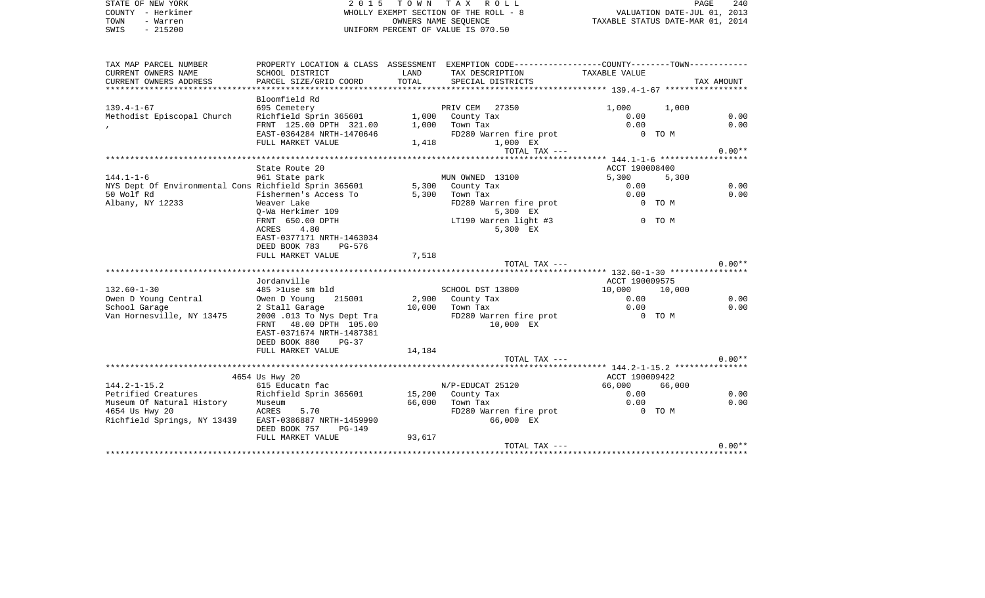| STATE OF NEW YORK          | 2 0 1 5                   | T O W N              | T A X<br>R O L L                      |                                            | PAGE                        | 240  |
|----------------------------|---------------------------|----------------------|---------------------------------------|--------------------------------------------|-----------------------------|------|
| - Herkimer<br>COUNTY       |                           |                      | WHOLLY EXEMPT SECTION OF THE ROLL - 8 |                                            | VALUATION DATE-JUL 01, 2013 |      |
| TOWN<br>- Warren           |                           | OWNERS NAME SEOUENCE |                                       | TAXABLE STATUS DATE-MAR 01, 2014           |                             |      |
| SWIS<br>$-215200$          |                           |                      | UNIFORM PERCENT OF VALUE IS 070.50    |                                            |                             |      |
|                            |                           |                      |                                       |                                            |                             |      |
|                            |                           |                      |                                       |                                            |                             |      |
|                            |                           |                      |                                       |                                            |                             |      |
| TAX MAP PARCEL NUMBER      | PROPERTY LOCATION & CLASS | ASSESSMENT           | EXEMPTION CODE---                     | -------------COUNTY--------TOWN----------- |                             |      |
| CURRENT OWNERS NAME        | SCHOOL DISTRICT           | LAND                 | TAX DESCRIPTION                       | TAXABLE VALUE                              |                             |      |
| CURRENT OWNERS ADDRESS     | PARCEL SIZE/GRID COORD    | TOTAL                | SPECIAL DISTRICTS                     |                                            | TAX AMOUNT                  |      |
|                            |                           |                      |                                       |                                            |                             |      |
|                            | Bloomfield Rd             |                      |                                       |                                            |                             |      |
| $139.4 - 1 - 67$           | 695 Cemetery              |                      | 27350<br>PRIV CEM                     | 1,000                                      | 1,000                       |      |
| Methodist Episcopal Church | Richfield Sprin 365601    | 1,000                | County Tax                            | 0.00                                       |                             | 0.00 |
|                            | FRNT 125.00 DPTH 321.00   | 1,000                | Town Tax                              | 0.00                                       |                             | 0.00 |
|                            | EAST-0364284 NRTH-1470646 |                      | FD280 Warren fire prot                | TO M<br>0                                  |                             |      |

|                                                       | FULL MARKET VALUE                | 1,418  | 1,000 EX               |                |        |          |
|-------------------------------------------------------|----------------------------------|--------|------------------------|----------------|--------|----------|
|                                                       |                                  |        | TOTAL TAX $---$        |                |        | $0.00**$ |
|                                                       |                                  |        |                        |                |        |          |
|                                                       | State Route 20                   |        |                        | ACCT 190008400 |        |          |
| $144.1 - 1 - 6$                                       | 961 State park                   |        | MUN OWNED 13100        | 5,300          | 5,300  |          |
| NYS Dept Of Environmental Cons Richfield Sprin 365601 |                                  |        | 5,300 County Tax       | 0.00           |        | 0.00     |
| 50 Wolf Rd                                            | Fishermen's Access To            | 5,300  | Town Tax               | 0.00           |        | 0.00     |
| Albany, NY 12233                                      | Weaver Lake                      |        | FD280 Warren fire prot |                | 0 TO M |          |
|                                                       | O-Wa Herkimer 109                |        | 5,300 EX               |                |        |          |
|                                                       | FRNT 650.00 DPTH                 |        | LT190 Warren light #3  |                | 0 TO M |          |
|                                                       | 4.80<br><b>ACRES</b>             |        | 5,300 EX               |                |        |          |
|                                                       | EAST-0377171 NRTH-1463034        |        |                        |                |        |          |
|                                                       | DEED BOOK 783<br>PG-576          |        |                        |                |        |          |
|                                                       | FULL MARKET VALUE                | 7,518  |                        |                |        |          |
|                                                       |                                  |        | TOTAL TAX ---          |                |        | $0.00**$ |
|                                                       |                                  |        |                        |                |        |          |
|                                                       | Jordanville                      |        |                        | ACCT 190009575 |        |          |
| $132.60 - 1 - 30$                                     | 485 >luse sm bld                 |        | SCHOOL DST 13800       | 10,000         | 10,000 |          |
| Owen D Young Central                                  | Owen D Young<br>215001           |        | 2,900 County Tax       | 0.00           |        | 0.00     |
| School Garage                                         | 2 Stall Garage                   | 10,000 | Town Tax               | 0.00           |        | 0.00     |
| Van Hornesville, NY 13475                             | 2000.013 To Nys Dept Tra         |        | FD280 Warren fire prot |                | 0 TO M |          |
|                                                       | 48.00 DPTH 105.00<br><b>FRNT</b> |        | 10,000 EX              |                |        |          |
|                                                       | EAST-0371674 NRTH-1487381        |        |                        |                |        |          |
|                                                       | DEED BOOK 880<br>$PG-37$         |        |                        |                |        |          |
|                                                       | FULL MARKET VALUE                | 14,184 |                        |                |        |          |
|                                                       |                                  |        | TOTAL TAX ---          |                |        | $0.00**$ |
|                                                       |                                  |        |                        |                |        |          |
|                                                       | 4654 Us Hwy 20                   |        |                        | ACCT 190009422 |        |          |
| $144.2 - 1 - 15.2$                                    | 615 Educatn fac                  |        | N/P-EDUCAT 25120       | 66,000         | 66,000 |          |
| Petrified Creatures                                   | Richfield Sprin 365601           |        | 15,200 County Tax      | 0.00           |        | 0.00     |
| Museum Of Natural History                             | Museum                           | 66,000 | Town Tax               | 0.00           |        | 0.00     |
| 4654 Us Hwy 20                                        | 5.70<br>ACRES                    |        | FD280 Warren fire prot |                | 0 TO M |          |
| Richfield Springs, NY 13439                           | EAST-0386887 NRTH-1459990        |        | 66,000 EX              |                |        |          |
|                                                       | DEED BOOK 757<br>$PG-149$        |        |                        |                |        |          |
|                                                       | FULL MARKET VALUE                | 93,617 |                        |                |        |          |
|                                                       |                                  |        | $TOTAI$ , $TAX$ $---$  |                |        | $0.00**$ |
|                                                       |                                  |        |                        |                |        |          |
|                                                       |                                  |        |                        |                |        |          |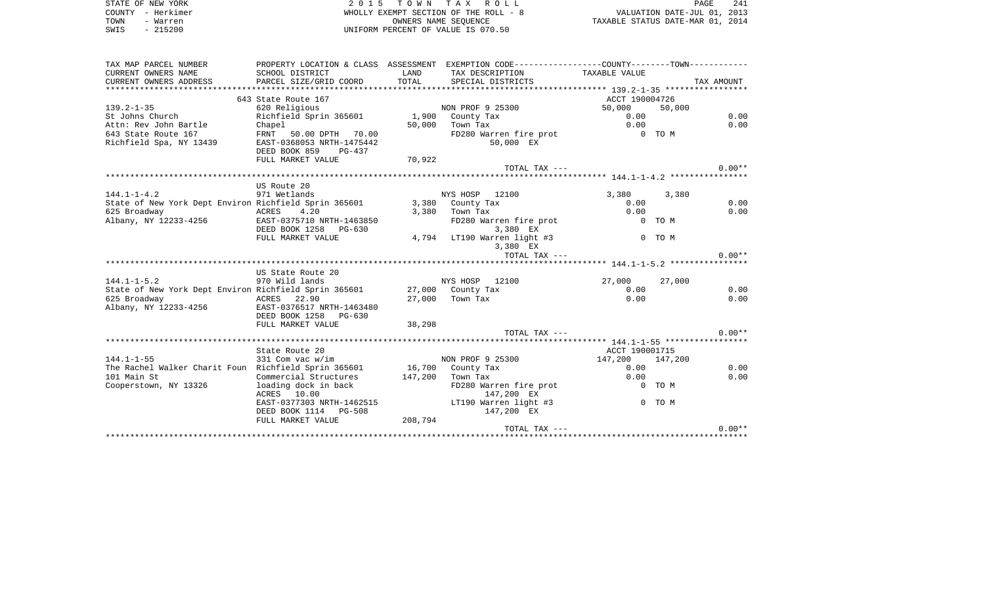| STATE OF NEW YORK                                                            |                                                    |        | 2015 TOWN TAX ROLL                                                                             |                                                                 |        | 241<br>PAGE |
|------------------------------------------------------------------------------|----------------------------------------------------|--------|------------------------------------------------------------------------------------------------|-----------------------------------------------------------------|--------|-------------|
| COUNTY - Herkimer                                                            |                                                    |        | WHOLLY EXEMPT SECTION OF THE ROLL - 8                                                          |                                                                 |        |             |
| TOWN<br>- Warren                                                             |                                                    |        | OWNERS NAME SEOUENCE                                                                           | VALUATION DATE-JUL 01, 2013<br>TAXABLE STATUS DATE-MAR 01, 2014 |        |             |
| $-215200$<br>SWIS                                                            |                                                    |        | UNIFORM PERCENT OF VALUE IS 070.50                                                             |                                                                 |        |             |
|                                                                              |                                                    |        |                                                                                                |                                                                 |        |             |
| TAX MAP PARCEL NUMBER                                                        |                                                    |        | PROPERTY LOCATION & CLASS ASSESSMENT EXEMPTION CODE---------------COUNTY--------TOWN---------- |                                                                 |        |             |
| CURRENT OWNERS NAME                                                          | SCHOOL DISTRICT                                    | LAND   | TAX DESCRIPTION                                                                                | TAXABLE VALUE                                                   |        |             |
| CURRENT OWNERS ADDRESS                                                       | PARCEL SIZE/GRID COORD                             | TOTAL  | SPECIAL DISTRICTS                                                                              |                                                                 |        | TAX AMOUNT  |
|                                                                              |                                                    |        |                                                                                                |                                                                 |        |             |
|                                                                              | 643 State Route 167                                |        |                                                                                                | ACCT 190004726                                                  |        |             |
| $139.2 - 1 - 35$                                                             | 620 Religious                                      |        | NON PROF 9 25300                                                                               | 50,000 50,000                                                   |        |             |
| St Johns Church                                                              | Richfield Sprin 365601 1,900 County Tax            |        |                                                                                                | 0.00                                                            |        | 0.00        |
| Attn: Rev John Bartle                                                        | Chapel                                             |        | 50,000 Town Tax                                                                                | 0.00                                                            |        | 0.00        |
| 643 State Route 167                                                          | FRNT 50.00 DPTH 70.00<br>EAST-0368053 NRTH-1475442 |        | FD280 Warren fire prot 0 TO M<br>50,000 EX                                                     |                                                                 |        |             |
| Richfield Spa, NY 13439                                                      |                                                    |        |                                                                                                |                                                                 |        |             |
|                                                                              | DEED BOOK 859 PG-437<br>FULL MARKET VALUE          | 70,922 |                                                                                                |                                                                 |        |             |
|                                                                              |                                                    |        | TOTAL TAX ---                                                                                  |                                                                 |        | $0.00**$    |
|                                                                              |                                                    |        |                                                                                                |                                                                 |        |             |
|                                                                              | US Route 20                                        |        |                                                                                                |                                                                 |        |             |
| 144.1-1-4.2                                                                  | 971 Wetlands                                       |        | NYS HOSP 12100                                                                                 | 3,380                                                           | 3,380  |             |
| State of New York Dept Environ Richfield Sprin 365601 3,380 County Tax       |                                                    |        |                                                                                                | 0.00                                                            |        | 0.00        |
| 625 Broadway                                                                 | ACRES<br>4.20                                      |        | $3,380$ Town Tax                                                                               | 0.00                                                            |        | 0.00        |
| Albany, NY 12233-4256                                                        | EAST-0375710 NRTH-1463850                          |        | FD280 Warren fire prot                                                                         |                                                                 | 0 TO M |             |
|                                                                              | DEED BOOK 1258 PG-630                              |        | 3,380 EX                                                                                       |                                                                 |        |             |
|                                                                              | FULL MARKET VALUE                                  |        | 4,794 LT190 Warren light #3                                                                    |                                                                 | 0 TO M |             |
|                                                                              |                                                    |        | 3,380 EX                                                                                       |                                                                 |        |             |
|                                                                              |                                                    |        | TOTAL TAX ---                                                                                  |                                                                 |        | $0.00**$    |
|                                                                              |                                                    |        |                                                                                                |                                                                 |        |             |
|                                                                              | US State Route 20                                  |        |                                                                                                |                                                                 |        |             |
| $144.1 - 1 - 5.2$                                                            | 970 Wild lands                                     |        | NYS HOSP 12100                                                                                 | 27,000                                                          | 27,000 |             |
| State of New York Dept Environ Richfield Sprin 365601 27,000 County Tax      |                                                    |        |                                                                                                | 0.00                                                            |        | 0.00        |
| 625 Broadway                                                                 | ACRES 22.90                                        |        | 27,000 Town Tax                                                                                | 0.00                                                            |        | 0.00        |
| Albany, NY 12233-4256                                                        | EAST-0376517 NRTH-1463480                          |        |                                                                                                |                                                                 |        |             |
|                                                                              | DEED BOOK 1258 PG-630                              |        |                                                                                                |                                                                 |        |             |
|                                                                              | FULL MARKET VALUE                                  | 38,298 | TOTAL TAX ---                                                                                  |                                                                 |        | $0.00**$    |
|                                                                              |                                                    |        |                                                                                                |                                                                 |        |             |
|                                                                              | State Route 20                                     |        |                                                                                                | ACCT 190001715                                                  |        |             |
| $144.1 - 1 - 55$                                                             | 331 Com vac w/im                                   |        | NON PROF 9 25300                                                                               | 147,200 147,200                                                 |        |             |
| The Rachel Walker Charit Foun Richfield Sprin 365601      16,700  County Tax |                                                    |        |                                                                                                |                                                                 | 0.00   | 0.00        |

| 144.1–1–55                                           | 331 Com vac w/im          |         | NON PROF 9 25300       | 147,200 | 147.200 |          |
|------------------------------------------------------|---------------------------|---------|------------------------|---------|---------|----------|
| The Rachel Walker Charit Foun Richfield Sprin 365601 |                           | 16,700  | County Tax             | 0.00    |         | 0.00     |
| 101 Main St                                          | Commercial Structures     | 147,200 | Town Tax               | 0.00    |         | 0.00     |
| Cooperstown, NY 13326                                | loading dock in back      |         | FD280 Warren fire prot |         | $0$ TOM |          |
|                                                      | ACRES 10.00               |         | 147,200 EX             |         |         |          |
|                                                      | EAST-0377303 NRTH-1462515 |         | LT190 Warren light #3  |         | 0 TO M  |          |
|                                                      | DEED BOOK 1114 PG-508     |         | 147,200 EX             |         |         |          |
|                                                      | FULL MARKET VALUE         | 208,794 |                        |         |         |          |
|                                                      |                           |         | TOTAL TAX ---          |         |         | $0.00**$ |
|                                                      |                           |         |                        |         |         |          |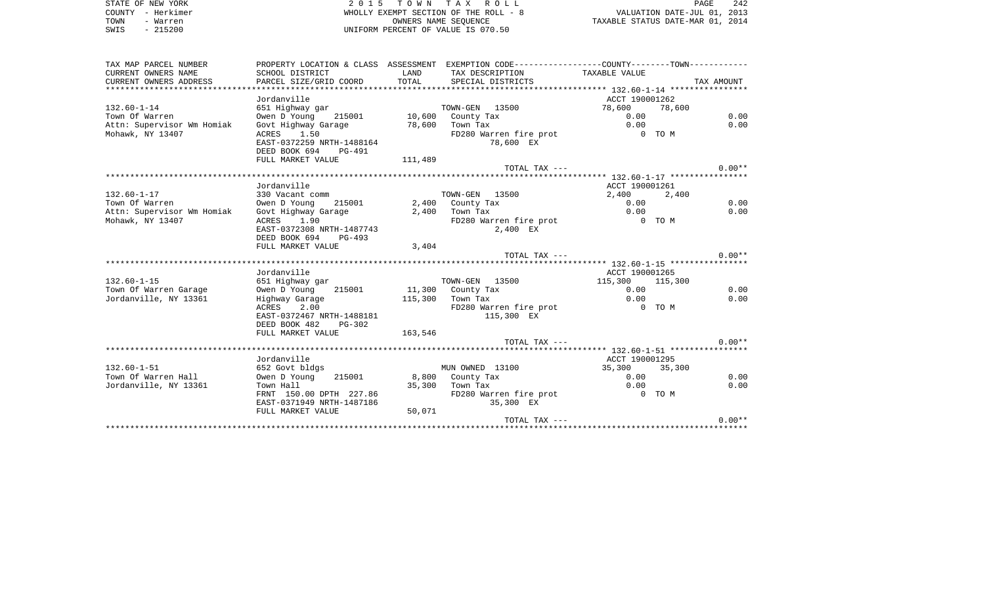STATE OF NEW YORK **2015 TOWN TAX ROLL** COUNTY - Herkimer WHOLLY EXEMPT SECTION OF THE ROLL - 8 TOWN - Warren OWNERS NAME SEQUENCE TAXABLE STATUS DATE-MAR 01, 2014 SWIS - 215200 UNIFORM PERCENT OF VALUE IS 070.50

| TAX MAP PARCEL NUMBER      |                                       |             | PROPERTY LOCATION & CLASS ASSESSMENT EXEMPTION CODE----------------COUNTY--------TOWN---------- |                 |            |
|----------------------------|---------------------------------------|-------------|-------------------------------------------------------------------------------------------------|-----------------|------------|
| CURRENT OWNERS NAME        | SCHOOL DISTRICT                       | <b>LAND</b> | TAX DESCRIPTION TAXABLE VALUE                                                                   |                 |            |
| CURRENT OWNERS ADDRESS     | PARCEL SIZE/GRID COORD                |             | TOTAL SPECIAL DISTRICTS                                                                         |                 | TAX AMOUNT |
|                            |                                       |             |                                                                                                 |                 |            |
|                            | Jordanville                           |             |                                                                                                 | ACCT 190001262  |            |
| $132.60 - 1 - 14$          | 651 Highway gar                       |             | TOWN-GEN 13500                                                                                  | 78,600          | 78,600     |
| Town Of Warren             | Owen D Young 215001 10,600 County Tax |             |                                                                                                 | 0.00            | 0.00       |
| Attn: Supervisor Wm Homiak | Govt Highway Garage 78,600 Town Tax   |             |                                                                                                 | 0.00            | 0.00       |
| Mohawk, NY 13407           | ACRES 1.50                            |             | FD280 Warren fire prot                                                                          | 0 TO M          |            |
|                            | EAST-0372259 NRTH-1488164             |             | 78,600 EX                                                                                       |                 |            |
|                            | DEED BOOK 694 PG-491                  |             |                                                                                                 |                 |            |
|                            | FULL MARKET VALUE                     | 111,489     |                                                                                                 |                 |            |
|                            |                                       |             | TOTAL TAX ---                                                                                   |                 | $0.00**$   |
|                            |                                       |             |                                                                                                 |                 |            |
|                            | Jordanville                           |             |                                                                                                 | ACCT 190001261  |            |
| $132.60 - 1 - 17$          | 330 Vacant comm                       |             | TOWN-GEN 13500                                                                                  | 2,400           | 2,400      |
| Town Of Warren             | Owen D Young<br>215001                |             | 2,400 County Tax<br>2,400 Town Tax                                                              | 0.00            | 0.00       |
| Attn: Supervisor Wm Homiak | Govt Highway Garage                   |             |                                                                                                 | 0.00            | 0.00       |
| Mohawk, NY 13407           | 1.90<br>ACRES                         |             | FD280 Warren fire prot 6 0 TO M                                                                 |                 |            |
|                            | EAST-0372308 NRTH-1487743             |             | 2,400 EX                                                                                        |                 |            |
|                            | DEED BOOK 694 PG-493                  |             |                                                                                                 |                 |            |
|                            | FULL MARKET VALUE                     | 3,404       | TOTAL TAX ---                                                                                   |                 | $0.00**$   |
|                            |                                       |             |                                                                                                 |                 |            |
|                            | Jordanville                           |             |                                                                                                 | ACCT 190001265  |            |
| $132.60 - 1 - 15$          | 651 Highway gar                       |             | TOWN-GEN 13500                                                                                  | 115,300 115,300 |            |
| Town Of Warren Garage      | Owen D Young 215001 11,300 County Tax |             |                                                                                                 | 0.00            | 0.00       |
| Jordanville, NY 13361      |                                       |             | 115,300 Town Tax                                                                                | 0.00            | 0.00       |
|                            |                                       |             | Town Tax<br>FD280 Warren fire prot                                                              | $0$ TO M        |            |
|                            | EAST-0372467 NRTH-1488181             |             | 115,300 EX                                                                                      |                 |            |
|                            | DEED BOOK 482<br>PG-302               |             |                                                                                                 |                 |            |
|                            | FULL MARKET VALUE                     | 163,546     |                                                                                                 |                 |            |
|                            |                                       |             | TOTAL TAX ---                                                                                   |                 | $0.00**$   |
|                            |                                       |             |                                                                                                 |                 |            |
|                            | Jordanville                           |             |                                                                                                 | ACCT 190001295  |            |
| $132.60 - 1 - 51$          | 652 Govt bldgs                        |             | MUN OWNED 13100                                                                                 | 35,300 35,300   |            |
| Town Of Warren Hall        | Owen D Young                          |             | 215001 8,800 County Tax                                                                         | 0.00            | 0.00       |
| Jordanville, NY 13361      | Town Hall                             |             | Town Tax 0.00<br>FD280 Warren fire prot 0 0 00 M<br>35,300 Town Tax                             |                 | 0.00       |
|                            | FRNT 150.00 DPTH 227.86               |             |                                                                                                 |                 |            |
|                            | EAST-0371949 NRTH-1487186             |             | 35,300 EX                                                                                       |                 |            |
|                            | FULL MARKET VALUE                     | 50,071      |                                                                                                 |                 |            |
|                            |                                       |             | TOTAL TAX ---                                                                                   |                 | $0.00**$   |
|                            |                                       |             |                                                                                                 |                 |            |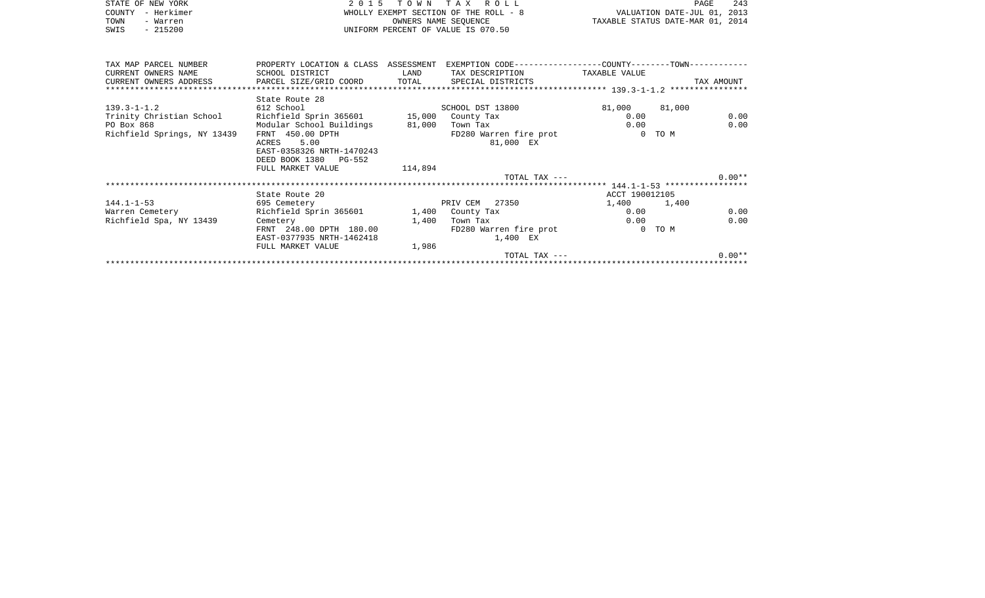|      | STATE OF NEW YORK | 2015 TOWN TAX ROLL                    | - 243<br>PAGE                    |  |
|------|-------------------|---------------------------------------|----------------------------------|--|
|      | COUNTY - Herkimer | WHOLLY EXEMPT SECTION OF THE ROLL - 8 | VALUATION DATE-JUL 01, 2013      |  |
| TOWN | - Warren          | OWNERS NAME SEOUENCE                  | TAXABLE STATUS DATE-MAR 01, 2014 |  |
| SWIS | $-215200$         | UNIFORM PERCENT OF VALUE IS 070.50    |                                  |  |
|      |                   |                                       |                                  |  |
|      |                   |                                       |                                  |  |
|      |                   |                                       |                                  |  |

| TAX MAP PARCEL NUMBER       | PROPERTY LOCATION & CLASS ASSESSMENT |         |                         |                |        |            |
|-----------------------------|--------------------------------------|---------|-------------------------|----------------|--------|------------|
| CURRENT OWNERS NAME         | SCHOOL DISTRICT                      | LAND    | TAX DESCRIPTION         | TAXABLE VALUE  |        |            |
| CURRENT OWNERS ADDRESS      | PARCEL SIZE/GRID COORD               |         | TOTAL SPECIAL DISTRICTS |                |        | TAX AMOUNT |
|                             |                                      |         |                         |                |        |            |
|                             | State Route 28                       |         |                         |                |        |            |
| $139.3 - 1 - 1.2$           | 612 School                           |         | SCHOOL DST 13800        | 81,000 81,000  |        |            |
| Trinity Christian School    | Richfield Sprin 365601 15,000        |         | County Tax              | 0.00           |        | 0.00       |
| PO Box 868                  | Modular School Buildings             | 81,000  | Town Tax                | 0.00           |        | 0.00       |
|                             |                                      |         |                         |                | 0 TO M |            |
| Richfield Springs, NY 13439 | FRNT 450.00 DPTH                     |         | FD280 Warren fire prot  |                |        |            |
|                             | 5.00<br>ACRES                        |         | 81,000 EX               |                |        |            |
|                             | EAST-0358326 NRTH-1470243            |         |                         |                |        |            |
|                             | DEED BOOK 1380 PG-552                |         |                         |                |        |            |
|                             | FULL MARKET VALUE                    | 114,894 |                         |                |        |            |
|                             |                                      |         | TOTAL TAX ---           |                |        | $0.00**$   |
|                             |                                      |         |                         |                |        |            |
|                             | State Route 20                       |         |                         | ACCT 190012105 |        |            |
| $144.1 - 1 - 53$            | 695 Cemetery                         |         | PRIV CEM 27350          | 1,400 1,400    |        |            |
| Warren Cemetery             | Richfield Sprin 365601               |         | 1,400 County Tax        | 0.00           |        | 0.00       |
| Richfield Spa, NY 13439     | Cemetery                             | 1,400   | Town Tax                |                | 0.00   | 0.00       |
|                             | FRNT 248.00 DPTH 180.00              |         | FD280 Warren fire prot  |                | 0 TO M |            |
|                             | EAST-0377935 NRTH-1462418            |         | 1,400 EX                |                |        |            |
|                             | FULL MARKET VALUE                    | 1,986   |                         |                |        |            |
|                             |                                      |         | TOTAL TAX ---           |                |        | $0.00**$   |
|                             |                                      |         |                         |                |        |            |
|                             |                                      |         |                         |                |        |            |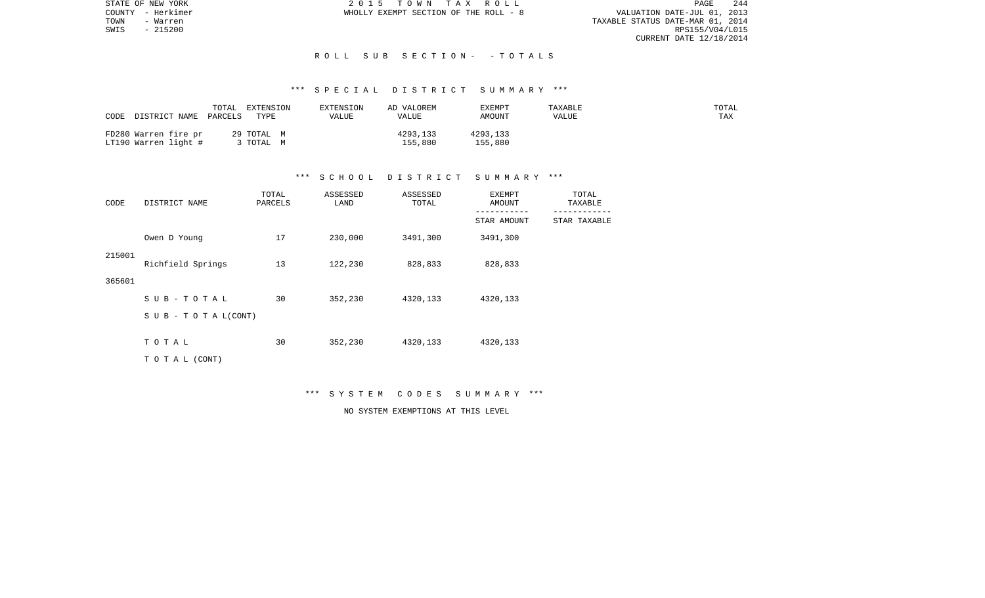STATE OF NEW YORK 2 0 1 5 T O W N T A X R O L L PAGE 244PAGE 244 TOWN - Warren TAXABLE STATUS DATE-MAR 01, 2014 CURRENT DATE 12/18/2014

COUNTY - Herkimer WHOLLY EXEMPT SECTION OF THE ROLL - 8

 $SWIS$  - 215200

#### R O L L S U B S E C T I O N - - T O T A L S

# \*\*\* S P E C I A L D I S T R I C T S U M M A R Y \*\*\*

| TOTAL<br>DISTRICT NAME PARCELS<br>CODE       | EXTENSION<br>TYPE   | EXTENSION<br>VALUE | AD VALOREM<br>VALUE | EXEMPT<br>AMOUNT    | TAXABLE<br>VALUE | TOTAL<br>TAX |
|----------------------------------------------|---------------------|--------------------|---------------------|---------------------|------------------|--------------|
| FD280 Warren fire pr<br>LT190 Warren light # | 29 TOTAL M<br>TOTAL |                    | 4293,133<br>155,880 | 4293,133<br>155,880 |                  |              |

## \*\*\* S C H O O L D I S T R I C T S U M M A R Y \*\*\*

| CODE   | DISTRICT NAME              | TOTAL<br>PARCELS | ASSESSED<br>LAND | ASSESSED<br>TOTAL | <b>EXEMPT</b><br>AMOUNT | TOTAL<br>TAXABLE |  |
|--------|----------------------------|------------------|------------------|-------------------|-------------------------|------------------|--|
|        |                            |                  |                  |                   | STAR AMOUNT             | STAR TAXABLE     |  |
|        | Owen D Young               | 17               | 230,000          | 3491,300          | 3491,300                |                  |  |
| 215001 | Richfield Springs          | 13               | 122,230          | 828,833           | 828,833                 |                  |  |
| 365601 |                            |                  |                  |                   |                         |                  |  |
|        | SUB-TOTAL                  | 30               | 352,230          | 4320,133          | 4320,133                |                  |  |
|        | S U B - T O T A $L$ (CONT) |                  |                  |                   |                         |                  |  |
|        | TOTAL                      | 30               | 352,230          | 4320,133          | 4320,133                |                  |  |
|        | TO TAL (CONT)              |                  |                  |                   |                         |                  |  |

\*\*\* S Y S T E M C O D E S S U M M A R Y \*\*\*

NO SYSTEM EXEMPTIONS AT THIS LEVEL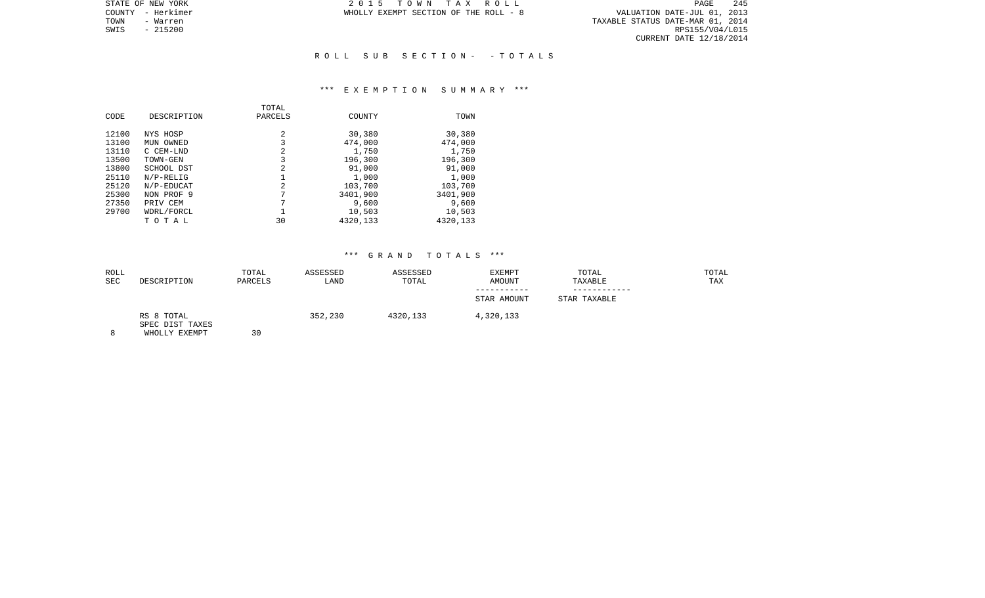STATE OF NEW YORK 2 0 1 5 T O W N T A X R O L L PAGE 245PAGE 245 TOWN - Warren TAXABLE STATUS DATE-MAR 01, 2014 CURRENT DATE 12/18/2014

COUNTY - Herkimer WHOLLY EXEMPT SECTION OF THE ROLL - 8

SWIS - 215200

#### R O L L S U B S E C T I O N - - T O T A L S

#### \*\*\* E X E M P T I O N S U M M A R Y \*\*\*

| CODE           | DESCRIPTION            | TOTAL<br>PARCELS | COUNTY           | TOWN             |
|----------------|------------------------|------------------|------------------|------------------|
| 12100<br>13100 | NYS HOSP               | 2<br>3           | 30,380           | 30,380           |
| 13110          | MUN OWNED<br>C CEM-LND | 2                | 474,000<br>1,750 | 474,000<br>1,750 |
| 13500          | TOWN-GEN               | 3                | 196,300          | 196,300          |
| 13800          | SCHOOL DST             | 2                | 91,000           | 91,000           |
| 25110          | $N/P-RELLG$            |                  | 1,000            | 1,000            |
| 25120          | N/P-EDUCAT             | $\overline{2}$   | 103,700          | 103,700          |
| 25300          | NON PROF 9             | 7                | 3401,900         | 3401,900         |
| 27350          | PRIV CEM               | 7                | 9,600            | 9,600            |
| 29700          | WDRL/FORCL             |                  | 10,503           | 10,503           |
|                | TOTAL                  | 30               | 4320,133         | 4320,133         |

| ROLL       |                                                | TOTAL   | ASSESSED | ASSESSED | EXEMPT      | TOTAL        | TOTAL |
|------------|------------------------------------------------|---------|----------|----------|-------------|--------------|-------|
| <b>SEC</b> | DESCRIPTION                                    | PARCELS | LAND     | TOTAL    | AMOUNT      | TAXABLE      | TAX   |
|            |                                                |         |          |          | STAR AMOUNT | STAR TAXABLE |       |
| 8          | RS 8 TOTAL<br>SPEC DIST TAXES<br>WHOLLY EXEMPT | 30      | 352,230  | 4320,133 | 4,320,133   |              |       |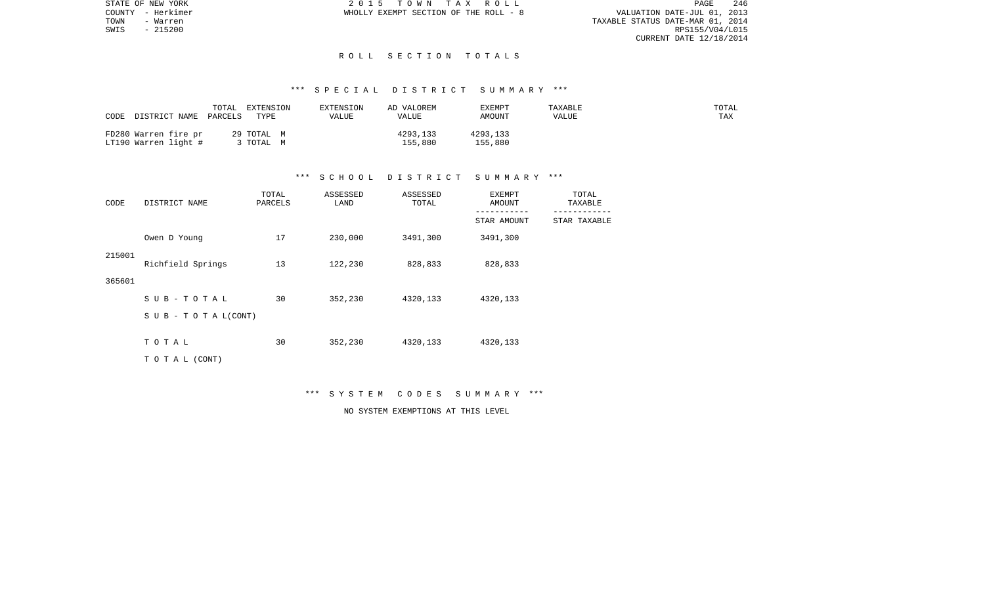STATE OF NEW YORK 2 0 1 5 T O W N T A X R O L L PAGE 246PAGE 246 TOWN - Warren TAXABLE STATUS DATE-MAR 01, 2014 CURRENT DATE 12/18/2014

COUNTY - Herkimer WHOLLY EXEMPT SECTION OF THE ROLL - 8

 $SWIS$  - 215200

#### R O L L S E C T I O N T O T A L S

#### \*\*\* S P E C I A L D I S T R I C T S U M M A R Y \*\*\*

| DISTRICT NAME<br>CODE                        | TOTAL<br>EXTENSION<br>PARCELS<br>TYPE | EXTENSION<br>VALUE | AD VALOREM<br>VALUE | <b>EXEMPT</b><br>AMOUNT | TAXABLE<br>VALUE | TOTAL<br>TAX |
|----------------------------------------------|---------------------------------------|--------------------|---------------------|-------------------------|------------------|--------------|
| FD280 Warren fire pr<br>LT190 Warren light # | 29 TOTAL M<br>TOTAL                   |                    | 4293,133<br>155,880 | 4293,133<br>155,880     |                  |              |

## \*\*\* S C H O O L D I S T R I C T S U M M A R Y \*\*\*

| DISTRICT NAME<br>CODE |                                  | TOTAL<br>PARCELS | ASSESSED<br>LAND | ASSESSED<br>TOTAL | EXEMPT<br>AMOUNT         | TOTAL<br>TAXABLE |  |
|-----------------------|----------------------------------|------------------|------------------|-------------------|--------------------------|------------------|--|
|                       |                                  |                  |                  |                   | ---------<br>STAR AMOUNT | STAR TAXABLE     |  |
|                       | Owen D Young                     | 17               | 230,000          | 3491,300          | 3491,300                 |                  |  |
| 215001                | Richfield Springs                | 13               | 122,230          | 828,833           | 828,833                  |                  |  |
| 365601                |                                  |                  |                  |                   |                          |                  |  |
|                       | $SUB - TO T AL$                  | 30               | 352,230          | 4320,133          | 4320,133                 |                  |  |
|                       | $S \cup B - T \cup T A L (CONT)$ |                  |                  |                   |                          |                  |  |
|                       | TOTAL                            | 30               | 352,230          | 4320,133          | 4320,133                 |                  |  |
|                       | TO TAL (CONT)                    |                  |                  |                   |                          |                  |  |

\*\*\* S Y S T E M C O D E S S U M M A R Y \*\*\*

NO SYSTEM EXEMPTIONS AT THIS LEVEL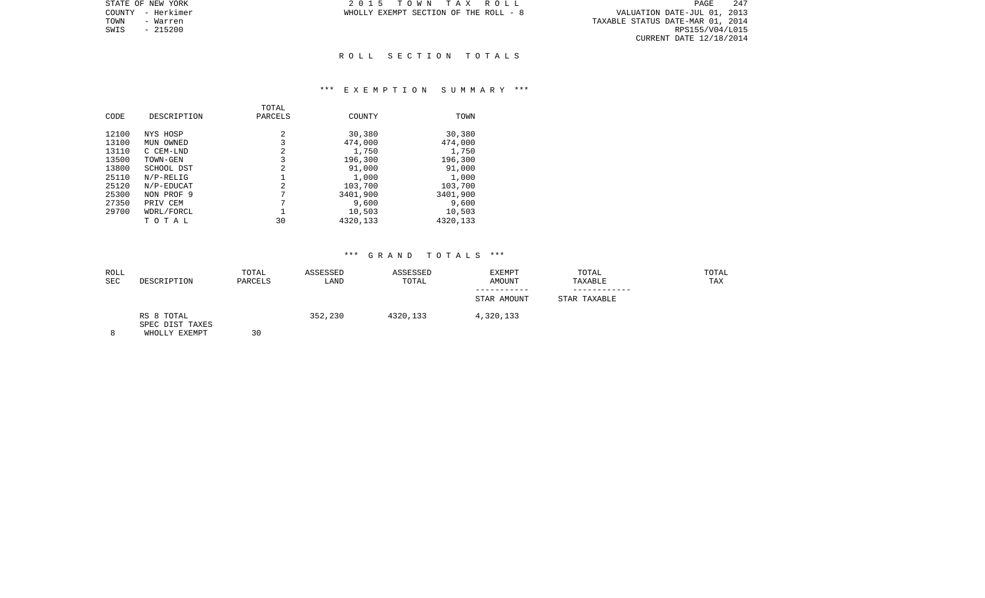PAGE 247 TOWNTY - Herkimer<br>
TOWN - Warren 1990 - WALUATION DATE-JUL 01, 2013<br>
TOWN - Warren 1, 2014<br>
TOWN - Warren 215200 RPS155/V04/L015 CURRENT DATE 12/18/2014

STATE OF NEW YORK **2015 TOWN TAX ROLL** COUNTY - Herkimer WHOLLY EXEMPT SECTION OF THE ROLL - 8

SWIS - 215200

#### R O L L S E C T I O N T O T A L S

#### \*\*\* E X E M P T I O N S U M M A R Y \*\*\*

| CODE           | DESCRIPTION            | TOTAL<br>PARCELS | COUNTY           | TOWN             |
|----------------|------------------------|------------------|------------------|------------------|
| 12100          | NYS HOSP               | 2                | 30,380           | 30,380           |
| 13100<br>13110 | MUN OWNED<br>C CEM-LND | 3<br>2           | 474,000<br>1,750 | 474,000<br>1,750 |
| 13500          | TOWN-GEN               | 3                | 196,300          | 196,300          |
| 13800          | SCHOOL DST             | 2                | 91,000           | 91,000           |
| 25110          | $N/P-RELLG$            |                  | 1,000            | 1,000            |
| 25120          | N/P-EDUCAT             | 2                | 103,700          | 103,700          |
| 25300          | NON PROF 9             | 7                | 3401,900         | 3401,900         |
| 27350          | PRIV CEM               | 7                | 9,600            | 9,600            |
| 29700          | WDRL/FORCL             |                  | 10,503           | 10,503           |
|                | тотаь                  | 30               | 4320,133         | 4320,133         |

| ROLL |                               | TOTAL   | ASSESSED | ASSESSED | <b>EXEMPT</b> | TOTAL        | TOTAL |
|------|-------------------------------|---------|----------|----------|---------------|--------------|-------|
| SEC  | DESCRIPTION                   | PARCELS | LAND     | TOTAL    | <b>AMOUNT</b> | TAXABLE      | TAX   |
|      |                               |         |          |          |               |              |       |
|      |                               |         |          |          | STAR AMOUNT   | STAR TAXABLE |       |
|      | RS 8 TOTAL<br>SPEC DIST TAXES |         | 352,230  | 4320,133 | 4,320,133     |              |       |
|      | WHOLLY EXEMPT                 | 30      |          |          |               |              |       |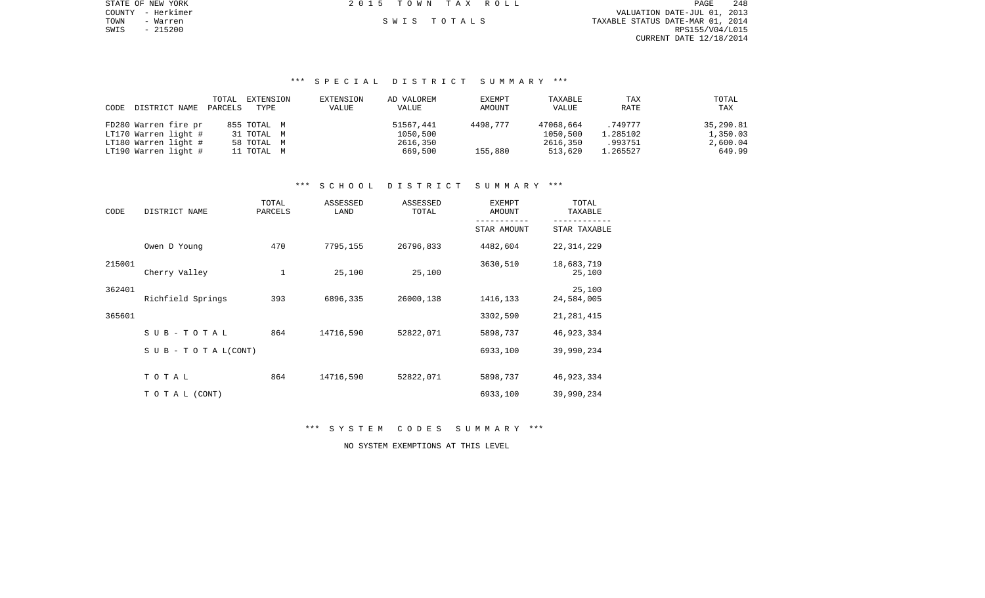PAGE 248 COUNTY - Herkimer VALUATION DATE-JUL 01, 2013 TOWN - Warren S W I S T O T A L S TAXABLE STATUS DATE-MAR 01, 2014 SWIS - 215200 RPS155/V04/L015 CURRENT DATE 12/18/2014

STATE OF NEW YORK **2015 TOWN TAX ROLL** 

# \*\*\* S P E C I A L D I S T R I C T S U M M A R Y \*\*\*

|      |                      | TOTAL   | EXTENSION   | EXTENSION | AD VALOREM   | EXEMPT   | TAXABLE      | TAX      | TOTAL     |
|------|----------------------|---------|-------------|-----------|--------------|----------|--------------|----------|-----------|
| CODE | DISTRICT NAME        | PARCELS | TYPE        | VALUE     | <b>VALUE</b> | AMOUNT   | <b>VALUE</b> | RATE     | TAX       |
|      |                      |         |             |           |              |          |              |          |           |
|      | FD280 Warren fire pr |         | 855 TOTAL M |           | 51567,441    | 4498,777 | 47068,664    | .749777  | 35,290.81 |
|      | LT170 Warren light # |         | 31 TOTAL M  |           | 1050,500     |          | 1050,500     | 1.285102 | 1,350.03  |
|      | LT180 Warren light # |         | 58 TOTAL M  |           | 2616,350     |          | 2616,350     | .993751  | 2,600.04  |
|      | LT190 Warren light # |         | 11 TOTAL M  |           | 669,500      | 155,880  | 513,620      | 1.265527 | 649.99    |

# \*\*\* S C H O O L D I S T R I C T S U M M A R Y \*\*\*

| CODE   | DISTRICT NAME                    | TOTAL<br>PARCELS | ASSESSED<br>LAND | ASSESSED<br>TOTAL | <b>EXEMPT</b><br>AMOUNT | TOTAL<br>TAXABLE     |  |
|--------|----------------------------------|------------------|------------------|-------------------|-------------------------|----------------------|--|
|        |                                  |                  |                  |                   | STAR AMOUNT             | STAR TAXABLE         |  |
|        | Owen D Young                     | 470              | 7795,155         | 26796,833         | 4482,604                | 22, 314, 229         |  |
| 215001 | Cherry Valley                    | 1                | 25,100           | 25,100            | 3630,510                | 18,683,719<br>25,100 |  |
| 362401 | Richfield Springs                | 393              | 6896,335         | 26000,138         | 1416,133                | 25,100<br>24,584,005 |  |
| 365601 |                                  |                  |                  |                   | 3302,590                | 21, 281, 415         |  |
|        | SUB-TOTAL                        | 864              | 14716,590        | 52822,071         | 5898,737                | 46, 923, 334         |  |
|        | $S \cup B - T \cup T A L (CONT)$ |                  |                  |                   | 6933,100                | 39,990,234           |  |
|        | TOTAL                            | 864              | 14716,590        | 52822,071         | 5898,737                | 46, 923, 334         |  |
|        | TO TAL (CONT)                    |                  |                  |                   | 6933,100                | 39,990,234           |  |

\*\*\* S Y S T E M C O D E S S U M M A R Y \*\*\*

NO SYSTEM EXEMPTIONS AT THIS LEVEL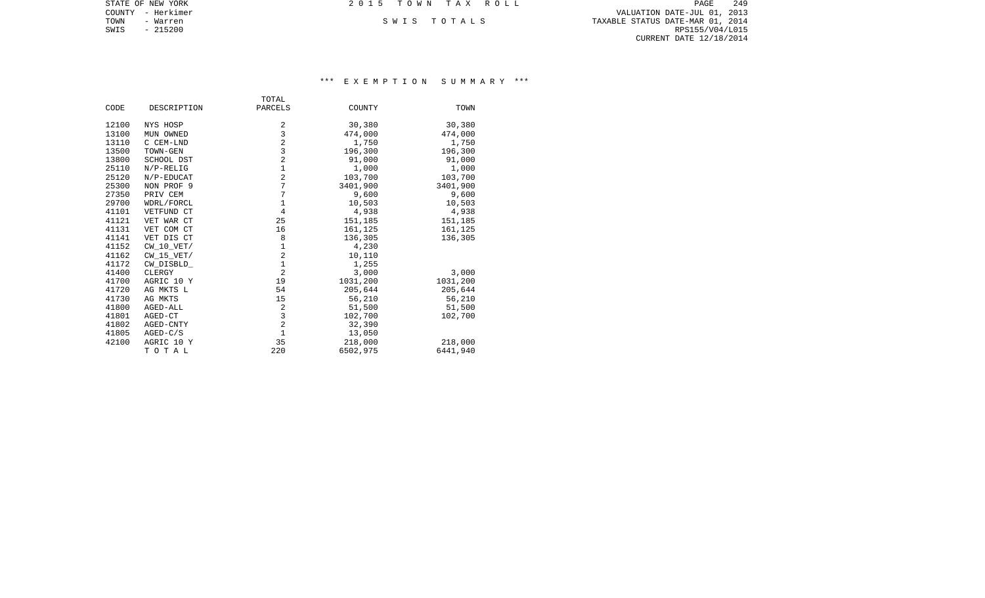|      | STATE OF NEW YORK | 2015 TOWN TAX ROLL | 249<br>PAGE                      |
|------|-------------------|--------------------|----------------------------------|
|      | COUNTY - Herkimer |                    | VALUATION DATE-JUL 01, 2013      |
| TOWN | - Warren          | SWIS TOTALS        | TAXABLE STATUS DATE-MAR 01, 2014 |
| SWIS | - 215200          |                    | RPS155/V04/L015                  |
|      |                   |                    | CURRENT DATE 12/18/2014          |
|      |                   |                    |                                  |

## \*\*\* E X E M P T I O N S U M M A R Y \*\*\*

|       |              | TOTAL          |          |          |
|-------|--------------|----------------|----------|----------|
| CODE  | DESCRIPTION  | PARCELS        | COUNTY   | TOWN     |
| 12100 | NYS HOSP     | 2              | 30,380   | 30,380   |
| 13100 | MUN OWNED    | 3              | 474,000  | 474,000  |
| 13110 | C CEM-LND    | $\overline{2}$ | 1,750    | 1,750    |
| 13500 | TOWN-GEN     | 3              | 196,300  | 196,300  |
| 13800 | SCHOOL DST   | $\overline{2}$ | 91,000   | 91,000   |
| 25110 | $N/P-RELIG$  | $1\,$          | 1,000    | 1,000    |
| 25120 | N/P-EDUCAT   | $\overline{2}$ | 103,700  | 103,700  |
| 25300 | NON PROF 9   | 7              | 3401,900 | 3401,900 |
| 27350 | PRIV CEM     | 7              | 9,600    | 9,600    |
| 29700 | WDRL/FORCL   | $1\,$          | 10,503   | 10,503   |
| 41101 | VETFUND CT   | $\overline{4}$ | 4,938    | 4,938    |
| 41121 | VET WAR CT   | 25             | 151,185  | 151,185  |
| 41131 | VET COM CT   | 16             | 161,125  | 161,125  |
| 41141 | VET DIS CT   | 8              | 136,305  | 136,305  |
| 41152 | CW 10 VET/   | $1\,$          | 4,230    |          |
| 41162 | $CW_15_VET/$ | $\overline{2}$ | 10,110   |          |
| 41172 | CW DISBLD    | $\mathbf{1}$   | 1,255    |          |
| 41400 | CLERGY       | $\overline{a}$ | 3,000    | 3,000    |
| 41700 | AGRIC 10 Y   | 19             | 1031,200 | 1031,200 |
| 41720 | AG MKTS L    | 54             | 205,644  | 205,644  |
| 41730 | AG MKTS      | 15             | 56,210   | 56,210   |
| 41800 | AGED-ALL     | 2              | 51,500   | 51,500   |
| 41801 | AGED-CT      | 3              | 102,700  | 102,700  |
| 41802 | AGED-CNTY    | $\overline{a}$ | 32,390   |          |
| 41805 | $AGED-C/S$   | $\mathbf{1}$   | 13,050   |          |
| 42100 | AGRIC 10 Y   | 35             | 218,000  | 218,000  |
|       | TOTAL        | 220            | 6502,975 | 6441,940 |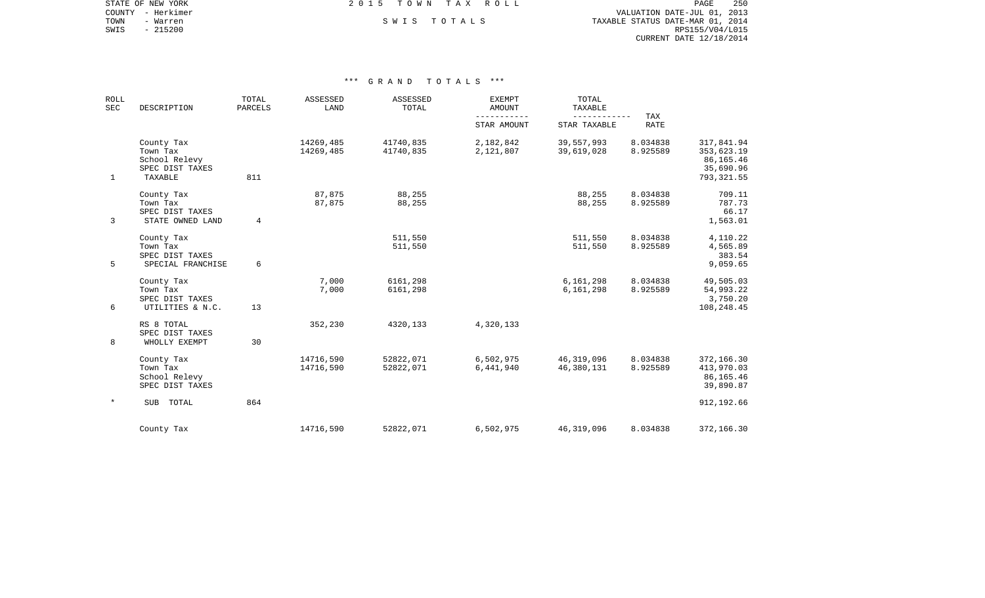COUNTY - Herkimer VALUATION DATE-JUL 01, 2013 TOWN - Warren S W I S T O T A L S TAXABLE STATUS DATE-MAR 01, 2014 SWIS - Warren – Warren – SWIS TOTALS (SWIS - 215200)<br>SWIS - 215200 RPS155/V04/L015 CURRENT DATE 12/18/2014

STATE OF NEW YORK **EXECUTE:** A G L L 2 0 1 5 T O W N T A X R O L L

| <b>ROLL</b><br>SEC | DESCRIPTION                                                           | TOTAL<br>PARCELS | ASSESSED<br>LAND       | ASSESSED<br>TOTAL      | <b>EXEMPT</b><br>AMOUNT | TOTAL<br>TAXABLE         |                      |                                                                     |
|--------------------|-----------------------------------------------------------------------|------------------|------------------------|------------------------|-------------------------|--------------------------|----------------------|---------------------------------------------------------------------|
|                    |                                                                       |                  |                        |                        | STAR AMOUNT             | STAR TAXABLE             | TAX<br><b>RATE</b>   |                                                                     |
| $\mathbf{1}$       | County Tax<br>Town Tax<br>School Relevy<br>SPEC DIST TAXES<br>TAXABLE | 811              | 14269,485<br>14269,485 | 41740,835<br>41740,835 | 2,182,842<br>2,121,807  | 39,557,993<br>39,619,028 | 8.034838<br>8.925589 | 317,841.94<br>353,623.19<br>86, 165. 46<br>35,690.96<br>793, 321.55 |
| $\mathbf{3}$       | County Tax<br>Town Tax<br>SPEC DIST TAXES<br>STATE OWNED LAND         | 4                | 87,875<br>87,875       | 88,255<br>88,255       |                         | 88,255<br>88,255         | 8.034838<br>8.925589 | 709.11<br>787.73<br>66.17<br>1,563.01                               |
| 5                  | County Tax<br>Town Tax<br>SPEC DIST TAXES<br>SPECIAL FRANCHISE        | 6                |                        | 511,550<br>511,550     |                         | 511,550<br>511,550       | 8.034838<br>8.925589 | 4,110.22<br>4,565.89<br>383.54<br>9,059.65                          |
| 6                  | County Tax<br>Town Tax<br>SPEC DIST TAXES<br>UTILITIES & N.C.         | 13               | 7,000<br>7,000         | 6161,298<br>6161,298   |                         | 6,161,298<br>6,161,298   | 8.034838<br>8.925589 | 49,505.03<br>54,993.22<br>3,750.20<br>108,248.45                    |
| 8                  | RS 8 TOTAL<br>SPEC DIST TAXES<br>WHOLLY EXEMPT                        | 30               | 352,230                | 4320,133               | 4,320,133               |                          |                      |                                                                     |
|                    | County Tax<br>Town Tax<br>School Relevy<br>SPEC DIST TAXES            |                  | 14716,590<br>14716,590 | 52822,071<br>52822,071 | 6,502,975<br>6,441,940  | 46,319,096<br>46,380,131 | 8.034838<br>8.925589 | 372,166.30<br>413,970.03<br>86,165.46<br>39,890.87                  |
| $\ast$             | SUB TOTAL                                                             | 864              |                        |                        |                         |                          |                      | 912, 192.66                                                         |
|                    | County Tax                                                            |                  | 14716,590              | 52822,071              | 6,502,975               | 46,319,096               | 8.034838             | 372,166.30                                                          |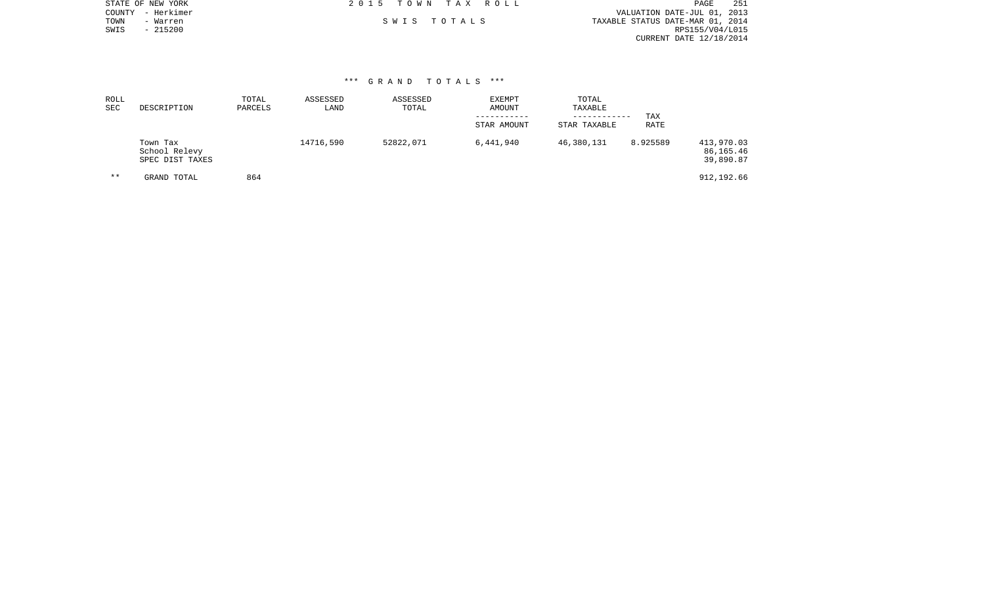|      | STATE OF NEW YORK | 2015 TOWN TAX ROLL |             |                                  | PAGE            | 251 |
|------|-------------------|--------------------|-------------|----------------------------------|-----------------|-----|
|      | COUNTY - Herkimer |                    |             | VALUATION DATE-JUL 01, 2013      |                 |     |
| TOWN | - Warren          |                    | SWIS TOTALS | TAXABLE STATUS DATE-MAR 01, 2014 |                 |     |
| SWIS | $-215200$         |                    |             |                                  | RPS155/V04/L015 |     |
|      |                   |                    |             | CURRENT DATE 12/18/2014          |                 |     |
|      |                   |                    |             |                                  |                 |     |

| ROLL<br><b>SEC</b> | DESCRIPTION                                  | TOTAL<br>PARCELS | ASSESSED<br>LAND | ASSESSED<br>TOTAL | EXEMPT<br>AMOUNT<br>---------<br>STAR AMOUNT | TOTAL<br>TAXABLE<br>------------<br>STAR TAXABLE | TAX<br>RATE |                                      |
|--------------------|----------------------------------------------|------------------|------------------|-------------------|----------------------------------------------|--------------------------------------------------|-------------|--------------------------------------|
|                    | Town Tax<br>School Relevy<br>SPEC DIST TAXES |                  | 14716,590        | 52822,071         | 6,441,940                                    | 46,380,131                                       | 8.925589    | 413,970.03<br>86,165.46<br>39,890.87 |
| $* *$              | GRAND TOTAL                                  | 864              |                  |                   |                                              |                                                  |             | 912,192.66                           |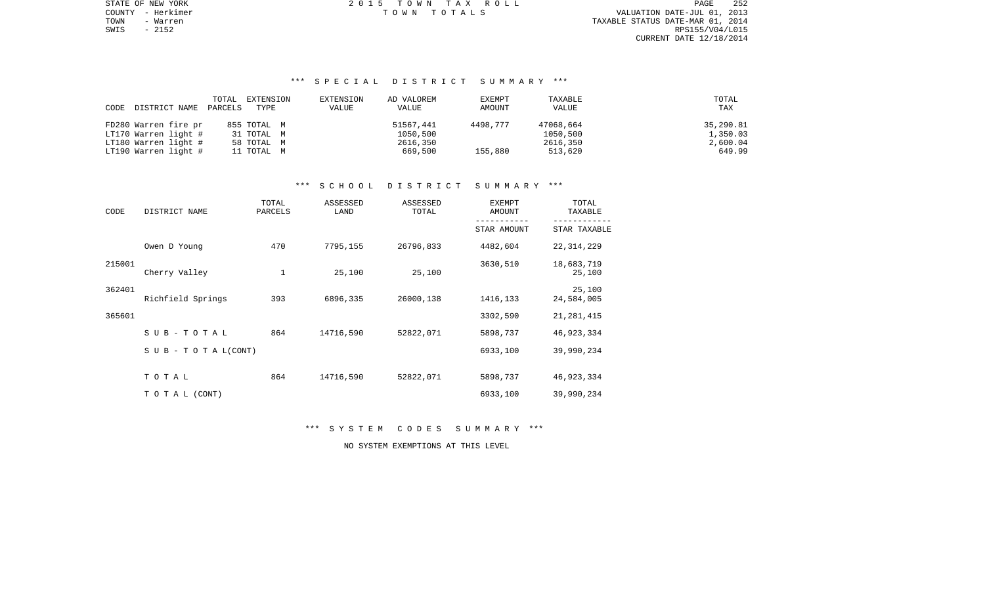STATE OF NEW YORK 252 COMM 2 0 1 5 T O W N T A X R O L L TOWN - Warren TAXABLE STATUS DATE-MAR 01, 2014 SWIS - 2152 RPS155/V04/L015 CURRENT DATE 12/18/2014

COUNTY - Herkimer T O W N T O T A L S VALUATION DATE-JUL 01, 2013

## \*\*\* S P E C I A L D I S T R I C T S U M M A R Y \*\*\*

|      |                      | TOTAL   | EXTENSION   | EXTENSION | AD VALOREM | EXEMPT   | TAXABLE   | TOTAL     |
|------|----------------------|---------|-------------|-----------|------------|----------|-----------|-----------|
| CODE | DISTRICT NAME        | PARCELS | TYPE        | VALUE     | VALUE      | AMOUNT   | VALUE     | TAX       |
|      |                      |         |             |           |            |          |           |           |
|      | FD280 Warren fire pr |         | 855 ТОТАL М |           | 51567,441  | 4498.777 | 47068,664 | 35,290.81 |
|      | LT170 Warren light # |         | 31 TOTAL M  |           | 1050,500   |          | 1050,500  | 1,350.03  |
|      | LT180 Warren light # |         | 58 TOTAL M  |           | 2616,350   |          | 2616,350  | 2,600.04  |
|      | LT190 Warren light # |         | 11 TOTAL M  |           | 669,500    | 155,880  | 513,620   | 649.99    |

## \*\*\* S C H O O L D I S T R I C T S U M M A R Y \*\*\*

| CODE   | DISTRICT NAME                    | TOTAL<br>PARCELS | ASSESSED<br>LAND | ASSESSED<br>TOTAL | <b>EXEMPT</b><br>AMOUNT | TOTAL<br>TAXABLE     |  |  |
|--------|----------------------------------|------------------|------------------|-------------------|-------------------------|----------------------|--|--|
|        |                                  |                  |                  |                   | STAR AMOUNT             | STAR TAXABLE         |  |  |
|        | Owen D Young                     | 470              | 7795,155         | 26796,833         | 4482,604                | 22, 314, 229         |  |  |
| 215001 | Cherry Valley                    | 1                | 25,100           | 25,100            | 3630,510                | 18,683,719<br>25,100 |  |  |
| 362401 | Richfield Springs                | 393              | 6896,335         | 26000,138         | 1416,133                | 25,100<br>24,584,005 |  |  |
| 365601 |                                  |                  |                  |                   | 3302,590                | 21, 281, 415         |  |  |
|        | SUB-TOTAL                        | 864              | 14716,590        | 52822,071         | 5898,737                | 46, 923, 334         |  |  |
|        | $S \cup B - T \cup T A L (CONT)$ |                  |                  |                   | 6933,100                | 39,990,234           |  |  |
|        | TOTAL                            | 864              | 14716,590        | 52822,071         | 5898,737                | 46, 923, 334         |  |  |
|        | TO TAL (CONT)                    |                  |                  |                   | 6933,100                | 39,990,234           |  |  |

\*\*\* S Y S T E M C O D E S S U M M A R Y \*\*\*

NO SYSTEM EXEMPTIONS AT THIS LEVEL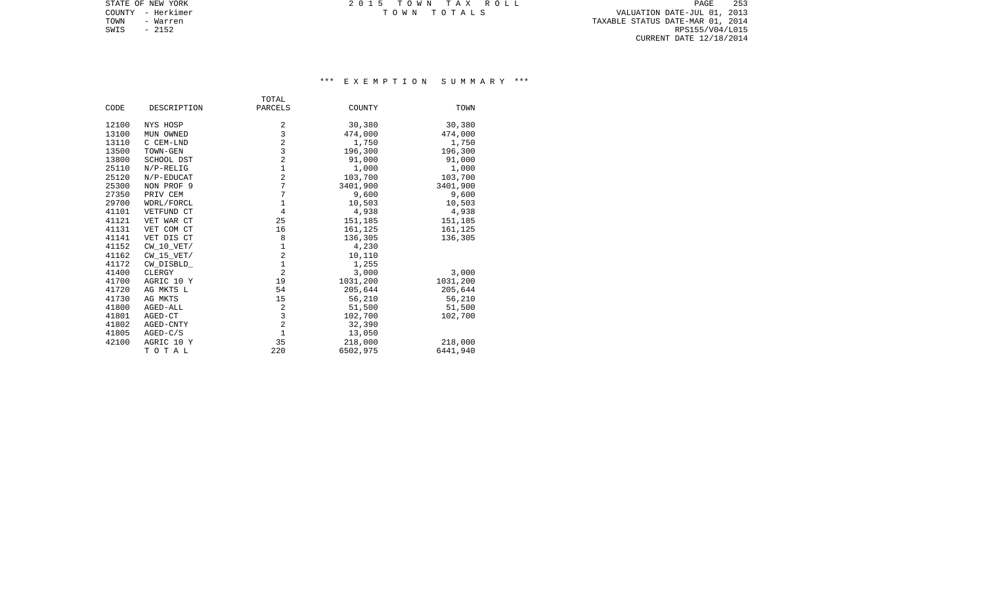TOWN - Warren TAXABLE STATUS DATE-MAR 01, 2014 SWIS - Warren 2007 - Warren 2007 - 2152 - 2152 - 2152 - 2152 - 2152 - 2152 - 2152 - 2152 - 2152 - 2152 - 2152<br>SWIS - 2152 - 2152 - 2152 - 2152 - 2152 - 2152 - 2152 - 2152 - 2152 - 2152 - 2152 - 2152 - 2152 - 2152 - 2152 CURRENT DATE 12/18/2014

STATE OF NEW YORK TO W N TAX ROLL COUNTY - Herkimer T O W N T O T A L S VALUATION DATE-JUL 01, 2013

## \*\*\* E X E M P T I O N S U M M A R Y \*\*\*

|       |              | TOTAL          |          |          |
|-------|--------------|----------------|----------|----------|
| CODE  | DESCRIPTION  | PARCELS        | COUNTY   | TOWN     |
| 12100 | NYS HOSP     | 2              | 30,380   | 30,380   |
| 13100 | MUN OWNED    | 3              | 474,000  | 474,000  |
| 13110 | C CEM-LND    | $\overline{2}$ | 1,750    | 1,750    |
| 13500 | TOWN-GEN     | 3              | 196,300  | 196,300  |
| 13800 | SCHOOL DST   | $\overline{a}$ | 91,000   | 91,000   |
| 25110 | $N/P-RELIG$  | $1\,$          | 1,000    | 1,000    |
| 25120 | N/P-EDUCAT   | $\overline{2}$ | 103,700  | 103,700  |
| 25300 | NON PROF 9   | 7              | 3401,900 | 3401,900 |
| 27350 | PRIV CEM     | 7              | 9,600    | 9,600    |
| 29700 | WDRL/FORCL   | $1\,$          | 10,503   | 10,503   |
| 41101 | VETFUND CT   | $\overline{4}$ | 4,938    | 4,938    |
| 41121 | VET WAR CT   | 25             | 151,185  | 151,185  |
| 41131 | VET COM CT   | 16             | 161,125  | 161,125  |
| 41141 | VET DIS CT   | 8              | 136,305  | 136,305  |
| 41152 | CW 10 VET/   | $\mathbf 1$    | 4,230    |          |
| 41162 | $CW_15_VET/$ | $\overline{a}$ | 10,110   |          |
| 41172 | CW DISBLD    | $\mathbf{1}$   | 1,255    |          |
| 41400 | CLERGY       | $\overline{2}$ | 3,000    | 3,000    |
| 41700 | AGRIC 10 Y   | 19             | 1031,200 | 1031,200 |
| 41720 | AG MKTS L    | 54             | 205,644  | 205,644  |
| 41730 | AG MKTS      | 15             | 56,210   | 56,210   |
| 41800 | AGED-ALL     | $\overline{2}$ | 51,500   | 51,500   |
| 41801 | AGED-CT      | 3              | 102,700  | 102,700  |
| 41802 | AGED-CNTY    | $\overline{2}$ | 32,390   |          |
| 41805 | $AGED-C/S$   | $\mathbf{1}$   | 13,050   |          |
| 42100 | AGRIC 10 Y   | 35             | 218,000  | 218,000  |
|       | TOTAL        | 220            | 6502,975 | 6441,940 |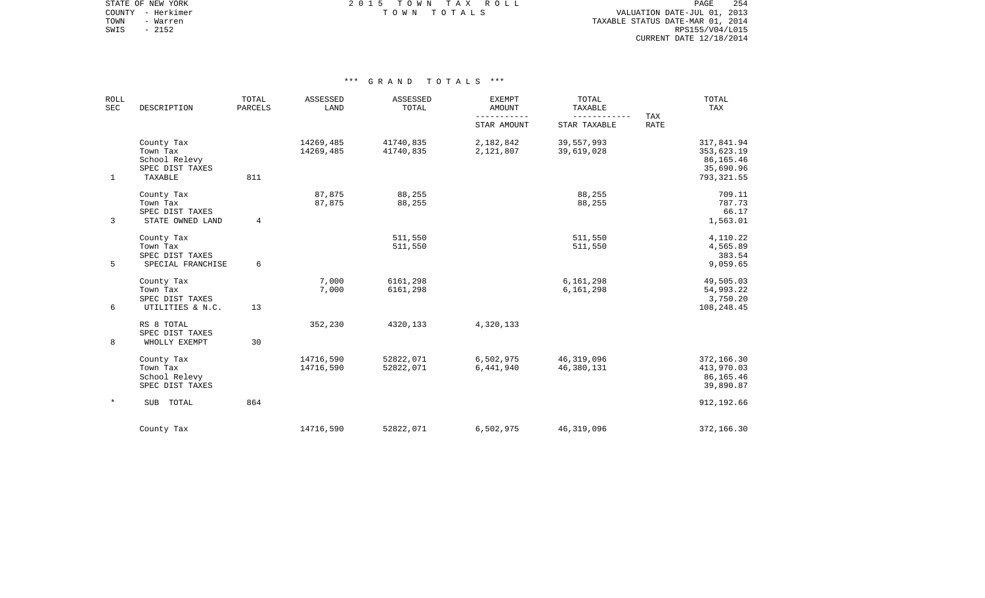STATE OF NEW YORK **EXECUTE:**  $2015$  TOWN TAX ROLL COUNTY - Herkimer T O W N T O T A L S VALUATION DATE-JUL 01, 2013

TOWN - Warren TAXABLE STATUS DATE-MAR 01, 2014 SWIS - Warren 2014<br>SWIS - 2152 RPS155/V04/L015<br>SWIS - 2152 RPS155/V04/L015 CURRENT DATE 12/18/2014

| <b>ROLL</b><br><b>SEC</b><br>DESCRIPTION |                                                                       | TOTAL<br><b>PARCELS</b> | ASSESSED<br>LAND       | ASSESSED<br>TOTAL      | <b>EXEMPT</b><br><b>AMOUNT</b> | TOTAL<br><b>TAXABLE</b><br>------------ | TAX         | TOTAL<br>TAX                                                      |
|------------------------------------------|-----------------------------------------------------------------------|-------------------------|------------------------|------------------------|--------------------------------|-----------------------------------------|-------------|-------------------------------------------------------------------|
|                                          |                                                                       |                         |                        |                        | STAR AMOUNT                    | STAR TAXABLE                            | <b>RATE</b> |                                                                   |
| $\mathbf{1}$                             | County Tax<br>Town Tax<br>School Relevy<br>SPEC DIST TAXES<br>TAXABLE | 811                     | 14269,485<br>14269,485 | 41740,835<br>41740,835 | 2,182,842<br>2,121,807         | 39,557,993<br>39,619,028                |             | 317,841.94<br>353,623.19<br>86,165.46<br>35,690.96<br>793, 321.55 |
| 3                                        | County Tax<br>Town Tax<br>SPEC DIST TAXES<br>STATE OWNED LAND         | 4                       | 87,875<br>87,875       | 88,255<br>88,255       |                                | 88,255<br>88,255                        |             | 709.11<br>787.73<br>66.17<br>1,563.01                             |
| 5                                        | County Tax<br>Town Tax<br>SPEC DIST TAXES<br>SPECIAL FRANCHISE        | 6                       |                        | 511,550<br>511,550     |                                | 511,550<br>511,550                      |             | 4,110.22<br>4,565.89<br>383.54<br>9,059.65                        |
| 6                                        | County Tax<br>Town Tax<br>SPEC DIST TAXES<br>UTILITIES & N.C.         | 13                      | 7,000<br>7,000         | 6161,298<br>6161,298   |                                | 6,161,298<br>6,161,298                  |             | 49,505.03<br>54,993.22<br>3,750.20<br>108,248.45                  |
| 8                                        | RS 8 TOTAL<br>SPEC DIST TAXES<br>WHOLLY EXEMPT                        | 30                      | 352,230                | 4320,133               | 4,320,133                      |                                         |             |                                                                   |
|                                          | County Tax<br>Town Tax<br>School Relevy<br>SPEC DIST TAXES            |                         | 14716,590<br>14716,590 | 52822,071<br>52822,071 | 6,502,975<br>6,441,940         | 46, 319, 096<br>46,380,131              |             | 372,166.30<br>413,970.03<br>86,165.46<br>39,890.87                |
| $\ast$                                   | SUB TOTAL                                                             | 864                     |                        |                        |                                |                                         |             | 912,192.66                                                        |
|                                          | County Tax                                                            |                         | 14716,590              | 52822,071              | 6,502,975                      | 46, 319, 096                            |             | 372,166.30                                                        |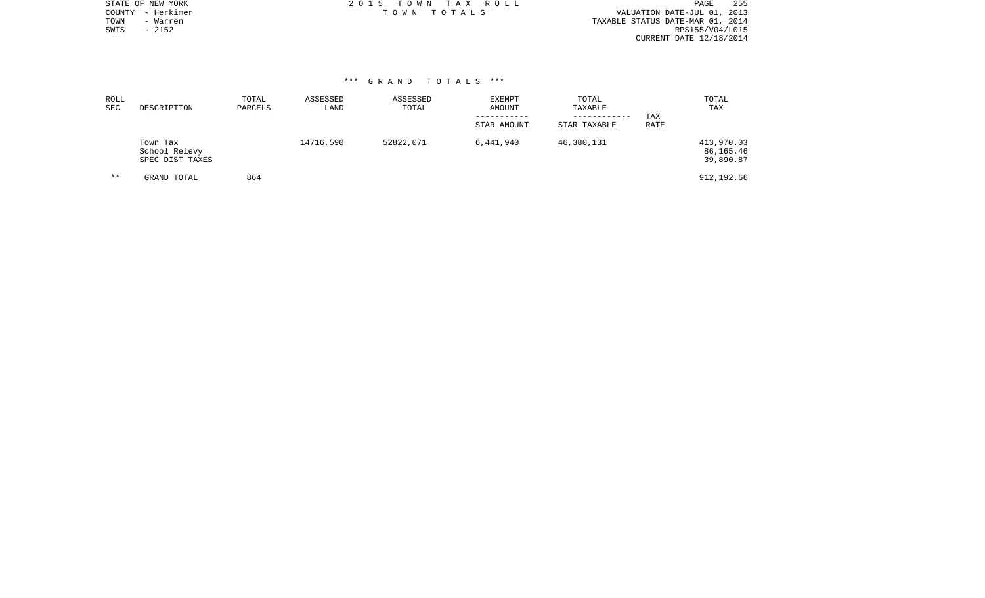|      | STATE OF NEW YORK | 2015 TOWN TAX ROLL | PAGE                             | - 255 |
|------|-------------------|--------------------|----------------------------------|-------|
|      | COUNTY - Herkimer | TOWN TOTALS        | VALUATION DATE-JUL 01, 2013      |       |
| TOWN | - Warren          |                    | TAXABLE STATUS DATE-MAR 01, 2014 |       |
| SWIS | - 2152            |                    | RPS155/V04/L015                  |       |
|      |                   |                    | CURRENT DATE 12/18/2014          |       |
|      |                   |                    |                                  |       |

| ROLL<br>SEC | DESCRIPTION                                  | TOTAL<br>PARCELS | ASSESSED<br>LAND | ASSESSED<br>TOTAL | <b>EXEMPT</b><br>AMOUNT<br>STAR AMOUNT | TOTAL<br>TAXABLE<br>------------<br>STAR TAXABLE | TAX<br>RATE | TOTAL<br>TAX                         |
|-------------|----------------------------------------------|------------------|------------------|-------------------|----------------------------------------|--------------------------------------------------|-------------|--------------------------------------|
|             | Town Tax<br>School Relevy<br>SPEC DIST TAXES |                  | 14716,590        | 52822,071         | 6,441,940                              | 46,380,131                                       |             | 413,970.03<br>86,165.46<br>39,890.87 |
| $* *$       | GRAND TOTAL                                  | 864              |                  |                   |                                        |                                                  |             | 912,192.66                           |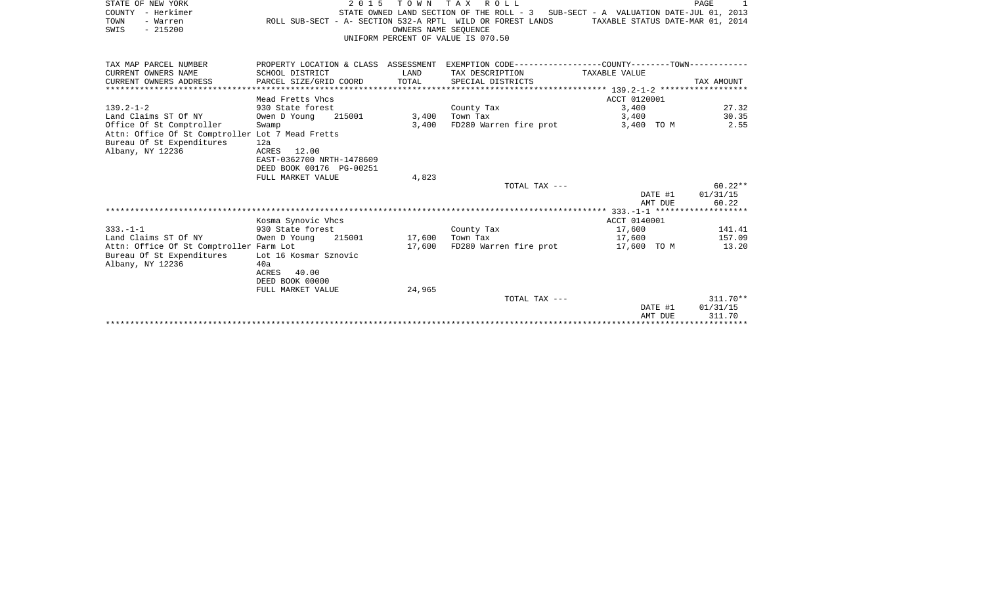| STATE OF NEW YORK                                | 2 0 1 5                              | T O W N              | TAX ROLL                                                                          |                                                              | PAGE<br>1         |
|--------------------------------------------------|--------------------------------------|----------------------|-----------------------------------------------------------------------------------|--------------------------------------------------------------|-------------------|
| COUNTY - Herkimer                                |                                      |                      | STATE OWNED LAND SECTION OF THE ROLL - 3 SUB-SECT - A VALUATION DATE-JUL 01, 2013 |                                                              |                   |
| TOWN<br>- Warren<br>$-215200$                    |                                      |                      | ROLL SUB-SECT - A- SECTION 532-A RPTL WILD OR FOREST LANDS                        | TAXABLE STATUS DATE-MAR 01, 2014                             |                   |
| SWIS                                             |                                      | OWNERS NAME SEOUENCE | UNIFORM PERCENT OF VALUE IS 070.50                                                |                                                              |                   |
|                                                  |                                      |                      |                                                                                   |                                                              |                   |
|                                                  |                                      |                      |                                                                                   |                                                              |                   |
| TAX MAP PARCEL NUMBER                            | PROPERTY LOCATION & CLASS ASSESSMENT |                      |                                                                                   | EXEMPTION CODE-----------------COUNTY--------TOWN----------- |                   |
| CURRENT OWNERS NAME                              | SCHOOL DISTRICT                      | LAND                 | TAX DESCRIPTION                                                                   | TAXABLE VALUE                                                |                   |
| CURRENT OWNERS ADDRESS                           | PARCEL SIZE/GRID COORD               | TOTAL                | SPECIAL DISTRICTS                                                                 |                                                              | TAX AMOUNT        |
|                                                  |                                      |                      |                                                                                   | ACCT 0120001                                                 |                   |
| $139.2 - 1 - 2$                                  | Mead Fretts Vhcs<br>930 State forest |                      | County Tax                                                                        | 3,400                                                        | 27.32             |
| Land Claims ST Of NY                             | 215001<br>Owen D Young               | 3,400                | Town Tax                                                                          | 3,400                                                        | 30.35             |
| Office Of St Comptroller                         | Swamp                                | 3,400                | FD280 Warren fire prot                                                            | 3,400 TO M                                                   | 2.55              |
| Attn: Office Of St Comptroller Lot 7 Mead Fretts |                                      |                      |                                                                                   |                                                              |                   |
| Bureau Of St Expenditures                        | 12a                                  |                      |                                                                                   |                                                              |                   |
| Albany, NY 12236                                 | 12.00<br>ACRES                       |                      |                                                                                   |                                                              |                   |
|                                                  | EAST-0362700 NRTH-1478609            |                      |                                                                                   |                                                              |                   |
|                                                  | DEED BOOK 00176 PG-00251             |                      |                                                                                   |                                                              |                   |
|                                                  | FULL MARKET VALUE                    | 4,823                |                                                                                   |                                                              |                   |
|                                                  |                                      |                      | TOTAL TAX ---                                                                     |                                                              | $60.22**$         |
|                                                  |                                      |                      |                                                                                   | DATE #1<br>AMT DUE                                           | 01/31/15<br>60.22 |
|                                                  |                                      |                      |                                                                                   |                                                              |                   |
|                                                  | Kosma Synovic Vhcs                   |                      |                                                                                   | ACCT 0140001                                                 |                   |
| $333. - 1 - 1$                                   | 930 State forest                     |                      | County Tax                                                                        | 17,600                                                       | 141.41            |
| Land Claims ST Of NY                             | Owen D Young<br>215001               | 17,600               | Town Tax                                                                          | 17,600                                                       | 157.09            |
| Attn: Office Of St Comptroller Farm Lot          |                                      | 17,600               | FD280 Warren fire prot                                                            | 17,600 TO M                                                  | 13.20             |
| Bureau Of St Expenditures                        | Lot 16 Kosmar Sznovic                |                      |                                                                                   |                                                              |                   |
| Albany, NY 12236                                 | 40a                                  |                      |                                                                                   |                                                              |                   |
|                                                  | 40.00<br>ACRES                       |                      |                                                                                   |                                                              |                   |
|                                                  | DEED BOOK 00000<br>FULL MARKET VALUE | 24,965               |                                                                                   |                                                              |                   |
|                                                  |                                      |                      | TOTAL TAX ---                                                                     |                                                              | $311.70**$        |
|                                                  |                                      |                      |                                                                                   |                                                              |                   |

| DATE #1 | 01/31/15 |
|---------|----------|
| AMT DUE | 311.70   |
|         |          |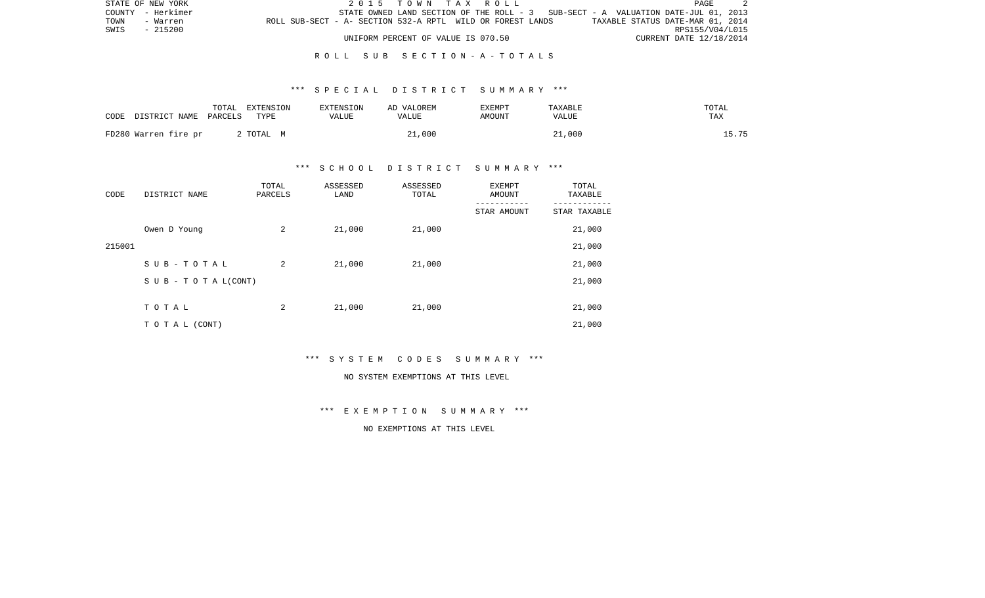|      | STATE OF NEW YORK |                                                            |  |  |                                    |  | 2015 TOWN TAX ROLL |  |  |                                                                                   | PAGE |  |
|------|-------------------|------------------------------------------------------------|--|--|------------------------------------|--|--------------------|--|--|-----------------------------------------------------------------------------------|------|--|
|      | COUNTY - Herkimer |                                                            |  |  |                                    |  |                    |  |  | STATE OWNED LAND SECTION OF THE ROLL - 3 SUB-SECT - A VALUATION DATE-JUL 01, 2013 |      |  |
| TOWN | - Warren          | ROLL SUB-SECT - A- SECTION 532-A RPTL WILD OR FOREST LANDS |  |  |                                    |  |                    |  |  | TAXABLE STATUS DATE-MAR 01, 2014                                                  |      |  |
| SWIS | - 215200          |                                                            |  |  |                                    |  |                    |  |  | RPS155/V04/L015                                                                   |      |  |
|      |                   |                                                            |  |  | UNIFORM PERCENT OF VALUE IS 070.50 |  |                    |  |  | CURRENT DATE 12/18/2014                                                           |      |  |

### \*\*\* S P E C I A L D I S T R I C T S U M M A R Y \*\*\*

| CODE | DISTRICT NAME        | TOTAL<br>PARCELS | EXTENSION<br>TYPE | EXTENSION<br>VALUE | AD VALOREM<br>VALUE | <b>EXEMPT</b><br>AMOUNT | TAXABLE<br>VALUE | TOTAL<br>TAX |
|------|----------------------|------------------|-------------------|--------------------|---------------------|-------------------------|------------------|--------------|
|      | FD280 Warren fire pr |                  | 2 TOTAL M         |                    | 21,000              |                         | 21,000           | ' 5 75       |

## \*\*\* S C H O O L D I S T R I C T S U M M A R Y \*\*\*

| CODE   | DISTRICT NAME                    | TOTAL<br>PARCELS | ASSESSED<br>LAND | ASSESSED<br>TOTAL | <b>EXEMPT</b><br>AMOUNT<br>--------- | TOTAL<br>TAXABLE |
|--------|----------------------------------|------------------|------------------|-------------------|--------------------------------------|------------------|
|        |                                  |                  |                  |                   | STAR AMOUNT                          | STAR TAXABLE     |
|        | Owen D Young                     | 2                | 21,000           | 21,000            |                                      | 21,000           |
| 215001 |                                  |                  |                  |                   |                                      | 21,000           |
|        | SUB-TOTAL                        | 2                | 21,000           | 21,000            |                                      | 21,000           |
|        | $S \cup B - T \cup T A L (CONT)$ |                  |                  |                   |                                      | 21,000           |
|        |                                  |                  |                  |                   |                                      |                  |
|        | TOTAL                            | 2                | 21,000           | 21,000            |                                      | 21,000           |
|        | TO TAL (CONT)                    |                  |                  |                   |                                      | 21,000           |

\*\*\* S Y S T E M C O D E S S U M M A R Y \*\*\*

#### NO SYSTEM EXEMPTIONS AT THIS LEVEL

\*\*\* E X E M P T I O N S U M M A R Y \*\*\*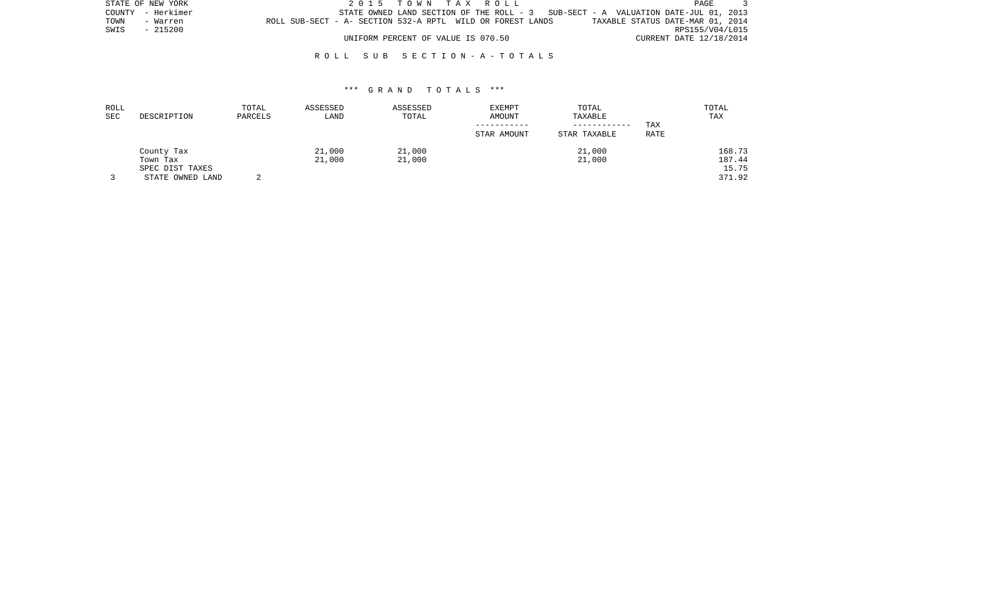|      | STATE OF NEW YORK |                                                            |  | 2015 TOWN TAX ROLL                 |  |  |                                                                                   |                                  |                         | PAGE |  |
|------|-------------------|------------------------------------------------------------|--|------------------------------------|--|--|-----------------------------------------------------------------------------------|----------------------------------|-------------------------|------|--|
|      | COUNTY - Herkimer |                                                            |  |                                    |  |  | STATE OWNED LAND SECTION OF THE ROLL - 3 SUB-SECT - A VALUATION DATE-JUL 01, 2013 |                                  |                         |      |  |
| TOWN | - Warren          | ROLL SUB-SECT - A- SECTION 532-A RPTL WILD OR FOREST LANDS |  |                                    |  |  |                                                                                   | TAXABLE STATUS DATE-MAR 01, 2014 |                         |      |  |
| SWIS | - 215200          |                                                            |  |                                    |  |  |                                                                                   |                                  | RPS155/V04/L015         |      |  |
|      |                   |                                                            |  | UNIFORM PERCENT OF VALUE IS 070.50 |  |  |                                                                                   |                                  | CURRENT DATE 12/18/2014 |      |  |

| ROLL<br>SEC | DESCRIPTION      | TOTAL<br>PARCELS | ASSESSED<br>LAND | ASSESSED<br>TOTAL | EXEMPT<br>AMOUNT | TOTAL<br>TAXABLE<br>------------ | TAX  | TOTAL<br>TAX |
|-------------|------------------|------------------|------------------|-------------------|------------------|----------------------------------|------|--------------|
|             |                  |                  |                  |                   | STAR AMOUNT      | STAR TAXABLE                     | RATE |              |
|             | County Tax       |                  | 21,000           | 21,000            |                  | 21,000                           |      | 168.73       |
|             | Town Tax         |                  | 21,000           | 21,000            |                  | 21,000                           |      | 187.44       |
|             | SPEC DIST TAXES  |                  |                  |                   |                  |                                  |      | 15.75        |
|             | STATE OWNED LAND |                  |                  |                   |                  |                                  |      | 371.92       |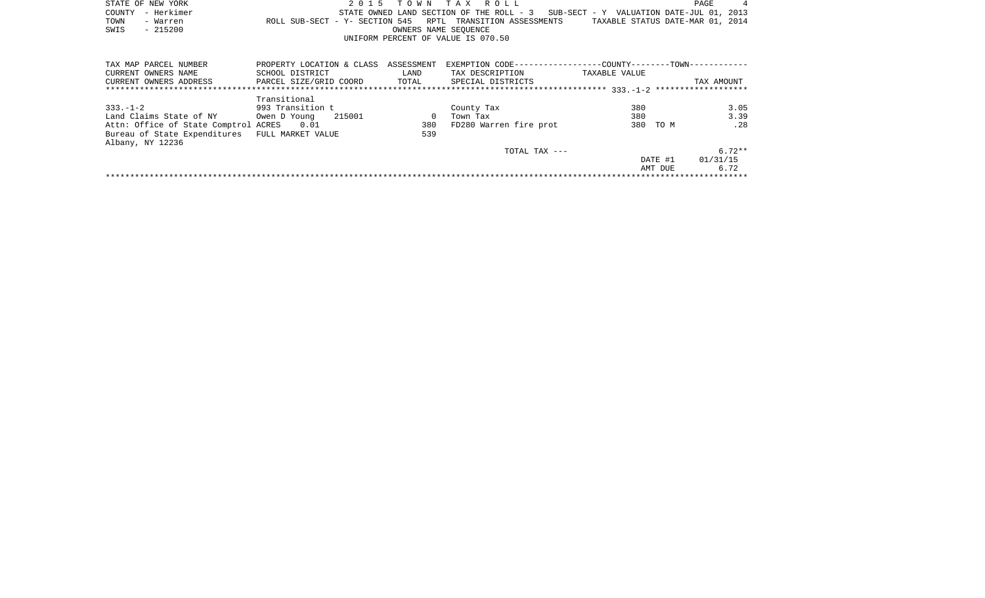|      | STATE OF NEW YORK |                                                            | 2015 TOWN TAX ROLL                                                                |                      |  |  |                                  | PAGE | $\overline{4}$ |
|------|-------------------|------------------------------------------------------------|-----------------------------------------------------------------------------------|----------------------|--|--|----------------------------------|------|----------------|
|      | COUNTY - Herkimer |                                                            | STATE OWNED LAND SECTION OF THE ROLL - 3 SUB-SECT - Y VALUATION DATE-JUL 01, 2013 |                      |  |  |                                  |      |                |
| TOWN | - Warren          | ROLL SUB-SECT - Y- SECTION 545 RPTL TRANSITION ASSESSMENTS |                                                                                   |                      |  |  | TAXABLE STATUS DATE-MAR 01, 2014 |      |                |
| SWIS | - 215200          |                                                            |                                                                                   | OWNERS NAME SEOUENCE |  |  |                                  |      |                |
|      |                   |                                                            | UNIFORM PERCENT OF VALUE IS 070.50                                                |                      |  |  |                                  |      |                |

| TAX MAP PARCEL NUMBER                | PROPERTY LOCATION & CLASS | ASSESSMENT | EXEMPTION CODE-----------------COUNTY-------TOWN------------ |               |          |            |
|--------------------------------------|---------------------------|------------|--------------------------------------------------------------|---------------|----------|------------|
| CURRENT OWNERS NAME                  | SCHOOL DISTRICT           | LAND       | TAX DESCRIPTION                                              | TAXABLE VALUE |          |            |
| CURRENT OWNERS ADDRESS               | PARCEL SIZE/GRID COORD    | TOTAL      | SPECIAL DISTRICTS                                            |               |          | TAX AMOUNT |
|                                      |                           |            |                                                              |               |          |            |
|                                      | Transitional              |            |                                                              |               |          |            |
| $333 - 1 - 2$                        | 993 Transition t          |            | County Tax                                                   | 380           |          | 3.05       |
| Land Claims State of NY              | 215001<br>Owen D Young    |            | Town Tax                                                     | 380           |          | 3.39       |
| Attn: Office of State Comptrol ACRES | 0.01                      | 380        | FD280 Warren fire prot                                       |               | 380 TO M | .28        |
| Bureau of State Expenditures         | FULL MARKET VALUE         | 539        |                                                              |               |          |            |
| Albany, NY 12236                     |                           |            |                                                              |               |          |            |
|                                      |                           |            | TOTAL TAX $---$                                              |               |          | $6.72**$   |
|                                      |                           |            |                                                              |               | DATE #1  | 01/31/15   |
|                                      |                           |            |                                                              |               | AMT DUE  | 6.72       |
|                                      |                           |            |                                                              |               |          |            |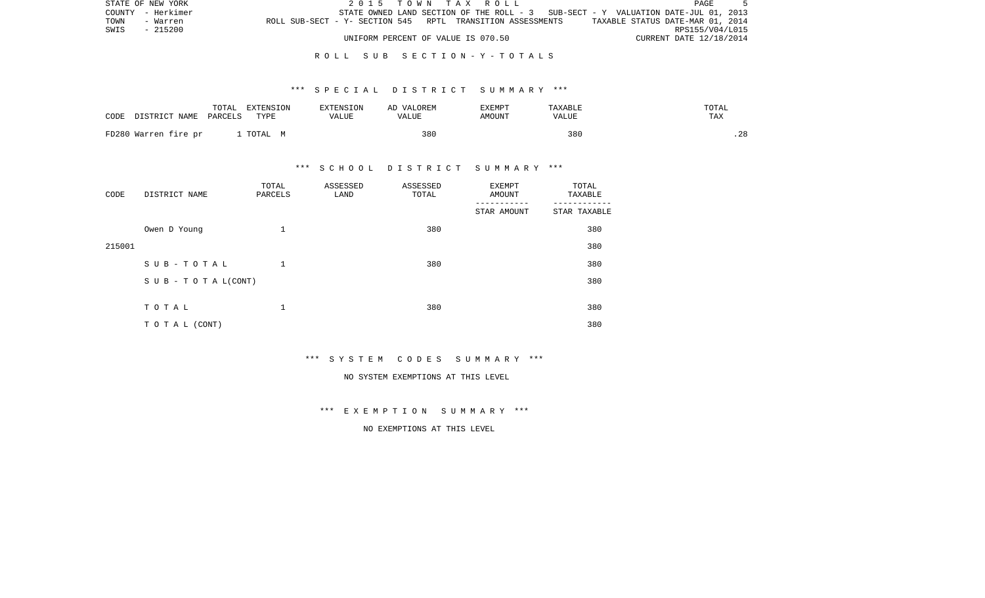|      | STATE OF NEW YORK | 2015 TOWN TAX ROLL                                                                             | PAGE                    |  |
|------|-------------------|------------------------------------------------------------------------------------------------|-------------------------|--|
|      | COUNTY - Herkimer | STATE OWNED LAND SECTION OF THE ROLL - 3 SUB-SECT - Y VALUATION DATE-JUL 01, 2013              |                         |  |
| TOWN | - Warren          | TAXABLE STATUS DATE-MAR 01, 2014<br>ROLL SUB-SECT - Y- SECTION 545 RPTL TRANSITION ASSESSMENTS |                         |  |
| SWIS | - 215200          |                                                                                                | RPS155/V04/L015         |  |
|      |                   | UNIFORM PERCENT OF VALUE IS 070.50                                                             | CURRENT DATE 12/18/2014 |  |

### \*\*\* S P E C I A L D I S T R I C T S U M M A R Y \*\*\*

| CODE | DISTRICT NAME        | TOTAL<br>PARCELS | EXTENSION<br>TYPE | EXTENSION<br>VALUE | AD VALOREM<br>VALUE | EXEMPT<br>AMOUNT | TAXABLE<br>VALUE | TOTAL<br>TAX |
|------|----------------------|------------------|-------------------|--------------------|---------------------|------------------|------------------|--------------|
|      | FD280 Warren fire pr |                  | TOTAL M           |                    | 380                 |                  | 380              | .28          |

## \*\*\* S C H O O L D I S T R I C T S U M M A R Y \*\*\*

| CODE   | DISTRICT NAME                 | TOTAL<br>PARCELS | ASSESSED<br>LAND | ASSESSED<br>TOTAL | <b>EXEMPT</b><br>AMOUNT | TOTAL<br>TAXABLE |
|--------|-------------------------------|------------------|------------------|-------------------|-------------------------|------------------|
|        |                               |                  |                  |                   | STAR AMOUNT             | STAR TAXABLE     |
|        | Owen D Young                  | 1                |                  | 380               |                         | 380              |
| 215001 |                               |                  |                  |                   |                         | 380              |
|        | SUB-TOTAL                     | $\mathbf 1$      |                  | 380               |                         | 380              |
|        | $S \cup B - T O T A L (CONT)$ |                  |                  |                   |                         | 380              |
|        |                               |                  |                  |                   |                         |                  |
|        | TOTAL                         | 1                |                  | 380               |                         | 380              |
|        | TO TAL (CONT)                 |                  |                  |                   |                         | 380              |

\*\*\* S Y S T E M C O D E S S U M M A R Y \*\*\*

#### NO SYSTEM EXEMPTIONS AT THIS LEVEL

\*\*\* E X E M P T I O N S U M M A R Y \*\*\*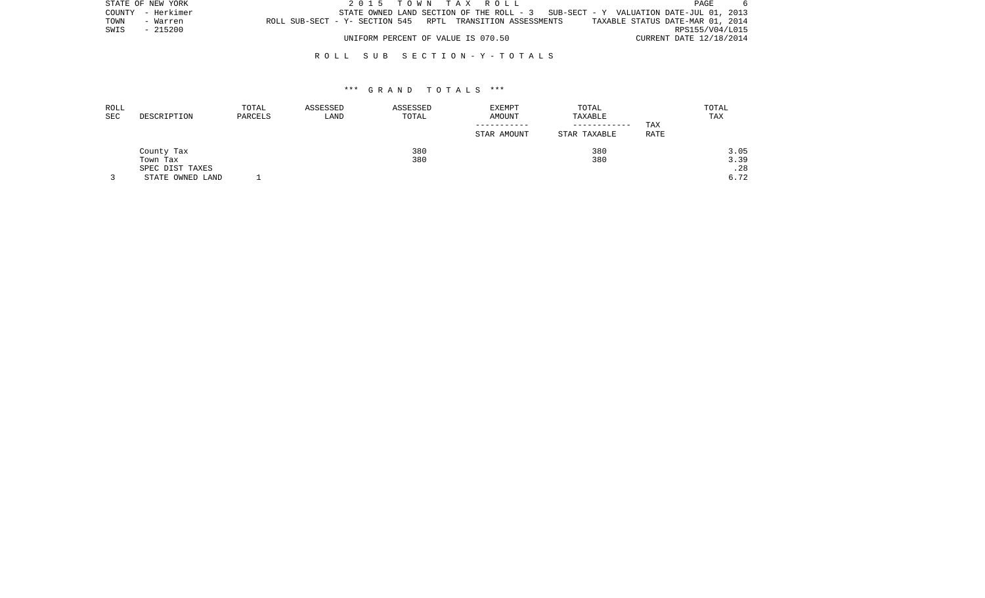| STATE OF NEW YORK |                   |                                                            | 2015 TOWN TAX ROLL                 |  |  |                                                                                     |                                  | PAGE                    | 6 |
|-------------------|-------------------|------------------------------------------------------------|------------------------------------|--|--|-------------------------------------------------------------------------------------|----------------------------------|-------------------------|---|
|                   | COUNTY - Herkimer |                                                            |                                    |  |  | STATE OWNED LAND SECTION OF THE ROLL - $3$ SUB-SECT - Y VALUATION DATE-JUL 01, 2013 |                                  |                         |   |
| TOWN              | - Warren          | ROLL SUB-SECT - Y- SECTION 545 RPTL TRANSITION ASSESSMENTS |                                    |  |  |                                                                                     | TAXABLE STATUS DATE-MAR 01, 2014 |                         |   |
| SWIS - 215200     |                   |                                                            |                                    |  |  |                                                                                     |                                  | RPS155/V04/L015         |   |
|                   |                   |                                                            | UNIFORM PERCENT OF VALUE IS 070.50 |  |  |                                                                                     |                                  | CURRENT DATE 12/18/2014 |   |

| ROLL                 |                  | TOTAL   | ASSESSED | ASSESSED | <b>EXEMPT</b> | TOTAL        |      | TOTAL |
|----------------------|------------------|---------|----------|----------|---------------|--------------|------|-------|
| $\operatorname{SEC}$ | DESCRIPTION      | PARCELS | LAND     | TOTAL    | AMOUNT        | TAXABLE      |      | TAX   |
|                      |                  |         |          |          |               | ------------ | TAX  |       |
|                      |                  |         |          |          | STAR AMOUNT   | STAR TAXABLE | RATE |       |
|                      | County Tax       |         |          | 380      |               | 380          |      | 3.05  |
|                      | Town Tax         |         |          | 380      |               | 380          |      | 3.39  |
|                      | SPEC DIST TAXES  |         |          |          |               |              |      | .28   |
|                      | STATE OWNED LAND |         |          |          |               |              |      | 6.72  |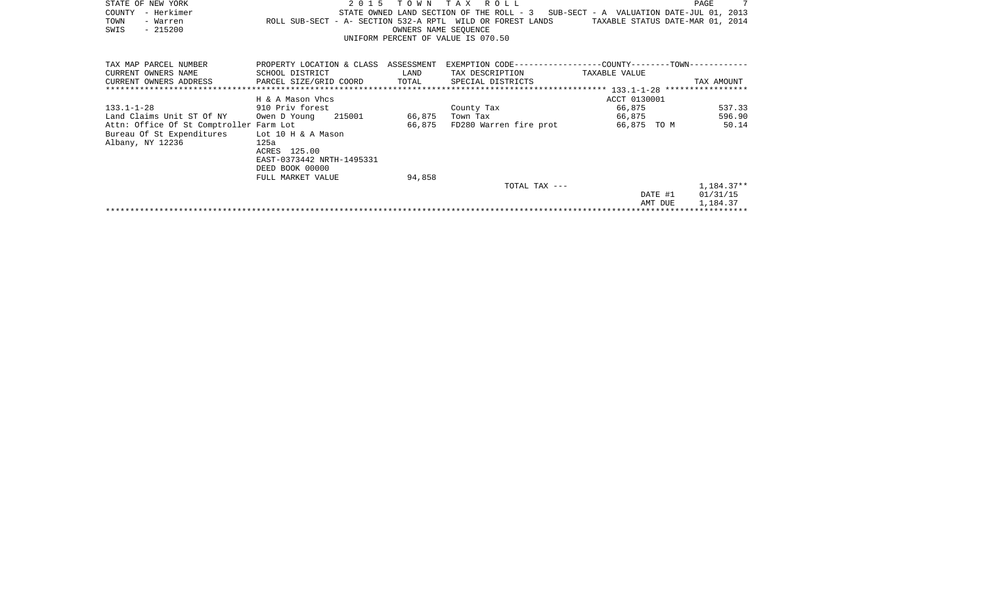| STATE OF NEW YORK                       | 2 0 1 5                                                    | T O W N              | T A X<br>R O L L                                            |                                          | $7\overline{ }$<br>PAGE          |
|-----------------------------------------|------------------------------------------------------------|----------------------|-------------------------------------------------------------|------------------------------------------|----------------------------------|
| COUNTY<br>- Herkimer                    |                                                            |                      | STATE OWNED LAND SECTION OF THE ROLL - 3                    | SUB-SECT - A VALUATION DATE-JUL 01, 2013 |                                  |
| TOWN<br>- Warren                        | ROLL SUB-SECT - A- SECTION 532-A RPTL WILD OR FOREST LANDS |                      |                                                             |                                          | TAXABLE STATUS DATE-MAR 01, 2014 |
| $-215200$<br>SWIS                       |                                                            | OWNERS NAME SEQUENCE |                                                             |                                          |                                  |
|                                         |                                                            |                      | UNIFORM PERCENT OF VALUE IS 070.50                          |                                          |                                  |
|                                         |                                                            |                      |                                                             |                                          |                                  |
| TAX MAP PARCEL NUMBER                   | PROPERTY LOCATION & CLASS                                  | ASSESSMENT           | EXEMPTION CODE-----------------COUNTY-------TOWN----------- |                                          |                                  |
| CURRENT OWNERS NAME                     | SCHOOL DISTRICT                                            | LAND                 | TAX DESCRIPTION                                             | TAXABLE VALUE                            |                                  |
| CURRENT OWNERS ADDRESS                  | PARCEL SIZE/GRID COORD                                     | TOTAL                | SPECIAL DISTRICTS                                           |                                          | TAX AMOUNT                       |
|                                         |                                                            |                      |                                                             |                                          |                                  |
|                                         | H & A Mason Vhcs                                           |                      |                                                             | ACCT 0130001                             |                                  |
| $133.1 - 1 - 28$                        | 910 Priv forest                                            |                      | County Tax                                                  | 66,875                                   | 537.33                           |
| Land Claims Unit ST Of NY               | 215001<br>Owen D Young                                     | 66,875               | Town Tax                                                    | 66,875                                   | 596.90                           |
| Attn: Office Of St Comptroller Farm Lot |                                                            | 66,875               | FD280 Warren fire prot                                      | 66,875 TO M                              | 50.14                            |
| Bureau Of St Expenditures               | Lot 10 H & A Mason                                         |                      |                                                             |                                          |                                  |
| Albany, NY 12236                        | 125a                                                       |                      |                                                             |                                          |                                  |
|                                         | ACRES 125.00                                               |                      |                                                             |                                          |                                  |
|                                         | EAST-0373442 NRTH-1495331                                  |                      |                                                             |                                          |                                  |
|                                         | DEED BOOK 00000                                            |                      |                                                             |                                          |                                  |
|                                         | FULL MARKET VALUE                                          | 94,858               |                                                             |                                          |                                  |
|                                         |                                                            |                      | TOTAL TAX ---                                               |                                          | $1,184.37**$                     |
|                                         |                                                            |                      |                                                             | DATE #1                                  | 01/31/15                         |
|                                         |                                                            |                      |                                                             | AMT DUE                                  | 1,184.37                         |
|                                         |                                                            |                      |                                                             |                                          |                                  |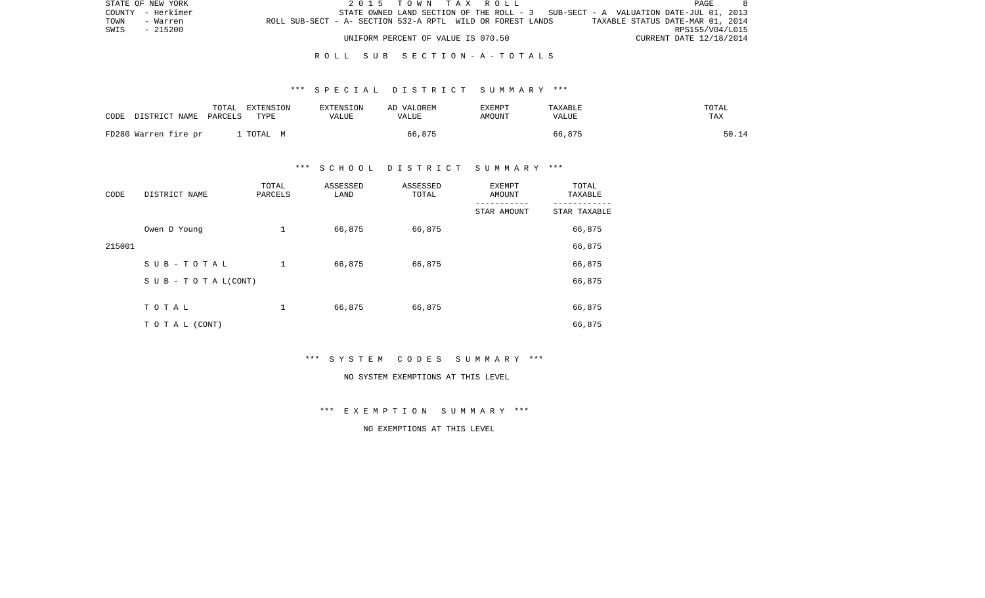| STATE OF NEW YORK | 2015 TOWN TAX ROLL                                                                | PAGE                             |
|-------------------|-----------------------------------------------------------------------------------|----------------------------------|
| COUNTY - Herkimer | STATE OWNED LAND SECTION OF THE ROLL - 3 SUB-SECT - A VALUATION DATE-JUL 01, 2013 |                                  |
| TOWN<br>- Warren  | ROLL SUB-SECT - A- SECTION 532-A RPTL WILD OR FOREST LANDS                        | TAXABLE STATUS DATE-MAR 01, 2014 |
| - 215200<br>SWIS  |                                                                                   | RPS155/V04/L015                  |
|                   | UNIFORM PERCENT OF VALUE IS 070.50                                                | CURRENT DATE 12/18/2014          |

### \*\*\* S P E C I A L D I S T R I C T S U M M A R Y \*\*\*

| CODE                 | TOTAL                 | EXTENSION | <b>EXTENSION</b> | AD VALOREM | EXEMPT | TAXABLE | TOTAL |
|----------------------|-----------------------|-----------|------------------|------------|--------|---------|-------|
|                      | DISTRICT NAME PARCELS | TYPE      | VALUE            | VALUE      | AMOUNT | VALUE   | TAX   |
| FD280 Warren fire pr |                       | TOTAL M   |                  | 66,875     |        | 66,875  | 50.14 |

## \*\*\* S C H O O L D I S T R I C T S U M M A R Y \*\*\*

| CODE   | DISTRICT NAME                    | TOTAL<br>PARCELS | ASSESSED<br>LAND | ASSESSED<br>TOTAL | EXEMPT<br>AMOUNT | TOTAL<br>TAXABLE |
|--------|----------------------------------|------------------|------------------|-------------------|------------------|------------------|
|        |                                  |                  |                  |                   | STAR AMOUNT      | STAR TAXABLE     |
|        | Owen D Young                     | 1                | 66,875           | 66,875            |                  | 66,875           |
| 215001 |                                  |                  |                  |                   |                  | 66,875           |
|        | SUB-TOTAL                        | $\mathbf 1$      | 66,875           | 66,875            |                  | 66,875           |
|        | $S \cup B - T \cup T A L (CONT)$ |                  |                  |                   |                  | 66,875           |
|        |                                  |                  |                  |                   |                  |                  |
|        | TOTAL                            | 1                | 66,875           | 66,875            |                  | 66,875           |
|        | T O T A L (CONT)                 |                  |                  |                   |                  | 66,875           |

\*\*\* S Y S T E M C O D E S S U M M A R Y \*\*\*

#### NO SYSTEM EXEMPTIONS AT THIS LEVEL

\*\*\* E X E M P T I O N S U M M A R Y \*\*\*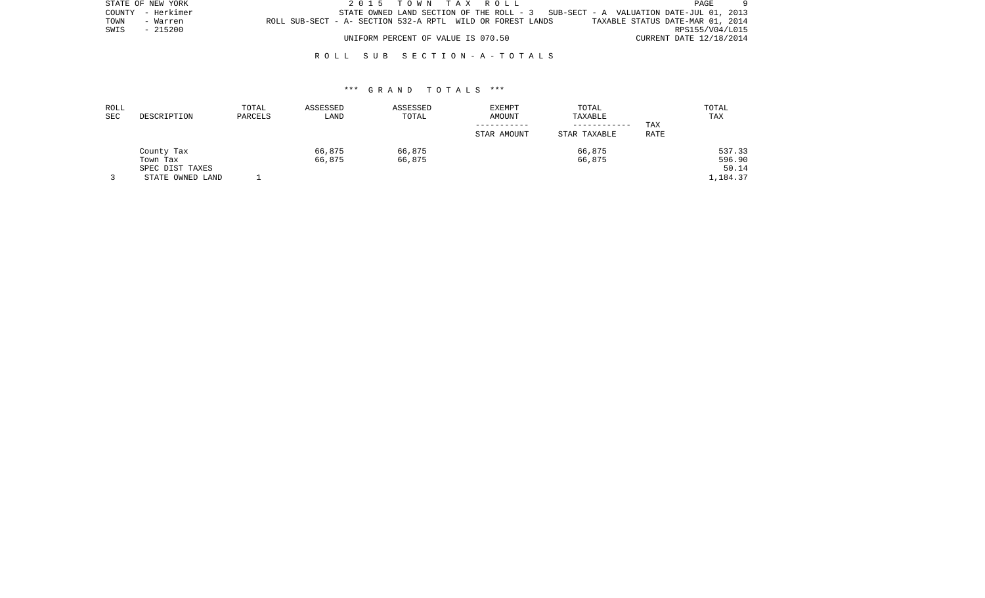| STATE OF NEW YORK |                   |                                                            | 2015 TOWN TAX ROLL                 |  |  |                                                                                    |                                  | PAGE                    |  |
|-------------------|-------------------|------------------------------------------------------------|------------------------------------|--|--|------------------------------------------------------------------------------------|----------------------------------|-------------------------|--|
|                   | COUNTY - Herkimer |                                                            |                                    |  |  | STATE OWNED LAND SECTION OF THE ROLL $-3$ SUB-SECT - A VALUATION DATE-JUL 01, 2013 |                                  |                         |  |
| TOWN              | - Warren          | ROLL SUB-SECT - A- SECTION 532-A RPTL WILD OR FOREST LANDS |                                    |  |  |                                                                                    | TAXABLE STATUS DATE-MAR 01, 2014 |                         |  |
| SWIS              | - 215200          |                                                            |                                    |  |  |                                                                                    |                                  | RPS155/V04/L015         |  |
|                   |                   |                                                            | UNIFORM PERCENT OF VALUE IS 070.50 |  |  |                                                                                    |                                  | CURRENT DATE 12/18/2014 |  |

| ROLL |                  | TOTAL   | ASSESSED | ASSESSED | <b>EXEMPT</b> | TOTAL        |      | TOTAL    |
|------|------------------|---------|----------|----------|---------------|--------------|------|----------|
| SEC  | DESCRIPTION      | PARCELS | LAND     | TOTAL    | AMOUNT        | TAXABLE      |      | TAX      |
|      |                  |         |          |          |               | ------------ | TAX  |          |
|      |                  |         |          |          | STAR AMOUNT   | STAR TAXABLE | RATE |          |
|      | County Tax       |         | 66,875   | 66,875   |               | 66,875       |      | 537.33   |
|      | Town Tax         |         | 66,875   | 66,875   |               | 66,875       |      | 596.90   |
|      | SPEC DIST TAXES  |         |          |          |               |              |      | 50.14    |
|      | STATE OWNED LAND |         |          |          |               |              |      | 1,184.37 |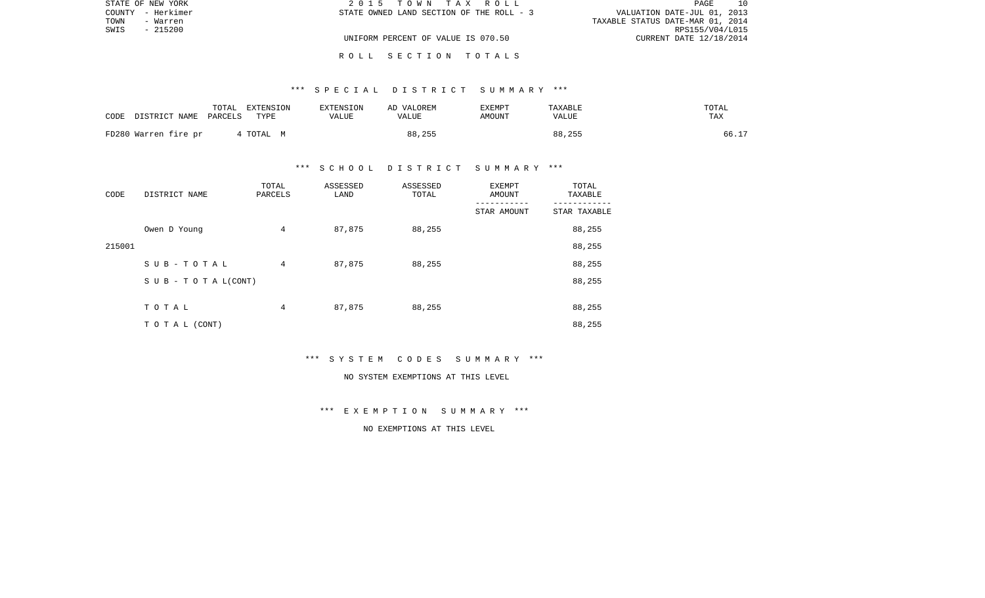|      | STATE OF NEW YORK | 2015 TOWN TAX ROLL                       | 10<br>PAGE                       |
|------|-------------------|------------------------------------------|----------------------------------|
|      | COUNTY - Herkimer | STATE OWNED LAND SECTION OF THE ROLL - 3 | VALUATION DATE-JUL 01, 2013      |
| TOWN | - Warren          |                                          | TAXABLE STATUS DATE-MAR 01, 2014 |
| SWIS | - 215200          |                                          | RPS155/V04/L015                  |
|      |                   | UNIFORM PERCENT OF VALUE IS 070.50       | CURRENT DATE 12/18/2014          |
|      |                   |                                          |                                  |

## \*\*\* S P E C I A L D I S T R I C T S U M M A R Y \*\*\*

R O L L S E C T I O N T O T A L S

| CODE | DISTRICT NAME        | TOTAL<br>PARCELS | EXTENSION<br>TYPE | EXTENSION<br>VALUE | AD VALOREM<br>VALUE | EXEMPT<br>AMOUNT | TAXABLE<br>VALUE | TOTAL<br>TAX |
|------|----------------------|------------------|-------------------|--------------------|---------------------|------------------|------------------|--------------|
|      | FD280 Warren fire pr |                  | 4 TOTAL M         |                    | 88,255              |                  | 88,255           | 66.17        |

### \*\*\* S C H O O L D I S T R I C T S U M M A R Y \*\*\*

| CODE   | DISTRICT NAME                    | TOTAL<br>PARCELS | ASSESSED<br>LAND | ASSESSED<br>TOTAL | EXEMPT<br>AMOUNT | TOTAL<br>TAXABLE |
|--------|----------------------------------|------------------|------------------|-------------------|------------------|------------------|
|        |                                  |                  |                  |                   | STAR AMOUNT      | STAR TAXABLE     |
|        | Owen D Young                     | $\overline{4}$   | 87,875           | 88,255            |                  | 88,255           |
| 215001 |                                  |                  |                  |                   |                  | 88,255           |
|        | SUB-TOTAL                        | 4                | 87,875           | 88,255            |                  | 88,255           |
|        | $S \cup B - T \cup T A L (CONT)$ |                  |                  |                   |                  | 88,255           |
|        |                                  |                  |                  |                   |                  |                  |
|        | TOTAL                            | 4                | 87,875           | 88,255            |                  | 88,255           |
|        | T O T A L (CONT)                 |                  |                  |                   |                  | 88,255           |

\*\*\* S Y S T E M C O D E S S U M M A R Y \*\*\*

#### NO SYSTEM EXEMPTIONS AT THIS LEVEL

\*\*\* E X E M P T I O N S U M M A R Y \*\*\*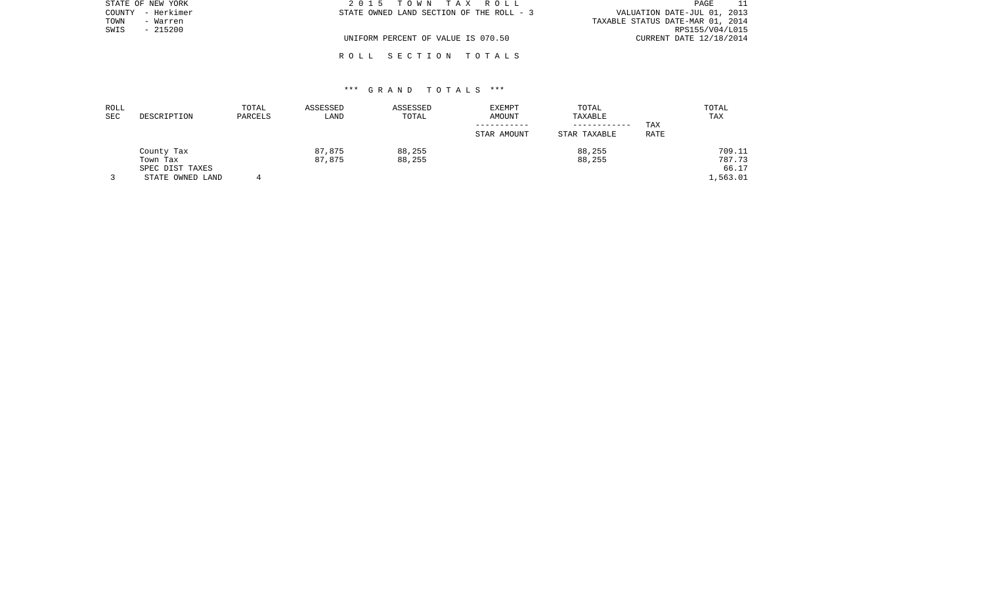| STATE OF NEW YORK    | 2015 TOWN TAX ROLL                       | PAGE                             |
|----------------------|------------------------------------------|----------------------------------|
| - Herkimer<br>COUNTY | STATE OWNED LAND SECTION OF THE ROLL - 3 | VALUATION DATE-JUL 01, 2013      |
| TOWN<br>- Warren     |                                          | TAXABLE STATUS DATE-MAR 01, 2014 |
| $-215200$<br>SWIS    |                                          | RPS155/V04/L015                  |
|                      | UNIFORM PERCENT OF VALUE IS 070.50       | CURRENT DATE 12/18/2014          |
|                      |                                          |                                  |

## \*\*\* G R A N D T O T A L S \*\*\*

R O L L S E C T I O N T O T A L S

| ROLL |                  | TOTAL   | ASSESSED | ASSESSED | EXEMPT      | TOTAL        |      | TOTAL    |
|------|------------------|---------|----------|----------|-------------|--------------|------|----------|
| SEC  | DESCRIPTION      | PARCELS | LAND     | TOTAL    | AMOUNT      | TAXABLE      |      | TAX      |
|      |                  |         |          |          |             | ------------ | TAX  |          |
|      |                  |         |          |          | STAR AMOUNT | STAR TAXABLE | RATE |          |
|      | County Tax       |         | 87,875   | 88,255   |             | 88,255       |      | 709.11   |
|      | Town Tax         |         | 87,875   | 88,255   |             | 88,255       |      | 787.73   |
|      | SPEC DIST TAXES  |         |          |          |             |              |      | 66.17    |
|      | STATE OWNED LAND |         |          |          |             |              |      | 1,563.01 |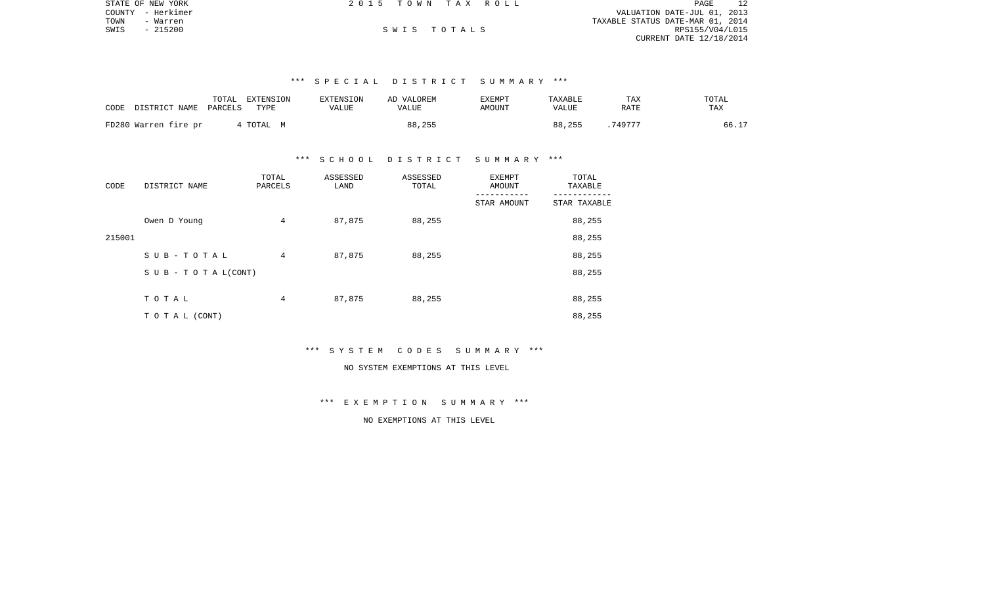|      | STATE OF NEW YORK | 2015 TOWN TAX ROLL |             |  |                                  | PAGE            | 12 |
|------|-------------------|--------------------|-------------|--|----------------------------------|-----------------|----|
|      | COUNTY - Herkimer |                    |             |  | VALUATION DATE-JUL 01, 2013      |                 |    |
| TOWN | - Warren          |                    |             |  | TAXABLE STATUS DATE-MAR 01, 2014 |                 |    |
| SWIS | - 215200          |                    | SWIS TOTALS |  |                                  | RPS155/V04/L015 |    |
|      |                   |                    |             |  | CURRENT DATE 12/18/2014          |                 |    |
|      |                   |                    |             |  |                                  |                 |    |

## \*\*\* S P E C I A L D I S T R I C T S U M M A R Y \*\*\*

| CODE<br>DISTRICT NAME | TOTAL<br>EXTENSION<br>PARCELS<br>TYPE | <b>EXTENSION</b><br>VALUE | AD VALOREM<br>VALUE | EXEMPT<br>AMOUNT | <b>TAXABLE</b><br>VALUE | TAX<br>RATE | TOTAL<br>TAX |
|-----------------------|---------------------------------------|---------------------------|---------------------|------------------|-------------------------|-------------|--------------|
| FD280 Warren fire pr  | 4 TOTAL M                             |                           | 88,255              |                  | 88,255                  | 749777      | 66.17        |

#### \*\*\* S C H O O L D I S T R I C T S U M M A R Y \*\*\*

| CODE   | DISTRICT NAME      | TOTAL<br>PARCELS | ASSESSED<br>LAND | ASSESSED<br>TOTAL | <b>EXEMPT</b><br>AMOUNT | TOTAL<br>TAXABLE |
|--------|--------------------|------------------|------------------|-------------------|-------------------------|------------------|
|        |                    |                  |                  |                   | STAR AMOUNT             | STAR TAXABLE     |
|        | Owen D Young       | 4                | 87,875           | 88,255            |                         | 88,255           |
| 215001 |                    |                  |                  |                   |                         | 88,255           |
|        | SUB-TOTAL          | 4                | 87,875           | 88,255            |                         | 88,255           |
|        | SUB - TO TAL(CONT) |                  |                  |                   |                         | 88,255           |
|        |                    |                  |                  |                   |                         |                  |
|        | TOTAL              | 4                | 87,875           | 88,255            |                         | 88,255           |
|        | T O T A L (CONT)   |                  |                  |                   |                         | 88,255           |

#### \*\*\* S Y S T E M C O D E S S U M M A R Y \*\*\*

## NO SYSTEM EXEMPTIONS AT THIS LEVEL

## \*\*\* E X E M P T I O N S U M M A R Y \*\*\*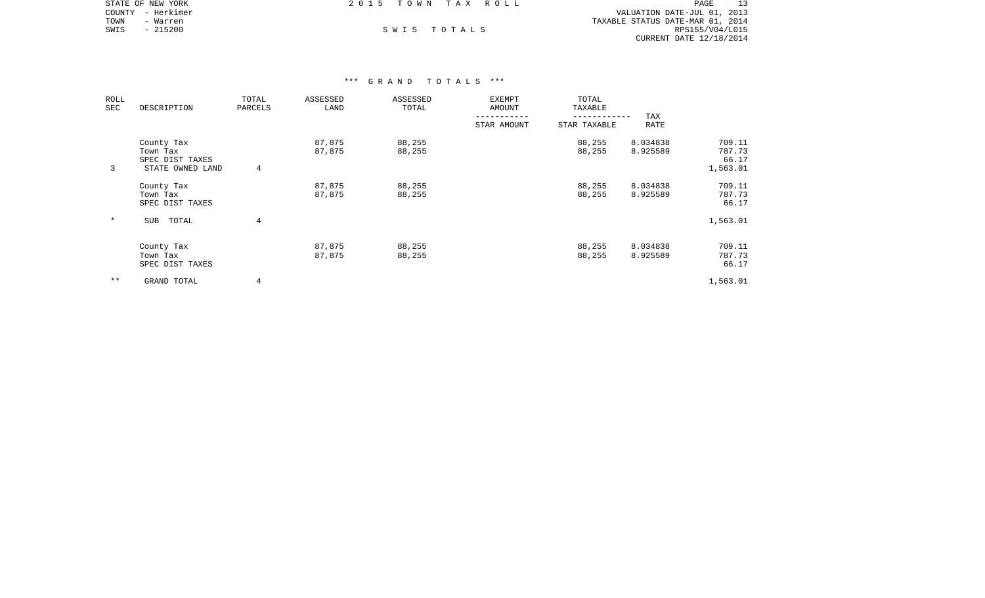|      | STATE OF NEW YORK | 2015 TOWN TAX ROLL |             |                                  | PAGE            |  |
|------|-------------------|--------------------|-------------|----------------------------------|-----------------|--|
|      | COUNTY - Herkimer |                    |             | VALUATION DATE-JUL 01, 2013      |                 |  |
| TOWN | - Warren          |                    |             | TAXABLE STATUS DATE-MAR 01, 2014 |                 |  |
| SWIS | $-215200$         |                    | SWIS TOTALS |                                  | RPS155/V04/L015 |  |
|      |                   |                    |             | CURRENT DATE 12/18/2014          |                 |  |

| ROLL<br>SEC | DESCRIPTION                                                   | TOTAL<br>PARCELS | ASSESSED<br>LAND | ASSESSED<br>TOTAL | EXEMPT<br>AMOUNT | TOTAL<br>TAXABLE |                      |                                       |
|-------------|---------------------------------------------------------------|------------------|------------------|-------------------|------------------|------------------|----------------------|---------------------------------------|
|             |                                                               |                  |                  |                   | STAR AMOUNT      | STAR TAXABLE     | TAX<br>RATE          |                                       |
| 3           | County Tax<br>Town Tax<br>SPEC DIST TAXES<br>STATE OWNED LAND | 4                | 87,875<br>87,875 | 88,255<br>88,255  |                  | 88,255<br>88,255 | 8.034838<br>8.925589 | 709.11<br>787.73<br>66.17<br>1,563.01 |
|             | County Tax<br>Town Tax<br>SPEC DIST TAXES                     |                  | 87,875<br>87,875 | 88,255<br>88,255  |                  | 88,255<br>88,255 | 8.034838<br>8.925589 | 709.11<br>787.73<br>66.17             |
| $\ast$      | TOTAL<br>SUB                                                  | 4                |                  |                   |                  |                  |                      | 1,563.01                              |
|             | County Tax<br>Town Tax<br>SPEC DIST TAXES                     |                  | 87,875<br>87,875 | 88,255<br>88,255  |                  | 88,255<br>88,255 | 8.034838<br>8.925589 | 709.11<br>787.73<br>66.17             |
| $***$       | GRAND TOTAL                                                   | 4                |                  |                   |                  |                  |                      | 1,563.01                              |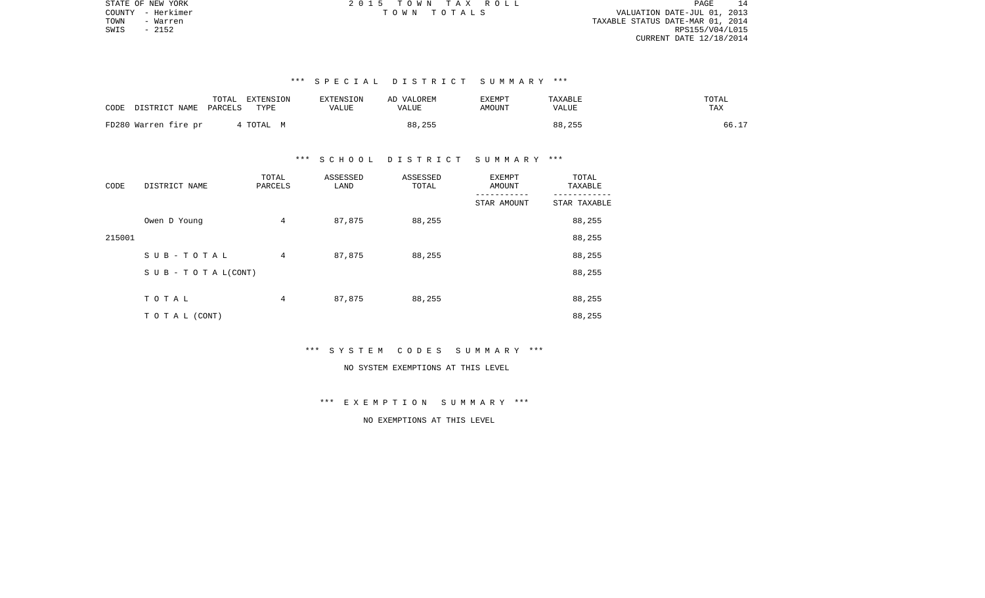| 14<br>PAGE.                      |  |
|----------------------------------|--|
| VALUATION DATE-JUL 01, 2013      |  |
| TAXABLE STATUS DATE-MAR 01, 2014 |  |
| RPS155/V04/L015                  |  |
| CURRENT DATE 12/18/2014          |  |

## \*\*\* S P E C I A L D I S T R I C T S U M M A R Y \*\*\*

| DISTRICT NAME        | TOTAL   | EXTENSION | EXTENSION    | AD VALOREM | <b>EXEMPT</b> | TAXABLE      | TOTAL |
|----------------------|---------|-----------|--------------|------------|---------------|--------------|-------|
| CODE                 | PARCELS | TYPE      | <b>VALUE</b> | VALUE      | <b>AMOUNT</b> | <b>VALUE</b> | TAX   |
| FD280 Warren fire pr |         | TOTAL M   |              | 88,255     |               | 88,255       | 66.17 |

#### \*\*\* S C H O O L D I S T R I C T S U M M A R Y \*\*\*

| CODE   | DISTRICT NAME      | TOTAL<br>PARCELS | ASSESSED<br>LAND | ASSESSED<br>TOTAL | EXEMPT<br>AMOUNT | TOTAL<br>TAXABLE |
|--------|--------------------|------------------|------------------|-------------------|------------------|------------------|
|        |                    |                  |                  |                   | STAR AMOUNT      | STAR TAXABLE     |
|        | Owen D Young       | 4                | 87,875           | 88,255            |                  | 88,255           |
| 215001 |                    |                  |                  |                   |                  | 88,255           |
|        | SUB-TOTAL          | 4                | 87,875           | 88,255            |                  | 88,255           |
|        | SUB - TO TAL(CONT) |                  |                  |                   |                  | 88,255           |
|        |                    |                  |                  |                   |                  |                  |
|        | TOTAL              | 4                | 87,875           | 88,255            |                  | 88,255           |
|        | TO TAL (CONT)      |                  |                  |                   |                  | 88,255           |

# \*\*\* S Y S T E M C O D E S S U M M A R Y \*\*\*

## NO SYSTEM EXEMPTIONS AT THIS LEVEL

## \*\*\* E X E M P T I O N S U M M A R Y \*\*\*